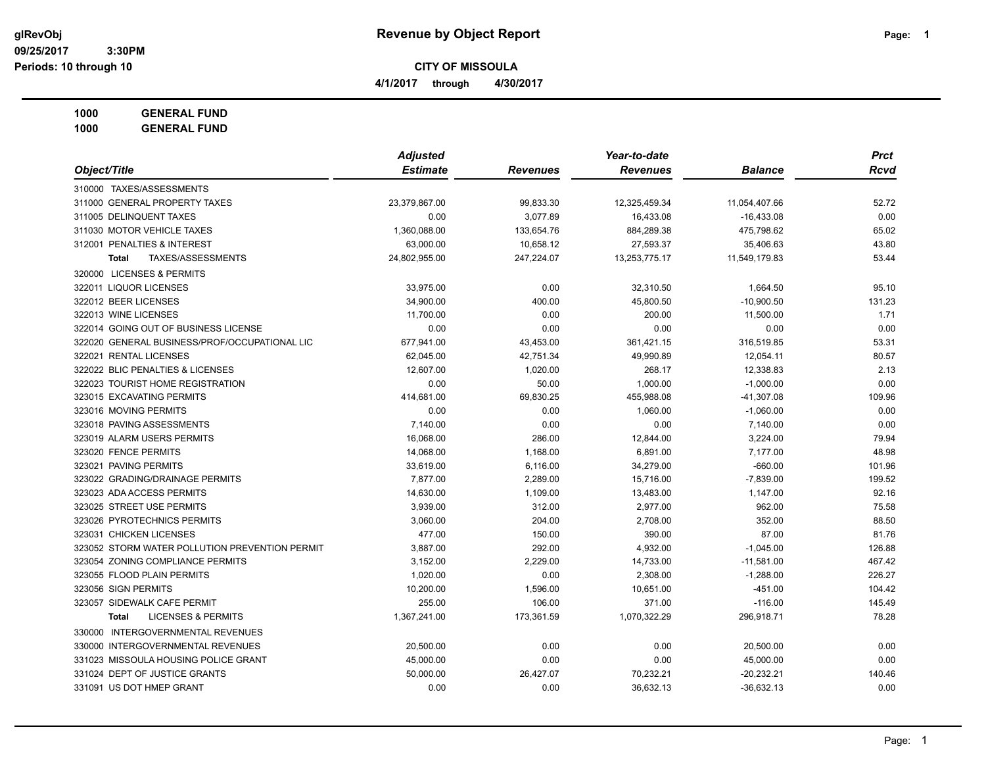**4/1/2017 through 4/30/2017**

**1000 GENERAL FUND**

| Object/Title                                   | <b>Adjusted</b> |                 | Year-to-date    |                | <b>Prct</b> |
|------------------------------------------------|-----------------|-----------------|-----------------|----------------|-------------|
|                                                | <b>Estimate</b> | <b>Revenues</b> | <b>Revenues</b> | <b>Balance</b> | <b>Rcvd</b> |
| 310000 TAXES/ASSESSMENTS                       |                 |                 |                 |                |             |
| 311000 GENERAL PROPERTY TAXES                  | 23,379,867.00   | 99,833.30       | 12,325,459.34   | 11,054,407.66  | 52.72       |
| 311005 DELINQUENT TAXES                        | 0.00            | 3,077.89        | 16,433.08       | $-16,433.08$   | 0.00        |
| 311030 MOTOR VEHICLE TAXES                     | 1,360,088.00    | 133,654.76      | 884,289.38      | 475,798.62     | 65.02       |
| 312001 PENALTIES & INTEREST                    | 63,000.00       | 10,658.12       | 27,593.37       | 35,406.63      | 43.80       |
| TAXES/ASSESSMENTS<br><b>Total</b>              | 24,802,955.00   | 247,224.07      | 13,253,775.17   | 11,549,179.83  | 53.44       |
| 320000 LICENSES & PERMITS                      |                 |                 |                 |                |             |
| 322011 LIQUOR LICENSES                         | 33,975.00       | 0.00            | 32,310.50       | 1,664.50       | 95.10       |
| 322012 BEER LICENSES                           | 34,900.00       | 400.00          | 45,800.50       | $-10,900.50$   | 131.23      |
| 322013 WINE LICENSES                           | 11,700.00       | 0.00            | 200.00          | 11,500.00      | 1.71        |
| 322014 GOING OUT OF BUSINESS LICENSE           | 0.00            | 0.00            | 0.00            | 0.00           | 0.00        |
| 322020 GENERAL BUSINESS/PROF/OCCUPATIONAL LIC  | 677,941.00      | 43,453.00       | 361,421.15      | 316,519.85     | 53.31       |
| 322021 RENTAL LICENSES                         | 62,045.00       | 42,751.34       | 49,990.89       | 12,054.11      | 80.57       |
| 322022 BLIC PENALTIES & LICENSES               | 12,607.00       | 1,020.00        | 268.17          | 12,338.83      | 2.13        |
| 322023 TOURIST HOME REGISTRATION               | 0.00            | 50.00           | 1,000.00        | $-1,000.00$    | 0.00        |
| 323015 EXCAVATING PERMITS                      | 414,681.00      | 69,830.25       | 455,988.08      | $-41,307.08$   | 109.96      |
| 323016 MOVING PERMITS                          | 0.00            | 0.00            | 1,060.00        | $-1,060.00$    | 0.00        |
| 323018 PAVING ASSESSMENTS                      | 7,140.00        | 0.00            | 0.00            | 7,140.00       | 0.00        |
| 323019 ALARM USERS PERMITS                     | 16,068.00       | 286.00          | 12,844.00       | 3,224.00       | 79.94       |
| 323020 FENCE PERMITS                           | 14,068.00       | 1,168.00        | 6,891.00        | 7,177.00       | 48.98       |
| 323021 PAVING PERMITS                          | 33,619.00       | 6,116.00        | 34,279.00       | $-660.00$      | 101.96      |
| 323022 GRADING/DRAINAGE PERMITS                | 7,877.00        | 2,289.00        | 15,716.00       | $-7,839.00$    | 199.52      |
| 323023 ADA ACCESS PERMITS                      | 14,630.00       | 1,109.00        | 13,483.00       | 1,147.00       | 92.16       |
| 323025 STREET USE PERMITS                      | 3,939.00        | 312.00          | 2,977.00        | 962.00         | 75.58       |
| 323026 PYROTECHNICS PERMITS                    | 3,060.00        | 204.00          | 2,708.00        | 352.00         | 88.50       |
| 323031 CHICKEN LICENSES                        | 477.00          | 150.00          | 390.00          | 87.00          | 81.76       |
| 323052 STORM WATER POLLUTION PREVENTION PERMIT | 3,887.00        | 292.00          | 4,932.00        | $-1,045.00$    | 126.88      |
| 323054 ZONING COMPLIANCE PERMITS               | 3,152.00        | 2,229.00        | 14,733.00       | $-11,581.00$   | 467.42      |
| 323055 FLOOD PLAIN PERMITS                     | 1,020.00        | 0.00            | 2,308.00        | $-1,288.00$    | 226.27      |
| 323056 SIGN PERMITS                            | 10,200.00       | 1,596.00        | 10,651.00       | $-451.00$      | 104.42      |
| 323057 SIDEWALK CAFE PERMIT                    | 255.00          | 106.00          | 371.00          | $-116.00$      | 145.49      |
| <b>LICENSES &amp; PERMITS</b><br><b>Total</b>  | 1,367,241.00    | 173,361.59      | 1,070,322.29    | 296,918.71     | 78.28       |
| 330000 INTERGOVERNMENTAL REVENUES              |                 |                 |                 |                |             |
| 330000 INTERGOVERNMENTAL REVENUES              | 20,500.00       | 0.00            | 0.00            | 20,500.00      | 0.00        |
| 331023 MISSOULA HOUSING POLICE GRANT           | 45,000.00       | 0.00            | 0.00            | 45,000.00      | 0.00        |
| 331024 DEPT OF JUSTICE GRANTS                  | 50,000.00       | 26,427.07       | 70,232.21       | $-20,232.21$   | 140.46      |
| 331091 US DOT HMEP GRANT                       | 0.00            | 0.00            | 36,632.13       | $-36,632.13$   | 0.00        |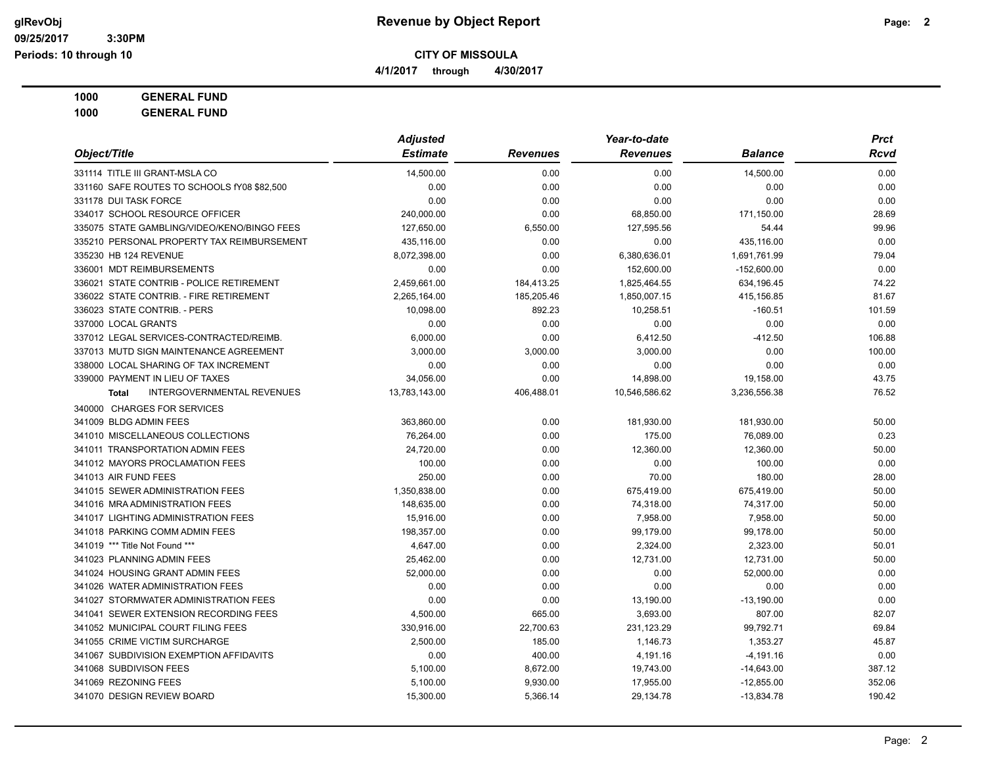**4/1/2017 through 4/30/2017**

#### **1000 GENERAL FUND**

| Object/Title                                      | <b>Adjusted</b> |                 | Year-to-date    |                | <b>Prct</b> |  |
|---------------------------------------------------|-----------------|-----------------|-----------------|----------------|-------------|--|
|                                                   | <b>Estimate</b> | <b>Revenues</b> | <b>Revenues</b> | <b>Balance</b> | Rcvd        |  |
| 331114 TITLE III GRANT-MSLA CO                    | 14,500.00       | 0.00            | 0.00            | 14,500.00      | 0.00        |  |
| 331160 SAFE ROUTES TO SCHOOLS fY08 \$82,500       | 0.00            | 0.00            | 0.00            | 0.00           | 0.00        |  |
| 331178 DUI TASK FORCE                             | 0.00            | 0.00            | 0.00            | 0.00           | 0.00        |  |
| 334017 SCHOOL RESOURCE OFFICER                    | 240,000.00      | 0.00            | 68,850.00       | 171,150.00     | 28.69       |  |
| 335075 STATE GAMBLING/VIDEO/KENO/BINGO FEES       | 127,650.00      | 6,550.00        | 127,595.56      | 54.44          | 99.96       |  |
| 335210 PERSONAL PROPERTY TAX REIMBURSEMENT        | 435,116.00      | 0.00            | 0.00            | 435,116.00     | 0.00        |  |
| 335230 HB 124 REVENUE                             | 8,072,398.00    | 0.00            | 6,380,636.01    | 1,691,761.99   | 79.04       |  |
| 336001 MDT REIMBURSEMENTS                         | 0.00            | 0.00            | 152,600.00      | $-152,600.00$  | 0.00        |  |
| 336021 STATE CONTRIB - POLICE RETIREMENT          | 2,459,661.00    | 184,413.25      | 1,825,464.55    | 634,196.45     | 74.22       |  |
| 336022 STATE CONTRIB. - FIRE RETIREMENT           | 2,265,164.00    | 185,205.46      | 1,850,007.15    | 415,156.85     | 81.67       |  |
| 336023 STATE CONTRIB. - PERS                      | 10,098.00       | 892.23          | 10,258.51       | $-160.51$      | 101.59      |  |
| 337000 LOCAL GRANTS                               | 0.00            | 0.00            | 0.00            | 0.00           | 0.00        |  |
| 337012 LEGAL SERVICES-CONTRACTED/REIMB.           | 6,000.00        | 0.00            | 6,412.50        | $-412.50$      | 106.88      |  |
| 337013 MUTD SIGN MAINTENANCE AGREEMENT            | 3,000.00        | 3,000.00        | 3,000.00        | 0.00           | 100.00      |  |
| 338000 LOCAL SHARING OF TAX INCREMENT             | 0.00            | 0.00            | 0.00            | 0.00           | 0.00        |  |
| 339000 PAYMENT IN LIEU OF TAXES                   | 34,056.00       | 0.00            | 14,898.00       | 19,158.00      | 43.75       |  |
| <b>INTERGOVERNMENTAL REVENUES</b><br><b>Total</b> | 13,783,143.00   | 406,488.01      | 10,546,586.62   | 3,236,556.38   | 76.52       |  |
| 340000 CHARGES FOR SERVICES                       |                 |                 |                 |                |             |  |
| 341009 BLDG ADMIN FEES                            | 363,860.00      | 0.00            | 181,930.00      | 181,930.00     | 50.00       |  |
| 341010 MISCELLANEOUS COLLECTIONS                  | 76.264.00       | 0.00            | 175.00          | 76,089.00      | 0.23        |  |
| 341011 TRANSPORTATION ADMIN FEES                  | 24,720.00       | 0.00            | 12,360.00       | 12,360.00      | 50.00       |  |
| 341012 MAYORS PROCLAMATION FEES                   | 100.00          | 0.00            | 0.00            | 100.00         | 0.00        |  |
| 341013 AIR FUND FEES                              | 250.00          | 0.00            | 70.00           | 180.00         | 28.00       |  |
| 341015 SEWER ADMINISTRATION FEES                  | 1,350,838.00    | 0.00            | 675,419.00      | 675,419.00     | 50.00       |  |
| 341016 MRA ADMINISTRATION FEES                    | 148,635.00      | 0.00            | 74,318.00       | 74,317.00      | 50.00       |  |
| 341017 LIGHTING ADMINISTRATION FEES               | 15,916.00       | 0.00            | 7,958.00        | 7,958.00       | 50.00       |  |
| 341018 PARKING COMM ADMIN FEES                    | 198,357.00      | 0.00            | 99,179.00       | 99,178.00      | 50.00       |  |
| 341019 *** Title Not Found ***                    | 4,647.00        | 0.00            | 2,324.00        | 2,323.00       | 50.01       |  |
| 341023 PLANNING ADMIN FEES                        | 25.462.00       | 0.00            | 12,731.00       | 12,731.00      | 50.00       |  |
| 341024 HOUSING GRANT ADMIN FEES                   | 52,000.00       | 0.00            | 0.00            | 52,000.00      | 0.00        |  |
| 341026 WATER ADMINISTRATION FEES                  | 0.00            | 0.00            | 0.00            | 0.00           | 0.00        |  |
| 341027 STORMWATER ADMINISTRATION FEES             | 0.00            | 0.00            | 13,190.00       | $-13,190.00$   | 0.00        |  |
| 341041 SEWER EXTENSION RECORDING FEES             | 4,500.00        | 665.00          | 3,693.00        | 807.00         | 82.07       |  |
| 341052 MUNICIPAL COURT FILING FEES                | 330,916.00      | 22,700.63       | 231,123.29      | 99,792.71      | 69.84       |  |
| 341055 CRIME VICTIM SURCHARGE                     | 2,500.00        | 185.00          | 1,146.73        | 1,353.27       | 45.87       |  |
| 341067 SUBDIVISION EXEMPTION AFFIDAVITS           | 0.00            | 400.00          | 4,191.16        | $-4,191.16$    | 0.00        |  |
| 341068 SUBDIVISON FEES                            | 5,100.00        | 8,672.00        | 19,743.00       | $-14,643.00$   | 387.12      |  |
| 341069 REZONING FEES                              | 5,100.00        | 9,930.00        | 17,955.00       | $-12,855.00$   | 352.06      |  |
| 341070 DESIGN REVIEW BOARD                        | 15,300.00       | 5,366.14        | 29,134.78       | $-13,834.78$   | 190.42      |  |
|                                                   |                 |                 |                 |                |             |  |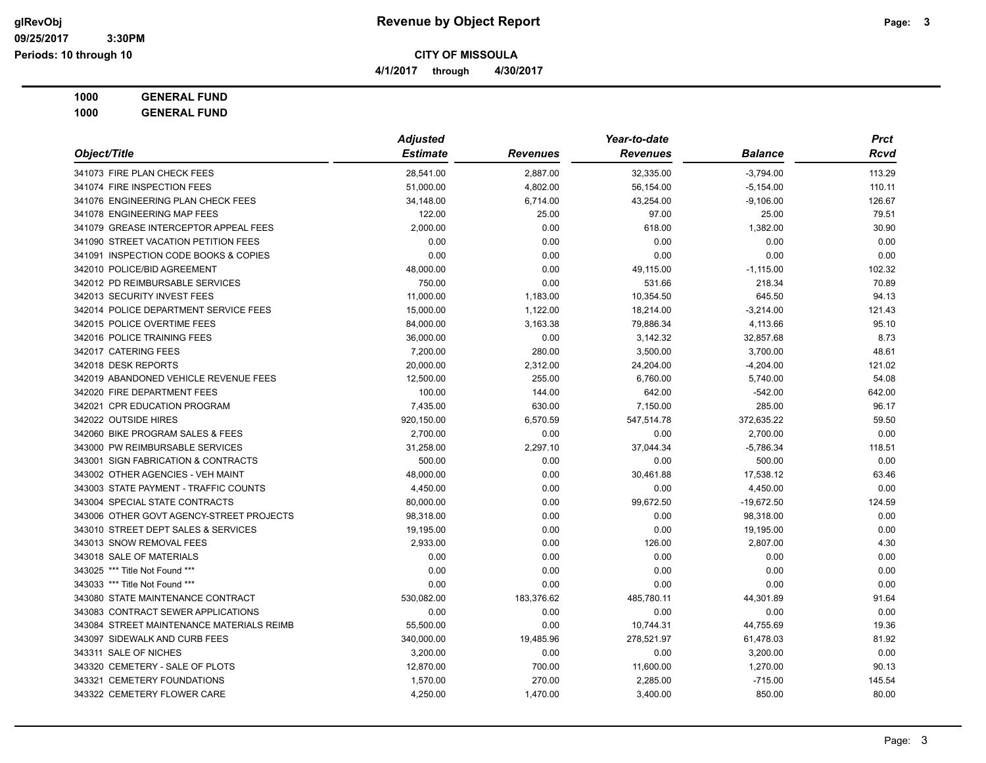**4/1/2017 through 4/30/2017**

# **1000 GENERAL FUND**

|                                           | <b>Adjusted</b> |                 | Year-to-date    |              | <b>Prct</b> |
|-------------------------------------------|-----------------|-----------------|-----------------|--------------|-------------|
| Object/Title                              | <b>Estimate</b> | <b>Revenues</b> | <b>Revenues</b> | Balance      | Rcvd        |
| 341073 FIRE PLAN CHECK FEES               | 28,541.00       | 2,887.00        | 32,335.00       | $-3,794.00$  | 113.29      |
| 341074 FIRE INSPECTION FEES               | 51,000.00       | 4,802.00        | 56,154.00       | $-5,154.00$  | 110.11      |
| 341076 ENGINEERING PLAN CHECK FEES        | 34,148.00       | 6,714.00        | 43,254.00       | $-9,106.00$  | 126.67      |
| 341078 ENGINEERING MAP FEES               | 122.00          | 25.00           | 97.00           | 25.00        | 79.51       |
| 341079 GREASE INTERCEPTOR APPEAL FEES     | 2.000.00        | 0.00            | 618.00          | 1,382.00     | 30.90       |
| 341090 STREET VACATION PETITION FEES      | 0.00            | 0.00            | 0.00            | 0.00         | 0.00        |
| 341091 INSPECTION CODE BOOKS & COPIES     | 0.00            | 0.00            | 0.00            | 0.00         | 0.00        |
| 342010 POLICE/BID AGREEMENT               | 48,000.00       | 0.00            | 49,115.00       | $-1,115.00$  | 102.32      |
| 342012 PD REIMBURSABLE SERVICES           | 750.00          | 0.00            | 531.66          | 218.34       | 70.89       |
| 342013 SECURITY INVEST FEES               | 11,000.00       | 1,183.00        | 10,354.50       | 645.50       | 94.13       |
| 342014 POLICE DEPARTMENT SERVICE FEES     | 15,000.00       | 1,122.00        | 18,214.00       | $-3,214.00$  | 121.43      |
| 342015 POLICE OVERTIME FEES               | 84,000.00       | 3,163.38        | 79,886.34       | 4,113.66     | 95.10       |
| 342016 POLICE TRAINING FEES               | 36,000.00       | 0.00            | 3,142.32        | 32,857.68    | 8.73        |
| 342017 CATERING FEES                      | 7,200.00        | 280.00          | 3,500.00        | 3,700.00     | 48.61       |
| 342018 DESK REPORTS                       | 20,000.00       | 2,312.00        | 24,204.00       | $-4,204.00$  | 121.02      |
| 342019 ABANDONED VEHICLE REVENUE FEES     | 12,500.00       | 255.00          | 6,760.00        | 5,740.00     | 54.08       |
| 342020 FIRE DEPARTMENT FEES               | 100.00          | 144.00          | 642.00          | $-542.00$    | 642.00      |
| 342021 CPR EDUCATION PROGRAM              | 7,435.00        | 630.00          | 7,150.00        | 285.00       | 96.17       |
| 342022 OUTSIDE HIRES                      | 920,150.00      | 6,570.59        | 547,514.78      | 372,635.22   | 59.50       |
| 342060 BIKE PROGRAM SALES & FEES          | 2,700.00        | 0.00            | 0.00            | 2,700.00     | 0.00        |
| 343000 PW REIMBURSABLE SERVICES           | 31,258.00       | 2,297.10        | 37,044.34       | $-5,786.34$  | 118.51      |
| 343001 SIGN FABRICATION & CONTRACTS       | 500.00          | 0.00            | 0.00            | 500.00       | 0.00        |
| 343002 OTHER AGENCIES - VEH MAINT         | 48,000.00       | 0.00            | 30,461.88       | 17,538.12    | 63.46       |
| 343003 STATE PAYMENT - TRAFFIC COUNTS     | 4,450.00        | 0.00            | 0.00            | 4,450.00     | 0.00        |
| 343004 SPECIAL STATE CONTRACTS            | 80,000.00       | 0.00            | 99,672.50       | $-19,672.50$ | 124.59      |
| 343006 OTHER GOVT AGENCY-STREET PROJECTS  | 98,318.00       | 0.00            | 0.00            | 98,318.00    | 0.00        |
| 343010 STREET DEPT SALES & SERVICES       | 19,195.00       | 0.00            | 0.00            | 19,195.00    | 0.00        |
| 343013 SNOW REMOVAL FEES                  | 2,933.00        | 0.00            | 126.00          | 2,807.00     | 4.30        |
| 343018 SALE OF MATERIALS                  | 0.00            | 0.00            | 0.00            | 0.00         | 0.00        |
| 343025 *** Title Not Found ***            | 0.00            | 0.00            | 0.00            | 0.00         | 0.00        |
| 343033 *** Title Not Found ***            | 0.00            | 0.00            | 0.00            | 0.00         | 0.00        |
| 343080 STATE MAINTENANCE CONTRACT         | 530,082.00      | 183,376.62      | 485,780.11      | 44,301.89    | 91.64       |
| 343083 CONTRACT SEWER APPLICATIONS        | 0.00            | 0.00            | 0.00            | 0.00         | 0.00        |
| 343084 STREET MAINTENANCE MATERIALS REIMB | 55,500.00       | 0.00            | 10,744.31       | 44,755.69    | 19.36       |
| 343097 SIDEWALK AND CURB FEES             | 340,000.00      | 19,485.96       | 278,521.97      | 61,478.03    | 81.92       |
| 343311 SALE OF NICHES                     | 3,200.00        | 0.00            | 0.00            | 3,200.00     | 0.00        |
| 343320 CEMETERY - SALE OF PLOTS           | 12,870.00       | 700.00          | 11,600.00       | 1,270.00     | 90.13       |
| 343321 CEMETERY FOUNDATIONS               | 1,570.00        | 270.00          | 2,285.00        | $-715.00$    | 145.54      |
| 343322 CEMETERY FLOWER CARE               | 4,250.00        | 1,470.00        | 3,400.00        | 850.00       | 80.00       |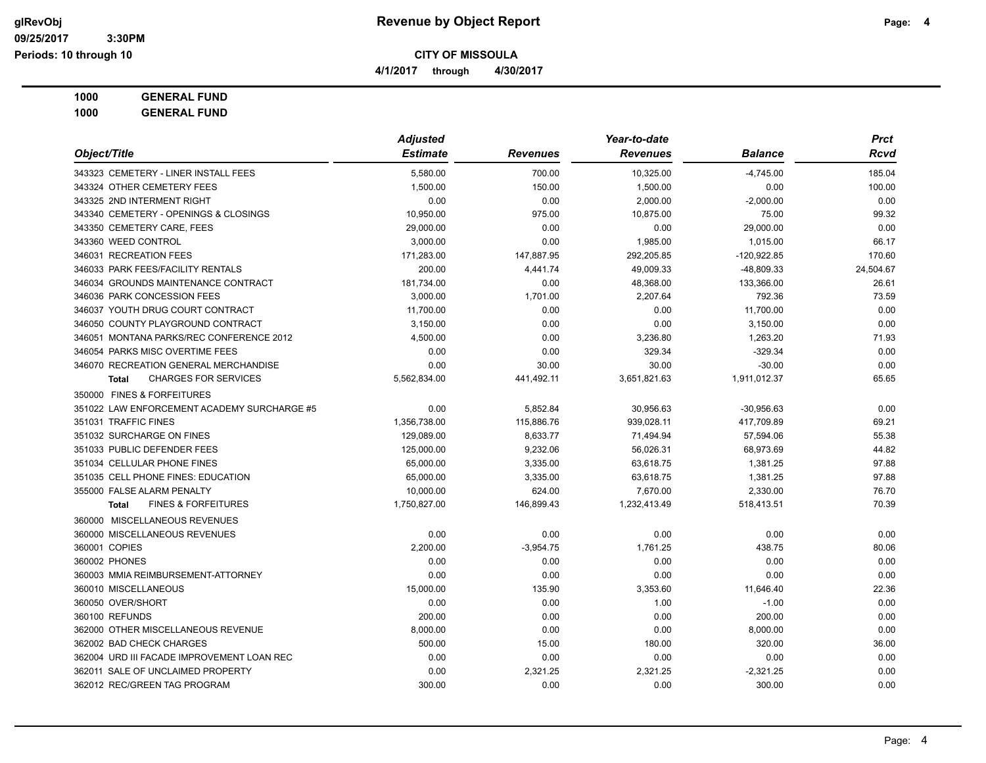**4/1/2017 through 4/30/2017**

# **1000 GENERAL FUND**

|                                                | <b>Adjusted</b> |                 | Year-to-date    |                |           |
|------------------------------------------------|-----------------|-----------------|-----------------|----------------|-----------|
| Object/Title                                   | <b>Estimate</b> | <b>Revenues</b> | <b>Revenues</b> | <b>Balance</b> | Rcvd      |
| 343323 CEMETERY - LINER INSTALL FEES           | 5.580.00        | 700.00          | 10,325.00       | $-4,745.00$    | 185.04    |
| 343324 OTHER CEMETERY FEES                     | 1,500.00        | 150.00          | 1,500.00        | 0.00           | 100.00    |
| 343325 2ND INTERMENT RIGHT                     | 0.00            | 0.00            | 2,000.00        | $-2,000.00$    | 0.00      |
| 343340 CEMETERY - OPENINGS & CLOSINGS          | 10.950.00       | 975.00          | 10,875.00       | 75.00          | 99.32     |
| 343350 CEMETERY CARE, FEES                     | 29.000.00       | 0.00            | 0.00            | 29,000.00      | 0.00      |
| 343360 WEED CONTROL                            | 3,000.00        | 0.00            | 1,985.00        | 1,015.00       | 66.17     |
| 346031 RECREATION FEES                         | 171,283.00      | 147,887.95      | 292,205.85      | -120,922.85    | 170.60    |
| 346033 PARK FEES/FACILITY RENTALS              | 200.00          | 4,441.74        | 49,009.33       | -48,809.33     | 24,504.67 |
| 346034 GROUNDS MAINTENANCE CONTRACT            | 181,734.00      | 0.00            | 48,368.00       | 133,366.00     | 26.61     |
| 346036 PARK CONCESSION FEES                    | 3,000.00        | 1,701.00        | 2,207.64        | 792.36         | 73.59     |
| 346037 YOUTH DRUG COURT CONTRACT               | 11,700.00       | 0.00            | 0.00            | 11,700.00      | 0.00      |
| 346050 COUNTY PLAYGROUND CONTRACT              | 3,150.00        | 0.00            | 0.00            | 3,150.00       | 0.00      |
| 346051 MONTANA PARKS/REC CONFERENCE 2012       | 4,500.00        | 0.00            | 3,236.80        | 1,263.20       | 71.93     |
| 346054 PARKS MISC OVERTIME FEES                | 0.00            | 0.00            | 329.34          | $-329.34$      | 0.00      |
| 346070 RECREATION GENERAL MERCHANDISE          | 0.00            | 30.00           | 30.00           | $-30.00$       | 0.00      |
| <b>CHARGES FOR SERVICES</b><br><b>Total</b>    | 5,562,834.00    | 441,492.11      | 3,651,821.63    | 1,911,012.37   | 65.65     |
| 350000 FINES & FORFEITURES                     |                 |                 |                 |                |           |
| 351022 LAW ENFORCEMENT ACADEMY SURCHARGE #5    | 0.00            | 5,852.84        | 30,956.63       | $-30,956.63$   | 0.00      |
| 351031 TRAFFIC FINES                           | 1,356,738.00    | 115,886.76      | 939,028.11      | 417,709.89     | 69.21     |
| 351032 SURCHARGE ON FINES                      | 129,089.00      | 8,633.77        | 71,494.94       | 57,594.06      | 55.38     |
| 351033 PUBLIC DEFENDER FEES                    | 125,000.00      | 9,232.06        | 56,026.31       | 68,973.69      | 44.82     |
| 351034 CELLULAR PHONE FINES                    | 65,000.00       | 3,335.00        | 63,618.75       | 1,381.25       | 97.88     |
| 351035 CELL PHONE FINES: EDUCATION             | 65,000.00       | 3,335.00        | 63,618.75       | 1,381.25       | 97.88     |
| 355000 FALSE ALARM PENALTY                     | 10,000.00       | 624.00          | 7,670.00        | 2,330.00       | 76.70     |
| <b>FINES &amp; FORFEITURES</b><br><b>Total</b> | 1,750,827.00    | 146,899.43      | 1,232,413.49    | 518,413.51     | 70.39     |
| 360000 MISCELLANEOUS REVENUES                  |                 |                 |                 |                |           |
| 360000 MISCELLANEOUS REVENUES                  | 0.00            | 0.00            | 0.00            | 0.00           | 0.00      |
| 360001 COPIES                                  | 2,200.00        | $-3,954.75$     | 1,761.25        | 438.75         | 80.06     |
| 360002 PHONES                                  | 0.00            | 0.00            | 0.00            | 0.00           | 0.00      |
| 360003 MMIA REIMBURSEMENT-ATTORNEY             | 0.00            | 0.00            | 0.00            | 0.00           | 0.00      |
| 360010 MISCELLANEOUS                           | 15,000.00       | 135.90          | 3,353.60        | 11,646.40      | 22.36     |
| 360050 OVER/SHORT                              | 0.00            | 0.00            | 1.00            | $-1.00$        | 0.00      |
| 360100 REFUNDS                                 | 200.00          | 0.00            | 0.00            | 200.00         | 0.00      |
| 362000 OTHER MISCELLANEOUS REVENUE             | 8,000.00        | 0.00            | 0.00            | 8,000.00       | 0.00      |
| 362002 BAD CHECK CHARGES                       | 500.00          | 15.00           | 180.00          | 320.00         | 36.00     |
| 362004 URD III FACADE IMPROVEMENT LOAN REC     | 0.00            | 0.00            | 0.00            | 0.00           | 0.00      |
| 362011 SALE OF UNCLAIMED PROPERTY              | 0.00            | 2,321.25        | 2,321.25        | $-2,321.25$    | 0.00      |
| 362012 REC/GREEN TAG PROGRAM                   | 300.00          | 0.00            | 0.00            | 300.00         | 0.00      |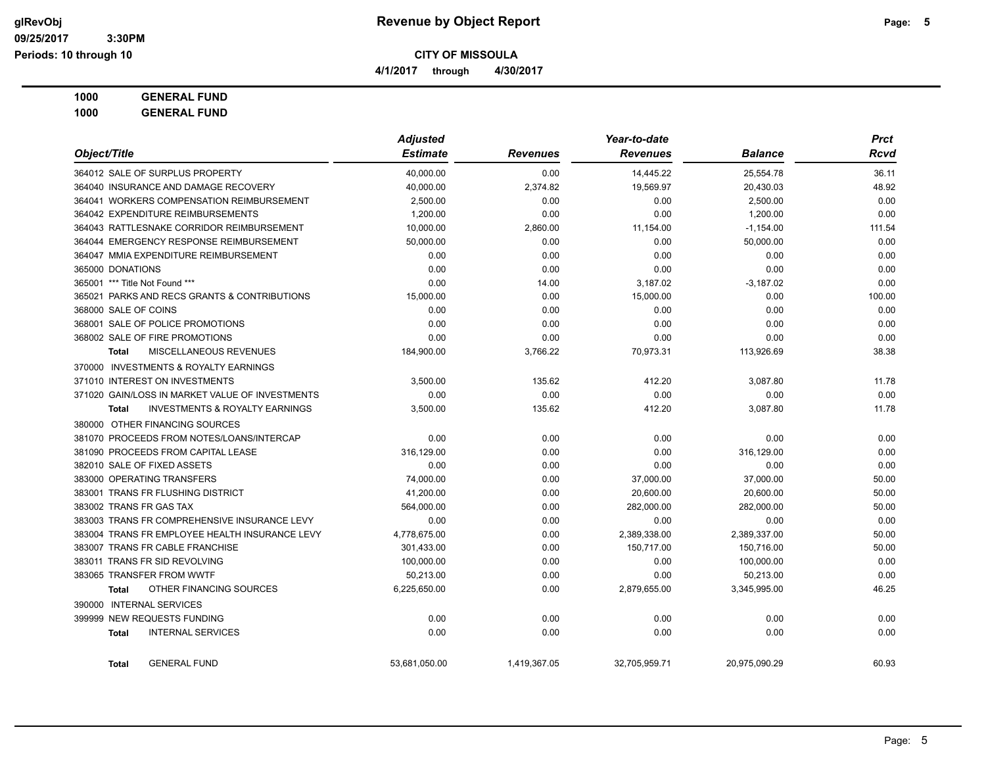**4/1/2017 through 4/30/2017**

**1000 GENERAL FUND**

|                                                           | <b>Adjusted</b> |                 | Year-to-date    |                | <b>Prct</b> |
|-----------------------------------------------------------|-----------------|-----------------|-----------------|----------------|-------------|
| Object/Title                                              | <b>Estimate</b> | <b>Revenues</b> | <b>Revenues</b> | <b>Balance</b> | Rcvd        |
| 364012 SALE OF SURPLUS PROPERTY                           | 40,000.00       | 0.00            | 14,445.22       | 25,554.78      | 36.11       |
| 364040 INSURANCE AND DAMAGE RECOVERY                      | 40,000.00       | 2,374.82        | 19,569.97       | 20,430.03      | 48.92       |
| 364041 WORKERS COMPENSATION REIMBURSEMENT                 | 2,500.00        | 0.00            | 0.00            | 2,500.00       | 0.00        |
| 364042 EXPENDITURE REIMBURSEMENTS                         | 1,200.00        | 0.00            | 0.00            | 1,200.00       | 0.00        |
| 364043 RATTLESNAKE CORRIDOR REIMBURSEMENT                 | 10,000.00       | 2,860.00        | 11,154.00       | $-1,154.00$    | 111.54      |
| 364044 EMERGENCY RESPONSE REIMBURSEMENT                   | 50,000.00       | 0.00            | 0.00            | 50,000.00      | 0.00        |
| 364047 MMIA EXPENDITURE REIMBURSEMENT                     | 0.00            | 0.00            | 0.00            | 0.00           | 0.00        |
| 365000 DONATIONS                                          | 0.00            | 0.00            | 0.00            | 0.00           | 0.00        |
| 365001 *** Title Not Found ***                            | 0.00            | 14.00           | 3,187.02        | $-3,187.02$    | 0.00        |
| 365021 PARKS AND RECS GRANTS & CONTRIBUTIONS              | 15.000.00       | 0.00            | 15,000.00       | 0.00           | 100.00      |
| 368000 SALE OF COINS                                      | 0.00            | 0.00            | 0.00            | 0.00           | 0.00        |
| 368001 SALE OF POLICE PROMOTIONS                          | 0.00            | 0.00            | 0.00            | 0.00           | 0.00        |
| 368002 SALE OF FIRE PROMOTIONS                            | 0.00            | 0.00            | 0.00            | 0.00           | 0.00        |
| MISCELLANEOUS REVENUES<br><b>Total</b>                    | 184,900.00      | 3,766.22        | 70,973.31       | 113,926.69     | 38.38       |
| 370000 INVESTMENTS & ROYALTY EARNINGS                     |                 |                 |                 |                |             |
| 371010 INTEREST ON INVESTMENTS                            | 3,500.00        | 135.62          | 412.20          | 3,087.80       | 11.78       |
| 371020 GAIN/LOSS IN MARKET VALUE OF INVESTMENTS           | 0.00            | 0.00            | 0.00            | 0.00           | 0.00        |
| <b>INVESTMENTS &amp; ROYALTY EARNINGS</b><br><b>Total</b> | 3,500.00        | 135.62          | 412.20          | 3,087.80       | 11.78       |
| 380000 OTHER FINANCING SOURCES                            |                 |                 |                 |                |             |
| 381070 PROCEEDS FROM NOTES/LOANS/INTERCAP                 | 0.00            | 0.00            | 0.00            | 0.00           | 0.00        |
| 381090 PROCEEDS FROM CAPITAL LEASE                        | 316,129.00      | 0.00            | 0.00            | 316,129.00     | 0.00        |
| 382010 SALE OF FIXED ASSETS                               | 0.00            | 0.00            | 0.00            | 0.00           | 0.00        |
| 383000 OPERATING TRANSFERS                                | 74,000.00       | 0.00            | 37,000.00       | 37,000.00      | 50.00       |
| 383001 TRANS FR FLUSHING DISTRICT                         | 41,200.00       | 0.00            | 20,600.00       | 20,600.00      | 50.00       |
| 383002 TRANS FR GAS TAX                                   | 564,000.00      | 0.00            | 282,000.00      | 282,000.00     | 50.00       |
| 383003 TRANS FR COMPREHENSIVE INSURANCE LEVY              | 0.00            | 0.00            | 0.00            | 0.00           | 0.00        |
| 383004 TRANS FR EMPLOYEE HEALTH INSURANCE LEVY            | 4,778,675.00    | 0.00            | 2,389,338.00    | 2,389,337.00   | 50.00       |
| 383007 TRANS FR CABLE FRANCHISE                           | 301,433.00      | 0.00            | 150,717.00      | 150,716.00     | 50.00       |
| 383011 TRANS FR SID REVOLVING                             | 100,000.00      | 0.00            | 0.00            | 100,000.00     | 0.00        |
| 383065 TRANSFER FROM WWTF                                 | 50,213.00       | 0.00            | 0.00            | 50,213.00      | 0.00        |
| OTHER FINANCING SOURCES<br><b>Total</b>                   | 6,225,650.00    | 0.00            | 2,879,655.00    | 3,345,995.00   | 46.25       |
| 390000 INTERNAL SERVICES                                  |                 |                 |                 |                |             |
| 399999 NEW REQUESTS FUNDING                               | 0.00            | 0.00            | 0.00            | 0.00           | 0.00        |
| <b>INTERNAL SERVICES</b><br><b>Total</b>                  | 0.00            | 0.00            | 0.00            | 0.00           | 0.00        |
|                                                           |                 |                 |                 |                |             |
| <b>GENERAL FUND</b><br><b>Total</b>                       | 53,681,050.00   | 1,419,367.05    | 32,705,959.71   | 20,975,090.29  | 60.93       |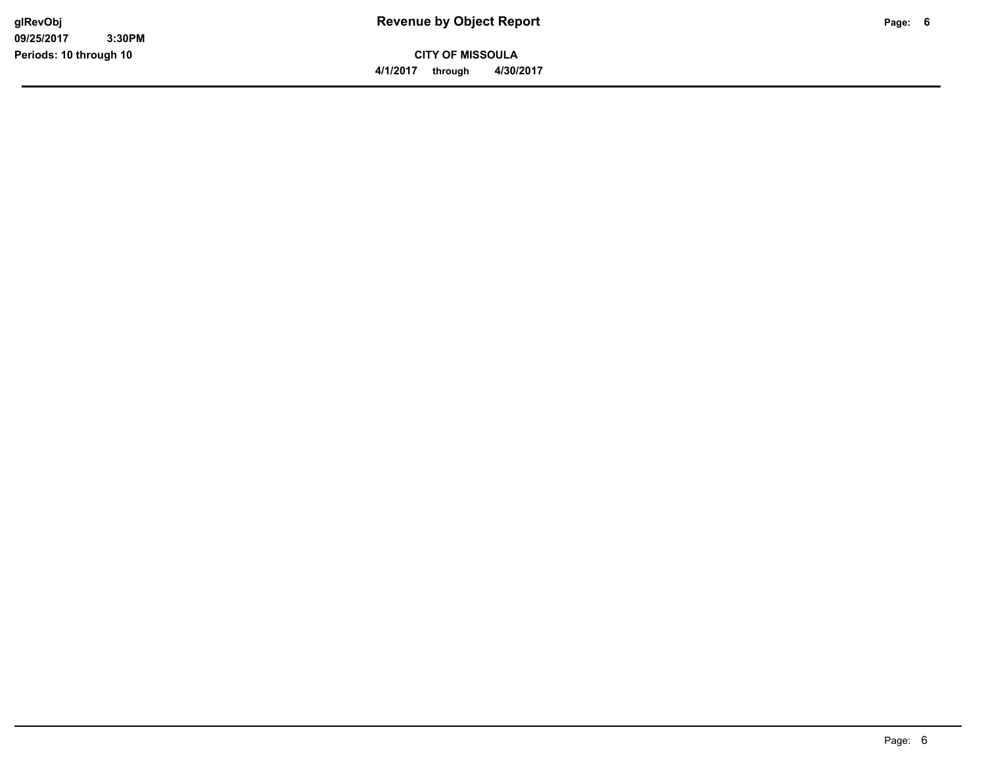**CITY OF MISSOULA 4/1/2017 through 4/30/2017**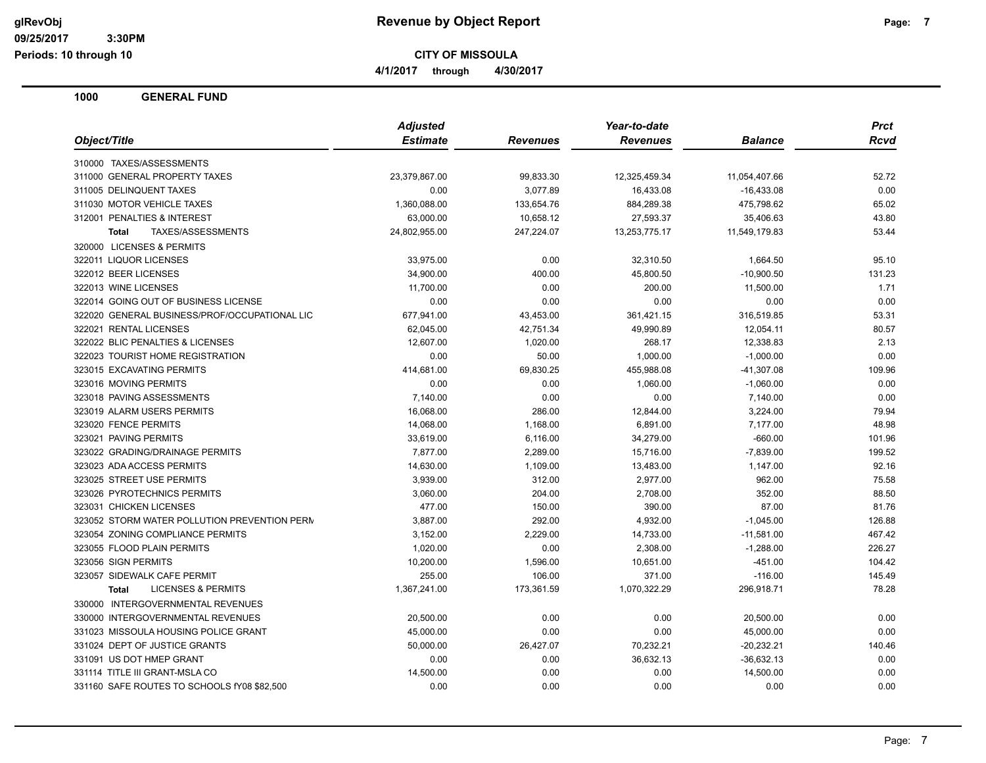**09/25/2017 3:30PM Periods: 10 through 10**

**CITY OF MISSOULA**

**4/1/2017 through 4/30/2017**

|                                               | <b>Adjusted</b> |                 | Year-to-date    |                | <b>Prct</b> |
|-----------------------------------------------|-----------------|-----------------|-----------------|----------------|-------------|
| Object/Title                                  | <b>Estimate</b> | <b>Revenues</b> | <b>Revenues</b> | <b>Balance</b> | <b>Rcvd</b> |
| 310000 TAXES/ASSESSMENTS                      |                 |                 |                 |                |             |
| 311000 GENERAL PROPERTY TAXES                 | 23,379,867.00   | 99,833.30       | 12,325,459.34   | 11,054,407.66  | 52.72       |
| 311005 DELINQUENT TAXES                       | 0.00            | 3,077.89        | 16,433.08       | $-16,433.08$   | 0.00        |
| 311030 MOTOR VEHICLE TAXES                    | 1,360,088.00    | 133,654.76      | 884,289.38      | 475,798.62     | 65.02       |
| 312001 PENALTIES & INTEREST                   | 63,000.00       | 10,658.12       | 27,593.37       | 35,406.63      | 43.80       |
| TAXES/ASSESSMENTS<br><b>Total</b>             | 24,802,955.00   | 247,224.07      | 13,253,775.17   | 11,549,179.83  | 53.44       |
| 320000 LICENSES & PERMITS                     |                 |                 |                 |                |             |
| 322011 LIQUOR LICENSES                        | 33,975.00       | 0.00            | 32,310.50       | 1,664.50       | 95.10       |
| 322012 BEER LICENSES                          | 34,900.00       | 400.00          | 45,800.50       | $-10,900.50$   | 131.23      |
| 322013 WINE LICENSES                          | 11,700.00       | 0.00            | 200.00          | 11,500.00      | 1.71        |
| 322014 GOING OUT OF BUSINESS LICENSE          | 0.00            | 0.00            | 0.00            | 0.00           | 0.00        |
| 322020 GENERAL BUSINESS/PROF/OCCUPATIONAL LIC | 677,941.00      | 43,453.00       | 361,421.15      | 316,519.85     | 53.31       |
| 322021 RENTAL LICENSES                        | 62,045.00       | 42,751.34       | 49,990.89       | 12,054.11      | 80.57       |
| 322022 BLIC PENALTIES & LICENSES              | 12,607.00       | 1,020.00        | 268.17          | 12,338.83      | 2.13        |
| 322023 TOURIST HOME REGISTRATION              | 0.00            | 50.00           | 1,000.00        | $-1,000.00$    | 0.00        |
| 323015 EXCAVATING PERMITS                     | 414,681.00      | 69,830.25       | 455,988.08      | $-41,307.08$   | 109.96      |
| 323016 MOVING PERMITS                         | 0.00            | 0.00            | 1,060.00        | $-1,060.00$    | 0.00        |
| 323018 PAVING ASSESSMENTS                     | 7,140.00        | 0.00            | 0.00            | 7,140.00       | 0.00        |
| 323019 ALARM USERS PERMITS                    | 16,068.00       | 286.00          | 12,844.00       | 3,224.00       | 79.94       |
| 323020 FENCE PERMITS                          | 14,068.00       | 1,168.00        | 6,891.00        | 7,177.00       | 48.98       |
| 323021 PAVING PERMITS                         | 33,619.00       | 6,116.00        | 34,279.00       | $-660.00$      | 101.96      |
| 323022 GRADING/DRAINAGE PERMITS               | 7,877.00        | 2,289.00        | 15,716.00       | $-7,839.00$    | 199.52      |
| 323023 ADA ACCESS PERMITS                     | 14,630.00       | 1,109.00        | 13,483.00       | 1,147.00       | 92.16       |
| 323025 STREET USE PERMITS                     | 3,939.00        | 312.00          | 2,977.00        | 962.00         | 75.58       |
| 323026 PYROTECHNICS PERMITS                   | 3,060.00        | 204.00          | 2,708.00        | 352.00         | 88.50       |
| 323031 CHICKEN LICENSES                       | 477.00          | 150.00          | 390.00          | 87.00          | 81.76       |
| 323052 STORM WATER POLLUTION PREVENTION PERM  | 3,887.00        | 292.00          | 4,932.00        | $-1,045.00$    | 126.88      |
| 323054 ZONING COMPLIANCE PERMITS              | 3,152.00        | 2,229.00        | 14,733.00       | $-11,581.00$   | 467.42      |
| 323055 FLOOD PLAIN PERMITS                    | 1,020.00        | 0.00            | 2,308.00        | $-1,288.00$    | 226.27      |
| 323056 SIGN PERMITS                           | 10,200.00       | 1,596.00        | 10,651.00       | $-451.00$      | 104.42      |
| 323057 SIDEWALK CAFE PERMIT                   | 255.00          | 106.00          | 371.00          | $-116.00$      | 145.49      |
| <b>LICENSES &amp; PERMITS</b><br>Total        | 1,367,241.00    | 173,361.59      | 1,070,322.29    | 296,918.71     | 78.28       |
| 330000 INTERGOVERNMENTAL REVENUES             |                 |                 |                 |                |             |
| 330000 INTERGOVERNMENTAL REVENUES             | 20,500.00       | 0.00            | 0.00            | 20,500.00      | 0.00        |
| 331023 MISSOULA HOUSING POLICE GRANT          | 45,000.00       | 0.00            | 0.00            | 45,000.00      | 0.00        |
| 331024 DEPT OF JUSTICE GRANTS                 | 50,000.00       | 26,427.07       | 70,232.21       | $-20,232.21$   | 140.46      |
| 331091 US DOT HMEP GRANT                      | 0.00            | 0.00            | 36,632.13       | $-36,632.13$   | 0.00        |
| 331114 TITLE III GRANT-MSLA CO                | 14,500.00       | 0.00            | 0.00            | 14,500.00      | 0.00        |
| 331160 SAFE ROUTES TO SCHOOLS fY08 \$82,500   | 0.00            | 0.00            | 0.00            | 0.00           | 0.00        |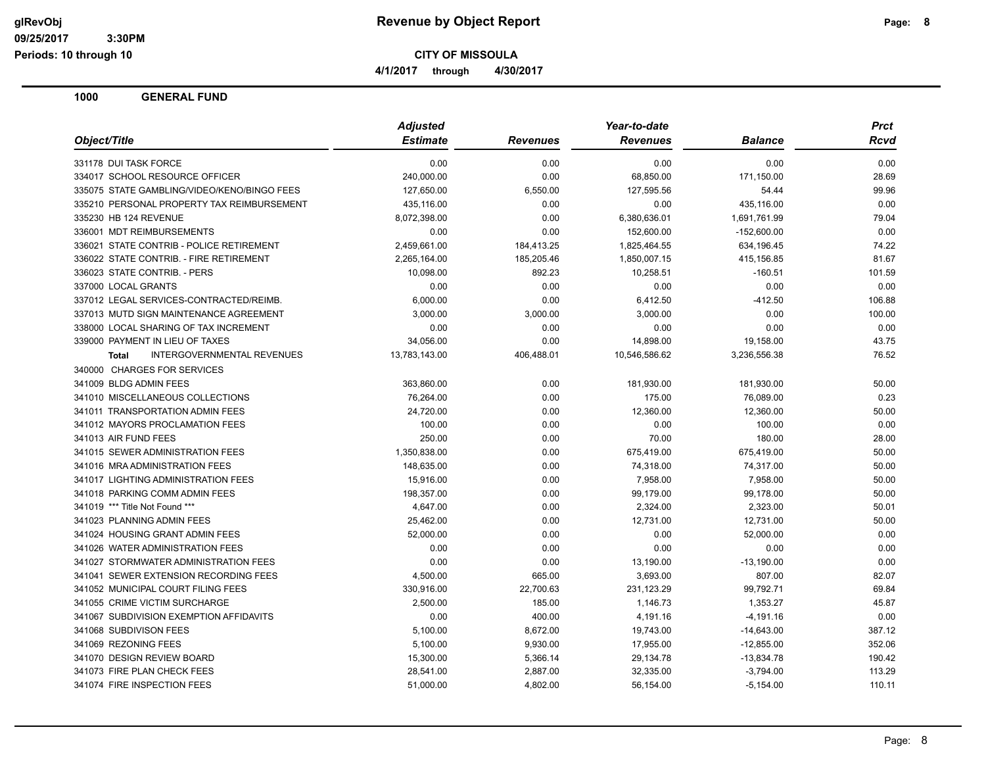**4/1/2017 through 4/30/2017**

| 0.00<br>0.00<br>0.00<br>0.00<br>331178 DUI TASK FORCE<br>0.00<br>334017 SCHOOL RESOURCE OFFICER<br>240,000.00<br>0.00<br>68,850.00<br>171,150.00<br>28.69<br>335075 STATE GAMBLING/VIDEO/KENO/BINGO FEES<br>127,650.00<br>6,550.00<br>127,595.56<br>54.44<br>99.96<br>335210 PERSONAL PROPERTY TAX REIMBURSEMENT<br>0.00<br>0.00<br>0.00<br>435,116.00<br>435,116.00<br>335230 HB 124 REVENUE<br>0.00<br>6,380,636.01<br>8,072,398.00<br>1,691,761.99<br>79.04<br>336001 MDT REIMBURSEMENTS<br>0.00<br>0.00<br>152,600.00<br>$-152,600.00$<br>0.00<br>336021 STATE CONTRIB - POLICE RETIREMENT<br>2,459,661.00<br>74.22<br>184,413.25<br>1,825,464.55<br>634,196.45<br>336022 STATE CONTRIB. - FIRE RETIREMENT<br>81.67<br>2,265,164.00<br>185,205.46<br>1,850,007.15<br>415,156.85<br>336023 STATE CONTRIB. - PERS<br>101.59<br>10,098.00<br>892.23<br>10,258.51<br>$-160.51$<br>337000 LOCAL GRANTS<br>0.00<br>0.00<br>0.00<br>0.00<br>0.00<br>0.00<br>337012 LEGAL SERVICES-CONTRACTED/REIMB.<br>6,000.00<br>6,412.50<br>$-412.50$<br>106.88<br>337013 MUTD SIGN MAINTENANCE AGREEMENT<br>0.00<br>100.00<br>3,000.00<br>3,000.00<br>3,000.00<br>0.00<br>338000 LOCAL SHARING OF TAX INCREMENT<br>0.00<br>0.00<br>0.00<br>0.00<br>0.00<br>339000 PAYMENT IN LIEU OF TAXES<br>34,056.00<br>14,898.00<br>19,158.00<br>43.75<br><b>INTERGOVERNMENTAL REVENUES</b><br>13,783,143.00<br>406,488.01<br>10,546,586.62<br>3,236,556.38<br>76.52<br><b>Total</b><br>340000 CHARGES FOR SERVICES<br>341009 BLDG ADMIN FEES<br>0.00<br>363,860.00<br>181,930.00<br>181,930.00<br>50.00<br>0.23<br>341010 MISCELLANEOUS COLLECTIONS<br>76,264.00<br>0.00<br>175.00<br>76,089.00<br>341011 TRANSPORTATION ADMIN FEES<br>24,720.00<br>0.00<br>12,360.00<br>12,360.00<br>50.00<br>341012 MAYORS PROCLAMATION FEES<br>100.00<br>0.00<br>0.00<br>0.00<br>100.00<br>341013 AIR FUND FEES<br>250.00<br>0.00<br>70.00<br>180.00<br>28.00<br>341015 SEWER ADMINISTRATION FEES<br>1,350,838.00<br>0.00<br>675,419.00<br>675,419.00<br>50.00<br>341016 MRA ADMINISTRATION FEES<br>148,635.00<br>0.00<br>74,318.00<br>74,317.00<br>50.00<br>341017 LIGHTING ADMINISTRATION FEES<br>15,916.00<br>0.00<br>7,958.00<br>7,958.00<br>50.00<br>0.00<br>341018 PARKING COMM ADMIN FEES<br>198,357.00<br>99,179.00<br>99,178.00<br>50.00<br>341019 *** Title Not Found ***<br>4,647.00<br>0.00<br>2,324.00<br>2,323.00<br>50.01<br>341023 PLANNING ADMIN FEES<br>25,462.00<br>0.00<br>12,731.00<br>12,731.00<br>50.00<br>341024 HOUSING GRANT ADMIN FEES<br>52,000.00<br>0.00<br>0.00<br>52,000.00<br>0.00<br>341026 WATER ADMINISTRATION FEES<br>0.00<br>0.00<br>0.00<br>0.00<br>0.00<br>0.00<br>0.00<br>13,190.00<br>$-13,190.00$<br>0.00<br>4,500.00<br>665.00<br>3,693.00<br>807.00<br>82.07<br>330,916.00<br>22,700.63<br>231,123.29<br>99,792.71<br>69.84<br>2,500.00<br>185.00<br>1,146.73<br>1,353.27<br>45.87<br>0.00<br>400.00<br>0.00<br>4,191.16<br>$-4,191.16$<br>5,100.00<br>8,672.00<br>19,743.00<br>$-14,643.00$<br>387.12 | Object/Title                            | <b>Adjusted</b><br><b>Estimate</b> | <b>Revenues</b> | Year-to-date<br><b>Revenues</b> | <b>Balance</b> | <b>Prct</b><br>Rcvd |
|--------------------------------------------------------------------------------------------------------------------------------------------------------------------------------------------------------------------------------------------------------------------------------------------------------------------------------------------------------------------------------------------------------------------------------------------------------------------------------------------------------------------------------------------------------------------------------------------------------------------------------------------------------------------------------------------------------------------------------------------------------------------------------------------------------------------------------------------------------------------------------------------------------------------------------------------------------------------------------------------------------------------------------------------------------------------------------------------------------------------------------------------------------------------------------------------------------------------------------------------------------------------------------------------------------------------------------------------------------------------------------------------------------------------------------------------------------------------------------------------------------------------------------------------------------------------------------------------------------------------------------------------------------------------------------------------------------------------------------------------------------------------------------------------------------------------------------------------------------------------------------------------------------------------------------------------------------------------------------------------------------------------------------------------------------------------------------------------------------------------------------------------------------------------------------------------------------------------------------------------------------------------------------------------------------------------------------------------------------------------------------------------------------------------------------------------------------------------------------------------------------------------------------------------------------------------------------------------------------------------------------------------------------------------------------------------------------------------------------------------------------------------------------------------------------------------------------------------------------------------------------------------------------------------------------------------------------------------------------------------------------------|-----------------------------------------|------------------------------------|-----------------|---------------------------------|----------------|---------------------|
|                                                                                                                                                                                                                                                                                                                                                                                                                                                                                                                                                                                                                                                                                                                                                                                                                                                                                                                                                                                                                                                                                                                                                                                                                                                                                                                                                                                                                                                                                                                                                                                                                                                                                                                                                                                                                                                                                                                                                                                                                                                                                                                                                                                                                                                                                                                                                                                                                                                                                                                                                                                                                                                                                                                                                                                                                                                                                                                                                                                                              |                                         |                                    |                 |                                 |                |                     |
|                                                                                                                                                                                                                                                                                                                                                                                                                                                                                                                                                                                                                                                                                                                                                                                                                                                                                                                                                                                                                                                                                                                                                                                                                                                                                                                                                                                                                                                                                                                                                                                                                                                                                                                                                                                                                                                                                                                                                                                                                                                                                                                                                                                                                                                                                                                                                                                                                                                                                                                                                                                                                                                                                                                                                                                                                                                                                                                                                                                                              |                                         |                                    |                 |                                 |                |                     |
|                                                                                                                                                                                                                                                                                                                                                                                                                                                                                                                                                                                                                                                                                                                                                                                                                                                                                                                                                                                                                                                                                                                                                                                                                                                                                                                                                                                                                                                                                                                                                                                                                                                                                                                                                                                                                                                                                                                                                                                                                                                                                                                                                                                                                                                                                                                                                                                                                                                                                                                                                                                                                                                                                                                                                                                                                                                                                                                                                                                                              |                                         |                                    |                 |                                 |                |                     |
|                                                                                                                                                                                                                                                                                                                                                                                                                                                                                                                                                                                                                                                                                                                                                                                                                                                                                                                                                                                                                                                                                                                                                                                                                                                                                                                                                                                                                                                                                                                                                                                                                                                                                                                                                                                                                                                                                                                                                                                                                                                                                                                                                                                                                                                                                                                                                                                                                                                                                                                                                                                                                                                                                                                                                                                                                                                                                                                                                                                                              |                                         |                                    |                 |                                 |                |                     |
|                                                                                                                                                                                                                                                                                                                                                                                                                                                                                                                                                                                                                                                                                                                                                                                                                                                                                                                                                                                                                                                                                                                                                                                                                                                                                                                                                                                                                                                                                                                                                                                                                                                                                                                                                                                                                                                                                                                                                                                                                                                                                                                                                                                                                                                                                                                                                                                                                                                                                                                                                                                                                                                                                                                                                                                                                                                                                                                                                                                                              |                                         |                                    |                 |                                 |                |                     |
|                                                                                                                                                                                                                                                                                                                                                                                                                                                                                                                                                                                                                                                                                                                                                                                                                                                                                                                                                                                                                                                                                                                                                                                                                                                                                                                                                                                                                                                                                                                                                                                                                                                                                                                                                                                                                                                                                                                                                                                                                                                                                                                                                                                                                                                                                                                                                                                                                                                                                                                                                                                                                                                                                                                                                                                                                                                                                                                                                                                                              |                                         |                                    |                 |                                 |                |                     |
|                                                                                                                                                                                                                                                                                                                                                                                                                                                                                                                                                                                                                                                                                                                                                                                                                                                                                                                                                                                                                                                                                                                                                                                                                                                                                                                                                                                                                                                                                                                                                                                                                                                                                                                                                                                                                                                                                                                                                                                                                                                                                                                                                                                                                                                                                                                                                                                                                                                                                                                                                                                                                                                                                                                                                                                                                                                                                                                                                                                                              |                                         |                                    |                 |                                 |                |                     |
|                                                                                                                                                                                                                                                                                                                                                                                                                                                                                                                                                                                                                                                                                                                                                                                                                                                                                                                                                                                                                                                                                                                                                                                                                                                                                                                                                                                                                                                                                                                                                                                                                                                                                                                                                                                                                                                                                                                                                                                                                                                                                                                                                                                                                                                                                                                                                                                                                                                                                                                                                                                                                                                                                                                                                                                                                                                                                                                                                                                                              |                                         |                                    |                 |                                 |                |                     |
|                                                                                                                                                                                                                                                                                                                                                                                                                                                                                                                                                                                                                                                                                                                                                                                                                                                                                                                                                                                                                                                                                                                                                                                                                                                                                                                                                                                                                                                                                                                                                                                                                                                                                                                                                                                                                                                                                                                                                                                                                                                                                                                                                                                                                                                                                                                                                                                                                                                                                                                                                                                                                                                                                                                                                                                                                                                                                                                                                                                                              |                                         |                                    |                 |                                 |                |                     |
|                                                                                                                                                                                                                                                                                                                                                                                                                                                                                                                                                                                                                                                                                                                                                                                                                                                                                                                                                                                                                                                                                                                                                                                                                                                                                                                                                                                                                                                                                                                                                                                                                                                                                                                                                                                                                                                                                                                                                                                                                                                                                                                                                                                                                                                                                                                                                                                                                                                                                                                                                                                                                                                                                                                                                                                                                                                                                                                                                                                                              |                                         |                                    |                 |                                 |                |                     |
|                                                                                                                                                                                                                                                                                                                                                                                                                                                                                                                                                                                                                                                                                                                                                                                                                                                                                                                                                                                                                                                                                                                                                                                                                                                                                                                                                                                                                                                                                                                                                                                                                                                                                                                                                                                                                                                                                                                                                                                                                                                                                                                                                                                                                                                                                                                                                                                                                                                                                                                                                                                                                                                                                                                                                                                                                                                                                                                                                                                                              |                                         |                                    |                 |                                 |                |                     |
|                                                                                                                                                                                                                                                                                                                                                                                                                                                                                                                                                                                                                                                                                                                                                                                                                                                                                                                                                                                                                                                                                                                                                                                                                                                                                                                                                                                                                                                                                                                                                                                                                                                                                                                                                                                                                                                                                                                                                                                                                                                                                                                                                                                                                                                                                                                                                                                                                                                                                                                                                                                                                                                                                                                                                                                                                                                                                                                                                                                                              |                                         |                                    |                 |                                 |                |                     |
|                                                                                                                                                                                                                                                                                                                                                                                                                                                                                                                                                                                                                                                                                                                                                                                                                                                                                                                                                                                                                                                                                                                                                                                                                                                                                                                                                                                                                                                                                                                                                                                                                                                                                                                                                                                                                                                                                                                                                                                                                                                                                                                                                                                                                                                                                                                                                                                                                                                                                                                                                                                                                                                                                                                                                                                                                                                                                                                                                                                                              |                                         |                                    |                 |                                 |                |                     |
|                                                                                                                                                                                                                                                                                                                                                                                                                                                                                                                                                                                                                                                                                                                                                                                                                                                                                                                                                                                                                                                                                                                                                                                                                                                                                                                                                                                                                                                                                                                                                                                                                                                                                                                                                                                                                                                                                                                                                                                                                                                                                                                                                                                                                                                                                                                                                                                                                                                                                                                                                                                                                                                                                                                                                                                                                                                                                                                                                                                                              |                                         |                                    |                 |                                 |                |                     |
|                                                                                                                                                                                                                                                                                                                                                                                                                                                                                                                                                                                                                                                                                                                                                                                                                                                                                                                                                                                                                                                                                                                                                                                                                                                                                                                                                                                                                                                                                                                                                                                                                                                                                                                                                                                                                                                                                                                                                                                                                                                                                                                                                                                                                                                                                                                                                                                                                                                                                                                                                                                                                                                                                                                                                                                                                                                                                                                                                                                                              |                                         |                                    |                 |                                 |                |                     |
|                                                                                                                                                                                                                                                                                                                                                                                                                                                                                                                                                                                                                                                                                                                                                                                                                                                                                                                                                                                                                                                                                                                                                                                                                                                                                                                                                                                                                                                                                                                                                                                                                                                                                                                                                                                                                                                                                                                                                                                                                                                                                                                                                                                                                                                                                                                                                                                                                                                                                                                                                                                                                                                                                                                                                                                                                                                                                                                                                                                                              |                                         |                                    |                 |                                 |                |                     |
|                                                                                                                                                                                                                                                                                                                                                                                                                                                                                                                                                                                                                                                                                                                                                                                                                                                                                                                                                                                                                                                                                                                                                                                                                                                                                                                                                                                                                                                                                                                                                                                                                                                                                                                                                                                                                                                                                                                                                                                                                                                                                                                                                                                                                                                                                                                                                                                                                                                                                                                                                                                                                                                                                                                                                                                                                                                                                                                                                                                                              |                                         |                                    |                 |                                 |                |                     |
|                                                                                                                                                                                                                                                                                                                                                                                                                                                                                                                                                                                                                                                                                                                                                                                                                                                                                                                                                                                                                                                                                                                                                                                                                                                                                                                                                                                                                                                                                                                                                                                                                                                                                                                                                                                                                                                                                                                                                                                                                                                                                                                                                                                                                                                                                                                                                                                                                                                                                                                                                                                                                                                                                                                                                                                                                                                                                                                                                                                                              |                                         |                                    |                 |                                 |                |                     |
|                                                                                                                                                                                                                                                                                                                                                                                                                                                                                                                                                                                                                                                                                                                                                                                                                                                                                                                                                                                                                                                                                                                                                                                                                                                                                                                                                                                                                                                                                                                                                                                                                                                                                                                                                                                                                                                                                                                                                                                                                                                                                                                                                                                                                                                                                                                                                                                                                                                                                                                                                                                                                                                                                                                                                                                                                                                                                                                                                                                                              |                                         |                                    |                 |                                 |                |                     |
|                                                                                                                                                                                                                                                                                                                                                                                                                                                                                                                                                                                                                                                                                                                                                                                                                                                                                                                                                                                                                                                                                                                                                                                                                                                                                                                                                                                                                                                                                                                                                                                                                                                                                                                                                                                                                                                                                                                                                                                                                                                                                                                                                                                                                                                                                                                                                                                                                                                                                                                                                                                                                                                                                                                                                                                                                                                                                                                                                                                                              |                                         |                                    |                 |                                 |                |                     |
|                                                                                                                                                                                                                                                                                                                                                                                                                                                                                                                                                                                                                                                                                                                                                                                                                                                                                                                                                                                                                                                                                                                                                                                                                                                                                                                                                                                                                                                                                                                                                                                                                                                                                                                                                                                                                                                                                                                                                                                                                                                                                                                                                                                                                                                                                                                                                                                                                                                                                                                                                                                                                                                                                                                                                                                                                                                                                                                                                                                                              |                                         |                                    |                 |                                 |                |                     |
|                                                                                                                                                                                                                                                                                                                                                                                                                                                                                                                                                                                                                                                                                                                                                                                                                                                                                                                                                                                                                                                                                                                                                                                                                                                                                                                                                                                                                                                                                                                                                                                                                                                                                                                                                                                                                                                                                                                                                                                                                                                                                                                                                                                                                                                                                                                                                                                                                                                                                                                                                                                                                                                                                                                                                                                                                                                                                                                                                                                                              |                                         |                                    |                 |                                 |                |                     |
|                                                                                                                                                                                                                                                                                                                                                                                                                                                                                                                                                                                                                                                                                                                                                                                                                                                                                                                                                                                                                                                                                                                                                                                                                                                                                                                                                                                                                                                                                                                                                                                                                                                                                                                                                                                                                                                                                                                                                                                                                                                                                                                                                                                                                                                                                                                                                                                                                                                                                                                                                                                                                                                                                                                                                                                                                                                                                                                                                                                                              |                                         |                                    |                 |                                 |                |                     |
|                                                                                                                                                                                                                                                                                                                                                                                                                                                                                                                                                                                                                                                                                                                                                                                                                                                                                                                                                                                                                                                                                                                                                                                                                                                                                                                                                                                                                                                                                                                                                                                                                                                                                                                                                                                                                                                                                                                                                                                                                                                                                                                                                                                                                                                                                                                                                                                                                                                                                                                                                                                                                                                                                                                                                                                                                                                                                                                                                                                                              |                                         |                                    |                 |                                 |                |                     |
|                                                                                                                                                                                                                                                                                                                                                                                                                                                                                                                                                                                                                                                                                                                                                                                                                                                                                                                                                                                                                                                                                                                                                                                                                                                                                                                                                                                                                                                                                                                                                                                                                                                                                                                                                                                                                                                                                                                                                                                                                                                                                                                                                                                                                                                                                                                                                                                                                                                                                                                                                                                                                                                                                                                                                                                                                                                                                                                                                                                                              |                                         |                                    |                 |                                 |                |                     |
|                                                                                                                                                                                                                                                                                                                                                                                                                                                                                                                                                                                                                                                                                                                                                                                                                                                                                                                                                                                                                                                                                                                                                                                                                                                                                                                                                                                                                                                                                                                                                                                                                                                                                                                                                                                                                                                                                                                                                                                                                                                                                                                                                                                                                                                                                                                                                                                                                                                                                                                                                                                                                                                                                                                                                                                                                                                                                                                                                                                                              |                                         |                                    |                 |                                 |                |                     |
|                                                                                                                                                                                                                                                                                                                                                                                                                                                                                                                                                                                                                                                                                                                                                                                                                                                                                                                                                                                                                                                                                                                                                                                                                                                                                                                                                                                                                                                                                                                                                                                                                                                                                                                                                                                                                                                                                                                                                                                                                                                                                                                                                                                                                                                                                                                                                                                                                                                                                                                                                                                                                                                                                                                                                                                                                                                                                                                                                                                                              |                                         |                                    |                 |                                 |                |                     |
|                                                                                                                                                                                                                                                                                                                                                                                                                                                                                                                                                                                                                                                                                                                                                                                                                                                                                                                                                                                                                                                                                                                                                                                                                                                                                                                                                                                                                                                                                                                                                                                                                                                                                                                                                                                                                                                                                                                                                                                                                                                                                                                                                                                                                                                                                                                                                                                                                                                                                                                                                                                                                                                                                                                                                                                                                                                                                                                                                                                                              |                                         |                                    |                 |                                 |                |                     |
|                                                                                                                                                                                                                                                                                                                                                                                                                                                                                                                                                                                                                                                                                                                                                                                                                                                                                                                                                                                                                                                                                                                                                                                                                                                                                                                                                                                                                                                                                                                                                                                                                                                                                                                                                                                                                                                                                                                                                                                                                                                                                                                                                                                                                                                                                                                                                                                                                                                                                                                                                                                                                                                                                                                                                                                                                                                                                                                                                                                                              |                                         |                                    |                 |                                 |                |                     |
|                                                                                                                                                                                                                                                                                                                                                                                                                                                                                                                                                                                                                                                                                                                                                                                                                                                                                                                                                                                                                                                                                                                                                                                                                                                                                                                                                                                                                                                                                                                                                                                                                                                                                                                                                                                                                                                                                                                                                                                                                                                                                                                                                                                                                                                                                                                                                                                                                                                                                                                                                                                                                                                                                                                                                                                                                                                                                                                                                                                                              | 341027 STORMWATER ADMINISTRATION FEES   |                                    |                 |                                 |                |                     |
|                                                                                                                                                                                                                                                                                                                                                                                                                                                                                                                                                                                                                                                                                                                                                                                                                                                                                                                                                                                                                                                                                                                                                                                                                                                                                                                                                                                                                                                                                                                                                                                                                                                                                                                                                                                                                                                                                                                                                                                                                                                                                                                                                                                                                                                                                                                                                                                                                                                                                                                                                                                                                                                                                                                                                                                                                                                                                                                                                                                                              | 341041 SEWER EXTENSION RECORDING FEES   |                                    |                 |                                 |                |                     |
|                                                                                                                                                                                                                                                                                                                                                                                                                                                                                                                                                                                                                                                                                                                                                                                                                                                                                                                                                                                                                                                                                                                                                                                                                                                                                                                                                                                                                                                                                                                                                                                                                                                                                                                                                                                                                                                                                                                                                                                                                                                                                                                                                                                                                                                                                                                                                                                                                                                                                                                                                                                                                                                                                                                                                                                                                                                                                                                                                                                                              | 341052 MUNICIPAL COURT FILING FEES      |                                    |                 |                                 |                |                     |
|                                                                                                                                                                                                                                                                                                                                                                                                                                                                                                                                                                                                                                                                                                                                                                                                                                                                                                                                                                                                                                                                                                                                                                                                                                                                                                                                                                                                                                                                                                                                                                                                                                                                                                                                                                                                                                                                                                                                                                                                                                                                                                                                                                                                                                                                                                                                                                                                                                                                                                                                                                                                                                                                                                                                                                                                                                                                                                                                                                                                              | 341055 CRIME VICTIM SURCHARGE           |                                    |                 |                                 |                |                     |
|                                                                                                                                                                                                                                                                                                                                                                                                                                                                                                                                                                                                                                                                                                                                                                                                                                                                                                                                                                                                                                                                                                                                                                                                                                                                                                                                                                                                                                                                                                                                                                                                                                                                                                                                                                                                                                                                                                                                                                                                                                                                                                                                                                                                                                                                                                                                                                                                                                                                                                                                                                                                                                                                                                                                                                                                                                                                                                                                                                                                              | 341067 SUBDIVISION EXEMPTION AFFIDAVITS |                                    |                 |                                 |                |                     |
|                                                                                                                                                                                                                                                                                                                                                                                                                                                                                                                                                                                                                                                                                                                                                                                                                                                                                                                                                                                                                                                                                                                                                                                                                                                                                                                                                                                                                                                                                                                                                                                                                                                                                                                                                                                                                                                                                                                                                                                                                                                                                                                                                                                                                                                                                                                                                                                                                                                                                                                                                                                                                                                                                                                                                                                                                                                                                                                                                                                                              | 341068 SUBDIVISON FEES                  |                                    |                 |                                 |                |                     |
|                                                                                                                                                                                                                                                                                                                                                                                                                                                                                                                                                                                                                                                                                                                                                                                                                                                                                                                                                                                                                                                                                                                                                                                                                                                                                                                                                                                                                                                                                                                                                                                                                                                                                                                                                                                                                                                                                                                                                                                                                                                                                                                                                                                                                                                                                                                                                                                                                                                                                                                                                                                                                                                                                                                                                                                                                                                                                                                                                                                                              | 341069 REZONING FEES                    | 5,100.00                           | 9,930.00        | 17,955.00                       | $-12,855.00$   | 352.06              |
| 15,300.00<br>5,366.14<br>29,134.78<br>$-13,834.78$<br>190.42                                                                                                                                                                                                                                                                                                                                                                                                                                                                                                                                                                                                                                                                                                                                                                                                                                                                                                                                                                                                                                                                                                                                                                                                                                                                                                                                                                                                                                                                                                                                                                                                                                                                                                                                                                                                                                                                                                                                                                                                                                                                                                                                                                                                                                                                                                                                                                                                                                                                                                                                                                                                                                                                                                                                                                                                                                                                                                                                                 | 341070 DESIGN REVIEW BOARD              |                                    |                 |                                 |                |                     |
| 28,541.00<br>2,887.00<br>32,335.00<br>$-3,794.00$<br>113.29                                                                                                                                                                                                                                                                                                                                                                                                                                                                                                                                                                                                                                                                                                                                                                                                                                                                                                                                                                                                                                                                                                                                                                                                                                                                                                                                                                                                                                                                                                                                                                                                                                                                                                                                                                                                                                                                                                                                                                                                                                                                                                                                                                                                                                                                                                                                                                                                                                                                                                                                                                                                                                                                                                                                                                                                                                                                                                                                                  | 341073 FIRE PLAN CHECK FEES             |                                    |                 |                                 |                |                     |
| 110.11<br>51,000.00<br>4,802.00<br>56,154.00<br>$-5,154.00$                                                                                                                                                                                                                                                                                                                                                                                                                                                                                                                                                                                                                                                                                                                                                                                                                                                                                                                                                                                                                                                                                                                                                                                                                                                                                                                                                                                                                                                                                                                                                                                                                                                                                                                                                                                                                                                                                                                                                                                                                                                                                                                                                                                                                                                                                                                                                                                                                                                                                                                                                                                                                                                                                                                                                                                                                                                                                                                                                  | 341074 FIRE INSPECTION FEES             |                                    |                 |                                 |                |                     |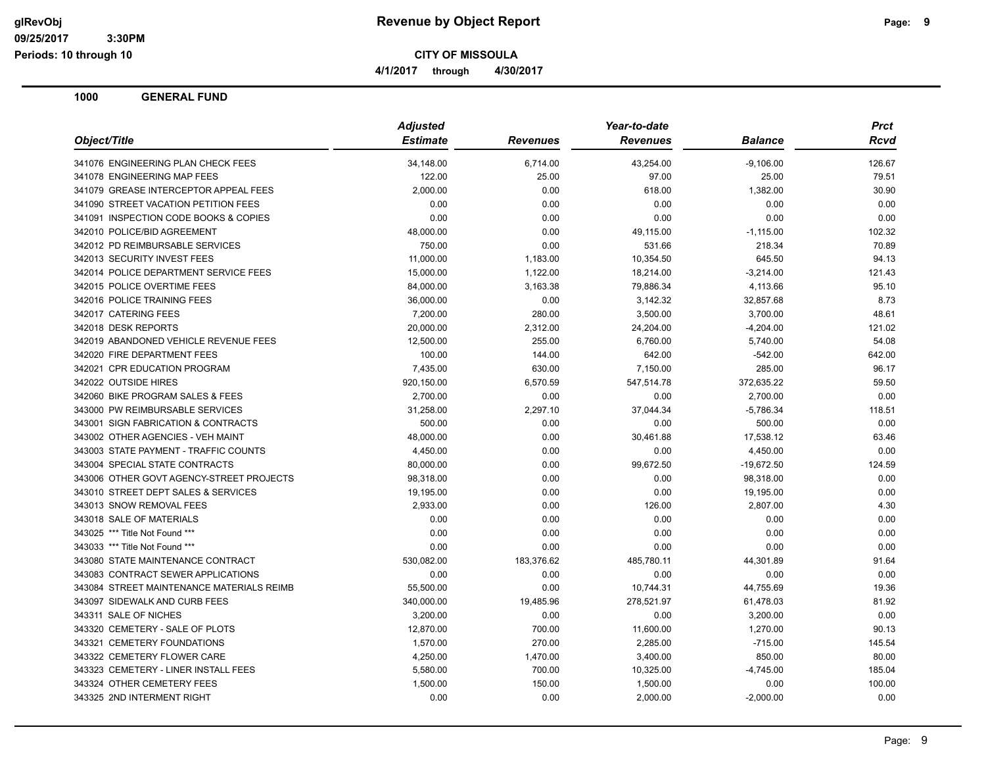**Periods: 10 through 10**

**CITY OF MISSOULA**

**4/1/2017 through 4/30/2017**

#### **1000 GENERAL FUND**

 **3:30PM**

| Object/Title                              | <b>Adjusted</b> |                 | Year-to-date    |                | <b>Prct</b> |
|-------------------------------------------|-----------------|-----------------|-----------------|----------------|-------------|
|                                           | <b>Estimate</b> | <b>Revenues</b> | <b>Revenues</b> | <b>Balance</b> | Rcvd        |
| 341076 ENGINEERING PLAN CHECK FEES        | 34,148.00       | 6,714.00        | 43,254.00       | $-9,106.00$    | 126.67      |
| 341078 ENGINEERING MAP FEES               | 122.00          | 25.00           | 97.00           | 25.00          | 79.51       |
| 341079 GREASE INTERCEPTOR APPEAL FEES     | 2,000.00        | 0.00            | 618.00          | 1,382.00       | 30.90       |
| 341090 STREET VACATION PETITION FEES      | 0.00            | 0.00            | 0.00            | 0.00           | 0.00        |
| 341091 INSPECTION CODE BOOKS & COPIES     | 0.00            | 0.00            | 0.00            | 0.00           | 0.00        |
| 342010 POLICE/BID AGREEMENT               | 48,000.00       | 0.00            | 49,115.00       | $-1,115.00$    | 102.32      |
| 342012 PD REIMBURSABLE SERVICES           | 750.00          | 0.00            | 531.66          | 218.34         | 70.89       |
| 342013 SECURITY INVEST FEES               | 11,000.00       | 1,183.00        | 10,354.50       | 645.50         | 94.13       |
| 342014 POLICE DEPARTMENT SERVICE FEES     | 15,000.00       | 1,122.00        | 18,214.00       | $-3,214.00$    | 121.43      |
| 342015 POLICE OVERTIME FEES               | 84,000.00       | 3,163.38        | 79,886.34       | 4,113.66       | 95.10       |
| 342016 POLICE TRAINING FEES               | 36,000.00       | 0.00            | 3,142.32        | 32,857.68      | 8.73        |
| 342017 CATERING FEES                      | 7,200.00        | 280.00          | 3,500.00        | 3,700.00       | 48.61       |
| 342018 DESK REPORTS                       | 20,000.00       | 2,312.00        | 24,204.00       | $-4,204.00$    | 121.02      |
| 342019 ABANDONED VEHICLE REVENUE FEES     | 12,500.00       | 255.00          | 6,760.00        | 5,740.00       | 54.08       |
| 342020 FIRE DEPARTMENT FEES               | 100.00          | 144.00          | 642.00          | $-542.00$      | 642.00      |
| 342021 CPR EDUCATION PROGRAM              | 7,435.00        | 630.00          | 7,150.00        | 285.00         | 96.17       |
| 342022 OUTSIDE HIRES                      | 920,150.00      | 6,570.59        | 547,514.78      | 372,635.22     | 59.50       |
| 342060 BIKE PROGRAM SALES & FEES          | 2,700.00        | 0.00            | 0.00            | 2,700.00       | 0.00        |
| 343000 PW REIMBURSABLE SERVICES           | 31,258.00       | 2,297.10        | 37,044.34       | $-5,786.34$    | 118.51      |
| 343001 SIGN FABRICATION & CONTRACTS       | 500.00          | 0.00            | 0.00            | 500.00         | 0.00        |
| 343002 OTHER AGENCIES - VEH MAINT         | 48,000.00       | 0.00            | 30,461.88       | 17,538.12      | 63.46       |
| 343003 STATE PAYMENT - TRAFFIC COUNTS     | 4,450.00        | 0.00            | 0.00            | 4,450.00       | 0.00        |
| 343004 SPECIAL STATE CONTRACTS            | 80,000.00       | 0.00            | 99,672.50       | $-19,672.50$   | 124.59      |
| 343006 OTHER GOVT AGENCY-STREET PROJECTS  | 98,318.00       | 0.00            | 0.00            | 98,318.00      | 0.00        |
| 343010 STREET DEPT SALES & SERVICES       | 19,195.00       | 0.00            | 0.00            | 19,195.00      | 0.00        |
| 343013 SNOW REMOVAL FEES                  | 2,933.00        | 0.00            | 126.00          | 2,807.00       | 4.30        |
| 343018 SALE OF MATERIALS                  | 0.00            | 0.00            | 0.00            | 0.00           | 0.00        |
| 343025 *** Title Not Found ***            | 0.00            | 0.00            | 0.00            | 0.00           | 0.00        |
| 343033 *** Title Not Found ***            | 0.00            | 0.00            | 0.00            | 0.00           | 0.00        |
| 343080 STATE MAINTENANCE CONTRACT         | 530,082.00      | 183,376.62      | 485,780.11      | 44,301.89      | 91.64       |
| 343083 CONTRACT SEWER APPLICATIONS        | 0.00            | 0.00            | 0.00            | 0.00           | 0.00        |
| 343084 STREET MAINTENANCE MATERIALS REIMB | 55,500.00       | 0.00            | 10,744.31       | 44,755.69      | 19.36       |
| 343097 SIDEWALK AND CURB FEES             | 340,000.00      | 19,485.96       | 278,521.97      | 61,478.03      | 81.92       |
| 343311 SALE OF NICHES                     | 3,200.00        | 0.00            | 0.00            | 3,200.00       | 0.00        |
| 343320 CEMETERY - SALE OF PLOTS           | 12,870.00       | 700.00          | 11,600.00       | 1,270.00       | 90.13       |
| 343321 CEMETERY FOUNDATIONS               | 1,570.00        | 270.00          | 2,285.00        | $-715.00$      | 145.54      |
| 343322 CEMETERY FLOWER CARE               | 4,250.00        | 1,470.00        | 3,400.00        | 850.00         | 80.00       |
| 343323 CEMETERY - LINER INSTALL FEES      | 5,580.00        | 700.00          | 10,325.00       | $-4,745.00$    | 185.04      |
| 343324 OTHER CEMETERY FEES                | 1,500.00        | 150.00          | 1,500.00        | 0.00           | 100.00      |
| 343325 2ND INTERMENT RIGHT                | 0.00            | 0.00            | 2,000.00        | $-2,000.00$    | 0.00        |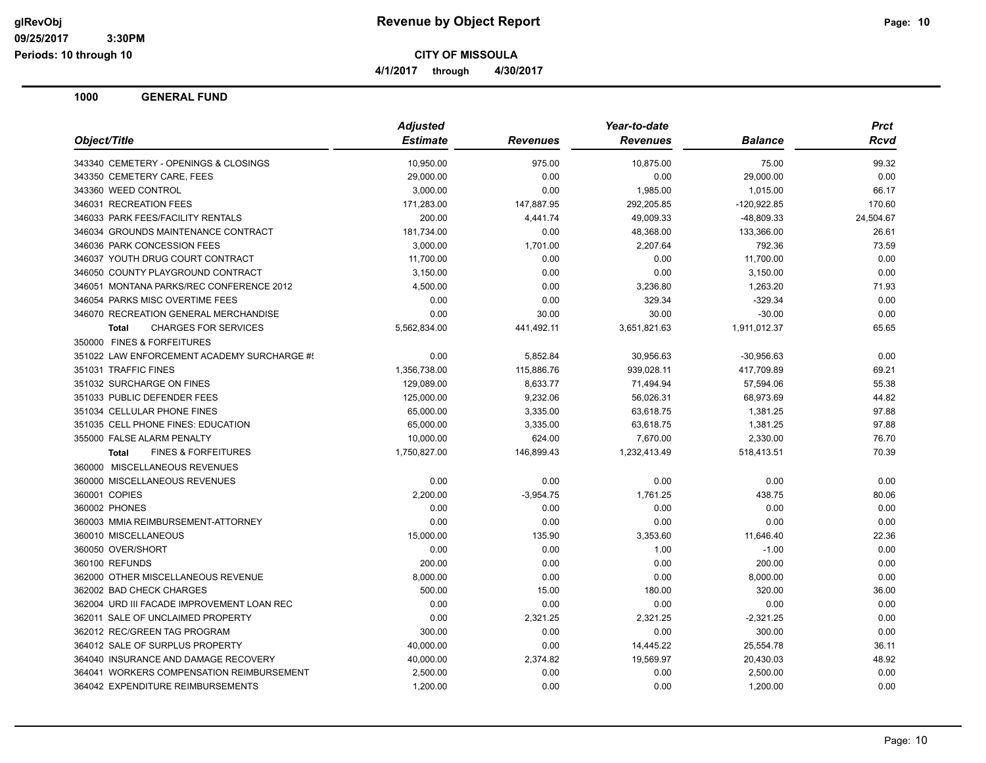**4/1/2017 through 4/30/2017**

| Object/Title                                   | <b>Adjusted</b><br><b>Estimate</b> | <b>Revenues</b> | Year-to-date<br><b>Revenues</b> | <b>Balance</b> | <b>Prct</b><br>Rcvd |
|------------------------------------------------|------------------------------------|-----------------|---------------------------------|----------------|---------------------|
| 343340 CEMETERY - OPENINGS & CLOSINGS          | 10,950.00                          | 975.00          | 10,875.00                       | 75.00          | 99.32               |
| 343350 CEMETERY CARE, FEES                     | 29,000.00                          | 0.00            | 0.00                            | 29,000.00      | 0.00                |
| 343360 WEED CONTROL                            | 3,000.00                           | 0.00            | 1,985.00                        | 1,015.00       | 66.17               |
| 346031 RECREATION FEES                         |                                    | 147,887.95      |                                 |                | 170.60              |
| 346033 PARK FEES/FACILITY RENTALS              | 171,283.00                         |                 | 292,205.85                      | -120,922.85    |                     |
|                                                | 200.00                             | 4,441.74        | 49,009.33                       | -48,809.33     | 24,504.67           |
| 346034 GROUNDS MAINTENANCE CONTRACT            | 181,734.00                         | 0.00            | 48,368.00                       | 133,366.00     | 26.61               |
| 346036 PARK CONCESSION FEES                    | 3,000.00                           | 1,701.00        | 2,207.64                        | 792.36         | 73.59               |
| 346037 YOUTH DRUG COURT CONTRACT               | 11,700.00                          | 0.00            | 0.00                            | 11,700.00      | 0.00                |
| 346050 COUNTY PLAYGROUND CONTRACT              | 3,150.00                           | 0.00            | 0.00                            | 3,150.00       | 0.00                |
| 346051 MONTANA PARKS/REC CONFERENCE 2012       | 4,500.00                           | 0.00            | 3,236.80                        | 1,263.20       | 71.93               |
| 346054 PARKS MISC OVERTIME FEES                | 0.00                               | 0.00            | 329.34                          | $-329.34$      | 0.00                |
| 346070 RECREATION GENERAL MERCHANDISE          | 0.00                               | 30.00           | 30.00                           | $-30.00$       | 0.00                |
| <b>CHARGES FOR SERVICES</b><br><b>Total</b>    | 5,562,834.00                       | 441,492.11      | 3,651,821.63                    | 1,911,012.37   | 65.65               |
| 350000 FINES & FORFEITURES                     |                                    |                 |                                 |                |                     |
| 351022 LAW ENFORCEMENT ACADEMY SURCHARGE #!    | 0.00                               | 5,852.84        | 30,956.63                       | $-30,956.63$   | 0.00                |
| 351031 TRAFFIC FINES                           | 1,356,738.00                       | 115,886.76      | 939,028.11                      | 417,709.89     | 69.21               |
| 351032 SURCHARGE ON FINES                      | 129,089.00                         | 8,633.77        | 71,494.94                       | 57,594.06      | 55.38               |
| 351033 PUBLIC DEFENDER FEES                    | 125,000.00                         | 9,232.06        | 56,026.31                       | 68,973.69      | 44.82               |
| 351034 CELLULAR PHONE FINES                    | 65,000.00                          | 3,335.00        | 63,618.75                       | 1,381.25       | 97.88               |
| 351035 CELL PHONE FINES: EDUCATION             | 65,000.00                          | 3,335.00        | 63,618.75                       | 1,381.25       | 97.88               |
| 355000 FALSE ALARM PENALTY                     | 10,000.00                          | 624.00          | 7,670.00                        | 2,330.00       | 76.70               |
| <b>FINES &amp; FORFEITURES</b><br><b>Total</b> | 1,750,827.00                       | 146,899.43      | 1,232,413.49                    | 518,413.51     | 70.39               |
| 360000 MISCELLANEOUS REVENUES                  |                                    |                 |                                 |                |                     |
| 360000 MISCELLANEOUS REVENUES                  | 0.00                               | 0.00            | 0.00                            | 0.00           | 0.00                |
| 360001 COPIES                                  | 2,200.00                           | $-3,954.75$     | 1,761.25                        | 438.75         | 80.06               |
| 360002 PHONES                                  | 0.00                               | 0.00            | 0.00                            | 0.00           | 0.00                |
| 360003 MMIA REIMBURSEMENT-ATTORNEY             | 0.00                               | 0.00            | 0.00                            | 0.00           | 0.00                |
| 360010 MISCELLANEOUS                           | 15,000.00                          | 135.90          | 3,353.60                        | 11,646.40      | 22.36               |
| 360050 OVER/SHORT                              | 0.00                               | 0.00            | 1.00                            | $-1.00$        | 0.00                |
| 360100 REFUNDS                                 | 200.00                             | 0.00            | 0.00                            | 200.00         | 0.00                |
| 362000 OTHER MISCELLANEOUS REVENUE             | 8,000.00                           | 0.00            | 0.00                            | 8,000.00       | 0.00                |
| 362002 BAD CHECK CHARGES                       | 500.00                             | 15.00           | 180.00                          | 320.00         | 36.00               |
| 362004 URD III FACADE IMPROVEMENT LOAN REC     | 0.00                               | 0.00            | 0.00                            | 0.00           | 0.00                |
| 362011 SALE OF UNCLAIMED PROPERTY              | 0.00                               | 2,321.25        | 2,321.25                        | $-2,321.25$    | 0.00                |
| 362012 REC/GREEN TAG PROGRAM                   | 300.00                             | 0.00            | 0.00                            | 300.00         | 0.00                |
| 364012 SALE OF SURPLUS PROPERTY                | 40,000.00                          | 0.00            | 14,445.22                       | 25,554.78      | 36.11               |
| 364040 INSURANCE AND DAMAGE RECOVERY           | 40,000.00                          | 2,374.82        | 19,569.97                       | 20,430.03      | 48.92               |
| 364041 WORKERS COMPENSATION REIMBURSEMENT      | 2,500.00                           | 0.00            | 0.00                            | 2,500.00       | 0.00                |
| 364042 EXPENDITURE REIMBURSEMENTS              | 1,200.00                           | 0.00            | 0.00                            | 1,200.00       | 0.00                |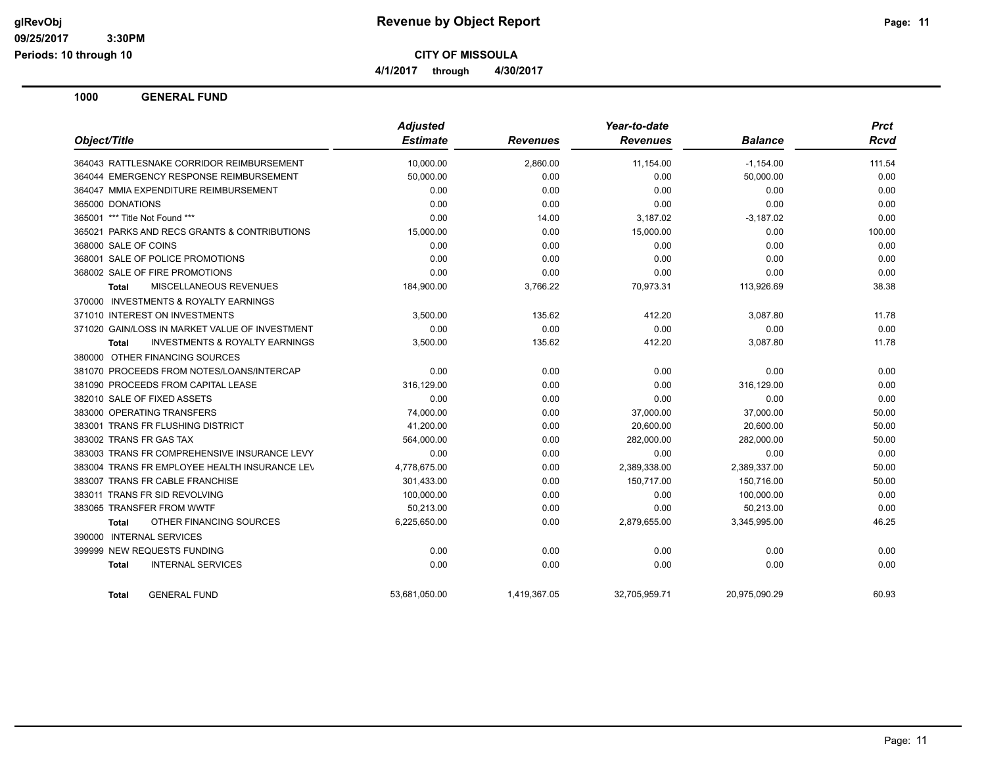**4/1/2017 through 4/30/2017**

| Object/Title                                       | <b>Adjusted</b><br><b>Estimate</b> | <b>Revenues</b> | Year-to-date<br><b>Revenues</b> | <b>Balance</b> | <b>Prct</b><br>Rcvd |
|----------------------------------------------------|------------------------------------|-----------------|---------------------------------|----------------|---------------------|
|                                                    |                                    |                 |                                 |                |                     |
| 364043 RATTLESNAKE CORRIDOR REIMBURSEMENT          | 10,000.00                          | 2,860.00        | 11,154.00                       | $-1,154.00$    | 111.54              |
| 364044 EMERGENCY RESPONSE REIMBURSEMENT            | 50,000.00                          | 0.00            | 0.00                            | 50,000.00      | 0.00                |
| 364047 MMIA EXPENDITURE REIMBURSEMENT              | 0.00                               | 0.00            | 0.00                            | 0.00           | 0.00                |
| 365000 DONATIONS                                   | 0.00                               | 0.00            | 0.00                            | 0.00           | 0.00                |
| 365001 *** Title Not Found ***                     | 0.00                               | 14.00           | 3,187.02                        | $-3,187.02$    | 0.00                |
| 365021 PARKS AND RECS GRANTS & CONTRIBUTIONS       | 15,000.00                          | 0.00            | 15,000.00                       | 0.00           | 100.00              |
| 368000 SALE OF COINS                               | 0.00                               | 0.00            | 0.00                            | 0.00           | 0.00                |
| 368001 SALE OF POLICE PROMOTIONS                   | 0.00                               | 0.00            | 0.00                            | 0.00           | 0.00                |
| 368002 SALE OF FIRE PROMOTIONS                     | 0.00                               | 0.00            | 0.00                            | 0.00           | 0.00                |
| MISCELLANEOUS REVENUES<br><b>Total</b>             | 184,900.00                         | 3,766.22        | 70,973.31                       | 113,926.69     | 38.38               |
| 370000 INVESTMENTS & ROYALTY EARNINGS              |                                    |                 |                                 |                |                     |
| 371010 INTEREST ON INVESTMENTS                     | 3,500.00                           | 135.62          | 412.20                          | 3,087.80       | 11.78               |
| 371020 GAIN/LOSS IN MARKET VALUE OF INVESTMENT     | 0.00                               | 0.00            | 0.00                            | 0.00           | 0.00                |
| <b>INVESTMENTS &amp; ROYALTY EARNINGS</b><br>Total | 3,500.00                           | 135.62          | 412.20                          | 3,087.80       | 11.78               |
| 380000 OTHER FINANCING SOURCES                     |                                    |                 |                                 |                |                     |
| 381070 PROCEEDS FROM NOTES/LOANS/INTERCAP          | 0.00                               | 0.00            | 0.00                            | 0.00           | 0.00                |
| 381090 PROCEEDS FROM CAPITAL LEASE                 | 316,129.00                         | 0.00            | 0.00                            | 316,129.00     | 0.00                |
| 382010 SALE OF FIXED ASSETS                        | 0.00                               | 0.00            | 0.00                            | 0.00           | 0.00                |
| 383000 OPERATING TRANSFERS                         | 74,000.00                          | 0.00            | 37,000.00                       | 37,000.00      | 50.00               |
| 383001 TRANS FR FLUSHING DISTRICT                  | 41,200.00                          | 0.00            | 20,600.00                       | 20,600.00      | 50.00               |
| 383002 TRANS FR GAS TAX                            | 564,000.00                         | 0.00            | 282,000.00                      | 282,000.00     | 50.00               |
| 383003 TRANS FR COMPREHENSIVE INSURANCE LEVY       | 0.00                               | 0.00            | 0.00                            | 0.00           | 0.00                |
| 383004 TRANS FR EMPLOYEE HEALTH INSURANCE LEV      | 4,778,675.00                       | 0.00            | 2,389,338.00                    | 2,389,337.00   | 50.00               |
| 383007 TRANS FR CABLE FRANCHISE                    | 301,433.00                         | 0.00            | 150,717.00                      | 150.716.00     | 50.00               |
| 383011 TRANS FR SID REVOLVING                      | 100,000.00                         | 0.00            | 0.00                            | 100,000.00     | 0.00                |
| 383065 TRANSFER FROM WWTF                          | 50,213.00                          | 0.00            | 0.00                            | 50,213.00      | 0.00                |
| OTHER FINANCING SOURCES<br><b>Total</b>            | 6,225,650.00                       | 0.00            | 2,879,655.00                    | 3,345,995.00   | 46.25               |
| 390000 INTERNAL SERVICES                           |                                    |                 |                                 |                |                     |
| 399999 NEW REQUESTS FUNDING                        | 0.00                               | 0.00            | 0.00                            | 0.00           | 0.00                |
| <b>INTERNAL SERVICES</b><br>Total                  | 0.00                               | 0.00            | 0.00                            | 0.00           | 0.00                |
| <b>GENERAL FUND</b><br>Total                       | 53,681,050.00                      | 1,419,367.05    | 32,705,959.71                   | 20,975,090.29  | 60.93               |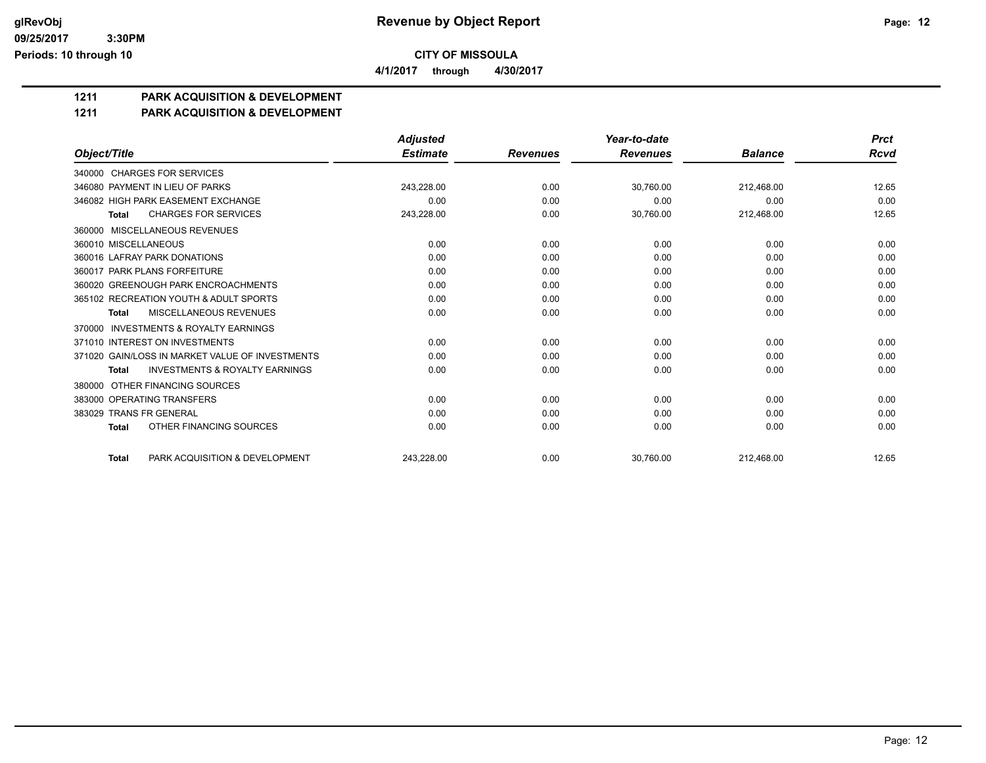**4/1/2017 through 4/30/2017**

# **1211 PARK ACQUISITION & DEVELOPMENT**

#### **1211 PARK ACQUISITION & DEVELOPMENT**

|                                                           | <b>Adjusted</b> |                 | Year-to-date    |                | <b>Prct</b> |
|-----------------------------------------------------------|-----------------|-----------------|-----------------|----------------|-------------|
| Object/Title                                              | <b>Estimate</b> | <b>Revenues</b> | <b>Revenues</b> | <b>Balance</b> | Rcvd        |
| 340000 CHARGES FOR SERVICES                               |                 |                 |                 |                |             |
| 346080 PAYMENT IN LIEU OF PARKS                           | 243,228.00      | 0.00            | 30,760.00       | 212,468.00     | 12.65       |
| 346082 HIGH PARK EASEMENT EXCHANGE                        | 0.00            | 0.00            | 0.00            | 0.00           | 0.00        |
| <b>CHARGES FOR SERVICES</b><br><b>Total</b>               | 243,228.00      | 0.00            | 30,760.00       | 212,468.00     | 12.65       |
| 360000 MISCELLANEOUS REVENUES                             |                 |                 |                 |                |             |
| 360010 MISCELLANEOUS                                      | 0.00            | 0.00            | 0.00            | 0.00           | 0.00        |
| 360016 LAFRAY PARK DONATIONS                              | 0.00            | 0.00            | 0.00            | 0.00           | 0.00        |
| 360017 PARK PLANS FORFEITURE                              | 0.00            | 0.00            | 0.00            | 0.00           | 0.00        |
| 360020 GREENOUGH PARK ENCROACHMENTS                       | 0.00            | 0.00            | 0.00            | 0.00           | 0.00        |
| 365102 RECREATION YOUTH & ADULT SPORTS                    | 0.00            | 0.00            | 0.00            | 0.00           | 0.00        |
| MISCELLANEOUS REVENUES<br><b>Total</b>                    | 0.00            | 0.00            | 0.00            | 0.00           | 0.00        |
| <b>INVESTMENTS &amp; ROYALTY EARNINGS</b><br>370000       |                 |                 |                 |                |             |
| 371010 INTEREST ON INVESTMENTS                            | 0.00            | 0.00            | 0.00            | 0.00           | 0.00        |
| 371020 GAIN/LOSS IN MARKET VALUE OF INVESTMENTS           | 0.00            | 0.00            | 0.00            | 0.00           | 0.00        |
| <b>INVESTMENTS &amp; ROYALTY EARNINGS</b><br><b>Total</b> | 0.00            | 0.00            | 0.00            | 0.00           | 0.00        |
| OTHER FINANCING SOURCES<br>380000                         |                 |                 |                 |                |             |
| 383000 OPERATING TRANSFERS                                | 0.00            | 0.00            | 0.00            | 0.00           | 0.00        |
| 383029 TRANS FR GENERAL                                   | 0.00            | 0.00            | 0.00            | 0.00           | 0.00        |
| OTHER FINANCING SOURCES<br><b>Total</b>                   | 0.00            | 0.00            | 0.00            | 0.00           | 0.00        |
| PARK ACQUISITION & DEVELOPMENT<br>Total                   | 243,228.00      | 0.00            | 30,760.00       | 212,468.00     | 12.65       |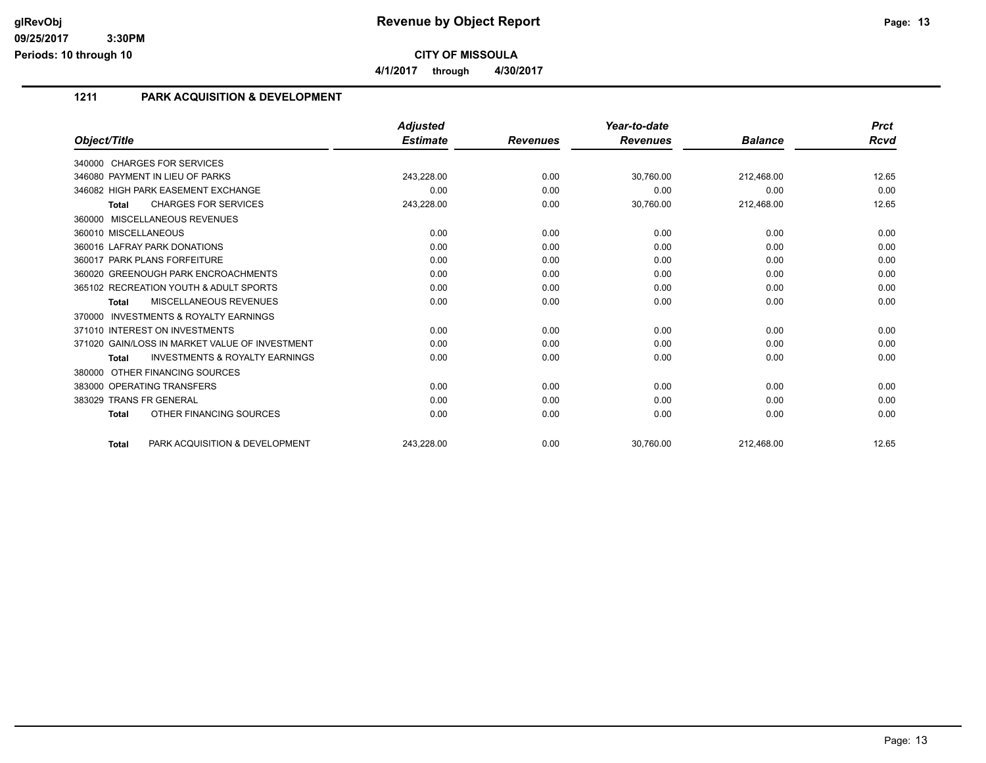**4/1/2017 through 4/30/2017**

# **1211 PARK ACQUISITION & DEVELOPMENT**

|                                                           | <b>Adjusted</b> |                 | Year-to-date    |                | <b>Prct</b> |
|-----------------------------------------------------------|-----------------|-----------------|-----------------|----------------|-------------|
| Object/Title                                              | <b>Estimate</b> | <b>Revenues</b> | <b>Revenues</b> | <b>Balance</b> | Rcvd        |
| 340000 CHARGES FOR SERVICES                               |                 |                 |                 |                |             |
| 346080 PAYMENT IN LIEU OF PARKS                           | 243,228.00      | 0.00            | 30,760.00       | 212,468.00     | 12.65       |
| 346082 HIGH PARK EASEMENT EXCHANGE                        | 0.00            | 0.00            | 0.00            | 0.00           | 0.00        |
| <b>CHARGES FOR SERVICES</b><br><b>Total</b>               | 243,228.00      | 0.00            | 30,760.00       | 212,468.00     | 12.65       |
| 360000 MISCELLANEOUS REVENUES                             |                 |                 |                 |                |             |
| 360010 MISCELLANEOUS                                      | 0.00            | 0.00            | 0.00            | 0.00           | 0.00        |
| 360016 LAFRAY PARK DONATIONS                              | 0.00            | 0.00            | 0.00            | 0.00           | 0.00        |
| 360017 PARK PLANS FORFEITURE                              | 0.00            | 0.00            | 0.00            | 0.00           | 0.00        |
| 360020 GREENOUGH PARK ENCROACHMENTS                       | 0.00            | 0.00            | 0.00            | 0.00           | 0.00        |
| 365102 RECREATION YOUTH & ADULT SPORTS                    | 0.00            | 0.00            | 0.00            | 0.00           | 0.00        |
| <b>MISCELLANEOUS REVENUES</b><br><b>Total</b>             | 0.00            | 0.00            | 0.00            | 0.00           | 0.00        |
| <b>INVESTMENTS &amp; ROYALTY EARNINGS</b><br>370000       |                 |                 |                 |                |             |
| 371010 INTEREST ON INVESTMENTS                            | 0.00            | 0.00            | 0.00            | 0.00           | 0.00        |
| 371020 GAIN/LOSS IN MARKET VALUE OF INVESTMENT            | 0.00            | 0.00            | 0.00            | 0.00           | 0.00        |
| <b>INVESTMENTS &amp; ROYALTY EARNINGS</b><br><b>Total</b> | 0.00            | 0.00            | 0.00            | 0.00           | 0.00        |
| OTHER FINANCING SOURCES<br>380000                         |                 |                 |                 |                |             |
| 383000 OPERATING TRANSFERS                                | 0.00            | 0.00            | 0.00            | 0.00           | 0.00        |
| 383029 TRANS FR GENERAL                                   | 0.00            | 0.00            | 0.00            | 0.00           | 0.00        |
| OTHER FINANCING SOURCES<br><b>Total</b>                   | 0.00            | 0.00            | 0.00            | 0.00           | 0.00        |
| PARK ACQUISITION & DEVELOPMENT<br><b>Total</b>            | 243,228.00      | 0.00            | 30,760.00       | 212,468.00     | 12.65       |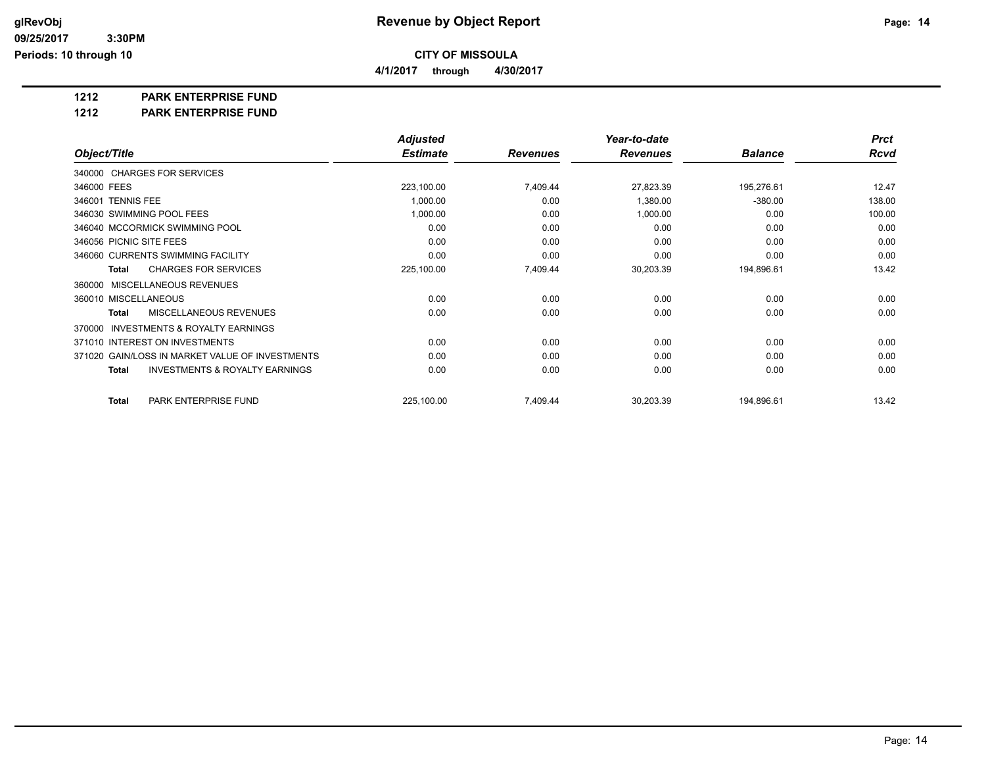**4/1/2017 through 4/30/2017**

**1212 PARK ENTERPRISE FUND**

**1212 PARK ENTERPRISE FUND**

|                                                           | <b>Adjusted</b> |                 | Year-to-date    |                | <b>Prct</b> |
|-----------------------------------------------------------|-----------------|-----------------|-----------------|----------------|-------------|
| Object/Title                                              | <b>Estimate</b> | <b>Revenues</b> | <b>Revenues</b> | <b>Balance</b> | <b>Rcvd</b> |
| 340000 CHARGES FOR SERVICES                               |                 |                 |                 |                |             |
| 346000 FEES                                               | 223,100.00      | 7,409.44        | 27,823.39       | 195,276.61     | 12.47       |
| 346001 TENNIS FEE                                         | 1,000.00        | 0.00            | 1,380.00        | $-380.00$      | 138.00      |
| 346030 SWIMMING POOL FEES                                 | 1,000.00        | 0.00            | 1,000.00        | 0.00           | 100.00      |
| 346040 MCCORMICK SWIMMING POOL                            | 0.00            | 0.00            | 0.00            | 0.00           | 0.00        |
| 346056 PICNIC SITE FEES                                   | 0.00            | 0.00            | 0.00            | 0.00           | 0.00        |
| 346060 CURRENTS SWIMMING FACILITY                         | 0.00            | 0.00            | 0.00            | 0.00           | 0.00        |
| <b>CHARGES FOR SERVICES</b><br><b>Total</b>               | 225,100.00      | 7,409.44        | 30,203.39       | 194,896.61     | 13.42       |
| <b>MISCELLANEOUS REVENUES</b><br>360000                   |                 |                 |                 |                |             |
| 360010 MISCELLANEOUS                                      | 0.00            | 0.00            | 0.00            | 0.00           | 0.00        |
| <b>MISCELLANEOUS REVENUES</b><br><b>Total</b>             | 0.00            | 0.00            | 0.00            | 0.00           | 0.00        |
| <b>INVESTMENTS &amp; ROYALTY EARNINGS</b><br>370000       |                 |                 |                 |                |             |
| 371010 INTEREST ON INVESTMENTS                            | 0.00            | 0.00            | 0.00            | 0.00           | 0.00        |
| 371020 GAIN/LOSS IN MARKET VALUE OF INVESTMENTS           | 0.00            | 0.00            | 0.00            | 0.00           | 0.00        |
| <b>INVESTMENTS &amp; ROYALTY EARNINGS</b><br><b>Total</b> | 0.00            | 0.00            | 0.00            | 0.00           | 0.00        |
| PARK ENTERPRISE FUND<br><b>Total</b>                      | 225,100.00      | 7,409.44        | 30,203.39       | 194,896.61     | 13.42       |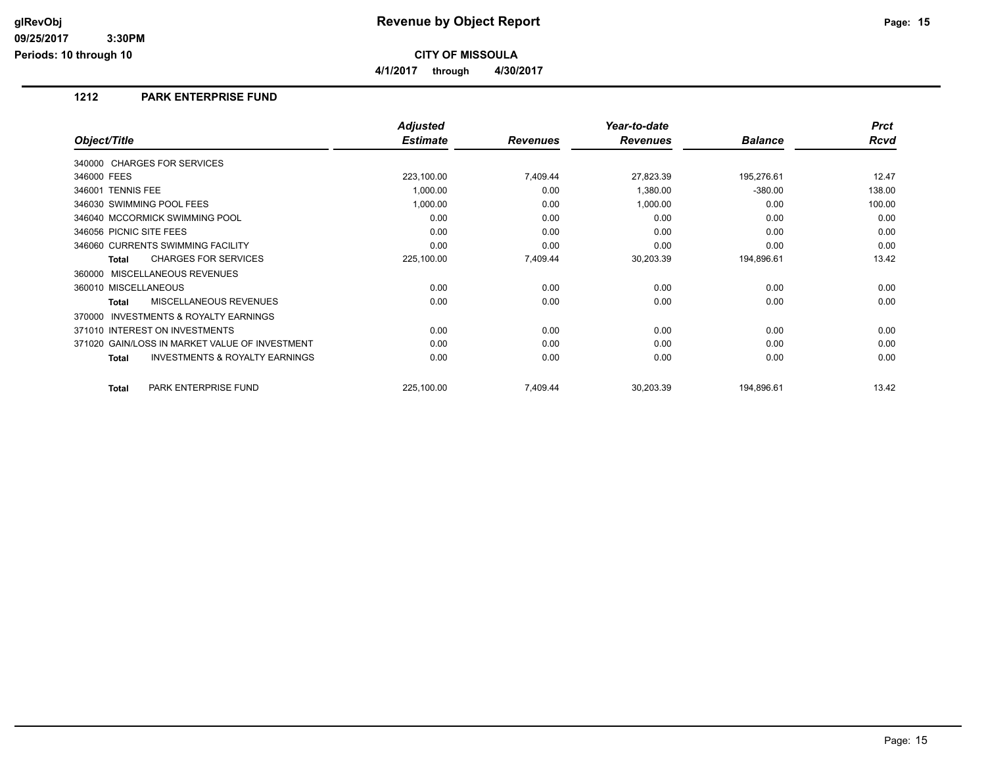**4/1/2017 through 4/30/2017**

## **1212 PARK ENTERPRISE FUND**

|                                                           | <b>Adjusted</b> |                 | Year-to-date    |                | <b>Prct</b> |
|-----------------------------------------------------------|-----------------|-----------------|-----------------|----------------|-------------|
| Object/Title                                              | <b>Estimate</b> | <b>Revenues</b> | <b>Revenues</b> | <b>Balance</b> | <b>Rcvd</b> |
| 340000 CHARGES FOR SERVICES                               |                 |                 |                 |                |             |
| 346000 FEES                                               | 223,100.00      | 7,409.44        | 27,823.39       | 195,276.61     | 12.47       |
| 346001 TENNIS FEE                                         | 1,000.00        | 0.00            | 1,380.00        | $-380.00$      | 138.00      |
| 346030 SWIMMING POOL FEES                                 | 1,000.00        | 0.00            | 1,000.00        | 0.00           | 100.00      |
| 346040 MCCORMICK SWIMMING POOL                            | 0.00            | 0.00            | 0.00            | 0.00           | 0.00        |
| 346056 PICNIC SITE FEES                                   | 0.00            | 0.00            | 0.00            | 0.00           | 0.00        |
| 346060 CURRENTS SWIMMING FACILITY                         | 0.00            | 0.00            | 0.00            | 0.00           | 0.00        |
| <b>CHARGES FOR SERVICES</b><br><b>Total</b>               | 225,100.00      | 7,409.44        | 30,203.39       | 194,896.61     | 13.42       |
| 360000 MISCELLANEOUS REVENUES                             |                 |                 |                 |                |             |
| 360010 MISCELLANEOUS                                      | 0.00            | 0.00            | 0.00            | 0.00           | 0.00        |
| <b>MISCELLANEOUS REVENUES</b><br>Total                    | 0.00            | 0.00            | 0.00            | 0.00           | 0.00        |
| INVESTMENTS & ROYALTY EARNINGS<br>370000                  |                 |                 |                 |                |             |
| 371010 INTEREST ON INVESTMENTS                            | 0.00            | 0.00            | 0.00            | 0.00           | 0.00        |
| 371020 GAIN/LOSS IN MARKET VALUE OF INVESTMENT            | 0.00            | 0.00            | 0.00            | 0.00           | 0.00        |
| <b>INVESTMENTS &amp; ROYALTY EARNINGS</b><br><b>Total</b> | 0.00            | 0.00            | 0.00            | 0.00           | 0.00        |
| PARK ENTERPRISE FUND<br><b>Total</b>                      | 225,100.00      | 7,409.44        | 30,203.39       | 194,896.61     | 13.42       |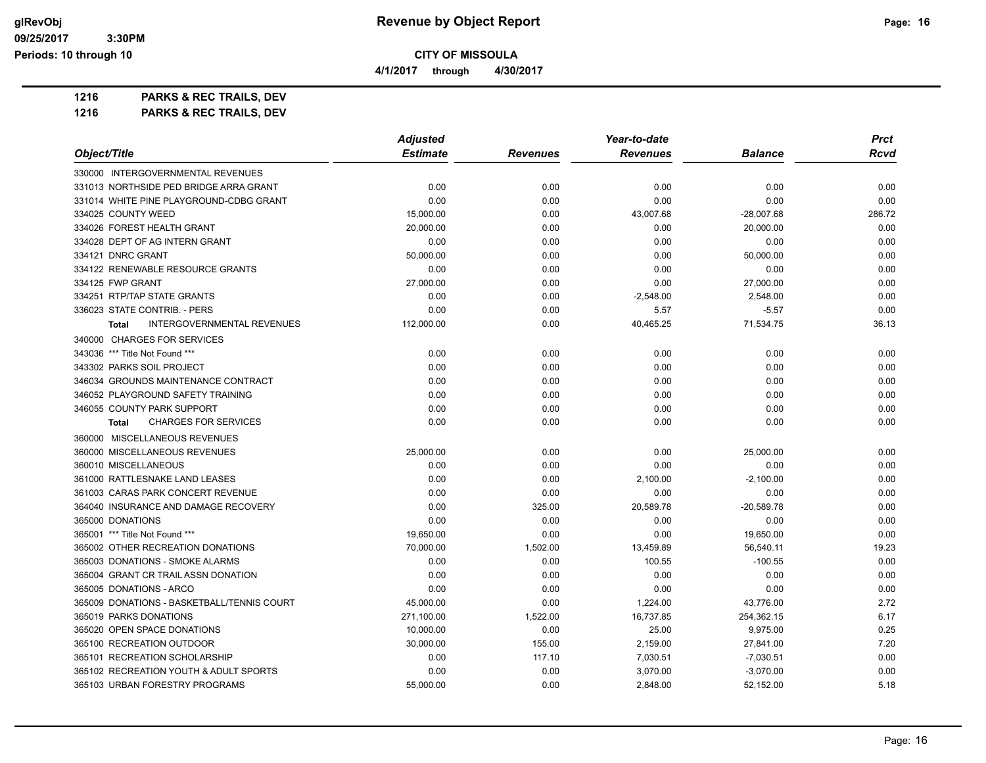**4/1/2017 through 4/30/2017**

**1216 PARKS & REC TRAILS, DEV**

|                                                   | <b>Adjusted</b> |                 | Year-to-date    |                | <b>Prct</b> |
|---------------------------------------------------|-----------------|-----------------|-----------------|----------------|-------------|
| Object/Title                                      | <b>Estimate</b> | <b>Revenues</b> | <b>Revenues</b> | <b>Balance</b> | <b>Rcvd</b> |
| 330000 INTERGOVERNMENTAL REVENUES                 |                 |                 |                 |                |             |
| 331013 NORTHSIDE PED BRIDGE ARRA GRANT            | 0.00            | 0.00            | 0.00            | 0.00           | 0.00        |
| 331014 WHITE PINE PLAYGROUND-CDBG GRANT           | 0.00            | 0.00            | 0.00            | 0.00           | 0.00        |
| 334025 COUNTY WEED                                | 15,000.00       | 0.00            | 43,007.68       | $-28,007.68$   | 286.72      |
| 334026 FOREST HEALTH GRANT                        | 20,000.00       | 0.00            | 0.00            | 20,000.00      | 0.00        |
| 334028 DEPT OF AG INTERN GRANT                    | 0.00            | 0.00            | 0.00            | 0.00           | 0.00        |
| 334121 DNRC GRANT                                 | 50,000.00       | 0.00            | 0.00            | 50,000.00      | 0.00        |
| 334122 RENEWABLE RESOURCE GRANTS                  | 0.00            | 0.00            | 0.00            | 0.00           | 0.00        |
| 334125 FWP GRANT                                  | 27,000.00       | 0.00            | 0.00            | 27,000.00      | 0.00        |
| 334251 RTP/TAP STATE GRANTS                       | 0.00            | 0.00            | $-2,548.00$     | 2,548.00       | 0.00        |
| 336023 STATE CONTRIB. - PERS                      | 0.00            | 0.00            | 5.57            | $-5.57$        | 0.00        |
| <b>INTERGOVERNMENTAL REVENUES</b><br><b>Total</b> | 112,000.00      | 0.00            | 40,465.25       | 71,534.75      | 36.13       |
| 340000 CHARGES FOR SERVICES                       |                 |                 |                 |                |             |
| 343036 *** Title Not Found ***                    | 0.00            | 0.00            | 0.00            | 0.00           | 0.00        |
| 343302 PARKS SOIL PROJECT                         | 0.00            | 0.00            | 0.00            | 0.00           | 0.00        |
| 346034 GROUNDS MAINTENANCE CONTRACT               | 0.00            | 0.00            | 0.00            | 0.00           | 0.00        |
| 346052 PLAYGROUND SAFETY TRAINING                 | 0.00            | 0.00            | 0.00            | 0.00           | 0.00        |
| 346055 COUNTY PARK SUPPORT                        | 0.00            | 0.00            | 0.00            | 0.00           | 0.00        |
| <b>CHARGES FOR SERVICES</b><br><b>Total</b>       | 0.00            | 0.00            | 0.00            | 0.00           | 0.00        |
| 360000 MISCELLANEOUS REVENUES                     |                 |                 |                 |                |             |
| 360000 MISCELLANEOUS REVENUES                     | 25,000.00       | 0.00            | 0.00            | 25,000.00      | 0.00        |
| 360010 MISCELLANEOUS                              | 0.00            | 0.00            | 0.00            | 0.00           | 0.00        |
| 361000 RATTLESNAKE LAND LEASES                    | 0.00            | 0.00            | 2,100.00        | $-2,100.00$    | 0.00        |
| 361003 CARAS PARK CONCERT REVENUE                 | 0.00            | 0.00            | 0.00            | 0.00           | 0.00        |
| 364040 INSURANCE AND DAMAGE RECOVERY              | 0.00            | 325.00          | 20,589.78       | $-20,589.78$   | 0.00        |
| 365000 DONATIONS                                  | 0.00            | 0.00            | 0.00            | 0.00           | 0.00        |
| 365001 *** Title Not Found ***                    | 19,650.00       | 0.00            | 0.00            | 19,650.00      | 0.00        |
| 365002 OTHER RECREATION DONATIONS                 | 70,000.00       | 1,502.00        | 13,459.89       | 56,540.11      | 19.23       |
| 365003 DONATIONS - SMOKE ALARMS                   | 0.00            | 0.00            | 100.55          | $-100.55$      | 0.00        |
| 365004 GRANT CR TRAIL ASSN DONATION               | 0.00            | 0.00            | 0.00            | 0.00           | 0.00        |
| 365005 DONATIONS - ARCO                           | 0.00            | 0.00            | 0.00            | 0.00           | 0.00        |
| 365009 DONATIONS - BASKETBALL/TENNIS COURT        | 45,000.00       | 0.00            | 1,224.00        | 43,776.00      | 2.72        |
| 365019 PARKS DONATIONS                            | 271,100.00      | 1,522.00        | 16,737.85       | 254,362.15     | 6.17        |
| 365020 OPEN SPACE DONATIONS                       | 10,000.00       | 0.00            | 25.00           | 9,975.00       | 0.25        |
| 365100 RECREATION OUTDOOR                         | 30,000.00       | 155.00          | 2,159.00        | 27,841.00      | 7.20        |
| 365101 RECREATION SCHOLARSHIP                     | 0.00            | 117.10          | 7,030.51        | $-7,030.51$    | 0.00        |
| 365102 RECREATION YOUTH & ADULT SPORTS            | 0.00            | 0.00            | 3,070.00        | $-3,070.00$    | 0.00        |
| 365103 URBAN FORESTRY PROGRAMS                    | 55,000.00       | 0.00            | 2,848.00        | 52,152.00      | 5.18        |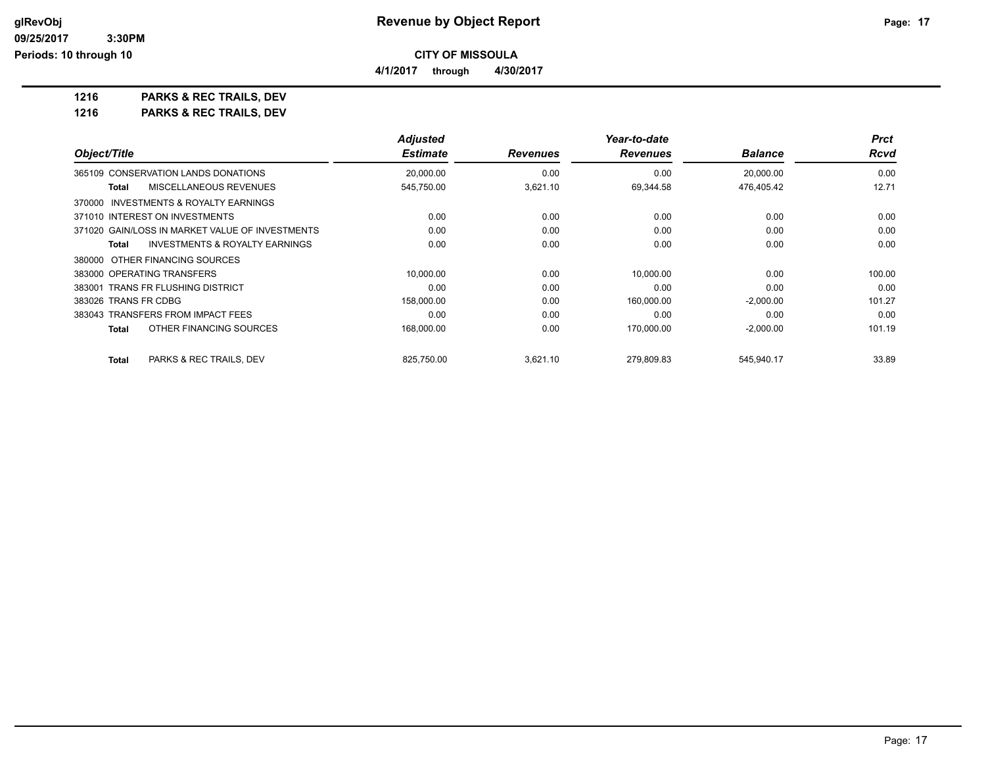**4/1/2017 through 4/30/2017**

**1216 PARKS & REC TRAILS, DEV**

|                                                    | <b>Adjusted</b> |                 | Year-to-date    |                | <b>Prct</b> |
|----------------------------------------------------|-----------------|-----------------|-----------------|----------------|-------------|
| Object/Title                                       | <b>Estimate</b> | <b>Revenues</b> | <b>Revenues</b> | <b>Balance</b> | <b>Rcvd</b> |
| 365109 CONSERVATION LANDS DONATIONS                | 20,000.00       | 0.00            | 0.00            | 20,000.00      | 0.00        |
| <b>MISCELLANEOUS REVENUES</b><br><b>Total</b>      | 545,750.00      | 3,621.10        | 69,344.58       | 476,405.42     | 12.71       |
| INVESTMENTS & ROYALTY EARNINGS<br>370000           |                 |                 |                 |                |             |
| 371010 INTEREST ON INVESTMENTS                     | 0.00            | 0.00            | 0.00            | 0.00           | 0.00        |
| 371020 GAIN/LOSS IN MARKET VALUE OF INVESTMENTS    | 0.00            | 0.00            | 0.00            | 0.00           | 0.00        |
| <b>INVESTMENTS &amp; ROYALTY EARNINGS</b><br>Total | 0.00            | 0.00            | 0.00            | 0.00           | 0.00        |
| 380000 OTHER FINANCING SOURCES                     |                 |                 |                 |                |             |
| 383000 OPERATING TRANSFERS                         | 10,000.00       | 0.00            | 10,000.00       | 0.00           | 100.00      |
| 383001 TRANS FR FLUSHING DISTRICT                  | 0.00            | 0.00            | 0.00            | 0.00           | 0.00        |
| 383026 TRANS FR CDBG                               | 158,000.00      | 0.00            | 160,000.00      | $-2,000.00$    | 101.27      |
| 383043 TRANSFERS FROM IMPACT FEES                  | 0.00            | 0.00            | 0.00            | 0.00           | 0.00        |
| OTHER FINANCING SOURCES<br><b>Total</b>            | 168,000.00      | 0.00            | 170,000.00      | $-2,000.00$    | 101.19      |
| PARKS & REC TRAILS, DEV<br><b>Total</b>            | 825.750.00      | 3,621.10        | 279,809.83      | 545,940.17     | 33.89       |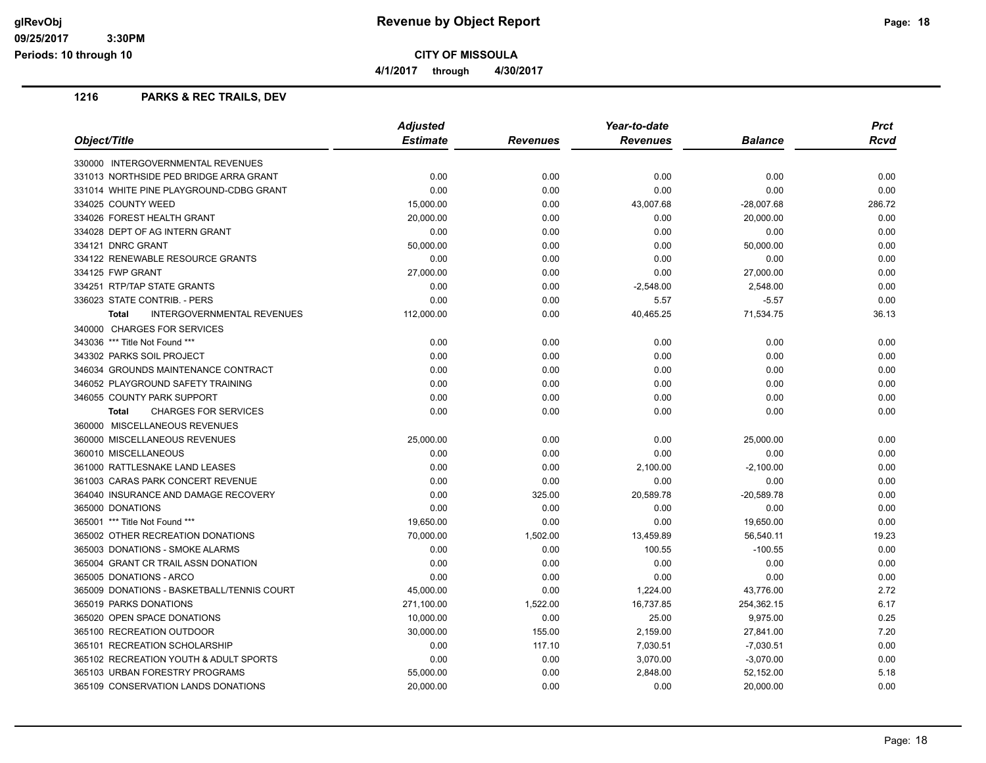**4/1/2017 through 4/30/2017**

|                                                   | <b>Adjusted</b> |                 | Year-to-date    |                | <b>Prct</b> |
|---------------------------------------------------|-----------------|-----------------|-----------------|----------------|-------------|
| Object/Title                                      | <b>Estimate</b> | <b>Revenues</b> | <b>Revenues</b> | <b>Balance</b> | <b>Rcvd</b> |
| 330000 INTERGOVERNMENTAL REVENUES                 |                 |                 |                 |                |             |
| 331013 NORTHSIDE PED BRIDGE ARRA GRANT            | 0.00            | 0.00            | 0.00            | 0.00           | 0.00        |
| 331014 WHITE PINE PLAYGROUND-CDBG GRANT           | 0.00            | 0.00            | 0.00            | 0.00           | 0.00        |
| 334025 COUNTY WEED                                | 15,000.00       | 0.00            | 43,007.68       | $-28,007.68$   | 286.72      |
| 334026 FOREST HEALTH GRANT                        | 20,000.00       | 0.00            | 0.00            | 20,000.00      | 0.00        |
| 334028 DEPT OF AG INTERN GRANT                    | 0.00            | 0.00            | 0.00            | 0.00           | 0.00        |
| 334121 DNRC GRANT                                 | 50,000.00       | 0.00            | 0.00            | 50,000.00      | 0.00        |
| 334122 RENEWABLE RESOURCE GRANTS                  | 0.00            | 0.00            | 0.00            | 0.00           | 0.00        |
| 334125 FWP GRANT                                  | 27,000.00       | 0.00            | 0.00            | 27,000.00      | 0.00        |
| 334251 RTP/TAP STATE GRANTS                       | 0.00            | 0.00            | $-2,548.00$     | 2,548.00       | 0.00        |
| 336023 STATE CONTRIB. - PERS                      | 0.00            | 0.00            | 5.57            | $-5.57$        | 0.00        |
| <b>INTERGOVERNMENTAL REVENUES</b><br><b>Total</b> | 112,000.00      | 0.00            | 40,465.25       | 71,534.75      | 36.13       |
| 340000 CHARGES FOR SERVICES                       |                 |                 |                 |                |             |
| 343036 *** Title Not Found ***                    | 0.00            | 0.00            | 0.00            | 0.00           | 0.00        |
| 343302 PARKS SOIL PROJECT                         | 0.00            | 0.00            | 0.00            | 0.00           | 0.00        |
| 346034 GROUNDS MAINTENANCE CONTRACT               | 0.00            | 0.00            | 0.00            | 0.00           | 0.00        |
| 346052 PLAYGROUND SAFETY TRAINING                 | 0.00            | 0.00            | 0.00            | 0.00           | 0.00        |
| 346055 COUNTY PARK SUPPORT                        | 0.00            | 0.00            | 0.00            | 0.00           | 0.00        |
| <b>CHARGES FOR SERVICES</b><br><b>Total</b>       | 0.00            | 0.00            | 0.00            | 0.00           | 0.00        |
| 360000 MISCELLANEOUS REVENUES                     |                 |                 |                 |                |             |
| 360000 MISCELLANEOUS REVENUES                     | 25,000.00       | 0.00            | 0.00            | 25,000.00      | 0.00        |
| 360010 MISCELLANEOUS                              | 0.00            | 0.00            | 0.00            | 0.00           | 0.00        |
| 361000 RATTLESNAKE LAND LEASES                    | 0.00            | 0.00            | 2,100.00        | $-2,100.00$    | 0.00        |
| 361003 CARAS PARK CONCERT REVENUE                 | 0.00            | 0.00            | 0.00            | 0.00           | 0.00        |
| 364040 INSURANCE AND DAMAGE RECOVERY              | 0.00            | 325.00          | 20,589.78       | $-20,589.78$   | 0.00        |
| 365000 DONATIONS                                  | 0.00            | 0.00            | 0.00            | 0.00           | 0.00        |
| 365001 *** Title Not Found ***                    | 19,650.00       | 0.00            | 0.00            | 19,650.00      | 0.00        |
| 365002 OTHER RECREATION DONATIONS                 | 70,000.00       | 1,502.00        | 13,459.89       | 56,540.11      | 19.23       |
| 365003 DONATIONS - SMOKE ALARMS                   | 0.00            | 0.00            | 100.55          | $-100.55$      | 0.00        |
| 365004 GRANT CR TRAIL ASSN DONATION               | 0.00            | 0.00            | 0.00            | 0.00           | 0.00        |
| 365005 DONATIONS - ARCO                           | 0.00            | 0.00            | 0.00            | 0.00           | 0.00        |
| 365009 DONATIONS - BASKETBALL/TENNIS COURT        | 45,000.00       | 0.00            | 1,224.00        | 43,776.00      | 2.72        |
| 365019 PARKS DONATIONS                            | 271,100.00      | 1,522.00        | 16,737.85       | 254,362.15     | 6.17        |
| 365020 OPEN SPACE DONATIONS                       | 10,000.00       | 0.00            | 25.00           | 9,975.00       | 0.25        |
| 365100 RECREATION OUTDOOR                         | 30,000.00       | 155.00          | 2,159.00        | 27,841.00      | 7.20        |
| 365101 RECREATION SCHOLARSHIP                     | 0.00            | 117.10          | 7,030.51        | $-7,030.51$    | 0.00        |
| 365102 RECREATION YOUTH & ADULT SPORTS            | 0.00            | 0.00            | 3,070.00        | $-3,070.00$    | 0.00        |
| 365103 URBAN FORESTRY PROGRAMS                    | 55,000.00       | 0.00            | 2,848.00        | 52,152.00      | 5.18        |
| 365109 CONSERVATION LANDS DONATIONS               | 20.000.00       | 0.00            | 0.00            | 20,000.00      | 0.00        |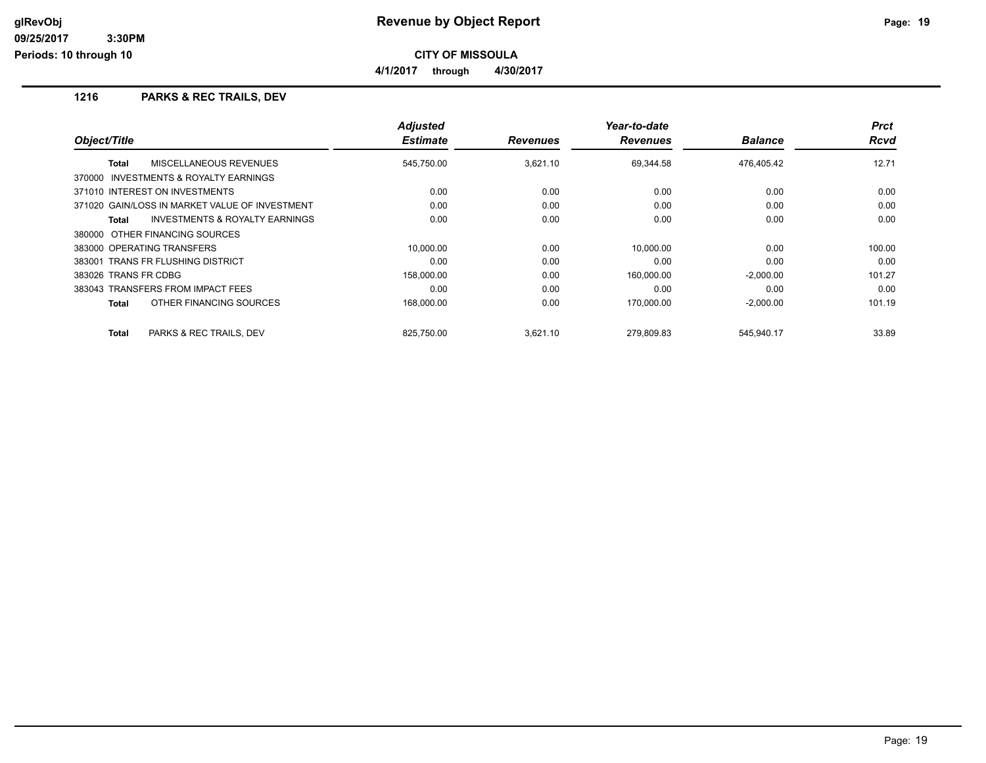**4/1/2017 through 4/30/2017**

| Object/Title                                              | <b>Adjusted</b><br><b>Estimate</b> | <b>Revenues</b> | Year-to-date<br><b>Revenues</b> | <b>Balance</b> | <b>Prct</b><br><b>Rcvd</b> |
|-----------------------------------------------------------|------------------------------------|-----------------|---------------------------------|----------------|----------------------------|
| MISCELLANEOUS REVENUES<br><b>Total</b>                    | 545,750.00                         | 3,621.10        | 69,344.58                       | 476,405.42     | 12.71                      |
| 370000 INVESTMENTS & ROYALTY EARNINGS                     |                                    |                 |                                 |                |                            |
| 371010 INTEREST ON INVESTMENTS                            | 0.00                               | 0.00            | 0.00                            | 0.00           | 0.00                       |
| 371020 GAIN/LOSS IN MARKET VALUE OF INVESTMENT            | 0.00                               | 0.00            | 0.00                            | 0.00           | 0.00                       |
| <b>INVESTMENTS &amp; ROYALTY EARNINGS</b><br><b>Total</b> | 0.00                               | 0.00            | 0.00                            | 0.00           | 0.00                       |
| 380000 OTHER FINANCING SOURCES                            |                                    |                 |                                 |                |                            |
| 383000 OPERATING TRANSFERS                                | 10.000.00                          | 0.00            | 10.000.00                       | 0.00           | 100.00                     |
| 383001 TRANS FR FLUSHING DISTRICT                         | 0.00                               | 0.00            | 0.00                            | 0.00           | 0.00                       |
| 383026 TRANS FR CDBG                                      | 158,000.00                         | 0.00            | 160,000.00                      | $-2,000.00$    | 101.27                     |
| 383043 TRANSFERS FROM IMPACT FEES                         | 0.00                               | 0.00            | 0.00                            | 0.00           | 0.00                       |
| OTHER FINANCING SOURCES<br><b>Total</b>                   | 168,000.00                         | 0.00            | 170,000.00                      | $-2,000.00$    | 101.19                     |
| PARKS & REC TRAILS, DEV<br><b>Total</b>                   | 825,750.00                         | 3,621.10        | 279.809.83                      | 545,940.17     | 33.89                      |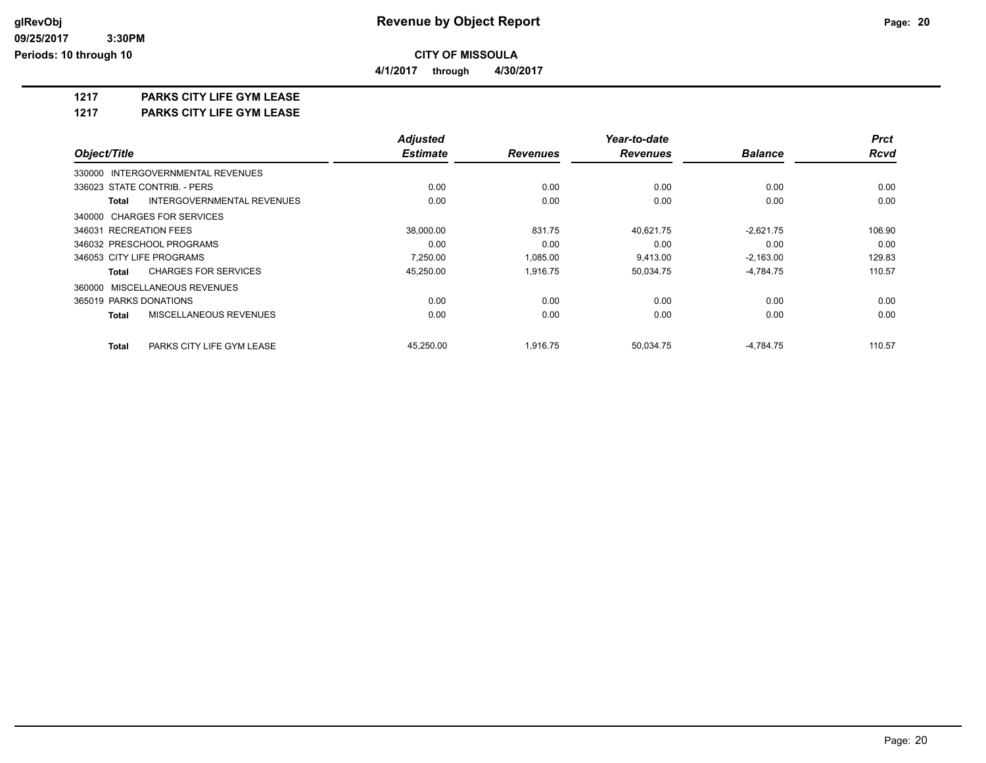**4/1/2017 through 4/30/2017**

#### **1217 PARKS CITY LIFE GYM LEASE**

**1217 PARKS CITY LIFE GYM LEASE**

|                                           | <b>Adjusted</b> |                 | Year-to-date    |                | <b>Prct</b> |
|-------------------------------------------|-----------------|-----------------|-----------------|----------------|-------------|
| Object/Title                              | <b>Estimate</b> | <b>Revenues</b> | <b>Revenues</b> | <b>Balance</b> | <b>Rcvd</b> |
| INTERGOVERNMENTAL REVENUES<br>330000      |                 |                 |                 |                |             |
| 336023 STATE CONTRIB. - PERS              | 0.00            | 0.00            | 0.00            | 0.00           | 0.00        |
| INTERGOVERNMENTAL REVENUES<br>Total       | 0.00            | 0.00            | 0.00            | 0.00           | 0.00        |
| 340000 CHARGES FOR SERVICES               |                 |                 |                 |                |             |
| 346031 RECREATION FEES                    | 38,000.00       | 831.75          | 40,621.75       | $-2,621.75$    | 106.90      |
| 346032 PRESCHOOL PROGRAMS                 | 0.00            | 0.00            | 0.00            | 0.00           | 0.00        |
| 346053 CITY LIFE PROGRAMS                 | 7,250.00        | 1,085.00        | 9,413.00        | $-2,163.00$    | 129.83      |
| <b>CHARGES FOR SERVICES</b><br>Total      | 45,250.00       | 1,916.75        | 50,034.75       | $-4,784.75$    | 110.57      |
| 360000 MISCELLANEOUS REVENUES             |                 |                 |                 |                |             |
| 365019 PARKS DONATIONS                    | 0.00            | 0.00            | 0.00            | 0.00           | 0.00        |
| MISCELLANEOUS REVENUES<br><b>Total</b>    | 0.00            | 0.00            | 0.00            | 0.00           | 0.00        |
| PARKS CITY LIFE GYM LEASE<br><b>Total</b> | 45,250.00       | 1,916.75        | 50,034.75       | -4,784.75      | 110.57      |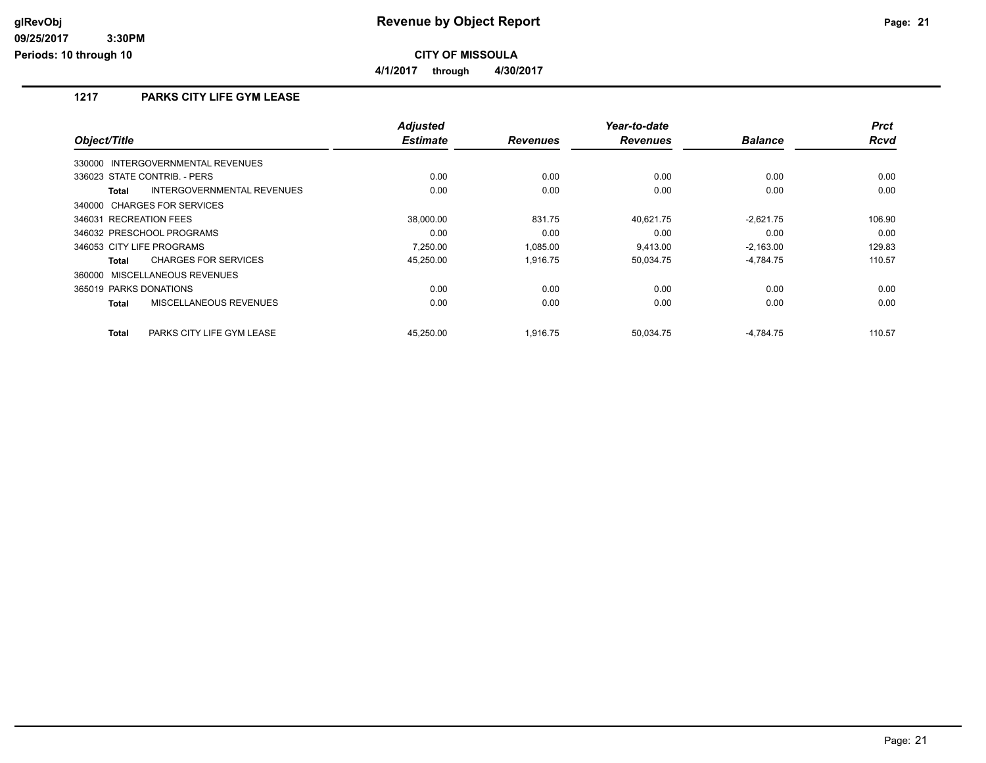**4/1/2017 through 4/30/2017**

# **1217 PARKS CITY LIFE GYM LEASE**

|                                             | <b>Adjusted</b> |                 | Year-to-date    |                | <b>Prct</b> |
|---------------------------------------------|-----------------|-----------------|-----------------|----------------|-------------|
| Object/Title                                | <b>Estimate</b> | <b>Revenues</b> | <b>Revenues</b> | <b>Balance</b> | <b>Rcvd</b> |
| INTERGOVERNMENTAL REVENUES<br>330000        |                 |                 |                 |                |             |
| 336023 STATE CONTRIB. - PERS                | 0.00            | 0.00            | 0.00            | 0.00           | 0.00        |
| INTERGOVERNMENTAL REVENUES<br><b>Total</b>  | 0.00            | 0.00            | 0.00            | 0.00           | 0.00        |
| 340000 CHARGES FOR SERVICES                 |                 |                 |                 |                |             |
| 346031 RECREATION FEES                      | 38,000.00       | 831.75          | 40,621.75       | $-2,621.75$    | 106.90      |
| 346032 PRESCHOOL PROGRAMS                   | 0.00            | 0.00            | 0.00            | 0.00           | 0.00        |
| 346053 CITY LIFE PROGRAMS                   | 7.250.00        | 1,085.00        | 9,413.00        | $-2,163.00$    | 129.83      |
| <b>CHARGES FOR SERVICES</b><br><b>Total</b> | 45,250.00       | 1.916.75        | 50,034.75       | $-4,784.75$    | 110.57      |
| 360000 MISCELLANEOUS REVENUES               |                 |                 |                 |                |             |
| 365019 PARKS DONATIONS                      | 0.00            | 0.00            | 0.00            | 0.00           | 0.00        |
| MISCELLANEOUS REVENUES<br><b>Total</b>      | 0.00            | 0.00            | 0.00            | 0.00           | 0.00        |
| PARKS CITY LIFE GYM LEASE<br><b>Total</b>   | 45,250.00       | 1,916.75        | 50,034.75       | $-4,784.75$    | 110.57      |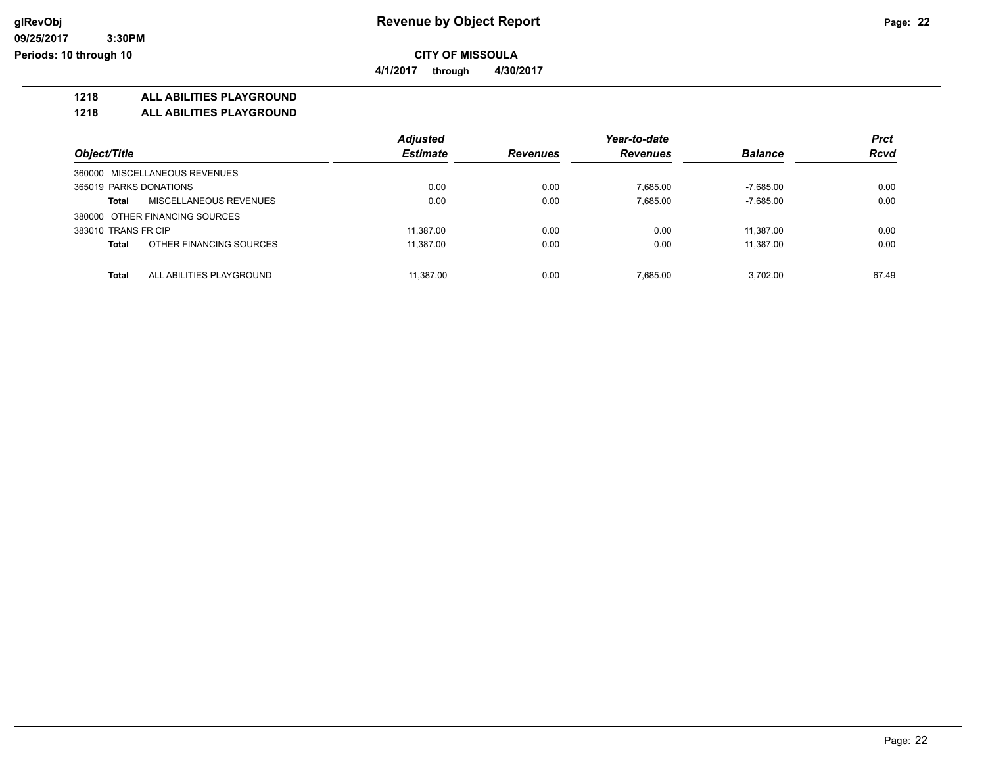**4/1/2017 through 4/30/2017**

#### **1218 ALL ABILITIES PLAYGROUND**

#### **1218 ALL ABILITIES PLAYGROUND**

|                                               | <b>Adjusted</b> |                 | Year-to-date    |                | <b>Prct</b> |
|-----------------------------------------------|-----------------|-----------------|-----------------|----------------|-------------|
| Object/Title                                  | <b>Estimate</b> | <b>Revenues</b> | <b>Revenues</b> | <b>Balance</b> | <b>Rcvd</b> |
| 360000 MISCELLANEOUS REVENUES                 |                 |                 |                 |                |             |
| 365019 PARKS DONATIONS                        | 0.00            | 0.00            | 7.685.00        | $-7.685.00$    | 0.00        |
| <b>MISCELLANEOUS REVENUES</b><br><b>Total</b> | 0.00            | 0.00            | 7,685.00        | $-7.685.00$    | 0.00        |
| 380000 OTHER FINANCING SOURCES                |                 |                 |                 |                |             |
| 383010 TRANS FR CIP                           | 11.387.00       | 0.00            | 0.00            | 11.387.00      | 0.00        |
| OTHER FINANCING SOURCES<br><b>Total</b>       | 11.387.00       | 0.00            | 0.00            | 11.387.00      | 0.00        |
|                                               |                 |                 |                 |                |             |
| ALL ABILITIES PLAYGROUND<br><b>Total</b>      | 11.387.00       | 0.00            | 7.685.00        | 3.702.00       | 67.49       |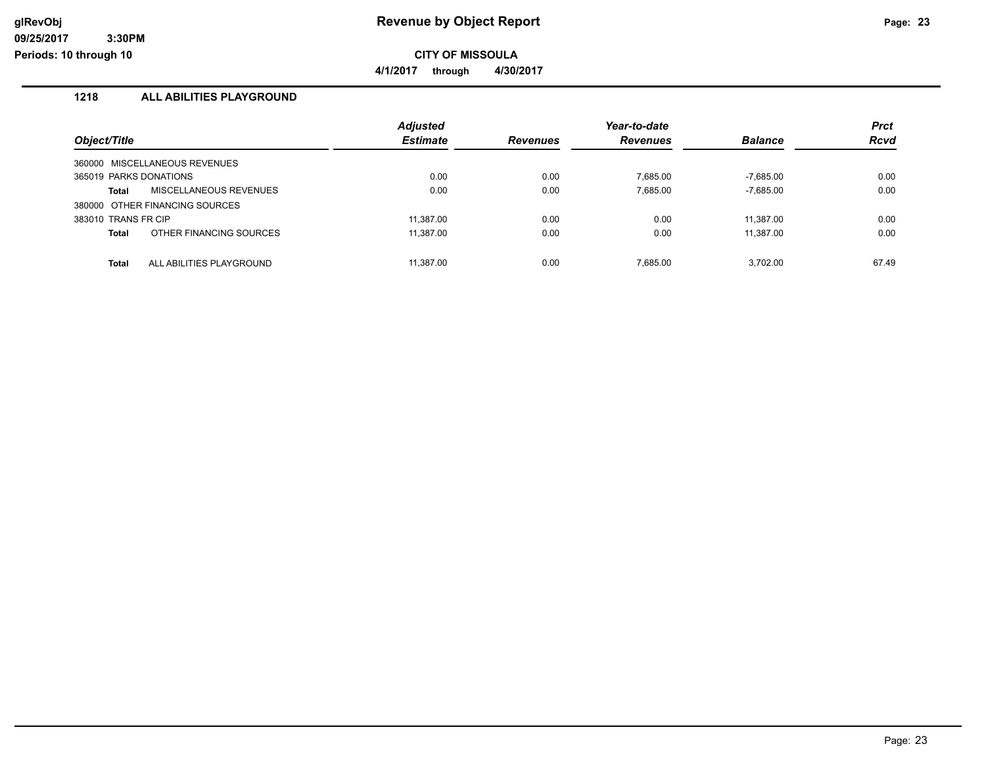**4/1/2017 through 4/30/2017**

# **1218 ALL ABILITIES PLAYGROUND**

| Object/Title           |                                | <b>Adjusted</b><br><b>Estimate</b> | Revenues | Year-to-date<br><b>Revenues</b> | <b>Balance</b> | <b>Prct</b><br><b>Rcvd</b> |
|------------------------|--------------------------------|------------------------------------|----------|---------------------------------|----------------|----------------------------|
|                        | 360000 MISCELLANEOUS REVENUES  |                                    |          |                                 |                |                            |
| 365019 PARKS DONATIONS |                                | 0.00                               | 0.00     | 7.685.00                        | $-7.685.00$    | 0.00                       |
| <b>Total</b>           | MISCELLANEOUS REVENUES         | 0.00                               | 0.00     | 7,685.00                        | $-7,685.00$    | 0.00                       |
|                        | 380000 OTHER FINANCING SOURCES |                                    |          |                                 |                |                            |
| 383010 TRANS FR CIP    |                                | 11.387.00                          | 0.00     | 0.00                            | 11.387.00      | 0.00                       |
| <b>Total</b>           | OTHER FINANCING SOURCES        | 11.387.00                          | 0.00     | 0.00                            | 11,387.00      | 0.00                       |
| <b>Total</b>           | ALL ABILITIES PLAYGROUND       | 11.387.00                          | 0.00     | 7.685.00                        | 3.702.00       | 67.49                      |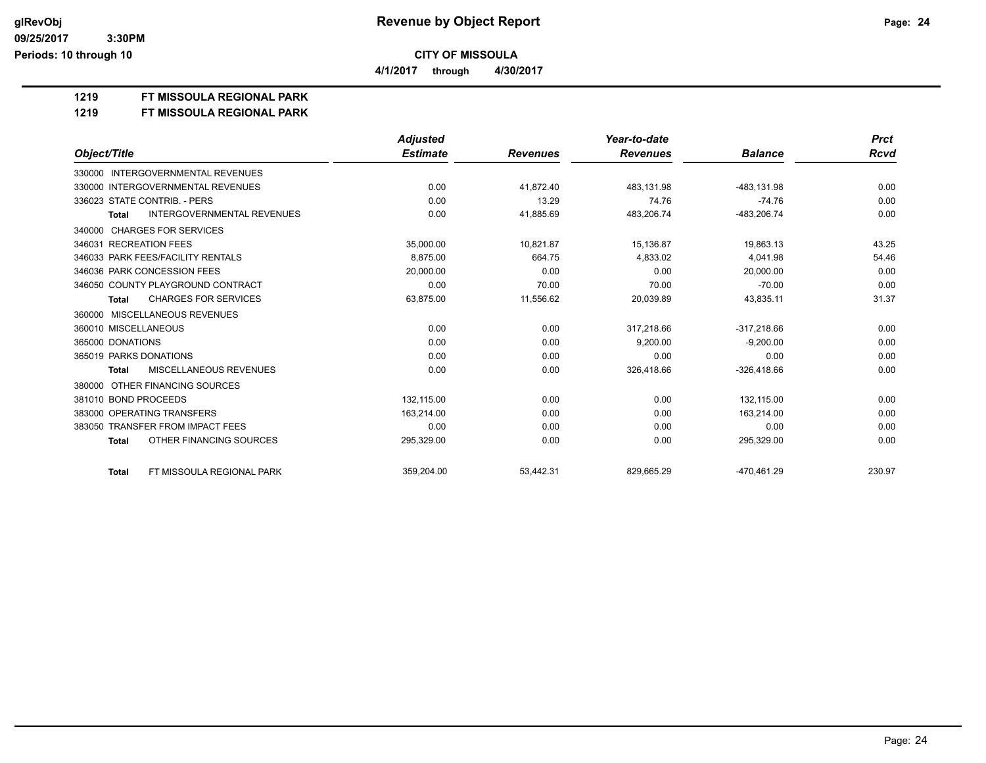**4/1/2017 through 4/30/2017**

## **1219 FT MISSOULA REGIONAL PARK**

#### **1219 FT MISSOULA REGIONAL PARK**

|                                            | <b>Adjusted</b> |                 | Year-to-date    |                | <b>Prct</b> |
|--------------------------------------------|-----------------|-----------------|-----------------|----------------|-------------|
| Object/Title                               | <b>Estimate</b> | <b>Revenues</b> | <b>Revenues</b> | <b>Balance</b> | Rcvd        |
| 330000 INTERGOVERNMENTAL REVENUES          |                 |                 |                 |                |             |
| 330000 INTERGOVERNMENTAL REVENUES          | 0.00            | 41.872.40       | 483,131.98      | -483,131.98    | 0.00        |
| 336023 STATE CONTRIB. - PERS               | 0.00            | 13.29           | 74.76           | $-74.76$       | 0.00        |
| <b>INTERGOVERNMENTAL REVENUES</b><br>Total | 0.00            | 41,885.69       | 483,206.74      | -483,206.74    | 0.00        |
| 340000 CHARGES FOR SERVICES                |                 |                 |                 |                |             |
| 346031 RECREATION FEES                     | 35,000.00       | 10,821.87       | 15,136.87       | 19,863.13      | 43.25       |
| 346033 PARK FEES/FACILITY RENTALS          | 8.875.00        | 664.75          | 4,833.02        | 4,041.98       | 54.46       |
| 346036 PARK CONCESSION FEES                | 20,000.00       | 0.00            | 0.00            | 20,000.00      | 0.00        |
| 346050 COUNTY PLAYGROUND CONTRACT          | 0.00            | 70.00           | 70.00           | $-70.00$       | 0.00        |
| <b>CHARGES FOR SERVICES</b><br>Total       | 63,875.00       | 11,556.62       | 20,039.89       | 43,835.11      | 31.37       |
| 360000 MISCELLANEOUS REVENUES              |                 |                 |                 |                |             |
| 360010 MISCELLANEOUS                       | 0.00            | 0.00            | 317,218.66      | $-317,218.66$  | 0.00        |
| 365000 DONATIONS                           | 0.00            | 0.00            | 9,200.00        | $-9,200.00$    | 0.00        |
| 365019 PARKS DONATIONS                     | 0.00            | 0.00            | 0.00            | 0.00           | 0.00        |
| <b>MISCELLANEOUS REVENUES</b><br>Total     | 0.00            | 0.00            | 326,418.66      | $-326,418.66$  | 0.00        |
| 380000 OTHER FINANCING SOURCES             |                 |                 |                 |                |             |
| 381010 BOND PROCEEDS                       | 132.115.00      | 0.00            | 0.00            | 132.115.00     | 0.00        |
| 383000 OPERATING TRANSFERS                 | 163,214.00      | 0.00            | 0.00            | 163,214.00     | 0.00        |
| 383050 TRANSFER FROM IMPACT FEES           | 0.00            | 0.00            | 0.00            | 0.00           | 0.00        |
| OTHER FINANCING SOURCES<br><b>Total</b>    | 295,329.00      | 0.00            | 0.00            | 295,329.00     | 0.00        |
| FT MISSOULA REGIONAL PARK<br>Total         | 359.204.00      | 53.442.31       | 829.665.29      | -470.461.29    | 230.97      |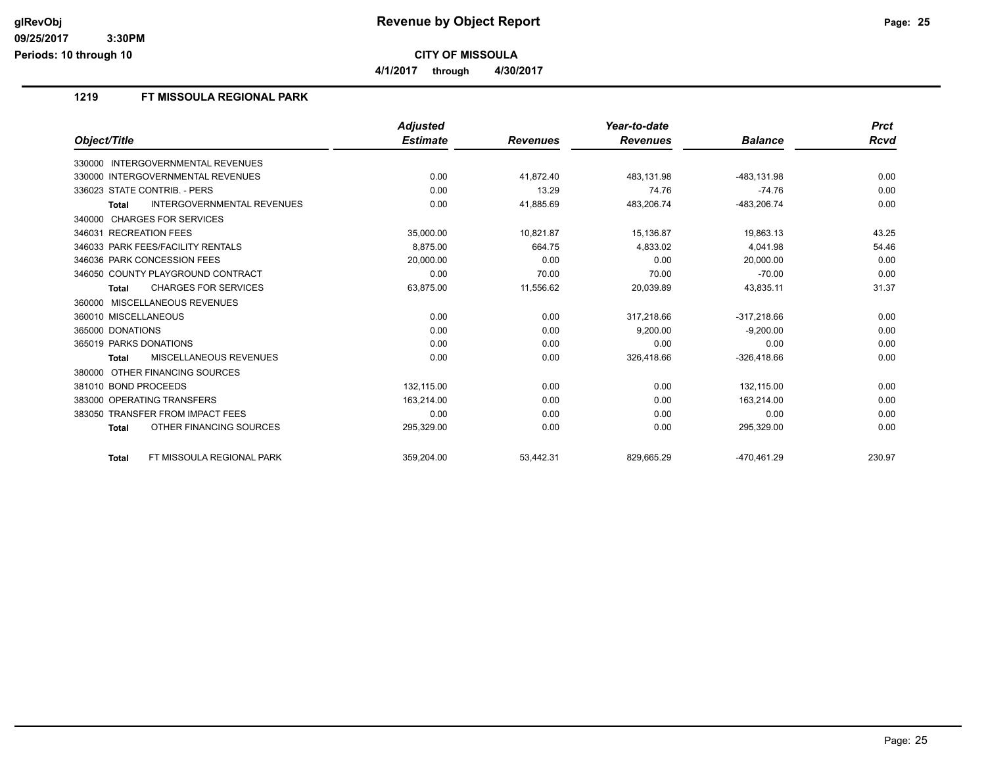**4/1/2017 through 4/30/2017**

# **1219 FT MISSOULA REGIONAL PARK**

|                                                   | <b>Adjusted</b> |                 | Year-to-date    |                | <b>Prct</b> |
|---------------------------------------------------|-----------------|-----------------|-----------------|----------------|-------------|
| Object/Title                                      | <b>Estimate</b> | <b>Revenues</b> | <b>Revenues</b> | <b>Balance</b> | Rcvd        |
| 330000 INTERGOVERNMENTAL REVENUES                 |                 |                 |                 |                |             |
| 330000 INTERGOVERNMENTAL REVENUES                 | 0.00            | 41.872.40       | 483.131.98      | -483,131.98    | 0.00        |
| 336023 STATE CONTRIB. - PERS                      | 0.00            | 13.29           | 74.76           | $-74.76$       | 0.00        |
| <b>INTERGOVERNMENTAL REVENUES</b><br><b>Total</b> | 0.00            | 41,885.69       | 483,206.74      | -483,206.74    | 0.00        |
| 340000 CHARGES FOR SERVICES                       |                 |                 |                 |                |             |
| 346031 RECREATION FEES                            | 35.000.00       | 10,821.87       | 15,136.87       | 19,863.13      | 43.25       |
| 346033 PARK FEES/FACILITY RENTALS                 | 8.875.00        | 664.75          | 4,833.02        | 4.041.98       | 54.46       |
| 346036 PARK CONCESSION FEES                       | 20,000.00       | 0.00            | 0.00            | 20,000.00      | 0.00        |
| 346050 COUNTY PLAYGROUND CONTRACT                 | 0.00            | 70.00           | 70.00           | $-70.00$       | 0.00        |
| <b>CHARGES FOR SERVICES</b><br><b>Total</b>       | 63,875.00       | 11,556.62       | 20,039.89       | 43,835.11      | 31.37       |
| 360000 MISCELLANEOUS REVENUES                     |                 |                 |                 |                |             |
| 360010 MISCELLANEOUS                              | 0.00            | 0.00            | 317,218.66      | $-317,218.66$  | 0.00        |
| 365000 DONATIONS                                  | 0.00            | 0.00            | 9,200.00        | $-9,200.00$    | 0.00        |
| 365019 PARKS DONATIONS                            | 0.00            | 0.00            | 0.00            | 0.00           | 0.00        |
| <b>MISCELLANEOUS REVENUES</b><br><b>Total</b>     | 0.00            | 0.00            | 326,418.66      | $-326,418.66$  | 0.00        |
| 380000 OTHER FINANCING SOURCES                    |                 |                 |                 |                |             |
| 381010 BOND PROCEEDS                              | 132.115.00      | 0.00            | 0.00            | 132,115.00     | 0.00        |
| 383000 OPERATING TRANSFERS                        | 163,214.00      | 0.00            | 0.00            | 163,214.00     | 0.00        |
| 383050 TRANSFER FROM IMPACT FEES                  | 0.00            | 0.00            | 0.00            | 0.00           | 0.00        |
| OTHER FINANCING SOURCES<br><b>Total</b>           | 295,329.00      | 0.00            | 0.00            | 295,329.00     | 0.00        |
| FT MISSOULA REGIONAL PARK<br><b>Total</b>         | 359.204.00      | 53,442.31       | 829.665.29      | -470.461.29    | 230.97      |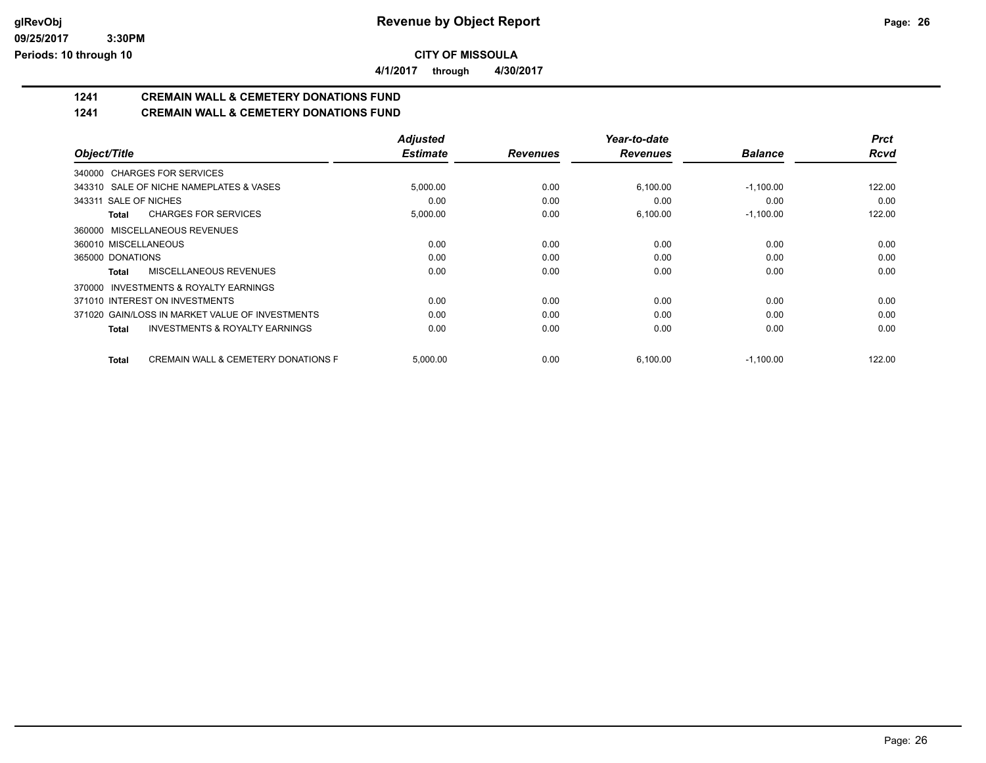**4/1/2017 through 4/30/2017**

# **1241 CREMAIN WALL & CEMETERY DONATIONS FUND**

# **1241 CREMAIN WALL & CEMETERY DONATIONS FUND**

|                                                         | <b>Adjusted</b> |                 | Year-to-date    |                | <b>Prct</b> |
|---------------------------------------------------------|-----------------|-----------------|-----------------|----------------|-------------|
| Object/Title                                            | <b>Estimate</b> | <b>Revenues</b> | <b>Revenues</b> | <b>Balance</b> | <b>Rcvd</b> |
| 340000 CHARGES FOR SERVICES                             |                 |                 |                 |                |             |
| 343310 SALE OF NICHE NAMEPLATES & VASES                 | 5,000.00        | 0.00            | 6,100.00        | $-1,100.00$    | 122.00      |
| 343311 SALE OF NICHES                                   | 0.00            | 0.00            | 0.00            | 0.00           | 0.00        |
| <b>CHARGES FOR SERVICES</b><br>Total                    | 5,000.00        | 0.00            | 6,100.00        | $-1,100.00$    | 122.00      |
| 360000 MISCELLANEOUS REVENUES                           |                 |                 |                 |                |             |
| 360010 MISCELLANEOUS                                    | 0.00            | 0.00            | 0.00            | 0.00           | 0.00        |
| 365000 DONATIONS                                        | 0.00            | 0.00            | 0.00            | 0.00           | 0.00        |
| MISCELLANEOUS REVENUES<br><b>Total</b>                  | 0.00            | 0.00            | 0.00            | 0.00           | 0.00        |
| 370000 INVESTMENTS & ROYALTY EARNINGS                   |                 |                 |                 |                |             |
| 371010 INTEREST ON INVESTMENTS                          | 0.00            | 0.00            | 0.00            | 0.00           | 0.00        |
| 371020 GAIN/LOSS IN MARKET VALUE OF INVESTMENTS         | 0.00            | 0.00            | 0.00            | 0.00           | 0.00        |
| <b>INVESTMENTS &amp; ROYALTY EARNINGS</b><br>Total      | 0.00            | 0.00            | 0.00            | 0.00           | 0.00        |
| <b>CREMAIN WALL &amp; CEMETERY DONATIONS F</b><br>Total | 5,000.00        | 0.00            | 6,100.00        | $-1,100.00$    | 122.00      |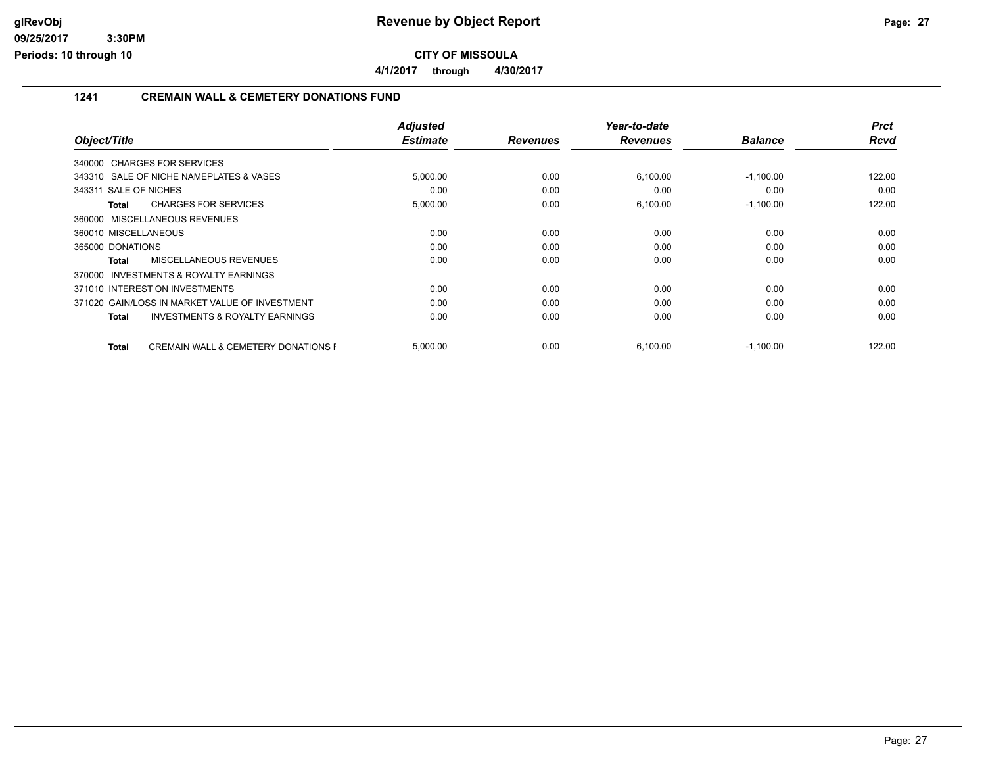**4/1/2017 through 4/30/2017**

#### **1241 CREMAIN WALL & CEMETERY DONATIONS FUND**

|                                                                | <b>Adjusted</b> |                 | Year-to-date    |                | <b>Prct</b> |
|----------------------------------------------------------------|-----------------|-----------------|-----------------|----------------|-------------|
| Object/Title                                                   | <b>Estimate</b> | <b>Revenues</b> | <b>Revenues</b> | <b>Balance</b> | <b>Rcvd</b> |
| 340000 CHARGES FOR SERVICES                                    |                 |                 |                 |                |             |
| 343310 SALE OF NICHE NAMEPLATES & VASES                        | 5,000.00        | 0.00            | 6,100.00        | $-1,100.00$    | 122.00      |
| 343311 SALE OF NICHES                                          | 0.00            | 0.00            | 0.00            | 0.00           | 0.00        |
| <b>CHARGES FOR SERVICES</b><br>Total                           | 5,000.00        | 0.00            | 6,100.00        | $-1,100.00$    | 122.00      |
| 360000 MISCELLANEOUS REVENUES                                  |                 |                 |                 |                |             |
| 360010 MISCELLANEOUS                                           | 0.00            | 0.00            | 0.00            | 0.00           | 0.00        |
| 365000 DONATIONS                                               | 0.00            | 0.00            | 0.00            | 0.00           | 0.00        |
| <b>MISCELLANEOUS REVENUES</b><br>Total                         | 0.00            | 0.00            | 0.00            | 0.00           | 0.00        |
| 370000 INVESTMENTS & ROYALTY EARNINGS                          |                 |                 |                 |                |             |
| 371010 INTEREST ON INVESTMENTS                                 | 0.00            | 0.00            | 0.00            | 0.00           | 0.00        |
| 371020 GAIN/LOSS IN MARKET VALUE OF INVESTMENT                 | 0.00            | 0.00            | 0.00            | 0.00           | 0.00        |
| <b>INVESTMENTS &amp; ROYALTY EARNINGS</b><br>Total             | 0.00            | 0.00            | 0.00            | 0.00           | 0.00        |
| <b>CREMAIN WALL &amp; CEMETERY DONATIONS F</b><br><b>Total</b> | 5,000.00        | 0.00            | 6,100.00        | $-1,100.00$    | 122.00      |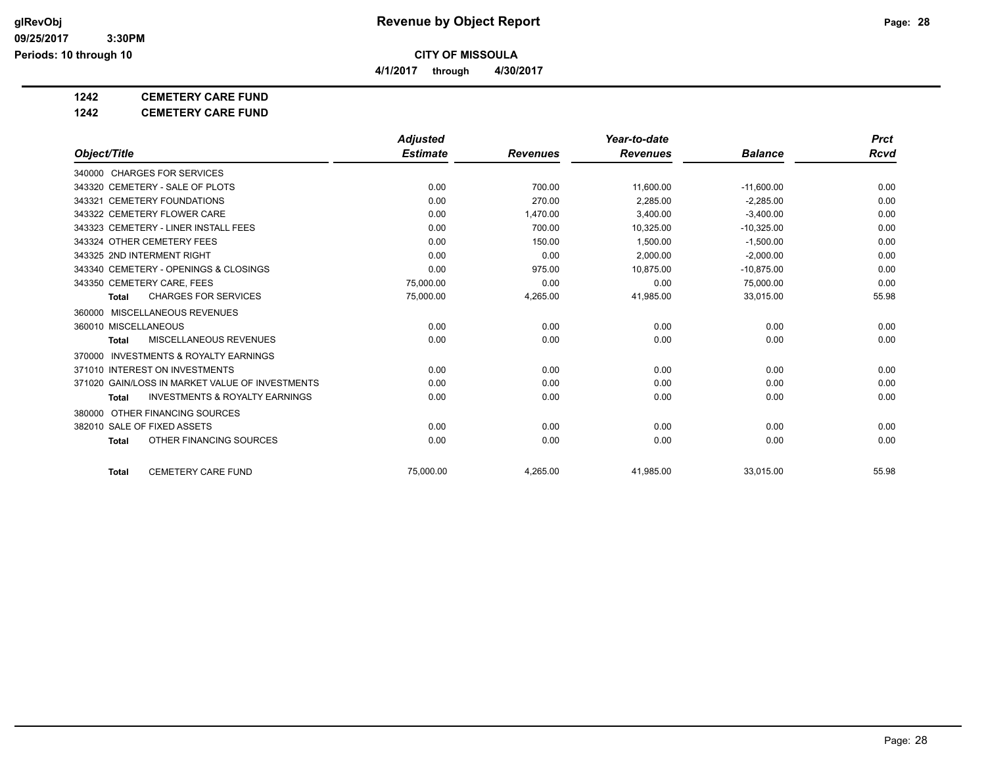**4/1/2017 through 4/30/2017**

#### **1242 CEMETERY CARE FUND**

**1242 CEMETERY CARE FUND**

|                                                           | <b>Adjusted</b> |                 | Year-to-date    |                | <b>Prct</b> |
|-----------------------------------------------------------|-----------------|-----------------|-----------------|----------------|-------------|
| Object/Title                                              | <b>Estimate</b> | <b>Revenues</b> | <b>Revenues</b> | <b>Balance</b> | <b>Rcvd</b> |
| 340000 CHARGES FOR SERVICES                               |                 |                 |                 |                |             |
| 343320 CEMETERY - SALE OF PLOTS                           | 0.00            | 700.00          | 11,600.00       | $-11,600.00$   | 0.00        |
| 343321 CEMETERY FOUNDATIONS                               | 0.00            | 270.00          | 2.285.00        | $-2.285.00$    | 0.00        |
| 343322 CEMETERY FLOWER CARE                               | 0.00            | 1.470.00        | 3,400.00        | $-3,400.00$    | 0.00        |
| 343323 CEMETERY - LINER INSTALL FEES                      | 0.00            | 700.00          | 10,325.00       | $-10,325.00$   | 0.00        |
| 343324 OTHER CEMETERY FEES                                | 0.00            | 150.00          | 1.500.00        | $-1.500.00$    | 0.00        |
| 343325 2ND INTERMENT RIGHT                                | 0.00            | 0.00            | 2,000.00        | $-2,000.00$    | 0.00        |
| 343340 CEMETERY - OPENINGS & CLOSINGS                     | 0.00            | 975.00          | 10,875.00       | $-10.875.00$   | 0.00        |
| 343350 CEMETERY CARE, FEES                                | 75,000.00       | 0.00            | 0.00            | 75,000.00      | 0.00        |
| <b>CHARGES FOR SERVICES</b><br><b>Total</b>               | 75,000.00       | 4,265.00        | 41,985.00       | 33,015.00      | 55.98       |
| 360000 MISCELLANEOUS REVENUES                             |                 |                 |                 |                |             |
| 360010 MISCELLANEOUS                                      | 0.00            | 0.00            | 0.00            | 0.00           | 0.00        |
| <b>MISCELLANEOUS REVENUES</b><br><b>Total</b>             | 0.00            | 0.00            | 0.00            | 0.00           | 0.00        |
| <b>INVESTMENTS &amp; ROYALTY EARNINGS</b><br>370000       |                 |                 |                 |                |             |
| 371010 INTEREST ON INVESTMENTS                            | 0.00            | 0.00            | 0.00            | 0.00           | 0.00        |
| 371020 GAIN/LOSS IN MARKET VALUE OF INVESTMENTS           | 0.00            | 0.00            | 0.00            | 0.00           | 0.00        |
| <b>INVESTMENTS &amp; ROYALTY EARNINGS</b><br><b>Total</b> | 0.00            | 0.00            | 0.00            | 0.00           | 0.00        |
| OTHER FINANCING SOURCES<br>380000                         |                 |                 |                 |                |             |
| 382010 SALE OF FIXED ASSETS                               | 0.00            | 0.00            | 0.00            | 0.00           | 0.00        |
| OTHER FINANCING SOURCES<br><b>Total</b>                   | 0.00            | 0.00            | 0.00            | 0.00           | 0.00        |
| <b>CEMETERY CARE FUND</b><br><b>Total</b>                 | 75.000.00       | 4.265.00        | 41.985.00       | 33.015.00      | 55.98       |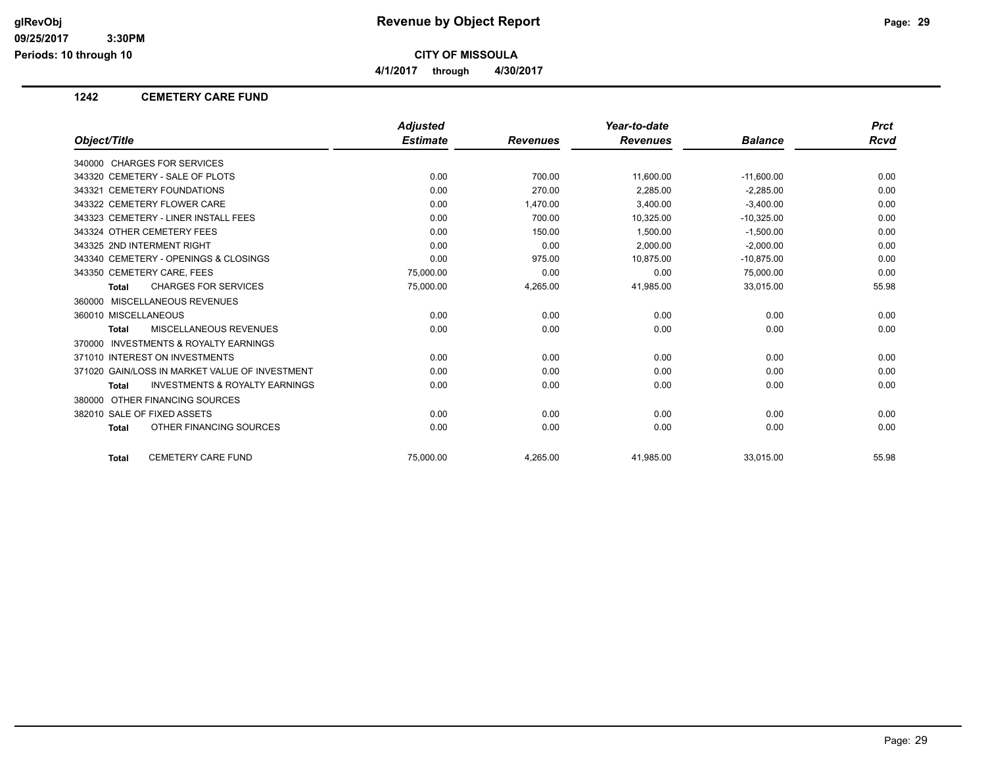**4/1/2017 through 4/30/2017**

#### **1242 CEMETERY CARE FUND**

|                                                           | <b>Adjusted</b> |                 | Year-to-date    |                | <b>Prct</b> |
|-----------------------------------------------------------|-----------------|-----------------|-----------------|----------------|-------------|
| Object/Title                                              | <b>Estimate</b> | <b>Revenues</b> | <b>Revenues</b> | <b>Balance</b> | Rcvd        |
| 340000 CHARGES FOR SERVICES                               |                 |                 |                 |                |             |
| 343320 CEMETERY - SALE OF PLOTS                           | 0.00            | 700.00          | 11,600.00       | $-11,600.00$   | 0.00        |
| 343321 CEMETERY FOUNDATIONS                               | 0.00            | 270.00          | 2,285.00        | $-2,285.00$    | 0.00        |
| 343322 CEMETERY FLOWER CARE                               | 0.00            | 1,470.00        | 3,400.00        | $-3,400.00$    | 0.00        |
| 343323 CEMETERY - LINER INSTALL FEES                      | 0.00            | 700.00          | 10,325.00       | $-10,325.00$   | 0.00        |
| 343324 OTHER CEMETERY FEES                                | 0.00            | 150.00          | 1.500.00        | $-1,500.00$    | 0.00        |
| 343325 2ND INTERMENT RIGHT                                | 0.00            | 0.00            | 2,000.00        | $-2,000.00$    | 0.00        |
| 343340 CEMETERY - OPENINGS & CLOSINGS                     | 0.00            | 975.00          | 10.875.00       | $-10.875.00$   | 0.00        |
| 343350 CEMETERY CARE, FEES                                | 75.000.00       | 0.00            | 0.00            | 75,000.00      | 0.00        |
| <b>CHARGES FOR SERVICES</b><br><b>Total</b>               | 75,000.00       | 4,265.00        | 41,985.00       | 33,015.00      | 55.98       |
| 360000 MISCELLANEOUS REVENUES                             |                 |                 |                 |                |             |
| 360010 MISCELLANEOUS                                      | 0.00            | 0.00            | 0.00            | 0.00           | 0.00        |
| <b>MISCELLANEOUS REVENUES</b><br><b>Total</b>             | 0.00            | 0.00            | 0.00            | 0.00           | 0.00        |
| 370000 INVESTMENTS & ROYALTY EARNINGS                     |                 |                 |                 |                |             |
| 371010 INTEREST ON INVESTMENTS                            | 0.00            | 0.00            | 0.00            | 0.00           | 0.00        |
| 371020 GAIN/LOSS IN MARKET VALUE OF INVESTMENT            | 0.00            | 0.00            | 0.00            | 0.00           | 0.00        |
| <b>INVESTMENTS &amp; ROYALTY EARNINGS</b><br><b>Total</b> | 0.00            | 0.00            | 0.00            | 0.00           | 0.00        |
| 380000 OTHER FINANCING SOURCES                            |                 |                 |                 |                |             |
| 382010 SALE OF FIXED ASSETS                               | 0.00            | 0.00            | 0.00            | 0.00           | 0.00        |
| OTHER FINANCING SOURCES<br><b>Total</b>                   | 0.00            | 0.00            | 0.00            | 0.00           | 0.00        |
| <b>CEMETERY CARE FUND</b><br><b>Total</b>                 | 75.000.00       | 4,265.00        | 41,985.00       | 33,015.00      | 55.98       |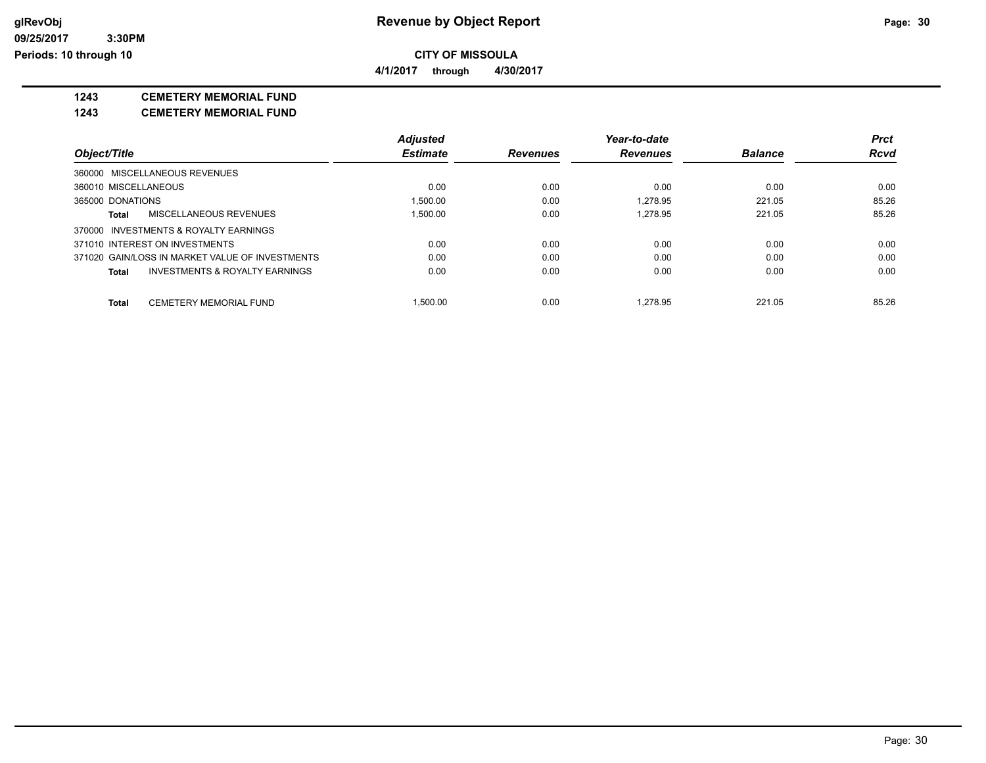**4/1/2017 through 4/30/2017**

## **1243 CEMETERY MEMORIAL FUND**

#### **1243 CEMETERY MEMORIAL FUND**

|                                                    | <b>Adjusted</b> |                 | Year-to-date    |                | <b>Prct</b> |
|----------------------------------------------------|-----------------|-----------------|-----------------|----------------|-------------|
| Object/Title                                       | <b>Estimate</b> | <b>Revenues</b> | <b>Revenues</b> | <b>Balance</b> | <b>Rcvd</b> |
| 360000 MISCELLANEOUS REVENUES                      |                 |                 |                 |                |             |
| 360010 MISCELLANEOUS                               | 0.00            | 0.00            | 0.00            | 0.00           | 0.00        |
| 365000 DONATIONS                                   | 1.500.00        | 0.00            | 1.278.95        | 221.05         | 85.26       |
| MISCELLANEOUS REVENUES<br>Total                    | 1,500.00        | 0.00            | 1.278.95        | 221.05         | 85.26       |
| 370000 INVESTMENTS & ROYALTY EARNINGS              |                 |                 |                 |                |             |
| 371010 INTEREST ON INVESTMENTS                     | 0.00            | 0.00            | 0.00            | 0.00           | 0.00        |
| 371020 GAIN/LOSS IN MARKET VALUE OF INVESTMENTS    | 0.00            | 0.00            | 0.00            | 0.00           | 0.00        |
| <b>INVESTMENTS &amp; ROYALTY EARNINGS</b><br>Total | 0.00            | 0.00            | 0.00            | 0.00           | 0.00        |
| <b>CEMETERY MEMORIAL FUND</b><br><b>Total</b>      | 1.500.00        | 0.00            | 1.278.95        | 221.05         | 85.26       |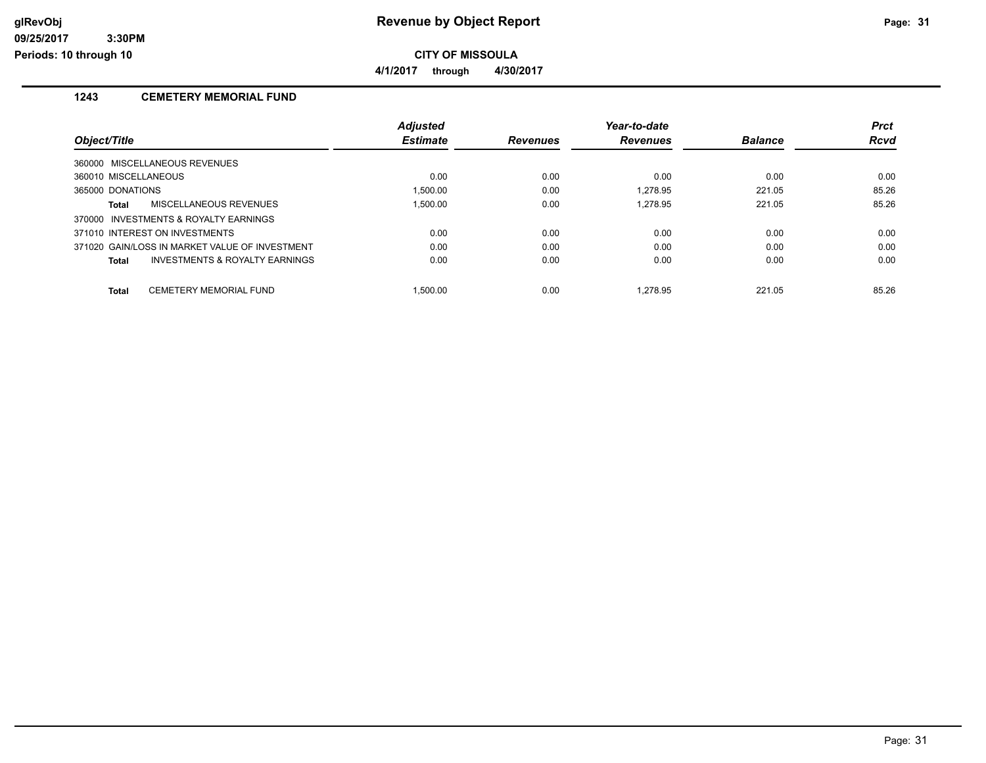**4/1/2017 through 4/30/2017**

# **1243 CEMETERY MEMORIAL FUND**

|                      |                                                | <b>Adjusted</b> |                 | Year-to-date    |                | <b>Prct</b> |
|----------------------|------------------------------------------------|-----------------|-----------------|-----------------|----------------|-------------|
| Object/Title         |                                                | <b>Estimate</b> | <b>Revenues</b> | <b>Revenues</b> | <b>Balance</b> | Rcvd        |
|                      | 360000 MISCELLANEOUS REVENUES                  |                 |                 |                 |                |             |
| 360010 MISCELLANEOUS |                                                | 0.00            | 0.00            | 0.00            | 0.00           | 0.00        |
| 365000 DONATIONS     |                                                | 1.500.00        | 0.00            | 1.278.95        | 221.05         | 85.26       |
| Total                | <b>MISCELLANEOUS REVENUES</b>                  | 1.500.00        | 0.00            | 1.278.95        | 221.05         | 85.26       |
|                      | 370000 INVESTMENTS & ROYALTY EARNINGS          |                 |                 |                 |                |             |
|                      | 371010 INTEREST ON INVESTMENTS                 | 0.00            | 0.00            | 0.00            | 0.00           | 0.00        |
|                      | 371020 GAIN/LOSS IN MARKET VALUE OF INVESTMENT | 0.00            | 0.00            | 0.00            | 0.00           | 0.00        |
| Total                | <b>INVESTMENTS &amp; ROYALTY EARNINGS</b>      | 0.00            | 0.00            | 0.00            | 0.00           | 0.00        |
| Total                | <b>CEMETERY MEMORIAL FUND</b>                  | 1.500.00        | 0.00            | 1.278.95        | 221.05         | 85.26       |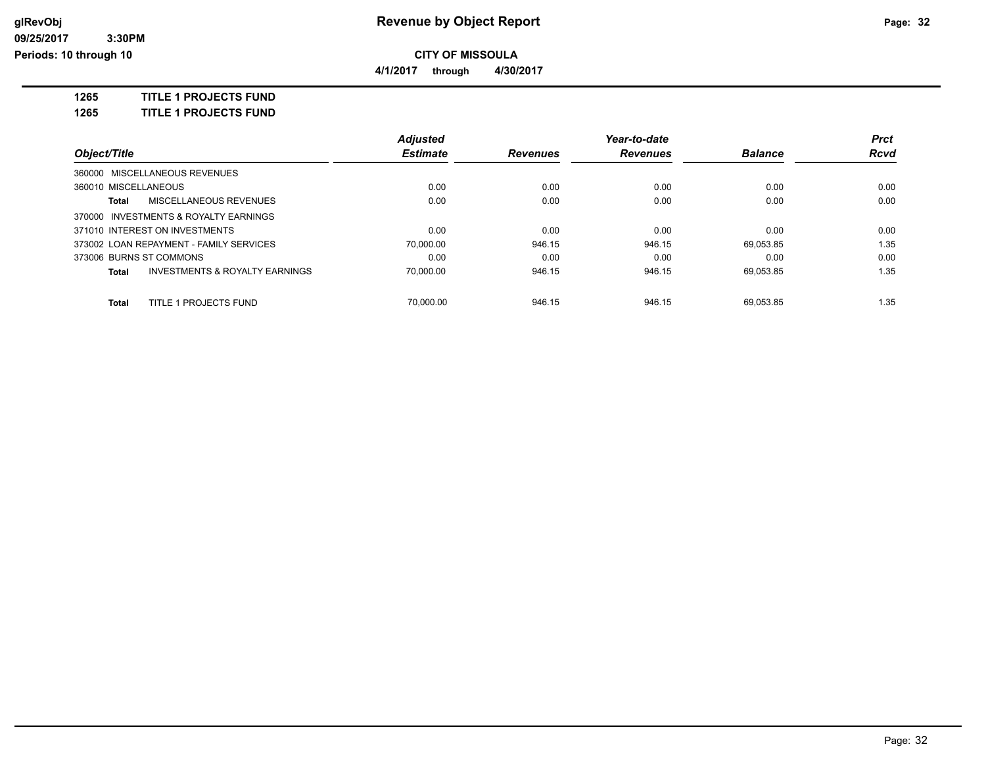**4/1/2017 through 4/30/2017**

**1265 TITLE 1 PROJECTS FUND**

**1265 TITLE 1 PROJECTS FUND**

|                                                    | <b>Adjusted</b> |                 | Year-to-date    |                | <b>Prct</b> |
|----------------------------------------------------|-----------------|-----------------|-----------------|----------------|-------------|
| Object/Title                                       | <b>Estimate</b> | <b>Revenues</b> | <b>Revenues</b> | <b>Balance</b> | Rcvd        |
| 360000 MISCELLANEOUS REVENUES                      |                 |                 |                 |                |             |
| 360010 MISCELLANEOUS                               | 0.00            | 0.00            | 0.00            | 0.00           | 0.00        |
| <b>MISCELLANEOUS REVENUES</b><br>Total             | 0.00            | 0.00            | 0.00            | 0.00           | 0.00        |
| 370000 INVESTMENTS & ROYALTY EARNINGS              |                 |                 |                 |                |             |
| 371010 INTEREST ON INVESTMENTS                     | 0.00            | 0.00            | 0.00            | 0.00           | 0.00        |
| 373002 LOAN REPAYMENT - FAMILY SERVICES            | 70.000.00       | 946.15          | 946.15          | 69.053.85      | 1.35        |
| 373006 BURNS ST COMMONS                            | 0.00            | 0.00            | 0.00            | 0.00           | 0.00        |
| <b>INVESTMENTS &amp; ROYALTY EARNINGS</b><br>Total | 70.000.00       | 946.15          | 946.15          | 69,053.85      | 1.35        |
| TITLE 1 PROJECTS FUND<br>Total                     | 70.000.00       | 946.15          | 946.15          | 69.053.85      | 1.35        |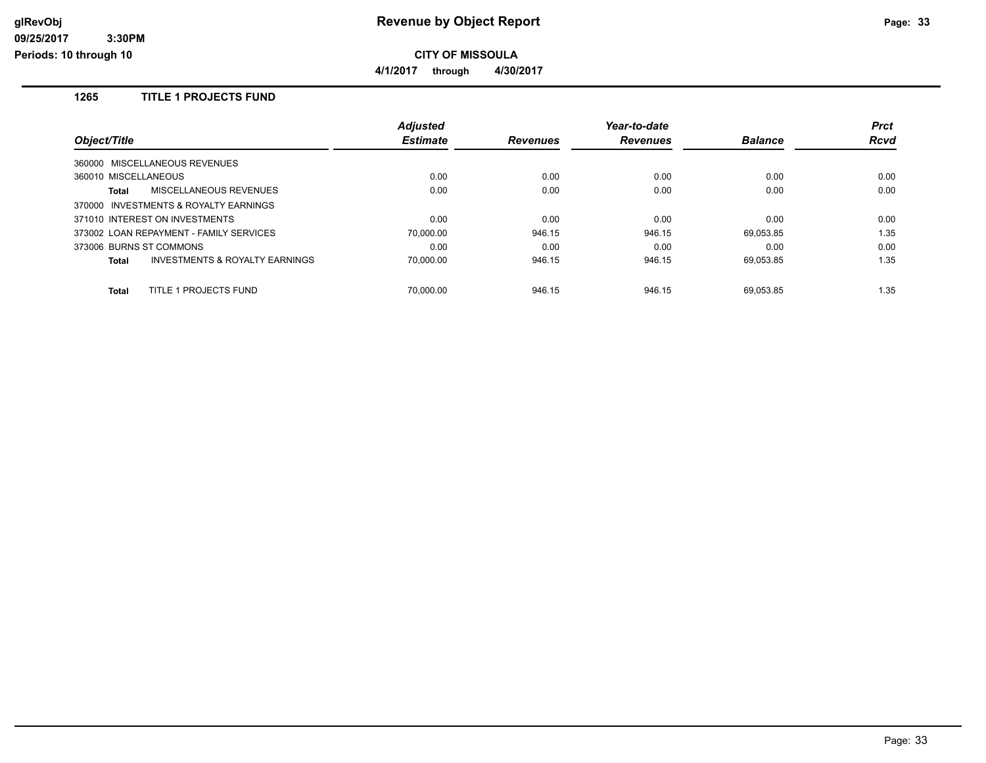**4/1/2017 through 4/30/2017**

#### **1265 TITLE 1 PROJECTS FUND**

|                                                    | <b>Adjusted</b> |                 | Year-to-date    |                | <b>Prct</b> |
|----------------------------------------------------|-----------------|-----------------|-----------------|----------------|-------------|
| Object/Title                                       | <b>Estimate</b> | <b>Revenues</b> | <b>Revenues</b> | <b>Balance</b> | <b>Rcvd</b> |
| 360000 MISCELLANEOUS REVENUES                      |                 |                 |                 |                |             |
| 360010 MISCELLANEOUS                               | 0.00            | 0.00            | 0.00            | 0.00           | 0.00        |
| MISCELLANEOUS REVENUES<br>Total                    | 0.00            | 0.00            | 0.00            | 0.00           | 0.00        |
| 370000 INVESTMENTS & ROYALTY EARNINGS              |                 |                 |                 |                |             |
| 371010 INTEREST ON INVESTMENTS                     | 0.00            | 0.00            | 0.00            | 0.00           | 0.00        |
| 373002 LOAN REPAYMENT - FAMILY SERVICES            | 70.000.00       | 946.15          | 946.15          | 69.053.85      | 1.35        |
| 373006 BURNS ST COMMONS                            | 0.00            | 0.00            | 0.00            | 0.00           | 0.00        |
| <b>INVESTMENTS &amp; ROYALTY EARNINGS</b><br>Total | 70.000.00       | 946.15          | 946.15          | 69.053.85      | 1.35        |
| TITLE 1 PROJECTS FUND<br><b>Total</b>              | 70.000.00       | 946.15          | 946.15          | 69.053.85      | 1.35        |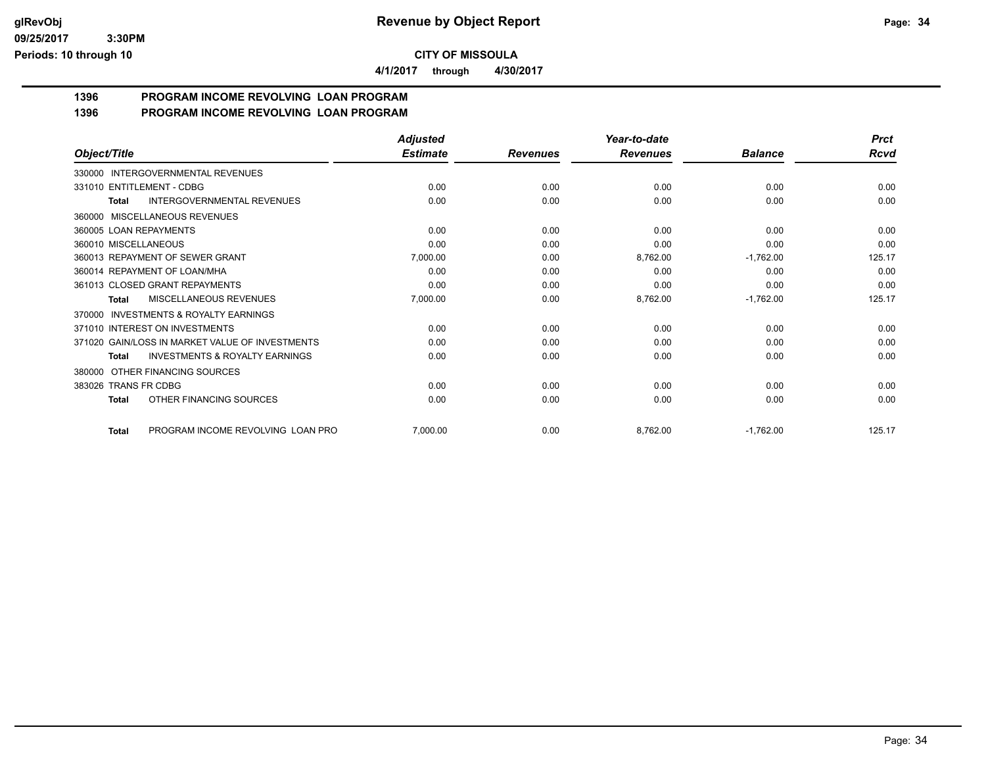**4/1/2017 through 4/30/2017**

# **1396 PROGRAM INCOME REVOLVING LOAN PROGRAM**

| 1396 | <b>PROGRAM INCOME REVOLVING LOAN PROGRAM</b> |  |
|------|----------------------------------------------|--|
|      |                                              |  |

|                                                           | <b>Adjusted</b> |                 | Year-to-date    |                | <b>Prct</b> |
|-----------------------------------------------------------|-----------------|-----------------|-----------------|----------------|-------------|
| Object/Title                                              | <b>Estimate</b> | <b>Revenues</b> | <b>Revenues</b> | <b>Balance</b> | Rcvd        |
| 330000 INTERGOVERNMENTAL REVENUES                         |                 |                 |                 |                |             |
| 331010 ENTITLEMENT - CDBG                                 | 0.00            | 0.00            | 0.00            | 0.00           | 0.00        |
| <b>INTERGOVERNMENTAL REVENUES</b><br><b>Total</b>         | 0.00            | 0.00            | 0.00            | 0.00           | 0.00        |
| 360000 MISCELLANEOUS REVENUES                             |                 |                 |                 |                |             |
| 360005 LOAN REPAYMENTS                                    | 0.00            | 0.00            | 0.00            | 0.00           | 0.00        |
| 360010 MISCELLANEOUS                                      | 0.00            | 0.00            | 0.00            | 0.00           | 0.00        |
| 360013 REPAYMENT OF SEWER GRANT                           | 7,000.00        | 0.00            | 8,762.00        | $-1,762.00$    | 125.17      |
| 360014 REPAYMENT OF LOAN/MHA                              | 0.00            | 0.00            | 0.00            | 0.00           | 0.00        |
| 361013 CLOSED GRANT REPAYMENTS                            | 0.00            | 0.00            | 0.00            | 0.00           | 0.00        |
| MISCELLANEOUS REVENUES<br><b>Total</b>                    | 7,000.00        | 0.00            | 8,762.00        | $-1,762.00$    | 125.17      |
| <b>INVESTMENTS &amp; ROYALTY EARNINGS</b><br>370000       |                 |                 |                 |                |             |
| 371010 INTEREST ON INVESTMENTS                            | 0.00            | 0.00            | 0.00            | 0.00           | 0.00        |
| 371020 GAIN/LOSS IN MARKET VALUE OF INVESTMENTS           | 0.00            | 0.00            | 0.00            | 0.00           | 0.00        |
| <b>INVESTMENTS &amp; ROYALTY EARNINGS</b><br><b>Total</b> | 0.00            | 0.00            | 0.00            | 0.00           | 0.00        |
| OTHER FINANCING SOURCES<br>380000                         |                 |                 |                 |                |             |
| 383026 TRANS FR CDBG                                      | 0.00            | 0.00            | 0.00            | 0.00           | 0.00        |
| OTHER FINANCING SOURCES<br><b>Total</b>                   | 0.00            | 0.00            | 0.00            | 0.00           | 0.00        |
| PROGRAM INCOME REVOLVING LOAN PRO<br><b>Total</b>         | 7,000.00        | 0.00            | 8,762.00        | $-1,762.00$    | 125.17      |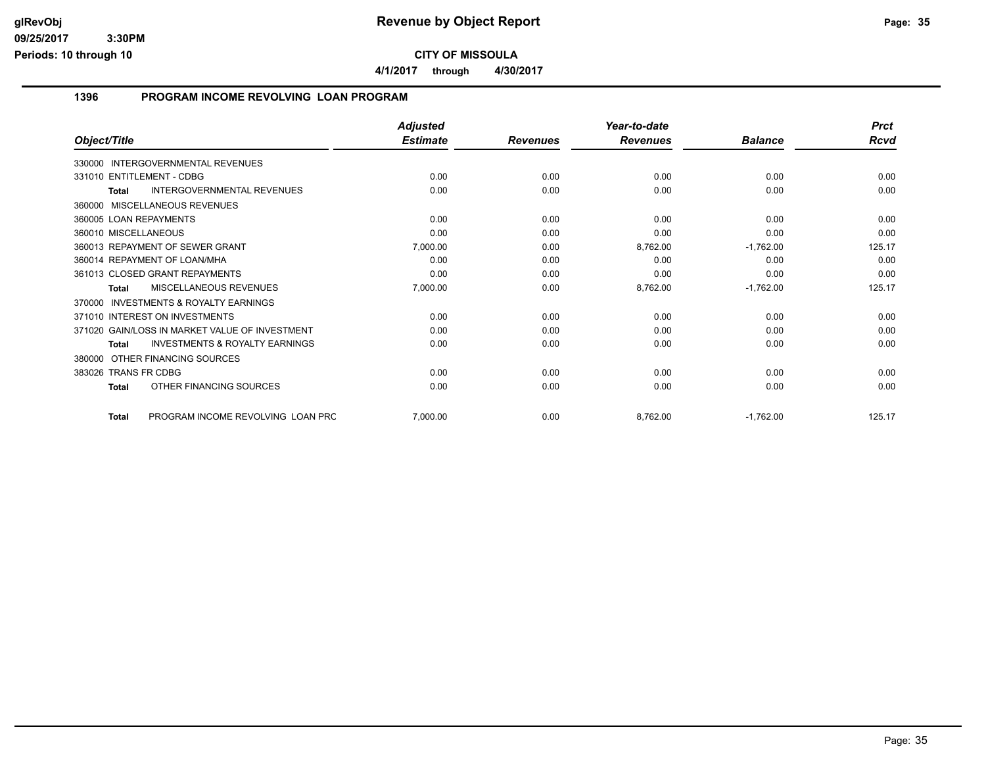**4/1/2017 through 4/30/2017**

#### **1396 PROGRAM INCOME REVOLVING LOAN PROGRAM**

|                                                           | <b>Adjusted</b> |                 | Year-to-date    |                | <b>Prct</b> |
|-----------------------------------------------------------|-----------------|-----------------|-----------------|----------------|-------------|
| Object/Title                                              | <b>Estimate</b> | <b>Revenues</b> | <b>Revenues</b> | <b>Balance</b> | Rcvd        |
| 330000 INTERGOVERNMENTAL REVENUES                         |                 |                 |                 |                |             |
| 331010 ENTITLEMENT - CDBG                                 | 0.00            | 0.00            | 0.00            | 0.00           | 0.00        |
| <b>INTERGOVERNMENTAL REVENUES</b><br><b>Total</b>         | 0.00            | 0.00            | 0.00            | 0.00           | 0.00        |
| 360000 MISCELLANEOUS REVENUES                             |                 |                 |                 |                |             |
| 360005 LOAN REPAYMENTS                                    | 0.00            | 0.00            | 0.00            | 0.00           | 0.00        |
| 360010 MISCELLANEOUS                                      | 0.00            | 0.00            | 0.00            | 0.00           | 0.00        |
| 360013 REPAYMENT OF SEWER GRANT                           | 7,000.00        | 0.00            | 8,762.00        | $-1,762.00$    | 125.17      |
| 360014 REPAYMENT OF LOAN/MHA                              | 0.00            | 0.00            | 0.00            | 0.00           | 0.00        |
| 361013 CLOSED GRANT REPAYMENTS                            | 0.00            | 0.00            | 0.00            | 0.00           | 0.00        |
| MISCELLANEOUS REVENUES<br><b>Total</b>                    | 7,000.00        | 0.00            | 8,762.00        | $-1,762.00$    | 125.17      |
| <b>INVESTMENTS &amp; ROYALTY EARNINGS</b><br>370000       |                 |                 |                 |                |             |
| 371010 INTEREST ON INVESTMENTS                            | 0.00            | 0.00            | 0.00            | 0.00           | 0.00        |
| 371020 GAIN/LOSS IN MARKET VALUE OF INVESTMENT            | 0.00            | 0.00            | 0.00            | 0.00           | 0.00        |
| <b>INVESTMENTS &amp; ROYALTY EARNINGS</b><br><b>Total</b> | 0.00            | 0.00            | 0.00            | 0.00           | 0.00        |
| OTHER FINANCING SOURCES<br>380000                         |                 |                 |                 |                |             |
| 383026 TRANS FR CDBG                                      | 0.00            | 0.00            | 0.00            | 0.00           | 0.00        |
| OTHER FINANCING SOURCES<br><b>Total</b>                   | 0.00            | 0.00            | 0.00            | 0.00           | 0.00        |
| PROGRAM INCOME REVOLVING LOAN PRC<br><b>Total</b>         | 7,000.00        | 0.00            | 8,762.00        | $-1,762.00$    | 125.17      |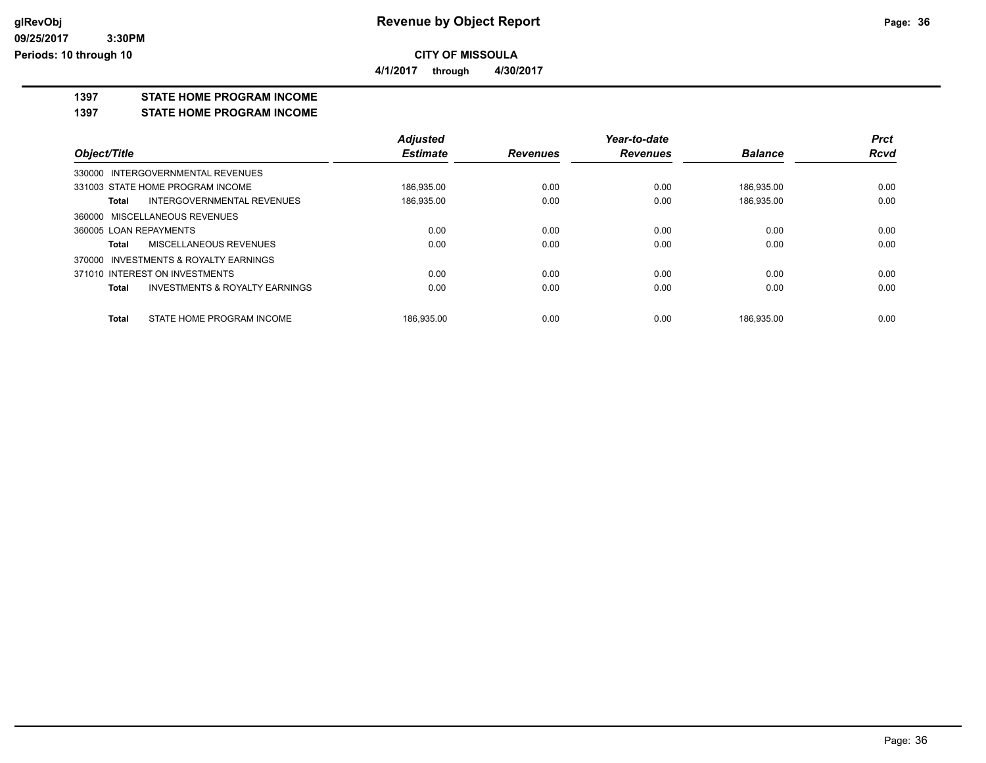**4/1/2017 through 4/30/2017**

#### **1397 STATE HOME PROGRAM INCOME**

#### **1397 STATE HOME PROGRAM INCOME**

|                                                    | <b>Adjusted</b> |                 | Year-to-date    |                | <b>Prct</b> |
|----------------------------------------------------|-----------------|-----------------|-----------------|----------------|-------------|
| Object/Title                                       | <b>Estimate</b> | <b>Revenues</b> | <b>Revenues</b> | <b>Balance</b> | <b>Rcvd</b> |
| 330000 INTERGOVERNMENTAL REVENUES                  |                 |                 |                 |                |             |
| 331003 STATE HOME PROGRAM INCOME                   | 186,935.00      | 0.00            | 0.00            | 186.935.00     | 0.00        |
| <b>INTERGOVERNMENTAL REVENUES</b><br>Total         | 186,935.00      | 0.00            | 0.00            | 186,935.00     | 0.00        |
| 360000 MISCELLANEOUS REVENUES                      |                 |                 |                 |                |             |
| 360005 LOAN REPAYMENTS                             | 0.00            | 0.00            | 0.00            | 0.00           | 0.00        |
| MISCELLANEOUS REVENUES<br>Total                    | 0.00            | 0.00            | 0.00            | 0.00           | 0.00        |
| 370000 INVESTMENTS & ROYALTY EARNINGS              |                 |                 |                 |                |             |
| 371010 INTEREST ON INVESTMENTS                     | 0.00            | 0.00            | 0.00            | 0.00           | 0.00        |
| <b>INVESTMENTS &amp; ROYALTY EARNINGS</b><br>Total | 0.00            | 0.00            | 0.00            | 0.00           | 0.00        |
| STATE HOME PROGRAM INCOME<br>Total                 | 186.935.00      | 0.00            | 0.00            | 186.935.00     | 0.00        |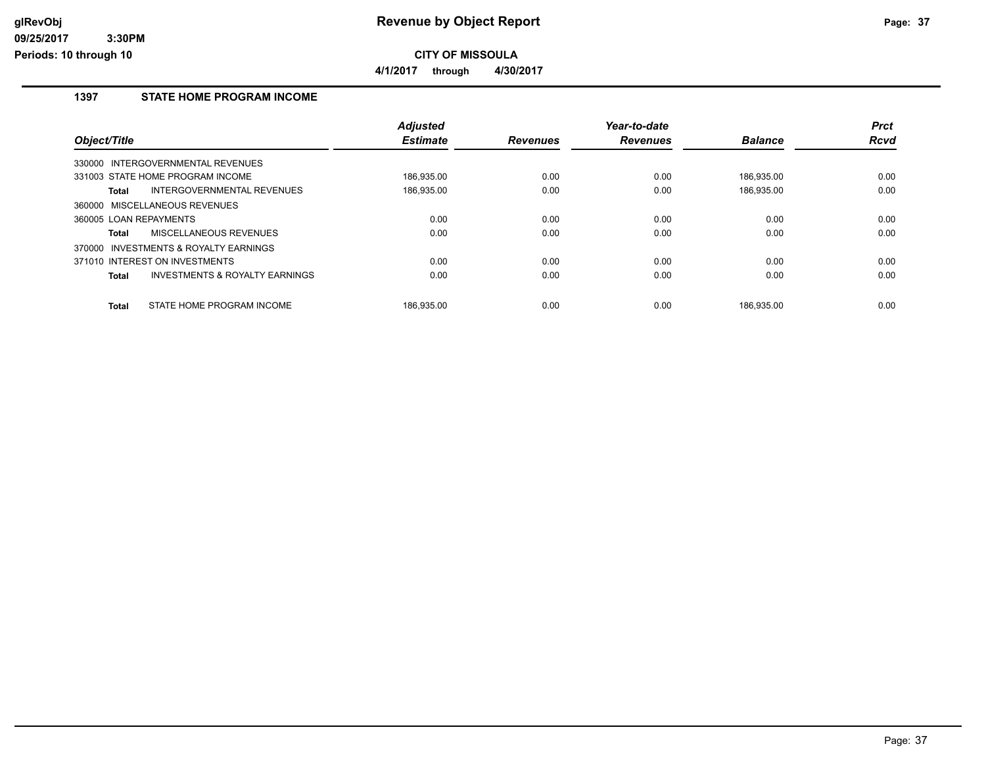**4/1/2017 through 4/30/2017**

## **1397 STATE HOME PROGRAM INCOME**

| Object/Title           |                                           | <b>Adjusted</b><br><b>Estimate</b> | <b>Revenues</b> | Year-to-date<br><b>Revenues</b> | <b>Balance</b> | <b>Prct</b><br><b>Rcvd</b> |
|------------------------|-------------------------------------------|------------------------------------|-----------------|---------------------------------|----------------|----------------------------|
|                        | 330000 INTERGOVERNMENTAL REVENUES         |                                    |                 |                                 |                |                            |
|                        | 331003 STATE HOME PROGRAM INCOME          | 186,935.00                         | 0.00            | 0.00                            | 186,935.00     | 0.00                       |
| Total                  | INTERGOVERNMENTAL REVENUES                | 186,935.00                         | 0.00            | 0.00                            | 186,935.00     | 0.00                       |
|                        | 360000 MISCELLANEOUS REVENUES             |                                    |                 |                                 |                |                            |
| 360005 LOAN REPAYMENTS |                                           | 0.00                               | 0.00            | 0.00                            | 0.00           | 0.00                       |
| Total                  | MISCELLANEOUS REVENUES                    | 0.00                               | 0.00            | 0.00                            | 0.00           | 0.00                       |
| 370000                 | INVESTMENTS & ROYALTY EARNINGS            |                                    |                 |                                 |                |                            |
|                        | 371010 INTEREST ON INVESTMENTS            | 0.00                               | 0.00            | 0.00                            | 0.00           | 0.00                       |
| Total                  | <b>INVESTMENTS &amp; ROYALTY EARNINGS</b> | 0.00                               | 0.00            | 0.00                            | 0.00           | 0.00                       |
| <b>Total</b>           | STATE HOME PROGRAM INCOME                 | 186.935.00                         | 0.00            | 0.00                            | 186.935.00     | 0.00                       |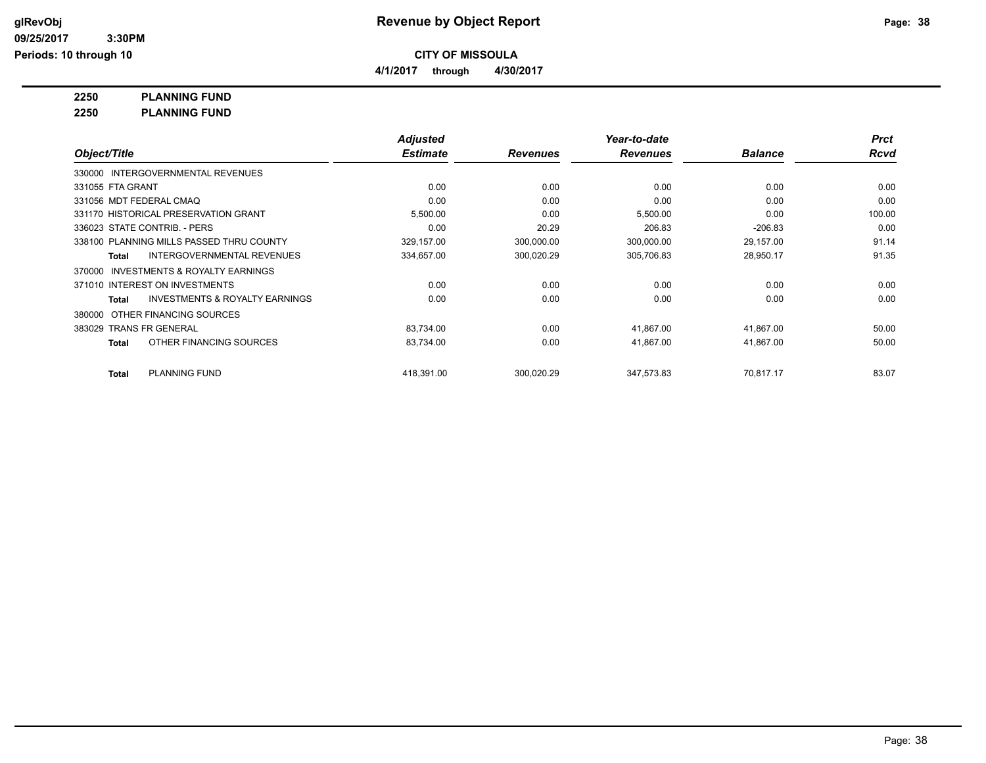**4/1/2017 through 4/30/2017**

**2250 PLANNING FUND**

**2250 PLANNING FUND**

|                                                    | <b>Adjusted</b> |                 | Year-to-date    |                | <b>Prct</b> |
|----------------------------------------------------|-----------------|-----------------|-----------------|----------------|-------------|
| Object/Title                                       | <b>Estimate</b> | <b>Revenues</b> | <b>Revenues</b> | <b>Balance</b> | <b>Rcvd</b> |
| 330000 INTERGOVERNMENTAL REVENUES                  |                 |                 |                 |                |             |
| 331055 FTA GRANT                                   | 0.00            | 0.00            | 0.00            | 0.00           | 0.00        |
| 331056 MDT FEDERAL CMAQ                            | 0.00            | 0.00            | 0.00            | 0.00           | 0.00        |
| 331170 HISTORICAL PRESERVATION GRANT               | 5,500.00        | 0.00            | 5,500.00        | 0.00           | 100.00      |
| 336023 STATE CONTRIB. - PERS                       | 0.00            | 20.29           | 206.83          | $-206.83$      | 0.00        |
| 338100 PLANNING MILLS PASSED THRU COUNTY           | 329,157.00      | 300,000.00      | 300,000.00      | 29,157.00      | 91.14       |
| <b>INTERGOVERNMENTAL REVENUES</b><br>Total         | 334,657.00      | 300,020.29      | 305,706.83      | 28,950.17      | 91.35       |
| 370000 INVESTMENTS & ROYALTY EARNINGS              |                 |                 |                 |                |             |
| 371010 INTEREST ON INVESTMENTS                     | 0.00            | 0.00            | 0.00            | 0.00           | 0.00        |
| <b>INVESTMENTS &amp; ROYALTY EARNINGS</b><br>Total | 0.00            | 0.00            | 0.00            | 0.00           | 0.00        |
| OTHER FINANCING SOURCES<br>380000                  |                 |                 |                 |                |             |
| 383029 TRANS FR GENERAL                            | 83,734.00       | 0.00            | 41,867.00       | 41,867.00      | 50.00       |
| OTHER FINANCING SOURCES<br>Total                   | 83,734.00       | 0.00            | 41,867.00       | 41,867.00      | 50.00       |
|                                                    |                 |                 |                 |                |             |
| <b>PLANNING FUND</b><br>Total                      | 418.391.00      | 300.020.29      | 347,573.83      | 70.817.17      | 83.07       |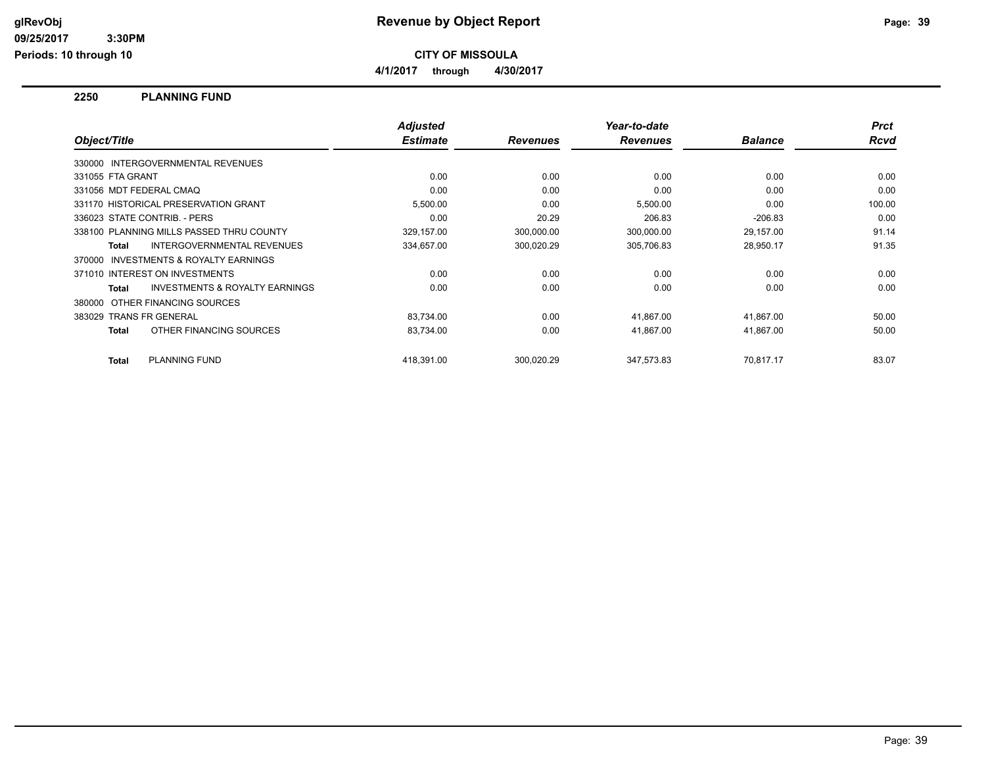**4/1/2017 through 4/30/2017**

## **2250 PLANNING FUND**

| Object/Title                                        |                                           | <b>Adjusted</b><br><b>Estimate</b> | <b>Revenues</b> | Year-to-date<br><b>Revenues</b> | <b>Balance</b> | <b>Prct</b><br><b>Rcvd</b> |
|-----------------------------------------------------|-------------------------------------------|------------------------------------|-----------------|---------------------------------|----------------|----------------------------|
|                                                     |                                           |                                    |                 |                                 |                |                            |
| 330000 INTERGOVERNMENTAL REVENUES                   |                                           |                                    |                 |                                 |                |                            |
| 331055 FTA GRANT                                    |                                           | 0.00                               | 0.00            | 0.00                            | 0.00           | 0.00                       |
| 331056 MDT FEDERAL CMAQ                             |                                           | 0.00                               | 0.00            | 0.00                            | 0.00           | 0.00                       |
| 331170 HISTORICAL PRESERVATION GRANT                |                                           | 5,500.00                           | 0.00            | 5,500.00                        | 0.00           | 100.00                     |
| 336023 STATE CONTRIB. - PERS                        |                                           | 0.00                               | 20.29           | 206.83                          | $-206.83$      | 0.00                       |
| 338100 PLANNING MILLS PASSED THRU COUNTY            |                                           | 329,157.00                         | 300,000.00      | 300,000.00                      | 29,157.00      | 91.14                      |
| Total                                               | <b>INTERGOVERNMENTAL REVENUES</b>         | 334,657.00                         | 300,020.29      | 305,706.83                      | 28,950.17      | 91.35                      |
| <b>INVESTMENTS &amp; ROYALTY EARNINGS</b><br>370000 |                                           |                                    |                 |                                 |                |                            |
| 371010 INTEREST ON INVESTMENTS                      |                                           | 0.00                               | 0.00            | 0.00                            | 0.00           | 0.00                       |
| Total                                               | <b>INVESTMENTS &amp; ROYALTY EARNINGS</b> | 0.00                               | 0.00            | 0.00                            | 0.00           | 0.00                       |
| 380000 OTHER FINANCING SOURCES                      |                                           |                                    |                 |                                 |                |                            |
| 383029 TRANS FR GENERAL                             |                                           | 83,734.00                          | 0.00            | 41,867.00                       | 41,867.00      | 50.00                      |
| OTHER FINANCING SOURCES<br>Total                    |                                           | 83,734.00                          | 0.00            | 41,867.00                       | 41,867.00      | 50.00                      |
|                                                     |                                           |                                    |                 |                                 |                |                            |
| <b>PLANNING FUND</b><br>Total                       |                                           | 418.391.00                         | 300.020.29      | 347,573.83                      | 70,817.17      | 83.07                      |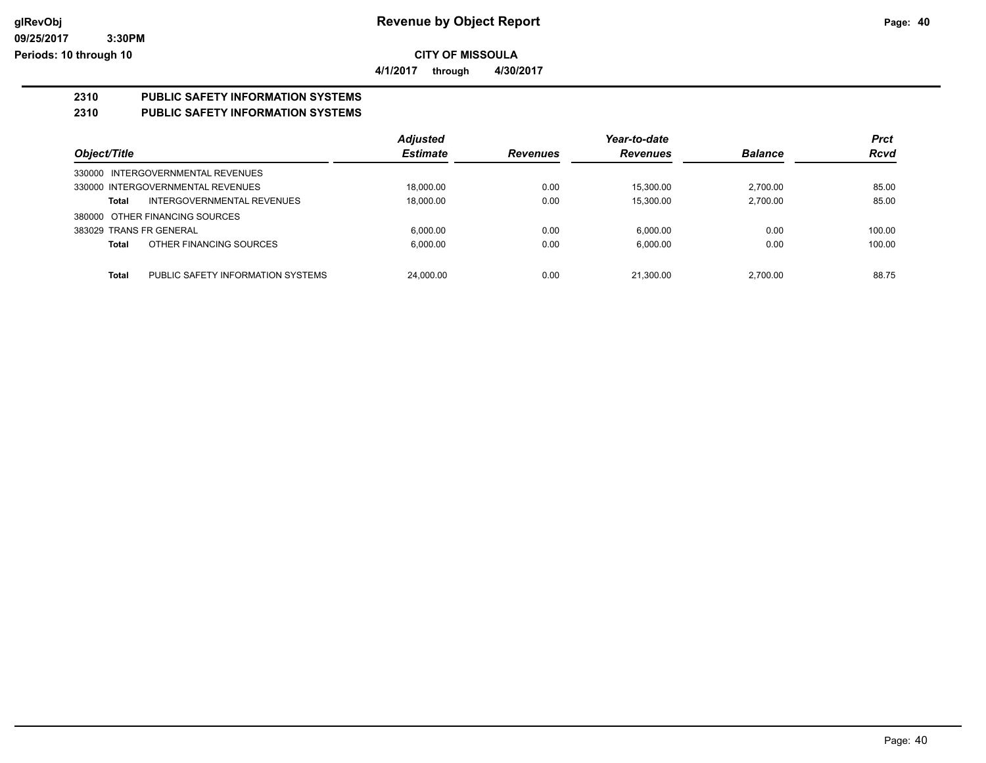**4/1/2017 through 4/30/2017**

## **2310 PUBLIC SAFETY INFORMATION SYSTEMS 2310 PUBLIC SAFETY INFORMATION SYSTEMS**

|                                                   | <b>Adjusted</b> |                 | Year-to-date    |                | <b>Prct</b> |
|---------------------------------------------------|-----------------|-----------------|-----------------|----------------|-------------|
| Object/Title                                      | <b>Estimate</b> | <b>Revenues</b> | <b>Revenues</b> | <b>Balance</b> | <b>Rcvd</b> |
| 330000 INTERGOVERNMENTAL REVENUES                 |                 |                 |                 |                |             |
| 330000 INTERGOVERNMENTAL REVENUES                 | 18.000.00       | 0.00            | 15.300.00       | 2.700.00       | 85.00       |
| INTERGOVERNMENTAL REVENUES<br>Total               | 18.000.00       | 0.00            | 15.300.00       | 2.700.00       | 85.00       |
| 380000 OTHER FINANCING SOURCES                    |                 |                 |                 |                |             |
| 383029 TRANS FR GENERAL                           | 6.000.00        | 0.00            | 6.000.00        | 0.00           | 100.00      |
| OTHER FINANCING SOURCES<br>Total                  | 6.000.00        | 0.00            | 6.000.00        | 0.00           | 100.00      |
|                                                   |                 |                 |                 |                |             |
| PUBLIC SAFETY INFORMATION SYSTEMS<br><b>Total</b> | 24.000.00       | 0.00            | 21.300.00       | 2.700.00       | 88.75       |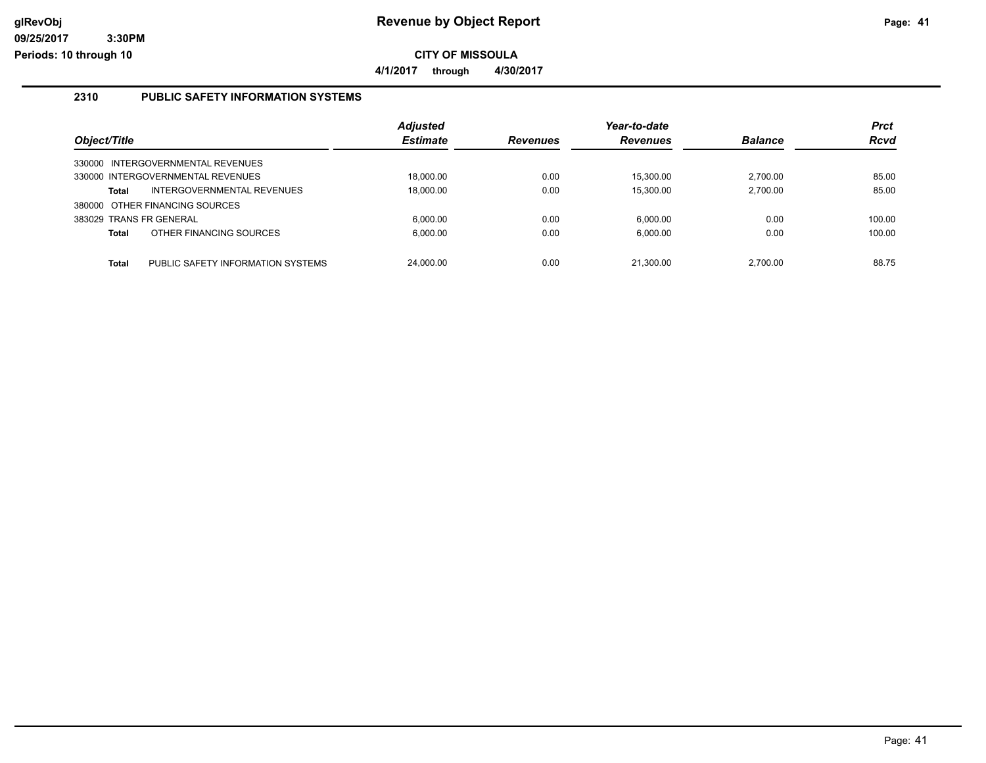**4/1/2017 through 4/30/2017**

## **2310 PUBLIC SAFETY INFORMATION SYSTEMS**

|                         |                                   | <b>Adjusted</b> |                 | Year-to-date    |                | <b>Prct</b> |
|-------------------------|-----------------------------------|-----------------|-----------------|-----------------|----------------|-------------|
| Object/Title            |                                   | <b>Estimate</b> | <b>Revenues</b> | <b>Revenues</b> | <b>Balance</b> | <b>Rcvd</b> |
|                         | 330000 INTERGOVERNMENTAL REVENUES |                 |                 |                 |                |             |
|                         | 330000 INTERGOVERNMENTAL REVENUES | 18,000.00       | 0.00            | 15.300.00       | 2.700.00       | 85.00       |
| Total                   | INTERGOVERNMENTAL REVENUES        | 18,000.00       | 0.00            | 15.300.00       | 2,700.00       | 85.00       |
|                         | 380000 OTHER FINANCING SOURCES    |                 |                 |                 |                |             |
| 383029 TRANS FR GENERAL |                                   | 6,000.00        | 0.00            | 6,000.00        | 0.00           | 100.00      |
| Total                   | OTHER FINANCING SOURCES           | 6,000.00        | 0.00            | 6,000.00        | 0.00           | 100.00      |
| <b>Total</b>            | PUBLIC SAFETY INFORMATION SYSTEMS | 24.000.00       | 0.00            | 21.300.00       | 2.700.00       | 88.75       |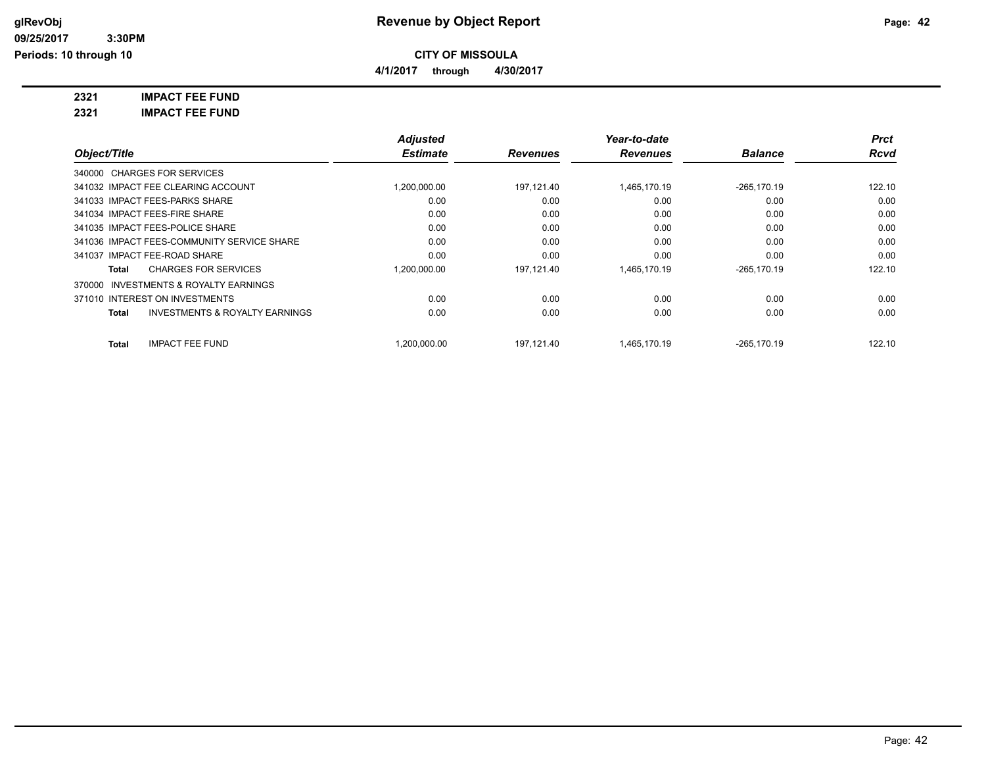**4/1/2017 through 4/30/2017**

**2321 IMPACT FEE FUND**

**2321 IMPACT FEE FUND**

|                                                           | <b>Adjusted</b> |                 | Year-to-date    |                | <b>Prct</b> |
|-----------------------------------------------------------|-----------------|-----------------|-----------------|----------------|-------------|
| Object/Title                                              | <b>Estimate</b> | <b>Revenues</b> | <b>Revenues</b> | <b>Balance</b> | Rcvd        |
| 340000 CHARGES FOR SERVICES                               |                 |                 |                 |                |             |
| 341032 IMPACT FEE CLEARING ACCOUNT                        | 1.200.000.00    | 197.121.40      | 1,465,170.19    | $-265.170.19$  | 122.10      |
| 341033 IMPACT FEES-PARKS SHARE                            | 0.00            | 0.00            | 0.00            | 0.00           | 0.00        |
| 341034 IMPACT FEES-FIRE SHARE                             | 0.00            | 0.00            | 0.00            | 0.00           | 0.00        |
| 341035 IMPACT FEES-POLICE SHARE                           | 0.00            | 0.00            | 0.00            | 0.00           | 0.00        |
| 341036 IMPACT FEES-COMMUNITY SERVICE SHARE                | 0.00            | 0.00            | 0.00            | 0.00           | 0.00        |
| 341037 IMPACT FEE-ROAD SHARE                              | 0.00            | 0.00            | 0.00            | 0.00           | 0.00        |
| <b>CHARGES FOR SERVICES</b><br>Total                      | 1,200,000.00    | 197,121.40      | 1,465,170.19    | $-265,170.19$  | 122.10      |
| 370000 INVESTMENTS & ROYALTY EARNINGS                     |                 |                 |                 |                |             |
| 371010 INTEREST ON INVESTMENTS                            | 0.00            | 0.00            | 0.00            | 0.00           | 0.00        |
| <b>INVESTMENTS &amp; ROYALTY EARNINGS</b><br><b>Total</b> | 0.00            | 0.00            | 0.00            | 0.00           | 0.00        |
| <b>IMPACT FEE FUND</b><br>Total                           | .200.000.00     | 197.121.40      | 1.465.170.19    | $-265.170.19$  | 122.10      |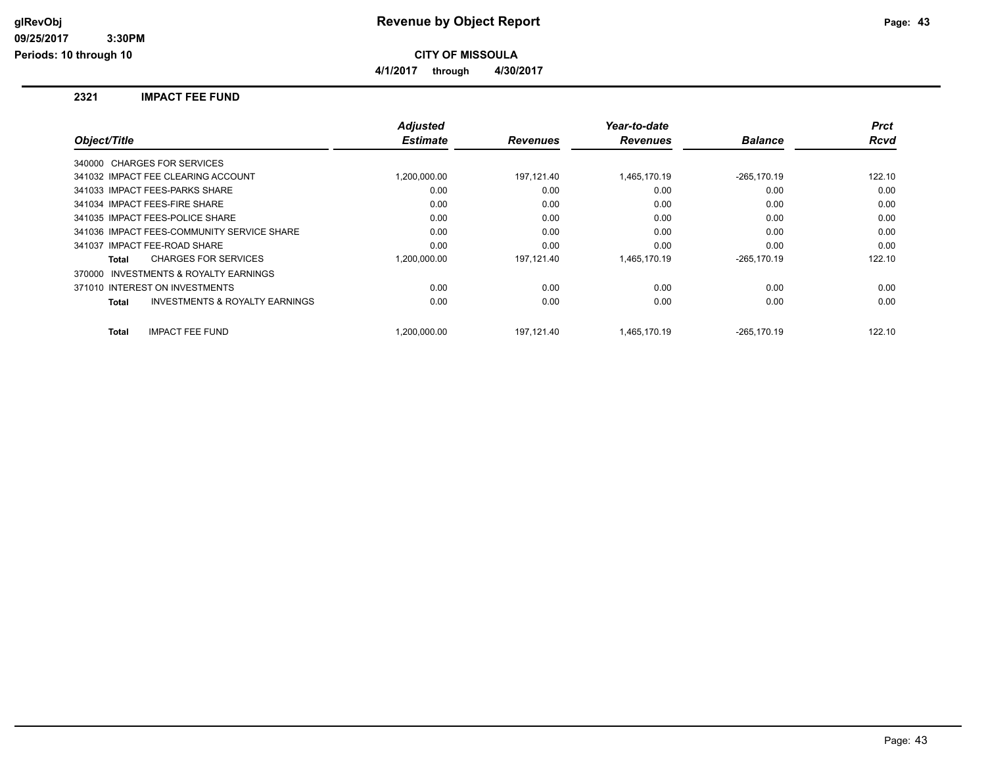**4/1/2017 through 4/30/2017**

## **2321 IMPACT FEE FUND**

|                                                     | <b>Adjusted</b> |                 | Year-to-date    |                | <b>Prct</b> |
|-----------------------------------------------------|-----------------|-----------------|-----------------|----------------|-------------|
| Object/Title                                        | <b>Estimate</b> | <b>Revenues</b> | <b>Revenues</b> | <b>Balance</b> | <b>Rcvd</b> |
| 340000 CHARGES FOR SERVICES                         |                 |                 |                 |                |             |
| 341032 IMPACT FEE CLEARING ACCOUNT                  | 1.200.000.00    | 197,121.40      | 1.465.170.19    | $-265,170.19$  | 122.10      |
| 341033 IMPACT FEES-PARKS SHARE                      | 0.00            | 0.00            | 0.00            | 0.00           | 0.00        |
| 341034 IMPACT FEES-FIRE SHARE                       | 0.00            | 0.00            | 0.00            | 0.00           | 0.00        |
| 341035 IMPACT FEES-POLICE SHARE                     | 0.00            | 0.00            | 0.00            | 0.00           | 0.00        |
| 341036 IMPACT FEES-COMMUNITY SERVICE SHARE          | 0.00            | 0.00            | 0.00            | 0.00           | 0.00        |
| 341037 IMPACT FEE-ROAD SHARE                        | 0.00            | 0.00            | 0.00            | 0.00           | 0.00        |
| <b>CHARGES FOR SERVICES</b><br><b>Total</b>         | 1.200.000.00    | 197.121.40      | 1.465.170.19    | $-265.170.19$  | 122.10      |
| <b>INVESTMENTS &amp; ROYALTY EARNINGS</b><br>370000 |                 |                 |                 |                |             |
| 371010 INTEREST ON INVESTMENTS                      | 0.00            | 0.00            | 0.00            | 0.00           | 0.00        |
| INVESTMENTS & ROYALTY EARNINGS<br><b>Total</b>      | 0.00            | 0.00            | 0.00            | 0.00           | 0.00        |
| <b>IMPACT FEE FUND</b><br><b>Total</b>              | 1.200.000.00    | 197,121.40      | 1,465,170.19    | $-265, 170.19$ | 122.10      |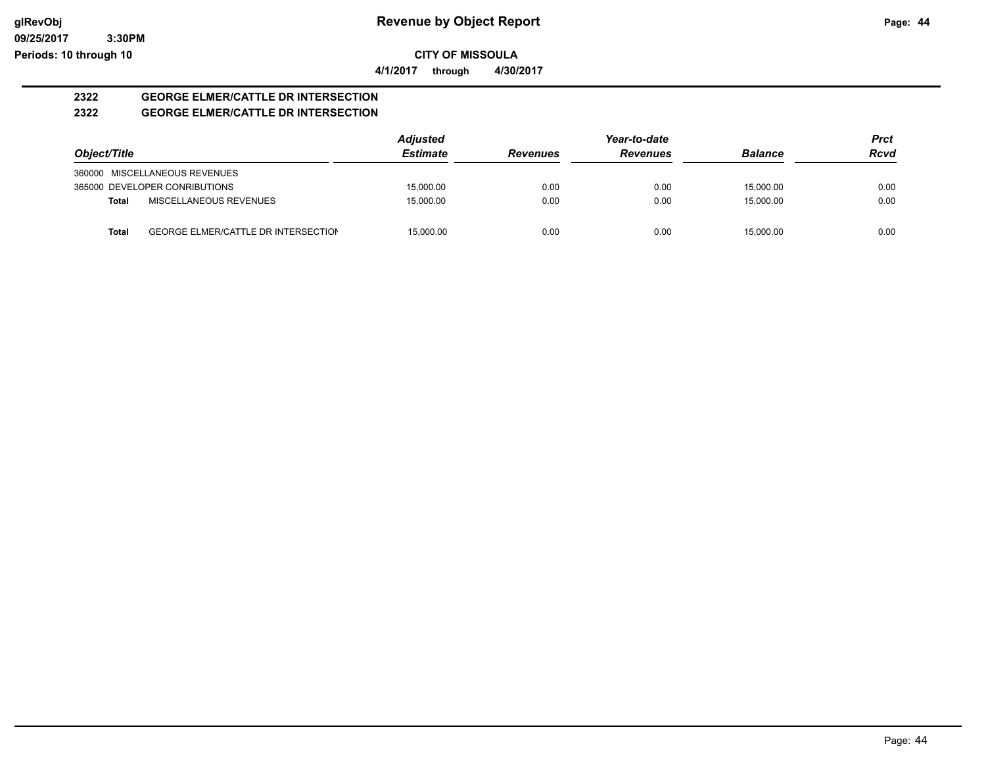**4/1/2017 through 4/30/2017**

## **2322 GEORGE ELMER/CATTLE DR INTERSECTION 2322 GEORGE ELMER/CATTLE DR INTERSECTION**

|              |                                            | <b>Adjusted</b> |                 | Year-to-date    |                | Prct        |
|--------------|--------------------------------------------|-----------------|-----------------|-----------------|----------------|-------------|
| Object/Title |                                            | <b>Estimate</b> | <b>Revenues</b> | <b>Revenues</b> | <b>Balance</b> | <b>Rcvd</b> |
|              | 360000 MISCELLANEOUS REVENUES              |                 |                 |                 |                |             |
|              | 365000 DEVELOPER CONRIBUTIONS              | 15.000.00       | 0.00            | 0.00            | 15,000.00      | 0.00        |
| <b>Total</b> | MISCELLANEOUS REVENUES                     | 15.000.00       | 0.00            | 0.00            | 15,000.00      | 0.00        |
| <b>Total</b> | <b>GEORGE ELMER/CATTLE DR INTERSECTION</b> | 15.000.00       | 0.00            | 0.00            | 15,000.00      | 0.00        |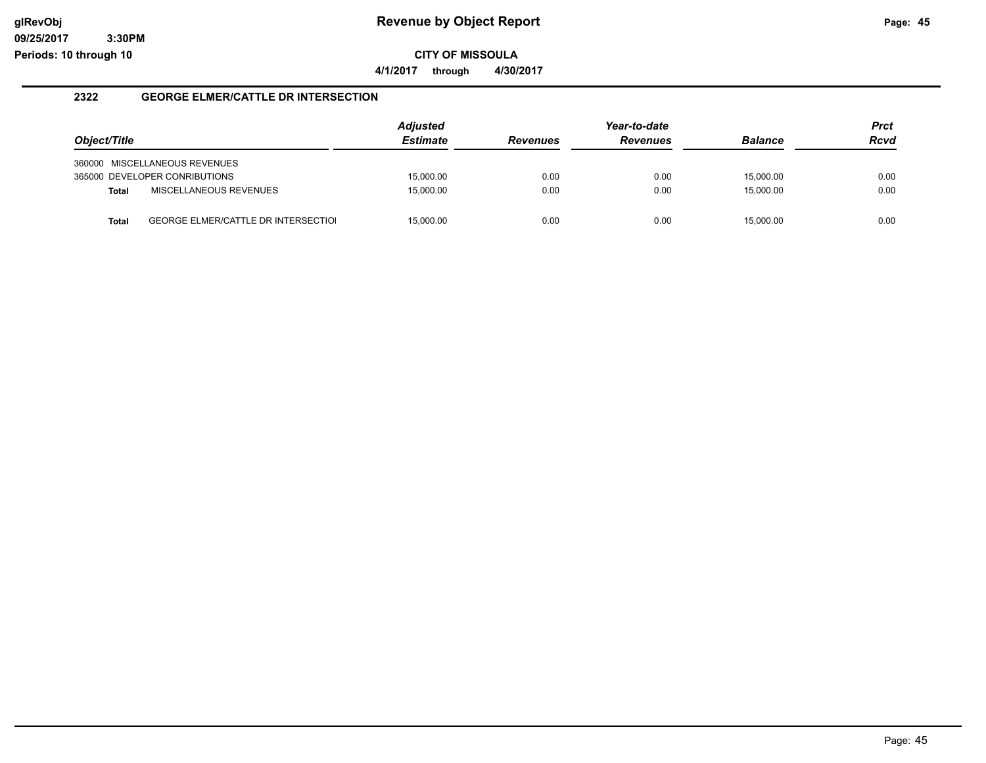**4/1/2017 through 4/30/2017**

## **2322 GEORGE ELMER/CATTLE DR INTERSECTION**

| Object/Title |                                            | <b>Adjusted</b><br><b>Estimate</b> | <b>Revenues</b> | Year-to-date<br><b>Revenues</b> | <b>Balance</b> | <b>Prct</b><br><b>Rcvd</b> |
|--------------|--------------------------------------------|------------------------------------|-----------------|---------------------------------|----------------|----------------------------|
|              | 360000 MISCELLANEOUS REVENUES              |                                    |                 |                                 |                |                            |
|              | 365000 DEVELOPER CONRIBUTIONS              | 15.000.00                          | 0.00            | 0.00                            | 15.000.00      | 0.00                       |
| <b>Total</b> | MISCELLANEOUS REVENUES                     | 15.000.00                          | 0.00            | 0.00                            | 15.000.00      | 0.00                       |
|              |                                            |                                    |                 |                                 |                |                            |
| Total        | <b>GEORGE ELMER/CATTLE DR INTERSECTIOL</b> | 15.000.00                          | 0.00            | 0.00                            | 15.000.00      | 0.00                       |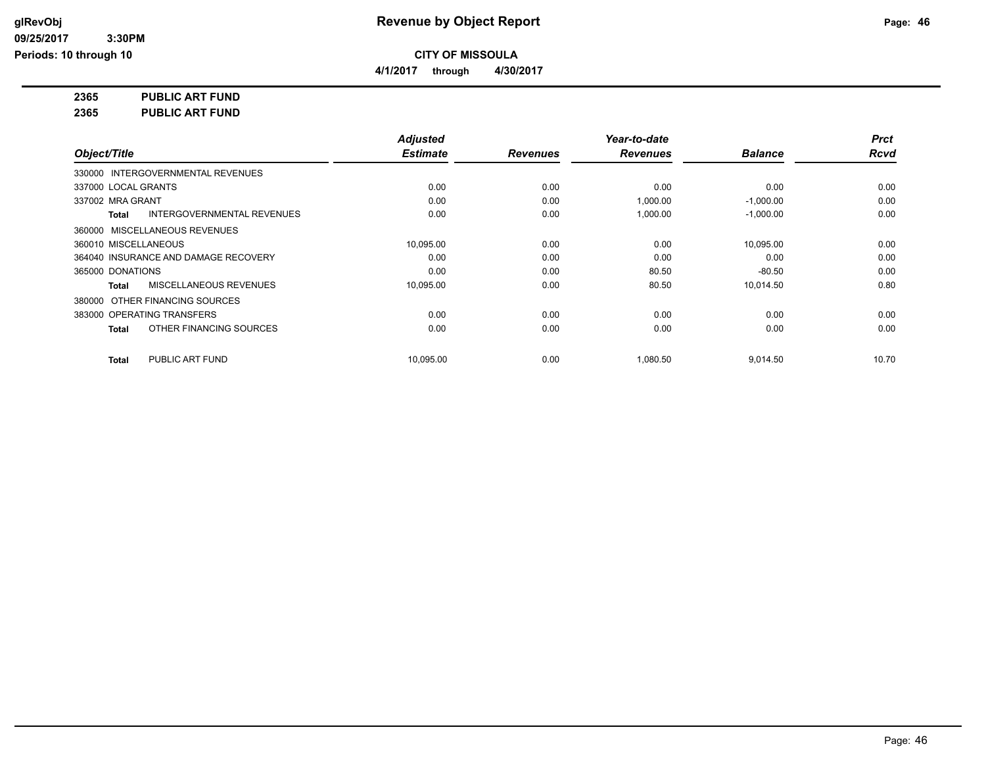**4/1/2017 through 4/30/2017**

**2365 PUBLIC ART FUND**

**2365 PUBLIC ART FUND**

|                                            | <b>Adjusted</b> |                 | Year-to-date    |                | <b>Prct</b> |
|--------------------------------------------|-----------------|-----------------|-----------------|----------------|-------------|
| Object/Title                               | <b>Estimate</b> | <b>Revenues</b> | <b>Revenues</b> | <b>Balance</b> | <b>Rcvd</b> |
| 330000 INTERGOVERNMENTAL REVENUES          |                 |                 |                 |                |             |
| 337000 LOCAL GRANTS                        | 0.00            | 0.00            | 0.00            | 0.00           | 0.00        |
| 337002 MRA GRANT                           | 0.00            | 0.00            | 1,000.00        | $-1,000.00$    | 0.00        |
| <b>INTERGOVERNMENTAL REVENUES</b><br>Total | 0.00            | 0.00            | 1,000.00        | $-1,000.00$    | 0.00        |
| 360000 MISCELLANEOUS REVENUES              |                 |                 |                 |                |             |
| 360010 MISCELLANEOUS                       | 10,095.00       | 0.00            | 0.00            | 10,095.00      | 0.00        |
| 364040 INSURANCE AND DAMAGE RECOVERY       | 0.00            | 0.00            | 0.00            | 0.00           | 0.00        |
| 365000 DONATIONS                           | 0.00            | 0.00            | 80.50           | $-80.50$       | 0.00        |
| MISCELLANEOUS REVENUES<br>Total            | 10,095.00       | 0.00            | 80.50           | 10,014.50      | 0.80        |
| 380000 OTHER FINANCING SOURCES             |                 |                 |                 |                |             |
| 383000 OPERATING TRANSFERS                 | 0.00            | 0.00            | 0.00            | 0.00           | 0.00        |
| OTHER FINANCING SOURCES<br>Total           | 0.00            | 0.00            | 0.00            | 0.00           | 0.00        |
| PUBLIC ART FUND<br>Total                   | 10.095.00       | 0.00            | 1,080.50        | 9,014.50       | 10.70       |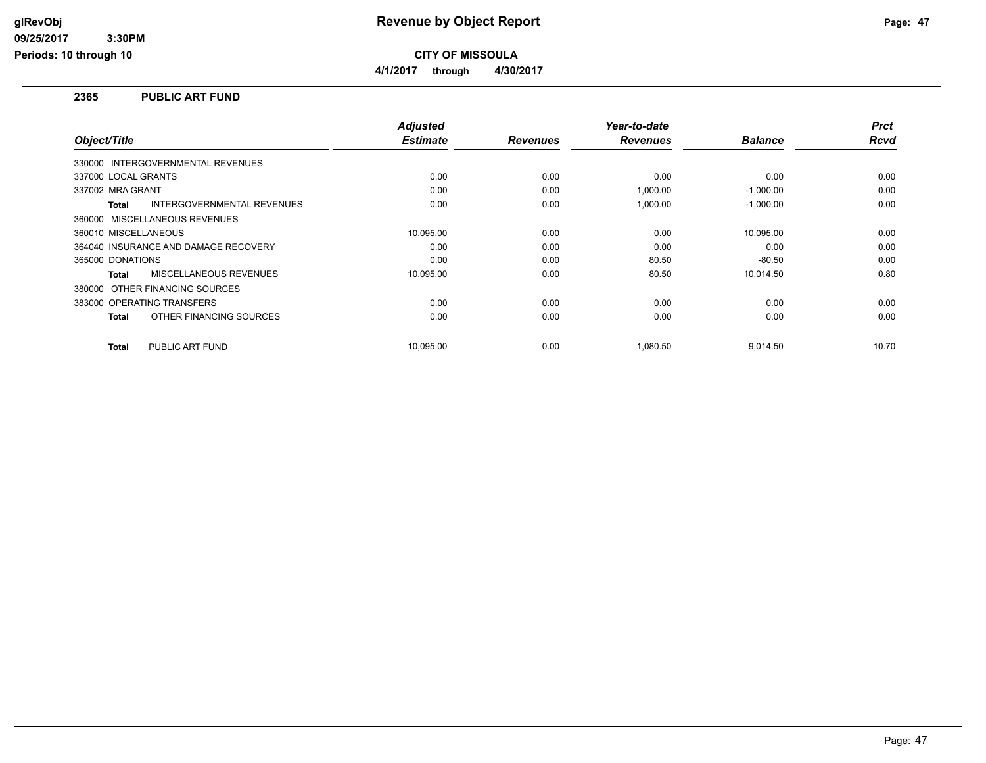**4/1/2017 through 4/30/2017**

## **2365 PUBLIC ART FUND**

|                                        | <b>Adjusted</b> |                 | Year-to-date    |                | <b>Prct</b> |
|----------------------------------------|-----------------|-----------------|-----------------|----------------|-------------|
| Object/Title                           | <b>Estimate</b> | <b>Revenues</b> | <b>Revenues</b> | <b>Balance</b> | <b>Rcvd</b> |
| 330000 INTERGOVERNMENTAL REVENUES      |                 |                 |                 |                |             |
| 337000 LOCAL GRANTS                    | 0.00            | 0.00            | 0.00            | 0.00           | 0.00        |
| 337002 MRA GRANT                       | 0.00            | 0.00            | 1,000.00        | $-1,000.00$    | 0.00        |
| INTERGOVERNMENTAL REVENUES<br>Total    | 0.00            | 0.00            | 1,000.00        | $-1,000.00$    | 0.00        |
| 360000 MISCELLANEOUS REVENUES          |                 |                 |                 |                |             |
| 360010 MISCELLANEOUS                   | 10,095.00       | 0.00            | 0.00            | 10,095.00      | 0.00        |
| 364040 INSURANCE AND DAMAGE RECOVERY   | 0.00            | 0.00            | 0.00            | 0.00           | 0.00        |
| 365000 DONATIONS                       | 0.00            | 0.00            | 80.50           | $-80.50$       | 0.00        |
| <b>MISCELLANEOUS REVENUES</b><br>Total | 10,095.00       | 0.00            | 80.50           | 10.014.50      | 0.80        |
| 380000 OTHER FINANCING SOURCES         |                 |                 |                 |                |             |
| 383000 OPERATING TRANSFERS             | 0.00            | 0.00            | 0.00            | 0.00           | 0.00        |
| OTHER FINANCING SOURCES<br>Total       | 0.00            | 0.00            | 0.00            | 0.00           | 0.00        |
|                                        |                 |                 |                 |                |             |
| PUBLIC ART FUND<br>Total               | 10,095.00       | 0.00            | 1,080.50        | 9,014.50       | 10.70       |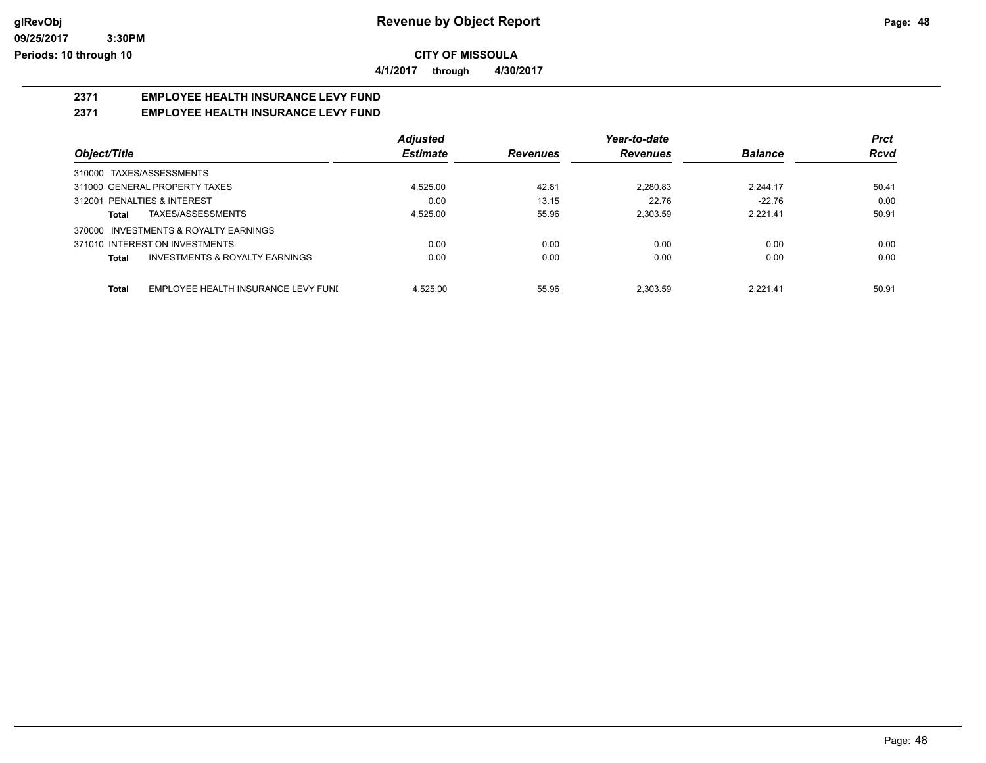**4/1/2017 through 4/30/2017**

# **2371 EMPLOYEE HEALTH INSURANCE LEVY FUND**

## **2371 EMPLOYEE HEALTH INSURANCE LEVY FUND**

|                                                           | <b>Adjusted</b> |                 | Year-to-date    |                | <b>Prct</b> |
|-----------------------------------------------------------|-----------------|-----------------|-----------------|----------------|-------------|
| Object/Title                                              | <b>Estimate</b> | <b>Revenues</b> | <b>Revenues</b> | <b>Balance</b> | <b>Rcvd</b> |
| 310000 TAXES/ASSESSMENTS                                  |                 |                 |                 |                |             |
| 311000 GENERAL PROPERTY TAXES                             | 4.525.00        | 42.81           | 2.280.83        | 2.244.17       | 50.41       |
| 312001 PENALTIES & INTEREST                               | 0.00            | 13.15           | 22.76           | $-22.76$       | 0.00        |
| TAXES/ASSESSMENTS<br>Total                                | 4.525.00        | 55.96           | 2.303.59        | 2.221.41       | 50.91       |
| 370000 INVESTMENTS & ROYALTY EARNINGS                     |                 |                 |                 |                |             |
| 371010 INTEREST ON INVESTMENTS                            | 0.00            | 0.00            | 0.00            | 0.00           | 0.00        |
| <b>INVESTMENTS &amp; ROYALTY EARNINGS</b><br><b>Total</b> | 0.00            | 0.00            | 0.00            | 0.00           | 0.00        |
| EMPLOYEE HEALTH INSURANCE LEVY FUNI<br><b>Total</b>       | 4.525.00        | 55.96           | 2.303.59        | 2.221.41       | 50.91       |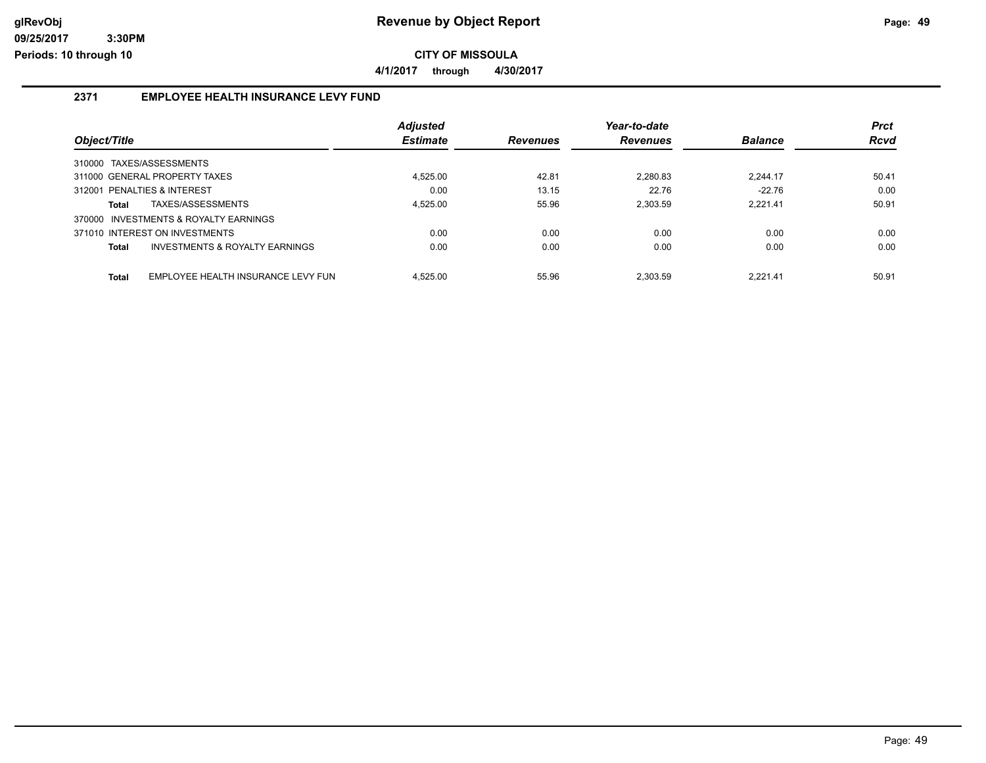**4/1/2017 through 4/30/2017**

## **2371 EMPLOYEE HEALTH INSURANCE LEVY FUND**

|                                                    | <b>Adjusted</b> |                 | Year-to-date    |                | <b>Prct</b> |
|----------------------------------------------------|-----------------|-----------------|-----------------|----------------|-------------|
| Object/Title                                       | <b>Estimate</b> | <b>Revenues</b> | <b>Revenues</b> | <b>Balance</b> | <b>Rcvd</b> |
| 310000 TAXES/ASSESSMENTS                           |                 |                 |                 |                |             |
| 311000 GENERAL PROPERTY TAXES                      | 4.525.00        | 42.81           | 2.280.83        | 2.244.17       | 50.41       |
| 312001 PENALTIES & INTEREST                        | 0.00            | 13.15           | 22.76           | $-22.76$       | 0.00        |
| TAXES/ASSESSMENTS<br>Total                         | 4.525.00        | 55.96           | 2.303.59        | 2.221.41       | 50.91       |
| 370000 INVESTMENTS & ROYALTY EARNINGS              |                 |                 |                 |                |             |
| 371010 INTEREST ON INVESTMENTS                     | 0.00            | 0.00            | 0.00            | 0.00           | 0.00        |
| INVESTMENTS & ROYALTY EARNINGS<br>Total            | 0.00            | 0.00            | 0.00            | 0.00           | 0.00        |
|                                                    |                 |                 |                 |                |             |
| <b>Total</b><br>EMPLOYEE HEALTH INSURANCE LEVY FUN | 4.525.00        | 55.96           | 2.303.59        | 2.221.41       | 50.91       |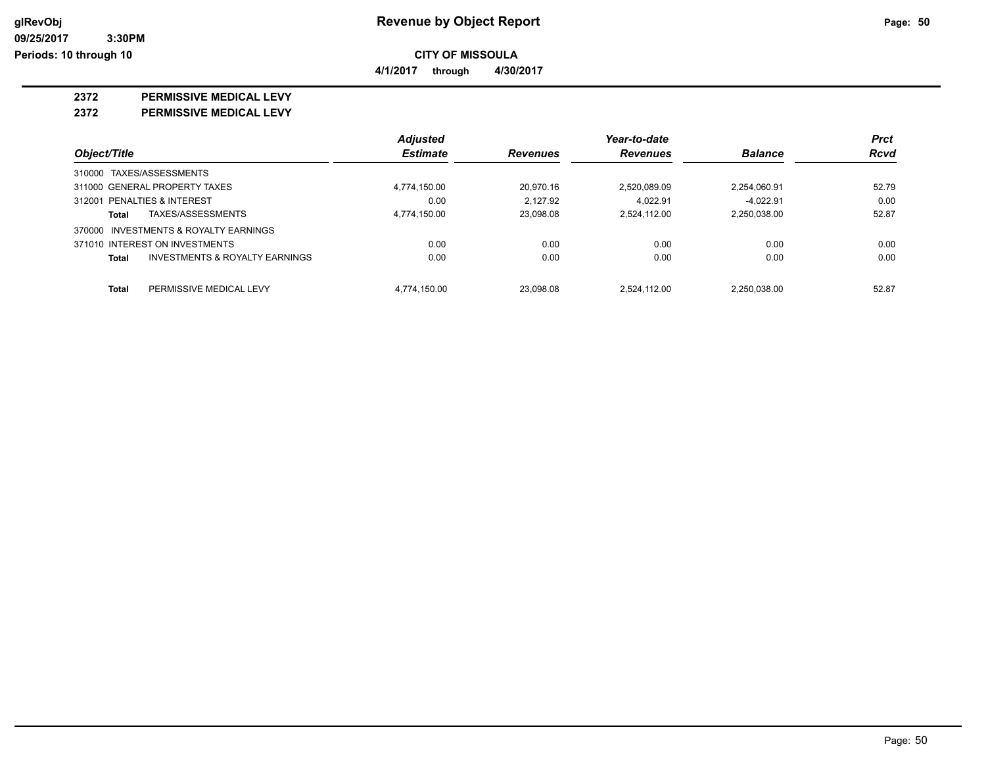**4/1/2017 through 4/30/2017**

**2372 PERMISSIVE MEDICAL LEVY**

**2372 PERMISSIVE MEDICAL LEVY**

|                                                    | <b>Adjusted</b> |                 | Year-to-date    |                | <b>Prct</b> |
|----------------------------------------------------|-----------------|-----------------|-----------------|----------------|-------------|
| Object/Title                                       | <b>Estimate</b> | <b>Revenues</b> | <b>Revenues</b> | <b>Balance</b> | Rcvd        |
| 310000 TAXES/ASSESSMENTS                           |                 |                 |                 |                |             |
| 311000 GENERAL PROPERTY TAXES                      | 4,774,150.00    | 20.970.16       | 2,520,089.09    | 2.254.060.91   | 52.79       |
| 312001 PENALTIES & INTEREST                        | 0.00            | 2.127.92        | 4.022.91        | $-4.022.91$    | 0.00        |
| TAXES/ASSESSMENTS<br>Total                         | 4.774.150.00    | 23.098.08       | 2.524.112.00    | 2.250.038.00   | 52.87       |
| 370000 INVESTMENTS & ROYALTY EARNINGS              |                 |                 |                 |                |             |
| 371010 INTEREST ON INVESTMENTS                     | 0.00            | 0.00            | 0.00            | 0.00           | 0.00        |
| <b>INVESTMENTS &amp; ROYALTY EARNINGS</b><br>Total | 0.00            | 0.00            | 0.00            | 0.00           | 0.00        |
| Total<br>PERMISSIVE MEDICAL LEVY                   | 4.774.150.00    | 23.098.08       | 2.524.112.00    | 2.250.038.00   | 52.87       |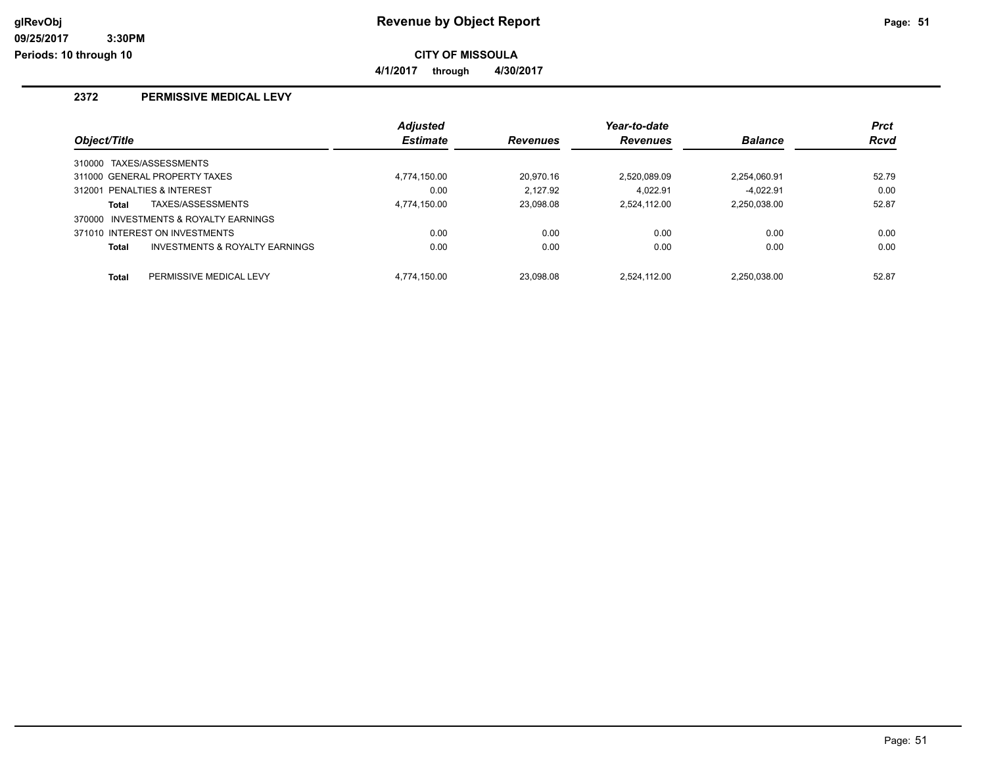**4/1/2017 through 4/30/2017**

## **2372 PERMISSIVE MEDICAL LEVY**

|              |                                       | <b>Adjusted</b> |                 | Year-to-date    |                | <b>Prct</b> |
|--------------|---------------------------------------|-----------------|-----------------|-----------------|----------------|-------------|
| Object/Title |                                       | <b>Estimate</b> | <b>Revenues</b> | <b>Revenues</b> | <b>Balance</b> | <b>Rcvd</b> |
|              | 310000 TAXES/ASSESSMENTS              |                 |                 |                 |                |             |
|              | 311000 GENERAL PROPERTY TAXES         | 4,774,150.00    | 20.970.16       | 2.520.089.09    | 2,254,060.91   | 52.79       |
|              | 312001 PENALTIES & INTEREST           | 0.00            | 2.127.92        | 4.022.91        | $-4.022.91$    | 0.00        |
| <b>Total</b> | TAXES/ASSESSMENTS                     | 4,774,150.00    | 23.098.08       | 2.524.112.00    | 2.250.038.00   | 52.87       |
|              | 370000 INVESTMENTS & ROYALTY EARNINGS |                 |                 |                 |                |             |
|              | 371010 INTEREST ON INVESTMENTS        | 0.00            | 0.00            | 0.00            | 0.00           | 0.00        |
| <b>Total</b> | INVESTMENTS & ROYALTY EARNINGS        | 0.00            | 0.00            | 0.00            | 0.00           | 0.00        |
| <b>Total</b> | PERMISSIVE MEDICAL LEVY               | 4.774.150.00    | 23.098.08       | 2.524.112.00    | 2.250.038.00   | 52.87       |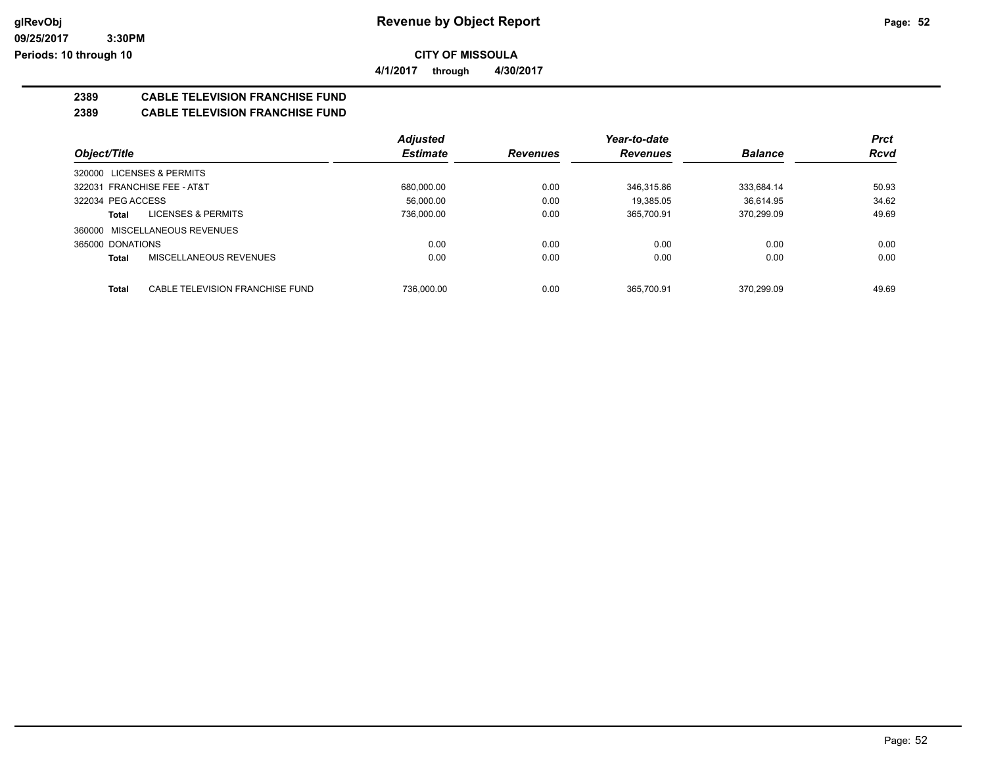**4/1/2017 through 4/30/2017**

# **2389 CABLE TELEVISION FRANCHISE FUND**

## **2389 CABLE TELEVISION FRANCHISE FUND**

|                   |                                 | <b>Adjusted</b> |                 | Year-to-date    |                | <b>Prct</b> |
|-------------------|---------------------------------|-----------------|-----------------|-----------------|----------------|-------------|
| Object/Title      |                                 | <b>Estimate</b> | <b>Revenues</b> | <b>Revenues</b> | <b>Balance</b> | <b>Rcvd</b> |
|                   | 320000 LICENSES & PERMITS       |                 |                 |                 |                |             |
|                   | 322031 FRANCHISE FEE - AT&T     | 680,000.00      | 0.00            | 346.315.86      | 333.684.14     | 50.93       |
| 322034 PEG ACCESS |                                 | 56,000.00       | 0.00            | 19.385.05       | 36.614.95      | 34.62       |
| Total             | <b>LICENSES &amp; PERMITS</b>   | 736.000.00      | 0.00            | 365.700.91      | 370.299.09     | 49.69       |
|                   | 360000 MISCELLANEOUS REVENUES   |                 |                 |                 |                |             |
| 365000 DONATIONS  |                                 | 0.00            | 0.00            | 0.00            | 0.00           | 0.00        |
| Total             | MISCELLANEOUS REVENUES          | 0.00            | 0.00            | 0.00            | 0.00           | 0.00        |
| Total             | CABLE TELEVISION FRANCHISE FUND | 736.000.00      | 0.00            | 365.700.91      | 370.299.09     | 49.69       |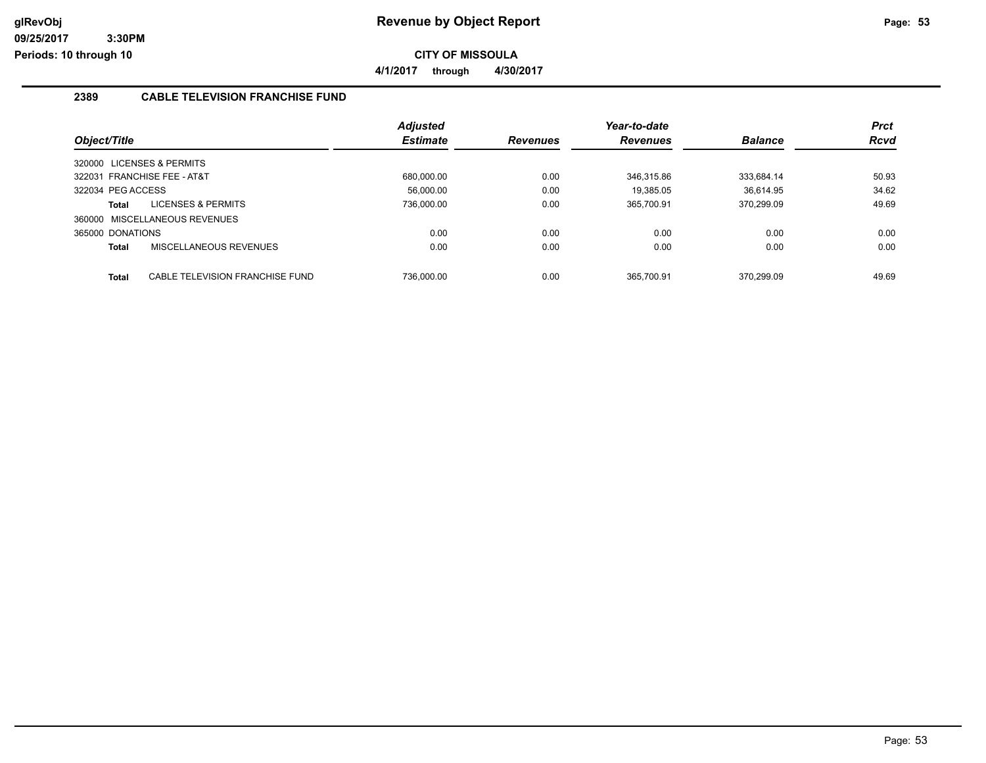**4/1/2017 through 4/30/2017**

## **2389 CABLE TELEVISION FRANCHISE FUND**

|                             |                                 | <b>Adjusted</b> |                 | Year-to-date    |                | <b>Prct</b> |
|-----------------------------|---------------------------------|-----------------|-----------------|-----------------|----------------|-------------|
| Object/Title                |                                 | <b>Estimate</b> | <b>Revenues</b> | <b>Revenues</b> | <b>Balance</b> | <b>Rcvd</b> |
| 320000 LICENSES & PERMITS   |                                 |                 |                 |                 |                |             |
| 322031 FRANCHISE FEE - AT&T |                                 | 680.000.00      | 0.00            | 346.315.86      | 333.684.14     | 50.93       |
| 322034 PEG ACCESS           |                                 | 56.000.00       | 0.00            | 19.385.05       | 36.614.95      | 34.62       |
| Total                       | LICENSES & PERMITS              | 736.000.00      | 0.00            | 365.700.91      | 370,299.09     | 49.69       |
|                             | 360000 MISCELLANEOUS REVENUES   |                 |                 |                 |                |             |
| 365000 DONATIONS            |                                 | 0.00            | 0.00            | 0.00            | 0.00           | 0.00        |
| Total                       | MISCELLANEOUS REVENUES          | 0.00            | 0.00            | 0.00            | 0.00           | 0.00        |
|                             |                                 |                 |                 |                 |                |             |
| Total                       | CABLE TELEVISION FRANCHISE FUND | 736.000.00      | 0.00            | 365.700.91      | 370.299.09     | 49.69       |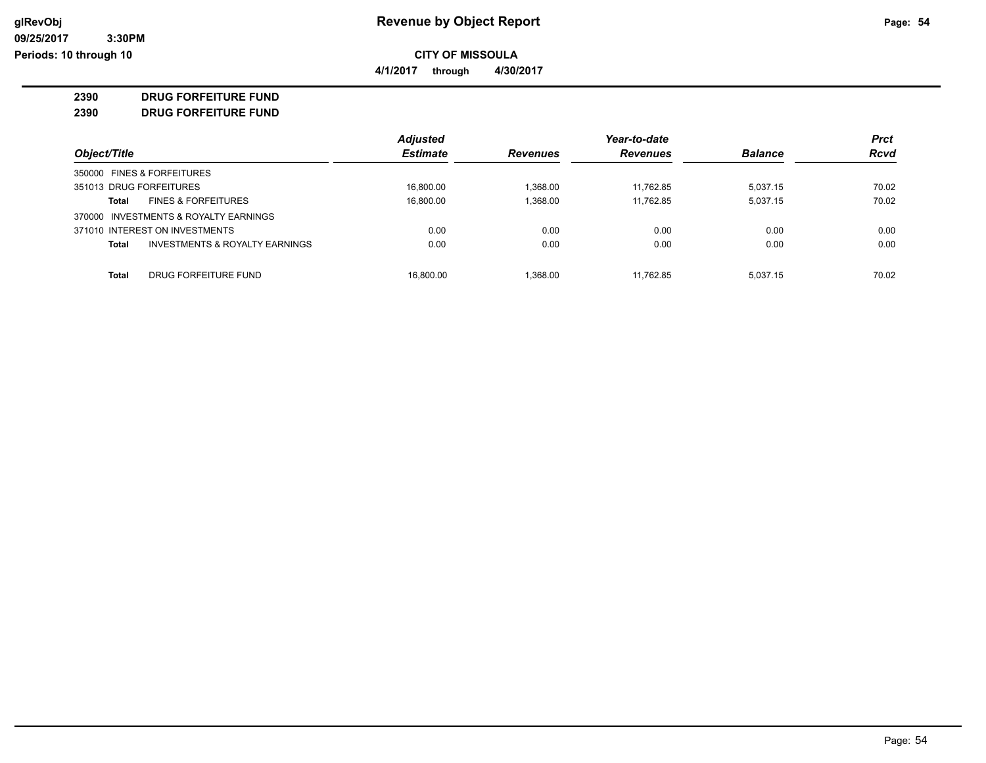**4/1/2017 through 4/30/2017**

## **2390 DRUG FORFEITURE FUND**

**2390 DRUG FORFEITURE FUND**

|                                                           | <b>Adjusted</b> |                 | Year-to-date    |                | <b>Prct</b> |
|-----------------------------------------------------------|-----------------|-----------------|-----------------|----------------|-------------|
| Object/Title                                              | <b>Estimate</b> | <b>Revenues</b> | <b>Revenues</b> | <b>Balance</b> | <b>Rcvd</b> |
| 350000 FINES & FORFEITURES                                |                 |                 |                 |                |             |
| 351013 DRUG FORFEITURES                                   | 16.800.00       | 1.368.00        | 11,762.85       | 5,037.15       | 70.02       |
| <b>FINES &amp; FORFEITURES</b><br><b>Total</b>            | 16,800.00       | 1.368.00        | 11,762.85       | 5,037.15       | 70.02       |
| 370000 INVESTMENTS & ROYALTY EARNINGS                     |                 |                 |                 |                |             |
| 371010 INTEREST ON INVESTMENTS                            | 0.00            | 0.00            | 0.00            | 0.00           | 0.00        |
| <b>INVESTMENTS &amp; ROYALTY EARNINGS</b><br><b>Total</b> | 0.00            | 0.00            | 0.00            | 0.00           | 0.00        |
| DRUG FORFEITURE FUND<br><b>Total</b>                      | 16.800.00       | 1.368.00        | 11.762.85       | 5.037.15       | 70.02       |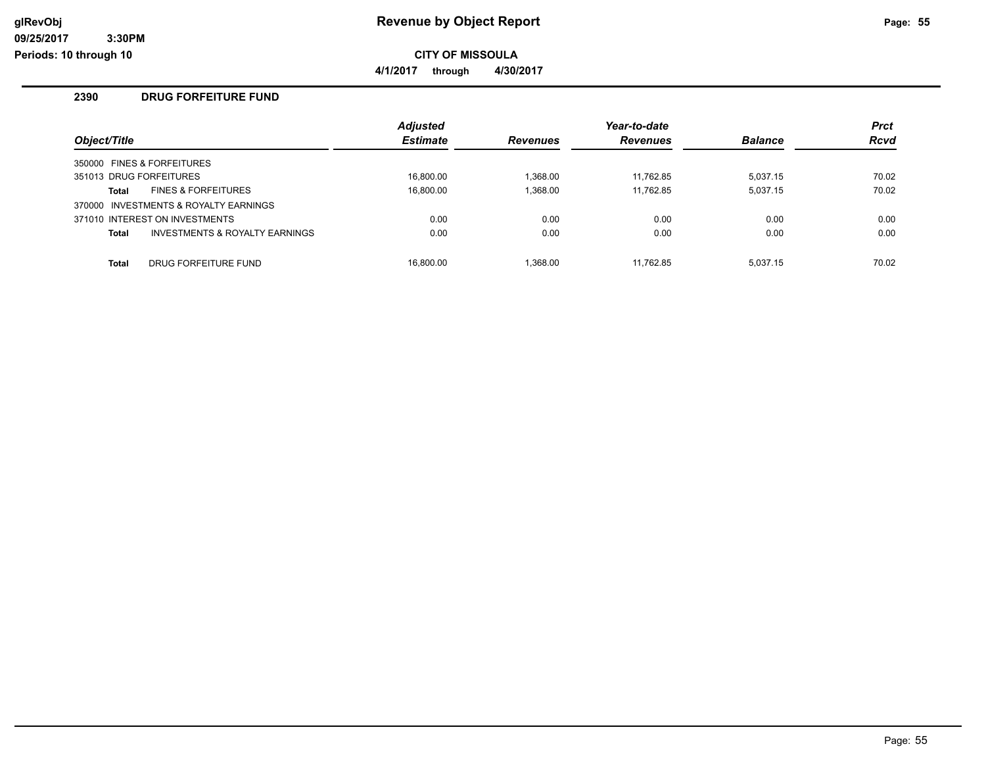**Periods: 10 through 10**

**CITY OF MISSOULA**

**4/1/2017 through 4/30/2017**

## **2390 DRUG FORFEITURE FUND**

 **3:30PM**

|                            |                                           | <b>Adjusted</b> |                 | Year-to-date    |                | <b>Prct</b> |
|----------------------------|-------------------------------------------|-----------------|-----------------|-----------------|----------------|-------------|
| Object/Title               |                                           | <b>Estimate</b> | <b>Revenues</b> | <b>Revenues</b> | <b>Balance</b> | <b>Rcvd</b> |
| 350000 FINES & FORFEITURES |                                           |                 |                 |                 |                |             |
| 351013 DRUG FORFEITURES    |                                           | 16.800.00       | 1.368.00        | 11.762.85       | 5.037.15       | 70.02       |
| <b>Total</b>               | <b>FINES &amp; FORFEITURES</b>            | 16,800.00       | 1,368.00        | 11.762.85       | 5.037.15       | 70.02       |
|                            | 370000 INVESTMENTS & ROYALTY EARNINGS     |                 |                 |                 |                |             |
|                            | 371010 INTEREST ON INVESTMENTS            | 0.00            | 0.00            | 0.00            | 0.00           | 0.00        |
| <b>Total</b>               | <b>INVESTMENTS &amp; ROYALTY EARNINGS</b> | 0.00            | 0.00            | 0.00            | 0.00           | 0.00        |
| <b>Total</b>               | DRUG FORFEITURE FUND                      | 16.800.00       | 1.368.00        | 11.762.85       | 5.037.15       | 70.02       |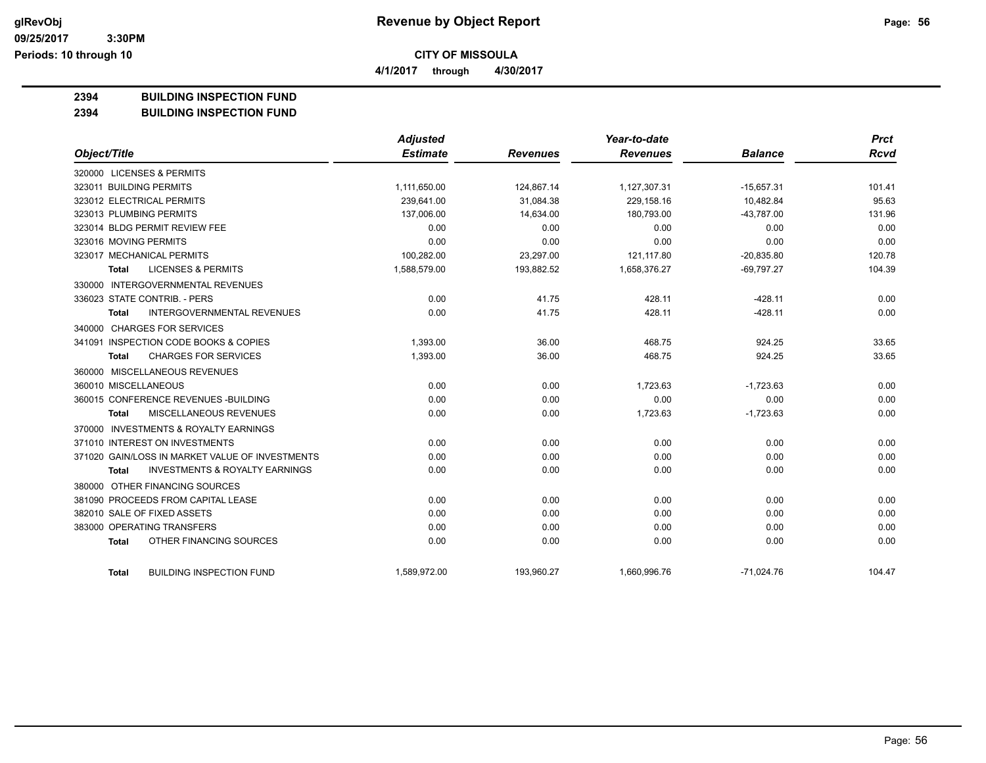**4/1/2017 through 4/30/2017**

## **2394 BUILDING INSPECTION FUND**

## **2394 BUILDING INSPECTION FUND**

|                                                     | <b>Adjusted</b> |                 | Year-to-date    |                | <b>Prct</b> |
|-----------------------------------------------------|-----------------|-----------------|-----------------|----------------|-------------|
| Object/Title                                        | <b>Estimate</b> | <b>Revenues</b> | <b>Revenues</b> | <b>Balance</b> | <b>Rcvd</b> |
| 320000 LICENSES & PERMITS                           |                 |                 |                 |                |             |
| 323011 BUILDING PERMITS                             | 1,111,650.00    | 124,867.14      | 1,127,307.31    | $-15,657.31$   | 101.41      |
| 323012 ELECTRICAL PERMITS                           | 239,641.00      | 31,084.38       | 229,158.16      | 10,482.84      | 95.63       |
| 323013 PLUMBING PERMITS                             | 137,006.00      | 14,634.00       | 180,793.00      | $-43,787.00$   | 131.96      |
| 323014 BLDG PERMIT REVIEW FEE                       | 0.00            | 0.00            | 0.00            | 0.00           | 0.00        |
| 323016 MOVING PERMITS                               | 0.00            | 0.00            | 0.00            | 0.00           | 0.00        |
| 323017 MECHANICAL PERMITS                           | 100,282.00      | 23,297.00       | 121,117.80      | $-20,835.80$   | 120.78      |
| <b>LICENSES &amp; PERMITS</b><br><b>Total</b>       | 1,588,579.00    | 193,882.52      | 1,658,376.27    | $-69,797.27$   | 104.39      |
| 330000 INTERGOVERNMENTAL REVENUES                   |                 |                 |                 |                |             |
| 336023 STATE CONTRIB. - PERS                        | 0.00            | 41.75           | 428.11          | $-428.11$      | 0.00        |
| <b>INTERGOVERNMENTAL REVENUES</b><br>Total          | 0.00            | 41.75           | 428.11          | $-428.11$      | 0.00        |
| 340000 CHARGES FOR SERVICES                         |                 |                 |                 |                |             |
| 341091 INSPECTION CODE BOOKS & COPIES               | 1,393.00        | 36.00           | 468.75          | 924.25         | 33.65       |
| <b>CHARGES FOR SERVICES</b><br>Total                | 1,393.00        | 36.00           | 468.75          | 924.25         | 33.65       |
| MISCELLANEOUS REVENUES<br>360000                    |                 |                 |                 |                |             |
| 360010 MISCELLANEOUS                                | 0.00            | 0.00            | 1,723.63        | $-1,723.63$    | 0.00        |
| 360015 CONFERENCE REVENUES - BUILDING               | 0.00            | 0.00            | 0.00            | 0.00           | 0.00        |
| MISCELLANEOUS REVENUES<br>Total                     | 0.00            | 0.00            | 1,723.63        | $-1,723.63$    | 0.00        |
| <b>INVESTMENTS &amp; ROYALTY EARNINGS</b><br>370000 |                 |                 |                 |                |             |
| 371010 INTEREST ON INVESTMENTS                      | 0.00            | 0.00            | 0.00            | 0.00           | 0.00        |
| 371020 GAIN/LOSS IN MARKET VALUE OF INVESTMENTS     | 0.00            | 0.00            | 0.00            | 0.00           | 0.00        |
| <b>INVESTMENTS &amp; ROYALTY EARNINGS</b><br>Total  | 0.00            | 0.00            | 0.00            | 0.00           | 0.00        |
| 380000 OTHER FINANCING SOURCES                      |                 |                 |                 |                |             |
| 381090 PROCEEDS FROM CAPITAL LEASE                  | 0.00            | 0.00            | 0.00            | 0.00           | 0.00        |
| 382010 SALE OF FIXED ASSETS                         | 0.00            | 0.00            | 0.00            | 0.00           | 0.00        |
| 383000 OPERATING TRANSFERS                          | 0.00            | 0.00            | 0.00            | 0.00           | 0.00        |
| OTHER FINANCING SOURCES<br><b>Total</b>             | 0.00            | 0.00            | 0.00            | 0.00           | 0.00        |
| <b>BUILDING INSPECTION FUND</b><br>Total            | 1.589.972.00    | 193,960.27      | 1,660,996.76    | $-71,024.76$   | 104.47      |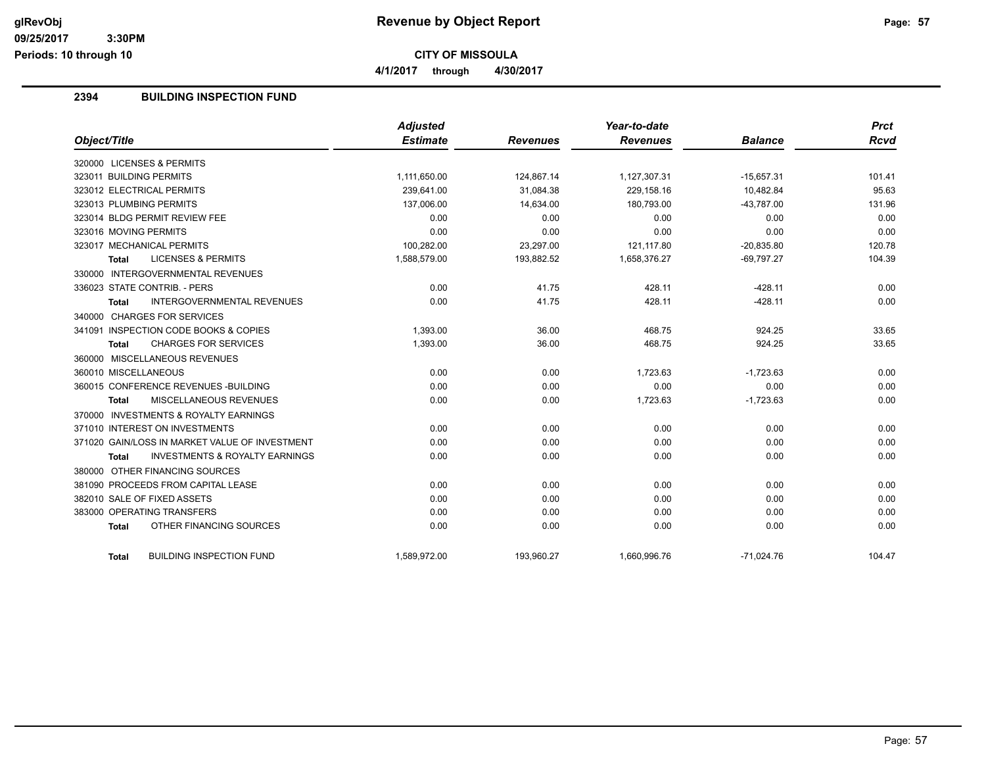**4/1/2017 through 4/30/2017**

## **2394 BUILDING INSPECTION FUND**

|                                                           | <b>Adjusted</b> |                 | Year-to-date    |                | <b>Prct</b> |
|-----------------------------------------------------------|-----------------|-----------------|-----------------|----------------|-------------|
| Object/Title                                              | <b>Estimate</b> | <b>Revenues</b> | <b>Revenues</b> | <b>Balance</b> | <b>Rcvd</b> |
| 320000 LICENSES & PERMITS                                 |                 |                 |                 |                |             |
| 323011 BUILDING PERMITS                                   | 1,111,650.00    | 124,867.14      | 1,127,307.31    | $-15,657.31$   | 101.41      |
| 323012 ELECTRICAL PERMITS                                 | 239,641.00      | 31,084.38       | 229,158.16      | 10,482.84      | 95.63       |
| 323013 PLUMBING PERMITS                                   | 137.006.00      | 14,634.00       | 180,793.00      | $-43,787.00$   | 131.96      |
| 323014 BLDG PERMIT REVIEW FEE                             | 0.00            | 0.00            | 0.00            | 0.00           | 0.00        |
| 323016 MOVING PERMITS                                     | 0.00            | 0.00            | 0.00            | 0.00           | 0.00        |
| 323017 MECHANICAL PERMITS                                 | 100,282.00      | 23,297.00       | 121,117.80      | $-20,835.80$   | 120.78      |
| <b>LICENSES &amp; PERMITS</b><br>Total                    | 1,588,579.00    | 193,882.52      | 1,658,376.27    | $-69,797.27$   | 104.39      |
| 330000 INTERGOVERNMENTAL REVENUES                         |                 |                 |                 |                |             |
| 336023 STATE CONTRIB. - PERS                              | 0.00            | 41.75           | 428.11          | $-428.11$      | 0.00        |
| <b>INTERGOVERNMENTAL REVENUES</b><br><b>Total</b>         | 0.00            | 41.75           | 428.11          | $-428.11$      | 0.00        |
| 340000 CHARGES FOR SERVICES                               |                 |                 |                 |                |             |
| 341091 INSPECTION CODE BOOKS & COPIES                     | 1,393.00        | 36.00           | 468.75          | 924.25         | 33.65       |
| <b>CHARGES FOR SERVICES</b><br><b>Total</b>               | 1,393.00        | 36.00           | 468.75          | 924.25         | 33.65       |
| 360000 MISCELLANEOUS REVENUES                             |                 |                 |                 |                |             |
| 360010 MISCELLANEOUS                                      | 0.00            | 0.00            | 1,723.63        | $-1,723.63$    | 0.00        |
| 360015 CONFERENCE REVENUES - BUILDING                     | 0.00            | 0.00            | 0.00            | 0.00           | 0.00        |
| MISCELLANEOUS REVENUES<br><b>Total</b>                    | 0.00            | 0.00            | 1,723.63        | $-1,723.63$    | 0.00        |
| 370000 INVESTMENTS & ROYALTY EARNINGS                     |                 |                 |                 |                |             |
| 371010 INTEREST ON INVESTMENTS                            | 0.00            | 0.00            | 0.00            | 0.00           | 0.00        |
| 371020 GAIN/LOSS IN MARKET VALUE OF INVESTMENT            | 0.00            | 0.00            | 0.00            | 0.00           | 0.00        |
| <b>INVESTMENTS &amp; ROYALTY EARNINGS</b><br><b>Total</b> | 0.00            | 0.00            | 0.00            | 0.00           | 0.00        |
| 380000 OTHER FINANCING SOURCES                            |                 |                 |                 |                |             |
| 381090 PROCEEDS FROM CAPITAL LEASE                        | 0.00            | 0.00            | 0.00            | 0.00           | 0.00        |
| 382010 SALE OF FIXED ASSETS                               | 0.00            | 0.00            | 0.00            | 0.00           | 0.00        |
| 383000 OPERATING TRANSFERS                                | 0.00            | 0.00            | 0.00            | 0.00           | 0.00        |
| OTHER FINANCING SOURCES<br><b>Total</b>                   | 0.00            | 0.00            | 0.00            | 0.00           | 0.00        |
| <b>BUILDING INSPECTION FUND</b><br><b>Total</b>           | 1,589,972.00    | 193,960.27      | 1,660,996.76    | $-71,024.76$   | 104.47      |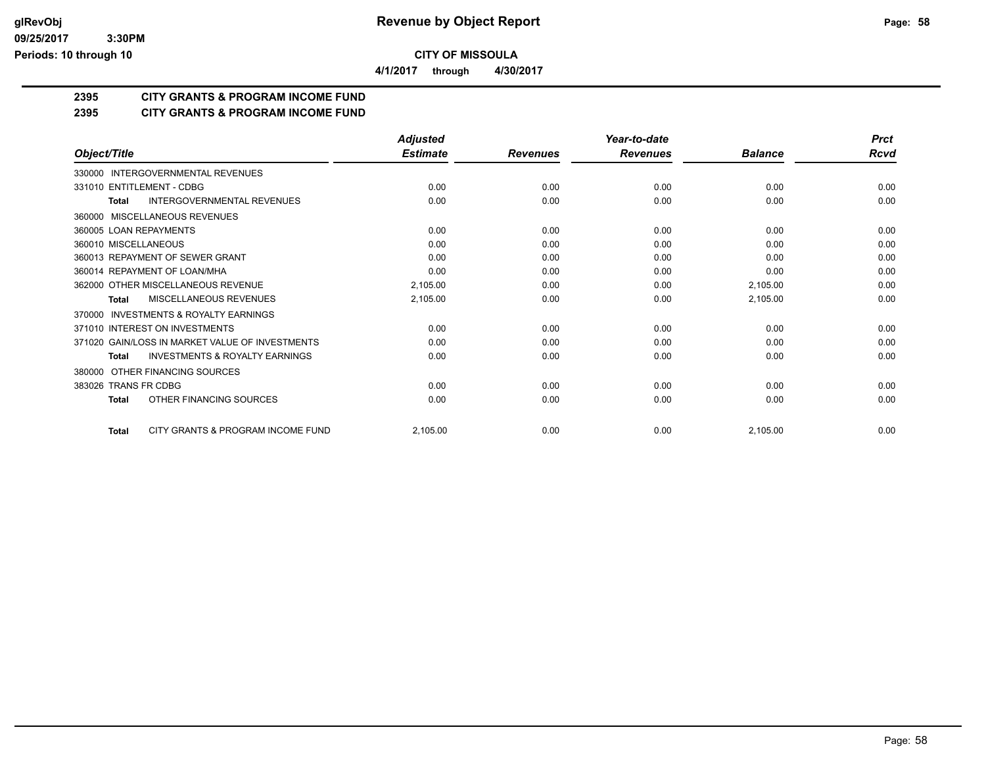**4/1/2017 through 4/30/2017**

## **2395 CITY GRANTS & PROGRAM INCOME FUND**

## **2395 CITY GRANTS & PROGRAM INCOME FUND**

|                                                     | <b>Adjusted</b> |                 | Year-to-date    |                | <b>Prct</b> |
|-----------------------------------------------------|-----------------|-----------------|-----------------|----------------|-------------|
| Object/Title                                        | <b>Estimate</b> | <b>Revenues</b> | <b>Revenues</b> | <b>Balance</b> | Rcvd        |
| 330000 INTERGOVERNMENTAL REVENUES                   |                 |                 |                 |                |             |
| 331010 ENTITLEMENT - CDBG                           | 0.00            | 0.00            | 0.00            | 0.00           | 0.00        |
| <b>INTERGOVERNMENTAL REVENUES</b><br><b>Total</b>   | 0.00            | 0.00            | 0.00            | 0.00           | 0.00        |
| 360000 MISCELLANEOUS REVENUES                       |                 |                 |                 |                |             |
| 360005 LOAN REPAYMENTS                              | 0.00            | 0.00            | 0.00            | 0.00           | 0.00        |
| 360010 MISCELLANEOUS                                | 0.00            | 0.00            | 0.00            | 0.00           | 0.00        |
| 360013 REPAYMENT OF SEWER GRANT                     | 0.00            | 0.00            | 0.00            | 0.00           | 0.00        |
| 360014 REPAYMENT OF LOAN/MHA                        | 0.00            | 0.00            | 0.00            | 0.00           | 0.00        |
| 362000 OTHER MISCELLANEOUS REVENUE                  | 2,105.00        | 0.00            | 0.00            | 2,105.00       | 0.00        |
| <b>MISCELLANEOUS REVENUES</b><br><b>Total</b>       | 2,105.00        | 0.00            | 0.00            | 2,105.00       | 0.00        |
| <b>INVESTMENTS &amp; ROYALTY EARNINGS</b><br>370000 |                 |                 |                 |                |             |
| 371010 INTEREST ON INVESTMENTS                      | 0.00            | 0.00            | 0.00            | 0.00           | 0.00        |
| 371020 GAIN/LOSS IN MARKET VALUE OF INVESTMENTS     | 0.00            | 0.00            | 0.00            | 0.00           | 0.00        |
| <b>INVESTMENTS &amp; ROYALTY EARNINGS</b><br>Total  | 0.00            | 0.00            | 0.00            | 0.00           | 0.00        |
| OTHER FINANCING SOURCES<br>380000                   |                 |                 |                 |                |             |
| 383026 TRANS FR CDBG                                | 0.00            | 0.00            | 0.00            | 0.00           | 0.00        |
| OTHER FINANCING SOURCES<br><b>Total</b>             | 0.00            | 0.00            | 0.00            | 0.00           | 0.00        |
| CITY GRANTS & PROGRAM INCOME FUND<br><b>Total</b>   | 2,105.00        | 0.00            | 0.00            | 2,105.00       | 0.00        |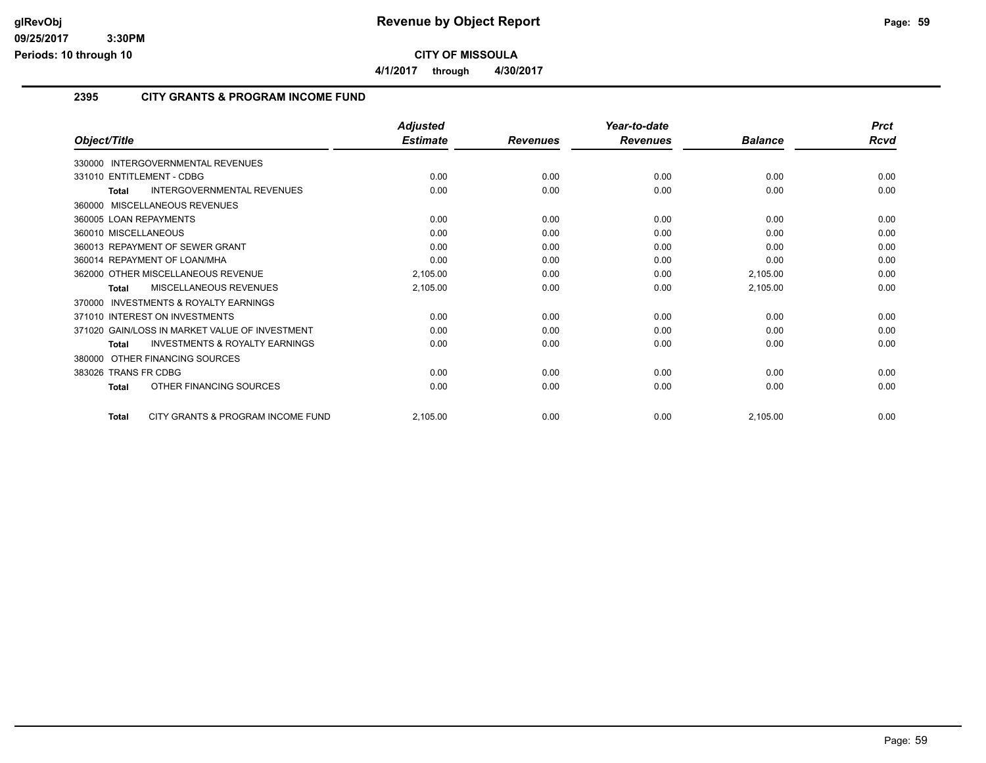**4/1/2017 through 4/30/2017**

## **2395 CITY GRANTS & PROGRAM INCOME FUND**

|                                                           | <b>Adjusted</b> |                 | Year-to-date    |                | <b>Prct</b> |
|-----------------------------------------------------------|-----------------|-----------------|-----------------|----------------|-------------|
| Object/Title                                              | <b>Estimate</b> | <b>Revenues</b> | <b>Revenues</b> | <b>Balance</b> | Rcvd        |
| 330000 INTERGOVERNMENTAL REVENUES                         |                 |                 |                 |                |             |
| 331010 ENTITLEMENT - CDBG                                 | 0.00            | 0.00            | 0.00            | 0.00           | 0.00        |
| INTERGOVERNMENTAL REVENUES<br><b>Total</b>                | 0.00            | 0.00            | 0.00            | 0.00           | 0.00        |
| 360000 MISCELLANEOUS REVENUES                             |                 |                 |                 |                |             |
| 360005 LOAN REPAYMENTS                                    | 0.00            | 0.00            | 0.00            | 0.00           | 0.00        |
| 360010 MISCELLANEOUS                                      | 0.00            | 0.00            | 0.00            | 0.00           | 0.00        |
| 360013 REPAYMENT OF SEWER GRANT                           | 0.00            | 0.00            | 0.00            | 0.00           | 0.00        |
| 360014 REPAYMENT OF LOAN/MHA                              | 0.00            | 0.00            | 0.00            | 0.00           | 0.00        |
| 362000 OTHER MISCELLANEOUS REVENUE                        | 2,105.00        | 0.00            | 0.00            | 2,105.00       | 0.00        |
| <b>MISCELLANEOUS REVENUES</b><br><b>Total</b>             | 2,105.00        | 0.00            | 0.00            | 2,105.00       | 0.00        |
| <b>INVESTMENTS &amp; ROYALTY EARNINGS</b><br>370000       |                 |                 |                 |                |             |
| 371010 INTEREST ON INVESTMENTS                            | 0.00            | 0.00            | 0.00            | 0.00           | 0.00        |
| 371020 GAIN/LOSS IN MARKET VALUE OF INVESTMENT            | 0.00            | 0.00            | 0.00            | 0.00           | 0.00        |
| <b>INVESTMENTS &amp; ROYALTY EARNINGS</b><br><b>Total</b> | 0.00            | 0.00            | 0.00            | 0.00           | 0.00        |
| OTHER FINANCING SOURCES<br>380000                         |                 |                 |                 |                |             |
| 383026 TRANS FR CDBG                                      | 0.00            | 0.00            | 0.00            | 0.00           | 0.00        |
| OTHER FINANCING SOURCES<br><b>Total</b>                   | 0.00            | 0.00            | 0.00            | 0.00           | 0.00        |
| CITY GRANTS & PROGRAM INCOME FUND<br><b>Total</b>         | 2,105.00        | 0.00            | 0.00            | 2,105.00       | 0.00        |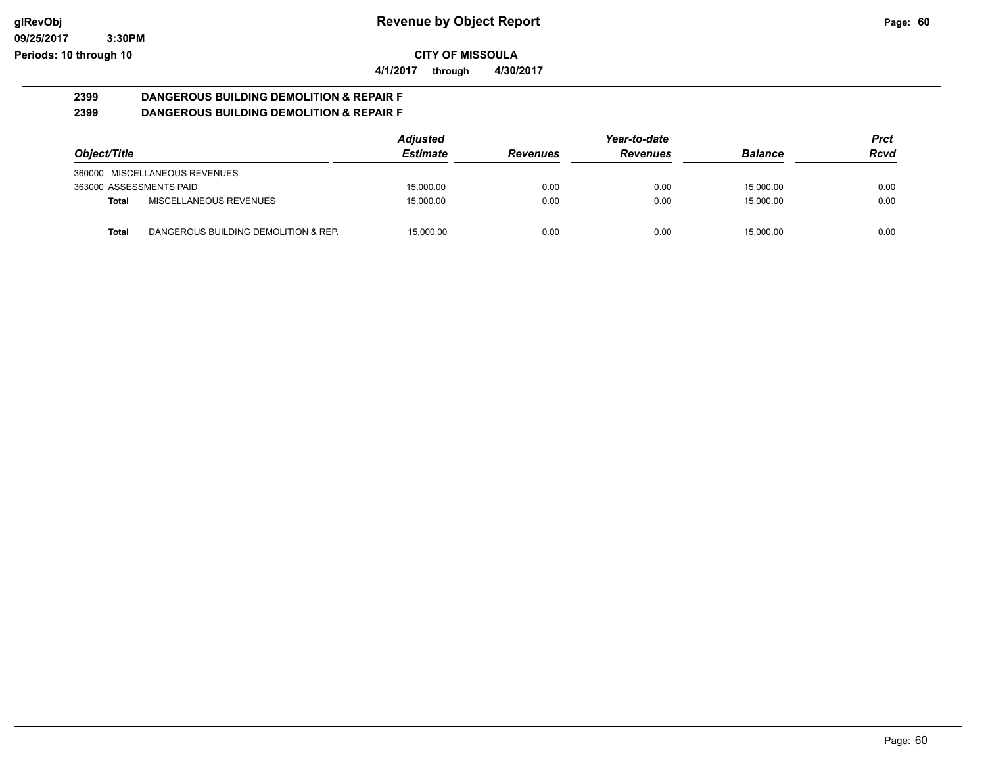**4/1/2017 through 4/30/2017**

## **2399 DANGEROUS BUILDING DEMOLITION & REPAIR F 2399 DANGEROUS BUILDING DEMOLITION & REPAIR F**

|                         |                                      | <b>Adjusted</b> |                 | Year-to-date    |                | Prct |
|-------------------------|--------------------------------------|-----------------|-----------------|-----------------|----------------|------|
| Object/Title            |                                      | <b>Estimate</b> | <b>Revenues</b> | <b>Revenues</b> | <b>Balance</b> | Rcvd |
|                         | 360000 MISCELLANEOUS REVENUES        |                 |                 |                 |                |      |
| 363000 ASSESSMENTS PAID |                                      | 15.000.00       | 0.00            | 0.00            | 15,000.00      | 0.00 |
| Total                   | MISCELLANEOUS REVENUES               | 15.000.00       | 0.00            | 0.00            | 15,000.00      | 0.00 |
| <b>Total</b>            | DANGEROUS BUILDING DEMOLITION & REP. | 15.000.00       | 0.00            | 0.00            | 15,000.00      | 0.00 |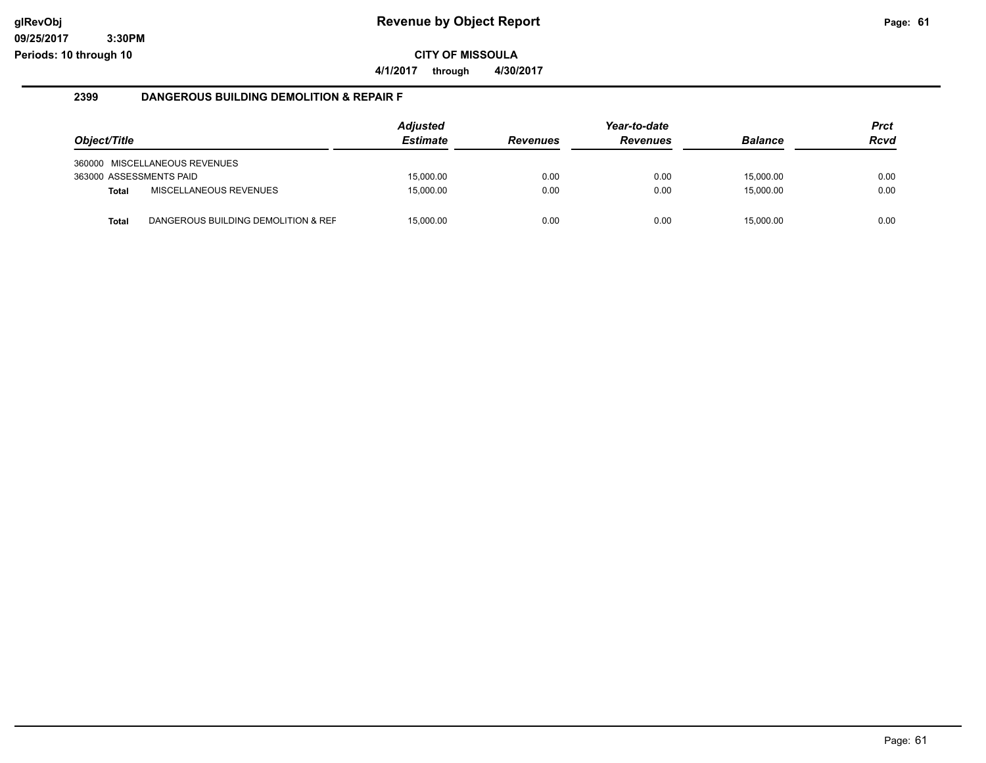**4/1/2017 through 4/30/2017**

## **2399 DANGEROUS BUILDING DEMOLITION & REPAIR F**

|                         |                                     | <b>Adjusted</b><br><b>Estimate</b> |                 | Year-to-date    |                | <b>Prct</b><br><b>Rcvd</b> |
|-------------------------|-------------------------------------|------------------------------------|-----------------|-----------------|----------------|----------------------------|
| Object/Title            |                                     |                                    | <b>Revenues</b> | <b>Revenues</b> | <b>Balance</b> |                            |
|                         | 360000 MISCELLANEOUS REVENUES       |                                    |                 |                 |                |                            |
| 363000 ASSESSMENTS PAID |                                     | 15.000.00                          | 0.00            | 0.00            | 15.000.00      | 0.00                       |
| <b>Total</b>            | MISCELLANEOUS REVENUES              | 15.000.00                          | 0.00            | 0.00            | 15.000.00      | 0.00                       |
| <b>Total</b>            | DANGEROUS BUILDING DEMOLITION & REF | 15,000.00                          | 0.00            | 0.00            | 15.000.00      | 0.00                       |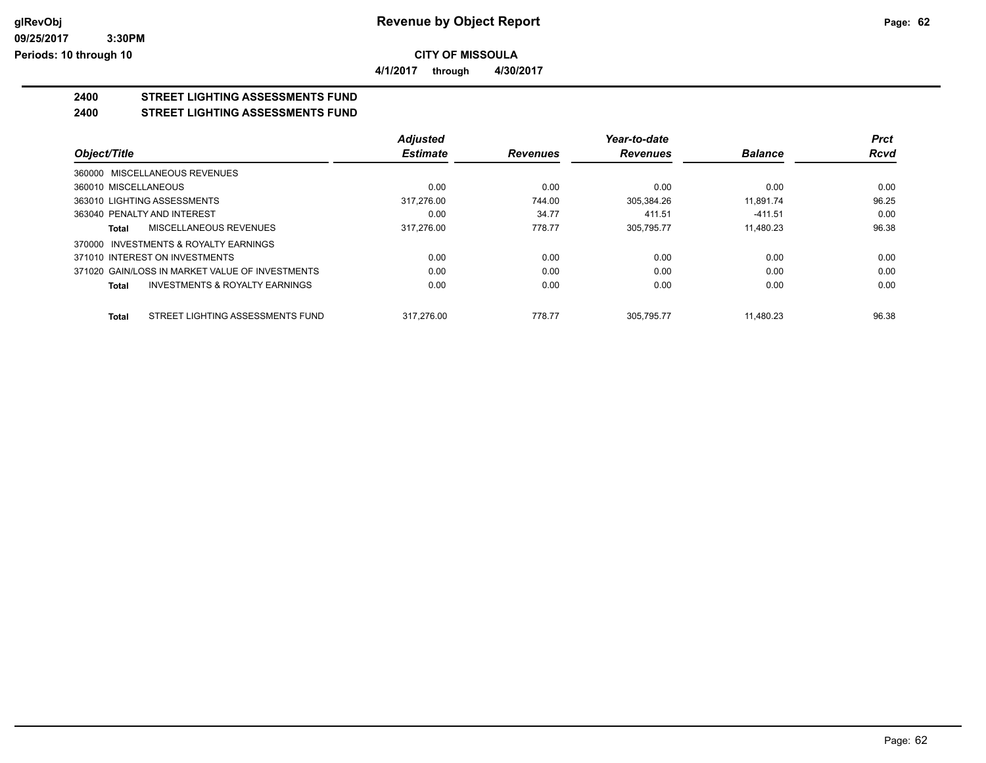**4/1/2017 through 4/30/2017**

## **2400 STREET LIGHTING ASSESSMENTS FUND 2400 STREET LIGHTING ASSESSMENTS FUND**

|                                                 |                                           | <b>Adiusted</b> |                 | Year-to-date    |                | <b>Prct</b> |
|-------------------------------------------------|-------------------------------------------|-----------------|-----------------|-----------------|----------------|-------------|
| Object/Title                                    |                                           | <b>Estimate</b> | <b>Revenues</b> | <b>Revenues</b> | <b>Balance</b> | <b>Rcvd</b> |
| 360000 MISCELLANEOUS REVENUES                   |                                           |                 |                 |                 |                |             |
| 360010 MISCELLANEOUS                            |                                           | 0.00            | 0.00            | 0.00            | 0.00           | 0.00        |
| 363010 LIGHTING ASSESSMENTS                     |                                           | 317.276.00      | 744.00          | 305,384.26      | 11.891.74      | 96.25       |
| 363040 PENALTY AND INTEREST                     |                                           | 0.00            | 34.77           | 411.51          | $-411.51$      | 0.00        |
| Total                                           | MISCELLANEOUS REVENUES                    | 317,276.00      | 778.77          | 305,795.77      | 11,480.23      | 96.38       |
| 370000 INVESTMENTS & ROYALTY EARNINGS           |                                           |                 |                 |                 |                |             |
| 371010 INTEREST ON INVESTMENTS                  |                                           | 0.00            | 0.00            | 0.00            | 0.00           | 0.00        |
| 371020 GAIN/LOSS IN MARKET VALUE OF INVESTMENTS |                                           | 0.00            | 0.00            | 0.00            | 0.00           | 0.00        |
| Total                                           | <b>INVESTMENTS &amp; ROYALTY EARNINGS</b> | 0.00            | 0.00            | 0.00            | 0.00           | 0.00        |
| <b>Total</b>                                    | STREET LIGHTING ASSESSMENTS FUND          | 317.276.00      | 778.77          | 305.795.77      | 11.480.23      | 96.38       |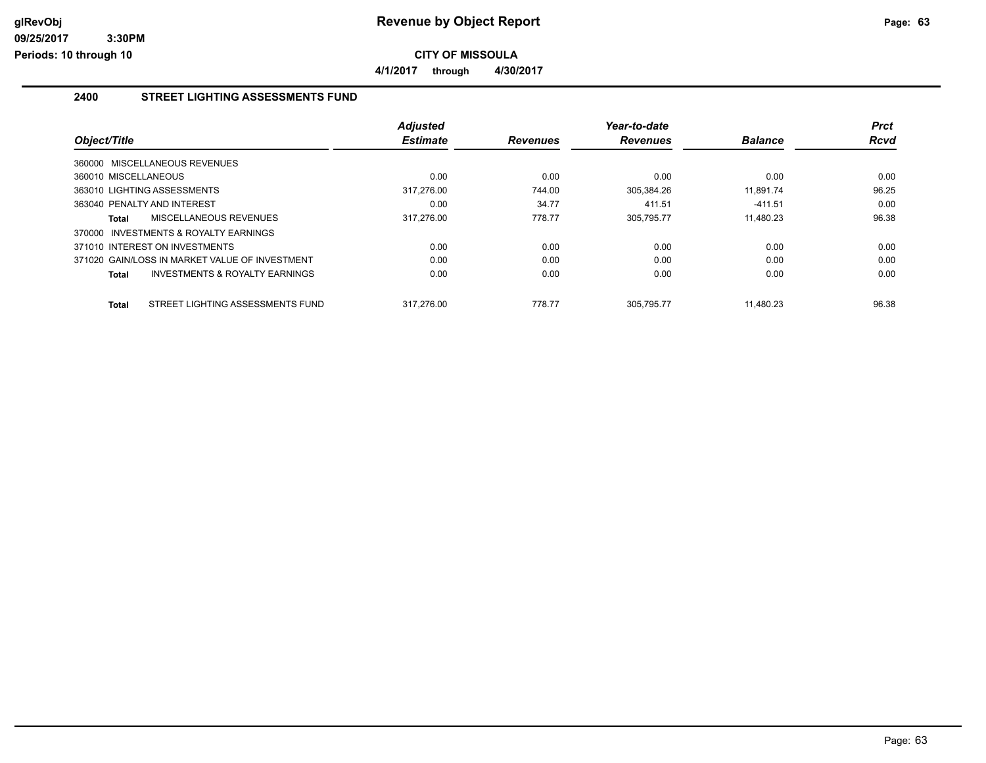**4/1/2017 through 4/30/2017**

## **2400 STREET LIGHTING ASSESSMENTS FUND**

| Object/Title                                       | <b>Adjusted</b><br><b>Estimate</b> | <b>Revenues</b> | Year-to-date<br><b>Revenues</b> | <b>Balance</b> | <b>Prct</b><br><b>Rcvd</b> |
|----------------------------------------------------|------------------------------------|-----------------|---------------------------------|----------------|----------------------------|
| 360000 MISCELLANEOUS REVENUES                      |                                    |                 |                                 |                |                            |
| 360010 MISCELLANEOUS                               | 0.00                               | 0.00            | 0.00                            | 0.00           | 0.00                       |
| 363010 LIGHTING ASSESSMENTS                        | 317.276.00                         | 744.00          | 305.384.26                      | 11.891.74      | 96.25                      |
| 363040 PENALTY AND INTEREST                        | 0.00                               | 34.77           | 411.51                          | $-411.51$      | 0.00                       |
| MISCELLANEOUS REVENUES<br>Total                    | 317,276.00                         | 778.77          | 305,795.77                      | 11,480.23      | 96.38                      |
| 370000 INVESTMENTS & ROYALTY EARNINGS              |                                    |                 |                                 |                |                            |
| 371010 INTEREST ON INVESTMENTS                     | 0.00                               | 0.00            | 0.00                            | 0.00           | 0.00                       |
| 371020 GAIN/LOSS IN MARKET VALUE OF INVESTMENT     | 0.00                               | 0.00            | 0.00                            | 0.00           | 0.00                       |
| <b>INVESTMENTS &amp; ROYALTY EARNINGS</b><br>Total | 0.00                               | 0.00            | 0.00                            | 0.00           | 0.00                       |
| STREET LIGHTING ASSESSMENTS FUND<br>Total          | 317.276.00                         | 778.77          | 305.795.77                      | 11.480.23      | 96.38                      |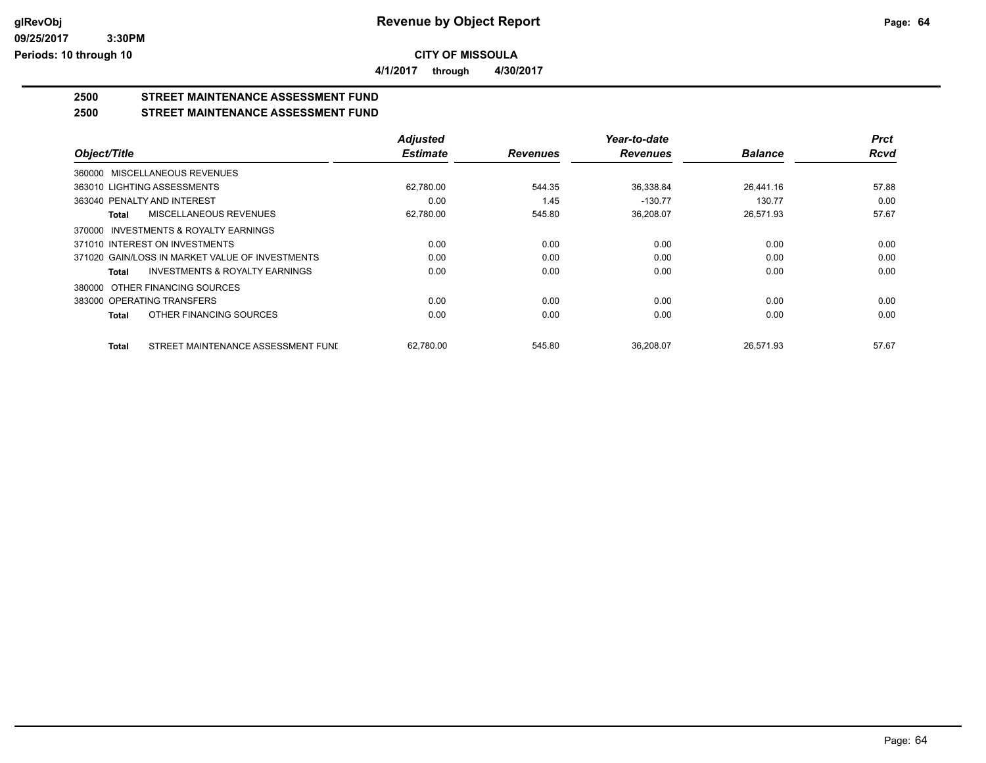**4/1/2017 through 4/30/2017**

## **2500 STREET MAINTENANCE ASSESSMENT FUND**

## **2500 STREET MAINTENANCE ASSESSMENT FUND**

|                                                    | <b>Adjusted</b> |                 | Year-to-date    |                | <b>Prct</b> |
|----------------------------------------------------|-----------------|-----------------|-----------------|----------------|-------------|
| Object/Title                                       | <b>Estimate</b> | <b>Revenues</b> | <b>Revenues</b> | <b>Balance</b> | Rcvd        |
| MISCELLANEOUS REVENUES<br>360000                   |                 |                 |                 |                |             |
| 363010 LIGHTING ASSESSMENTS                        | 62,780.00       | 544.35          | 36,338.84       | 26,441.16      | 57.88       |
| 363040 PENALTY AND INTEREST                        | 0.00            | 1.45            | $-130.77$       | 130.77         | 0.00        |
| MISCELLANEOUS REVENUES<br>Total                    | 62,780.00       | 545.80          | 36,208.07       | 26,571.93      | 57.67       |
| INVESTMENTS & ROYALTY EARNINGS<br>370000           |                 |                 |                 |                |             |
| 371010 INTEREST ON INVESTMENTS                     | 0.00            | 0.00            | 0.00            | 0.00           | 0.00        |
| 371020 GAIN/LOSS IN MARKET VALUE OF INVESTMENTS    | 0.00            | 0.00            | 0.00            | 0.00           | 0.00        |
| <b>INVESTMENTS &amp; ROYALTY EARNINGS</b><br>Total | 0.00            | 0.00            | 0.00            | 0.00           | 0.00        |
| OTHER FINANCING SOURCES<br>380000                  |                 |                 |                 |                |             |
| 383000 OPERATING TRANSFERS                         | 0.00            | 0.00            | 0.00            | 0.00           | 0.00        |
| OTHER FINANCING SOURCES<br><b>Total</b>            | 0.00            | 0.00            | 0.00            | 0.00           | 0.00        |
| STREET MAINTENANCE ASSESSMENT FUNI<br><b>Total</b> | 62.780.00       | 545.80          | 36.208.07       | 26.571.93      | 57.67       |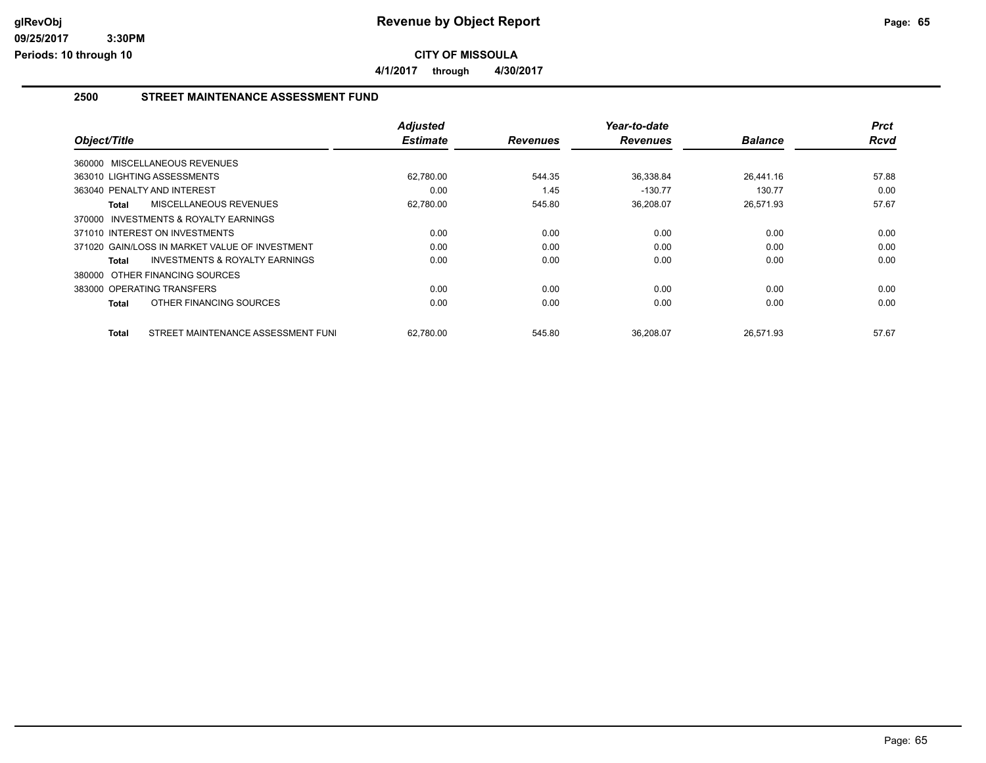**4/1/2017 through 4/30/2017**

## **2500 STREET MAINTENANCE ASSESSMENT FUND**

| Object/Title                                       | <b>Adjusted</b><br><b>Estimate</b> | <b>Revenues</b> | Year-to-date<br><b>Revenues</b> | <b>Balance</b> | <b>Prct</b><br>Rcvd |
|----------------------------------------------------|------------------------------------|-----------------|---------------------------------|----------------|---------------------|
| 360000 MISCELLANEOUS REVENUES                      |                                    |                 |                                 |                |                     |
| 363010 LIGHTING ASSESSMENTS                        | 62,780.00                          | 544.35          | 36,338.84                       | 26.441.16      | 57.88               |
| 363040 PENALTY AND INTEREST                        | 0.00                               | 1.45            | $-130.77$                       | 130.77         | 0.00                |
| MISCELLANEOUS REVENUES<br>Total                    | 62,780.00                          | 545.80          | 36,208.07                       | 26,571.93      | 57.67               |
| 370000 INVESTMENTS & ROYALTY EARNINGS              |                                    |                 |                                 |                |                     |
| 371010 INTEREST ON INVESTMENTS                     | 0.00                               | 0.00            | 0.00                            | 0.00           | 0.00                |
| 371020 GAIN/LOSS IN MARKET VALUE OF INVESTMENT     | 0.00                               | 0.00            | 0.00                            | 0.00           | 0.00                |
| <b>INVESTMENTS &amp; ROYALTY EARNINGS</b><br>Total | 0.00                               | 0.00            | 0.00                            | 0.00           | 0.00                |
| 380000 OTHER FINANCING SOURCES                     |                                    |                 |                                 |                |                     |
| 383000 OPERATING TRANSFERS                         | 0.00                               | 0.00            | 0.00                            | 0.00           | 0.00                |
| OTHER FINANCING SOURCES<br>Total                   | 0.00                               | 0.00            | 0.00                            | 0.00           | 0.00                |
| STREET MAINTENANCE ASSESSMENT FUNI<br>Total        | 62,780.00                          | 545.80          | 36,208.07                       | 26,571.93      | 57.67               |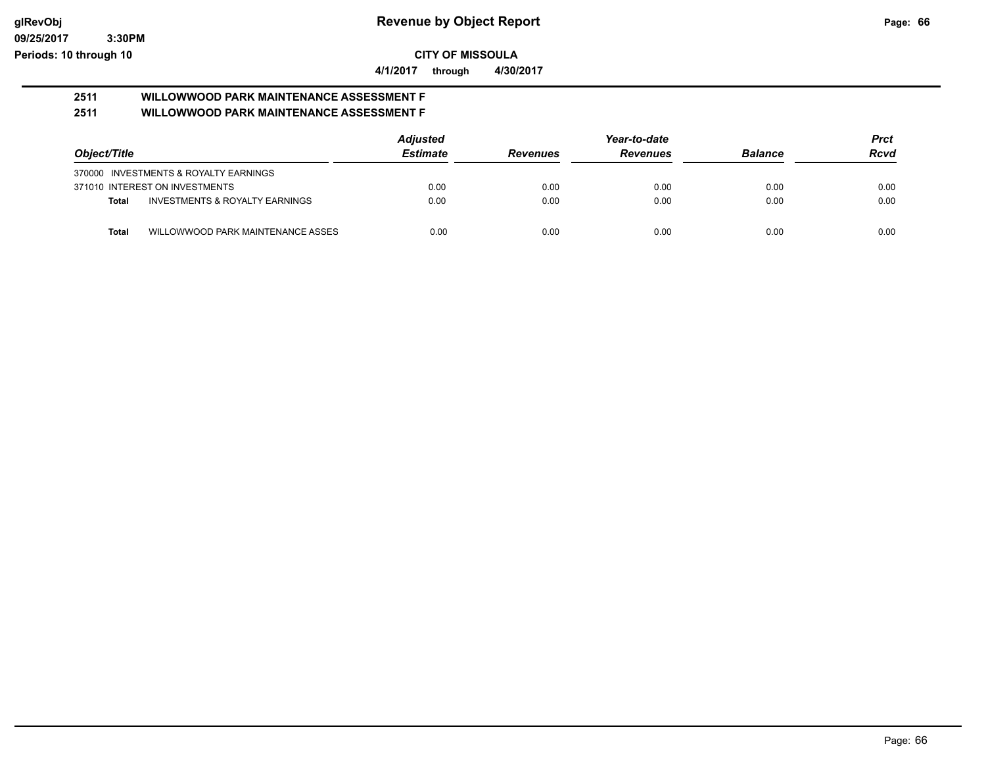## **09/25/2017 3:30PM Periods: 10 through 10**

**CITY OF MISSOULA**

**4/1/2017 through 4/30/2017**

## **2511 WILLOWWOOD PARK MAINTENANCE ASSESSMENT F 2511 WILLOWWOOD PARK MAINTENANCE ASSESSMENT F**

|              |                                       | <b>Adjusted</b> |                 | Year-to-date    |                | Prct |
|--------------|---------------------------------------|-----------------|-----------------|-----------------|----------------|------|
| Object/Title |                                       | <b>Estimate</b> | <b>Revenues</b> | <b>Revenues</b> | <b>Balance</b> | Rcvd |
|              | 370000 INVESTMENTS & ROYALTY EARNINGS |                 |                 |                 |                |      |
|              | 371010 INTEREST ON INVESTMENTS        | 0.00            | 0.00            | 0.00            | 0.00           | 0.00 |
| <b>Total</b> | INVESTMENTS & ROYALTY EARNINGS        | 0.00            | 0.00            | 0.00            | 0.00           | 0.00 |
| Total        | WILLOWWOOD PARK MAINTENANCE ASSES     | 0.00            | 0.00            | 0.00            | 0.00           | 0.00 |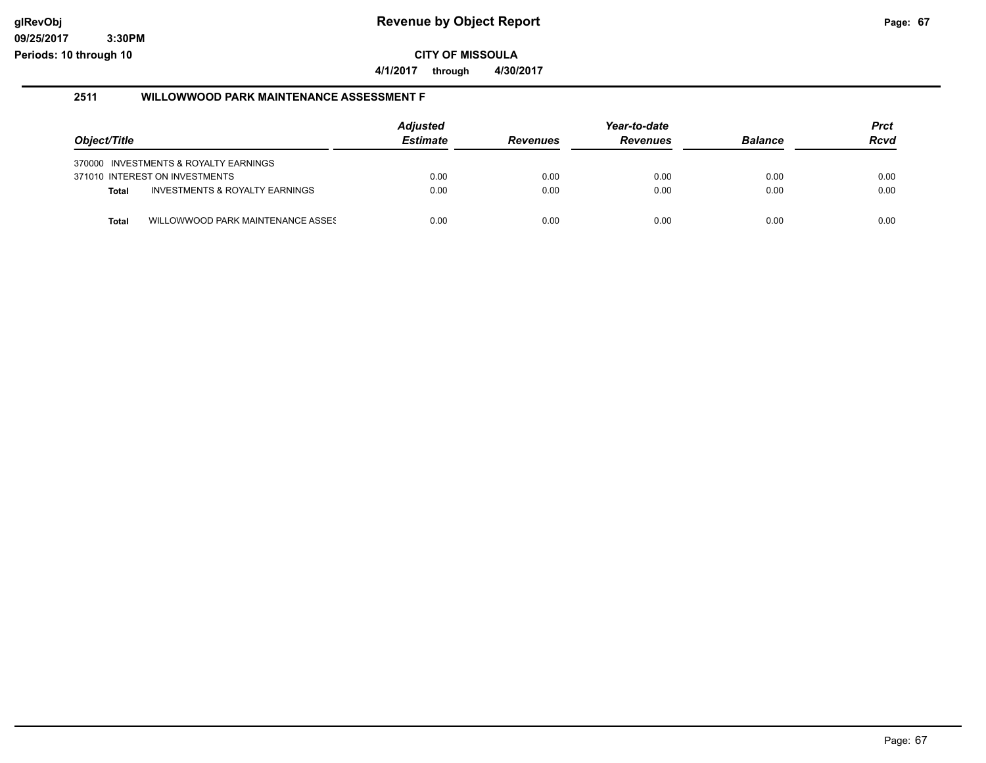**4/1/2017 through 4/30/2017**

## **2511 WILLOWWOOD PARK MAINTENANCE ASSESSMENT F**

|              |                                       | <b>Adjusted</b> |                 | Year-to-date    |                | <b>Prct</b> |
|--------------|---------------------------------------|-----------------|-----------------|-----------------|----------------|-------------|
| Object/Title |                                       | <b>Estimate</b> | <b>Revenues</b> | <b>Revenues</b> | <b>Balance</b> | <b>Rcvd</b> |
|              | 370000 INVESTMENTS & ROYALTY EARNINGS |                 |                 |                 |                |             |
|              | 371010 INTEREST ON INVESTMENTS        | 0.00            | 0.00            | 0.00            | 0.00           | 0.00        |
| <b>Total</b> | INVESTMENTS & ROYALTY EARNINGS        | 0.00            | 0.00            | 0.00            | 0.00           | 0.00        |
| Total        | WILLOWWOOD PARK MAINTENANCE ASSES     | 0.00            | 0.00            | 0.00            | 0.00           | 0.00        |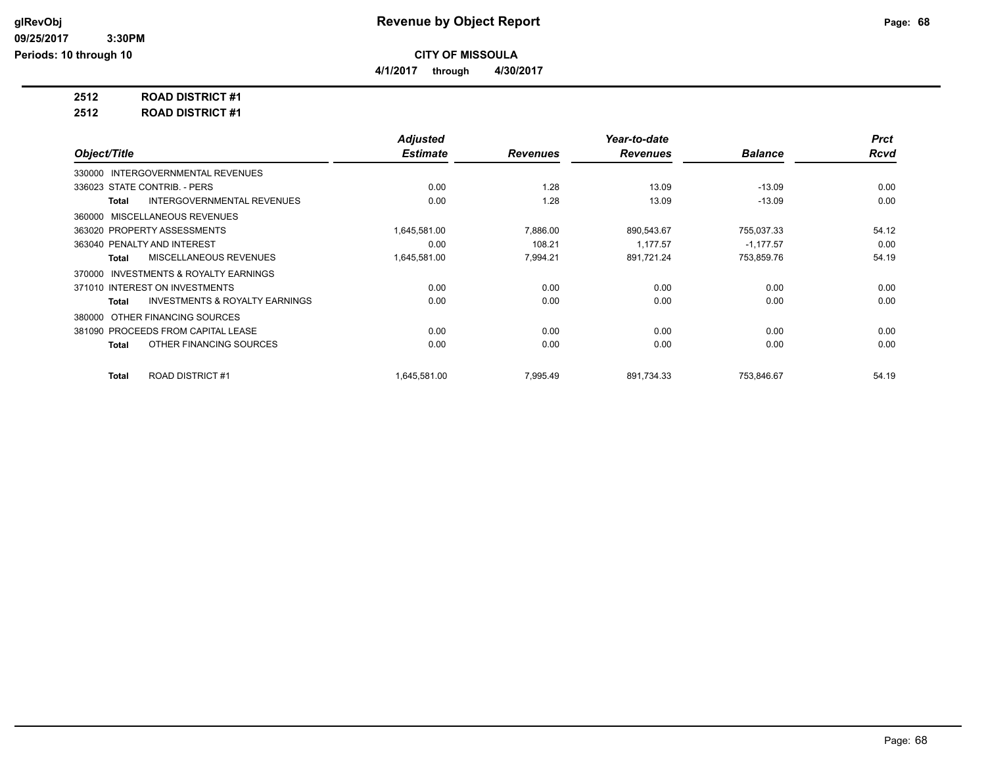**4/1/2017 through 4/30/2017**

**2512 ROAD DISTRICT #1**

**2512 ROAD DISTRICT #1**

|                                                     | <b>Adjusted</b> |                 | Year-to-date    |                | <b>Prct</b> |
|-----------------------------------------------------|-----------------|-----------------|-----------------|----------------|-------------|
| Object/Title                                        | <b>Estimate</b> | <b>Revenues</b> | <b>Revenues</b> | <b>Balance</b> | <b>Rcvd</b> |
| <b>INTERGOVERNMENTAL REVENUES</b><br>330000         |                 |                 |                 |                |             |
| 336023 STATE CONTRIB. - PERS                        | 0.00            | 1.28            | 13.09           | $-13.09$       | 0.00        |
| <b>INTERGOVERNMENTAL REVENUES</b><br>Total          | 0.00            | 1.28            | 13.09           | $-13.09$       | 0.00        |
| 360000 MISCELLANEOUS REVENUES                       |                 |                 |                 |                |             |
| 363020 PROPERTY ASSESSMENTS                         | 1,645,581.00    | 7,886.00        | 890,543.67      | 755,037.33     | 54.12       |
| 363040 PENALTY AND INTEREST                         | 0.00            | 108.21          | 1,177.57        | $-1,177.57$    | 0.00        |
| MISCELLANEOUS REVENUES<br>Total                     | 1,645,581.00    | 7,994.21        | 891,721.24      | 753,859.76     | 54.19       |
| <b>INVESTMENTS &amp; ROYALTY EARNINGS</b><br>370000 |                 |                 |                 |                |             |
| 371010 INTEREST ON INVESTMENTS                      | 0.00            | 0.00            | 0.00            | 0.00           | 0.00        |
| <b>INVESTMENTS &amp; ROYALTY EARNINGS</b><br>Total  | 0.00            | 0.00            | 0.00            | 0.00           | 0.00        |
| OTHER FINANCING SOURCES<br>380000                   |                 |                 |                 |                |             |
| 381090 PROCEEDS FROM CAPITAL LEASE                  | 0.00            | 0.00            | 0.00            | 0.00           | 0.00        |
| OTHER FINANCING SOURCES<br>Total                    | 0.00            | 0.00            | 0.00            | 0.00           | 0.00        |
| <b>ROAD DISTRICT #1</b><br><b>Total</b>             | 1,645,581.00    | 7,995.49        | 891,734.33      | 753,846.67     | 54.19       |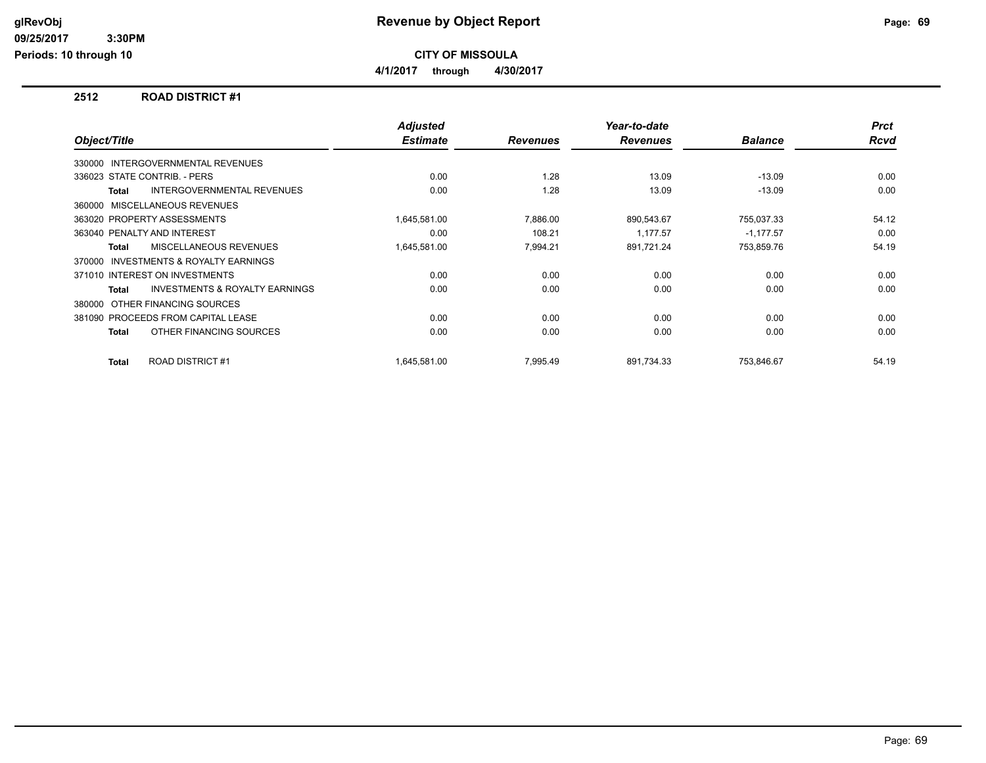**4/1/2017 through 4/30/2017**

## **2512 ROAD DISTRICT #1**

|              |                                           | <b>Adjusted</b> |                 | Year-to-date    |                | <b>Prct</b> |
|--------------|-------------------------------------------|-----------------|-----------------|-----------------|----------------|-------------|
| Object/Title |                                           | <b>Estimate</b> | <b>Revenues</b> | <b>Revenues</b> | <b>Balance</b> | <b>Rcvd</b> |
|              | 330000 INTERGOVERNMENTAL REVENUES         |                 |                 |                 |                |             |
|              | 336023 STATE CONTRIB. - PERS              | 0.00            | 1.28            | 13.09           | $-13.09$       | 0.00        |
| <b>Total</b> | <b>INTERGOVERNMENTAL REVENUES</b>         | 0.00            | 1.28            | 13.09           | $-13.09$       | 0.00        |
| 360000       | MISCELLANEOUS REVENUES                    |                 |                 |                 |                |             |
|              | 363020 PROPERTY ASSESSMENTS               | 1,645,581.00    | 7,886.00        | 890,543.67      | 755,037.33     | 54.12       |
|              | 363040 PENALTY AND INTEREST               | 0.00            | 108.21          | 1.177.57        | $-1.177.57$    | 0.00        |
| Total        | <b>MISCELLANEOUS REVENUES</b>             | 1,645,581.00    | 7,994.21        | 891,721.24      | 753,859.76     | 54.19       |
| 370000       | <b>INVESTMENTS &amp; ROYALTY EARNINGS</b> |                 |                 |                 |                |             |
|              | 371010 INTEREST ON INVESTMENTS            | 0.00            | 0.00            | 0.00            | 0.00           | 0.00        |
| Total        | <b>INVESTMENTS &amp; ROYALTY EARNINGS</b> | 0.00            | 0.00            | 0.00            | 0.00           | 0.00        |
|              | 380000 OTHER FINANCING SOURCES            |                 |                 |                 |                |             |
|              | 381090 PROCEEDS FROM CAPITAL LEASE        | 0.00            | 0.00            | 0.00            | 0.00           | 0.00        |
| Total        | OTHER FINANCING SOURCES                   | 0.00            | 0.00            | 0.00            | 0.00           | 0.00        |
| Total        | <b>ROAD DISTRICT #1</b>                   | 1,645,581.00    | 7,995.49        | 891,734.33      | 753,846.67     | 54.19       |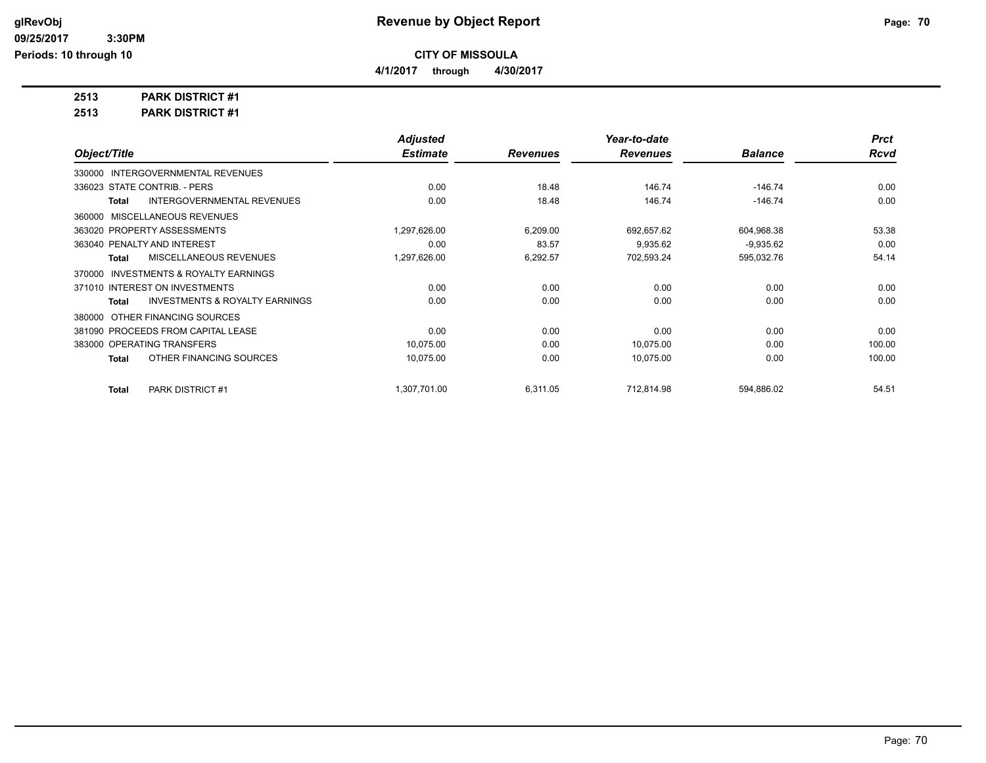**4/1/2017 through 4/30/2017**

**2513 PARK DISTRICT #1**

**2513 PARK DISTRICT #1**

|                                                    | <b>Adjusted</b> |                 | Year-to-date    |                | <b>Prct</b> |
|----------------------------------------------------|-----------------|-----------------|-----------------|----------------|-------------|
| Object/Title                                       | <b>Estimate</b> | <b>Revenues</b> | <b>Revenues</b> | <b>Balance</b> | Rcvd        |
| <b>INTERGOVERNMENTAL REVENUES</b><br>330000        |                 |                 |                 |                |             |
| 336023 STATE CONTRIB. - PERS                       | 0.00            | 18.48           | 146.74          | $-146.74$      | 0.00        |
| <b>INTERGOVERNMENTAL REVENUES</b><br>Total         | 0.00            | 18.48           | 146.74          | $-146.74$      | 0.00        |
| 360000 MISCELLANEOUS REVENUES                      |                 |                 |                 |                |             |
| 363020 PROPERTY ASSESSMENTS                        | 1,297,626.00    | 6,209.00        | 692,657.62      | 604,968.38     | 53.38       |
| 363040 PENALTY AND INTEREST                        | 0.00            | 83.57           | 9,935.62        | $-9,935.62$    | 0.00        |
| MISCELLANEOUS REVENUES<br>Total                    | 1,297,626.00    | 6,292.57        | 702,593.24      | 595,032.76     | 54.14       |
| 370000 INVESTMENTS & ROYALTY EARNINGS              |                 |                 |                 |                |             |
| 371010 INTEREST ON INVESTMENTS                     | 0.00            | 0.00            | 0.00            | 0.00           | 0.00        |
| <b>INVESTMENTS &amp; ROYALTY EARNINGS</b><br>Total | 0.00            | 0.00            | 0.00            | 0.00           | 0.00        |
| 380000 OTHER FINANCING SOURCES                     |                 |                 |                 |                |             |
| 381090 PROCEEDS FROM CAPITAL LEASE                 | 0.00            | 0.00            | 0.00            | 0.00           | 0.00        |
| 383000 OPERATING TRANSFERS                         | 10,075.00       | 0.00            | 10,075.00       | 0.00           | 100.00      |
| OTHER FINANCING SOURCES<br><b>Total</b>            | 10,075.00       | 0.00            | 10,075.00       | 0.00           | 100.00      |
| PARK DISTRICT #1<br><b>Total</b>                   | 1,307,701.00    | 6,311.05        | 712,814.98      | 594,886.02     | 54.51       |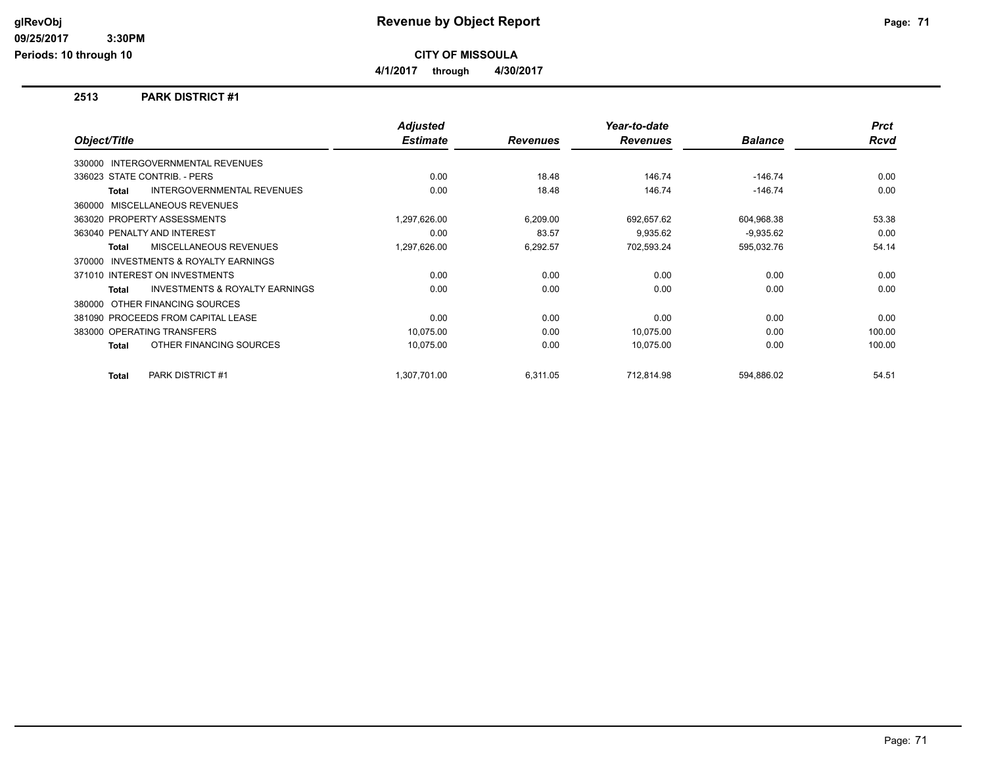**4/1/2017 through 4/30/2017**

## **2513 PARK DISTRICT #1**

|                                                     | <b>Adjusted</b> |                 | Year-to-date    |                | <b>Prct</b> |
|-----------------------------------------------------|-----------------|-----------------|-----------------|----------------|-------------|
| Object/Title                                        | <b>Estimate</b> | <b>Revenues</b> | <b>Revenues</b> | <b>Balance</b> | <b>Rcvd</b> |
| 330000 INTERGOVERNMENTAL REVENUES                   |                 |                 |                 |                |             |
| 336023 STATE CONTRIB. - PERS                        | 0.00            | 18.48           | 146.74          | $-146.74$      | 0.00        |
| <b>INTERGOVERNMENTAL REVENUES</b><br><b>Total</b>   | 0.00            | 18.48           | 146.74          | $-146.74$      | 0.00        |
| MISCELLANEOUS REVENUES<br>360000                    |                 |                 |                 |                |             |
| 363020 PROPERTY ASSESSMENTS                         | 1,297,626.00    | 6,209.00        | 692,657.62      | 604,968.38     | 53.38       |
| 363040 PENALTY AND INTEREST                         | 0.00            | 83.57           | 9,935.62        | $-9,935.62$    | 0.00        |
| <b>MISCELLANEOUS REVENUES</b><br>Total              | 1,297,626.00    | 6,292.57        | 702,593.24      | 595,032.76     | 54.14       |
| <b>INVESTMENTS &amp; ROYALTY EARNINGS</b><br>370000 |                 |                 |                 |                |             |
| 371010 INTEREST ON INVESTMENTS                      | 0.00            | 0.00            | 0.00            | 0.00           | 0.00        |
| <b>INVESTMENTS &amp; ROYALTY EARNINGS</b><br>Total  | 0.00            | 0.00            | 0.00            | 0.00           | 0.00        |
| OTHER FINANCING SOURCES<br>380000                   |                 |                 |                 |                |             |
| 381090 PROCEEDS FROM CAPITAL LEASE                  | 0.00            | 0.00            | 0.00            | 0.00           | 0.00        |
| 383000 OPERATING TRANSFERS                          | 10,075.00       | 0.00            | 10,075.00       | 0.00           | 100.00      |
| OTHER FINANCING SOURCES<br>Total                    | 10,075.00       | 0.00            | 10,075.00       | 0.00           | 100.00      |
| <b>PARK DISTRICT #1</b><br><b>Total</b>             | 1.307.701.00    | 6,311.05        | 712.814.98      | 594,886.02     | 54.51       |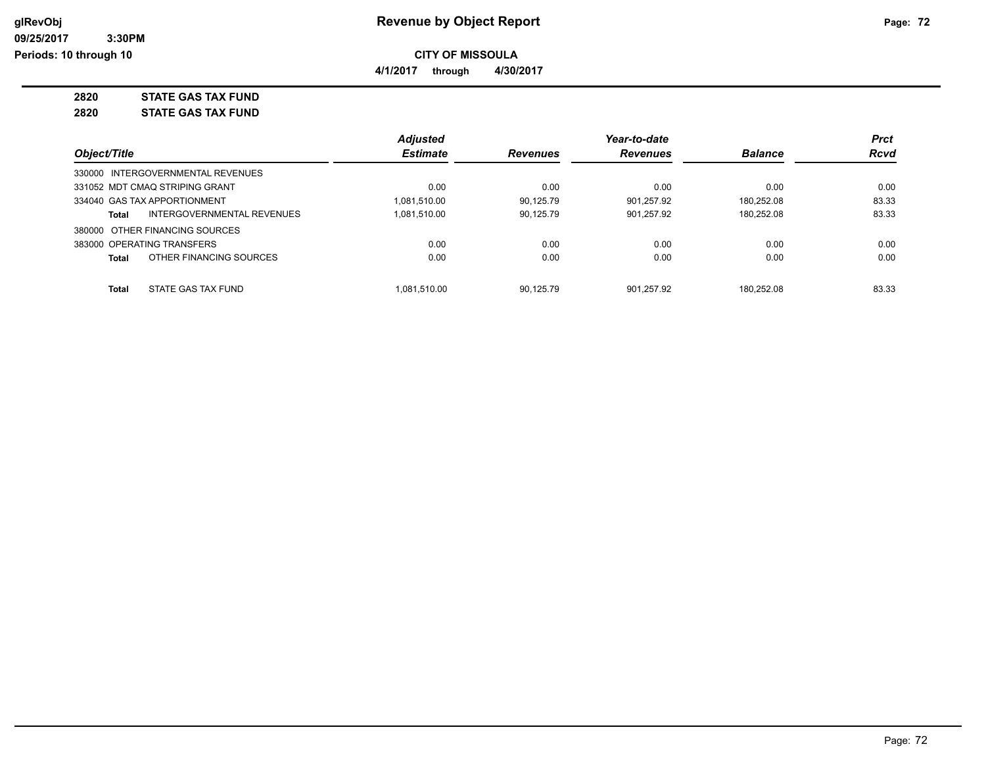**4/1/2017 through 4/30/2017**

## **2820 STATE GAS TAX FUND**

**2820 STATE GAS TAX FUND**

|                                |                                   | <b>Adjusted</b> |                 | Year-to-date    |                | <b>Prct</b> |
|--------------------------------|-----------------------------------|-----------------|-----------------|-----------------|----------------|-------------|
| Object/Title                   |                                   | <b>Estimate</b> | <b>Revenues</b> | <b>Revenues</b> | <b>Balance</b> | <b>Rcvd</b> |
|                                | 330000 INTERGOVERNMENTAL REVENUES |                 |                 |                 |                |             |
| 331052 MDT CMAQ STRIPING GRANT |                                   | 0.00            | 0.00            | 0.00            | 0.00           | 0.00        |
| 334040 GAS TAX APPORTIONMENT   |                                   | 1.081.510.00    | 90.125.79       | 901.257.92      | 180.252.08     | 83.33       |
| <b>Total</b>                   | <b>INTERGOVERNMENTAL REVENUES</b> | 1,081,510.00    | 90.125.79       | 901,257.92      | 180.252.08     | 83.33       |
| 380000 OTHER FINANCING SOURCES |                                   |                 |                 |                 |                |             |
| 383000 OPERATING TRANSFERS     |                                   | 0.00            | 0.00            | 0.00            | 0.00           | 0.00        |
| <b>Total</b>                   | OTHER FINANCING SOURCES           | 0.00            | 0.00            | 0.00            | 0.00           | 0.00        |
| <b>Total</b>                   | STATE GAS TAX FUND                | 1.081.510.00    | 90.125.79       | 901.257.92      | 180.252.08     | 83.33       |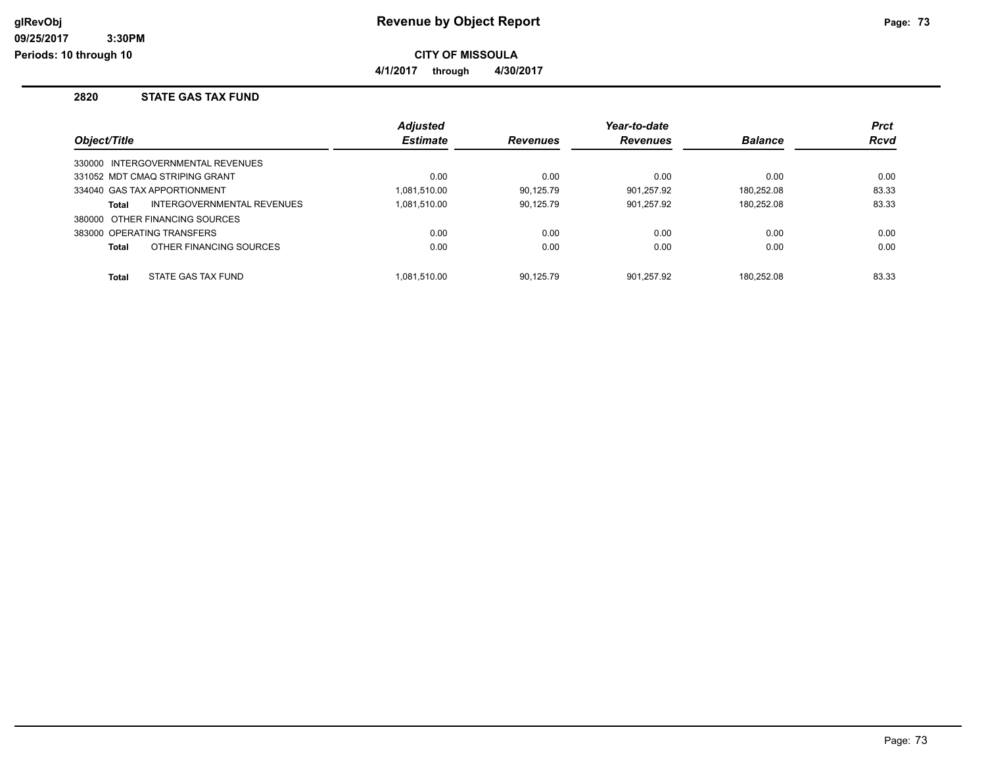**4/1/2017 through 4/30/2017**

#### **2820 STATE GAS TAX FUND**

|              |                                   | <b>Adjusted</b> |                 | Year-to-date    |                | <b>Prct</b> |
|--------------|-----------------------------------|-----------------|-----------------|-----------------|----------------|-------------|
| Object/Title |                                   | <b>Estimate</b> | <b>Revenues</b> | <b>Revenues</b> | <b>Balance</b> | <b>Rcvd</b> |
|              | 330000 INTERGOVERNMENTAL REVENUES |                 |                 |                 |                |             |
|              | 331052 MDT CMAQ STRIPING GRANT    | 0.00            | 0.00            | 0.00            | 0.00           | 0.00        |
|              | 334040 GAS TAX APPORTIONMENT      | 1.081.510.00    | 90.125.79       | 901.257.92      | 180.252.08     | 83.33       |
| <b>Total</b> | INTERGOVERNMENTAL REVENUES        | 1,081,510.00    | 90.125.79       | 901,257.92      | 180.252.08     | 83.33       |
|              | 380000 OTHER FINANCING SOURCES    |                 |                 |                 |                |             |
|              | 383000 OPERATING TRANSFERS        | 0.00            | 0.00            | 0.00            | 0.00           | 0.00        |
| Total        | OTHER FINANCING SOURCES           | 0.00            | 0.00            | 0.00            | 0.00           | 0.00        |
| <b>Total</b> | STATE GAS TAX FUND                | 1.081.510.00    | 90.125.79       | 901.257.92      | 180.252.08     | 83.33       |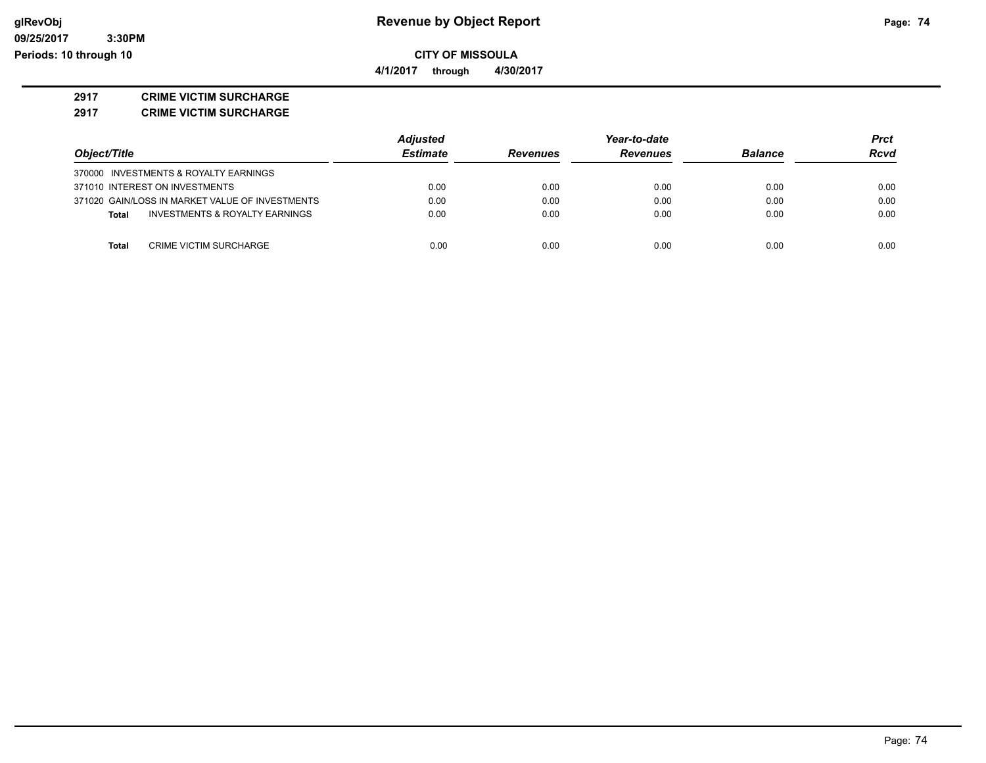**4/1/2017 through 4/30/2017**

### **2917 CRIME VICTIM SURCHARGE**

**2917 CRIME VICTIM SURCHARGE**

|                                                 | <b>Adjusted</b> |                                    | Year-to-date |                |      |
|-------------------------------------------------|-----------------|------------------------------------|--------------|----------------|------|
| Object/Title                                    | <b>Estimate</b> | <b>Revenues</b><br><b>Revenues</b> |              | <b>Balance</b> | Rcvd |
| 370000 INVESTMENTS & ROYALTY EARNINGS           |                 |                                    |              |                |      |
| 371010 INTEREST ON INVESTMENTS                  | 0.00            | 0.00                               | 0.00         | 0.00           | 0.00 |
| 371020 GAIN/LOSS IN MARKET VALUE OF INVESTMENTS | 0.00            | 0.00                               | 0.00         | 0.00           | 0.00 |
| INVESTMENTS & ROYALTY EARNINGS<br>Total         | 0.00            | 0.00                               | 0.00         | 0.00           | 0.00 |
| Total<br>CRIME VICTIM SURCHARGE                 | 0.00            | 0.00                               | 0.00         | 0.00           | 0.00 |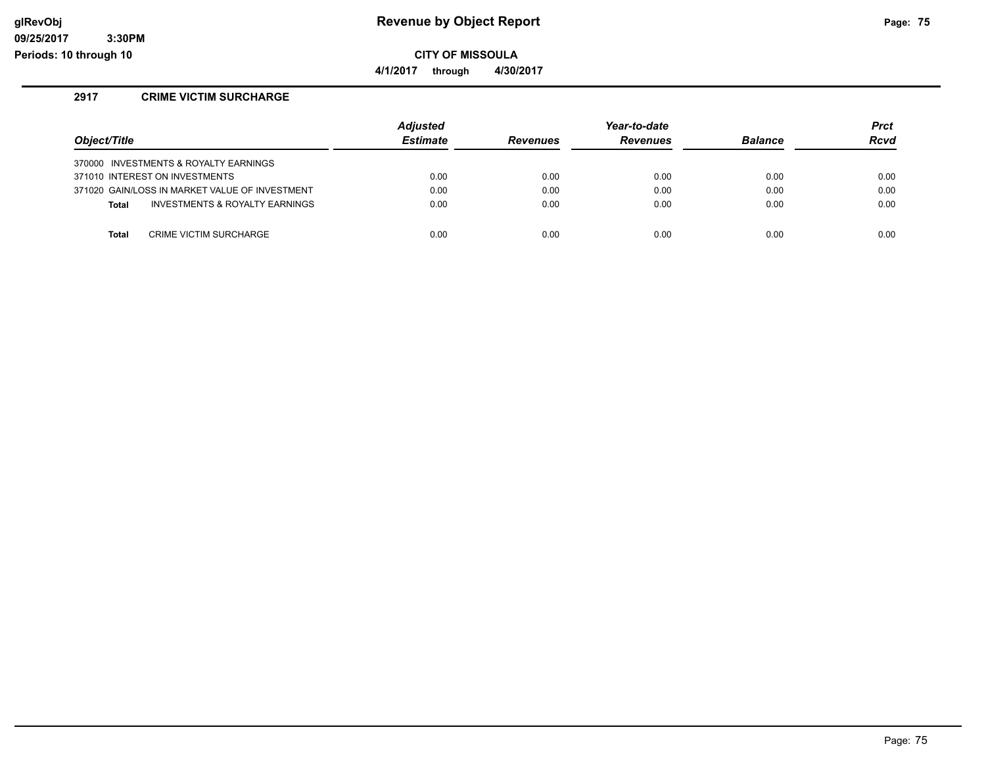**Periods: 10 through 10**

**CITY OF MISSOULA**

**4/1/2017 through 4/30/2017**

#### **2917 CRIME VICTIM SURCHARGE**

 **3:30PM**

| Object/Title                                       | <b>Adjusted</b><br><b>Estimate</b> | <b>Revenues</b> | Year-to-date<br><b>Revenues</b> | <b>Balance</b> | <b>Prct</b><br><b>Rcvd</b> |
|----------------------------------------------------|------------------------------------|-----------------|---------------------------------|----------------|----------------------------|
| 370000 INVESTMENTS & ROYALTY EARNINGS              |                                    |                 |                                 |                |                            |
| 371010 INTEREST ON INVESTMENTS                     | 0.00                               | 0.00            | 0.00                            | 0.00           | 0.00                       |
| 371020 GAIN/LOSS IN MARKET VALUE OF INVESTMENT     | 0.00                               | 0.00            | 0.00                            | 0.00           | 0.00                       |
| <b>INVESTMENTS &amp; ROYALTY EARNINGS</b><br>Total | 0.00                               | 0.00            | 0.00                            | 0.00           | 0.00                       |
|                                                    |                                    |                 |                                 |                |                            |
| CRIME VICTIM SURCHARGE<br>Total                    | 0.00                               | 0.00            | 0.00                            | 0.00           | 0.00                       |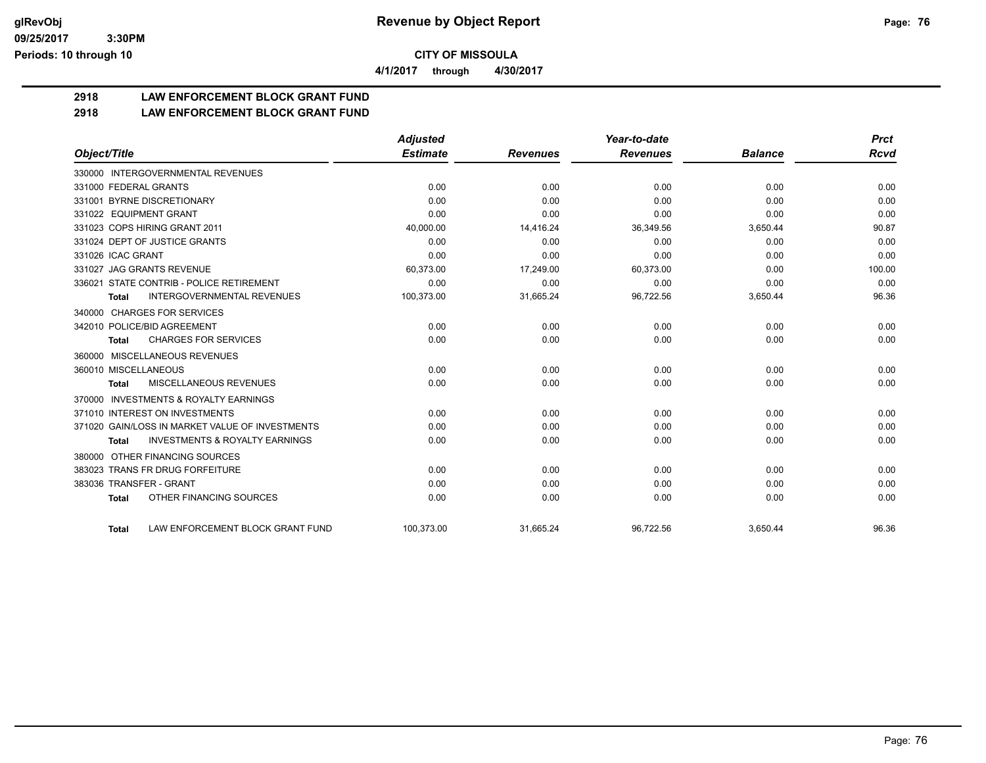**4/1/2017 through 4/30/2017**

# **2918 LAW ENFORCEMENT BLOCK GRANT FUND**

# **2918 LAW ENFORCEMENT BLOCK GRANT FUND**

|                                                           | <b>Adjusted</b> |                 | Year-to-date    |                | <b>Prct</b> |
|-----------------------------------------------------------|-----------------|-----------------|-----------------|----------------|-------------|
| Object/Title                                              | <b>Estimate</b> | <b>Revenues</b> | <b>Revenues</b> | <b>Balance</b> | <b>Rcvd</b> |
| 330000 INTERGOVERNMENTAL REVENUES                         |                 |                 |                 |                |             |
| 331000 FEDERAL GRANTS                                     | 0.00            | 0.00            | 0.00            | 0.00           | 0.00        |
| 331001 BYRNE DISCRETIONARY                                | 0.00            | 0.00            | 0.00            | 0.00           | 0.00        |
| 331022 EQUIPMENT GRANT                                    | 0.00            | 0.00            | 0.00            | 0.00           | 0.00        |
| 331023 COPS HIRING GRANT 2011                             | 40,000.00       | 14,416.24       | 36,349.56       | 3,650.44       | 90.87       |
| 331024 DEPT OF JUSTICE GRANTS                             | 0.00            | 0.00            | 0.00            | 0.00           | 0.00        |
| 331026 ICAC GRANT                                         | 0.00            | 0.00            | 0.00            | 0.00           | 0.00        |
| 331027 JAG GRANTS REVENUE                                 | 60,373.00       | 17,249.00       | 60,373.00       | 0.00           | 100.00      |
| 336021 STATE CONTRIB - POLICE RETIREMENT                  | 0.00            | 0.00            | 0.00            | 0.00           | 0.00        |
| <b>INTERGOVERNMENTAL REVENUES</b><br><b>Total</b>         | 100,373.00      | 31,665.24       | 96,722.56       | 3,650.44       | 96.36       |
| 340000 CHARGES FOR SERVICES                               |                 |                 |                 |                |             |
| 342010 POLICE/BID AGREEMENT                               | 0.00            | 0.00            | 0.00            | 0.00           | 0.00        |
| <b>CHARGES FOR SERVICES</b><br>Total                      | 0.00            | 0.00            | 0.00            | 0.00           | 0.00        |
| 360000 MISCELLANEOUS REVENUES                             |                 |                 |                 |                |             |
| 360010 MISCELLANEOUS                                      | 0.00            | 0.00            | 0.00            | 0.00           | 0.00        |
| MISCELLANEOUS REVENUES<br>Total                           | 0.00            | 0.00            | 0.00            | 0.00           | 0.00        |
| <b>INVESTMENTS &amp; ROYALTY EARNINGS</b><br>370000       |                 |                 |                 |                |             |
| 371010 INTEREST ON INVESTMENTS                            | 0.00            | 0.00            | 0.00            | 0.00           | 0.00        |
| 371020 GAIN/LOSS IN MARKET VALUE OF INVESTMENTS           | 0.00            | 0.00            | 0.00            | 0.00           | 0.00        |
| <b>INVESTMENTS &amp; ROYALTY EARNINGS</b><br><b>Total</b> | 0.00            | 0.00            | 0.00            | 0.00           | 0.00        |
| OTHER FINANCING SOURCES<br>380000                         |                 |                 |                 |                |             |
| 383023 TRANS FR DRUG FORFEITURE                           | 0.00            | 0.00            | 0.00            | 0.00           | 0.00        |
| 383036 TRANSFER - GRANT                                   | 0.00            | 0.00            | 0.00            | 0.00           | 0.00        |
| OTHER FINANCING SOURCES<br><b>Total</b>                   | 0.00            | 0.00            | 0.00            | 0.00           | 0.00        |
|                                                           |                 |                 |                 |                |             |
| LAW ENFORCEMENT BLOCK GRANT FUND<br><b>Total</b>          | 100,373.00      | 31,665.24       | 96,722.56       | 3,650.44       | 96.36       |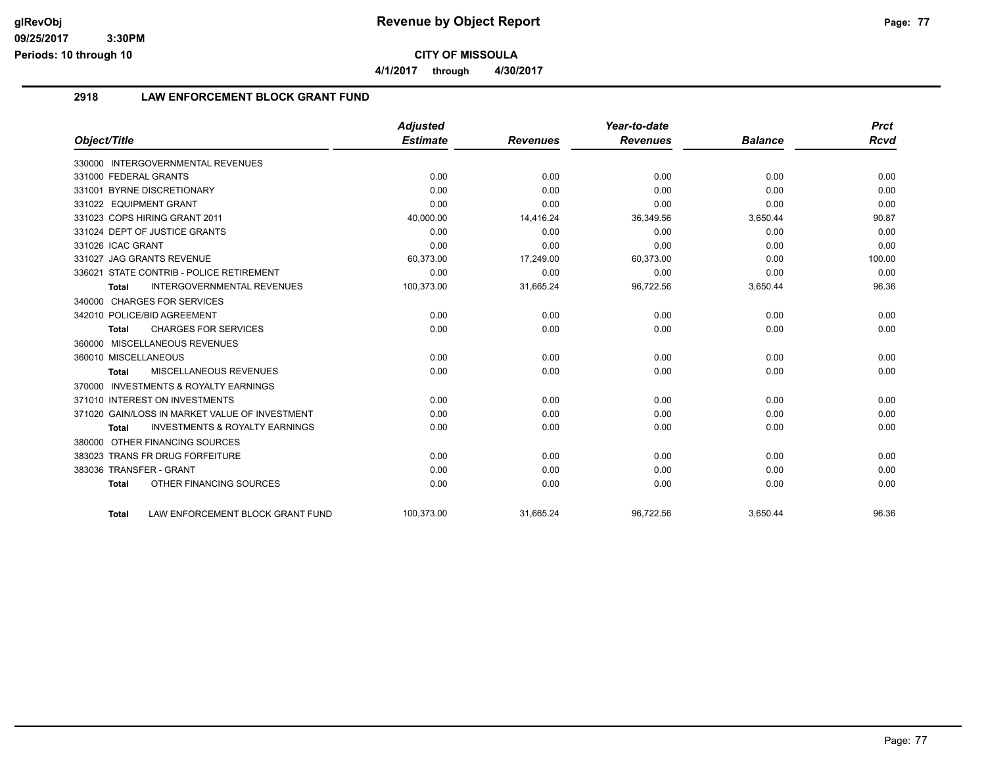**4/1/2017 through 4/30/2017**

# **2918 LAW ENFORCEMENT BLOCK GRANT FUND**

|                                                           | <b>Adjusted</b> |                 | Year-to-date    |                | <b>Prct</b> |
|-----------------------------------------------------------|-----------------|-----------------|-----------------|----------------|-------------|
| Object/Title                                              | <b>Estimate</b> | <b>Revenues</b> | <b>Revenues</b> | <b>Balance</b> | <b>Rcvd</b> |
| 330000 INTERGOVERNMENTAL REVENUES                         |                 |                 |                 |                |             |
| 331000 FEDERAL GRANTS                                     | 0.00            | 0.00            | 0.00            | 0.00           | 0.00        |
| 331001 BYRNE DISCRETIONARY                                | 0.00            | 0.00            | 0.00            | 0.00           | 0.00        |
| 331022 EQUIPMENT GRANT                                    | 0.00            | 0.00            | 0.00            | 0.00           | 0.00        |
| 331023 COPS HIRING GRANT 2011                             | 40,000.00       | 14,416.24       | 36,349.56       | 3,650.44       | 90.87       |
| 331024 DEPT OF JUSTICE GRANTS                             | 0.00            | 0.00            | 0.00            | 0.00           | 0.00        |
| 331026 ICAC GRANT                                         | 0.00            | 0.00            | 0.00            | 0.00           | 0.00        |
| 331027 JAG GRANTS REVENUE                                 | 60,373.00       | 17,249.00       | 60,373.00       | 0.00           | 100.00      |
| 336021 STATE CONTRIB - POLICE RETIREMENT                  | 0.00            | 0.00            | 0.00            | 0.00           | 0.00        |
| <b>INTERGOVERNMENTAL REVENUES</b><br><b>Total</b>         | 100,373.00      | 31,665.24       | 96,722.56       | 3,650.44       | 96.36       |
| 340000 CHARGES FOR SERVICES                               |                 |                 |                 |                |             |
| 342010 POLICE/BID AGREEMENT                               | 0.00            | 0.00            | 0.00            | 0.00           | 0.00        |
| <b>CHARGES FOR SERVICES</b><br><b>Total</b>               | 0.00            | 0.00            | 0.00            | 0.00           | 0.00        |
| 360000 MISCELLANEOUS REVENUES                             |                 |                 |                 |                |             |
| 360010 MISCELLANEOUS                                      | 0.00            | 0.00            | 0.00            | 0.00           | 0.00        |
| <b>MISCELLANEOUS REVENUES</b><br><b>Total</b>             | 0.00            | 0.00            | 0.00            | 0.00           | 0.00        |
| <b>INVESTMENTS &amp; ROYALTY EARNINGS</b><br>370000       |                 |                 |                 |                |             |
| 371010 INTEREST ON INVESTMENTS                            | 0.00            | 0.00            | 0.00            | 0.00           | 0.00        |
| 371020 GAIN/LOSS IN MARKET VALUE OF INVESTMENT            | 0.00            | 0.00            | 0.00            | 0.00           | 0.00        |
| <b>INVESTMENTS &amp; ROYALTY EARNINGS</b><br><b>Total</b> | 0.00            | 0.00            | 0.00            | 0.00           | 0.00        |
| 380000 OTHER FINANCING SOURCES                            |                 |                 |                 |                |             |
| 383023 TRANS FR DRUG FORFEITURE                           | 0.00            | 0.00            | 0.00            | 0.00           | 0.00        |
| 383036 TRANSFER - GRANT                                   | 0.00            | 0.00            | 0.00            | 0.00           | 0.00        |
| OTHER FINANCING SOURCES<br><b>Total</b>                   | 0.00            | 0.00            | 0.00            | 0.00           | 0.00        |
| LAW ENFORCEMENT BLOCK GRANT FUND<br><b>Total</b>          | 100.373.00      | 31,665.24       | 96,722.56       | 3,650.44       | 96.36       |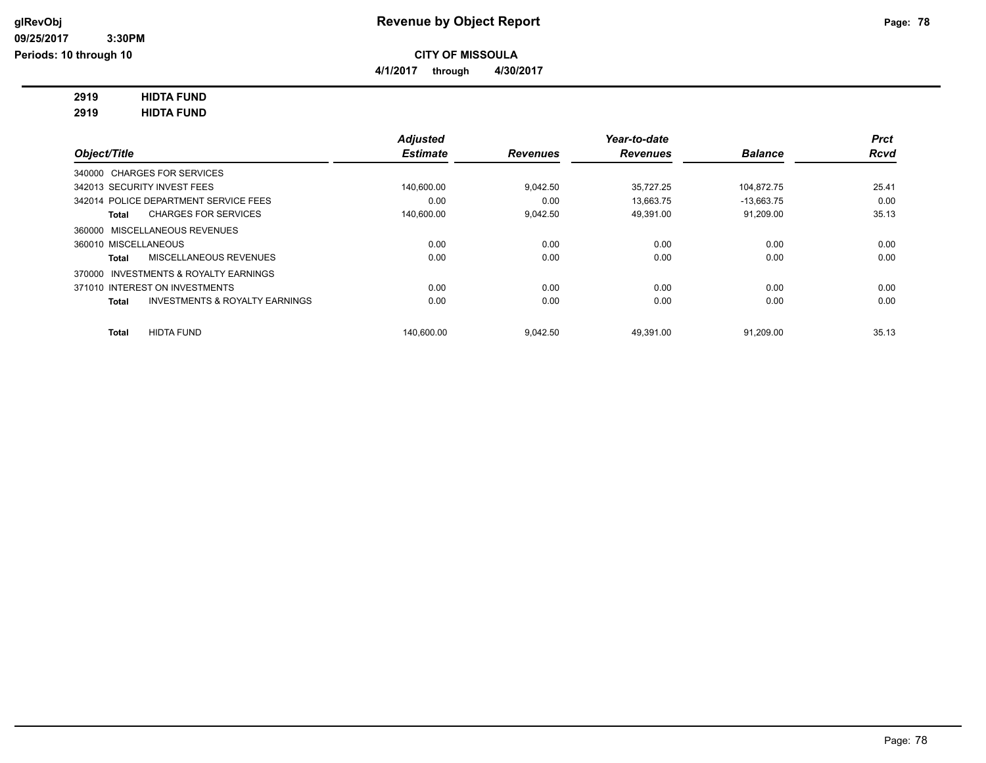**4/1/2017 through 4/30/2017**

# **2919 HIDTA FUND**

**2919 HIDTA FUND**

|                                                    | <b>Adjusted</b> |                 | Year-to-date    |                | <b>Prct</b> |
|----------------------------------------------------|-----------------|-----------------|-----------------|----------------|-------------|
| Object/Title                                       | <b>Estimate</b> | <b>Revenues</b> | <b>Revenues</b> | <b>Balance</b> | <b>Rcvd</b> |
| 340000 CHARGES FOR SERVICES                        |                 |                 |                 |                |             |
| 342013 SECURITY INVEST FEES                        | 140,600.00      | 9,042.50        | 35.727.25       | 104,872.75     | 25.41       |
| 342014 POLICE DEPARTMENT SERVICE FEES              | 0.00            | 0.00            | 13.663.75       | $-13,663.75$   | 0.00        |
| <b>CHARGES FOR SERVICES</b><br>Total               | 140,600.00      | 9,042.50        | 49,391.00       | 91,209.00      | 35.13       |
| 360000 MISCELLANEOUS REVENUES                      |                 |                 |                 |                |             |
| 360010 MISCELLANEOUS                               | 0.00            | 0.00            | 0.00            | 0.00           | 0.00        |
| MISCELLANEOUS REVENUES<br>Total                    | 0.00            | 0.00            | 0.00            | 0.00           | 0.00        |
| 370000 INVESTMENTS & ROYALTY EARNINGS              |                 |                 |                 |                |             |
| 371010 INTEREST ON INVESTMENTS                     | 0.00            | 0.00            | 0.00            | 0.00           | 0.00        |
| <b>INVESTMENTS &amp; ROYALTY EARNINGS</b><br>Total | 0.00            | 0.00            | 0.00            | 0.00           | 0.00        |
| <b>HIDTA FUND</b><br>Total                         | 140.600.00      | 9.042.50        | 49.391.00       | 91.209.00      | 35.13       |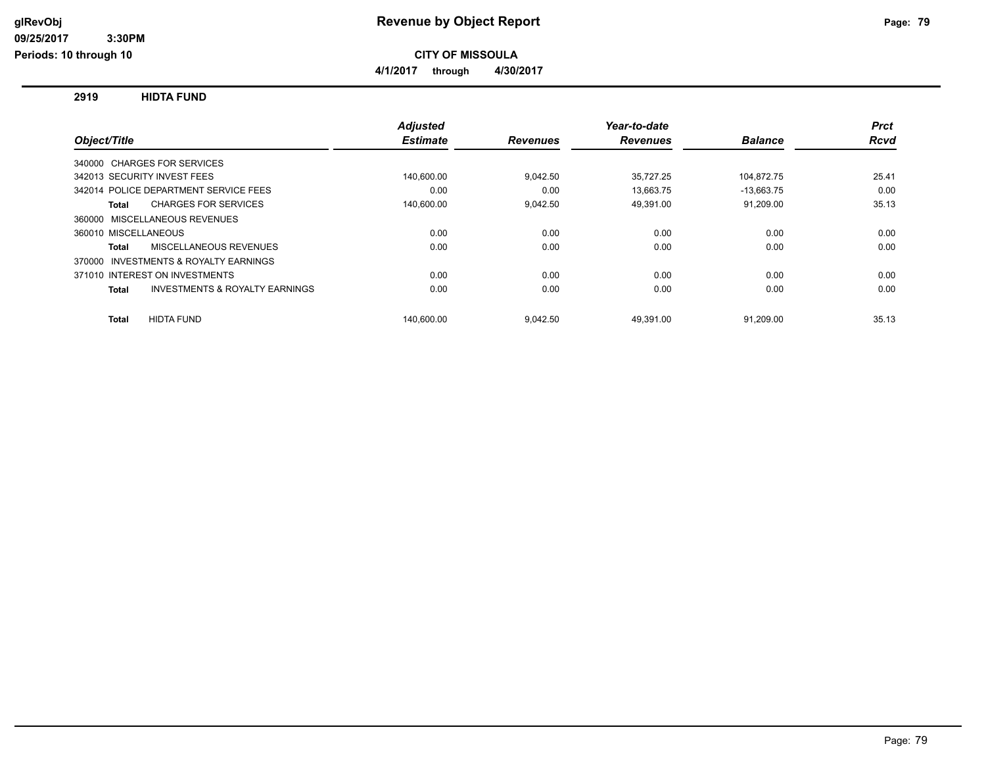**4/1/2017 through 4/30/2017**

**2919 HIDTA FUND**

|                                                           | <b>Adjusted</b> |                 | Year-to-date    |                | <b>Prct</b> |
|-----------------------------------------------------------|-----------------|-----------------|-----------------|----------------|-------------|
| Object/Title                                              | <b>Estimate</b> | <b>Revenues</b> | <b>Revenues</b> | <b>Balance</b> | <b>Rcvd</b> |
| 340000 CHARGES FOR SERVICES                               |                 |                 |                 |                |             |
| 342013 SECURITY INVEST FEES                               | 140.600.00      | 9.042.50        | 35,727.25       | 104,872.75     | 25.41       |
| 342014 POLICE DEPARTMENT SERVICE FEES                     | 0.00            | 0.00            | 13.663.75       | $-13.663.75$   | 0.00        |
| <b>CHARGES FOR SERVICES</b><br>Total                      | 140,600.00      | 9,042.50        | 49,391.00       | 91,209.00      | 35.13       |
| 360000 MISCELLANEOUS REVENUES                             |                 |                 |                 |                |             |
| 360010 MISCELLANEOUS                                      | 0.00            | 0.00            | 0.00            | 0.00           | 0.00        |
| MISCELLANEOUS REVENUES<br>Total                           | 0.00            | 0.00            | 0.00            | 0.00           | 0.00        |
| 370000 INVESTMENTS & ROYALTY EARNINGS                     |                 |                 |                 |                |             |
| 371010 INTEREST ON INVESTMENTS                            | 0.00            | 0.00            | 0.00            | 0.00           | 0.00        |
| <b>INVESTMENTS &amp; ROYALTY EARNINGS</b><br><b>Total</b> | 0.00            | 0.00            | 0.00            | 0.00           | 0.00        |
| <b>HIDTA FUND</b><br>Total                                | 140.600.00      | 9.042.50        | 49.391.00       | 91,209.00      | 35.13       |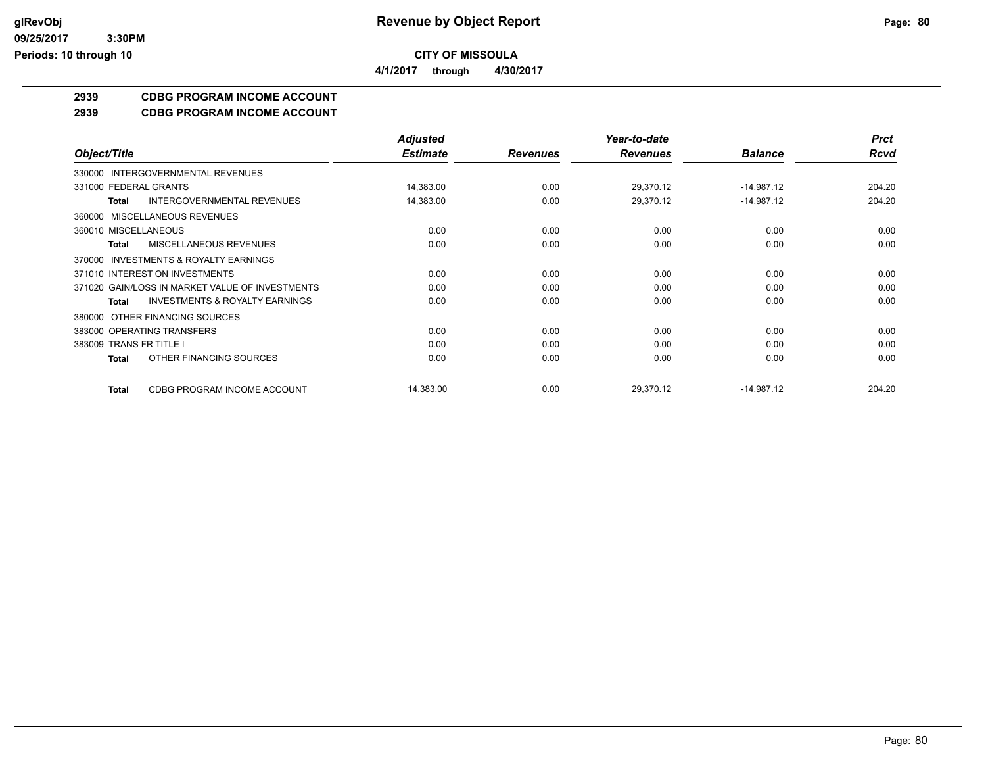**4/1/2017 through 4/30/2017**

# **2939 CDBG PROGRAM INCOME ACCOUNT**

# **2939 CDBG PROGRAM INCOME ACCOUNT**

|                                                    | <b>Adjusted</b> |                 | Year-to-date    |                | <b>Prct</b> |
|----------------------------------------------------|-----------------|-----------------|-----------------|----------------|-------------|
| Object/Title                                       | <b>Estimate</b> | <b>Revenues</b> | <b>Revenues</b> | <b>Balance</b> | Rcvd        |
| 330000 INTERGOVERNMENTAL REVENUES                  |                 |                 |                 |                |             |
| 331000 FEDERAL GRANTS                              | 14,383.00       | 0.00            | 29,370.12       | $-14,987.12$   | 204.20      |
| <b>INTERGOVERNMENTAL REVENUES</b><br>Total         | 14,383.00       | 0.00            | 29,370.12       | $-14,987.12$   | 204.20      |
| 360000 MISCELLANEOUS REVENUES                      |                 |                 |                 |                |             |
| 360010 MISCELLANEOUS                               | 0.00            | 0.00            | 0.00            | 0.00           | 0.00        |
| MISCELLANEOUS REVENUES<br>Total                    | 0.00            | 0.00            | 0.00            | 0.00           | 0.00        |
| 370000 INVESTMENTS & ROYALTY EARNINGS              |                 |                 |                 |                |             |
| 371010 INTEREST ON INVESTMENTS                     | 0.00            | 0.00            | 0.00            | 0.00           | 0.00        |
| 371020 GAIN/LOSS IN MARKET VALUE OF INVESTMENTS    | 0.00            | 0.00            | 0.00            | 0.00           | 0.00        |
| <b>INVESTMENTS &amp; ROYALTY EARNINGS</b><br>Total | 0.00            | 0.00            | 0.00            | 0.00           | 0.00        |
| 380000 OTHER FINANCING SOURCES                     |                 |                 |                 |                |             |
| 383000 OPERATING TRANSFERS                         | 0.00            | 0.00            | 0.00            | 0.00           | 0.00        |
| 383009 TRANS FR TITLE I                            | 0.00            | 0.00            | 0.00            | 0.00           | 0.00        |
| OTHER FINANCING SOURCES<br>Total                   | 0.00            | 0.00            | 0.00            | 0.00           | 0.00        |
| CDBG PROGRAM INCOME ACCOUNT<br><b>Total</b>        | 14,383.00       | 0.00            | 29,370.12       | $-14,987.12$   | 204.20      |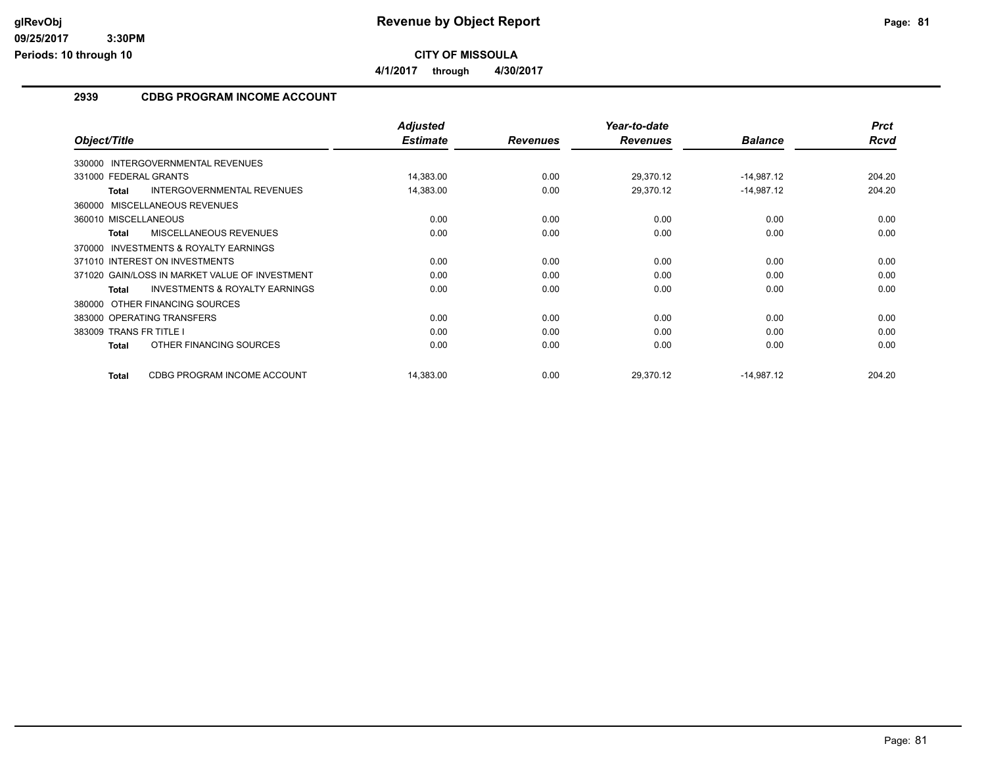**4/1/2017 through 4/30/2017**

# **2939 CDBG PROGRAM INCOME ACCOUNT**

|                                                           | <b>Adjusted</b> |                 | Year-to-date    |                | <b>Prct</b> |
|-----------------------------------------------------------|-----------------|-----------------|-----------------|----------------|-------------|
| Object/Title                                              | <b>Estimate</b> | <b>Revenues</b> | <b>Revenues</b> | <b>Balance</b> | Rcvd        |
| 330000 INTERGOVERNMENTAL REVENUES                         |                 |                 |                 |                |             |
| 331000 FEDERAL GRANTS                                     | 14,383.00       | 0.00            | 29,370.12       | $-14,987.12$   | 204.20      |
| INTERGOVERNMENTAL REVENUES<br><b>Total</b>                | 14,383.00       | 0.00            | 29,370.12       | $-14,987.12$   | 204.20      |
| 360000 MISCELLANEOUS REVENUES                             |                 |                 |                 |                |             |
| 360010 MISCELLANEOUS                                      | 0.00            | 0.00            | 0.00            | 0.00           | 0.00        |
| MISCELLANEOUS REVENUES<br><b>Total</b>                    | 0.00            | 0.00            | 0.00            | 0.00           | 0.00        |
| INVESTMENTS & ROYALTY EARNINGS<br>370000                  |                 |                 |                 |                |             |
| 371010 INTEREST ON INVESTMENTS                            | 0.00            | 0.00            | 0.00            | 0.00           | 0.00        |
| 371020 GAIN/LOSS IN MARKET VALUE OF INVESTMENT            | 0.00            | 0.00            | 0.00            | 0.00           | 0.00        |
| <b>INVESTMENTS &amp; ROYALTY EARNINGS</b><br><b>Total</b> | 0.00            | 0.00            | 0.00            | 0.00           | 0.00        |
| 380000 OTHER FINANCING SOURCES                            |                 |                 |                 |                |             |
| 383000 OPERATING TRANSFERS                                | 0.00            | 0.00            | 0.00            | 0.00           | 0.00        |
| 383009 TRANS FR TITLE I                                   | 0.00            | 0.00            | 0.00            | 0.00           | 0.00        |
| OTHER FINANCING SOURCES<br><b>Total</b>                   | 0.00            | 0.00            | 0.00            | 0.00           | 0.00        |
| CDBG PROGRAM INCOME ACCOUNT<br><b>Total</b>               | 14,383.00       | 0.00            | 29,370.12       | $-14,987.12$   | 204.20      |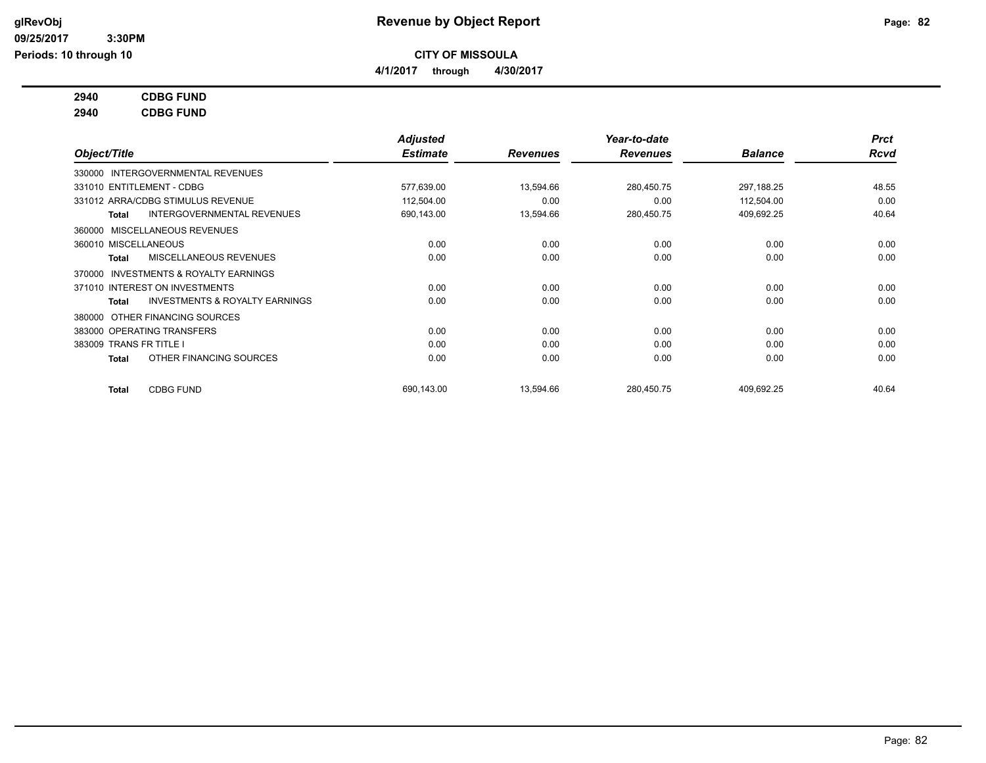**4/1/2017 through 4/30/2017**

# **2940 CDBG FUND**

**2940 CDBG FUND**

|                            |                                           | <b>Adjusted</b> |                 | Year-to-date    |                | <b>Prct</b> |
|----------------------------|-------------------------------------------|-----------------|-----------------|-----------------|----------------|-------------|
| Object/Title               |                                           | <b>Estimate</b> | <b>Revenues</b> | <b>Revenues</b> | <b>Balance</b> | <b>Rcvd</b> |
|                            | 330000 INTERGOVERNMENTAL REVENUES         |                 |                 |                 |                |             |
| 331010 ENTITLEMENT - CDBG  |                                           | 577,639.00      | 13,594.66       | 280,450.75      | 297,188.25     | 48.55       |
|                            | 331012 ARRA/CDBG STIMULUS REVENUE         | 112,504.00      | 0.00            | 0.00            | 112,504.00     | 0.00        |
| Total                      | <b>INTERGOVERNMENTAL REVENUES</b>         | 690,143.00      | 13,594.66       | 280,450.75      | 409,692.25     | 40.64       |
| 360000                     | MISCELLANEOUS REVENUES                    |                 |                 |                 |                |             |
| 360010 MISCELLANEOUS       |                                           | 0.00            | 0.00            | 0.00            | 0.00           | 0.00        |
| Total                      | MISCELLANEOUS REVENUES                    | 0.00            | 0.00            | 0.00            | 0.00           | 0.00        |
| 370000                     | <b>INVESTMENTS &amp; ROYALTY EARNINGS</b> |                 |                 |                 |                |             |
|                            | 371010 INTEREST ON INVESTMENTS            | 0.00            | 0.00            | 0.00            | 0.00           | 0.00        |
| Total                      | <b>INVESTMENTS &amp; ROYALTY EARNINGS</b> | 0.00            | 0.00            | 0.00            | 0.00           | 0.00        |
| 380000                     | OTHER FINANCING SOURCES                   |                 |                 |                 |                |             |
| 383000 OPERATING TRANSFERS |                                           | 0.00            | 0.00            | 0.00            | 0.00           | 0.00        |
| 383009 TRANS FR TITLE I    |                                           | 0.00            | 0.00            | 0.00            | 0.00           | 0.00        |
| Total                      | OTHER FINANCING SOURCES                   | 0.00            | 0.00            | 0.00            | 0.00           | 0.00        |
| <b>Total</b>               | <b>CDBG FUND</b>                          | 690,143.00      | 13,594.66       | 280,450.75      | 409,692.25     | 40.64       |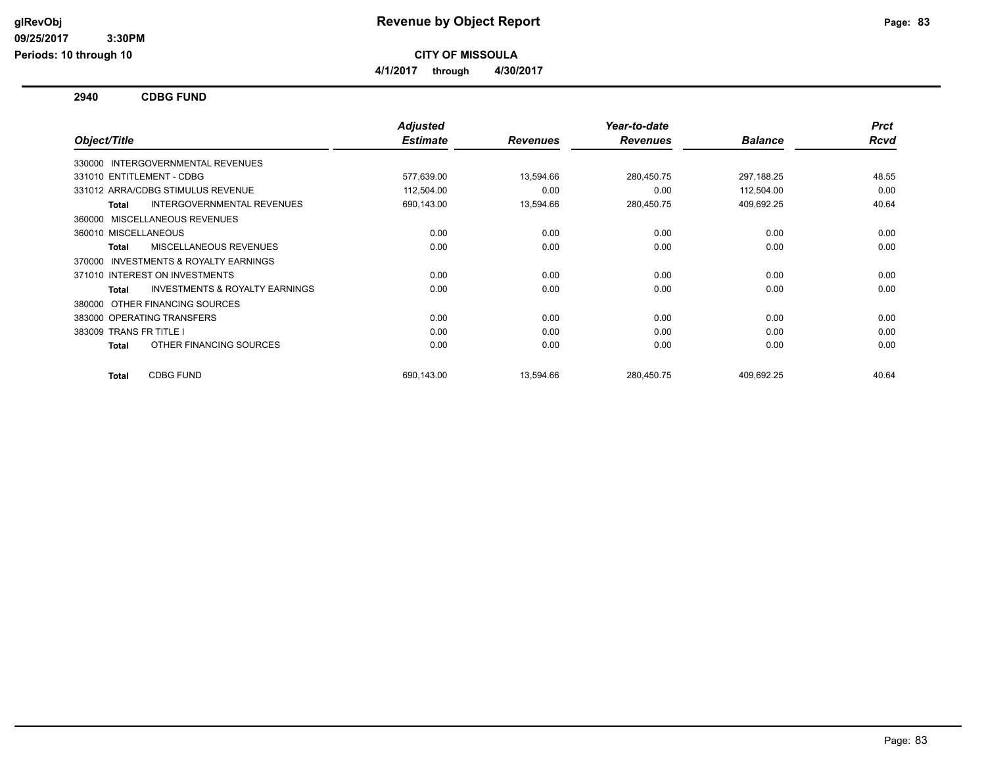**Periods: 10 through 10**

**CITY OF MISSOULA**

**4/1/2017 through 4/30/2017**

**2940 CDBG FUND**

 **3:30PM**

|                                                     | <b>Adjusted</b> |                 | Year-to-date    |                | <b>Prct</b> |
|-----------------------------------------------------|-----------------|-----------------|-----------------|----------------|-------------|
| Object/Title                                        | <b>Estimate</b> | <b>Revenues</b> | <b>Revenues</b> | <b>Balance</b> | Rcvd        |
| 330000 INTERGOVERNMENTAL REVENUES                   |                 |                 |                 |                |             |
| 331010 ENTITLEMENT - CDBG                           | 577,639.00      | 13,594.66       | 280,450.75      | 297,188.25     | 48.55       |
| 331012 ARRA/CDBG STIMULUS REVENUE                   | 112,504.00      | 0.00            | 0.00            | 112,504.00     | 0.00        |
| <b>INTERGOVERNMENTAL REVENUES</b><br><b>Total</b>   | 690,143.00      | 13,594.66       | 280,450.75      | 409,692.25     | 40.64       |
| 360000 MISCELLANEOUS REVENUES                       |                 |                 |                 |                |             |
| 360010 MISCELLANEOUS                                | 0.00            | 0.00            | 0.00            | 0.00           | 0.00        |
| <b>MISCELLANEOUS REVENUES</b><br><b>Total</b>       | 0.00            | 0.00            | 0.00            | 0.00           | 0.00        |
| <b>INVESTMENTS &amp; ROYALTY EARNINGS</b><br>370000 |                 |                 |                 |                |             |
| 371010 INTEREST ON INVESTMENTS                      | 0.00            | 0.00            | 0.00            | 0.00           | 0.00        |
| <b>INVESTMENTS &amp; ROYALTY EARNINGS</b><br>Total  | 0.00            | 0.00            | 0.00            | 0.00           | 0.00        |
| 380000 OTHER FINANCING SOURCES                      |                 |                 |                 |                |             |
| 383000 OPERATING TRANSFERS                          | 0.00            | 0.00            | 0.00            | 0.00           | 0.00        |
| 383009 TRANS FR TITLE I                             | 0.00            | 0.00            | 0.00            | 0.00           | 0.00        |
| OTHER FINANCING SOURCES<br>Total                    | 0.00            | 0.00            | 0.00            | 0.00           | 0.00        |
| <b>CDBG FUND</b><br><b>Total</b>                    | 690,143.00      | 13,594.66       | 280,450.75      | 409,692.25     | 40.64       |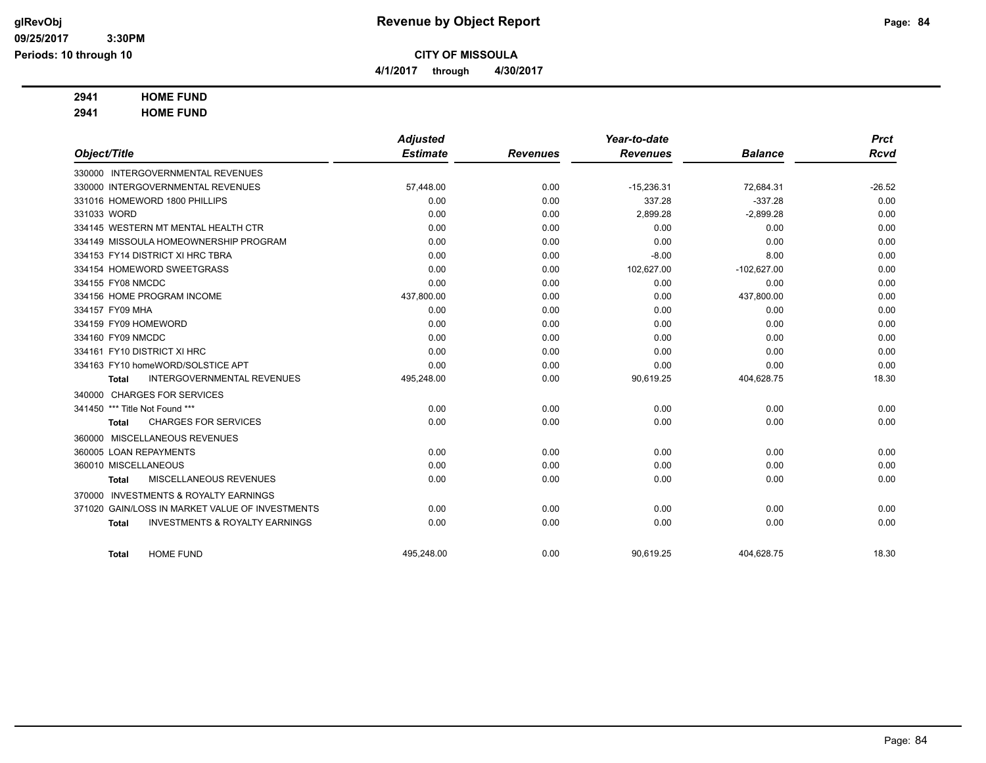**4/1/2017 through 4/30/2017**

# **2941 HOME FUND**

**2941 HOME FUND**

|                                                           | <b>Adjusted</b> |                 | Year-to-date    |                | <b>Prct</b> |
|-----------------------------------------------------------|-----------------|-----------------|-----------------|----------------|-------------|
| Object/Title                                              | <b>Estimate</b> | <b>Revenues</b> | <b>Revenues</b> | <b>Balance</b> | <b>Rcvd</b> |
| 330000 INTERGOVERNMENTAL REVENUES                         |                 |                 |                 |                |             |
| 330000 INTERGOVERNMENTAL REVENUES                         | 57,448.00       | 0.00            | $-15,236.31$    | 72,684.31      | $-26.52$    |
| 331016 HOMEWORD 1800 PHILLIPS                             | 0.00            | 0.00            | 337.28          | $-337.28$      | 0.00        |
| 331033 WORD                                               | 0.00            | 0.00            | 2,899.28        | $-2,899.28$    | 0.00        |
| 334145 WESTERN MT MENTAL HEALTH CTR                       | 0.00            | 0.00            | 0.00            | 0.00           | 0.00        |
| 334149 MISSOULA HOMEOWNERSHIP PROGRAM                     | 0.00            | 0.00            | 0.00            | 0.00           | 0.00        |
| 334153 FY14 DISTRICT XI HRC TBRA                          | 0.00            | 0.00            | $-8.00$         | 8.00           | 0.00        |
| 334154 HOMEWORD SWEETGRASS                                | 0.00            | 0.00            | 102,627.00      | $-102,627.00$  | 0.00        |
| 334155 FY08 NMCDC                                         | 0.00            | 0.00            | 0.00            | 0.00           | 0.00        |
| 334156 HOME PROGRAM INCOME                                | 437,800.00      | 0.00            | 0.00            | 437,800.00     | 0.00        |
| 334157 FY09 MHA                                           | 0.00            | 0.00            | 0.00            | 0.00           | 0.00        |
| 334159 FY09 HOMEWORD                                      | 0.00            | 0.00            | 0.00            | 0.00           | 0.00        |
| 334160 FY09 NMCDC                                         | 0.00            | 0.00            | 0.00            | 0.00           | 0.00        |
| 334161 FY10 DISTRICT XI HRC                               | 0.00            | 0.00            | 0.00            | 0.00           | 0.00        |
| 334163 FY10 homeWORD/SOLSTICE APT                         | 0.00            | 0.00            | 0.00            | 0.00           | 0.00        |
| <b>INTERGOVERNMENTAL REVENUES</b><br><b>Total</b>         | 495,248.00      | 0.00            | 90,619.25       | 404,628.75     | 18.30       |
| 340000 CHARGES FOR SERVICES                               |                 |                 |                 |                |             |
| 341450 *** Title Not Found ***                            | 0.00            | 0.00            | 0.00            | 0.00           | 0.00        |
| <b>CHARGES FOR SERVICES</b><br><b>Total</b>               | 0.00            | 0.00            | 0.00            | 0.00           | 0.00        |
| 360000 MISCELLANEOUS REVENUES                             |                 |                 |                 |                |             |
| 360005 LOAN REPAYMENTS                                    | 0.00            | 0.00            | 0.00            | 0.00           | 0.00        |
| 360010 MISCELLANEOUS                                      | 0.00            | 0.00            | 0.00            | 0.00           | 0.00        |
| MISCELLANEOUS REVENUES<br><b>Total</b>                    | 0.00            | 0.00            | 0.00            | 0.00           | 0.00        |
| 370000 INVESTMENTS & ROYALTY EARNINGS                     |                 |                 |                 |                |             |
| 371020 GAIN/LOSS IN MARKET VALUE OF INVESTMENTS           | 0.00            | 0.00            | 0.00            | 0.00           | 0.00        |
| <b>INVESTMENTS &amp; ROYALTY EARNINGS</b><br><b>Total</b> | 0.00            | 0.00            | 0.00            | 0.00           | 0.00        |
| <b>HOME FUND</b><br><b>Total</b>                          | 495.248.00      | 0.00            | 90,619.25       | 404,628.75     | 18.30       |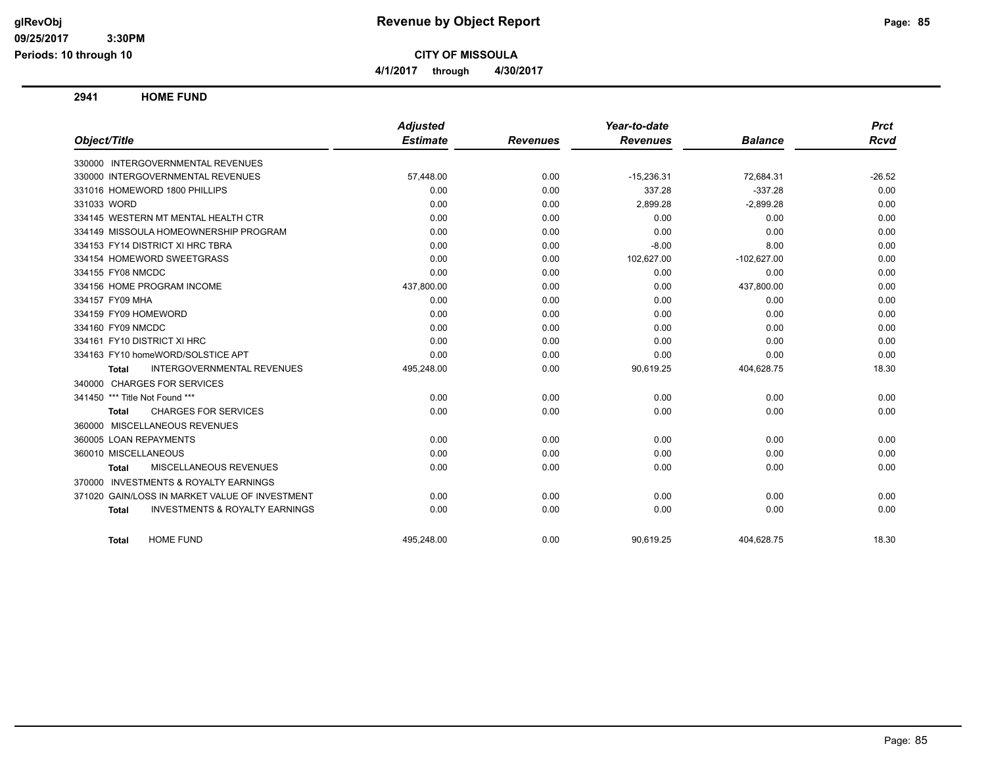**4/1/2017 through 4/30/2017**

**2941 HOME FUND**

|                                                           | <b>Adjusted</b> |                 | Year-to-date    |                | <b>Prct</b> |
|-----------------------------------------------------------|-----------------|-----------------|-----------------|----------------|-------------|
| Object/Title                                              | <b>Estimate</b> | <b>Revenues</b> | <b>Revenues</b> | <b>Balance</b> | <b>Rcvd</b> |
| 330000 INTERGOVERNMENTAL REVENUES                         |                 |                 |                 |                |             |
| 330000 INTERGOVERNMENTAL REVENUES                         | 57,448.00       | 0.00            | $-15,236.31$    | 72,684.31      | $-26.52$    |
| 331016 HOMEWORD 1800 PHILLIPS                             | 0.00            | 0.00            | 337.28          | $-337.28$      | 0.00        |
| 331033 WORD                                               | 0.00            | 0.00            | 2.899.28        | $-2.899.28$    | 0.00        |
| 334145 WESTERN MT MENTAL HEALTH CTR                       | 0.00            | 0.00            | 0.00            | 0.00           | 0.00        |
| 334149 MISSOULA HOMEOWNERSHIP PROGRAM                     | 0.00            | 0.00            | 0.00            | 0.00           | 0.00        |
| 334153 FY14 DISTRICT XI HRC TBRA                          | 0.00            | 0.00            | $-8.00$         | 8.00           | 0.00        |
| 334154 HOMEWORD SWEETGRASS                                | 0.00            | 0.00            | 102,627.00      | $-102,627.00$  | 0.00        |
| 334155 FY08 NMCDC                                         | 0.00            | 0.00            | 0.00            | 0.00           | 0.00        |
| 334156 HOME PROGRAM INCOME                                | 437,800.00      | 0.00            | 0.00            | 437,800.00     | 0.00        |
| 334157 FY09 MHA                                           | 0.00            | 0.00            | 0.00            | 0.00           | 0.00        |
| 334159 FY09 HOMEWORD                                      | 0.00            | 0.00            | 0.00            | 0.00           | 0.00        |
| 334160 FY09 NMCDC                                         | 0.00            | 0.00            | 0.00            | 0.00           | 0.00        |
| 334161 FY10 DISTRICT XI HRC                               | 0.00            | 0.00            | 0.00            | 0.00           | 0.00        |
| 334163 FY10 homeWORD/SOLSTICE APT                         | 0.00            | 0.00            | 0.00            | 0.00           | 0.00        |
| <b>INTERGOVERNMENTAL REVENUES</b><br><b>Total</b>         | 495,248.00      | 0.00            | 90,619.25       | 404,628.75     | 18.30       |
| 340000 CHARGES FOR SERVICES                               |                 |                 |                 |                |             |
| 341450 *** Title Not Found ***                            | 0.00            | 0.00            | 0.00            | 0.00           | 0.00        |
| <b>CHARGES FOR SERVICES</b><br><b>Total</b>               | 0.00            | 0.00            | 0.00            | 0.00           | 0.00        |
| 360000 MISCELLANEOUS REVENUES                             |                 |                 |                 |                |             |
| 360005 LOAN REPAYMENTS                                    | 0.00            | 0.00            | 0.00            | 0.00           | 0.00        |
| 360010 MISCELLANEOUS                                      | 0.00            | 0.00            | 0.00            | 0.00           | 0.00        |
| <b>MISCELLANEOUS REVENUES</b><br><b>Total</b>             | 0.00            | 0.00            | 0.00            | 0.00           | 0.00        |
| 370000 INVESTMENTS & ROYALTY EARNINGS                     |                 |                 |                 |                |             |
| 371020 GAIN/LOSS IN MARKET VALUE OF INVESTMENT            | 0.00            | 0.00            | 0.00            | 0.00           | 0.00        |
| <b>INVESTMENTS &amp; ROYALTY EARNINGS</b><br><b>Total</b> | 0.00            | 0.00            | 0.00            | 0.00           | 0.00        |
| <b>HOME FUND</b><br><b>Total</b>                          | 495,248.00      | 0.00            | 90,619.25       | 404,628.75     | 18.30       |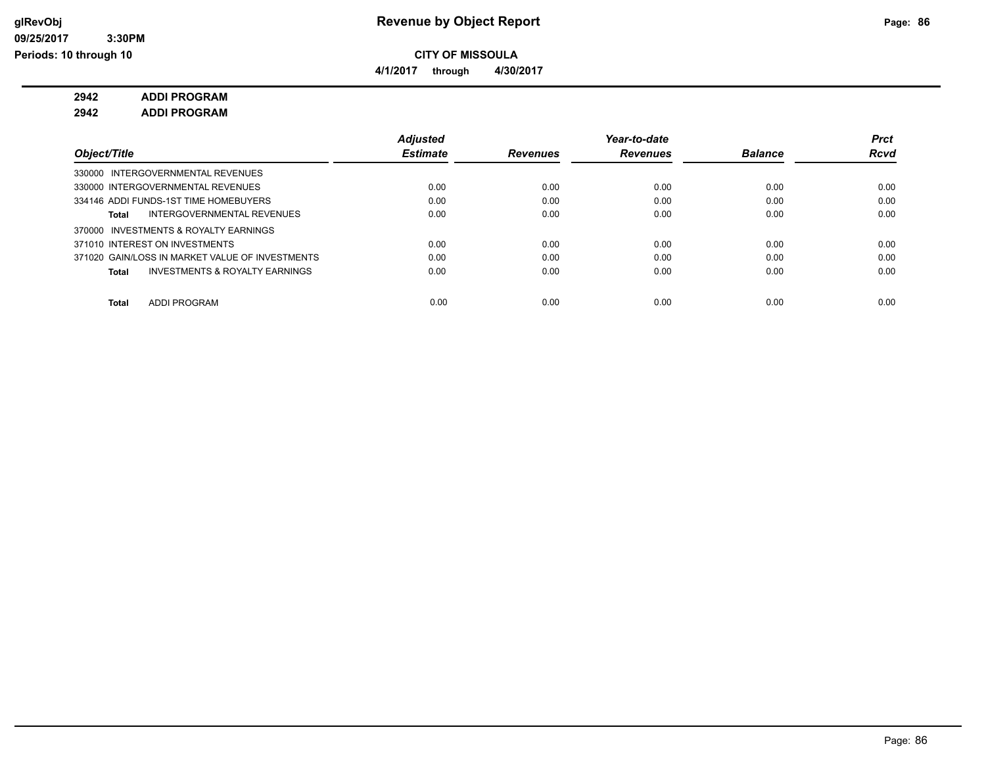**4/1/2017 through 4/30/2017**

# **2942 ADDI PROGRAM**

**2942 ADDI PROGRAM**

|                                                    | <b>Adjusted</b> |                 | Year-to-date    |                | Prct        |
|----------------------------------------------------|-----------------|-----------------|-----------------|----------------|-------------|
| Object/Title                                       | <b>Estimate</b> | <b>Revenues</b> | <b>Revenues</b> | <b>Balance</b> | <b>Rcvd</b> |
| 330000 INTERGOVERNMENTAL REVENUES                  |                 |                 |                 |                |             |
| 330000 INTERGOVERNMENTAL REVENUES                  | 0.00            | 0.00            | 0.00            | 0.00           | 0.00        |
| 334146 ADDI FUNDS-1ST TIME HOMEBUYERS              | 0.00            | 0.00            | 0.00            | 0.00           | 0.00        |
| INTERGOVERNMENTAL REVENUES<br>Total                | 0.00            | 0.00            | 0.00            | 0.00           | 0.00        |
| 370000 INVESTMENTS & ROYALTY EARNINGS              |                 |                 |                 |                |             |
| 371010 INTEREST ON INVESTMENTS                     | 0.00            | 0.00            | 0.00            | 0.00           | 0.00        |
| 371020 GAIN/LOSS IN MARKET VALUE OF INVESTMENTS    | 0.00            | 0.00            | 0.00            | 0.00           | 0.00        |
| <b>INVESTMENTS &amp; ROYALTY EARNINGS</b><br>Total | 0.00            | 0.00            | 0.00            | 0.00           | 0.00        |
| ADDI PROGRAM                                       | 0.00            | 0.00            | 0.00            | 0.00           | 0.00        |
| Total                                              |                 |                 |                 |                |             |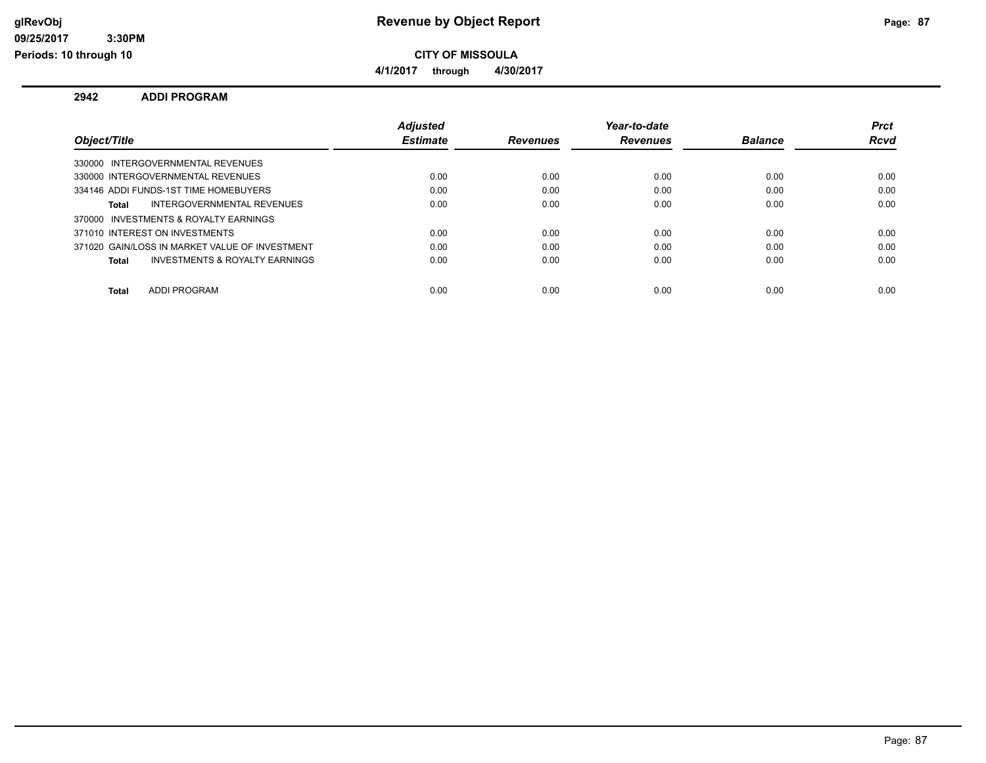**4/1/2017 through 4/30/2017**

#### **2942 ADDI PROGRAM**

|                                                | <b>Adiusted</b> |                 | Year-to-date    |                | <b>Prct</b> |
|------------------------------------------------|-----------------|-----------------|-----------------|----------------|-------------|
| Obiect/Title                                   | <b>Estimate</b> | <b>Revenues</b> | <b>Revenues</b> | <b>Balance</b> | <b>Rcvd</b> |
| 330000 INTERGOVERNMENTAL REVENUES              |                 |                 |                 |                |             |
| 330000 INTERGOVERNMENTAL REVENUES              | 0.00            | 0.00            | 0.00            | 0.00           | 0.00        |
| 334146 ADDI FUNDS-1ST TIME HOMEBUYERS          | 0.00            | 0.00            | 0.00            | 0.00           | 0.00        |
| INTERGOVERNMENTAL REVENUES<br>Total            | 0.00            | 0.00            | 0.00            | 0.00           | 0.00        |
| 370000 INVESTMENTS & ROYALTY EARNINGS          |                 |                 |                 |                |             |
| 371010 INTEREST ON INVESTMENTS                 | 0.00            | 0.00            | 0.00            | 0.00           | 0.00        |
| 371020 GAIN/LOSS IN MARKET VALUE OF INVESTMENT | 0.00            | 0.00            | 0.00            | 0.00           | 0.00        |
| INVESTMENTS & ROYALTY EARNINGS<br>Total        | 0.00            | 0.00            | 0.00            | 0.00           | 0.00        |
| ADDI PROGRAM<br><b>Total</b>                   | 0.00            | 0.00            | 0.00            | 0.00           | 0.00        |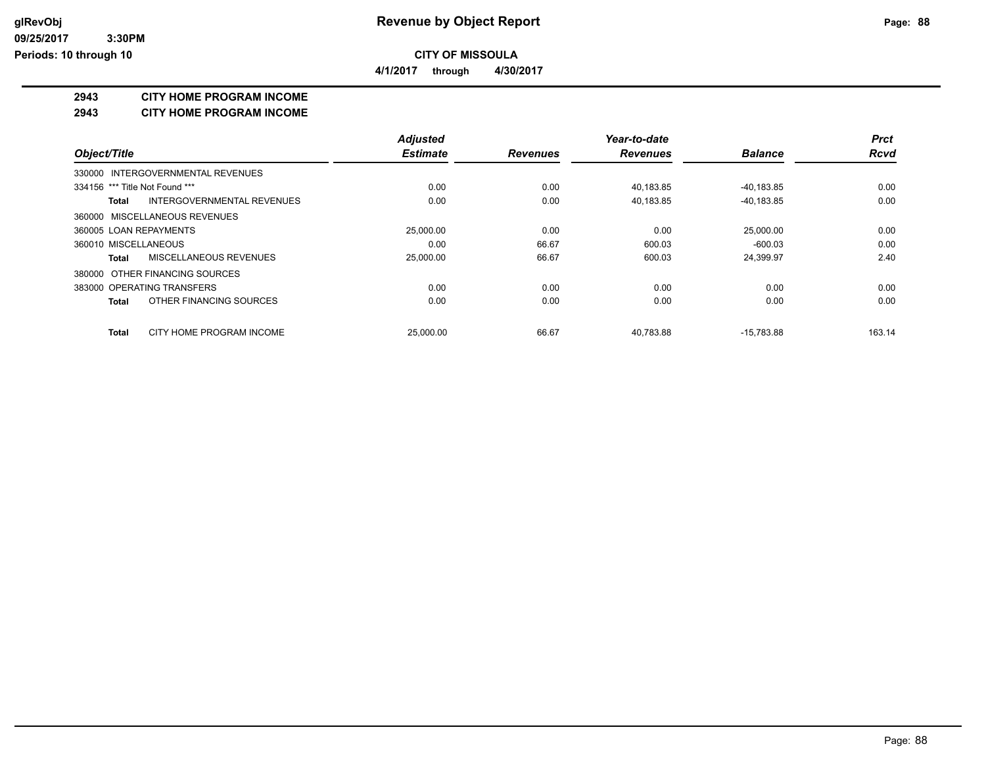**4/1/2017 through 4/30/2017**

#### **2943 CITY HOME PROGRAM INCOME**

#### **2943 CITY HOME PROGRAM INCOME**

|                                            | <b>Adjusted</b> |                 | Year-to-date    |                | <b>Prct</b> |
|--------------------------------------------|-----------------|-----------------|-----------------|----------------|-------------|
| Object/Title                               | <b>Estimate</b> | <b>Revenues</b> | <b>Revenues</b> | <b>Balance</b> | <b>Rcvd</b> |
| 330000 INTERGOVERNMENTAL REVENUES          |                 |                 |                 |                |             |
| 334156 *** Title Not Found ***             | 0.00            | 0.00            | 40,183.85       | $-40,183.85$   | 0.00        |
| <b>INTERGOVERNMENTAL REVENUES</b><br>Total | 0.00            | 0.00            | 40,183.85       | $-40,183.85$   | 0.00        |
| 360000 MISCELLANEOUS REVENUES              |                 |                 |                 |                |             |
| 360005 LOAN REPAYMENTS                     | 25,000.00       | 0.00            | 0.00            | 25.000.00      | 0.00        |
| 360010 MISCELLANEOUS                       | 0.00            | 66.67           | 600.03          | $-600.03$      | 0.00        |
| MISCELLANEOUS REVENUES<br>Total            | 25,000.00       | 66.67           | 600.03          | 24,399.97      | 2.40        |
| 380000 OTHER FINANCING SOURCES             |                 |                 |                 |                |             |
| 383000 OPERATING TRANSFERS                 | 0.00            | 0.00            | 0.00            | 0.00           | 0.00        |
| OTHER FINANCING SOURCES<br>Total           | 0.00            | 0.00            | 0.00            | 0.00           | 0.00        |
| CITY HOME PROGRAM INCOME<br>Total          | 25.000.00       | 66.67           | 40.783.88       | $-15.783.88$   | 163.14      |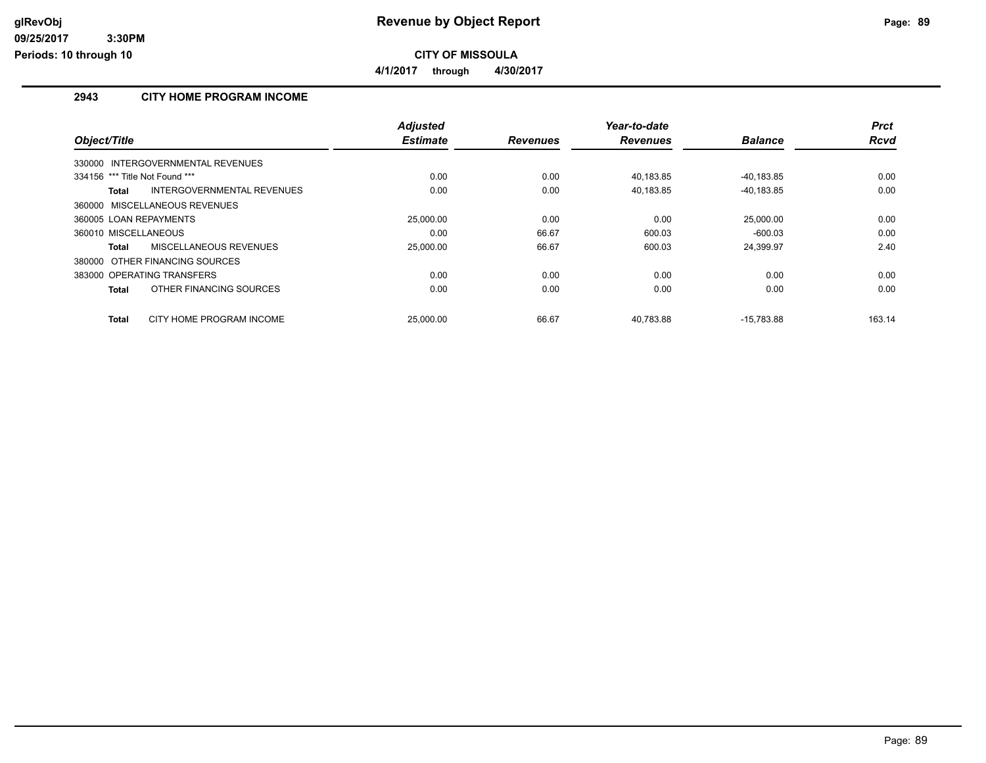**4/1/2017 through 4/30/2017**

# **2943 CITY HOME PROGRAM INCOME**

|                                          | <b>Adjusted</b> |                 | Year-to-date    |                | <b>Prct</b> |
|------------------------------------------|-----------------|-----------------|-----------------|----------------|-------------|
| Object/Title                             | <b>Estimate</b> | <b>Revenues</b> | <b>Revenues</b> | <b>Balance</b> | <b>Rcvd</b> |
| 330000 INTERGOVERNMENTAL REVENUES        |                 |                 |                 |                |             |
| 334156 *** Title Not Found ***           | 0.00            | 0.00            | 40,183.85       | $-40,183.85$   | 0.00        |
| INTERGOVERNMENTAL REVENUES<br>Total      | 0.00            | 0.00            | 40,183.85       | $-40,183.85$   | 0.00        |
| 360000 MISCELLANEOUS REVENUES            |                 |                 |                 |                |             |
| 360005 LOAN REPAYMENTS                   | 25,000.00       | 0.00            | 0.00            | 25.000.00      | 0.00        |
| 360010 MISCELLANEOUS                     | 0.00            | 66.67           | 600.03          | $-600.03$      | 0.00        |
| MISCELLANEOUS REVENUES<br>Total          | 25,000.00       | 66.67           | 600.03          | 24.399.97      | 2.40        |
| 380000 OTHER FINANCING SOURCES           |                 |                 |                 |                |             |
| 383000 OPERATING TRANSFERS               | 0.00            | 0.00            | 0.00            | 0.00           | 0.00        |
| OTHER FINANCING SOURCES<br><b>Total</b>  | 0.00            | 0.00            | 0.00            | 0.00           | 0.00        |
| CITY HOME PROGRAM INCOME<br><b>Total</b> | 25.000.00       | 66.67           | 40.783.88       | $-15.783.88$   | 163.14      |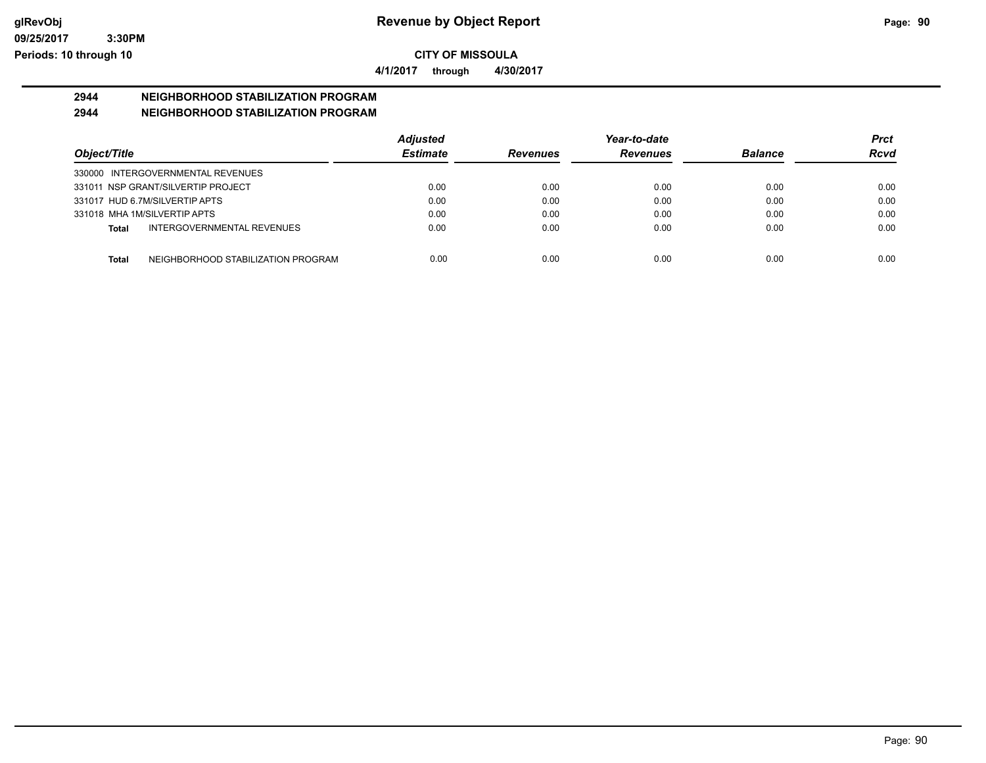**4/1/2017 through 4/30/2017**

# **2944 NEIGHBORHOOD STABILIZATION PROGRAM**

# **2944 NEIGHBORHOOD STABILIZATION PROGRAM**

|                                                    | <b>Adjusted</b> |                 | Year-to-date    |                | Prct |
|----------------------------------------------------|-----------------|-----------------|-----------------|----------------|------|
| Object/Title                                       | <b>Estimate</b> | <b>Revenues</b> | <b>Revenues</b> | <b>Balance</b> | Rcvd |
| 330000 INTERGOVERNMENTAL REVENUES                  |                 |                 |                 |                |      |
| 331011 NSP GRANT/SILVERTIP PROJECT                 | 0.00            | 0.00            | 0.00            | 0.00           | 0.00 |
| 331017 HUD 6.7M/SILVERTIP APTS                     | 0.00            | 0.00            | 0.00            | 0.00           | 0.00 |
| 331018 MHA 1M/SILVERTIP APTS                       | 0.00            | 0.00            | 0.00            | 0.00           | 0.00 |
| INTERGOVERNMENTAL REVENUES<br>Total                | 0.00            | 0.00            | 0.00            | 0.00           | 0.00 |
| NEIGHBORHOOD STABILIZATION PROGRAM<br><b>Total</b> | 0.00            | 0.00            | 0.00            | 0.00           | 0.00 |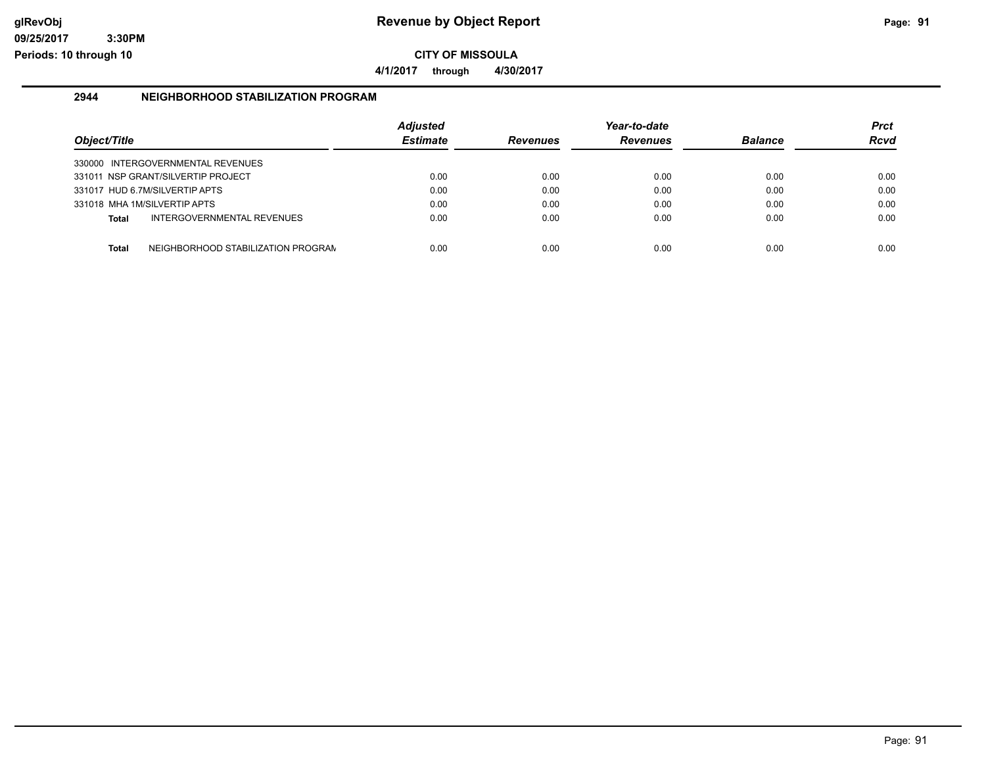**4/1/2017 through 4/30/2017**

#### **2944 NEIGHBORHOOD STABILIZATION PROGRAM**

| Obiect/Title |                                    | <b>Adjusted</b><br><b>Estimate</b> | <b>Revenues</b> | Year-to-date<br><b>Revenues</b> | <b>Balance</b> | <b>Prct</b><br><b>Rcvd</b> |
|--------------|------------------------------------|------------------------------------|-----------------|---------------------------------|----------------|----------------------------|
|              | 330000 INTERGOVERNMENTAL REVENUES  |                                    |                 |                                 |                |                            |
|              | 331011 NSP GRANT/SILVERTIP PROJECT | 0.00                               | 0.00            | 0.00                            | 0.00           | 0.00                       |
|              | 331017 HUD 6.7M/SILVERTIP APTS     | 0.00                               | 0.00            | 0.00                            | 0.00           | 0.00                       |
|              | 331018 MHA 1M/SILVERTIP APTS       | 0.00                               | 0.00            | 0.00                            | 0.00           | 0.00                       |
| Total        | INTERGOVERNMENTAL REVENUES         | 0.00                               | 0.00            | 0.00                            | 0.00           | 0.00                       |
| <b>Total</b> | NEIGHBORHOOD STABILIZATION PROGRAM | 0.00                               | 0.00            | 0.00                            | 0.00           | 0.00                       |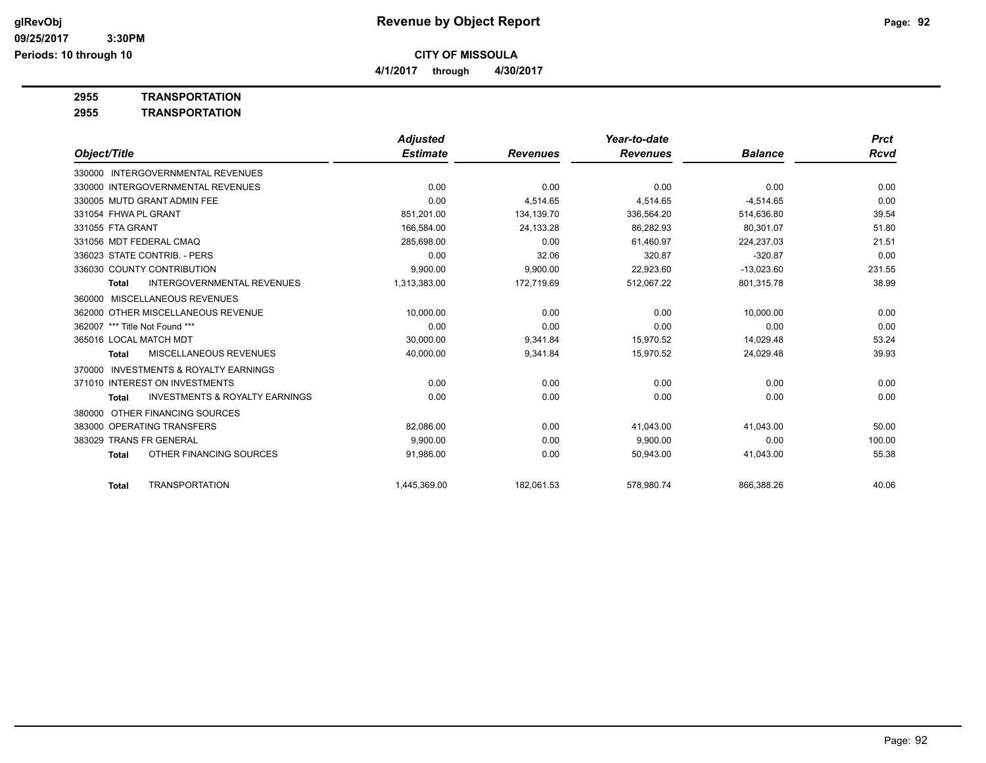**4/1/2017 through 4/30/2017**

**2955 TRANSPORTATION**

**2955 TRANSPORTATION**

|                                                           | <b>Adjusted</b> |                 | Year-to-date    |                | <b>Prct</b> |
|-----------------------------------------------------------|-----------------|-----------------|-----------------|----------------|-------------|
| Object/Title                                              | <b>Estimate</b> | <b>Revenues</b> | <b>Revenues</b> | <b>Balance</b> | Rcvd        |
| 330000 INTERGOVERNMENTAL REVENUES                         |                 |                 |                 |                |             |
| 330000 INTERGOVERNMENTAL REVENUES                         | 0.00            | 0.00            | 0.00            | 0.00           | 0.00        |
| 330005 MUTD GRANT ADMIN FEE                               | 0.00            | 4,514.65        | 4,514.65        | $-4,514.65$    | 0.00        |
| 331054 FHWA PL GRANT                                      | 851,201.00      | 134,139.70      | 336,564.20      | 514,636.80     | 39.54       |
| 331055 FTA GRANT                                          | 166,584.00      | 24,133.28       | 86,282.93       | 80,301.07      | 51.80       |
| 331056 MDT FEDERAL CMAQ                                   | 285,698.00      | 0.00            | 61.460.97       | 224.237.03     | 21.51       |
| 336023 STATE CONTRIB. - PERS                              | 0.00            | 32.06           | 320.87          | $-320.87$      | 0.00        |
| 336030 COUNTY CONTRIBUTION                                | 9,900.00        | 9,900.00        | 22,923.60       | $-13,023.60$   | 231.55      |
| <b>INTERGOVERNMENTAL REVENUES</b><br><b>Total</b>         | 1,313,383.00    | 172,719.69      | 512,067.22      | 801,315.78     | 38.99       |
| <b>MISCELLANEOUS REVENUES</b><br>360000                   |                 |                 |                 |                |             |
| 362000 OTHER MISCELLANEOUS REVENUE                        | 10,000.00       | 0.00            | 0.00            | 10,000.00      | 0.00        |
| 362007 *** Title Not Found ***                            | 0.00            | 0.00            | 0.00            | 0.00           | 0.00        |
| 365016 LOCAL MATCH MDT                                    | 30,000.00       | 9,341.84        | 15.970.52       | 14,029.48      | 53.24       |
| MISCELLANEOUS REVENUES<br><b>Total</b>                    | 40,000.00       | 9,341.84        | 15,970.52       | 24,029.48      | 39.93       |
| <b>INVESTMENTS &amp; ROYALTY EARNINGS</b><br>370000       |                 |                 |                 |                |             |
| 371010 INTEREST ON INVESTMENTS                            | 0.00            | 0.00            | 0.00            | 0.00           | 0.00        |
| <b>INVESTMENTS &amp; ROYALTY EARNINGS</b><br><b>Total</b> | 0.00            | 0.00            | 0.00            | 0.00           | 0.00        |
| OTHER FINANCING SOURCES<br>380000                         |                 |                 |                 |                |             |
| 383000 OPERATING TRANSFERS                                | 82.086.00       | 0.00            | 41.043.00       | 41,043.00      | 50.00       |
| 383029 TRANS FR GENERAL                                   | 9.900.00        | 0.00            | 9.900.00        | 0.00           | 100.00      |
| OTHER FINANCING SOURCES<br><b>Total</b>                   | 91,986.00       | 0.00            | 50,943.00       | 41,043.00      | 55.38       |
| <b>TRANSPORTATION</b><br><b>Total</b>                     | 1,445,369.00    | 182,061.53      | 578,980.74      | 866,388.26     | 40.06       |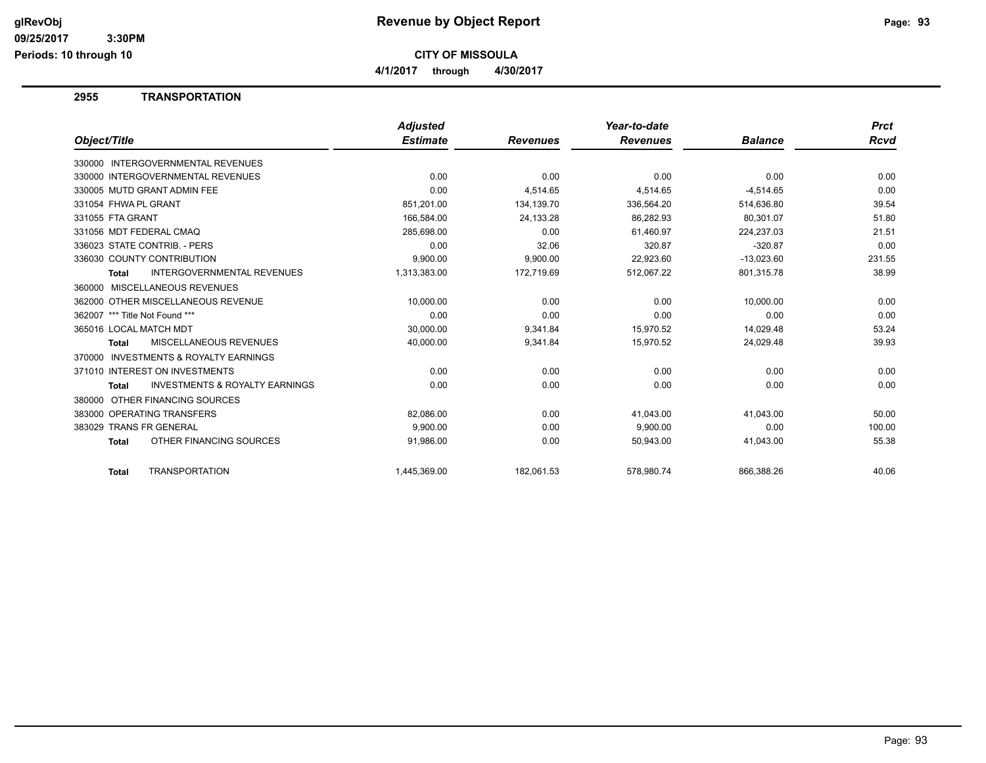**4/1/2017 through 4/30/2017**

#### **2955 TRANSPORTATION**

|                                                           | <b>Adjusted</b> |                 | Year-to-date    |                | <b>Prct</b> |
|-----------------------------------------------------------|-----------------|-----------------|-----------------|----------------|-------------|
| Object/Title                                              | <b>Estimate</b> | <b>Revenues</b> | <b>Revenues</b> | <b>Balance</b> | Rcvd        |
| 330000 INTERGOVERNMENTAL REVENUES                         |                 |                 |                 |                |             |
| 330000 INTERGOVERNMENTAL REVENUES                         | 0.00            | 0.00            | 0.00            | 0.00           | 0.00        |
| 330005 MUTD GRANT ADMIN FEE                               | 0.00            | 4,514.65        | 4,514.65        | $-4,514.65$    | 0.00        |
| 331054 FHWA PL GRANT                                      | 851,201.00      | 134,139.70      | 336,564.20      | 514,636.80     | 39.54       |
| 331055 FTA GRANT                                          | 166,584.00      | 24,133.28       | 86,282.93       | 80,301.07      | 51.80       |
| 331056 MDT FEDERAL CMAQ                                   | 285,698.00      | 0.00            | 61,460.97       | 224,237.03     | 21.51       |
| 336023 STATE CONTRIB. - PERS                              | 0.00            | 32.06           | 320.87          | $-320.87$      | 0.00        |
| 336030 COUNTY CONTRIBUTION                                | 9,900.00        | 9,900.00        | 22,923.60       | $-13,023.60$   | 231.55      |
| <b>INTERGOVERNMENTAL REVENUES</b><br><b>Total</b>         | 1,313,383.00    | 172,719.69      | 512,067.22      | 801,315.78     | 38.99       |
| 360000 MISCELLANEOUS REVENUES                             |                 |                 |                 |                |             |
| 362000 OTHER MISCELLANEOUS REVENUE                        | 10,000.00       | 0.00            | 0.00            | 10,000.00      | 0.00        |
| 362007 *** Title Not Found ***                            | 0.00            | 0.00            | 0.00            | 0.00           | 0.00        |
| 365016 LOCAL MATCH MDT                                    | 30,000.00       | 9,341.84        | 15,970.52       | 14,029.48      | 53.24       |
| MISCELLANEOUS REVENUES<br><b>Total</b>                    | 40,000.00       | 9,341.84        | 15,970.52       | 24,029.48      | 39.93       |
| 370000 INVESTMENTS & ROYALTY EARNINGS                     |                 |                 |                 |                |             |
| 371010 INTEREST ON INVESTMENTS                            | 0.00            | 0.00            | 0.00            | 0.00           | 0.00        |
| <b>INVESTMENTS &amp; ROYALTY EARNINGS</b><br><b>Total</b> | 0.00            | 0.00            | 0.00            | 0.00           | 0.00        |
| 380000 OTHER FINANCING SOURCES                            |                 |                 |                 |                |             |
| 383000 OPERATING TRANSFERS                                | 82,086.00       | 0.00            | 41,043.00       | 41,043.00      | 50.00       |
| 383029 TRANS FR GENERAL                                   | 9,900.00        | 0.00            | 9,900.00        | 0.00           | 100.00      |
| OTHER FINANCING SOURCES<br><b>Total</b>                   | 91,986.00       | 0.00            | 50,943.00       | 41,043.00      | 55.38       |
| <b>TRANSPORTATION</b><br><b>Total</b>                     | 1.445.369.00    | 182.061.53      | 578.980.74      | 866.388.26     | 40.06       |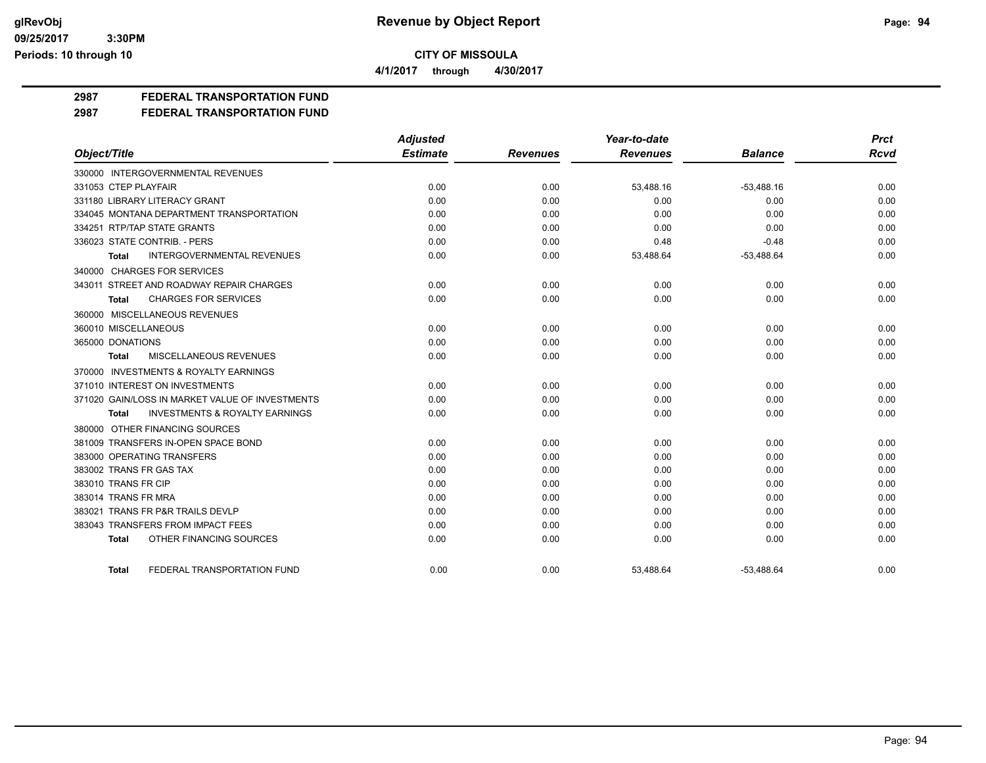**4/1/2017 through 4/30/2017**

**2987 FEDERAL TRANSPORTATION FUND**

**2987 FEDERAL TRANSPORTATION FUND**

|                                                           | <b>Adjusted</b> |                 | Year-to-date    |                | <b>Prct</b> |
|-----------------------------------------------------------|-----------------|-----------------|-----------------|----------------|-------------|
| Object/Title                                              | <b>Estimate</b> | <b>Revenues</b> | <b>Revenues</b> | <b>Balance</b> | <b>Rcvd</b> |
| 330000 INTERGOVERNMENTAL REVENUES                         |                 |                 |                 |                |             |
| 331053 CTEP PLAYFAIR                                      | 0.00            | 0.00            | 53,488.16       | $-53,488.16$   | 0.00        |
| 331180 LIBRARY LITERACY GRANT                             | 0.00            | 0.00            | 0.00            | 0.00           | 0.00        |
| 334045 MONTANA DEPARTMENT TRANSPORTATION                  | 0.00            | 0.00            | 0.00            | 0.00           | 0.00        |
| 334251 RTP/TAP STATE GRANTS                               | 0.00            | 0.00            | 0.00            | 0.00           | 0.00        |
| 336023 STATE CONTRIB. - PERS                              | 0.00            | 0.00            | 0.48            | $-0.48$        | 0.00        |
| <b>INTERGOVERNMENTAL REVENUES</b><br><b>Total</b>         | 0.00            | 0.00            | 53,488.64       | $-53,488.64$   | 0.00        |
| 340000 CHARGES FOR SERVICES                               |                 |                 |                 |                |             |
| 343011 STREET AND ROADWAY REPAIR CHARGES                  | 0.00            | 0.00            | 0.00            | 0.00           | 0.00        |
| <b>CHARGES FOR SERVICES</b><br>Total                      | 0.00            | 0.00            | 0.00            | 0.00           | 0.00        |
| 360000 MISCELLANEOUS REVENUES                             |                 |                 |                 |                |             |
| 360010 MISCELLANEOUS                                      | 0.00            | 0.00            | 0.00            | 0.00           | 0.00        |
| 365000 DONATIONS                                          | 0.00            | 0.00            | 0.00            | 0.00           | 0.00        |
| MISCELLANEOUS REVENUES<br>Total                           | 0.00            | 0.00            | 0.00            | 0.00           | 0.00        |
| 370000 INVESTMENTS & ROYALTY EARNINGS                     |                 |                 |                 |                |             |
| 371010 INTEREST ON INVESTMENTS                            | 0.00            | 0.00            | 0.00            | 0.00           | 0.00        |
| 371020 GAIN/LOSS IN MARKET VALUE OF INVESTMENTS           | 0.00            | 0.00            | 0.00            | 0.00           | 0.00        |
| <b>INVESTMENTS &amp; ROYALTY EARNINGS</b><br><b>Total</b> | 0.00            | 0.00            | 0.00            | 0.00           | 0.00        |
| 380000 OTHER FINANCING SOURCES                            |                 |                 |                 |                |             |
| 381009 TRANSFERS IN-OPEN SPACE BOND                       | 0.00            | 0.00            | 0.00            | 0.00           | 0.00        |
| 383000 OPERATING TRANSFERS                                | 0.00            | 0.00            | 0.00            | 0.00           | 0.00        |
| 383002 TRANS FR GAS TAX                                   | 0.00            | 0.00            | 0.00            | 0.00           | 0.00        |
| 383010 TRANS FR CIP                                       | 0.00            | 0.00            | 0.00            | 0.00           | 0.00        |
| 383014 TRANS FR MRA                                       | 0.00            | 0.00            | 0.00            | 0.00           | 0.00        |
| 383021 TRANS FR P&R TRAILS DEVLP                          | 0.00            | 0.00            | 0.00            | 0.00           | 0.00        |
| 383043 TRANSFERS FROM IMPACT FEES                         | 0.00            | 0.00            | 0.00            | 0.00           | 0.00        |
| OTHER FINANCING SOURCES<br><b>Total</b>                   | 0.00            | 0.00            | 0.00            | 0.00           | 0.00        |
| FEDERAL TRANSPORTATION FUND<br>Total                      | 0.00            | 0.00            | 53,488.64       | $-53,488.64$   | 0.00        |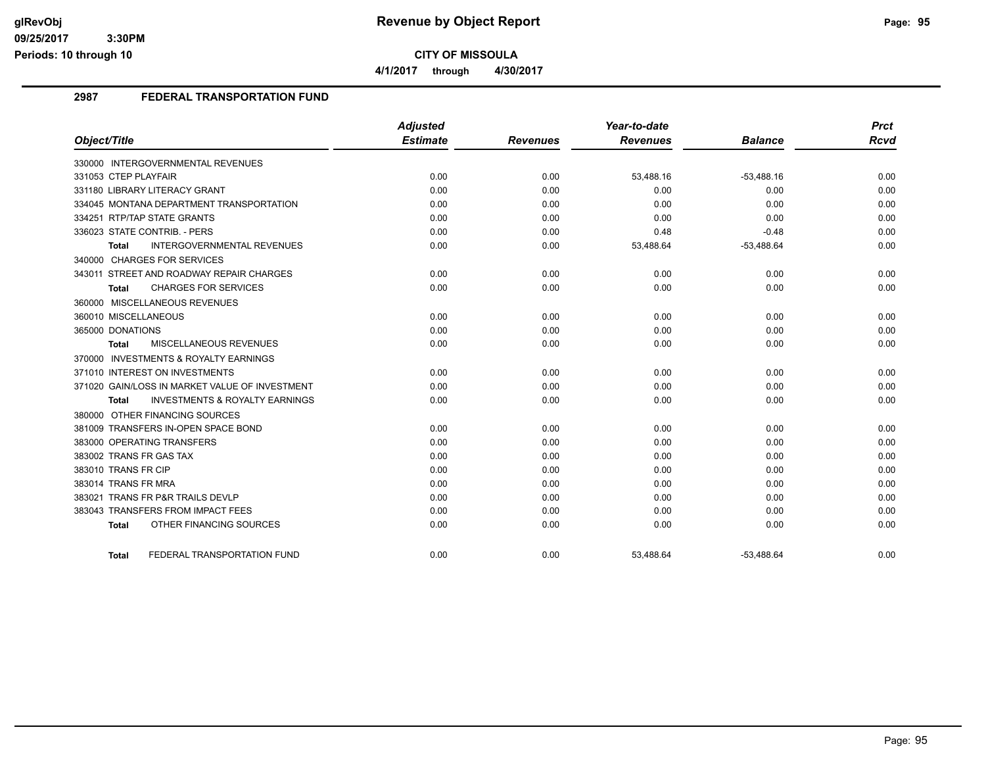**4/1/2017 through 4/30/2017**

## **2987 FEDERAL TRANSPORTATION FUND**

|                                                           | <b>Adjusted</b> |                 | Year-to-date    |                | <b>Prct</b> |
|-----------------------------------------------------------|-----------------|-----------------|-----------------|----------------|-------------|
| Object/Title                                              | <b>Estimate</b> | <b>Revenues</b> | <b>Revenues</b> | <b>Balance</b> | <b>Rcvd</b> |
| 330000 INTERGOVERNMENTAL REVENUES                         |                 |                 |                 |                |             |
| 331053 CTEP PLAYFAIR                                      | 0.00            | 0.00            | 53,488.16       | $-53,488.16$   | 0.00        |
| 331180 LIBRARY LITERACY GRANT                             | 0.00            | 0.00            | 0.00            | 0.00           | 0.00        |
| 334045 MONTANA DEPARTMENT TRANSPORTATION                  | 0.00            | 0.00            | 0.00            | 0.00           | 0.00        |
| 334251 RTP/TAP STATE GRANTS                               | 0.00            | 0.00            | 0.00            | 0.00           | 0.00        |
| 336023 STATE CONTRIB. - PERS                              | 0.00            | 0.00            | 0.48            | $-0.48$        | 0.00        |
| <b>INTERGOVERNMENTAL REVENUES</b><br><b>Total</b>         | 0.00            | 0.00            | 53,488.64       | $-53,488.64$   | 0.00        |
| 340000 CHARGES FOR SERVICES                               |                 |                 |                 |                |             |
| 343011 STREET AND ROADWAY REPAIR CHARGES                  | 0.00            | 0.00            | 0.00            | 0.00           | 0.00        |
| <b>CHARGES FOR SERVICES</b><br><b>Total</b>               | 0.00            | 0.00            | 0.00            | 0.00           | 0.00        |
| 360000 MISCELLANEOUS REVENUES                             |                 |                 |                 |                |             |
| 360010 MISCELLANEOUS                                      | 0.00            | 0.00            | 0.00            | 0.00           | 0.00        |
| 365000 DONATIONS                                          | 0.00            | 0.00            | 0.00            | 0.00           | 0.00        |
| <b>MISCELLANEOUS REVENUES</b><br><b>Total</b>             | 0.00            | 0.00            | 0.00            | 0.00           | 0.00        |
| 370000 INVESTMENTS & ROYALTY EARNINGS                     |                 |                 |                 |                |             |
| 371010 INTEREST ON INVESTMENTS                            | 0.00            | 0.00            | 0.00            | 0.00           | 0.00        |
| 371020 GAIN/LOSS IN MARKET VALUE OF INVESTMENT            | 0.00            | 0.00            | 0.00            | 0.00           | 0.00        |
| <b>INVESTMENTS &amp; ROYALTY EARNINGS</b><br><b>Total</b> | 0.00            | 0.00            | 0.00            | 0.00           | 0.00        |
| 380000 OTHER FINANCING SOURCES                            |                 |                 |                 |                |             |
| 381009 TRANSFERS IN-OPEN SPACE BOND                       | 0.00            | 0.00            | 0.00            | 0.00           | 0.00        |
| 383000 OPERATING TRANSFERS                                | 0.00            | 0.00            | 0.00            | 0.00           | 0.00        |
| 383002 TRANS FR GAS TAX                                   | 0.00            | 0.00            | 0.00            | 0.00           | 0.00        |
| 383010 TRANS FR CIP                                       | 0.00            | 0.00            | 0.00            | 0.00           | 0.00        |
| 383014 TRANS FR MRA                                       | 0.00            | 0.00            | 0.00            | 0.00           | 0.00        |
| 383021 TRANS FR P&R TRAILS DEVLP                          | 0.00            | 0.00            | 0.00            | 0.00           | 0.00        |
| 383043 TRANSFERS FROM IMPACT FEES                         | 0.00            | 0.00            | 0.00            | 0.00           | 0.00        |
| OTHER FINANCING SOURCES<br><b>Total</b>                   | 0.00            | 0.00            | 0.00            | 0.00           | 0.00        |
| FEDERAL TRANSPORTATION FUND<br><b>Total</b>               | 0.00            | 0.00            | 53,488.64       | $-53,488.64$   | 0.00        |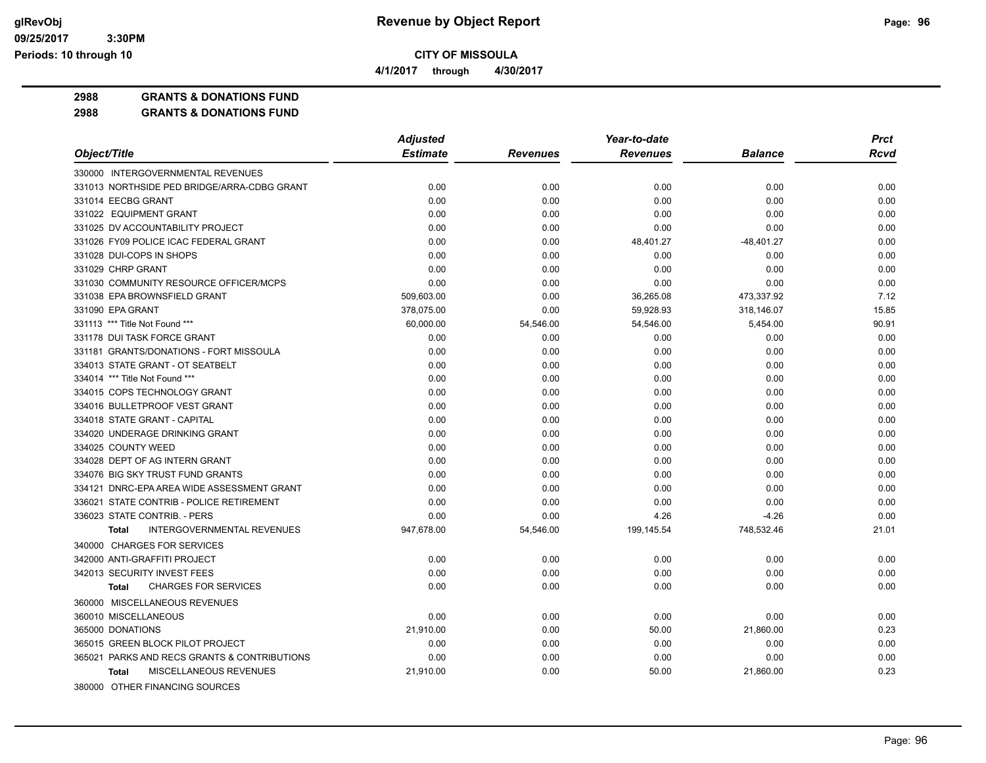**4/1/2017 through 4/30/2017**

**2988 GRANTS & DONATIONS FUND**

| Object/Title                                      | <b>Adjusted</b> |                 | Year-to-date    |                | <b>Prct</b> |
|---------------------------------------------------|-----------------|-----------------|-----------------|----------------|-------------|
|                                                   | <b>Estimate</b> | <b>Revenues</b> | <b>Revenues</b> | <b>Balance</b> | Rcvd        |
| 330000 INTERGOVERNMENTAL REVENUES                 |                 |                 |                 |                |             |
| 331013 NORTHSIDE PED BRIDGE/ARRA-CDBG GRANT       | 0.00            | 0.00            | 0.00            | 0.00           | 0.00        |
| 331014 EECBG GRANT                                | 0.00            | 0.00            | 0.00            | 0.00           | 0.00        |
| 331022 EQUIPMENT GRANT                            | 0.00            | 0.00            | 0.00            | 0.00           | 0.00        |
| 331025 DV ACCOUNTABILITY PROJECT                  | 0.00            | 0.00            | 0.00            | 0.00           | 0.00        |
| 331026 FY09 POLICE ICAC FEDERAL GRANT             | 0.00            | 0.00            | 48,401.27       | $-48,401.27$   | 0.00        |
| 331028 DUI-COPS IN SHOPS                          | 0.00            | 0.00            | 0.00            | 0.00           | 0.00        |
| 331029 CHRP GRANT                                 | 0.00            | 0.00            | 0.00            | 0.00           | 0.00        |
| 331030 COMMUNITY RESOURCE OFFICER/MCPS            | 0.00            | 0.00            | 0.00            | 0.00           | 0.00        |
| 331038 EPA BROWNSFIELD GRANT                      | 509,603.00      | 0.00            | 36,265.08       | 473,337.92     | 7.12        |
| 331090 EPA GRANT                                  | 378,075.00      | 0.00            | 59,928.93       | 318,146.07     | 15.85       |
| 331113 *** Title Not Found ***                    | 60,000.00       | 54,546.00       | 54,546.00       | 5,454.00       | 90.91       |
| 331178 DUI TASK FORCE GRANT                       | 0.00            | 0.00            | 0.00            | 0.00           | 0.00        |
| 331181 GRANTS/DONATIONS - FORT MISSOULA           | 0.00            | 0.00            | 0.00            | 0.00           | 0.00        |
| 334013 STATE GRANT - OT SEATBELT                  | 0.00            | 0.00            | 0.00            | 0.00           | 0.00        |
| 334014 *** Title Not Found ***                    | 0.00            | 0.00            | 0.00            | 0.00           | 0.00        |
| 334015 COPS TECHNOLOGY GRANT                      | 0.00            | 0.00            | 0.00            | 0.00           | 0.00        |
| 334016 BULLETPROOF VEST GRANT                     | 0.00            | 0.00            | 0.00            | 0.00           | 0.00        |
| 334018 STATE GRANT - CAPITAL                      | 0.00            | 0.00            | 0.00            | 0.00           | 0.00        |
| 334020 UNDERAGE DRINKING GRANT                    | 0.00            | 0.00            | 0.00            | 0.00           | 0.00        |
| 334025 COUNTY WEED                                | 0.00            | 0.00            | 0.00            | 0.00           | 0.00        |
| 334028 DEPT OF AG INTERN GRANT                    | 0.00            | 0.00            | 0.00            | 0.00           | 0.00        |
| 334076 BIG SKY TRUST FUND GRANTS                  | 0.00            | 0.00            | 0.00            | 0.00           | 0.00        |
| 334121 DNRC-EPA AREA WIDE ASSESSMENT GRANT        | 0.00            | 0.00            | 0.00            | 0.00           | 0.00        |
| 336021 STATE CONTRIB - POLICE RETIREMENT          | 0.00            | 0.00            | 0.00            | 0.00           | 0.00        |
| 336023 STATE CONTRIB. - PERS                      | 0.00            | 0.00            | 4.26            | $-4.26$        | 0.00        |
| <b>INTERGOVERNMENTAL REVENUES</b><br><b>Total</b> | 947,678.00      | 54,546.00       | 199,145.54      | 748,532.46     | 21.01       |
| 340000 CHARGES FOR SERVICES                       |                 |                 |                 |                |             |
| 342000 ANTI-GRAFFITI PROJECT                      | 0.00            | 0.00            | 0.00            | 0.00           | 0.00        |
| 342013 SECURITY INVEST FEES                       | 0.00            | 0.00            | 0.00            | 0.00           | 0.00        |
| <b>CHARGES FOR SERVICES</b><br><b>Total</b>       | 0.00            | 0.00            | 0.00            | 0.00           | 0.00        |
| 360000 MISCELLANEOUS REVENUES                     |                 |                 |                 |                |             |
| 360010 MISCELLANEOUS                              | 0.00            | 0.00            | 0.00            | 0.00           | 0.00        |
| 365000 DONATIONS                                  | 21,910.00       | 0.00            | 50.00           | 21,860.00      | 0.23        |
| 365015 GREEN BLOCK PILOT PROJECT                  | 0.00            | 0.00            | 0.00            | 0.00           | 0.00        |
| 365021 PARKS AND RECS GRANTS & CONTRIBUTIONS      | 0.00            | 0.00            | 0.00            | 0.00           | 0.00        |
| MISCELLANEOUS REVENUES<br><b>Total</b>            | 21,910.00       | 0.00            | 50.00           | 21,860.00      | 0.23        |
| 380000 OTHER FINANCING SOURCES                    |                 |                 |                 |                |             |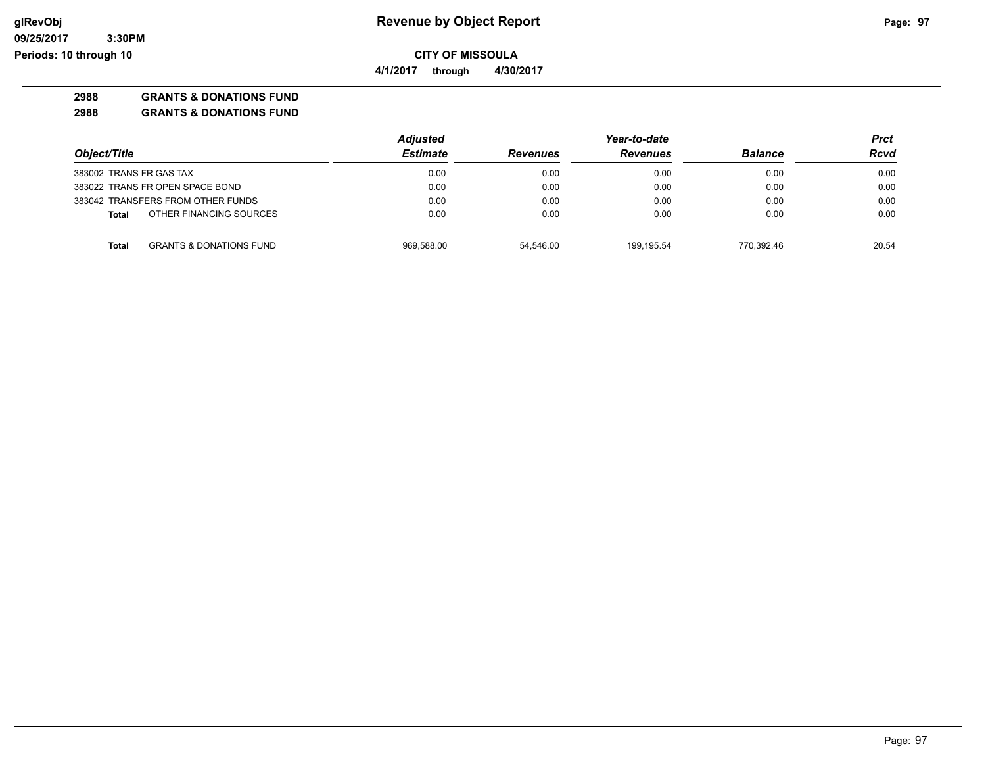**09/25/2017 3:30PM Periods: 10 through 10**

**CITY OF MISSOULA**

**4/1/2017 through 4/30/2017**

## **2988 GRANTS & DONATIONS FUND**

|                                                    | <b>Adjusted</b> |                 | Year-to-date    |                | Prct  |
|----------------------------------------------------|-----------------|-----------------|-----------------|----------------|-------|
| Object/Title                                       | <b>Estimate</b> | <b>Revenues</b> | <b>Revenues</b> | <b>Balance</b> | Rcvd  |
| 383002 TRANS FR GAS TAX                            | 0.00            | 0.00            | 0.00            | 0.00           | 0.00  |
| 383022 TRANS FR OPEN SPACE BOND                    | 0.00            | 0.00            | 0.00            | 0.00           | 0.00  |
| 383042 TRANSFERS FROM OTHER FUNDS                  | 0.00            | 0.00            | 0.00            | 0.00           | 0.00  |
| OTHER FINANCING SOURCES<br><b>Total</b>            | 0.00            | 0.00            | 0.00            | 0.00           | 0.00  |
| <b>Total</b><br><b>GRANTS &amp; DONATIONS FUND</b> | 969.588.00      | 54.546.00       | 199.195.54      | 770.392.46     | 20.54 |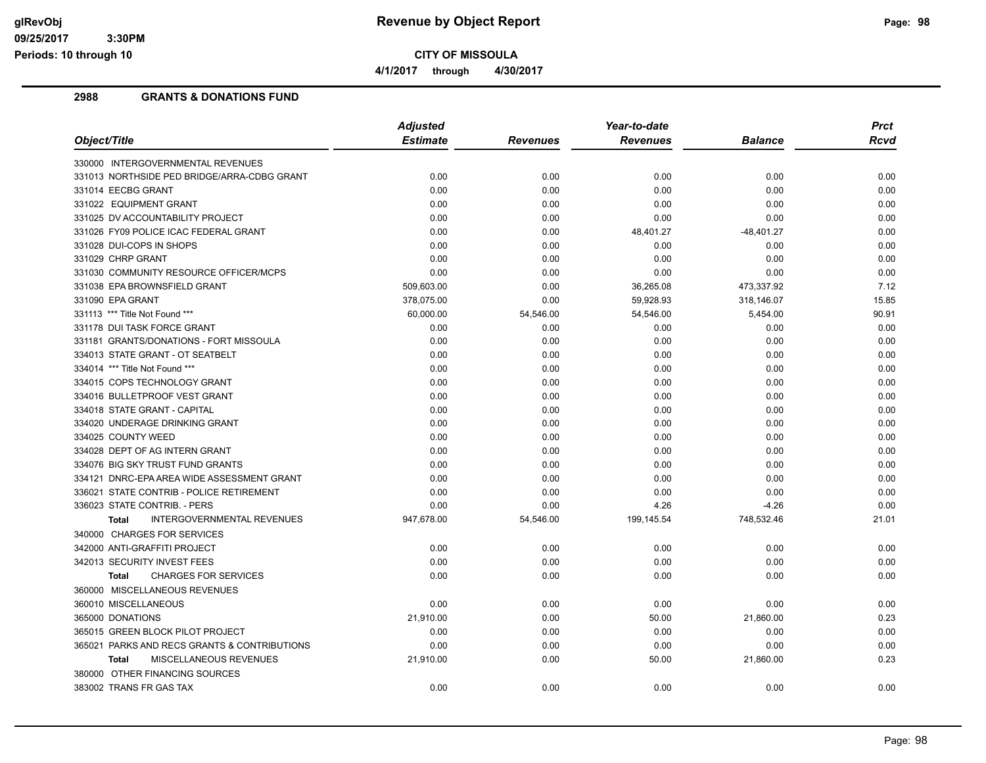**4/1/2017 through 4/30/2017**

|                                                   | <b>Adjusted</b> |                 | Year-to-date    |                |             |
|---------------------------------------------------|-----------------|-----------------|-----------------|----------------|-------------|
| Object/Title                                      | <b>Estimate</b> | <b>Revenues</b> | <b>Revenues</b> | <b>Balance</b> | <b>Rcvd</b> |
| 330000 INTERGOVERNMENTAL REVENUES                 |                 |                 |                 |                |             |
| 331013 NORTHSIDE PED BRIDGE/ARRA-CDBG GRANT       | 0.00            | 0.00            | 0.00            | 0.00           | 0.00        |
| 331014 EECBG GRANT                                | 0.00            | 0.00            | 0.00            | 0.00           | 0.00        |
| 331022 EQUIPMENT GRANT                            | 0.00            | 0.00            | 0.00            | 0.00           | 0.00        |
| 331025 DV ACCOUNTABILITY PROJECT                  | 0.00            | 0.00            | 0.00            | 0.00           | 0.00        |
| 331026 FY09 POLICE ICAC FEDERAL GRANT             | 0.00            | 0.00            | 48,401.27       | $-48,401.27$   | 0.00        |
| 331028 DUI-COPS IN SHOPS                          | 0.00            | 0.00            | 0.00            | 0.00           | 0.00        |
| 331029 CHRP GRANT                                 | 0.00            | 0.00            | 0.00            | 0.00           | 0.00        |
| 331030 COMMUNITY RESOURCE OFFICER/MCPS            | 0.00            | 0.00            | 0.00            | 0.00           | 0.00        |
| 331038 EPA BROWNSFIELD GRANT                      | 509,603.00      | 0.00            | 36,265.08       | 473,337.92     | 7.12        |
| 331090 EPA GRANT                                  | 378,075.00      | 0.00            | 59,928.93       | 318,146.07     | 15.85       |
| 331113 *** Title Not Found ***                    | 60,000.00       | 54,546.00       | 54,546.00       | 5,454.00       | 90.91       |
| 331178 DUI TASK FORCE GRANT                       | 0.00            | 0.00            | 0.00            | 0.00           | 0.00        |
| 331181 GRANTS/DONATIONS - FORT MISSOULA           | 0.00            | 0.00            | 0.00            | 0.00           | 0.00        |
| 334013 STATE GRANT - OT SEATBELT                  | 0.00            | 0.00            | 0.00            | 0.00           | 0.00        |
| 334014 *** Title Not Found ***                    | 0.00            | 0.00            | 0.00            | 0.00           | 0.00        |
| 334015 COPS TECHNOLOGY GRANT                      | 0.00            | 0.00            | 0.00            | 0.00           | 0.00        |
| 334016 BULLETPROOF VEST GRANT                     | 0.00            | 0.00            | 0.00            | 0.00           | 0.00        |
| 334018 STATE GRANT - CAPITAL                      | 0.00            | 0.00            | 0.00            | 0.00           | 0.00        |
| 334020 UNDERAGE DRINKING GRANT                    | 0.00            | 0.00            | 0.00            | 0.00           | 0.00        |
| 334025 COUNTY WEED                                | 0.00            | 0.00            | 0.00            | 0.00           | 0.00        |
| 334028 DEPT OF AG INTERN GRANT                    | 0.00            | 0.00            | 0.00            | 0.00           | 0.00        |
| 334076 BIG SKY TRUST FUND GRANTS                  | 0.00            | 0.00            | 0.00            | 0.00           | 0.00        |
| 334121 DNRC-EPA AREA WIDE ASSESSMENT GRANT        | 0.00            | 0.00            | 0.00            | 0.00           | 0.00        |
| 336021 STATE CONTRIB - POLICE RETIREMENT          | 0.00            | 0.00            | 0.00            | 0.00           | 0.00        |
| 336023 STATE CONTRIB. - PERS                      | 0.00            | 0.00            | 4.26            | $-4.26$        | 0.00        |
| <b>INTERGOVERNMENTAL REVENUES</b><br><b>Total</b> | 947,678.00      | 54,546.00       | 199,145.54      | 748,532.46     | 21.01       |
| 340000 CHARGES FOR SERVICES                       |                 |                 |                 |                |             |
| 342000 ANTI-GRAFFITI PROJECT                      | 0.00            | 0.00            | 0.00            | 0.00           | 0.00        |
| 342013 SECURITY INVEST FEES                       | 0.00            | 0.00            | 0.00            | 0.00           | 0.00        |
| <b>CHARGES FOR SERVICES</b><br><b>Total</b>       | 0.00            | 0.00            | 0.00            | 0.00           | 0.00        |
| 360000 MISCELLANEOUS REVENUES                     |                 |                 |                 |                |             |
| 360010 MISCELLANEOUS                              | 0.00            | 0.00            | 0.00            | 0.00           | 0.00        |
| 365000 DONATIONS                                  | 21,910.00       | 0.00            | 50.00           | 21,860.00      | 0.23        |
| 365015 GREEN BLOCK PILOT PROJECT                  | 0.00            | 0.00            | 0.00            | 0.00           | 0.00        |
| 365021 PARKS AND RECS GRANTS & CONTRIBUTIONS      | 0.00            | 0.00            | 0.00            | 0.00           | 0.00        |
| <b>MISCELLANEOUS REVENUES</b><br><b>Total</b>     | 21,910.00       | 0.00            | 50.00           | 21,860.00      | 0.23        |
| 380000 OTHER FINANCING SOURCES                    |                 |                 |                 |                |             |
| 383002 TRANS FR GAS TAX                           | 0.00            | 0.00            | 0.00            | 0.00           | 0.00        |
|                                                   |                 |                 |                 |                |             |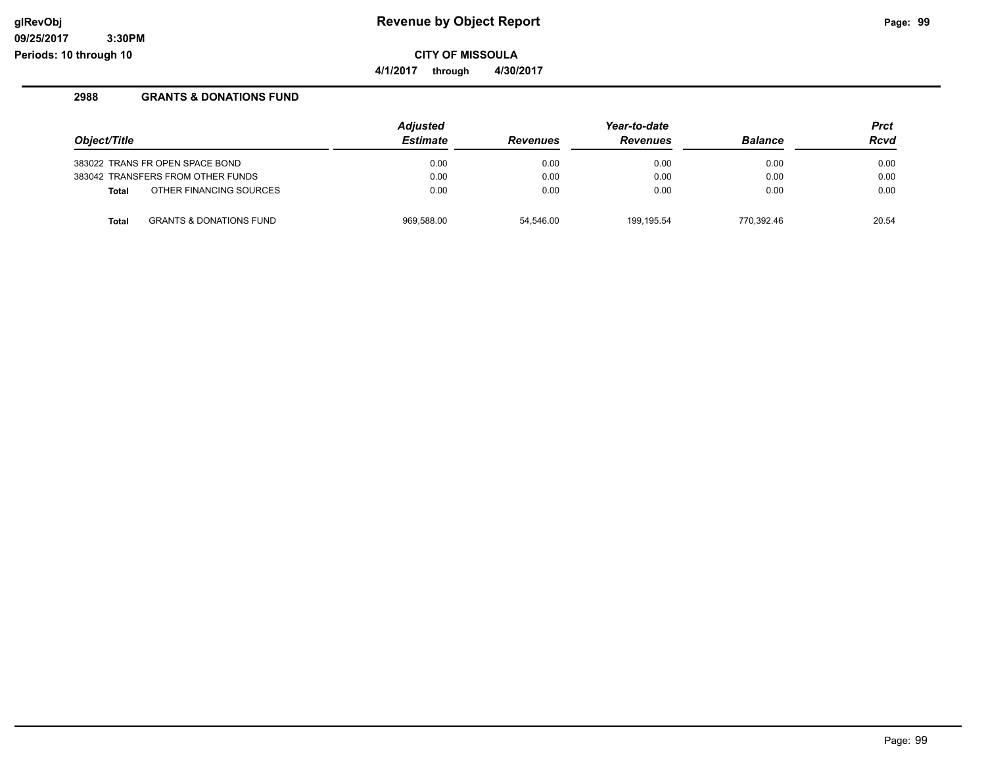**4/1/2017 through 4/30/2017**

|                                 |                                    | <b>Adjusted</b> |                 | Prct            |                |             |
|---------------------------------|------------------------------------|-----------------|-----------------|-----------------|----------------|-------------|
| Object/Title                    |                                    | <b>Estimate</b> | <b>Revenues</b> | <b>Revenues</b> | <b>Balance</b> | <b>Rcvd</b> |
| 383022 TRANS FR OPEN SPACE BOND |                                    | 0.00            | 0.00            | 0.00            | 0.00           | 0.00        |
|                                 | 383042 TRANSFERS FROM OTHER FUNDS  | 0.00            | 0.00            | 0.00            | 0.00           | 0.00        |
| <b>Total</b>                    | OTHER FINANCING SOURCES            | 0.00            | 0.00            | 0.00            | 0.00           | 0.00        |
| <b>Total</b>                    | <b>GRANTS &amp; DONATIONS FUND</b> | 969.588.00      | 54.546.00       | 199.195.54      | 770.392.46     | 20.54       |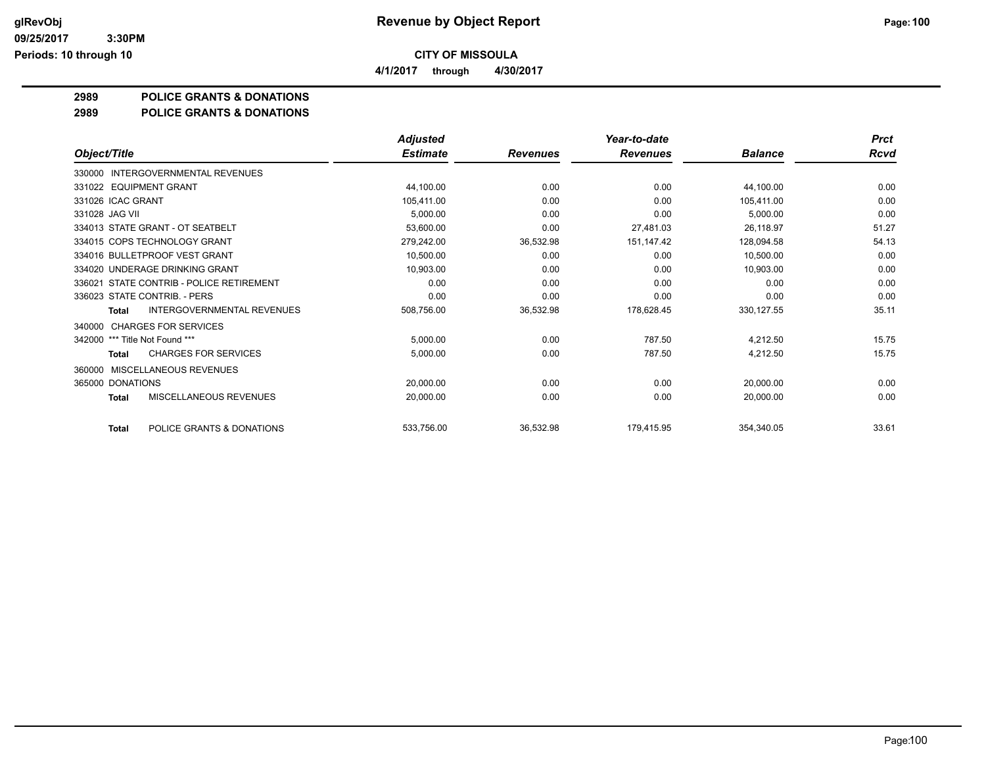**4/1/2017 through 4/30/2017**

# **2989 POLICE GRANTS & DONATIONS**

#### **2989 POLICE GRANTS & DONATIONS**

|                                                   | <b>Adjusted</b> |                 | Year-to-date    |                | <b>Prct</b> |
|---------------------------------------------------|-----------------|-----------------|-----------------|----------------|-------------|
| Object/Title                                      | <b>Estimate</b> | <b>Revenues</b> | <b>Revenues</b> | <b>Balance</b> | Rcvd        |
| 330000 INTERGOVERNMENTAL REVENUES                 |                 |                 |                 |                |             |
| 331022 EQUIPMENT GRANT                            | 44,100.00       | 0.00            | 0.00            | 44,100.00      | 0.00        |
| 331026 ICAC GRANT                                 | 105,411.00      | 0.00            | 0.00            | 105,411.00     | 0.00        |
| 331028 JAG VII                                    | 5,000.00        | 0.00            | 0.00            | 5,000.00       | 0.00        |
| 334013 STATE GRANT - OT SEATBELT                  | 53,600.00       | 0.00            | 27,481.03       | 26,118.97      | 51.27       |
| 334015 COPS TECHNOLOGY GRANT                      | 279,242.00      | 36,532.98       | 151,147.42      | 128,094.58     | 54.13       |
| 334016 BULLETPROOF VEST GRANT                     | 10,500.00       | 0.00            | 0.00            | 10,500.00      | 0.00        |
| 334020 UNDERAGE DRINKING GRANT                    | 10,903.00       | 0.00            | 0.00            | 10,903.00      | 0.00        |
| 336021 STATE CONTRIB - POLICE RETIREMENT          | 0.00            | 0.00            | 0.00            | 0.00           | 0.00        |
| 336023 STATE CONTRIB. - PERS                      | 0.00            | 0.00            | 0.00            | 0.00           | 0.00        |
| <b>INTERGOVERNMENTAL REVENUES</b><br><b>Total</b> | 508,756.00      | 36,532.98       | 178,628.45      | 330, 127.55    | 35.11       |
| <b>CHARGES FOR SERVICES</b><br>340000             |                 |                 |                 |                |             |
| 342000 *** Title Not Found ***                    | 5,000.00        | 0.00            | 787.50          | 4,212.50       | 15.75       |
| <b>CHARGES FOR SERVICES</b><br><b>Total</b>       | 5,000.00        | 0.00            | 787.50          | 4,212.50       | 15.75       |
| MISCELLANEOUS REVENUES<br>360000                  |                 |                 |                 |                |             |
| 365000 DONATIONS                                  | 20,000.00       | 0.00            | 0.00            | 20,000.00      | 0.00        |
| <b>MISCELLANEOUS REVENUES</b><br><b>Total</b>     | 20,000.00       | 0.00            | 0.00            | 20,000.00      | 0.00        |
| POLICE GRANTS & DONATIONS<br><b>Total</b>         | 533,756.00      | 36,532.98       | 179,415.95      | 354,340.05     | 33.61       |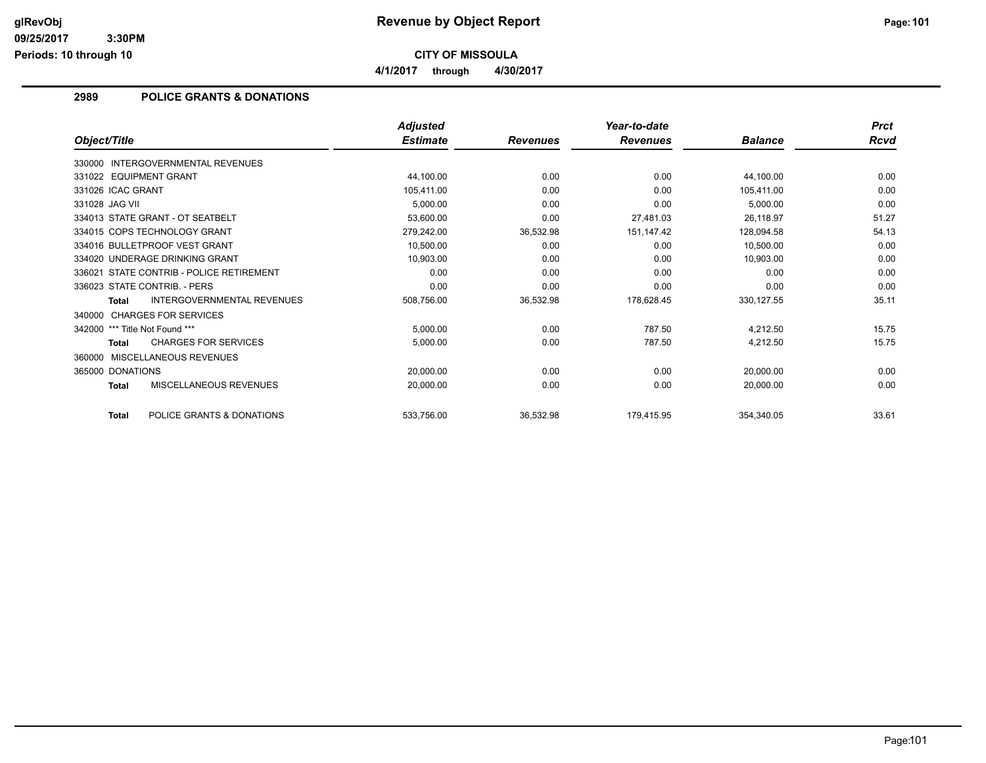**4/1/2017 through 4/30/2017**

# **2989 POLICE GRANTS & DONATIONS**

|                                                   | <b>Adjusted</b> |                 | Year-to-date    |                | <b>Prct</b> |
|---------------------------------------------------|-----------------|-----------------|-----------------|----------------|-------------|
| Object/Title                                      | <b>Estimate</b> | <b>Revenues</b> | <b>Revenues</b> | <b>Balance</b> | Rcvd        |
| 330000 INTERGOVERNMENTAL REVENUES                 |                 |                 |                 |                |             |
| 331022 EQUIPMENT GRANT                            | 44,100.00       | 0.00            | 0.00            | 44,100.00      | 0.00        |
| 331026 ICAC GRANT                                 | 105,411.00      | 0.00            | 0.00            | 105,411.00     | 0.00        |
| 331028 JAG VII                                    | 5,000.00        | 0.00            | 0.00            | 5,000.00       | 0.00        |
| 334013 STATE GRANT - OT SEATBELT                  | 53,600.00       | 0.00            | 27,481.03       | 26,118.97      | 51.27       |
| 334015 COPS TECHNOLOGY GRANT                      | 279,242.00      | 36,532.98       | 151,147.42      | 128,094.58     | 54.13       |
| 334016 BULLETPROOF VEST GRANT                     | 10,500.00       | 0.00            | 0.00            | 10,500.00      | 0.00        |
| 334020 UNDERAGE DRINKING GRANT                    | 10,903.00       | 0.00            | 0.00            | 10,903.00      | 0.00        |
| 336021 STATE CONTRIB - POLICE RETIREMENT          | 0.00            | 0.00            | 0.00            | 0.00           | 0.00        |
| 336023 STATE CONTRIB. - PERS                      | 0.00            | 0.00            | 0.00            | 0.00           | 0.00        |
| <b>INTERGOVERNMENTAL REVENUES</b><br><b>Total</b> | 508,756.00      | 36,532.98       | 178,628.45      | 330,127.55     | 35.11       |
| 340000 CHARGES FOR SERVICES                       |                 |                 |                 |                |             |
| 342000 *** Title Not Found ***                    | 5,000.00        | 0.00            | 787.50          | 4,212.50       | 15.75       |
| <b>CHARGES FOR SERVICES</b><br><b>Total</b>       | 5,000.00        | 0.00            | 787.50          | 4,212.50       | 15.75       |
| 360000 MISCELLANEOUS REVENUES                     |                 |                 |                 |                |             |
| 365000 DONATIONS                                  | 20,000.00       | 0.00            | 0.00            | 20,000.00      | 0.00        |
| MISCELLANEOUS REVENUES<br><b>Total</b>            | 20,000.00       | 0.00            | 0.00            | 20,000.00      | 0.00        |
| POLICE GRANTS & DONATIONS<br><b>Total</b>         | 533,756.00      | 36,532.98       | 179,415.95      | 354,340.05     | 33.61       |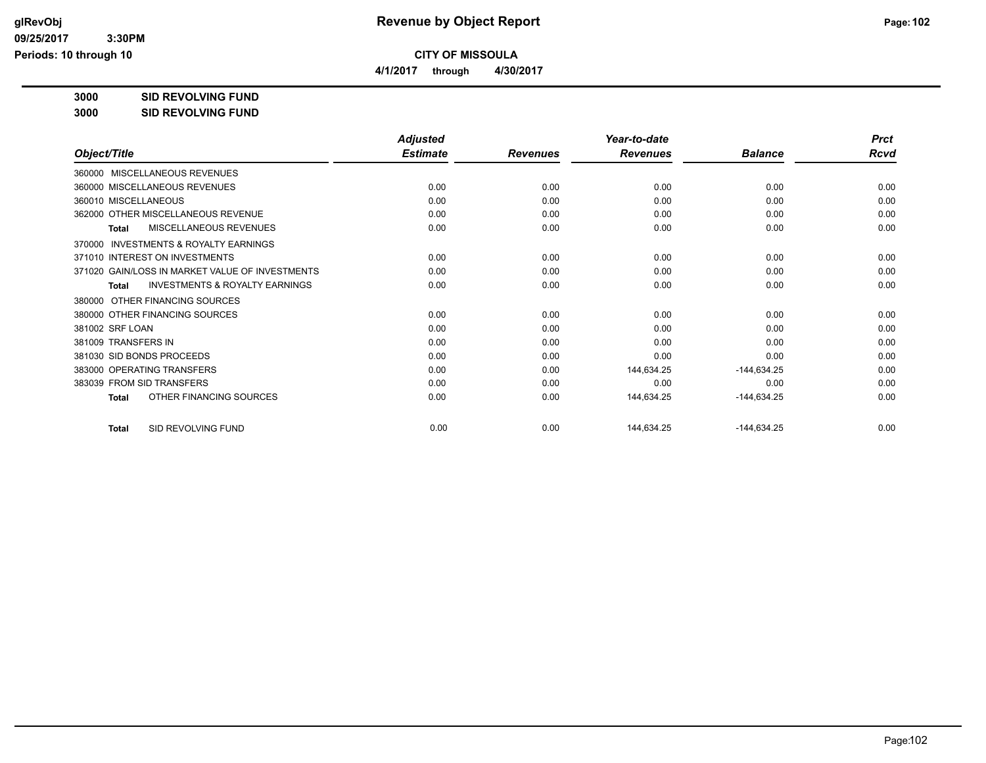**4/1/2017 through 4/30/2017**

**3000 SID REVOLVING FUND**

**3000 SID REVOLVING FUND**

|                                                           | <b>Adjusted</b> |                 | Year-to-date    |                | <b>Prct</b> |
|-----------------------------------------------------------|-----------------|-----------------|-----------------|----------------|-------------|
| Object/Title                                              | <b>Estimate</b> | <b>Revenues</b> | <b>Revenues</b> | <b>Balance</b> | Rcvd        |
| 360000 MISCELLANEOUS REVENUES                             |                 |                 |                 |                |             |
| 360000 MISCELLANEOUS REVENUES                             | 0.00            | 0.00            | 0.00            | 0.00           | 0.00        |
| 360010 MISCELLANEOUS                                      | 0.00            | 0.00            | 0.00            | 0.00           | 0.00        |
| 362000 OTHER MISCELLANEOUS REVENUE                        | 0.00            | 0.00            | 0.00            | 0.00           | 0.00        |
| MISCELLANEOUS REVENUES<br><b>Total</b>                    | 0.00            | 0.00            | 0.00            | 0.00           | 0.00        |
| INVESTMENTS & ROYALTY EARNINGS<br>370000                  |                 |                 |                 |                |             |
| 371010 INTEREST ON INVESTMENTS                            | 0.00            | 0.00            | 0.00            | 0.00           | 0.00        |
| 371020 GAIN/LOSS IN MARKET VALUE OF INVESTMENTS           | 0.00            | 0.00            | 0.00            | 0.00           | 0.00        |
| <b>INVESTMENTS &amp; ROYALTY EARNINGS</b><br><b>Total</b> | 0.00            | 0.00            | 0.00            | 0.00           | 0.00        |
| OTHER FINANCING SOURCES<br>380000                         |                 |                 |                 |                |             |
| 380000 OTHER FINANCING SOURCES                            | 0.00            | 0.00            | 0.00            | 0.00           | 0.00        |
| 381002 SRF LOAN                                           | 0.00            | 0.00            | 0.00            | 0.00           | 0.00        |
| 381009 TRANSFERS IN                                       | 0.00            | 0.00            | 0.00            | 0.00           | 0.00        |
| 381030 SID BONDS PROCEEDS                                 | 0.00            | 0.00            | 0.00            | 0.00           | 0.00        |
| 383000 OPERATING TRANSFERS                                | 0.00            | 0.00            | 144,634.25      | $-144,634.25$  | 0.00        |
| 383039 FROM SID TRANSFERS                                 | 0.00            | 0.00            | 0.00            | 0.00           | 0.00        |
| OTHER FINANCING SOURCES<br><b>Total</b>                   | 0.00            | 0.00            | 144,634.25      | $-144,634.25$  | 0.00        |
| SID REVOLVING FUND<br><b>Total</b>                        | 0.00            | 0.00            | 144,634.25      | $-144,634.25$  | 0.00        |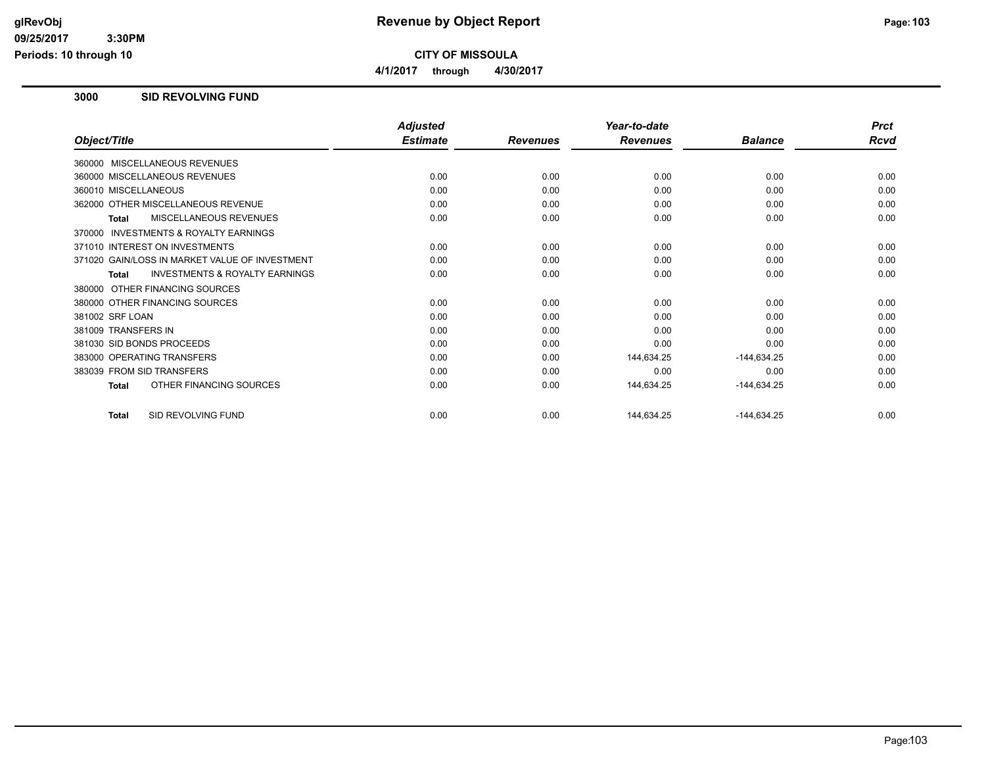**4/1/2017 through 4/30/2017**

#### **3000 SID REVOLVING FUND**

|                                                           | <b>Adjusted</b> |                 | Year-to-date    |                | <b>Prct</b> |
|-----------------------------------------------------------|-----------------|-----------------|-----------------|----------------|-------------|
| Object/Title                                              | <b>Estimate</b> | <b>Revenues</b> | <b>Revenues</b> | <b>Balance</b> | Rcvd        |
| 360000 MISCELLANEOUS REVENUES                             |                 |                 |                 |                |             |
| 360000 MISCELLANEOUS REVENUES                             | 0.00            | 0.00            | 0.00            | 0.00           | 0.00        |
| 360010 MISCELLANEOUS                                      | 0.00            | 0.00            | 0.00            | 0.00           | 0.00        |
| 362000 OTHER MISCELLANEOUS REVENUE                        | 0.00            | 0.00            | 0.00            | 0.00           | 0.00        |
| MISCELLANEOUS REVENUES<br>Total                           | 0.00            | 0.00            | 0.00            | 0.00           | 0.00        |
| <b>INVESTMENTS &amp; ROYALTY EARNINGS</b><br>370000       |                 |                 |                 |                |             |
| 371010 INTEREST ON INVESTMENTS                            | 0.00            | 0.00            | 0.00            | 0.00           | 0.00        |
| 371020 GAIN/LOSS IN MARKET VALUE OF INVESTMENT            | 0.00            | 0.00            | 0.00            | 0.00           | 0.00        |
| <b>INVESTMENTS &amp; ROYALTY EARNINGS</b><br><b>Total</b> | 0.00            | 0.00            | 0.00            | 0.00           | 0.00        |
| 380000 OTHER FINANCING SOURCES                            |                 |                 |                 |                |             |
| 380000 OTHER FINANCING SOURCES                            | 0.00            | 0.00            | 0.00            | 0.00           | 0.00        |
| 381002 SRF LOAN                                           | 0.00            | 0.00            | 0.00            | 0.00           | 0.00        |
| 381009 TRANSFERS IN                                       | 0.00            | 0.00            | 0.00            | 0.00           | 0.00        |
| 381030 SID BONDS PROCEEDS                                 | 0.00            | 0.00            | 0.00            | 0.00           | 0.00        |
| 383000 OPERATING TRANSFERS                                | 0.00            | 0.00            | 144,634.25      | $-144,634.25$  | 0.00        |
| 383039 FROM SID TRANSFERS                                 | 0.00            | 0.00            | 0.00            | 0.00           | 0.00        |
| OTHER FINANCING SOURCES<br><b>Total</b>                   | 0.00            | 0.00            | 144,634.25      | $-144,634.25$  | 0.00        |
| SID REVOLVING FUND<br><b>Total</b>                        | 0.00            | 0.00            | 144,634.25      | $-144,634.25$  | 0.00        |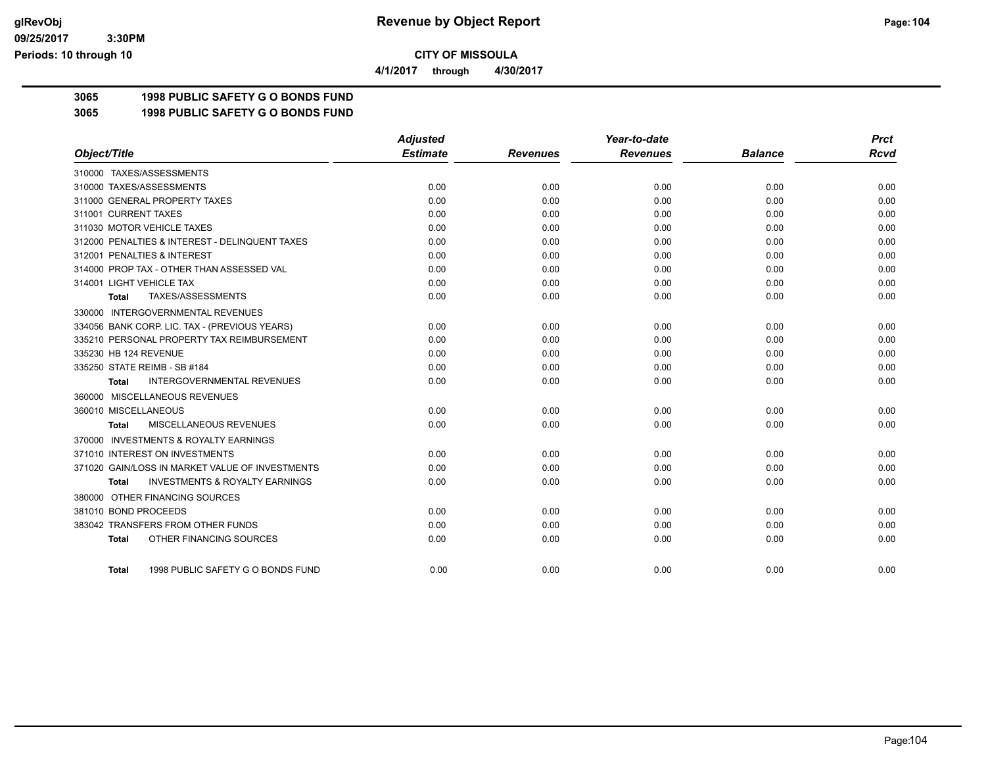**4/1/2017 through 4/30/2017**

# **3065 1998 PUBLIC SAFETY G O BONDS FUND**

**3065 1998 PUBLIC SAFETY G O BONDS FUND**

|                                                           | <b>Adjusted</b> |                 | Year-to-date    |                | <b>Prct</b> |
|-----------------------------------------------------------|-----------------|-----------------|-----------------|----------------|-------------|
| Object/Title                                              | <b>Estimate</b> | <b>Revenues</b> | <b>Revenues</b> | <b>Balance</b> | Rcvd        |
| 310000 TAXES/ASSESSMENTS                                  |                 |                 |                 |                |             |
| 310000 TAXES/ASSESSMENTS                                  | 0.00            | 0.00            | 0.00            | 0.00           | 0.00        |
| 311000 GENERAL PROPERTY TAXES                             | 0.00            | 0.00            | 0.00            | 0.00           | 0.00        |
| 311001 CURRENT TAXES                                      | 0.00            | 0.00            | 0.00            | 0.00           | 0.00        |
| 311030 MOTOR VEHICLE TAXES                                | 0.00            | 0.00            | 0.00            | 0.00           | 0.00        |
| 312000 PENALTIES & INTEREST - DELINQUENT TAXES            | 0.00            | 0.00            | 0.00            | 0.00           | 0.00        |
| 312001 PENALTIES & INTEREST                               | 0.00            | 0.00            | 0.00            | 0.00           | 0.00        |
| 314000 PROP TAX - OTHER THAN ASSESSED VAL                 | 0.00            | 0.00            | 0.00            | 0.00           | 0.00        |
| 314001 LIGHT VEHICLE TAX                                  | 0.00            | 0.00            | 0.00            | 0.00           | 0.00        |
| TAXES/ASSESSMENTS<br><b>Total</b>                         | 0.00            | 0.00            | 0.00            | 0.00           | 0.00        |
| 330000 INTERGOVERNMENTAL REVENUES                         |                 |                 |                 |                |             |
| 334056 BANK CORP. LIC. TAX - (PREVIOUS YEARS)             | 0.00            | 0.00            | 0.00            | 0.00           | 0.00        |
| 335210 PERSONAL PROPERTY TAX REIMBURSEMENT                | 0.00            | 0.00            | 0.00            | 0.00           | 0.00        |
| 335230 HB 124 REVENUE                                     | 0.00            | 0.00            | 0.00            | 0.00           | 0.00        |
| 335250 STATE REIMB - SB #184                              | 0.00            | 0.00            | 0.00            | 0.00           | 0.00        |
| <b>INTERGOVERNMENTAL REVENUES</b><br><b>Total</b>         | 0.00            | 0.00            | 0.00            | 0.00           | 0.00        |
| 360000 MISCELLANEOUS REVENUES                             |                 |                 |                 |                |             |
| 360010 MISCELLANEOUS                                      | 0.00            | 0.00            | 0.00            | 0.00           | 0.00        |
| MISCELLANEOUS REVENUES<br>Total                           | 0.00            | 0.00            | 0.00            | 0.00           | 0.00        |
| 370000 INVESTMENTS & ROYALTY EARNINGS                     |                 |                 |                 |                |             |
| 371010 INTEREST ON INVESTMENTS                            | 0.00            | 0.00            | 0.00            | 0.00           | 0.00        |
| 371020 GAIN/LOSS IN MARKET VALUE OF INVESTMENTS           | 0.00            | 0.00            | 0.00            | 0.00           | 0.00        |
| <b>INVESTMENTS &amp; ROYALTY EARNINGS</b><br><b>Total</b> | 0.00            | 0.00            | 0.00            | 0.00           | 0.00        |
| 380000 OTHER FINANCING SOURCES                            |                 |                 |                 |                |             |
| 381010 BOND PROCEEDS                                      | 0.00            | 0.00            | 0.00            | 0.00           | 0.00        |
| 383042 TRANSFERS FROM OTHER FUNDS                         | 0.00            | 0.00            | 0.00            | 0.00           | 0.00        |
| OTHER FINANCING SOURCES<br><b>Total</b>                   | 0.00            | 0.00            | 0.00            | 0.00           | 0.00        |
| 1998 PUBLIC SAFETY G O BONDS FUND<br>Total                | 0.00            | 0.00            | 0.00            | 0.00           | 0.00        |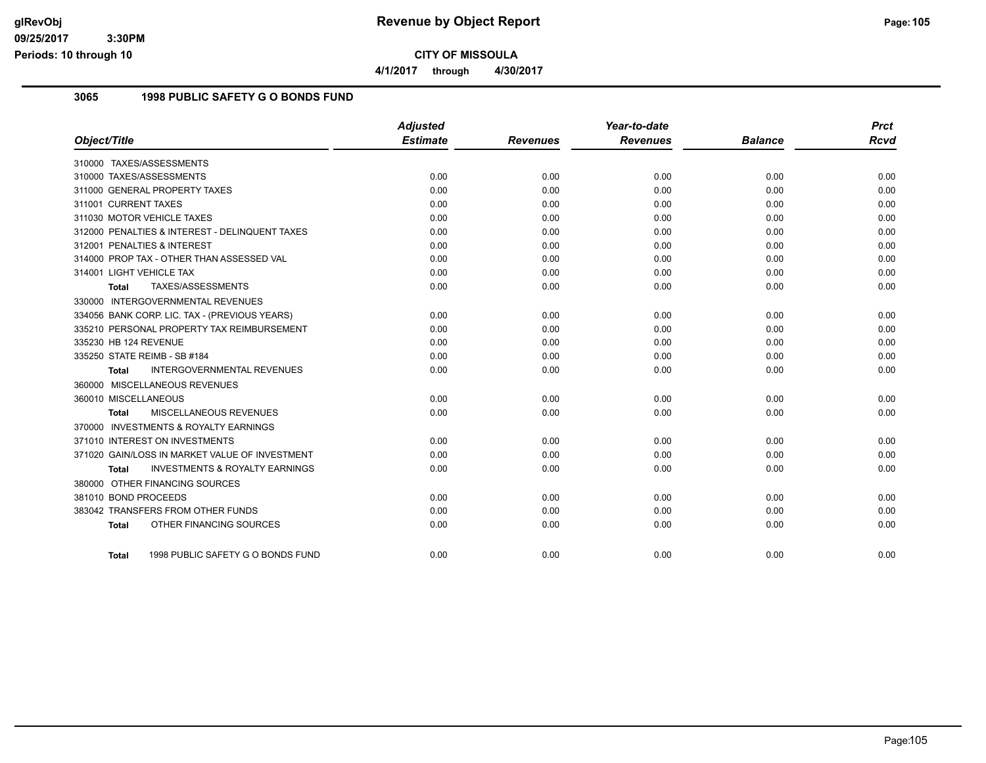**4/1/2017 through 4/30/2017**

# **3065 1998 PUBLIC SAFETY G O BONDS FUND**

|                                                    | <b>Adjusted</b> |                 | Year-to-date    |                | <b>Prct</b> |
|----------------------------------------------------|-----------------|-----------------|-----------------|----------------|-------------|
| Object/Title                                       | <b>Estimate</b> | <b>Revenues</b> | <b>Revenues</b> | <b>Balance</b> | <b>Rcvd</b> |
| 310000 TAXES/ASSESSMENTS                           |                 |                 |                 |                |             |
| 310000 TAXES/ASSESSMENTS                           | 0.00            | 0.00            | 0.00            | 0.00           | 0.00        |
| 311000 GENERAL PROPERTY TAXES                      | 0.00            | 0.00            | 0.00            | 0.00           | 0.00        |
| 311001 CURRENT TAXES                               | 0.00            | 0.00            | 0.00            | 0.00           | 0.00        |
| 311030 MOTOR VEHICLE TAXES                         | 0.00            | 0.00            | 0.00            | 0.00           | 0.00        |
| 312000 PENALTIES & INTEREST - DELINQUENT TAXES     | 0.00            | 0.00            | 0.00            | 0.00           | 0.00        |
| 312001 PENALTIES & INTEREST                        | 0.00            | 0.00            | 0.00            | 0.00           | 0.00        |
| 314000 PROP TAX - OTHER THAN ASSESSED VAL          | 0.00            | 0.00            | 0.00            | 0.00           | 0.00        |
| 314001 LIGHT VEHICLE TAX                           | 0.00            | 0.00            | 0.00            | 0.00           | 0.00        |
| TAXES/ASSESSMENTS<br><b>Total</b>                  | 0.00            | 0.00            | 0.00            | 0.00           | 0.00        |
| 330000 INTERGOVERNMENTAL REVENUES                  |                 |                 |                 |                |             |
| 334056 BANK CORP. LIC. TAX - (PREVIOUS YEARS)      | 0.00            | 0.00            | 0.00            | 0.00           | 0.00        |
| 335210 PERSONAL PROPERTY TAX REIMBURSEMENT         | 0.00            | 0.00            | 0.00            | 0.00           | 0.00        |
| 335230 HB 124 REVENUE                              | 0.00            | 0.00            | 0.00            | 0.00           | 0.00        |
| 335250 STATE REIMB - SB #184                       | 0.00            | 0.00            | 0.00            | 0.00           | 0.00        |
| <b>INTERGOVERNMENTAL REVENUES</b><br><b>Total</b>  | 0.00            | 0.00            | 0.00            | 0.00           | 0.00        |
| 360000 MISCELLANEOUS REVENUES                      |                 |                 |                 |                |             |
| 360010 MISCELLANEOUS                               | 0.00            | 0.00            | 0.00            | 0.00           | 0.00        |
| MISCELLANEOUS REVENUES<br>Total                    | 0.00            | 0.00            | 0.00            | 0.00           | 0.00        |
| 370000 INVESTMENTS & ROYALTY EARNINGS              |                 |                 |                 |                |             |
| 371010 INTEREST ON INVESTMENTS                     | 0.00            | 0.00            | 0.00            | 0.00           | 0.00        |
| 371020 GAIN/LOSS IN MARKET VALUE OF INVESTMENT     | 0.00            | 0.00            | 0.00            | 0.00           | 0.00        |
| <b>INVESTMENTS &amp; ROYALTY EARNINGS</b><br>Total | 0.00            | 0.00            | 0.00            | 0.00           | 0.00        |
| 380000 OTHER FINANCING SOURCES                     |                 |                 |                 |                |             |
| 381010 BOND PROCEEDS                               | 0.00            | 0.00            | 0.00            | 0.00           | 0.00        |
| 383042 TRANSFERS FROM OTHER FUNDS                  | 0.00            | 0.00            | 0.00            | 0.00           | 0.00        |
| OTHER FINANCING SOURCES<br><b>Total</b>            | 0.00            | 0.00            | 0.00            | 0.00           | 0.00        |
| 1998 PUBLIC SAFETY G O BONDS FUND<br><b>Total</b>  | 0.00            | 0.00            | 0.00            | 0.00           | 0.00        |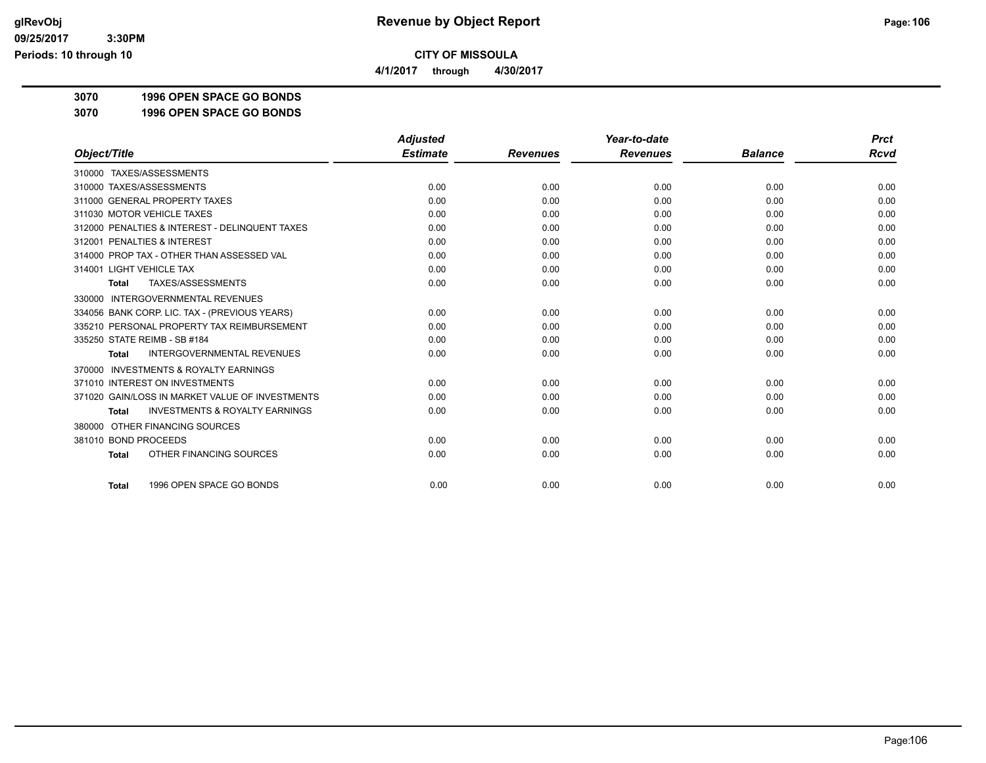**4/1/2017 through 4/30/2017**

**3070 1996 OPEN SPACE GO BONDS**

**3070 1996 OPEN SPACE GO BONDS**

|                                                     | <b>Adjusted</b> |                 | Year-to-date    |                | <b>Prct</b> |
|-----------------------------------------------------|-----------------|-----------------|-----------------|----------------|-------------|
| Object/Title                                        | <b>Estimate</b> | <b>Revenues</b> | <b>Revenues</b> | <b>Balance</b> | Rcvd        |
| 310000 TAXES/ASSESSMENTS                            |                 |                 |                 |                |             |
| 310000 TAXES/ASSESSMENTS                            | 0.00            | 0.00            | 0.00            | 0.00           | 0.00        |
| 311000 GENERAL PROPERTY TAXES                       | 0.00            | 0.00            | 0.00            | 0.00           | 0.00        |
| 311030 MOTOR VEHICLE TAXES                          | 0.00            | 0.00            | 0.00            | 0.00           | 0.00        |
| 312000 PENALTIES & INTEREST - DELINQUENT TAXES      | 0.00            | 0.00            | 0.00            | 0.00           | 0.00        |
| 312001 PENALTIES & INTEREST                         | 0.00            | 0.00            | 0.00            | 0.00           | 0.00        |
| 314000 PROP TAX - OTHER THAN ASSESSED VAL           | 0.00            | 0.00            | 0.00            | 0.00           | 0.00        |
| 314001 LIGHT VEHICLE TAX                            | 0.00            | 0.00            | 0.00            | 0.00           | 0.00        |
| TAXES/ASSESSMENTS<br><b>Total</b>                   | 0.00            | 0.00            | 0.00            | 0.00           | 0.00        |
| <b>INTERGOVERNMENTAL REVENUES</b><br>330000         |                 |                 |                 |                |             |
| 334056 BANK CORP. LIC. TAX - (PREVIOUS YEARS)       | 0.00            | 0.00            | 0.00            | 0.00           | 0.00        |
| 335210 PERSONAL PROPERTY TAX REIMBURSEMENT          | 0.00            | 0.00            | 0.00            | 0.00           | 0.00        |
| 335250 STATE REIMB - SB #184                        | 0.00            | 0.00            | 0.00            | 0.00           | 0.00        |
| <b>INTERGOVERNMENTAL REVENUES</b><br><b>Total</b>   | 0.00            | 0.00            | 0.00            | 0.00           | 0.00        |
| <b>INVESTMENTS &amp; ROYALTY EARNINGS</b><br>370000 |                 |                 |                 |                |             |
| 371010 INTEREST ON INVESTMENTS                      | 0.00            | 0.00            | 0.00            | 0.00           | 0.00        |
| 371020 GAIN/LOSS IN MARKET VALUE OF INVESTMENTS     | 0.00            | 0.00            | 0.00            | 0.00           | 0.00        |
| <b>INVESTMENTS &amp; ROYALTY EARNINGS</b><br>Total  | 0.00            | 0.00            | 0.00            | 0.00           | 0.00        |
| OTHER FINANCING SOURCES<br>380000                   |                 |                 |                 |                |             |
| 381010 BOND PROCEEDS                                | 0.00            | 0.00            | 0.00            | 0.00           | 0.00        |
| OTHER FINANCING SOURCES<br><b>Total</b>             | 0.00            | 0.00            | 0.00            | 0.00           | 0.00        |
| 1996 OPEN SPACE GO BONDS<br><b>Total</b>            | 0.00            | 0.00            | 0.00            | 0.00           | 0.00        |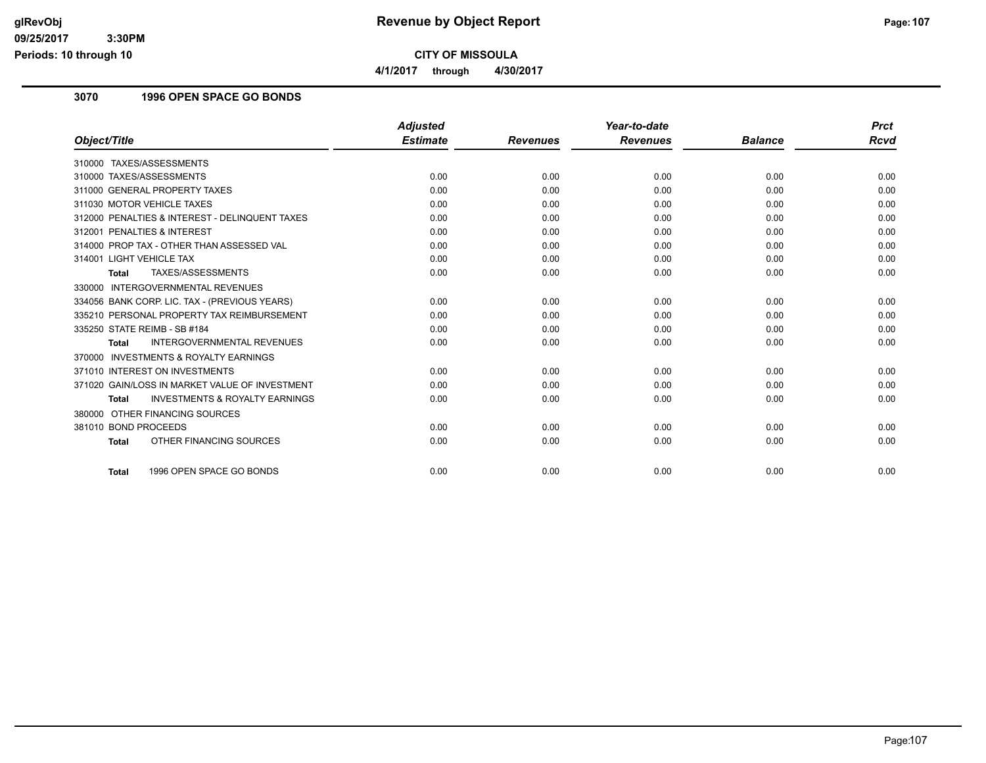**4/1/2017 through 4/30/2017**

# **3070 1996 OPEN SPACE GO BONDS**

|                                                           | <b>Adjusted</b> |                 | Year-to-date    |                | <b>Prct</b> |
|-----------------------------------------------------------|-----------------|-----------------|-----------------|----------------|-------------|
| Object/Title                                              | <b>Estimate</b> | <b>Revenues</b> | <b>Revenues</b> | <b>Balance</b> | Rcvd        |
| 310000 TAXES/ASSESSMENTS                                  |                 |                 |                 |                |             |
| 310000 TAXES/ASSESSMENTS                                  | 0.00            | 0.00            | 0.00            | 0.00           | 0.00        |
| 311000 GENERAL PROPERTY TAXES                             | 0.00            | 0.00            | 0.00            | 0.00           | 0.00        |
| 311030 MOTOR VEHICLE TAXES                                | 0.00            | 0.00            | 0.00            | 0.00           | 0.00        |
| 312000 PENALTIES & INTEREST - DELINQUENT TAXES            | 0.00            | 0.00            | 0.00            | 0.00           | 0.00        |
| 312001 PENALTIES & INTEREST                               | 0.00            | 0.00            | 0.00            | 0.00           | 0.00        |
| 314000 PROP TAX - OTHER THAN ASSESSED VAL                 | 0.00            | 0.00            | 0.00            | 0.00           | 0.00        |
| 314001 LIGHT VEHICLE TAX                                  | 0.00            | 0.00            | 0.00            | 0.00           | 0.00        |
| <b>TAXES/ASSESSMENTS</b><br><b>Total</b>                  | 0.00            | 0.00            | 0.00            | 0.00           | 0.00        |
| 330000 INTERGOVERNMENTAL REVENUES                         |                 |                 |                 |                |             |
| 334056 BANK CORP. LIC. TAX - (PREVIOUS YEARS)             | 0.00            | 0.00            | 0.00            | 0.00           | 0.00        |
| 335210 PERSONAL PROPERTY TAX REIMBURSEMENT                | 0.00            | 0.00            | 0.00            | 0.00           | 0.00        |
| 335250 STATE REIMB - SB #184                              | 0.00            | 0.00            | 0.00            | 0.00           | 0.00        |
| INTERGOVERNMENTAL REVENUES<br><b>Total</b>                | 0.00            | 0.00            | 0.00            | 0.00           | 0.00        |
| 370000 INVESTMENTS & ROYALTY EARNINGS                     |                 |                 |                 |                |             |
| 371010 INTEREST ON INVESTMENTS                            | 0.00            | 0.00            | 0.00            | 0.00           | 0.00        |
| 371020 GAIN/LOSS IN MARKET VALUE OF INVESTMENT            | 0.00            | 0.00            | 0.00            | 0.00           | 0.00        |
| <b>INVESTMENTS &amp; ROYALTY EARNINGS</b><br><b>Total</b> | 0.00            | 0.00            | 0.00            | 0.00           | 0.00        |
| 380000 OTHER FINANCING SOURCES                            |                 |                 |                 |                |             |
| 381010 BOND PROCEEDS                                      | 0.00            | 0.00            | 0.00            | 0.00           | 0.00        |
| OTHER FINANCING SOURCES<br><b>Total</b>                   | 0.00            | 0.00            | 0.00            | 0.00           | 0.00        |
| 1996 OPEN SPACE GO BONDS<br><b>Total</b>                  | 0.00            | 0.00            | 0.00            | 0.00           | 0.00        |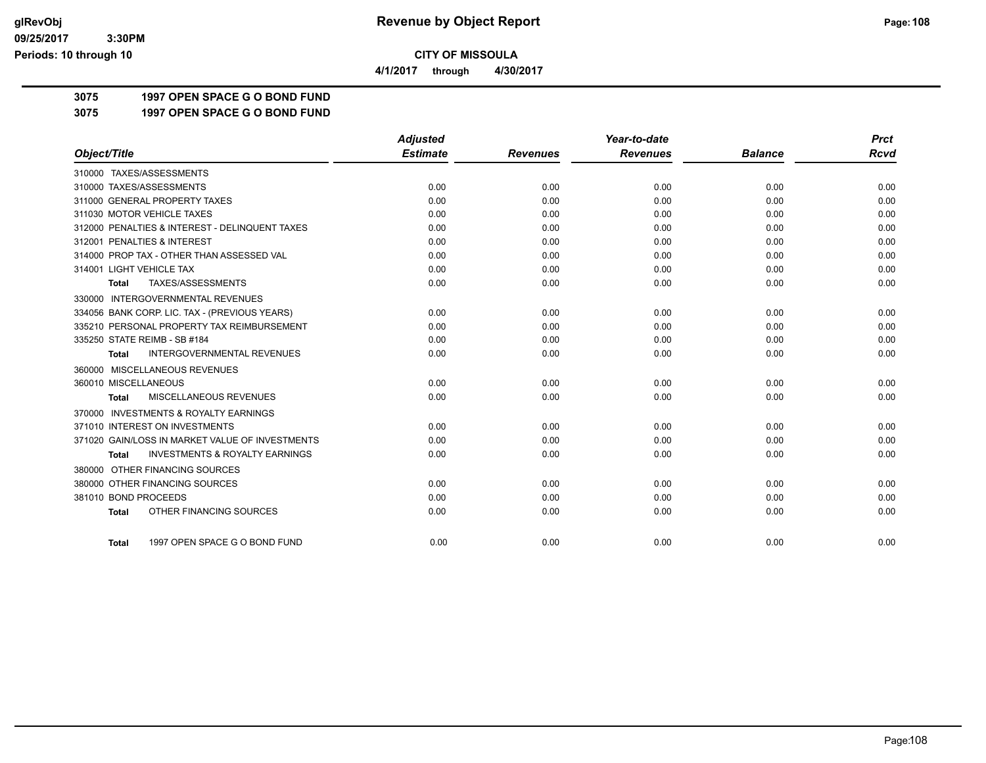**4/1/2017 through 4/30/2017**

# **3075 1997 OPEN SPACE G O BOND FUND**

## **3075 1997 OPEN SPACE G O BOND FUND**

|                                                           | <b>Adjusted</b> |                 | Year-to-date    |                | <b>Prct</b> |
|-----------------------------------------------------------|-----------------|-----------------|-----------------|----------------|-------------|
| Object/Title                                              | <b>Estimate</b> | <b>Revenues</b> | <b>Revenues</b> | <b>Balance</b> | Rcvd        |
| 310000 TAXES/ASSESSMENTS                                  |                 |                 |                 |                |             |
| 310000 TAXES/ASSESSMENTS                                  | 0.00            | 0.00            | 0.00            | 0.00           | 0.00        |
| 311000 GENERAL PROPERTY TAXES                             | 0.00            | 0.00            | 0.00            | 0.00           | 0.00        |
| 311030 MOTOR VEHICLE TAXES                                | 0.00            | 0.00            | 0.00            | 0.00           | 0.00        |
| 312000 PENALTIES & INTEREST - DELINQUENT TAXES            | 0.00            | 0.00            | 0.00            | 0.00           | 0.00        |
| 312001 PENALTIES & INTEREST                               | 0.00            | 0.00            | 0.00            | 0.00           | 0.00        |
| 314000 PROP TAX - OTHER THAN ASSESSED VAL                 | 0.00            | 0.00            | 0.00            | 0.00           | 0.00        |
| 314001 LIGHT VEHICLE TAX                                  | 0.00            | 0.00            | 0.00            | 0.00           | 0.00        |
| TAXES/ASSESSMENTS<br>Total                                | 0.00            | 0.00            | 0.00            | 0.00           | 0.00        |
| 330000 INTERGOVERNMENTAL REVENUES                         |                 |                 |                 |                |             |
| 334056 BANK CORP. LIC. TAX - (PREVIOUS YEARS)             | 0.00            | 0.00            | 0.00            | 0.00           | 0.00        |
| 335210 PERSONAL PROPERTY TAX REIMBURSEMENT                | 0.00            | 0.00            | 0.00            | 0.00           | 0.00        |
| 335250 STATE REIMB - SB #184                              | 0.00            | 0.00            | 0.00            | 0.00           | 0.00        |
| INTERGOVERNMENTAL REVENUES<br><b>Total</b>                | 0.00            | 0.00            | 0.00            | 0.00           | 0.00        |
| 360000 MISCELLANEOUS REVENUES                             |                 |                 |                 |                |             |
| 360010 MISCELLANEOUS                                      | 0.00            | 0.00            | 0.00            | 0.00           | 0.00        |
| MISCELLANEOUS REVENUES<br><b>Total</b>                    | 0.00            | 0.00            | 0.00            | 0.00           | 0.00        |
| <b>INVESTMENTS &amp; ROYALTY EARNINGS</b><br>370000       |                 |                 |                 |                |             |
| 371010 INTEREST ON INVESTMENTS                            | 0.00            | 0.00            | 0.00            | 0.00           | 0.00        |
| 371020 GAIN/LOSS IN MARKET VALUE OF INVESTMENTS           | 0.00            | 0.00            | 0.00            | 0.00           | 0.00        |
| <b>INVESTMENTS &amp; ROYALTY EARNINGS</b><br><b>Total</b> | 0.00            | 0.00            | 0.00            | 0.00           | 0.00        |
| 380000 OTHER FINANCING SOURCES                            |                 |                 |                 |                |             |
| 380000 OTHER FINANCING SOURCES                            | 0.00            | 0.00            | 0.00            | 0.00           | 0.00        |
| 381010 BOND PROCEEDS                                      | 0.00            | 0.00            | 0.00            | 0.00           | 0.00        |
| OTHER FINANCING SOURCES<br><b>Total</b>                   | 0.00            | 0.00            | 0.00            | 0.00           | 0.00        |
|                                                           |                 |                 |                 |                |             |
| 1997 OPEN SPACE G O BOND FUND<br><b>Total</b>             | 0.00            | 0.00            | 0.00            | 0.00           | 0.00        |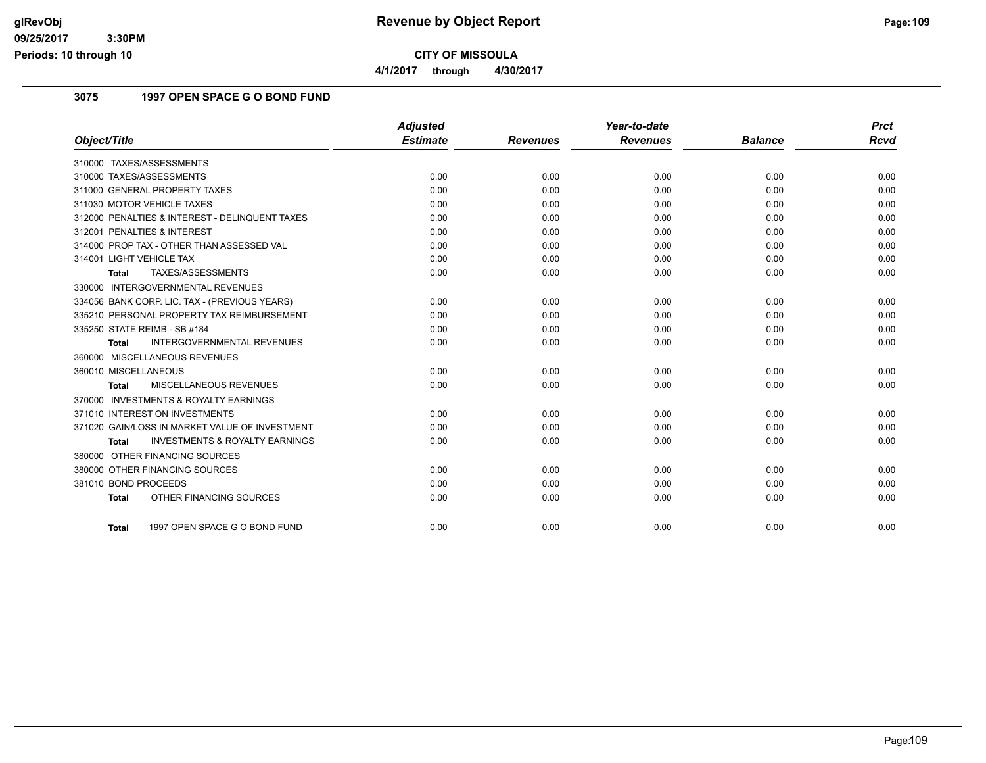**4/1/2017 through 4/30/2017**

## **3075 1997 OPEN SPACE G O BOND FUND**

|                                                           | <b>Adjusted</b> |                 | Year-to-date    |                | <b>Prct</b> |
|-----------------------------------------------------------|-----------------|-----------------|-----------------|----------------|-------------|
| Object/Title                                              | <b>Estimate</b> | <b>Revenues</b> | <b>Revenues</b> | <b>Balance</b> | <b>Rcvd</b> |
| 310000 TAXES/ASSESSMENTS                                  |                 |                 |                 |                |             |
| 310000 TAXES/ASSESSMENTS                                  | 0.00            | 0.00            | 0.00            | 0.00           | 0.00        |
| 311000 GENERAL PROPERTY TAXES                             | 0.00            | 0.00            | 0.00            | 0.00           | 0.00        |
| 311030 MOTOR VEHICLE TAXES                                | 0.00            | 0.00            | 0.00            | 0.00           | 0.00        |
| 312000 PENALTIES & INTEREST - DELINQUENT TAXES            | 0.00            | 0.00            | 0.00            | 0.00           | 0.00        |
| 312001 PENALTIES & INTEREST                               | 0.00            | 0.00            | 0.00            | 0.00           | 0.00        |
| 314000 PROP TAX - OTHER THAN ASSESSED VAL                 | 0.00            | 0.00            | 0.00            | 0.00           | 0.00        |
| 314001 LIGHT VEHICLE TAX                                  | 0.00            | 0.00            | 0.00            | 0.00           | 0.00        |
| TAXES/ASSESSMENTS<br><b>Total</b>                         | 0.00            | 0.00            | 0.00            | 0.00           | 0.00        |
| 330000 INTERGOVERNMENTAL REVENUES                         |                 |                 |                 |                |             |
| 334056 BANK CORP. LIC. TAX - (PREVIOUS YEARS)             | 0.00            | 0.00            | 0.00            | 0.00           | 0.00        |
| 335210 PERSONAL PROPERTY TAX REIMBURSEMENT                | 0.00            | 0.00            | 0.00            | 0.00           | 0.00        |
| 335250 STATE REIMB - SB #184                              | 0.00            | 0.00            | 0.00            | 0.00           | 0.00        |
| <b>INTERGOVERNMENTAL REVENUES</b><br><b>Total</b>         | 0.00            | 0.00            | 0.00            | 0.00           | 0.00        |
| 360000 MISCELLANEOUS REVENUES                             |                 |                 |                 |                |             |
| 360010 MISCELLANEOUS                                      | 0.00            | 0.00            | 0.00            | 0.00           | 0.00        |
| <b>MISCELLANEOUS REVENUES</b><br><b>Total</b>             | 0.00            | 0.00            | 0.00            | 0.00           | 0.00        |
| 370000 INVESTMENTS & ROYALTY EARNINGS                     |                 |                 |                 |                |             |
| 371010 INTEREST ON INVESTMENTS                            | 0.00            | 0.00            | 0.00            | 0.00           | 0.00        |
| 371020 GAIN/LOSS IN MARKET VALUE OF INVESTMENT            | 0.00            | 0.00            | 0.00            | 0.00           | 0.00        |
| <b>INVESTMENTS &amp; ROYALTY EARNINGS</b><br><b>Total</b> | 0.00            | 0.00            | 0.00            | 0.00           | 0.00        |
| 380000 OTHER FINANCING SOURCES                            |                 |                 |                 |                |             |
| 380000 OTHER FINANCING SOURCES                            | 0.00            | 0.00            | 0.00            | 0.00           | 0.00        |
| 381010 BOND PROCEEDS                                      | 0.00            | 0.00            | 0.00            | 0.00           | 0.00        |
| OTHER FINANCING SOURCES<br><b>Total</b>                   | 0.00            | 0.00            | 0.00            | 0.00           | 0.00        |
| 1997 OPEN SPACE G O BOND FUND<br><b>Total</b>             | 0.00            | 0.00            | 0.00            | 0.00           | 0.00        |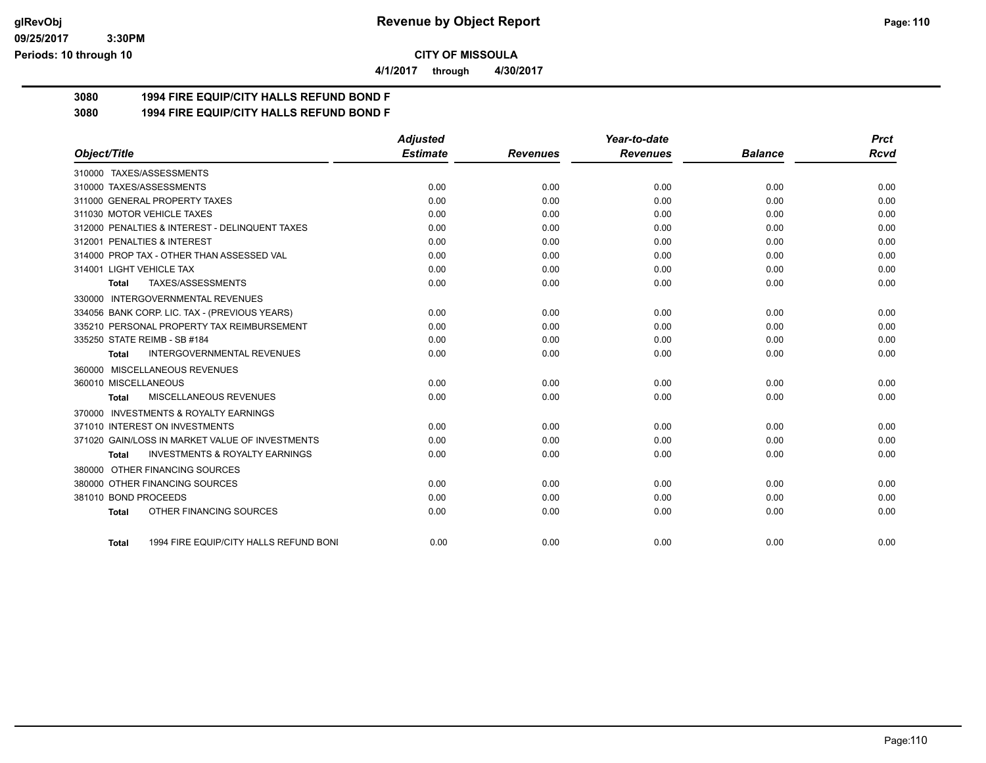**4/1/2017 through 4/30/2017**

## **3080 1994 FIRE EQUIP/CITY HALLS REFUND BOND F**

**3080 1994 FIRE EQUIP/CITY HALLS REFUND BOND F**

|                                                        | <b>Adjusted</b> |                 | Year-to-date    |                | <b>Prct</b> |
|--------------------------------------------------------|-----------------|-----------------|-----------------|----------------|-------------|
| Object/Title                                           | <b>Estimate</b> | <b>Revenues</b> | <b>Revenues</b> | <b>Balance</b> | <b>Rcvd</b> |
| 310000 TAXES/ASSESSMENTS                               |                 |                 |                 |                |             |
| 310000 TAXES/ASSESSMENTS                               | 0.00            | 0.00            | 0.00            | 0.00           | 0.00        |
| 311000 GENERAL PROPERTY TAXES                          | 0.00            | 0.00            | 0.00            | 0.00           | 0.00        |
| 311030 MOTOR VEHICLE TAXES                             | 0.00            | 0.00            | 0.00            | 0.00           | 0.00        |
| 312000 PENALTIES & INTEREST - DELINQUENT TAXES         | 0.00            | 0.00            | 0.00            | 0.00           | 0.00        |
| 312001 PENALTIES & INTEREST                            | 0.00            | 0.00            | 0.00            | 0.00           | 0.00        |
| 314000 PROP TAX - OTHER THAN ASSESSED VAL              | 0.00            | 0.00            | 0.00            | 0.00           | 0.00        |
| 314001 LIGHT VEHICLE TAX                               | 0.00            | 0.00            | 0.00            | 0.00           | 0.00        |
| TAXES/ASSESSMENTS<br>Total                             | 0.00            | 0.00            | 0.00            | 0.00           | 0.00        |
| 330000 INTERGOVERNMENTAL REVENUES                      |                 |                 |                 |                |             |
| 334056 BANK CORP. LIC. TAX - (PREVIOUS YEARS)          | 0.00            | 0.00            | 0.00            | 0.00           | 0.00        |
| 335210 PERSONAL PROPERTY TAX REIMBURSEMENT             | 0.00            | 0.00            | 0.00            | 0.00           | 0.00        |
| 335250 STATE REIMB - SB #184                           | 0.00            | 0.00            | 0.00            | 0.00           | 0.00        |
| <b>INTERGOVERNMENTAL REVENUES</b><br><b>Total</b>      | 0.00            | 0.00            | 0.00            | 0.00           | 0.00        |
| 360000 MISCELLANEOUS REVENUES                          |                 |                 |                 |                |             |
| 360010 MISCELLANEOUS                                   | 0.00            | 0.00            | 0.00            | 0.00           | 0.00        |
| <b>MISCELLANEOUS REVENUES</b><br>Total                 | 0.00            | 0.00            | 0.00            | 0.00           | 0.00        |
| <b>INVESTMENTS &amp; ROYALTY EARNINGS</b><br>370000    |                 |                 |                 |                |             |
| 371010 INTEREST ON INVESTMENTS                         | 0.00            | 0.00            | 0.00            | 0.00           | 0.00        |
| 371020 GAIN/LOSS IN MARKET VALUE OF INVESTMENTS        | 0.00            | 0.00            | 0.00            | 0.00           | 0.00        |
| <b>INVESTMENTS &amp; ROYALTY EARNINGS</b><br>Total     | 0.00            | 0.00            | 0.00            | 0.00           | 0.00        |
| 380000 OTHER FINANCING SOURCES                         |                 |                 |                 |                |             |
| 380000 OTHER FINANCING SOURCES                         | 0.00            | 0.00            | 0.00            | 0.00           | 0.00        |
| 381010 BOND PROCEEDS                                   | 0.00            | 0.00            | 0.00            | 0.00           | 0.00        |
| OTHER FINANCING SOURCES<br><b>Total</b>                | 0.00            | 0.00            | 0.00            | 0.00           | 0.00        |
| 1994 FIRE EQUIP/CITY HALLS REFUND BONI<br><b>Total</b> | 0.00            | 0.00            | 0.00            | 0.00           | 0.00        |
|                                                        |                 |                 |                 |                |             |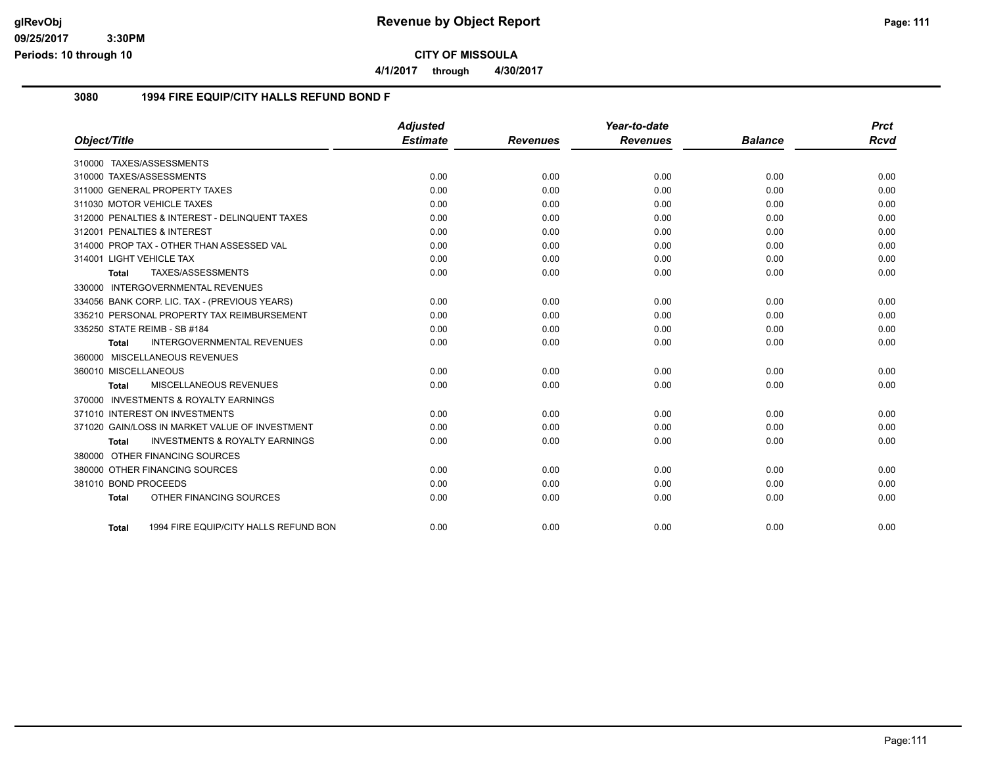**4/1/2017 through 4/30/2017**

## **3080 1994 FIRE EQUIP/CITY HALLS REFUND BOND F**

|                                                           | <b>Adjusted</b> |                 | Year-to-date    |                | <b>Prct</b> |
|-----------------------------------------------------------|-----------------|-----------------|-----------------|----------------|-------------|
| Object/Title                                              | <b>Estimate</b> | <b>Revenues</b> | <b>Revenues</b> | <b>Balance</b> | <b>Rcvd</b> |
| 310000 TAXES/ASSESSMENTS                                  |                 |                 |                 |                |             |
| 310000 TAXES/ASSESSMENTS                                  | 0.00            | 0.00            | 0.00            | 0.00           | 0.00        |
| 311000 GENERAL PROPERTY TAXES                             | 0.00            | 0.00            | 0.00            | 0.00           | 0.00        |
| 311030 MOTOR VEHICLE TAXES                                | 0.00            | 0.00            | 0.00            | 0.00           | 0.00        |
| 312000 PENALTIES & INTEREST - DELINQUENT TAXES            | 0.00            | 0.00            | 0.00            | 0.00           | 0.00        |
| 312001 PENALTIES & INTEREST                               | 0.00            | 0.00            | 0.00            | 0.00           | 0.00        |
| 314000 PROP TAX - OTHER THAN ASSESSED VAL                 | 0.00            | 0.00            | 0.00            | 0.00           | 0.00        |
| 314001 LIGHT VEHICLE TAX                                  | 0.00            | 0.00            | 0.00            | 0.00           | 0.00        |
| TAXES/ASSESSMENTS<br><b>Total</b>                         | 0.00            | 0.00            | 0.00            | 0.00           | 0.00        |
| 330000 INTERGOVERNMENTAL REVENUES                         |                 |                 |                 |                |             |
| 334056 BANK CORP. LIC. TAX - (PREVIOUS YEARS)             | 0.00            | 0.00            | 0.00            | 0.00           | 0.00        |
| 335210 PERSONAL PROPERTY TAX REIMBURSEMENT                | 0.00            | 0.00            | 0.00            | 0.00           | 0.00        |
| 335250 STATE REIMB - SB #184                              | 0.00            | 0.00            | 0.00            | 0.00           | 0.00        |
| <b>INTERGOVERNMENTAL REVENUES</b><br><b>Total</b>         | 0.00            | 0.00            | 0.00            | 0.00           | 0.00        |
| 360000 MISCELLANEOUS REVENUES                             |                 |                 |                 |                |             |
| 360010 MISCELLANEOUS                                      | 0.00            | 0.00            | 0.00            | 0.00           | 0.00        |
| MISCELLANEOUS REVENUES<br><b>Total</b>                    | 0.00            | 0.00            | 0.00            | 0.00           | 0.00        |
| 370000 INVESTMENTS & ROYALTY EARNINGS                     |                 |                 |                 |                |             |
| 371010 INTEREST ON INVESTMENTS                            | 0.00            | 0.00            | 0.00            | 0.00           | 0.00        |
| 371020 GAIN/LOSS IN MARKET VALUE OF INVESTMENT            | 0.00            | 0.00            | 0.00            | 0.00           | 0.00        |
| <b>INVESTMENTS &amp; ROYALTY EARNINGS</b><br><b>Total</b> | 0.00            | 0.00            | 0.00            | 0.00           | 0.00        |
| 380000 OTHER FINANCING SOURCES                            |                 |                 |                 |                |             |
| 380000 OTHER FINANCING SOURCES                            | 0.00            | 0.00            | 0.00            | 0.00           | 0.00        |
| 381010 BOND PROCEEDS                                      | 0.00            | 0.00            | 0.00            | 0.00           | 0.00        |
| OTHER FINANCING SOURCES<br><b>Total</b>                   | 0.00            | 0.00            | 0.00            | 0.00           | 0.00        |
| 1994 FIRE EQUIP/CITY HALLS REFUND BON<br>Total            | 0.00            | 0.00            | 0.00            | 0.00           | 0.00        |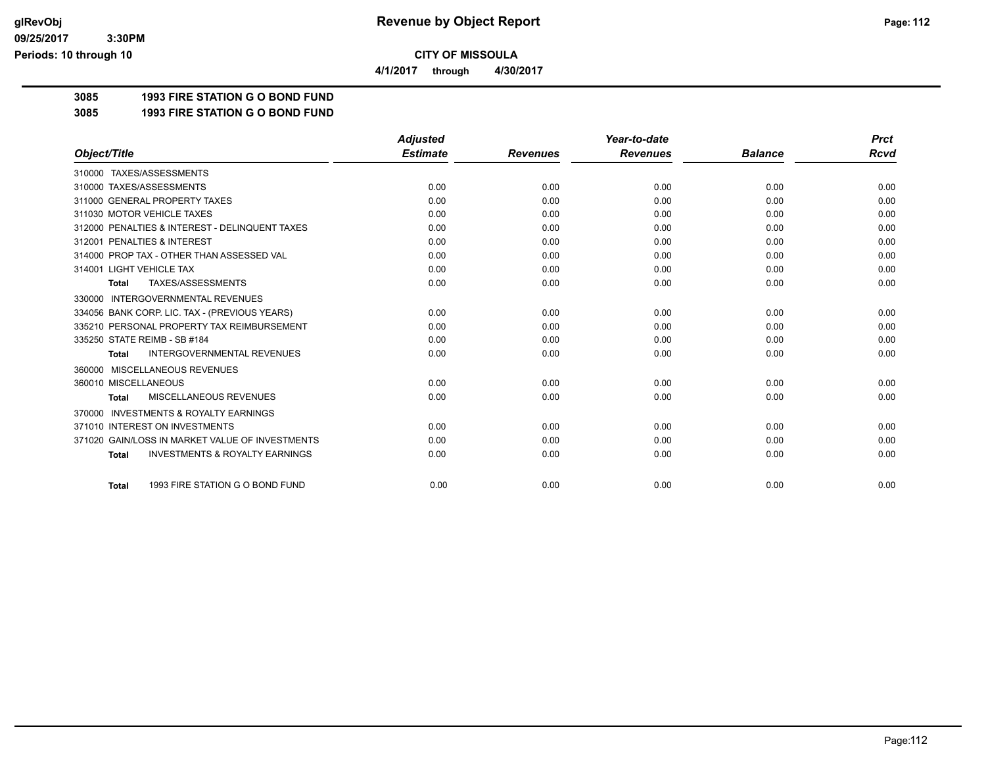**4/1/2017 through 4/30/2017**

**3085 1993 FIRE STATION G O BOND FUND**

**3085 1993 FIRE STATION G O BOND FUND**

|                                                           | <b>Adjusted</b> |                 | Year-to-date    |                | <b>Prct</b> |
|-----------------------------------------------------------|-----------------|-----------------|-----------------|----------------|-------------|
| Object/Title                                              | <b>Estimate</b> | <b>Revenues</b> | <b>Revenues</b> | <b>Balance</b> | Rcvd        |
| 310000 TAXES/ASSESSMENTS                                  |                 |                 |                 |                |             |
| 310000 TAXES/ASSESSMENTS                                  | 0.00            | 0.00            | 0.00            | 0.00           | 0.00        |
| 311000 GENERAL PROPERTY TAXES                             | 0.00            | 0.00            | 0.00            | 0.00           | 0.00        |
| 311030 MOTOR VEHICLE TAXES                                | 0.00            | 0.00            | 0.00            | 0.00           | 0.00        |
| 312000 PENALTIES & INTEREST - DELINQUENT TAXES            | 0.00            | 0.00            | 0.00            | 0.00           | 0.00        |
| 312001 PENALTIES & INTEREST                               | 0.00            | 0.00            | 0.00            | 0.00           | 0.00        |
| 314000 PROP TAX - OTHER THAN ASSESSED VAL                 | 0.00            | 0.00            | 0.00            | 0.00           | 0.00        |
| 314001 LIGHT VEHICLE TAX                                  | 0.00            | 0.00            | 0.00            | 0.00           | 0.00        |
| TAXES/ASSESSMENTS<br><b>Total</b>                         | 0.00            | 0.00            | 0.00            | 0.00           | 0.00        |
| <b>INTERGOVERNMENTAL REVENUES</b><br>330000               |                 |                 |                 |                |             |
| 334056 BANK CORP. LIC. TAX - (PREVIOUS YEARS)             | 0.00            | 0.00            | 0.00            | 0.00           | 0.00        |
| 335210 PERSONAL PROPERTY TAX REIMBURSEMENT                | 0.00            | 0.00            | 0.00            | 0.00           | 0.00        |
| 335250 STATE REIMB - SB #184                              | 0.00            | 0.00            | 0.00            | 0.00           | 0.00        |
| <b>INTERGOVERNMENTAL REVENUES</b><br><b>Total</b>         | 0.00            | 0.00            | 0.00            | 0.00           | 0.00        |
| MISCELLANEOUS REVENUES<br>360000                          |                 |                 |                 |                |             |
| 360010 MISCELLANEOUS                                      | 0.00            | 0.00            | 0.00            | 0.00           | 0.00        |
| <b>MISCELLANEOUS REVENUES</b><br><b>Total</b>             | 0.00            | 0.00            | 0.00            | 0.00           | 0.00        |
| <b>INVESTMENTS &amp; ROYALTY EARNINGS</b><br>370000       |                 |                 |                 |                |             |
| 371010 INTEREST ON INVESTMENTS                            | 0.00            | 0.00            | 0.00            | 0.00           | 0.00        |
| 371020 GAIN/LOSS IN MARKET VALUE OF INVESTMENTS           | 0.00            | 0.00            | 0.00            | 0.00           | 0.00        |
| <b>INVESTMENTS &amp; ROYALTY EARNINGS</b><br><b>Total</b> | 0.00            | 0.00            | 0.00            | 0.00           | 0.00        |
|                                                           |                 |                 |                 |                |             |
| 1993 FIRE STATION G O BOND FUND<br><b>Total</b>           | 0.00            | 0.00            | 0.00            | 0.00           | 0.00        |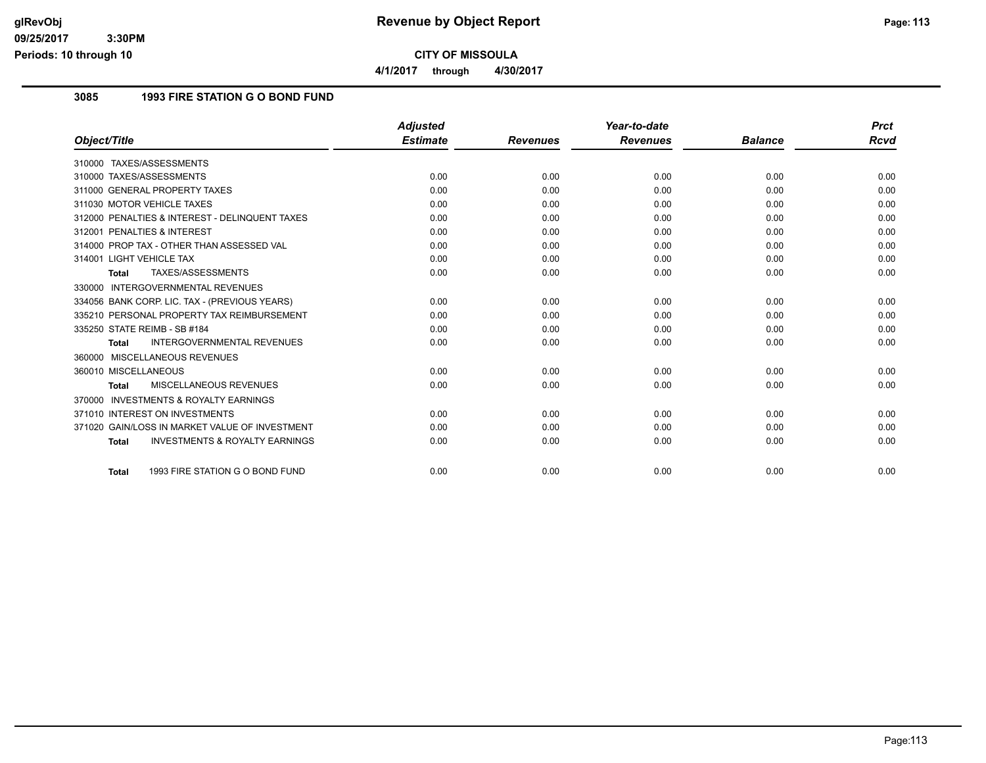**4/1/2017 through 4/30/2017**

## **3085 1993 FIRE STATION G O BOND FUND**

|                                                           | <b>Adjusted</b> |                 | Year-to-date    |                | <b>Prct</b> |
|-----------------------------------------------------------|-----------------|-----------------|-----------------|----------------|-------------|
| Object/Title                                              | <b>Estimate</b> | <b>Revenues</b> | <b>Revenues</b> | <b>Balance</b> | Rcvd        |
| 310000 TAXES/ASSESSMENTS                                  |                 |                 |                 |                |             |
| 310000 TAXES/ASSESSMENTS                                  | 0.00            | 0.00            | 0.00            | 0.00           | 0.00        |
| 311000 GENERAL PROPERTY TAXES                             | 0.00            | 0.00            | 0.00            | 0.00           | 0.00        |
| 311030 MOTOR VEHICLE TAXES                                | 0.00            | 0.00            | 0.00            | 0.00           | 0.00        |
| 312000 PENALTIES & INTEREST - DELINQUENT TAXES            | 0.00            | 0.00            | 0.00            | 0.00           | 0.00        |
| 312001 PENALTIES & INTEREST                               | 0.00            | 0.00            | 0.00            | 0.00           | 0.00        |
| 314000 PROP TAX - OTHER THAN ASSESSED VAL                 | 0.00            | 0.00            | 0.00            | 0.00           | 0.00        |
| 314001 LIGHT VEHICLE TAX                                  | 0.00            | 0.00            | 0.00            | 0.00           | 0.00        |
| TAXES/ASSESSMENTS<br><b>Total</b>                         | 0.00            | 0.00            | 0.00            | 0.00           | 0.00        |
| 330000 INTERGOVERNMENTAL REVENUES                         |                 |                 |                 |                |             |
| 334056 BANK CORP. LIC. TAX - (PREVIOUS YEARS)             | 0.00            | 0.00            | 0.00            | 0.00           | 0.00        |
| 335210 PERSONAL PROPERTY TAX REIMBURSEMENT                | 0.00            | 0.00            | 0.00            | 0.00           | 0.00        |
| 335250 STATE REIMB - SB #184                              | 0.00            | 0.00            | 0.00            | 0.00           | 0.00        |
| <b>INTERGOVERNMENTAL REVENUES</b><br><b>Total</b>         | 0.00            | 0.00            | 0.00            | 0.00           | 0.00        |
| 360000 MISCELLANEOUS REVENUES                             |                 |                 |                 |                |             |
| 360010 MISCELLANEOUS                                      | 0.00            | 0.00            | 0.00            | 0.00           | 0.00        |
| <b>MISCELLANEOUS REVENUES</b><br><b>Total</b>             | 0.00            | 0.00            | 0.00            | 0.00           | 0.00        |
| 370000 INVESTMENTS & ROYALTY EARNINGS                     |                 |                 |                 |                |             |
| 371010 INTEREST ON INVESTMENTS                            | 0.00            | 0.00            | 0.00            | 0.00           | 0.00        |
| 371020 GAIN/LOSS IN MARKET VALUE OF INVESTMENT            | 0.00            | 0.00            | 0.00            | 0.00           | 0.00        |
| <b>INVESTMENTS &amp; ROYALTY EARNINGS</b><br><b>Total</b> | 0.00            | 0.00            | 0.00            | 0.00           | 0.00        |
| 1993 FIRE STATION G O BOND FUND<br><b>Total</b>           | 0.00            | 0.00            | 0.00            | 0.00           | 0.00        |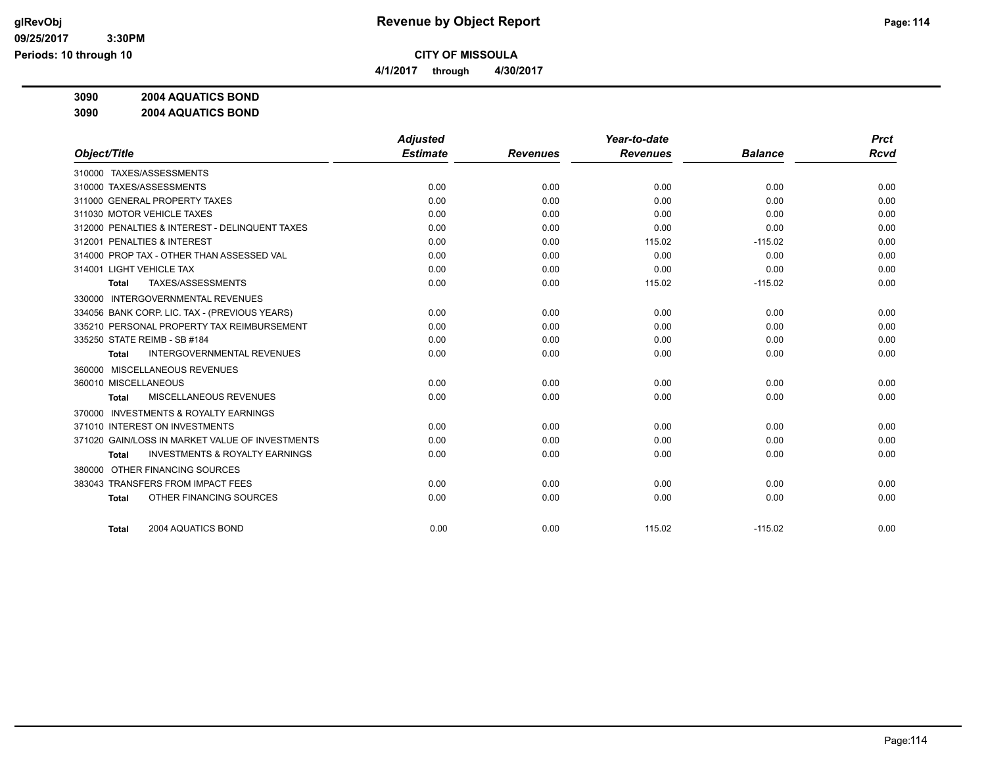**4/1/2017 through 4/30/2017**

**3090 2004 AQUATICS BOND**

**3090 2004 AQUATICS BOND**

|                                                           | <b>Adjusted</b> |                 | Year-to-date    |                | <b>Prct</b> |
|-----------------------------------------------------------|-----------------|-----------------|-----------------|----------------|-------------|
| Object/Title                                              | <b>Estimate</b> | <b>Revenues</b> | <b>Revenues</b> | <b>Balance</b> | <b>Rcvd</b> |
| 310000 TAXES/ASSESSMENTS                                  |                 |                 |                 |                |             |
| 310000 TAXES/ASSESSMENTS                                  | 0.00            | 0.00            | 0.00            | 0.00           | 0.00        |
| 311000 GENERAL PROPERTY TAXES                             | 0.00            | 0.00            | 0.00            | 0.00           | 0.00        |
| 311030 MOTOR VEHICLE TAXES                                | 0.00            | 0.00            | 0.00            | 0.00           | 0.00        |
| 312000 PENALTIES & INTEREST - DELINQUENT TAXES            | 0.00            | 0.00            | 0.00            | 0.00           | 0.00        |
| 312001 PENALTIES & INTEREST                               | 0.00            | 0.00            | 115.02          | $-115.02$      | 0.00        |
| 314000 PROP TAX - OTHER THAN ASSESSED VAL                 | 0.00            | 0.00            | 0.00            | 0.00           | 0.00        |
| 314001 LIGHT VEHICLE TAX                                  | 0.00            | 0.00            | 0.00            | 0.00           | 0.00        |
| TAXES/ASSESSMENTS<br><b>Total</b>                         | 0.00            | 0.00            | 115.02          | $-115.02$      | 0.00        |
| 330000 INTERGOVERNMENTAL REVENUES                         |                 |                 |                 |                |             |
| 334056 BANK CORP. LIC. TAX - (PREVIOUS YEARS)             | 0.00            | 0.00            | 0.00            | 0.00           | 0.00        |
| 335210 PERSONAL PROPERTY TAX REIMBURSEMENT                | 0.00            | 0.00            | 0.00            | 0.00           | 0.00        |
| 335250 STATE REIMB - SB #184                              | 0.00            | 0.00            | 0.00            | 0.00           | 0.00        |
| <b>INTERGOVERNMENTAL REVENUES</b><br><b>Total</b>         | 0.00            | 0.00            | 0.00            | 0.00           | 0.00        |
| 360000 MISCELLANEOUS REVENUES                             |                 |                 |                 |                |             |
| 360010 MISCELLANEOUS                                      | 0.00            | 0.00            | 0.00            | 0.00           | 0.00        |
| MISCELLANEOUS REVENUES<br><b>Total</b>                    | 0.00            | 0.00            | 0.00            | 0.00           | 0.00        |
| 370000 INVESTMENTS & ROYALTY EARNINGS                     |                 |                 |                 |                |             |
| 371010 INTEREST ON INVESTMENTS                            | 0.00            | 0.00            | 0.00            | 0.00           | 0.00        |
| 371020 GAIN/LOSS IN MARKET VALUE OF INVESTMENTS           | 0.00            | 0.00            | 0.00            | 0.00           | 0.00        |
| <b>INVESTMENTS &amp; ROYALTY EARNINGS</b><br><b>Total</b> | 0.00            | 0.00            | 0.00            | 0.00           | 0.00        |
| 380000 OTHER FINANCING SOURCES                            |                 |                 |                 |                |             |
| 383043 TRANSFERS FROM IMPACT FEES                         | 0.00            | 0.00            | 0.00            | 0.00           | 0.00        |
| OTHER FINANCING SOURCES<br><b>Total</b>                   | 0.00            | 0.00            | 0.00            | 0.00           | 0.00        |
| 2004 AQUATICS BOND<br><b>Total</b>                        | 0.00            | 0.00            | 115.02          | $-115.02$      | 0.00        |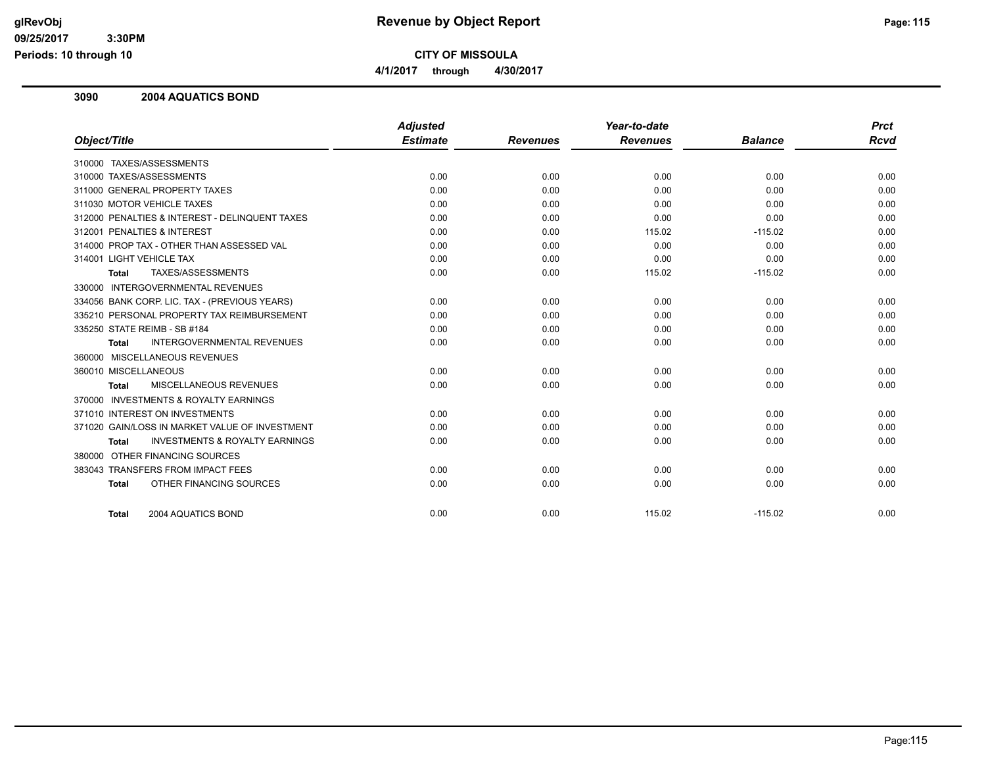**4/1/2017 through 4/30/2017**

## **3090 2004 AQUATICS BOND**

|                                                           | <b>Adjusted</b> |                 | Year-to-date    |                | <b>Prct</b> |
|-----------------------------------------------------------|-----------------|-----------------|-----------------|----------------|-------------|
| Object/Title                                              | <b>Estimate</b> | <b>Revenues</b> | <b>Revenues</b> | <b>Balance</b> | <b>Rcvd</b> |
| 310000 TAXES/ASSESSMENTS                                  |                 |                 |                 |                |             |
| 310000 TAXES/ASSESSMENTS                                  | 0.00            | 0.00            | 0.00            | 0.00           | 0.00        |
| 311000 GENERAL PROPERTY TAXES                             | 0.00            | 0.00            | 0.00            | 0.00           | 0.00        |
| 311030 MOTOR VEHICLE TAXES                                | 0.00            | 0.00            | 0.00            | 0.00           | 0.00        |
| 312000 PENALTIES & INTEREST - DELINQUENT TAXES            | 0.00            | 0.00            | 0.00            | 0.00           | 0.00        |
| 312001 PENALTIES & INTEREST                               | 0.00            | 0.00            | 115.02          | $-115.02$      | 0.00        |
| 314000 PROP TAX - OTHER THAN ASSESSED VAL                 | 0.00            | 0.00            | 0.00            | 0.00           | 0.00        |
| 314001 LIGHT VEHICLE TAX                                  | 0.00            | 0.00            | 0.00            | 0.00           | 0.00        |
| TAXES/ASSESSMENTS<br><b>Total</b>                         | 0.00            | 0.00            | 115.02          | $-115.02$      | 0.00        |
| 330000 INTERGOVERNMENTAL REVENUES                         |                 |                 |                 |                |             |
| 334056 BANK CORP. LIC. TAX - (PREVIOUS YEARS)             | 0.00            | 0.00            | 0.00            | 0.00           | 0.00        |
| 335210 PERSONAL PROPERTY TAX REIMBURSEMENT                | 0.00            | 0.00            | 0.00            | 0.00           | 0.00        |
| 335250 STATE REIMB - SB #184                              | 0.00            | 0.00            | 0.00            | 0.00           | 0.00        |
| <b>INTERGOVERNMENTAL REVENUES</b><br><b>Total</b>         | 0.00            | 0.00            | 0.00            | 0.00           | 0.00        |
| 360000 MISCELLANEOUS REVENUES                             |                 |                 |                 |                |             |
| 360010 MISCELLANEOUS                                      | 0.00            | 0.00            | 0.00            | 0.00           | 0.00        |
| <b>MISCELLANEOUS REVENUES</b><br><b>Total</b>             | 0.00            | 0.00            | 0.00            | 0.00           | 0.00        |
| 370000 INVESTMENTS & ROYALTY EARNINGS                     |                 |                 |                 |                |             |
| 371010 INTEREST ON INVESTMENTS                            | 0.00            | 0.00            | 0.00            | 0.00           | 0.00        |
| 371020 GAIN/LOSS IN MARKET VALUE OF INVESTMENT            | 0.00            | 0.00            | 0.00            | 0.00           | 0.00        |
| <b>INVESTMENTS &amp; ROYALTY EARNINGS</b><br><b>Total</b> | 0.00            | 0.00            | 0.00            | 0.00           | 0.00        |
| 380000 OTHER FINANCING SOURCES                            |                 |                 |                 |                |             |
| 383043 TRANSFERS FROM IMPACT FEES                         | 0.00            | 0.00            | 0.00            | 0.00           | 0.00        |
| OTHER FINANCING SOURCES<br><b>Total</b>                   | 0.00            | 0.00            | 0.00            | 0.00           | 0.00        |
| 2004 AQUATICS BOND<br><b>Total</b>                        | 0.00            | 0.00            | 115.02          | $-115.02$      | 0.00        |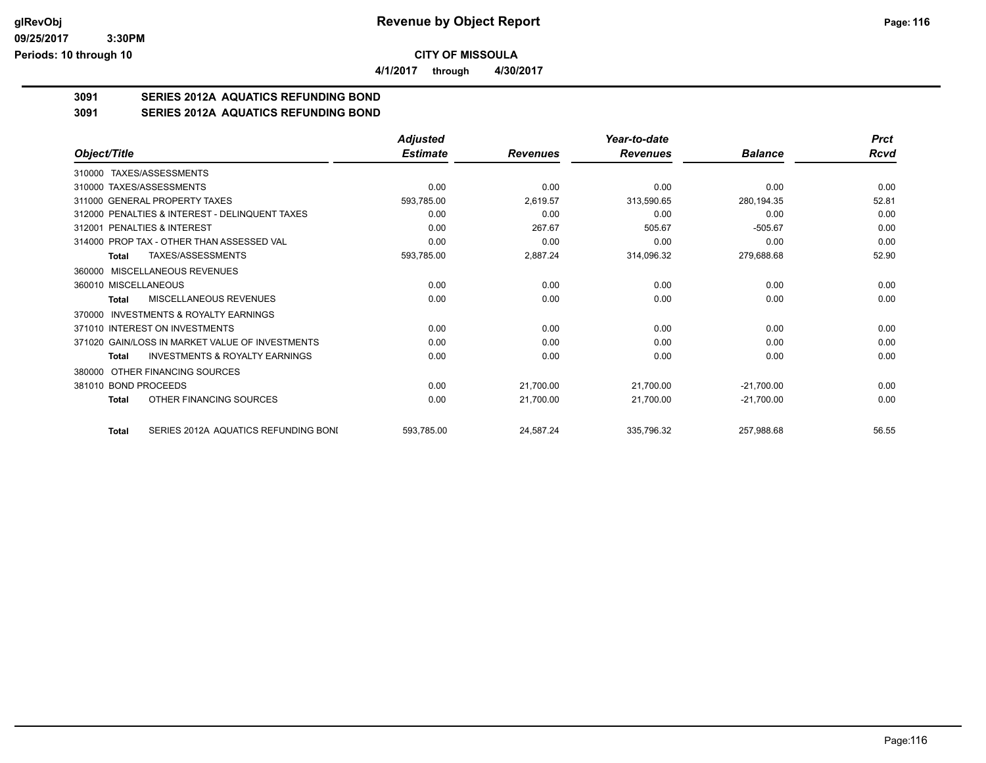**4/1/2017 through 4/30/2017**

## **3091 SERIES 2012A AQUATICS REFUNDING BOND**

## **3091 SERIES 2012A AQUATICS REFUNDING BOND**

|                                                           | <b>Adjusted</b> |                 | Year-to-date    |                | <b>Prct</b> |
|-----------------------------------------------------------|-----------------|-----------------|-----------------|----------------|-------------|
| Object/Title                                              | <b>Estimate</b> | <b>Revenues</b> | <b>Revenues</b> | <b>Balance</b> | Rcvd        |
| TAXES/ASSESSMENTS<br>310000                               |                 |                 |                 |                |             |
| 310000 TAXES/ASSESSMENTS                                  | 0.00            | 0.00            | 0.00            | 0.00           | 0.00        |
| 311000 GENERAL PROPERTY TAXES                             | 593,785.00      | 2,619.57        | 313,590.65      | 280,194.35     | 52.81       |
| 312000 PENALTIES & INTEREST - DELINQUENT TAXES            | 0.00            | 0.00            | 0.00            | 0.00           | 0.00        |
| 312001 PENALTIES & INTEREST                               | 0.00            | 267.67          | 505.67          | $-505.67$      | 0.00        |
| 314000 PROP TAX - OTHER THAN ASSESSED VAL                 | 0.00            | 0.00            | 0.00            | 0.00           | 0.00        |
| TAXES/ASSESSMENTS<br><b>Total</b>                         | 593,785.00      | 2,887.24        | 314,096.32      | 279,688.68     | 52.90       |
| <b>MISCELLANEOUS REVENUES</b><br>360000                   |                 |                 |                 |                |             |
| 360010 MISCELLANEOUS                                      | 0.00            | 0.00            | 0.00            | 0.00           | 0.00        |
| <b>MISCELLANEOUS REVENUES</b><br><b>Total</b>             | 0.00            | 0.00            | 0.00            | 0.00           | 0.00        |
| <b>INVESTMENTS &amp; ROYALTY EARNINGS</b><br>370000       |                 |                 |                 |                |             |
| 371010 INTEREST ON INVESTMENTS                            | 0.00            | 0.00            | 0.00            | 0.00           | 0.00        |
| 371020 GAIN/LOSS IN MARKET VALUE OF INVESTMENTS           | 0.00            | 0.00            | 0.00            | 0.00           | 0.00        |
| <b>INVESTMENTS &amp; ROYALTY EARNINGS</b><br><b>Total</b> | 0.00            | 0.00            | 0.00            | 0.00           | 0.00        |
| OTHER FINANCING SOURCES<br>380000                         |                 |                 |                 |                |             |
| 381010 BOND PROCEEDS                                      | 0.00            | 21,700.00       | 21,700.00       | $-21,700.00$   | 0.00        |
| OTHER FINANCING SOURCES<br><b>Total</b>                   | 0.00            | 21,700.00       | 21,700.00       | $-21,700.00$   | 0.00        |
| SERIES 2012A AQUATICS REFUNDING BONI<br>Total             | 593,785.00      | 24,587.24       | 335,796.32      | 257,988.68     | 56.55       |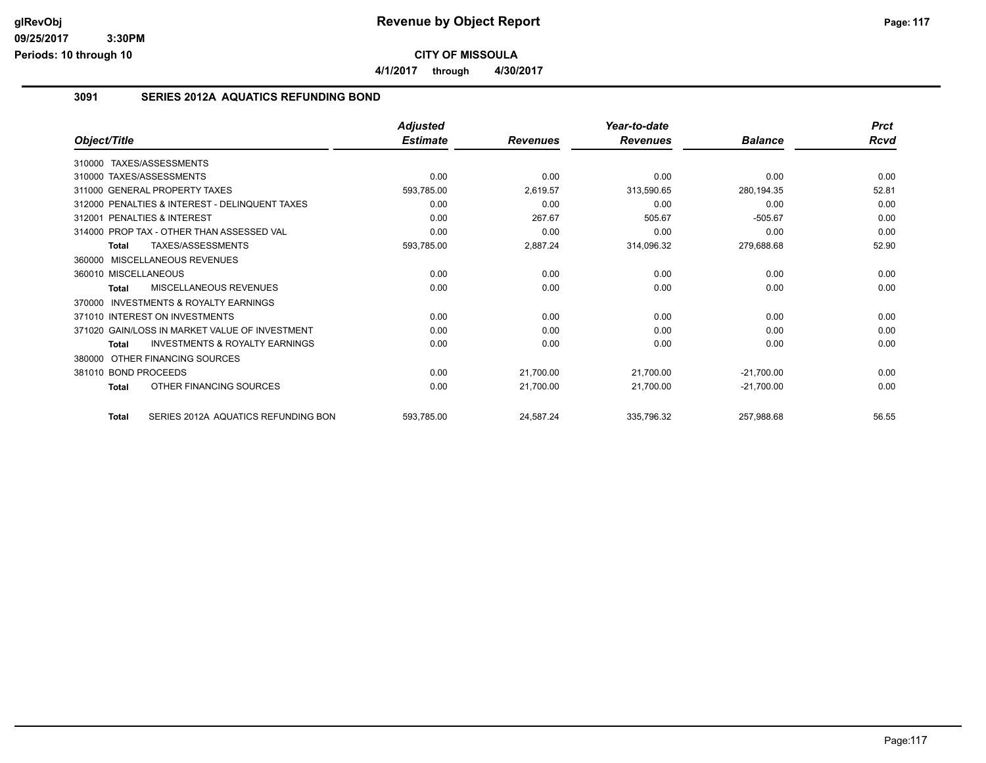**4/1/2017 through 4/30/2017**

## **3091 SERIES 2012A AQUATICS REFUNDING BOND**

|                                                           | <b>Adjusted</b> |                 | Year-to-date    |                | <b>Prct</b> |
|-----------------------------------------------------------|-----------------|-----------------|-----------------|----------------|-------------|
| Object/Title                                              | <b>Estimate</b> | <b>Revenues</b> | <b>Revenues</b> | <b>Balance</b> | <b>Rcvd</b> |
| 310000 TAXES/ASSESSMENTS                                  |                 |                 |                 |                |             |
| 310000 TAXES/ASSESSMENTS                                  | 0.00            | 0.00            | 0.00            | 0.00           | 0.00        |
| 311000 GENERAL PROPERTY TAXES                             | 593,785.00      | 2,619.57        | 313,590.65      | 280,194.35     | 52.81       |
| 312000 PENALTIES & INTEREST - DELINQUENT TAXES            | 0.00            | 0.00            | 0.00            | 0.00           | 0.00        |
| PENALTIES & INTEREST<br>312001                            | 0.00            | 267.67          | 505.67          | $-505.67$      | 0.00        |
| 314000 PROP TAX - OTHER THAN ASSESSED VAL                 | 0.00            | 0.00            | 0.00            | 0.00           | 0.00        |
| TAXES/ASSESSMENTS<br>Total                                | 593,785.00      | 2,887.24        | 314,096.32      | 279,688.68     | 52.90       |
| 360000 MISCELLANEOUS REVENUES                             |                 |                 |                 |                |             |
| 360010 MISCELLANEOUS                                      | 0.00            | 0.00            | 0.00            | 0.00           | 0.00        |
| MISCELLANEOUS REVENUES<br>Total                           | 0.00            | 0.00            | 0.00            | 0.00           | 0.00        |
| <b>INVESTMENTS &amp; ROYALTY EARNINGS</b><br>370000       |                 |                 |                 |                |             |
| 371010 INTEREST ON INVESTMENTS                            | 0.00            | 0.00            | 0.00            | 0.00           | 0.00        |
| 371020 GAIN/LOSS IN MARKET VALUE OF INVESTMENT            | 0.00            | 0.00            | 0.00            | 0.00           | 0.00        |
| <b>INVESTMENTS &amp; ROYALTY EARNINGS</b><br><b>Total</b> | 0.00            | 0.00            | 0.00            | 0.00           | 0.00        |
| OTHER FINANCING SOURCES<br>380000                         |                 |                 |                 |                |             |
| 381010 BOND PROCEEDS                                      | 0.00            | 21,700.00       | 21,700.00       | $-21,700.00$   | 0.00        |
| OTHER FINANCING SOURCES<br><b>Total</b>                   | 0.00            | 21,700.00       | 21,700.00       | $-21,700.00$   | 0.00        |
| SERIES 2012A AQUATICS REFUNDING BON<br><b>Total</b>       | 593,785.00      | 24,587.24       | 335,796.32      | 257,988.68     | 56.55       |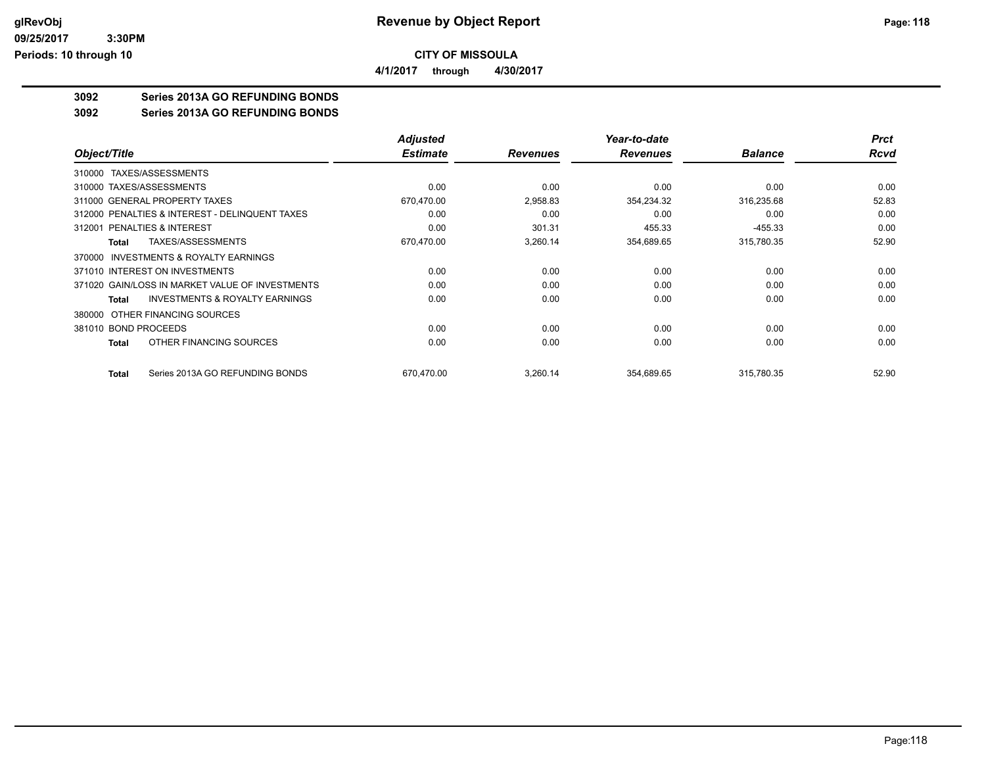**4/1/2017 through 4/30/2017**

## **3092 Series 2013A GO REFUNDING BONDS**

## **3092 Series 2013A GO REFUNDING BONDS**

|                                                     | <b>Adjusted</b> |                 | Year-to-date    |                | <b>Prct</b> |
|-----------------------------------------------------|-----------------|-----------------|-----------------|----------------|-------------|
| Object/Title                                        | <b>Estimate</b> | <b>Revenues</b> | <b>Revenues</b> | <b>Balance</b> | <b>Rcvd</b> |
| 310000 TAXES/ASSESSMENTS                            |                 |                 |                 |                |             |
| 310000 TAXES/ASSESSMENTS                            | 0.00            | 0.00            | 0.00            | 0.00           | 0.00        |
| 311000 GENERAL PROPERTY TAXES                       | 670,470.00      | 2,958.83        | 354,234.32      | 316,235.68     | 52.83       |
| 312000 PENALTIES & INTEREST - DELINQUENT TAXES      | 0.00            | 0.00            | 0.00            | 0.00           | 0.00        |
| 312001 PENALTIES & INTEREST                         | 0.00            | 301.31          | 455.33          | $-455.33$      | 0.00        |
| TAXES/ASSESSMENTS<br>Total                          | 670,470.00      | 3,260.14        | 354,689.65      | 315,780.35     | 52.90       |
| <b>INVESTMENTS &amp; ROYALTY EARNINGS</b><br>370000 |                 |                 |                 |                |             |
| 371010 INTEREST ON INVESTMENTS                      | 0.00            | 0.00            | 0.00            | 0.00           | 0.00        |
| 371020 GAIN/LOSS IN MARKET VALUE OF INVESTMENTS     | 0.00            | 0.00            | 0.00            | 0.00           | 0.00        |
| <b>INVESTMENTS &amp; ROYALTY EARNINGS</b><br>Total  | 0.00            | 0.00            | 0.00            | 0.00           | 0.00        |
| OTHER FINANCING SOURCES<br>380000                   |                 |                 |                 |                |             |
| 381010 BOND PROCEEDS                                | 0.00            | 0.00            | 0.00            | 0.00           | 0.00        |
| OTHER FINANCING SOURCES<br>Total                    | 0.00            | 0.00            | 0.00            | 0.00           | 0.00        |
| Series 2013A GO REFUNDING BONDS<br><b>Total</b>     | 670,470.00      | 3,260.14        | 354,689.65      | 315,780.35     | 52.90       |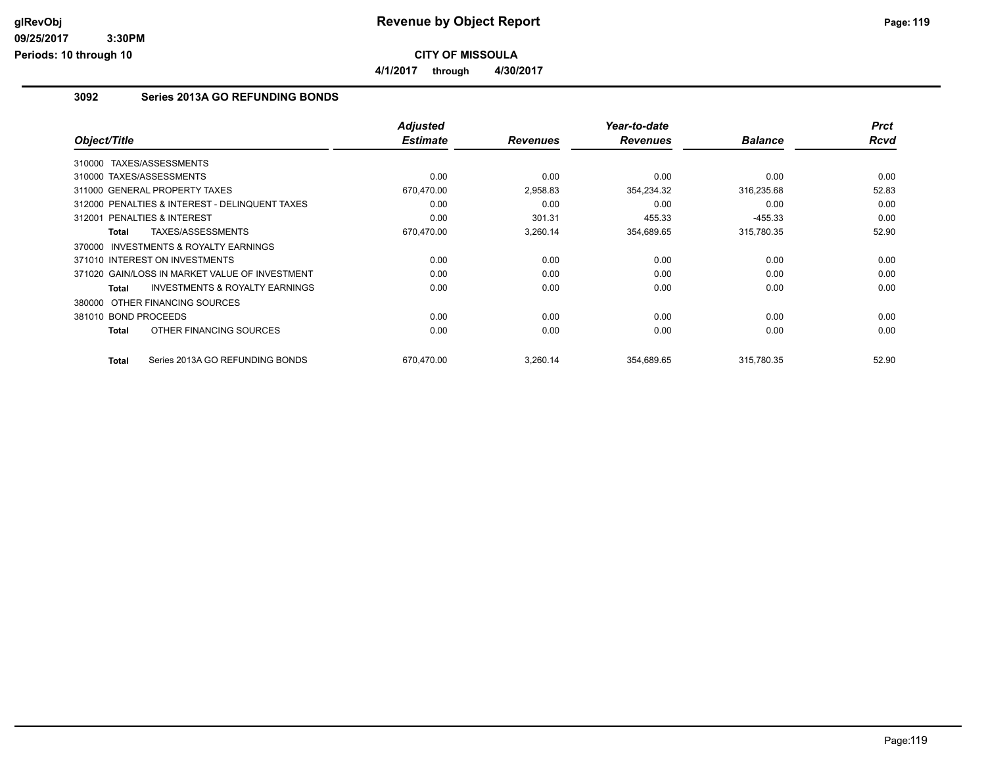**4/1/2017 through 4/30/2017**

## **3092 Series 2013A GO REFUNDING BONDS**

| Object/Title                                              | <b>Adjusted</b><br><b>Estimate</b> | <b>Revenues</b> | Year-to-date<br><b>Revenues</b> | <b>Balance</b> | <b>Prct</b><br><b>Rcvd</b> |
|-----------------------------------------------------------|------------------------------------|-----------------|---------------------------------|----------------|----------------------------|
| 310000 TAXES/ASSESSMENTS                                  |                                    |                 |                                 |                |                            |
| 310000 TAXES/ASSESSMENTS                                  | 0.00                               | 0.00            | 0.00                            | 0.00           | 0.00                       |
| 311000 GENERAL PROPERTY TAXES                             | 670,470.00                         | 2,958.83        | 354,234.32                      | 316,235.68     | 52.83                      |
| 312000 PENALTIES & INTEREST - DELINQUENT TAXES            | 0.00                               | 0.00            | 0.00                            | 0.00           | 0.00                       |
| 312001 PENALTIES & INTEREST                               | 0.00                               | 301.31          | 455.33                          | $-455.33$      | 0.00                       |
| TAXES/ASSESSMENTS<br><b>Total</b>                         | 670,470.00                         | 3,260.14        | 354,689.65                      | 315,780.35     | 52.90                      |
| <b>INVESTMENTS &amp; ROYALTY EARNINGS</b><br>370000       |                                    |                 |                                 |                |                            |
| 371010 INTEREST ON INVESTMENTS                            | 0.00                               | 0.00            | 0.00                            | 0.00           | 0.00                       |
| 371020 GAIN/LOSS IN MARKET VALUE OF INVESTMENT            | 0.00                               | 0.00            | 0.00                            | 0.00           | 0.00                       |
| <b>INVESTMENTS &amp; ROYALTY EARNINGS</b><br><b>Total</b> | 0.00                               | 0.00            | 0.00                            | 0.00           | 0.00                       |
| 380000 OTHER FINANCING SOURCES                            |                                    |                 |                                 |                |                            |
| 381010 BOND PROCEEDS                                      | 0.00                               | 0.00            | 0.00                            | 0.00           | 0.00                       |
| OTHER FINANCING SOURCES<br><b>Total</b>                   | 0.00                               | 0.00            | 0.00                            | 0.00           | 0.00                       |
| Series 2013A GO REFUNDING BONDS<br><b>Total</b>           | 670.470.00                         | 3,260.14        | 354.689.65                      | 315,780.35     | 52.90                      |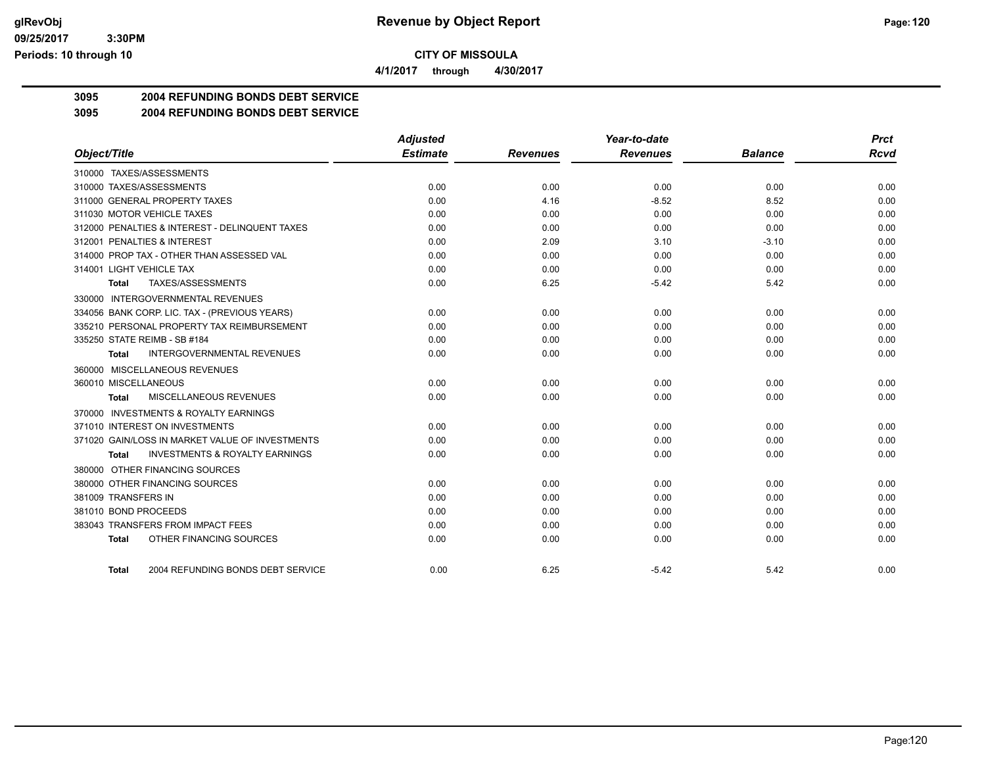**4/1/2017 through 4/30/2017**

## **3095 2004 REFUNDING BONDS DEBT SERVICE**

## **3095 2004 REFUNDING BONDS DEBT SERVICE**

|                                                           | <b>Adjusted</b> |                 | Year-to-date    |                | <b>Prct</b> |
|-----------------------------------------------------------|-----------------|-----------------|-----------------|----------------|-------------|
| Object/Title                                              | <b>Estimate</b> | <b>Revenues</b> | <b>Revenues</b> | <b>Balance</b> | <b>Rcvd</b> |
| 310000 TAXES/ASSESSMENTS                                  |                 |                 |                 |                |             |
| 310000 TAXES/ASSESSMENTS                                  | 0.00            | 0.00            | 0.00            | 0.00           | 0.00        |
| 311000 GENERAL PROPERTY TAXES                             | 0.00            | 4.16            | $-8.52$         | 8.52           | 0.00        |
| 311030 MOTOR VEHICLE TAXES                                | 0.00            | 0.00            | 0.00            | 0.00           | 0.00        |
| 312000 PENALTIES & INTEREST - DELINQUENT TAXES            | 0.00            | 0.00            | 0.00            | 0.00           | 0.00        |
| 312001 PENALTIES & INTEREST                               | 0.00            | 2.09            | 3.10            | $-3.10$        | 0.00        |
| 314000 PROP TAX - OTHER THAN ASSESSED VAL                 | 0.00            | 0.00            | 0.00            | 0.00           | 0.00        |
| 314001 LIGHT VEHICLE TAX                                  | 0.00            | 0.00            | 0.00            | 0.00           | 0.00        |
| TAXES/ASSESSMENTS<br>Total                                | 0.00            | 6.25            | $-5.42$         | 5.42           | 0.00        |
| 330000 INTERGOVERNMENTAL REVENUES                         |                 |                 |                 |                |             |
| 334056 BANK CORP. LIC. TAX - (PREVIOUS YEARS)             | 0.00            | 0.00            | 0.00            | 0.00           | 0.00        |
| 335210 PERSONAL PROPERTY TAX REIMBURSEMENT                | 0.00            | 0.00            | 0.00            | 0.00           | 0.00        |
| 335250 STATE REIMB - SB #184                              | 0.00            | 0.00            | 0.00            | 0.00           | 0.00        |
| <b>INTERGOVERNMENTAL REVENUES</b><br>Total                | 0.00            | 0.00            | 0.00            | 0.00           | 0.00        |
| 360000 MISCELLANEOUS REVENUES                             |                 |                 |                 |                |             |
| 360010 MISCELLANEOUS                                      | 0.00            | 0.00            | 0.00            | 0.00           | 0.00        |
| <b>MISCELLANEOUS REVENUES</b><br><b>Total</b>             | 0.00            | 0.00            | 0.00            | 0.00           | 0.00        |
| 370000 INVESTMENTS & ROYALTY EARNINGS                     |                 |                 |                 |                |             |
| 371010 INTEREST ON INVESTMENTS                            | 0.00            | 0.00            | 0.00            | 0.00           | 0.00        |
| 371020 GAIN/LOSS IN MARKET VALUE OF INVESTMENTS           | 0.00            | 0.00            | 0.00            | 0.00           | 0.00        |
| <b>INVESTMENTS &amp; ROYALTY EARNINGS</b><br><b>Total</b> | 0.00            | 0.00            | 0.00            | 0.00           | 0.00        |
| 380000 OTHER FINANCING SOURCES                            |                 |                 |                 |                |             |
| 380000 OTHER FINANCING SOURCES                            | 0.00            | 0.00            | 0.00            | 0.00           | 0.00        |
| 381009 TRANSFERS IN                                       | 0.00            | 0.00            | 0.00            | 0.00           | 0.00        |
| 381010 BOND PROCEEDS                                      | 0.00            | 0.00            | 0.00            | 0.00           | 0.00        |
| 383043 TRANSFERS FROM IMPACT FEES                         | 0.00            | 0.00            | 0.00            | 0.00           | 0.00        |
| OTHER FINANCING SOURCES<br><b>Total</b>                   | 0.00            | 0.00            | 0.00            | 0.00           | 0.00        |
| 2004 REFUNDING BONDS DEBT SERVICE<br>Total                | 0.00            | 6.25            | $-5.42$         | 5.42           | 0.00        |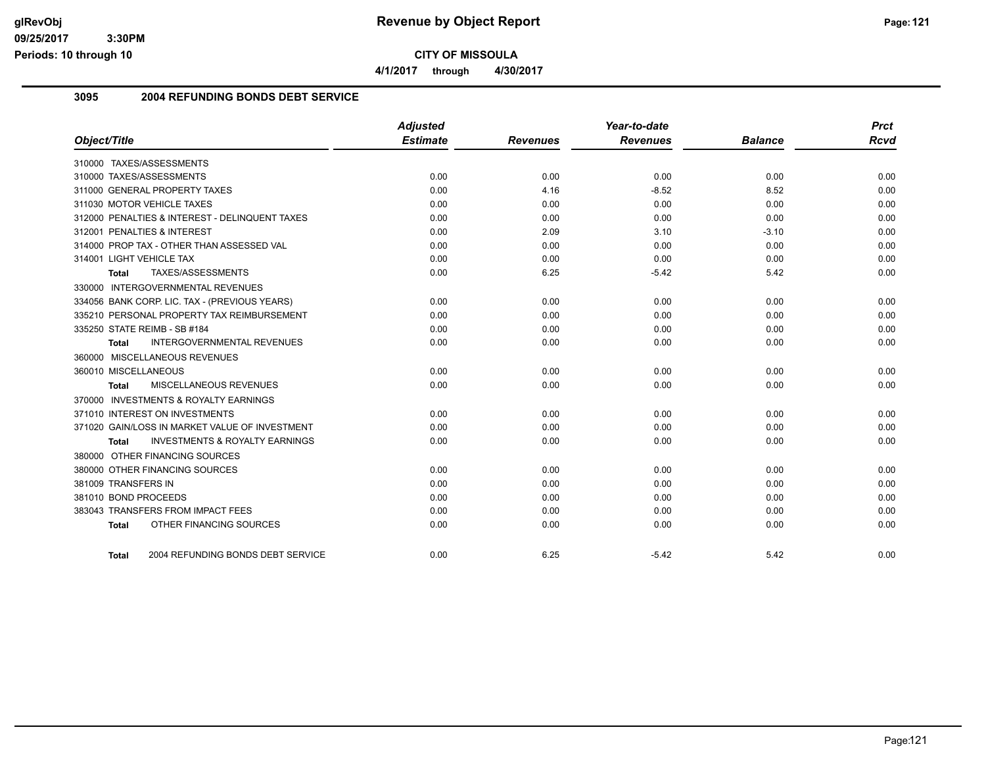**4/1/2017 through 4/30/2017**

## **3095 2004 REFUNDING BONDS DEBT SERVICE**

|                                                           | <b>Adjusted</b><br><b>Estimate</b> |                 | Year-to-date<br><b>Revenues</b> |                | <b>Prct</b> |
|-----------------------------------------------------------|------------------------------------|-----------------|---------------------------------|----------------|-------------|
| Object/Title                                              |                                    | <b>Revenues</b> |                                 | <b>Balance</b> | <b>Rcvd</b> |
| 310000 TAXES/ASSESSMENTS                                  |                                    |                 |                                 |                |             |
| 310000 TAXES/ASSESSMENTS                                  | 0.00                               | 0.00            | 0.00                            | 0.00           | 0.00        |
| 311000 GENERAL PROPERTY TAXES                             | 0.00                               | 4.16            | $-8.52$                         | 8.52           | 0.00        |
| 311030 MOTOR VEHICLE TAXES                                | 0.00                               | 0.00            | 0.00                            | 0.00           | 0.00        |
| 312000 PENALTIES & INTEREST - DELINQUENT TAXES            | 0.00                               | 0.00            | 0.00                            | 0.00           | 0.00        |
| 312001 PENALTIES & INTEREST                               | 0.00                               | 2.09            | 3.10                            | $-3.10$        | 0.00        |
| 314000 PROP TAX - OTHER THAN ASSESSED VAL                 | 0.00                               | 0.00            | 0.00                            | 0.00           | 0.00        |
| 314001 LIGHT VEHICLE TAX                                  | 0.00                               | 0.00            | 0.00                            | 0.00           | 0.00        |
| TAXES/ASSESSMENTS<br><b>Total</b>                         | 0.00                               | 6.25            | $-5.42$                         | 5.42           | 0.00        |
| 330000 INTERGOVERNMENTAL REVENUES                         |                                    |                 |                                 |                |             |
| 334056 BANK CORP. LIC. TAX - (PREVIOUS YEARS)             | 0.00                               | 0.00            | 0.00                            | 0.00           | 0.00        |
| 335210 PERSONAL PROPERTY TAX REIMBURSEMENT                | 0.00                               | 0.00            | 0.00                            | 0.00           | 0.00        |
| 335250 STATE REIMB - SB #184                              | 0.00                               | 0.00            | 0.00                            | 0.00           | 0.00        |
| INTERGOVERNMENTAL REVENUES<br><b>Total</b>                | 0.00                               | 0.00            | 0.00                            | 0.00           | 0.00        |
| 360000 MISCELLANEOUS REVENUES                             |                                    |                 |                                 |                |             |
| 360010 MISCELLANEOUS                                      | 0.00                               | 0.00            | 0.00                            | 0.00           | 0.00        |
| <b>MISCELLANEOUS REVENUES</b><br>Total                    | 0.00                               | 0.00            | 0.00                            | 0.00           | 0.00        |
| 370000 INVESTMENTS & ROYALTY EARNINGS                     |                                    |                 |                                 |                |             |
| 371010 INTEREST ON INVESTMENTS                            | 0.00                               | 0.00            | 0.00                            | 0.00           | 0.00        |
| 371020 GAIN/LOSS IN MARKET VALUE OF INVESTMENT            | 0.00                               | 0.00            | 0.00                            | 0.00           | 0.00        |
| <b>INVESTMENTS &amp; ROYALTY EARNINGS</b><br><b>Total</b> | 0.00                               | 0.00            | 0.00                            | 0.00           | 0.00        |
| 380000 OTHER FINANCING SOURCES                            |                                    |                 |                                 |                |             |
| 380000 OTHER FINANCING SOURCES                            | 0.00                               | 0.00            | 0.00                            | 0.00           | 0.00        |
| 381009 TRANSFERS IN                                       | 0.00                               | 0.00            | 0.00                            | 0.00           | 0.00        |
| 381010 BOND PROCEEDS                                      | 0.00                               | 0.00            | 0.00                            | 0.00           | 0.00        |
| 383043 TRANSFERS FROM IMPACT FEES                         | 0.00                               | 0.00            | 0.00                            | 0.00           | 0.00        |
| OTHER FINANCING SOURCES<br><b>Total</b>                   | 0.00                               | 0.00            | 0.00                            | 0.00           | 0.00        |
|                                                           |                                    |                 |                                 |                |             |
| 2004 REFUNDING BONDS DEBT SERVICE<br><b>Total</b>         | 0.00                               | 6.25            | $-5.42$                         | 5.42           | 0.00        |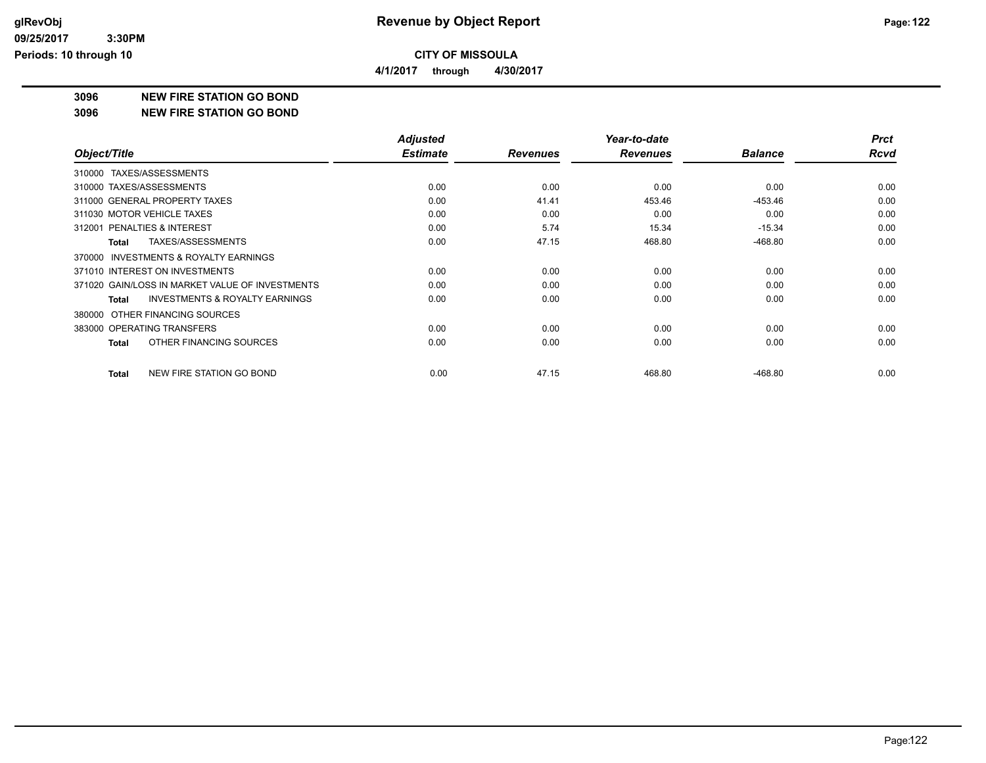**4/1/2017 through 4/30/2017**

**3096 NEW FIRE STATION GO BOND**

**3096 NEW FIRE STATION GO BOND**

|                                                    | <b>Adjusted</b> |                 | Year-to-date    |                | <b>Prct</b> |
|----------------------------------------------------|-----------------|-----------------|-----------------|----------------|-------------|
| Object/Title                                       | <b>Estimate</b> | <b>Revenues</b> | <b>Revenues</b> | <b>Balance</b> | <b>Rcvd</b> |
| 310000 TAXES/ASSESSMENTS                           |                 |                 |                 |                |             |
| 310000 TAXES/ASSESSMENTS                           | 0.00            | 0.00            | 0.00            | 0.00           | 0.00        |
| 311000 GENERAL PROPERTY TAXES                      | 0.00            | 41.41           | 453.46          | $-453.46$      | 0.00        |
| 311030 MOTOR VEHICLE TAXES                         | 0.00            | 0.00            | 0.00            | 0.00           | 0.00        |
| <b>PENALTIES &amp; INTEREST</b><br>312001          | 0.00            | 5.74            | 15.34           | $-15.34$       | 0.00        |
| TAXES/ASSESSMENTS<br>Total                         | 0.00            | 47.15           | 468.80          | $-468.80$      | 0.00        |
| 370000 INVESTMENTS & ROYALTY EARNINGS              |                 |                 |                 |                |             |
| 371010 INTEREST ON INVESTMENTS                     | 0.00            | 0.00            | 0.00            | 0.00           | 0.00        |
| 371020 GAIN/LOSS IN MARKET VALUE OF INVESTMENTS    | 0.00            | 0.00            | 0.00            | 0.00           | 0.00        |
| <b>INVESTMENTS &amp; ROYALTY EARNINGS</b><br>Total | 0.00            | 0.00            | 0.00            | 0.00           | 0.00        |
| OTHER FINANCING SOURCES<br>380000                  |                 |                 |                 |                |             |
| 383000 OPERATING TRANSFERS                         | 0.00            | 0.00            | 0.00            | 0.00           | 0.00        |
| OTHER FINANCING SOURCES<br>Total                   | 0.00            | 0.00            | 0.00            | 0.00           | 0.00        |
| NEW FIRE STATION GO BOND<br><b>Total</b>           | 0.00            | 47.15           | 468.80          | $-468.80$      | 0.00        |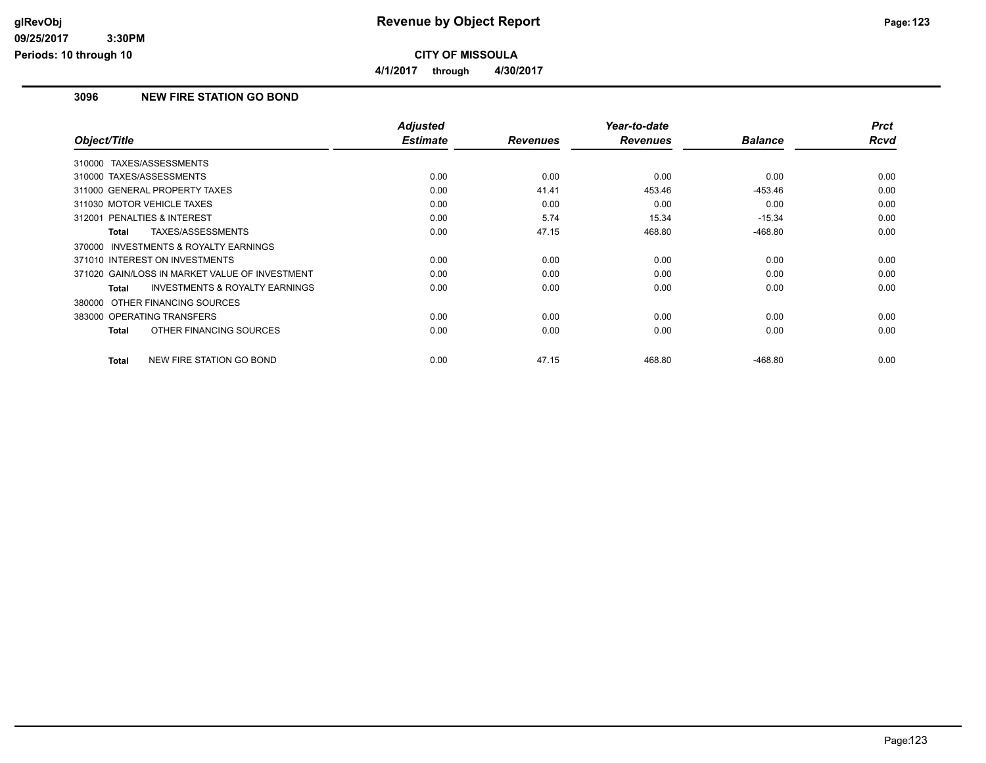**4/1/2017 through 4/30/2017**

## **3096 NEW FIRE STATION GO BOND**

| Object/Title                                              | <b>Adjusted</b><br><b>Estimate</b> | <b>Revenues</b> | Year-to-date<br><b>Revenues</b> | <b>Balance</b> | <b>Prct</b><br><b>Rcvd</b> |
|-----------------------------------------------------------|------------------------------------|-----------------|---------------------------------|----------------|----------------------------|
| TAXES/ASSESSMENTS<br>310000                               |                                    |                 |                                 |                |                            |
| 310000 TAXES/ASSESSMENTS                                  | 0.00                               | 0.00            | 0.00                            | 0.00           | 0.00                       |
| 311000 GENERAL PROPERTY TAXES                             | 0.00                               | 41.41           | 453.46                          | $-453.46$      | 0.00                       |
| 311030 MOTOR VEHICLE TAXES                                | 0.00                               | 0.00            | 0.00                            | 0.00           | 0.00                       |
| 312001 PENALTIES & INTEREST                               | 0.00                               | 5.74            | 15.34                           | $-15.34$       | 0.00                       |
| TAXES/ASSESSMENTS<br><b>Total</b>                         | 0.00                               | 47.15           | 468.80                          | $-468.80$      | 0.00                       |
| <b>INVESTMENTS &amp; ROYALTY EARNINGS</b><br>370000       |                                    |                 |                                 |                |                            |
| 371010 INTEREST ON INVESTMENTS                            | 0.00                               | 0.00            | 0.00                            | 0.00           | 0.00                       |
| 371020 GAIN/LOSS IN MARKET VALUE OF INVESTMENT            | 0.00                               | 0.00            | 0.00                            | 0.00           | 0.00                       |
| <b>INVESTMENTS &amp; ROYALTY EARNINGS</b><br><b>Total</b> | 0.00                               | 0.00            | 0.00                            | 0.00           | 0.00                       |
| 380000 OTHER FINANCING SOURCES                            |                                    |                 |                                 |                |                            |
| 383000 OPERATING TRANSFERS                                | 0.00                               | 0.00            | 0.00                            | 0.00           | 0.00                       |
| OTHER FINANCING SOURCES<br><b>Total</b>                   | 0.00                               | 0.00            | 0.00                            | 0.00           | 0.00                       |
| <b>NEW FIRE STATION GO BOND</b><br><b>Total</b>           | 0.00                               | 47.15           | 468.80                          | $-468.80$      | 0.00                       |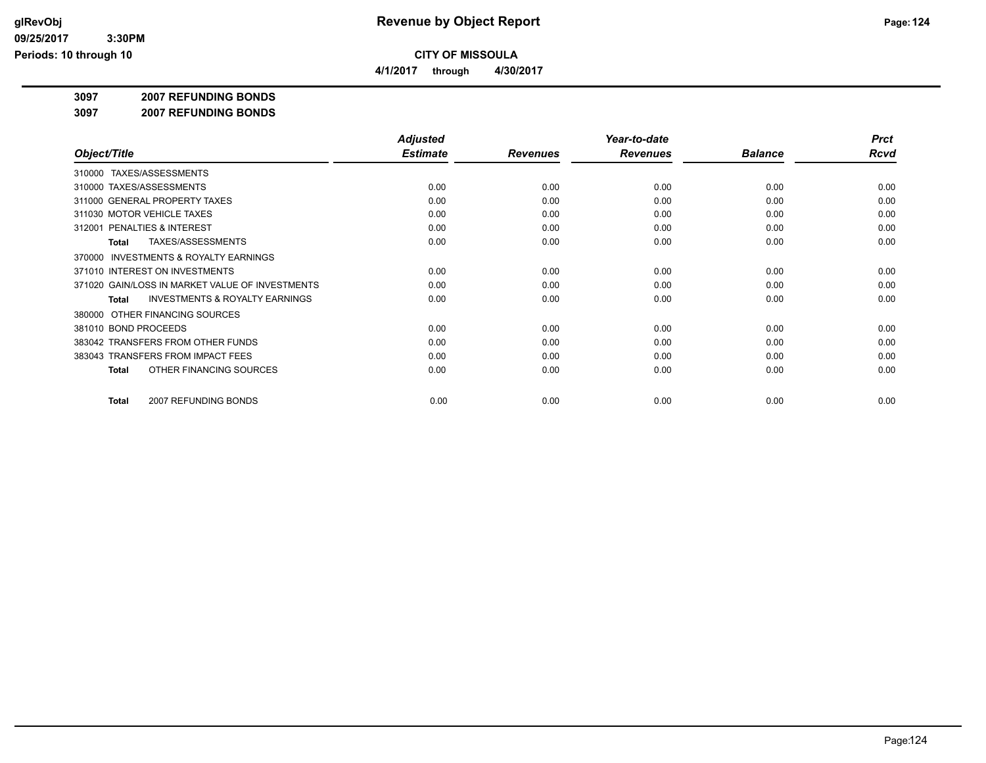**4/1/2017 through 4/30/2017**

**3097 2007 REFUNDING BONDS**

**3097 2007 REFUNDING BONDS**

|                                                     | <b>Adjusted</b> |                 | Year-to-date    |                | <b>Prct</b> |
|-----------------------------------------------------|-----------------|-----------------|-----------------|----------------|-------------|
| Object/Title                                        | <b>Estimate</b> | <b>Revenues</b> | <b>Revenues</b> | <b>Balance</b> | Rcvd        |
| 310000 TAXES/ASSESSMENTS                            |                 |                 |                 |                |             |
| 310000 TAXES/ASSESSMENTS                            | 0.00            | 0.00            | 0.00            | 0.00           | 0.00        |
| 311000 GENERAL PROPERTY TAXES                       | 0.00            | 0.00            | 0.00            | 0.00           | 0.00        |
| 311030 MOTOR VEHICLE TAXES                          | 0.00            | 0.00            | 0.00            | 0.00           | 0.00        |
| 312001 PENALTIES & INTEREST                         | 0.00            | 0.00            | 0.00            | 0.00           | 0.00        |
| TAXES/ASSESSMENTS<br>Total                          | 0.00            | 0.00            | 0.00            | 0.00           | 0.00        |
| <b>INVESTMENTS &amp; ROYALTY EARNINGS</b><br>370000 |                 |                 |                 |                |             |
| 371010 INTEREST ON INVESTMENTS                      | 0.00            | 0.00            | 0.00            | 0.00           | 0.00        |
| 371020 GAIN/LOSS IN MARKET VALUE OF INVESTMENTS     | 0.00            | 0.00            | 0.00            | 0.00           | 0.00        |
| <b>INVESTMENTS &amp; ROYALTY EARNINGS</b><br>Total  | 0.00            | 0.00            | 0.00            | 0.00           | 0.00        |
| OTHER FINANCING SOURCES<br>380000                   |                 |                 |                 |                |             |
| 381010 BOND PROCEEDS                                | 0.00            | 0.00            | 0.00            | 0.00           | 0.00        |
| 383042 TRANSFERS FROM OTHER FUNDS                   | 0.00            | 0.00            | 0.00            | 0.00           | 0.00        |
| 383043 TRANSFERS FROM IMPACT FEES                   | 0.00            | 0.00            | 0.00            | 0.00           | 0.00        |
| OTHER FINANCING SOURCES<br>Total                    | 0.00            | 0.00            | 0.00            | 0.00           | 0.00        |
| 2007 REFUNDING BONDS<br>Total                       | 0.00            | 0.00            | 0.00            | 0.00           | 0.00        |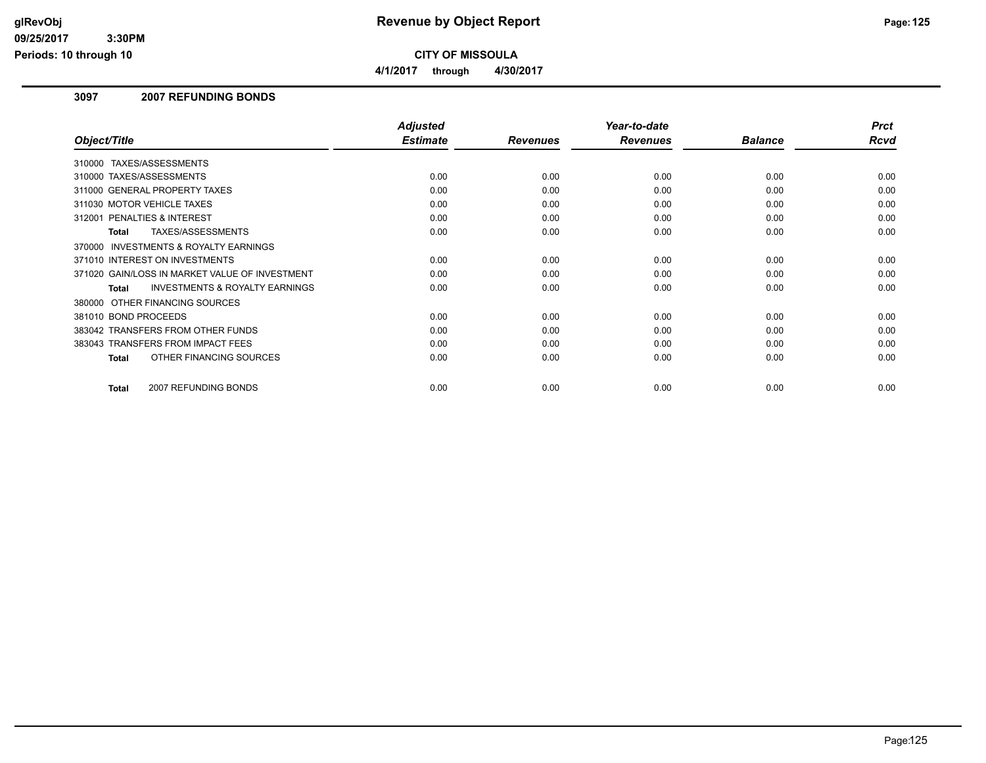**4/1/2017 through 4/30/2017**

## **3097 2007 REFUNDING BONDS**

|                                                           | <b>Adjusted</b> |                 | Year-to-date    |                | <b>Prct</b> |
|-----------------------------------------------------------|-----------------|-----------------|-----------------|----------------|-------------|
| Object/Title                                              | <b>Estimate</b> | <b>Revenues</b> | <b>Revenues</b> | <b>Balance</b> | <b>Rcvd</b> |
| 310000 TAXES/ASSESSMENTS                                  |                 |                 |                 |                |             |
| 310000 TAXES/ASSESSMENTS                                  | 0.00            | 0.00            | 0.00            | 0.00           | 0.00        |
| 311000 GENERAL PROPERTY TAXES                             | 0.00            | 0.00            | 0.00            | 0.00           | 0.00        |
| 311030 MOTOR VEHICLE TAXES                                | 0.00            | 0.00            | 0.00            | 0.00           | 0.00        |
| 312001 PENALTIES & INTEREST                               | 0.00            | 0.00            | 0.00            | 0.00           | 0.00        |
| TAXES/ASSESSMENTS<br><b>Total</b>                         | 0.00            | 0.00            | 0.00            | 0.00           | 0.00        |
| <b>INVESTMENTS &amp; ROYALTY EARNINGS</b><br>370000       |                 |                 |                 |                |             |
| 371010 INTEREST ON INVESTMENTS                            | 0.00            | 0.00            | 0.00            | 0.00           | 0.00        |
| 371020 GAIN/LOSS IN MARKET VALUE OF INVESTMENT            | 0.00            | 0.00            | 0.00            | 0.00           | 0.00        |
| <b>INVESTMENTS &amp; ROYALTY EARNINGS</b><br><b>Total</b> | 0.00            | 0.00            | 0.00            | 0.00           | 0.00        |
| 380000 OTHER FINANCING SOURCES                            |                 |                 |                 |                |             |
| 381010 BOND PROCEEDS                                      | 0.00            | 0.00            | 0.00            | 0.00           | 0.00        |
| 383042 TRANSFERS FROM OTHER FUNDS                         | 0.00            | 0.00            | 0.00            | 0.00           | 0.00        |
| 383043 TRANSFERS FROM IMPACT FEES                         | 0.00            | 0.00            | 0.00            | 0.00           | 0.00        |
| OTHER FINANCING SOURCES<br><b>Total</b>                   | 0.00            | 0.00            | 0.00            | 0.00           | 0.00        |
| 2007 REFUNDING BONDS<br>Total                             | 0.00            | 0.00            | 0.00            | 0.00           | 0.00        |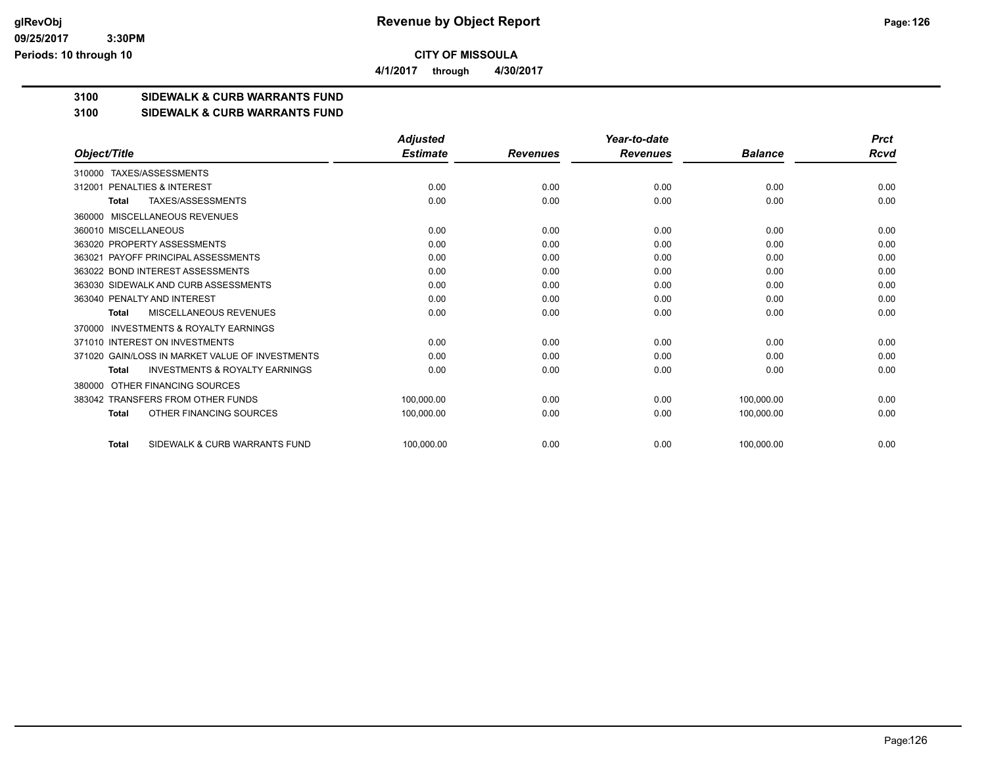**4/1/2017 through 4/30/2017**

## **3100 SIDEWALK & CURB WARRANTS FUND**

## **3100 SIDEWALK & CURB WARRANTS FUND**

|                                                           | <b>Adjusted</b> |                 | Year-to-date    |                |      |
|-----------------------------------------------------------|-----------------|-----------------|-----------------|----------------|------|
| Object/Title                                              | <b>Estimate</b> | <b>Revenues</b> | <b>Revenues</b> | <b>Balance</b> | Rcvd |
| TAXES/ASSESSMENTS<br>310000                               |                 |                 |                 |                |      |
| 312001 PENALTIES & INTEREST                               | 0.00            | 0.00            | 0.00            | 0.00           | 0.00 |
| <b>TAXES/ASSESSMENTS</b><br><b>Total</b>                  | 0.00            | 0.00            | 0.00            | 0.00           | 0.00 |
| MISCELLANEOUS REVENUES<br>360000                          |                 |                 |                 |                |      |
| 360010 MISCELLANEOUS                                      | 0.00            | 0.00            | 0.00            | 0.00           | 0.00 |
| 363020 PROPERTY ASSESSMENTS                               | 0.00            | 0.00            | 0.00            | 0.00           | 0.00 |
| PAYOFF PRINCIPAL ASSESSMENTS<br>363021                    | 0.00            | 0.00            | 0.00            | 0.00           | 0.00 |
| 363022 BOND INTEREST ASSESSMENTS                          | 0.00            | 0.00            | 0.00            | 0.00           | 0.00 |
| 363030 SIDEWALK AND CURB ASSESSMENTS                      | 0.00            | 0.00            | 0.00            | 0.00           | 0.00 |
| 363040 PENALTY AND INTEREST                               | 0.00            | 0.00            | 0.00            | 0.00           | 0.00 |
| MISCELLANEOUS REVENUES<br><b>Total</b>                    | 0.00            | 0.00            | 0.00            | 0.00           | 0.00 |
| <b>INVESTMENTS &amp; ROYALTY EARNINGS</b><br>370000       |                 |                 |                 |                |      |
| 371010 INTEREST ON INVESTMENTS                            | 0.00            | 0.00            | 0.00            | 0.00           | 0.00 |
| 371020 GAIN/LOSS IN MARKET VALUE OF INVESTMENTS           | 0.00            | 0.00            | 0.00            | 0.00           | 0.00 |
| <b>INVESTMENTS &amp; ROYALTY EARNINGS</b><br><b>Total</b> | 0.00            | 0.00            | 0.00            | 0.00           | 0.00 |
| OTHER FINANCING SOURCES<br>380000                         |                 |                 |                 |                |      |
| 383042 TRANSFERS FROM OTHER FUNDS                         | 100.000.00      | 0.00            | 0.00            | 100.000.00     | 0.00 |
| OTHER FINANCING SOURCES<br><b>Total</b>                   | 100,000.00      | 0.00            | 0.00            | 100,000.00     | 0.00 |
| SIDEWALK & CURB WARRANTS FUND<br><b>Total</b>             | 100,000.00      | 0.00            | 0.00            | 100,000.00     | 0.00 |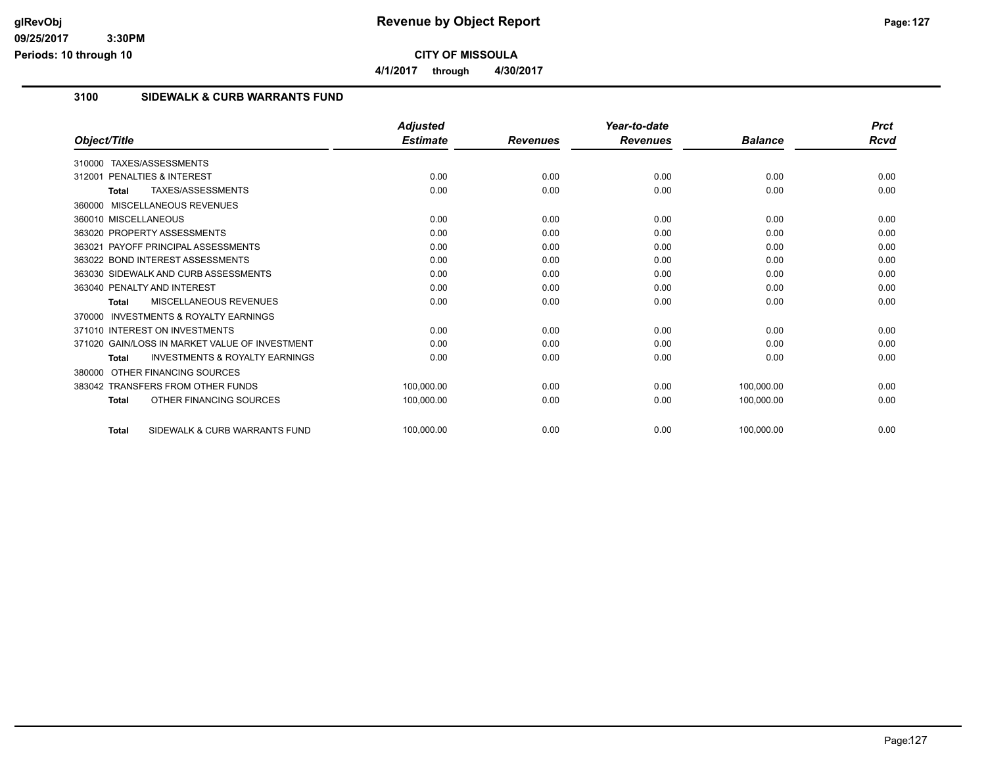**4/1/2017 through 4/30/2017**

## **3100 SIDEWALK & CURB WARRANTS FUND**

|                                                           | <b>Adjusted</b> |                 | Year-to-date    |                | <b>Prct</b> |
|-----------------------------------------------------------|-----------------|-----------------|-----------------|----------------|-------------|
| Object/Title                                              | <b>Estimate</b> | <b>Revenues</b> | <b>Revenues</b> | <b>Balance</b> | Rcvd        |
| TAXES/ASSESSMENTS<br>310000                               |                 |                 |                 |                |             |
| <b>PENALTIES &amp; INTEREST</b><br>312001                 | 0.00            | 0.00            | 0.00            | 0.00           | 0.00        |
| TAXES/ASSESSMENTS<br><b>Total</b>                         | 0.00            | 0.00            | 0.00            | 0.00           | 0.00        |
| 360000 MISCELLANEOUS REVENUES                             |                 |                 |                 |                |             |
| 360010 MISCELLANEOUS                                      | 0.00            | 0.00            | 0.00            | 0.00           | 0.00        |
| 363020 PROPERTY ASSESSMENTS                               | 0.00            | 0.00            | 0.00            | 0.00           | 0.00        |
| 363021 PAYOFF PRINCIPAL ASSESSMENTS                       | 0.00            | 0.00            | 0.00            | 0.00           | 0.00        |
| 363022 BOND INTEREST ASSESSMENTS                          | 0.00            | 0.00            | 0.00            | 0.00           | 0.00        |
| 363030 SIDEWALK AND CURB ASSESSMENTS                      | 0.00            | 0.00            | 0.00            | 0.00           | 0.00        |
| 363040 PENALTY AND INTEREST                               | 0.00            | 0.00            | 0.00            | 0.00           | 0.00        |
| <b>MISCELLANEOUS REVENUES</b><br><b>Total</b>             | 0.00            | 0.00            | 0.00            | 0.00           | 0.00        |
| <b>INVESTMENTS &amp; ROYALTY EARNINGS</b><br>370000       |                 |                 |                 |                |             |
| 371010 INTEREST ON INVESTMENTS                            | 0.00            | 0.00            | 0.00            | 0.00           | 0.00        |
| 371020 GAIN/LOSS IN MARKET VALUE OF INVESTMENT            | 0.00            | 0.00            | 0.00            | 0.00           | 0.00        |
| <b>INVESTMENTS &amp; ROYALTY EARNINGS</b><br><b>Total</b> | 0.00            | 0.00            | 0.00            | 0.00           | 0.00        |
| OTHER FINANCING SOURCES<br>380000                         |                 |                 |                 |                |             |
| 383042 TRANSFERS FROM OTHER FUNDS                         | 100,000.00      | 0.00            | 0.00            | 100,000.00     | 0.00        |
| OTHER FINANCING SOURCES<br><b>Total</b>                   | 100,000.00      | 0.00            | 0.00            | 100,000.00     | 0.00        |
| SIDEWALK & CURB WARRANTS FUND<br><b>Total</b>             | 100,000.00      | 0.00            | 0.00            | 100,000.00     | 0.00        |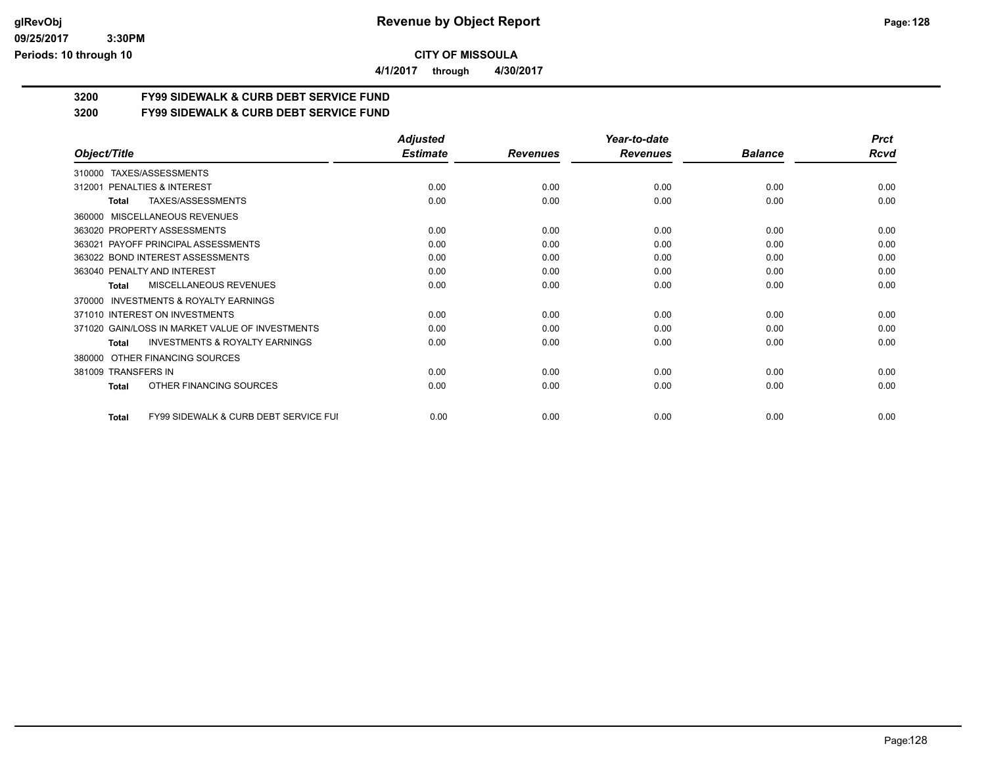## **09/25/2017 3:30PM**

**Periods: 10 through 10**

**CITY OF MISSOULA**

**4/1/2017 through 4/30/2017**

## **3200 FY99 SIDEWALK & CURB DEBT SERVICE FUND**

## **3200 FY99 SIDEWALK & CURB DEBT SERVICE FUND**

|                                                           | <b>Adjusted</b> |                 | Year-to-date    |                | <b>Prct</b> |
|-----------------------------------------------------------|-----------------|-----------------|-----------------|----------------|-------------|
| Object/Title                                              | <b>Estimate</b> | <b>Revenues</b> | <b>Revenues</b> | <b>Balance</b> | Rcvd        |
| TAXES/ASSESSMENTS<br>310000                               |                 |                 |                 |                |             |
| PENALTIES & INTEREST<br>312001                            | 0.00            | 0.00            | 0.00            | 0.00           | 0.00        |
| TAXES/ASSESSMENTS<br><b>Total</b>                         | 0.00            | 0.00            | 0.00            | 0.00           | 0.00        |
| MISCELLANEOUS REVENUES<br>360000                          |                 |                 |                 |                |             |
| 363020 PROPERTY ASSESSMENTS                               | 0.00            | 0.00            | 0.00            | 0.00           | 0.00        |
| 363021 PAYOFF PRINCIPAL ASSESSMENTS                       | 0.00            | 0.00            | 0.00            | 0.00           | 0.00        |
| 363022 BOND INTEREST ASSESSMENTS                          | 0.00            | 0.00            | 0.00            | 0.00           | 0.00        |
| 363040 PENALTY AND INTEREST                               | 0.00            | 0.00            | 0.00            | 0.00           | 0.00        |
| <b>MISCELLANEOUS REVENUES</b><br><b>Total</b>             | 0.00            | 0.00            | 0.00            | 0.00           | 0.00        |
| <b>INVESTMENTS &amp; ROYALTY EARNINGS</b><br>370000       |                 |                 |                 |                |             |
| 371010 INTEREST ON INVESTMENTS                            | 0.00            | 0.00            | 0.00            | 0.00           | 0.00        |
| 371020 GAIN/LOSS IN MARKET VALUE OF INVESTMENTS           | 0.00            | 0.00            | 0.00            | 0.00           | 0.00        |
| <b>INVESTMENTS &amp; ROYALTY EARNINGS</b><br><b>Total</b> | 0.00            | 0.00            | 0.00            | 0.00           | 0.00        |
| OTHER FINANCING SOURCES<br>380000                         |                 |                 |                 |                |             |
| 381009 TRANSFERS IN                                       | 0.00            | 0.00            | 0.00            | 0.00           | 0.00        |
| OTHER FINANCING SOURCES<br><b>Total</b>                   | 0.00            | 0.00            | 0.00            | 0.00           | 0.00        |
| <b>FY99 SIDEWALK &amp; CURB DEBT SERVICE FUI</b><br>Total | 0.00            | 0.00            | 0.00            | 0.00           | 0.00        |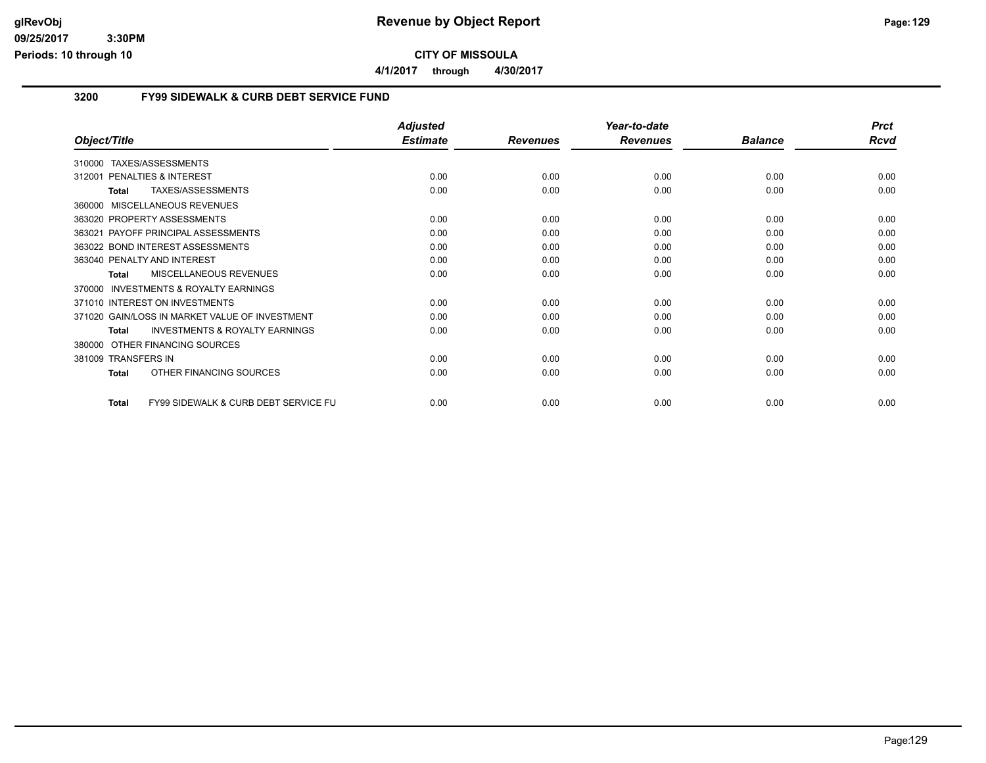**4/1/2017 through 4/30/2017**

## **3200 FY99 SIDEWALK & CURB DEBT SERVICE FUND**

|                                                           | <b>Adjusted</b> |                 | Year-to-date    |                | <b>Prct</b> |
|-----------------------------------------------------------|-----------------|-----------------|-----------------|----------------|-------------|
| Object/Title                                              | <b>Estimate</b> | <b>Revenues</b> | <b>Revenues</b> | <b>Balance</b> | <b>Rcvd</b> |
| TAXES/ASSESSMENTS<br>310000                               |                 |                 |                 |                |             |
| PENALTIES & INTEREST<br>312001                            | 0.00            | 0.00            | 0.00            | 0.00           | 0.00        |
| TAXES/ASSESSMENTS<br>Total                                | 0.00            | 0.00            | 0.00            | 0.00           | 0.00        |
| MISCELLANEOUS REVENUES<br>360000                          |                 |                 |                 |                |             |
| 363020 PROPERTY ASSESSMENTS                               | 0.00            | 0.00            | 0.00            | 0.00           | 0.00        |
| PAYOFF PRINCIPAL ASSESSMENTS<br>363021                    | 0.00            | 0.00            | 0.00            | 0.00           | 0.00        |
| 363022 BOND INTEREST ASSESSMENTS                          | 0.00            | 0.00            | 0.00            | 0.00           | 0.00        |
| 363040 PENALTY AND INTEREST                               | 0.00            | 0.00            | 0.00            | 0.00           | 0.00        |
| <b>MISCELLANEOUS REVENUES</b><br>Total                    | 0.00            | 0.00            | 0.00            | 0.00           | 0.00        |
| INVESTMENTS & ROYALTY EARNINGS<br>370000                  |                 |                 |                 |                |             |
| 371010 INTEREST ON INVESTMENTS                            | 0.00            | 0.00            | 0.00            | 0.00           | 0.00        |
| 371020 GAIN/LOSS IN MARKET VALUE OF INVESTMENT            | 0.00            | 0.00            | 0.00            | 0.00           | 0.00        |
| <b>INVESTMENTS &amp; ROYALTY EARNINGS</b><br><b>Total</b> | 0.00            | 0.00            | 0.00            | 0.00           | 0.00        |
| OTHER FINANCING SOURCES<br>380000                         |                 |                 |                 |                |             |
| 381009 TRANSFERS IN                                       | 0.00            | 0.00            | 0.00            | 0.00           | 0.00        |
| OTHER FINANCING SOURCES<br>Total                          | 0.00            | 0.00            | 0.00            | 0.00           | 0.00        |
| FY99 SIDEWALK & CURB DEBT SERVICE FU<br><b>Total</b>      | 0.00            | 0.00            | 0.00            | 0.00           | 0.00        |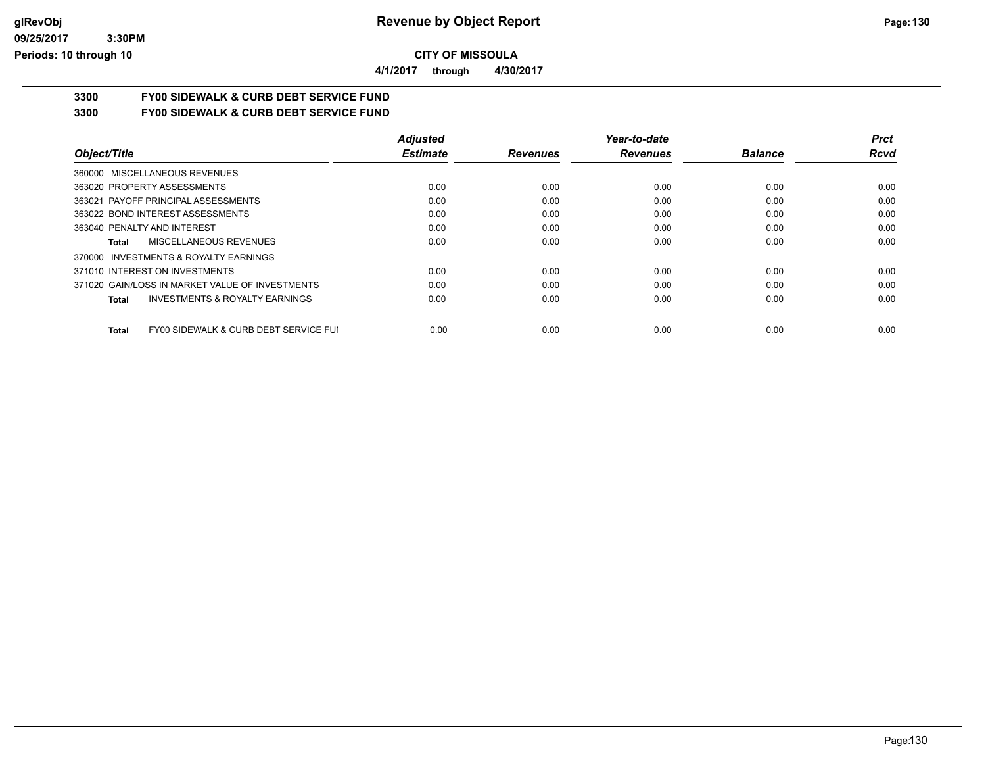## **09/25/2017 3:30PM Periods: 10 through 10**

**CITY OF MISSOULA**

**4/1/2017 through 4/30/2017**

# **3300 FY00 SIDEWALK & CURB DEBT SERVICE FUND**

**3300 FY00 SIDEWALK & CURB DEBT SERVICE FUND**

|                                                       | <b>Adjusted</b> |                 | Year-to-date    |                | <b>Prct</b> |
|-------------------------------------------------------|-----------------|-----------------|-----------------|----------------|-------------|
| Object/Title                                          | <b>Estimate</b> | <b>Revenues</b> | <b>Revenues</b> | <b>Balance</b> | <b>Rcvd</b> |
| 360000 MISCELLANEOUS REVENUES                         |                 |                 |                 |                |             |
| 363020 PROPERTY ASSESSMENTS                           | 0.00            | 0.00            | 0.00            | 0.00           | 0.00        |
| 363021 PAYOFF PRINCIPAL ASSESSMENTS                   | 0.00            | 0.00            | 0.00            | 0.00           | 0.00        |
| 363022 BOND INTEREST ASSESSMENTS                      | 0.00            | 0.00            | 0.00            | 0.00           | 0.00        |
| 363040 PENALTY AND INTEREST                           | 0.00            | 0.00            | 0.00            | 0.00           | 0.00        |
| <b>MISCELLANEOUS REVENUES</b><br>Total                | 0.00            | 0.00            | 0.00            | 0.00           | 0.00        |
| 370000 INVESTMENTS & ROYALTY EARNINGS                 |                 |                 |                 |                |             |
| 371010 INTEREST ON INVESTMENTS                        | 0.00            | 0.00            | 0.00            | 0.00           | 0.00        |
| 371020 GAIN/LOSS IN MARKET VALUE OF INVESTMENTS       | 0.00            | 0.00            | 0.00            | 0.00           | 0.00        |
| <b>INVESTMENTS &amp; ROYALTY EARNINGS</b><br>Total    | 0.00            | 0.00            | 0.00            | 0.00           | 0.00        |
| FY00 SIDEWALK & CURB DEBT SERVICE FUI<br><b>Total</b> | 0.00            | 0.00            | 0.00            | 0.00           | 0.00        |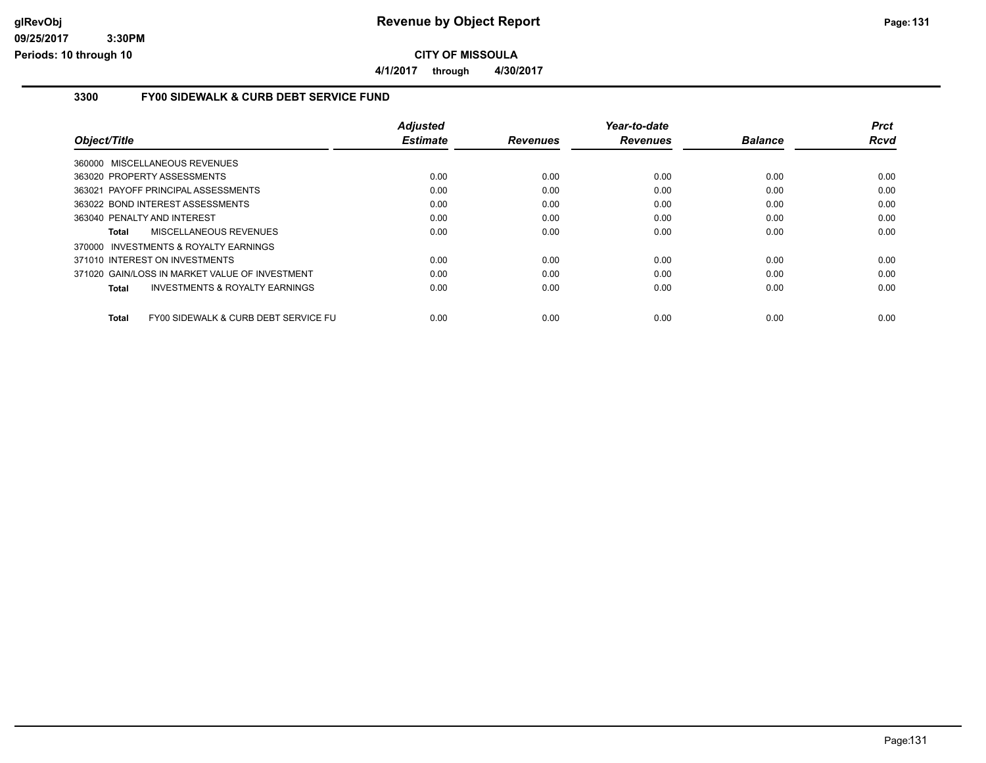**4/1/2017 through 4/30/2017**

## **3300 FY00 SIDEWALK & CURB DEBT SERVICE FUND**

|                                                    | <b>Adjusted</b> |                 | Year-to-date    |                | <b>Prct</b> |
|----------------------------------------------------|-----------------|-----------------|-----------------|----------------|-------------|
| Object/Title                                       | <b>Estimate</b> | <b>Revenues</b> | <b>Revenues</b> | <b>Balance</b> | Rcvd        |
| 360000 MISCELLANEOUS REVENUES                      |                 |                 |                 |                |             |
| 363020 PROPERTY ASSESSMENTS                        | 0.00            | 0.00            | 0.00            | 0.00           | 0.00        |
| 363021 PAYOFF PRINCIPAL ASSESSMENTS                | 0.00            | 0.00            | 0.00            | 0.00           | 0.00        |
| 363022 BOND INTEREST ASSESSMENTS                   | 0.00            | 0.00            | 0.00            | 0.00           | 0.00        |
| 363040 PENALTY AND INTEREST                        | 0.00            | 0.00            | 0.00            | 0.00           | 0.00        |
| <b>MISCELLANEOUS REVENUES</b><br>Total             | 0.00            | 0.00            | 0.00            | 0.00           | 0.00        |
| 370000 INVESTMENTS & ROYALTY EARNINGS              |                 |                 |                 |                |             |
| 371010 INTEREST ON INVESTMENTS                     | 0.00            | 0.00            | 0.00            | 0.00           | 0.00        |
| 371020 GAIN/LOSS IN MARKET VALUE OF INVESTMENT     | 0.00            | 0.00            | 0.00            | 0.00           | 0.00        |
| <b>INVESTMENTS &amp; ROYALTY EARNINGS</b><br>Total | 0.00            | 0.00            | 0.00            | 0.00           | 0.00        |
| FY00 SIDEWALK & CURB DEBT SERVICE FU<br>Total      | 0.00            | 0.00            | 0.00            | 0.00           | 0.00        |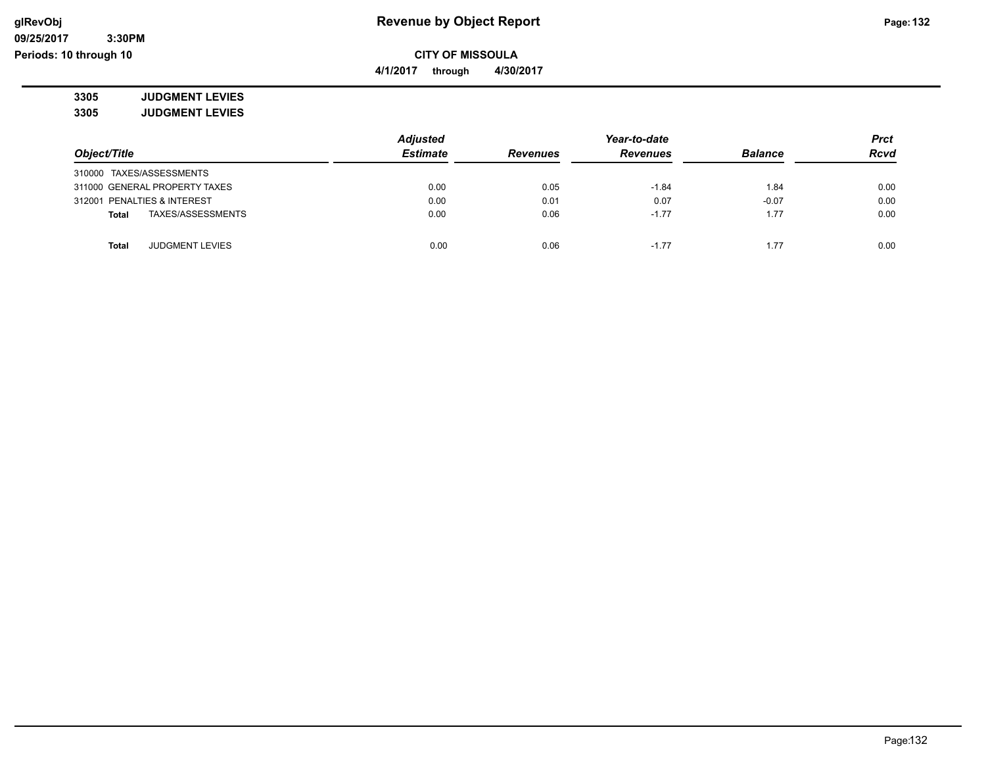**4/1/2017 through 4/30/2017**

**3305 JUDGMENT LEVIES**

**3305 JUDGMENT LEVIES**

|                                 | <b>Adjusted</b> |                 | Year-to-date    |                | <b>Prct</b> |
|---------------------------------|-----------------|-----------------|-----------------|----------------|-------------|
| Object/Title                    | <b>Estimate</b> | <b>Revenues</b> | <b>Revenues</b> | <b>Balance</b> | <b>Rcvd</b> |
| 310000 TAXES/ASSESSMENTS        |                 |                 |                 |                |             |
| 311000 GENERAL PROPERTY TAXES   | 0.00            | 0.05            | $-1.84$         | 1.84           | 0.00        |
| 312001 PENALTIES & INTEREST     | 0.00            | 0.01            | 0.07            | $-0.07$        | 0.00        |
| TAXES/ASSESSMENTS<br>Total      | 0.00            | 0.06            | $-1.77$         | 1.77           | 0.00        |
|                                 |                 |                 |                 |                |             |
| Total<br><b>JUDGMENT LEVIES</b> | 0.00            | 0.06            | $-1.77$         | 1.77           | 0.00        |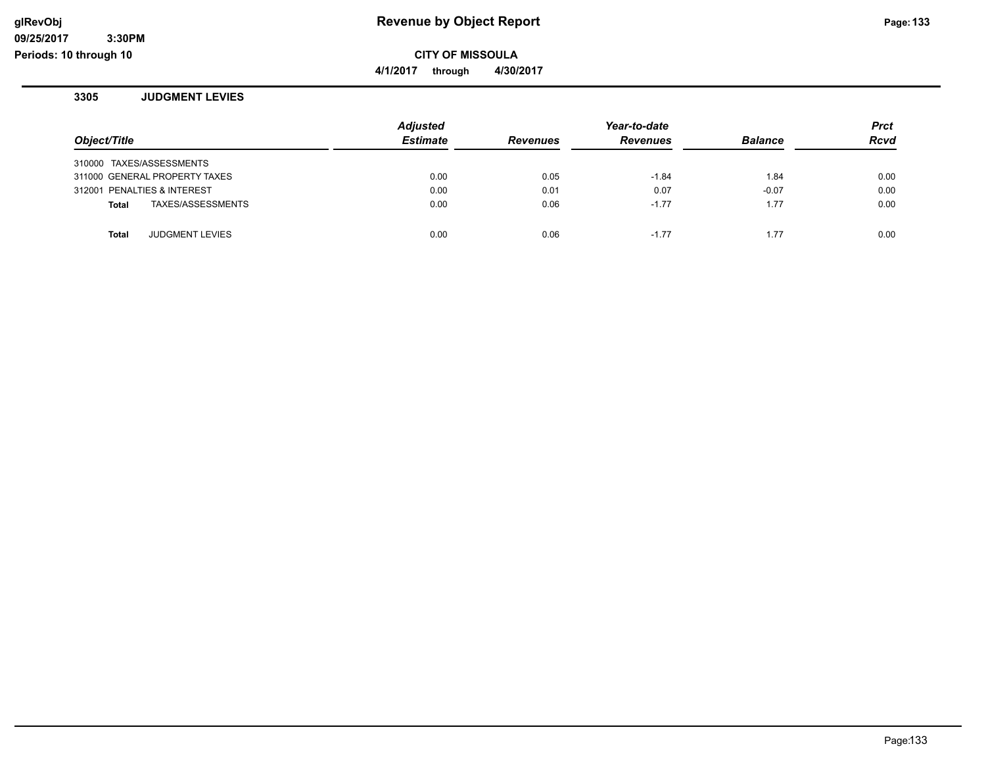**Periods: 10 through 10**

**CITY OF MISSOULA**

**4/1/2017 through 4/30/2017**

## **3305 JUDGMENT LEVIES**

|                                        | Adjusted        |                 | Year-to-date    |                | <b>Prct</b> |
|----------------------------------------|-----------------|-----------------|-----------------|----------------|-------------|
| Object/Title                           | <b>Estimate</b> | <b>Revenues</b> | <b>Revenues</b> | <b>Balance</b> | <b>Rcvd</b> |
| 310000 TAXES/ASSESSMENTS               |                 |                 |                 |                |             |
| 311000 GENERAL PROPERTY TAXES          | 0.00            | 0.05            | $-1.84$         | 1.84           | 0.00        |
| 312001 PENALTIES & INTEREST            | 0.00            | 0.01            | 0.07            | $-0.07$        | 0.00        |
| TAXES/ASSESSMENTS<br><b>Total</b>      | 0.00            | 0.06            | $-1.77$         | 1.77           | 0.00        |
|                                        |                 |                 |                 |                |             |
| <b>JUDGMENT LEVIES</b><br><b>Total</b> | 0.00            | 0.06            | $-1.77$         | 1.77           | 0.00        |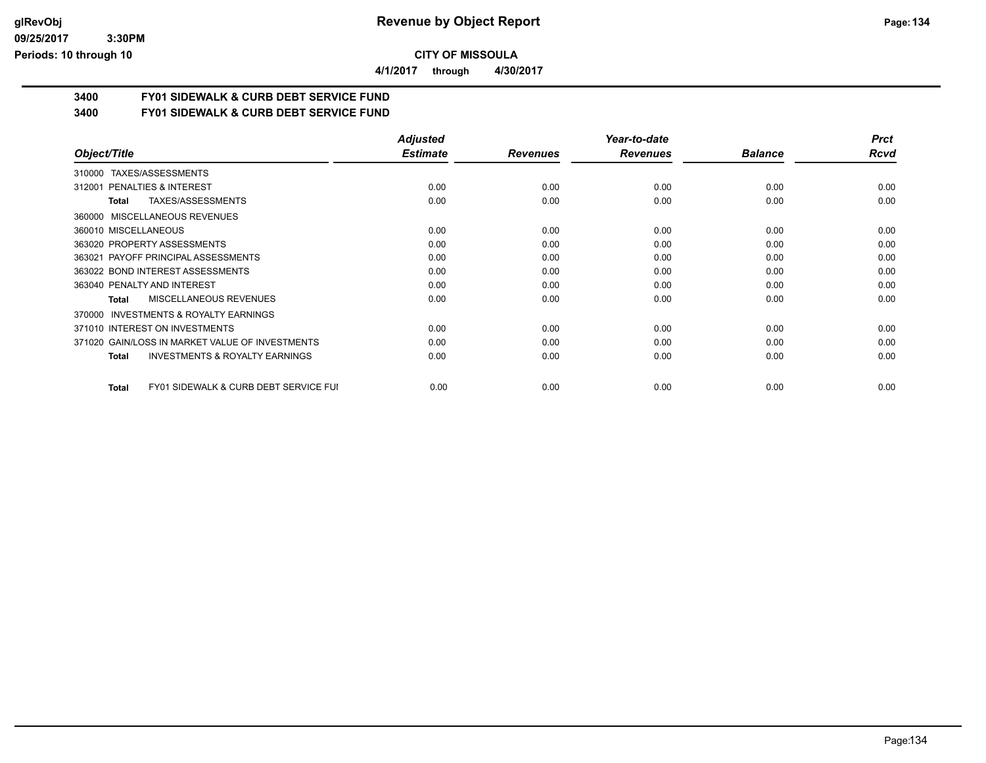# **09/25/2017**

**Periods: 10 through 10**

 **3:30PM**

**CITY OF MISSOULA**

**4/1/2017 through 4/30/2017**

# **3400 FY01 SIDEWALK & CURB DEBT SERVICE FUND**

## **3400 FY01 SIDEWALK & CURB DEBT SERVICE FUND**

|                                                                  | <b>Adjusted</b> |                 | Year-to-date    |                | <b>Prct</b> |
|------------------------------------------------------------------|-----------------|-----------------|-----------------|----------------|-------------|
| Object/Title                                                     | <b>Estimate</b> | <b>Revenues</b> | <b>Revenues</b> | <b>Balance</b> | Rcvd        |
| 310000 TAXES/ASSESSMENTS                                         |                 |                 |                 |                |             |
| 312001 PENALTIES & INTEREST                                      | 0.00            | 0.00            | 0.00            | 0.00           | 0.00        |
| TAXES/ASSESSMENTS<br>Total                                       | 0.00            | 0.00            | 0.00            | 0.00           | 0.00        |
| MISCELLANEOUS REVENUES<br>360000                                 |                 |                 |                 |                |             |
| 360010 MISCELLANEOUS                                             | 0.00            | 0.00            | 0.00            | 0.00           | 0.00        |
| 363020 PROPERTY ASSESSMENTS                                      | 0.00            | 0.00            | 0.00            | 0.00           | 0.00        |
| 363021 PAYOFF PRINCIPAL ASSESSMENTS                              | 0.00            | 0.00            | 0.00            | 0.00           | 0.00        |
| 363022 BOND INTEREST ASSESSMENTS                                 | 0.00            | 0.00            | 0.00            | 0.00           | 0.00        |
| 363040 PENALTY AND INTEREST                                      | 0.00            | 0.00            | 0.00            | 0.00           | 0.00        |
| MISCELLANEOUS REVENUES<br>Total                                  | 0.00            | 0.00            | 0.00            | 0.00           | 0.00        |
| <b>INVESTMENTS &amp; ROYALTY EARNINGS</b><br>370000              |                 |                 |                 |                |             |
| 371010 INTEREST ON INVESTMENTS                                   | 0.00            | 0.00            | 0.00            | 0.00           | 0.00        |
| 371020 GAIN/LOSS IN MARKET VALUE OF INVESTMENTS                  | 0.00            | 0.00            | 0.00            | 0.00           | 0.00        |
| <b>INVESTMENTS &amp; ROYALTY EARNINGS</b><br>Total               | 0.00            | 0.00            | 0.00            | 0.00           | 0.00        |
| <b>FY01 SIDEWALK &amp; CURB DEBT SERVICE FUI</b><br><b>Total</b> | 0.00            | 0.00            | 0.00            | 0.00           | 0.00        |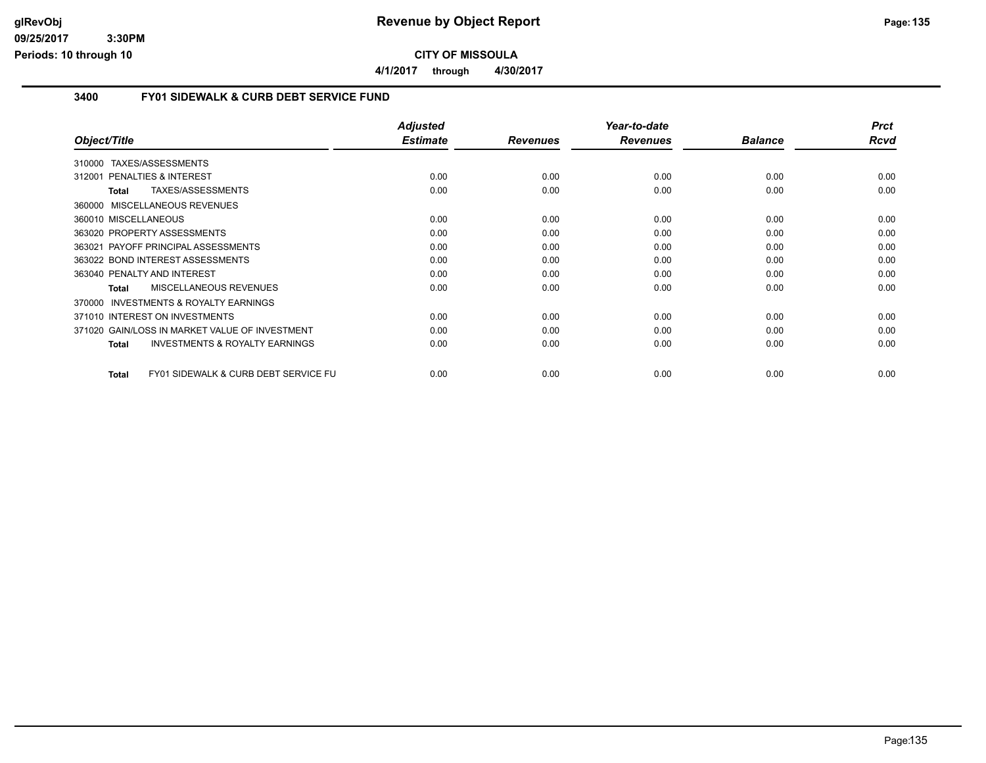**4/1/2017 through 4/30/2017**

## **3400 FY01 SIDEWALK & CURB DEBT SERVICE FUND**

|                                                           | <b>Adjusted</b> |                 | Year-to-date    |                | <b>Prct</b> |
|-----------------------------------------------------------|-----------------|-----------------|-----------------|----------------|-------------|
| Object/Title                                              | <b>Estimate</b> | <b>Revenues</b> | <b>Revenues</b> | <b>Balance</b> | <b>Rcvd</b> |
| 310000 TAXES/ASSESSMENTS                                  |                 |                 |                 |                |             |
| 312001 PENALTIES & INTEREST                               | 0.00            | 0.00            | 0.00            | 0.00           | 0.00        |
| TAXES/ASSESSMENTS<br><b>Total</b>                         | 0.00            | 0.00            | 0.00            | 0.00           | 0.00        |
| 360000 MISCELLANEOUS REVENUES                             |                 |                 |                 |                |             |
| 360010 MISCELLANEOUS                                      | 0.00            | 0.00            | 0.00            | 0.00           | 0.00        |
| 363020 PROPERTY ASSESSMENTS                               | 0.00            | 0.00            | 0.00            | 0.00           | 0.00        |
| 363021 PAYOFF PRINCIPAL ASSESSMENTS                       | 0.00            | 0.00            | 0.00            | 0.00           | 0.00        |
| 363022 BOND INTEREST ASSESSMENTS                          | 0.00            | 0.00            | 0.00            | 0.00           | 0.00        |
| 363040 PENALTY AND INTEREST                               | 0.00            | 0.00            | 0.00            | 0.00           | 0.00        |
| <b>MISCELLANEOUS REVENUES</b><br><b>Total</b>             | 0.00            | 0.00            | 0.00            | 0.00           | 0.00        |
| <b>INVESTMENTS &amp; ROYALTY EARNINGS</b><br>370000       |                 |                 |                 |                |             |
| 371010 INTEREST ON INVESTMENTS                            | 0.00            | 0.00            | 0.00            | 0.00           | 0.00        |
| 371020 GAIN/LOSS IN MARKET VALUE OF INVESTMENT            | 0.00            | 0.00            | 0.00            | 0.00           | 0.00        |
| <b>INVESTMENTS &amp; ROYALTY EARNINGS</b><br><b>Total</b> | 0.00            | 0.00            | 0.00            | 0.00           | 0.00        |
| FY01 SIDEWALK & CURB DEBT SERVICE FU<br><b>Total</b>      | 0.00            | 0.00            | 0.00            | 0.00           | 0.00        |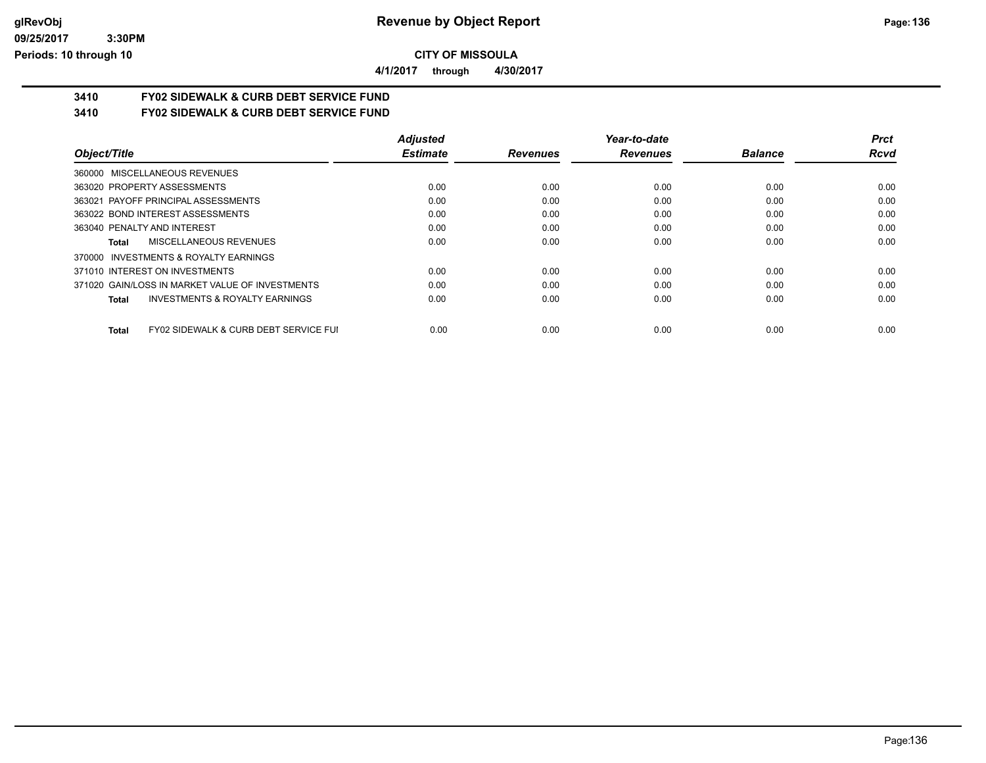## **09/25/2017 3:30PM Periods: 10 through 10**

## **CITY OF MISSOULA**

**4/1/2017 through 4/30/2017**

# **3410 FY02 SIDEWALK & CURB DEBT SERVICE FUND**

**3410 FY02 SIDEWALK & CURB DEBT SERVICE FUND**

|                                                    | <b>Adjusted</b> |                 | Year-to-date    |                | <b>Prct</b> |
|----------------------------------------------------|-----------------|-----------------|-----------------|----------------|-------------|
| Object/Title                                       | <b>Estimate</b> | <b>Revenues</b> | <b>Revenues</b> | <b>Balance</b> | <b>Rcvd</b> |
| 360000 MISCELLANEOUS REVENUES                      |                 |                 |                 |                |             |
| 363020 PROPERTY ASSESSMENTS                        | 0.00            | 0.00            | 0.00            | 0.00           | 0.00        |
| 363021 PAYOFF PRINCIPAL ASSESSMENTS                | 0.00            | 0.00            | 0.00            | 0.00           | 0.00        |
| 363022 BOND INTEREST ASSESSMENTS                   | 0.00            | 0.00            | 0.00            | 0.00           | 0.00        |
| 363040 PENALTY AND INTEREST                        | 0.00            | 0.00            | 0.00            | 0.00           | 0.00        |
| MISCELLANEOUS REVENUES<br>Total                    | 0.00            | 0.00            | 0.00            | 0.00           | 0.00        |
| 370000 INVESTMENTS & ROYALTY EARNINGS              |                 |                 |                 |                |             |
| 371010 INTEREST ON INVESTMENTS                     | 0.00            | 0.00            | 0.00            | 0.00           | 0.00        |
| 371020 GAIN/LOSS IN MARKET VALUE OF INVESTMENTS    | 0.00            | 0.00            | 0.00            | 0.00           | 0.00        |
| <b>INVESTMENTS &amp; ROYALTY EARNINGS</b><br>Total | 0.00            | 0.00            | 0.00            | 0.00           | 0.00        |
| FY02 SIDEWALK & CURB DEBT SERVICE FUI<br>Total     | 0.00            | 0.00            | 0.00            | 0.00           | 0.00        |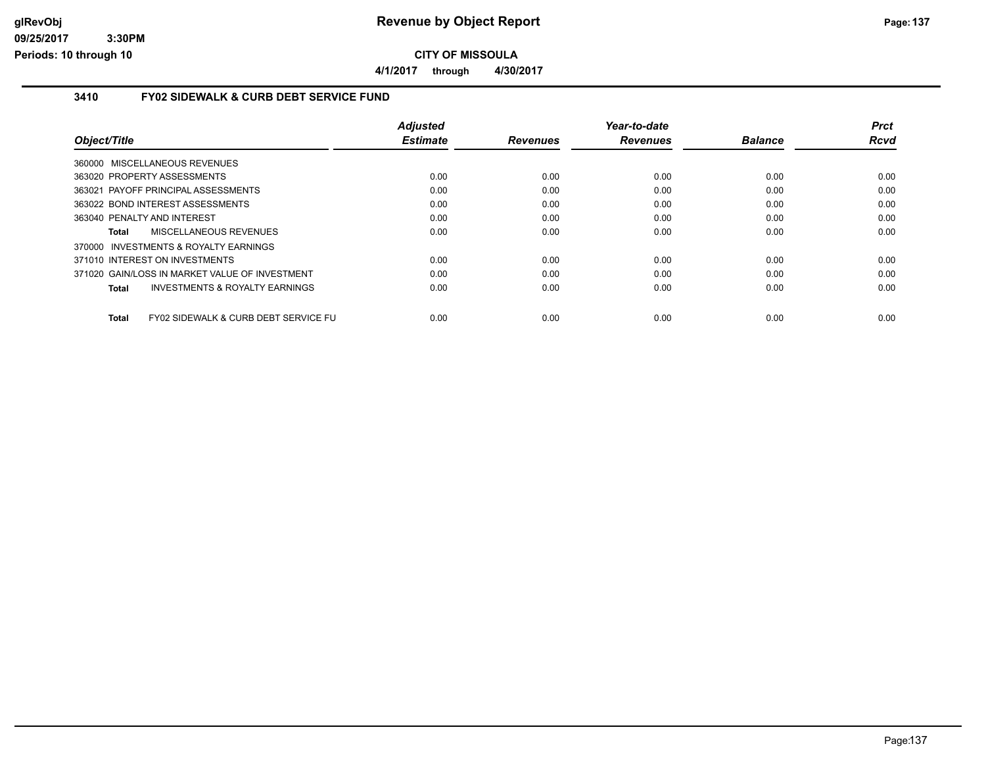**4/1/2017 through 4/30/2017**

## **3410 FY02 SIDEWALK & CURB DEBT SERVICE FUND**

|                                                      | <b>Adjusted</b> |                 | Year-to-date    |                | <b>Prct</b> |
|------------------------------------------------------|-----------------|-----------------|-----------------|----------------|-------------|
| Object/Title                                         | <b>Estimate</b> | <b>Revenues</b> | <b>Revenues</b> | <b>Balance</b> | <b>Rcvd</b> |
| 360000 MISCELLANEOUS REVENUES                        |                 |                 |                 |                |             |
| 363020 PROPERTY ASSESSMENTS                          | 0.00            | 0.00            | 0.00            | 0.00           | 0.00        |
| 363021 PAYOFF PRINCIPAL ASSESSMENTS                  | 0.00            | 0.00            | 0.00            | 0.00           | 0.00        |
| 363022 BOND INTEREST ASSESSMENTS                     | 0.00            | 0.00            | 0.00            | 0.00           | 0.00        |
| 363040 PENALTY AND INTEREST                          | 0.00            | 0.00            | 0.00            | 0.00           | 0.00        |
| MISCELLANEOUS REVENUES<br>Total                      | 0.00            | 0.00            | 0.00            | 0.00           | 0.00        |
| 370000 INVESTMENTS & ROYALTY EARNINGS                |                 |                 |                 |                |             |
| 371010 INTEREST ON INVESTMENTS                       | 0.00            | 0.00            | 0.00            | 0.00           | 0.00        |
| 371020 GAIN/LOSS IN MARKET VALUE OF INVESTMENT       | 0.00            | 0.00            | 0.00            | 0.00           | 0.00        |
| <b>INVESTMENTS &amp; ROYALTY EARNINGS</b><br>Total   | 0.00            | 0.00            | 0.00            | 0.00           | 0.00        |
| FY02 SIDEWALK & CURB DEBT SERVICE FU<br><b>Total</b> | 0.00            | 0.00            | 0.00            | 0.00           | 0.00        |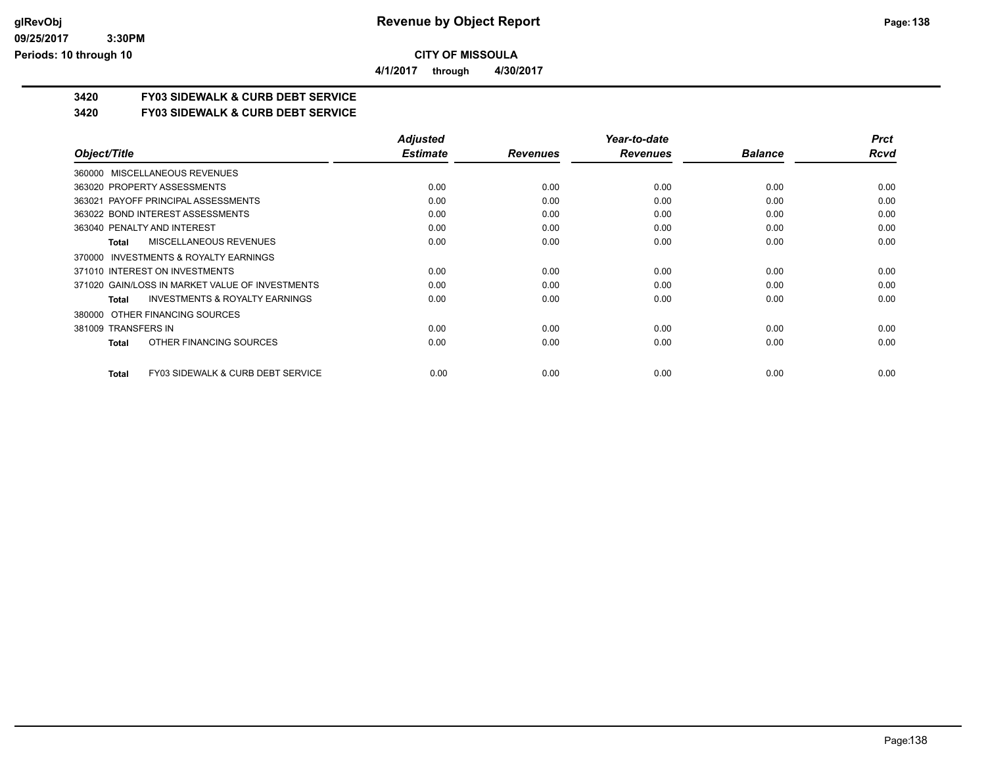**4/1/2017 through 4/30/2017**

## **3420 FY03 SIDEWALK & CURB DEBT SERVICE**

## **3420 FY03 SIDEWALK & CURB DEBT SERVICE**

|                                                     | <b>Adjusted</b> |                 | Year-to-date    |                | <b>Prct</b> |
|-----------------------------------------------------|-----------------|-----------------|-----------------|----------------|-------------|
| Object/Title                                        | <b>Estimate</b> | <b>Revenues</b> | <b>Revenues</b> | <b>Balance</b> | Rcvd        |
| MISCELLANEOUS REVENUES<br>360000                    |                 |                 |                 |                |             |
| 363020 PROPERTY ASSESSMENTS                         | 0.00            | 0.00            | 0.00            | 0.00           | 0.00        |
| 363021 PAYOFF PRINCIPAL ASSESSMENTS                 | 0.00            | 0.00            | 0.00            | 0.00           | 0.00        |
| 363022 BOND INTEREST ASSESSMENTS                    | 0.00            | 0.00            | 0.00            | 0.00           | 0.00        |
| 363040 PENALTY AND INTEREST                         | 0.00            | 0.00            | 0.00            | 0.00           | 0.00        |
| <b>MISCELLANEOUS REVENUES</b><br><b>Total</b>       | 0.00            | 0.00            | 0.00            | 0.00           | 0.00        |
| <b>INVESTMENTS &amp; ROYALTY EARNINGS</b><br>370000 |                 |                 |                 |                |             |
| 371010 INTEREST ON INVESTMENTS                      | 0.00            | 0.00            | 0.00            | 0.00           | 0.00        |
| 371020 GAIN/LOSS IN MARKET VALUE OF INVESTMENTS     | 0.00            | 0.00            | 0.00            | 0.00           | 0.00        |
| <b>INVESTMENTS &amp; ROYALTY EARNINGS</b><br>Total  | 0.00            | 0.00            | 0.00            | 0.00           | 0.00        |
| OTHER FINANCING SOURCES<br>380000                   |                 |                 |                 |                |             |
| 381009 TRANSFERS IN                                 | 0.00            | 0.00            | 0.00            | 0.00           | 0.00        |
| OTHER FINANCING SOURCES<br><b>Total</b>             | 0.00            | 0.00            | 0.00            | 0.00           | 0.00        |
| FY03 SIDEWALK & CURB DEBT SERVICE<br><b>Total</b>   | 0.00            | 0.00            | 0.00            | 0.00           | 0.00        |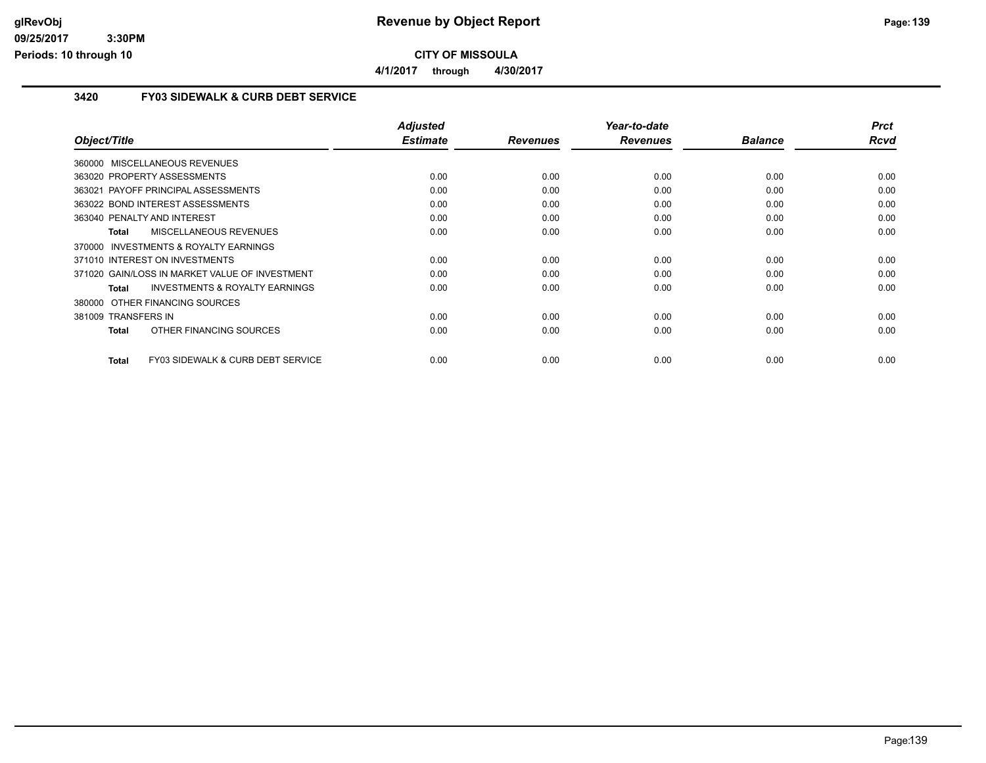**4/1/2017 through 4/30/2017**

## **3420 FY03 SIDEWALK & CURB DEBT SERVICE**

| Object/Title                                        | <b>Adjusted</b><br><b>Estimate</b> | <b>Revenues</b> | Year-to-date<br><b>Revenues</b> | <b>Balance</b> | <b>Prct</b><br>Rcvd |
|-----------------------------------------------------|------------------------------------|-----------------|---------------------------------|----------------|---------------------|
| 360000 MISCELLANEOUS REVENUES                       |                                    |                 |                                 |                |                     |
| 363020 PROPERTY ASSESSMENTS                         | 0.00                               | 0.00            | 0.00                            | 0.00           | 0.00                |
| 363021 PAYOFF PRINCIPAL ASSESSMENTS                 | 0.00                               | 0.00            | 0.00                            | 0.00           | 0.00                |
| 363022 BOND INTEREST ASSESSMENTS                    | 0.00                               | 0.00            | 0.00                            | 0.00           | 0.00                |
| 363040 PENALTY AND INTEREST                         | 0.00                               | 0.00            | 0.00                            | 0.00           | 0.00                |
| <b>MISCELLANEOUS REVENUES</b><br>Total              | 0.00                               | 0.00            | 0.00                            | 0.00           | 0.00                |
| <b>INVESTMENTS &amp; ROYALTY EARNINGS</b><br>370000 |                                    |                 |                                 |                |                     |
| 371010 INTEREST ON INVESTMENTS                      | 0.00                               | 0.00            | 0.00                            | 0.00           | 0.00                |
| 371020 GAIN/LOSS IN MARKET VALUE OF INVESTMENT      | 0.00                               | 0.00            | 0.00                            | 0.00           | 0.00                |
| <b>INVESTMENTS &amp; ROYALTY EARNINGS</b><br>Total  | 0.00                               | 0.00            | 0.00                            | 0.00           | 0.00                |
| 380000 OTHER FINANCING SOURCES                      |                                    |                 |                                 |                |                     |
| 381009 TRANSFERS IN                                 | 0.00                               | 0.00            | 0.00                            | 0.00           | 0.00                |
| OTHER FINANCING SOURCES<br><b>Total</b>             | 0.00                               | 0.00            | 0.00                            | 0.00           | 0.00                |
| FY03 SIDEWALK & CURB DEBT SERVICE<br>Total          | 0.00                               | 0.00            | 0.00                            | 0.00           | 0.00                |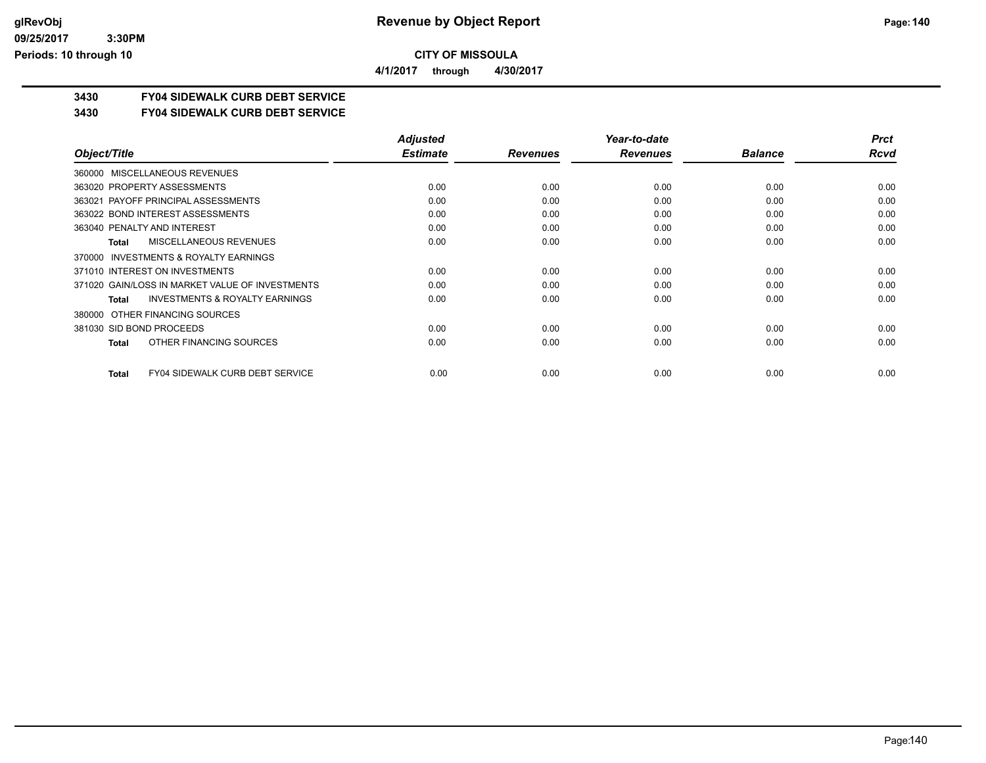**4/1/2017 through 4/30/2017**

## **3430 FY04 SIDEWALK CURB DEBT SERVICE**

## **3430 FY04 SIDEWALK CURB DEBT SERVICE**

|                                                    | <b>Adjusted</b> |                 | Year-to-date    |                | <b>Prct</b> |
|----------------------------------------------------|-----------------|-----------------|-----------------|----------------|-------------|
| Object/Title                                       | <b>Estimate</b> | <b>Revenues</b> | <b>Revenues</b> | <b>Balance</b> | Rcvd        |
| 360000 MISCELLANEOUS REVENUES                      |                 |                 |                 |                |             |
| 363020 PROPERTY ASSESSMENTS                        | 0.00            | 0.00            | 0.00            | 0.00           | 0.00        |
| 363021 PAYOFF PRINCIPAL ASSESSMENTS                | 0.00            | 0.00            | 0.00            | 0.00           | 0.00        |
| 363022 BOND INTEREST ASSESSMENTS                   | 0.00            | 0.00            | 0.00            | 0.00           | 0.00        |
| 363040 PENALTY AND INTEREST                        | 0.00            | 0.00            | 0.00            | 0.00           | 0.00        |
| MISCELLANEOUS REVENUES<br>Total                    | 0.00            | 0.00            | 0.00            | 0.00           | 0.00        |
| 370000 INVESTMENTS & ROYALTY EARNINGS              |                 |                 |                 |                |             |
| 371010 INTEREST ON INVESTMENTS                     | 0.00            | 0.00            | 0.00            | 0.00           | 0.00        |
| 371020 GAIN/LOSS IN MARKET VALUE OF INVESTMENTS    | 0.00            | 0.00            | 0.00            | 0.00           | 0.00        |
| <b>INVESTMENTS &amp; ROYALTY EARNINGS</b><br>Total | 0.00            | 0.00            | 0.00            | 0.00           | 0.00        |
| 380000 OTHER FINANCING SOURCES                     |                 |                 |                 |                |             |
| 381030 SID BOND PROCEEDS                           | 0.00            | 0.00            | 0.00            | 0.00           | 0.00        |
| OTHER FINANCING SOURCES<br><b>Total</b>            | 0.00            | 0.00            | 0.00            | 0.00           | 0.00        |
| FY04 SIDEWALK CURB DEBT SERVICE<br><b>Total</b>    | 0.00            | 0.00            | 0.00            | 0.00           | 0.00        |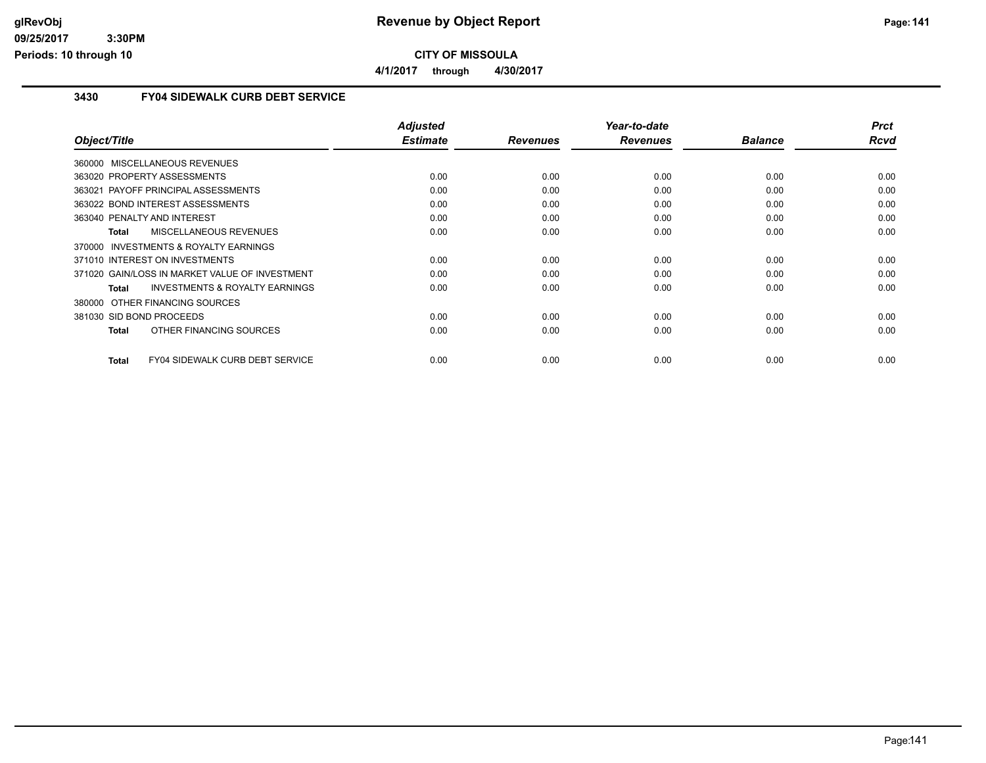**4/1/2017 through 4/30/2017**

## **3430 FY04 SIDEWALK CURB DEBT SERVICE**

| Object/Title                                        | <b>Adjusted</b><br><b>Estimate</b> | <b>Revenues</b> | Year-to-date<br><b>Revenues</b> | <b>Balance</b> | <b>Prct</b><br>Rcvd |
|-----------------------------------------------------|------------------------------------|-----------------|---------------------------------|----------------|---------------------|
| 360000 MISCELLANEOUS REVENUES                       |                                    |                 |                                 |                |                     |
| 363020 PROPERTY ASSESSMENTS                         | 0.00                               | 0.00            | 0.00                            | 0.00           | 0.00                |
| 363021 PAYOFF PRINCIPAL ASSESSMENTS                 | 0.00                               | 0.00            | 0.00                            | 0.00           | 0.00                |
| 363022 BOND INTEREST ASSESSMENTS                    | 0.00                               | 0.00            | 0.00                            | 0.00           | 0.00                |
| 363040 PENALTY AND INTEREST                         | 0.00                               | 0.00            | 0.00                            | 0.00           | 0.00                |
| <b>MISCELLANEOUS REVENUES</b><br>Total              | 0.00                               | 0.00            | 0.00                            | 0.00           | 0.00                |
| <b>INVESTMENTS &amp; ROYALTY EARNINGS</b><br>370000 |                                    |                 |                                 |                |                     |
| 371010 INTEREST ON INVESTMENTS                      | 0.00                               | 0.00            | 0.00                            | 0.00           | 0.00                |
| 371020 GAIN/LOSS IN MARKET VALUE OF INVESTMENT      | 0.00                               | 0.00            | 0.00                            | 0.00           | 0.00                |
| <b>INVESTMENTS &amp; ROYALTY EARNINGS</b><br>Total  | 0.00                               | 0.00            | 0.00                            | 0.00           | 0.00                |
| 380000 OTHER FINANCING SOURCES                      |                                    |                 |                                 |                |                     |
| 381030 SID BOND PROCEEDS                            | 0.00                               | 0.00            | 0.00                            | 0.00           | 0.00                |
| OTHER FINANCING SOURCES<br><b>Total</b>             | 0.00                               | 0.00            | 0.00                            | 0.00           | 0.00                |
|                                                     |                                    |                 |                                 |                |                     |
| FY04 SIDEWALK CURB DEBT SERVICE<br>Total            | 0.00                               | 0.00            | 0.00                            | 0.00           | 0.00                |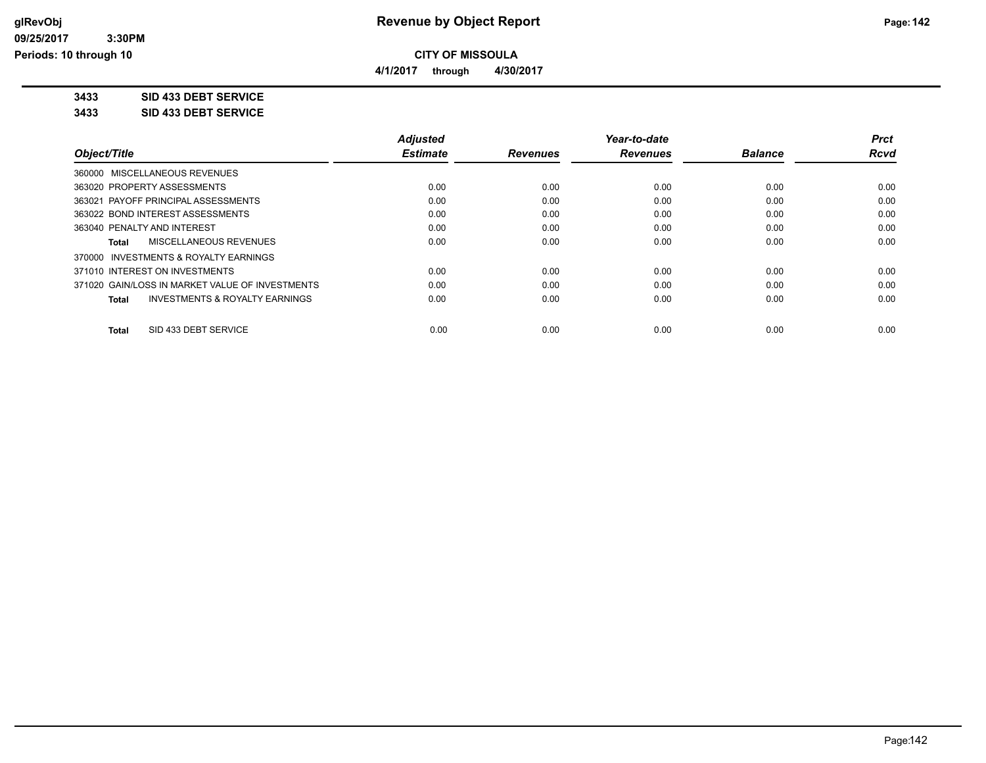**4/1/2017 through 4/30/2017**

**3433 SID 433 DEBT SERVICE**

**3433 SID 433 DEBT SERVICE**

|                                                 | <b>Adiusted</b> |                 | Year-to-date    |                | <b>Prct</b> |
|-------------------------------------------------|-----------------|-----------------|-----------------|----------------|-------------|
| Object/Title                                    | <b>Estimate</b> | <b>Revenues</b> | <b>Revenues</b> | <b>Balance</b> | <b>Rcvd</b> |
| 360000 MISCELLANEOUS REVENUES                   |                 |                 |                 |                |             |
| 363020 PROPERTY ASSESSMENTS                     | 0.00            | 0.00            | 0.00            | 0.00           | 0.00        |
| 363021 PAYOFF PRINCIPAL ASSESSMENTS             | 0.00            | 0.00            | 0.00            | 0.00           | 0.00        |
| 363022 BOND INTEREST ASSESSMENTS                | 0.00            | 0.00            | 0.00            | 0.00           | 0.00        |
| 363040 PENALTY AND INTEREST                     | 0.00            | 0.00            | 0.00            | 0.00           | 0.00        |
| MISCELLANEOUS REVENUES<br>Total                 | 0.00            | 0.00            | 0.00            | 0.00           | 0.00        |
| 370000 INVESTMENTS & ROYALTY EARNINGS           |                 |                 |                 |                |             |
| 371010 INTEREST ON INVESTMENTS                  | 0.00            | 0.00            | 0.00            | 0.00           | 0.00        |
| 371020 GAIN/LOSS IN MARKET VALUE OF INVESTMENTS | 0.00            | 0.00            | 0.00            | 0.00           | 0.00        |
| INVESTMENTS & ROYALTY EARNINGS<br><b>Total</b>  | 0.00            | 0.00            | 0.00            | 0.00           | 0.00        |
| SID 433 DEBT SERVICE<br>Total                   | 0.00            | 0.00            | 0.00            | 0.00           | 0.00        |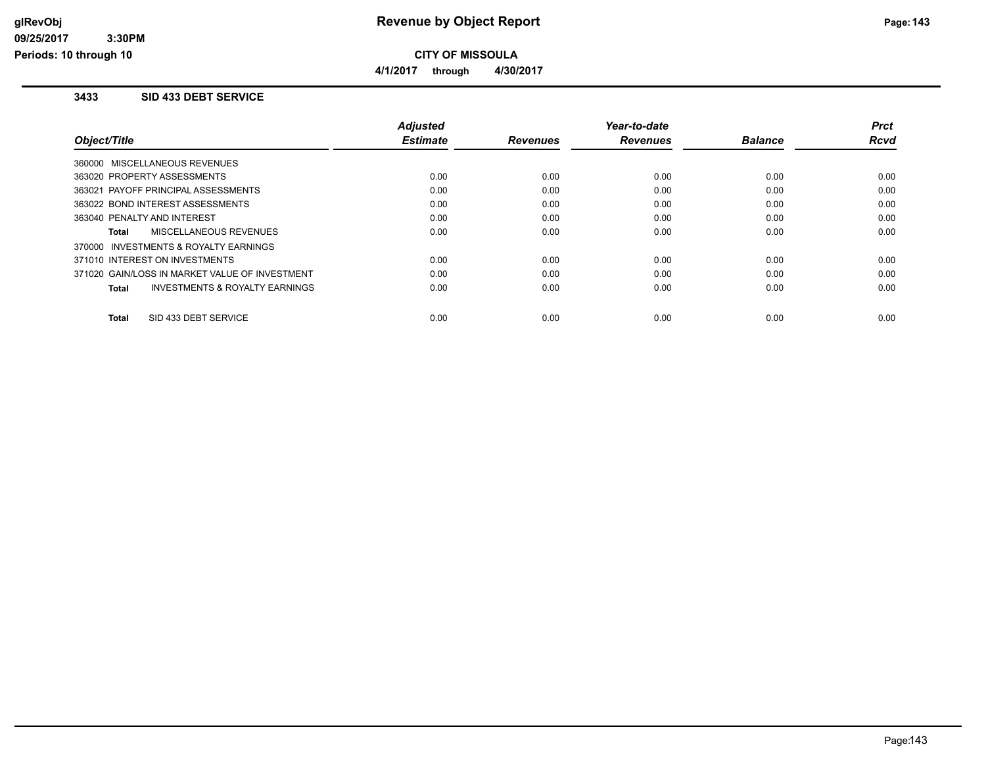**4/1/2017 through 4/30/2017**

## **3433 SID 433 DEBT SERVICE**

|                                                           | <b>Adjusted</b> |                 | Year-to-date    |                | <b>Prct</b> |
|-----------------------------------------------------------|-----------------|-----------------|-----------------|----------------|-------------|
| Object/Title                                              | <b>Estimate</b> | <b>Revenues</b> | <b>Revenues</b> | <b>Balance</b> | <b>Rcvd</b> |
| 360000 MISCELLANEOUS REVENUES                             |                 |                 |                 |                |             |
| 363020 PROPERTY ASSESSMENTS                               | 0.00            | 0.00            | 0.00            | 0.00           | 0.00        |
| 363021 PAYOFF PRINCIPAL ASSESSMENTS                       | 0.00            | 0.00            | 0.00            | 0.00           | 0.00        |
| 363022 BOND INTEREST ASSESSMENTS                          | 0.00            | 0.00            | 0.00            | 0.00           | 0.00        |
| 363040 PENALTY AND INTEREST                               | 0.00            | 0.00            | 0.00            | 0.00           | 0.00        |
| MISCELLANEOUS REVENUES<br>Total                           | 0.00            | 0.00            | 0.00            | 0.00           | 0.00        |
| INVESTMENTS & ROYALTY EARNINGS<br>370000                  |                 |                 |                 |                |             |
| 371010 INTEREST ON INVESTMENTS                            | 0.00            | 0.00            | 0.00            | 0.00           | 0.00        |
| 371020 GAIN/LOSS IN MARKET VALUE OF INVESTMENT            | 0.00            | 0.00            | 0.00            | 0.00           | 0.00        |
| <b>INVESTMENTS &amp; ROYALTY EARNINGS</b><br><b>Total</b> | 0.00            | 0.00            | 0.00            | 0.00           | 0.00        |
|                                                           |                 |                 |                 |                |             |
| SID 433 DEBT SERVICE<br><b>Total</b>                      | 0.00            | 0.00            | 0.00            | 0.00           | 0.00        |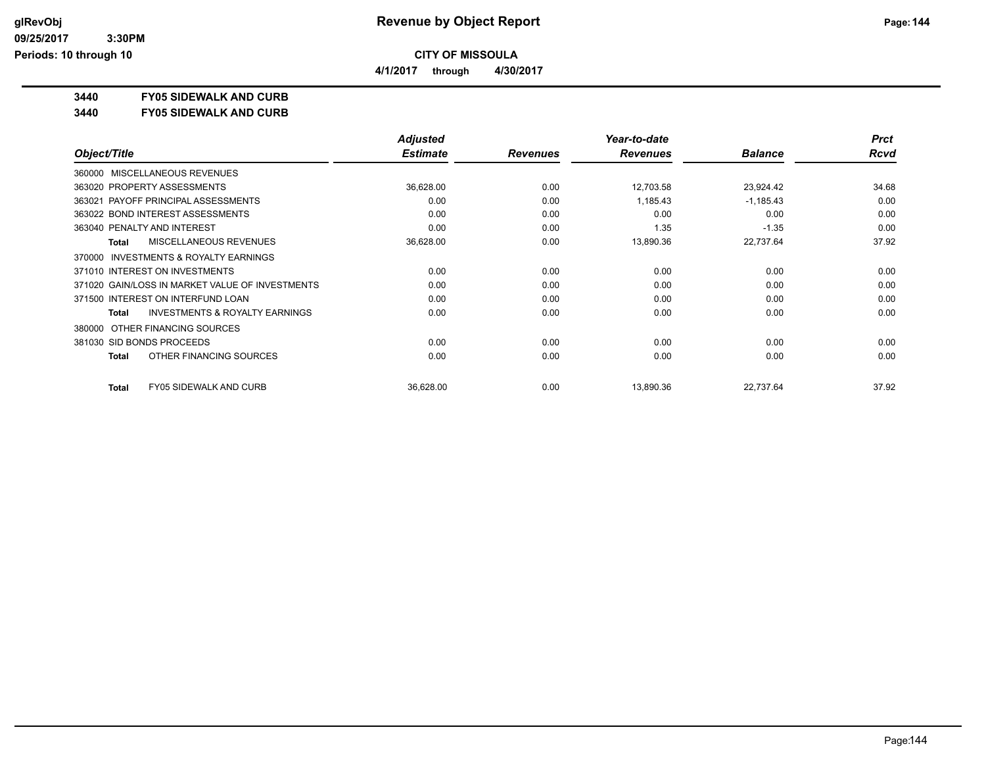**4/1/2017 through 4/30/2017**

**3440 FY05 SIDEWALK AND CURB**

**3440 FY05 SIDEWALK AND CURB**

|                                                           | <b>Adjusted</b> |                 | Year-to-date    |                | <b>Prct</b> |
|-----------------------------------------------------------|-----------------|-----------------|-----------------|----------------|-------------|
| Object/Title                                              | <b>Estimate</b> | <b>Revenues</b> | <b>Revenues</b> | <b>Balance</b> | Rcvd        |
| <b>MISCELLANEOUS REVENUES</b><br>360000                   |                 |                 |                 |                |             |
| 363020 PROPERTY ASSESSMENTS                               | 36,628.00       | 0.00            | 12,703.58       | 23,924.42      | 34.68       |
| 363021 PAYOFF PRINCIPAL ASSESSMENTS                       | 0.00            | 0.00            | 1,185.43        | $-1,185.43$    | 0.00        |
| 363022 BOND INTEREST ASSESSMENTS                          | 0.00            | 0.00            | 0.00            | 0.00           | 0.00        |
| 363040 PENALTY AND INTEREST                               | 0.00            | 0.00            | 1.35            | $-1.35$        | 0.00        |
| <b>MISCELLANEOUS REVENUES</b><br>Total                    | 36,628.00       | 0.00            | 13,890.36       | 22,737.64      | 37.92       |
| INVESTMENTS & ROYALTY EARNINGS<br>370000                  |                 |                 |                 |                |             |
| 371010 INTEREST ON INVESTMENTS                            | 0.00            | 0.00            | 0.00            | 0.00           | 0.00        |
| 371020 GAIN/LOSS IN MARKET VALUE OF INVESTMENTS           | 0.00            | 0.00            | 0.00            | 0.00           | 0.00        |
| 371500 INTEREST ON INTERFUND LOAN                         | 0.00            | 0.00            | 0.00            | 0.00           | 0.00        |
| <b>INVESTMENTS &amp; ROYALTY EARNINGS</b><br><b>Total</b> | 0.00            | 0.00            | 0.00            | 0.00           | 0.00        |
| OTHER FINANCING SOURCES<br>380000                         |                 |                 |                 |                |             |
| 381030 SID BONDS PROCEEDS                                 | 0.00            | 0.00            | 0.00            | 0.00           | 0.00        |
| OTHER FINANCING SOURCES<br><b>Total</b>                   | 0.00            | 0.00            | 0.00            | 0.00           | 0.00        |
| <b>FY05 SIDEWALK AND CURB</b><br><b>Total</b>             | 36,628.00       | 0.00            | 13,890.36       | 22,737.64      | 37.92       |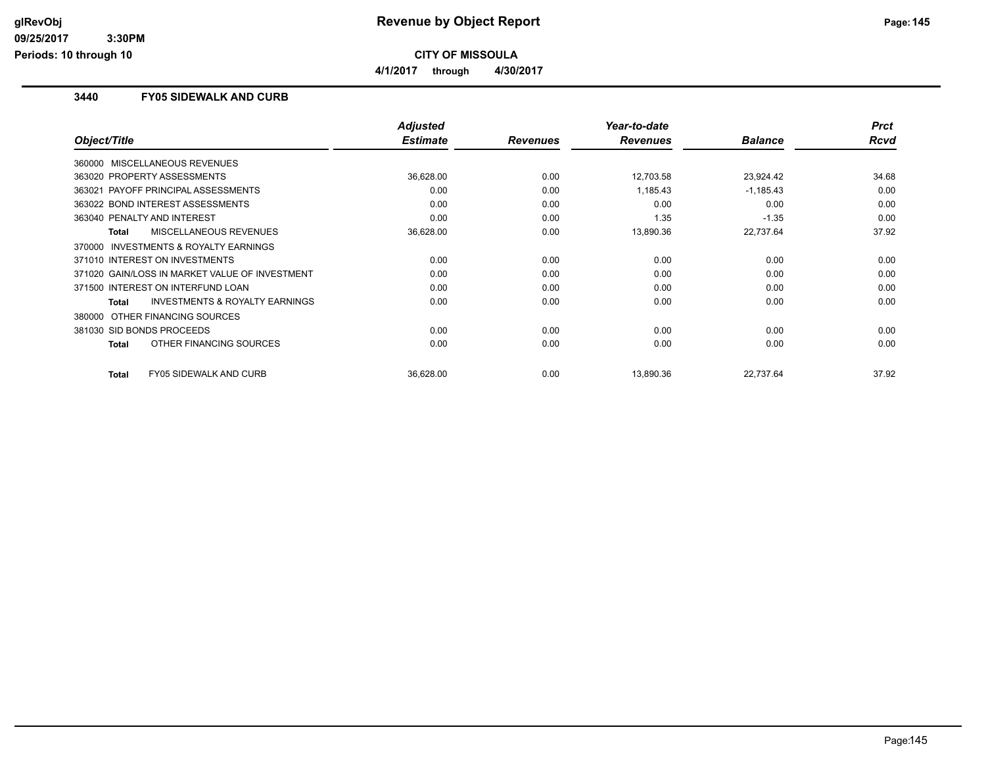**4/1/2017 through 4/30/2017**

# **3440 FY05 SIDEWALK AND CURB**

|                                                           | <b>Adjusted</b> |                 | Year-to-date    |                | <b>Prct</b> |
|-----------------------------------------------------------|-----------------|-----------------|-----------------|----------------|-------------|
| Object/Title                                              | <b>Estimate</b> | <b>Revenues</b> | <b>Revenues</b> | <b>Balance</b> | Rcvd        |
| 360000 MISCELLANEOUS REVENUES                             |                 |                 |                 |                |             |
| 363020 PROPERTY ASSESSMENTS                               | 36,628.00       | 0.00            | 12,703.58       | 23,924.42      | 34.68       |
| 363021 PAYOFF PRINCIPAL ASSESSMENTS                       | 0.00            | 0.00            | 1,185.43        | $-1,185.43$    | 0.00        |
| 363022 BOND INTEREST ASSESSMENTS                          | 0.00            | 0.00            | 0.00            | 0.00           | 0.00        |
| 363040 PENALTY AND INTEREST                               | 0.00            | 0.00            | 1.35            | $-1.35$        | 0.00        |
| <b>MISCELLANEOUS REVENUES</b><br><b>Total</b>             | 36,628.00       | 0.00            | 13,890.36       | 22,737.64      | 37.92       |
| 370000 INVESTMENTS & ROYALTY EARNINGS                     |                 |                 |                 |                |             |
| 371010 INTEREST ON INVESTMENTS                            | 0.00            | 0.00            | 0.00            | 0.00           | 0.00        |
| 371020 GAIN/LOSS IN MARKET VALUE OF INVESTMENT            | 0.00            | 0.00            | 0.00            | 0.00           | 0.00        |
| 371500 INTEREST ON INTERFUND LOAN                         | 0.00            | 0.00            | 0.00            | 0.00           | 0.00        |
| <b>INVESTMENTS &amp; ROYALTY EARNINGS</b><br><b>Total</b> | 0.00            | 0.00            | 0.00            | 0.00           | 0.00        |
| 380000 OTHER FINANCING SOURCES                            |                 |                 |                 |                |             |
| 381030 SID BONDS PROCEEDS                                 | 0.00            | 0.00            | 0.00            | 0.00           | 0.00        |
| OTHER FINANCING SOURCES<br><b>Total</b>                   | 0.00            | 0.00            | 0.00            | 0.00           | 0.00        |
| <b>FY05 SIDEWALK AND CURB</b><br><b>Total</b>             | 36,628.00       | 0.00            | 13,890.36       | 22,737.64      | 37.92       |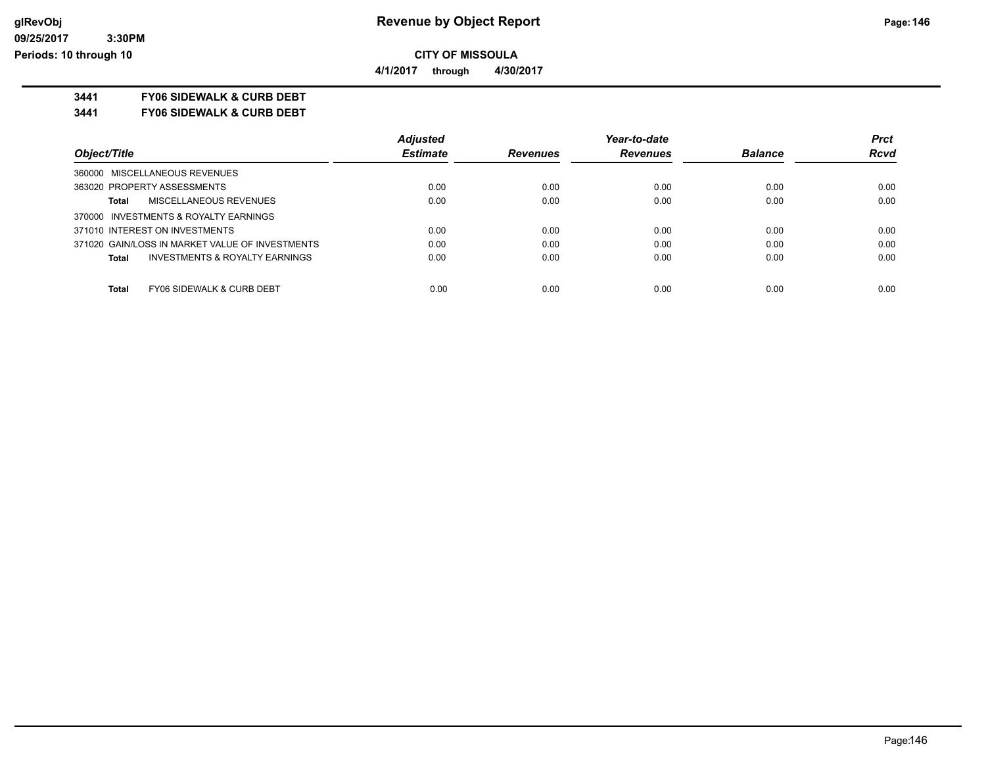**4/1/2017 through 4/30/2017**

**3441 FY06 SIDEWALK & CURB DEBT**

**3441 FY06 SIDEWALK & CURB DEBT**

|                                                      | <b>Adjusted</b> |                 | Year-to-date    |                | <b>Prct</b> |
|------------------------------------------------------|-----------------|-----------------|-----------------|----------------|-------------|
| Object/Title                                         | <b>Estimate</b> | <b>Revenues</b> | <b>Revenues</b> | <b>Balance</b> | <b>Rcvd</b> |
| 360000 MISCELLANEOUS REVENUES                        |                 |                 |                 |                |             |
| 363020 PROPERTY ASSESSMENTS                          | 0.00            | 0.00            | 0.00            | 0.00           | 0.00        |
| MISCELLANEOUS REVENUES<br>Total                      | 0.00            | 0.00            | 0.00            | 0.00           | 0.00        |
| 370000 INVESTMENTS & ROYALTY EARNINGS                |                 |                 |                 |                |             |
| 371010 INTEREST ON INVESTMENTS                       | 0.00            | 0.00            | 0.00            | 0.00           | 0.00        |
| 371020 GAIN/LOSS IN MARKET VALUE OF INVESTMENTS      | 0.00            | 0.00            | 0.00            | 0.00           | 0.00        |
| <b>INVESTMENTS &amp; ROYALTY EARNINGS</b><br>Total   | 0.00            | 0.00            | 0.00            | 0.00           | 0.00        |
| <b>Total</b><br><b>FY06 SIDEWALK &amp; CURB DEBT</b> | 0.00            | 0.00            | 0.00            | 0.00           | 0.00        |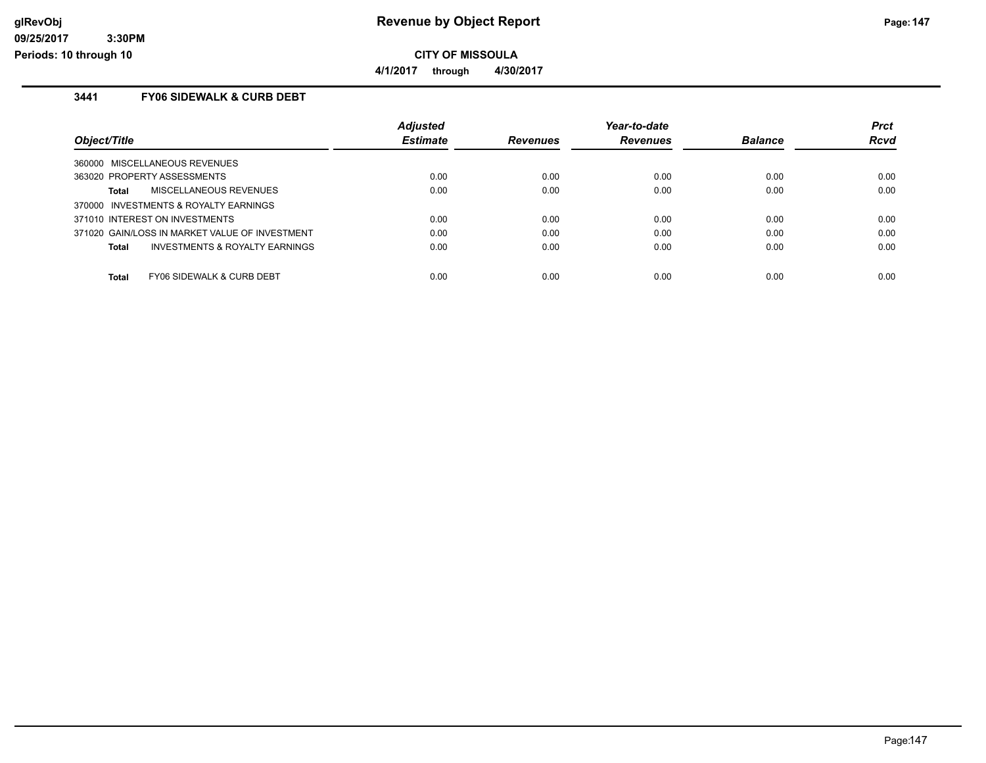**4/1/2017 through 4/30/2017**

# **3441 FY06 SIDEWALK & CURB DEBT**

|                                                    | <b>Adjusted</b> |                 | Year-to-date    |                | <b>Prct</b> |
|----------------------------------------------------|-----------------|-----------------|-----------------|----------------|-------------|
| Object/Title                                       | <b>Estimate</b> | <b>Revenues</b> | <b>Revenues</b> | <b>Balance</b> | <b>Rcvd</b> |
| MISCELLANEOUS REVENUES<br>360000                   |                 |                 |                 |                |             |
| 363020 PROPERTY ASSESSMENTS                        | 0.00            | 0.00            | 0.00            | 0.00           | 0.00        |
| MISCELLANEOUS REVENUES<br>Total                    | 0.00            | 0.00            | 0.00            | 0.00           | 0.00        |
| 370000 INVESTMENTS & ROYALTY EARNINGS              |                 |                 |                 |                |             |
| 371010 INTEREST ON INVESTMENTS                     | 0.00            | 0.00            | 0.00            | 0.00           | 0.00        |
| 371020 GAIN/LOSS IN MARKET VALUE OF INVESTMENT     | 0.00            | 0.00            | 0.00            | 0.00           | 0.00        |
| <b>INVESTMENTS &amp; ROYALTY EARNINGS</b><br>Total | 0.00            | 0.00            | 0.00            | 0.00           | 0.00        |
| Total<br><b>FY06 SIDEWALK &amp; CURB DEBT</b>      | 0.00            | 0.00            | 0.00            | 0.00           | 0.00        |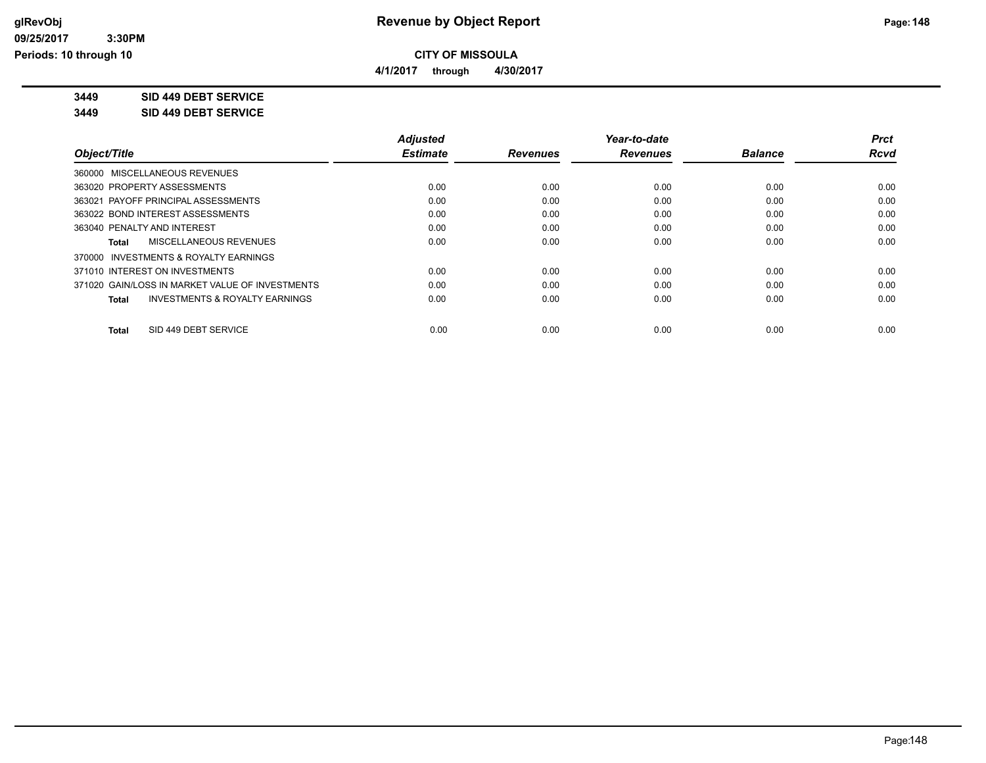**4/1/2017 through 4/30/2017**

**3449 SID 449 DEBT SERVICE**

**3449 SID 449 DEBT SERVICE**

|                                                           | <b>Adiusted</b> |                 | Year-to-date    |                | <b>Prct</b> |
|-----------------------------------------------------------|-----------------|-----------------|-----------------|----------------|-------------|
| Object/Title                                              | <b>Estimate</b> | <b>Revenues</b> | <b>Revenues</b> | <b>Balance</b> | <b>Rcvd</b> |
| 360000 MISCELLANEOUS REVENUES                             |                 |                 |                 |                |             |
| 363020 PROPERTY ASSESSMENTS                               | 0.00            | 0.00            | 0.00            | 0.00           | 0.00        |
| 363021 PAYOFF PRINCIPAL ASSESSMENTS                       | 0.00            | 0.00            | 0.00            | 0.00           | 0.00        |
| 363022 BOND INTEREST ASSESSMENTS                          | 0.00            | 0.00            | 0.00            | 0.00           | 0.00        |
| 363040 PENALTY AND INTEREST                               | 0.00            | 0.00            | 0.00            | 0.00           | 0.00        |
| MISCELLANEOUS REVENUES<br>Total                           | 0.00            | 0.00            | 0.00            | 0.00           | 0.00        |
| 370000 INVESTMENTS & ROYALTY EARNINGS                     |                 |                 |                 |                |             |
| 371010 INTEREST ON INVESTMENTS                            | 0.00            | 0.00            | 0.00            | 0.00           | 0.00        |
| 371020 GAIN/LOSS IN MARKET VALUE OF INVESTMENTS           | 0.00            | 0.00            | 0.00            | 0.00           | 0.00        |
| <b>INVESTMENTS &amp; ROYALTY EARNINGS</b><br><b>Total</b> | 0.00            | 0.00            | 0.00            | 0.00           | 0.00        |
| SID 449 DEBT SERVICE<br>Total                             | 0.00            | 0.00            | 0.00            | 0.00           | 0.00        |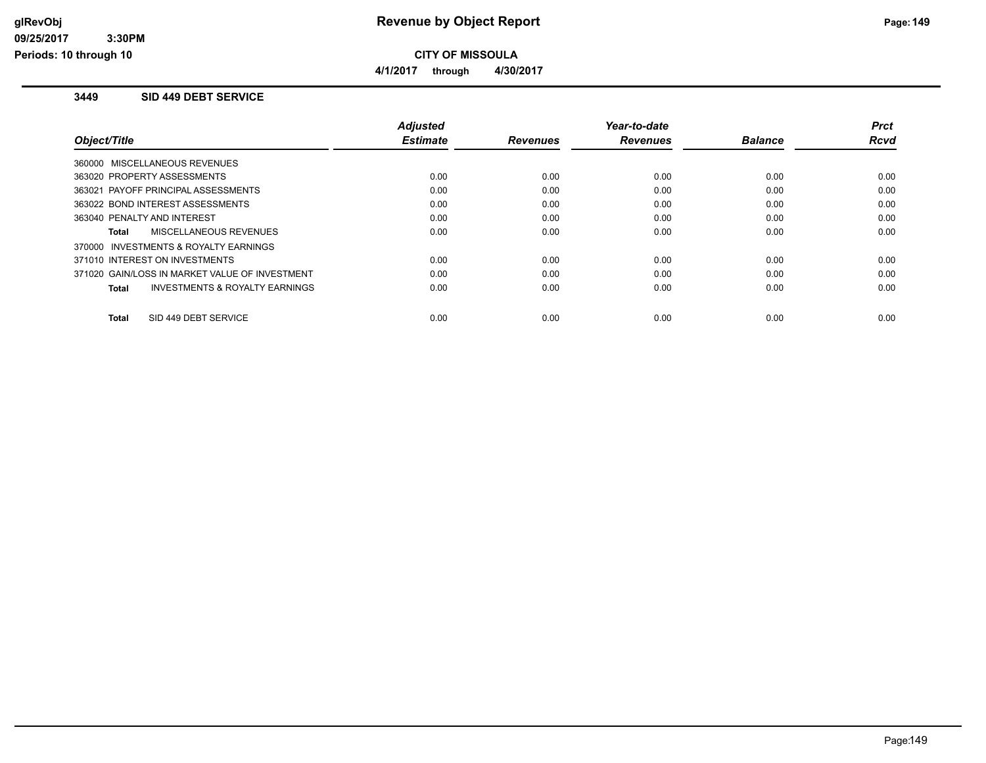**4/1/2017 through 4/30/2017**

## **3449 SID 449 DEBT SERVICE**

|                                                           | <b>Adjusted</b> |                 | Year-to-date    |                | <b>Prct</b> |
|-----------------------------------------------------------|-----------------|-----------------|-----------------|----------------|-------------|
| Object/Title                                              | <b>Estimate</b> | <b>Revenues</b> | <b>Revenues</b> | <b>Balance</b> | <b>Rcvd</b> |
| 360000 MISCELLANEOUS REVENUES                             |                 |                 |                 |                |             |
| 363020 PROPERTY ASSESSMENTS                               | 0.00            | 0.00            | 0.00            | 0.00           | 0.00        |
| 363021 PAYOFF PRINCIPAL ASSESSMENTS                       | 0.00            | 0.00            | 0.00            | 0.00           | 0.00        |
| 363022 BOND INTEREST ASSESSMENTS                          | 0.00            | 0.00            | 0.00            | 0.00           | 0.00        |
| 363040 PENALTY AND INTEREST                               | 0.00            | 0.00            | 0.00            | 0.00           | 0.00        |
| MISCELLANEOUS REVENUES<br>Total                           | 0.00            | 0.00            | 0.00            | 0.00           | 0.00        |
| INVESTMENTS & ROYALTY EARNINGS<br>370000                  |                 |                 |                 |                |             |
| 371010 INTEREST ON INVESTMENTS                            | 0.00            | 0.00            | 0.00            | 0.00           | 0.00        |
| 371020 GAIN/LOSS IN MARKET VALUE OF INVESTMENT            | 0.00            | 0.00            | 0.00            | 0.00           | 0.00        |
| <b>INVESTMENTS &amp; ROYALTY EARNINGS</b><br><b>Total</b> | 0.00            | 0.00            | 0.00            | 0.00           | 0.00        |
|                                                           |                 |                 |                 |                |             |
| SID 449 DEBT SERVICE<br><b>Total</b>                      | 0.00            | 0.00            | 0.00            | 0.00           | 0.00        |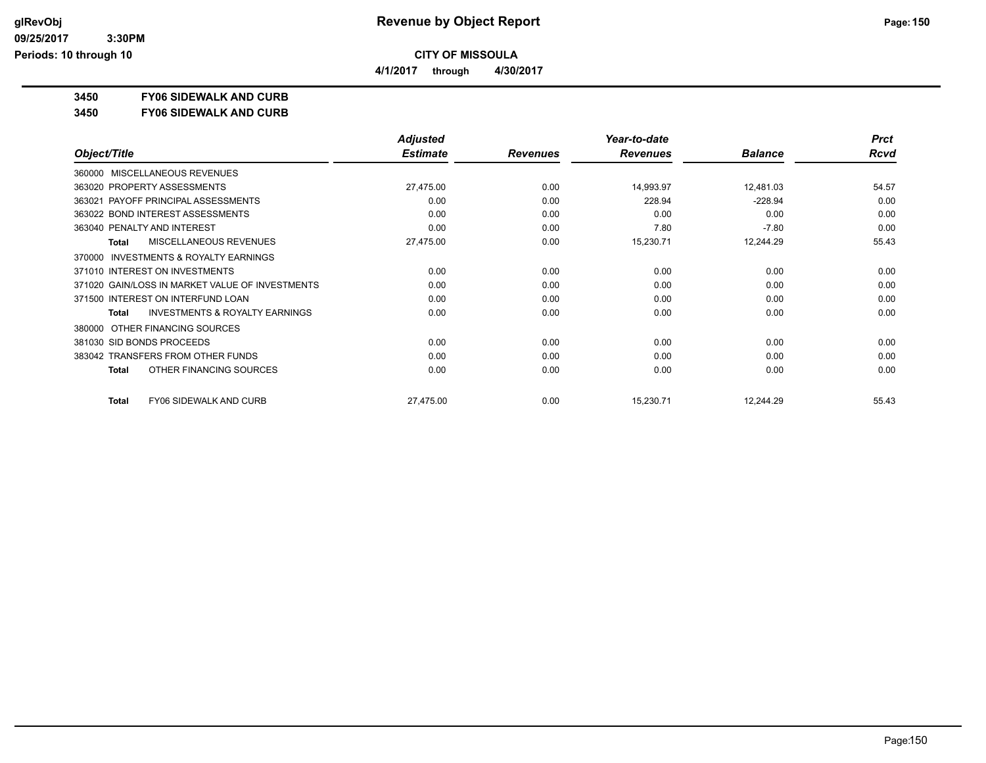**4/1/2017 through 4/30/2017**

**3450 FY06 SIDEWALK AND CURB**

**3450 FY06 SIDEWALK AND CURB**

|                                                           | <b>Adjusted</b> |                 | Year-to-date    |                | <b>Prct</b> |
|-----------------------------------------------------------|-----------------|-----------------|-----------------|----------------|-------------|
| Object/Title                                              | <b>Estimate</b> | <b>Revenues</b> | <b>Revenues</b> | <b>Balance</b> | <b>Rcvd</b> |
| MISCELLANEOUS REVENUES<br>360000                          |                 |                 |                 |                |             |
| 363020 PROPERTY ASSESSMENTS                               | 27,475.00       | 0.00            | 14,993.97       | 12,481.03      | 54.57       |
| 363021 PAYOFF PRINCIPAL ASSESSMENTS                       | 0.00            | 0.00            | 228.94          | $-228.94$      | 0.00        |
| 363022 BOND INTEREST ASSESSMENTS                          | 0.00            | 0.00            | 0.00            | 0.00           | 0.00        |
| 363040 PENALTY AND INTEREST                               | 0.00            | 0.00            | 7.80            | $-7.80$        | 0.00        |
| MISCELLANEOUS REVENUES<br><b>Total</b>                    | 27,475.00       | 0.00            | 15,230.71       | 12,244.29      | 55.43       |
| <b>INVESTMENTS &amp; ROYALTY EARNINGS</b><br>370000       |                 |                 |                 |                |             |
| 371010 INTEREST ON INVESTMENTS                            | 0.00            | 0.00            | 0.00            | 0.00           | 0.00        |
| 371020 GAIN/LOSS IN MARKET VALUE OF INVESTMENTS           | 0.00            | 0.00            | 0.00            | 0.00           | 0.00        |
| 371500 INTEREST ON INTERFUND LOAN                         | 0.00            | 0.00            | 0.00            | 0.00           | 0.00        |
| <b>INVESTMENTS &amp; ROYALTY EARNINGS</b><br><b>Total</b> | 0.00            | 0.00            | 0.00            | 0.00           | 0.00        |
| OTHER FINANCING SOURCES<br>380000                         |                 |                 |                 |                |             |
| 381030 SID BONDS PROCEEDS                                 | 0.00            | 0.00            | 0.00            | 0.00           | 0.00        |
| 383042 TRANSFERS FROM OTHER FUNDS                         | 0.00            | 0.00            | 0.00            | 0.00           | 0.00        |
| OTHER FINANCING SOURCES<br><b>Total</b>                   | 0.00            | 0.00            | 0.00            | 0.00           | 0.00        |
| FY06 SIDEWALK AND CURB<br>Total                           | 27,475.00       | 0.00            | 15,230.71       | 12,244.29      | 55.43       |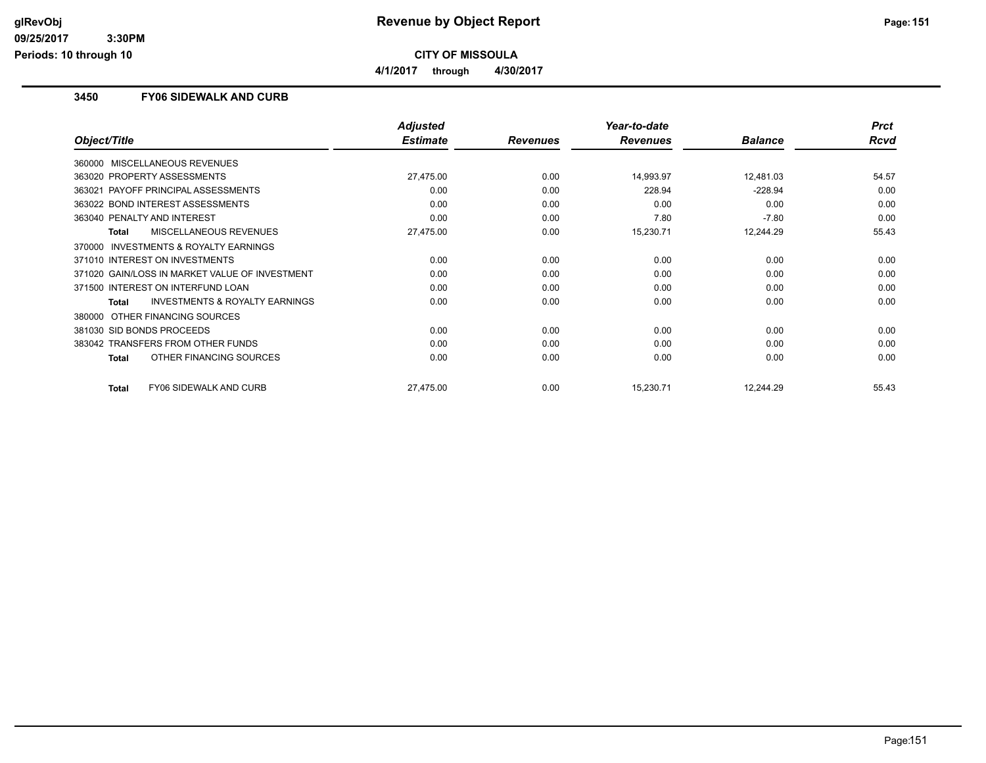**4/1/2017 through 4/30/2017**

# **3450 FY06 SIDEWALK AND CURB**

|                                                     | <b>Adjusted</b> |                 | Year-to-date    |                | <b>Prct</b> |
|-----------------------------------------------------|-----------------|-----------------|-----------------|----------------|-------------|
| Object/Title                                        | <b>Estimate</b> | <b>Revenues</b> | <b>Revenues</b> | <b>Balance</b> | <b>Rcvd</b> |
| 360000 MISCELLANEOUS REVENUES                       |                 |                 |                 |                |             |
| 363020 PROPERTY ASSESSMENTS                         | 27,475.00       | 0.00            | 14,993.97       | 12,481.03      | 54.57       |
| 363021 PAYOFF PRINCIPAL ASSESSMENTS                 | 0.00            | 0.00            | 228.94          | $-228.94$      | 0.00        |
| 363022 BOND INTEREST ASSESSMENTS                    | 0.00            | 0.00            | 0.00            | 0.00           | 0.00        |
| 363040 PENALTY AND INTEREST                         | 0.00            | 0.00            | 7.80            | $-7.80$        | 0.00        |
| <b>MISCELLANEOUS REVENUES</b><br><b>Total</b>       | 27,475.00       | 0.00            | 15,230.71       | 12,244.29      | 55.43       |
| <b>INVESTMENTS &amp; ROYALTY EARNINGS</b><br>370000 |                 |                 |                 |                |             |
| 371010 INTEREST ON INVESTMENTS                      | 0.00            | 0.00            | 0.00            | 0.00           | 0.00        |
| 371020 GAIN/LOSS IN MARKET VALUE OF INVESTMENT      | 0.00            | 0.00            | 0.00            | 0.00           | 0.00        |
| 371500 INTEREST ON INTERFUND LOAN                   | 0.00            | 0.00            | 0.00            | 0.00           | 0.00        |
| <b>INVESTMENTS &amp; ROYALTY EARNINGS</b><br>Total  | 0.00            | 0.00            | 0.00            | 0.00           | 0.00        |
| 380000 OTHER FINANCING SOURCES                      |                 |                 |                 |                |             |
| 381030 SID BONDS PROCEEDS                           | 0.00            | 0.00            | 0.00            | 0.00           | 0.00        |
| 383042 TRANSFERS FROM OTHER FUNDS                   | 0.00            | 0.00            | 0.00            | 0.00           | 0.00        |
| OTHER FINANCING SOURCES<br>Total                    | 0.00            | 0.00            | 0.00            | 0.00           | 0.00        |
| FY06 SIDEWALK AND CURB<br>Total                     | 27,475.00       | 0.00            | 15,230.71       | 12,244.29      | 55.43       |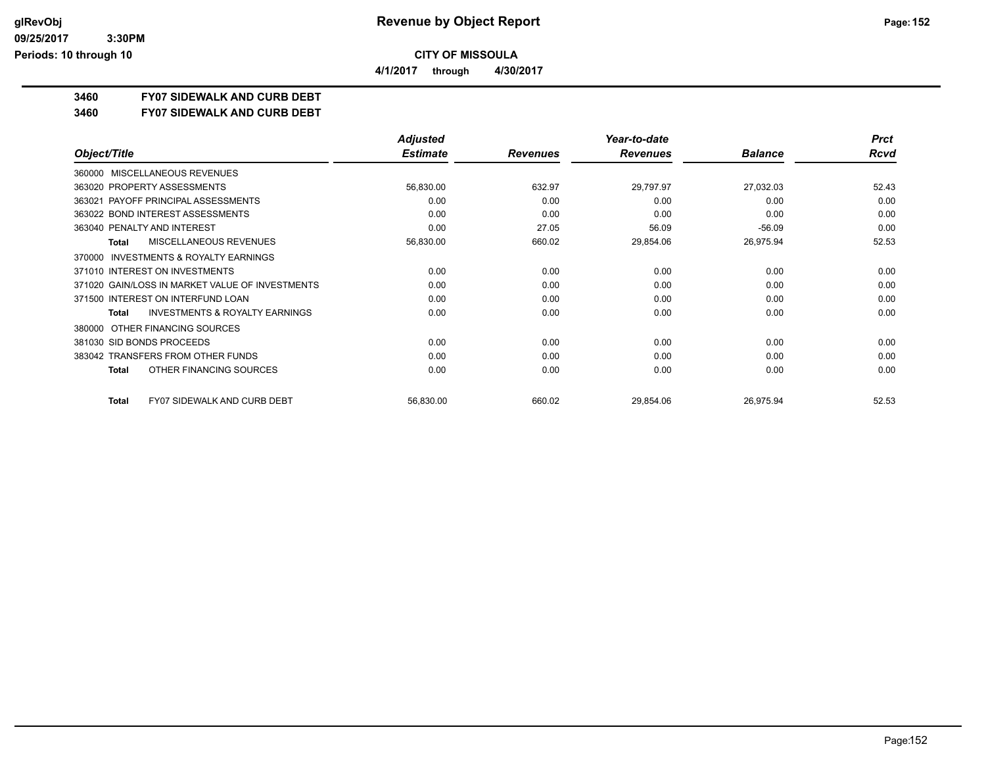**4/1/2017 through 4/30/2017**

**3460 FY07 SIDEWALK AND CURB DEBT**

#### **3460 FY07 SIDEWALK AND CURB DEBT**

|                                                           | <b>Adjusted</b> |                 | Year-to-date    |                | <b>Prct</b> |
|-----------------------------------------------------------|-----------------|-----------------|-----------------|----------------|-------------|
| Object/Title                                              | <b>Estimate</b> | <b>Revenues</b> | <b>Revenues</b> | <b>Balance</b> | Rcvd        |
| MISCELLANEOUS REVENUES<br>360000                          |                 |                 |                 |                |             |
| 363020 PROPERTY ASSESSMENTS                               | 56,830.00       | 632.97          | 29,797.97       | 27,032.03      | 52.43       |
| PAYOFF PRINCIPAL ASSESSMENTS<br>363021                    | 0.00            | 0.00            | 0.00            | 0.00           | 0.00        |
| 363022 BOND INTEREST ASSESSMENTS                          | 0.00            | 0.00            | 0.00            | 0.00           | 0.00        |
| 363040 PENALTY AND INTEREST                               | 0.00            | 27.05           | 56.09           | $-56.09$       | 0.00        |
| <b>MISCELLANEOUS REVENUES</b><br><b>Total</b>             | 56,830.00       | 660.02          | 29,854.06       | 26,975.94      | 52.53       |
| <b>INVESTMENTS &amp; ROYALTY EARNINGS</b><br>370000       |                 |                 |                 |                |             |
| 371010 INTEREST ON INVESTMENTS                            | 0.00            | 0.00            | 0.00            | 0.00           | 0.00        |
| 371020 GAIN/LOSS IN MARKET VALUE OF INVESTMENTS           | 0.00            | 0.00            | 0.00            | 0.00           | 0.00        |
| 371500 INTEREST ON INTERFUND LOAN                         | 0.00            | 0.00            | 0.00            | 0.00           | 0.00        |
| <b>INVESTMENTS &amp; ROYALTY EARNINGS</b><br><b>Total</b> | 0.00            | 0.00            | 0.00            | 0.00           | 0.00        |
| OTHER FINANCING SOURCES<br>380000                         |                 |                 |                 |                |             |
| 381030 SID BONDS PROCEEDS                                 | 0.00            | 0.00            | 0.00            | 0.00           | 0.00        |
| 383042 TRANSFERS FROM OTHER FUNDS                         | 0.00            | 0.00            | 0.00            | 0.00           | 0.00        |
| OTHER FINANCING SOURCES<br><b>Total</b>                   | 0.00            | 0.00            | 0.00            | 0.00           | 0.00        |
| <b>FY07 SIDEWALK AND CURB DEBT</b><br>Total               | 56,830.00       | 660.02          | 29,854.06       | 26,975.94      | 52.53       |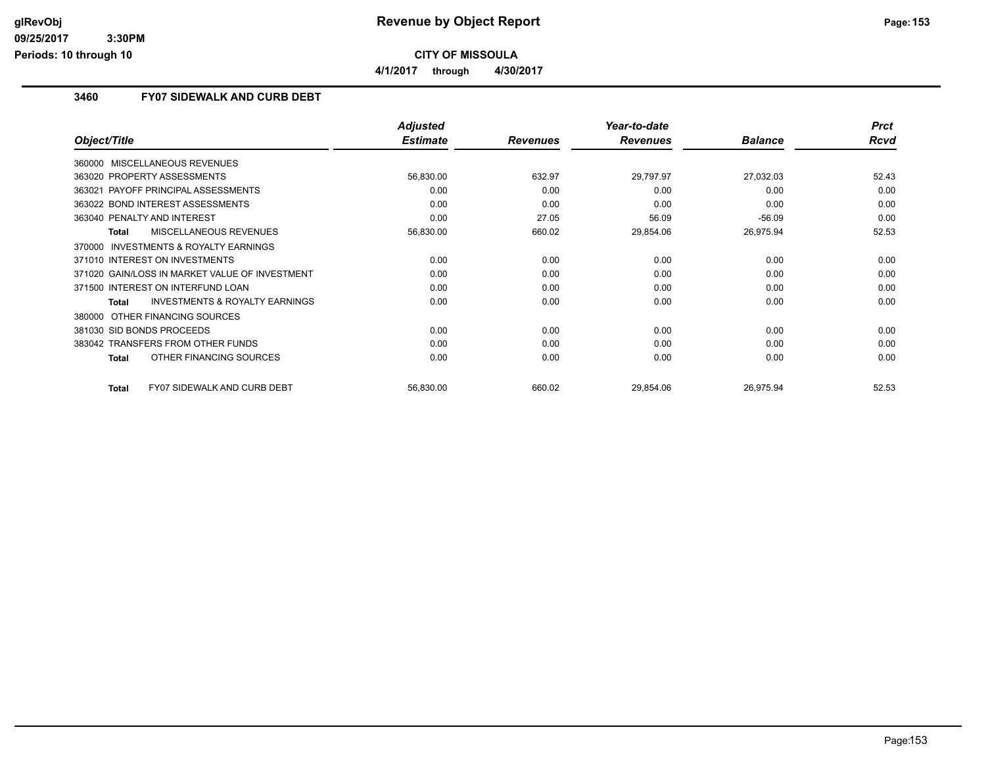**4/1/2017 through 4/30/2017**

# **3460 FY07 SIDEWALK AND CURB DEBT**

|                                                     | <b>Adjusted</b> |                 | Year-to-date    |                | <b>Prct</b> |
|-----------------------------------------------------|-----------------|-----------------|-----------------|----------------|-------------|
| Object/Title                                        | <b>Estimate</b> | <b>Revenues</b> | <b>Revenues</b> | <b>Balance</b> | <b>Rcvd</b> |
| 360000 MISCELLANEOUS REVENUES                       |                 |                 |                 |                |             |
| 363020 PROPERTY ASSESSMENTS                         | 56,830.00       | 632.97          | 29,797.97       | 27,032.03      | 52.43       |
| 363021 PAYOFF PRINCIPAL ASSESSMENTS                 | 0.00            | 0.00            | 0.00            | 0.00           | 0.00        |
| 363022 BOND INTEREST ASSESSMENTS                    | 0.00            | 0.00            | 0.00            | 0.00           | 0.00        |
| 363040 PENALTY AND INTEREST                         | 0.00            | 27.05           | 56.09           | $-56.09$       | 0.00        |
| <b>MISCELLANEOUS REVENUES</b><br><b>Total</b>       | 56,830.00       | 660.02          | 29,854.06       | 26,975.94      | 52.53       |
| <b>INVESTMENTS &amp; ROYALTY EARNINGS</b><br>370000 |                 |                 |                 |                |             |
| 371010 INTEREST ON INVESTMENTS                      | 0.00            | 0.00            | 0.00            | 0.00           | 0.00        |
| 371020 GAIN/LOSS IN MARKET VALUE OF INVESTMENT      | 0.00            | 0.00            | 0.00            | 0.00           | 0.00        |
| 371500 INTEREST ON INTERFUND LOAN                   | 0.00            | 0.00            | 0.00            | 0.00           | 0.00        |
| <b>INVESTMENTS &amp; ROYALTY EARNINGS</b><br>Total  | 0.00            | 0.00            | 0.00            | 0.00           | 0.00        |
| 380000 OTHER FINANCING SOURCES                      |                 |                 |                 |                |             |
| 381030 SID BONDS PROCEEDS                           | 0.00            | 0.00            | 0.00            | 0.00           | 0.00        |
| 383042 TRANSFERS FROM OTHER FUNDS                   | 0.00            | 0.00            | 0.00            | 0.00           | 0.00        |
| OTHER FINANCING SOURCES<br><b>Total</b>             | 0.00            | 0.00            | 0.00            | 0.00           | 0.00        |
| <b>FY07 SIDEWALK AND CURB DEBT</b><br><b>Total</b>  | 56,830.00       | 660.02          | 29,854.06       | 26,975.94      | 52.53       |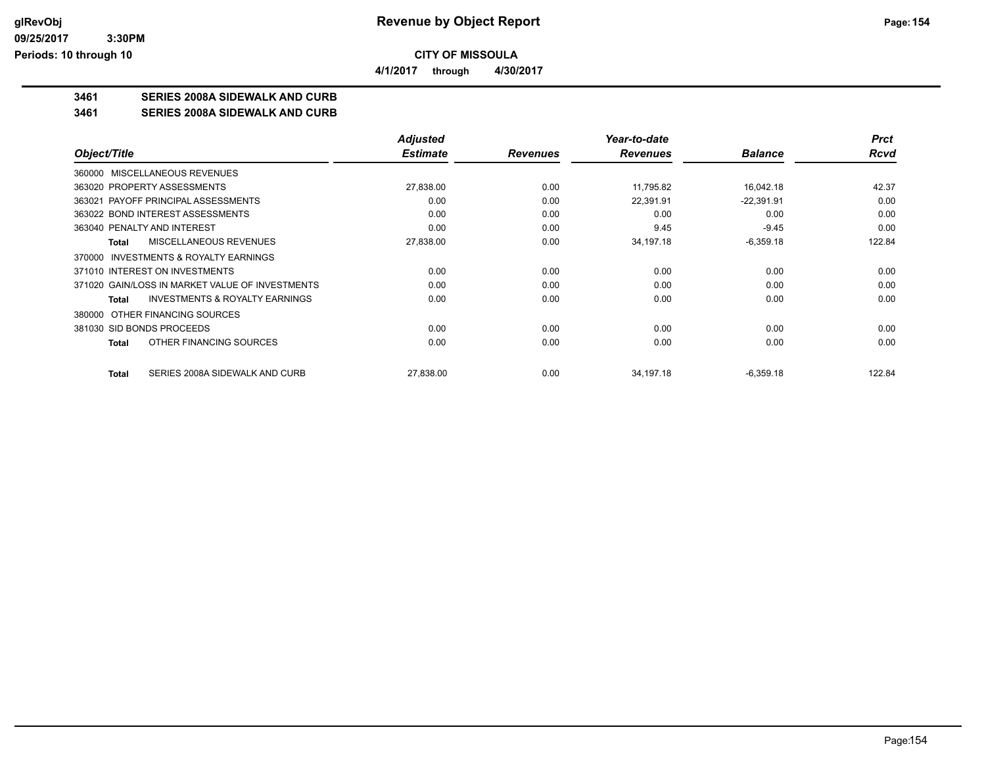**4/1/2017 through 4/30/2017**

# **3461 SERIES 2008A SIDEWALK AND CURB**

#### **3461 SERIES 2008A SIDEWALK AND CURB**

|                                                    | <b>Adjusted</b> |                 | Year-to-date    |                | <b>Prct</b> |
|----------------------------------------------------|-----------------|-----------------|-----------------|----------------|-------------|
| Object/Title                                       | <b>Estimate</b> | <b>Revenues</b> | <b>Revenues</b> | <b>Balance</b> | <b>Rcvd</b> |
| 360000 MISCELLANEOUS REVENUES                      |                 |                 |                 |                |             |
| 363020 PROPERTY ASSESSMENTS                        | 27,838.00       | 0.00            | 11,795.82       | 16.042.18      | 42.37       |
| 363021 PAYOFF PRINCIPAL ASSESSMENTS                | 0.00            | 0.00            | 22,391.91       | $-22,391.91$   | 0.00        |
| 363022 BOND INTEREST ASSESSMENTS                   | 0.00            | 0.00            | 0.00            | 0.00           | 0.00        |
| 363040 PENALTY AND INTEREST                        | 0.00            | 0.00            | 9.45            | $-9.45$        | 0.00        |
| MISCELLANEOUS REVENUES<br>Total                    | 27,838.00       | 0.00            | 34,197.18       | $-6,359.18$    | 122.84      |
| 370000 INVESTMENTS & ROYALTY EARNINGS              |                 |                 |                 |                |             |
| 371010 INTEREST ON INVESTMENTS                     | 0.00            | 0.00            | 0.00            | 0.00           | 0.00        |
| 371020 GAIN/LOSS IN MARKET VALUE OF INVESTMENTS    | 0.00            | 0.00            | 0.00            | 0.00           | 0.00        |
| <b>INVESTMENTS &amp; ROYALTY EARNINGS</b><br>Total | 0.00            | 0.00            | 0.00            | 0.00           | 0.00        |
| OTHER FINANCING SOURCES<br>380000                  |                 |                 |                 |                |             |
| 381030 SID BONDS PROCEEDS                          | 0.00            | 0.00            | 0.00            | 0.00           | 0.00        |
| OTHER FINANCING SOURCES<br>Total                   | 0.00            | 0.00            | 0.00            | 0.00           | 0.00        |
| SERIES 2008A SIDEWALK AND CURB<br><b>Total</b>     | 27.838.00       | 0.00            | 34,197.18       | $-6,359.18$    | 122.84      |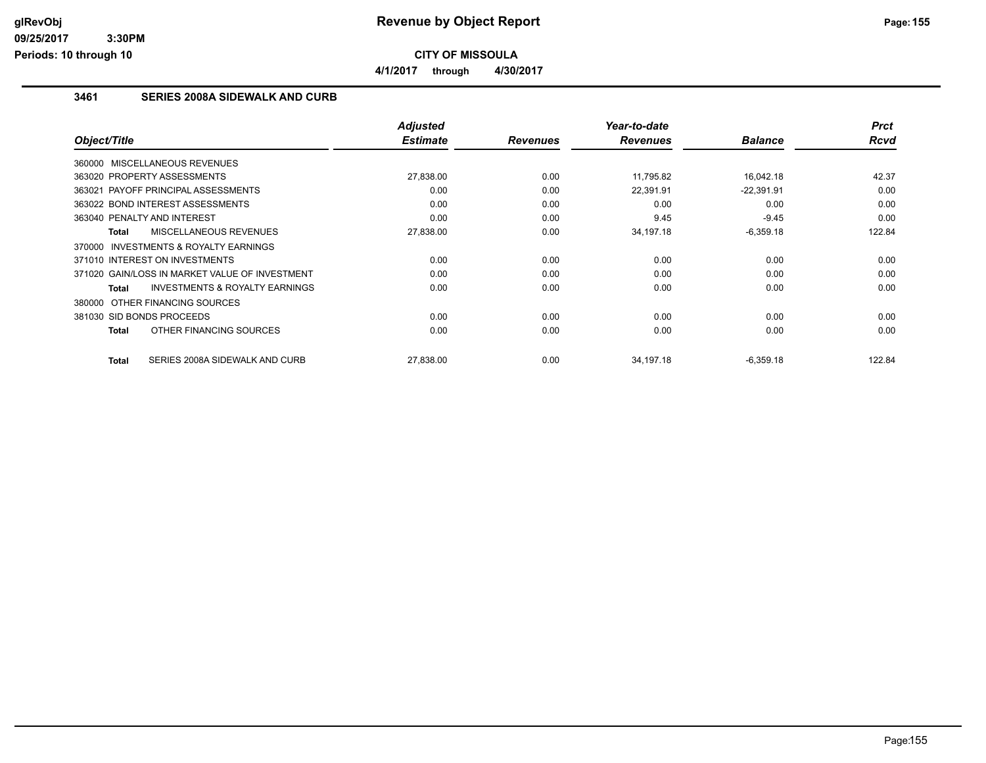**4/1/2017 through 4/30/2017**

# **3461 SERIES 2008A SIDEWALK AND CURB**

|                                                     | <b>Adjusted</b> |                 | Year-to-date    |                | <b>Prct</b> |
|-----------------------------------------------------|-----------------|-----------------|-----------------|----------------|-------------|
| Object/Title                                        | <b>Estimate</b> | <b>Revenues</b> | <b>Revenues</b> | <b>Balance</b> | Rcvd        |
| 360000 MISCELLANEOUS REVENUES                       |                 |                 |                 |                |             |
| 363020 PROPERTY ASSESSMENTS                         | 27.838.00       | 0.00            | 11,795.82       | 16.042.18      | 42.37       |
| 363021 PAYOFF PRINCIPAL ASSESSMENTS                 | 0.00            | 0.00            | 22,391.91       | $-22,391.91$   | 0.00        |
| 363022 BOND INTEREST ASSESSMENTS                    | 0.00            | 0.00            | 0.00            | 0.00           | 0.00        |
| 363040 PENALTY AND INTEREST                         | 0.00            | 0.00            | 9.45            | $-9.45$        | 0.00        |
| <b>MISCELLANEOUS REVENUES</b><br>Total              | 27,838.00       | 0.00            | 34,197.18       | $-6,359.18$    | 122.84      |
| <b>INVESTMENTS &amp; ROYALTY EARNINGS</b><br>370000 |                 |                 |                 |                |             |
| 371010 INTEREST ON INVESTMENTS                      | 0.00            | 0.00            | 0.00            | 0.00           | 0.00        |
| 371020 GAIN/LOSS IN MARKET VALUE OF INVESTMENT      | 0.00            | 0.00            | 0.00            | 0.00           | 0.00        |
| <b>INVESTMENTS &amp; ROYALTY EARNINGS</b><br>Total  | 0.00            | 0.00            | 0.00            | 0.00           | 0.00        |
| 380000 OTHER FINANCING SOURCES                      |                 |                 |                 |                |             |
| 381030 SID BONDS PROCEEDS                           | 0.00            | 0.00            | 0.00            | 0.00           | 0.00        |
| OTHER FINANCING SOURCES<br>Total                    | 0.00            | 0.00            | 0.00            | 0.00           | 0.00        |
| SERIES 2008A SIDEWALK AND CURB<br>Total             | 27.838.00       | 0.00            | 34,197.18       | $-6,359.18$    | 122.84      |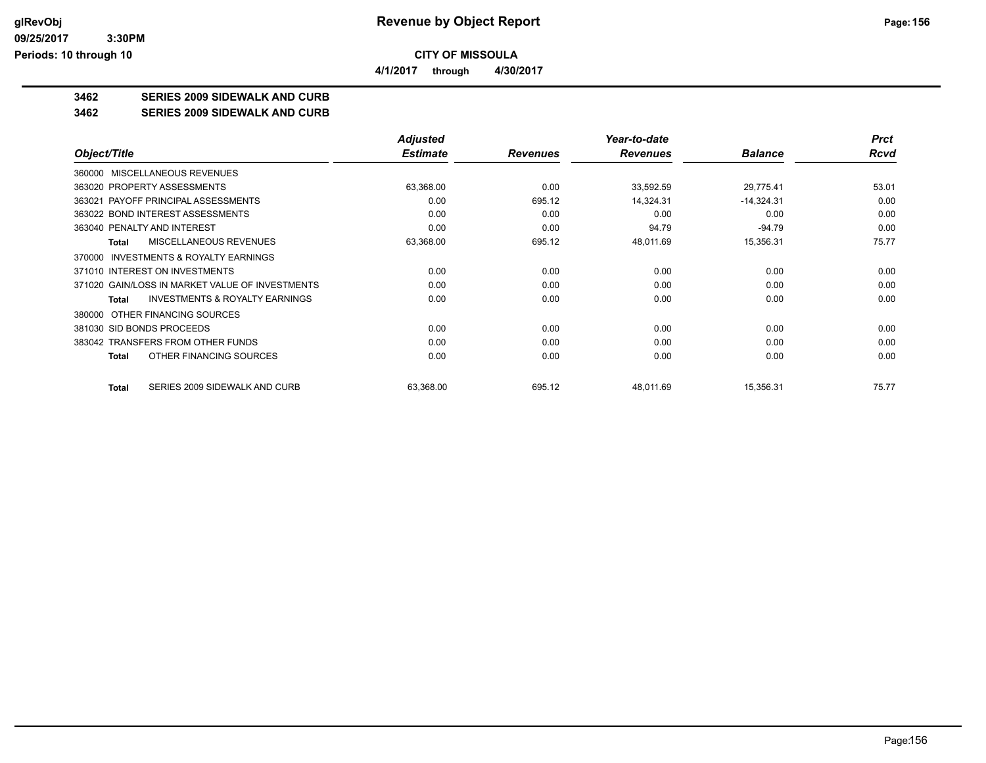**4/1/2017 through 4/30/2017**

# **3462 SERIES 2009 SIDEWALK AND CURB**

## **3462 SERIES 2009 SIDEWALK AND CURB**

|                                                           | <b>Adjusted</b> |                 | Year-to-date    |                | <b>Prct</b> |
|-----------------------------------------------------------|-----------------|-----------------|-----------------|----------------|-------------|
| Object/Title                                              | <b>Estimate</b> | <b>Revenues</b> | <b>Revenues</b> | <b>Balance</b> | Rcvd        |
| <b>MISCELLANEOUS REVENUES</b><br>360000                   |                 |                 |                 |                |             |
| 363020 PROPERTY ASSESSMENTS                               | 63,368.00       | 0.00            | 33,592.59       | 29,775.41      | 53.01       |
| 363021 PAYOFF PRINCIPAL ASSESSMENTS                       | 0.00            | 695.12          | 14,324.31       | $-14,324.31$   | 0.00        |
| 363022 BOND INTEREST ASSESSMENTS                          | 0.00            | 0.00            | 0.00            | 0.00           | 0.00        |
| 363040 PENALTY AND INTEREST                               | 0.00            | 0.00            | 94.79           | $-94.79$       | 0.00        |
| <b>MISCELLANEOUS REVENUES</b><br>Total                    | 63,368.00       | 695.12          | 48,011.69       | 15,356.31      | 75.77       |
| <b>INVESTMENTS &amp; ROYALTY EARNINGS</b><br>370000       |                 |                 |                 |                |             |
| 371010 INTEREST ON INVESTMENTS                            | 0.00            | 0.00            | 0.00            | 0.00           | 0.00        |
| 371020 GAIN/LOSS IN MARKET VALUE OF INVESTMENTS           | 0.00            | 0.00            | 0.00            | 0.00           | 0.00        |
| <b>INVESTMENTS &amp; ROYALTY EARNINGS</b><br><b>Total</b> | 0.00            | 0.00            | 0.00            | 0.00           | 0.00        |
| OTHER FINANCING SOURCES<br>380000                         |                 |                 |                 |                |             |
| 381030 SID BONDS PROCEEDS                                 | 0.00            | 0.00            | 0.00            | 0.00           | 0.00        |
| 383042 TRANSFERS FROM OTHER FUNDS                         | 0.00            | 0.00            | 0.00            | 0.00           | 0.00        |
| OTHER FINANCING SOURCES<br><b>Total</b>                   | 0.00            | 0.00            | 0.00            | 0.00           | 0.00        |
| SERIES 2009 SIDEWALK AND CURB<br><b>Total</b>             | 63,368.00       | 695.12          | 48,011.69       | 15,356.31      | 75.77       |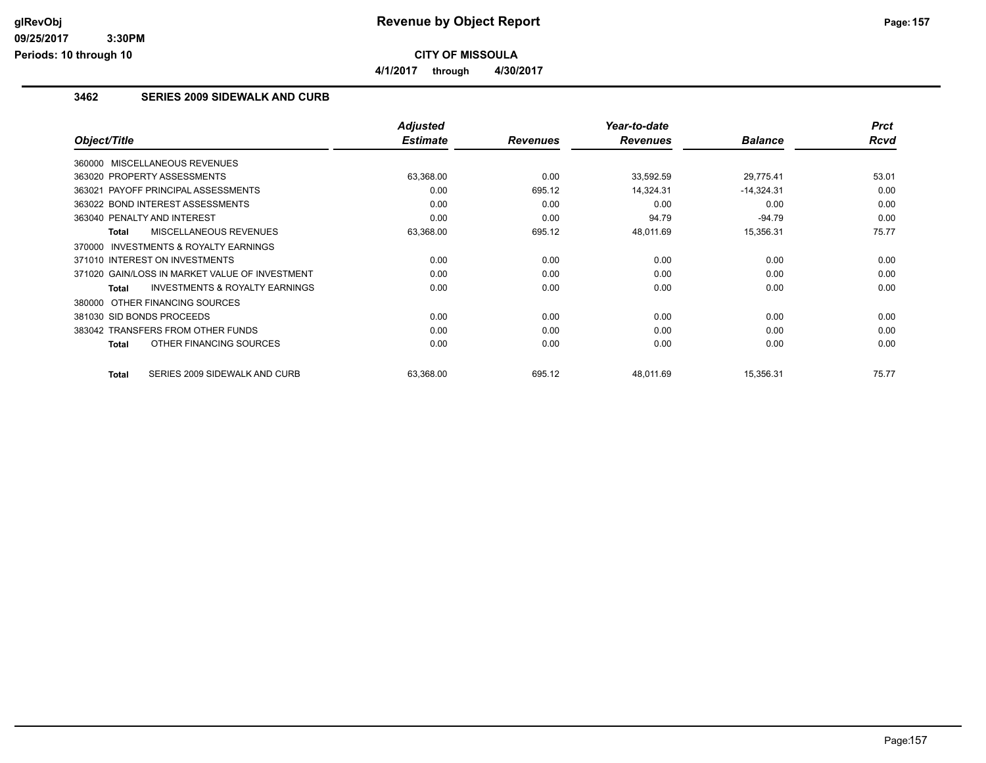**4/1/2017 through 4/30/2017**

# **3462 SERIES 2009 SIDEWALK AND CURB**

|                                                     | <b>Adjusted</b> |                 | Year-to-date    |                | <b>Prct</b> |
|-----------------------------------------------------|-----------------|-----------------|-----------------|----------------|-------------|
| Object/Title                                        | <b>Estimate</b> | <b>Revenues</b> | <b>Revenues</b> | <b>Balance</b> | <b>Rcvd</b> |
| 360000 MISCELLANEOUS REVENUES                       |                 |                 |                 |                |             |
| 363020 PROPERTY ASSESSMENTS                         | 63,368.00       | 0.00            | 33,592.59       | 29,775.41      | 53.01       |
| 363021 PAYOFF PRINCIPAL ASSESSMENTS                 | 0.00            | 695.12          | 14,324.31       | $-14,324.31$   | 0.00        |
| 363022 BOND INTEREST ASSESSMENTS                    | 0.00            | 0.00            | 0.00            | 0.00           | 0.00        |
| 363040 PENALTY AND INTEREST                         | 0.00            | 0.00            | 94.79           | $-94.79$       | 0.00        |
| MISCELLANEOUS REVENUES<br>Total                     | 63,368.00       | 695.12          | 48,011.69       | 15,356.31      | 75.77       |
| <b>INVESTMENTS &amp; ROYALTY EARNINGS</b><br>370000 |                 |                 |                 |                |             |
| 371010 INTEREST ON INVESTMENTS                      | 0.00            | 0.00            | 0.00            | 0.00           | 0.00        |
| 371020 GAIN/LOSS IN MARKET VALUE OF INVESTMENT      | 0.00            | 0.00            | 0.00            | 0.00           | 0.00        |
| <b>INVESTMENTS &amp; ROYALTY EARNINGS</b><br>Total  | 0.00            | 0.00            | 0.00            | 0.00           | 0.00        |
| 380000 OTHER FINANCING SOURCES                      |                 |                 |                 |                |             |
| 381030 SID BONDS PROCEEDS                           | 0.00            | 0.00            | 0.00            | 0.00           | 0.00        |
| 383042 TRANSFERS FROM OTHER FUNDS                   | 0.00            | 0.00            | 0.00            | 0.00           | 0.00        |
| OTHER FINANCING SOURCES<br>Total                    | 0.00            | 0.00            | 0.00            | 0.00           | 0.00        |
| SERIES 2009 SIDEWALK AND CURB<br>Total              | 63,368.00       | 695.12          | 48,011.69       | 15,356.31      | 75.77       |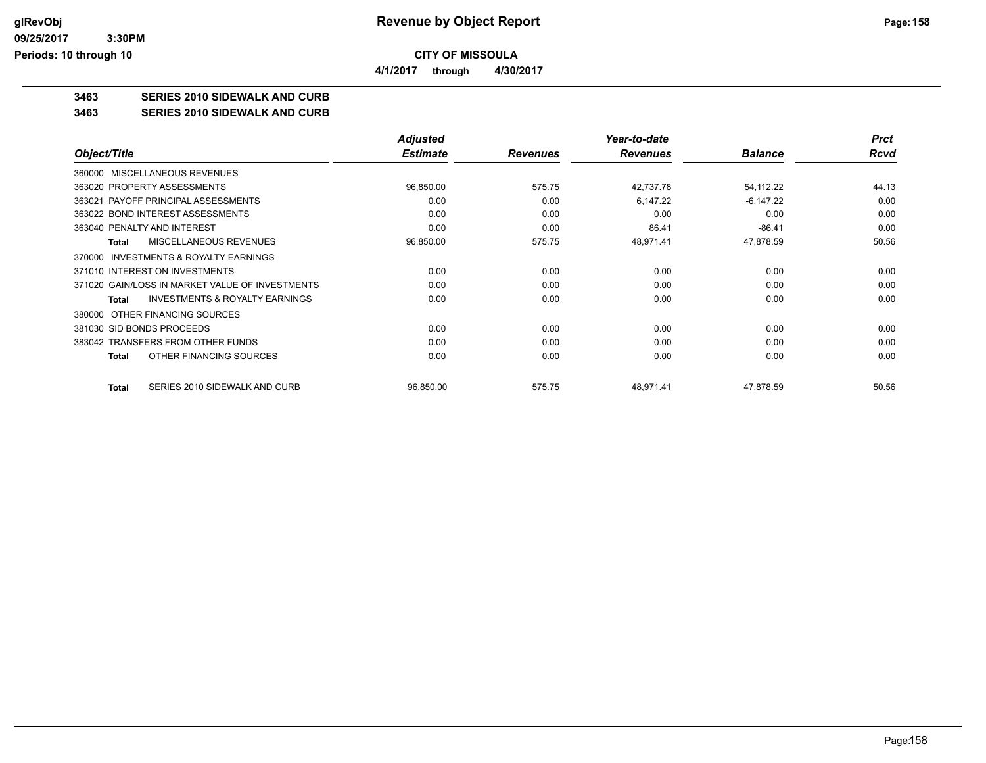**4/1/2017 through 4/30/2017**

# **3463 SERIES 2010 SIDEWALK AND CURB**

# **3463 SERIES 2010 SIDEWALK AND CURB**

|                                                     | <b>Adjusted</b> |                 | Year-to-date    |                | <b>Prct</b> |
|-----------------------------------------------------|-----------------|-----------------|-----------------|----------------|-------------|
| Object/Title                                        | <b>Estimate</b> | <b>Revenues</b> | <b>Revenues</b> | <b>Balance</b> | Rcvd        |
| MISCELLANEOUS REVENUES<br>360000                    |                 |                 |                 |                |             |
| 363020 PROPERTY ASSESSMENTS                         | 96,850.00       | 575.75          | 42,737.78       | 54,112.22      | 44.13       |
| 363021 PAYOFF PRINCIPAL ASSESSMENTS                 | 0.00            | 0.00            | 6,147.22        | $-6,147.22$    | 0.00        |
| 363022 BOND INTEREST ASSESSMENTS                    | 0.00            | 0.00            | 0.00            | 0.00           | 0.00        |
| 363040 PENALTY AND INTEREST                         | 0.00            | 0.00            | 86.41           | $-86.41$       | 0.00        |
| MISCELLANEOUS REVENUES<br><b>Total</b>              | 96,850.00       | 575.75          | 48,971.41       | 47,878.59      | 50.56       |
| <b>INVESTMENTS &amp; ROYALTY EARNINGS</b><br>370000 |                 |                 |                 |                |             |
| 371010 INTEREST ON INVESTMENTS                      | 0.00            | 0.00            | 0.00            | 0.00           | 0.00        |
| 371020 GAIN/LOSS IN MARKET VALUE OF INVESTMENTS     | 0.00            | 0.00            | 0.00            | 0.00           | 0.00        |
| <b>INVESTMENTS &amp; ROYALTY EARNINGS</b><br>Total  | 0.00            | 0.00            | 0.00            | 0.00           | 0.00        |
| OTHER FINANCING SOURCES<br>380000                   |                 |                 |                 |                |             |
| 381030 SID BONDS PROCEEDS                           | 0.00            | 0.00            | 0.00            | 0.00           | 0.00        |
| 383042 TRANSFERS FROM OTHER FUNDS                   | 0.00            | 0.00            | 0.00            | 0.00           | 0.00        |
| OTHER FINANCING SOURCES<br>Total                    | 0.00            | 0.00            | 0.00            | 0.00           | 0.00        |
| SERIES 2010 SIDEWALK AND CURB<br>Total              | 96,850.00       | 575.75          | 48,971.41       | 47,878.59      | 50.56       |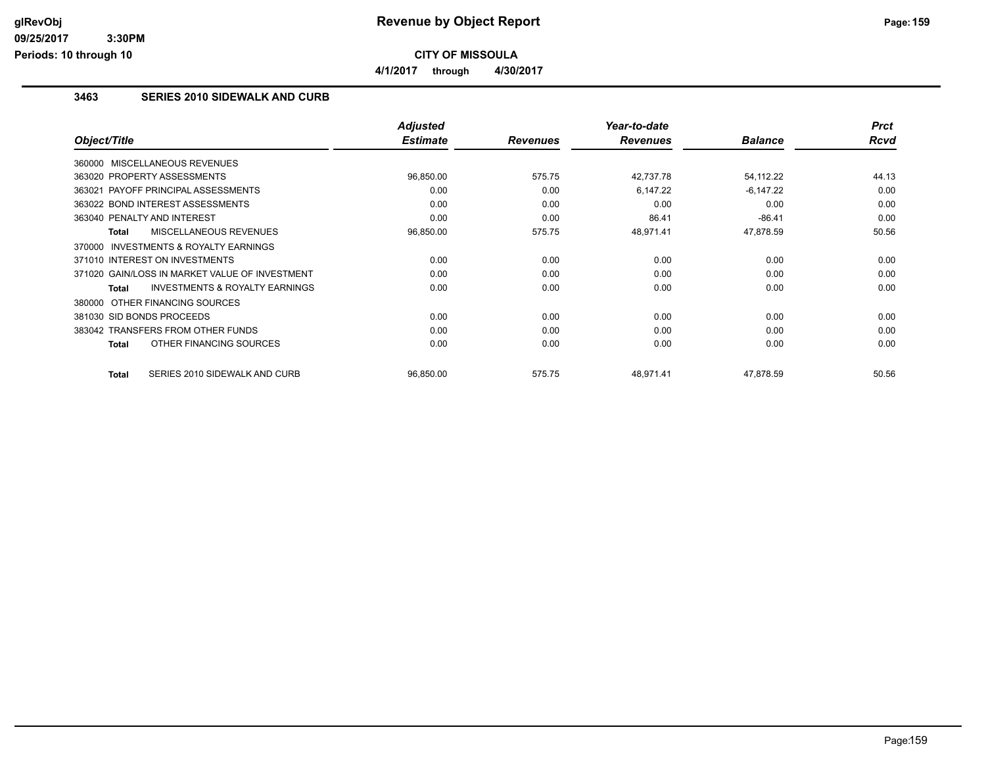**4/1/2017 through 4/30/2017**

# **3463 SERIES 2010 SIDEWALK AND CURB**

|                                                     | <b>Adjusted</b> |                 | Year-to-date    |                | <b>Prct</b> |
|-----------------------------------------------------|-----------------|-----------------|-----------------|----------------|-------------|
| Object/Title                                        | <b>Estimate</b> | <b>Revenues</b> | <b>Revenues</b> | <b>Balance</b> | Rcvd        |
| 360000 MISCELLANEOUS REVENUES                       |                 |                 |                 |                |             |
| 363020 PROPERTY ASSESSMENTS                         | 96,850.00       | 575.75          | 42,737.78       | 54,112.22      | 44.13       |
| 363021 PAYOFF PRINCIPAL ASSESSMENTS                 | 0.00            | 0.00            | 6,147.22        | $-6,147.22$    | 0.00        |
| 363022 BOND INTEREST ASSESSMENTS                    | 0.00            | 0.00            | 0.00            | 0.00           | 0.00        |
| 363040 PENALTY AND INTEREST                         | 0.00            | 0.00            | 86.41           | $-86.41$       | 0.00        |
| MISCELLANEOUS REVENUES<br>Total                     | 96,850.00       | 575.75          | 48,971.41       | 47,878.59      | 50.56       |
| <b>INVESTMENTS &amp; ROYALTY EARNINGS</b><br>370000 |                 |                 |                 |                |             |
| 371010 INTEREST ON INVESTMENTS                      | 0.00            | 0.00            | 0.00            | 0.00           | 0.00        |
| 371020 GAIN/LOSS IN MARKET VALUE OF INVESTMENT      | 0.00            | 0.00            | 0.00            | 0.00           | 0.00        |
| <b>INVESTMENTS &amp; ROYALTY EARNINGS</b><br>Total  | 0.00            | 0.00            | 0.00            | 0.00           | 0.00        |
| 380000 OTHER FINANCING SOURCES                      |                 |                 |                 |                |             |
| 381030 SID BONDS PROCEEDS                           | 0.00            | 0.00            | 0.00            | 0.00           | 0.00        |
| 383042 TRANSFERS FROM OTHER FUNDS                   | 0.00            | 0.00            | 0.00            | 0.00           | 0.00        |
| OTHER FINANCING SOURCES<br>Total                    | 0.00            | 0.00            | 0.00            | 0.00           | 0.00        |
| SERIES 2010 SIDEWALK AND CURB<br><b>Total</b>       | 96,850.00       | 575.75          | 48,971.41       | 47,878.59      | 50.56       |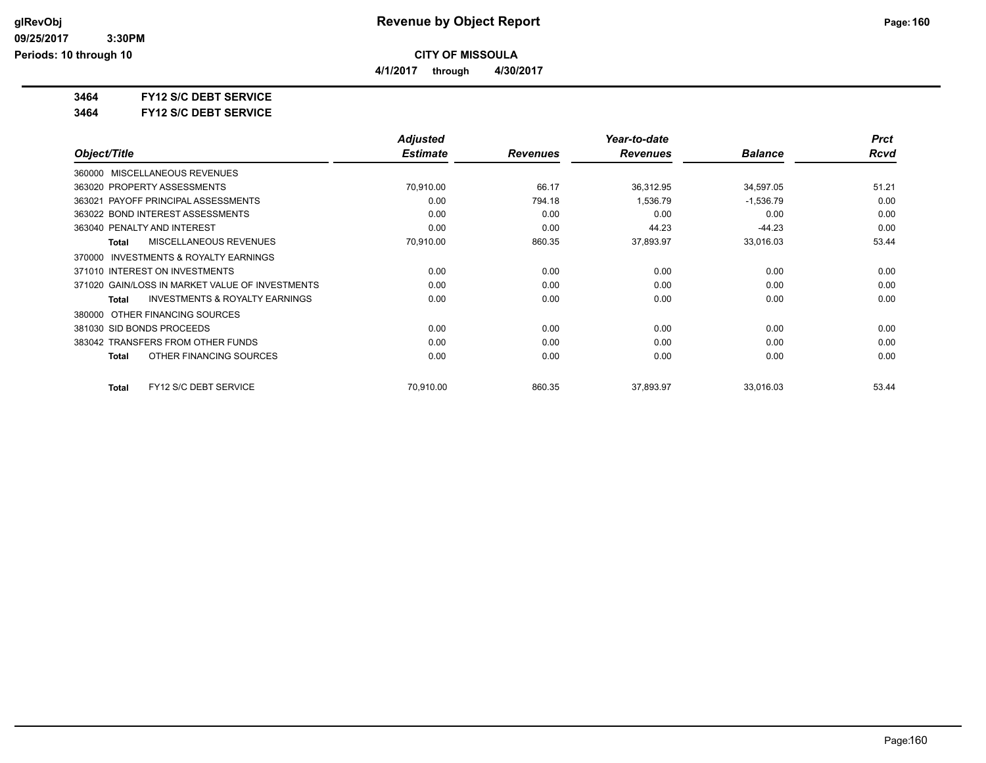**4/1/2017 through 4/30/2017**

**3464 FY12 S/C DEBT SERVICE**

**3464 FY12 S/C DEBT SERVICE**

|                                                    | <b>Adjusted</b> |                 | Year-to-date    |                | <b>Prct</b> |
|----------------------------------------------------|-----------------|-----------------|-----------------|----------------|-------------|
| Object/Title                                       | <b>Estimate</b> | <b>Revenues</b> | <b>Revenues</b> | <b>Balance</b> | Rcvd        |
| MISCELLANEOUS REVENUES<br>360000                   |                 |                 |                 |                |             |
| 363020 PROPERTY ASSESSMENTS                        | 70,910.00       | 66.17           | 36,312.95       | 34,597.05      | 51.21       |
| 363021 PAYOFF PRINCIPAL ASSESSMENTS                | 0.00            | 794.18          | 1,536.79        | $-1,536.79$    | 0.00        |
| 363022 BOND INTEREST ASSESSMENTS                   | 0.00            | 0.00            | 0.00            | 0.00           | 0.00        |
| 363040 PENALTY AND INTEREST                        | 0.00            | 0.00            | 44.23           | $-44.23$       | 0.00        |
| MISCELLANEOUS REVENUES<br><b>Total</b>             | 70,910.00       | 860.35          | 37,893.97       | 33,016.03      | 53.44       |
| INVESTMENTS & ROYALTY EARNINGS<br>370000           |                 |                 |                 |                |             |
| 371010 INTEREST ON INVESTMENTS                     | 0.00            | 0.00            | 0.00            | 0.00           | 0.00        |
| 371020 GAIN/LOSS IN MARKET VALUE OF INVESTMENTS    | 0.00            | 0.00            | 0.00            | 0.00           | 0.00        |
| <b>INVESTMENTS &amp; ROYALTY EARNINGS</b><br>Total | 0.00            | 0.00            | 0.00            | 0.00           | 0.00        |
| OTHER FINANCING SOURCES<br>380000                  |                 |                 |                 |                |             |
| 381030 SID BONDS PROCEEDS                          | 0.00            | 0.00            | 0.00            | 0.00           | 0.00        |
| 383042 TRANSFERS FROM OTHER FUNDS                  | 0.00            | 0.00            | 0.00            | 0.00           | 0.00        |
| OTHER FINANCING SOURCES<br><b>Total</b>            | 0.00            | 0.00            | 0.00            | 0.00           | 0.00        |
| FY12 S/C DEBT SERVICE<br><b>Total</b>              | 70,910.00       | 860.35          | 37,893.97       | 33,016.03      | 53.44       |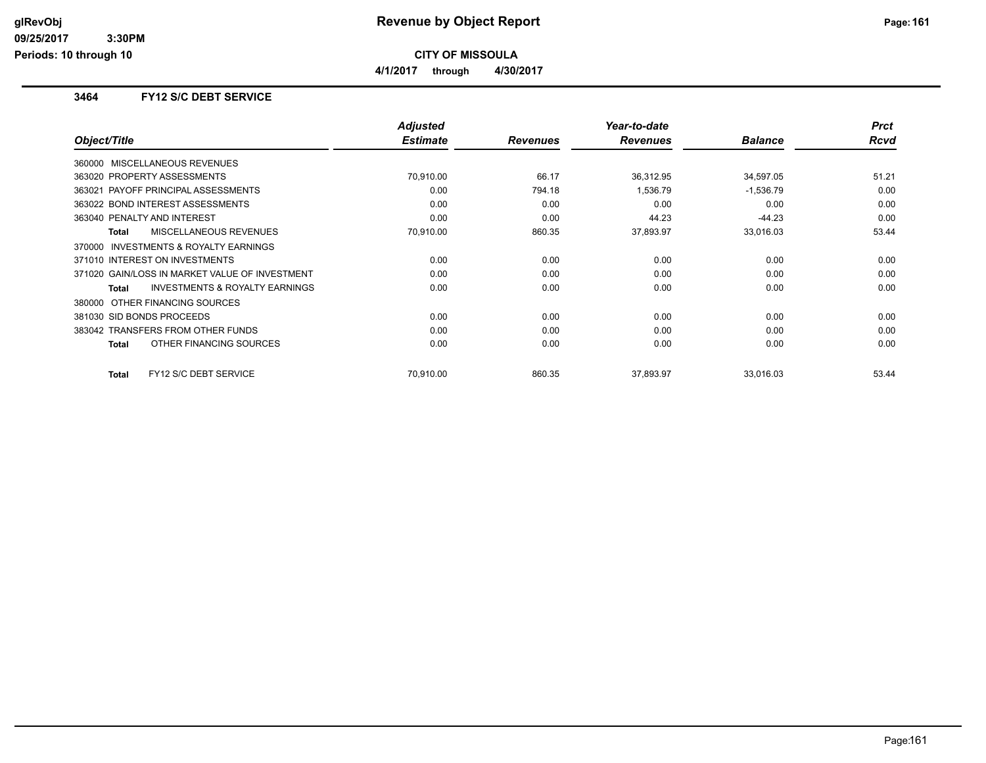**4/1/2017 through 4/30/2017**

# **3464 FY12 S/C DEBT SERVICE**

|                                                     | <b>Adjusted</b> |                 | Year-to-date    |                | <b>Prct</b> |
|-----------------------------------------------------|-----------------|-----------------|-----------------|----------------|-------------|
| Object/Title                                        | <b>Estimate</b> | <b>Revenues</b> | <b>Revenues</b> | <b>Balance</b> | <b>Rcvd</b> |
| 360000 MISCELLANEOUS REVENUES                       |                 |                 |                 |                |             |
| 363020 PROPERTY ASSESSMENTS                         | 70,910.00       | 66.17           | 36,312.95       | 34,597.05      | 51.21       |
| 363021 PAYOFF PRINCIPAL ASSESSMENTS                 | 0.00            | 794.18          | 1,536.79        | $-1,536.79$    | 0.00        |
| 363022 BOND INTEREST ASSESSMENTS                    | 0.00            | 0.00            | 0.00            | 0.00           | 0.00        |
| 363040 PENALTY AND INTEREST                         | 0.00            | 0.00            | 44.23           | $-44.23$       | 0.00        |
| MISCELLANEOUS REVENUES<br>Total                     | 70,910.00       | 860.35          | 37,893.97       | 33,016.03      | 53.44       |
| <b>INVESTMENTS &amp; ROYALTY EARNINGS</b><br>370000 |                 |                 |                 |                |             |
| 371010 INTEREST ON INVESTMENTS                      | 0.00            | 0.00            | 0.00            | 0.00           | 0.00        |
| 371020 GAIN/LOSS IN MARKET VALUE OF INVESTMENT      | 0.00            | 0.00            | 0.00            | 0.00           | 0.00        |
| <b>INVESTMENTS &amp; ROYALTY EARNINGS</b><br>Total  | 0.00            | 0.00            | 0.00            | 0.00           | 0.00        |
| 380000 OTHER FINANCING SOURCES                      |                 |                 |                 |                |             |
| 381030 SID BONDS PROCEEDS                           | 0.00            | 0.00            | 0.00            | 0.00           | 0.00        |
| 383042 TRANSFERS FROM OTHER FUNDS                   | 0.00            | 0.00            | 0.00            | 0.00           | 0.00        |
| OTHER FINANCING SOURCES<br>Total                    | 0.00            | 0.00            | 0.00            | 0.00           | 0.00        |
| FY12 S/C DEBT SERVICE<br>Total                      | 70.910.00       | 860.35          | 37,893.97       | 33.016.03      | 53.44       |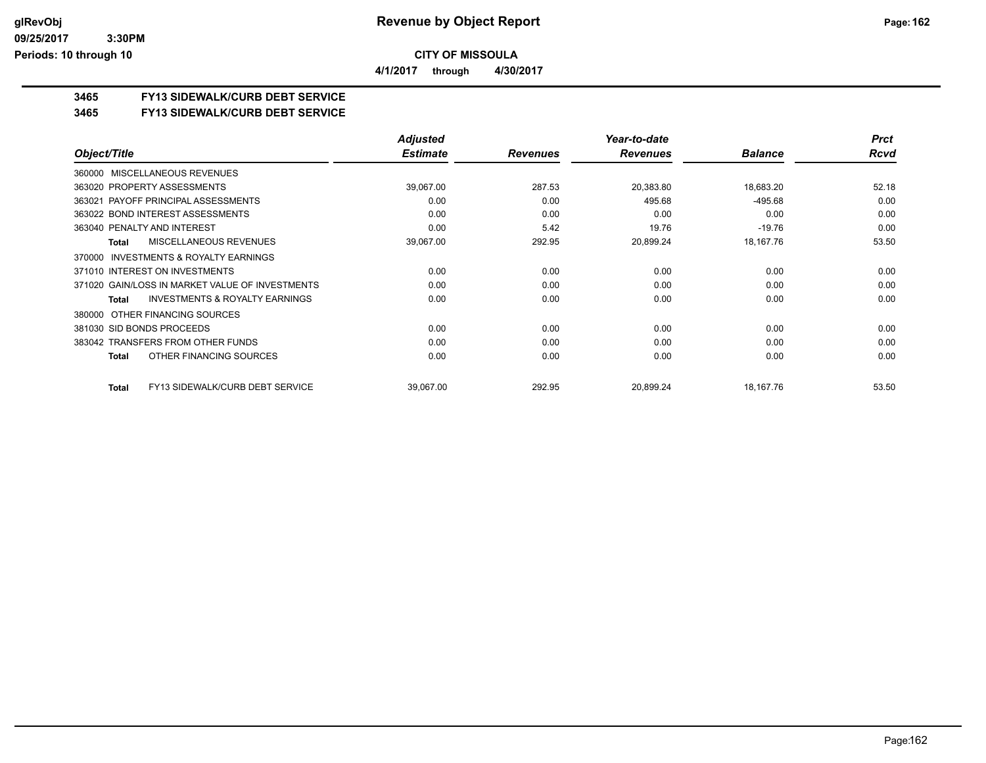**4/1/2017 through 4/30/2017**

# **3465 FY13 SIDEWALK/CURB DEBT SERVICE**

## **3465 FY13 SIDEWALK/CURB DEBT SERVICE**

|                                                     | <b>Adjusted</b> |                 | Year-to-date    |                | <b>Prct</b> |
|-----------------------------------------------------|-----------------|-----------------|-----------------|----------------|-------------|
| Object/Title                                        | <b>Estimate</b> | <b>Revenues</b> | <b>Revenues</b> | <b>Balance</b> | Rcvd        |
| 360000 MISCELLANEOUS REVENUES                       |                 |                 |                 |                |             |
| 363020 PROPERTY ASSESSMENTS                         | 39,067.00       | 287.53          | 20,383.80       | 18,683.20      | 52.18       |
| PAYOFF PRINCIPAL ASSESSMENTS<br>363021              | 0.00            | 0.00            | 495.68          | $-495.68$      | 0.00        |
| 363022 BOND INTEREST ASSESSMENTS                    | 0.00            | 0.00            | 0.00            | 0.00           | 0.00        |
| 363040 PENALTY AND INTEREST                         | 0.00            | 5.42            | 19.76           | $-19.76$       | 0.00        |
| <b>MISCELLANEOUS REVENUES</b><br>Total              | 39,067.00       | 292.95          | 20,899.24       | 18,167.76      | 53.50       |
| <b>INVESTMENTS &amp; ROYALTY EARNINGS</b><br>370000 |                 |                 |                 |                |             |
| 371010 INTEREST ON INVESTMENTS                      | 0.00            | 0.00            | 0.00            | 0.00           | 0.00        |
| 371020 GAIN/LOSS IN MARKET VALUE OF INVESTMENTS     | 0.00            | 0.00            | 0.00            | 0.00           | 0.00        |
| <b>INVESTMENTS &amp; ROYALTY EARNINGS</b><br>Total  | 0.00            | 0.00            | 0.00            | 0.00           | 0.00        |
| 380000 OTHER FINANCING SOURCES                      |                 |                 |                 |                |             |
| 381030 SID BONDS PROCEEDS                           | 0.00            | 0.00            | 0.00            | 0.00           | 0.00        |
| 383042 TRANSFERS FROM OTHER FUNDS                   | 0.00            | 0.00            | 0.00            | 0.00           | 0.00        |
| OTHER FINANCING SOURCES<br>Total                    | 0.00            | 0.00            | 0.00            | 0.00           | 0.00        |
| FY13 SIDEWALK/CURB DEBT SERVICE<br>Total            | 39,067.00       | 292.95          | 20,899.24       | 18,167.76      | 53.50       |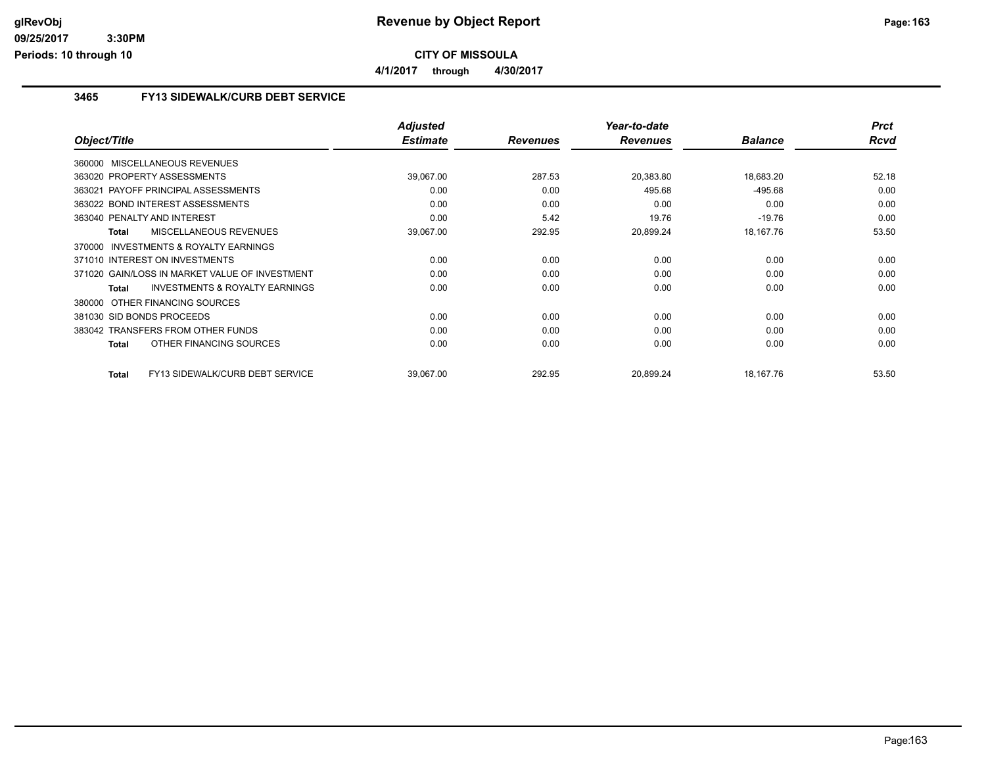**4/1/2017 through 4/30/2017**

# **3465 FY13 SIDEWALK/CURB DEBT SERVICE**

|                                                           | <b>Adjusted</b> |                 | Year-to-date    |                | <b>Prct</b> |
|-----------------------------------------------------------|-----------------|-----------------|-----------------|----------------|-------------|
| Object/Title                                              | <b>Estimate</b> | <b>Revenues</b> | <b>Revenues</b> | <b>Balance</b> | Rcvd        |
| 360000 MISCELLANEOUS REVENUES                             |                 |                 |                 |                |             |
| 363020 PROPERTY ASSESSMENTS                               | 39,067.00       | 287.53          | 20,383.80       | 18,683.20      | 52.18       |
| 363021 PAYOFF PRINCIPAL ASSESSMENTS                       | 0.00            | 0.00            | 495.68          | -495.68        | 0.00        |
| 363022 BOND INTEREST ASSESSMENTS                          | 0.00            | 0.00            | 0.00            | 0.00           | 0.00        |
| 363040 PENALTY AND INTEREST                               | 0.00            | 5.42            | 19.76           | $-19.76$       | 0.00        |
| <b>MISCELLANEOUS REVENUES</b><br>Total                    | 39,067.00       | 292.95          | 20,899.24       | 18,167.76      | 53.50       |
| <b>INVESTMENTS &amp; ROYALTY EARNINGS</b><br>370000       |                 |                 |                 |                |             |
| 371010 INTEREST ON INVESTMENTS                            | 0.00            | 0.00            | 0.00            | 0.00           | 0.00        |
| 371020 GAIN/LOSS IN MARKET VALUE OF INVESTMENT            | 0.00            | 0.00            | 0.00            | 0.00           | 0.00        |
| <b>INVESTMENTS &amp; ROYALTY EARNINGS</b><br><b>Total</b> | 0.00            | 0.00            | 0.00            | 0.00           | 0.00        |
| 380000 OTHER FINANCING SOURCES                            |                 |                 |                 |                |             |
| 381030 SID BONDS PROCEEDS                                 | 0.00            | 0.00            | 0.00            | 0.00           | 0.00        |
| 383042 TRANSFERS FROM OTHER FUNDS                         | 0.00            | 0.00            | 0.00            | 0.00           | 0.00        |
| OTHER FINANCING SOURCES<br>Total                          | 0.00            | 0.00            | 0.00            | 0.00           | 0.00        |
| FY13 SIDEWALK/CURB DEBT SERVICE<br>Total                  | 39,067.00       | 292.95          | 20,899.24       | 18,167.76      | 53.50       |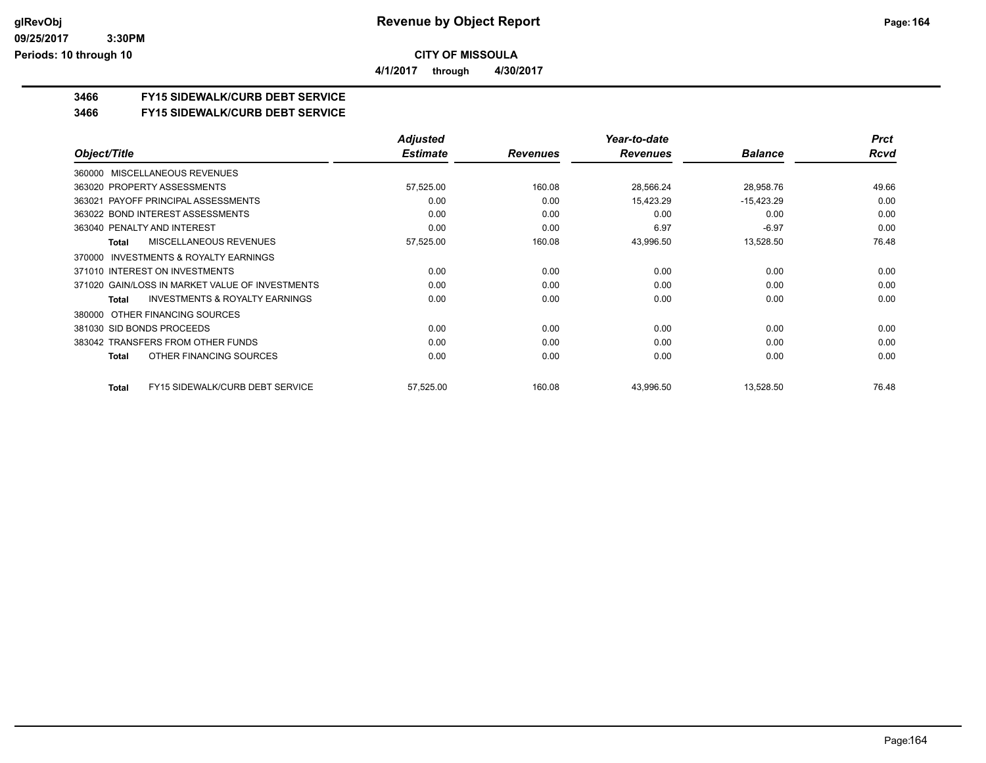**4/1/2017 through 4/30/2017**

# **3466 FY15 SIDEWALK/CURB DEBT SERVICE**

## **3466 FY15 SIDEWALK/CURB DEBT SERVICE**

|                                                     | <b>Adjusted</b> |                 | Year-to-date    |                | <b>Prct</b> |
|-----------------------------------------------------|-----------------|-----------------|-----------------|----------------|-------------|
| Object/Title                                        | <b>Estimate</b> | <b>Revenues</b> | <b>Revenues</b> | <b>Balance</b> | Rcvd        |
| 360000 MISCELLANEOUS REVENUES                       |                 |                 |                 |                |             |
| 363020 PROPERTY ASSESSMENTS                         | 57,525.00       | 160.08          | 28,566.24       | 28,958.76      | 49.66       |
| PAYOFF PRINCIPAL ASSESSMENTS<br>363021              | 0.00            | 0.00            | 15,423.29       | $-15,423.29$   | 0.00        |
| 363022 BOND INTEREST ASSESSMENTS                    | 0.00            | 0.00            | 0.00            | 0.00           | 0.00        |
| 363040 PENALTY AND INTEREST                         | 0.00            | 0.00            | 6.97            | $-6.97$        | 0.00        |
| <b>MISCELLANEOUS REVENUES</b><br>Total              | 57,525.00       | 160.08          | 43,996.50       | 13,528.50      | 76.48       |
| <b>INVESTMENTS &amp; ROYALTY EARNINGS</b><br>370000 |                 |                 |                 |                |             |
| 371010 INTEREST ON INVESTMENTS                      | 0.00            | 0.00            | 0.00            | 0.00           | 0.00        |
| 371020 GAIN/LOSS IN MARKET VALUE OF INVESTMENTS     | 0.00            | 0.00            | 0.00            | 0.00           | 0.00        |
| <b>INVESTMENTS &amp; ROYALTY EARNINGS</b><br>Total  | 0.00            | 0.00            | 0.00            | 0.00           | 0.00        |
| 380000 OTHER FINANCING SOURCES                      |                 |                 |                 |                |             |
| 381030 SID BONDS PROCEEDS                           | 0.00            | 0.00            | 0.00            | 0.00           | 0.00        |
| 383042 TRANSFERS FROM OTHER FUNDS                   | 0.00            | 0.00            | 0.00            | 0.00           | 0.00        |
| OTHER FINANCING SOURCES<br>Total                    | 0.00            | 0.00            | 0.00            | 0.00           | 0.00        |
| <b>FY15 SIDEWALK/CURB DEBT SERVICE</b><br>Total     | 57,525.00       | 160.08          | 43,996.50       | 13,528.50      | 76.48       |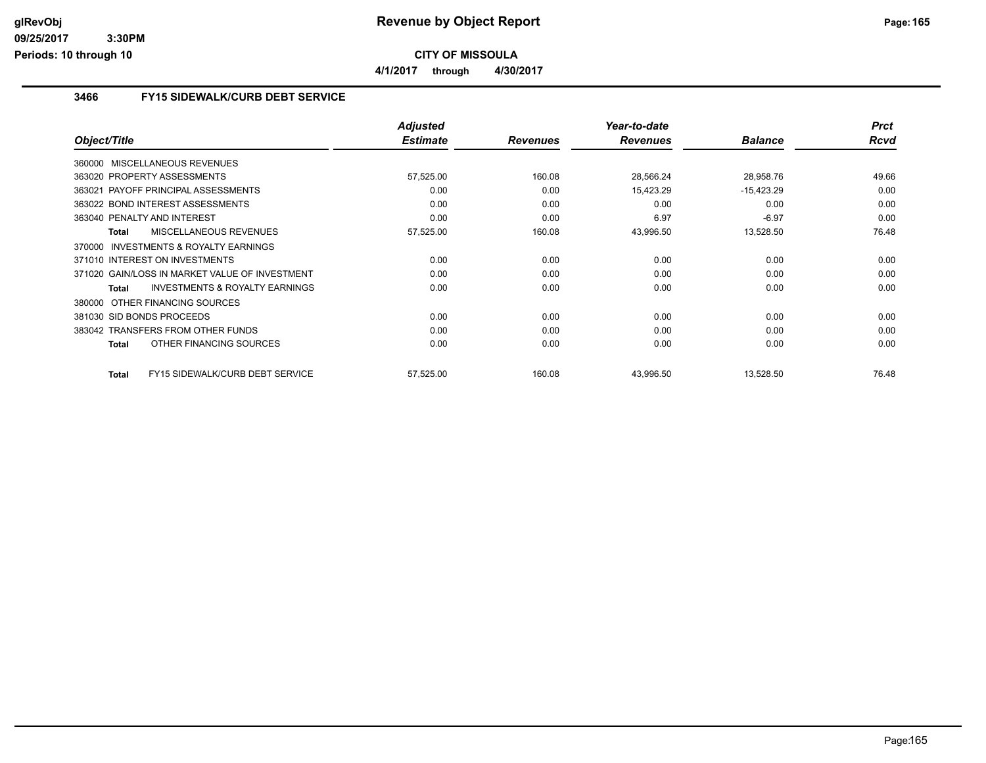**4/1/2017 through 4/30/2017**

# **3466 FY15 SIDEWALK/CURB DEBT SERVICE**

|                                                           | <b>Adjusted</b> |                 | Year-to-date    |                | <b>Prct</b> |
|-----------------------------------------------------------|-----------------|-----------------|-----------------|----------------|-------------|
| Object/Title                                              | <b>Estimate</b> | <b>Revenues</b> | <b>Revenues</b> | <b>Balance</b> | Rcvd        |
| 360000 MISCELLANEOUS REVENUES                             |                 |                 |                 |                |             |
| 363020 PROPERTY ASSESSMENTS                               | 57,525.00       | 160.08          | 28,566.24       | 28,958.76      | 49.66       |
| 363021 PAYOFF PRINCIPAL ASSESSMENTS                       | 0.00            | 0.00            | 15,423.29       | $-15,423.29$   | 0.00        |
| 363022 BOND INTEREST ASSESSMENTS                          | 0.00            | 0.00            | 0.00            | 0.00           | 0.00        |
| 363040 PENALTY AND INTEREST                               | 0.00            | 0.00            | 6.97            | $-6.97$        | 0.00        |
| <b>MISCELLANEOUS REVENUES</b><br><b>Total</b>             | 57,525.00       | 160.08          | 43,996.50       | 13,528.50      | 76.48       |
| <b>INVESTMENTS &amp; ROYALTY EARNINGS</b><br>370000       |                 |                 |                 |                |             |
| 371010 INTEREST ON INVESTMENTS                            | 0.00            | 0.00            | 0.00            | 0.00           | 0.00        |
| 371020 GAIN/LOSS IN MARKET VALUE OF INVESTMENT            | 0.00            | 0.00            | 0.00            | 0.00           | 0.00        |
| <b>INVESTMENTS &amp; ROYALTY EARNINGS</b><br><b>Total</b> | 0.00            | 0.00            | 0.00            | 0.00           | 0.00        |
| 380000 OTHER FINANCING SOURCES                            |                 |                 |                 |                |             |
| 381030 SID BONDS PROCEEDS                                 | 0.00            | 0.00            | 0.00            | 0.00           | 0.00        |
| 383042 TRANSFERS FROM OTHER FUNDS                         | 0.00            | 0.00            | 0.00            | 0.00           | 0.00        |
| OTHER FINANCING SOURCES<br>Total                          | 0.00            | 0.00            | 0.00            | 0.00           | 0.00        |
| FY15 SIDEWALK/CURB DEBT SERVICE<br>Total                  | 57,525.00       | 160.08          | 43,996.50       | 13,528.50      | 76.48       |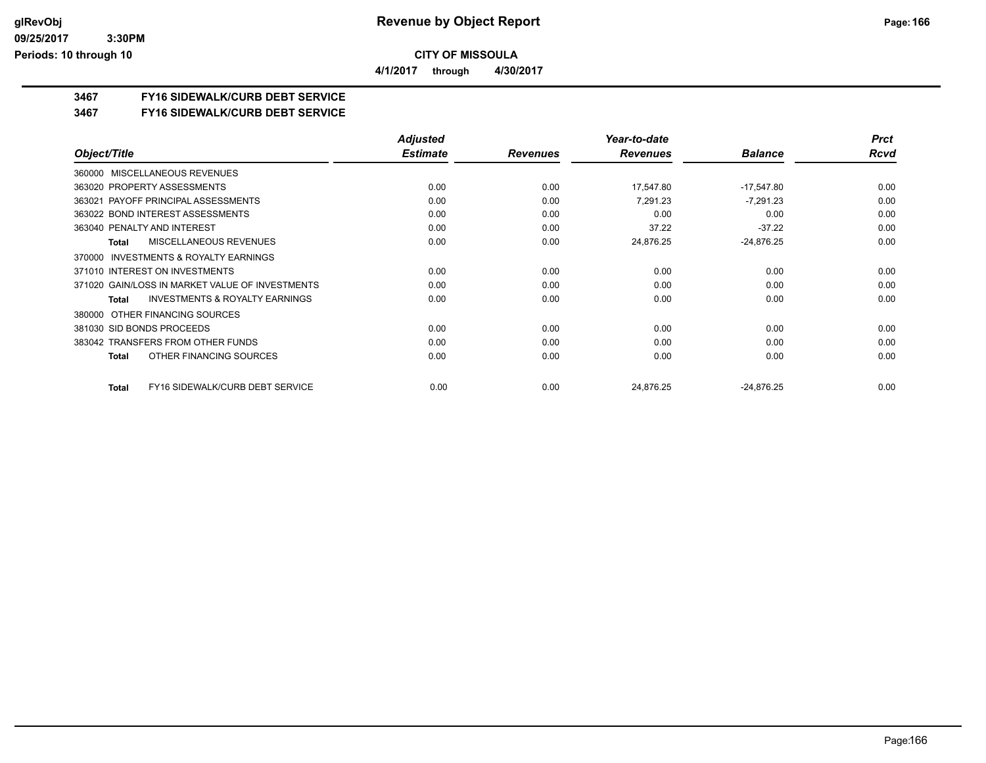**4/1/2017 through 4/30/2017**

# **3467 FY16 SIDEWALK/CURB DEBT SERVICE**

# **3467 FY16 SIDEWALK/CURB DEBT SERVICE**

|                                                    | <b>Adjusted</b> |                 | Year-to-date    |                | <b>Prct</b> |
|----------------------------------------------------|-----------------|-----------------|-----------------|----------------|-------------|
| Object/Title                                       | <b>Estimate</b> | <b>Revenues</b> | <b>Revenues</b> | <b>Balance</b> | Rcvd        |
| 360000 MISCELLANEOUS REVENUES                      |                 |                 |                 |                |             |
| 363020 PROPERTY ASSESSMENTS                        | 0.00            | 0.00            | 17,547.80       | $-17,547.80$   | 0.00        |
| 363021 PAYOFF PRINCIPAL ASSESSMENTS                | 0.00            | 0.00            | 7.291.23        | $-7.291.23$    | 0.00        |
| 363022 BOND INTEREST ASSESSMENTS                   | 0.00            | 0.00            | 0.00            | 0.00           | 0.00        |
| 363040 PENALTY AND INTEREST                        | 0.00            | 0.00            | 37.22           | $-37.22$       | 0.00        |
| MISCELLANEOUS REVENUES<br>Total                    | 0.00            | 0.00            | 24,876.25       | $-24,876.25$   | 0.00        |
| INVESTMENTS & ROYALTY EARNINGS<br>370000           |                 |                 |                 |                |             |
| 371010 INTEREST ON INVESTMENTS                     | 0.00            | 0.00            | 0.00            | 0.00           | 0.00        |
| 371020 GAIN/LOSS IN MARKET VALUE OF INVESTMENTS    | 0.00            | 0.00            | 0.00            | 0.00           | 0.00        |
| <b>INVESTMENTS &amp; ROYALTY EARNINGS</b><br>Total | 0.00            | 0.00            | 0.00            | 0.00           | 0.00        |
| 380000 OTHER FINANCING SOURCES                     |                 |                 |                 |                |             |
| 381030 SID BONDS PROCEEDS                          | 0.00            | 0.00            | 0.00            | 0.00           | 0.00        |
| 383042 TRANSFERS FROM OTHER FUNDS                  | 0.00            | 0.00            | 0.00            | 0.00           | 0.00        |
| OTHER FINANCING SOURCES<br>Total                   | 0.00            | 0.00            | 0.00            | 0.00           | 0.00        |
| FY16 SIDEWALK/CURB DEBT SERVICE<br>Total           | 0.00            | 0.00            | 24,876.25       | $-24,876.25$   | 0.00        |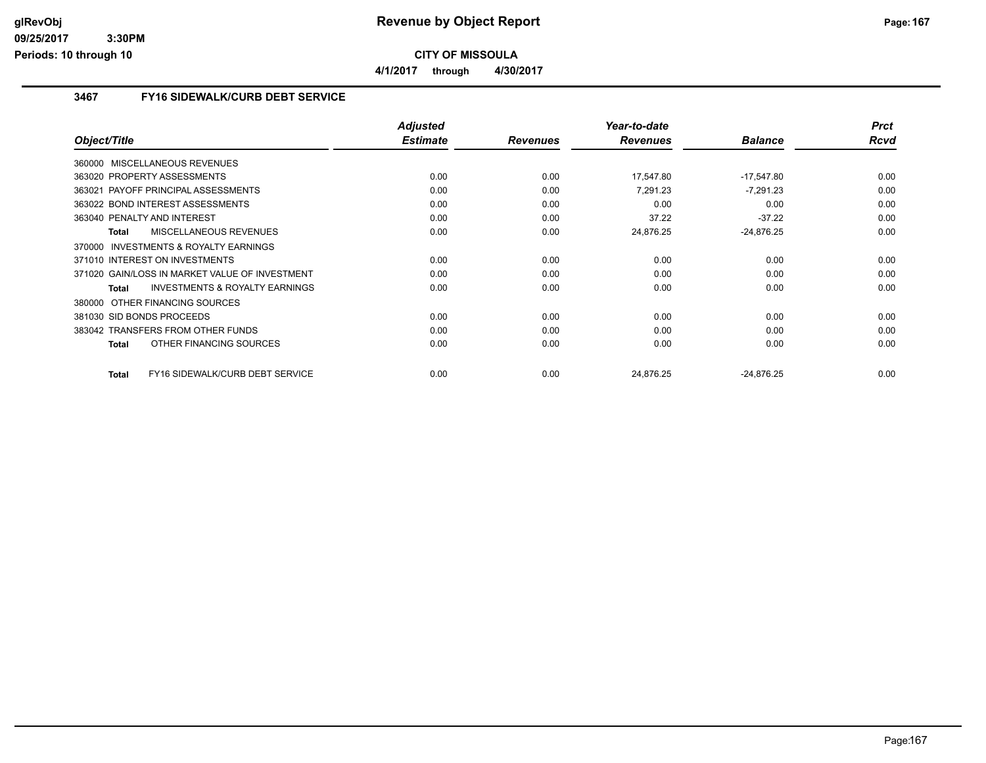**4/1/2017 through 4/30/2017**

# **3467 FY16 SIDEWALK/CURB DEBT SERVICE**

|                                                    | <b>Adjusted</b> |                 | Year-to-date    |                | <b>Prct</b> |
|----------------------------------------------------|-----------------|-----------------|-----------------|----------------|-------------|
| Object/Title                                       | <b>Estimate</b> | <b>Revenues</b> | <b>Revenues</b> | <b>Balance</b> | <b>Rcvd</b> |
| 360000 MISCELLANEOUS REVENUES                      |                 |                 |                 |                |             |
| 363020 PROPERTY ASSESSMENTS                        | 0.00            | 0.00            | 17,547.80       | $-17,547.80$   | 0.00        |
| 363021 PAYOFF PRINCIPAL ASSESSMENTS                | 0.00            | 0.00            | 7,291.23        | $-7,291.23$    | 0.00        |
| 363022 BOND INTEREST ASSESSMENTS                   | 0.00            | 0.00            | 0.00            | 0.00           | 0.00        |
| 363040 PENALTY AND INTEREST                        | 0.00            | 0.00            | 37.22           | $-37.22$       | 0.00        |
| MISCELLANEOUS REVENUES<br><b>Total</b>             | 0.00            | 0.00            | 24,876.25       | $-24,876.25$   | 0.00        |
| INVESTMENTS & ROYALTY EARNINGS<br>370000           |                 |                 |                 |                |             |
| 371010 INTEREST ON INVESTMENTS                     | 0.00            | 0.00            | 0.00            | 0.00           | 0.00        |
| 371020 GAIN/LOSS IN MARKET VALUE OF INVESTMENT     | 0.00            | 0.00            | 0.00            | 0.00           | 0.00        |
| <b>INVESTMENTS &amp; ROYALTY EARNINGS</b><br>Total | 0.00            | 0.00            | 0.00            | 0.00           | 0.00        |
| OTHER FINANCING SOURCES<br>380000                  |                 |                 |                 |                |             |
| 381030 SID BONDS PROCEEDS                          | 0.00            | 0.00            | 0.00            | 0.00           | 0.00        |
| 383042 TRANSFERS FROM OTHER FUNDS                  | 0.00            | 0.00            | 0.00            | 0.00           | 0.00        |
| OTHER FINANCING SOURCES<br>Total                   | 0.00            | 0.00            | 0.00            | 0.00           | 0.00        |
| FY16 SIDEWALK/CURB DEBT SERVICE<br><b>Total</b>    | 0.00            | 0.00            | 24,876.25       | $-24,876.25$   | 0.00        |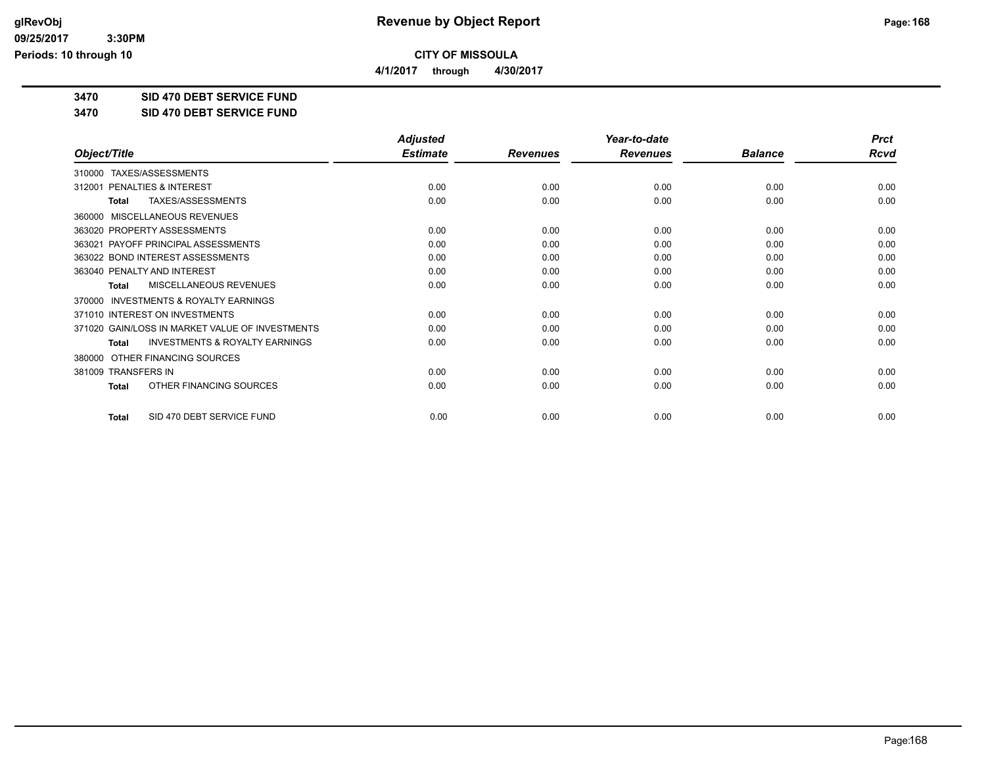**4/1/2017 through 4/30/2017**

**3470 SID 470 DEBT SERVICE FUND**

**3470 SID 470 DEBT SERVICE FUND**

|                                                           | <b>Adjusted</b> |                 | Year-to-date    |                | <b>Prct</b> |
|-----------------------------------------------------------|-----------------|-----------------|-----------------|----------------|-------------|
| Object/Title                                              | <b>Estimate</b> | <b>Revenues</b> | <b>Revenues</b> | <b>Balance</b> | <b>Rcvd</b> |
| TAXES/ASSESSMENTS<br>310000                               |                 |                 |                 |                |             |
| PENALTIES & INTEREST<br>312001                            | 0.00            | 0.00            | 0.00            | 0.00           | 0.00        |
| TAXES/ASSESSMENTS<br><b>Total</b>                         | 0.00            | 0.00            | 0.00            | 0.00           | 0.00        |
| MISCELLANEOUS REVENUES<br>360000                          |                 |                 |                 |                |             |
| 363020 PROPERTY ASSESSMENTS                               | 0.00            | 0.00            | 0.00            | 0.00           | 0.00        |
| 363021 PAYOFF PRINCIPAL ASSESSMENTS                       | 0.00            | 0.00            | 0.00            | 0.00           | 0.00        |
| 363022 BOND INTEREST ASSESSMENTS                          | 0.00            | 0.00            | 0.00            | 0.00           | 0.00        |
| 363040 PENALTY AND INTEREST                               | 0.00            | 0.00            | 0.00            | 0.00           | 0.00        |
| MISCELLANEOUS REVENUES<br><b>Total</b>                    | 0.00            | 0.00            | 0.00            | 0.00           | 0.00        |
| <b>INVESTMENTS &amp; ROYALTY EARNINGS</b><br>370000       |                 |                 |                 |                |             |
| 371010 INTEREST ON INVESTMENTS                            | 0.00            | 0.00            | 0.00            | 0.00           | 0.00        |
| 371020 GAIN/LOSS IN MARKET VALUE OF INVESTMENTS           | 0.00            | 0.00            | 0.00            | 0.00           | 0.00        |
| <b>INVESTMENTS &amp; ROYALTY EARNINGS</b><br><b>Total</b> | 0.00            | 0.00            | 0.00            | 0.00           | 0.00        |
| OTHER FINANCING SOURCES<br>380000                         |                 |                 |                 |                |             |
| 381009 TRANSFERS IN                                       | 0.00            | 0.00            | 0.00            | 0.00           | 0.00        |
| OTHER FINANCING SOURCES<br><b>Total</b>                   | 0.00            | 0.00            | 0.00            | 0.00           | 0.00        |
| SID 470 DEBT SERVICE FUND<br><b>Total</b>                 | 0.00            | 0.00            | 0.00            | 0.00           | 0.00        |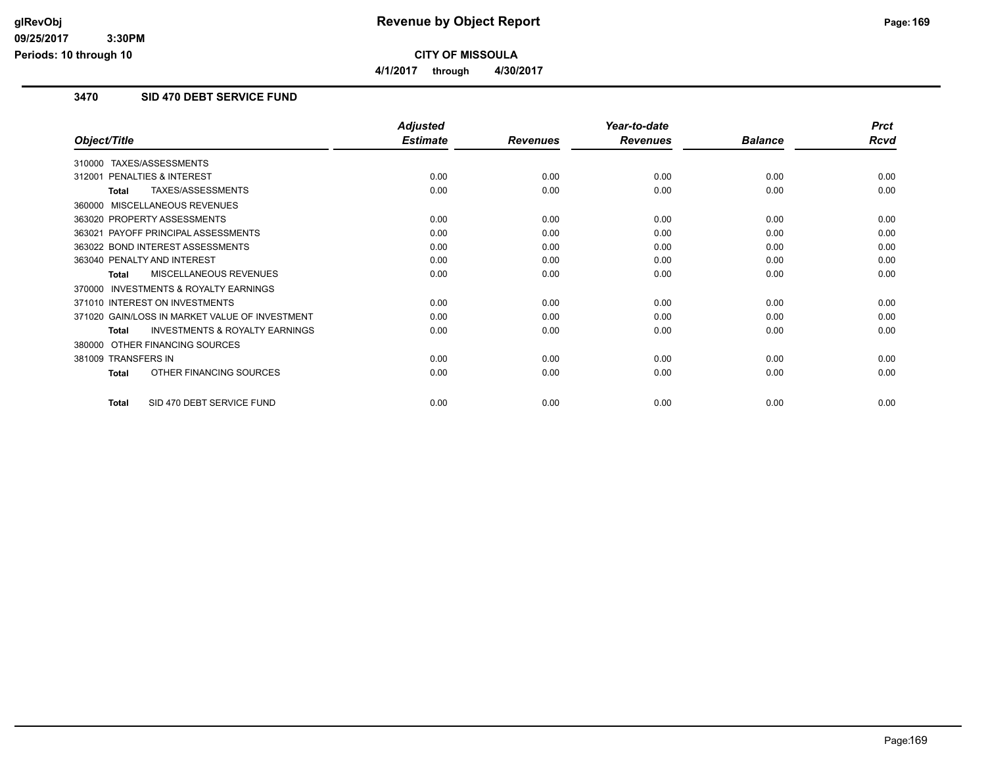**4/1/2017 through 4/30/2017**

# **3470 SID 470 DEBT SERVICE FUND**

|                                                           | <b>Adjusted</b> |                 | Year-to-date    |                | <b>Prct</b> |
|-----------------------------------------------------------|-----------------|-----------------|-----------------|----------------|-------------|
| Object/Title                                              | <b>Estimate</b> | <b>Revenues</b> | <b>Revenues</b> | <b>Balance</b> | <b>Rcvd</b> |
| TAXES/ASSESSMENTS<br>310000                               |                 |                 |                 |                |             |
| 312001 PENALTIES & INTEREST                               | 0.00            | 0.00            | 0.00            | 0.00           | 0.00        |
| TAXES/ASSESSMENTS<br>Total                                | 0.00            | 0.00            | 0.00            | 0.00           | 0.00        |
| MISCELLANEOUS REVENUES<br>360000                          |                 |                 |                 |                |             |
| 363020 PROPERTY ASSESSMENTS                               | 0.00            | 0.00            | 0.00            | 0.00           | 0.00        |
| 363021 PAYOFF PRINCIPAL ASSESSMENTS                       | 0.00            | 0.00            | 0.00            | 0.00           | 0.00        |
| 363022 BOND INTEREST ASSESSMENTS                          | 0.00            | 0.00            | 0.00            | 0.00           | 0.00        |
| 363040 PENALTY AND INTEREST                               | 0.00            | 0.00            | 0.00            | 0.00           | 0.00        |
| MISCELLANEOUS REVENUES<br><b>Total</b>                    | 0.00            | 0.00            | 0.00            | 0.00           | 0.00        |
| <b>INVESTMENTS &amp; ROYALTY EARNINGS</b><br>370000       |                 |                 |                 |                |             |
| 371010 INTEREST ON INVESTMENTS                            | 0.00            | 0.00            | 0.00            | 0.00           | 0.00        |
| 371020 GAIN/LOSS IN MARKET VALUE OF INVESTMENT            | 0.00            | 0.00            | 0.00            | 0.00           | 0.00        |
| <b>INVESTMENTS &amp; ROYALTY EARNINGS</b><br><b>Total</b> | 0.00            | 0.00            | 0.00            | 0.00           | 0.00        |
| OTHER FINANCING SOURCES<br>380000                         |                 |                 |                 |                |             |
| 381009 TRANSFERS IN                                       | 0.00            | 0.00            | 0.00            | 0.00           | 0.00        |
| OTHER FINANCING SOURCES<br>Total                          | 0.00            | 0.00            | 0.00            | 0.00           | 0.00        |
| SID 470 DEBT SERVICE FUND<br><b>Total</b>                 | 0.00            | 0.00            | 0.00            | 0.00           | 0.00        |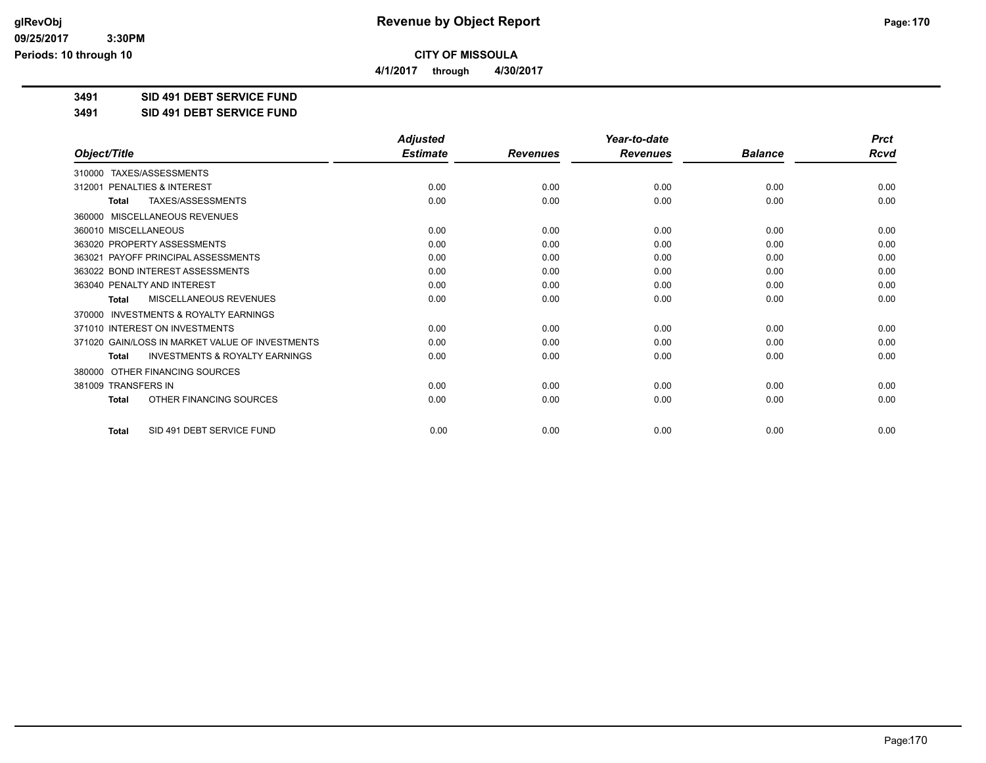**4/1/2017 through 4/30/2017**

**3491 SID 491 DEBT SERVICE FUND**

**3491 SID 491 DEBT SERVICE FUND**

|                                                           | <b>Adjusted</b> |                 | Year-to-date    |                | <b>Prct</b> |
|-----------------------------------------------------------|-----------------|-----------------|-----------------|----------------|-------------|
| Object/Title                                              | <b>Estimate</b> | <b>Revenues</b> | <b>Revenues</b> | <b>Balance</b> | <b>Rcvd</b> |
| TAXES/ASSESSMENTS<br>310000                               |                 |                 |                 |                |             |
| PENALTIES & INTEREST<br>312001                            | 0.00            | 0.00            | 0.00            | 0.00           | 0.00        |
| TAXES/ASSESSMENTS<br>Total                                | 0.00            | 0.00            | 0.00            | 0.00           | 0.00        |
| MISCELLANEOUS REVENUES<br>360000                          |                 |                 |                 |                |             |
| 360010 MISCELLANEOUS                                      | 0.00            | 0.00            | 0.00            | 0.00           | 0.00        |
| 363020 PROPERTY ASSESSMENTS                               | 0.00            | 0.00            | 0.00            | 0.00           | 0.00        |
| 363021 PAYOFF PRINCIPAL ASSESSMENTS                       | 0.00            | 0.00            | 0.00            | 0.00           | 0.00        |
| 363022 BOND INTEREST ASSESSMENTS                          | 0.00            | 0.00            | 0.00            | 0.00           | 0.00        |
| 363040 PENALTY AND INTEREST                               | 0.00            | 0.00            | 0.00            | 0.00           | 0.00        |
| MISCELLANEOUS REVENUES<br><b>Total</b>                    | 0.00            | 0.00            | 0.00            | 0.00           | 0.00        |
| <b>INVESTMENTS &amp; ROYALTY EARNINGS</b><br>370000       |                 |                 |                 |                |             |
| 371010 INTEREST ON INVESTMENTS                            | 0.00            | 0.00            | 0.00            | 0.00           | 0.00        |
| 371020 GAIN/LOSS IN MARKET VALUE OF INVESTMENTS           | 0.00            | 0.00            | 0.00            | 0.00           | 0.00        |
| <b>INVESTMENTS &amp; ROYALTY EARNINGS</b><br><b>Total</b> | 0.00            | 0.00            | 0.00            | 0.00           | 0.00        |
| OTHER FINANCING SOURCES<br>380000                         |                 |                 |                 |                |             |
| 381009 TRANSFERS IN                                       | 0.00            | 0.00            | 0.00            | 0.00           | 0.00        |
| OTHER FINANCING SOURCES<br>Total                          | 0.00            | 0.00            | 0.00            | 0.00           | 0.00        |
| SID 491 DEBT SERVICE FUND<br><b>Total</b>                 | 0.00            | 0.00            | 0.00            | 0.00           | 0.00        |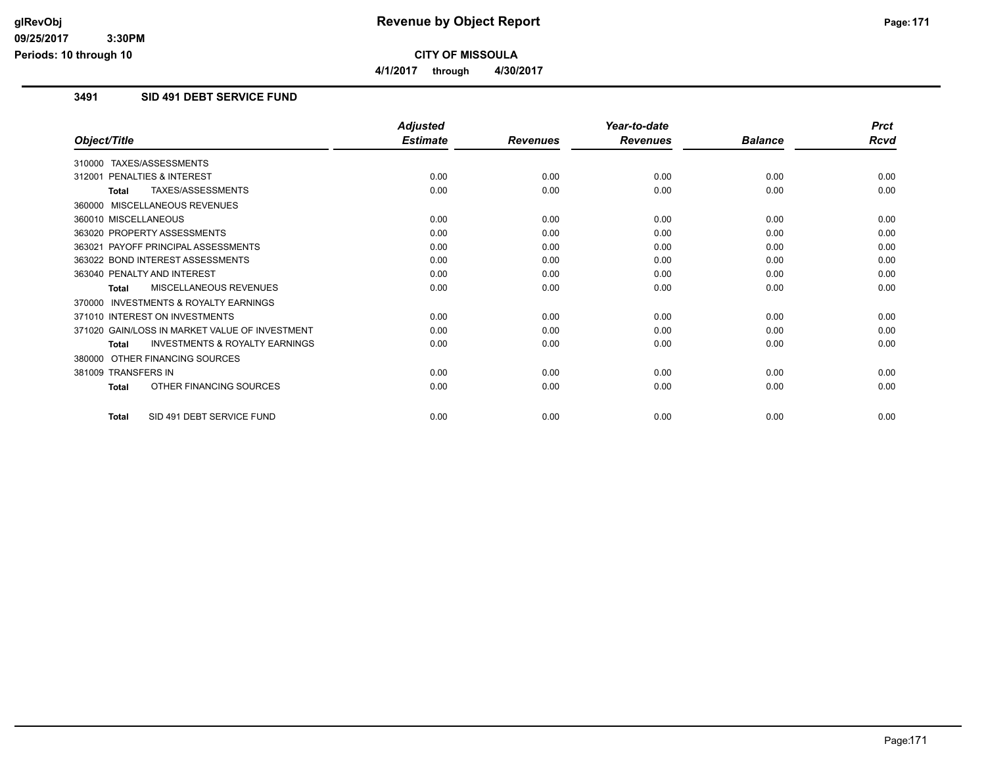**4/1/2017 through 4/30/2017**

# **3491 SID 491 DEBT SERVICE FUND**

|                                                           | <b>Adjusted</b> |                 | Year-to-date    |                | <b>Prct</b> |
|-----------------------------------------------------------|-----------------|-----------------|-----------------|----------------|-------------|
| Object/Title                                              | <b>Estimate</b> | <b>Revenues</b> | <b>Revenues</b> | <b>Balance</b> | <b>Rcvd</b> |
| 310000 TAXES/ASSESSMENTS                                  |                 |                 |                 |                |             |
| PENALTIES & INTEREST<br>312001                            | 0.00            | 0.00            | 0.00            | 0.00           | 0.00        |
| TAXES/ASSESSMENTS<br><b>Total</b>                         | 0.00            | 0.00            | 0.00            | 0.00           | 0.00        |
| 360000 MISCELLANEOUS REVENUES                             |                 |                 |                 |                |             |
| 360010 MISCELLANEOUS                                      | 0.00            | 0.00            | 0.00            | 0.00           | 0.00        |
| 363020 PROPERTY ASSESSMENTS                               | 0.00            | 0.00            | 0.00            | 0.00           | 0.00        |
| 363021 PAYOFF PRINCIPAL ASSESSMENTS                       | 0.00            | 0.00            | 0.00            | 0.00           | 0.00        |
| 363022 BOND INTEREST ASSESSMENTS                          | 0.00            | 0.00            | 0.00            | 0.00           | 0.00        |
| 363040 PENALTY AND INTEREST                               | 0.00            | 0.00            | 0.00            | 0.00           | 0.00        |
| MISCELLANEOUS REVENUES<br><b>Total</b>                    | 0.00            | 0.00            | 0.00            | 0.00           | 0.00        |
| 370000 INVESTMENTS & ROYALTY EARNINGS                     |                 |                 |                 |                |             |
| 371010 INTEREST ON INVESTMENTS                            | 0.00            | 0.00            | 0.00            | 0.00           | 0.00        |
| 371020 GAIN/LOSS IN MARKET VALUE OF INVESTMENT            | 0.00            | 0.00            | 0.00            | 0.00           | 0.00        |
| <b>INVESTMENTS &amp; ROYALTY EARNINGS</b><br><b>Total</b> | 0.00            | 0.00            | 0.00            | 0.00           | 0.00        |
| 380000 OTHER FINANCING SOURCES                            |                 |                 |                 |                |             |
| 381009 TRANSFERS IN                                       | 0.00            | 0.00            | 0.00            | 0.00           | 0.00        |
| OTHER FINANCING SOURCES<br>Total                          | 0.00            | 0.00            | 0.00            | 0.00           | 0.00        |
| SID 491 DEBT SERVICE FUND<br><b>Total</b>                 | 0.00            | 0.00            | 0.00            | 0.00           | 0.00        |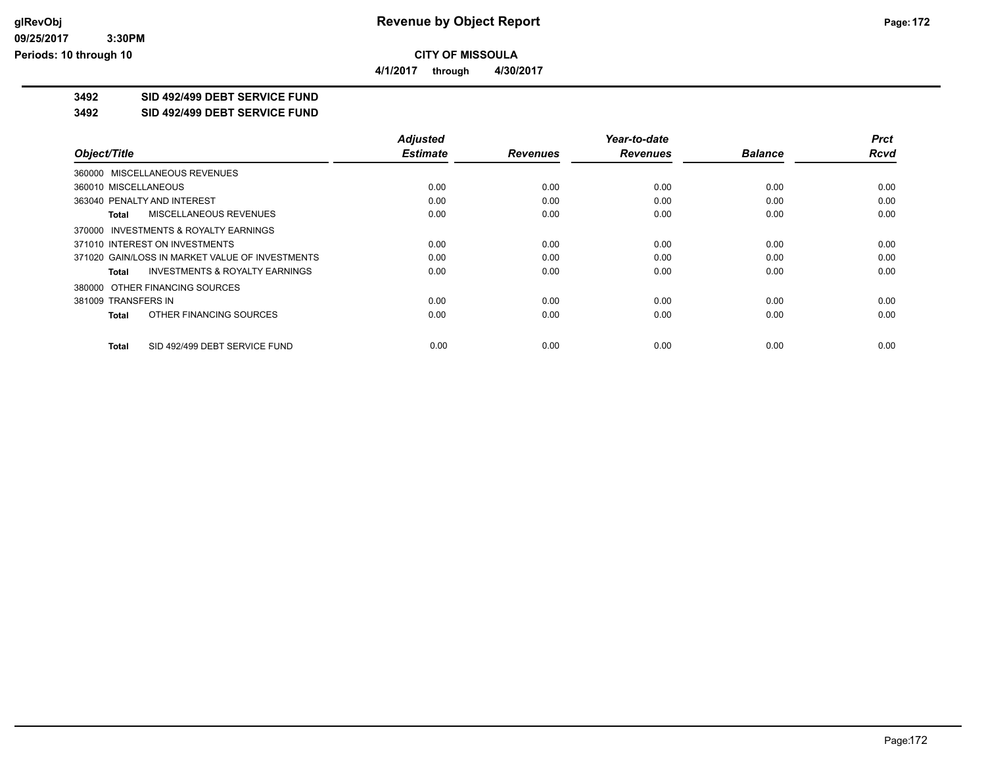**4/1/2017 through 4/30/2017**

**3492 SID 492/499 DEBT SERVICE FUND**

**3492 SID 492/499 DEBT SERVICE FUND**

|                                                    | <b>Adjusted</b> |                 | Year-to-date    |                | <b>Prct</b> |
|----------------------------------------------------|-----------------|-----------------|-----------------|----------------|-------------|
| Object/Title                                       | <b>Estimate</b> | <b>Revenues</b> | <b>Revenues</b> | <b>Balance</b> | <b>Rcvd</b> |
| 360000 MISCELLANEOUS REVENUES                      |                 |                 |                 |                |             |
| 360010 MISCELLANEOUS                               | 0.00            | 0.00            | 0.00            | 0.00           | 0.00        |
| 363040 PENALTY AND INTEREST                        | 0.00            | 0.00            | 0.00            | 0.00           | 0.00        |
| <b>MISCELLANEOUS REVENUES</b><br>Total             | 0.00            | 0.00            | 0.00            | 0.00           | 0.00        |
| 370000 INVESTMENTS & ROYALTY EARNINGS              |                 |                 |                 |                |             |
| 371010 INTEREST ON INVESTMENTS                     | 0.00            | 0.00            | 0.00            | 0.00           | 0.00        |
| 371020 GAIN/LOSS IN MARKET VALUE OF INVESTMENTS    | 0.00            | 0.00            | 0.00            | 0.00           | 0.00        |
| <b>INVESTMENTS &amp; ROYALTY EARNINGS</b><br>Total | 0.00            | 0.00            | 0.00            | 0.00           | 0.00        |
| 380000 OTHER FINANCING SOURCES                     |                 |                 |                 |                |             |
| 381009 TRANSFERS IN                                | 0.00            | 0.00            | 0.00            | 0.00           | 0.00        |
| OTHER FINANCING SOURCES<br><b>Total</b>            | 0.00            | 0.00            | 0.00            | 0.00           | 0.00        |
| SID 492/499 DEBT SERVICE FUND<br><b>Total</b>      | 0.00            | 0.00            | 0.00            | 0.00           | 0.00        |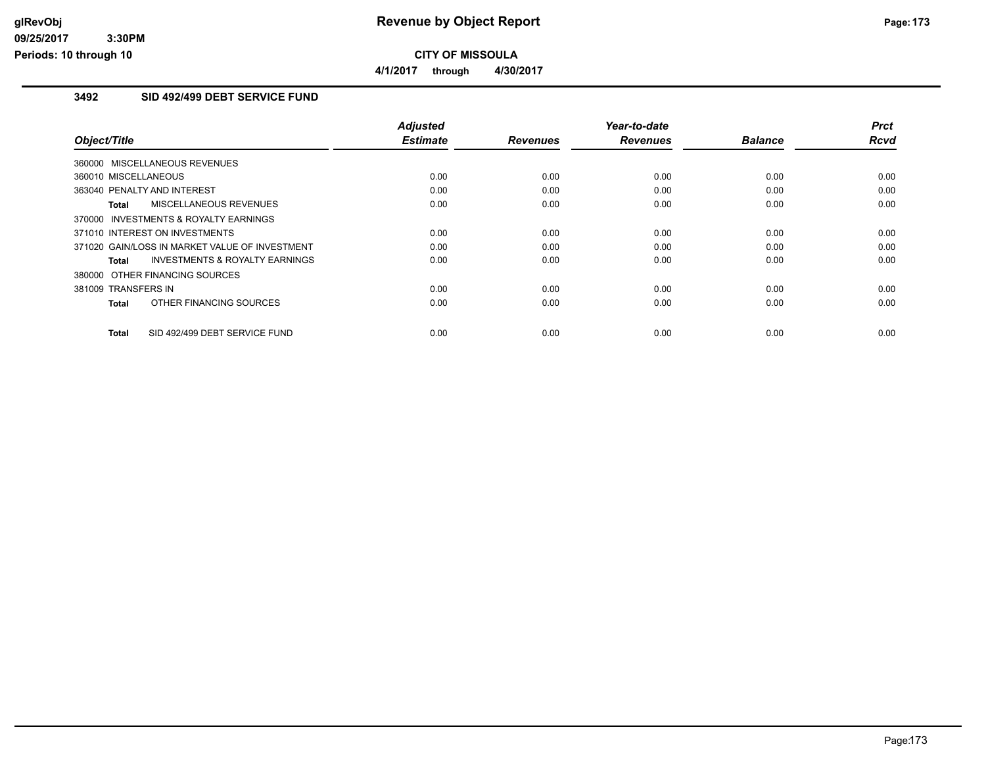**4/1/2017 through 4/30/2017**

# **3492 SID 492/499 DEBT SERVICE FUND**

| Object/Title                                       | <b>Adjusted</b><br><b>Estimate</b> | <b>Revenues</b> | Year-to-date<br><b>Revenues</b> | <b>Balance</b> | <b>Prct</b><br><b>Rcvd</b> |
|----------------------------------------------------|------------------------------------|-----------------|---------------------------------|----------------|----------------------------|
| 360000 MISCELLANEOUS REVENUES                      |                                    |                 |                                 |                |                            |
| 360010 MISCELLANEOUS                               | 0.00                               | 0.00            | 0.00                            | 0.00           | 0.00                       |
| 363040 PENALTY AND INTEREST                        | 0.00                               | 0.00            | 0.00                            | 0.00           | 0.00                       |
| MISCELLANEOUS REVENUES<br>Total                    | 0.00                               | 0.00            | 0.00                            | 0.00           | 0.00                       |
| 370000 INVESTMENTS & ROYALTY EARNINGS              |                                    |                 |                                 |                |                            |
| 371010 INTEREST ON INVESTMENTS                     | 0.00                               | 0.00            | 0.00                            | 0.00           | 0.00                       |
| 371020 GAIN/LOSS IN MARKET VALUE OF INVESTMENT     | 0.00                               | 0.00            | 0.00                            | 0.00           | 0.00                       |
| <b>INVESTMENTS &amp; ROYALTY EARNINGS</b><br>Total | 0.00                               | 0.00            | 0.00                            | 0.00           | 0.00                       |
| 380000 OTHER FINANCING SOURCES                     |                                    |                 |                                 |                |                            |
| 381009 TRANSFERS IN                                | 0.00                               | 0.00            | 0.00                            | 0.00           | 0.00                       |
| OTHER FINANCING SOURCES<br><b>Total</b>            | 0.00                               | 0.00            | 0.00                            | 0.00           | 0.00                       |
| SID 492/499 DEBT SERVICE FUND<br><b>Total</b>      | 0.00                               | 0.00            | 0.00                            | 0.00           | 0.00                       |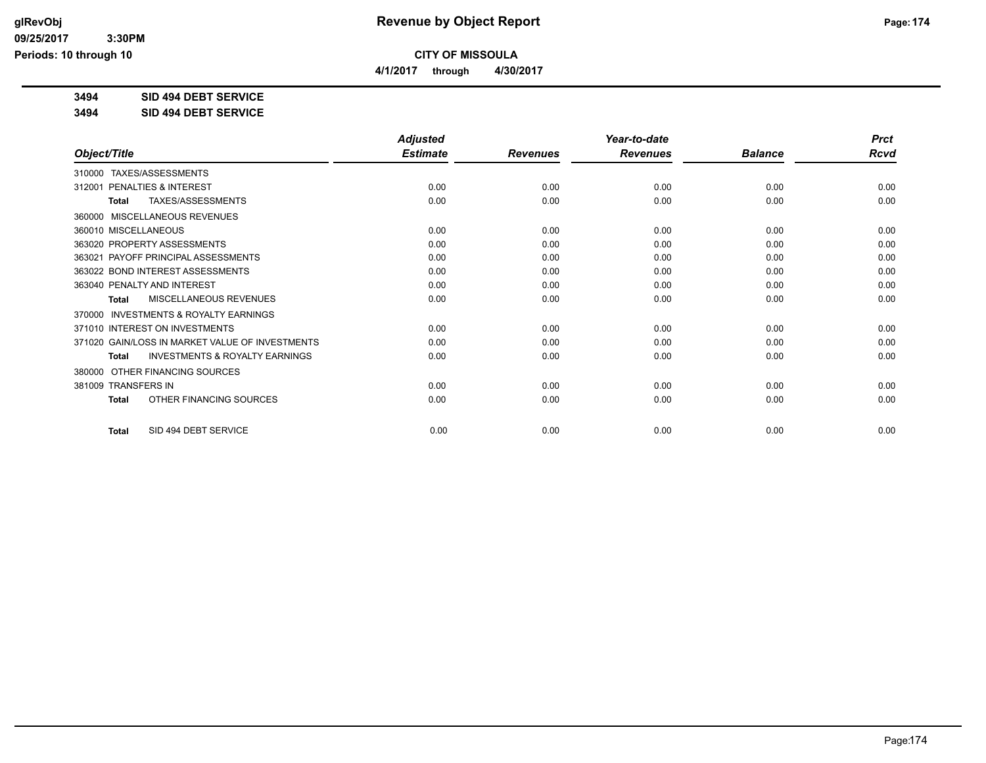**4/1/2017 through 4/30/2017**

**3494 SID 494 DEBT SERVICE**

**3494 SID 494 DEBT SERVICE**

|                                                           | <b>Adjusted</b> |                 | Year-to-date    |                | <b>Prct</b> |
|-----------------------------------------------------------|-----------------|-----------------|-----------------|----------------|-------------|
| Object/Title                                              | <b>Estimate</b> | <b>Revenues</b> | <b>Revenues</b> | <b>Balance</b> | <b>Rcvd</b> |
| TAXES/ASSESSMENTS<br>310000                               |                 |                 |                 |                |             |
| PENALTIES & INTEREST<br>312001                            | 0.00            | 0.00            | 0.00            | 0.00           | 0.00        |
| TAXES/ASSESSMENTS<br>Total                                | 0.00            | 0.00            | 0.00            | 0.00           | 0.00        |
| MISCELLANEOUS REVENUES<br>360000                          |                 |                 |                 |                |             |
| 360010 MISCELLANEOUS                                      | 0.00            | 0.00            | 0.00            | 0.00           | 0.00        |
| 363020 PROPERTY ASSESSMENTS                               | 0.00            | 0.00            | 0.00            | 0.00           | 0.00        |
| 363021 PAYOFF PRINCIPAL ASSESSMENTS                       | 0.00            | 0.00            | 0.00            | 0.00           | 0.00        |
| 363022 BOND INTEREST ASSESSMENTS                          | 0.00            | 0.00            | 0.00            | 0.00           | 0.00        |
| 363040 PENALTY AND INTEREST                               | 0.00            | 0.00            | 0.00            | 0.00           | 0.00        |
| MISCELLANEOUS REVENUES<br><b>Total</b>                    | 0.00            | 0.00            | 0.00            | 0.00           | 0.00        |
| <b>INVESTMENTS &amp; ROYALTY EARNINGS</b><br>370000       |                 |                 |                 |                |             |
| 371010 INTEREST ON INVESTMENTS                            | 0.00            | 0.00            | 0.00            | 0.00           | 0.00        |
| 371020 GAIN/LOSS IN MARKET VALUE OF INVESTMENTS           | 0.00            | 0.00            | 0.00            | 0.00           | 0.00        |
| <b>INVESTMENTS &amp; ROYALTY EARNINGS</b><br><b>Total</b> | 0.00            | 0.00            | 0.00            | 0.00           | 0.00        |
| OTHER FINANCING SOURCES<br>380000                         |                 |                 |                 |                |             |
| 381009 TRANSFERS IN                                       | 0.00            | 0.00            | 0.00            | 0.00           | 0.00        |
| OTHER FINANCING SOURCES<br>Total                          | 0.00            | 0.00            | 0.00            | 0.00           | 0.00        |
| SID 494 DEBT SERVICE<br><b>Total</b>                      | 0.00            | 0.00            | 0.00            | 0.00           | 0.00        |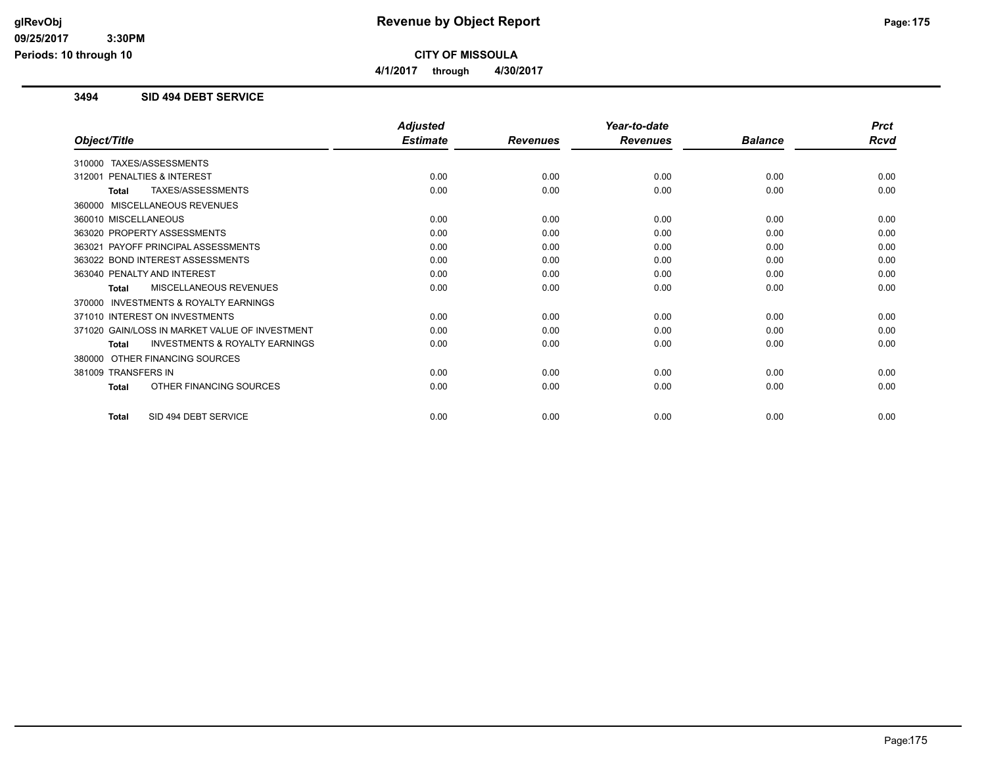**4/1/2017 through 4/30/2017**

## **3494 SID 494 DEBT SERVICE**

|                                                           | <b>Adjusted</b> |                 | Year-to-date    |                | <b>Prct</b> |
|-----------------------------------------------------------|-----------------|-----------------|-----------------|----------------|-------------|
| Object/Title                                              | <b>Estimate</b> | <b>Revenues</b> | <b>Revenues</b> | <b>Balance</b> | Rcvd        |
| 310000 TAXES/ASSESSMENTS                                  |                 |                 |                 |                |             |
| PENALTIES & INTEREST<br>312001                            | 0.00            | 0.00            | 0.00            | 0.00           | 0.00        |
| TAXES/ASSESSMENTS<br><b>Total</b>                         | 0.00            | 0.00            | 0.00            | 0.00           | 0.00        |
| 360000 MISCELLANEOUS REVENUES                             |                 |                 |                 |                |             |
| 360010 MISCELLANEOUS                                      | 0.00            | 0.00            | 0.00            | 0.00           | 0.00        |
| 363020 PROPERTY ASSESSMENTS                               | 0.00            | 0.00            | 0.00            | 0.00           | 0.00        |
| 363021 PAYOFF PRINCIPAL ASSESSMENTS                       | 0.00            | 0.00            | 0.00            | 0.00           | 0.00        |
| 363022 BOND INTEREST ASSESSMENTS                          | 0.00            | 0.00            | 0.00            | 0.00           | 0.00        |
| 363040 PENALTY AND INTEREST                               | 0.00            | 0.00            | 0.00            | 0.00           | 0.00        |
| <b>MISCELLANEOUS REVENUES</b><br><b>Total</b>             | 0.00            | 0.00            | 0.00            | 0.00           | 0.00        |
| 370000 INVESTMENTS & ROYALTY EARNINGS                     |                 |                 |                 |                |             |
| 371010 INTEREST ON INVESTMENTS                            | 0.00            | 0.00            | 0.00            | 0.00           | 0.00        |
| 371020 GAIN/LOSS IN MARKET VALUE OF INVESTMENT            | 0.00            | 0.00            | 0.00            | 0.00           | 0.00        |
| <b>INVESTMENTS &amp; ROYALTY EARNINGS</b><br><b>Total</b> | 0.00            | 0.00            | 0.00            | 0.00           | 0.00        |
| 380000 OTHER FINANCING SOURCES                            |                 |                 |                 |                |             |
| 381009 TRANSFERS IN                                       | 0.00            | 0.00            | 0.00            | 0.00           | 0.00        |
| OTHER FINANCING SOURCES<br>Total                          | 0.00            | 0.00            | 0.00            | 0.00           | 0.00        |
| SID 494 DEBT SERVICE<br><b>Total</b>                      | 0.00            | 0.00            | 0.00            | 0.00           | 0.00        |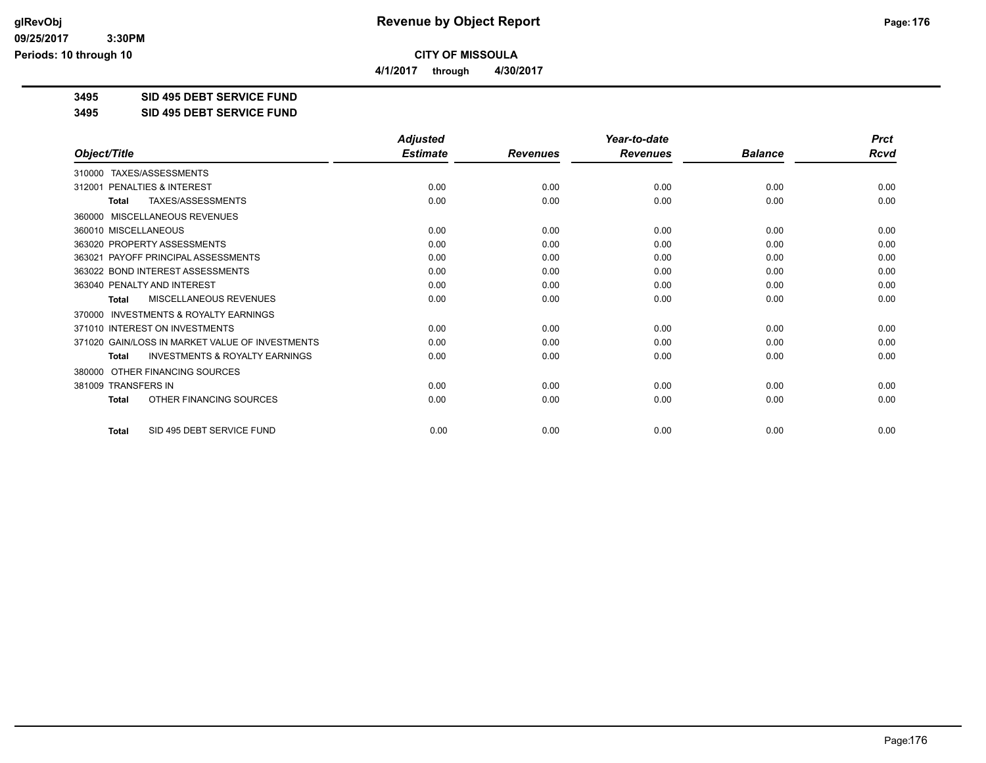**4/1/2017 through 4/30/2017**

**3495 SID 495 DEBT SERVICE FUND**

**3495 SID 495 DEBT SERVICE FUND**

|                                                           | <b>Adjusted</b> |                 | Year-to-date    |                | <b>Prct</b> |
|-----------------------------------------------------------|-----------------|-----------------|-----------------|----------------|-------------|
| Object/Title                                              | <b>Estimate</b> | <b>Revenues</b> | <b>Revenues</b> | <b>Balance</b> | <b>Rcvd</b> |
| TAXES/ASSESSMENTS<br>310000                               |                 |                 |                 |                |             |
| PENALTIES & INTEREST<br>312001                            | 0.00            | 0.00            | 0.00            | 0.00           | 0.00        |
| TAXES/ASSESSMENTS<br>Total                                | 0.00            | 0.00            | 0.00            | 0.00           | 0.00        |
| MISCELLANEOUS REVENUES<br>360000                          |                 |                 |                 |                |             |
| 360010 MISCELLANEOUS                                      | 0.00            | 0.00            | 0.00            | 0.00           | 0.00        |
| 363020 PROPERTY ASSESSMENTS                               | 0.00            | 0.00            | 0.00            | 0.00           | 0.00        |
| 363021 PAYOFF PRINCIPAL ASSESSMENTS                       | 0.00            | 0.00            | 0.00            | 0.00           | 0.00        |
| 363022 BOND INTEREST ASSESSMENTS                          | 0.00            | 0.00            | 0.00            | 0.00           | 0.00        |
| 363040 PENALTY AND INTEREST                               | 0.00            | 0.00            | 0.00            | 0.00           | 0.00        |
| MISCELLANEOUS REVENUES<br><b>Total</b>                    | 0.00            | 0.00            | 0.00            | 0.00           | 0.00        |
| <b>INVESTMENTS &amp; ROYALTY EARNINGS</b><br>370000       |                 |                 |                 |                |             |
| 371010 INTEREST ON INVESTMENTS                            | 0.00            | 0.00            | 0.00            | 0.00           | 0.00        |
| 371020 GAIN/LOSS IN MARKET VALUE OF INVESTMENTS           | 0.00            | 0.00            | 0.00            | 0.00           | 0.00        |
| <b>INVESTMENTS &amp; ROYALTY EARNINGS</b><br><b>Total</b> | 0.00            | 0.00            | 0.00            | 0.00           | 0.00        |
| OTHER FINANCING SOURCES<br>380000                         |                 |                 |                 |                |             |
| 381009 TRANSFERS IN                                       | 0.00            | 0.00            | 0.00            | 0.00           | 0.00        |
| OTHER FINANCING SOURCES<br>Total                          | 0.00            | 0.00            | 0.00            | 0.00           | 0.00        |
| SID 495 DEBT SERVICE FUND<br><b>Total</b>                 | 0.00            | 0.00            | 0.00            | 0.00           | 0.00        |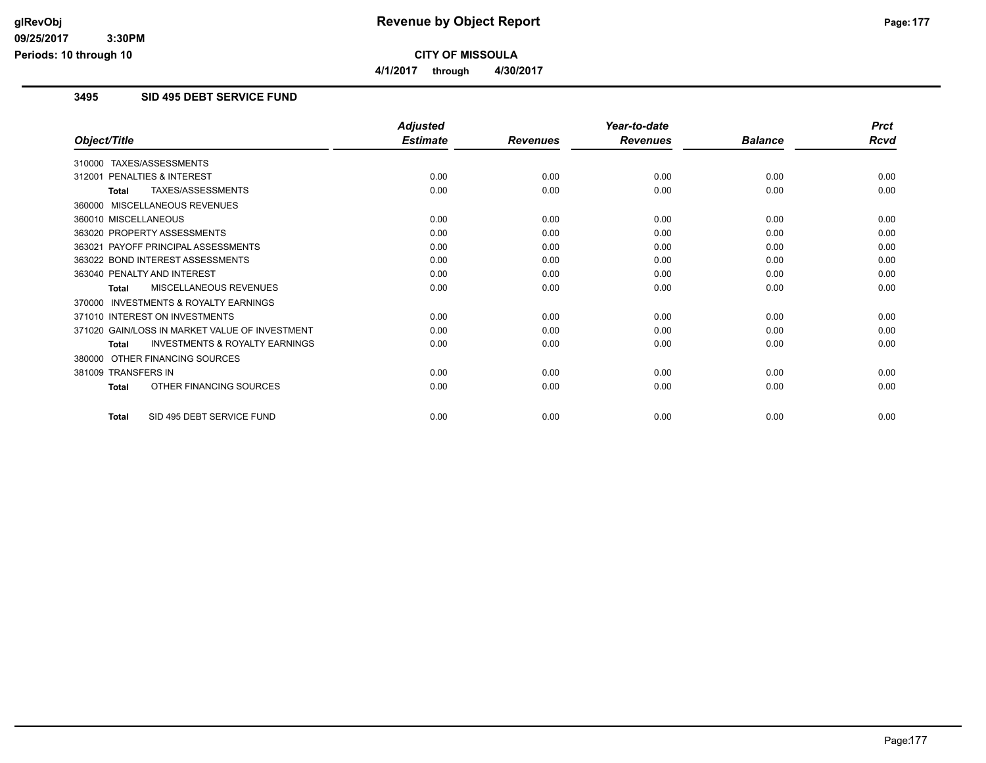**Periods: 10 through 10**

**CITY OF MISSOULA**

**4/1/2017 through 4/30/2017**

# **3495 SID 495 DEBT SERVICE FUND**

|                                                     | <b>Adjusted</b> |                 | Year-to-date    |                | <b>Prct</b> |
|-----------------------------------------------------|-----------------|-----------------|-----------------|----------------|-------------|
| Object/Title                                        | <b>Estimate</b> | <b>Revenues</b> | <b>Revenues</b> | <b>Balance</b> | <b>Rcvd</b> |
| 310000 TAXES/ASSESSMENTS                            |                 |                 |                 |                |             |
| 312001 PENALTIES & INTEREST                         | 0.00            | 0.00            | 0.00            | 0.00           | 0.00        |
| TAXES/ASSESSMENTS<br><b>Total</b>                   | 0.00            | 0.00            | 0.00            | 0.00           | 0.00        |
| 360000 MISCELLANEOUS REVENUES                       |                 |                 |                 |                |             |
| 360010 MISCELLANEOUS                                | 0.00            | 0.00            | 0.00            | 0.00           | 0.00        |
| 363020 PROPERTY ASSESSMENTS                         | 0.00            | 0.00            | 0.00            | 0.00           | 0.00        |
| 363021 PAYOFF PRINCIPAL ASSESSMENTS                 | 0.00            | 0.00            | 0.00            | 0.00           | 0.00        |
| 363022 BOND INTEREST ASSESSMENTS                    | 0.00            | 0.00            | 0.00            | 0.00           | 0.00        |
| 363040 PENALTY AND INTEREST                         | 0.00            | 0.00            | 0.00            | 0.00           | 0.00        |
| MISCELLANEOUS REVENUES<br><b>Total</b>              | 0.00            | 0.00            | 0.00            | 0.00           | 0.00        |
| <b>INVESTMENTS &amp; ROYALTY EARNINGS</b><br>370000 |                 |                 |                 |                |             |
| 371010 INTEREST ON INVESTMENTS                      | 0.00            | 0.00            | 0.00            | 0.00           | 0.00        |
| 371020 GAIN/LOSS IN MARKET VALUE OF INVESTMENT      | 0.00            | 0.00            | 0.00            | 0.00           | 0.00        |
| <b>INVESTMENTS &amp; ROYALTY EARNINGS</b><br>Total  | 0.00            | 0.00            | 0.00            | 0.00           | 0.00        |
| 380000 OTHER FINANCING SOURCES                      |                 |                 |                 |                |             |
| 381009 TRANSFERS IN                                 | 0.00            | 0.00            | 0.00            | 0.00           | 0.00        |
| OTHER FINANCING SOURCES<br><b>Total</b>             | 0.00            | 0.00            | 0.00            | 0.00           | 0.00        |
| SID 495 DEBT SERVICE FUND<br><b>Total</b>           | 0.00            | 0.00            | 0.00            | 0.00           | 0.00        |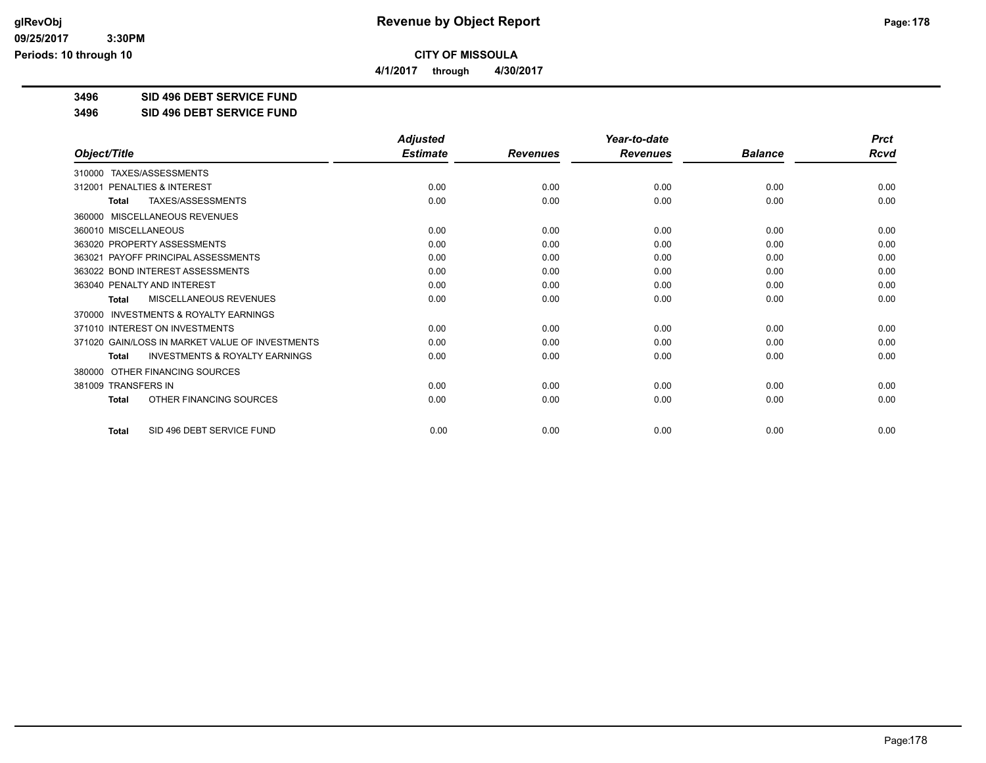**4/1/2017 through 4/30/2017**

**3496 SID 496 DEBT SERVICE FUND**

**3496 SID 496 DEBT SERVICE FUND**

|                                                           | <b>Adjusted</b> |                 | Year-to-date    |                | <b>Prct</b> |
|-----------------------------------------------------------|-----------------|-----------------|-----------------|----------------|-------------|
| Object/Title                                              | <b>Estimate</b> | <b>Revenues</b> | <b>Revenues</b> | <b>Balance</b> | <b>Rcvd</b> |
| TAXES/ASSESSMENTS<br>310000                               |                 |                 |                 |                |             |
| PENALTIES & INTEREST<br>312001                            | 0.00            | 0.00            | 0.00            | 0.00           | 0.00        |
| <b>TAXES/ASSESSMENTS</b><br>Total                         | 0.00            | 0.00            | 0.00            | 0.00           | 0.00        |
| MISCELLANEOUS REVENUES<br>360000                          |                 |                 |                 |                |             |
| 360010 MISCELLANEOUS                                      | 0.00            | 0.00            | 0.00            | 0.00           | 0.00        |
| 363020 PROPERTY ASSESSMENTS                               | 0.00            | 0.00            | 0.00            | 0.00           | 0.00        |
| 363021 PAYOFF PRINCIPAL ASSESSMENTS                       | 0.00            | 0.00            | 0.00            | 0.00           | 0.00        |
| 363022 BOND INTEREST ASSESSMENTS                          | 0.00            | 0.00            | 0.00            | 0.00           | 0.00        |
| 363040 PENALTY AND INTEREST                               | 0.00            | 0.00            | 0.00            | 0.00           | 0.00        |
| MISCELLANEOUS REVENUES<br>Total                           | 0.00            | 0.00            | 0.00            | 0.00           | 0.00        |
| <b>INVESTMENTS &amp; ROYALTY EARNINGS</b><br>370000       |                 |                 |                 |                |             |
| 371010 INTEREST ON INVESTMENTS                            | 0.00            | 0.00            | 0.00            | 0.00           | 0.00        |
| 371020 GAIN/LOSS IN MARKET VALUE OF INVESTMENTS           | 0.00            | 0.00            | 0.00            | 0.00           | 0.00        |
| <b>INVESTMENTS &amp; ROYALTY EARNINGS</b><br><b>Total</b> | 0.00            | 0.00            | 0.00            | 0.00           | 0.00        |
| OTHER FINANCING SOURCES<br>380000                         |                 |                 |                 |                |             |
| 381009 TRANSFERS IN                                       | 0.00            | 0.00            | 0.00            | 0.00           | 0.00        |
| OTHER FINANCING SOURCES<br><b>Total</b>                   | 0.00            | 0.00            | 0.00            | 0.00           | 0.00        |
| SID 496 DEBT SERVICE FUND<br><b>Total</b>                 | 0.00            | 0.00            | 0.00            | 0.00           | 0.00        |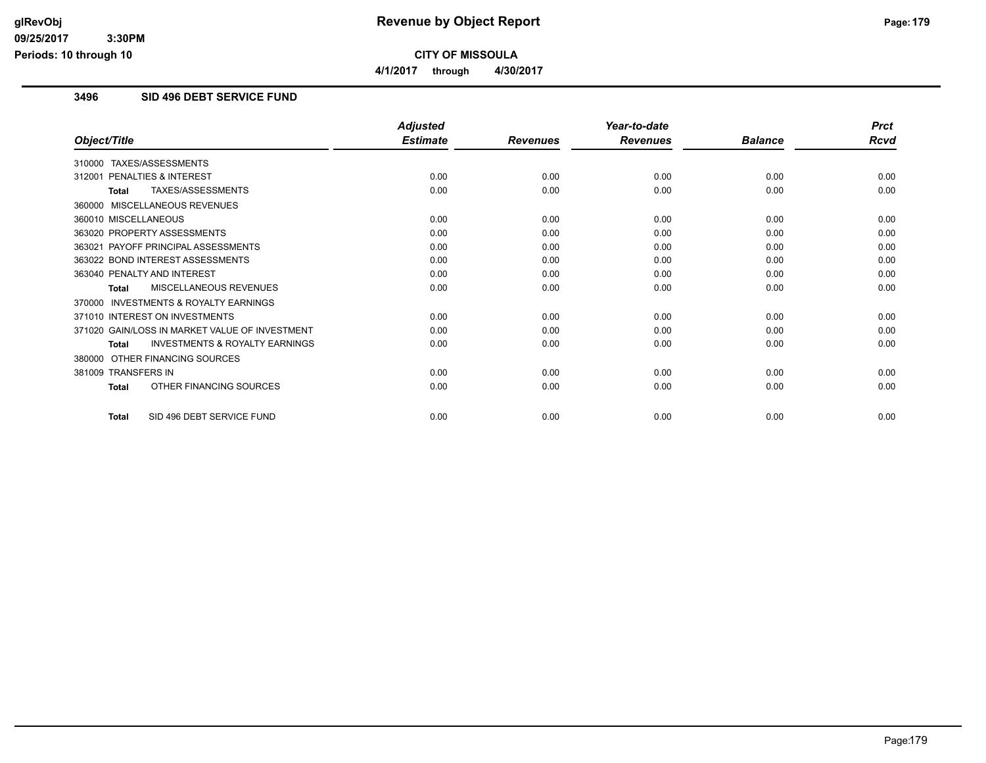**Periods: 10 through 10**

**CITY OF MISSOULA**

**4/1/2017 through 4/30/2017**

# **3496 SID 496 DEBT SERVICE FUND**

|                                                           | <b>Adjusted</b> |                 | Year-to-date    |                | <b>Prct</b> |
|-----------------------------------------------------------|-----------------|-----------------|-----------------|----------------|-------------|
| Object/Title                                              | <b>Estimate</b> | <b>Revenues</b> | <b>Revenues</b> | <b>Balance</b> | <b>Rcvd</b> |
| 310000 TAXES/ASSESSMENTS                                  |                 |                 |                 |                |             |
| PENALTIES & INTEREST<br>312001                            | 0.00            | 0.00            | 0.00            | 0.00           | 0.00        |
| TAXES/ASSESSMENTS<br>Total                                | 0.00            | 0.00            | 0.00            | 0.00           | 0.00        |
| 360000 MISCELLANEOUS REVENUES                             |                 |                 |                 |                |             |
| 360010 MISCELLANEOUS                                      | 0.00            | 0.00            | 0.00            | 0.00           | 0.00        |
| 363020 PROPERTY ASSESSMENTS                               | 0.00            | 0.00            | 0.00            | 0.00           | 0.00        |
| 363021 PAYOFF PRINCIPAL ASSESSMENTS                       | 0.00            | 0.00            | 0.00            | 0.00           | 0.00        |
| 363022 BOND INTEREST ASSESSMENTS                          | 0.00            | 0.00            | 0.00            | 0.00           | 0.00        |
| 363040 PENALTY AND INTEREST                               | 0.00            | 0.00            | 0.00            | 0.00           | 0.00        |
| <b>MISCELLANEOUS REVENUES</b><br><b>Total</b>             | 0.00            | 0.00            | 0.00            | 0.00           | 0.00        |
| 370000 INVESTMENTS & ROYALTY EARNINGS                     |                 |                 |                 |                |             |
| 371010 INTEREST ON INVESTMENTS                            | 0.00            | 0.00            | 0.00            | 0.00           | 0.00        |
| 371020 GAIN/LOSS IN MARKET VALUE OF INVESTMENT            | 0.00            | 0.00            | 0.00            | 0.00           | 0.00        |
| <b>INVESTMENTS &amp; ROYALTY EARNINGS</b><br><b>Total</b> | 0.00            | 0.00            | 0.00            | 0.00           | 0.00        |
| 380000 OTHER FINANCING SOURCES                            |                 |                 |                 |                |             |
| 381009 TRANSFERS IN                                       | 0.00            | 0.00            | 0.00            | 0.00           | 0.00        |
| OTHER FINANCING SOURCES<br>Total                          | 0.00            | 0.00            | 0.00            | 0.00           | 0.00        |
| SID 496 DEBT SERVICE FUND<br><b>Total</b>                 | 0.00            | 0.00            | 0.00            | 0.00           | 0.00        |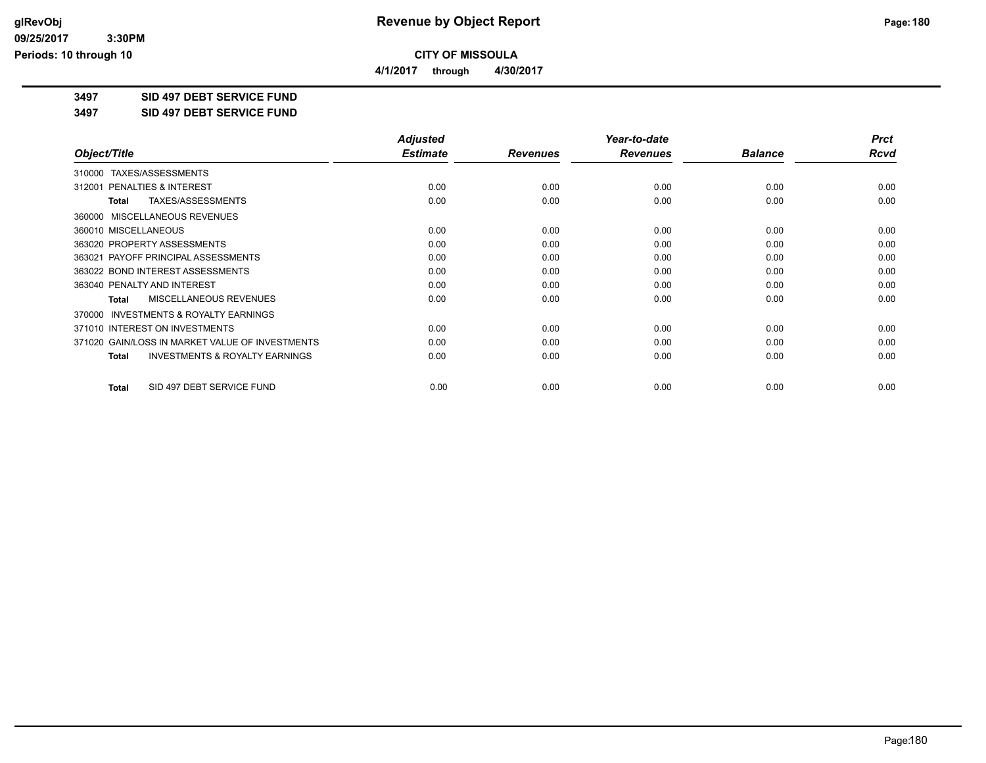**4/1/2017 through 4/30/2017**

**3497 SID 497 DEBT SERVICE FUND**

**3497 SID 497 DEBT SERVICE FUND**

|                                                           | <b>Adjusted</b> |                 | Year-to-date    |                | <b>Prct</b> |
|-----------------------------------------------------------|-----------------|-----------------|-----------------|----------------|-------------|
| Object/Title                                              | <b>Estimate</b> | <b>Revenues</b> | <b>Revenues</b> | <b>Balance</b> | Rcvd        |
| TAXES/ASSESSMENTS<br>310000                               |                 |                 |                 |                |             |
| 312001 PENALTIES & INTEREST                               | 0.00            | 0.00            | 0.00            | 0.00           | 0.00        |
| TAXES/ASSESSMENTS<br><b>Total</b>                         | 0.00            | 0.00            | 0.00            | 0.00           | 0.00        |
| MISCELLANEOUS REVENUES<br>360000                          |                 |                 |                 |                |             |
| 360010 MISCELLANEOUS                                      | 0.00            | 0.00            | 0.00            | 0.00           | 0.00        |
| 363020 PROPERTY ASSESSMENTS                               | 0.00            | 0.00            | 0.00            | 0.00           | 0.00        |
| 363021 PAYOFF PRINCIPAL ASSESSMENTS                       | 0.00            | 0.00            | 0.00            | 0.00           | 0.00        |
| 363022 BOND INTEREST ASSESSMENTS                          | 0.00            | 0.00            | 0.00            | 0.00           | 0.00        |
| 363040 PENALTY AND INTEREST                               | 0.00            | 0.00            | 0.00            | 0.00           | 0.00        |
| <b>MISCELLANEOUS REVENUES</b><br>Total                    | 0.00            | 0.00            | 0.00            | 0.00           | 0.00        |
| <b>INVESTMENTS &amp; ROYALTY EARNINGS</b><br>370000       |                 |                 |                 |                |             |
| 371010 INTEREST ON INVESTMENTS                            | 0.00            | 0.00            | 0.00            | 0.00           | 0.00        |
| 371020 GAIN/LOSS IN MARKET VALUE OF INVESTMENTS           | 0.00            | 0.00            | 0.00            | 0.00           | 0.00        |
| <b>INVESTMENTS &amp; ROYALTY EARNINGS</b><br><b>Total</b> | 0.00            | 0.00            | 0.00            | 0.00           | 0.00        |
| SID 497 DEBT SERVICE FUND<br><b>Total</b>                 | 0.00            | 0.00            | 0.00            | 0.00           | 0.00        |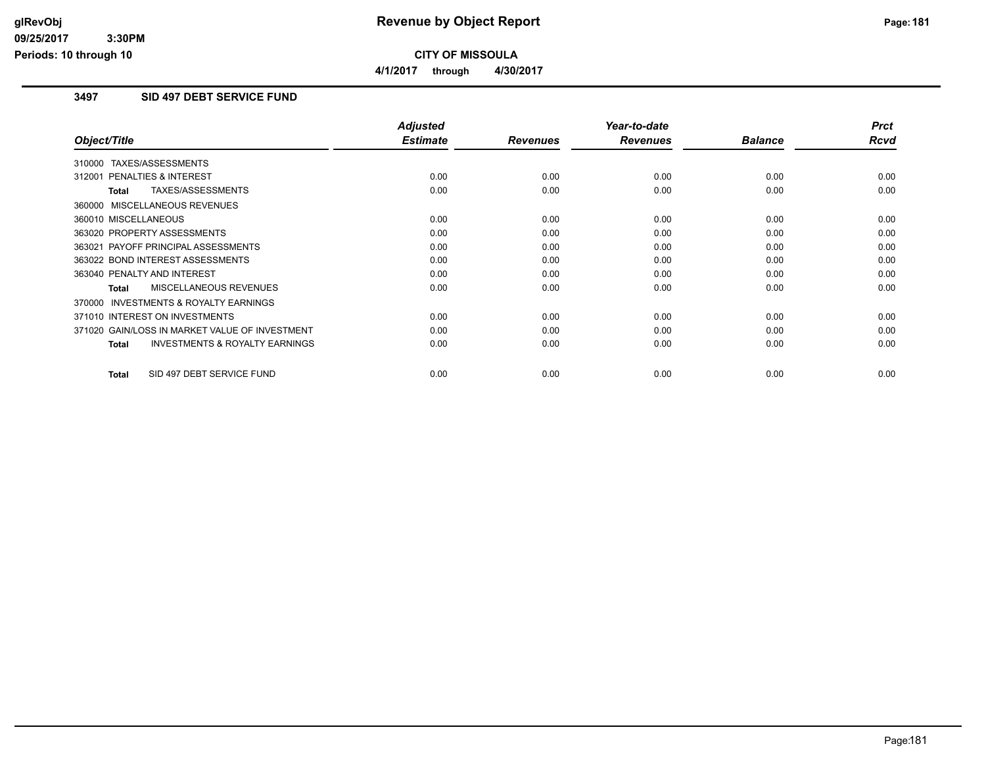**4/1/2017 through 4/30/2017**

# **3497 SID 497 DEBT SERVICE FUND**

| Object/Title                                              | <b>Adjusted</b><br><b>Estimate</b> | <b>Revenues</b> | Year-to-date<br><b>Revenues</b> | <b>Balance</b> | <b>Prct</b><br><b>Rcvd</b> |
|-----------------------------------------------------------|------------------------------------|-----------------|---------------------------------|----------------|----------------------------|
|                                                           |                                    |                 |                                 |                |                            |
| 310000 TAXES/ASSESSMENTS                                  |                                    |                 |                                 |                |                            |
| 312001 PENALTIES & INTEREST                               | 0.00                               | 0.00            | 0.00                            | 0.00           | 0.00                       |
| TAXES/ASSESSMENTS<br><b>Total</b>                         | 0.00                               | 0.00            | 0.00                            | 0.00           | 0.00                       |
| 360000 MISCELLANEOUS REVENUES                             |                                    |                 |                                 |                |                            |
| 360010 MISCELLANEOUS                                      | 0.00                               | 0.00            | 0.00                            | 0.00           | 0.00                       |
| 363020 PROPERTY ASSESSMENTS                               | 0.00                               | 0.00            | 0.00                            | 0.00           | 0.00                       |
| 363021 PAYOFF PRINCIPAL ASSESSMENTS                       | 0.00                               | 0.00            | 0.00                            | 0.00           | 0.00                       |
| 363022 BOND INTEREST ASSESSMENTS                          | 0.00                               | 0.00            | 0.00                            | 0.00           | 0.00                       |
| 363040 PENALTY AND INTEREST                               | 0.00                               | 0.00            | 0.00                            | 0.00           | 0.00                       |
| MISCELLANEOUS REVENUES<br><b>Total</b>                    | 0.00                               | 0.00            | 0.00                            | 0.00           | 0.00                       |
| INVESTMENTS & ROYALTY EARNINGS<br>370000                  |                                    |                 |                                 |                |                            |
| 371010 INTEREST ON INVESTMENTS                            | 0.00                               | 0.00            | 0.00                            | 0.00           | 0.00                       |
| 371020 GAIN/LOSS IN MARKET VALUE OF INVESTMENT            | 0.00                               | 0.00            | 0.00                            | 0.00           | 0.00                       |
| <b>INVESTMENTS &amp; ROYALTY EARNINGS</b><br><b>Total</b> | 0.00                               | 0.00            | 0.00                            | 0.00           | 0.00                       |
| SID 497 DEBT SERVICE FUND<br><b>Total</b>                 | 0.00                               | 0.00            | 0.00                            | 0.00           | 0.00                       |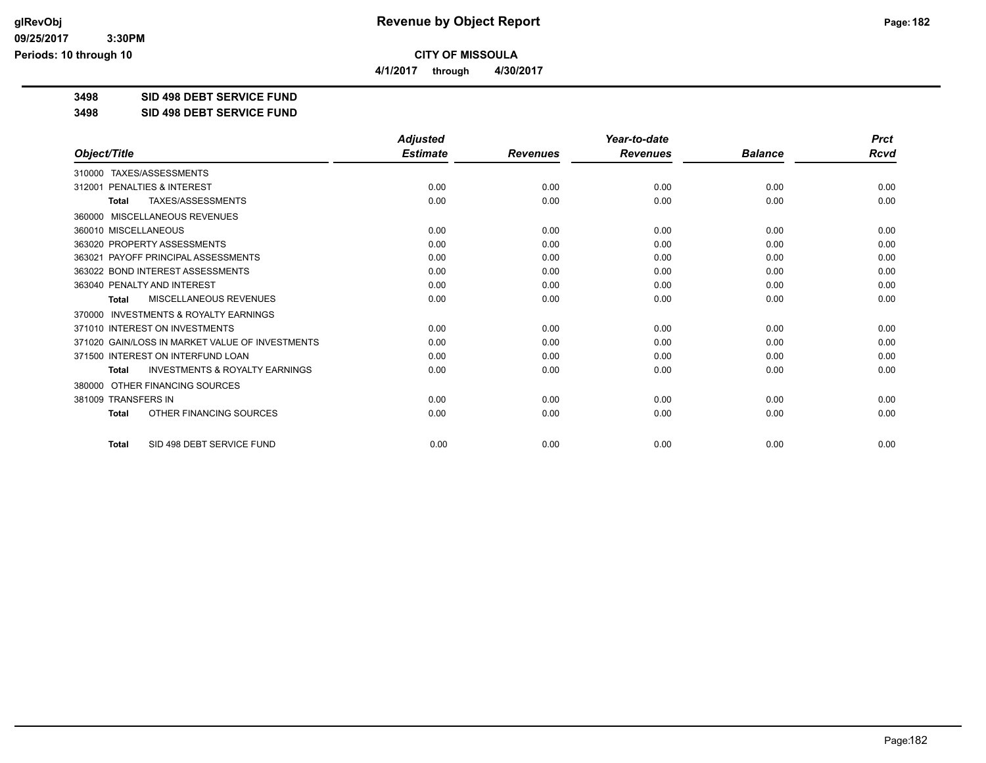**4/1/2017 through 4/30/2017**

**3498 SID 498 DEBT SERVICE FUND**

**3498 SID 498 DEBT SERVICE FUND**

|                                                           | <b>Adjusted</b> |                 | Year-to-date    |                | <b>Prct</b> |
|-----------------------------------------------------------|-----------------|-----------------|-----------------|----------------|-------------|
| Object/Title                                              | <b>Estimate</b> | <b>Revenues</b> | <b>Revenues</b> | <b>Balance</b> | <b>Rcvd</b> |
| TAXES/ASSESSMENTS<br>310000                               |                 |                 |                 |                |             |
| 312001 PENALTIES & INTEREST                               | 0.00            | 0.00            | 0.00            | 0.00           | 0.00        |
| <b>TAXES/ASSESSMENTS</b><br><b>Total</b>                  | 0.00            | 0.00            | 0.00            | 0.00           | 0.00        |
| MISCELLANEOUS REVENUES<br>360000                          |                 |                 |                 |                |             |
| 360010 MISCELLANEOUS                                      | 0.00            | 0.00            | 0.00            | 0.00           | 0.00        |
| 363020 PROPERTY ASSESSMENTS                               | 0.00            | 0.00            | 0.00            | 0.00           | 0.00        |
| 363021 PAYOFF PRINCIPAL ASSESSMENTS                       | 0.00            | 0.00            | 0.00            | 0.00           | 0.00        |
| 363022 BOND INTEREST ASSESSMENTS                          | 0.00            | 0.00            | 0.00            | 0.00           | 0.00        |
| 363040 PENALTY AND INTEREST                               | 0.00            | 0.00            | 0.00            | 0.00           | 0.00        |
| <b>MISCELLANEOUS REVENUES</b><br><b>Total</b>             | 0.00            | 0.00            | 0.00            | 0.00           | 0.00        |
| <b>INVESTMENTS &amp; ROYALTY EARNINGS</b><br>370000       |                 |                 |                 |                |             |
| 371010 INTEREST ON INVESTMENTS                            | 0.00            | 0.00            | 0.00            | 0.00           | 0.00        |
| 371020 GAIN/LOSS IN MARKET VALUE OF INVESTMENTS           | 0.00            | 0.00            | 0.00            | 0.00           | 0.00        |
| 371500 INTEREST ON INTERFUND LOAN                         | 0.00            | 0.00            | 0.00            | 0.00           | 0.00        |
| <b>INVESTMENTS &amp; ROYALTY EARNINGS</b><br><b>Total</b> | 0.00            | 0.00            | 0.00            | 0.00           | 0.00        |
| OTHER FINANCING SOURCES<br>380000                         |                 |                 |                 |                |             |
| 381009 TRANSFERS IN                                       | 0.00            | 0.00            | 0.00            | 0.00           | 0.00        |
| OTHER FINANCING SOURCES<br><b>Total</b>                   | 0.00            | 0.00            | 0.00            | 0.00           | 0.00        |
| SID 498 DEBT SERVICE FUND<br>Total                        | 0.00            | 0.00            | 0.00            | 0.00           | 0.00        |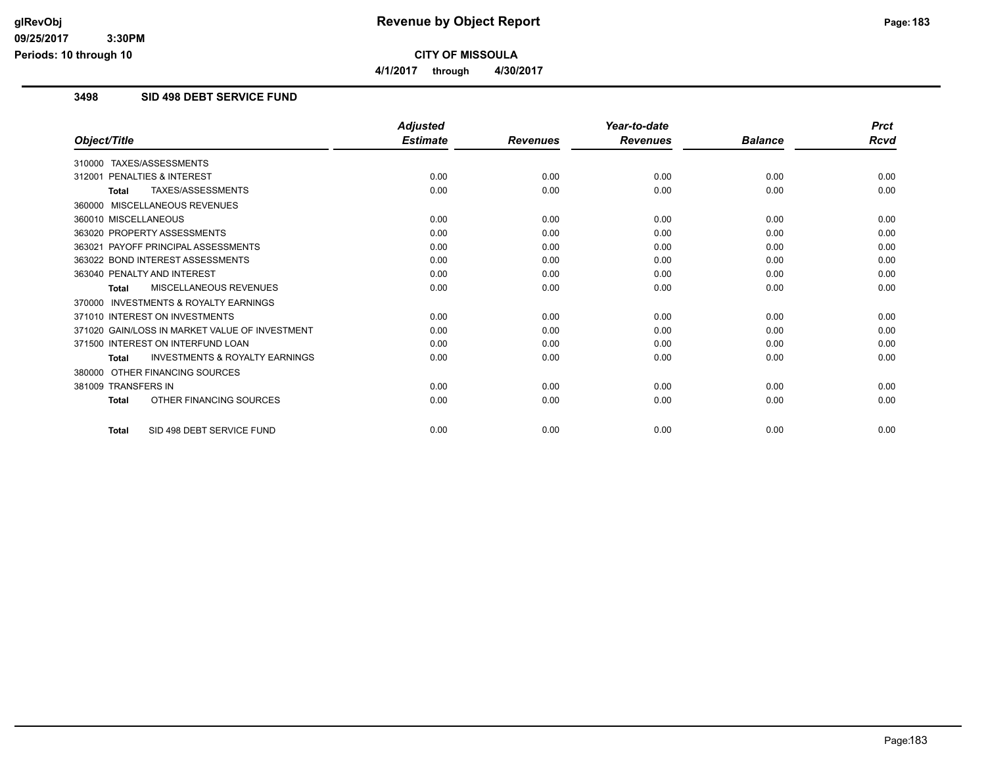**Periods: 10 through 10**

**CITY OF MISSOULA**

**4/1/2017 through 4/30/2017**

# **3498 SID 498 DEBT SERVICE FUND**

|                                                           | <b>Adjusted</b> |                 | Year-to-date    |                | <b>Prct</b> |
|-----------------------------------------------------------|-----------------|-----------------|-----------------|----------------|-------------|
| Object/Title                                              | <b>Estimate</b> | <b>Revenues</b> | <b>Revenues</b> | <b>Balance</b> | <b>Rcvd</b> |
| TAXES/ASSESSMENTS<br>310000                               |                 |                 |                 |                |             |
| <b>PENALTIES &amp; INTEREST</b><br>312001                 | 0.00            | 0.00            | 0.00            | 0.00           | 0.00        |
| TAXES/ASSESSMENTS<br><b>Total</b>                         | 0.00            | 0.00            | 0.00            | 0.00           | 0.00        |
| 360000 MISCELLANEOUS REVENUES                             |                 |                 |                 |                |             |
| 360010 MISCELLANEOUS                                      | 0.00            | 0.00            | 0.00            | 0.00           | 0.00        |
| 363020 PROPERTY ASSESSMENTS                               | 0.00            | 0.00            | 0.00            | 0.00           | 0.00        |
| 363021 PAYOFF PRINCIPAL ASSESSMENTS                       | 0.00            | 0.00            | 0.00            | 0.00           | 0.00        |
| 363022 BOND INTEREST ASSESSMENTS                          | 0.00            | 0.00            | 0.00            | 0.00           | 0.00        |
| 363040 PENALTY AND INTEREST                               | 0.00            | 0.00            | 0.00            | 0.00           | 0.00        |
| <b>MISCELLANEOUS REVENUES</b><br>Total                    | 0.00            | 0.00            | 0.00            | 0.00           | 0.00        |
| 370000 INVESTMENTS & ROYALTY EARNINGS                     |                 |                 |                 |                |             |
| 371010 INTEREST ON INVESTMENTS                            | 0.00            | 0.00            | 0.00            | 0.00           | 0.00        |
| 371020 GAIN/LOSS IN MARKET VALUE OF INVESTMENT            | 0.00            | 0.00            | 0.00            | 0.00           | 0.00        |
| 371500 INTEREST ON INTERFUND LOAN                         | 0.00            | 0.00            | 0.00            | 0.00           | 0.00        |
| <b>INVESTMENTS &amp; ROYALTY EARNINGS</b><br><b>Total</b> | 0.00            | 0.00            | 0.00            | 0.00           | 0.00        |
| 380000 OTHER FINANCING SOURCES                            |                 |                 |                 |                |             |
| 381009 TRANSFERS IN                                       | 0.00            | 0.00            | 0.00            | 0.00           | 0.00        |
| OTHER FINANCING SOURCES<br><b>Total</b>                   | 0.00            | 0.00            | 0.00            | 0.00           | 0.00        |
| SID 498 DEBT SERVICE FUND<br><b>Total</b>                 | 0.00            | 0.00            | 0.00            | 0.00           | 0.00        |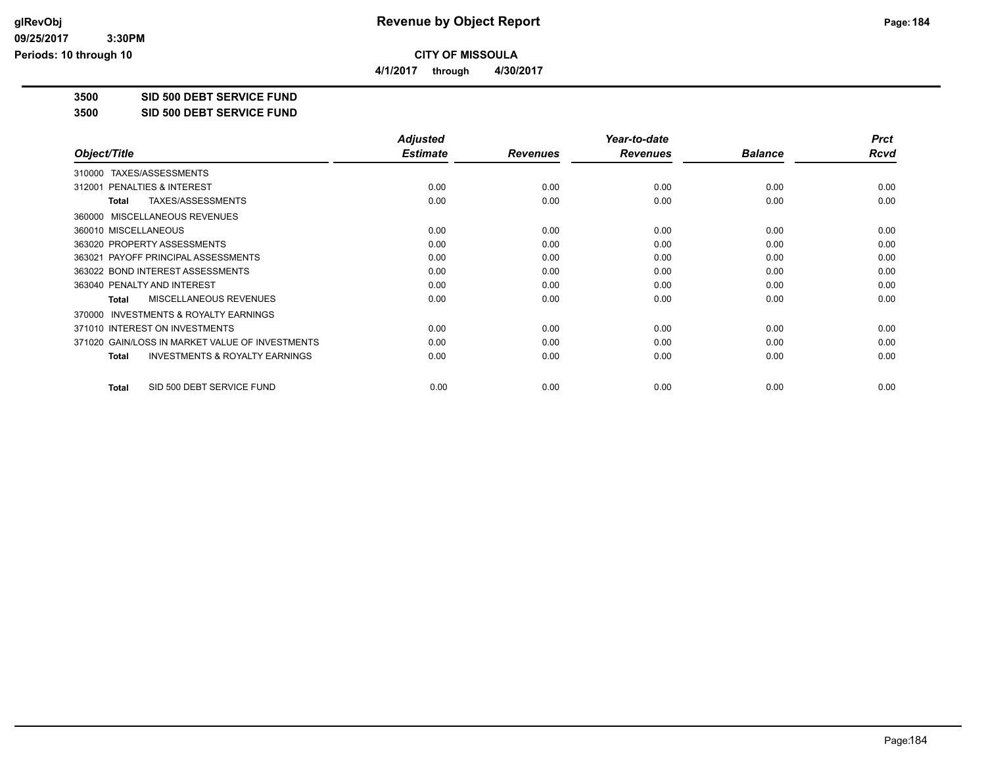**4/1/2017 through 4/30/2017**

**3500 SID 500 DEBT SERVICE FUND**

**3500 SID 500 DEBT SERVICE FUND**

|                                                           | <b>Adjusted</b> |                 | Year-to-date    |                | <b>Prct</b> |
|-----------------------------------------------------------|-----------------|-----------------|-----------------|----------------|-------------|
| Object/Title                                              | <b>Estimate</b> | <b>Revenues</b> | <b>Revenues</b> | <b>Balance</b> | Rcvd        |
| 310000 TAXES/ASSESSMENTS                                  |                 |                 |                 |                |             |
| 312001 PENALTIES & INTEREST                               | 0.00            | 0.00            | 0.00            | 0.00           | 0.00        |
| TAXES/ASSESSMENTS<br><b>Total</b>                         | 0.00            | 0.00            | 0.00            | 0.00           | 0.00        |
| MISCELLANEOUS REVENUES<br>360000                          |                 |                 |                 |                |             |
| 360010 MISCELLANEOUS                                      | 0.00            | 0.00            | 0.00            | 0.00           | 0.00        |
| 363020 PROPERTY ASSESSMENTS                               | 0.00            | 0.00            | 0.00            | 0.00           | 0.00        |
| 363021 PAYOFF PRINCIPAL ASSESSMENTS                       | 0.00            | 0.00            | 0.00            | 0.00           | 0.00        |
| 363022 BOND INTEREST ASSESSMENTS                          | 0.00            | 0.00            | 0.00            | 0.00           | 0.00        |
| 363040 PENALTY AND INTEREST                               | 0.00            | 0.00            | 0.00            | 0.00           | 0.00        |
| <b>MISCELLANEOUS REVENUES</b><br>Total                    | 0.00            | 0.00            | 0.00            | 0.00           | 0.00        |
| 370000 INVESTMENTS & ROYALTY EARNINGS                     |                 |                 |                 |                |             |
| 371010 INTEREST ON INVESTMENTS                            | 0.00            | 0.00            | 0.00            | 0.00           | 0.00        |
| 371020 GAIN/LOSS IN MARKET VALUE OF INVESTMENTS           | 0.00            | 0.00            | 0.00            | 0.00           | 0.00        |
| <b>INVESTMENTS &amp; ROYALTY EARNINGS</b><br><b>Total</b> | 0.00            | 0.00            | 0.00            | 0.00           | 0.00        |
| SID 500 DEBT SERVICE FUND<br><b>Total</b>                 | 0.00            | 0.00            | 0.00            | 0.00           | 0.00        |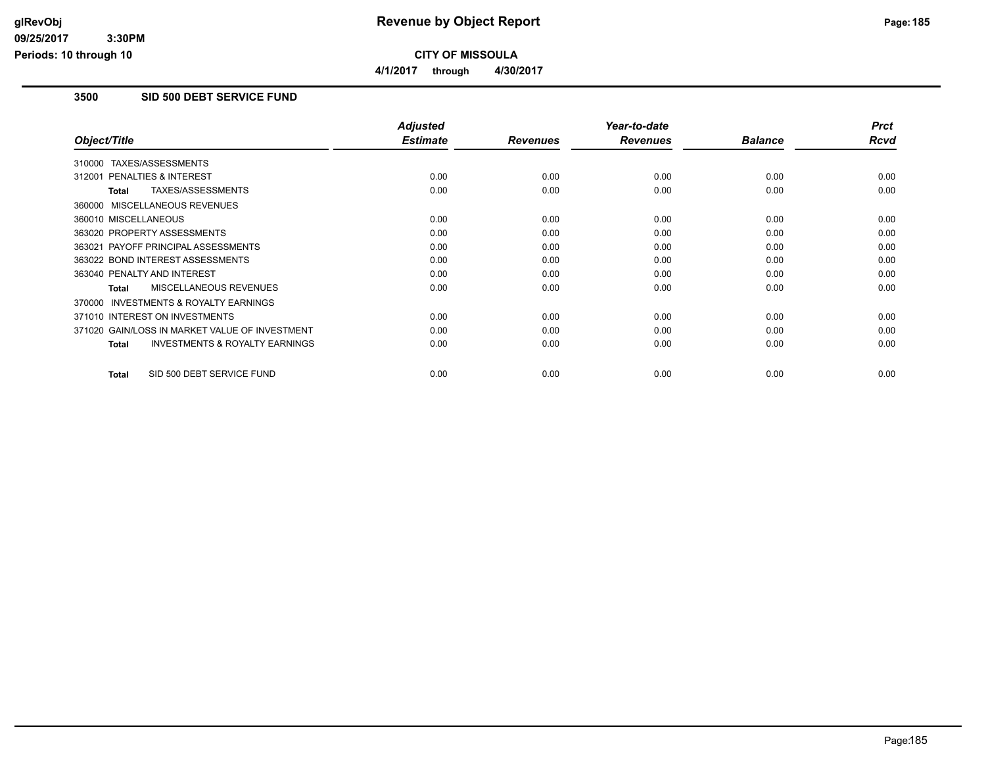**4/1/2017 through 4/30/2017**

# **3500 SID 500 DEBT SERVICE FUND**

|                                                           | <b>Adjusted</b> |                 | Year-to-date    |                | <b>Prct</b> |
|-----------------------------------------------------------|-----------------|-----------------|-----------------|----------------|-------------|
| Object/Title                                              | <b>Estimate</b> | <b>Revenues</b> | <b>Revenues</b> | <b>Balance</b> | <b>Rcvd</b> |
| 310000 TAXES/ASSESSMENTS                                  |                 |                 |                 |                |             |
| 312001 PENALTIES & INTEREST                               | 0.00            | 0.00            | 0.00            | 0.00           | 0.00        |
| TAXES/ASSESSMENTS<br><b>Total</b>                         | 0.00            | 0.00            | 0.00            | 0.00           | 0.00        |
| 360000 MISCELLANEOUS REVENUES                             |                 |                 |                 |                |             |
| 360010 MISCELLANEOUS                                      | 0.00            | 0.00            | 0.00            | 0.00           | 0.00        |
| 363020 PROPERTY ASSESSMENTS                               | 0.00            | 0.00            | 0.00            | 0.00           | 0.00        |
| 363021 PAYOFF PRINCIPAL ASSESSMENTS                       | 0.00            | 0.00            | 0.00            | 0.00           | 0.00        |
| 363022 BOND INTEREST ASSESSMENTS                          | 0.00            | 0.00            | 0.00            | 0.00           | 0.00        |
| 363040 PENALTY AND INTEREST                               | 0.00            | 0.00            | 0.00            | 0.00           | 0.00        |
| MISCELLANEOUS REVENUES<br>Total                           | 0.00            | 0.00            | 0.00            | 0.00           | 0.00        |
| INVESTMENTS & ROYALTY EARNINGS<br>370000                  |                 |                 |                 |                |             |
| 371010 INTEREST ON INVESTMENTS                            | 0.00            | 0.00            | 0.00            | 0.00           | 0.00        |
| 371020 GAIN/LOSS IN MARKET VALUE OF INVESTMENT            | 0.00            | 0.00            | 0.00            | 0.00           | 0.00        |
| <b>INVESTMENTS &amp; ROYALTY EARNINGS</b><br><b>Total</b> | 0.00            | 0.00            | 0.00            | 0.00           | 0.00        |
| SID 500 DEBT SERVICE FUND<br><b>Total</b>                 | 0.00            | 0.00            | 0.00            | 0.00           | 0.00        |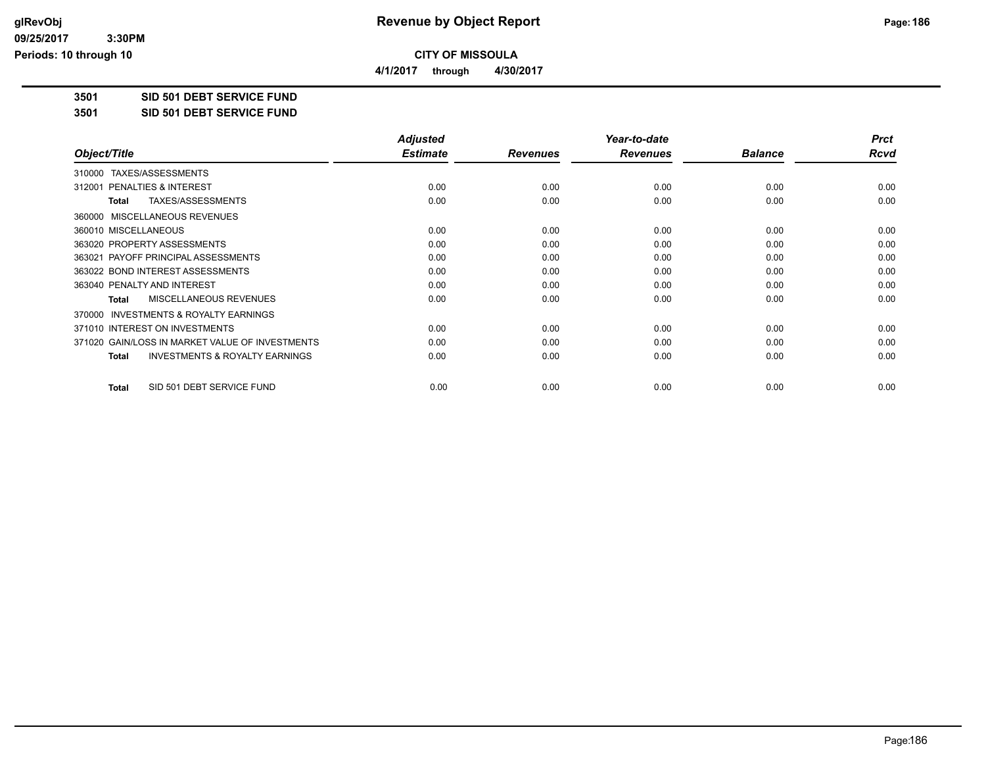**4/1/2017 through 4/30/2017**

**3501 SID 501 DEBT SERVICE FUND**

**3501 SID 501 DEBT SERVICE FUND**

|                                                           | <b>Adjusted</b> |                 | Year-to-date    |                | <b>Prct</b> |
|-----------------------------------------------------------|-----------------|-----------------|-----------------|----------------|-------------|
| Object/Title                                              | <b>Estimate</b> | <b>Revenues</b> | <b>Revenues</b> | <b>Balance</b> | Rcvd        |
| TAXES/ASSESSMENTS<br>310000                               |                 |                 |                 |                |             |
| 312001 PENALTIES & INTEREST                               | 0.00            | 0.00            | 0.00            | 0.00           | 0.00        |
| TAXES/ASSESSMENTS<br><b>Total</b>                         | 0.00            | 0.00            | 0.00            | 0.00           | 0.00        |
| MISCELLANEOUS REVENUES<br>360000                          |                 |                 |                 |                |             |
| 360010 MISCELLANEOUS                                      | 0.00            | 0.00            | 0.00            | 0.00           | 0.00        |
| 363020 PROPERTY ASSESSMENTS                               | 0.00            | 0.00            | 0.00            | 0.00           | 0.00        |
| 363021 PAYOFF PRINCIPAL ASSESSMENTS                       | 0.00            | 0.00            | 0.00            | 0.00           | 0.00        |
| 363022 BOND INTEREST ASSESSMENTS                          | 0.00            | 0.00            | 0.00            | 0.00           | 0.00        |
| 363040 PENALTY AND INTEREST                               | 0.00            | 0.00            | 0.00            | 0.00           | 0.00        |
| <b>MISCELLANEOUS REVENUES</b><br>Total                    | 0.00            | 0.00            | 0.00            | 0.00           | 0.00        |
| <b>INVESTMENTS &amp; ROYALTY EARNINGS</b><br>370000       |                 |                 |                 |                |             |
| 371010 INTEREST ON INVESTMENTS                            | 0.00            | 0.00            | 0.00            | 0.00           | 0.00        |
| 371020 GAIN/LOSS IN MARKET VALUE OF INVESTMENTS           | 0.00            | 0.00            | 0.00            | 0.00           | 0.00        |
| <b>INVESTMENTS &amp; ROYALTY EARNINGS</b><br><b>Total</b> | 0.00            | 0.00            | 0.00            | 0.00           | 0.00        |
| SID 501 DEBT SERVICE FUND<br><b>Total</b>                 | 0.00            | 0.00            | 0.00            | 0.00           | 0.00        |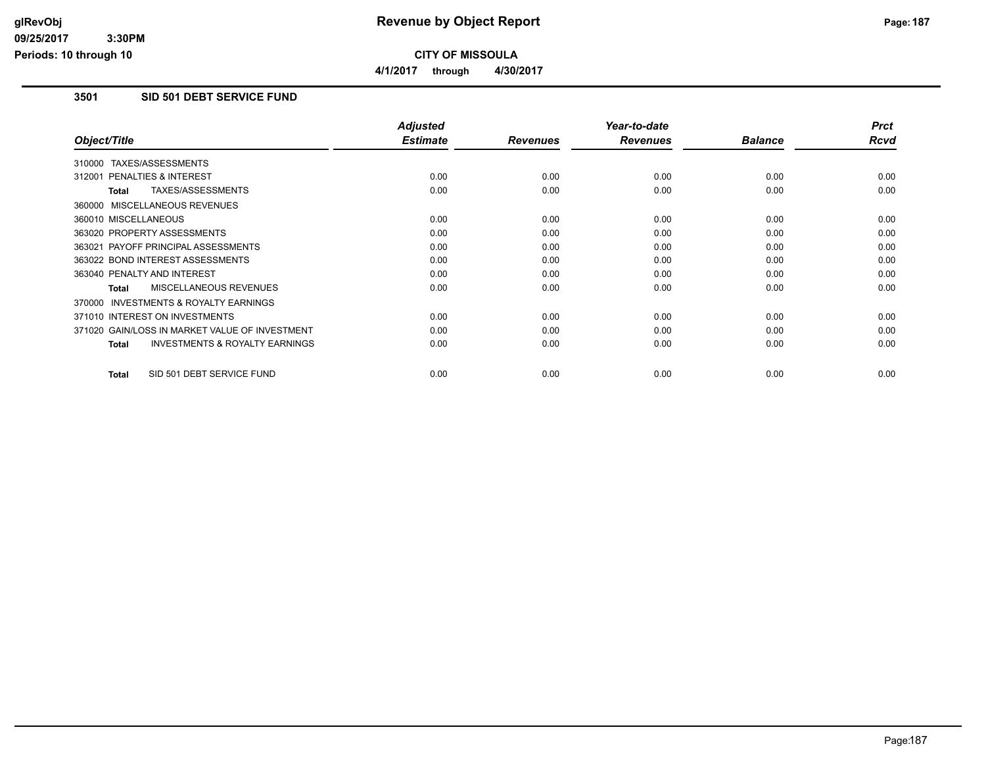**4/1/2017 through 4/30/2017**

# **3501 SID 501 DEBT SERVICE FUND**

|                                                           | <b>Adjusted</b> |                 | Year-to-date    |                | <b>Prct</b> |
|-----------------------------------------------------------|-----------------|-----------------|-----------------|----------------|-------------|
| Object/Title                                              | <b>Estimate</b> | <b>Revenues</b> | <b>Revenues</b> | <b>Balance</b> | Rcvd        |
| TAXES/ASSESSMENTS<br>310000                               |                 |                 |                 |                |             |
| 312001 PENALTIES & INTEREST                               | 0.00            | 0.00            | 0.00            | 0.00           | 0.00        |
| TAXES/ASSESSMENTS<br><b>Total</b>                         | 0.00            | 0.00            | 0.00            | 0.00           | 0.00        |
| 360000 MISCELLANEOUS REVENUES                             |                 |                 |                 |                |             |
| 360010 MISCELLANEOUS                                      | 0.00            | 0.00            | 0.00            | 0.00           | 0.00        |
| 363020 PROPERTY ASSESSMENTS                               | 0.00            | 0.00            | 0.00            | 0.00           | 0.00        |
| 363021 PAYOFF PRINCIPAL ASSESSMENTS                       | 0.00            | 0.00            | 0.00            | 0.00           | 0.00        |
| 363022 BOND INTEREST ASSESSMENTS                          | 0.00            | 0.00            | 0.00            | 0.00           | 0.00        |
| 363040 PENALTY AND INTEREST                               | 0.00            | 0.00            | 0.00            | 0.00           | 0.00        |
| <b>MISCELLANEOUS REVENUES</b><br><b>Total</b>             | 0.00            | 0.00            | 0.00            | 0.00           | 0.00        |
| 370000 INVESTMENTS & ROYALTY EARNINGS                     |                 |                 |                 |                |             |
| 371010 INTEREST ON INVESTMENTS                            | 0.00            | 0.00            | 0.00            | 0.00           | 0.00        |
| 371020 GAIN/LOSS IN MARKET VALUE OF INVESTMENT            | 0.00            | 0.00            | 0.00            | 0.00           | 0.00        |
| <b>INVESTMENTS &amp; ROYALTY EARNINGS</b><br><b>Total</b> | 0.00            | 0.00            | 0.00            | 0.00           | 0.00        |
| SID 501 DEBT SERVICE FUND<br><b>Total</b>                 | 0.00            | 0.00            | 0.00            | 0.00           | 0.00        |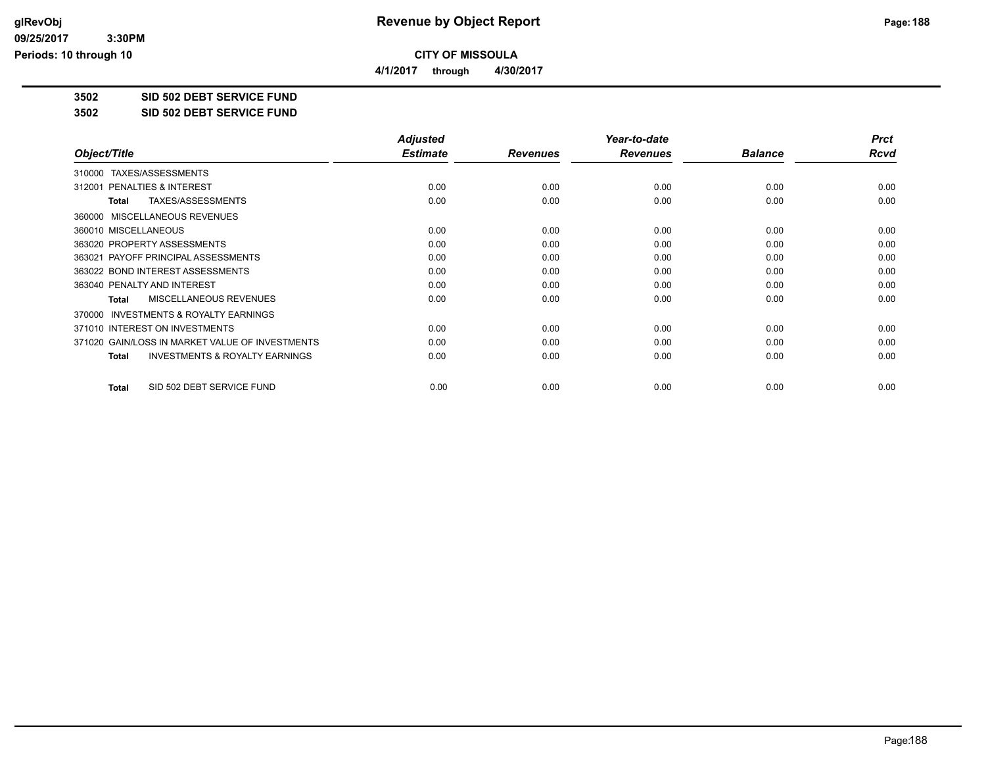**4/1/2017 through 4/30/2017**

**3502 SID 502 DEBT SERVICE FUND**

**3502 SID 502 DEBT SERVICE FUND**

|                                                           | <b>Adjusted</b> |                 | Year-to-date    |                | <b>Prct</b> |
|-----------------------------------------------------------|-----------------|-----------------|-----------------|----------------|-------------|
| Object/Title                                              | <b>Estimate</b> | <b>Revenues</b> | <b>Revenues</b> | <b>Balance</b> | Rcvd        |
| TAXES/ASSESSMENTS<br>310000                               |                 |                 |                 |                |             |
| 312001 PENALTIES & INTEREST                               | 0.00            | 0.00            | 0.00            | 0.00           | 0.00        |
| TAXES/ASSESSMENTS<br><b>Total</b>                         | 0.00            | 0.00            | 0.00            | 0.00           | 0.00        |
| MISCELLANEOUS REVENUES<br>360000                          |                 |                 |                 |                |             |
| 360010 MISCELLANEOUS                                      | 0.00            | 0.00            | 0.00            | 0.00           | 0.00        |
| 363020 PROPERTY ASSESSMENTS                               | 0.00            | 0.00            | 0.00            | 0.00           | 0.00        |
| 363021 PAYOFF PRINCIPAL ASSESSMENTS                       | 0.00            | 0.00            | 0.00            | 0.00           | 0.00        |
| 363022 BOND INTEREST ASSESSMENTS                          | 0.00            | 0.00            | 0.00            | 0.00           | 0.00        |
| 363040 PENALTY AND INTEREST                               | 0.00            | 0.00            | 0.00            | 0.00           | 0.00        |
| <b>MISCELLANEOUS REVENUES</b><br><b>Total</b>             | 0.00            | 0.00            | 0.00            | 0.00           | 0.00        |
| 370000 INVESTMENTS & ROYALTY EARNINGS                     |                 |                 |                 |                |             |
| 371010 INTEREST ON INVESTMENTS                            | 0.00            | 0.00            | 0.00            | 0.00           | 0.00        |
| 371020 GAIN/LOSS IN MARKET VALUE OF INVESTMENTS           | 0.00            | 0.00            | 0.00            | 0.00           | 0.00        |
| <b>INVESTMENTS &amp; ROYALTY EARNINGS</b><br><b>Total</b> | 0.00            | 0.00            | 0.00            | 0.00           | 0.00        |
| SID 502 DEBT SERVICE FUND<br><b>Total</b>                 | 0.00            | 0.00            | 0.00            | 0.00           | 0.00        |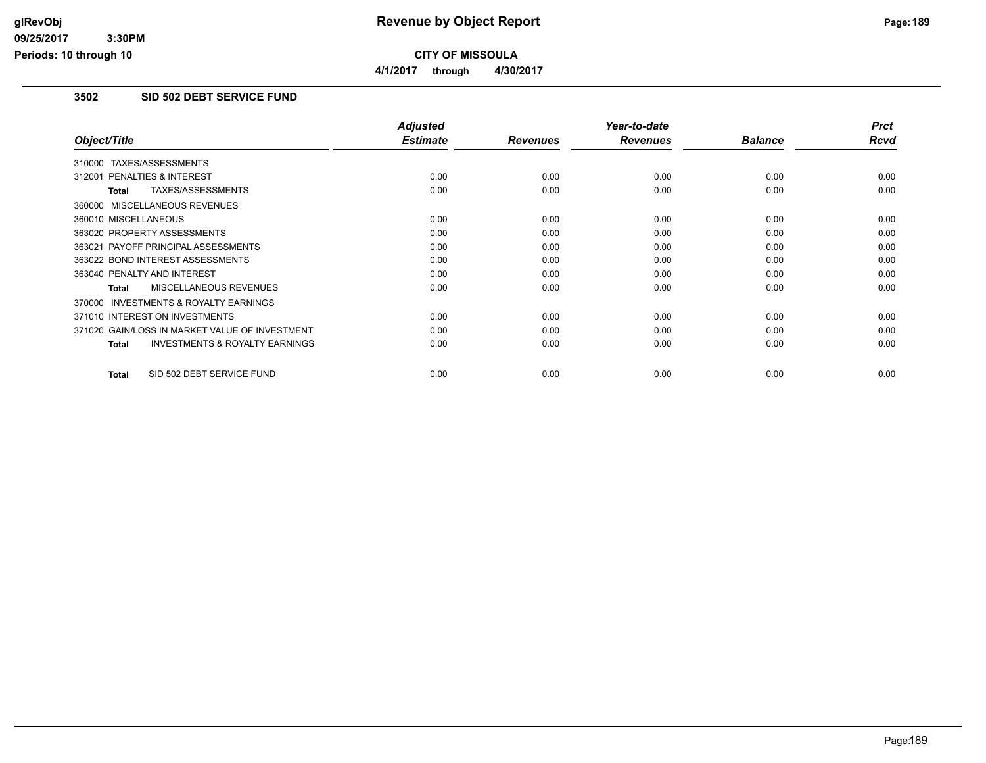**4/1/2017 through 4/30/2017**

## **3502 SID 502 DEBT SERVICE FUND**

|                                                           | <b>Adjusted</b><br><b>Estimate</b> |                 | Year-to-date    |                | <b>Prct</b> |
|-----------------------------------------------------------|------------------------------------|-----------------|-----------------|----------------|-------------|
| Object/Title                                              |                                    | <b>Revenues</b> | <b>Revenues</b> | <b>Balance</b> | <b>Rcvd</b> |
| 310000 TAXES/ASSESSMENTS                                  |                                    |                 |                 |                |             |
| 312001 PENALTIES & INTEREST                               | 0.00                               | 0.00            | 0.00            | 0.00           | 0.00        |
| TAXES/ASSESSMENTS<br><b>Total</b>                         | 0.00                               | 0.00            | 0.00            | 0.00           | 0.00        |
| 360000 MISCELLANEOUS REVENUES                             |                                    |                 |                 |                |             |
| 360010 MISCELLANEOUS                                      | 0.00                               | 0.00            | 0.00            | 0.00           | 0.00        |
| 363020 PROPERTY ASSESSMENTS                               | 0.00                               | 0.00            | 0.00            | 0.00           | 0.00        |
| 363021 PAYOFF PRINCIPAL ASSESSMENTS                       | 0.00                               | 0.00            | 0.00            | 0.00           | 0.00        |
| 363022 BOND INTEREST ASSESSMENTS                          | 0.00                               | 0.00            | 0.00            | 0.00           | 0.00        |
| 363040 PENALTY AND INTEREST                               | 0.00                               | 0.00            | 0.00            | 0.00           | 0.00        |
| MISCELLANEOUS REVENUES<br>Total                           | 0.00                               | 0.00            | 0.00            | 0.00           | 0.00        |
| <b>INVESTMENTS &amp; ROYALTY EARNINGS</b><br>370000       |                                    |                 |                 |                |             |
| 371010 INTEREST ON INVESTMENTS                            | 0.00                               | 0.00            | 0.00            | 0.00           | 0.00        |
| 371020 GAIN/LOSS IN MARKET VALUE OF INVESTMENT            | 0.00                               | 0.00            | 0.00            | 0.00           | 0.00        |
| <b>INVESTMENTS &amp; ROYALTY EARNINGS</b><br><b>Total</b> | 0.00                               | 0.00            | 0.00            | 0.00           | 0.00        |
|                                                           |                                    |                 |                 |                |             |
| SID 502 DEBT SERVICE FUND<br><b>Total</b>                 | 0.00                               | 0.00            | 0.00            | 0.00           | 0.00        |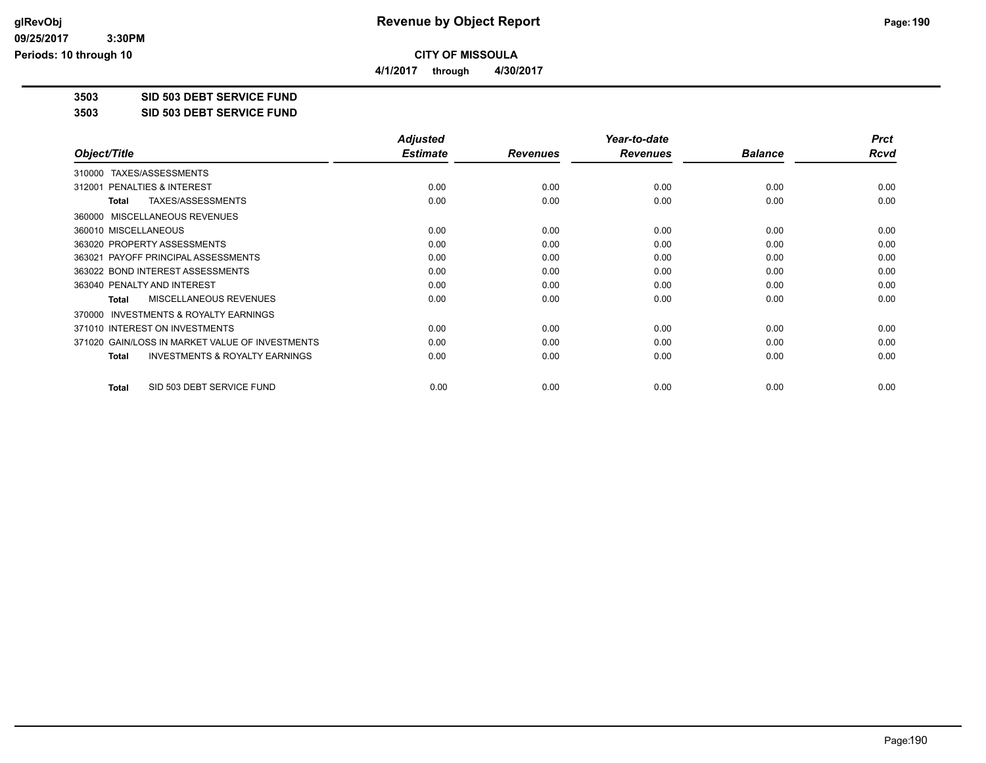**4/1/2017 through 4/30/2017**

**3503 SID 503 DEBT SERVICE FUND**

**3503 SID 503 DEBT SERVICE FUND**

|                                                           | <b>Adjusted</b> |                 | Year-to-date    |                | <b>Prct</b> |
|-----------------------------------------------------------|-----------------|-----------------|-----------------|----------------|-------------|
| Object/Title                                              | <b>Estimate</b> | <b>Revenues</b> | <b>Revenues</b> | <b>Balance</b> | Rcvd        |
| TAXES/ASSESSMENTS<br>310000                               |                 |                 |                 |                |             |
| 312001 PENALTIES & INTEREST                               | 0.00            | 0.00            | 0.00            | 0.00           | 0.00        |
| TAXES/ASSESSMENTS<br>Total                                | 0.00            | 0.00            | 0.00            | 0.00           | 0.00        |
| MISCELLANEOUS REVENUES<br>360000                          |                 |                 |                 |                |             |
| 360010 MISCELLANEOUS                                      | 0.00            | 0.00            | 0.00            | 0.00           | 0.00        |
| 363020 PROPERTY ASSESSMENTS                               | 0.00            | 0.00            | 0.00            | 0.00           | 0.00        |
| 363021 PAYOFF PRINCIPAL ASSESSMENTS                       | 0.00            | 0.00            | 0.00            | 0.00           | 0.00        |
| 363022 BOND INTEREST ASSESSMENTS                          | 0.00            | 0.00            | 0.00            | 0.00           | 0.00        |
| 363040 PENALTY AND INTEREST                               | 0.00            | 0.00            | 0.00            | 0.00           | 0.00        |
| <b>MISCELLANEOUS REVENUES</b><br><b>Total</b>             | 0.00            | 0.00            | 0.00            | 0.00           | 0.00        |
| 370000 INVESTMENTS & ROYALTY EARNINGS                     |                 |                 |                 |                |             |
| 371010 INTEREST ON INVESTMENTS                            | 0.00            | 0.00            | 0.00            | 0.00           | 0.00        |
| 371020 GAIN/LOSS IN MARKET VALUE OF INVESTMENTS           | 0.00            | 0.00            | 0.00            | 0.00           | 0.00        |
| <b>INVESTMENTS &amp; ROYALTY EARNINGS</b><br><b>Total</b> | 0.00            | 0.00            | 0.00            | 0.00           | 0.00        |
| SID 503 DEBT SERVICE FUND<br><b>Total</b>                 | 0.00            | 0.00            | 0.00            | 0.00           | 0.00        |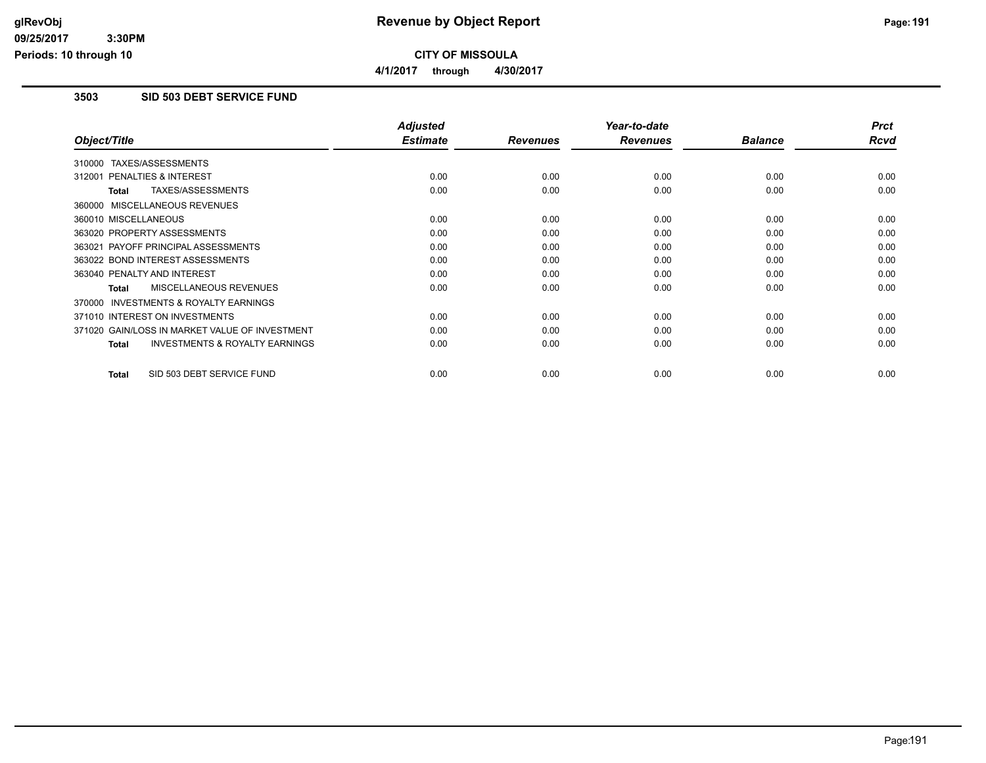**4/1/2017 through 4/30/2017**

# **3503 SID 503 DEBT SERVICE FUND**

|                                                           | <b>Adjusted</b> |                 | Year-to-date    |                | <b>Prct</b> |
|-----------------------------------------------------------|-----------------|-----------------|-----------------|----------------|-------------|
| Object/Title                                              | <b>Estimate</b> | <b>Revenues</b> | <b>Revenues</b> | <b>Balance</b> | Rcvd        |
| 310000 TAXES/ASSESSMENTS                                  |                 |                 |                 |                |             |
| 312001 PENALTIES & INTEREST                               | 0.00            | 0.00            | 0.00            | 0.00           | 0.00        |
| TAXES/ASSESSMENTS<br><b>Total</b>                         | 0.00            | 0.00            | 0.00            | 0.00           | 0.00        |
| 360000 MISCELLANEOUS REVENUES                             |                 |                 |                 |                |             |
| 360010 MISCELLANEOUS                                      | 0.00            | 0.00            | 0.00            | 0.00           | 0.00        |
| 363020 PROPERTY ASSESSMENTS                               | 0.00            | 0.00            | 0.00            | 0.00           | 0.00        |
| 363021 PAYOFF PRINCIPAL ASSESSMENTS                       | 0.00            | 0.00            | 0.00            | 0.00           | 0.00        |
| 363022 BOND INTEREST ASSESSMENTS                          | 0.00            | 0.00            | 0.00            | 0.00           | 0.00        |
| 363040 PENALTY AND INTEREST                               | 0.00            | 0.00            | 0.00            | 0.00           | 0.00        |
| MISCELLANEOUS REVENUES<br>Total                           | 0.00            | 0.00            | 0.00            | 0.00           | 0.00        |
| INVESTMENTS & ROYALTY EARNINGS<br>370000                  |                 |                 |                 |                |             |
| 371010 INTEREST ON INVESTMENTS                            | 0.00            | 0.00            | 0.00            | 0.00           | 0.00        |
| 371020 GAIN/LOSS IN MARKET VALUE OF INVESTMENT            | 0.00            | 0.00            | 0.00            | 0.00           | 0.00        |
| <b>INVESTMENTS &amp; ROYALTY EARNINGS</b><br><b>Total</b> | 0.00            | 0.00            | 0.00            | 0.00           | 0.00        |
| SID 503 DEBT SERVICE FUND<br><b>Total</b>                 | 0.00            | 0.00            | 0.00            | 0.00           | 0.00        |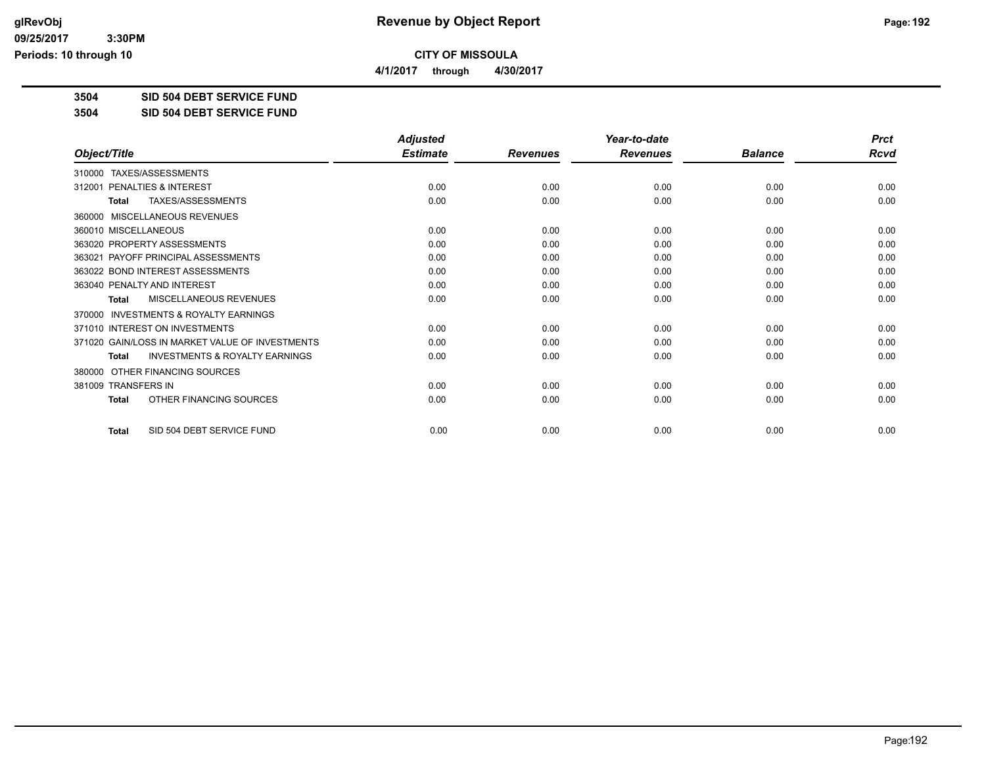**4/1/2017 through 4/30/2017**

**3504 SID 504 DEBT SERVICE FUND**

**3504 SID 504 DEBT SERVICE FUND**

|                                                           | <b>Adjusted</b> |                 | Year-to-date    |                | <b>Prct</b> |
|-----------------------------------------------------------|-----------------|-----------------|-----------------|----------------|-------------|
| Object/Title                                              | <b>Estimate</b> | <b>Revenues</b> | <b>Revenues</b> | <b>Balance</b> | <b>Rcvd</b> |
| TAXES/ASSESSMENTS<br>310000                               |                 |                 |                 |                |             |
| PENALTIES & INTEREST<br>312001                            | 0.00            | 0.00            | 0.00            | 0.00           | 0.00        |
| <b>TAXES/ASSESSMENTS</b><br>Total                         | 0.00            | 0.00            | 0.00            | 0.00           | 0.00        |
| MISCELLANEOUS REVENUES<br>360000                          |                 |                 |                 |                |             |
| 360010 MISCELLANEOUS                                      | 0.00            | 0.00            | 0.00            | 0.00           | 0.00        |
| 363020 PROPERTY ASSESSMENTS                               | 0.00            | 0.00            | 0.00            | 0.00           | 0.00        |
| 363021 PAYOFF PRINCIPAL ASSESSMENTS                       | 0.00            | 0.00            | 0.00            | 0.00           | 0.00        |
| 363022 BOND INTEREST ASSESSMENTS                          | 0.00            | 0.00            | 0.00            | 0.00           | 0.00        |
| 363040 PENALTY AND INTEREST                               | 0.00            | 0.00            | 0.00            | 0.00           | 0.00        |
| MISCELLANEOUS REVENUES<br>Total                           | 0.00            | 0.00            | 0.00            | 0.00           | 0.00        |
| <b>INVESTMENTS &amp; ROYALTY EARNINGS</b><br>370000       |                 |                 |                 |                |             |
| 371010 INTEREST ON INVESTMENTS                            | 0.00            | 0.00            | 0.00            | 0.00           | 0.00        |
| 371020 GAIN/LOSS IN MARKET VALUE OF INVESTMENTS           | 0.00            | 0.00            | 0.00            | 0.00           | 0.00        |
| <b>INVESTMENTS &amp; ROYALTY EARNINGS</b><br><b>Total</b> | 0.00            | 0.00            | 0.00            | 0.00           | 0.00        |
| OTHER FINANCING SOURCES<br>380000                         |                 |                 |                 |                |             |
| 381009 TRANSFERS IN                                       | 0.00            | 0.00            | 0.00            | 0.00           | 0.00        |
| OTHER FINANCING SOURCES<br><b>Total</b>                   | 0.00            | 0.00            | 0.00            | 0.00           | 0.00        |
| SID 504 DEBT SERVICE FUND<br><b>Total</b>                 | 0.00            | 0.00            | 0.00            | 0.00           | 0.00        |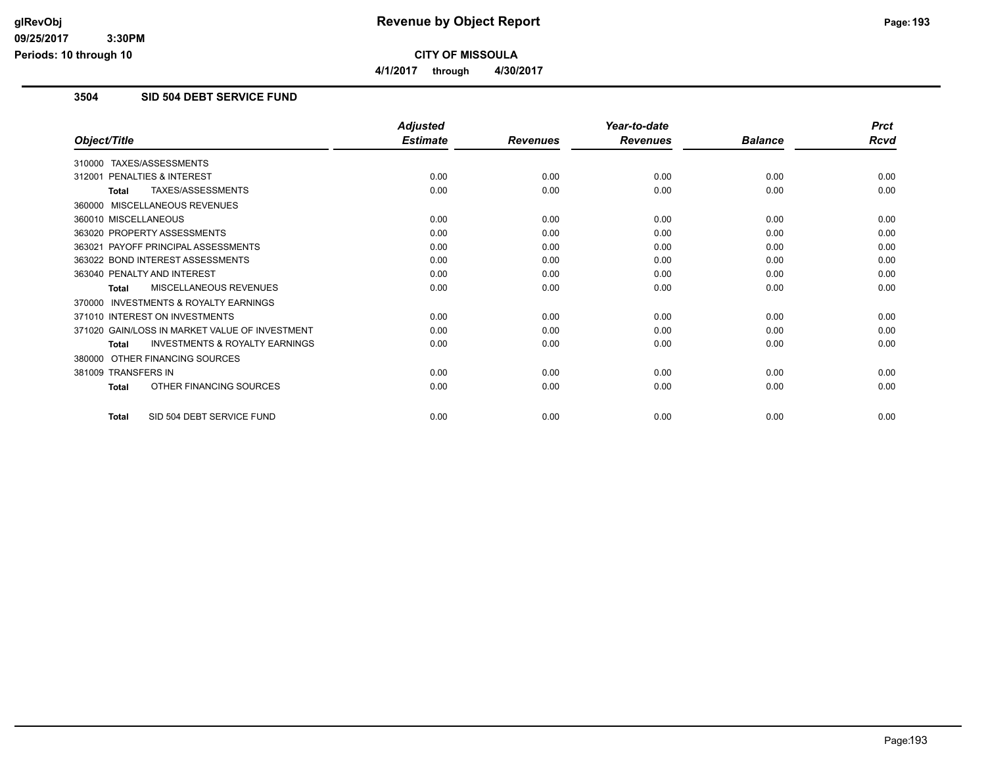**4/1/2017 through 4/30/2017**

## **3504 SID 504 DEBT SERVICE FUND**

|                                                           | <b>Adjusted</b> |                 | Year-to-date    |                | <b>Prct</b> |
|-----------------------------------------------------------|-----------------|-----------------|-----------------|----------------|-------------|
| Object/Title                                              | <b>Estimate</b> | <b>Revenues</b> | <b>Revenues</b> | <b>Balance</b> | <b>Rcvd</b> |
| 310000 TAXES/ASSESSMENTS                                  |                 |                 |                 |                |             |
| 312001 PENALTIES & INTEREST                               | 0.00            | 0.00            | 0.00            | 0.00           | 0.00        |
| TAXES/ASSESSMENTS<br>Total                                | 0.00            | 0.00            | 0.00            | 0.00           | 0.00        |
| 360000 MISCELLANEOUS REVENUES                             |                 |                 |                 |                |             |
| 360010 MISCELLANEOUS                                      | 0.00            | 0.00            | 0.00            | 0.00           | 0.00        |
| 363020 PROPERTY ASSESSMENTS                               | 0.00            | 0.00            | 0.00            | 0.00           | 0.00        |
| 363021 PAYOFF PRINCIPAL ASSESSMENTS                       | 0.00            | 0.00            | 0.00            | 0.00           | 0.00        |
| 363022 BOND INTEREST ASSESSMENTS                          | 0.00            | 0.00            | 0.00            | 0.00           | 0.00        |
| 363040 PENALTY AND INTEREST                               | 0.00            | 0.00            | 0.00            | 0.00           | 0.00        |
| MISCELLANEOUS REVENUES<br><b>Total</b>                    | 0.00            | 0.00            | 0.00            | 0.00           | 0.00        |
| <b>INVESTMENTS &amp; ROYALTY EARNINGS</b><br>370000       |                 |                 |                 |                |             |
| 371010 INTEREST ON INVESTMENTS                            | 0.00            | 0.00            | 0.00            | 0.00           | 0.00        |
| 371020 GAIN/LOSS IN MARKET VALUE OF INVESTMENT            | 0.00            | 0.00            | 0.00            | 0.00           | 0.00        |
| <b>INVESTMENTS &amp; ROYALTY EARNINGS</b><br><b>Total</b> | 0.00            | 0.00            | 0.00            | 0.00           | 0.00        |
| 380000 OTHER FINANCING SOURCES                            |                 |                 |                 |                |             |
| 381009 TRANSFERS IN                                       | 0.00            | 0.00            | 0.00            | 0.00           | 0.00        |
| OTHER FINANCING SOURCES<br><b>Total</b>                   | 0.00            | 0.00            | 0.00            | 0.00           | 0.00        |
| SID 504 DEBT SERVICE FUND<br><b>Total</b>                 | 0.00            | 0.00            | 0.00            | 0.00           | 0.00        |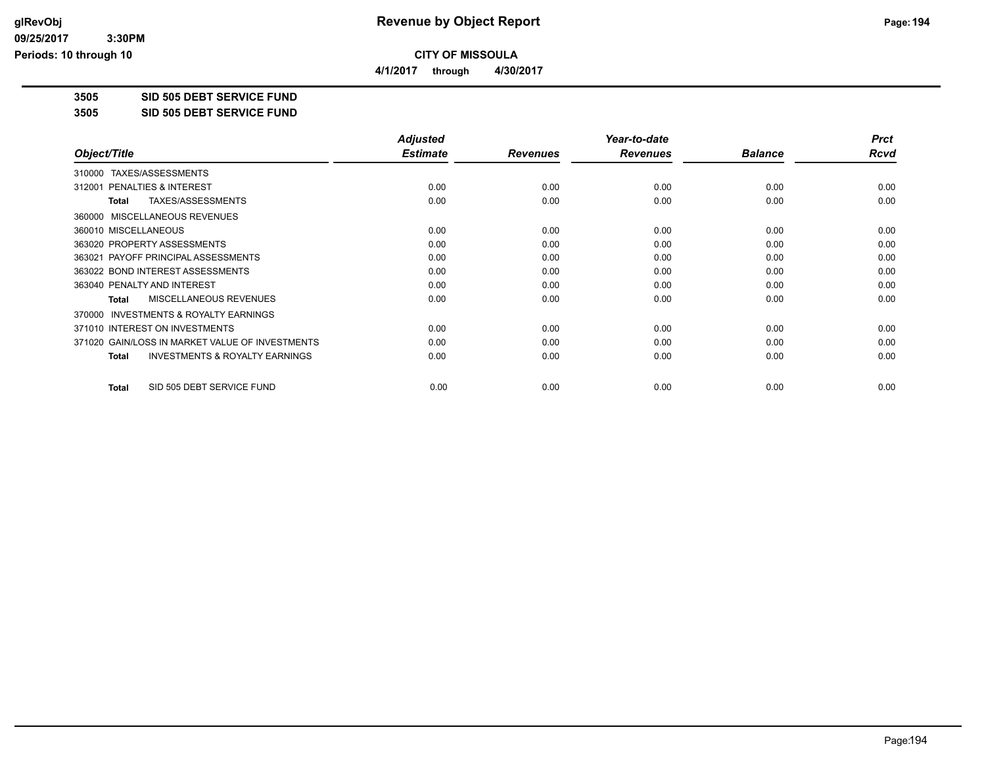**4/1/2017 through 4/30/2017**

**3505 SID 505 DEBT SERVICE FUND**

**3505 SID 505 DEBT SERVICE FUND**

|                                                           | <b>Adjusted</b> |                 | Year-to-date    |                | <b>Prct</b> |
|-----------------------------------------------------------|-----------------|-----------------|-----------------|----------------|-------------|
| Object/Title                                              | <b>Estimate</b> | <b>Revenues</b> | <b>Revenues</b> | <b>Balance</b> | Rcvd        |
| 310000 TAXES/ASSESSMENTS                                  |                 |                 |                 |                |             |
| 312001 PENALTIES & INTEREST                               | 0.00            | 0.00            | 0.00            | 0.00           | 0.00        |
| TAXES/ASSESSMENTS<br><b>Total</b>                         | 0.00            | 0.00            | 0.00            | 0.00           | 0.00        |
| MISCELLANEOUS REVENUES<br>360000                          |                 |                 |                 |                |             |
| 360010 MISCELLANEOUS                                      | 0.00            | 0.00            | 0.00            | 0.00           | 0.00        |
| 363020 PROPERTY ASSESSMENTS                               | 0.00            | 0.00            | 0.00            | 0.00           | 0.00        |
| 363021 PAYOFF PRINCIPAL ASSESSMENTS                       | 0.00            | 0.00            | 0.00            | 0.00           | 0.00        |
| 363022 BOND INTEREST ASSESSMENTS                          | 0.00            | 0.00            | 0.00            | 0.00           | 0.00        |
| 363040 PENALTY AND INTEREST                               | 0.00            | 0.00            | 0.00            | 0.00           | 0.00        |
| <b>MISCELLANEOUS REVENUES</b><br><b>Total</b>             | 0.00            | 0.00            | 0.00            | 0.00           | 0.00        |
| 370000 INVESTMENTS & ROYALTY EARNINGS                     |                 |                 |                 |                |             |
| 371010 INTEREST ON INVESTMENTS                            | 0.00            | 0.00            | 0.00            | 0.00           | 0.00        |
| 371020 GAIN/LOSS IN MARKET VALUE OF INVESTMENTS           | 0.00            | 0.00            | 0.00            | 0.00           | 0.00        |
| <b>INVESTMENTS &amp; ROYALTY EARNINGS</b><br><b>Total</b> | 0.00            | 0.00            | 0.00            | 0.00           | 0.00        |
| SID 505 DEBT SERVICE FUND<br><b>Total</b>                 | 0.00            | 0.00            | 0.00            | 0.00           | 0.00        |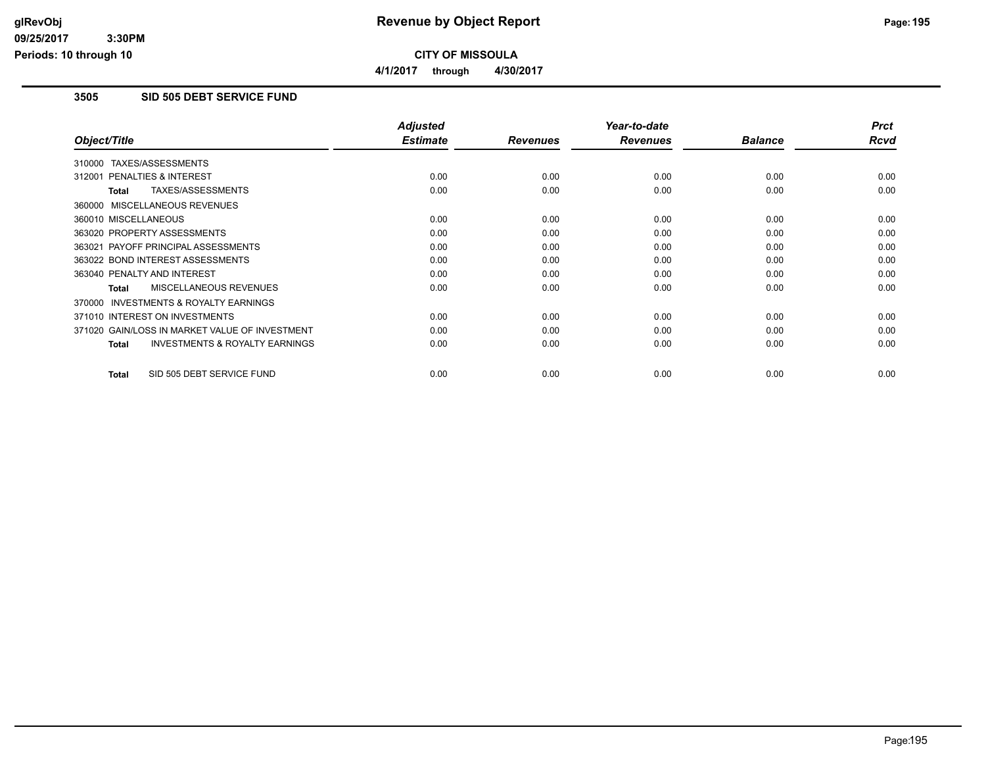**4/1/2017 through 4/30/2017**

# **3505 SID 505 DEBT SERVICE FUND**

|                                                           | <b>Adjusted</b> |                 | Year-to-date    |                | <b>Prct</b> |
|-----------------------------------------------------------|-----------------|-----------------|-----------------|----------------|-------------|
| Object/Title                                              | <b>Estimate</b> | <b>Revenues</b> | <b>Revenues</b> | <b>Balance</b> | Rcvd        |
| 310000 TAXES/ASSESSMENTS                                  |                 |                 |                 |                |             |
| 312001 PENALTIES & INTEREST                               | 0.00            | 0.00            | 0.00            | 0.00           | 0.00        |
| TAXES/ASSESSMENTS<br>Total                                | 0.00            | 0.00            | 0.00            | 0.00           | 0.00        |
| 360000 MISCELLANEOUS REVENUES                             |                 |                 |                 |                |             |
| 360010 MISCELLANEOUS                                      | 0.00            | 0.00            | 0.00            | 0.00           | 0.00        |
| 363020 PROPERTY ASSESSMENTS                               | 0.00            | 0.00            | 0.00            | 0.00           | 0.00        |
| 363021 PAYOFF PRINCIPAL ASSESSMENTS                       | 0.00            | 0.00            | 0.00            | 0.00           | 0.00        |
| 363022 BOND INTEREST ASSESSMENTS                          | 0.00            | 0.00            | 0.00            | 0.00           | 0.00        |
| 363040 PENALTY AND INTEREST                               | 0.00            | 0.00            | 0.00            | 0.00           | 0.00        |
| MISCELLANEOUS REVENUES<br>Total                           | 0.00            | 0.00            | 0.00            | 0.00           | 0.00        |
| <b>INVESTMENTS &amp; ROYALTY EARNINGS</b><br>370000       |                 |                 |                 |                |             |
| 371010 INTEREST ON INVESTMENTS                            | 0.00            | 0.00            | 0.00            | 0.00           | 0.00        |
| 371020 GAIN/LOSS IN MARKET VALUE OF INVESTMENT            | 0.00            | 0.00            | 0.00            | 0.00           | 0.00        |
| <b>INVESTMENTS &amp; ROYALTY EARNINGS</b><br><b>Total</b> | 0.00            | 0.00            | 0.00            | 0.00           | 0.00        |
| SID 505 DEBT SERVICE FUND<br><b>Total</b>                 | 0.00            | 0.00            | 0.00            | 0.00           | 0.00        |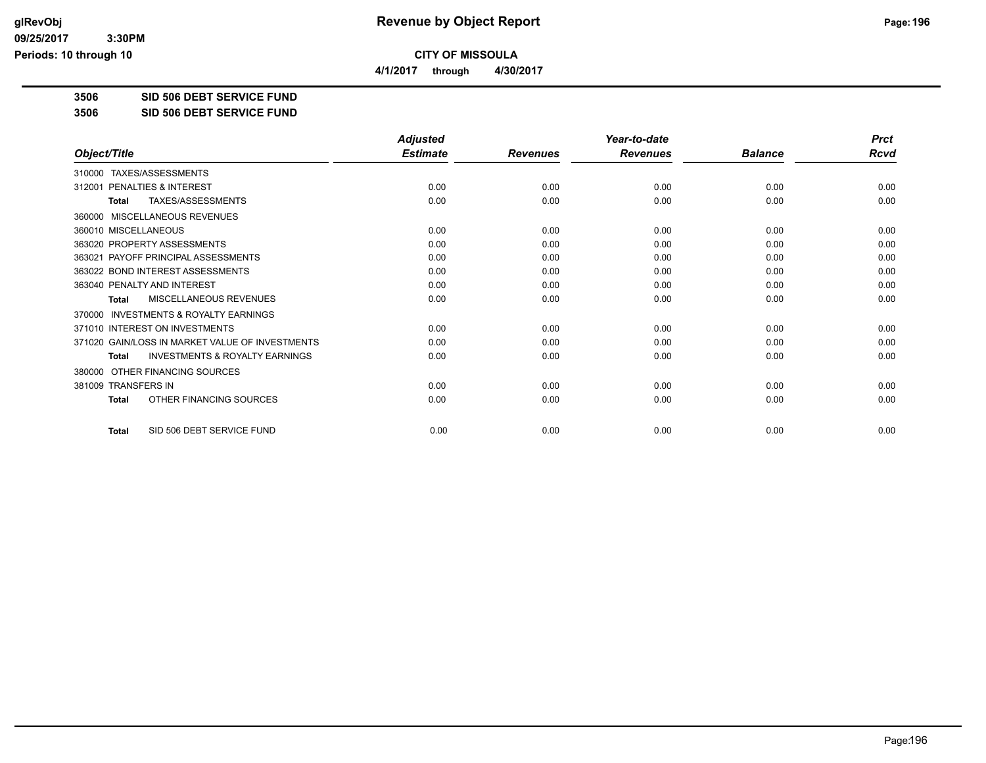**4/1/2017 through 4/30/2017**

**3506 SID 506 DEBT SERVICE FUND**

**3506 SID 506 DEBT SERVICE FUND**

|                                                           | <b>Adjusted</b> |                 | Year-to-date    |                | <b>Prct</b> |
|-----------------------------------------------------------|-----------------|-----------------|-----------------|----------------|-------------|
| Object/Title                                              | <b>Estimate</b> | <b>Revenues</b> | <b>Revenues</b> | <b>Balance</b> | <b>Rcvd</b> |
| TAXES/ASSESSMENTS<br>310000                               |                 |                 |                 |                |             |
| PENALTIES & INTEREST<br>312001                            | 0.00            | 0.00            | 0.00            | 0.00           | 0.00        |
| TAXES/ASSESSMENTS<br>Total                                | 0.00            | 0.00            | 0.00            | 0.00           | 0.00        |
| MISCELLANEOUS REVENUES<br>360000                          |                 |                 |                 |                |             |
| 360010 MISCELLANEOUS                                      | 0.00            | 0.00            | 0.00            | 0.00           | 0.00        |
| 363020 PROPERTY ASSESSMENTS                               | 0.00            | 0.00            | 0.00            | 0.00           | 0.00        |
| 363021 PAYOFF PRINCIPAL ASSESSMENTS                       | 0.00            | 0.00            | 0.00            | 0.00           | 0.00        |
| 363022 BOND INTEREST ASSESSMENTS                          | 0.00            | 0.00            | 0.00            | 0.00           | 0.00        |
| 363040 PENALTY AND INTEREST                               | 0.00            | 0.00            | 0.00            | 0.00           | 0.00        |
| MISCELLANEOUS REVENUES<br><b>Total</b>                    | 0.00            | 0.00            | 0.00            | 0.00           | 0.00        |
| <b>INVESTMENTS &amp; ROYALTY EARNINGS</b><br>370000       |                 |                 |                 |                |             |
| 371010 INTEREST ON INVESTMENTS                            | 0.00            | 0.00            | 0.00            | 0.00           | 0.00        |
| 371020 GAIN/LOSS IN MARKET VALUE OF INVESTMENTS           | 0.00            | 0.00            | 0.00            | 0.00           | 0.00        |
| <b>INVESTMENTS &amp; ROYALTY EARNINGS</b><br><b>Total</b> | 0.00            | 0.00            | 0.00            | 0.00           | 0.00        |
| OTHER FINANCING SOURCES<br>380000                         |                 |                 |                 |                |             |
| 381009 TRANSFERS IN                                       | 0.00            | 0.00            | 0.00            | 0.00           | 0.00        |
| OTHER FINANCING SOURCES<br><b>Total</b>                   | 0.00            | 0.00            | 0.00            | 0.00           | 0.00        |
| SID 506 DEBT SERVICE FUND<br><b>Total</b>                 | 0.00            | 0.00            | 0.00            | 0.00           | 0.00        |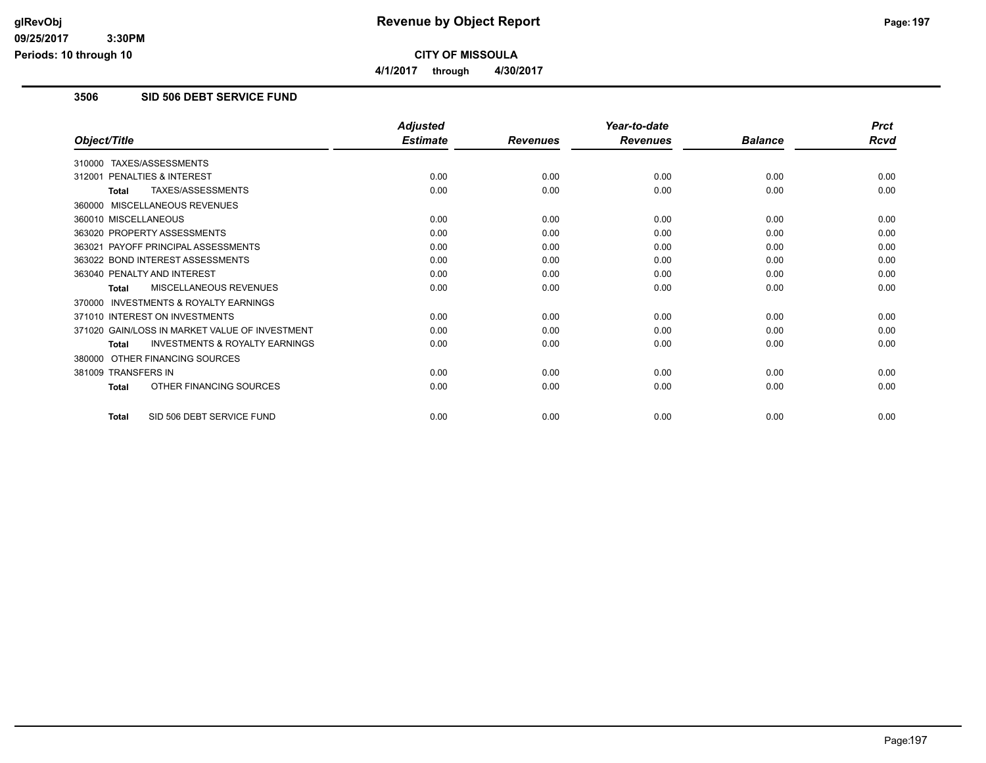**4/1/2017 through 4/30/2017**

# **3506 SID 506 DEBT SERVICE FUND**

|                                                           | <b>Adjusted</b> |                 | Year-to-date    |                | <b>Prct</b> |
|-----------------------------------------------------------|-----------------|-----------------|-----------------|----------------|-------------|
| Object/Title                                              | <b>Estimate</b> | <b>Revenues</b> | <b>Revenues</b> | <b>Balance</b> | <b>Rcvd</b> |
| 310000 TAXES/ASSESSMENTS                                  |                 |                 |                 |                |             |
| 312001 PENALTIES & INTEREST                               | 0.00            | 0.00            | 0.00            | 0.00           | 0.00        |
| TAXES/ASSESSMENTS<br><b>Total</b>                         | 0.00            | 0.00            | 0.00            | 0.00           | 0.00        |
| 360000 MISCELLANEOUS REVENUES                             |                 |                 |                 |                |             |
| 360010 MISCELLANEOUS                                      | 0.00            | 0.00            | 0.00            | 0.00           | 0.00        |
| 363020 PROPERTY ASSESSMENTS                               | 0.00            | 0.00            | 0.00            | 0.00           | 0.00        |
| 363021 PAYOFF PRINCIPAL ASSESSMENTS                       | 0.00            | 0.00            | 0.00            | 0.00           | 0.00        |
| 363022 BOND INTEREST ASSESSMENTS                          | 0.00            | 0.00            | 0.00            | 0.00           | 0.00        |
| 363040 PENALTY AND INTEREST                               | 0.00            | 0.00            | 0.00            | 0.00           | 0.00        |
| MISCELLANEOUS REVENUES<br><b>Total</b>                    | 0.00            | 0.00            | 0.00            | 0.00           | 0.00        |
| <b>INVESTMENTS &amp; ROYALTY EARNINGS</b><br>370000       |                 |                 |                 |                |             |
| 371010 INTEREST ON INVESTMENTS                            | 0.00            | 0.00            | 0.00            | 0.00           | 0.00        |
| 371020 GAIN/LOSS IN MARKET VALUE OF INVESTMENT            | 0.00            | 0.00            | 0.00            | 0.00           | 0.00        |
| <b>INVESTMENTS &amp; ROYALTY EARNINGS</b><br><b>Total</b> | 0.00            | 0.00            | 0.00            | 0.00           | 0.00        |
| 380000 OTHER FINANCING SOURCES                            |                 |                 |                 |                |             |
| 381009 TRANSFERS IN                                       | 0.00            | 0.00            | 0.00            | 0.00           | 0.00        |
| OTHER FINANCING SOURCES<br><b>Total</b>                   | 0.00            | 0.00            | 0.00            | 0.00           | 0.00        |
| SID 506 DEBT SERVICE FUND<br><b>Total</b>                 | 0.00            | 0.00            | 0.00            | 0.00           | 0.00        |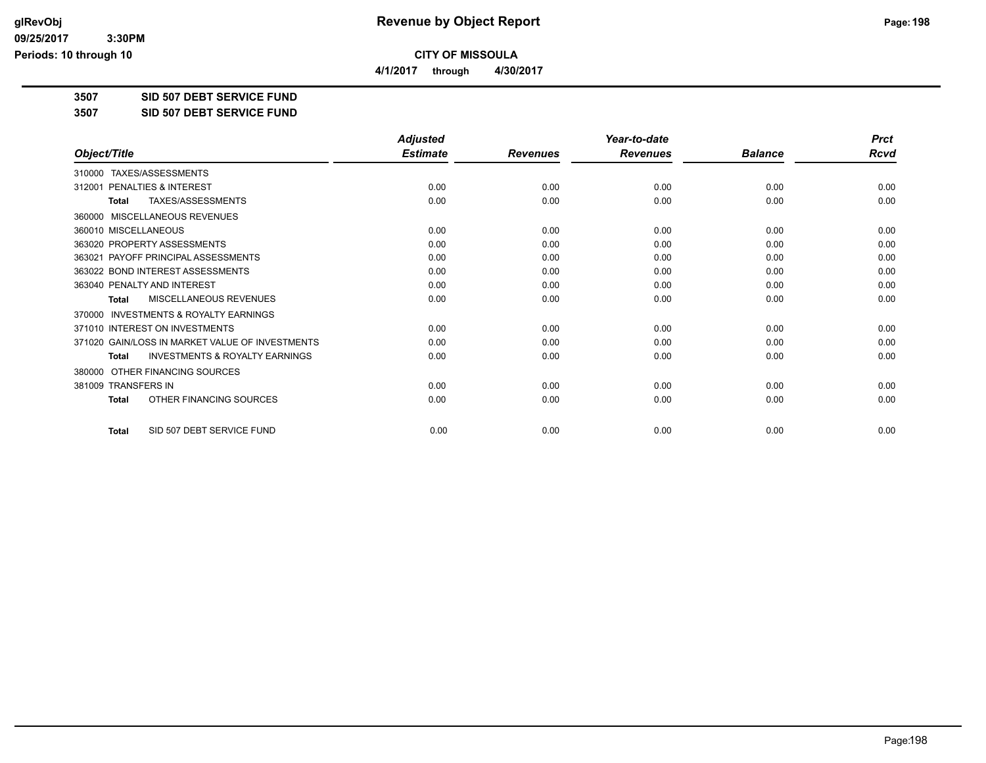**4/1/2017 through 4/30/2017**

**3507 SID 507 DEBT SERVICE FUND**

**3507 SID 507 DEBT SERVICE FUND**

|                                                           | <b>Adjusted</b> |                 | Year-to-date    |                | <b>Prct</b> |
|-----------------------------------------------------------|-----------------|-----------------|-----------------|----------------|-------------|
| Object/Title                                              | <b>Estimate</b> | <b>Revenues</b> | <b>Revenues</b> | <b>Balance</b> | <b>Rcvd</b> |
| TAXES/ASSESSMENTS<br>310000                               |                 |                 |                 |                |             |
| PENALTIES & INTEREST<br>312001                            | 0.00            | 0.00            | 0.00            | 0.00           | 0.00        |
| TAXES/ASSESSMENTS<br><b>Total</b>                         | 0.00            | 0.00            | 0.00            | 0.00           | 0.00        |
| 360000 MISCELLANEOUS REVENUES                             |                 |                 |                 |                |             |
| 360010 MISCELLANEOUS                                      | 0.00            | 0.00            | 0.00            | 0.00           | 0.00        |
| 363020 PROPERTY ASSESSMENTS                               | 0.00            | 0.00            | 0.00            | 0.00           | 0.00        |
| PAYOFF PRINCIPAL ASSESSMENTS<br>363021                    | 0.00            | 0.00            | 0.00            | 0.00           | 0.00        |
| 363022 BOND INTEREST ASSESSMENTS                          | 0.00            | 0.00            | 0.00            | 0.00           | 0.00        |
| 363040 PENALTY AND INTEREST                               | 0.00            | 0.00            | 0.00            | 0.00           | 0.00        |
| MISCELLANEOUS REVENUES<br><b>Total</b>                    | 0.00            | 0.00            | 0.00            | 0.00           | 0.00        |
| <b>INVESTMENTS &amp; ROYALTY EARNINGS</b><br>370000       |                 |                 |                 |                |             |
| 371010 INTEREST ON INVESTMENTS                            | 0.00            | 0.00            | 0.00            | 0.00           | 0.00        |
| 371020 GAIN/LOSS IN MARKET VALUE OF INVESTMENTS           | 0.00            | 0.00            | 0.00            | 0.00           | 0.00        |
| <b>INVESTMENTS &amp; ROYALTY EARNINGS</b><br><b>Total</b> | 0.00            | 0.00            | 0.00            | 0.00           | 0.00        |
| OTHER FINANCING SOURCES<br>380000                         |                 |                 |                 |                |             |
| 381009 TRANSFERS IN                                       | 0.00            | 0.00            | 0.00            | 0.00           | 0.00        |
| OTHER FINANCING SOURCES<br><b>Total</b>                   | 0.00            | 0.00            | 0.00            | 0.00           | 0.00        |
| SID 507 DEBT SERVICE FUND<br><b>Total</b>                 | 0.00            | 0.00            | 0.00            | 0.00           | 0.00        |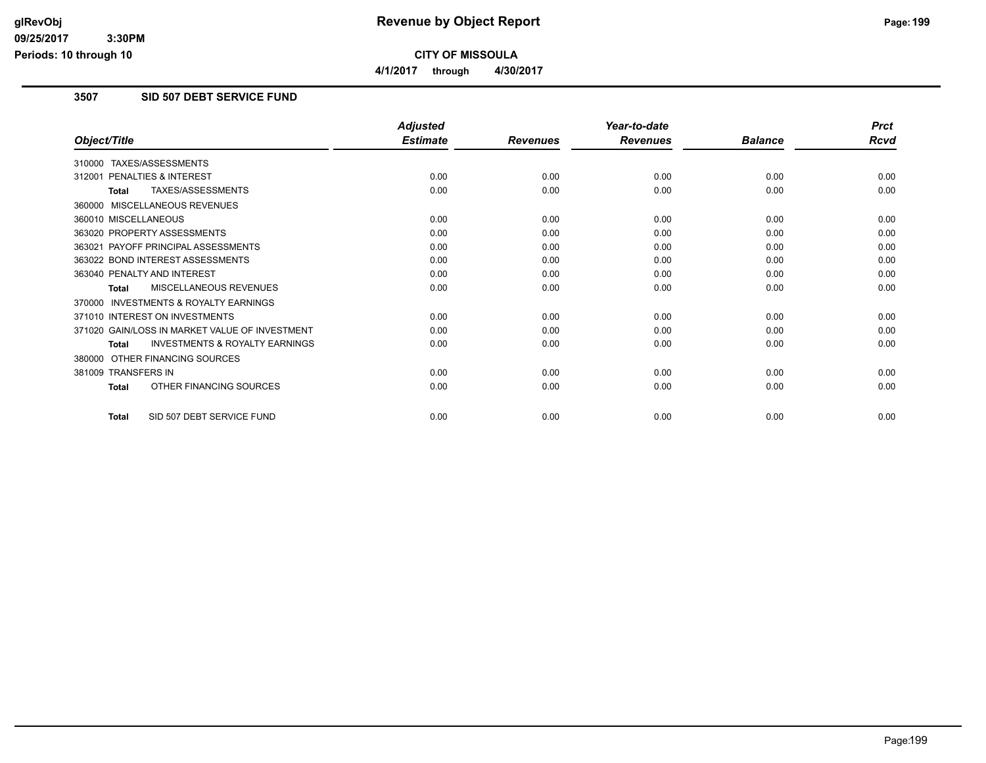**4/1/2017 through 4/30/2017**

# **3507 SID 507 DEBT SERVICE FUND**

|                                                           | <b>Adjusted</b> |                 | Year-to-date    |                | <b>Prct</b> |
|-----------------------------------------------------------|-----------------|-----------------|-----------------|----------------|-------------|
| Object/Title                                              | <b>Estimate</b> | <b>Revenues</b> | <b>Revenues</b> | <b>Balance</b> | <b>Rcvd</b> |
| 310000 TAXES/ASSESSMENTS                                  |                 |                 |                 |                |             |
| 312001 PENALTIES & INTEREST                               | 0.00            | 0.00            | 0.00            | 0.00           | 0.00        |
| TAXES/ASSESSMENTS<br><b>Total</b>                         | 0.00            | 0.00            | 0.00            | 0.00           | 0.00        |
| 360000 MISCELLANEOUS REVENUES                             |                 |                 |                 |                |             |
| 360010 MISCELLANEOUS                                      | 0.00            | 0.00            | 0.00            | 0.00           | 0.00        |
| 363020 PROPERTY ASSESSMENTS                               | 0.00            | 0.00            | 0.00            | 0.00           | 0.00        |
| 363021 PAYOFF PRINCIPAL ASSESSMENTS                       | 0.00            | 0.00            | 0.00            | 0.00           | 0.00        |
| 363022 BOND INTEREST ASSESSMENTS                          | 0.00            | 0.00            | 0.00            | 0.00           | 0.00        |
| 363040 PENALTY AND INTEREST                               | 0.00            | 0.00            | 0.00            | 0.00           | 0.00        |
| MISCELLANEOUS REVENUES<br><b>Total</b>                    | 0.00            | 0.00            | 0.00            | 0.00           | 0.00        |
| <b>INVESTMENTS &amp; ROYALTY EARNINGS</b><br>370000       |                 |                 |                 |                |             |
| 371010 INTEREST ON INVESTMENTS                            | 0.00            | 0.00            | 0.00            | 0.00           | 0.00        |
| 371020 GAIN/LOSS IN MARKET VALUE OF INVESTMENT            | 0.00            | 0.00            | 0.00            | 0.00           | 0.00        |
| <b>INVESTMENTS &amp; ROYALTY EARNINGS</b><br><b>Total</b> | 0.00            | 0.00            | 0.00            | 0.00           | 0.00        |
| 380000 OTHER FINANCING SOURCES                            |                 |                 |                 |                |             |
| 381009 TRANSFERS IN                                       | 0.00            | 0.00            | 0.00            | 0.00           | 0.00        |
| OTHER FINANCING SOURCES<br><b>Total</b>                   | 0.00            | 0.00            | 0.00            | 0.00           | 0.00        |
| SID 507 DEBT SERVICE FUND<br><b>Total</b>                 | 0.00            | 0.00            | 0.00            | 0.00           | 0.00        |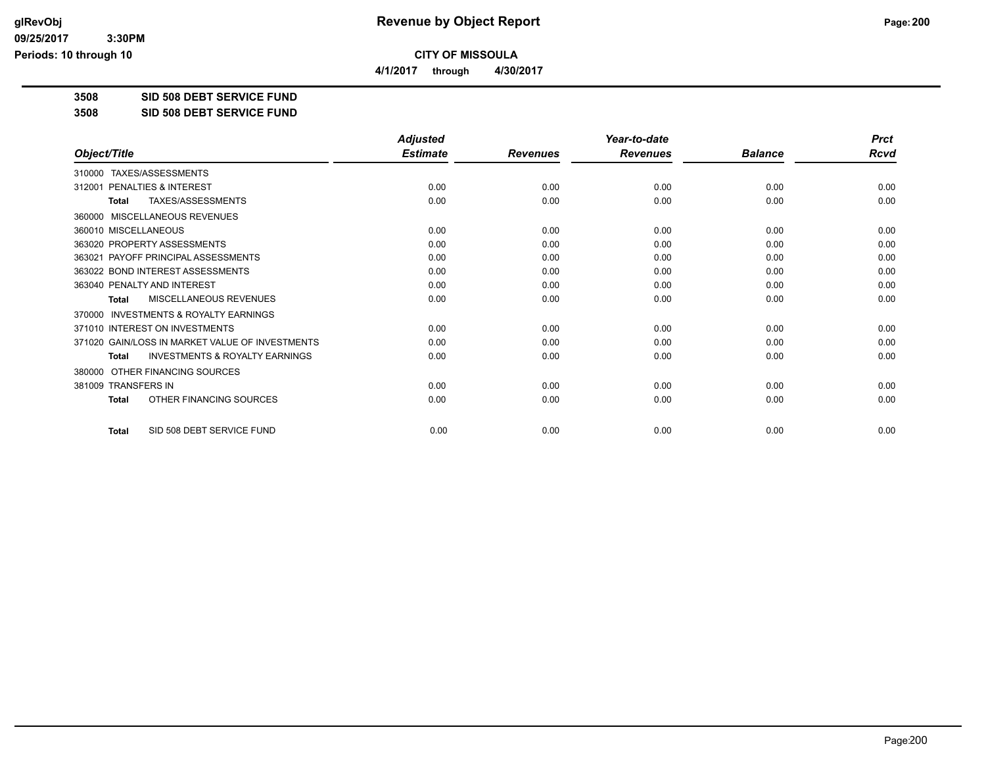**4/1/2017 through 4/30/2017**

**3508 SID 508 DEBT SERVICE FUND**

**3508 SID 508 DEBT SERVICE FUND**

|                                                           | <b>Adjusted</b> |                 | Year-to-date    |                | <b>Prct</b> |
|-----------------------------------------------------------|-----------------|-----------------|-----------------|----------------|-------------|
| Object/Title                                              | <b>Estimate</b> | <b>Revenues</b> | <b>Revenues</b> | <b>Balance</b> | <b>Rcvd</b> |
| TAXES/ASSESSMENTS<br>310000                               |                 |                 |                 |                |             |
| PENALTIES & INTEREST<br>312001                            | 0.00            | 0.00            | 0.00            | 0.00           | 0.00        |
| TAXES/ASSESSMENTS<br>Total                                | 0.00            | 0.00            | 0.00            | 0.00           | 0.00        |
| MISCELLANEOUS REVENUES<br>360000                          |                 |                 |                 |                |             |
| 360010 MISCELLANEOUS                                      | 0.00            | 0.00            | 0.00            | 0.00           | 0.00        |
| 363020 PROPERTY ASSESSMENTS                               | 0.00            | 0.00            | 0.00            | 0.00           | 0.00        |
| 363021 PAYOFF PRINCIPAL ASSESSMENTS                       | 0.00            | 0.00            | 0.00            | 0.00           | 0.00        |
| 363022 BOND INTEREST ASSESSMENTS                          | 0.00            | 0.00            | 0.00            | 0.00           | 0.00        |
| 363040 PENALTY AND INTEREST                               | 0.00            | 0.00            | 0.00            | 0.00           | 0.00        |
| <b>MISCELLANEOUS REVENUES</b><br><b>Total</b>             | 0.00            | 0.00            | 0.00            | 0.00           | 0.00        |
| <b>INVESTMENTS &amp; ROYALTY EARNINGS</b><br>370000       |                 |                 |                 |                |             |
| 371010 INTEREST ON INVESTMENTS                            | 0.00            | 0.00            | 0.00            | 0.00           | 0.00        |
| 371020 GAIN/LOSS IN MARKET VALUE OF INVESTMENTS           | 0.00            | 0.00            | 0.00            | 0.00           | 0.00        |
| <b>INVESTMENTS &amp; ROYALTY EARNINGS</b><br><b>Total</b> | 0.00            | 0.00            | 0.00            | 0.00           | 0.00        |
| OTHER FINANCING SOURCES<br>380000                         |                 |                 |                 |                |             |
| 381009 TRANSFERS IN                                       | 0.00            | 0.00            | 0.00            | 0.00           | 0.00        |
| OTHER FINANCING SOURCES<br><b>Total</b>                   | 0.00            | 0.00            | 0.00            | 0.00           | 0.00        |
| SID 508 DEBT SERVICE FUND<br><b>Total</b>                 | 0.00            | 0.00            | 0.00            | 0.00           | 0.00        |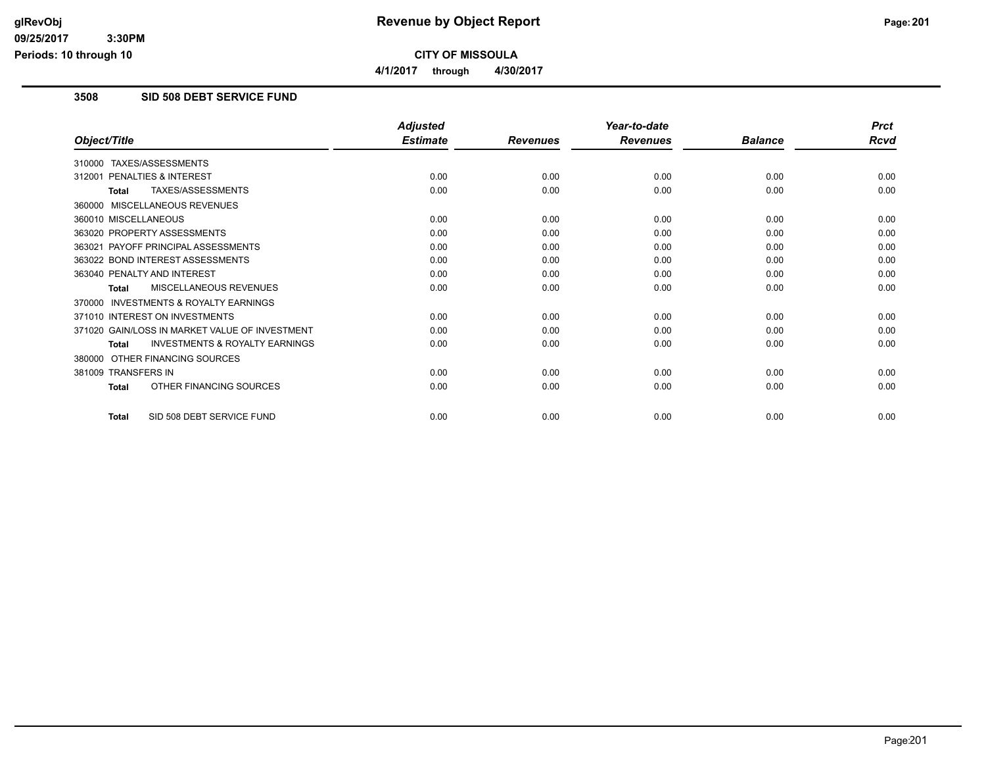**4/1/2017 through 4/30/2017**

# **3508 SID 508 DEBT SERVICE FUND**

|                                                           | <b>Adjusted</b> |                 | Year-to-date    |                | <b>Prct</b> |
|-----------------------------------------------------------|-----------------|-----------------|-----------------|----------------|-------------|
| Object/Title                                              | <b>Estimate</b> | <b>Revenues</b> | <b>Revenues</b> | <b>Balance</b> | <b>Rcvd</b> |
| 310000 TAXES/ASSESSMENTS                                  |                 |                 |                 |                |             |
| 312001 PENALTIES & INTEREST                               | 0.00            | 0.00            | 0.00            | 0.00           | 0.00        |
| TAXES/ASSESSMENTS<br><b>Total</b>                         | 0.00            | 0.00            | 0.00            | 0.00           | 0.00        |
| 360000 MISCELLANEOUS REVENUES                             |                 |                 |                 |                |             |
| 360010 MISCELLANEOUS                                      | 0.00            | 0.00            | 0.00            | 0.00           | 0.00        |
| 363020 PROPERTY ASSESSMENTS                               | 0.00            | 0.00            | 0.00            | 0.00           | 0.00        |
| 363021 PAYOFF PRINCIPAL ASSESSMENTS                       | 0.00            | 0.00            | 0.00            | 0.00           | 0.00        |
| 363022 BOND INTEREST ASSESSMENTS                          | 0.00            | 0.00            | 0.00            | 0.00           | 0.00        |
| 363040 PENALTY AND INTEREST                               | 0.00            | 0.00            | 0.00            | 0.00           | 0.00        |
| MISCELLANEOUS REVENUES<br><b>Total</b>                    | 0.00            | 0.00            | 0.00            | 0.00           | 0.00        |
| <b>INVESTMENTS &amp; ROYALTY EARNINGS</b><br>370000       |                 |                 |                 |                |             |
| 371010 INTEREST ON INVESTMENTS                            | 0.00            | 0.00            | 0.00            | 0.00           | 0.00        |
| 371020 GAIN/LOSS IN MARKET VALUE OF INVESTMENT            | 0.00            | 0.00            | 0.00            | 0.00           | 0.00        |
| <b>INVESTMENTS &amp; ROYALTY EARNINGS</b><br><b>Total</b> | 0.00            | 0.00            | 0.00            | 0.00           | 0.00        |
| 380000 OTHER FINANCING SOURCES                            |                 |                 |                 |                |             |
| 381009 TRANSFERS IN                                       | 0.00            | 0.00            | 0.00            | 0.00           | 0.00        |
| OTHER FINANCING SOURCES<br><b>Total</b>                   | 0.00            | 0.00            | 0.00            | 0.00           | 0.00        |
| SID 508 DEBT SERVICE FUND<br><b>Total</b>                 | 0.00            | 0.00            | 0.00            | 0.00           | 0.00        |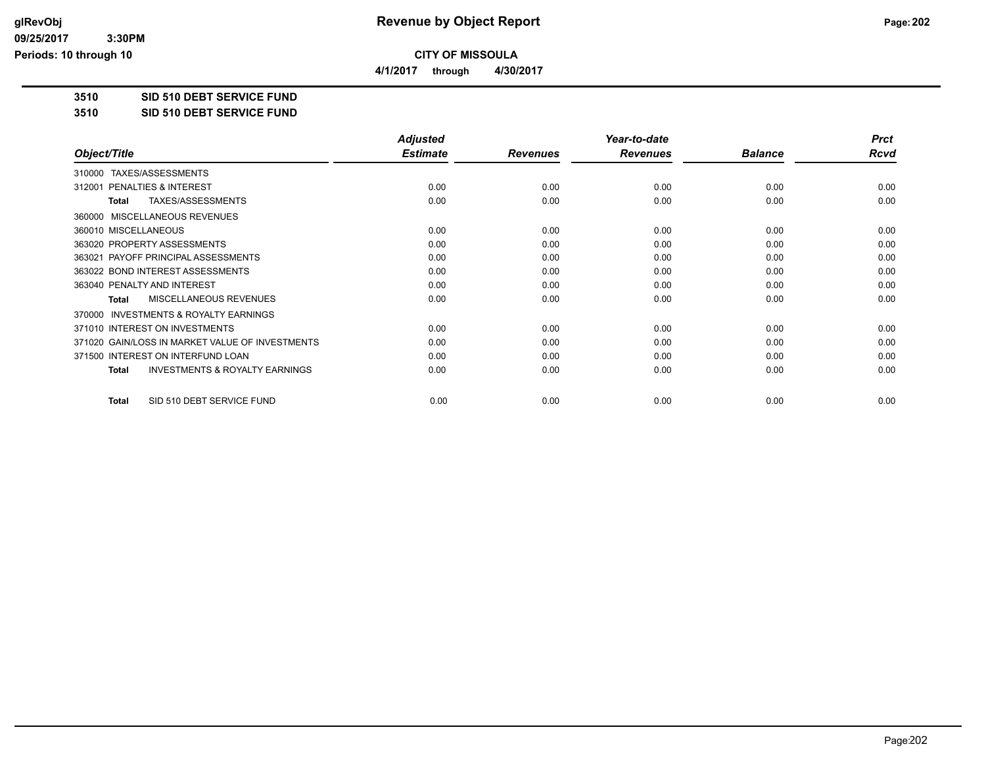**4/1/2017 through 4/30/2017**

**3510 SID 510 DEBT SERVICE FUND**

**3510 SID 510 DEBT SERVICE FUND**

|                                                    | <b>Adjusted</b> |                 | Year-to-date    |                | <b>Prct</b> |
|----------------------------------------------------|-----------------|-----------------|-----------------|----------------|-------------|
| Object/Title                                       | <b>Estimate</b> | <b>Revenues</b> | <b>Revenues</b> | <b>Balance</b> | <b>Rcvd</b> |
| TAXES/ASSESSMENTS<br>310000                        |                 |                 |                 |                |             |
| <b>PENALTIES &amp; INTEREST</b><br>312001          | 0.00            | 0.00            | 0.00            | 0.00           | 0.00        |
| TAXES/ASSESSMENTS<br>Total                         | 0.00            | 0.00            | 0.00            | 0.00           | 0.00        |
| 360000 MISCELLANEOUS REVENUES                      |                 |                 |                 |                |             |
| 360010 MISCELLANEOUS                               | 0.00            | 0.00            | 0.00            | 0.00           | 0.00        |
| 363020 PROPERTY ASSESSMENTS                        | 0.00            | 0.00            | 0.00            | 0.00           | 0.00        |
| PAYOFF PRINCIPAL ASSESSMENTS<br>363021             | 0.00            | 0.00            | 0.00            | 0.00           | 0.00        |
| 363022 BOND INTEREST ASSESSMENTS                   | 0.00            | 0.00            | 0.00            | 0.00           | 0.00        |
| 363040 PENALTY AND INTEREST                        | 0.00            | 0.00            | 0.00            | 0.00           | 0.00        |
| MISCELLANEOUS REVENUES<br>Total                    | 0.00            | 0.00            | 0.00            | 0.00           | 0.00        |
| 370000 INVESTMENTS & ROYALTY EARNINGS              |                 |                 |                 |                |             |
| 371010 INTEREST ON INVESTMENTS                     | 0.00            | 0.00            | 0.00            | 0.00           | 0.00        |
| 371020 GAIN/LOSS IN MARKET VALUE OF INVESTMENTS    | 0.00            | 0.00            | 0.00            | 0.00           | 0.00        |
| 371500 INTEREST ON INTERFUND LOAN                  | 0.00            | 0.00            | 0.00            | 0.00           | 0.00        |
| <b>INVESTMENTS &amp; ROYALTY EARNINGS</b><br>Total | 0.00            | 0.00            | 0.00            | 0.00           | 0.00        |
| SID 510 DEBT SERVICE FUND<br>Total                 | 0.00            | 0.00            | 0.00            | 0.00           | 0.00        |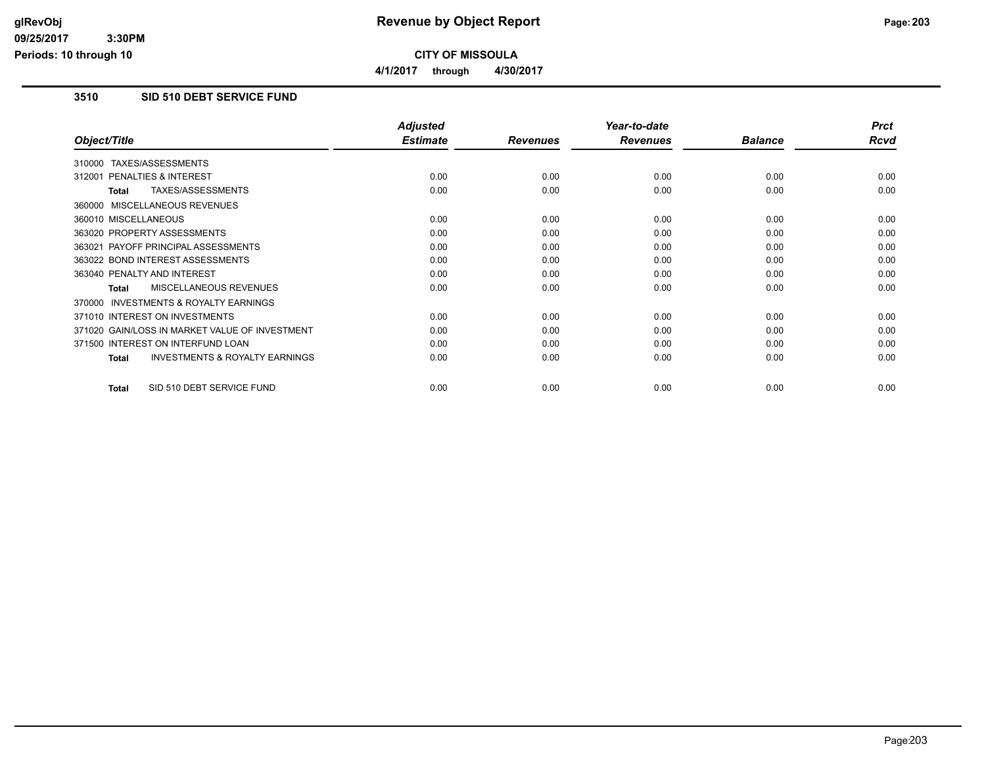**4/1/2017 through 4/30/2017**

# **3510 SID 510 DEBT SERVICE FUND**

|                                                           | <b>Adjusted</b> |                 | Year-to-date    |                | <b>Prct</b> |
|-----------------------------------------------------------|-----------------|-----------------|-----------------|----------------|-------------|
| Object/Title                                              | <b>Estimate</b> | <b>Revenues</b> | <b>Revenues</b> | <b>Balance</b> | <b>Rcvd</b> |
| 310000 TAXES/ASSESSMENTS                                  |                 |                 |                 |                |             |
| PENALTIES & INTEREST<br>312001                            | 0.00            | 0.00            | 0.00            | 0.00           | 0.00        |
| TAXES/ASSESSMENTS<br><b>Total</b>                         | 0.00            | 0.00            | 0.00            | 0.00           | 0.00        |
| 360000 MISCELLANEOUS REVENUES                             |                 |                 |                 |                |             |
| 360010 MISCELLANEOUS                                      | 0.00            | 0.00            | 0.00            | 0.00           | 0.00        |
| 363020 PROPERTY ASSESSMENTS                               | 0.00            | 0.00            | 0.00            | 0.00           | 0.00        |
| 363021 PAYOFF PRINCIPAL ASSESSMENTS                       | 0.00            | 0.00            | 0.00            | 0.00           | 0.00        |
| 363022 BOND INTEREST ASSESSMENTS                          | 0.00            | 0.00            | 0.00            | 0.00           | 0.00        |
| 363040 PENALTY AND INTEREST                               | 0.00            | 0.00            | 0.00            | 0.00           | 0.00        |
| MISCELLANEOUS REVENUES<br><b>Total</b>                    | 0.00            | 0.00            | 0.00            | 0.00           | 0.00        |
| 370000 INVESTMENTS & ROYALTY EARNINGS                     |                 |                 |                 |                |             |
| 371010 INTEREST ON INVESTMENTS                            | 0.00            | 0.00            | 0.00            | 0.00           | 0.00        |
| 371020 GAIN/LOSS IN MARKET VALUE OF INVESTMENT            | 0.00            | 0.00            | 0.00            | 0.00           | 0.00        |
| 371500 INTEREST ON INTERFUND LOAN                         | 0.00            | 0.00            | 0.00            | 0.00           | 0.00        |
| <b>INVESTMENTS &amp; ROYALTY EARNINGS</b><br><b>Total</b> | 0.00            | 0.00            | 0.00            | 0.00           | 0.00        |
| SID 510 DEBT SERVICE FUND<br><b>Total</b>                 | 0.00            | 0.00            | 0.00            | 0.00           | 0.00        |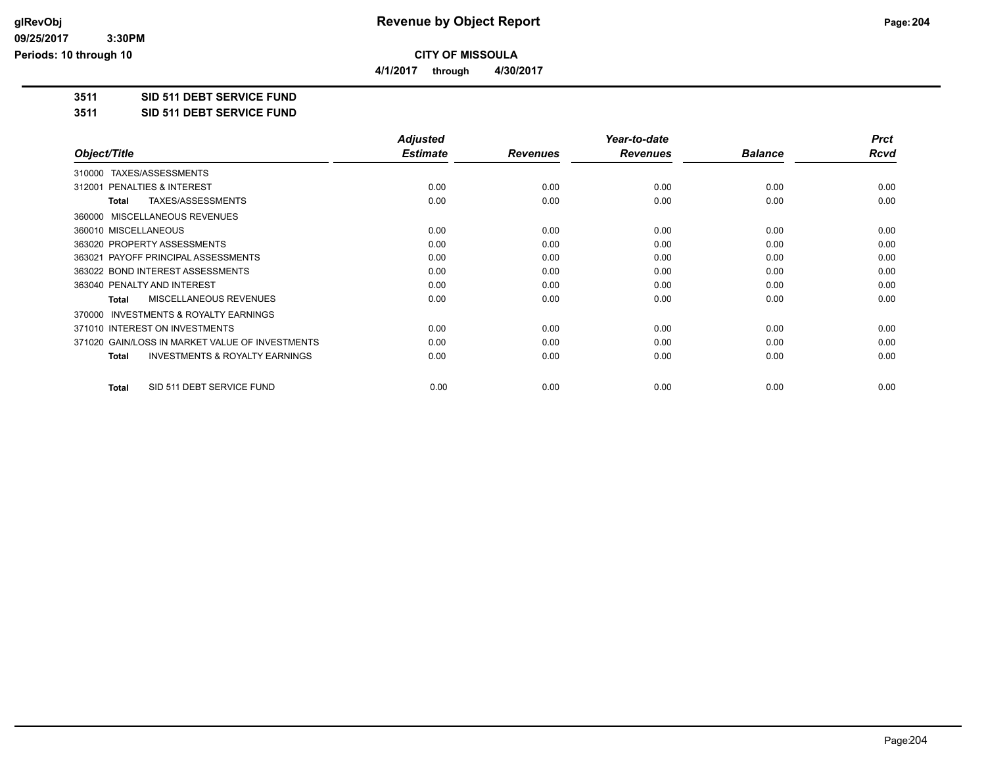**4/1/2017 through 4/30/2017**

**3511 SID 511 DEBT SERVICE FUND**

**3511 SID 511 DEBT SERVICE FUND**

|                                                           | <b>Adjusted</b> |                 | Year-to-date    |                | <b>Prct</b> |
|-----------------------------------------------------------|-----------------|-----------------|-----------------|----------------|-------------|
| Object/Title                                              | <b>Estimate</b> | <b>Revenues</b> | <b>Revenues</b> | <b>Balance</b> | Rcvd        |
| 310000 TAXES/ASSESSMENTS                                  |                 |                 |                 |                |             |
| 312001 PENALTIES & INTEREST                               | 0.00            | 0.00            | 0.00            | 0.00           | 0.00        |
| TAXES/ASSESSMENTS<br>Total                                | 0.00            | 0.00            | 0.00            | 0.00           | 0.00        |
| 360000 MISCELLANEOUS REVENUES                             |                 |                 |                 |                |             |
| 360010 MISCELLANEOUS                                      | 0.00            | 0.00            | 0.00            | 0.00           | 0.00        |
| 363020 PROPERTY ASSESSMENTS                               | 0.00            | 0.00            | 0.00            | 0.00           | 0.00        |
| 363021 PAYOFF PRINCIPAL ASSESSMENTS                       | 0.00            | 0.00            | 0.00            | 0.00           | 0.00        |
| 363022 BOND INTEREST ASSESSMENTS                          | 0.00            | 0.00            | 0.00            | 0.00           | 0.00        |
| 363040 PENALTY AND INTEREST                               | 0.00            | 0.00            | 0.00            | 0.00           | 0.00        |
| MISCELLANEOUS REVENUES<br><b>Total</b>                    | 0.00            | 0.00            | 0.00            | 0.00           | 0.00        |
| 370000 INVESTMENTS & ROYALTY EARNINGS                     |                 |                 |                 |                |             |
| 371010 INTEREST ON INVESTMENTS                            | 0.00            | 0.00            | 0.00            | 0.00           | 0.00        |
| 371020 GAIN/LOSS IN MARKET VALUE OF INVESTMENTS           | 0.00            | 0.00            | 0.00            | 0.00           | 0.00        |
| <b>INVESTMENTS &amp; ROYALTY EARNINGS</b><br><b>Total</b> | 0.00            | 0.00            | 0.00            | 0.00           | 0.00        |
| SID 511 DEBT SERVICE FUND<br>Total                        | 0.00            | 0.00            | 0.00            | 0.00           | 0.00        |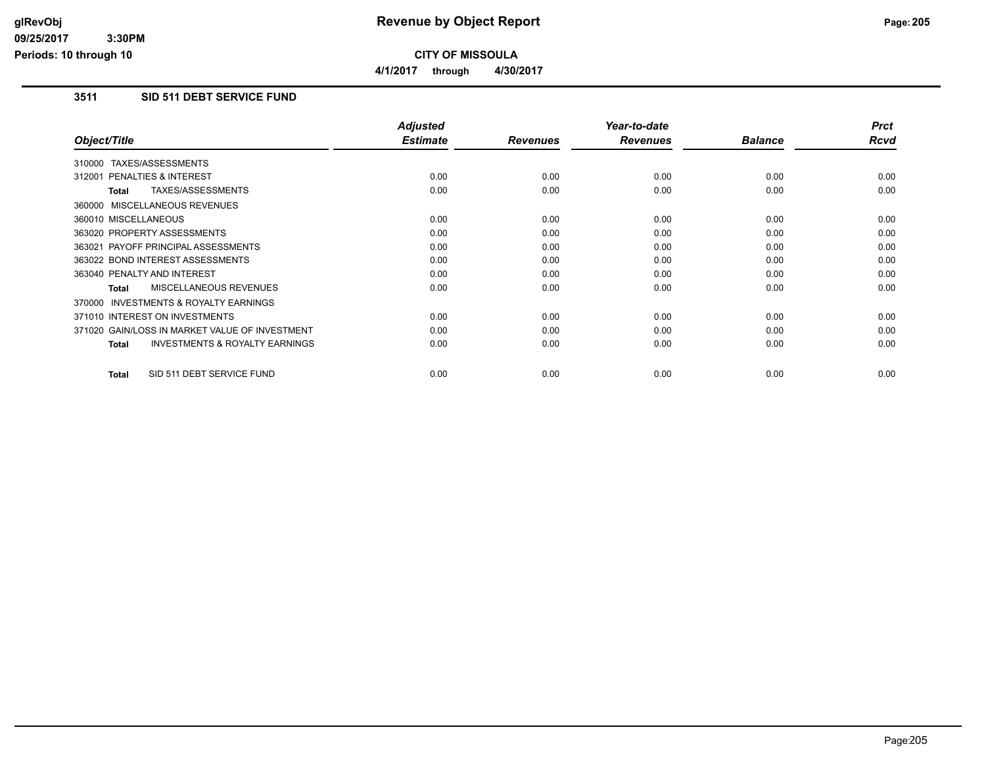**4/1/2017 through 4/30/2017**

# **3511 SID 511 DEBT SERVICE FUND**

|                                                           | <b>Adjusted</b> |                 | Year-to-date    |                | <b>Prct</b> |
|-----------------------------------------------------------|-----------------|-----------------|-----------------|----------------|-------------|
| Object/Title                                              | <b>Estimate</b> | <b>Revenues</b> | <b>Revenues</b> | <b>Balance</b> | <b>Rcvd</b> |
| TAXES/ASSESSMENTS<br>310000                               |                 |                 |                 |                |             |
| 312001 PENALTIES & INTEREST                               | 0.00            | 0.00            | 0.00            | 0.00           | 0.00        |
| TAXES/ASSESSMENTS<br><b>Total</b>                         | 0.00            | 0.00            | 0.00            | 0.00           | 0.00        |
| 360000 MISCELLANEOUS REVENUES                             |                 |                 |                 |                |             |
| 360010 MISCELLANEOUS                                      | 0.00            | 0.00            | 0.00            | 0.00           | 0.00        |
| 363020 PROPERTY ASSESSMENTS                               | 0.00            | 0.00            | 0.00            | 0.00           | 0.00        |
| 363021 PAYOFF PRINCIPAL ASSESSMENTS                       | 0.00            | 0.00            | 0.00            | 0.00           | 0.00        |
| 363022 BOND INTEREST ASSESSMENTS                          | 0.00            | 0.00            | 0.00            | 0.00           | 0.00        |
| 363040 PENALTY AND INTEREST                               | 0.00            | 0.00            | 0.00            | 0.00           | 0.00        |
| <b>MISCELLANEOUS REVENUES</b><br><b>Total</b>             | 0.00            | 0.00            | 0.00            | 0.00           | 0.00        |
| 370000 INVESTMENTS & ROYALTY EARNINGS                     |                 |                 |                 |                |             |
| 371010 INTEREST ON INVESTMENTS                            | 0.00            | 0.00            | 0.00            | 0.00           | 0.00        |
| 371020 GAIN/LOSS IN MARKET VALUE OF INVESTMENT            | 0.00            | 0.00            | 0.00            | 0.00           | 0.00        |
| <b>INVESTMENTS &amp; ROYALTY EARNINGS</b><br><b>Total</b> | 0.00            | 0.00            | 0.00            | 0.00           | 0.00        |
| SID 511 DEBT SERVICE FUND<br><b>Total</b>                 | 0.00            | 0.00            | 0.00            | 0.00           | 0.00        |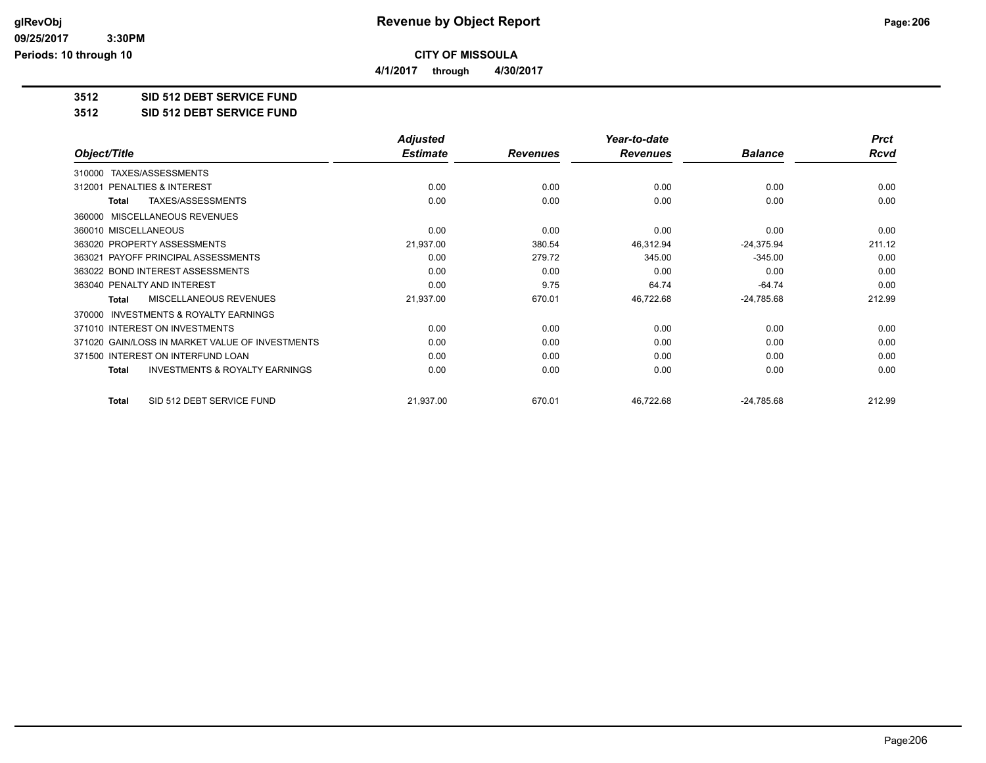**4/1/2017 through 4/30/2017**

**3512 SID 512 DEBT SERVICE FUND**

**3512 SID 512 DEBT SERVICE FUND**

|                                                           | <b>Adjusted</b> |                 | Year-to-date    |                | <b>Prct</b> |
|-----------------------------------------------------------|-----------------|-----------------|-----------------|----------------|-------------|
| Object/Title                                              | <b>Estimate</b> | <b>Revenues</b> | <b>Revenues</b> | <b>Balance</b> | <b>Rcvd</b> |
| TAXES/ASSESSMENTS<br>310000                               |                 |                 |                 |                |             |
| PENALTIES & INTEREST<br>312001                            | 0.00            | 0.00            | 0.00            | 0.00           | 0.00        |
| TAXES/ASSESSMENTS<br><b>Total</b>                         | 0.00            | 0.00            | 0.00            | 0.00           | 0.00        |
| MISCELLANEOUS REVENUES<br>360000                          |                 |                 |                 |                |             |
| 360010 MISCELLANEOUS                                      | 0.00            | 0.00            | 0.00            | 0.00           | 0.00        |
| 363020 PROPERTY ASSESSMENTS                               | 21,937.00       | 380.54          | 46,312.94       | $-24,375.94$   | 211.12      |
| 363021 PAYOFF PRINCIPAL ASSESSMENTS                       | 0.00            | 279.72          | 345.00          | $-345.00$      | 0.00        |
| 363022 BOND INTEREST ASSESSMENTS                          | 0.00            | 0.00            | 0.00            | 0.00           | 0.00        |
| 363040 PENALTY AND INTEREST                               | 0.00            | 9.75            | 64.74           | $-64.74$       | 0.00        |
| <b>MISCELLANEOUS REVENUES</b><br><b>Total</b>             | 21,937.00       | 670.01          | 46,722.68       | $-24,785.68$   | 212.99      |
| <b>INVESTMENTS &amp; ROYALTY EARNINGS</b><br>370000       |                 |                 |                 |                |             |
| 371010 INTEREST ON INVESTMENTS                            | 0.00            | 0.00            | 0.00            | 0.00           | 0.00        |
| 371020 GAIN/LOSS IN MARKET VALUE OF INVESTMENTS           | 0.00            | 0.00            | 0.00            | 0.00           | 0.00        |
| 371500 INTEREST ON INTERFUND LOAN                         | 0.00            | 0.00            | 0.00            | 0.00           | 0.00        |
| <b>INVESTMENTS &amp; ROYALTY EARNINGS</b><br><b>Total</b> | 0.00            | 0.00            | 0.00            | 0.00           | 0.00        |
| SID 512 DEBT SERVICE FUND<br><b>Total</b>                 | 21,937.00       | 670.01          | 46,722.68       | $-24,785.68$   | 212.99      |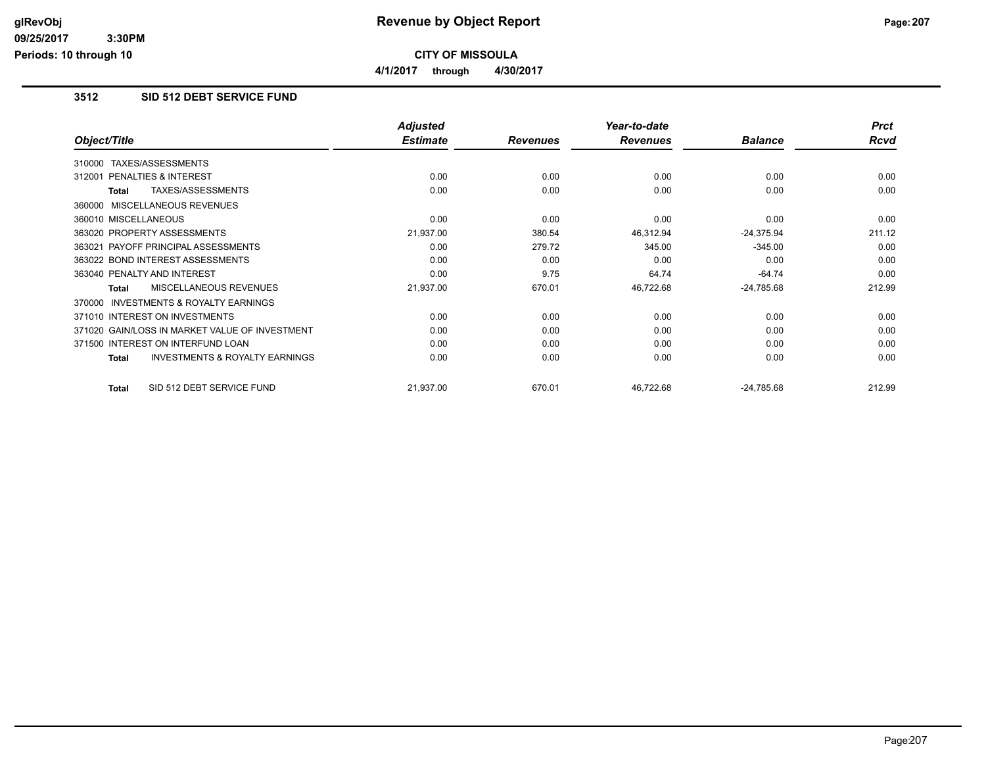**4/1/2017 through 4/30/2017**

# **3512 SID 512 DEBT SERVICE FUND**

|                                                           | <b>Adjusted</b> |                 | Year-to-date    |                | <b>Prct</b> |
|-----------------------------------------------------------|-----------------|-----------------|-----------------|----------------|-------------|
| Object/Title                                              | <b>Estimate</b> | <b>Revenues</b> | <b>Revenues</b> | <b>Balance</b> | <b>Rcvd</b> |
| TAXES/ASSESSMENTS<br>310000                               |                 |                 |                 |                |             |
| 312001 PENALTIES & INTEREST                               | 0.00            | 0.00            | 0.00            | 0.00           | 0.00        |
| TAXES/ASSESSMENTS<br><b>Total</b>                         | 0.00            | 0.00            | 0.00            | 0.00           | 0.00        |
| 360000 MISCELLANEOUS REVENUES                             |                 |                 |                 |                |             |
| 360010 MISCELLANEOUS                                      | 0.00            | 0.00            | 0.00            | 0.00           | 0.00        |
| 363020 PROPERTY ASSESSMENTS                               | 21,937.00       | 380.54          | 46,312.94       | $-24,375.94$   | 211.12      |
| 363021 PAYOFF PRINCIPAL ASSESSMENTS                       | 0.00            | 279.72          | 345.00          | $-345.00$      | 0.00        |
| 363022 BOND INTEREST ASSESSMENTS                          | 0.00            | 0.00            | 0.00            | 0.00           | 0.00        |
| 363040 PENALTY AND INTEREST                               | 0.00            | 9.75            | 64.74           | $-64.74$       | 0.00        |
| MISCELLANEOUS REVENUES<br><b>Total</b>                    | 21,937.00       | 670.01          | 46,722.68       | $-24,785.68$   | 212.99      |
| <b>INVESTMENTS &amp; ROYALTY EARNINGS</b><br>370000       |                 |                 |                 |                |             |
| 371010 INTEREST ON INVESTMENTS                            | 0.00            | 0.00            | 0.00            | 0.00           | 0.00        |
| 371020 GAIN/LOSS IN MARKET VALUE OF INVESTMENT            | 0.00            | 0.00            | 0.00            | 0.00           | 0.00        |
| 371500 INTEREST ON INTERFUND LOAN                         | 0.00            | 0.00            | 0.00            | 0.00           | 0.00        |
| <b>INVESTMENTS &amp; ROYALTY EARNINGS</b><br><b>Total</b> | 0.00            | 0.00            | 0.00            | 0.00           | 0.00        |
| SID 512 DEBT SERVICE FUND<br><b>Total</b>                 | 21,937.00       | 670.01          | 46,722.68       | $-24,785.68$   | 212.99      |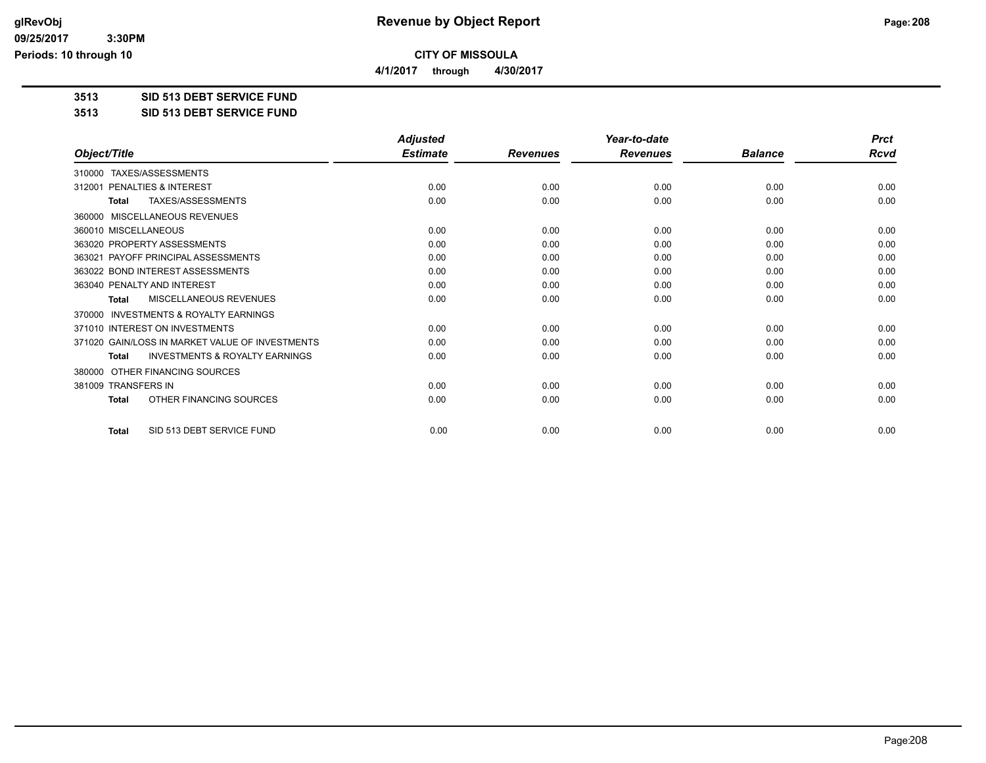**4/1/2017 through 4/30/2017**

**3513 SID 513 DEBT SERVICE FUND**

**3513 SID 513 DEBT SERVICE FUND**

|                                                           | <b>Adjusted</b> |                 | Year-to-date    |                | <b>Prct</b> |
|-----------------------------------------------------------|-----------------|-----------------|-----------------|----------------|-------------|
| Object/Title                                              | <b>Estimate</b> | <b>Revenues</b> | <b>Revenues</b> | <b>Balance</b> | Rcvd        |
| TAXES/ASSESSMENTS<br>310000                               |                 |                 |                 |                |             |
| PENALTIES & INTEREST<br>312001                            | 0.00            | 0.00            | 0.00            | 0.00           | 0.00        |
| TAXES/ASSESSMENTS<br>Total                                | 0.00            | 0.00            | 0.00            | 0.00           | 0.00        |
| MISCELLANEOUS REVENUES<br>360000                          |                 |                 |                 |                |             |
| 360010 MISCELLANEOUS                                      | 0.00            | 0.00            | 0.00            | 0.00           | 0.00        |
| 363020 PROPERTY ASSESSMENTS                               | 0.00            | 0.00            | 0.00            | 0.00           | 0.00        |
| 363021 PAYOFF PRINCIPAL ASSESSMENTS                       | 0.00            | 0.00            | 0.00            | 0.00           | 0.00        |
| 363022 BOND INTEREST ASSESSMENTS                          | 0.00            | 0.00            | 0.00            | 0.00           | 0.00        |
| 363040 PENALTY AND INTEREST                               | 0.00            | 0.00            | 0.00            | 0.00           | 0.00        |
| <b>MISCELLANEOUS REVENUES</b><br>Total                    | 0.00            | 0.00            | 0.00            | 0.00           | 0.00        |
| INVESTMENTS & ROYALTY EARNINGS<br>370000                  |                 |                 |                 |                |             |
| 371010 INTEREST ON INVESTMENTS                            | 0.00            | 0.00            | 0.00            | 0.00           | 0.00        |
| 371020 GAIN/LOSS IN MARKET VALUE OF INVESTMENTS           | 0.00            | 0.00            | 0.00            | 0.00           | 0.00        |
| <b>INVESTMENTS &amp; ROYALTY EARNINGS</b><br><b>Total</b> | 0.00            | 0.00            | 0.00            | 0.00           | 0.00        |
| OTHER FINANCING SOURCES<br>380000                         |                 |                 |                 |                |             |
| 381009 TRANSFERS IN                                       | 0.00            | 0.00            | 0.00            | 0.00           | 0.00        |
| OTHER FINANCING SOURCES<br><b>Total</b>                   | 0.00            | 0.00            | 0.00            | 0.00           | 0.00        |
| SID 513 DEBT SERVICE FUND<br><b>Total</b>                 | 0.00            | 0.00            | 0.00            | 0.00           | 0.00        |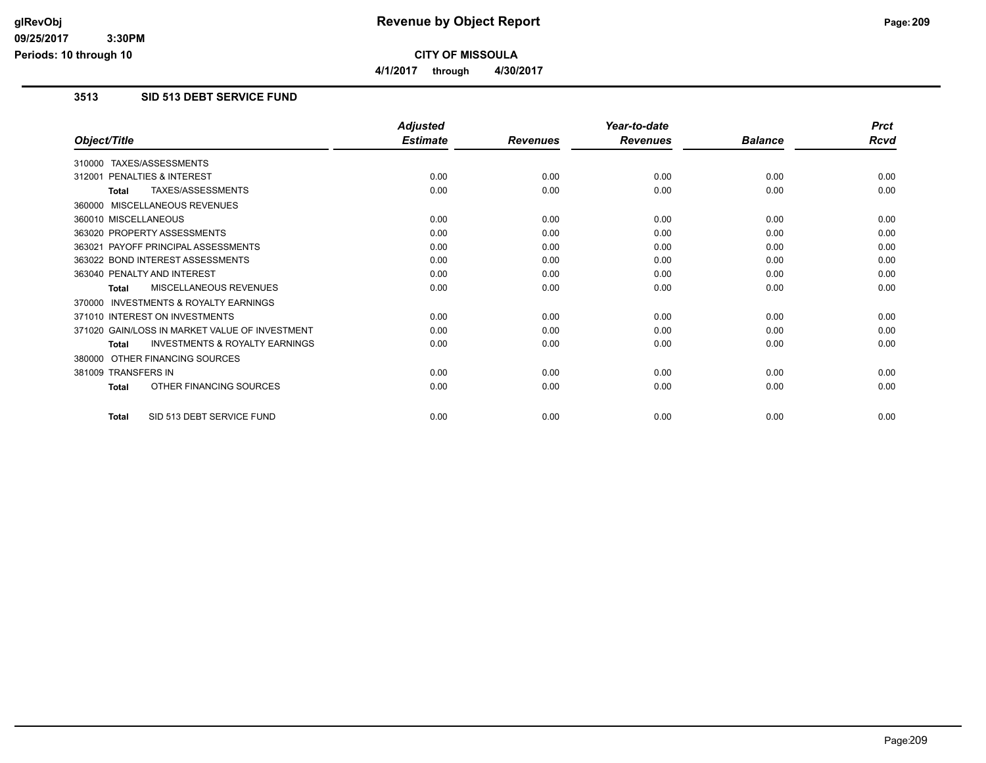**4/1/2017 through 4/30/2017**

# **3513 SID 513 DEBT SERVICE FUND**

|                                                           | <b>Adjusted</b> |                 | Year-to-date    |                | <b>Prct</b> |
|-----------------------------------------------------------|-----------------|-----------------|-----------------|----------------|-------------|
| Object/Title                                              | <b>Estimate</b> | <b>Revenues</b> | <b>Revenues</b> | <b>Balance</b> | <b>Rcvd</b> |
| 310000 TAXES/ASSESSMENTS                                  |                 |                 |                 |                |             |
| PENALTIES & INTEREST<br>312001                            | 0.00            | 0.00            | 0.00            | 0.00           | 0.00        |
| TAXES/ASSESSMENTS<br>Total                                | 0.00            | 0.00            | 0.00            | 0.00           | 0.00        |
| 360000 MISCELLANEOUS REVENUES                             |                 |                 |                 |                |             |
| 360010 MISCELLANEOUS                                      | 0.00            | 0.00            | 0.00            | 0.00           | 0.00        |
| 363020 PROPERTY ASSESSMENTS                               | 0.00            | 0.00            | 0.00            | 0.00           | 0.00        |
| 363021 PAYOFF PRINCIPAL ASSESSMENTS                       | 0.00            | 0.00            | 0.00            | 0.00           | 0.00        |
| 363022 BOND INTEREST ASSESSMENTS                          | 0.00            | 0.00            | 0.00            | 0.00           | 0.00        |
| 363040 PENALTY AND INTEREST                               | 0.00            | 0.00            | 0.00            | 0.00           | 0.00        |
| <b>MISCELLANEOUS REVENUES</b><br><b>Total</b>             | 0.00            | 0.00            | 0.00            | 0.00           | 0.00        |
| 370000 INVESTMENTS & ROYALTY EARNINGS                     |                 |                 |                 |                |             |
| 371010 INTEREST ON INVESTMENTS                            | 0.00            | 0.00            | 0.00            | 0.00           | 0.00        |
| 371020 GAIN/LOSS IN MARKET VALUE OF INVESTMENT            | 0.00            | 0.00            | 0.00            | 0.00           | 0.00        |
| <b>INVESTMENTS &amp; ROYALTY EARNINGS</b><br><b>Total</b> | 0.00            | 0.00            | 0.00            | 0.00           | 0.00        |
| 380000 OTHER FINANCING SOURCES                            |                 |                 |                 |                |             |
| 381009 TRANSFERS IN                                       | 0.00            | 0.00            | 0.00            | 0.00           | 0.00        |
| OTHER FINANCING SOURCES<br>Total                          | 0.00            | 0.00            | 0.00            | 0.00           | 0.00        |
| SID 513 DEBT SERVICE FUND<br><b>Total</b>                 | 0.00            | 0.00            | 0.00            | 0.00           | 0.00        |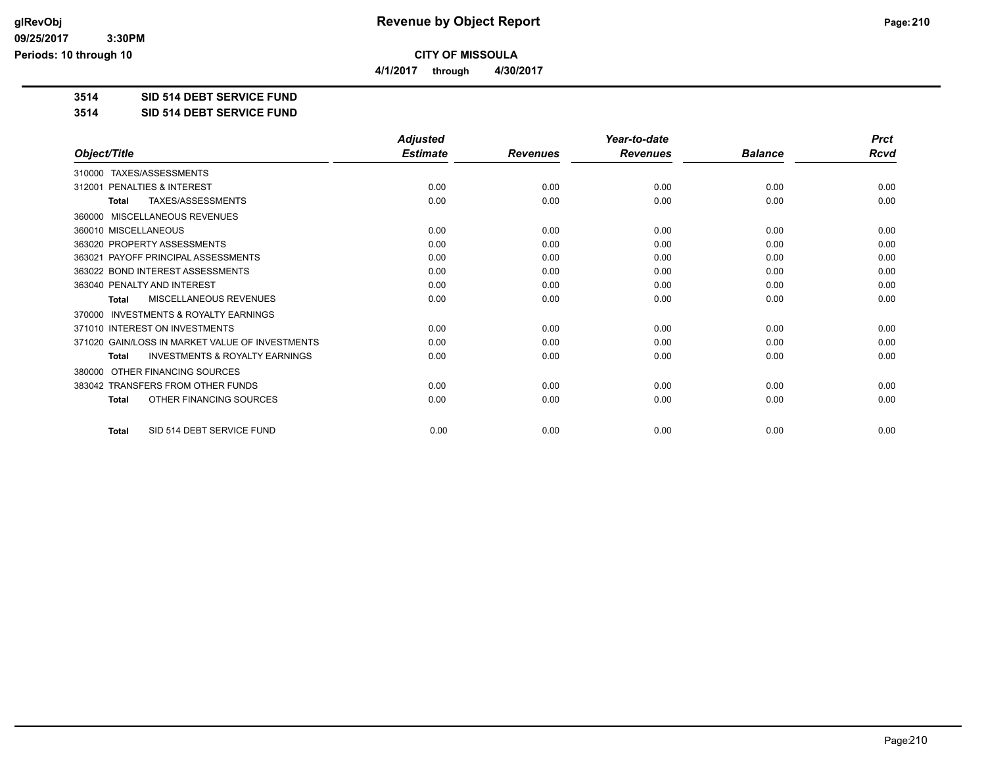**4/1/2017 through 4/30/2017**

**3514 SID 514 DEBT SERVICE FUND**

**3514 SID 514 DEBT SERVICE FUND**

|                                                           | <b>Adjusted</b> |                 | Year-to-date    |                | <b>Prct</b> |
|-----------------------------------------------------------|-----------------|-----------------|-----------------|----------------|-------------|
| Object/Title                                              | <b>Estimate</b> | <b>Revenues</b> | <b>Revenues</b> | <b>Balance</b> | <b>Rcvd</b> |
| TAXES/ASSESSMENTS<br>310000                               |                 |                 |                 |                |             |
| PENALTIES & INTEREST<br>312001                            | 0.00            | 0.00            | 0.00            | 0.00           | 0.00        |
| TAXES/ASSESSMENTS<br>Total                                | 0.00            | 0.00            | 0.00            | 0.00           | 0.00        |
| MISCELLANEOUS REVENUES<br>360000                          |                 |                 |                 |                |             |
| 360010 MISCELLANEOUS                                      | 0.00            | 0.00            | 0.00            | 0.00           | 0.00        |
| 363020 PROPERTY ASSESSMENTS                               | 0.00            | 0.00            | 0.00            | 0.00           | 0.00        |
| 363021 PAYOFF PRINCIPAL ASSESSMENTS                       | 0.00            | 0.00            | 0.00            | 0.00           | 0.00        |
| 363022 BOND INTEREST ASSESSMENTS                          | 0.00            | 0.00            | 0.00            | 0.00           | 0.00        |
| 363040 PENALTY AND INTEREST                               | 0.00            | 0.00            | 0.00            | 0.00           | 0.00        |
| MISCELLANEOUS REVENUES<br><b>Total</b>                    | 0.00            | 0.00            | 0.00            | 0.00           | 0.00        |
| <b>INVESTMENTS &amp; ROYALTY EARNINGS</b><br>370000       |                 |                 |                 |                |             |
| 371010 INTEREST ON INVESTMENTS                            | 0.00            | 0.00            | 0.00            | 0.00           | 0.00        |
| 371020 GAIN/LOSS IN MARKET VALUE OF INVESTMENTS           | 0.00            | 0.00            | 0.00            | 0.00           | 0.00        |
| <b>INVESTMENTS &amp; ROYALTY EARNINGS</b><br><b>Total</b> | 0.00            | 0.00            | 0.00            | 0.00           | 0.00        |
| OTHER FINANCING SOURCES<br>380000                         |                 |                 |                 |                |             |
| 383042 TRANSFERS FROM OTHER FUNDS                         | 0.00            | 0.00            | 0.00            | 0.00           | 0.00        |
| OTHER FINANCING SOURCES<br><b>Total</b>                   | 0.00            | 0.00            | 0.00            | 0.00           | 0.00        |
| SID 514 DEBT SERVICE FUND<br><b>Total</b>                 | 0.00            | 0.00            | 0.00            | 0.00           | 0.00        |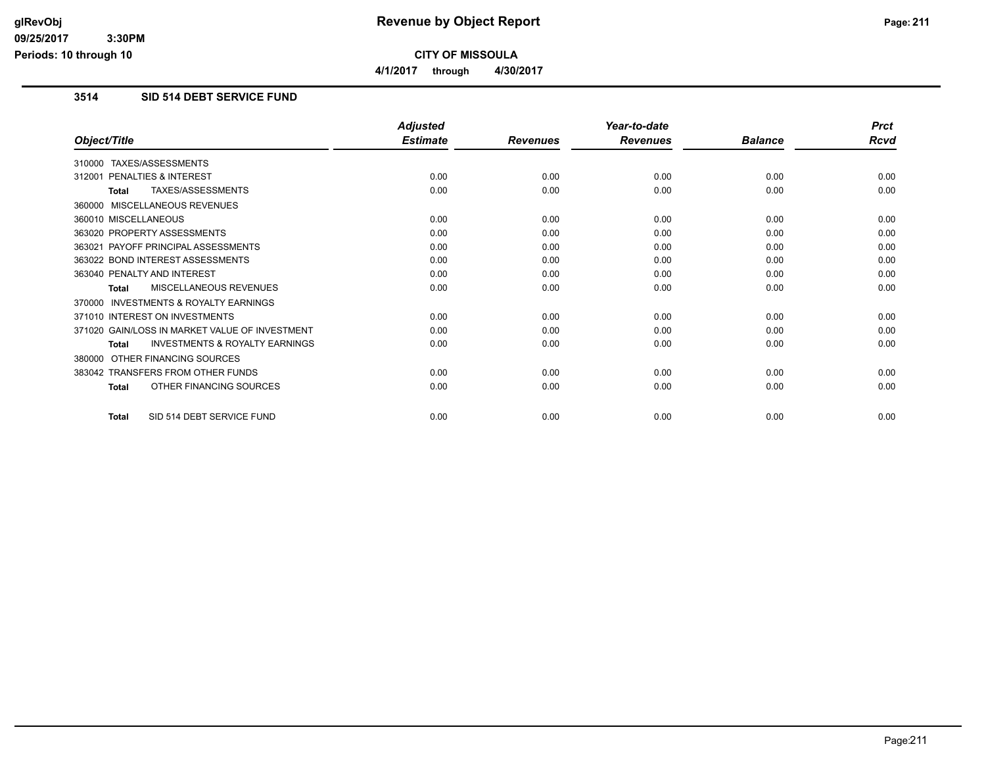**4/1/2017 through 4/30/2017**

## **3514 SID 514 DEBT SERVICE FUND**

|                                                           | <b>Adjusted</b> |                 | Year-to-date    |                | <b>Prct</b> |
|-----------------------------------------------------------|-----------------|-----------------|-----------------|----------------|-------------|
| Object/Title                                              | <b>Estimate</b> | <b>Revenues</b> | <b>Revenues</b> | <b>Balance</b> | Rcvd        |
| 310000 TAXES/ASSESSMENTS                                  |                 |                 |                 |                |             |
| PENALTIES & INTEREST<br>312001                            | 0.00            | 0.00            | 0.00            | 0.00           | 0.00        |
| TAXES/ASSESSMENTS<br><b>Total</b>                         | 0.00            | 0.00            | 0.00            | 0.00           | 0.00        |
| 360000 MISCELLANEOUS REVENUES                             |                 |                 |                 |                |             |
| 360010 MISCELLANEOUS                                      | 0.00            | 0.00            | 0.00            | 0.00           | 0.00        |
| 363020 PROPERTY ASSESSMENTS                               | 0.00            | 0.00            | 0.00            | 0.00           | 0.00        |
| 363021 PAYOFF PRINCIPAL ASSESSMENTS                       | 0.00            | 0.00            | 0.00            | 0.00           | 0.00        |
| 363022 BOND INTEREST ASSESSMENTS                          | 0.00            | 0.00            | 0.00            | 0.00           | 0.00        |
| 363040 PENALTY AND INTEREST                               | 0.00            | 0.00            | 0.00            | 0.00           | 0.00        |
| MISCELLANEOUS REVENUES<br><b>Total</b>                    | 0.00            | 0.00            | 0.00            | 0.00           | 0.00        |
| 370000 INVESTMENTS & ROYALTY EARNINGS                     |                 |                 |                 |                |             |
| 371010 INTEREST ON INVESTMENTS                            | 0.00            | 0.00            | 0.00            | 0.00           | 0.00        |
| 371020 GAIN/LOSS IN MARKET VALUE OF INVESTMENT            | 0.00            | 0.00            | 0.00            | 0.00           | 0.00        |
| <b>INVESTMENTS &amp; ROYALTY EARNINGS</b><br><b>Total</b> | 0.00            | 0.00            | 0.00            | 0.00           | 0.00        |
| 380000 OTHER FINANCING SOURCES                            |                 |                 |                 |                |             |
| 383042 TRANSFERS FROM OTHER FUNDS                         | 0.00            | 0.00            | 0.00            | 0.00           | 0.00        |
| OTHER FINANCING SOURCES<br><b>Total</b>                   | 0.00            | 0.00            | 0.00            | 0.00           | 0.00        |
| SID 514 DEBT SERVICE FUND<br><b>Total</b>                 | 0.00            | 0.00            | 0.00            | 0.00           | 0.00        |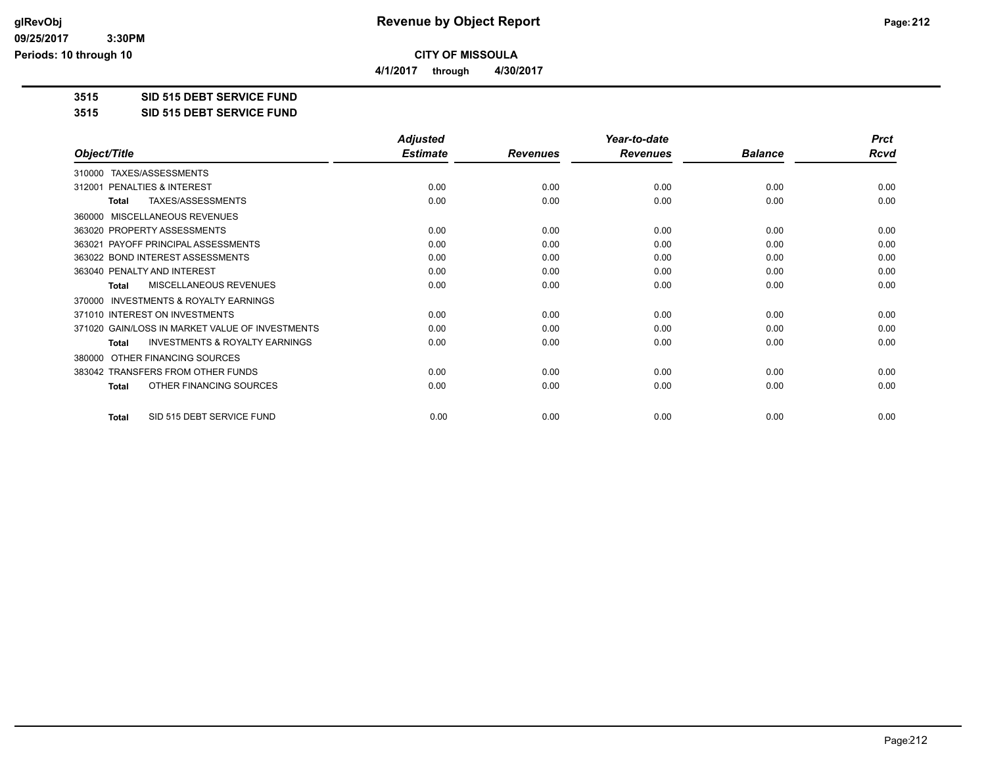**4/1/2017 through 4/30/2017**

**3515 SID 515 DEBT SERVICE FUND**

**3515 SID 515 DEBT SERVICE FUND**

|                                                     | <b>Adjusted</b> |                 | Year-to-date    |                | <b>Prct</b> |
|-----------------------------------------------------|-----------------|-----------------|-----------------|----------------|-------------|
| Object/Title                                        | <b>Estimate</b> | <b>Revenues</b> | <b>Revenues</b> | <b>Balance</b> | <b>Rcvd</b> |
| TAXES/ASSESSMENTS<br>310000                         |                 |                 |                 |                |             |
| PENALTIES & INTEREST<br>312001                      | 0.00            | 0.00            | 0.00            | 0.00           | 0.00        |
| TAXES/ASSESSMENTS<br>Total                          | 0.00            | 0.00            | 0.00            | 0.00           | 0.00        |
| MISCELLANEOUS REVENUES<br>360000                    |                 |                 |                 |                |             |
| 363020 PROPERTY ASSESSMENTS                         | 0.00            | 0.00            | 0.00            | 0.00           | 0.00        |
| 363021 PAYOFF PRINCIPAL ASSESSMENTS                 | 0.00            | 0.00            | 0.00            | 0.00           | 0.00        |
| 363022 BOND INTEREST ASSESSMENTS                    | 0.00            | 0.00            | 0.00            | 0.00           | 0.00        |
| 363040 PENALTY AND INTEREST                         | 0.00            | 0.00            | 0.00            | 0.00           | 0.00        |
| <b>MISCELLANEOUS REVENUES</b><br><b>Total</b>       | 0.00            | 0.00            | 0.00            | 0.00           | 0.00        |
| <b>INVESTMENTS &amp; ROYALTY EARNINGS</b><br>370000 |                 |                 |                 |                |             |
| 371010 INTEREST ON INVESTMENTS                      | 0.00            | 0.00            | 0.00            | 0.00           | 0.00        |
| 371020 GAIN/LOSS IN MARKET VALUE OF INVESTMENTS     | 0.00            | 0.00            | 0.00            | 0.00           | 0.00        |
| <b>INVESTMENTS &amp; ROYALTY EARNINGS</b><br>Total  | 0.00            | 0.00            | 0.00            | 0.00           | 0.00        |
| OTHER FINANCING SOURCES<br>380000                   |                 |                 |                 |                |             |
| 383042 TRANSFERS FROM OTHER FUNDS                   | 0.00            | 0.00            | 0.00            | 0.00           | 0.00        |
| OTHER FINANCING SOURCES<br><b>Total</b>             | 0.00            | 0.00            | 0.00            | 0.00           | 0.00        |
|                                                     |                 |                 |                 |                |             |
| SID 515 DEBT SERVICE FUND<br><b>Total</b>           | 0.00            | 0.00            | 0.00            | 0.00           | 0.00        |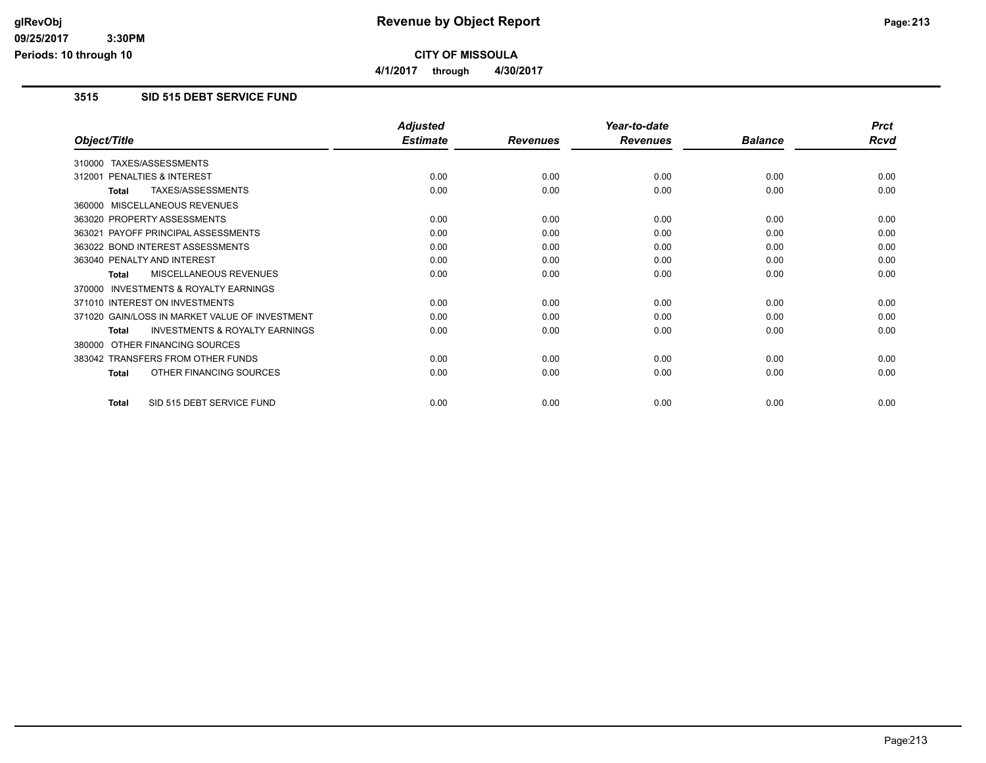**4/1/2017 through 4/30/2017**

# **3515 SID 515 DEBT SERVICE FUND**

|                                                           | <b>Adjusted</b> |                 | Year-to-date    |                | <b>Prct</b> |
|-----------------------------------------------------------|-----------------|-----------------|-----------------|----------------|-------------|
| Object/Title                                              | <b>Estimate</b> | <b>Revenues</b> | <b>Revenues</b> | <b>Balance</b> | <b>Rcvd</b> |
| TAXES/ASSESSMENTS<br>310000                               |                 |                 |                 |                |             |
| 312001 PENALTIES & INTEREST                               | 0.00            | 0.00            | 0.00            | 0.00           | 0.00        |
| TAXES/ASSESSMENTS<br>Total                                | 0.00            | 0.00            | 0.00            | 0.00           | 0.00        |
| <b>MISCELLANEOUS REVENUES</b><br>360000                   |                 |                 |                 |                |             |
| 363020 PROPERTY ASSESSMENTS                               | 0.00            | 0.00            | 0.00            | 0.00           | 0.00        |
| 363021 PAYOFF PRINCIPAL ASSESSMENTS                       | 0.00            | 0.00            | 0.00            | 0.00           | 0.00        |
| 363022 BOND INTEREST ASSESSMENTS                          | 0.00            | 0.00            | 0.00            | 0.00           | 0.00        |
| 363040 PENALTY AND INTEREST                               | 0.00            | 0.00            | 0.00            | 0.00           | 0.00        |
| MISCELLANEOUS REVENUES<br><b>Total</b>                    | 0.00            | 0.00            | 0.00            | 0.00           | 0.00        |
| <b>INVESTMENTS &amp; ROYALTY EARNINGS</b><br>370000       |                 |                 |                 |                |             |
| 371010 INTEREST ON INVESTMENTS                            | 0.00            | 0.00            | 0.00            | 0.00           | 0.00        |
| 371020 GAIN/LOSS IN MARKET VALUE OF INVESTMENT            | 0.00            | 0.00            | 0.00            | 0.00           | 0.00        |
| <b>INVESTMENTS &amp; ROYALTY EARNINGS</b><br><b>Total</b> | 0.00            | 0.00            | 0.00            | 0.00           | 0.00        |
| OTHER FINANCING SOURCES<br>380000                         |                 |                 |                 |                |             |
| 383042 TRANSFERS FROM OTHER FUNDS                         | 0.00            | 0.00            | 0.00            | 0.00           | 0.00        |
| OTHER FINANCING SOURCES<br>Total                          | 0.00            | 0.00            | 0.00            | 0.00           | 0.00        |
| SID 515 DEBT SERVICE FUND<br><b>Total</b>                 | 0.00            | 0.00            | 0.00            | 0.00           | 0.00        |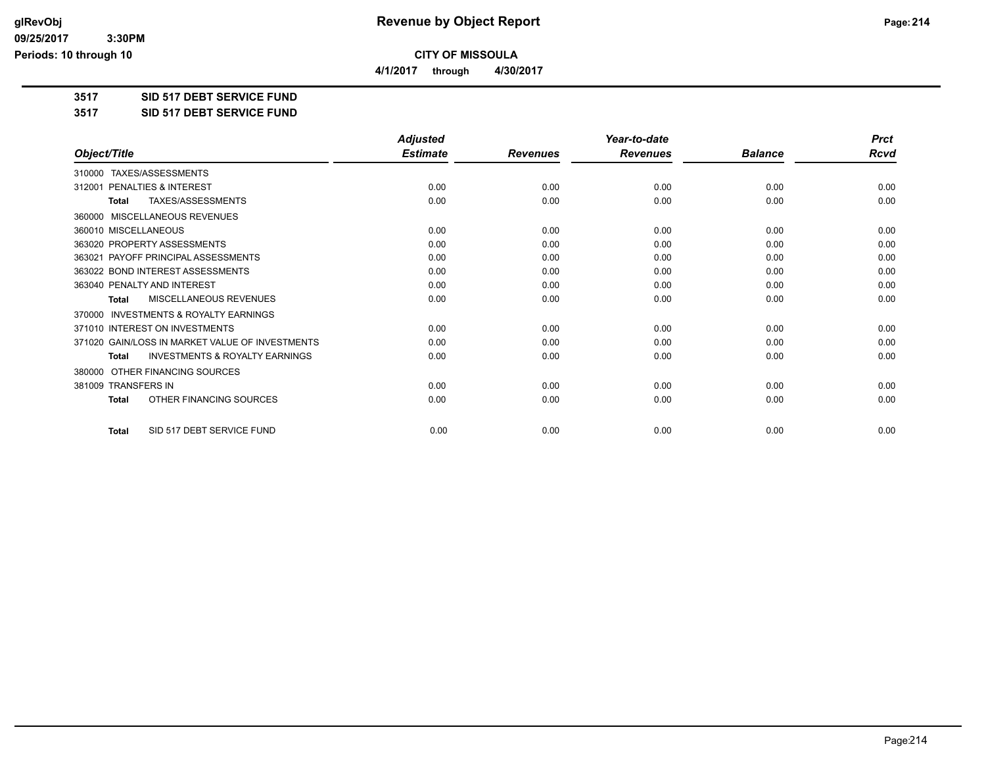**4/1/2017 through 4/30/2017**

**3517 SID 517 DEBT SERVICE FUND**

**3517 SID 517 DEBT SERVICE FUND**

|                                                           | <b>Adjusted</b> |                 | Year-to-date    |                | <b>Prct</b> |
|-----------------------------------------------------------|-----------------|-----------------|-----------------|----------------|-------------|
| Object/Title                                              | <b>Estimate</b> | <b>Revenues</b> | <b>Revenues</b> | <b>Balance</b> | Rcvd        |
| 310000 TAXES/ASSESSMENTS                                  |                 |                 |                 |                |             |
| PENALTIES & INTEREST<br>312001                            | 0.00            | 0.00            | 0.00            | 0.00           | 0.00        |
| TAXES/ASSESSMENTS<br>Total                                | 0.00            | 0.00            | 0.00            | 0.00           | 0.00        |
| 360000 MISCELLANEOUS REVENUES                             |                 |                 |                 |                |             |
| 360010 MISCELLANEOUS                                      | 0.00            | 0.00            | 0.00            | 0.00           | 0.00        |
| 363020 PROPERTY ASSESSMENTS                               | 0.00            | 0.00            | 0.00            | 0.00           | 0.00        |
| 363021 PAYOFF PRINCIPAL ASSESSMENTS                       | 0.00            | 0.00            | 0.00            | 0.00           | 0.00        |
| 363022 BOND INTEREST ASSESSMENTS                          | 0.00            | 0.00            | 0.00            | 0.00           | 0.00        |
| 363040 PENALTY AND INTEREST                               | 0.00            | 0.00            | 0.00            | 0.00           | 0.00        |
| MISCELLANEOUS REVENUES<br>Total                           | 0.00            | 0.00            | 0.00            | 0.00           | 0.00        |
| <b>INVESTMENTS &amp; ROYALTY EARNINGS</b><br>370000       |                 |                 |                 |                |             |
| 371010 INTEREST ON INVESTMENTS                            | 0.00            | 0.00            | 0.00            | 0.00           | 0.00        |
| 371020 GAIN/LOSS IN MARKET VALUE OF INVESTMENTS           | 0.00            | 0.00            | 0.00            | 0.00           | 0.00        |
| <b>INVESTMENTS &amp; ROYALTY EARNINGS</b><br><b>Total</b> | 0.00            | 0.00            | 0.00            | 0.00           | 0.00        |
| 380000 OTHER FINANCING SOURCES                            |                 |                 |                 |                |             |
| 381009 TRANSFERS IN                                       | 0.00            | 0.00            | 0.00            | 0.00           | 0.00        |
| OTHER FINANCING SOURCES<br><b>Total</b>                   | 0.00            | 0.00            | 0.00            | 0.00           | 0.00        |
| SID 517 DEBT SERVICE FUND<br><b>Total</b>                 | 0.00            | 0.00            | 0.00            | 0.00           | 0.00        |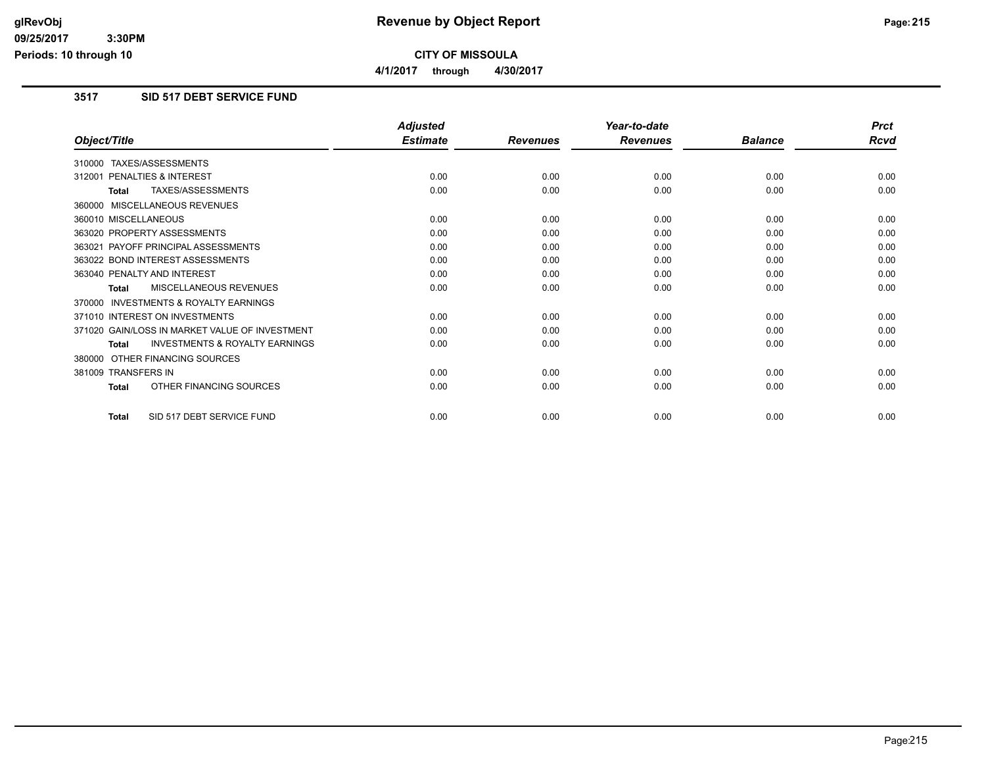**4/1/2017 through 4/30/2017**

# **3517 SID 517 DEBT SERVICE FUND**

|                                                           | <b>Adjusted</b> |                 | Year-to-date    |                | <b>Prct</b> |
|-----------------------------------------------------------|-----------------|-----------------|-----------------|----------------|-------------|
| Object/Title                                              | <b>Estimate</b> | <b>Revenues</b> | <b>Revenues</b> | <b>Balance</b> | Rcvd        |
| 310000 TAXES/ASSESSMENTS                                  |                 |                 |                 |                |             |
| PENALTIES & INTEREST<br>312001                            | 0.00            | 0.00            | 0.00            | 0.00           | 0.00        |
| TAXES/ASSESSMENTS<br><b>Total</b>                         | 0.00            | 0.00            | 0.00            | 0.00           | 0.00        |
| 360000 MISCELLANEOUS REVENUES                             |                 |                 |                 |                |             |
| 360010 MISCELLANEOUS                                      | 0.00            | 0.00            | 0.00            | 0.00           | 0.00        |
| 363020 PROPERTY ASSESSMENTS                               | 0.00            | 0.00            | 0.00            | 0.00           | 0.00        |
| 363021 PAYOFF PRINCIPAL ASSESSMENTS                       | 0.00            | 0.00            | 0.00            | 0.00           | 0.00        |
| 363022 BOND INTEREST ASSESSMENTS                          | 0.00            | 0.00            | 0.00            | 0.00           | 0.00        |
| 363040 PENALTY AND INTEREST                               | 0.00            | 0.00            | 0.00            | 0.00           | 0.00        |
| MISCELLANEOUS REVENUES<br><b>Total</b>                    | 0.00            | 0.00            | 0.00            | 0.00           | 0.00        |
| 370000 INVESTMENTS & ROYALTY EARNINGS                     |                 |                 |                 |                |             |
| 371010 INTEREST ON INVESTMENTS                            | 0.00            | 0.00            | 0.00            | 0.00           | 0.00        |
| 371020 GAIN/LOSS IN MARKET VALUE OF INVESTMENT            | 0.00            | 0.00            | 0.00            | 0.00           | 0.00        |
| <b>INVESTMENTS &amp; ROYALTY EARNINGS</b><br><b>Total</b> | 0.00            | 0.00            | 0.00            | 0.00           | 0.00        |
| 380000 OTHER FINANCING SOURCES                            |                 |                 |                 |                |             |
| 381009 TRANSFERS IN                                       | 0.00            | 0.00            | 0.00            | 0.00           | 0.00        |
| OTHER FINANCING SOURCES<br><b>Total</b>                   | 0.00            | 0.00            | 0.00            | 0.00           | 0.00        |
| SID 517 DEBT SERVICE FUND<br><b>Total</b>                 | 0.00            | 0.00            | 0.00            | 0.00           | 0.00        |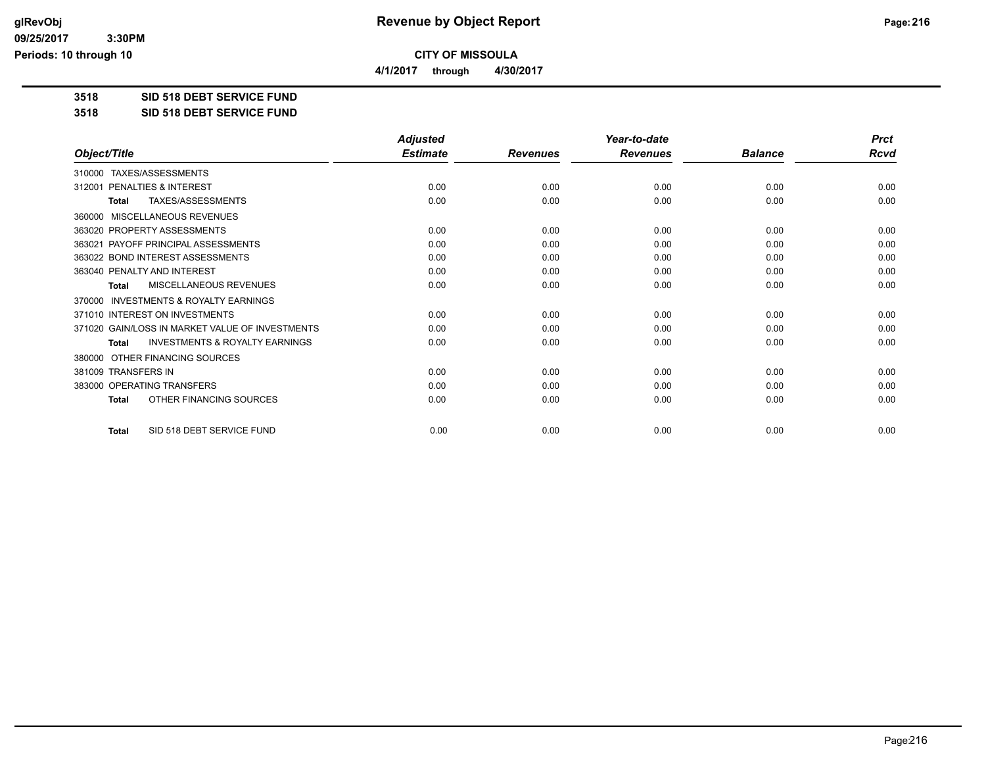**4/1/2017 through 4/30/2017**

**3518 SID 518 DEBT SERVICE FUND**

**3518 SID 518 DEBT SERVICE FUND**

|                                                           | <b>Adjusted</b> |                 | Year-to-date    |                | <b>Prct</b> |
|-----------------------------------------------------------|-----------------|-----------------|-----------------|----------------|-------------|
| Object/Title                                              | <b>Estimate</b> | <b>Revenues</b> | <b>Revenues</b> | <b>Balance</b> | <b>Rcvd</b> |
| TAXES/ASSESSMENTS<br>310000                               |                 |                 |                 |                |             |
| PENALTIES & INTEREST<br>312001                            | 0.00            | 0.00            | 0.00            | 0.00           | 0.00        |
| TAXES/ASSESSMENTS<br><b>Total</b>                         | 0.00            | 0.00            | 0.00            | 0.00           | 0.00        |
| MISCELLANEOUS REVENUES<br>360000                          |                 |                 |                 |                |             |
| 363020 PROPERTY ASSESSMENTS                               | 0.00            | 0.00            | 0.00            | 0.00           | 0.00        |
| 363021 PAYOFF PRINCIPAL ASSESSMENTS                       | 0.00            | 0.00            | 0.00            | 0.00           | 0.00        |
| 363022 BOND INTEREST ASSESSMENTS                          | 0.00            | 0.00            | 0.00            | 0.00           | 0.00        |
| 363040 PENALTY AND INTEREST                               | 0.00            | 0.00            | 0.00            | 0.00           | 0.00        |
| MISCELLANEOUS REVENUES<br><b>Total</b>                    | 0.00            | 0.00            | 0.00            | 0.00           | 0.00        |
| <b>INVESTMENTS &amp; ROYALTY EARNINGS</b><br>370000       |                 |                 |                 |                |             |
| 371010 INTEREST ON INVESTMENTS                            | 0.00            | 0.00            | 0.00            | 0.00           | 0.00        |
| 371020 GAIN/LOSS IN MARKET VALUE OF INVESTMENTS           | 0.00            | 0.00            | 0.00            | 0.00           | 0.00        |
| <b>INVESTMENTS &amp; ROYALTY EARNINGS</b><br><b>Total</b> | 0.00            | 0.00            | 0.00            | 0.00           | 0.00        |
| OTHER FINANCING SOURCES<br>380000                         |                 |                 |                 |                |             |
| 381009 TRANSFERS IN                                       | 0.00            | 0.00            | 0.00            | 0.00           | 0.00        |
| 383000 OPERATING TRANSFERS                                | 0.00            | 0.00            | 0.00            | 0.00           | 0.00        |
| OTHER FINANCING SOURCES<br><b>Total</b>                   | 0.00            | 0.00            | 0.00            | 0.00           | 0.00        |
| SID 518 DEBT SERVICE FUND<br><b>Total</b>                 | 0.00            | 0.00            | 0.00            | 0.00           | 0.00        |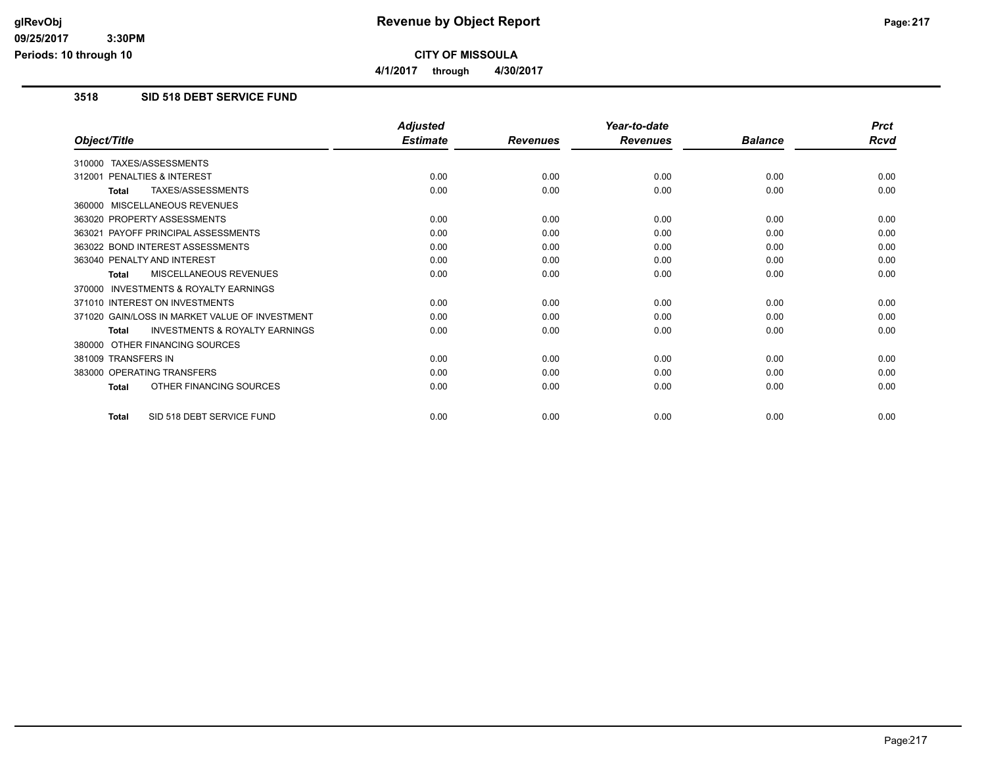**4/1/2017 through 4/30/2017**

#### **3518 SID 518 DEBT SERVICE FUND**

|                                                           | <b>Adjusted</b> |                 | Year-to-date    |                | <b>Prct</b> |
|-----------------------------------------------------------|-----------------|-----------------|-----------------|----------------|-------------|
| Object/Title                                              | <b>Estimate</b> | <b>Revenues</b> | <b>Revenues</b> | <b>Balance</b> | <b>Rcvd</b> |
| 310000 TAXES/ASSESSMENTS                                  |                 |                 |                 |                |             |
| 312001 PENALTIES & INTEREST                               | 0.00            | 0.00            | 0.00            | 0.00           | 0.00        |
| TAXES/ASSESSMENTS<br><b>Total</b>                         | 0.00            | 0.00            | 0.00            | 0.00           | 0.00        |
| 360000 MISCELLANEOUS REVENUES                             |                 |                 |                 |                |             |
| 363020 PROPERTY ASSESSMENTS                               | 0.00            | 0.00            | 0.00            | 0.00           | 0.00        |
| 363021 PAYOFF PRINCIPAL ASSESSMENTS                       | 0.00            | 0.00            | 0.00            | 0.00           | 0.00        |
| 363022 BOND INTEREST ASSESSMENTS                          | 0.00            | 0.00            | 0.00            | 0.00           | 0.00        |
| 363040 PENALTY AND INTEREST                               | 0.00            | 0.00            | 0.00            | 0.00           | 0.00        |
| MISCELLANEOUS REVENUES<br>Total                           | 0.00            | 0.00            | 0.00            | 0.00           | 0.00        |
| <b>INVESTMENTS &amp; ROYALTY EARNINGS</b><br>370000       |                 |                 |                 |                |             |
| 371010 INTEREST ON INVESTMENTS                            | 0.00            | 0.00            | 0.00            | 0.00           | 0.00        |
| 371020 GAIN/LOSS IN MARKET VALUE OF INVESTMENT            | 0.00            | 0.00            | 0.00            | 0.00           | 0.00        |
| <b>INVESTMENTS &amp; ROYALTY EARNINGS</b><br><b>Total</b> | 0.00            | 0.00            | 0.00            | 0.00           | 0.00        |
| 380000 OTHER FINANCING SOURCES                            |                 |                 |                 |                |             |
| 381009 TRANSFERS IN                                       | 0.00            | 0.00            | 0.00            | 0.00           | 0.00        |
| 383000 OPERATING TRANSFERS                                | 0.00            | 0.00            | 0.00            | 0.00           | 0.00        |
| OTHER FINANCING SOURCES<br>Total                          | 0.00            | 0.00            | 0.00            | 0.00           | 0.00        |
| SID 518 DEBT SERVICE FUND<br>Total                        | 0.00            | 0.00            | 0.00            | 0.00           | 0.00        |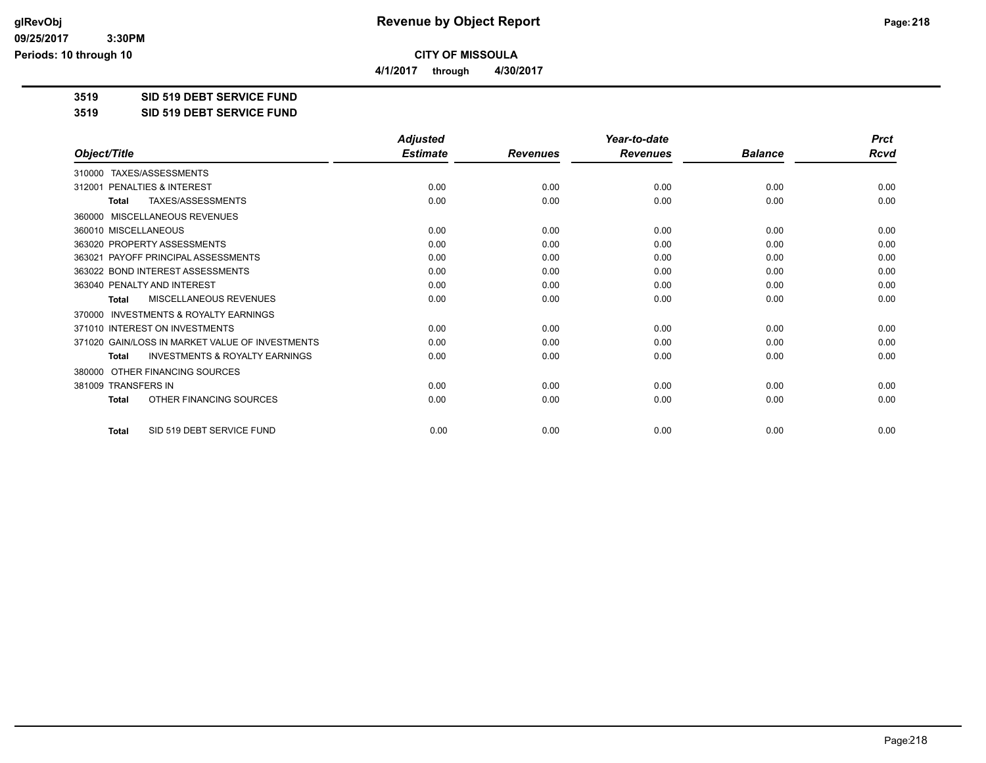**4/1/2017 through 4/30/2017**

**3519 SID 519 DEBT SERVICE FUND**

**3519 SID 519 DEBT SERVICE FUND**

|                                                           | <b>Adjusted</b> |                 | Year-to-date    |                | <b>Prct</b> |
|-----------------------------------------------------------|-----------------|-----------------|-----------------|----------------|-------------|
| Object/Title                                              | <b>Estimate</b> | <b>Revenues</b> | <b>Revenues</b> | <b>Balance</b> | <b>Rcvd</b> |
| TAXES/ASSESSMENTS<br>310000                               |                 |                 |                 |                |             |
| PENALTIES & INTEREST<br>312001                            | 0.00            | 0.00            | 0.00            | 0.00           | 0.00        |
| TAXES/ASSESSMENTS<br><b>Total</b>                         | 0.00            | 0.00            | 0.00            | 0.00           | 0.00        |
| MISCELLANEOUS REVENUES<br>360000                          |                 |                 |                 |                |             |
| 360010 MISCELLANEOUS                                      | 0.00            | 0.00            | 0.00            | 0.00           | 0.00        |
| 363020 PROPERTY ASSESSMENTS                               | 0.00            | 0.00            | 0.00            | 0.00           | 0.00        |
| 363021 PAYOFF PRINCIPAL ASSESSMENTS                       | 0.00            | 0.00            | 0.00            | 0.00           | 0.00        |
| 363022 BOND INTEREST ASSESSMENTS                          | 0.00            | 0.00            | 0.00            | 0.00           | 0.00        |
| 363040 PENALTY AND INTEREST                               | 0.00            | 0.00            | 0.00            | 0.00           | 0.00        |
| MISCELLANEOUS REVENUES<br><b>Total</b>                    | 0.00            | 0.00            | 0.00            | 0.00           | 0.00        |
| <b>INVESTMENTS &amp; ROYALTY EARNINGS</b><br>370000       |                 |                 |                 |                |             |
| 371010 INTEREST ON INVESTMENTS                            | 0.00            | 0.00            | 0.00            | 0.00           | 0.00        |
| 371020 GAIN/LOSS IN MARKET VALUE OF INVESTMENTS           | 0.00            | 0.00            | 0.00            | 0.00           | 0.00        |
| <b>INVESTMENTS &amp; ROYALTY EARNINGS</b><br><b>Total</b> | 0.00            | 0.00            | 0.00            | 0.00           | 0.00        |
| OTHER FINANCING SOURCES<br>380000                         |                 |                 |                 |                |             |
| 381009 TRANSFERS IN                                       | 0.00            | 0.00            | 0.00            | 0.00           | 0.00        |
| OTHER FINANCING SOURCES<br><b>Total</b>                   | 0.00            | 0.00            | 0.00            | 0.00           | 0.00        |
| SID 519 DEBT SERVICE FUND<br><b>Total</b>                 | 0.00            | 0.00            | 0.00            | 0.00           | 0.00        |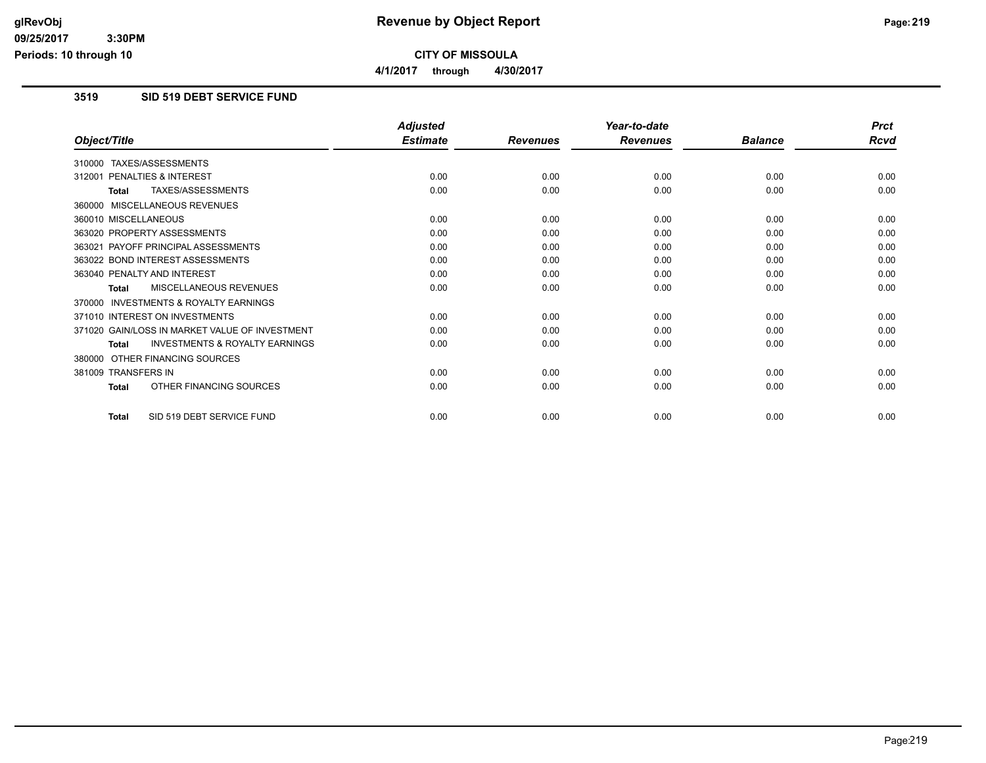**4/1/2017 through 4/30/2017**

### **3519 SID 519 DEBT SERVICE FUND**

|                                                           | <b>Adjusted</b> |                 | Year-to-date    |                | <b>Prct</b> |
|-----------------------------------------------------------|-----------------|-----------------|-----------------|----------------|-------------|
| Object/Title                                              | <b>Estimate</b> | <b>Revenues</b> | <b>Revenues</b> | <b>Balance</b> | <b>Rcvd</b> |
| 310000 TAXES/ASSESSMENTS                                  |                 |                 |                 |                |             |
| PENALTIES & INTEREST<br>312001                            | 0.00            | 0.00            | 0.00            | 0.00           | 0.00        |
| <b>TAXES/ASSESSMENTS</b><br>Total                         | 0.00            | 0.00            | 0.00            | 0.00           | 0.00        |
| 360000 MISCELLANEOUS REVENUES                             |                 |                 |                 |                |             |
| 360010 MISCELLANEOUS                                      | 0.00            | 0.00            | 0.00            | 0.00           | 0.00        |
| 363020 PROPERTY ASSESSMENTS                               | 0.00            | 0.00            | 0.00            | 0.00           | 0.00        |
| 363021 PAYOFF PRINCIPAL ASSESSMENTS                       | 0.00            | 0.00            | 0.00            | 0.00           | 0.00        |
| 363022 BOND INTEREST ASSESSMENTS                          | 0.00            | 0.00            | 0.00            | 0.00           | 0.00        |
| 363040 PENALTY AND INTEREST                               | 0.00            | 0.00            | 0.00            | 0.00           | 0.00        |
| <b>MISCELLANEOUS REVENUES</b><br><b>Total</b>             | 0.00            | 0.00            | 0.00            | 0.00           | 0.00        |
| 370000 INVESTMENTS & ROYALTY EARNINGS                     |                 |                 |                 |                |             |
| 371010 INTEREST ON INVESTMENTS                            | 0.00            | 0.00            | 0.00            | 0.00           | 0.00        |
| 371020 GAIN/LOSS IN MARKET VALUE OF INVESTMENT            | 0.00            | 0.00            | 0.00            | 0.00           | 0.00        |
| <b>INVESTMENTS &amp; ROYALTY EARNINGS</b><br><b>Total</b> | 0.00            | 0.00            | 0.00            | 0.00           | 0.00        |
| 380000 OTHER FINANCING SOURCES                            |                 |                 |                 |                |             |
| 381009 TRANSFERS IN                                       | 0.00            | 0.00            | 0.00            | 0.00           | 0.00        |
| OTHER FINANCING SOURCES<br><b>Total</b>                   | 0.00            | 0.00            | 0.00            | 0.00           | 0.00        |
| SID 519 DEBT SERVICE FUND<br><b>Total</b>                 | 0.00            | 0.00            | 0.00            | 0.00           | 0.00        |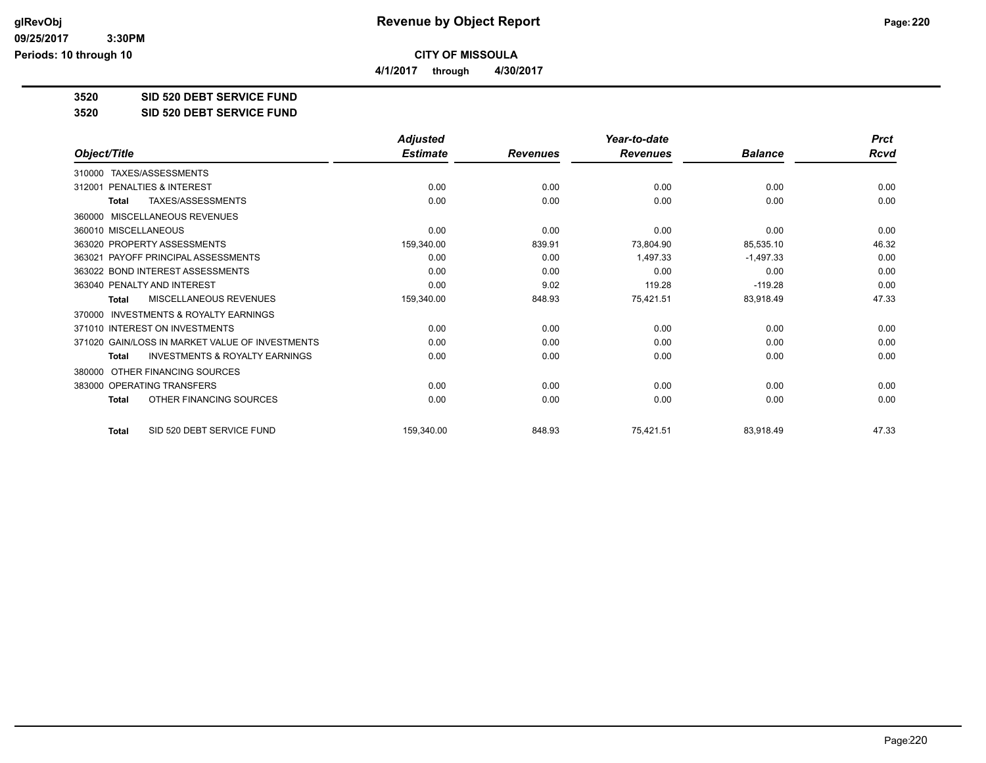**4/1/2017 through 4/30/2017**

**3520 SID 520 DEBT SERVICE FUND**

**3520 SID 520 DEBT SERVICE FUND**

|                                                           | <b>Adjusted</b> |                 | Year-to-date    |                | <b>Prct</b> |
|-----------------------------------------------------------|-----------------|-----------------|-----------------|----------------|-------------|
| Object/Title                                              | <b>Estimate</b> | <b>Revenues</b> | <b>Revenues</b> | <b>Balance</b> | <b>Rcvd</b> |
| TAXES/ASSESSMENTS<br>310000                               |                 |                 |                 |                |             |
| PENALTIES & INTEREST<br>312001                            | 0.00            | 0.00            | 0.00            | 0.00           | 0.00        |
| TAXES/ASSESSMENTS<br><b>Total</b>                         | 0.00            | 0.00            | 0.00            | 0.00           | 0.00        |
| MISCELLANEOUS REVENUES<br>360000                          |                 |                 |                 |                |             |
| 360010 MISCELLANEOUS                                      | 0.00            | 0.00            | 0.00            | 0.00           | 0.00        |
| 363020 PROPERTY ASSESSMENTS                               | 159,340.00      | 839.91          | 73,804.90       | 85,535.10      | 46.32       |
| 363021 PAYOFF PRINCIPAL ASSESSMENTS                       | 0.00            | 0.00            | 1,497.33        | $-1,497.33$    | 0.00        |
| 363022 BOND INTEREST ASSESSMENTS                          | 0.00            | 0.00            | 0.00            | 0.00           | 0.00        |
| 363040 PENALTY AND INTEREST                               | 0.00            | 9.02            | 119.28          | $-119.28$      | 0.00        |
| <b>MISCELLANEOUS REVENUES</b><br><b>Total</b>             | 159,340.00      | 848.93          | 75,421.51       | 83,918.49      | 47.33       |
| <b>INVESTMENTS &amp; ROYALTY EARNINGS</b><br>370000       |                 |                 |                 |                |             |
| 371010 INTEREST ON INVESTMENTS                            | 0.00            | 0.00            | 0.00            | 0.00           | 0.00        |
| 371020 GAIN/LOSS IN MARKET VALUE OF INVESTMENTS           | 0.00            | 0.00            | 0.00            | 0.00           | 0.00        |
| <b>INVESTMENTS &amp; ROYALTY EARNINGS</b><br><b>Total</b> | 0.00            | 0.00            | 0.00            | 0.00           | 0.00        |
| OTHER FINANCING SOURCES<br>380000                         |                 |                 |                 |                |             |
| 383000 OPERATING TRANSFERS                                | 0.00            | 0.00            | 0.00            | 0.00           | 0.00        |
| OTHER FINANCING SOURCES<br>Total                          | 0.00            | 0.00            | 0.00            | 0.00           | 0.00        |
| SID 520 DEBT SERVICE FUND<br><b>Total</b>                 | 159,340.00      | 848.93          | 75,421.51       | 83,918.49      | 47.33       |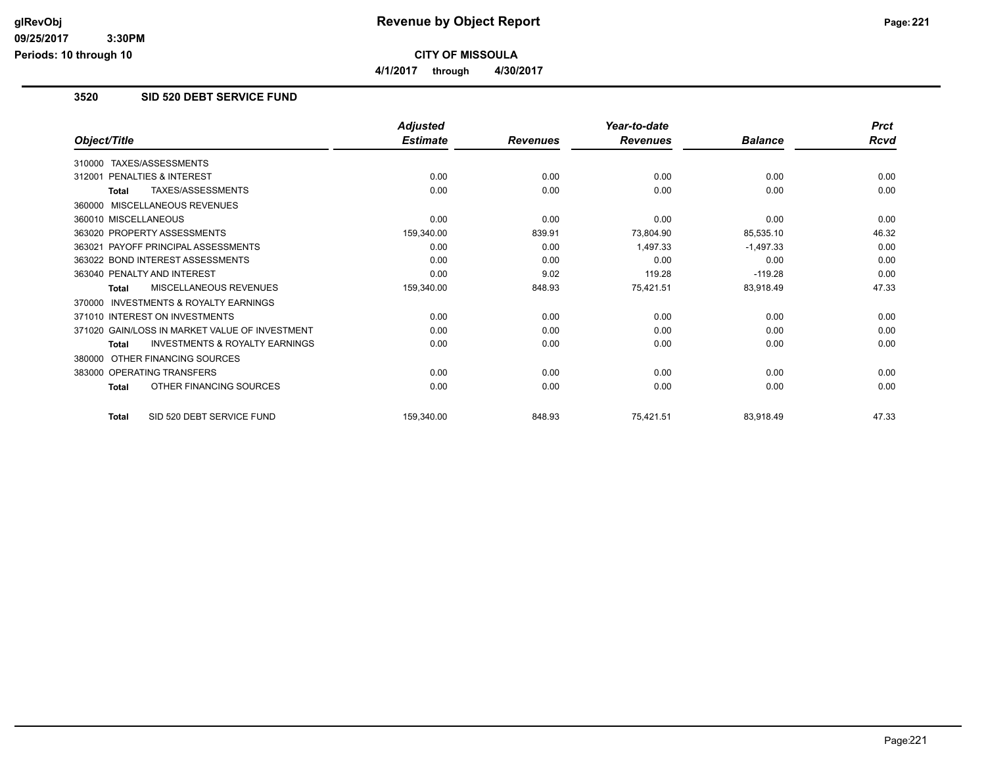**4/1/2017 through 4/30/2017**

# **3520 SID 520 DEBT SERVICE FUND**

|                                                           | <b>Adjusted</b> |                 | Year-to-date    |                | <b>Prct</b> |
|-----------------------------------------------------------|-----------------|-----------------|-----------------|----------------|-------------|
| Object/Title                                              | <b>Estimate</b> | <b>Revenues</b> | <b>Revenues</b> | <b>Balance</b> | <b>Rcvd</b> |
| TAXES/ASSESSMENTS<br>310000                               |                 |                 |                 |                |             |
| PENALTIES & INTEREST<br>312001                            | 0.00            | 0.00            | 0.00            | 0.00           | 0.00        |
| <b>TAXES/ASSESSMENTS</b><br><b>Total</b>                  | 0.00            | 0.00            | 0.00            | 0.00           | 0.00        |
| MISCELLANEOUS REVENUES<br>360000                          |                 |                 |                 |                |             |
| 360010 MISCELLANEOUS                                      | 0.00            | 0.00            | 0.00            | 0.00           | 0.00        |
| 363020 PROPERTY ASSESSMENTS                               | 159,340.00      | 839.91          | 73,804.90       | 85,535.10      | 46.32       |
| 363021 PAYOFF PRINCIPAL ASSESSMENTS                       | 0.00            | 0.00            | 1,497.33        | $-1,497.33$    | 0.00        |
| 363022 BOND INTEREST ASSESSMENTS                          | 0.00            | 0.00            | 0.00            | 0.00           | 0.00        |
| 363040 PENALTY AND INTEREST                               | 0.00            | 9.02            | 119.28          | $-119.28$      | 0.00        |
| <b>MISCELLANEOUS REVENUES</b><br><b>Total</b>             | 159,340.00      | 848.93          | 75,421.51       | 83,918.49      | 47.33       |
| <b>INVESTMENTS &amp; ROYALTY EARNINGS</b><br>370000       |                 |                 |                 |                |             |
| 371010 INTEREST ON INVESTMENTS                            | 0.00            | 0.00            | 0.00            | 0.00           | 0.00        |
| 371020 GAIN/LOSS IN MARKET VALUE OF INVESTMENT            | 0.00            | 0.00            | 0.00            | 0.00           | 0.00        |
| <b>INVESTMENTS &amp; ROYALTY EARNINGS</b><br><b>Total</b> | 0.00            | 0.00            | 0.00            | 0.00           | 0.00        |
| OTHER FINANCING SOURCES<br>380000                         |                 |                 |                 |                |             |
| 383000 OPERATING TRANSFERS                                | 0.00            | 0.00            | 0.00            | 0.00           | 0.00        |
| OTHER FINANCING SOURCES<br><b>Total</b>                   | 0.00            | 0.00            | 0.00            | 0.00           | 0.00        |
| SID 520 DEBT SERVICE FUND<br><b>Total</b>                 | 159,340.00      | 848.93          | 75,421.51       | 83,918.49      | 47.33       |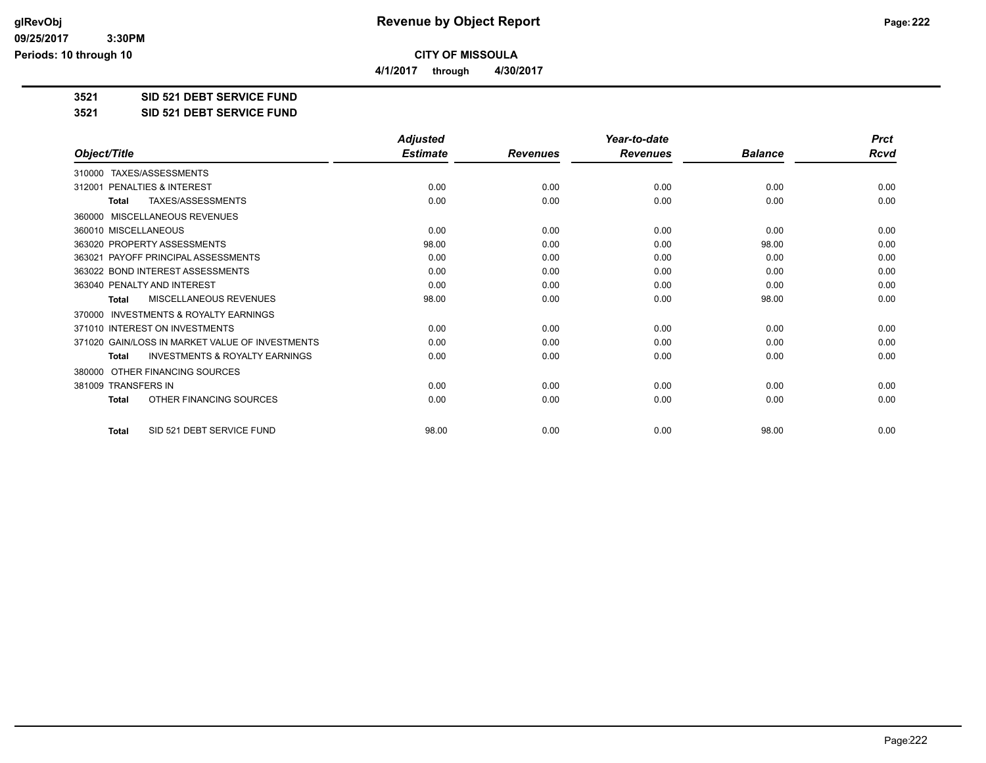**4/1/2017 through 4/30/2017**

**3521 SID 521 DEBT SERVICE FUND**

**3521 SID 521 DEBT SERVICE FUND**

|                                                           | <b>Adjusted</b> |                 | Year-to-date    |                | <b>Prct</b> |
|-----------------------------------------------------------|-----------------|-----------------|-----------------|----------------|-------------|
| Object/Title                                              | <b>Estimate</b> | <b>Revenues</b> | <b>Revenues</b> | <b>Balance</b> | <b>Rcvd</b> |
| <b>TAXES/ASSESSMENTS</b><br>310000                        |                 |                 |                 |                |             |
| PENALTIES & INTEREST<br>312001                            | 0.00            | 0.00            | 0.00            | 0.00           | 0.00        |
| TAXES/ASSESSMENTS<br>Total                                | 0.00            | 0.00            | 0.00            | 0.00           | 0.00        |
| MISCELLANEOUS REVENUES<br>360000                          |                 |                 |                 |                |             |
| 360010 MISCELLANEOUS                                      | 0.00            | 0.00            | 0.00            | 0.00           | 0.00        |
| 363020 PROPERTY ASSESSMENTS                               | 98.00           | 0.00            | 0.00            | 98.00          | 0.00        |
| 363021 PAYOFF PRINCIPAL ASSESSMENTS                       | 0.00            | 0.00            | 0.00            | 0.00           | 0.00        |
| 363022 BOND INTEREST ASSESSMENTS                          | 0.00            | 0.00            | 0.00            | 0.00           | 0.00        |
| 363040 PENALTY AND INTEREST                               | 0.00            | 0.00            | 0.00            | 0.00           | 0.00        |
| MISCELLANEOUS REVENUES<br>Total                           | 98.00           | 0.00            | 0.00            | 98.00          | 0.00        |
| <b>INVESTMENTS &amp; ROYALTY EARNINGS</b><br>370000       |                 |                 |                 |                |             |
| 371010 INTEREST ON INVESTMENTS                            | 0.00            | 0.00            | 0.00            | 0.00           | 0.00        |
| 371020 GAIN/LOSS IN MARKET VALUE OF INVESTMENTS           | 0.00            | 0.00            | 0.00            | 0.00           | 0.00        |
| <b>INVESTMENTS &amp; ROYALTY EARNINGS</b><br><b>Total</b> | 0.00            | 0.00            | 0.00            | 0.00           | 0.00        |
| OTHER FINANCING SOURCES<br>380000                         |                 |                 |                 |                |             |
| 381009 TRANSFERS IN                                       | 0.00            | 0.00            | 0.00            | 0.00           | 0.00        |
| OTHER FINANCING SOURCES<br><b>Total</b>                   | 0.00            | 0.00            | 0.00            | 0.00           | 0.00        |
| SID 521 DEBT SERVICE FUND<br><b>Total</b>                 | 98.00           | 0.00            | 0.00            | 98.00          | 0.00        |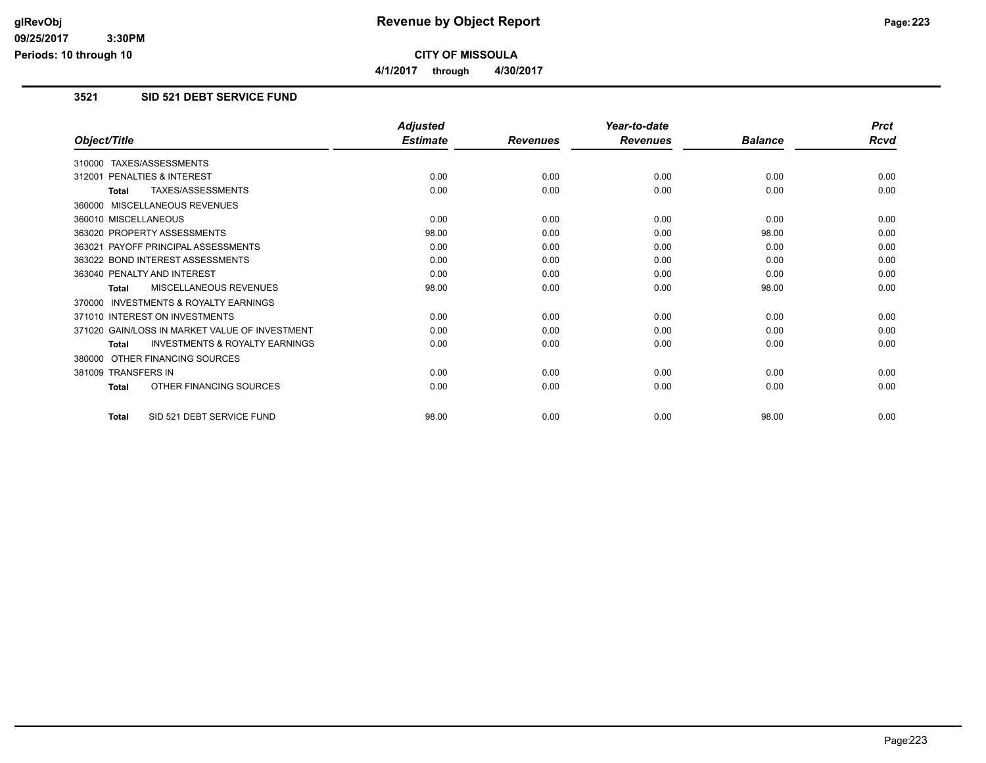**4/1/2017 through 4/30/2017**

# **3521 SID 521 DEBT SERVICE FUND**

|                                                           | <b>Adjusted</b> |                 | Year-to-date    |                | <b>Prct</b> |
|-----------------------------------------------------------|-----------------|-----------------|-----------------|----------------|-------------|
| Object/Title                                              | <b>Estimate</b> | <b>Revenues</b> | <b>Revenues</b> | <b>Balance</b> | Rcvd        |
| 310000 TAXES/ASSESSMENTS                                  |                 |                 |                 |                |             |
| PENALTIES & INTEREST<br>312001                            | 0.00            | 0.00            | 0.00            | 0.00           | 0.00        |
| TAXES/ASSESSMENTS<br><b>Total</b>                         | 0.00            | 0.00            | 0.00            | 0.00           | 0.00        |
| 360000 MISCELLANEOUS REVENUES                             |                 |                 |                 |                |             |
| 360010 MISCELLANEOUS                                      | 0.00            | 0.00            | 0.00            | 0.00           | 0.00        |
| 363020 PROPERTY ASSESSMENTS                               | 98.00           | 0.00            | 0.00            | 98.00          | 0.00        |
| 363021 PAYOFF PRINCIPAL ASSESSMENTS                       | 0.00            | 0.00            | 0.00            | 0.00           | 0.00        |
| 363022 BOND INTEREST ASSESSMENTS                          | 0.00            | 0.00            | 0.00            | 0.00           | 0.00        |
| 363040 PENALTY AND INTEREST                               | 0.00            | 0.00            | 0.00            | 0.00           | 0.00        |
| MISCELLANEOUS REVENUES<br><b>Total</b>                    | 98.00           | 0.00            | 0.00            | 98.00          | 0.00        |
| 370000 INVESTMENTS & ROYALTY EARNINGS                     |                 |                 |                 |                |             |
| 371010 INTEREST ON INVESTMENTS                            | 0.00            | 0.00            | 0.00            | 0.00           | 0.00        |
| 371020 GAIN/LOSS IN MARKET VALUE OF INVESTMENT            | 0.00            | 0.00            | 0.00            | 0.00           | 0.00        |
| <b>INVESTMENTS &amp; ROYALTY EARNINGS</b><br><b>Total</b> | 0.00            | 0.00            | 0.00            | 0.00           | 0.00        |
| 380000 OTHER FINANCING SOURCES                            |                 |                 |                 |                |             |
| 381009 TRANSFERS IN                                       | 0.00            | 0.00            | 0.00            | 0.00           | 0.00        |
| OTHER FINANCING SOURCES<br><b>Total</b>                   | 0.00            | 0.00            | 0.00            | 0.00           | 0.00        |
| SID 521 DEBT SERVICE FUND<br><b>Total</b>                 | 98.00           | 0.00            | 0.00            | 98.00          | 0.00        |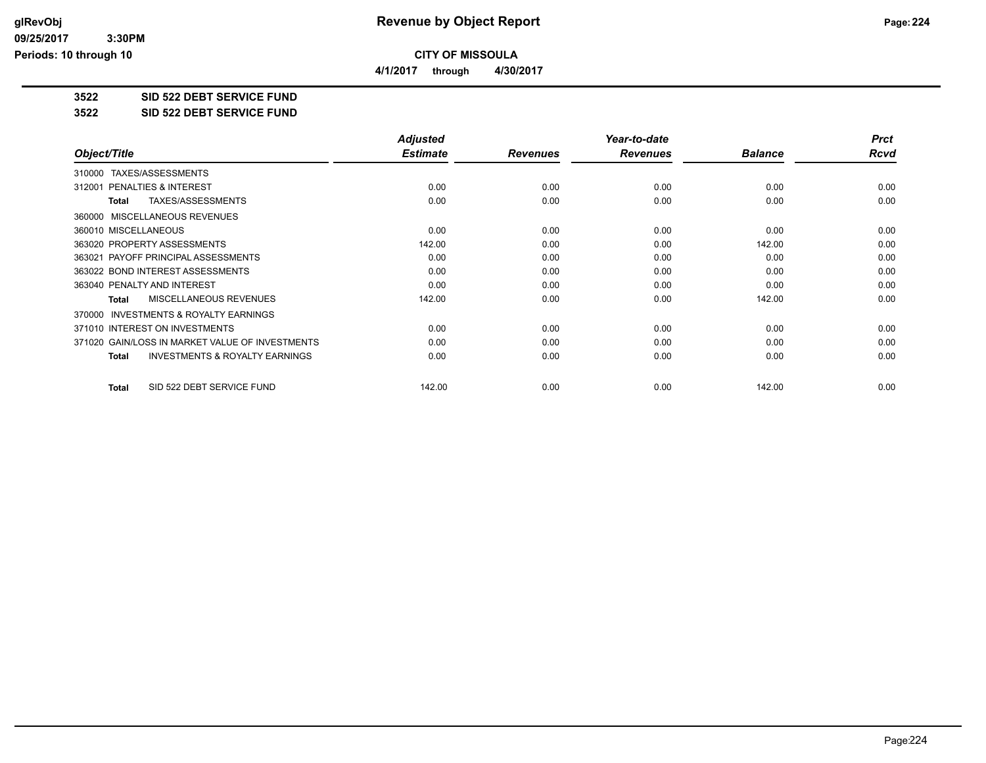**4/1/2017 through 4/30/2017**

**3522 SID 522 DEBT SERVICE FUND**

**3522 SID 522 DEBT SERVICE FUND**

|                                                           | <b>Adjusted</b> |                 | Year-to-date    |                | <b>Prct</b> |
|-----------------------------------------------------------|-----------------|-----------------|-----------------|----------------|-------------|
| Object/Title                                              | <b>Estimate</b> | <b>Revenues</b> | <b>Revenues</b> | <b>Balance</b> | Rcvd        |
| TAXES/ASSESSMENTS<br>310000                               |                 |                 |                 |                |             |
| 312001 PENALTIES & INTEREST                               | 0.00            | 0.00            | 0.00            | 0.00           | 0.00        |
| TAXES/ASSESSMENTS<br><b>Total</b>                         | 0.00            | 0.00            | 0.00            | 0.00           | 0.00        |
| MISCELLANEOUS REVENUES<br>360000                          |                 |                 |                 |                |             |
| 360010 MISCELLANEOUS                                      | 0.00            | 0.00            | 0.00            | 0.00           | 0.00        |
| 363020 PROPERTY ASSESSMENTS                               | 142.00          | 0.00            | 0.00            | 142.00         | 0.00        |
| 363021 PAYOFF PRINCIPAL ASSESSMENTS                       | 0.00            | 0.00            | 0.00            | 0.00           | 0.00        |
| 363022 BOND INTEREST ASSESSMENTS                          | 0.00            | 0.00            | 0.00            | 0.00           | 0.00        |
| 363040 PENALTY AND INTEREST                               | 0.00            | 0.00            | 0.00            | 0.00           | 0.00        |
| <b>MISCELLANEOUS REVENUES</b><br><b>Total</b>             | 142.00          | 0.00            | 0.00            | 142.00         | 0.00        |
| 370000 INVESTMENTS & ROYALTY EARNINGS                     |                 |                 |                 |                |             |
| 371010 INTEREST ON INVESTMENTS                            | 0.00            | 0.00            | 0.00            | 0.00           | 0.00        |
| 371020 GAIN/LOSS IN MARKET VALUE OF INVESTMENTS           | 0.00            | 0.00            | 0.00            | 0.00           | 0.00        |
| <b>INVESTMENTS &amp; ROYALTY EARNINGS</b><br><b>Total</b> | 0.00            | 0.00            | 0.00            | 0.00           | 0.00        |
| SID 522 DEBT SERVICE FUND<br><b>Total</b>                 | 142.00          | 0.00            | 0.00            | 142.00         | 0.00        |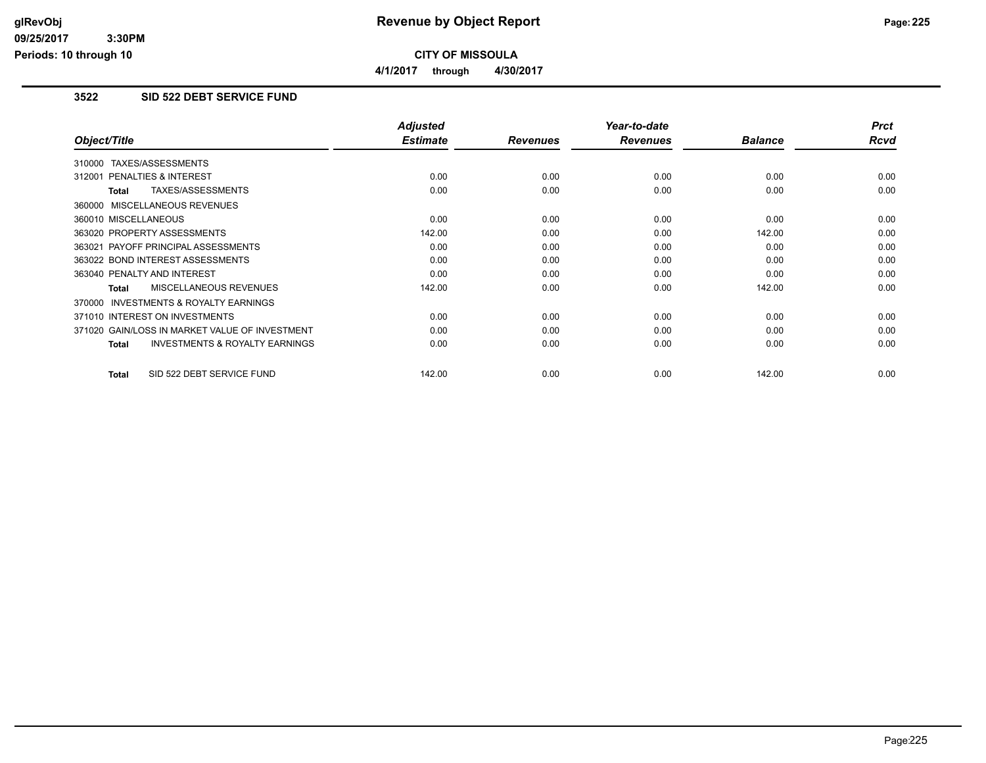**4/1/2017 through 4/30/2017**

### **3522 SID 522 DEBT SERVICE FUND**

|                                                           | <b>Adjusted</b> |                 | Year-to-date    |                | <b>Prct</b> |
|-----------------------------------------------------------|-----------------|-----------------|-----------------|----------------|-------------|
| Object/Title                                              | <b>Estimate</b> | <b>Revenues</b> | <b>Revenues</b> | <b>Balance</b> | Rcvd        |
| TAXES/ASSESSMENTS<br>310000                               |                 |                 |                 |                |             |
| 312001 PENALTIES & INTEREST                               | 0.00            | 0.00            | 0.00            | 0.00           | 0.00        |
| TAXES/ASSESSMENTS<br><b>Total</b>                         | 0.00            | 0.00            | 0.00            | 0.00           | 0.00        |
| 360000 MISCELLANEOUS REVENUES                             |                 |                 |                 |                |             |
| 360010 MISCELLANEOUS                                      | 0.00            | 0.00            | 0.00            | 0.00           | 0.00        |
| 363020 PROPERTY ASSESSMENTS                               | 142.00          | 0.00            | 0.00            | 142.00         | 0.00        |
| 363021 PAYOFF PRINCIPAL ASSESSMENTS                       | 0.00            | 0.00            | 0.00            | 0.00           | 0.00        |
| 363022 BOND INTEREST ASSESSMENTS                          | 0.00            | 0.00            | 0.00            | 0.00           | 0.00        |
| 363040 PENALTY AND INTEREST                               | 0.00            | 0.00            | 0.00            | 0.00           | 0.00        |
| <b>MISCELLANEOUS REVENUES</b><br><b>Total</b>             | 142.00          | 0.00            | 0.00            | 142.00         | 0.00        |
| 370000 INVESTMENTS & ROYALTY EARNINGS                     |                 |                 |                 |                |             |
| 371010 INTEREST ON INVESTMENTS                            | 0.00            | 0.00            | 0.00            | 0.00           | 0.00        |
| 371020 GAIN/LOSS IN MARKET VALUE OF INVESTMENT            | 0.00            | 0.00            | 0.00            | 0.00           | 0.00        |
| <b>INVESTMENTS &amp; ROYALTY EARNINGS</b><br><b>Total</b> | 0.00            | 0.00            | 0.00            | 0.00           | 0.00        |
| SID 522 DEBT SERVICE FUND<br><b>Total</b>                 | 142.00          | 0.00            | 0.00            | 142.00         | 0.00        |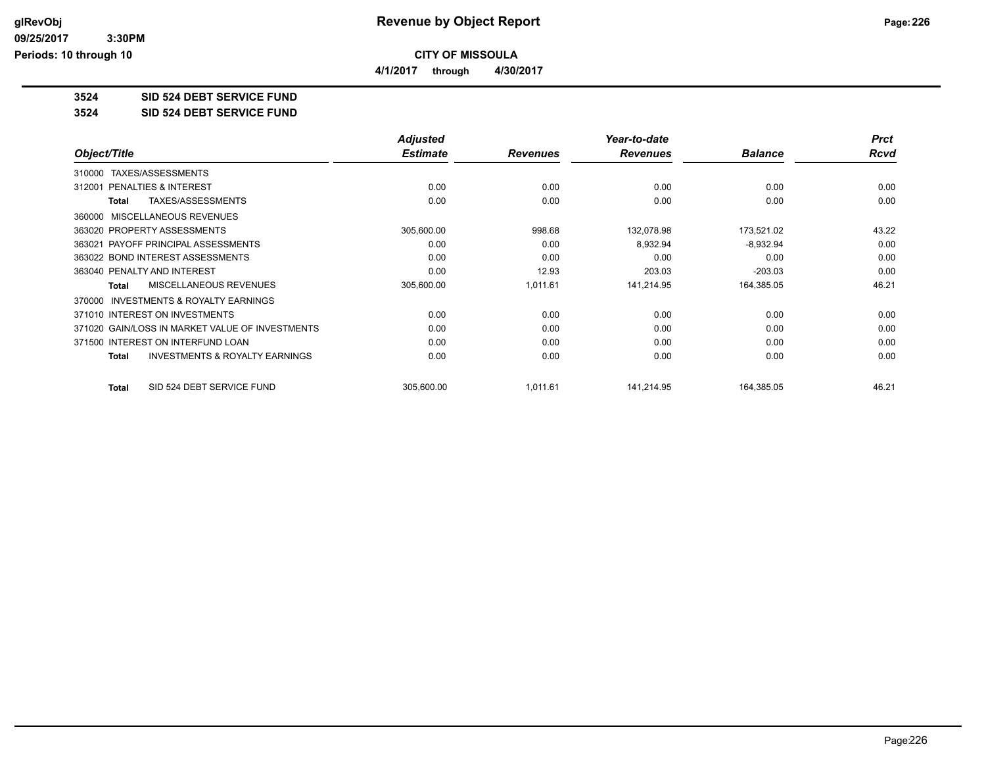**4/1/2017 through 4/30/2017**

**3524 SID 524 DEBT SERVICE FUND**

**3524 SID 524 DEBT SERVICE FUND**

|                                                    | <b>Adjusted</b> |                 | Year-to-date    |                | <b>Prct</b> |
|----------------------------------------------------|-----------------|-----------------|-----------------|----------------|-------------|
| Object/Title                                       | <b>Estimate</b> | <b>Revenues</b> | <b>Revenues</b> | <b>Balance</b> | Rcvd        |
| TAXES/ASSESSMENTS<br>310000                        |                 |                 |                 |                |             |
| <b>PENALTIES &amp; INTEREST</b><br>312001          | 0.00            | 0.00            | 0.00            | 0.00           | 0.00        |
| TAXES/ASSESSMENTS<br>Total                         | 0.00            | 0.00            | 0.00            | 0.00           | 0.00        |
| 360000 MISCELLANEOUS REVENUES                      |                 |                 |                 |                |             |
| 363020 PROPERTY ASSESSMENTS                        | 305,600.00      | 998.68          | 132,078.98      | 173,521.02     | 43.22       |
| 363021 PAYOFF PRINCIPAL ASSESSMENTS                | 0.00            | 0.00            | 8,932.94        | $-8,932.94$    | 0.00        |
| 363022 BOND INTEREST ASSESSMENTS                   | 0.00            | 0.00            | 0.00            | 0.00           | 0.00        |
| 363040 PENALTY AND INTEREST                        | 0.00            | 12.93           | 203.03          | $-203.03$      | 0.00        |
| <b>MISCELLANEOUS REVENUES</b><br>Total             | 305,600.00      | 1,011.61        | 141,214.95      | 164,385.05     | 46.21       |
| INVESTMENTS & ROYALTY EARNINGS<br>370000           |                 |                 |                 |                |             |
| 371010 INTEREST ON INVESTMENTS                     | 0.00            | 0.00            | 0.00            | 0.00           | 0.00        |
| 371020 GAIN/LOSS IN MARKET VALUE OF INVESTMENTS    | 0.00            | 0.00            | 0.00            | 0.00           | 0.00        |
| 371500 INTEREST ON INTERFUND LOAN                  | 0.00            | 0.00            | 0.00            | 0.00           | 0.00        |
| <b>INVESTMENTS &amp; ROYALTY EARNINGS</b><br>Total | 0.00            | 0.00            | 0.00            | 0.00           | 0.00        |
| SID 524 DEBT SERVICE FUND<br><b>Total</b>          | 305,600.00      | 1,011.61        | 141,214.95      | 164,385.05     | 46.21       |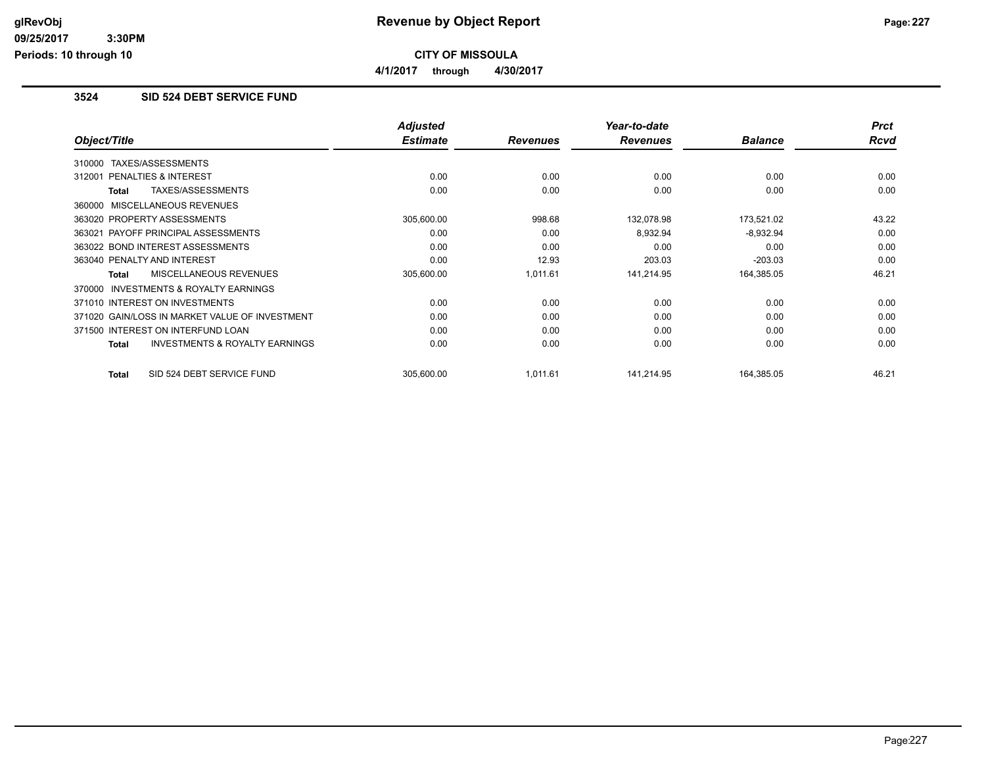**4/1/2017 through 4/30/2017**

### **3524 SID 524 DEBT SERVICE FUND**

|                                                    | <b>Adjusted</b> |                 | Year-to-date    |                | <b>Prct</b> |
|----------------------------------------------------|-----------------|-----------------|-----------------|----------------|-------------|
| Object/Title                                       | <b>Estimate</b> | <b>Revenues</b> | <b>Revenues</b> | <b>Balance</b> | Rcvd        |
| TAXES/ASSESSMENTS<br>310000                        |                 |                 |                 |                |             |
| 312001 PENALTIES & INTEREST                        | 0.00            | 0.00            | 0.00            | 0.00           | 0.00        |
| TAXES/ASSESSMENTS<br>Total                         | 0.00            | 0.00            | 0.00            | 0.00           | 0.00        |
| 360000 MISCELLANEOUS REVENUES                      |                 |                 |                 |                |             |
| 363020 PROPERTY ASSESSMENTS                        | 305,600.00      | 998.68          | 132,078.98      | 173,521.02     | 43.22       |
| 363021 PAYOFF PRINCIPAL ASSESSMENTS                | 0.00            | 0.00            | 8,932.94        | $-8,932.94$    | 0.00        |
| 363022 BOND INTEREST ASSESSMENTS                   | 0.00            | 0.00            | 0.00            | 0.00           | 0.00        |
| 363040 PENALTY AND INTEREST                        | 0.00            | 12.93           | 203.03          | $-203.03$      | 0.00        |
| <b>MISCELLANEOUS REVENUES</b><br>Total             | 305,600.00      | 1,011.61        | 141,214.95      | 164,385.05     | 46.21       |
| INVESTMENTS & ROYALTY EARNINGS<br>370000           |                 |                 |                 |                |             |
| 371010 INTEREST ON INVESTMENTS                     | 0.00            | 0.00            | 0.00            | 0.00           | 0.00        |
| 371020 GAIN/LOSS IN MARKET VALUE OF INVESTMENT     | 0.00            | 0.00            | 0.00            | 0.00           | 0.00        |
| 371500 INTEREST ON INTERFUND LOAN                  | 0.00            | 0.00            | 0.00            | 0.00           | 0.00        |
| <b>INVESTMENTS &amp; ROYALTY EARNINGS</b><br>Total | 0.00            | 0.00            | 0.00            | 0.00           | 0.00        |
| SID 524 DEBT SERVICE FUND<br><b>Total</b>          | 305,600.00      | 1,011.61        | 141,214.95      | 164,385.05     | 46.21       |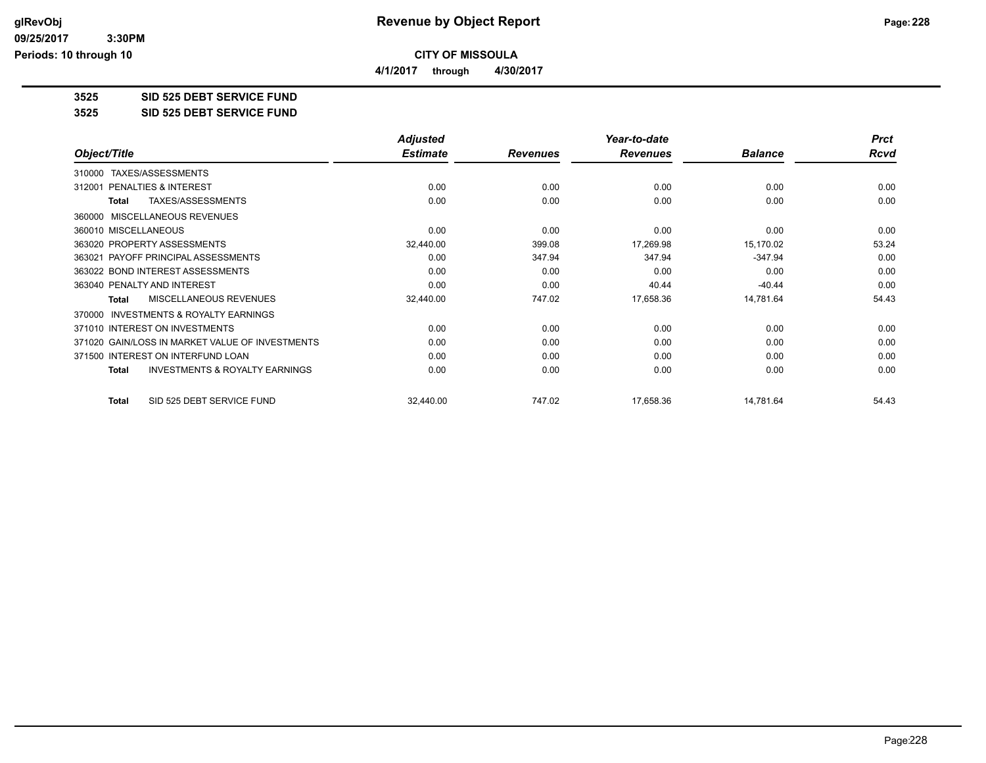**4/1/2017 through 4/30/2017**

**3525 SID 525 DEBT SERVICE FUND**

**3525 SID 525 DEBT SERVICE FUND**

|                                                           | <b>Adjusted</b> |                 | Year-to-date    | <b>Prct</b>    |             |
|-----------------------------------------------------------|-----------------|-----------------|-----------------|----------------|-------------|
| Object/Title                                              | <b>Estimate</b> | <b>Revenues</b> | <b>Revenues</b> | <b>Balance</b> | <b>Rcvd</b> |
| TAXES/ASSESSMENTS<br>310000                               |                 |                 |                 |                |             |
| PENALTIES & INTEREST<br>312001                            | 0.00            | 0.00            | 0.00            | 0.00           | 0.00        |
| TAXES/ASSESSMENTS<br>Total                                | 0.00            | 0.00            | 0.00            | 0.00           | 0.00        |
| <b>MISCELLANEOUS REVENUES</b><br>360000                   |                 |                 |                 |                |             |
| 360010 MISCELLANEOUS                                      | 0.00            | 0.00            | 0.00            | 0.00           | 0.00        |
| 363020 PROPERTY ASSESSMENTS                               | 32,440.00       | 399.08          | 17,269.98       | 15,170.02      | 53.24       |
| 363021 PAYOFF PRINCIPAL ASSESSMENTS                       | 0.00            | 347.94          | 347.94          | $-347.94$      | 0.00        |
| 363022 BOND INTEREST ASSESSMENTS                          | 0.00            | 0.00            | 0.00            | 0.00           | 0.00        |
| 363040 PENALTY AND INTEREST                               | 0.00            | 0.00            | 40.44           | $-40.44$       | 0.00        |
| <b>MISCELLANEOUS REVENUES</b><br>Total                    | 32,440.00       | 747.02          | 17,658.36       | 14,781.64      | 54.43       |
| INVESTMENTS & ROYALTY EARNINGS<br>370000                  |                 |                 |                 |                |             |
| 371010 INTEREST ON INVESTMENTS                            | 0.00            | 0.00            | 0.00            | 0.00           | 0.00        |
| 371020 GAIN/LOSS IN MARKET VALUE OF INVESTMENTS           | 0.00            | 0.00            | 0.00            | 0.00           | 0.00        |
| 371500 INTEREST ON INTERFUND LOAN                         | 0.00            | 0.00            | 0.00            | 0.00           | 0.00        |
| <b>INVESTMENTS &amp; ROYALTY EARNINGS</b><br><b>Total</b> | 0.00            | 0.00            | 0.00            | 0.00           | 0.00        |
| SID 525 DEBT SERVICE FUND<br>Total                        | 32,440.00       | 747.02          | 17,658.36       | 14,781.64      | 54.43       |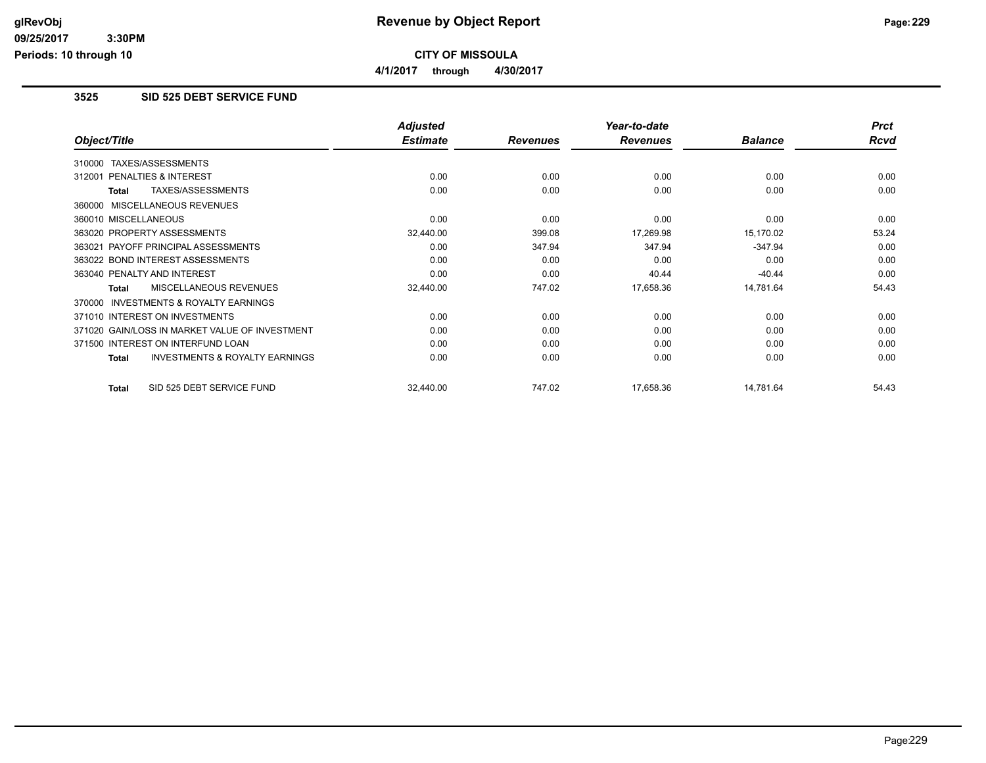**4/1/2017 through 4/30/2017**

# **3525 SID 525 DEBT SERVICE FUND**

|                                                           | <b>Adjusted</b> |                 | Year-to-date    |                | <b>Prct</b> |
|-----------------------------------------------------------|-----------------|-----------------|-----------------|----------------|-------------|
| Object/Title                                              | <b>Estimate</b> | <b>Revenues</b> | <b>Revenues</b> | <b>Balance</b> | Rcvd        |
| TAXES/ASSESSMENTS<br>310000                               |                 |                 |                 |                |             |
| <b>PENALTIES &amp; INTEREST</b><br>312001                 | 0.00            | 0.00            | 0.00            | 0.00           | 0.00        |
| TAXES/ASSESSMENTS<br><b>Total</b>                         | 0.00            | 0.00            | 0.00            | 0.00           | 0.00        |
| 360000 MISCELLANEOUS REVENUES                             |                 |                 |                 |                |             |
| 360010 MISCELLANEOUS                                      | 0.00            | 0.00            | 0.00            | 0.00           | 0.00        |
| 363020 PROPERTY ASSESSMENTS                               | 32,440.00       | 399.08          | 17,269.98       | 15,170.02      | 53.24       |
| 363021 PAYOFF PRINCIPAL ASSESSMENTS                       | 0.00            | 347.94          | 347.94          | $-347.94$      | 0.00        |
| 363022 BOND INTEREST ASSESSMENTS                          | 0.00            | 0.00            | 0.00            | 0.00           | 0.00        |
| 363040 PENALTY AND INTEREST                               | 0.00            | 0.00            | 40.44           | $-40.44$       | 0.00        |
| <b>MISCELLANEOUS REVENUES</b><br><b>Total</b>             | 32,440.00       | 747.02          | 17,658.36       | 14,781.64      | 54.43       |
| <b>INVESTMENTS &amp; ROYALTY EARNINGS</b><br>370000       |                 |                 |                 |                |             |
| 371010 INTEREST ON INVESTMENTS                            | 0.00            | 0.00            | 0.00            | 0.00           | 0.00        |
| 371020 GAIN/LOSS IN MARKET VALUE OF INVESTMENT            | 0.00            | 0.00            | 0.00            | 0.00           | 0.00        |
| 371500 INTEREST ON INTERFUND LOAN                         | 0.00            | 0.00            | 0.00            | 0.00           | 0.00        |
| <b>INVESTMENTS &amp; ROYALTY EARNINGS</b><br><b>Total</b> | 0.00            | 0.00            | 0.00            | 0.00           | 0.00        |
| SID 525 DEBT SERVICE FUND<br><b>Total</b>                 | 32,440.00       | 747.02          | 17,658.36       | 14,781.64      | 54.43       |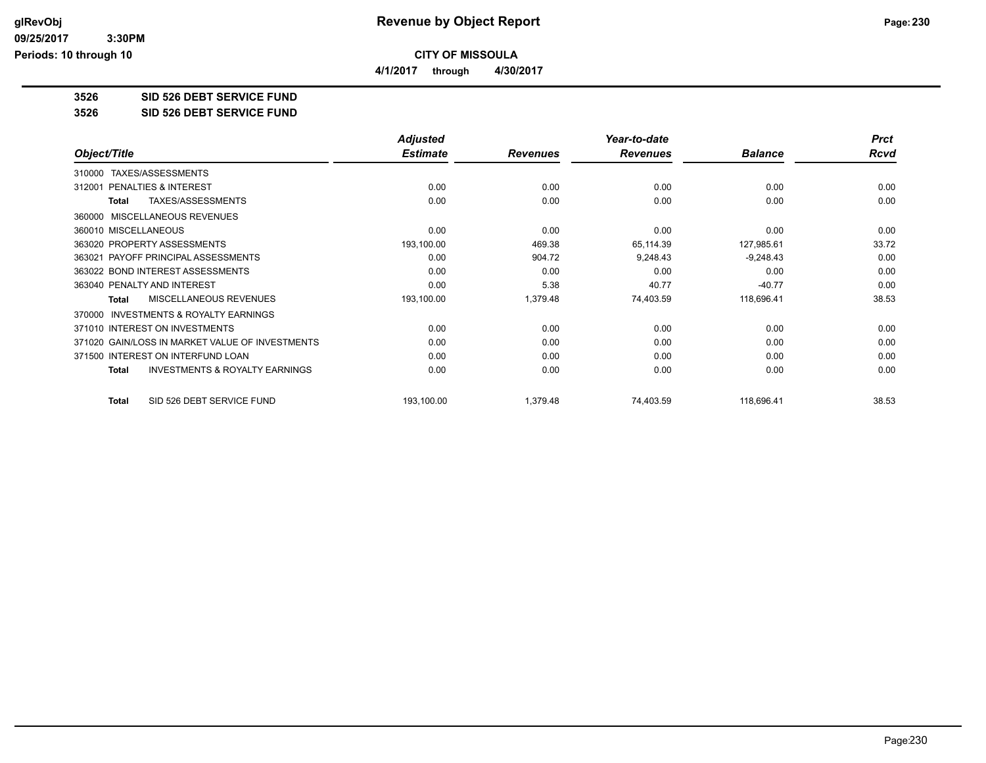**4/1/2017 through 4/30/2017**

**3526 SID 526 DEBT SERVICE FUND**

**3526 SID 526 DEBT SERVICE FUND**

|                                                           | <b>Adjusted</b> |                 | Year-to-date    |                | <b>Prct</b> |
|-----------------------------------------------------------|-----------------|-----------------|-----------------|----------------|-------------|
| Object/Title                                              | <b>Estimate</b> | <b>Revenues</b> | <b>Revenues</b> | <b>Balance</b> | <b>Rcvd</b> |
| TAXES/ASSESSMENTS<br>310000                               |                 |                 |                 |                |             |
| <b>PENALTIES &amp; INTEREST</b><br>312001                 | 0.00            | 0.00            | 0.00            | 0.00           | 0.00        |
| TAXES/ASSESSMENTS<br><b>Total</b>                         | 0.00            | 0.00            | 0.00            | 0.00           | 0.00        |
| MISCELLANEOUS REVENUES<br>360000                          |                 |                 |                 |                |             |
| 360010 MISCELLANEOUS                                      | 0.00            | 0.00            | 0.00            | 0.00           | 0.00        |
| 363020 PROPERTY ASSESSMENTS                               | 193,100.00      | 469.38          | 65,114.39       | 127,985.61     | 33.72       |
| 363021 PAYOFF PRINCIPAL ASSESSMENTS                       | 0.00            | 904.72          | 9,248.43        | $-9,248.43$    | 0.00        |
| 363022 BOND INTEREST ASSESSMENTS                          | 0.00            | 0.00            | 0.00            | 0.00           | 0.00        |
| 363040 PENALTY AND INTEREST                               | 0.00            | 5.38            | 40.77           | $-40.77$       | 0.00        |
| <b>MISCELLANEOUS REVENUES</b><br><b>Total</b>             | 193,100.00      | 1,379.48        | 74,403.59       | 118,696.41     | 38.53       |
| <b>INVESTMENTS &amp; ROYALTY EARNINGS</b><br>370000       |                 |                 |                 |                |             |
| 371010 INTEREST ON INVESTMENTS                            | 0.00            | 0.00            | 0.00            | 0.00           | 0.00        |
| 371020 GAIN/LOSS IN MARKET VALUE OF INVESTMENTS           | 0.00            | 0.00            | 0.00            | 0.00           | 0.00        |
| 371500 INTEREST ON INTERFUND LOAN                         | 0.00            | 0.00            | 0.00            | 0.00           | 0.00        |
| <b>INVESTMENTS &amp; ROYALTY EARNINGS</b><br><b>Total</b> | 0.00            | 0.00            | 0.00            | 0.00           | 0.00        |
| SID 526 DEBT SERVICE FUND<br><b>Total</b>                 | 193,100.00      | 1,379.48        | 74,403.59       | 118,696.41     | 38.53       |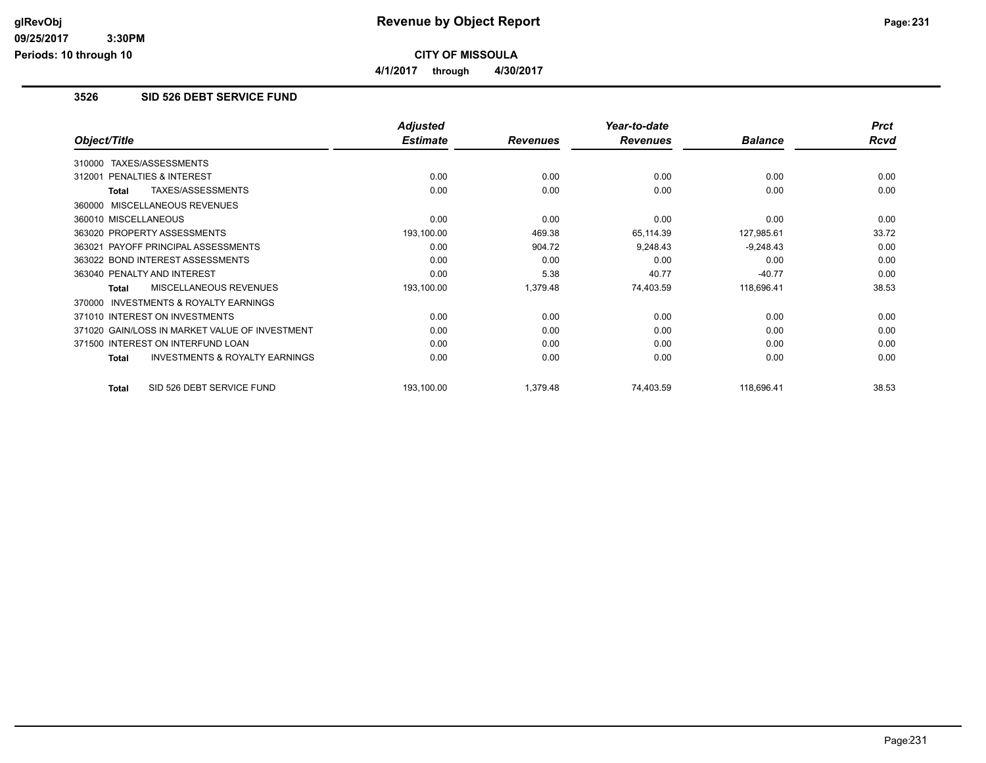**4/1/2017 through 4/30/2017**

# **3526 SID 526 DEBT SERVICE FUND**

|                                                           | <b>Adjusted</b> |                 | Year-to-date    |                | <b>Prct</b> |
|-----------------------------------------------------------|-----------------|-----------------|-----------------|----------------|-------------|
| Object/Title                                              | <b>Estimate</b> | <b>Revenues</b> | <b>Revenues</b> | <b>Balance</b> | Rcvd        |
| TAXES/ASSESSMENTS<br>310000                               |                 |                 |                 |                |             |
| <b>PENALTIES &amp; INTEREST</b><br>312001                 | 0.00            | 0.00            | 0.00            | 0.00           | 0.00        |
| TAXES/ASSESSMENTS<br><b>Total</b>                         | 0.00            | 0.00            | 0.00            | 0.00           | 0.00        |
| 360000 MISCELLANEOUS REVENUES                             |                 |                 |                 |                |             |
| 360010 MISCELLANEOUS                                      | 0.00            | 0.00            | 0.00            | 0.00           | 0.00        |
| 363020 PROPERTY ASSESSMENTS                               | 193,100.00      | 469.38          | 65,114.39       | 127,985.61     | 33.72       |
| 363021 PAYOFF PRINCIPAL ASSESSMENTS                       | 0.00            | 904.72          | 9,248.43        | $-9,248.43$    | 0.00        |
| 363022 BOND INTEREST ASSESSMENTS                          | 0.00            | 0.00            | 0.00            | 0.00           | 0.00        |
| 363040 PENALTY AND INTEREST                               | 0.00            | 5.38            | 40.77           | $-40.77$       | 0.00        |
| <b>MISCELLANEOUS REVENUES</b><br><b>Total</b>             | 193,100.00      | 1,379.48        | 74,403.59       | 118,696.41     | 38.53       |
| <b>INVESTMENTS &amp; ROYALTY EARNINGS</b><br>370000       |                 |                 |                 |                |             |
| 371010 INTEREST ON INVESTMENTS                            | 0.00            | 0.00            | 0.00            | 0.00           | 0.00        |
| 371020 GAIN/LOSS IN MARKET VALUE OF INVESTMENT            | 0.00            | 0.00            | 0.00            | 0.00           | 0.00        |
| 371500 INTEREST ON INTERFUND LOAN                         | 0.00            | 0.00            | 0.00            | 0.00           | 0.00        |
| <b>INVESTMENTS &amp; ROYALTY EARNINGS</b><br><b>Total</b> | 0.00            | 0.00            | 0.00            | 0.00           | 0.00        |
| SID 526 DEBT SERVICE FUND<br><b>Total</b>                 | 193,100.00      | 1,379.48        | 74,403.59       | 118,696.41     | 38.53       |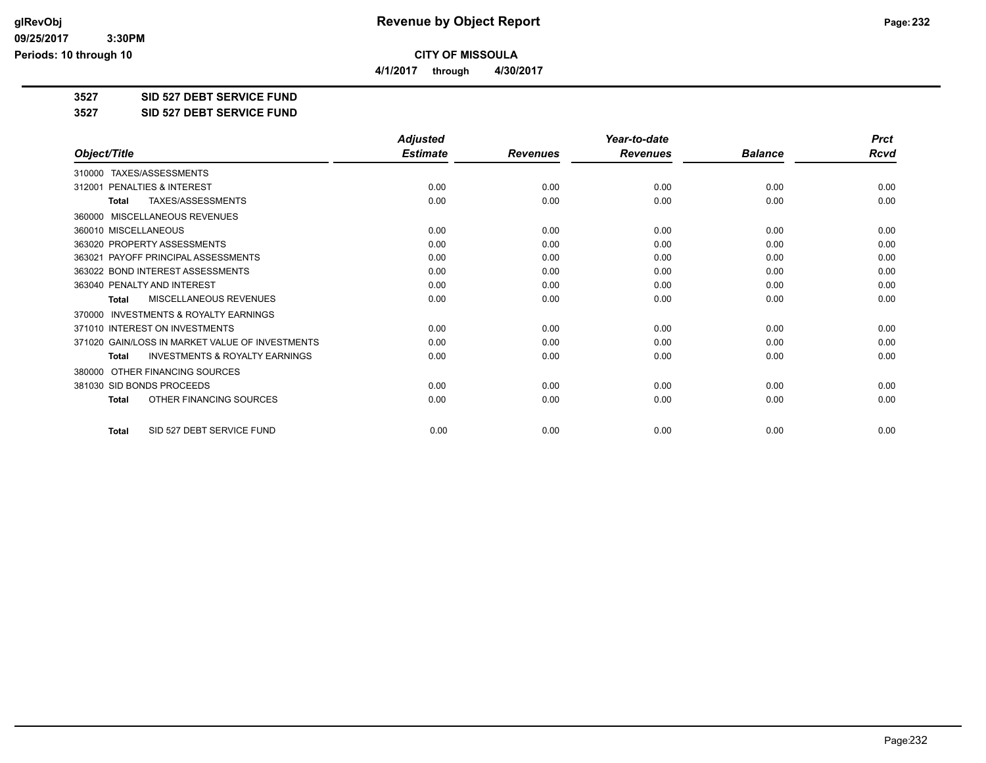**4/1/2017 through 4/30/2017**

**3527 SID 527 DEBT SERVICE FUND**

**3527 SID 527 DEBT SERVICE FUND**

|                                                           | <b>Adjusted</b> |                 | Year-to-date    |                | <b>Prct</b> |
|-----------------------------------------------------------|-----------------|-----------------|-----------------|----------------|-------------|
| Object/Title                                              | <b>Estimate</b> | <b>Revenues</b> | <b>Revenues</b> | <b>Balance</b> | <b>Rcvd</b> |
| TAXES/ASSESSMENTS<br>310000                               |                 |                 |                 |                |             |
| PENALTIES & INTEREST<br>312001                            | 0.00            | 0.00            | 0.00            | 0.00           | 0.00        |
| TAXES/ASSESSMENTS<br><b>Total</b>                         | 0.00            | 0.00            | 0.00            | 0.00           | 0.00        |
| MISCELLANEOUS REVENUES<br>360000                          |                 |                 |                 |                |             |
| 360010 MISCELLANEOUS                                      | 0.00            | 0.00            | 0.00            | 0.00           | 0.00        |
| 363020 PROPERTY ASSESSMENTS                               | 0.00            | 0.00            | 0.00            | 0.00           | 0.00        |
| 363021 PAYOFF PRINCIPAL ASSESSMENTS                       | 0.00            | 0.00            | 0.00            | 0.00           | 0.00        |
| 363022 BOND INTEREST ASSESSMENTS                          | 0.00            | 0.00            | 0.00            | 0.00           | 0.00        |
| 363040 PENALTY AND INTEREST                               | 0.00            | 0.00            | 0.00            | 0.00           | 0.00        |
| MISCELLANEOUS REVENUES<br>Total                           | 0.00            | 0.00            | 0.00            | 0.00           | 0.00        |
| <b>INVESTMENTS &amp; ROYALTY EARNINGS</b><br>370000       |                 |                 |                 |                |             |
| 371010 INTEREST ON INVESTMENTS                            | 0.00            | 0.00            | 0.00            | 0.00           | 0.00        |
| 371020 GAIN/LOSS IN MARKET VALUE OF INVESTMENTS           | 0.00            | 0.00            | 0.00            | 0.00           | 0.00        |
| <b>INVESTMENTS &amp; ROYALTY EARNINGS</b><br><b>Total</b> | 0.00            | 0.00            | 0.00            | 0.00           | 0.00        |
| OTHER FINANCING SOURCES<br>380000                         |                 |                 |                 |                |             |
| 381030 SID BONDS PROCEEDS                                 | 0.00            | 0.00            | 0.00            | 0.00           | 0.00        |
| OTHER FINANCING SOURCES<br><b>Total</b>                   | 0.00            | 0.00            | 0.00            | 0.00           | 0.00        |
| SID 527 DEBT SERVICE FUND<br><b>Total</b>                 | 0.00            | 0.00            | 0.00            | 0.00           | 0.00        |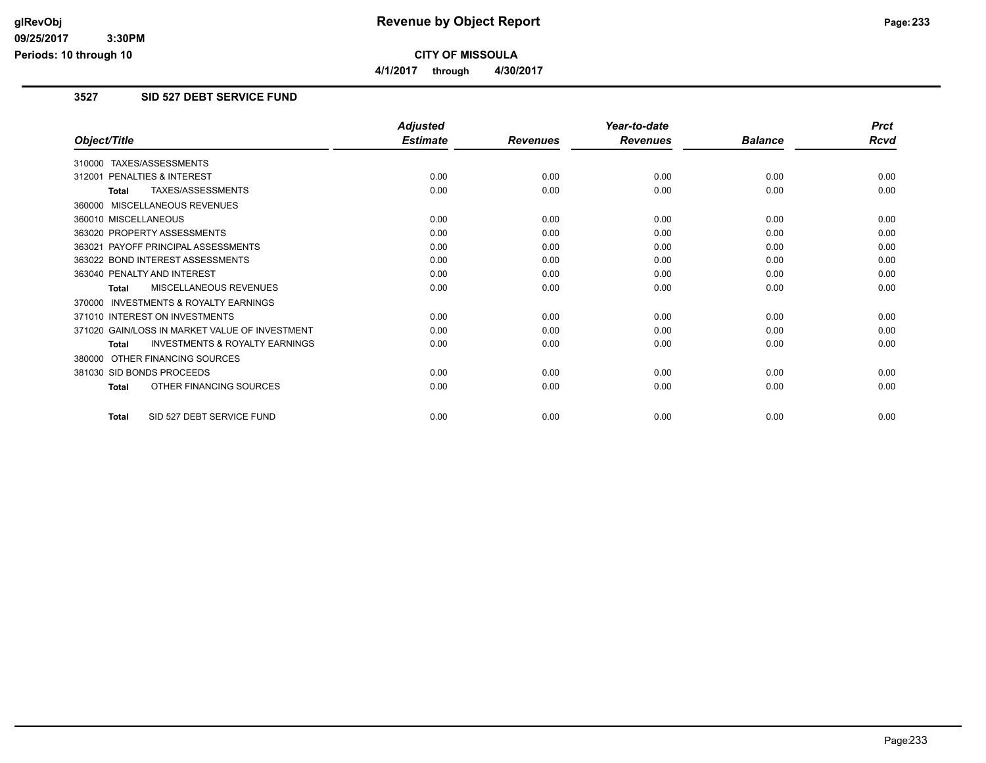**4/1/2017 through 4/30/2017**

# **3527 SID 527 DEBT SERVICE FUND**

|                                                     | <b>Adjusted</b> |                 | Year-to-date    |                | <b>Prct</b> |
|-----------------------------------------------------|-----------------|-----------------|-----------------|----------------|-------------|
| Object/Title                                        | <b>Estimate</b> | <b>Revenues</b> | <b>Revenues</b> | <b>Balance</b> | <b>Rcvd</b> |
| 310000 TAXES/ASSESSMENTS                            |                 |                 |                 |                |             |
| 312001 PENALTIES & INTEREST                         | 0.00            | 0.00            | 0.00            | 0.00           | 0.00        |
| TAXES/ASSESSMENTS<br><b>Total</b>                   | 0.00            | 0.00            | 0.00            | 0.00           | 0.00        |
| 360000 MISCELLANEOUS REVENUES                       |                 |                 |                 |                |             |
| 360010 MISCELLANEOUS                                | 0.00            | 0.00            | 0.00            | 0.00           | 0.00        |
| 363020 PROPERTY ASSESSMENTS                         | 0.00            | 0.00            | 0.00            | 0.00           | 0.00        |
| 363021 PAYOFF PRINCIPAL ASSESSMENTS                 | 0.00            | 0.00            | 0.00            | 0.00           | 0.00        |
| 363022 BOND INTEREST ASSESSMENTS                    | 0.00            | 0.00            | 0.00            | 0.00           | 0.00        |
| 363040 PENALTY AND INTEREST                         | 0.00            | 0.00            | 0.00            | 0.00           | 0.00        |
| MISCELLANEOUS REVENUES<br><b>Total</b>              | 0.00            | 0.00            | 0.00            | 0.00           | 0.00        |
| <b>INVESTMENTS &amp; ROYALTY EARNINGS</b><br>370000 |                 |                 |                 |                |             |
| 371010 INTEREST ON INVESTMENTS                      | 0.00            | 0.00            | 0.00            | 0.00           | 0.00        |
| 371020 GAIN/LOSS IN MARKET VALUE OF INVESTMENT      | 0.00            | 0.00            | 0.00            | 0.00           | 0.00        |
| <b>INVESTMENTS &amp; ROYALTY EARNINGS</b><br>Total  | 0.00            | 0.00            | 0.00            | 0.00           | 0.00        |
| 380000 OTHER FINANCING SOURCES                      |                 |                 |                 |                |             |
| 381030 SID BONDS PROCEEDS                           | 0.00            | 0.00            | 0.00            | 0.00           | 0.00        |
| OTHER FINANCING SOURCES<br><b>Total</b>             | 0.00            | 0.00            | 0.00            | 0.00           | 0.00        |
| SID 527 DEBT SERVICE FUND<br><b>Total</b>           | 0.00            | 0.00            | 0.00            | 0.00           | 0.00        |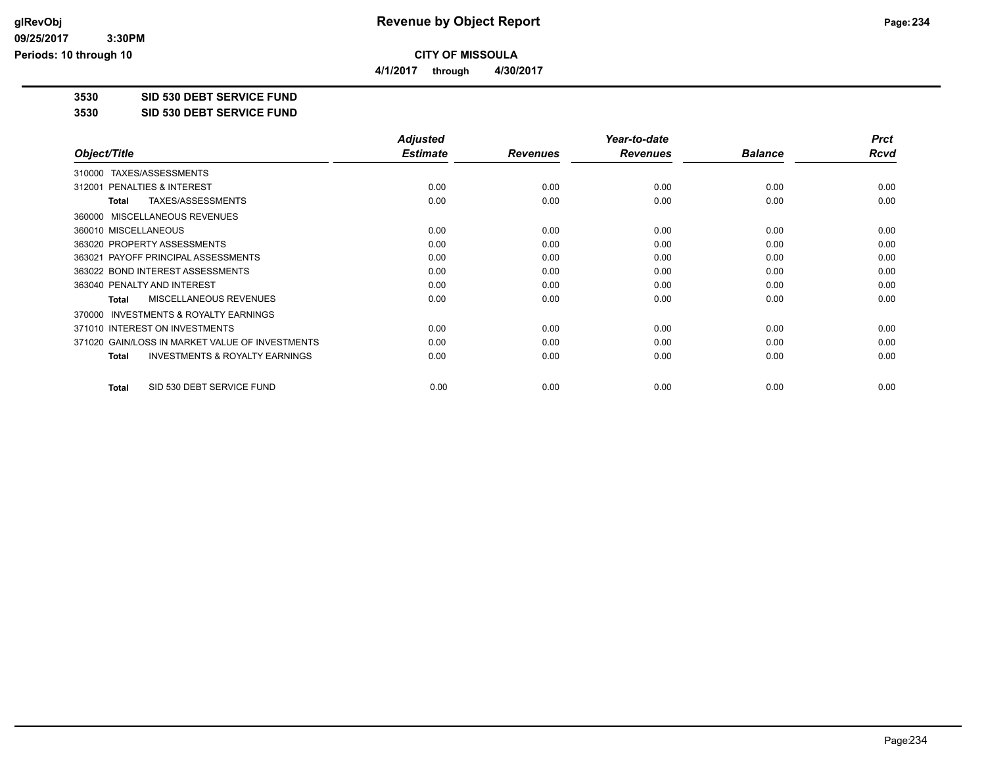**4/1/2017 through 4/30/2017**

**3530 SID 530 DEBT SERVICE FUND**

**3530 SID 530 DEBT SERVICE FUND**

| <b>Adjusted</b> |                 | Year-to-date    |                | <b>Prct</b> |
|-----------------|-----------------|-----------------|----------------|-------------|
| <b>Estimate</b> | <b>Revenues</b> | <b>Revenues</b> | <b>Balance</b> | Rcvd        |
|                 |                 |                 |                |             |
| 0.00            | 0.00            | 0.00            | 0.00           | 0.00        |
| 0.00            | 0.00            | 0.00            | 0.00           | 0.00        |
|                 |                 |                 |                |             |
| 0.00            | 0.00            | 0.00            | 0.00           | 0.00        |
| 0.00            | 0.00            | 0.00            | 0.00           | 0.00        |
| 0.00            | 0.00            | 0.00            | 0.00           | 0.00        |
| 0.00            | 0.00            | 0.00            | 0.00           | 0.00        |
| 0.00            | 0.00            | 0.00            | 0.00           | 0.00        |
| 0.00            | 0.00            | 0.00            | 0.00           | 0.00        |
|                 |                 |                 |                |             |
| 0.00            | 0.00            | 0.00            | 0.00           | 0.00        |
| 0.00            | 0.00            | 0.00            | 0.00           | 0.00        |
| 0.00            | 0.00            | 0.00            | 0.00           | 0.00        |
| 0.00            | 0.00            | 0.00            | 0.00           | 0.00        |
|                 |                 |                 |                |             |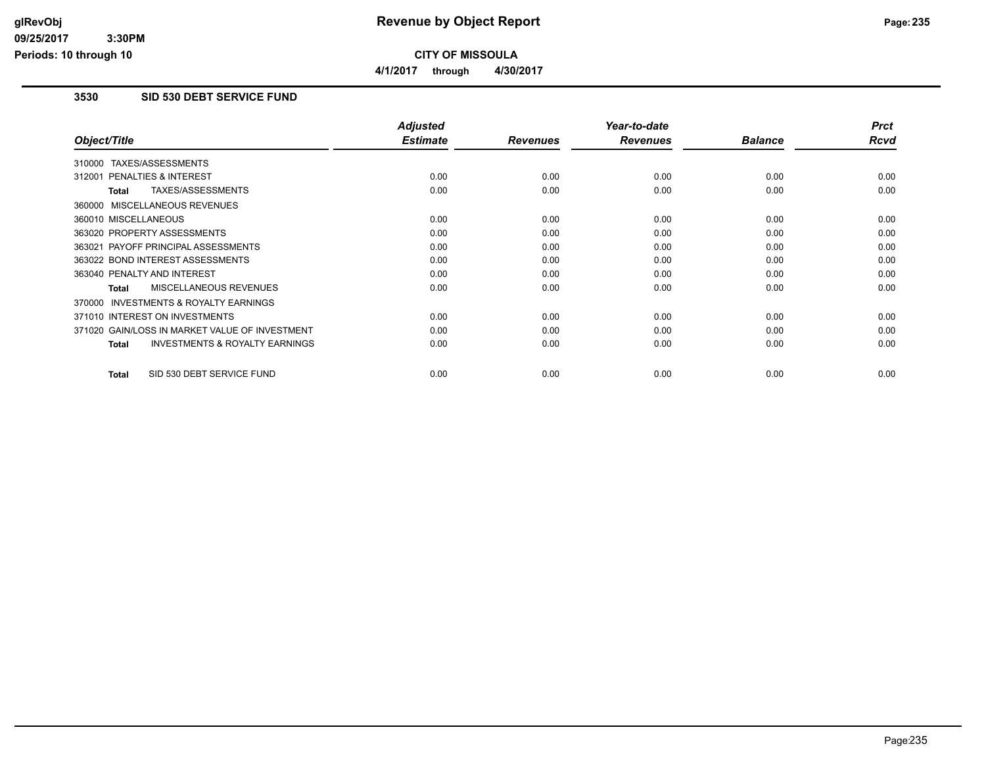**4/1/2017 through 4/30/2017**

### **3530 SID 530 DEBT SERVICE FUND**

|                                                           | <b>Adjusted</b> |                 | Year-to-date    |                | <b>Prct</b> |
|-----------------------------------------------------------|-----------------|-----------------|-----------------|----------------|-------------|
| Object/Title                                              | <b>Estimate</b> | <b>Revenues</b> | <b>Revenues</b> | <b>Balance</b> | Rcvd        |
| 310000 TAXES/ASSESSMENTS                                  |                 |                 |                 |                |             |
| 312001 PENALTIES & INTEREST                               | 0.00            | 0.00            | 0.00            | 0.00           | 0.00        |
| TAXES/ASSESSMENTS<br><b>Total</b>                         | 0.00            | 0.00            | 0.00            | 0.00           | 0.00        |
| 360000 MISCELLANEOUS REVENUES                             |                 |                 |                 |                |             |
| 360010 MISCELLANEOUS                                      | 0.00            | 0.00            | 0.00            | 0.00           | 0.00        |
| 363020 PROPERTY ASSESSMENTS                               | 0.00            | 0.00            | 0.00            | 0.00           | 0.00        |
| 363021 PAYOFF PRINCIPAL ASSESSMENTS                       | 0.00            | 0.00            | 0.00            | 0.00           | 0.00        |
| 363022 BOND INTEREST ASSESSMENTS                          | 0.00            | 0.00            | 0.00            | 0.00           | 0.00        |
| 363040 PENALTY AND INTEREST                               | 0.00            | 0.00            | 0.00            | 0.00           | 0.00        |
| <b>MISCELLANEOUS REVENUES</b><br><b>Total</b>             | 0.00            | 0.00            | 0.00            | 0.00           | 0.00        |
| <b>INVESTMENTS &amp; ROYALTY EARNINGS</b><br>370000       |                 |                 |                 |                |             |
| 371010 INTEREST ON INVESTMENTS                            | 0.00            | 0.00            | 0.00            | 0.00           | 0.00        |
| 371020 GAIN/LOSS IN MARKET VALUE OF INVESTMENT            | 0.00            | 0.00            | 0.00            | 0.00           | 0.00        |
| <b>INVESTMENTS &amp; ROYALTY EARNINGS</b><br><b>Total</b> | 0.00            | 0.00            | 0.00            | 0.00           | 0.00        |
| SID 530 DEBT SERVICE FUND<br><b>Total</b>                 | 0.00            | 0.00            | 0.00            | 0.00           | 0.00        |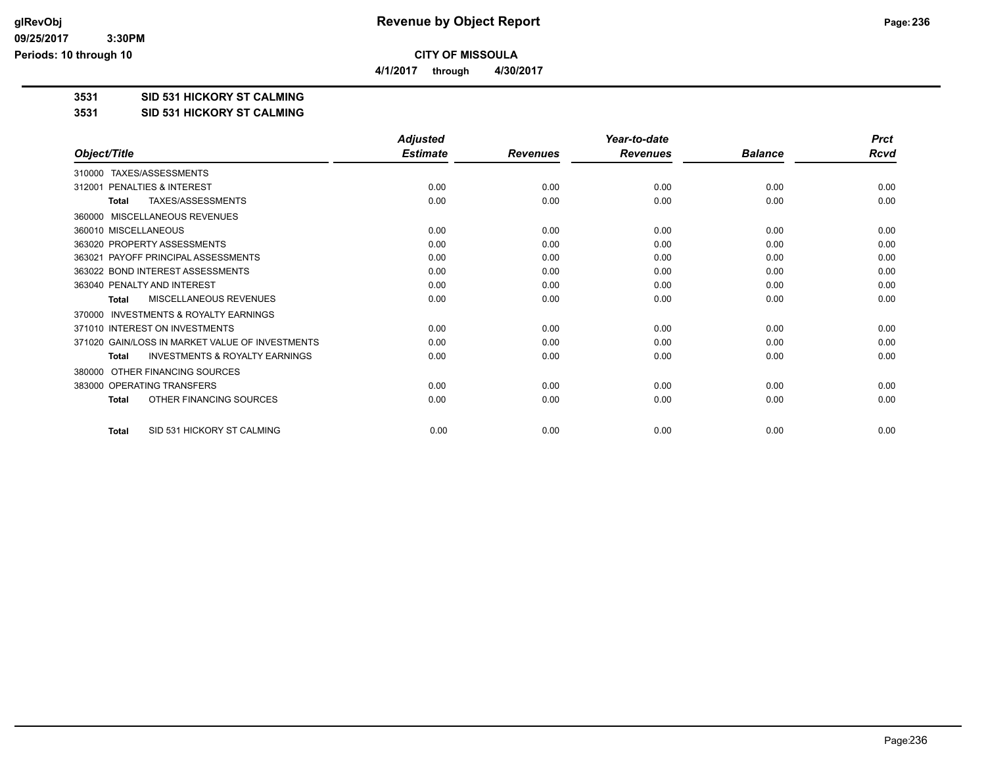**4/1/2017 through 4/30/2017**

**3531 SID 531 HICKORY ST CALMING**

**3531 SID 531 HICKORY ST CALMING**

|                                                           | <b>Adjusted</b> |                 | Year-to-date    |                | <b>Prct</b> |
|-----------------------------------------------------------|-----------------|-----------------|-----------------|----------------|-------------|
| Object/Title                                              | <b>Estimate</b> | <b>Revenues</b> | <b>Revenues</b> | <b>Balance</b> | <b>Rcvd</b> |
| TAXES/ASSESSMENTS<br>310000                               |                 |                 |                 |                |             |
| PENALTIES & INTEREST<br>312001                            | 0.00            | 0.00            | 0.00            | 0.00           | 0.00        |
| TAXES/ASSESSMENTS<br><b>Total</b>                         | 0.00            | 0.00            | 0.00            | 0.00           | 0.00        |
| 360000 MISCELLANEOUS REVENUES                             |                 |                 |                 |                |             |
| 360010 MISCELLANEOUS                                      | 0.00            | 0.00            | 0.00            | 0.00           | 0.00        |
| 363020 PROPERTY ASSESSMENTS                               | 0.00            | 0.00            | 0.00            | 0.00           | 0.00        |
| PAYOFF PRINCIPAL ASSESSMENTS<br>363021                    | 0.00            | 0.00            | 0.00            | 0.00           | 0.00        |
| 363022 BOND INTEREST ASSESSMENTS                          | 0.00            | 0.00            | 0.00            | 0.00           | 0.00        |
| 363040 PENALTY AND INTEREST                               | 0.00            | 0.00            | 0.00            | 0.00           | 0.00        |
| MISCELLANEOUS REVENUES<br><b>Total</b>                    | 0.00            | 0.00            | 0.00            | 0.00           | 0.00        |
| <b>INVESTMENTS &amp; ROYALTY EARNINGS</b><br>370000       |                 |                 |                 |                |             |
| 371010 INTEREST ON INVESTMENTS                            | 0.00            | 0.00            | 0.00            | 0.00           | 0.00        |
| 371020 GAIN/LOSS IN MARKET VALUE OF INVESTMENTS           | 0.00            | 0.00            | 0.00            | 0.00           | 0.00        |
| <b>INVESTMENTS &amp; ROYALTY EARNINGS</b><br><b>Total</b> | 0.00            | 0.00            | 0.00            | 0.00           | 0.00        |
| OTHER FINANCING SOURCES<br>380000                         |                 |                 |                 |                |             |
| 383000 OPERATING TRANSFERS                                | 0.00            | 0.00            | 0.00            | 0.00           | 0.00        |
| OTHER FINANCING SOURCES<br><b>Total</b>                   | 0.00            | 0.00            | 0.00            | 0.00           | 0.00        |
| SID 531 HICKORY ST CALMING<br><b>Total</b>                | 0.00            | 0.00            | 0.00            | 0.00           | 0.00        |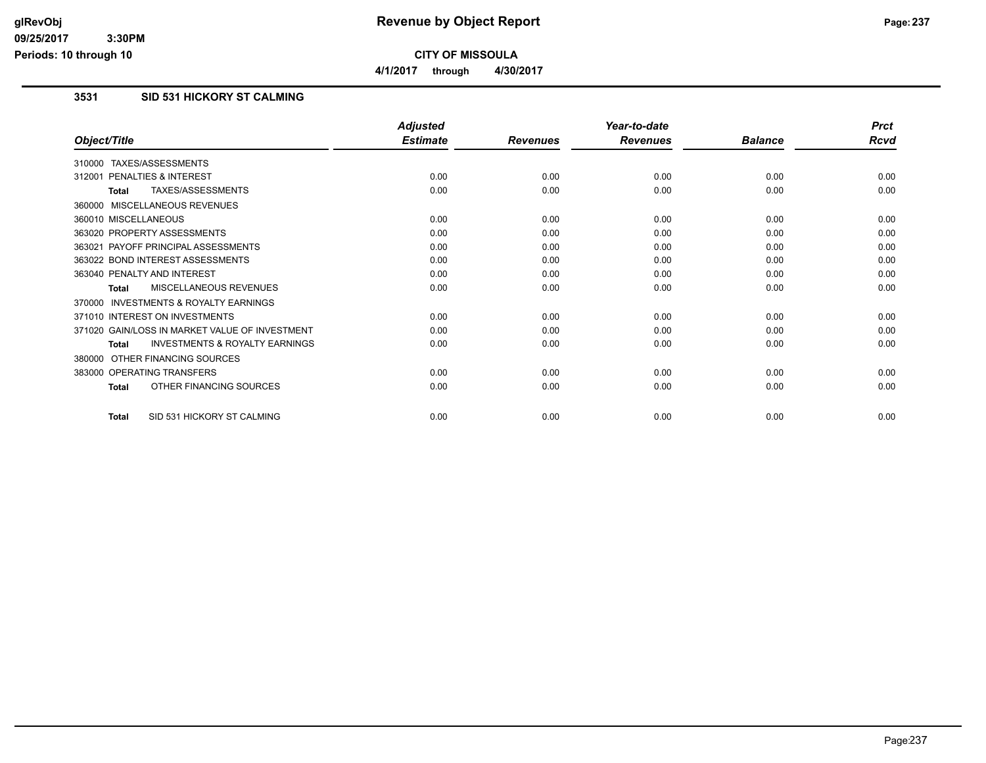**4/1/2017 through 4/30/2017**

# **3531 SID 531 HICKORY ST CALMING**

|                                                           | <b>Adjusted</b> |                 | Year-to-date    |                | <b>Prct</b> |
|-----------------------------------------------------------|-----------------|-----------------|-----------------|----------------|-------------|
| Object/Title                                              | <b>Estimate</b> | <b>Revenues</b> | <b>Revenues</b> | <b>Balance</b> | <b>Rcvd</b> |
| 310000 TAXES/ASSESSMENTS                                  |                 |                 |                 |                |             |
| PENALTIES & INTEREST<br>312001                            | 0.00            | 0.00            | 0.00            | 0.00           | 0.00        |
| TAXES/ASSESSMENTS<br><b>Total</b>                         | 0.00            | 0.00            | 0.00            | 0.00           | 0.00        |
| 360000 MISCELLANEOUS REVENUES                             |                 |                 |                 |                |             |
| 360010 MISCELLANEOUS                                      | 0.00            | 0.00            | 0.00            | 0.00           | 0.00        |
| 363020 PROPERTY ASSESSMENTS                               | 0.00            | 0.00            | 0.00            | 0.00           | 0.00        |
| 363021 PAYOFF PRINCIPAL ASSESSMENTS                       | 0.00            | 0.00            | 0.00            | 0.00           | 0.00        |
| 363022 BOND INTEREST ASSESSMENTS                          | 0.00            | 0.00            | 0.00            | 0.00           | 0.00        |
| 363040 PENALTY AND INTEREST                               | 0.00            | 0.00            | 0.00            | 0.00           | 0.00        |
| <b>MISCELLANEOUS REVENUES</b><br><b>Total</b>             | 0.00            | 0.00            | 0.00            | 0.00           | 0.00        |
| 370000 INVESTMENTS & ROYALTY EARNINGS                     |                 |                 |                 |                |             |
| 371010 INTEREST ON INVESTMENTS                            | 0.00            | 0.00            | 0.00            | 0.00           | 0.00        |
| 371020 GAIN/LOSS IN MARKET VALUE OF INVESTMENT            | 0.00            | 0.00            | 0.00            | 0.00           | 0.00        |
| <b>INVESTMENTS &amp; ROYALTY EARNINGS</b><br><b>Total</b> | 0.00            | 0.00            | 0.00            | 0.00           | 0.00        |
| 380000 OTHER FINANCING SOURCES                            |                 |                 |                 |                |             |
| 383000 OPERATING TRANSFERS                                | 0.00            | 0.00            | 0.00            | 0.00           | 0.00        |
| OTHER FINANCING SOURCES<br><b>Total</b>                   | 0.00            | 0.00            | 0.00            | 0.00           | 0.00        |
| SID 531 HICKORY ST CALMING<br><b>Total</b>                | 0.00            | 0.00            | 0.00            | 0.00           | 0.00        |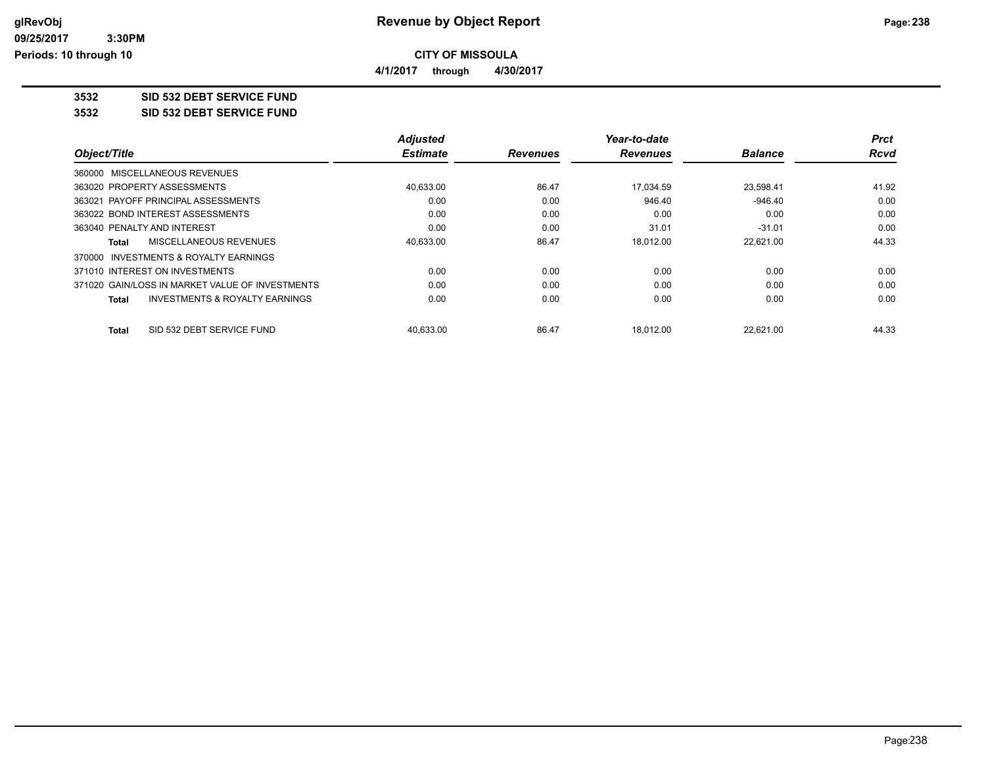**4/1/2017 through 4/30/2017**

**3532 SID 532 DEBT SERVICE FUND**

**3532 SID 532 DEBT SERVICE FUND**

|                                                           | <b>Adjusted</b> |                 | Year-to-date    |                | <b>Prct</b> |
|-----------------------------------------------------------|-----------------|-----------------|-----------------|----------------|-------------|
| Object/Title                                              | <b>Estimate</b> | <b>Revenues</b> | <b>Revenues</b> | <b>Balance</b> | Rcvd        |
| 360000 MISCELLANEOUS REVENUES                             |                 |                 |                 |                |             |
| 363020 PROPERTY ASSESSMENTS                               | 40,633.00       | 86.47           | 17,034.59       | 23,598.41      | 41.92       |
| 363021 PAYOFF PRINCIPAL ASSESSMENTS                       | 0.00            | 0.00            | 946.40          | $-946.40$      | 0.00        |
| 363022 BOND INTEREST ASSESSMENTS                          | 0.00            | 0.00            | 0.00            | 0.00           | 0.00        |
| 363040 PENALTY AND INTEREST                               | 0.00            | 0.00            | 31.01           | $-31.01$       | 0.00        |
| MISCELLANEOUS REVENUES<br><b>Total</b>                    | 40,633.00       | 86.47           | 18.012.00       | 22,621.00      | 44.33       |
| 370000 INVESTMENTS & ROYALTY EARNINGS                     |                 |                 |                 |                |             |
| 371010 INTEREST ON INVESTMENTS                            | 0.00            | 0.00            | 0.00            | 0.00           | 0.00        |
| 371020 GAIN/LOSS IN MARKET VALUE OF INVESTMENTS           | 0.00            | 0.00            | 0.00            | 0.00           | 0.00        |
| <b>INVESTMENTS &amp; ROYALTY EARNINGS</b><br><b>Total</b> | 0.00            | 0.00            | 0.00            | 0.00           | 0.00        |
| SID 532 DEBT SERVICE FUND<br><b>Total</b>                 | 40.633.00       | 86.47           | 18.012.00       | 22.621.00      | 44.33       |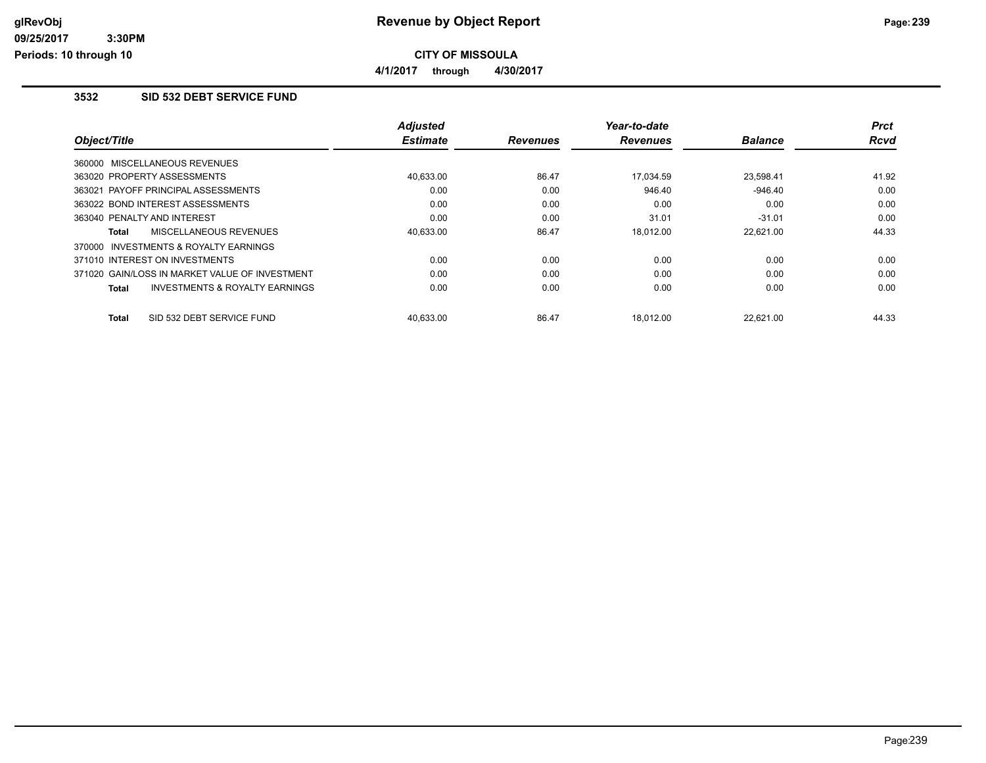**4/1/2017 through 4/30/2017**

### **3532 SID 532 DEBT SERVICE FUND**

|                                                           | <b>Adjusted</b> |                 | Year-to-date    |                | <b>Prct</b> |
|-----------------------------------------------------------|-----------------|-----------------|-----------------|----------------|-------------|
| Object/Title                                              | <b>Estimate</b> | <b>Revenues</b> | <b>Revenues</b> | <b>Balance</b> | <b>Rcvd</b> |
| 360000 MISCELLANEOUS REVENUES                             |                 |                 |                 |                |             |
| 363020 PROPERTY ASSESSMENTS                               | 40.633.00       | 86.47           | 17.034.59       | 23.598.41      | 41.92       |
| 363021 PAYOFF PRINCIPAL ASSESSMENTS                       | 0.00            | 0.00            | 946.40          | $-946.40$      | 0.00        |
| 363022 BOND INTEREST ASSESSMENTS                          | 0.00            | 0.00            | 0.00            | 0.00           | 0.00        |
| 363040 PENALTY AND INTEREST                               | 0.00            | 0.00            | 31.01           | $-31.01$       | 0.00        |
| MISCELLANEOUS REVENUES<br><b>Total</b>                    | 40,633.00       | 86.47           | 18,012.00       | 22,621.00      | 44.33       |
| <b>INVESTMENTS &amp; ROYALTY EARNINGS</b><br>370000       |                 |                 |                 |                |             |
| 371010 INTEREST ON INVESTMENTS                            | 0.00            | 0.00            | 0.00            | 0.00           | 0.00        |
| 371020 GAIN/LOSS IN MARKET VALUE OF INVESTMENT            | 0.00            | 0.00            | 0.00            | 0.00           | 0.00        |
| <b>INVESTMENTS &amp; ROYALTY EARNINGS</b><br><b>Total</b> | 0.00            | 0.00            | 0.00            | 0.00           | 0.00        |
| SID 532 DEBT SERVICE FUND<br><b>Total</b>                 | 40.633.00       | 86.47           | 18.012.00       | 22.621.00      | 44.33       |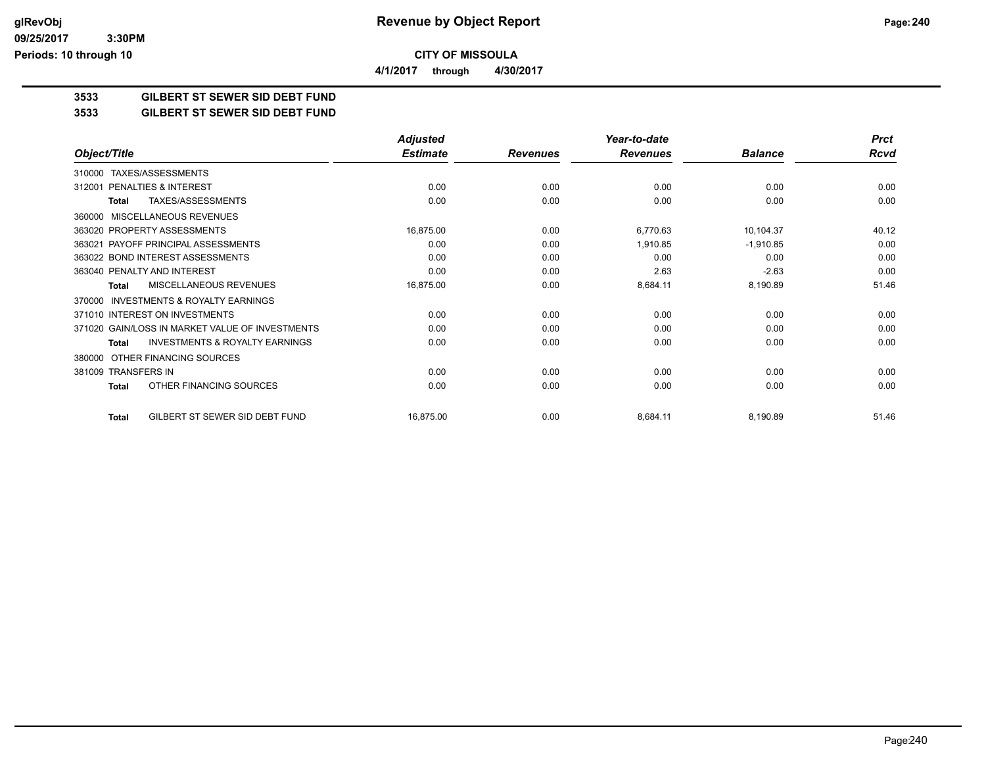**4/1/2017 through 4/30/2017**

# **3533 GILBERT ST SEWER SID DEBT FUND**

#### **3533 GILBERT ST SEWER SID DEBT FUND**

|                                                           | <b>Adjusted</b> |                 | Year-to-date    |                | <b>Prct</b> |
|-----------------------------------------------------------|-----------------|-----------------|-----------------|----------------|-------------|
| Object/Title                                              | <b>Estimate</b> | <b>Revenues</b> | <b>Revenues</b> | <b>Balance</b> | <b>Rcvd</b> |
| TAXES/ASSESSMENTS<br>310000                               |                 |                 |                 |                |             |
| <b>PENALTIES &amp; INTEREST</b><br>312001                 | 0.00            | 0.00            | 0.00            | 0.00           | 0.00        |
| <b>TAXES/ASSESSMENTS</b><br><b>Total</b>                  | 0.00            | 0.00            | 0.00            | 0.00           | 0.00        |
| MISCELLANEOUS REVENUES<br>360000                          |                 |                 |                 |                |             |
| 363020 PROPERTY ASSESSMENTS                               | 16,875.00       | 0.00            | 6,770.63        | 10,104.37      | 40.12       |
| PAYOFF PRINCIPAL ASSESSMENTS<br>363021                    | 0.00            | 0.00            | 1,910.85        | $-1,910.85$    | 0.00        |
| 363022 BOND INTEREST ASSESSMENTS                          | 0.00            | 0.00            | 0.00            | 0.00           | 0.00        |
| 363040 PENALTY AND INTEREST                               | 0.00            | 0.00            | 2.63            | $-2.63$        | 0.00        |
| <b>MISCELLANEOUS REVENUES</b><br><b>Total</b>             | 16,875.00       | 0.00            | 8,684.11        | 8,190.89       | 51.46       |
| <b>INVESTMENTS &amp; ROYALTY EARNINGS</b><br>370000       |                 |                 |                 |                |             |
| 371010 INTEREST ON INVESTMENTS                            | 0.00            | 0.00            | 0.00            | 0.00           | 0.00        |
| 371020 GAIN/LOSS IN MARKET VALUE OF INVESTMENTS           | 0.00            | 0.00            | 0.00            | 0.00           | 0.00        |
| <b>INVESTMENTS &amp; ROYALTY EARNINGS</b><br><b>Total</b> | 0.00            | 0.00            | 0.00            | 0.00           | 0.00        |
| OTHER FINANCING SOURCES<br>380000                         |                 |                 |                 |                |             |
| 381009 TRANSFERS IN                                       | 0.00            | 0.00            | 0.00            | 0.00           | 0.00        |
| OTHER FINANCING SOURCES<br><b>Total</b>                   | 0.00            | 0.00            | 0.00            | 0.00           | 0.00        |
| GILBERT ST SEWER SID DEBT FUND<br><b>Total</b>            | 16,875.00       | 0.00            | 8,684.11        | 8,190.89       | 51.46       |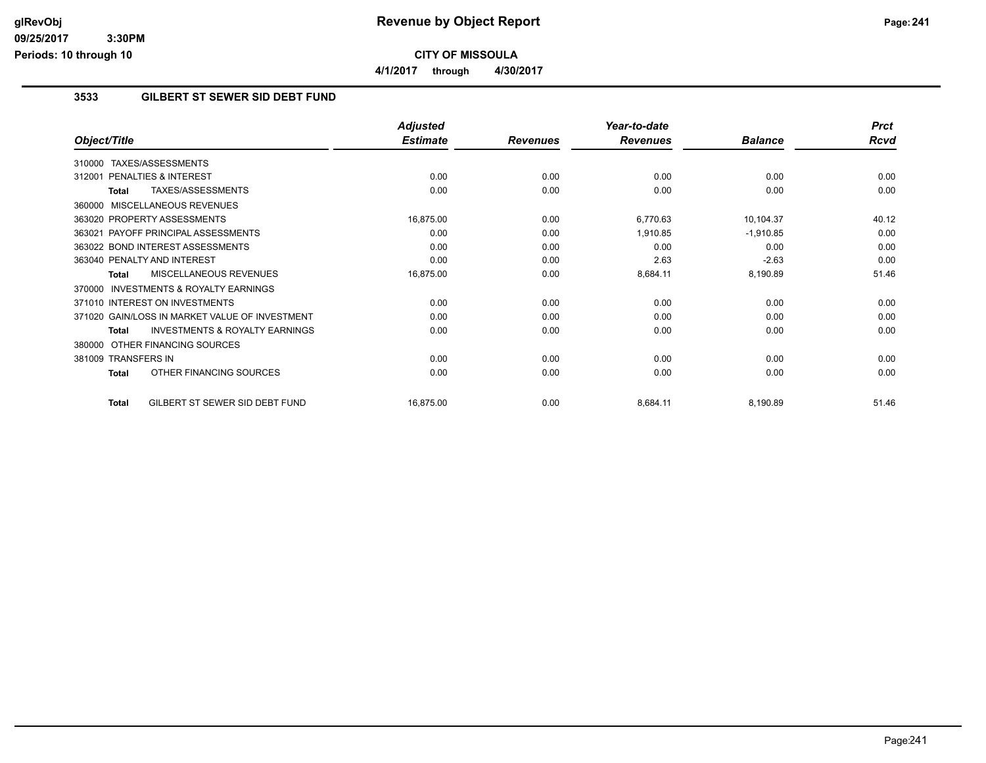**4/1/2017 through 4/30/2017**

# **3533 GILBERT ST SEWER SID DEBT FUND**

|                                                    | <b>Adjusted</b> |                 | Year-to-date    |                | <b>Prct</b> |
|----------------------------------------------------|-----------------|-----------------|-----------------|----------------|-------------|
| Object/Title                                       | <b>Estimate</b> | <b>Revenues</b> | <b>Revenues</b> | <b>Balance</b> | <b>Rcvd</b> |
| TAXES/ASSESSMENTS<br>310000                        |                 |                 |                 |                |             |
| 312001 PENALTIES & INTEREST                        | 0.00            | 0.00            | 0.00            | 0.00           | 0.00        |
| TAXES/ASSESSMENTS<br><b>Total</b>                  | 0.00            | 0.00            | 0.00            | 0.00           | 0.00        |
| MISCELLANEOUS REVENUES<br>360000                   |                 |                 |                 |                |             |
| 363020 PROPERTY ASSESSMENTS                        | 16,875.00       | 0.00            | 6,770.63        | 10,104.37      | 40.12       |
| 363021 PAYOFF PRINCIPAL ASSESSMENTS                | 0.00            | 0.00            | 1,910.85        | $-1,910.85$    | 0.00        |
| 363022 BOND INTEREST ASSESSMENTS                   | 0.00            | 0.00            | 0.00            | 0.00           | 0.00        |
| 363040 PENALTY AND INTEREST                        | 0.00            | 0.00            | 2.63            | $-2.63$        | 0.00        |
| <b>MISCELLANEOUS REVENUES</b><br>Total             | 16,875.00       | 0.00            | 8,684.11        | 8,190.89       | 51.46       |
| 370000 INVESTMENTS & ROYALTY EARNINGS              |                 |                 |                 |                |             |
| 371010 INTEREST ON INVESTMENTS                     | 0.00            | 0.00            | 0.00            | 0.00           | 0.00        |
| 371020 GAIN/LOSS IN MARKET VALUE OF INVESTMENT     | 0.00            | 0.00            | 0.00            | 0.00           | 0.00        |
| <b>INVESTMENTS &amp; ROYALTY EARNINGS</b><br>Total | 0.00            | 0.00            | 0.00            | 0.00           | 0.00        |
| 380000 OTHER FINANCING SOURCES                     |                 |                 |                 |                |             |
| 381009 TRANSFERS IN                                | 0.00            | 0.00            | 0.00            | 0.00           | 0.00        |
| OTHER FINANCING SOURCES<br><b>Total</b>            | 0.00            | 0.00            | 0.00            | 0.00           | 0.00        |
| GILBERT ST SEWER SID DEBT FUND<br><b>Total</b>     | 16,875.00       | 0.00            | 8,684.11        | 8,190.89       | 51.46       |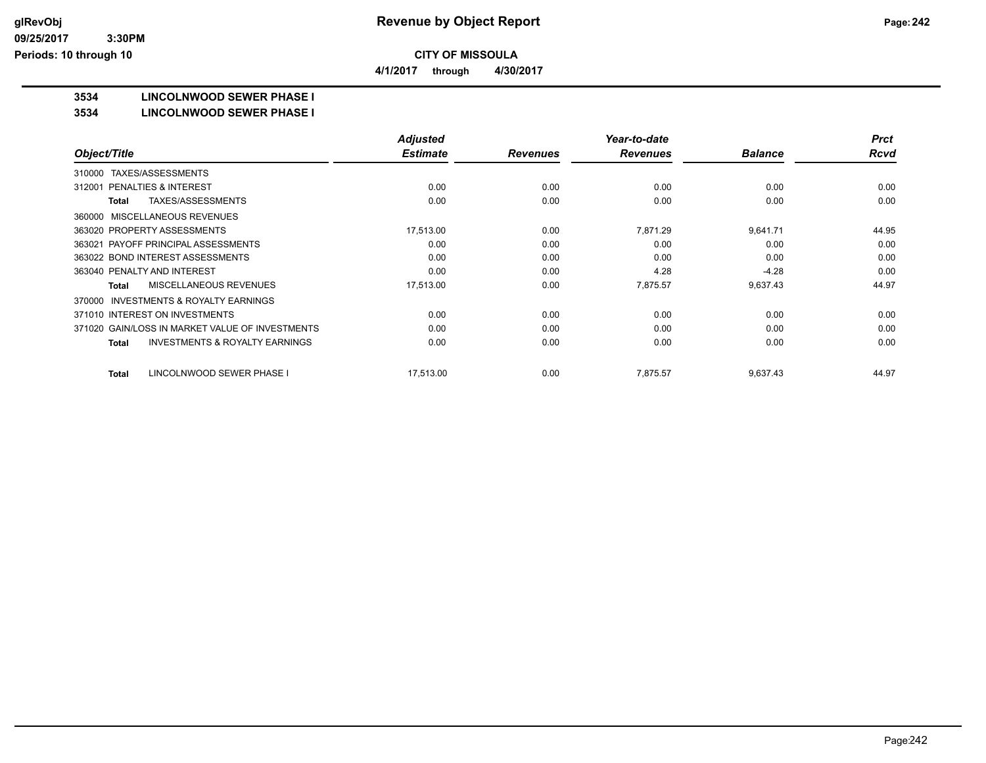**4/1/2017 through 4/30/2017**

### **3534 LINCOLNWOOD SEWER PHASE I**

#### **3534 LINCOLNWOOD SEWER PHASE I**

|                                                           | <b>Adjusted</b> |                 | Year-to-date    |                | <b>Prct</b> |
|-----------------------------------------------------------|-----------------|-----------------|-----------------|----------------|-------------|
| Object/Title                                              | <b>Estimate</b> | <b>Revenues</b> | <b>Revenues</b> | <b>Balance</b> | <b>Rcvd</b> |
| TAXES/ASSESSMENTS<br>310000                               |                 |                 |                 |                |             |
| <b>PENALTIES &amp; INTEREST</b><br>312001                 | 0.00            | 0.00            | 0.00            | 0.00           | 0.00        |
| TAXES/ASSESSMENTS<br><b>Total</b>                         | 0.00            | 0.00            | 0.00            | 0.00           | 0.00        |
| MISCELLANEOUS REVENUES<br>360000                          |                 |                 |                 |                |             |
| 363020 PROPERTY ASSESSMENTS                               | 17,513.00       | 0.00            | 7,871.29        | 9,641.71       | 44.95       |
| 363021 PAYOFF PRINCIPAL ASSESSMENTS                       | 0.00            | 0.00            | 0.00            | 0.00           | 0.00        |
| 363022 BOND INTEREST ASSESSMENTS                          | 0.00            | 0.00            | 0.00            | 0.00           | 0.00        |
| 363040 PENALTY AND INTEREST                               | 0.00            | 0.00            | 4.28            | $-4.28$        | 0.00        |
| <b>MISCELLANEOUS REVENUES</b><br><b>Total</b>             | 17,513.00       | 0.00            | 7.875.57        | 9,637.43       | 44.97       |
| <b>INVESTMENTS &amp; ROYALTY EARNINGS</b><br>370000       |                 |                 |                 |                |             |
| 371010 INTEREST ON INVESTMENTS                            | 0.00            | 0.00            | 0.00            | 0.00           | 0.00        |
| 371020 GAIN/LOSS IN MARKET VALUE OF INVESTMENTS           | 0.00            | 0.00            | 0.00            | 0.00           | 0.00        |
| <b>INVESTMENTS &amp; ROYALTY EARNINGS</b><br><b>Total</b> | 0.00            | 0.00            | 0.00            | 0.00           | 0.00        |
| LINCOLNWOOD SEWER PHASE I<br><b>Total</b>                 | 17,513.00       | 0.00            | 7.875.57        | 9,637.43       | 44.97       |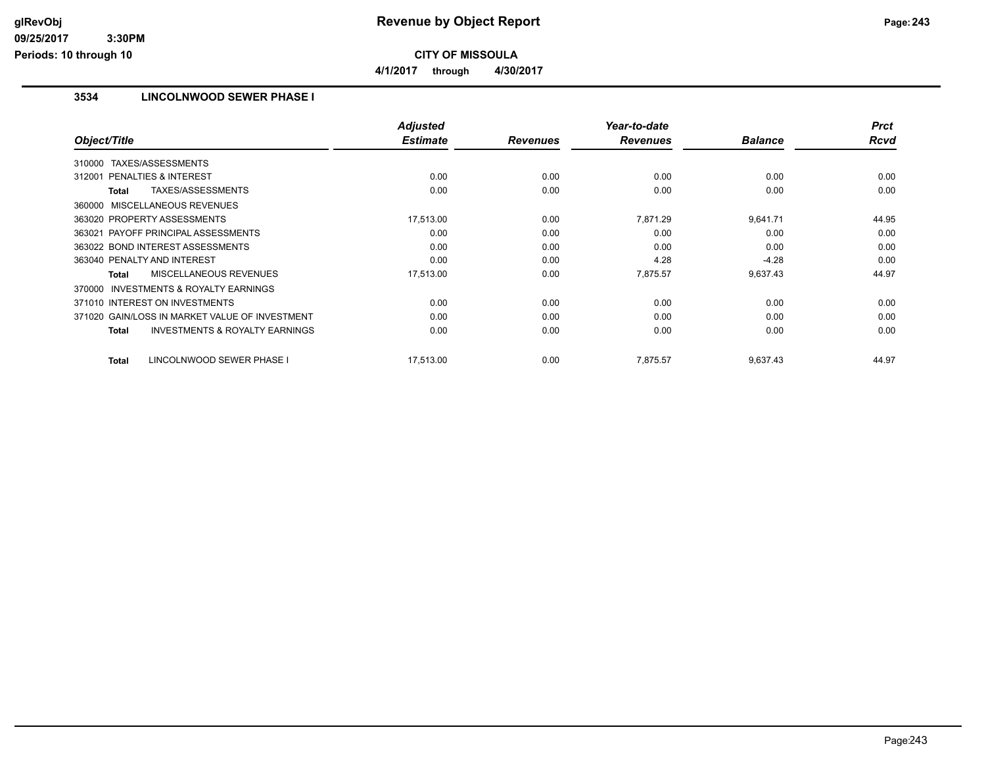**4/1/2017 through 4/30/2017**

# **3534 LINCOLNWOOD SEWER PHASE I**

|                                                     | <b>Adjusted</b> |                 | Year-to-date    |                | <b>Prct</b> |
|-----------------------------------------------------|-----------------|-----------------|-----------------|----------------|-------------|
| Object/Title                                        | <b>Estimate</b> | <b>Revenues</b> | <b>Revenues</b> | <b>Balance</b> | <b>Rcvd</b> |
| TAXES/ASSESSMENTS<br>310000                         |                 |                 |                 |                |             |
| 312001 PENALTIES & INTEREST                         | 0.00            | 0.00            | 0.00            | 0.00           | 0.00        |
| TAXES/ASSESSMENTS<br>Total                          | 0.00            | 0.00            | 0.00            | 0.00           | 0.00        |
| 360000 MISCELLANEOUS REVENUES                       |                 |                 |                 |                |             |
| 363020 PROPERTY ASSESSMENTS                         | 17,513.00       | 0.00            | 7,871.29        | 9,641.71       | 44.95       |
| 363021 PAYOFF PRINCIPAL ASSESSMENTS                 | 0.00            | 0.00            | 0.00            | 0.00           | 0.00        |
| 363022 BOND INTEREST ASSESSMENTS                    | 0.00            | 0.00            | 0.00            | 0.00           | 0.00        |
| 363040 PENALTY AND INTEREST                         | 0.00            | 0.00            | 4.28            | $-4.28$        | 0.00        |
| MISCELLANEOUS REVENUES<br><b>Total</b>              | 17,513.00       | 0.00            | 7,875.57        | 9,637.43       | 44.97       |
| <b>INVESTMENTS &amp; ROYALTY EARNINGS</b><br>370000 |                 |                 |                 |                |             |
| 371010 INTEREST ON INVESTMENTS                      | 0.00            | 0.00            | 0.00            | 0.00           | 0.00        |
| 371020 GAIN/LOSS IN MARKET VALUE OF INVESTMENT      | 0.00            | 0.00            | 0.00            | 0.00           | 0.00        |
| <b>INVESTMENTS &amp; ROYALTY EARNINGS</b><br>Total  | 0.00            | 0.00            | 0.00            | 0.00           | 0.00        |
| LINCOLNWOOD SEWER PHASE I<br><b>Total</b>           | 17,513.00       | 0.00            | 7.875.57        | 9,637.43       | 44.97       |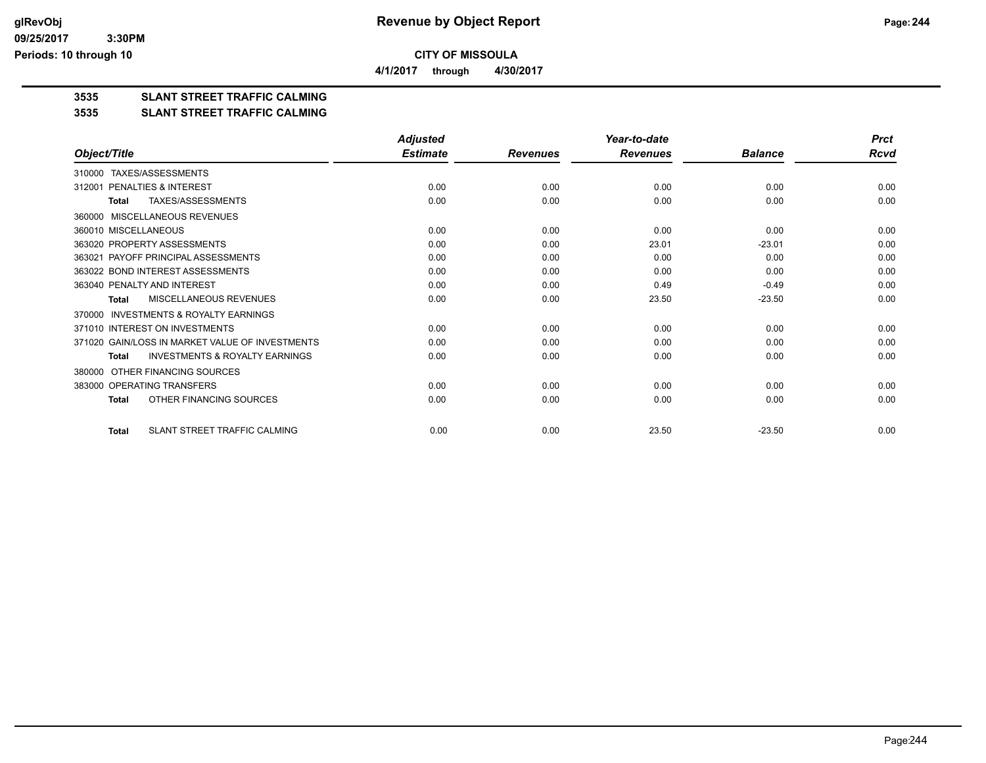**4/1/2017 through 4/30/2017**

# **3535 SLANT STREET TRAFFIC CALMING**

#### **3535 SLANT STREET TRAFFIC CALMING**

|                                                           | <b>Adjusted</b> |                 | Year-to-date    |                | <b>Prct</b> |
|-----------------------------------------------------------|-----------------|-----------------|-----------------|----------------|-------------|
| Object/Title                                              | <b>Estimate</b> | <b>Revenues</b> | <b>Revenues</b> | <b>Balance</b> | <b>Rcvd</b> |
| <b>TAXES/ASSESSMENTS</b><br>310000                        |                 |                 |                 |                |             |
| PENALTIES & INTEREST<br>312001                            | 0.00            | 0.00            | 0.00            | 0.00           | 0.00        |
| TAXES/ASSESSMENTS<br>Total                                | 0.00            | 0.00            | 0.00            | 0.00           | 0.00        |
| MISCELLANEOUS REVENUES<br>360000                          |                 |                 |                 |                |             |
| 360010 MISCELLANEOUS                                      | 0.00            | 0.00            | 0.00            | 0.00           | 0.00        |
| 363020 PROPERTY ASSESSMENTS                               | 0.00            | 0.00            | 23.01           | $-23.01$       | 0.00        |
| 363021 PAYOFF PRINCIPAL ASSESSMENTS                       | 0.00            | 0.00            | 0.00            | 0.00           | 0.00        |
| 363022 BOND INTEREST ASSESSMENTS                          | 0.00            | 0.00            | 0.00            | 0.00           | 0.00        |
| 363040 PENALTY AND INTEREST                               | 0.00            | 0.00            | 0.49            | $-0.49$        | 0.00        |
| MISCELLANEOUS REVENUES<br>Total                           | 0.00            | 0.00            | 23.50           | $-23.50$       | 0.00        |
| <b>INVESTMENTS &amp; ROYALTY EARNINGS</b><br>370000       |                 |                 |                 |                |             |
| 371010 INTEREST ON INVESTMENTS                            | 0.00            | 0.00            | 0.00            | 0.00           | 0.00        |
| 371020 GAIN/LOSS IN MARKET VALUE OF INVESTMENTS           | 0.00            | 0.00            | 0.00            | 0.00           | 0.00        |
| <b>INVESTMENTS &amp; ROYALTY EARNINGS</b><br><b>Total</b> | 0.00            | 0.00            | 0.00            | 0.00           | 0.00        |
| OTHER FINANCING SOURCES<br>380000                         |                 |                 |                 |                |             |
| 383000 OPERATING TRANSFERS                                | 0.00            | 0.00            | 0.00            | 0.00           | 0.00        |
| OTHER FINANCING SOURCES<br><b>Total</b>                   | 0.00            | 0.00            | 0.00            | 0.00           | 0.00        |
| SLANT STREET TRAFFIC CALMING<br><b>Total</b>              | 0.00            | 0.00            | 23.50           | $-23.50$       | 0.00        |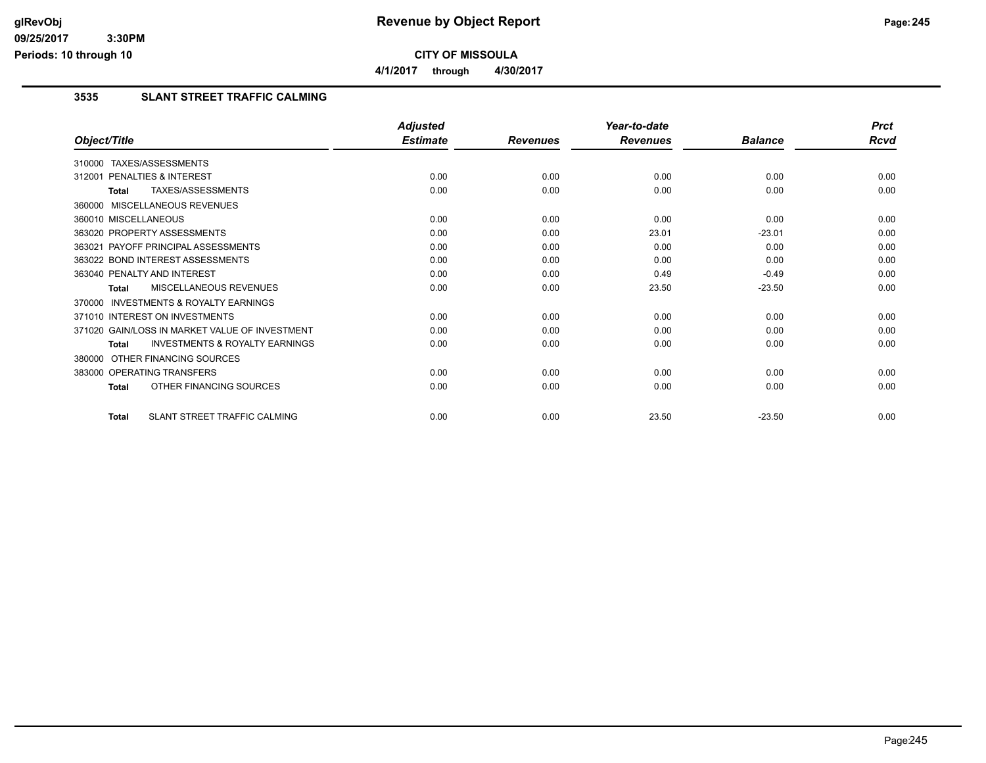**4/1/2017 through 4/30/2017**

# **3535 SLANT STREET TRAFFIC CALMING**

|                                                           | <b>Adjusted</b> |                 | Year-to-date    |                | <b>Prct</b> |
|-----------------------------------------------------------|-----------------|-----------------|-----------------|----------------|-------------|
| Object/Title                                              | <b>Estimate</b> | <b>Revenues</b> | <b>Revenues</b> | <b>Balance</b> | Rcvd        |
| 310000 TAXES/ASSESSMENTS                                  |                 |                 |                 |                |             |
| PENALTIES & INTEREST<br>312001                            | 0.00            | 0.00            | 0.00            | 0.00           | 0.00        |
| TAXES/ASSESSMENTS<br><b>Total</b>                         | 0.00            | 0.00            | 0.00            | 0.00           | 0.00        |
| 360000 MISCELLANEOUS REVENUES                             |                 |                 |                 |                |             |
| 360010 MISCELLANEOUS                                      | 0.00            | 0.00            | 0.00            | 0.00           | 0.00        |
| 363020 PROPERTY ASSESSMENTS                               | 0.00            | 0.00            | 23.01           | $-23.01$       | 0.00        |
| 363021 PAYOFF PRINCIPAL ASSESSMENTS                       | 0.00            | 0.00            | 0.00            | 0.00           | 0.00        |
| 363022 BOND INTEREST ASSESSMENTS                          | 0.00            | 0.00            | 0.00            | 0.00           | 0.00        |
| 363040 PENALTY AND INTEREST                               | 0.00            | 0.00            | 0.49            | $-0.49$        | 0.00        |
| MISCELLANEOUS REVENUES<br><b>Total</b>                    | 0.00            | 0.00            | 23.50           | $-23.50$       | 0.00        |
| 370000 INVESTMENTS & ROYALTY EARNINGS                     |                 |                 |                 |                |             |
| 371010 INTEREST ON INVESTMENTS                            | 0.00            | 0.00            | 0.00            | 0.00           | 0.00        |
| 371020 GAIN/LOSS IN MARKET VALUE OF INVESTMENT            | 0.00            | 0.00            | 0.00            | 0.00           | 0.00        |
| <b>INVESTMENTS &amp; ROYALTY EARNINGS</b><br><b>Total</b> | 0.00            | 0.00            | 0.00            | 0.00           | 0.00        |
| 380000 OTHER FINANCING SOURCES                            |                 |                 |                 |                |             |
| 383000 OPERATING TRANSFERS                                | 0.00            | 0.00            | 0.00            | 0.00           | 0.00        |
| OTHER FINANCING SOURCES<br><b>Total</b>                   | 0.00            | 0.00            | 0.00            | 0.00           | 0.00        |
| SLANT STREET TRAFFIC CALMING<br><b>Total</b>              | 0.00            | 0.00            | 23.50           | $-23.50$       | 0.00        |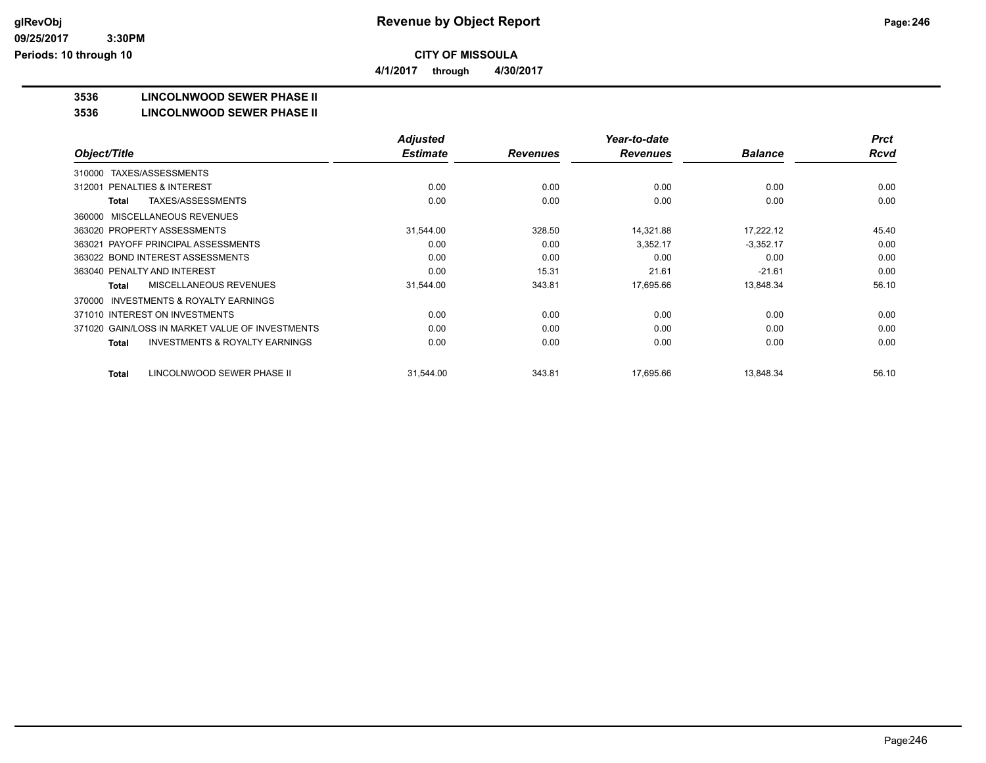**4/1/2017 through 4/30/2017**

### **3536 LINCOLNWOOD SEWER PHASE II**

#### **3536 LINCOLNWOOD SEWER PHASE II**

|                                                           | <b>Adjusted</b> |                 | Year-to-date    |                | <b>Prct</b> |
|-----------------------------------------------------------|-----------------|-----------------|-----------------|----------------|-------------|
| Object/Title                                              | <b>Estimate</b> | <b>Revenues</b> | <b>Revenues</b> | <b>Balance</b> | Rcvd        |
| TAXES/ASSESSMENTS<br>310000                               |                 |                 |                 |                |             |
| <b>PENALTIES &amp; INTEREST</b><br>312001                 | 0.00            | 0.00            | 0.00            | 0.00           | 0.00        |
| TAXES/ASSESSMENTS<br><b>Total</b>                         | 0.00            | 0.00            | 0.00            | 0.00           | 0.00        |
| MISCELLANEOUS REVENUES<br>360000                          |                 |                 |                 |                |             |
| 363020 PROPERTY ASSESSMENTS                               | 31,544.00       | 328.50          | 14,321.88       | 17,222.12      | 45.40       |
| 363021 PAYOFF PRINCIPAL ASSESSMENTS                       | 0.00            | 0.00            | 3.352.17        | $-3.352.17$    | 0.00        |
| 363022 BOND INTEREST ASSESSMENTS                          | 0.00            | 0.00            | 0.00            | 0.00           | 0.00        |
| 363040 PENALTY AND INTEREST                               | 0.00            | 15.31           | 21.61           | $-21.61$       | 0.00        |
| <b>MISCELLANEOUS REVENUES</b><br><b>Total</b>             | 31,544.00       | 343.81          | 17,695.66       | 13,848.34      | 56.10       |
| <b>INVESTMENTS &amp; ROYALTY EARNINGS</b><br>370000       |                 |                 |                 |                |             |
| 371010 INTEREST ON INVESTMENTS                            | 0.00            | 0.00            | 0.00            | 0.00           | 0.00        |
| 371020 GAIN/LOSS IN MARKET VALUE OF INVESTMENTS           | 0.00            | 0.00            | 0.00            | 0.00           | 0.00        |
| <b>INVESTMENTS &amp; ROYALTY EARNINGS</b><br><b>Total</b> | 0.00            | 0.00            | 0.00            | 0.00           | 0.00        |
| LINCOLNWOOD SEWER PHASE II<br><b>Total</b>                | 31,544.00       | 343.81          | 17,695.66       | 13,848.34      | 56.10       |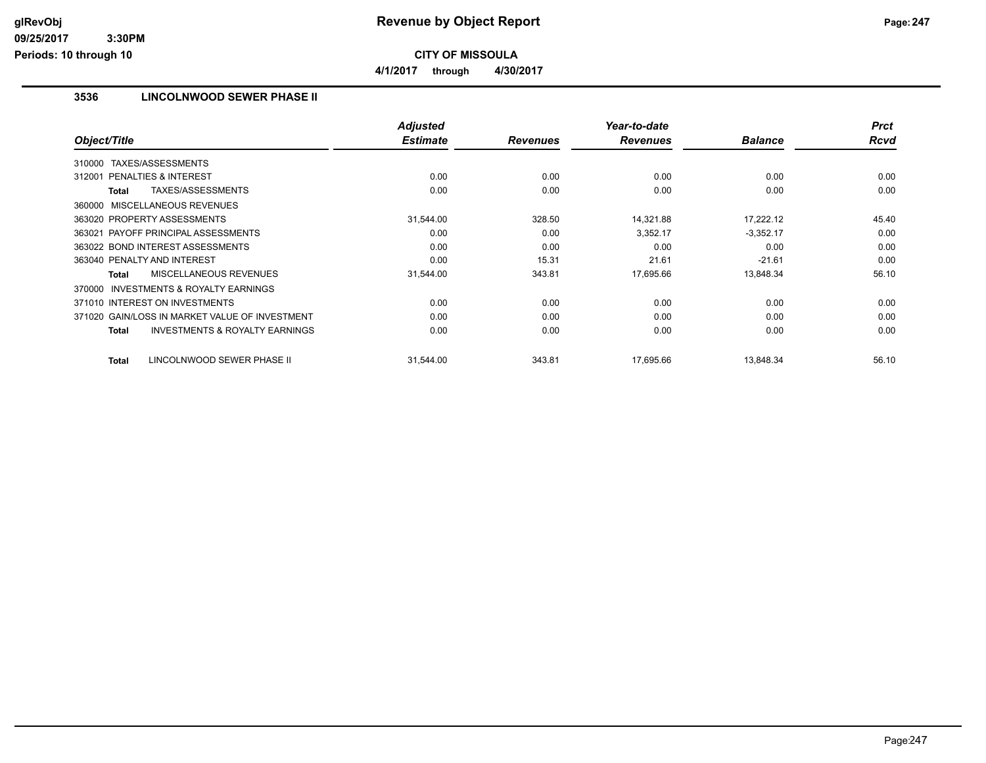**4/1/2017 through 4/30/2017**

# **3536 LINCOLNWOOD SEWER PHASE II**

|                                                     | <b>Adjusted</b> |                 | Year-to-date    |                | <b>Prct</b> |
|-----------------------------------------------------|-----------------|-----------------|-----------------|----------------|-------------|
| Object/Title                                        | <b>Estimate</b> | <b>Revenues</b> | <b>Revenues</b> | <b>Balance</b> | <b>Rcvd</b> |
| TAXES/ASSESSMENTS<br>310000                         |                 |                 |                 |                |             |
| 312001 PENALTIES & INTEREST                         | 0.00            | 0.00            | 0.00            | 0.00           | 0.00        |
| TAXES/ASSESSMENTS<br>Total                          | 0.00            | 0.00            | 0.00            | 0.00           | 0.00        |
| 360000 MISCELLANEOUS REVENUES                       |                 |                 |                 |                |             |
| 363020 PROPERTY ASSESSMENTS                         | 31,544.00       | 328.50          | 14,321.88       | 17,222.12      | 45.40       |
| 363021 PAYOFF PRINCIPAL ASSESSMENTS                 | 0.00            | 0.00            | 3,352.17        | $-3,352.17$    | 0.00        |
| 363022 BOND INTEREST ASSESSMENTS                    | 0.00            | 0.00            | 0.00            | 0.00           | 0.00        |
| 363040 PENALTY AND INTEREST                         | 0.00            | 15.31           | 21.61           | $-21.61$       | 0.00        |
| <b>MISCELLANEOUS REVENUES</b><br><b>Total</b>       | 31,544.00       | 343.81          | 17,695.66       | 13,848.34      | 56.10       |
| <b>INVESTMENTS &amp; ROYALTY EARNINGS</b><br>370000 |                 |                 |                 |                |             |
| 371010 INTEREST ON INVESTMENTS                      | 0.00            | 0.00            | 0.00            | 0.00           | 0.00        |
| 371020 GAIN/LOSS IN MARKET VALUE OF INVESTMENT      | 0.00            | 0.00            | 0.00            | 0.00           | 0.00        |
| <b>INVESTMENTS &amp; ROYALTY EARNINGS</b><br>Total  | 0.00            | 0.00            | 0.00            | 0.00           | 0.00        |
| LINCOLNWOOD SEWER PHASE II<br><b>Total</b>          | 31,544.00       | 343.81          | 17.695.66       | 13.848.34      | 56.10       |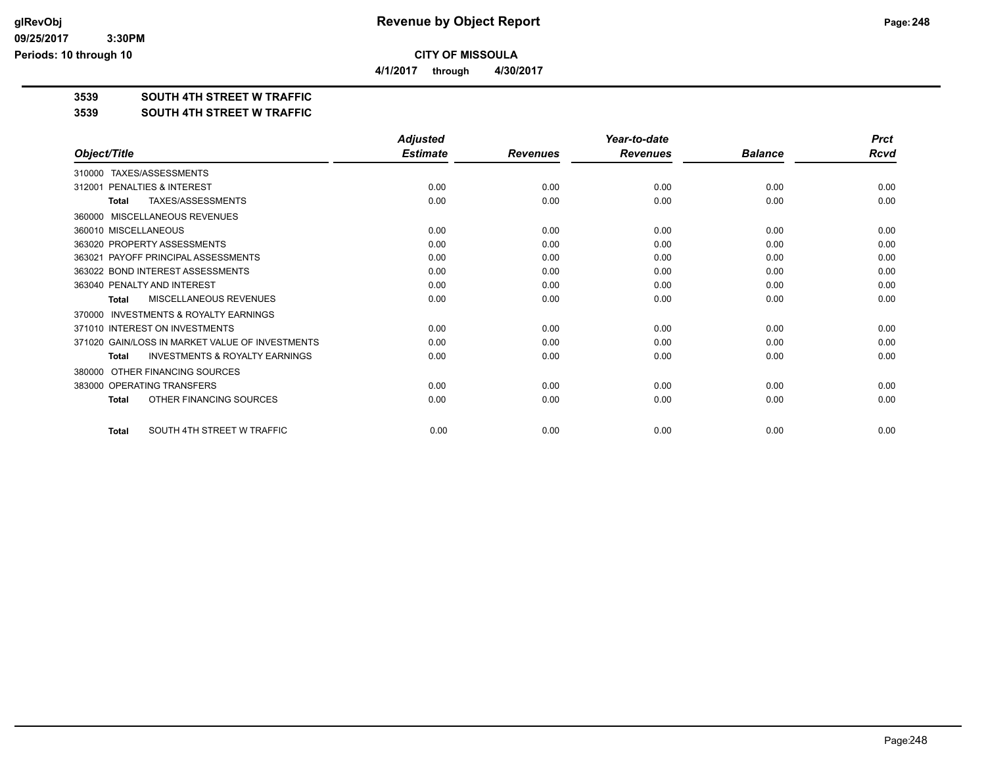**4/1/2017 through 4/30/2017**

#### **3539 SOUTH 4TH STREET W TRAFFIC**

#### **3539 SOUTH 4TH STREET W TRAFFIC**

|                                                     | <b>Adjusted</b> |                 | Year-to-date    |                | <b>Prct</b> |
|-----------------------------------------------------|-----------------|-----------------|-----------------|----------------|-------------|
| Object/Title                                        | <b>Estimate</b> | <b>Revenues</b> | <b>Revenues</b> | <b>Balance</b> | <b>Rcvd</b> |
| 310000 TAXES/ASSESSMENTS                            |                 |                 |                 |                |             |
| PENALTIES & INTEREST<br>312001                      | 0.00            | 0.00            | 0.00            | 0.00           | 0.00        |
| TAXES/ASSESSMENTS<br><b>Total</b>                   | 0.00            | 0.00            | 0.00            | 0.00           | 0.00        |
| MISCELLANEOUS REVENUES<br>360000                    |                 |                 |                 |                |             |
| 360010 MISCELLANEOUS                                | 0.00            | 0.00            | 0.00            | 0.00           | 0.00        |
| 363020 PROPERTY ASSESSMENTS                         | 0.00            | 0.00            | 0.00            | 0.00           | 0.00        |
| 363021 PAYOFF PRINCIPAL ASSESSMENTS                 | 0.00            | 0.00            | 0.00            | 0.00           | 0.00        |
| 363022 BOND INTEREST ASSESSMENTS                    | 0.00            | 0.00            | 0.00            | 0.00           | 0.00        |
| 363040 PENALTY AND INTEREST                         | 0.00            | 0.00            | 0.00            | 0.00           | 0.00        |
| MISCELLANEOUS REVENUES<br>Total                     | 0.00            | 0.00            | 0.00            | 0.00           | 0.00        |
| <b>INVESTMENTS &amp; ROYALTY EARNINGS</b><br>370000 |                 |                 |                 |                |             |
| 371010 INTEREST ON INVESTMENTS                      | 0.00            | 0.00            | 0.00            | 0.00           | 0.00        |
| 371020 GAIN/LOSS IN MARKET VALUE OF INVESTMENTS     | 0.00            | 0.00            | 0.00            | 0.00           | 0.00        |
| <b>INVESTMENTS &amp; ROYALTY EARNINGS</b><br>Total  | 0.00            | 0.00            | 0.00            | 0.00           | 0.00        |
| OTHER FINANCING SOURCES<br>380000                   |                 |                 |                 |                |             |
| 383000 OPERATING TRANSFERS                          | 0.00            | 0.00            | 0.00            | 0.00           | 0.00        |
| OTHER FINANCING SOURCES<br><b>Total</b>             | 0.00            | 0.00            | 0.00            | 0.00           | 0.00        |
| SOUTH 4TH STREET W TRAFFIC<br><b>Total</b>          | 0.00            | 0.00            | 0.00            | 0.00           | 0.00        |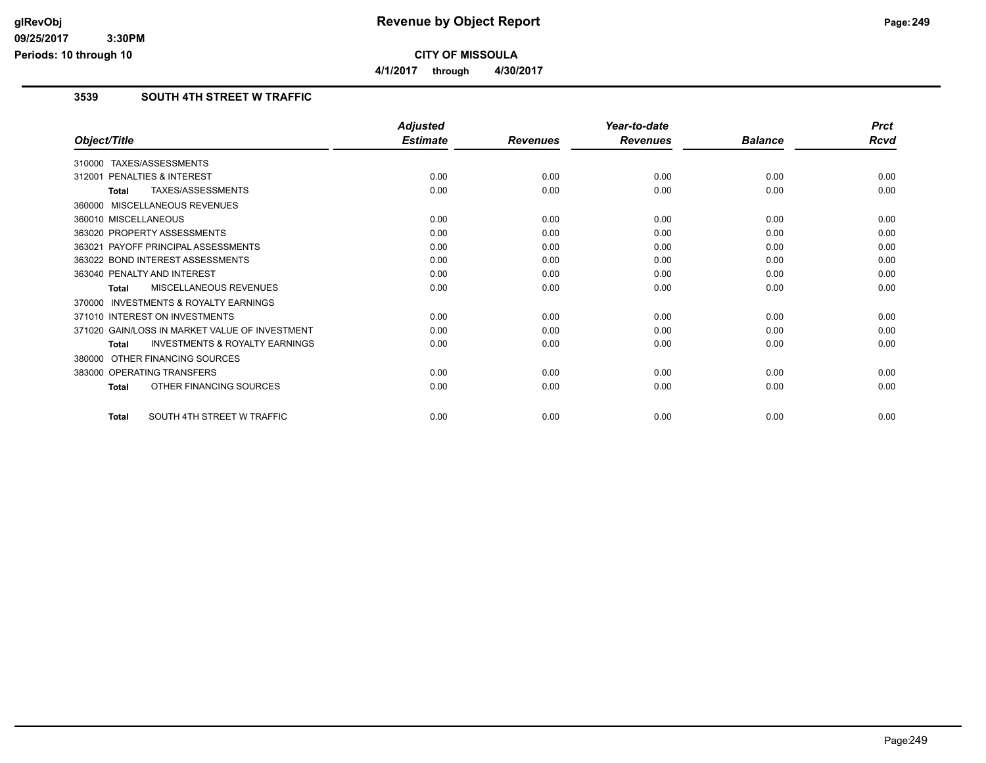**4/1/2017 through 4/30/2017**

# **3539 SOUTH 4TH STREET W TRAFFIC**

|                                                           | <b>Adjusted</b> |                 | Year-to-date    |                | <b>Prct</b> |
|-----------------------------------------------------------|-----------------|-----------------|-----------------|----------------|-------------|
| Object/Title                                              | <b>Estimate</b> | <b>Revenues</b> | <b>Revenues</b> | <b>Balance</b> | <b>Rcvd</b> |
| 310000 TAXES/ASSESSMENTS                                  |                 |                 |                 |                |             |
| 312001 PENALTIES & INTEREST                               | 0.00            | 0.00            | 0.00            | 0.00           | 0.00        |
| TAXES/ASSESSMENTS<br><b>Total</b>                         | 0.00            | 0.00            | 0.00            | 0.00           | 0.00        |
| 360000 MISCELLANEOUS REVENUES                             |                 |                 |                 |                |             |
| 360010 MISCELLANEOUS                                      | 0.00            | 0.00            | 0.00            | 0.00           | 0.00        |
| 363020 PROPERTY ASSESSMENTS                               | 0.00            | 0.00            | 0.00            | 0.00           | 0.00        |
| 363021 PAYOFF PRINCIPAL ASSESSMENTS                       | 0.00            | 0.00            | 0.00            | 0.00           | 0.00        |
| 363022 BOND INTEREST ASSESSMENTS                          | 0.00            | 0.00            | 0.00            | 0.00           | 0.00        |
| 363040 PENALTY AND INTEREST                               | 0.00            | 0.00            | 0.00            | 0.00           | 0.00        |
| MISCELLANEOUS REVENUES<br><b>Total</b>                    | 0.00            | 0.00            | 0.00            | 0.00           | 0.00        |
| INVESTMENTS & ROYALTY EARNINGS<br>370000                  |                 |                 |                 |                |             |
| 371010 INTEREST ON INVESTMENTS                            | 0.00            | 0.00            | 0.00            | 0.00           | 0.00        |
| 371020 GAIN/LOSS IN MARKET VALUE OF INVESTMENT            | 0.00            | 0.00            | 0.00            | 0.00           | 0.00        |
| <b>INVESTMENTS &amp; ROYALTY EARNINGS</b><br><b>Total</b> | 0.00            | 0.00            | 0.00            | 0.00           | 0.00        |
| OTHER FINANCING SOURCES<br>380000                         |                 |                 |                 |                |             |
| 383000 OPERATING TRANSFERS                                | 0.00            | 0.00            | 0.00            | 0.00           | 0.00        |
| OTHER FINANCING SOURCES<br><b>Total</b>                   | 0.00            | 0.00            | 0.00            | 0.00           | 0.00        |
| SOUTH 4TH STREET W TRAFFIC<br><b>Total</b>                | 0.00            | 0.00            | 0.00            | 0.00           | 0.00        |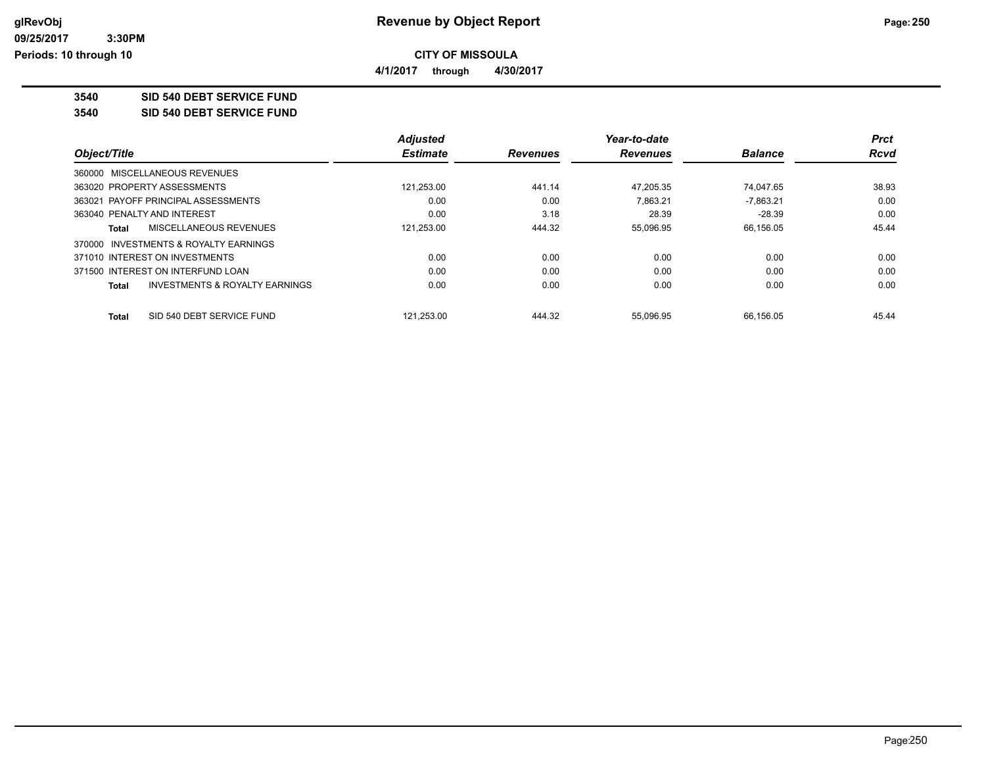**4/1/2017 through 4/30/2017**

**3540 SID 540 DEBT SERVICE FUND**

**3540 SID 540 DEBT SERVICE FUND**

|                                       |                                           | <b>Adjusted</b> |                 | Year-to-date    |                | <b>Prct</b> |
|---------------------------------------|-------------------------------------------|-----------------|-----------------|-----------------|----------------|-------------|
| Object/Title                          |                                           | <b>Estimate</b> | <b>Revenues</b> | <b>Revenues</b> | <b>Balance</b> | Rcvd        |
| 360000 MISCELLANEOUS REVENUES         |                                           |                 |                 |                 |                |             |
| 363020 PROPERTY ASSESSMENTS           |                                           | 121,253.00      | 441.14          | 47.205.35       | 74.047.65      | 38.93       |
| 363021 PAYOFF PRINCIPAL ASSESSMENTS   |                                           | 0.00            | 0.00            | 7.863.21        | $-7.863.21$    | 0.00        |
| 363040 PENALTY AND INTEREST           |                                           | 0.00            | 3.18            | 28.39           | $-28.39$       | 0.00        |
| Total                                 | MISCELLANEOUS REVENUES                    | 121,253.00      | 444.32          | 55.096.95       | 66.156.05      | 45.44       |
| 370000 INVESTMENTS & ROYALTY EARNINGS |                                           |                 |                 |                 |                |             |
| 371010 INTEREST ON INVESTMENTS        |                                           | 0.00            | 0.00            | 0.00            | 0.00           | 0.00        |
| 371500 INTEREST ON INTERFUND LOAN     |                                           | 0.00            | 0.00            | 0.00            | 0.00           | 0.00        |
| <b>Total</b>                          | <b>INVESTMENTS &amp; ROYALTY EARNINGS</b> | 0.00            | 0.00            | 0.00            | 0.00           | 0.00        |
| Total                                 | SID 540 DEBT SERVICE FUND                 | 121.253.00      | 444.32          | 55.096.95       | 66.156.05      | 45.44       |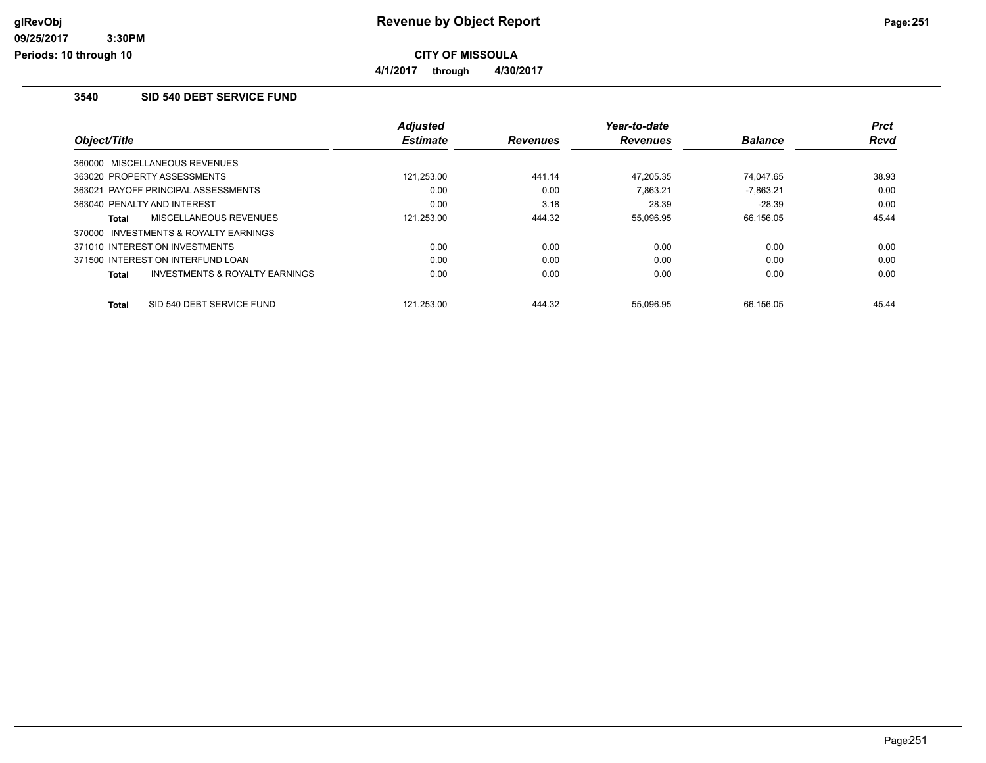**4/1/2017 through 4/30/2017**

### **3540 SID 540 DEBT SERVICE FUND**

| Object/Title                                              | <b>Adiusted</b><br><b>Estimate</b> | <b>Revenues</b> | Year-to-date<br><b>Revenues</b> | <b>Balance</b> | <b>Prct</b><br><b>Rcvd</b> |
|-----------------------------------------------------------|------------------------------------|-----------------|---------------------------------|----------------|----------------------------|
| 360000 MISCELLANEOUS REVENUES                             |                                    |                 |                                 |                |                            |
| 363020 PROPERTY ASSESSMENTS                               | 121.253.00                         | 441.14          | 47.205.35                       | 74.047.65      | 38.93                      |
| 363021 PAYOFF PRINCIPAL ASSESSMENTS                       | 0.00                               | 0.00            | 7.863.21                        | $-7.863.21$    | 0.00                       |
| 363040 PENALTY AND INTEREST                               | 0.00                               | 3.18            | 28.39                           | $-28.39$       | 0.00                       |
| MISCELLANEOUS REVENUES<br>Total                           | 121,253.00                         | 444.32          | 55.096.95                       | 66.156.05      | 45.44                      |
| 370000 INVESTMENTS & ROYALTY EARNINGS                     |                                    |                 |                                 |                |                            |
| 371010 INTEREST ON INVESTMENTS                            | 0.00                               | 0.00            | 0.00                            | 0.00           | 0.00                       |
| 371500 INTEREST ON INTERFUND LOAN                         | 0.00                               | 0.00            | 0.00                            | 0.00           | 0.00                       |
| <b>INVESTMENTS &amp; ROYALTY EARNINGS</b><br><b>Total</b> | 0.00                               | 0.00            | 0.00                            | 0.00           | 0.00                       |
| SID 540 DEBT SERVICE FUND<br><b>Total</b>                 | 121.253.00                         | 444.32          | 55.096.95                       | 66.156.05      | 45.44                      |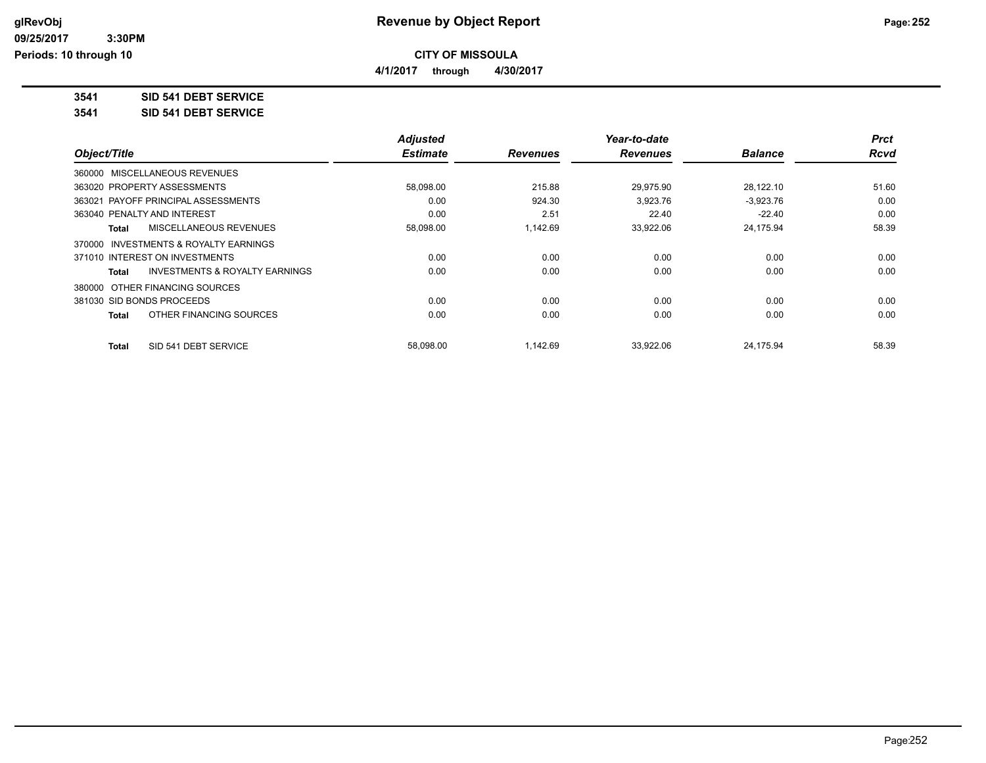**4/1/2017 through 4/30/2017**

**3541 SID 541 DEBT SERVICE**

**3541 SID 541 DEBT SERVICE**

|                                         | <b>Adjusted</b> |                 | Year-to-date    |                | <b>Prct</b> |
|-----------------------------------------|-----------------|-----------------|-----------------|----------------|-------------|
| Object/Title                            | <b>Estimate</b> | <b>Revenues</b> | <b>Revenues</b> | <b>Balance</b> | <b>Rcvd</b> |
| 360000 MISCELLANEOUS REVENUES           |                 |                 |                 |                |             |
| 363020 PROPERTY ASSESSMENTS             | 58,098.00       | 215.88          | 29,975.90       | 28,122.10      | 51.60       |
| 363021 PAYOFF PRINCIPAL ASSESSMENTS     | 0.00            | 924.30          | 3,923.76        | $-3,923.76$    | 0.00        |
| 363040 PENALTY AND INTEREST             | 0.00            | 2.51            | 22.40           | $-22.40$       | 0.00        |
| MISCELLANEOUS REVENUES<br>Total         | 58,098.00       | 1,142.69        | 33,922.06       | 24.175.94      | 58.39       |
| 370000 INVESTMENTS & ROYALTY EARNINGS   |                 |                 |                 |                |             |
| 371010 INTEREST ON INVESTMENTS          | 0.00            | 0.00            | 0.00            | 0.00           | 0.00        |
| INVESTMENTS & ROYALTY EARNINGS<br>Total | 0.00            | 0.00            | 0.00            | 0.00           | 0.00        |
| 380000 OTHER FINANCING SOURCES          |                 |                 |                 |                |             |
| 381030 SID BONDS PROCEEDS               | 0.00            | 0.00            | 0.00            | 0.00           | 0.00        |
| OTHER FINANCING SOURCES<br>Total        | 0.00            | 0.00            | 0.00            | 0.00           | 0.00        |
| SID 541 DEBT SERVICE<br>Total           | 58.098.00       | 1.142.69        | 33,922.06       | 24,175.94      | 58.39       |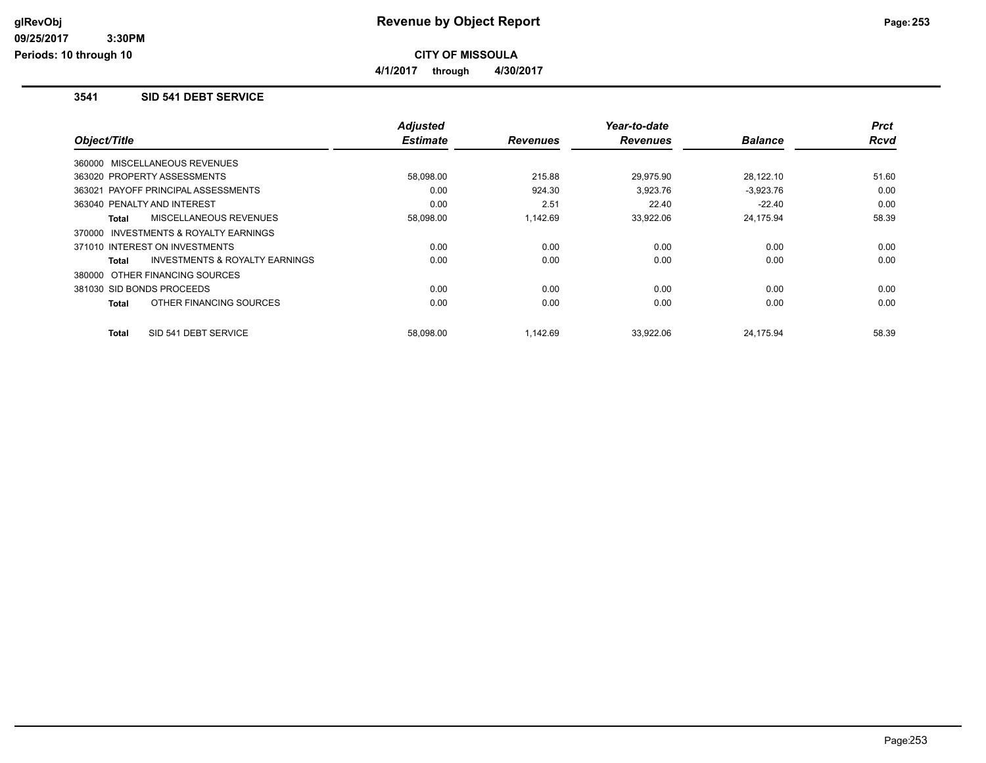**4/1/2017 through 4/30/2017**

# **3541 SID 541 DEBT SERVICE**

| Object/Title                                        | <b>Adjusted</b><br><b>Estimate</b> | <b>Revenues</b> | Year-to-date<br><b>Revenues</b> | <b>Balance</b> | <b>Prct</b><br>Rcvd |
|-----------------------------------------------------|------------------------------------|-----------------|---------------------------------|----------------|---------------------|
|                                                     |                                    |                 |                                 |                |                     |
| 360000 MISCELLANEOUS REVENUES                       |                                    |                 |                                 |                |                     |
| 363020 PROPERTY ASSESSMENTS                         | 58,098.00                          | 215.88          | 29.975.90                       | 28.122.10      | 51.60               |
| 363021 PAYOFF PRINCIPAL ASSESSMENTS                 | 0.00                               | 924.30          | 3,923.76                        | $-3,923.76$    | 0.00                |
| 363040 PENALTY AND INTEREST                         | 0.00                               | 2.51            | 22.40                           | $-22.40$       | 0.00                |
| MISCELLANEOUS REVENUES<br>Total                     | 58,098.00                          | 1.142.69        | 33,922.06                       | 24.175.94      | 58.39               |
| <b>INVESTMENTS &amp; ROYALTY EARNINGS</b><br>370000 |                                    |                 |                                 |                |                     |
| 371010 INTEREST ON INVESTMENTS                      | 0.00                               | 0.00            | 0.00                            | 0.00           | 0.00                |
| <b>INVESTMENTS &amp; ROYALTY EARNINGS</b><br>Total  | 0.00                               | 0.00            | 0.00                            | 0.00           | 0.00                |
| 380000 OTHER FINANCING SOURCES                      |                                    |                 |                                 |                |                     |
| 381030 SID BONDS PROCEEDS                           | 0.00                               | 0.00            | 0.00                            | 0.00           | 0.00                |
| OTHER FINANCING SOURCES<br><b>Total</b>             | 0.00                               | 0.00            | 0.00                            | 0.00           | 0.00                |
| SID 541 DEBT SERVICE<br><b>Total</b>                | 58.098.00                          | 1.142.69        | 33.922.06                       | 24.175.94      | 58.39               |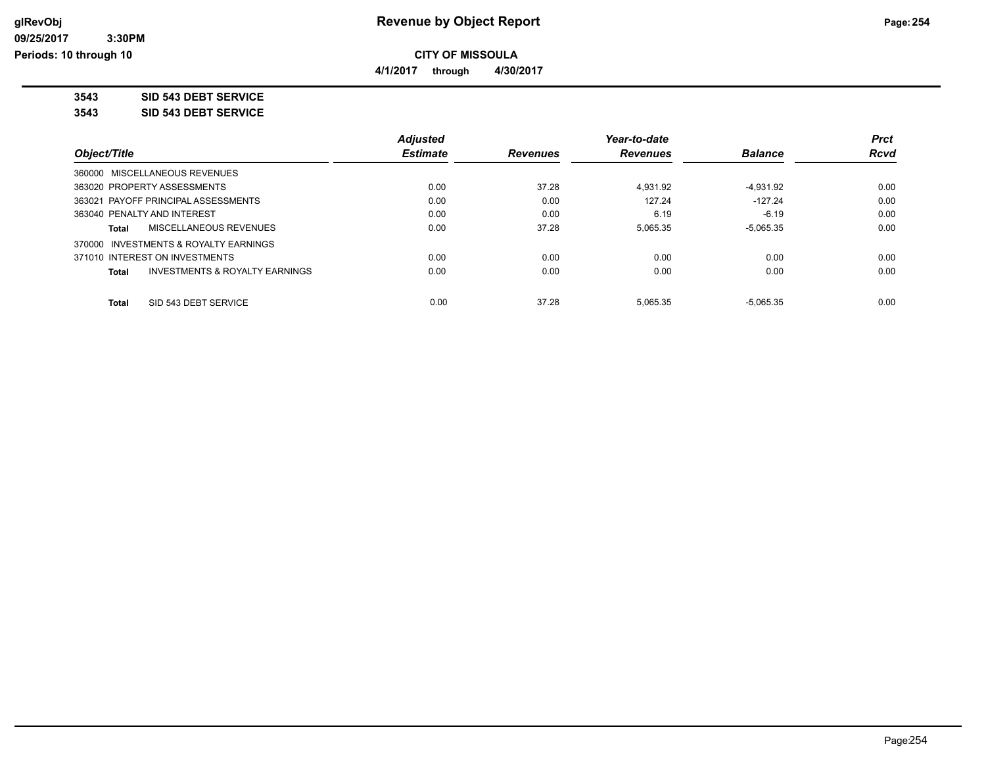**4/1/2017 through 4/30/2017**

**3543 SID 543 DEBT SERVICE**

**3543 SID 543 DEBT SERVICE**

|                                                | <b>Adjusted</b> |                 | Year-to-date    |                | <b>Prct</b> |
|------------------------------------------------|-----------------|-----------------|-----------------|----------------|-------------|
| Object/Title                                   | <b>Estimate</b> | <b>Revenues</b> | <b>Revenues</b> | <b>Balance</b> | Rcvd        |
| 360000 MISCELLANEOUS REVENUES                  |                 |                 |                 |                |             |
| 363020 PROPERTY ASSESSMENTS                    | 0.00            | 37.28           | 4.931.92        | $-4.931.92$    | 0.00        |
| 363021 PAYOFF PRINCIPAL ASSESSMENTS            | 0.00            | 0.00            | 127.24          | $-127.24$      | 0.00        |
| 363040 PENALTY AND INTEREST                    | 0.00            | 0.00            | 6.19            | $-6.19$        | 0.00        |
| MISCELLANEOUS REVENUES<br>Total                | 0.00            | 37.28           | 5.065.35        | $-5.065.35$    | 0.00        |
| 370000 INVESTMENTS & ROYALTY EARNINGS          |                 |                 |                 |                |             |
| 371010 INTEREST ON INVESTMENTS                 | 0.00            | 0.00            | 0.00            | 0.00           | 0.00        |
| INVESTMENTS & ROYALTY EARNINGS<br><b>Total</b> | 0.00            | 0.00            | 0.00            | 0.00           | 0.00        |
| SID 543 DEBT SERVICE<br>Total                  | 0.00            | 37.28           | 5.065.35        | $-5.065.35$    | 0.00        |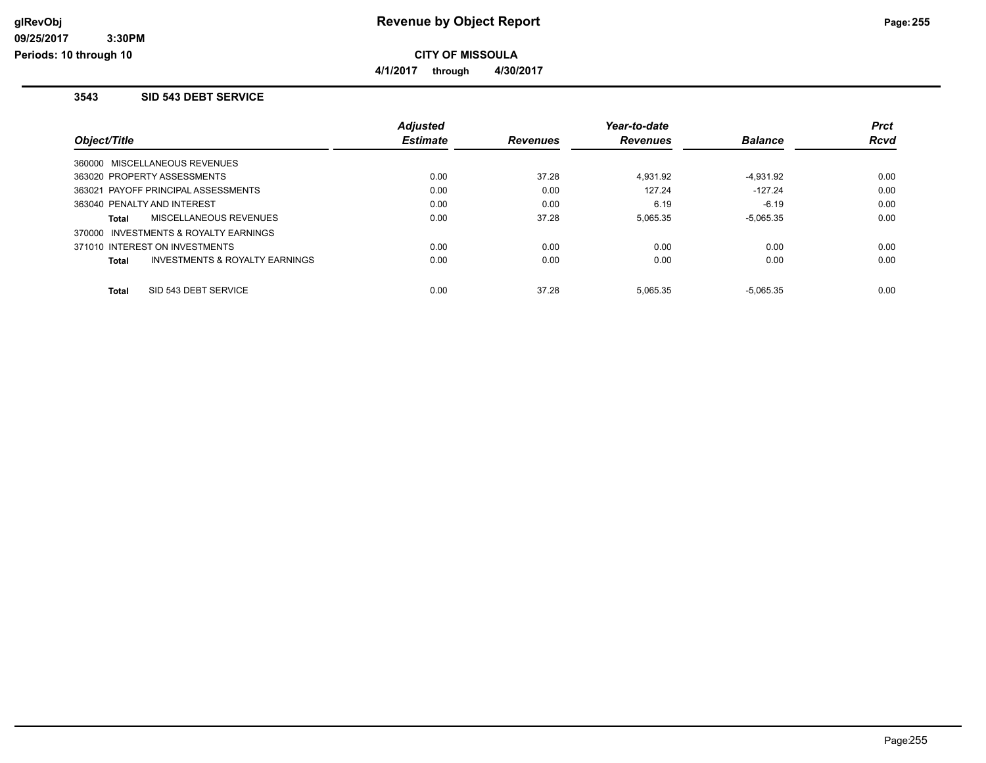**4/1/2017 through 4/30/2017**

#### **3543 SID 543 DEBT SERVICE**

|                                          | <b>Adjusted</b> |                 | Year-to-date    |                | <b>Prct</b> |
|------------------------------------------|-----------------|-----------------|-----------------|----------------|-------------|
| <b>Object/Title</b>                      | <b>Estimate</b> | <b>Revenues</b> | <b>Revenues</b> | <b>Balance</b> | <b>Rcvd</b> |
| 360000 MISCELLANEOUS REVENUES            |                 |                 |                 |                |             |
| 363020 PROPERTY ASSESSMENTS              | 0.00            | 37.28           | 4,931.92        | $-4,931.92$    | 0.00        |
| 363021 PAYOFF PRINCIPAL ASSESSMENTS      | 0.00            | 0.00            | 127.24          | $-127.24$      | 0.00        |
| 363040 PENALTY AND INTEREST              | 0.00            | 0.00            | 6.19            | $-6.19$        | 0.00        |
| MISCELLANEOUS REVENUES<br>Total          | 0.00            | 37.28           | 5.065.35        | $-5.065.35$    | 0.00        |
| INVESTMENTS & ROYALTY EARNINGS<br>370000 |                 |                 |                 |                |             |
| 371010 INTEREST ON INVESTMENTS           | 0.00            | 0.00            | 0.00            | 0.00           | 0.00        |
| INVESTMENTS & ROYALTY EARNINGS<br>Total  | 0.00            | 0.00            | 0.00            | 0.00           | 0.00        |
| SID 543 DEBT SERVICE<br><b>Total</b>     | 0.00            | 37.28           | 5.065.35        | $-5.065.35$    | 0.00        |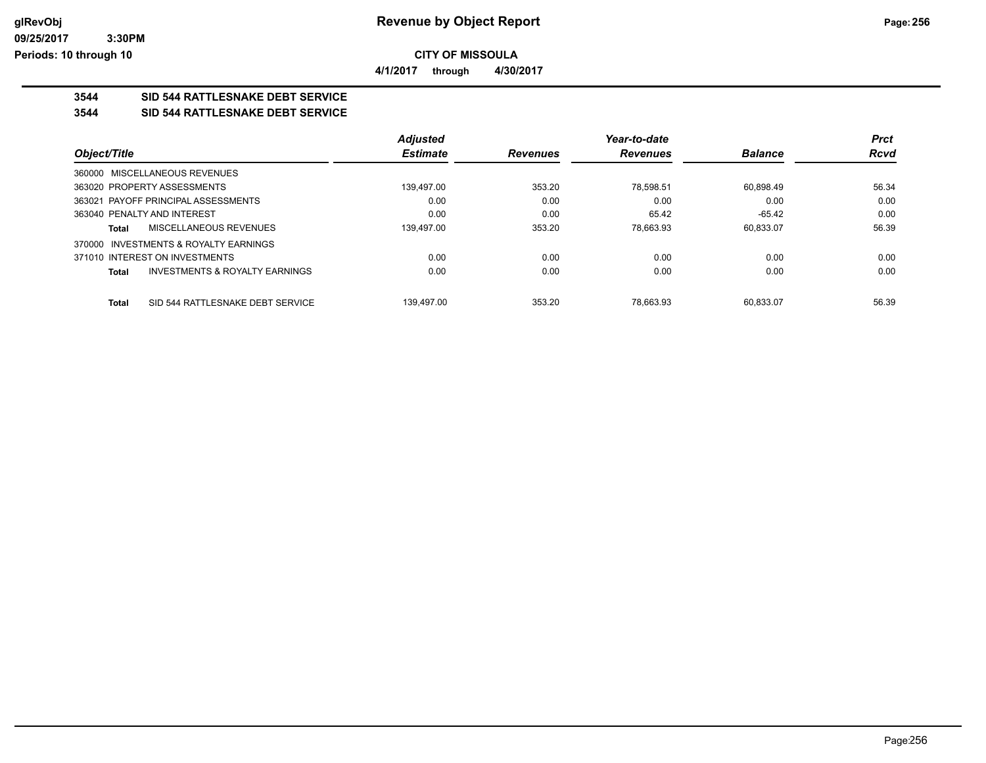**4/1/2017 through 4/30/2017**

# **3544 SID 544 RATTLESNAKE DEBT SERVICE**

# **3544 SID 544 RATTLESNAKE DEBT SERVICE**

|                                                  | <b>Adjusted</b> |                 | Year-to-date    |                | <b>Prct</b> |
|--------------------------------------------------|-----------------|-----------------|-----------------|----------------|-------------|
| Object/Title                                     | <b>Estimate</b> | <b>Revenues</b> | <b>Revenues</b> | <b>Balance</b> | <b>Rcvd</b> |
| 360000 MISCELLANEOUS REVENUES                    |                 |                 |                 |                |             |
| 363020 PROPERTY ASSESSMENTS                      | 139.497.00      | 353.20          | 78.598.51       | 60,898.49      | 56.34       |
| 363021 PAYOFF PRINCIPAL ASSESSMENTS              | 0.00            | 0.00            | 0.00            | 0.00           | 0.00        |
| 363040 PENALTY AND INTEREST                      | 0.00            | 0.00            | 65.42           | $-65.42$       | 0.00        |
| MISCELLANEOUS REVENUES<br>Total                  | 139.497.00      | 353.20          | 78.663.93       | 60.833.07      | 56.39       |
| 370000 INVESTMENTS & ROYALTY EARNINGS            |                 |                 |                 |                |             |
| 371010 INTEREST ON INVESTMENTS                   | 0.00            | 0.00            | 0.00            | 0.00           | 0.00        |
| INVESTMENTS & ROYALTY EARNINGS<br>Total          | 0.00            | 0.00            | 0.00            | 0.00           | 0.00        |
|                                                  |                 |                 |                 |                |             |
| SID 544 RATTLESNAKE DEBT SERVICE<br><b>Total</b> | 139.497.00      | 353.20          | 78.663.93       | 60.833.07      | 56.39       |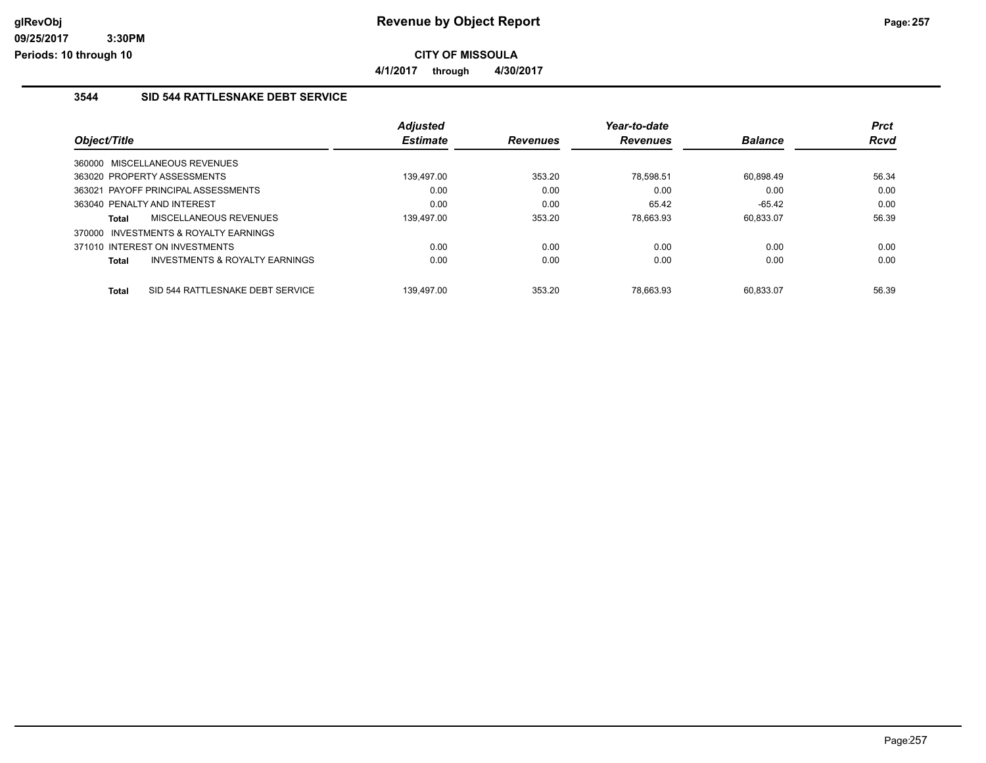**4/1/2017 through 4/30/2017**

# **3544 SID 544 RATTLESNAKE DEBT SERVICE**

|              |                                       | <b>Adjusted</b> |                 | Year-to-date    |                | <b>Prct</b> |
|--------------|---------------------------------------|-----------------|-----------------|-----------------|----------------|-------------|
| Object/Title |                                       | <b>Estimate</b> | <b>Revenues</b> | <b>Revenues</b> | <b>Balance</b> | <b>Rcvd</b> |
|              | 360000 MISCELLANEOUS REVENUES         |                 |                 |                 |                |             |
|              | 363020 PROPERTY ASSESSMENTS           | 139,497.00      | 353.20          | 78.598.51       | 60,898.49      | 56.34       |
|              | 363021 PAYOFF PRINCIPAL ASSESSMENTS   | 0.00            | 0.00            | 0.00            | 0.00           | 0.00        |
|              | 363040 PENALTY AND INTEREST           | 0.00            | 0.00            | 65.42           | $-65.42$       | 0.00        |
| Total        | MISCELLANEOUS REVENUES                | 139.497.00      | 353.20          | 78.663.93       | 60.833.07      | 56.39       |
|              | 370000 INVESTMENTS & ROYALTY EARNINGS |                 |                 |                 |                |             |
|              | 371010 INTEREST ON INVESTMENTS        | 0.00            | 0.00            | 0.00            | 0.00           | 0.00        |
| <b>Total</b> | INVESTMENTS & ROYALTY EARNINGS        | 0.00            | 0.00            | 0.00            | 0.00           | 0.00        |
| <b>Total</b> | SID 544 RATTLESNAKE DEBT SERVICE      | 139.497.00      | 353.20          | 78.663.93       | 60.833.07      | 56.39       |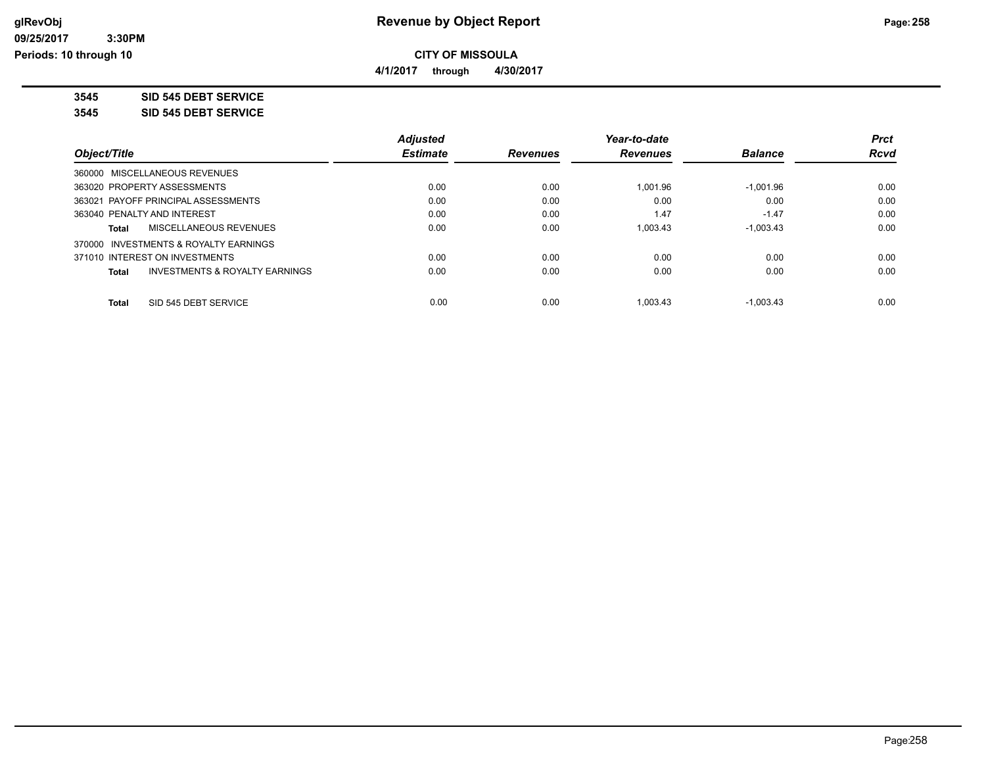**4/1/2017 through 4/30/2017**

**3545 SID 545 DEBT SERVICE**

**3545 SID 545 DEBT SERVICE**

|                                         | <b>Adjusted</b> |                 | Year-to-date    |                | <b>Prct</b> |
|-----------------------------------------|-----------------|-----------------|-----------------|----------------|-------------|
| Object/Title                            | <b>Estimate</b> | <b>Revenues</b> | <b>Revenues</b> | <b>Balance</b> | Rcvd        |
| 360000 MISCELLANEOUS REVENUES           |                 |                 |                 |                |             |
| 363020 PROPERTY ASSESSMENTS             | 0.00            | 0.00            | 1.001.96        | $-1.001.96$    | 0.00        |
| 363021 PAYOFF PRINCIPAL ASSESSMENTS     | 0.00            | 0.00            | 0.00            | 0.00           | 0.00        |
| 363040 PENALTY AND INTEREST             | 0.00            | 0.00            | 1.47            | $-1.47$        | 0.00        |
| MISCELLANEOUS REVENUES<br>Total         | 0.00            | 0.00            | 1,003.43        | $-1.003.43$    | 0.00        |
| 370000 INVESTMENTS & ROYALTY EARNINGS   |                 |                 |                 |                |             |
| 371010 INTEREST ON INVESTMENTS          | 0.00            | 0.00            | 0.00            | 0.00           | 0.00        |
| INVESTMENTS & ROYALTY EARNINGS<br>Total | 0.00            | 0.00            | 0.00            | 0.00           | 0.00        |
| SID 545 DEBT SERVICE<br><b>Total</b>    | 0.00            | 0.00            | 1.003.43        | $-1.003.43$    | 0.00        |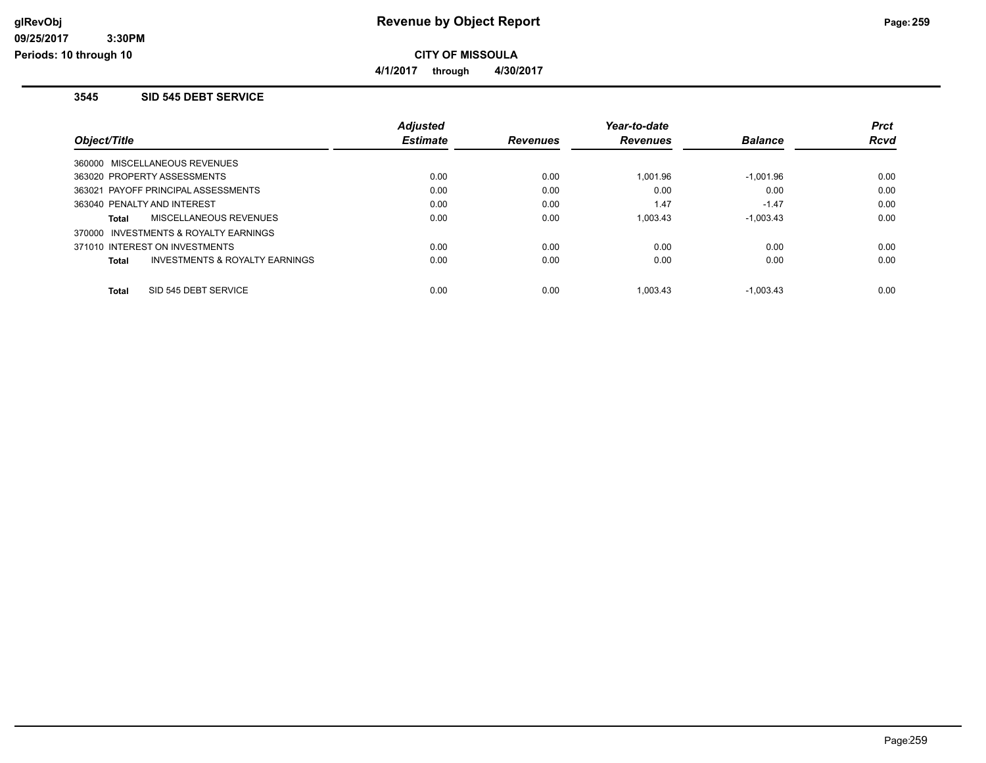**4/1/2017 through 4/30/2017**

## **3545 SID 545 DEBT SERVICE**

|                                                    | <b>Adjusted</b> |                 | Year-to-date    |                | <b>Prct</b> |
|----------------------------------------------------|-----------------|-----------------|-----------------|----------------|-------------|
| Object/Title                                       | <b>Estimate</b> | <b>Revenues</b> | <b>Revenues</b> | <b>Balance</b> | <b>Rcvd</b> |
| 360000 MISCELLANEOUS REVENUES                      |                 |                 |                 |                |             |
| 363020 PROPERTY ASSESSMENTS                        | 0.00            | 0.00            | 1.001.96        | $-1.001.96$    | 0.00        |
| 363021 PAYOFF PRINCIPAL ASSESSMENTS                | 0.00            | 0.00            | 0.00            | 0.00           | 0.00        |
| 363040 PENALTY AND INTEREST                        | 0.00            | 0.00            | 1.47            | $-1.47$        | 0.00        |
| MISCELLANEOUS REVENUES<br>Total                    | 0.00            | 0.00            | 1.003.43        | $-1.003.43$    | 0.00        |
| 370000 INVESTMENTS & ROYALTY EARNINGS              |                 |                 |                 |                |             |
| 371010 INTEREST ON INVESTMENTS                     | 0.00            | 0.00            | 0.00            | 0.00           | 0.00        |
| <b>INVESTMENTS &amp; ROYALTY EARNINGS</b><br>Total | 0.00            | 0.00            | 0.00            | 0.00           | 0.00        |
| SID 545 DEBT SERVICE<br>Total                      | 0.00            | 0.00            | 1.003.43        | $-1.003.43$    | 0.00        |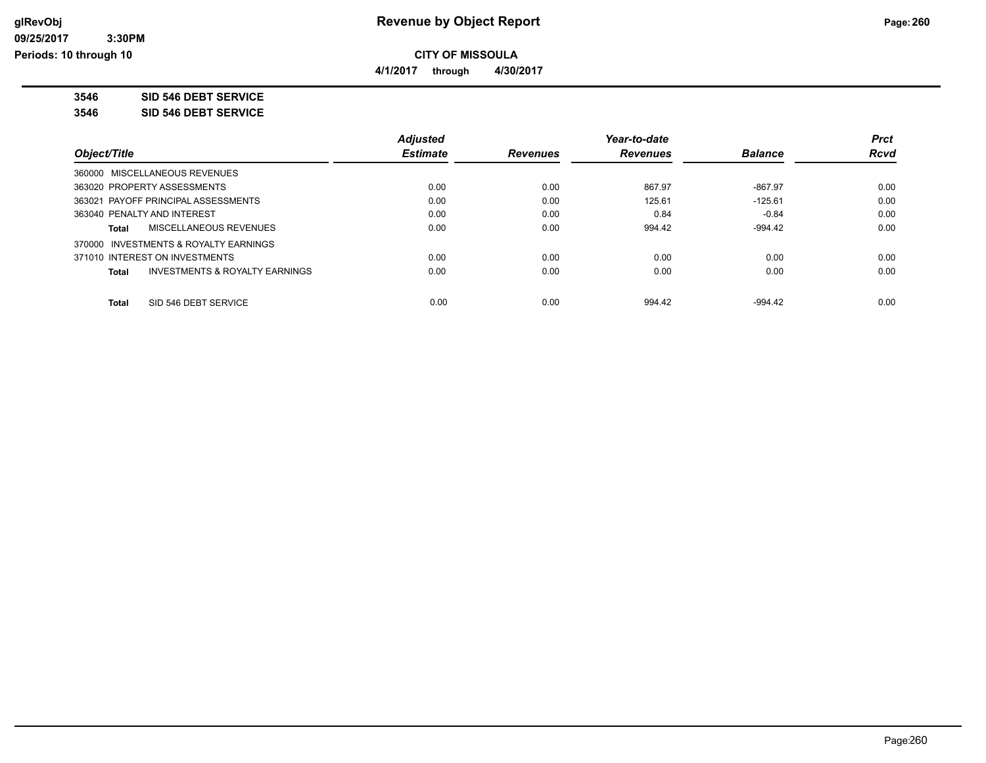**4/1/2017 through 4/30/2017**

**3546 SID 546 DEBT SERVICE**

**3546 SID 546 DEBT SERVICE**

|                                                | <b>Adjusted</b> |                 | Year-to-date    |                | <b>Prct</b> |
|------------------------------------------------|-----------------|-----------------|-----------------|----------------|-------------|
| Object/Title                                   | <b>Estimate</b> | <b>Revenues</b> | <b>Revenues</b> | <b>Balance</b> | <b>Rcvd</b> |
| 360000 MISCELLANEOUS REVENUES                  |                 |                 |                 |                |             |
| 363020 PROPERTY ASSESSMENTS                    | 0.00            | 0.00            | 867.97          | -867.97        | 0.00        |
| 363021 PAYOFF PRINCIPAL ASSESSMENTS            | 0.00            | 0.00            | 125.61          | $-125.61$      | 0.00        |
| 363040 PENALTY AND INTEREST                    | 0.00            | 0.00            | 0.84            | $-0.84$        | 0.00        |
| MISCELLANEOUS REVENUES<br>Total                | 0.00            | 0.00            | 994.42          | $-994.42$      | 0.00        |
| 370000 INVESTMENTS & ROYALTY EARNINGS          |                 |                 |                 |                |             |
| 371010 INTEREST ON INVESTMENTS                 | 0.00            | 0.00            | 0.00            | 0.00           | 0.00        |
| INVESTMENTS & ROYALTY EARNINGS<br><b>Total</b> | 0.00            | 0.00            | 0.00            | 0.00           | 0.00        |
|                                                |                 |                 |                 |                |             |
| SID 546 DEBT SERVICE<br><b>Total</b>           | 0.00            | 0.00            | 994.42          | $-994.42$      | 0.00        |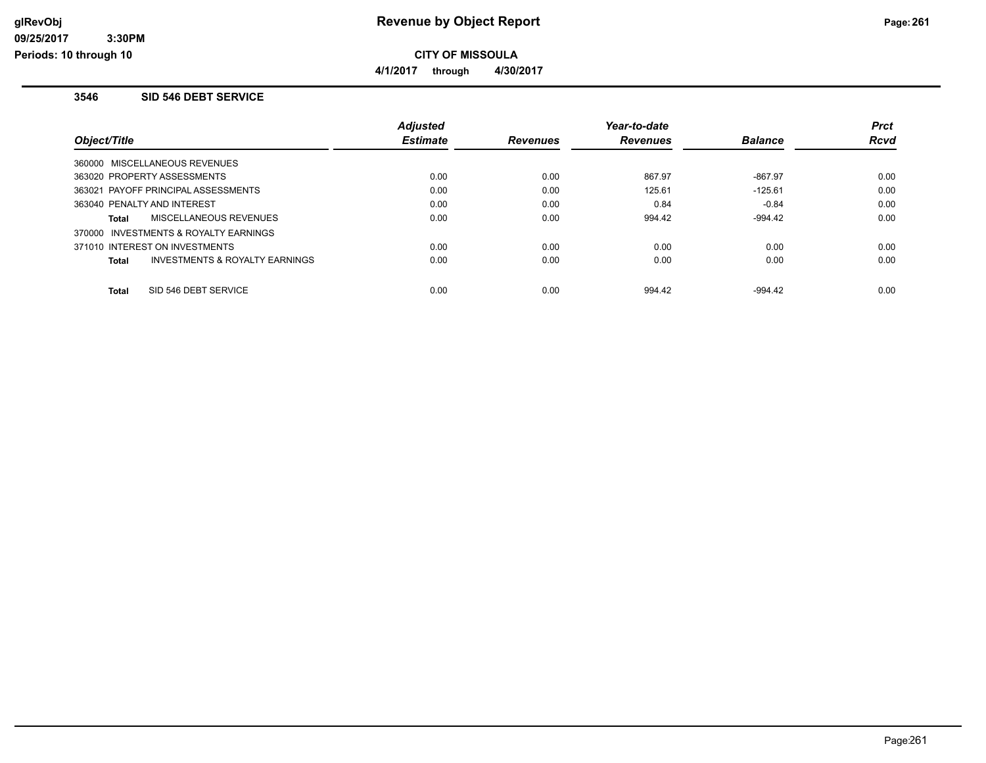**4/1/2017 through 4/30/2017**

# **3546 SID 546 DEBT SERVICE**

|                                                    | <b>Adjusted</b> |                 | Year-to-date    |                | <b>Prct</b> |
|----------------------------------------------------|-----------------|-----------------|-----------------|----------------|-------------|
| Object/Title                                       | <b>Estimate</b> | <b>Revenues</b> | <b>Revenues</b> | <b>Balance</b> | Rcvd        |
| 360000 MISCELLANEOUS REVENUES                      |                 |                 |                 |                |             |
| 363020 PROPERTY ASSESSMENTS                        | 0.00            | 0.00            | 867.97          | $-867.97$      | 0.00        |
| 363021 PAYOFF PRINCIPAL ASSESSMENTS                | 0.00            | 0.00            | 125.61          | $-125.61$      | 0.00        |
| 363040 PENALTY AND INTEREST                        | 0.00            | 0.00            | 0.84            | $-0.84$        | 0.00        |
| <b>MISCELLANEOUS REVENUES</b><br>Total             | 0.00            | 0.00            | 994.42          | $-994.42$      | 0.00        |
| 370000 INVESTMENTS & ROYALTY EARNINGS              |                 |                 |                 |                |             |
| 371010 INTEREST ON INVESTMENTS                     | 0.00            | 0.00            | 0.00            | 0.00           | 0.00        |
| Total<br><b>INVESTMENTS &amp; ROYALTY EARNINGS</b> | 0.00            | 0.00            | 0.00            | 0.00           | 0.00        |
| SID 546 DEBT SERVICE<br>Total                      | 0.00            | 0.00            | 994.42          | $-994.42$      | 0.00        |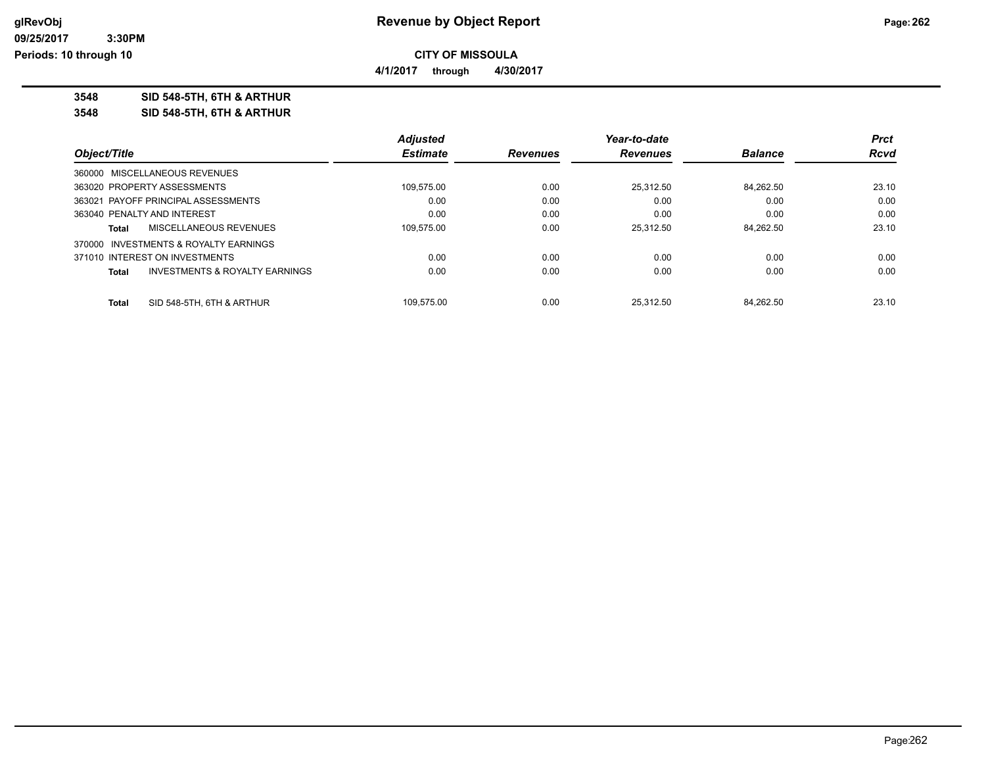**4/1/2017 through 4/30/2017**

**3548 SID 548-5TH, 6TH & ARTHUR**

**3548 SID 548-5TH, 6TH & ARTHUR**

|                                                    | <b>Adjusted</b> |                 | Year-to-date    |                | <b>Prct</b> |
|----------------------------------------------------|-----------------|-----------------|-----------------|----------------|-------------|
| Object/Title                                       | <b>Estimate</b> | <b>Revenues</b> | <b>Revenues</b> | <b>Balance</b> | Rcvd        |
| 360000 MISCELLANEOUS REVENUES                      |                 |                 |                 |                |             |
| 363020 PROPERTY ASSESSMENTS                        | 109.575.00      | 0.00            | 25.312.50       | 84.262.50      | 23.10       |
| 363021 PAYOFF PRINCIPAL ASSESSMENTS                | 0.00            | 0.00            | 0.00            | 0.00           | 0.00        |
| 363040 PENALTY AND INTEREST                        | 0.00            | 0.00            | 0.00            | 0.00           | 0.00        |
| MISCELLANEOUS REVENUES<br>Total                    | 109.575.00      | 0.00            | 25.312.50       | 84.262.50      | 23.10       |
| 370000 INVESTMENTS & ROYALTY EARNINGS              |                 |                 |                 |                |             |
| 371010 INTEREST ON INVESTMENTS                     | 0.00            | 0.00            | 0.00            | 0.00           | 0.00        |
| <b>INVESTMENTS &amp; ROYALTY EARNINGS</b><br>Total | 0.00            | 0.00            | 0.00            | 0.00           | 0.00        |
| SID 548-5TH, 6TH & ARTHUR<br>Total                 | 109.575.00      | 0.00            | 25.312.50       | 84.262.50      | 23.10       |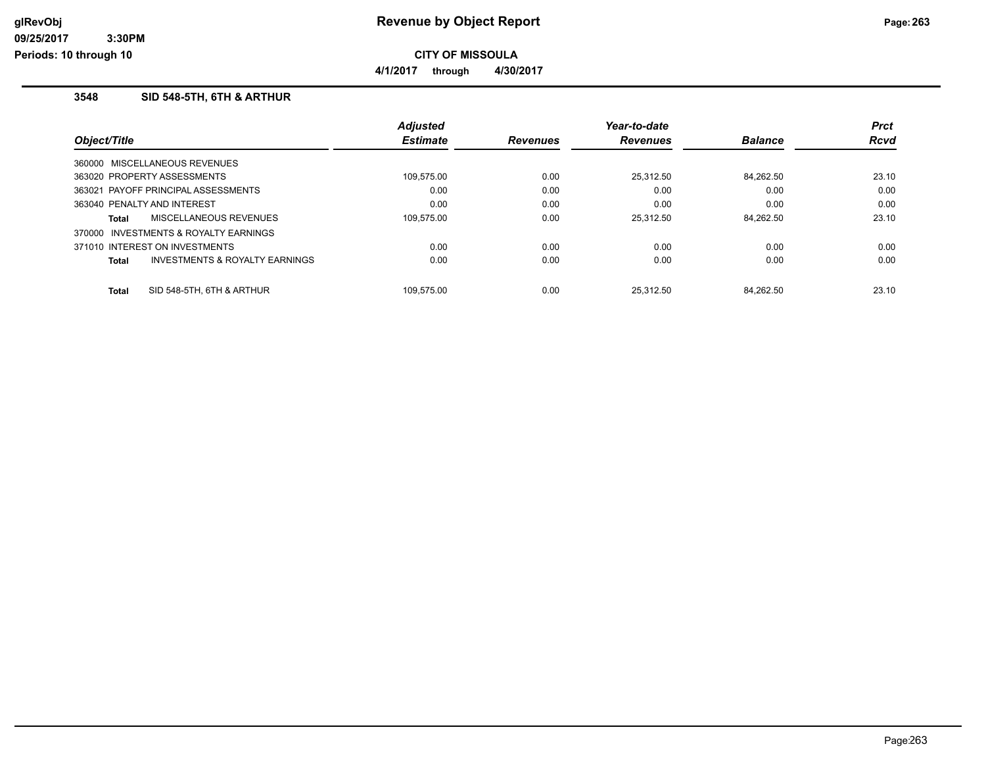**4/1/2017 through 4/30/2017**

# **3548 SID 548-5TH, 6TH & ARTHUR**

|              |                                           | <b>Adjusted</b> |                 | Year-to-date    |                | <b>Prct</b> |
|--------------|-------------------------------------------|-----------------|-----------------|-----------------|----------------|-------------|
| Object/Title |                                           | <b>Estimate</b> | <b>Revenues</b> | <b>Revenues</b> | <b>Balance</b> | <b>Rcvd</b> |
|              | 360000 MISCELLANEOUS REVENUES             |                 |                 |                 |                |             |
|              | 363020 PROPERTY ASSESSMENTS               | 109.575.00      | 0.00            | 25.312.50       | 84.262.50      | 23.10       |
|              | 363021 PAYOFF PRINCIPAL ASSESSMENTS       | 0.00            | 0.00            | 0.00            | 0.00           | 0.00        |
|              | 363040 PENALTY AND INTEREST               | 0.00            | 0.00            | 0.00            | 0.00           | 0.00        |
| Total        | MISCELLANEOUS REVENUES                    | 109.575.00      | 0.00            | 25.312.50       | 84.262.50      | 23.10       |
|              | 370000 INVESTMENTS & ROYALTY EARNINGS     |                 |                 |                 |                |             |
|              | 371010 INTEREST ON INVESTMENTS            | 0.00            | 0.00            | 0.00            | 0.00           | 0.00        |
| Total        | <b>INVESTMENTS &amp; ROYALTY EARNINGS</b> | 0.00            | 0.00            | 0.00            | 0.00           | 0.00        |
| <b>Total</b> | SID 548-5TH, 6TH & ARTHUR                 | 109.575.00      | 0.00            | 25.312.50       | 84.262.50      | 23.10       |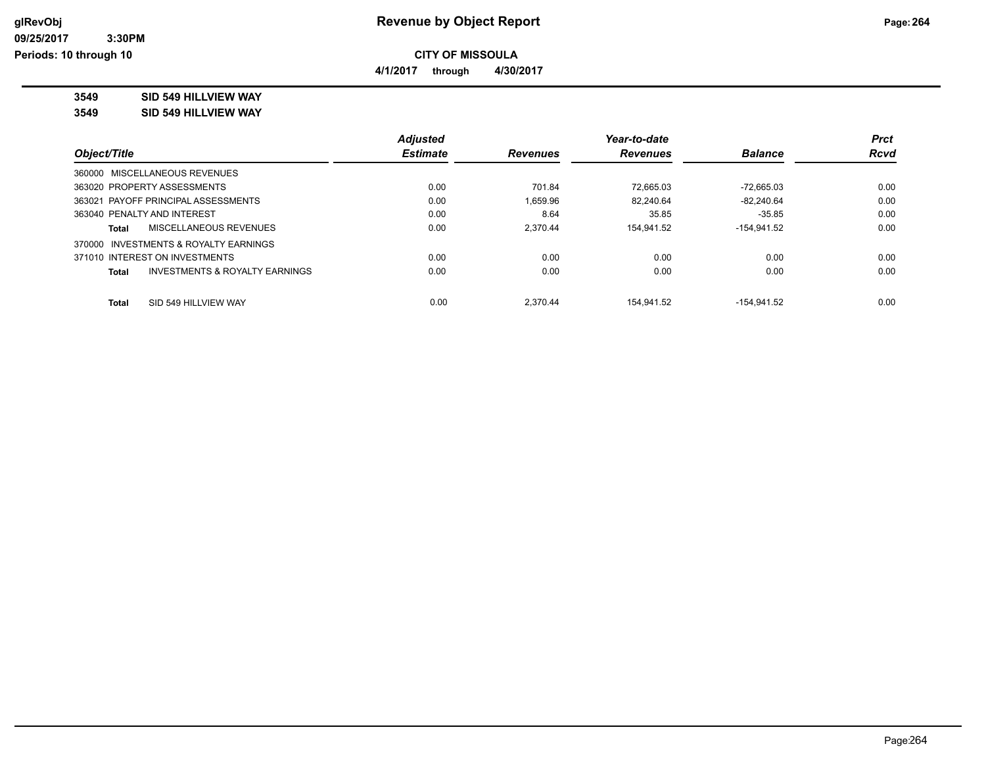**4/1/2017 through 4/30/2017**

**3549 SID 549 HILLVIEW WAY**

**3549 SID 549 HILLVIEW WAY**

|                                                           | <b>Adjusted</b> |                 | Year-to-date    |                | <b>Prct</b> |
|-----------------------------------------------------------|-----------------|-----------------|-----------------|----------------|-------------|
| Object/Title                                              | <b>Estimate</b> | <b>Revenues</b> | <b>Revenues</b> | <b>Balance</b> | Rcvd        |
| 360000 MISCELLANEOUS REVENUES                             |                 |                 |                 |                |             |
| 363020 PROPERTY ASSESSMENTS                               | 0.00            | 701.84          | 72.665.03       | $-72.665.03$   | 0.00        |
| 363021 PAYOFF PRINCIPAL ASSESSMENTS                       | 0.00            | 1.659.96        | 82.240.64       | $-82.240.64$   | 0.00        |
| 363040 PENALTY AND INTEREST                               | 0.00            | 8.64            | 35.85           | $-35.85$       | 0.00        |
| <b>MISCELLANEOUS REVENUES</b><br>Total                    | 0.00            | 2.370.44        | 154,941.52      | $-154.941.52$  | 0.00        |
| 370000 INVESTMENTS & ROYALTY EARNINGS                     |                 |                 |                 |                |             |
| 371010 INTEREST ON INVESTMENTS                            | 0.00            | 0.00            | 0.00            | 0.00           | 0.00        |
| <b>INVESTMENTS &amp; ROYALTY EARNINGS</b><br><b>Total</b> | 0.00            | 0.00            | 0.00            | 0.00           | 0.00        |
| SID 549 HILLVIEW WAY<br><b>Total</b>                      | 0.00            | 2.370.44        | 154.941.52      | $-154.941.52$  | 0.00        |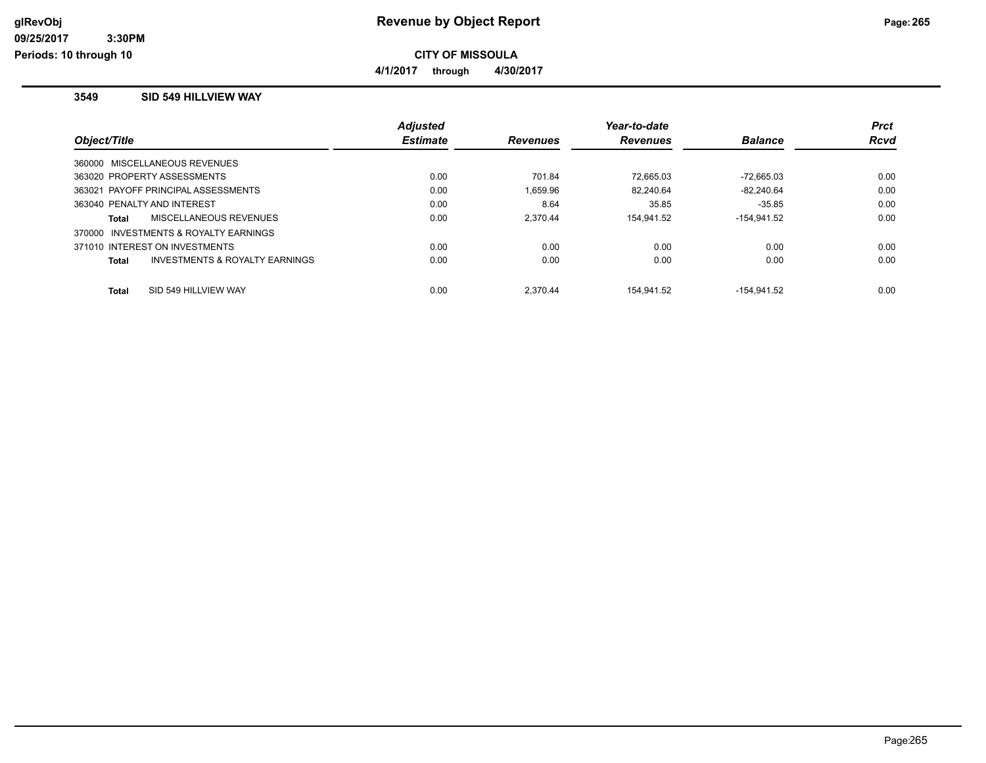**4/1/2017 through 4/30/2017**

## **3549 SID 549 HILLVIEW WAY**

|                                                | <b>Adjusted</b> |                 | Year-to-date    |                | <b>Prct</b> |
|------------------------------------------------|-----------------|-----------------|-----------------|----------------|-------------|
| Object/Title                                   | <b>Estimate</b> | <b>Revenues</b> | <b>Revenues</b> | <b>Balance</b> | <b>Rcvd</b> |
| 360000 MISCELLANEOUS REVENUES                  |                 |                 |                 |                |             |
| 363020 PROPERTY ASSESSMENTS                    | 0.00            | 701.84          | 72,665.03       | $-72,665.03$   | 0.00        |
| 363021 PAYOFF PRINCIPAL ASSESSMENTS            | 0.00            | 1.659.96        | 82.240.64       | $-82.240.64$   | 0.00        |
| 363040 PENALTY AND INTEREST                    | 0.00            | 8.64            | 35.85           | $-35.85$       | 0.00        |
| MISCELLANEOUS REVENUES<br>Total                | 0.00            | 2.370.44        | 154.941.52      | $-154.941.52$  | 0.00        |
| INVESTMENTS & ROYALTY EARNINGS<br>370000       |                 |                 |                 |                |             |
| 371010 INTEREST ON INVESTMENTS                 | 0.00            | 0.00            | 0.00            | 0.00           | 0.00        |
| INVESTMENTS & ROYALTY EARNINGS<br><b>Total</b> | 0.00            | 0.00            | 0.00            | 0.00           | 0.00        |
| SID 549 HILLVIEW WAY<br><b>Total</b>           | 0.00            | 2.370.44        | 154.941.52      | $-154.941.52$  | 0.00        |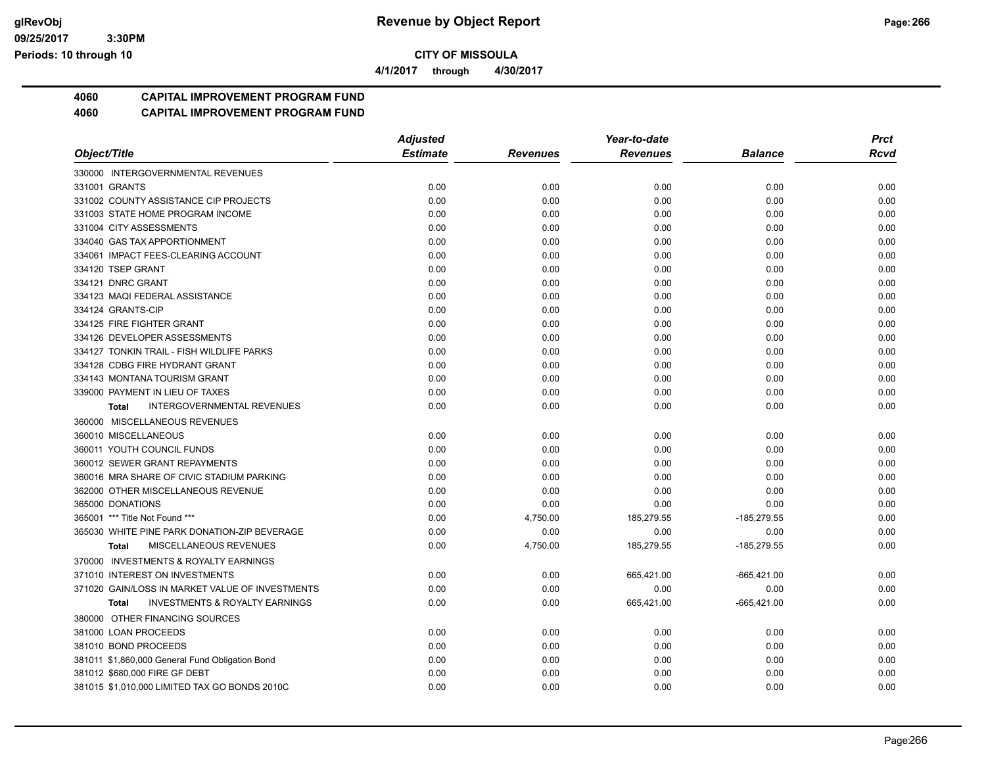**4/1/2017 through 4/30/2017**

# **4060 CAPITAL IMPROVEMENT PROGRAM FUND**

|                                                    | <b>Adjusted</b> |                 | Year-to-date    |                | <b>Prct</b> |
|----------------------------------------------------|-----------------|-----------------|-----------------|----------------|-------------|
| Object/Title                                       | <b>Estimate</b> | <b>Revenues</b> | <b>Revenues</b> | <b>Balance</b> | <b>Rcvd</b> |
| 330000 INTERGOVERNMENTAL REVENUES                  |                 |                 |                 |                |             |
| 331001 GRANTS                                      | 0.00            | 0.00            | 0.00            | 0.00           | 0.00        |
| 331002 COUNTY ASSISTANCE CIP PROJECTS              | 0.00            | 0.00            | 0.00            | 0.00           | 0.00        |
| 331003 STATE HOME PROGRAM INCOME                   | 0.00            | 0.00            | 0.00            | 0.00           | 0.00        |
| 331004 CITY ASSESSMENTS                            | 0.00            | 0.00            | 0.00            | 0.00           | 0.00        |
| 334040 GAS TAX APPORTIONMENT                       | 0.00            | 0.00            | 0.00            | 0.00           | 0.00        |
| 334061 IMPACT FEES-CLEARING ACCOUNT                | 0.00            | 0.00            | 0.00            | 0.00           | 0.00        |
| 334120 TSEP GRANT                                  | 0.00            | 0.00            | 0.00            | 0.00           | 0.00        |
| 334121 DNRC GRANT                                  | 0.00            | 0.00            | 0.00            | 0.00           | 0.00        |
| 334123 MAQI FEDERAL ASSISTANCE                     | 0.00            | 0.00            | 0.00            | 0.00           | 0.00        |
| 334124 GRANTS-CIP                                  | 0.00            | 0.00            | 0.00            | 0.00           | 0.00        |
| 334125 FIRE FIGHTER GRANT                          | 0.00            | 0.00            | 0.00            | 0.00           | 0.00        |
| 334126 DEVELOPER ASSESSMENTS                       | 0.00            | 0.00            | 0.00            | 0.00           | 0.00        |
| 334127 TONKIN TRAIL - FISH WILDLIFE PARKS          | 0.00            | 0.00            | 0.00            | 0.00           | 0.00        |
| 334128 CDBG FIRE HYDRANT GRANT                     | 0.00            | 0.00            | 0.00            | 0.00           | 0.00        |
| 334143 MONTANA TOURISM GRANT                       | 0.00            | 0.00            | 0.00            | 0.00           | 0.00        |
| 339000 PAYMENT IN LIEU OF TAXES                    | 0.00            | 0.00            | 0.00            | 0.00           | 0.00        |
| <b>INTERGOVERNMENTAL REVENUES</b><br><b>Total</b>  | 0.00            | 0.00            | 0.00            | 0.00           | 0.00        |
| 360000 MISCELLANEOUS REVENUES                      |                 |                 |                 |                |             |
| 360010 MISCELLANEOUS                               | 0.00            | 0.00            | 0.00            | 0.00           | 0.00        |
| 360011 YOUTH COUNCIL FUNDS                         | 0.00            | 0.00            | 0.00            | 0.00           | 0.00        |
| 360012 SEWER GRANT REPAYMENTS                      | 0.00            | 0.00            | 0.00            | 0.00           | 0.00        |
| 360016 MRA SHARE OF CIVIC STADIUM PARKING          | 0.00            | 0.00            | 0.00            | 0.00           | 0.00        |
| 362000 OTHER MISCELLANEOUS REVENUE                 | 0.00            | 0.00            | 0.00            | 0.00           | 0.00        |
| 365000 DONATIONS                                   | 0.00            | 0.00            | 0.00            | 0.00           | 0.00        |
| 365001 *** Title Not Found ***                     | 0.00            | 4,750.00        | 185,279.55      | $-185,279.55$  | 0.00        |
| 365030 WHITE PINE PARK DONATION-ZIP BEVERAGE       | 0.00            | 0.00            | 0.00            | 0.00           | 0.00        |
| MISCELLANEOUS REVENUES<br>Total                    | 0.00            | 4,750.00        | 185,279.55      | $-185,279.55$  | 0.00        |
| 370000 INVESTMENTS & ROYALTY EARNINGS              |                 |                 |                 |                |             |
| 371010 INTEREST ON INVESTMENTS                     | 0.00            | 0.00            | 665,421.00      | $-665,421.00$  | 0.00        |
| 371020 GAIN/LOSS IN MARKET VALUE OF INVESTMENTS    | 0.00            | 0.00            | 0.00            | 0.00           | 0.00        |
| <b>INVESTMENTS &amp; ROYALTY EARNINGS</b><br>Total | 0.00            | 0.00            | 665,421.00      | $-665,421.00$  | 0.00        |
| 380000 OTHER FINANCING SOURCES                     |                 |                 |                 |                |             |
| 381000 LOAN PROCEEDS                               | 0.00            | 0.00            | 0.00            | 0.00           | 0.00        |
| 381010 BOND PROCEEDS                               | 0.00            | 0.00            | 0.00            | 0.00           | 0.00        |
| 381011 \$1,860,000 General Fund Obligation Bond    | 0.00            | 0.00            | 0.00            | 0.00           | 0.00        |
| 381012 \$680,000 FIRE GF DEBT                      | 0.00            | 0.00            | 0.00            | 0.00           | 0.00        |
| 381015 \$1,010,000 LIMITED TAX GO BONDS 2010C      | 0.00            | 0.00            | 0.00            | 0.00           | 0.00        |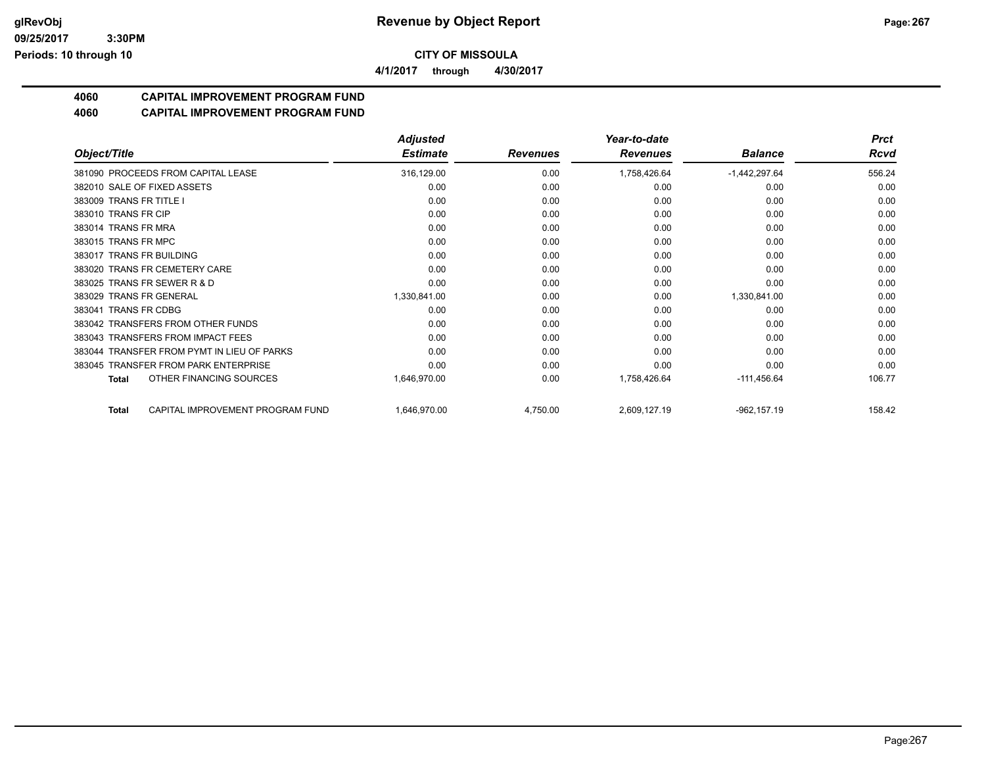**4/1/2017 through 4/30/2017**

# **4060 CAPITAL IMPROVEMENT PROGRAM FUND**

|                                                  | <b>Adjusted</b> |                 | Year-to-date    |                 | <b>Prct</b> |
|--------------------------------------------------|-----------------|-----------------|-----------------|-----------------|-------------|
| Object/Title                                     | <b>Estimate</b> | <b>Revenues</b> | <b>Revenues</b> | <b>Balance</b>  | Rcvd        |
| 381090 PROCEEDS FROM CAPITAL LEASE               | 316,129.00      | 0.00            | 1,758,426.64    | $-1,442,297.64$ | 556.24      |
| 382010 SALE OF FIXED ASSETS                      | 0.00            | 0.00            | 0.00            | 0.00            | 0.00        |
| 383009 TRANS FR TITLE I                          | 0.00            | 0.00            | 0.00            | 0.00            | 0.00        |
| 383010 TRANS FR CIP                              | 0.00            | 0.00            | 0.00            | 0.00            | 0.00        |
| 383014 TRANS FR MRA                              | 0.00            | 0.00            | 0.00            | 0.00            | 0.00        |
| 383015 TRANS FR MPC                              | 0.00            | 0.00            | 0.00            | 0.00            | 0.00        |
| 383017 TRANS FR BUILDING                         | 0.00            | 0.00            | 0.00            | 0.00            | 0.00        |
| 383020 TRANS FR CEMETERY CARE                    | 0.00            | 0.00            | 0.00            | 0.00            | 0.00        |
| 383025 TRANS FR SEWER R & D                      | 0.00            | 0.00            | 0.00            | 0.00            | 0.00        |
| 383029 TRANS FR GENERAL                          | 1,330,841.00    | 0.00            | 0.00            | 1,330,841.00    | 0.00        |
| 383041 TRANS FR CDBG                             | 0.00            | 0.00            | 0.00            | 0.00            | 0.00        |
| 383042 TRANSFERS FROM OTHER FUNDS                | 0.00            | 0.00            | 0.00            | 0.00            | 0.00        |
| 383043 TRANSFERS FROM IMPACT FEES                | 0.00            | 0.00            | 0.00            | 0.00            | 0.00        |
| 383044 TRANSFER FROM PYMT IN LIEU OF PARKS       | 0.00            | 0.00            | 0.00            | 0.00            | 0.00        |
| 383045 TRANSFER FROM PARK ENTERPRISE             | 0.00            | 0.00            | 0.00            | 0.00            | 0.00        |
| OTHER FINANCING SOURCES<br><b>Total</b>          | 1,646,970.00    | 0.00            | 1,758,426.64    | $-111,456.64$   | 106.77      |
| CAPITAL IMPROVEMENT PROGRAM FUND<br><b>Total</b> | 1,646,970.00    | 4,750.00        | 2,609,127.19    | $-962, 157.19$  | 158.42      |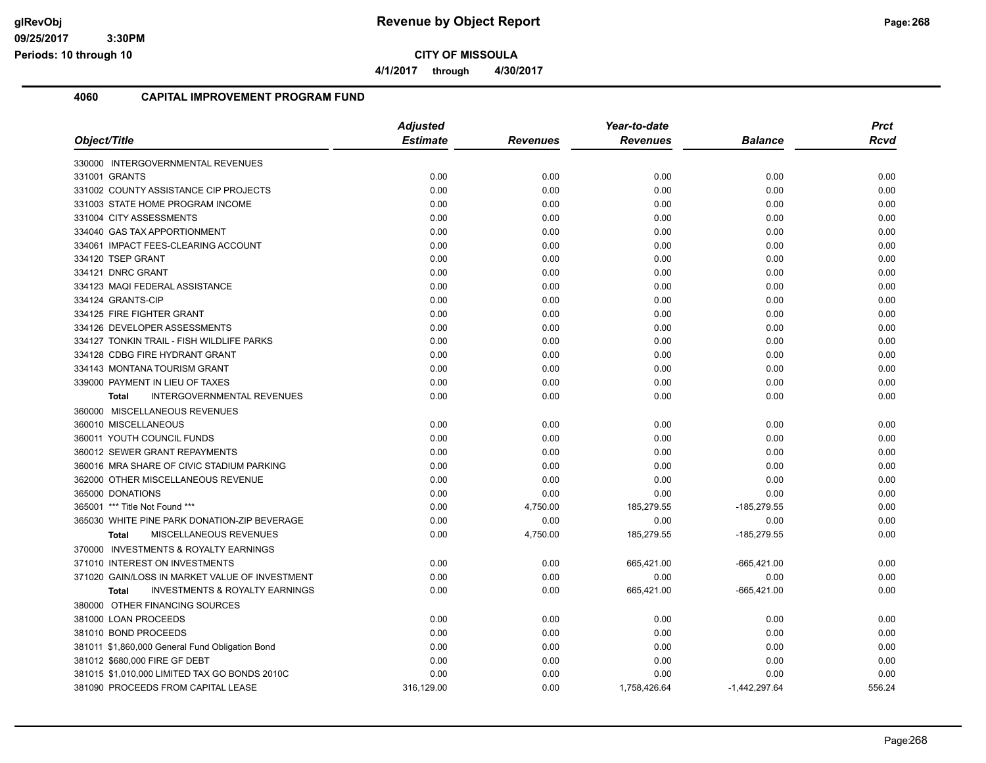**4/1/2017 through 4/30/2017**

|                                                           | <b>Adjusted</b> |                 | Year-to-date    |                 |             |
|-----------------------------------------------------------|-----------------|-----------------|-----------------|-----------------|-------------|
| Object/Title                                              | <b>Estimate</b> | <b>Revenues</b> | <b>Revenues</b> | <b>Balance</b>  | <b>Rcvd</b> |
| 330000 INTERGOVERNMENTAL REVENUES                         |                 |                 |                 |                 |             |
| 331001 GRANTS                                             | 0.00            | 0.00            | 0.00            | 0.00            | 0.00        |
| 331002 COUNTY ASSISTANCE CIP PROJECTS                     | 0.00            | 0.00            | 0.00            | 0.00            | 0.00        |
| 331003 STATE HOME PROGRAM INCOME                          | 0.00            | 0.00            | 0.00            | 0.00            | 0.00        |
| 331004 CITY ASSESSMENTS                                   | 0.00            | 0.00            | 0.00            | 0.00            | 0.00        |
| 334040 GAS TAX APPORTIONMENT                              | 0.00            | 0.00            | 0.00            | 0.00            | 0.00        |
| 334061 IMPACT FEES-CLEARING ACCOUNT                       | 0.00            | 0.00            | 0.00            | 0.00            | 0.00        |
| 334120 TSEP GRANT                                         | 0.00            | 0.00            | 0.00            | 0.00            | 0.00        |
| 334121 DNRC GRANT                                         | 0.00            | 0.00            | 0.00            | 0.00            | 0.00        |
| 334123 MAQI FEDERAL ASSISTANCE                            | 0.00            | 0.00            | 0.00            | 0.00            | 0.00        |
| 334124 GRANTS-CIP                                         | 0.00            | 0.00            | 0.00            | 0.00            | 0.00        |
| 334125 FIRE FIGHTER GRANT                                 | 0.00            | 0.00            | 0.00            | 0.00            | 0.00        |
| 334126 DEVELOPER ASSESSMENTS                              | 0.00            | 0.00            | 0.00            | 0.00            | 0.00        |
| 334127 TONKIN TRAIL - FISH WILDLIFE PARKS                 | 0.00            | 0.00            | 0.00            | 0.00            | 0.00        |
| 334128 CDBG FIRE HYDRANT GRANT                            | 0.00            | 0.00            | 0.00            | 0.00            | 0.00        |
| 334143 MONTANA TOURISM GRANT                              | 0.00            | 0.00            | 0.00            | 0.00            | 0.00        |
| 339000 PAYMENT IN LIEU OF TAXES                           | 0.00            | 0.00            | 0.00            | 0.00            | 0.00        |
| INTERGOVERNMENTAL REVENUES<br><b>Total</b>                | 0.00            | 0.00            | 0.00            | 0.00            | 0.00        |
| 360000 MISCELLANEOUS REVENUES                             |                 |                 |                 |                 |             |
| 360010 MISCELLANEOUS                                      | 0.00            | 0.00            | 0.00            | 0.00            | 0.00        |
| 360011 YOUTH COUNCIL FUNDS                                | 0.00            | 0.00            | 0.00            | 0.00            | 0.00        |
| 360012 SEWER GRANT REPAYMENTS                             | 0.00            | 0.00            | 0.00            | 0.00            | 0.00        |
| 360016 MRA SHARE OF CIVIC STADIUM PARKING                 | 0.00            | 0.00            | 0.00            | 0.00            | 0.00        |
| 362000 OTHER MISCELLANEOUS REVENUE                        | 0.00            | 0.00            | 0.00            | 0.00            | 0.00        |
| 365000 DONATIONS                                          | 0.00            | 0.00            | 0.00            | 0.00            | 0.00        |
| 365001 *** Title Not Found ***                            | 0.00            | 4,750.00        | 185,279.55      | $-185,279.55$   | 0.00        |
| 365030 WHITE PINE PARK DONATION-ZIP BEVERAGE              | 0.00            | 0.00            | 0.00            | 0.00            | 0.00        |
| MISCELLANEOUS REVENUES<br><b>Total</b>                    | 0.00            | 4,750.00        | 185,279.55      | $-185,279.55$   | 0.00        |
| 370000 INVESTMENTS & ROYALTY EARNINGS                     |                 |                 |                 |                 |             |
| 371010 INTEREST ON INVESTMENTS                            | 0.00            | 0.00            | 665,421.00      | $-665,421.00$   | 0.00        |
| 371020 GAIN/LOSS IN MARKET VALUE OF INVESTMENT            | 0.00            | 0.00            | 0.00            | 0.00            | 0.00        |
| <b>INVESTMENTS &amp; ROYALTY EARNINGS</b><br><b>Total</b> | 0.00            | 0.00            | 665,421.00      | $-665,421.00$   | 0.00        |
| 380000 OTHER FINANCING SOURCES                            |                 |                 |                 |                 |             |
| 381000 LOAN PROCEEDS                                      | 0.00            | 0.00            | 0.00            | 0.00            | 0.00        |
| 381010 BOND PROCEEDS                                      | 0.00            | 0.00            | 0.00            | 0.00            | 0.00        |
| 381011 \$1,860,000 General Fund Obligation Bond           | 0.00            | 0.00            | 0.00            | 0.00            | 0.00        |
| 381012 \$680,000 FIRE GF DEBT                             | 0.00            | 0.00            | 0.00            | 0.00            | 0.00        |
| 381015 \$1,010,000 LIMITED TAX GO BONDS 2010C             | 0.00            | 0.00            | 0.00            | 0.00            | 0.00        |
| 381090 PROCEEDS FROM CAPITAL LEASE                        | 316.129.00      | 0.00            | 1,758,426.64    | $-1.442.297.64$ | 556.24      |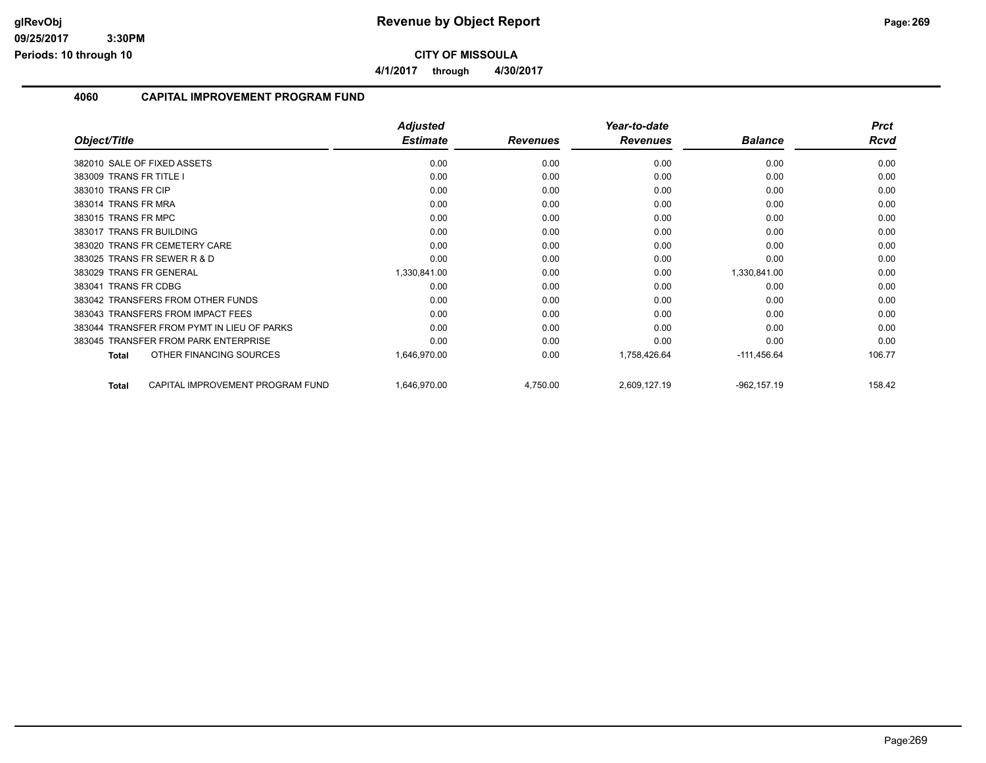**4/1/2017 through 4/30/2017**

|                                            | <b>Adjusted</b> |                 | Year-to-date    |                | <b>Prct</b> |
|--------------------------------------------|-----------------|-----------------|-----------------|----------------|-------------|
| Object/Title                               | <b>Estimate</b> | <b>Revenues</b> | <b>Revenues</b> | <b>Balance</b> | Rcvd        |
| 382010 SALE OF FIXED ASSETS                | 0.00            | 0.00            | 0.00            | 0.00           | 0.00        |
| 383009 TRANS FR TITLE I                    | 0.00            | 0.00            | 0.00            | 0.00           | 0.00        |
| 383010 TRANS FR CIP                        | 0.00            | 0.00            | 0.00            | 0.00           | 0.00        |
| 383014 TRANS FR MRA                        | 0.00            | 0.00            | 0.00            | 0.00           | 0.00        |
| 383015 TRANS FR MPC                        | 0.00            | 0.00            | 0.00            | 0.00           | 0.00        |
| 383017 TRANS FR BUILDING                   | 0.00            | 0.00            | 0.00            | 0.00           | 0.00        |
| 383020 TRANS FR CEMETERY CARE              | 0.00            | 0.00            | 0.00            | 0.00           | 0.00        |
| 383025 TRANS FR SEWER R & D                | 0.00            | 0.00            | 0.00            | 0.00           | 0.00        |
| 383029 TRANS FR GENERAL                    | 1,330,841.00    | 0.00            | 0.00            | 1,330,841.00   | 0.00        |
| 383041 TRANS FR CDBG                       | 0.00            | 0.00            | 0.00            | 0.00           | 0.00        |
| 383042 TRANSFERS FROM OTHER FUNDS          | 0.00            | 0.00            | 0.00            | 0.00           | 0.00        |
| 383043 TRANSFERS FROM IMPACT FEES          | 0.00            | 0.00            | 0.00            | 0.00           | 0.00        |
| 383044 TRANSFER FROM PYMT IN LIEU OF PARKS | 0.00            | 0.00            | 0.00            | 0.00           | 0.00        |
| 383045 TRANSFER FROM PARK ENTERPRISE       | 0.00            | 0.00            | 0.00            | 0.00           | 0.00        |
| OTHER FINANCING SOURCES<br><b>Total</b>    | 1,646,970.00    | 0.00            | 1,758,426.64    | $-111,456.64$  | 106.77      |
| CAPITAL IMPROVEMENT PROGRAM FUND<br>Total  | 1,646,970.00    | 4,750.00        | 2,609,127.19    | $-962, 157.19$ | 158.42      |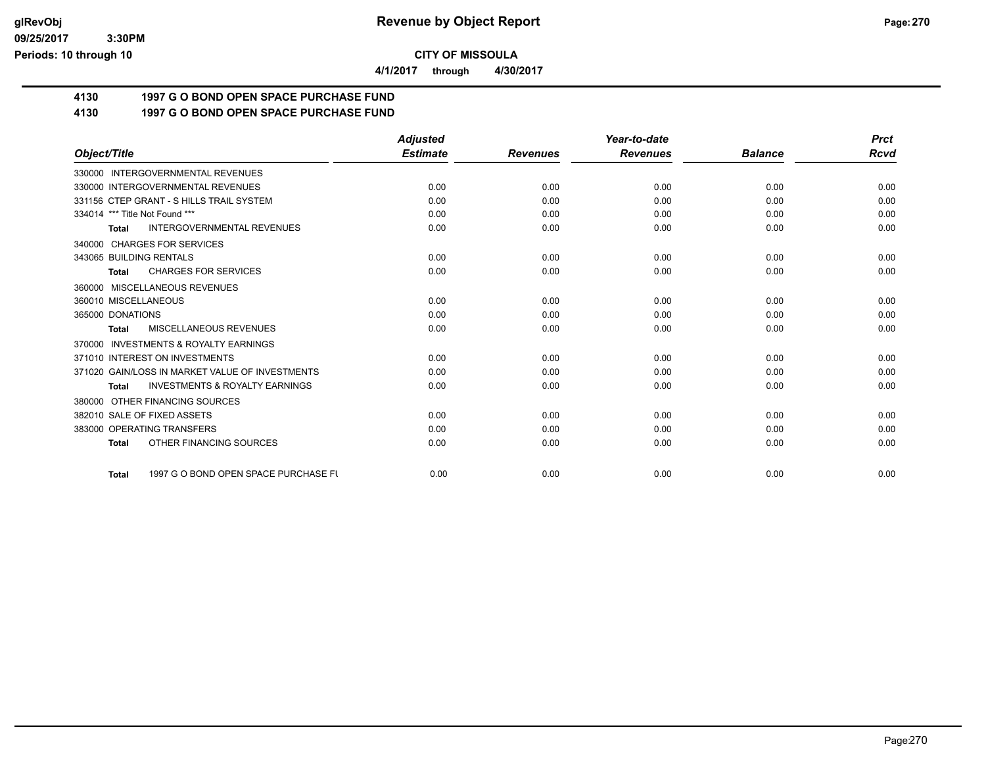**Periods: 10 through 10**

 **3:30PM**

**CITY OF MISSOULA**

**4/1/2017 through 4/30/2017**

# **4130 1997 G O BOND OPEN SPACE PURCHASE FUND**

# **4130 1997 G O BOND OPEN SPACE PURCHASE FUND**

|                                                           | <b>Adjusted</b> |                 | Year-to-date    |                | <b>Prct</b> |
|-----------------------------------------------------------|-----------------|-----------------|-----------------|----------------|-------------|
| Object/Title                                              | <b>Estimate</b> | <b>Revenues</b> | <b>Revenues</b> | <b>Balance</b> | Rcvd        |
| 330000 INTERGOVERNMENTAL REVENUES                         |                 |                 |                 |                |             |
| 330000 INTERGOVERNMENTAL REVENUES                         | 0.00            | 0.00            | 0.00            | 0.00           | 0.00        |
| 331156 CTEP GRANT - S HILLS TRAIL SYSTEM                  | 0.00            | 0.00            | 0.00            | 0.00           | 0.00        |
| 334014 *** Title Not Found ***                            | 0.00            | 0.00            | 0.00            | 0.00           | 0.00        |
| <b>INTERGOVERNMENTAL REVENUES</b><br><b>Total</b>         | 0.00            | 0.00            | 0.00            | 0.00           | 0.00        |
| 340000 CHARGES FOR SERVICES                               |                 |                 |                 |                |             |
| 343065 BUILDING RENTALS                                   | 0.00            | 0.00            | 0.00            | 0.00           | 0.00        |
| <b>CHARGES FOR SERVICES</b><br><b>Total</b>               | 0.00            | 0.00            | 0.00            | 0.00           | 0.00        |
| 360000 MISCELLANEOUS REVENUES                             |                 |                 |                 |                |             |
| 360010 MISCELLANEOUS                                      | 0.00            | 0.00            | 0.00            | 0.00           | 0.00        |
| 365000 DONATIONS                                          | 0.00            | 0.00            | 0.00            | 0.00           | 0.00        |
| <b>MISCELLANEOUS REVENUES</b><br><b>Total</b>             | 0.00            | 0.00            | 0.00            | 0.00           | 0.00        |
| <b>INVESTMENTS &amp; ROYALTY EARNINGS</b><br>370000       |                 |                 |                 |                |             |
| 371010 INTEREST ON INVESTMENTS                            | 0.00            | 0.00            | 0.00            | 0.00           | 0.00        |
| 371020 GAIN/LOSS IN MARKET VALUE OF INVESTMENTS           | 0.00            | 0.00            | 0.00            | 0.00           | 0.00        |
| <b>INVESTMENTS &amp; ROYALTY EARNINGS</b><br><b>Total</b> | 0.00            | 0.00            | 0.00            | 0.00           | 0.00        |
| 380000 OTHER FINANCING SOURCES                            |                 |                 |                 |                |             |
| 382010 SALE OF FIXED ASSETS                               | 0.00            | 0.00            | 0.00            | 0.00           | 0.00        |
| 383000 OPERATING TRANSFERS                                | 0.00            | 0.00            | 0.00            | 0.00           | 0.00        |
| OTHER FINANCING SOURCES<br><b>Total</b>                   | 0.00            | 0.00            | 0.00            | 0.00           | 0.00        |
| 1997 G O BOND OPEN SPACE PURCHASE FI<br><b>Total</b>      | 0.00            | 0.00            | 0.00            | 0.00           | 0.00        |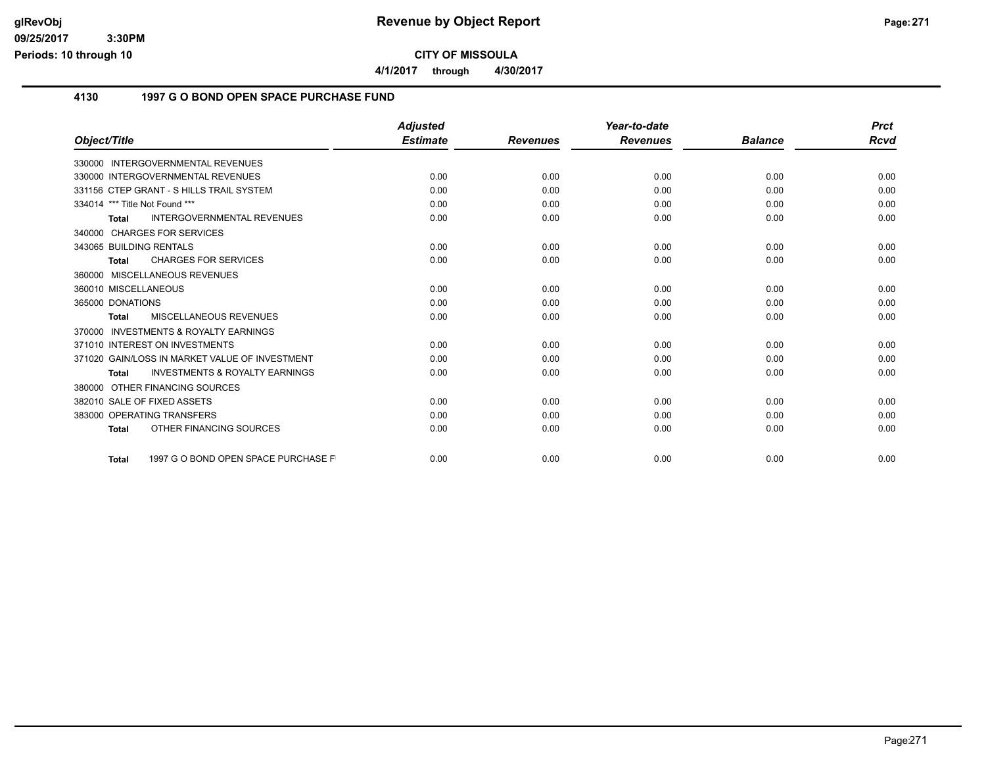**4/1/2017 through 4/30/2017**

# **4130 1997 G O BOND OPEN SPACE PURCHASE FUND**

|                                                           | <b>Adjusted</b> |                 | Year-to-date    |                | <b>Prct</b> |
|-----------------------------------------------------------|-----------------|-----------------|-----------------|----------------|-------------|
| Object/Title                                              | <b>Estimate</b> | <b>Revenues</b> | <b>Revenues</b> | <b>Balance</b> | <b>Rcvd</b> |
| 330000 INTERGOVERNMENTAL REVENUES                         |                 |                 |                 |                |             |
| 330000 INTERGOVERNMENTAL REVENUES                         | 0.00            | 0.00            | 0.00            | 0.00           | 0.00        |
| 331156 CTEP GRANT - S HILLS TRAIL SYSTEM                  | 0.00            | 0.00            | 0.00            | 0.00           | 0.00        |
| 334014 *** Title Not Found ***                            | 0.00            | 0.00            | 0.00            | 0.00           | 0.00        |
| <b>INTERGOVERNMENTAL REVENUES</b><br><b>Total</b>         | 0.00            | 0.00            | 0.00            | 0.00           | 0.00        |
| 340000 CHARGES FOR SERVICES                               |                 |                 |                 |                |             |
| 343065 BUILDING RENTALS                                   | 0.00            | 0.00            | 0.00            | 0.00           | 0.00        |
| <b>CHARGES FOR SERVICES</b><br><b>Total</b>               | 0.00            | 0.00            | 0.00            | 0.00           | 0.00        |
| 360000 MISCELLANEOUS REVENUES                             |                 |                 |                 |                |             |
| 360010 MISCELLANEOUS                                      | 0.00            | 0.00            | 0.00            | 0.00           | 0.00        |
| 365000 DONATIONS                                          | 0.00            | 0.00            | 0.00            | 0.00           | 0.00        |
| MISCELLANEOUS REVENUES<br><b>Total</b>                    | 0.00            | 0.00            | 0.00            | 0.00           | 0.00        |
| <b>INVESTMENTS &amp; ROYALTY EARNINGS</b><br>370000       |                 |                 |                 |                |             |
| 371010 INTEREST ON INVESTMENTS                            | 0.00            | 0.00            | 0.00            | 0.00           | 0.00        |
| 371020 GAIN/LOSS IN MARKET VALUE OF INVESTMENT            | 0.00            | 0.00            | 0.00            | 0.00           | 0.00        |
| <b>INVESTMENTS &amp; ROYALTY EARNINGS</b><br><b>Total</b> | 0.00            | 0.00            | 0.00            | 0.00           | 0.00        |
| 380000 OTHER FINANCING SOURCES                            |                 |                 |                 |                |             |
| 382010 SALE OF FIXED ASSETS                               | 0.00            | 0.00            | 0.00            | 0.00           | 0.00        |
| 383000 OPERATING TRANSFERS                                | 0.00            | 0.00            | 0.00            | 0.00           | 0.00        |
| OTHER FINANCING SOURCES<br><b>Total</b>                   | 0.00            | 0.00            | 0.00            | 0.00           | 0.00        |
| 1997 G O BOND OPEN SPACE PURCHASE F<br><b>Total</b>       | 0.00            | 0.00            | 0.00            | 0.00           | 0.00        |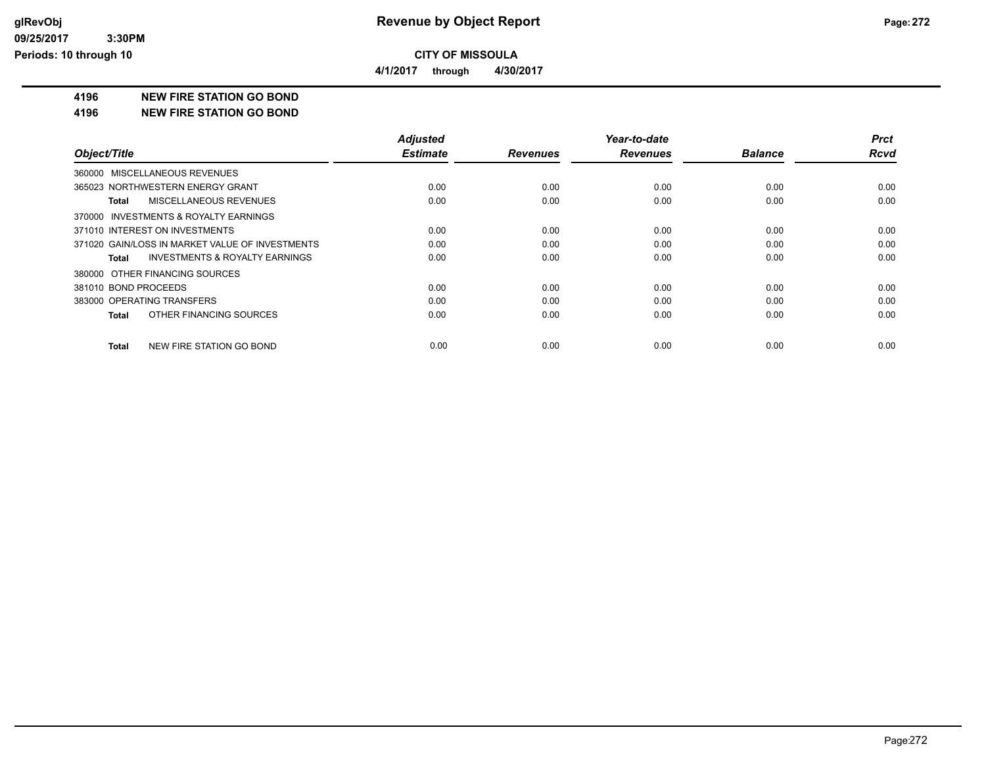**4/1/2017 through 4/30/2017**

#### **4196 NEW FIRE STATION GO BOND**

#### **4196 NEW FIRE STATION GO BOND**

|                                                    | <b>Adjusted</b> |                 | Year-to-date    |                | <b>Prct</b> |
|----------------------------------------------------|-----------------|-----------------|-----------------|----------------|-------------|
| Object/Title                                       | <b>Estimate</b> | <b>Revenues</b> | <b>Revenues</b> | <b>Balance</b> | <b>Rcvd</b> |
| 360000 MISCELLANEOUS REVENUES                      |                 |                 |                 |                |             |
| 365023 NORTHWESTERN ENERGY GRANT                   | 0.00            | 0.00            | 0.00            | 0.00           | 0.00        |
| <b>MISCELLANEOUS REVENUES</b><br>Total             | 0.00            | 0.00            | 0.00            | 0.00           | 0.00        |
| 370000 INVESTMENTS & ROYALTY EARNINGS              |                 |                 |                 |                |             |
| 371010 INTEREST ON INVESTMENTS                     | 0.00            | 0.00            | 0.00            | 0.00           | 0.00        |
| 371020 GAIN/LOSS IN MARKET VALUE OF INVESTMENTS    | 0.00            | 0.00            | 0.00            | 0.00           | 0.00        |
| <b>INVESTMENTS &amp; ROYALTY EARNINGS</b><br>Total | 0.00            | 0.00            | 0.00            | 0.00           | 0.00        |
| 380000 OTHER FINANCING SOURCES                     |                 |                 |                 |                |             |
| 381010 BOND PROCEEDS                               | 0.00            | 0.00            | 0.00            | 0.00           | 0.00        |
| 383000 OPERATING TRANSFERS                         | 0.00            | 0.00            | 0.00            | 0.00           | 0.00        |
| OTHER FINANCING SOURCES<br>Total                   | 0.00            | 0.00            | 0.00            | 0.00           | 0.00        |
| NEW FIRE STATION GO BOND<br>Total                  | 0.00            | 0.00            | 0.00            | 0.00           | 0.00        |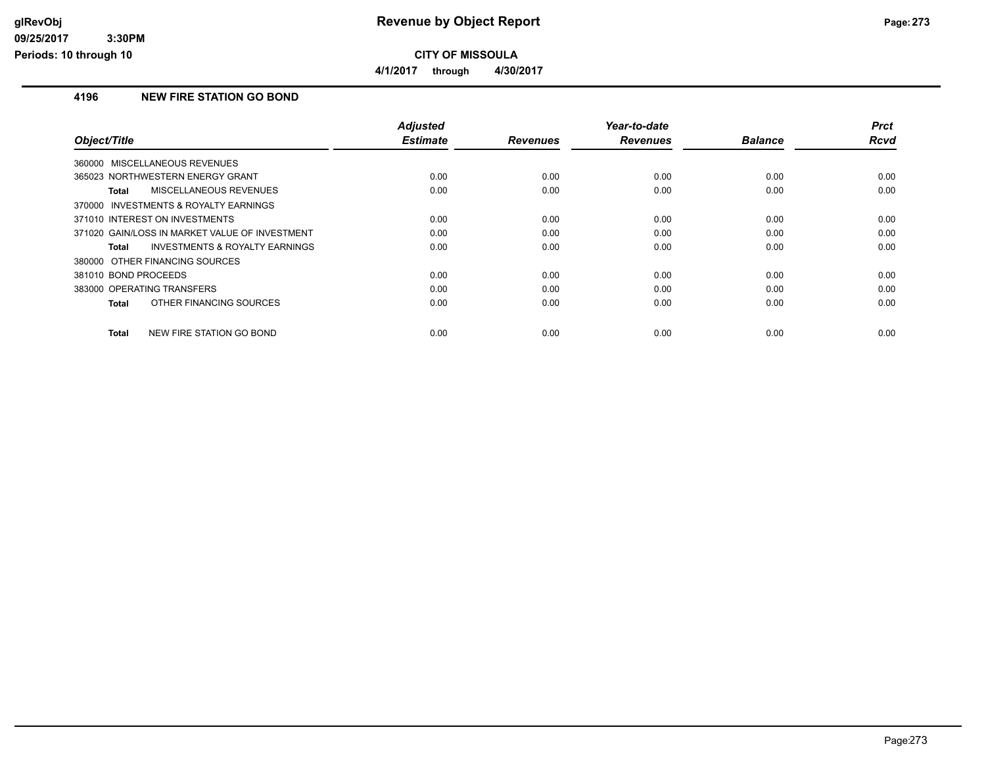**4/1/2017 through 4/30/2017**

# **4196 NEW FIRE STATION GO BOND**

| Object/Title                                       | Adjusted<br><b>Estimate</b> | <b>Revenues</b> | Year-to-date<br><b>Revenues</b> | <b>Balance</b> | <b>Prct</b><br><b>Rcvd</b> |
|----------------------------------------------------|-----------------------------|-----------------|---------------------------------|----------------|----------------------------|
| 360000 MISCELLANEOUS REVENUES                      |                             |                 |                                 |                |                            |
| 365023 NORTHWESTERN ENERGY GRANT                   | 0.00                        | 0.00            | 0.00                            | 0.00           | 0.00                       |
| MISCELLANEOUS REVENUES<br>Total                    | 0.00                        | 0.00            | 0.00                            | 0.00           | 0.00                       |
| 370000 INVESTMENTS & ROYALTY EARNINGS              |                             |                 |                                 |                |                            |
| 371010 INTEREST ON INVESTMENTS                     | 0.00                        | 0.00            | 0.00                            | 0.00           | 0.00                       |
| 371020 GAIN/LOSS IN MARKET VALUE OF INVESTMENT     | 0.00                        | 0.00            | 0.00                            | 0.00           | 0.00                       |
| <b>INVESTMENTS &amp; ROYALTY EARNINGS</b><br>Total | 0.00                        | 0.00            | 0.00                            | 0.00           | 0.00                       |
| 380000 OTHER FINANCING SOURCES                     |                             |                 |                                 |                |                            |
| 381010 BOND PROCEEDS                               | 0.00                        | 0.00            | 0.00                            | 0.00           | 0.00                       |
| 383000 OPERATING TRANSFERS                         | 0.00                        | 0.00            | 0.00                            | 0.00           | 0.00                       |
| OTHER FINANCING SOURCES<br>Total                   | 0.00                        | 0.00            | 0.00                            | 0.00           | 0.00                       |
| NEW FIRE STATION GO BOND<br><b>Total</b>           | 0.00                        | 0.00            | 0.00                            | 0.00           | 0.00                       |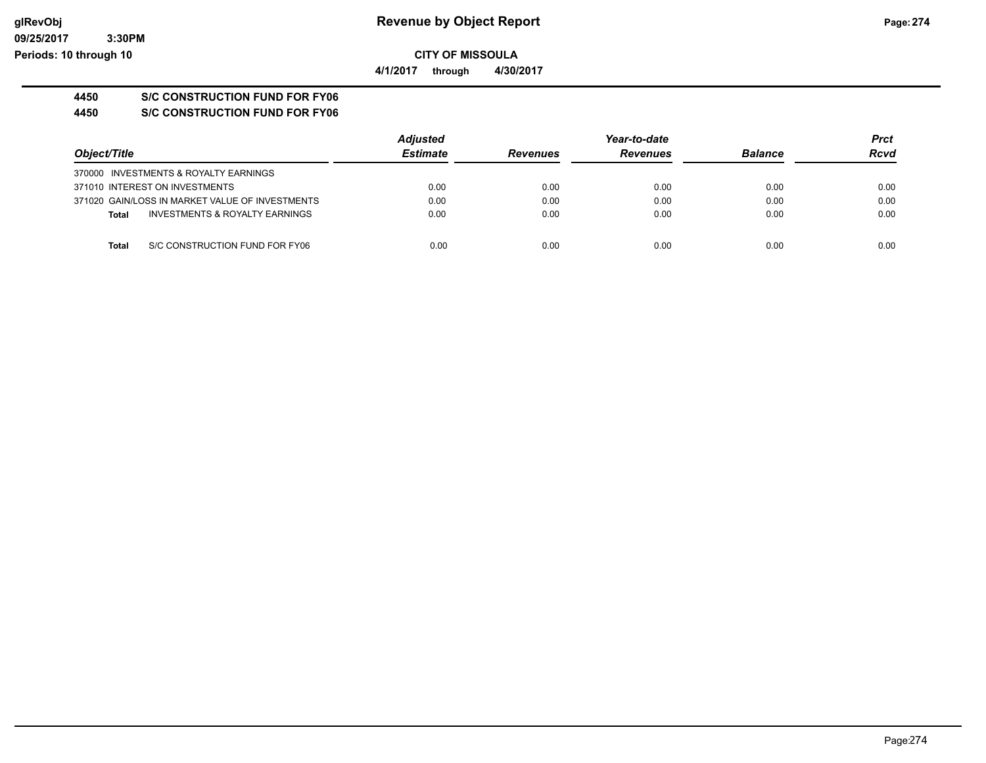**4/1/2017 through 4/30/2017**

# **4450 S/C CONSTRUCTION FUND FOR FY06**

**4450 S/C CONSTRUCTION FUND FOR FY06**

| Object/Title |                                                 | <b>Adjusted</b> |                 | Year-to-date    |                |             |
|--------------|-------------------------------------------------|-----------------|-----------------|-----------------|----------------|-------------|
|              |                                                 | <b>Estimate</b> | <b>Revenues</b> | <b>Revenues</b> | <b>Balance</b> | <b>Rcvd</b> |
|              | 370000 INVESTMENTS & ROYALTY EARNINGS           |                 |                 |                 |                |             |
|              | 371010 INTEREST ON INVESTMENTS                  | 0.00            | 0.00            | 0.00            | 0.00           | 0.00        |
|              | 371020 GAIN/LOSS IN MARKET VALUE OF INVESTMENTS | 0.00            | 0.00            | 0.00            | 0.00           | 0.00        |
| <b>Total</b> | INVESTMENTS & ROYALTY EARNINGS                  | 0.00            | 0.00            | 0.00            | 0.00           | 0.00        |
| <b>Total</b> | S/C CONSTRUCTION FUND FOR FY06                  | 0.00            | 0.00            | 0.00            | 0.00           | 0.00        |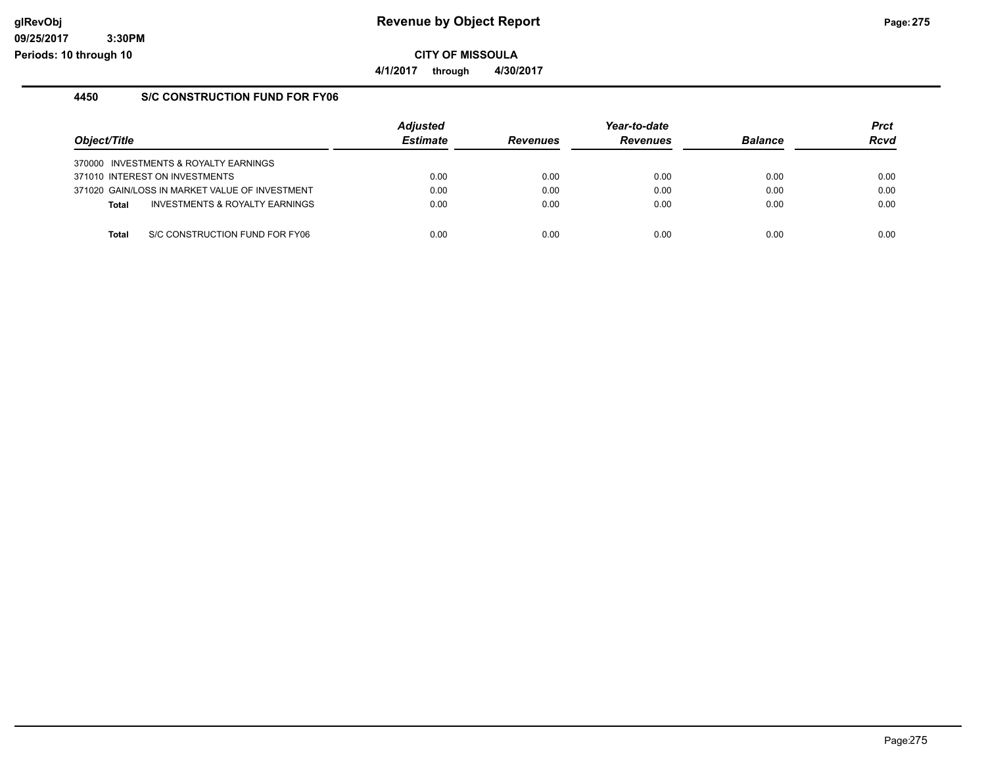**4/1/2017 through 4/30/2017**

# **4450 S/C CONSTRUCTION FUND FOR FY06**

| Object/Title                   |                                                | <b>Adjusted</b><br><b>Estimate</b> | <b>Revenues</b> | Year-to-date<br><b>Revenues</b> | <b>Balance</b> | <b>Prct</b><br><b>Rcvd</b> |
|--------------------------------|------------------------------------------------|------------------------------------|-----------------|---------------------------------|----------------|----------------------------|
|                                | 370000 INVESTMENTS & ROYALTY EARNINGS          |                                    |                 |                                 |                |                            |
| 371010 INTEREST ON INVESTMENTS |                                                | 0.00                               | 0.00            | 0.00                            | 0.00           | 0.00                       |
|                                | 371020 GAIN/LOSS IN MARKET VALUE OF INVESTMENT | 0.00                               | 0.00            | 0.00                            | 0.00           | 0.00                       |
| Total                          | INVESTMENTS & ROYALTY EARNINGS                 | 0.00                               | 0.00            | 0.00                            | 0.00           | 0.00                       |
|                                |                                                |                                    |                 |                                 |                |                            |
| Total                          | S/C CONSTRUCTION FUND FOR FY06                 | 0.00                               | 0.00            | 0.00                            | 0.00           | 0.00                       |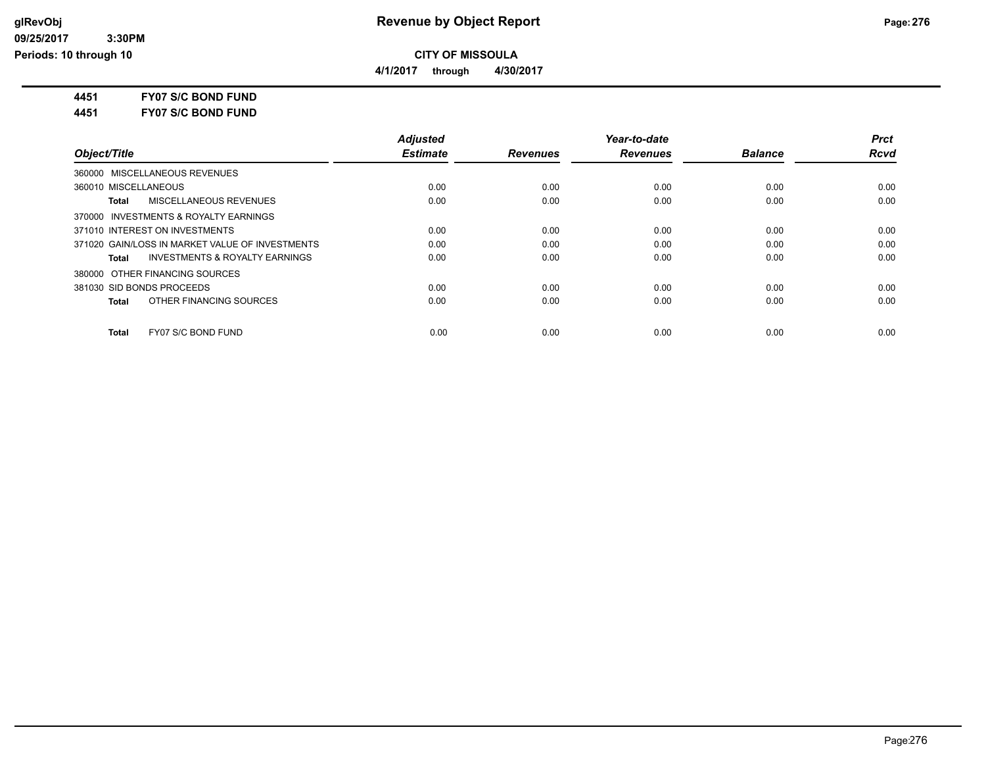**4/1/2017 through 4/30/2017**

**4451 FY07 S/C BOND FUND**

**4451 FY07 S/C BOND FUND**

| Object/Title                                       | <b>Adjusted</b><br><b>Estimate</b> | <b>Revenues</b> | Year-to-date<br><b>Revenues</b> | <b>Balance</b> | <b>Prct</b><br><b>Rcvd</b> |
|----------------------------------------------------|------------------------------------|-----------------|---------------------------------|----------------|----------------------------|
| 360000 MISCELLANEOUS REVENUES                      |                                    |                 |                                 |                |                            |
| 360010 MISCELLANEOUS                               | 0.00                               | 0.00            | 0.00                            | 0.00           | 0.00                       |
| MISCELLANEOUS REVENUES<br>Total                    | 0.00                               | 0.00            | 0.00                            | 0.00           | 0.00                       |
| 370000 INVESTMENTS & ROYALTY EARNINGS              |                                    |                 |                                 |                |                            |
| 371010 INTEREST ON INVESTMENTS                     | 0.00                               | 0.00            | 0.00                            | 0.00           | 0.00                       |
| 371020 GAIN/LOSS IN MARKET VALUE OF INVESTMENTS    | 0.00                               | 0.00            | 0.00                            | 0.00           | 0.00                       |
| <b>INVESTMENTS &amp; ROYALTY EARNINGS</b><br>Total | 0.00                               | 0.00            | 0.00                            | 0.00           | 0.00                       |
| 380000 OTHER FINANCING SOURCES                     |                                    |                 |                                 |                |                            |
| 381030 SID BONDS PROCEEDS                          | 0.00                               | 0.00            | 0.00                            | 0.00           | 0.00                       |
| OTHER FINANCING SOURCES<br><b>Total</b>            | 0.00                               | 0.00            | 0.00                            | 0.00           | 0.00                       |
| FY07 S/C BOND FUND<br><b>Total</b>                 | 0.00                               | 0.00            | 0.00                            | 0.00           | 0.00                       |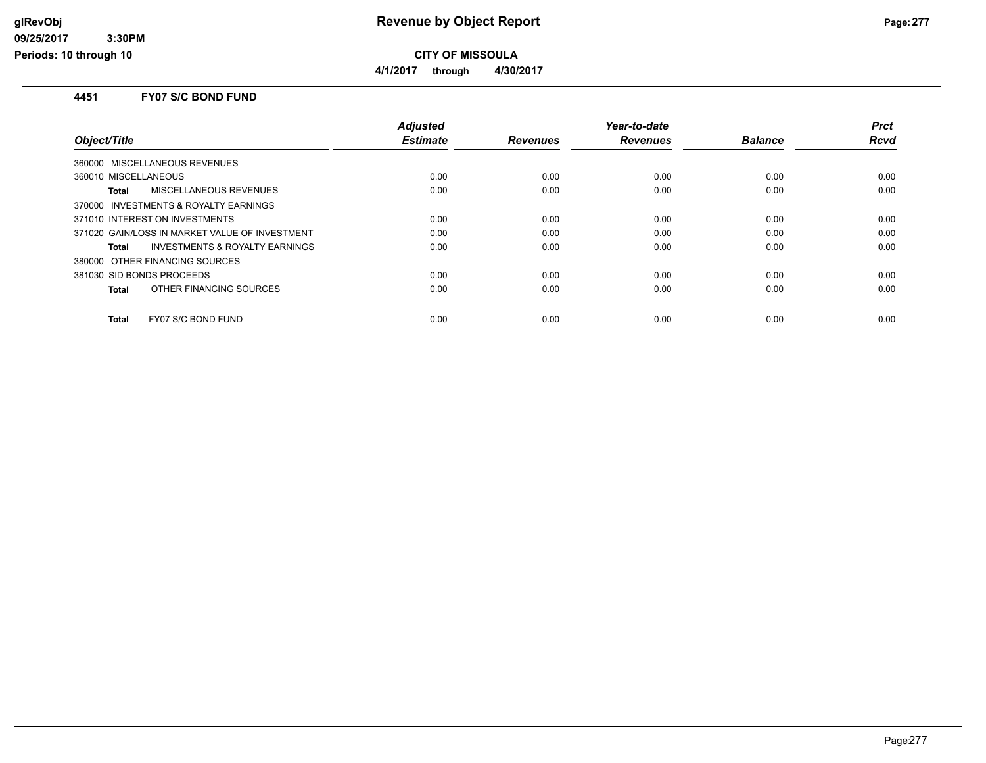**4/1/2017 through 4/30/2017**

#### **4451 FY07 S/C BOND FUND**

| Object/Title                                       | <b>Adjusted</b><br><b>Estimate</b> | <b>Revenues</b> | Year-to-date<br><b>Revenues</b> | <b>Balance</b> | <b>Prct</b><br><b>Rcvd</b> |
|----------------------------------------------------|------------------------------------|-----------------|---------------------------------|----------------|----------------------------|
|                                                    |                                    |                 |                                 |                |                            |
| 360000 MISCELLANEOUS REVENUES                      |                                    |                 |                                 |                |                            |
| 360010 MISCELLANEOUS                               | 0.00                               | 0.00            | 0.00                            | 0.00           | 0.00                       |
| MISCELLANEOUS REVENUES<br>Total                    | 0.00                               | 0.00            | 0.00                            | 0.00           | 0.00                       |
| 370000 INVESTMENTS & ROYALTY EARNINGS              |                                    |                 |                                 |                |                            |
| 371010 INTEREST ON INVESTMENTS                     | 0.00                               | 0.00            | 0.00                            | 0.00           | 0.00                       |
| 371020 GAIN/LOSS IN MARKET VALUE OF INVESTMENT     | 0.00                               | 0.00            | 0.00                            | 0.00           | 0.00                       |
| <b>INVESTMENTS &amp; ROYALTY EARNINGS</b><br>Total | 0.00                               | 0.00            | 0.00                            | 0.00           | 0.00                       |
| 380000 OTHER FINANCING SOURCES                     |                                    |                 |                                 |                |                            |
| 381030 SID BONDS PROCEEDS                          | 0.00                               | 0.00            | 0.00                            | 0.00           | 0.00                       |
| OTHER FINANCING SOURCES<br>Total                   | 0.00                               | 0.00            | 0.00                            | 0.00           | 0.00                       |
| FY07 S/C BOND FUND<br><b>Total</b>                 | 0.00                               | 0.00            | 0.00                            | 0.00           | 0.00                       |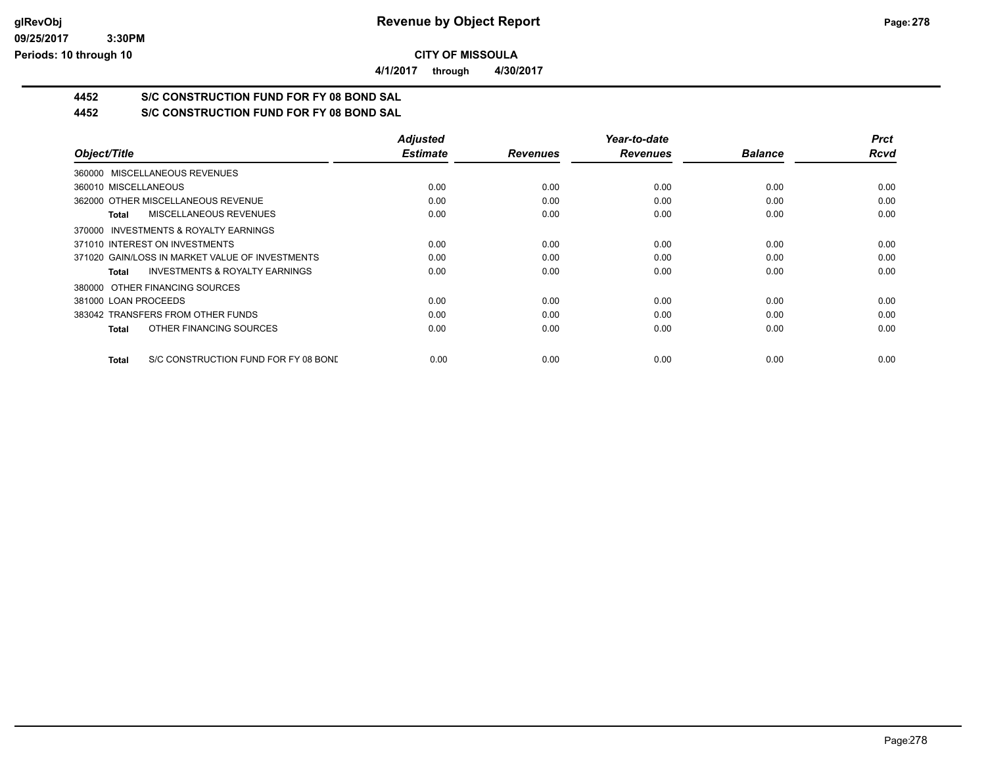**4/1/2017 through 4/30/2017**

# **4452 S/C CONSTRUCTION FUND FOR FY 08 BOND SAL**

# **4452 S/C CONSTRUCTION FUND FOR FY 08 BOND SAL**

|                                                      | <b>Adjusted</b> |                 | Year-to-date    |                | <b>Prct</b> |
|------------------------------------------------------|-----------------|-----------------|-----------------|----------------|-------------|
| Object/Title                                         | <b>Estimate</b> | <b>Revenues</b> | <b>Revenues</b> | <b>Balance</b> | <b>Rcvd</b> |
| 360000 MISCELLANEOUS REVENUES                        |                 |                 |                 |                |             |
| 360010 MISCELLANEOUS                                 | 0.00            | 0.00            | 0.00            | 0.00           | 0.00        |
| 362000 OTHER MISCELLANEOUS REVENUE                   | 0.00            | 0.00            | 0.00            | 0.00           | 0.00        |
| <b>MISCELLANEOUS REVENUES</b><br>Total               | 0.00            | 0.00            | 0.00            | 0.00           | 0.00        |
| 370000 INVESTMENTS & ROYALTY EARNINGS                |                 |                 |                 |                |             |
| 371010 INTEREST ON INVESTMENTS                       | 0.00            | 0.00            | 0.00            | 0.00           | 0.00        |
| 371020 GAIN/LOSS IN MARKET VALUE OF INVESTMENTS      | 0.00            | 0.00            | 0.00            | 0.00           | 0.00        |
| <b>INVESTMENTS &amp; ROYALTY EARNINGS</b><br>Total   | 0.00            | 0.00            | 0.00            | 0.00           | 0.00        |
| 380000 OTHER FINANCING SOURCES                       |                 |                 |                 |                |             |
| 381000 LOAN PROCEEDS                                 | 0.00            | 0.00            | 0.00            | 0.00           | 0.00        |
| 383042 TRANSFERS FROM OTHER FUNDS                    | 0.00            | 0.00            | 0.00            | 0.00           | 0.00        |
| OTHER FINANCING SOURCES<br>Total                     | 0.00            | 0.00            | 0.00            | 0.00           | 0.00        |
| S/C CONSTRUCTION FUND FOR FY 08 BONE<br><b>Total</b> | 0.00            | 0.00            | 0.00            | 0.00           | 0.00        |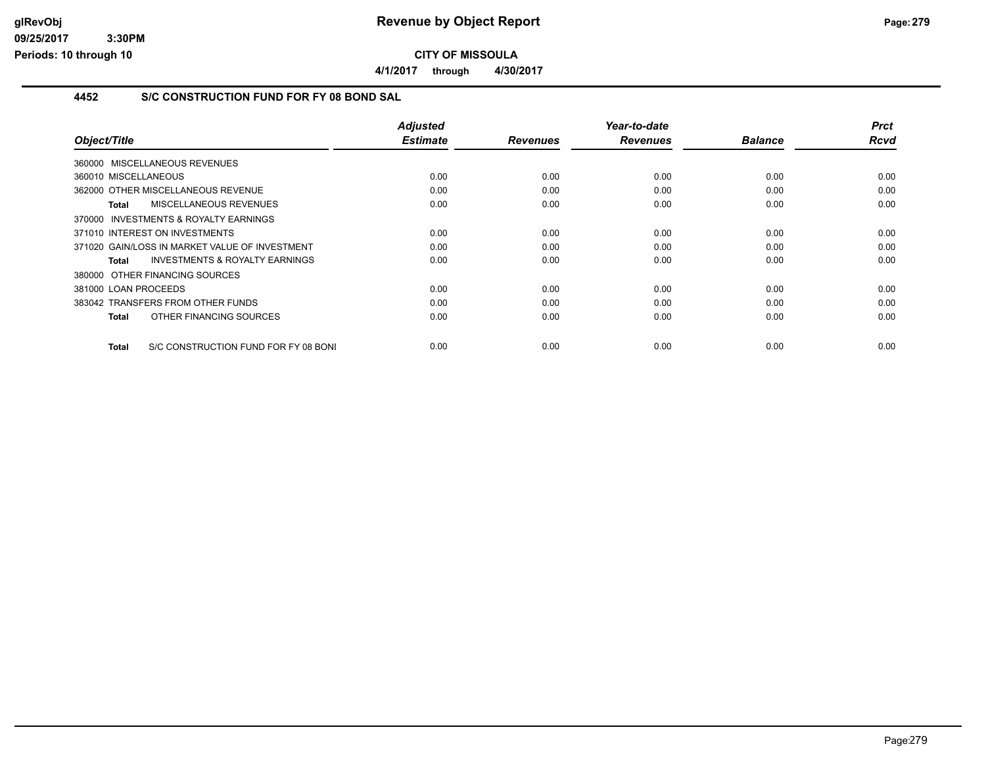**4/1/2017 through 4/30/2017**

# **4452 S/C CONSTRUCTION FUND FOR FY 08 BOND SAL**

| Object/Title                                       | <b>Adjusted</b><br><b>Estimate</b> | <b>Revenues</b> | Year-to-date<br><b>Revenues</b> | <b>Balance</b> | <b>Prct</b><br>Rcvd |
|----------------------------------------------------|------------------------------------|-----------------|---------------------------------|----------------|---------------------|
|                                                    |                                    |                 |                                 |                |                     |
| 360000 MISCELLANEOUS REVENUES                      |                                    |                 |                                 |                |                     |
| 360010 MISCELLANEOUS                               | 0.00                               | 0.00            | 0.00                            | 0.00           | 0.00                |
| 362000 OTHER MISCELLANEOUS REVENUE                 | 0.00                               | 0.00            | 0.00                            | 0.00           | 0.00                |
| MISCELLANEOUS REVENUES<br>Total                    | 0.00                               | 0.00            | 0.00                            | 0.00           | 0.00                |
| 370000 INVESTMENTS & ROYALTY EARNINGS              |                                    |                 |                                 |                |                     |
| 371010 INTEREST ON INVESTMENTS                     | 0.00                               | 0.00            | 0.00                            | 0.00           | 0.00                |
| 371020 GAIN/LOSS IN MARKET VALUE OF INVESTMENT     | 0.00                               | 0.00            | 0.00                            | 0.00           | 0.00                |
| <b>INVESTMENTS &amp; ROYALTY EARNINGS</b><br>Total | 0.00                               | 0.00            | 0.00                            | 0.00           | 0.00                |
| 380000 OTHER FINANCING SOURCES                     |                                    |                 |                                 |                |                     |
| 381000 LOAN PROCEEDS                               | 0.00                               | 0.00            | 0.00                            | 0.00           | 0.00                |
| 383042 TRANSFERS FROM OTHER FUNDS                  | 0.00                               | 0.00            | 0.00                            | 0.00           | 0.00                |
| OTHER FINANCING SOURCES<br>Total                   | 0.00                               | 0.00            | 0.00                            | 0.00           | 0.00                |
|                                                    |                                    |                 |                                 |                |                     |
| S/C CONSTRUCTION FUND FOR FY 08 BONI<br>Total      | 0.00                               | 0.00            | 0.00                            | 0.00           | 0.00                |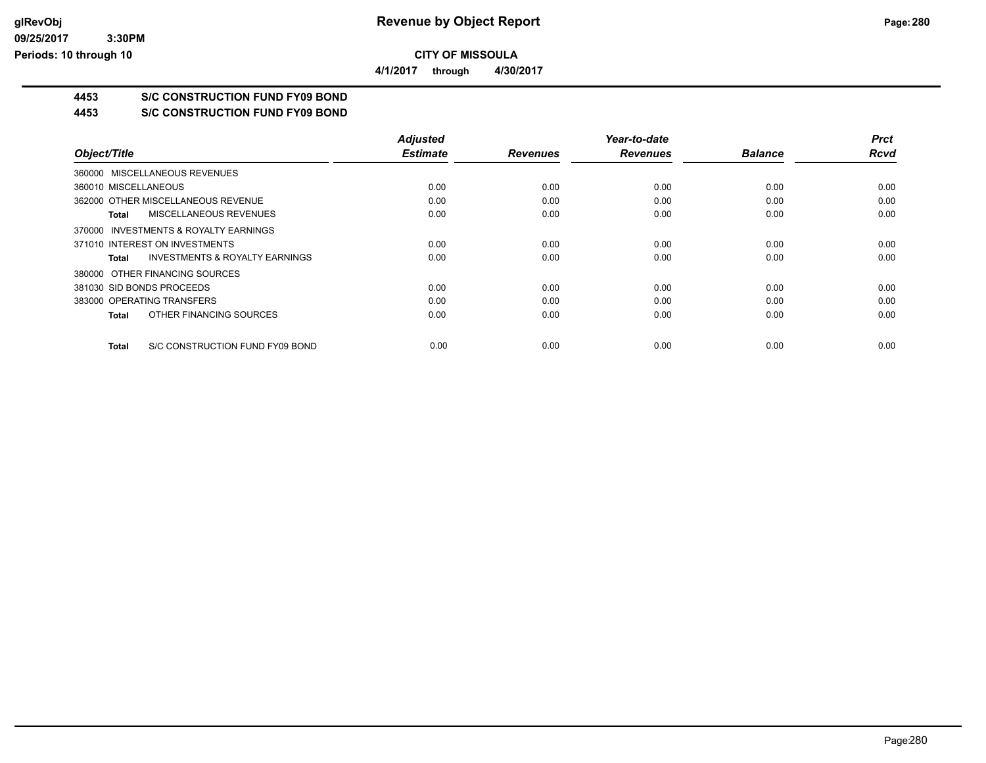**4/1/2017 through 4/30/2017**

# **4453 S/C CONSTRUCTION FUND FY09 BOND**

# **4453 S/C CONSTRUCTION FUND FY09 BOND**

|                                                    | <b>Adjusted</b> |                 | Year-to-date    |                | <b>Prct</b> |
|----------------------------------------------------|-----------------|-----------------|-----------------|----------------|-------------|
| Object/Title                                       | <b>Estimate</b> | <b>Revenues</b> | <b>Revenues</b> | <b>Balance</b> | <b>Rcvd</b> |
| 360000 MISCELLANEOUS REVENUES                      |                 |                 |                 |                |             |
| 360010 MISCELLANEOUS                               | 0.00            | 0.00            | 0.00            | 0.00           | 0.00        |
| 362000 OTHER MISCELLANEOUS REVENUE                 | 0.00            | 0.00            | 0.00            | 0.00           | 0.00        |
| <b>MISCELLANEOUS REVENUES</b><br>Total             | 0.00            | 0.00            | 0.00            | 0.00           | 0.00        |
| 370000 INVESTMENTS & ROYALTY EARNINGS              |                 |                 |                 |                |             |
| 371010 INTEREST ON INVESTMENTS                     | 0.00            | 0.00            | 0.00            | 0.00           | 0.00        |
| <b>INVESTMENTS &amp; ROYALTY EARNINGS</b><br>Total | 0.00            | 0.00            | 0.00            | 0.00           | 0.00        |
| 380000 OTHER FINANCING SOURCES                     |                 |                 |                 |                |             |
| 381030 SID BONDS PROCEEDS                          | 0.00            | 0.00            | 0.00            | 0.00           | 0.00        |
| 383000 OPERATING TRANSFERS                         | 0.00            | 0.00            | 0.00            | 0.00           | 0.00        |
| OTHER FINANCING SOURCES<br>Total                   | 0.00            | 0.00            | 0.00            | 0.00           | 0.00        |
| S/C CONSTRUCTION FUND FY09 BOND<br>Total           | 0.00            | 0.00            | 0.00            | 0.00           | 0.00        |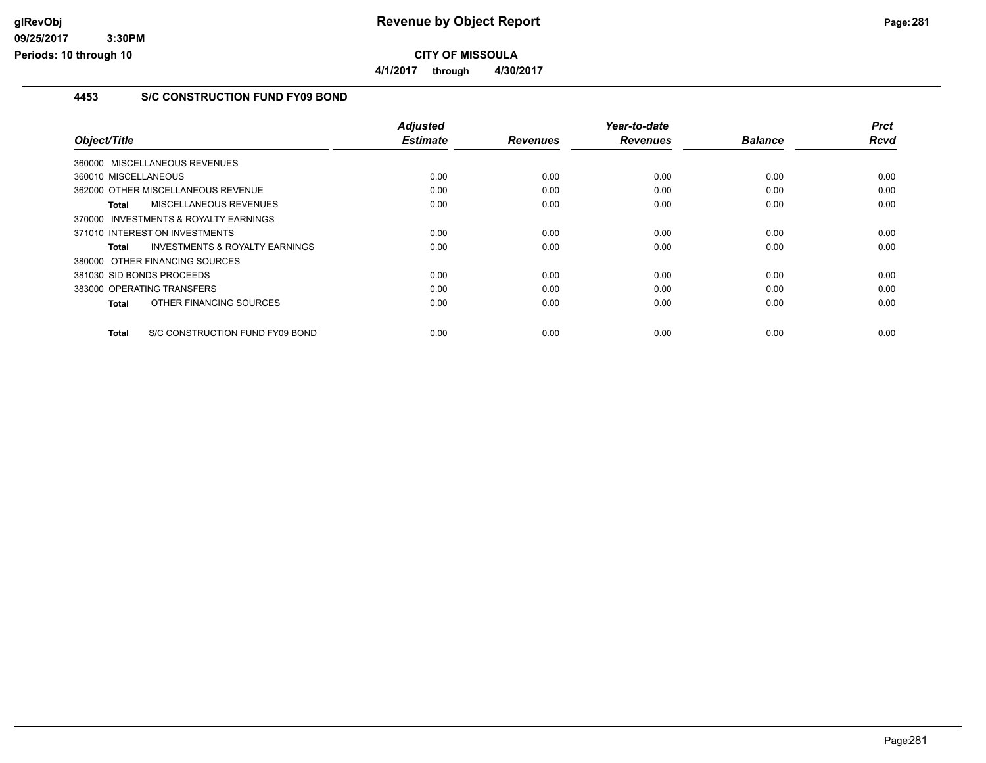**4/1/2017 through 4/30/2017**

# **4453 S/C CONSTRUCTION FUND FY09 BOND**

| Object/Title                                       | <b>Adjusted</b><br><b>Estimate</b> | <b>Revenues</b> | Year-to-date<br><b>Revenues</b> | <b>Balance</b> | <b>Prct</b><br>Rcvd |
|----------------------------------------------------|------------------------------------|-----------------|---------------------------------|----------------|---------------------|
| 360000 MISCELLANEOUS REVENUES                      |                                    |                 |                                 |                |                     |
| 360010 MISCELLANEOUS                               | 0.00                               | 0.00            | 0.00                            | 0.00           | 0.00                |
| 362000 OTHER MISCELLANEOUS REVENUE                 | 0.00                               | 0.00            | 0.00                            | 0.00           | 0.00                |
| MISCELLANEOUS REVENUES<br>Total                    | 0.00                               | 0.00            | 0.00                            | 0.00           | 0.00                |
| 370000 INVESTMENTS & ROYALTY EARNINGS              |                                    |                 |                                 |                |                     |
| 371010 INTEREST ON INVESTMENTS                     | 0.00                               | 0.00            | 0.00                            | 0.00           | 0.00                |
| <b>INVESTMENTS &amp; ROYALTY EARNINGS</b><br>Total | 0.00                               | 0.00            | 0.00                            | 0.00           | 0.00                |
| 380000 OTHER FINANCING SOURCES                     |                                    |                 |                                 |                |                     |
| 381030 SID BONDS PROCEEDS                          | 0.00                               | 0.00            | 0.00                            | 0.00           | 0.00                |
| 383000 OPERATING TRANSFERS                         | 0.00                               | 0.00            | 0.00                            | 0.00           | 0.00                |
| OTHER FINANCING SOURCES<br>Total                   | 0.00                               | 0.00            | 0.00                            | 0.00           | 0.00                |
| S/C CONSTRUCTION FUND FY09 BOND<br>Total           | 0.00                               | 0.00            | 0.00                            | 0.00           | 0.00                |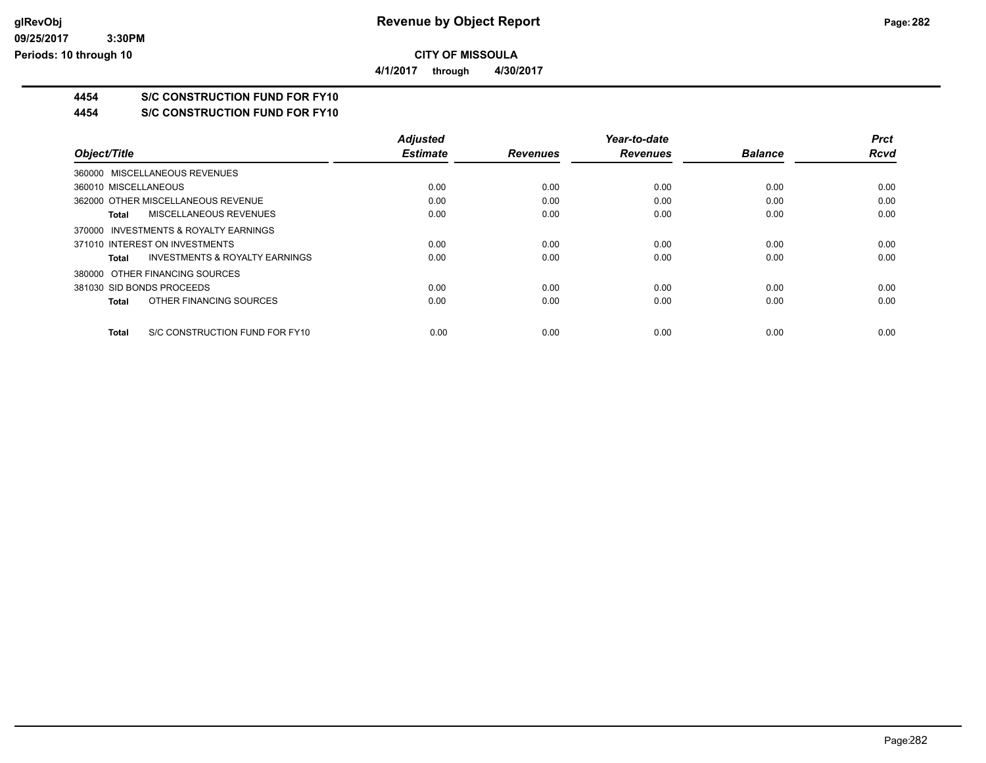**4/1/2017 through 4/30/2017**

# **4454 S/C CONSTRUCTION FUND FOR FY10**

**4454 S/C CONSTRUCTION FUND FOR FY10**

|                                                    | <b>Adjusted</b> |                 | Year-to-date    |                | <b>Prct</b> |
|----------------------------------------------------|-----------------|-----------------|-----------------|----------------|-------------|
| Object/Title                                       | <b>Estimate</b> | <b>Revenues</b> | <b>Revenues</b> | <b>Balance</b> | <b>Rcvd</b> |
| 360000 MISCELLANEOUS REVENUES                      |                 |                 |                 |                |             |
| 360010 MISCELLANEOUS                               | 0.00            | 0.00            | 0.00            | 0.00           | 0.00        |
| 362000 OTHER MISCELLANEOUS REVENUE                 | 0.00            | 0.00            | 0.00            | 0.00           | 0.00        |
| MISCELLANEOUS REVENUES<br>Total                    | 0.00            | 0.00            | 0.00            | 0.00           | 0.00        |
| 370000 INVESTMENTS & ROYALTY EARNINGS              |                 |                 |                 |                |             |
| 371010 INTEREST ON INVESTMENTS                     | 0.00            | 0.00            | 0.00            | 0.00           | 0.00        |
| <b>INVESTMENTS &amp; ROYALTY EARNINGS</b><br>Total | 0.00            | 0.00            | 0.00            | 0.00           | 0.00        |
| 380000 OTHER FINANCING SOURCES                     |                 |                 |                 |                |             |
| 381030 SID BONDS PROCEEDS                          | 0.00            | 0.00            | 0.00            | 0.00           | 0.00        |
| OTHER FINANCING SOURCES<br>Total                   | 0.00            | 0.00            | 0.00            | 0.00           | 0.00        |
| S/C CONSTRUCTION FUND FOR FY10<br><b>Total</b>     | 0.00            | 0.00            | 0.00            | 0.00           | 0.00        |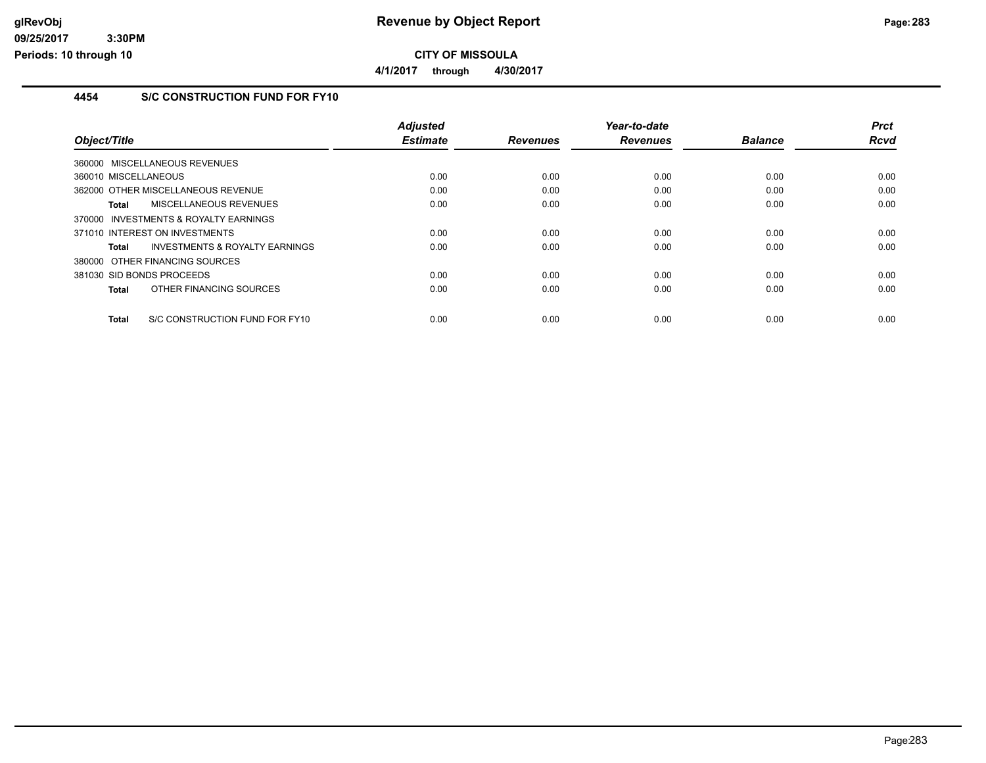**4/1/2017 through 4/30/2017**

# **4454 S/C CONSTRUCTION FUND FOR FY10**

| Object/Title                                              | <b>Adiusted</b><br><b>Estimate</b> | <b>Revenues</b> | Year-to-date<br><b>Revenues</b> | <b>Balance</b> | <b>Prct</b><br><b>Rcvd</b> |
|-----------------------------------------------------------|------------------------------------|-----------------|---------------------------------|----------------|----------------------------|
|                                                           |                                    |                 |                                 |                |                            |
| 360000 MISCELLANEOUS REVENUES                             |                                    |                 |                                 |                |                            |
| 360010 MISCELLANEOUS                                      | 0.00                               | 0.00            | 0.00                            | 0.00           | 0.00                       |
| 362000 OTHER MISCELLANEOUS REVENUE                        | 0.00                               | 0.00            | 0.00                            | 0.00           | 0.00                       |
| MISCELLANEOUS REVENUES<br><b>Total</b>                    | 0.00                               | 0.00            | 0.00                            | 0.00           | 0.00                       |
| 370000 INVESTMENTS & ROYALTY EARNINGS                     |                                    |                 |                                 |                |                            |
| 371010 INTEREST ON INVESTMENTS                            | 0.00                               | 0.00            | 0.00                            | 0.00           | 0.00                       |
| <b>INVESTMENTS &amp; ROYALTY EARNINGS</b><br><b>Total</b> | 0.00                               | 0.00            | 0.00                            | 0.00           | 0.00                       |
| 380000 OTHER FINANCING SOURCES                            |                                    |                 |                                 |                |                            |
| 381030 SID BONDS PROCEEDS                                 | 0.00                               | 0.00            | 0.00                            | 0.00           | 0.00                       |
| OTHER FINANCING SOURCES<br><b>Total</b>                   | 0.00                               | 0.00            | 0.00                            | 0.00           | 0.00                       |
| <b>Total</b><br>S/C CONSTRUCTION FUND FOR FY10            | 0.00                               | 0.00            | 0.00                            | 0.00           | 0.00                       |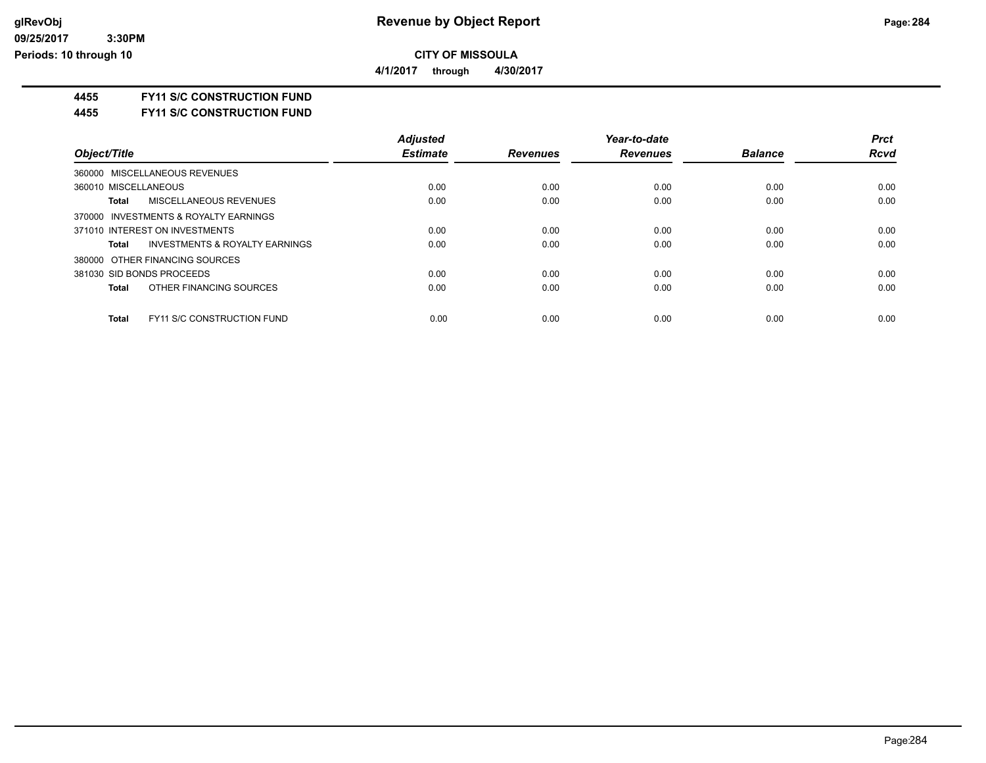**4/1/2017 through 4/30/2017**

# **4455 FY11 S/C CONSTRUCTION FUND**

#### **4455 FY11 S/C CONSTRUCTION FUND**

|                                                    | <b>Adjusted</b> |                 | Year-to-date    |                | <b>Prct</b> |
|----------------------------------------------------|-----------------|-----------------|-----------------|----------------|-------------|
| Object/Title                                       | <b>Estimate</b> | <b>Revenues</b> | <b>Revenues</b> | <b>Balance</b> | <b>Rcvd</b> |
| 360000 MISCELLANEOUS REVENUES                      |                 |                 |                 |                |             |
| 360010 MISCELLANEOUS                               | 0.00            | 0.00            | 0.00            | 0.00           | 0.00        |
| <b>MISCELLANEOUS REVENUES</b><br><b>Total</b>      | 0.00            | 0.00            | 0.00            | 0.00           | 0.00        |
| 370000 INVESTMENTS & ROYALTY EARNINGS              |                 |                 |                 |                |             |
| 371010 INTEREST ON INVESTMENTS                     | 0.00            | 0.00            | 0.00            | 0.00           | 0.00        |
| <b>INVESTMENTS &amp; ROYALTY EARNINGS</b><br>Total | 0.00            | 0.00            | 0.00            | 0.00           | 0.00        |
| 380000 OTHER FINANCING SOURCES                     |                 |                 |                 |                |             |
| 381030 SID BONDS PROCEEDS                          | 0.00            | 0.00            | 0.00            | 0.00           | 0.00        |
| OTHER FINANCING SOURCES<br><b>Total</b>            | 0.00            | 0.00            | 0.00            | 0.00           | 0.00        |
| <b>FY11 S/C CONSTRUCTION FUND</b><br><b>Total</b>  | 0.00            | 0.00            | 0.00            | 0.00           | 0.00        |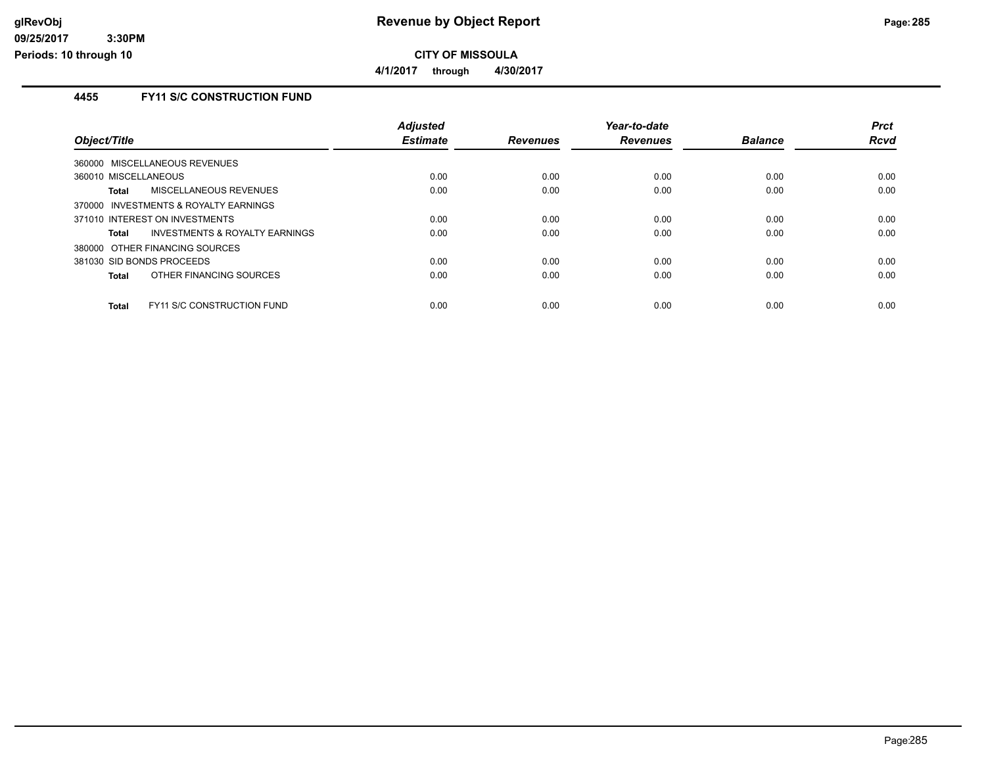**4/1/2017 through 4/30/2017**

# **4455 FY11 S/C CONSTRUCTION FUND**

| Object/Title                                        | <b>Adjusted</b><br><b>Estimate</b> | <b>Revenues</b> | Year-to-date<br><b>Revenues</b> | <b>Balance</b> | <b>Prct</b><br><b>Rcvd</b> |
|-----------------------------------------------------|------------------------------------|-----------------|---------------------------------|----------------|----------------------------|
| MISCELLANEOUS REVENUES<br>360000                    |                                    |                 |                                 |                |                            |
| 360010 MISCELLANEOUS                                | 0.00                               | 0.00            | 0.00                            | 0.00           | 0.00                       |
| MISCELLANEOUS REVENUES<br>Total                     | 0.00                               | 0.00            | 0.00                            | 0.00           | 0.00                       |
| <b>INVESTMENTS &amp; ROYALTY EARNINGS</b><br>370000 |                                    |                 |                                 |                |                            |
| 371010 INTEREST ON INVESTMENTS                      | 0.00                               | 0.00            | 0.00                            | 0.00           | 0.00                       |
| INVESTMENTS & ROYALTY EARNINGS<br><b>Total</b>      | 0.00                               | 0.00            | 0.00                            | 0.00           | 0.00                       |
| OTHER FINANCING SOURCES<br>380000                   |                                    |                 |                                 |                |                            |
| 381030 SID BONDS PROCEEDS                           | 0.00                               | 0.00            | 0.00                            | 0.00           | 0.00                       |
| OTHER FINANCING SOURCES<br><b>Total</b>             | 0.00                               | 0.00            | 0.00                            | 0.00           | 0.00                       |
| <b>FY11 S/C CONSTRUCTION FUND</b><br><b>Total</b>   | 0.00                               | 0.00            | 0.00                            | 0.00           | 0.00                       |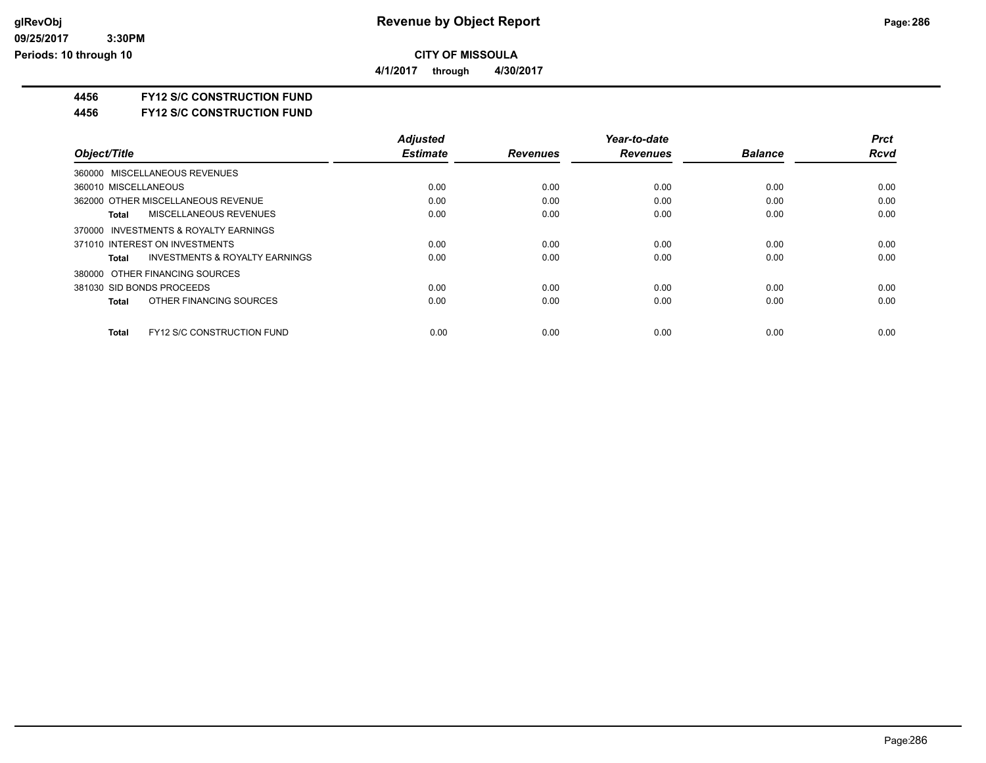**4/1/2017 through 4/30/2017**

# **4456 FY12 S/C CONSTRUCTION FUND**

#### **4456 FY12 S/C CONSTRUCTION FUND**

|                                                    | <b>Adjusted</b> |                 | Year-to-date    |                | <b>Prct</b> |
|----------------------------------------------------|-----------------|-----------------|-----------------|----------------|-------------|
| Object/Title                                       | <b>Estimate</b> | <b>Revenues</b> | <b>Revenues</b> | <b>Balance</b> | <b>Rcvd</b> |
| 360000 MISCELLANEOUS REVENUES                      |                 |                 |                 |                |             |
| 360010 MISCELLANEOUS                               | 0.00            | 0.00            | 0.00            | 0.00           | 0.00        |
| 362000 OTHER MISCELLANEOUS REVENUE                 | 0.00            | 0.00            | 0.00            | 0.00           | 0.00        |
| MISCELLANEOUS REVENUES<br>Total                    | 0.00            | 0.00            | 0.00            | 0.00           | 0.00        |
| 370000 INVESTMENTS & ROYALTY EARNINGS              |                 |                 |                 |                |             |
| 371010 INTEREST ON INVESTMENTS                     | 0.00            | 0.00            | 0.00            | 0.00           | 0.00        |
| <b>INVESTMENTS &amp; ROYALTY EARNINGS</b><br>Total | 0.00            | 0.00            | 0.00            | 0.00           | 0.00        |
| 380000 OTHER FINANCING SOURCES                     |                 |                 |                 |                |             |
| 381030 SID BONDS PROCEEDS                          | 0.00            | 0.00            | 0.00            | 0.00           | 0.00        |
| OTHER FINANCING SOURCES<br>Total                   | 0.00            | 0.00            | 0.00            | 0.00           | 0.00        |
| FY12 S/C CONSTRUCTION FUND<br><b>Total</b>         | 0.00            | 0.00            | 0.00            | 0.00           | 0.00        |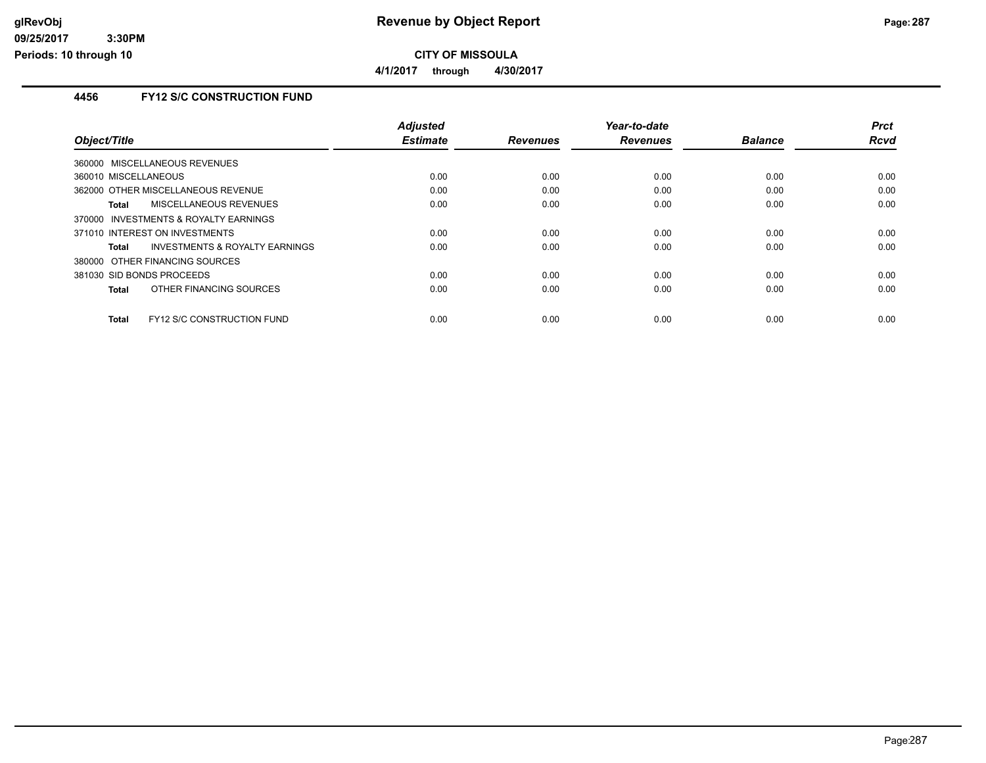**4/1/2017 through 4/30/2017**

# **4456 FY12 S/C CONSTRUCTION FUND**

| Object/Title                                       | <b>Adjusted</b><br><b>Estimate</b> | <b>Revenues</b> | Year-to-date<br><b>Revenues</b> | <b>Balance</b> | <b>Prct</b><br><b>Rcvd</b> |
|----------------------------------------------------|------------------------------------|-----------------|---------------------------------|----------------|----------------------------|
|                                                    |                                    |                 |                                 |                |                            |
| 360000 MISCELLANEOUS REVENUES                      |                                    |                 |                                 |                |                            |
| 360010 MISCELLANEOUS                               | 0.00                               | 0.00            | 0.00                            | 0.00           | 0.00                       |
| 362000 OTHER MISCELLANEOUS REVENUE                 | 0.00                               | 0.00            | 0.00                            | 0.00           | 0.00                       |
| MISCELLANEOUS REVENUES<br>Total                    | 0.00                               | 0.00            | 0.00                            | 0.00           | 0.00                       |
| 370000 INVESTMENTS & ROYALTY EARNINGS              |                                    |                 |                                 |                |                            |
| 371010 INTEREST ON INVESTMENTS                     | 0.00                               | 0.00            | 0.00                            | 0.00           | 0.00                       |
| <b>INVESTMENTS &amp; ROYALTY EARNINGS</b><br>Total | 0.00                               | 0.00            | 0.00                            | 0.00           | 0.00                       |
| 380000 OTHER FINANCING SOURCES                     |                                    |                 |                                 |                |                            |
| 381030 SID BONDS PROCEEDS                          | 0.00                               | 0.00            | 0.00                            | 0.00           | 0.00                       |
| OTHER FINANCING SOURCES<br>Total                   | 0.00                               | 0.00            | 0.00                            | 0.00           | 0.00                       |
|                                                    |                                    |                 |                                 |                |                            |
| <b>FY12 S/C CONSTRUCTION FUND</b><br>Total         | 0.00                               | 0.00            | 0.00                            | 0.00           | 0.00                       |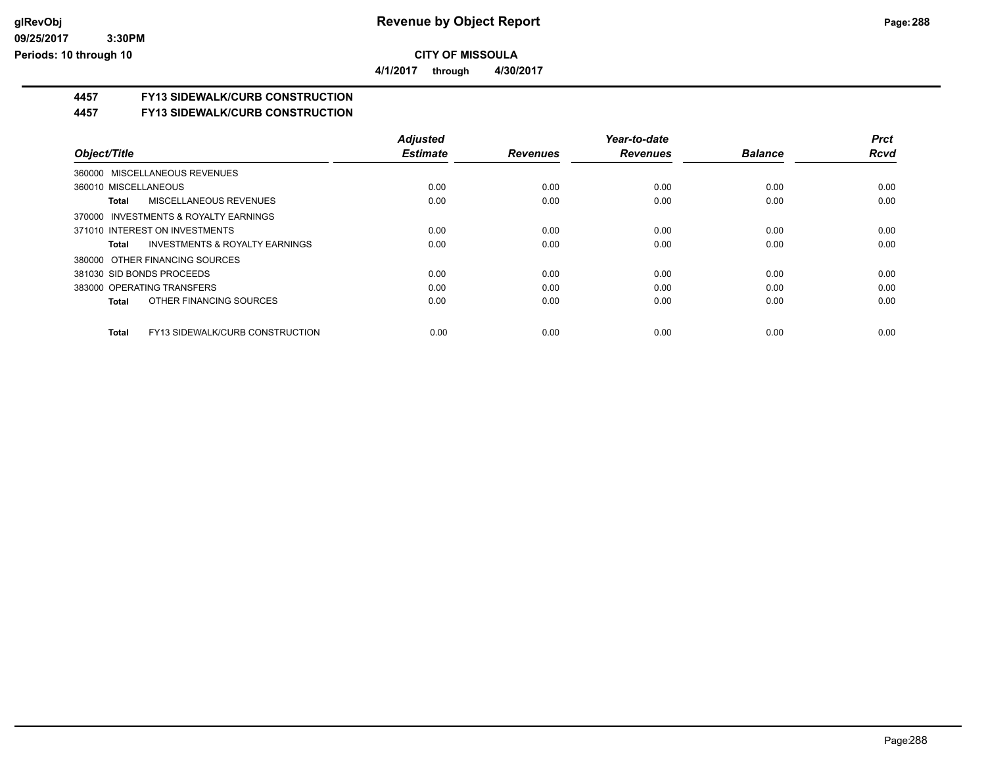**Periods: 10 through 10**

 **3:30PM**

**CITY OF MISSOULA**

**4/1/2017 through 4/30/2017**

# **4457 FY13 SIDEWALK/CURB CONSTRUCTION**

# **4457 FY13 SIDEWALK/CURB CONSTRUCTION**

|                                                    | <b>Adjusted</b> |                 | Year-to-date    |                | <b>Prct</b> |
|----------------------------------------------------|-----------------|-----------------|-----------------|----------------|-------------|
| Object/Title                                       | <b>Estimate</b> | <b>Revenues</b> | <b>Revenues</b> | <b>Balance</b> | <b>Rcvd</b> |
| 360000 MISCELLANEOUS REVENUES                      |                 |                 |                 |                |             |
| 360010 MISCELLANEOUS                               | 0.00            | 0.00            | 0.00            | 0.00           | 0.00        |
| MISCELLANEOUS REVENUES<br>Total                    | 0.00            | 0.00            | 0.00            | 0.00           | 0.00        |
| 370000 INVESTMENTS & ROYALTY EARNINGS              |                 |                 |                 |                |             |
| 371010 INTEREST ON INVESTMENTS                     | 0.00            | 0.00            | 0.00            | 0.00           | 0.00        |
| <b>INVESTMENTS &amp; ROYALTY EARNINGS</b><br>Total | 0.00            | 0.00            | 0.00            | 0.00           | 0.00        |
| 380000 OTHER FINANCING SOURCES                     |                 |                 |                 |                |             |
| 381030 SID BONDS PROCEEDS                          | 0.00            | 0.00            | 0.00            | 0.00           | 0.00        |
| 383000 OPERATING TRANSFERS                         | 0.00            | 0.00            | 0.00            | 0.00           | 0.00        |
| OTHER FINANCING SOURCES<br>Total                   | 0.00            | 0.00            | 0.00            | 0.00           | 0.00        |
| FY13 SIDEWALK/CURB CONSTRUCTION<br><b>Total</b>    | 0.00            | 0.00            | 0.00            | 0.00           | 0.00        |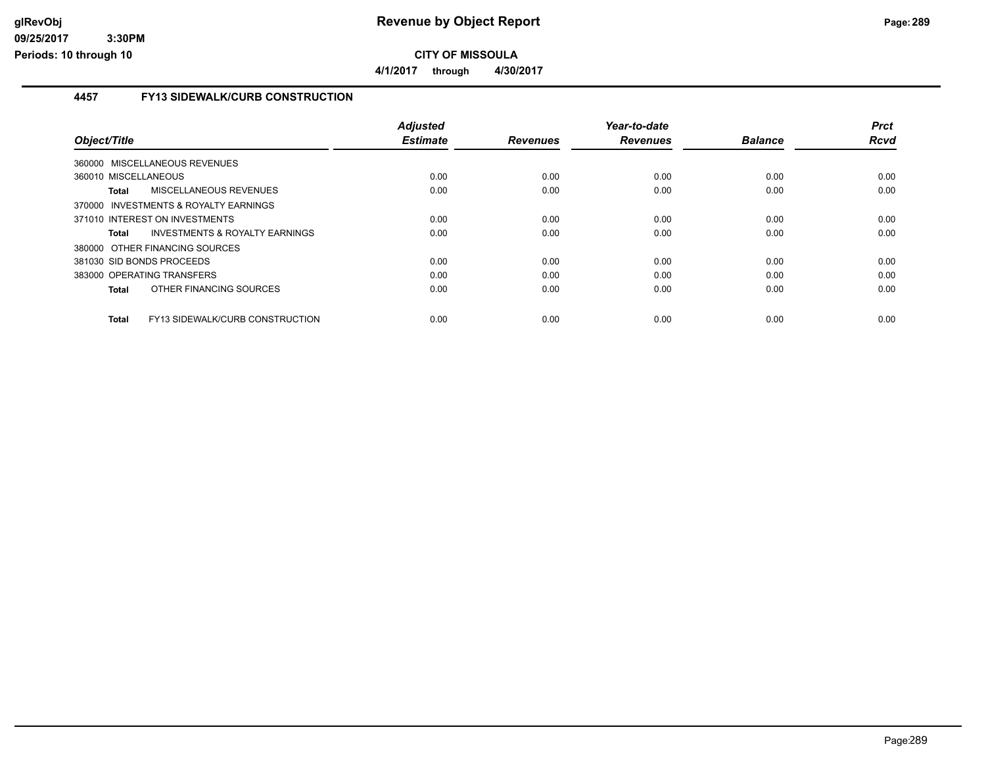**4/1/2017 through 4/30/2017**

# **4457 FY13 SIDEWALK/CURB CONSTRUCTION**

| Object/Title                                    | <b>Adjusted</b><br><b>Estimate</b> | <b>Revenues</b> | Year-to-date<br><b>Revenues</b> | <b>Balance</b> | <b>Prct</b><br><b>Rcvd</b> |
|-------------------------------------------------|------------------------------------|-----------------|---------------------------------|----------------|----------------------------|
|                                                 |                                    |                 |                                 |                |                            |
| MISCELLANEOUS REVENUES<br>360000                |                                    |                 |                                 |                |                            |
| 360010 MISCELLANEOUS                            | 0.00                               | 0.00            | 0.00                            | 0.00           | 0.00                       |
| MISCELLANEOUS REVENUES<br>Total                 | 0.00                               | 0.00            | 0.00                            | 0.00           | 0.00                       |
| 370000 INVESTMENTS & ROYALTY EARNINGS           |                                    |                 |                                 |                |                            |
| 371010 INTEREST ON INVESTMENTS                  | 0.00                               | 0.00            | 0.00                            | 0.00           | 0.00                       |
| INVESTMENTS & ROYALTY EARNINGS<br>Total         | 0.00                               | 0.00            | 0.00                            | 0.00           | 0.00                       |
| 380000 OTHER FINANCING SOURCES                  |                                    |                 |                                 |                |                            |
| 381030 SID BONDS PROCEEDS                       | 0.00                               | 0.00            | 0.00                            | 0.00           | 0.00                       |
| 383000 OPERATING TRANSFERS                      | 0.00                               | 0.00            | 0.00                            | 0.00           | 0.00                       |
| OTHER FINANCING SOURCES<br>Total                | 0.00                               | 0.00            | 0.00                            | 0.00           | 0.00                       |
|                                                 |                                    |                 |                                 |                |                            |
| FY13 SIDEWALK/CURB CONSTRUCTION<br><b>Total</b> | 0.00                               | 0.00            | 0.00                            | 0.00           | 0.00                       |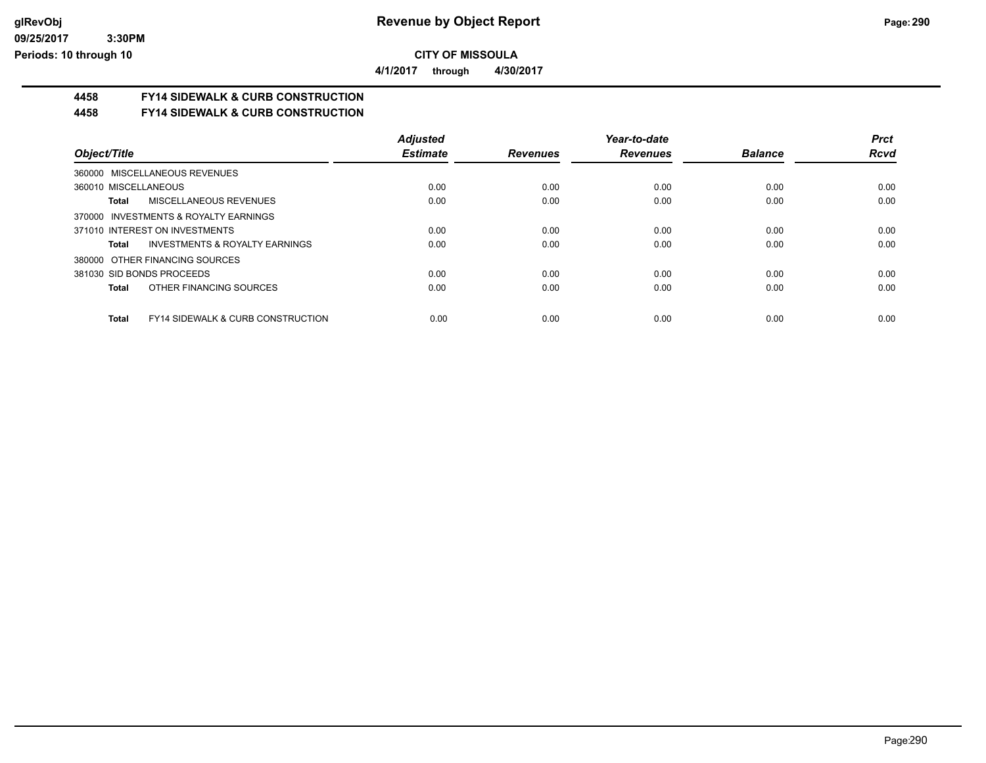**Periods: 10 through 10**

 **3:30PM**

**CITY OF MISSOULA**

**4/1/2017 through 4/30/2017**

# **4458 FY14 SIDEWALK & CURB CONSTRUCTION**

# **4458 FY14 SIDEWALK & CURB CONSTRUCTION**

|                                                       | <b>Adjusted</b> |                 | Year-to-date    |                | <b>Prct</b> |
|-------------------------------------------------------|-----------------|-----------------|-----------------|----------------|-------------|
| Object/Title                                          | <b>Estimate</b> | <b>Revenues</b> | <b>Revenues</b> | <b>Balance</b> | <b>Rcvd</b> |
| 360000 MISCELLANEOUS REVENUES                         |                 |                 |                 |                |             |
| 360010 MISCELLANEOUS                                  | 0.00            | 0.00            | 0.00            | 0.00           | 0.00        |
| <b>MISCELLANEOUS REVENUES</b><br>Total                | 0.00            | 0.00            | 0.00            | 0.00           | 0.00        |
| 370000 INVESTMENTS & ROYALTY EARNINGS                 |                 |                 |                 |                |             |
| 371010 INTEREST ON INVESTMENTS                        | 0.00            | 0.00            | 0.00            | 0.00           | 0.00        |
| <b>INVESTMENTS &amp; ROYALTY EARNINGS</b><br>Total    | 0.00            | 0.00            | 0.00            | 0.00           | 0.00        |
| 380000 OTHER FINANCING SOURCES                        |                 |                 |                 |                |             |
| 381030 SID BONDS PROCEEDS                             | 0.00            | 0.00            | 0.00            | 0.00           | 0.00        |
| OTHER FINANCING SOURCES<br>Total                      | 0.00            | 0.00            | 0.00            | 0.00           | 0.00        |
|                                                       |                 |                 |                 |                |             |
| <b>FY14 SIDEWALK &amp; CURB CONSTRUCTION</b><br>Total | 0.00            | 0.00            | 0.00            | 0.00           | 0.00        |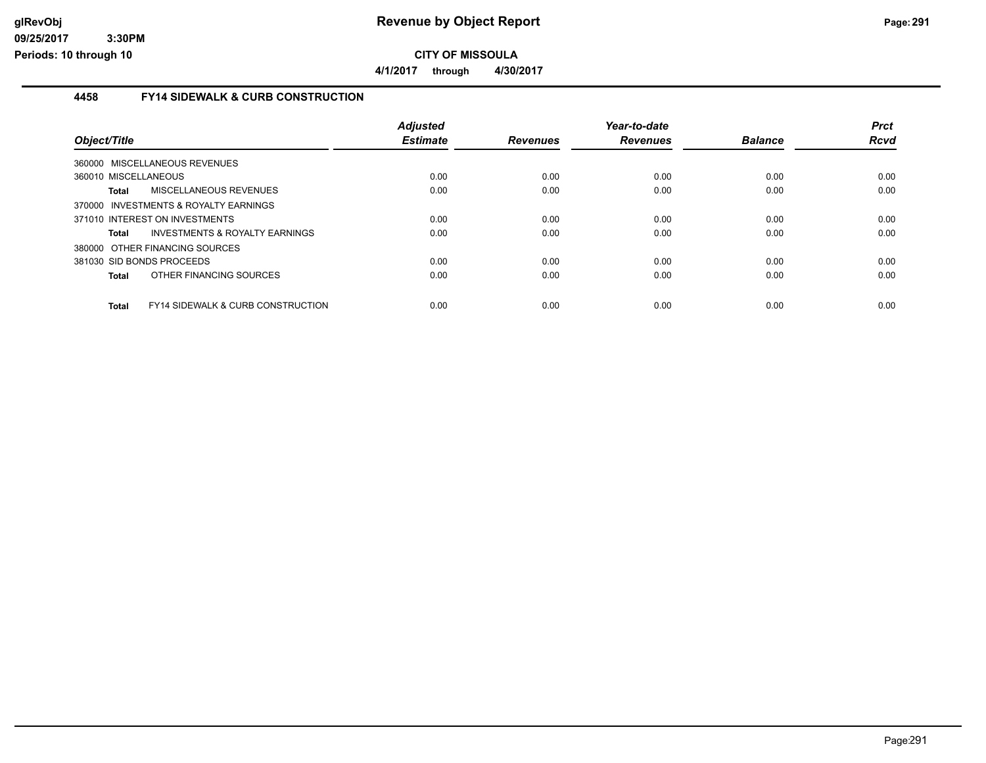**4/1/2017 through 4/30/2017**

# **4458 FY14 SIDEWALK & CURB CONSTRUCTION**

| Object/Title                          |                                              | <b>Adjusted</b><br><b>Estimate</b> | <b>Revenues</b> | Year-to-date<br><b>Revenues</b> | <b>Balance</b> | <b>Prct</b><br>Rcvd |
|---------------------------------------|----------------------------------------------|------------------------------------|-----------------|---------------------------------|----------------|---------------------|
| 360000 MISCELLANEOUS REVENUES         |                                              |                                    |                 |                                 |                |                     |
| 360010 MISCELLANEOUS                  |                                              | 0.00                               | 0.00            | 0.00                            | 0.00           | 0.00                |
| <b>Total</b>                          | <b>MISCELLANEOUS REVENUES</b>                | 0.00                               | 0.00            | 0.00                            | 0.00           | 0.00                |
| 370000 INVESTMENTS & ROYALTY EARNINGS |                                              |                                    |                 |                                 |                |                     |
| 371010 INTEREST ON INVESTMENTS        |                                              | 0.00                               | 0.00            | 0.00                            | 0.00           | 0.00                |
| <b>Total</b>                          | <b>INVESTMENTS &amp; ROYALTY EARNINGS</b>    | 0.00                               | 0.00            | 0.00                            | 0.00           | 0.00                |
| 380000 OTHER FINANCING SOURCES        |                                              |                                    |                 |                                 |                |                     |
| 381030 SID BONDS PROCEEDS             |                                              | 0.00                               | 0.00            | 0.00                            | 0.00           | 0.00                |
| <b>Total</b>                          | OTHER FINANCING SOURCES                      | 0.00                               | 0.00            | 0.00                            | 0.00           | 0.00                |
| <b>Total</b>                          | <b>FY14 SIDEWALK &amp; CURB CONSTRUCTION</b> | 0.00                               | 0.00            | 0.00                            | 0.00           | 0.00                |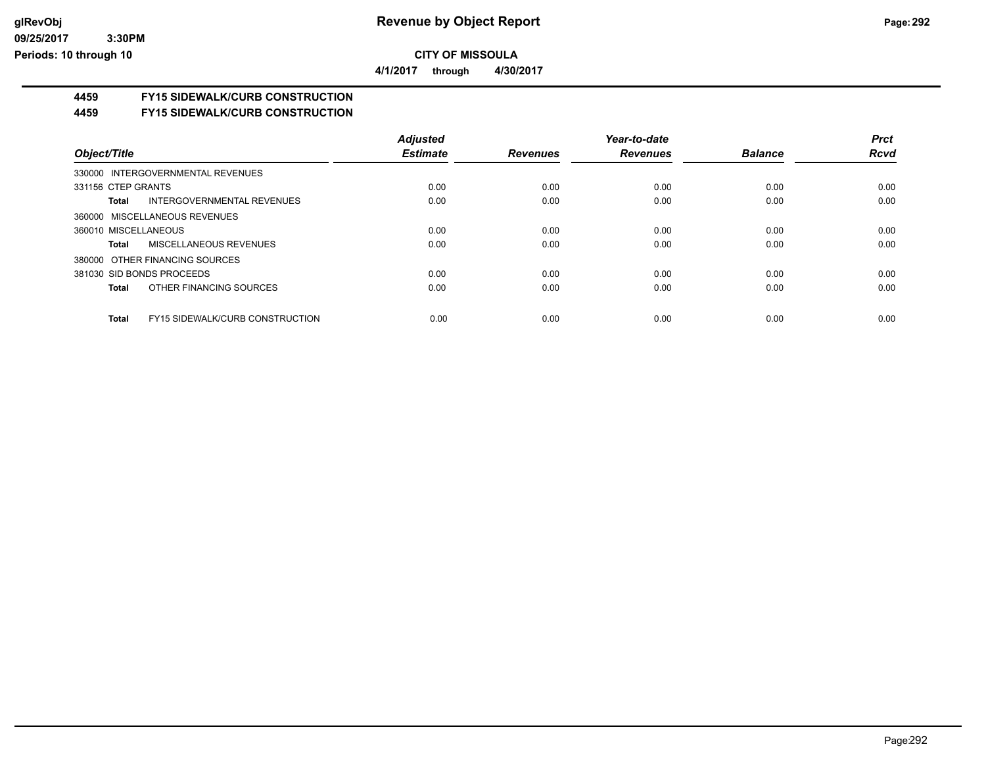**Periods: 10 through 10**

 **3:30PM**

**glRevObj Revenue by Object Report Page:292** 

**CITY OF MISSOULA**

**4/1/2017 through 4/30/2017**

# **4459 FY15 SIDEWALK/CURB CONSTRUCTION**

**4459 FY15 SIDEWALK/CURB CONSTRUCTION**

|                                                 | <b>Adjusted</b> |                 | Year-to-date    |                | <b>Prct</b> |
|-------------------------------------------------|-----------------|-----------------|-----------------|----------------|-------------|
| Object/Title                                    | <b>Estimate</b> | <b>Revenues</b> | <b>Revenues</b> | <b>Balance</b> | <b>Rcvd</b> |
| 330000 INTERGOVERNMENTAL REVENUES               |                 |                 |                 |                |             |
| 331156 CTEP GRANTS                              | 0.00            | 0.00            | 0.00            | 0.00           | 0.00        |
| INTERGOVERNMENTAL REVENUES<br>Total             | 0.00            | 0.00            | 0.00            | 0.00           | 0.00        |
| 360000 MISCELLANEOUS REVENUES                   |                 |                 |                 |                |             |
| 360010 MISCELLANEOUS                            | 0.00            | 0.00            | 0.00            | 0.00           | 0.00        |
| MISCELLANEOUS REVENUES<br>Total                 | 0.00            | 0.00            | 0.00            | 0.00           | 0.00        |
| 380000 OTHER FINANCING SOURCES                  |                 |                 |                 |                |             |
| 381030 SID BONDS PROCEEDS                       | 0.00            | 0.00            | 0.00            | 0.00           | 0.00        |
| OTHER FINANCING SOURCES<br>Total                | 0.00            | 0.00            | 0.00            | 0.00           | 0.00        |
| <b>FY15 SIDEWALK/CURB CONSTRUCTION</b><br>Total | 0.00            | 0.00            | 0.00            | 0.00           | 0.00        |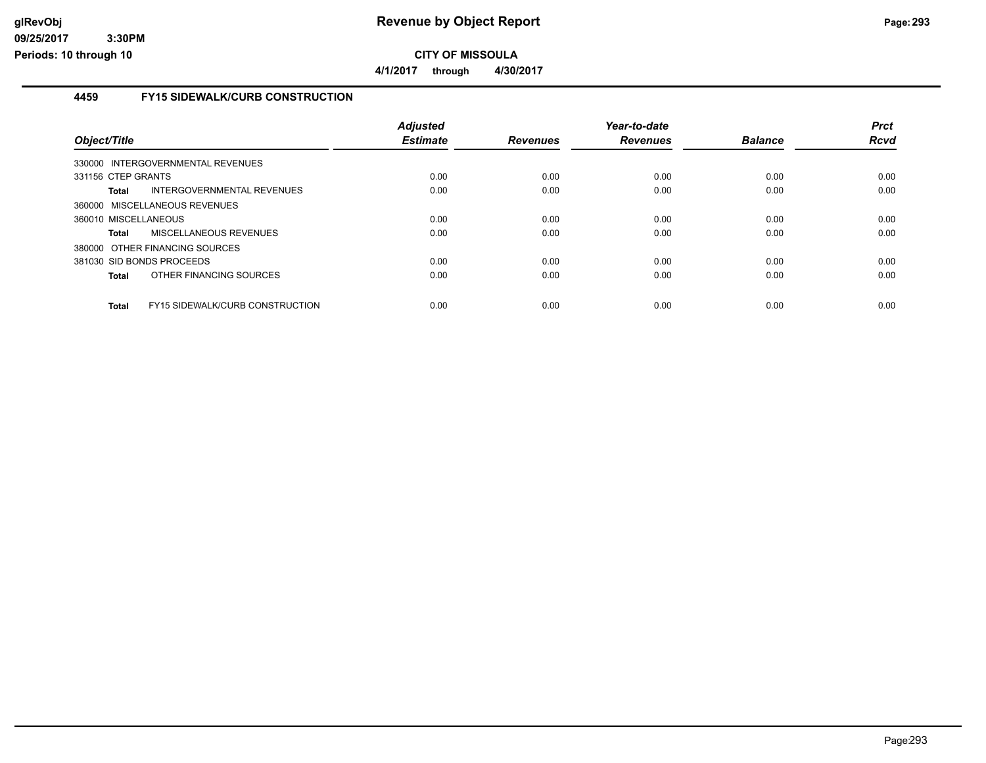**4/1/2017 through 4/30/2017**

# **4459 FY15 SIDEWALK/CURB CONSTRUCTION**

| Object/Title                                           | <b>Adjusted</b><br><b>Estimate</b> | <b>Revenues</b> | Year-to-date<br><b>Revenues</b> | <b>Balance</b> | <b>Prct</b><br><b>Rcvd</b> |
|--------------------------------------------------------|------------------------------------|-----------------|---------------------------------|----------------|----------------------------|
| 330000 INTERGOVERNMENTAL REVENUES                      |                                    |                 |                                 |                |                            |
| 331156 CTEP GRANTS                                     | 0.00                               | 0.00            | 0.00                            | 0.00           | 0.00                       |
| INTERGOVERNMENTAL REVENUES<br>Total                    | 0.00                               | 0.00            | 0.00                            | 0.00           | 0.00                       |
| 360000 MISCELLANEOUS REVENUES                          |                                    |                 |                                 |                |                            |
| 360010 MISCELLANEOUS                                   | 0.00                               | 0.00            | 0.00                            | 0.00           | 0.00                       |
| MISCELLANEOUS REVENUES<br>Total                        | 0.00                               | 0.00            | 0.00                            | 0.00           | 0.00                       |
| 380000 OTHER FINANCING SOURCES                         |                                    |                 |                                 |                |                            |
| 381030 SID BONDS PROCEEDS                              | 0.00                               | 0.00            | 0.00                            | 0.00           | 0.00                       |
| OTHER FINANCING SOURCES<br><b>Total</b>                | 0.00                               | 0.00            | 0.00                            | 0.00           | 0.00                       |
| <b>FY15 SIDEWALK/CURB CONSTRUCTION</b><br><b>Total</b> | 0.00                               | 0.00            | 0.00                            | 0.00           | 0.00                       |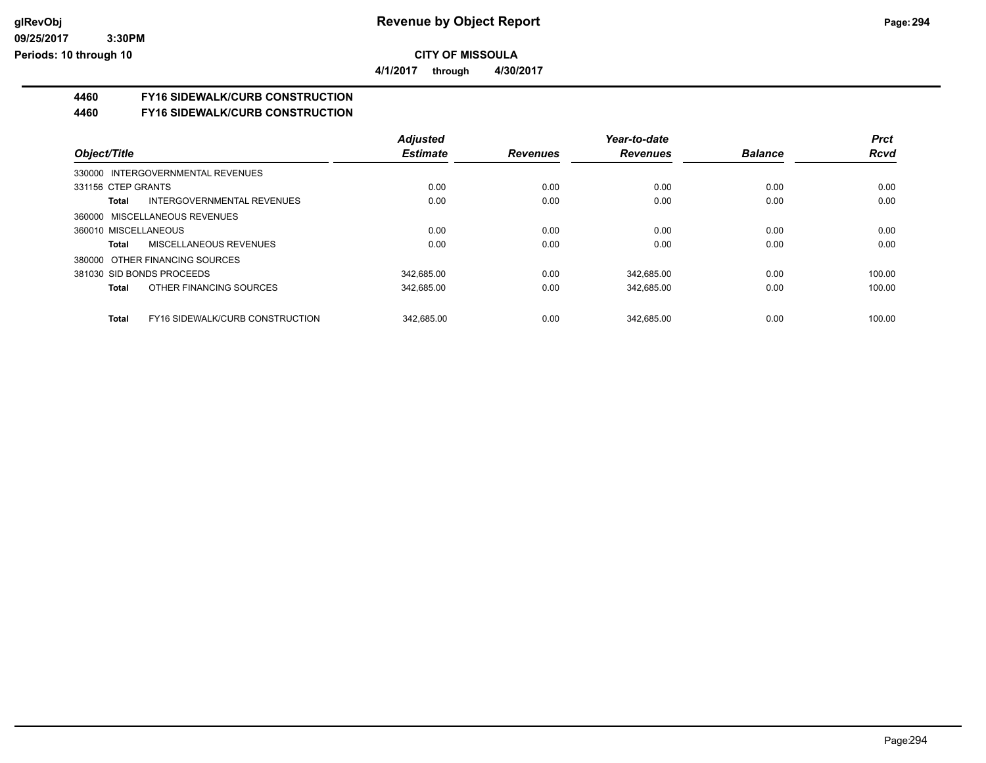**4/1/2017 through 4/30/2017**

# **4460 FY16 SIDEWALK/CURB CONSTRUCTION**

**4460 FY16 SIDEWALK/CURB CONSTRUCTION**

|                                                 | <b>Adjusted</b> |                 | Year-to-date    |                | <b>Prct</b> |
|-------------------------------------------------|-----------------|-----------------|-----------------|----------------|-------------|
| Object/Title                                    | <b>Estimate</b> | <b>Revenues</b> | <b>Revenues</b> | <b>Balance</b> | <b>Rcvd</b> |
| 330000 INTERGOVERNMENTAL REVENUES               |                 |                 |                 |                |             |
| 331156 CTEP GRANTS                              | 0.00            | 0.00            | 0.00            | 0.00           | 0.00        |
| INTERGOVERNMENTAL REVENUES<br>Total             | 0.00            | 0.00            | 0.00            | 0.00           | 0.00        |
| 360000 MISCELLANEOUS REVENUES                   |                 |                 |                 |                |             |
| 360010 MISCELLANEOUS                            | 0.00            | 0.00            | 0.00            | 0.00           | 0.00        |
| MISCELLANEOUS REVENUES<br>Total                 | 0.00            | 0.00            | 0.00            | 0.00           | 0.00        |
| 380000 OTHER FINANCING SOURCES                  |                 |                 |                 |                |             |
| 381030 SID BONDS PROCEEDS                       | 342.685.00      | 0.00            | 342.685.00      | 0.00           | 100.00      |
| OTHER FINANCING SOURCES<br>Total                | 342.685.00      | 0.00            | 342.685.00      | 0.00           | 100.00      |
| <b>FY16 SIDEWALK/CURB CONSTRUCTION</b><br>Total | 342.685.00      | 0.00            | 342.685.00      | 0.00           | 100.00      |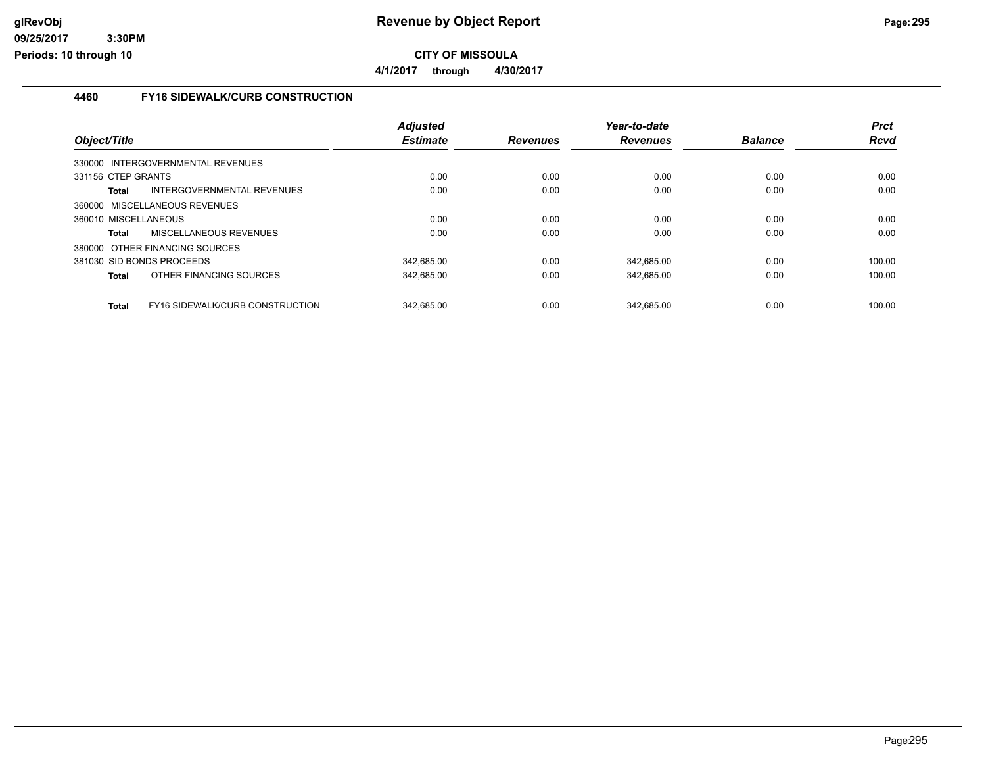**4/1/2017 through 4/30/2017**

# **4460 FY16 SIDEWALK/CURB CONSTRUCTION**

| Object/Title                                    | <b>Adjusted</b><br><b>Estimate</b> | <b>Revenues</b> | Year-to-date<br><b>Revenues</b> | <b>Balance</b> | <b>Prct</b><br><b>Rcvd</b> |
|-------------------------------------------------|------------------------------------|-----------------|---------------------------------|----------------|----------------------------|
| 330000 INTERGOVERNMENTAL REVENUES               |                                    |                 |                                 |                |                            |
| 331156 CTEP GRANTS                              | 0.00                               | 0.00            | 0.00                            | 0.00           | 0.00                       |
| INTERGOVERNMENTAL REVENUES<br>Total             | 0.00                               | 0.00            | 0.00                            | 0.00           | 0.00                       |
| 360000 MISCELLANEOUS REVENUES                   |                                    |                 |                                 |                |                            |
| 360010 MISCELLANEOUS                            | 0.00                               | 0.00            | 0.00                            | 0.00           | 0.00                       |
| MISCELLANEOUS REVENUES<br>Total                 | 0.00                               | 0.00            | 0.00                            | 0.00           | 0.00                       |
| 380000 OTHER FINANCING SOURCES                  |                                    |                 |                                 |                |                            |
| 381030 SID BONDS PROCEEDS                       | 342.685.00                         | 0.00            | 342.685.00                      | 0.00           | 100.00                     |
| OTHER FINANCING SOURCES<br>Total                | 342,685.00                         | 0.00            | 342,685.00                      | 0.00           | 100.00                     |
| FY16 SIDEWALK/CURB CONSTRUCTION<br><b>Total</b> | 342.685.00                         | 0.00            | 342.685.00                      | 0.00           | 100.00                     |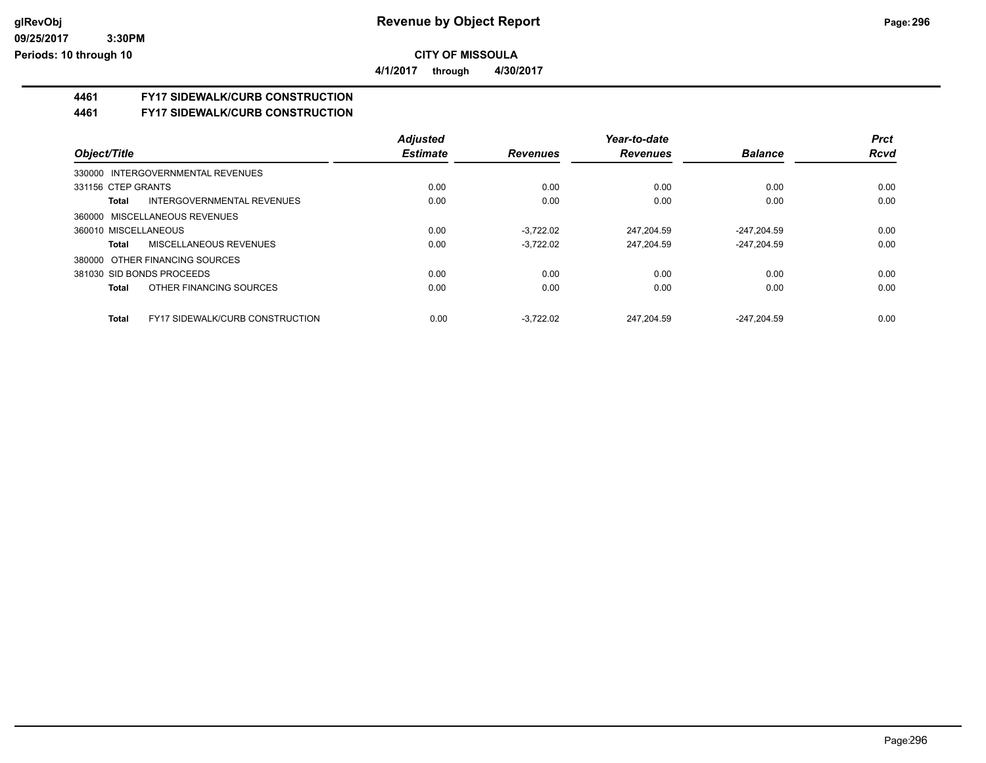**Periods: 10 through 10**

 **3:30PM**

**CITY OF MISSOULA**

**4/1/2017 through 4/30/2017**

# **4461 FY17 SIDEWALK/CURB CONSTRUCTION**

**4461 FY17 SIDEWALK/CURB CONSTRUCTION**

|                                                 | <b>Adjusted</b> |                 | Year-to-date    |                | <b>Prct</b> |
|-------------------------------------------------|-----------------|-----------------|-----------------|----------------|-------------|
| Object/Title                                    | <b>Estimate</b> | <b>Revenues</b> | <b>Revenues</b> | <b>Balance</b> | Rcvd        |
| 330000 INTERGOVERNMENTAL REVENUES               |                 |                 |                 |                |             |
| 331156 CTEP GRANTS                              | 0.00            | 0.00            | 0.00            | 0.00           | 0.00        |
| INTERGOVERNMENTAL REVENUES<br>Total             | 0.00            | 0.00            | 0.00            | 0.00           | 0.00        |
| 360000 MISCELLANEOUS REVENUES                   |                 |                 |                 |                |             |
| 360010 MISCELLANEOUS                            | 0.00            | $-3.722.02$     | 247.204.59      | $-247.204.59$  | 0.00        |
| MISCELLANEOUS REVENUES<br>Total                 | 0.00            | $-3,722.02$     | 247,204.59      | $-247,204.59$  | 0.00        |
| 380000 OTHER FINANCING SOURCES                  |                 |                 |                 |                |             |
| 381030 SID BONDS PROCEEDS                       | 0.00            | 0.00            | 0.00            | 0.00           | 0.00        |
| OTHER FINANCING SOURCES<br>Total                | 0.00            | 0.00            | 0.00            | 0.00           | 0.00        |
|                                                 |                 |                 |                 |                |             |
| <b>FY17 SIDEWALK/CURB CONSTRUCTION</b><br>Total | 0.00            | $-3.722.02$     | 247.204.59      | $-247.204.59$  | 0.00        |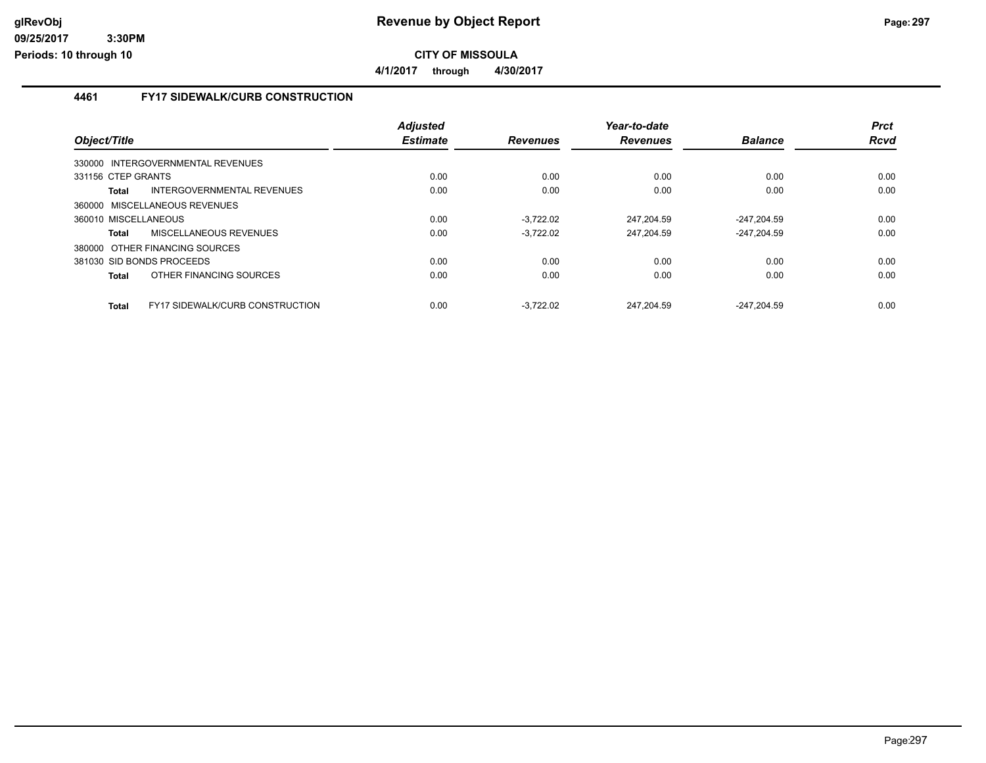**4/1/2017 through 4/30/2017**

# **4461 FY17 SIDEWALK/CURB CONSTRUCTION**

| Object/Title                      |                                        | <b>Adjusted</b><br><b>Estimate</b> | <b>Revenues</b> | Year-to-date<br><b>Revenues</b> | <b>Balance</b> | <b>Prct</b><br><b>Rcvd</b> |
|-----------------------------------|----------------------------------------|------------------------------------|-----------------|---------------------------------|----------------|----------------------------|
| 330000 INTERGOVERNMENTAL REVENUES |                                        |                                    |                 |                                 |                |                            |
| 331156 CTEP GRANTS                |                                        | 0.00                               | 0.00            | 0.00                            | 0.00           | 0.00                       |
| Total                             | INTERGOVERNMENTAL REVENUES             | 0.00                               | 0.00            | 0.00                            | 0.00           | 0.00                       |
| 360000 MISCELLANEOUS REVENUES     |                                        |                                    |                 |                                 |                |                            |
| 360010 MISCELLANEOUS              |                                        | 0.00                               | $-3.722.02$     | 247.204.59                      | $-247.204.59$  | 0.00                       |
| Total                             | MISCELLANEOUS REVENUES                 | 0.00                               | $-3.722.02$     | 247.204.59                      | $-247.204.59$  | 0.00                       |
| 380000 OTHER FINANCING SOURCES    |                                        |                                    |                 |                                 |                |                            |
| 381030 SID BONDS PROCEEDS         |                                        | 0.00                               | 0.00            | 0.00                            | 0.00           | 0.00                       |
| Total                             | OTHER FINANCING SOURCES                | 0.00                               | 0.00            | 0.00                            | 0.00           | 0.00                       |
| <b>Total</b>                      | <b>FY17 SIDEWALK/CURB CONSTRUCTION</b> | 0.00                               | $-3.722.02$     | 247.204.59                      | $-247.204.59$  | 0.00                       |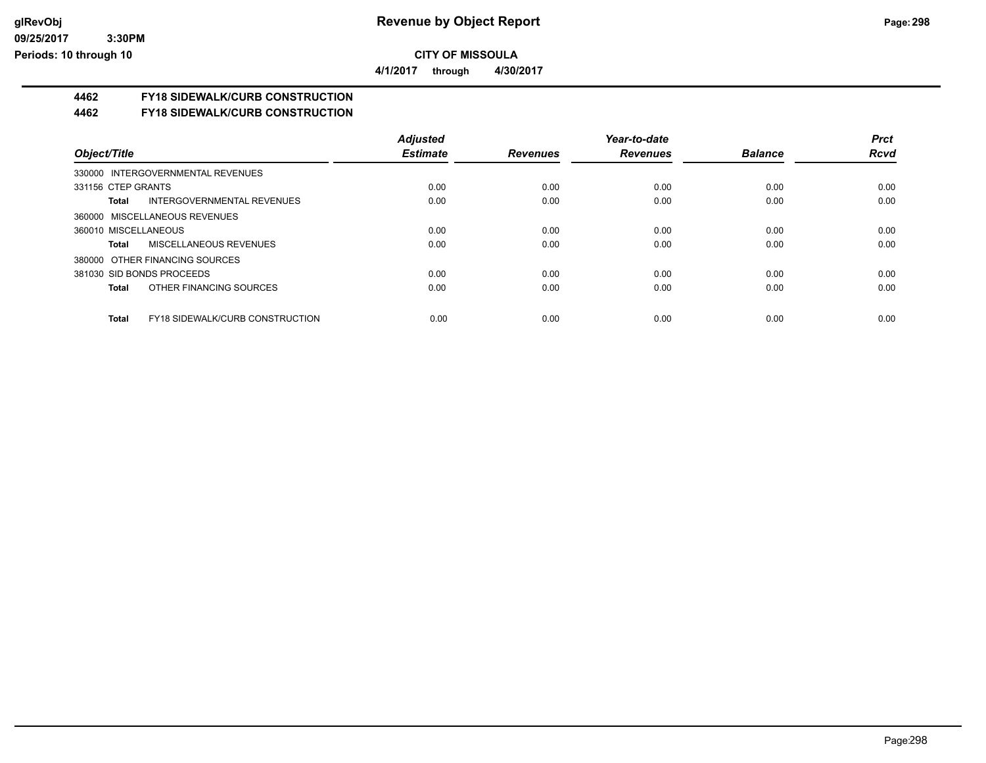**Periods: 10 through 10**

 **3:30PM**

**CITY OF MISSOULA**

**4/1/2017 through 4/30/2017**

# **4462 FY18 SIDEWALK/CURB CONSTRUCTION**

**4462 FY18 SIDEWALK/CURB CONSTRUCTION**

|                                                        | <b>Adjusted</b> |                 | Year-to-date    |                | <b>Prct</b> |
|--------------------------------------------------------|-----------------|-----------------|-----------------|----------------|-------------|
| Object/Title                                           | <b>Estimate</b> | <b>Revenues</b> | <b>Revenues</b> | <b>Balance</b> | <b>Rcvd</b> |
| 330000 INTERGOVERNMENTAL REVENUES                      |                 |                 |                 |                |             |
| 331156 CTEP GRANTS                                     | 0.00            | 0.00            | 0.00            | 0.00           | 0.00        |
| INTERGOVERNMENTAL REVENUES<br>Total                    | 0.00            | 0.00            | 0.00            | 0.00           | 0.00        |
| 360000 MISCELLANEOUS REVENUES                          |                 |                 |                 |                |             |
| 360010 MISCELLANEOUS                                   | 0.00            | 0.00            | 0.00            | 0.00           | 0.00        |
| MISCELLANEOUS REVENUES<br>Total                        | 0.00            | 0.00            | 0.00            | 0.00           | 0.00        |
| 380000 OTHER FINANCING SOURCES                         |                 |                 |                 |                |             |
| 381030 SID BONDS PROCEEDS                              | 0.00            | 0.00            | 0.00            | 0.00           | 0.00        |
| OTHER FINANCING SOURCES<br><b>Total</b>                | 0.00            | 0.00            | 0.00            | 0.00           | 0.00        |
| <b>FY18 SIDEWALK/CURB CONSTRUCTION</b><br><b>Total</b> | 0.00            | 0.00            | 0.00            | 0.00           | 0.00        |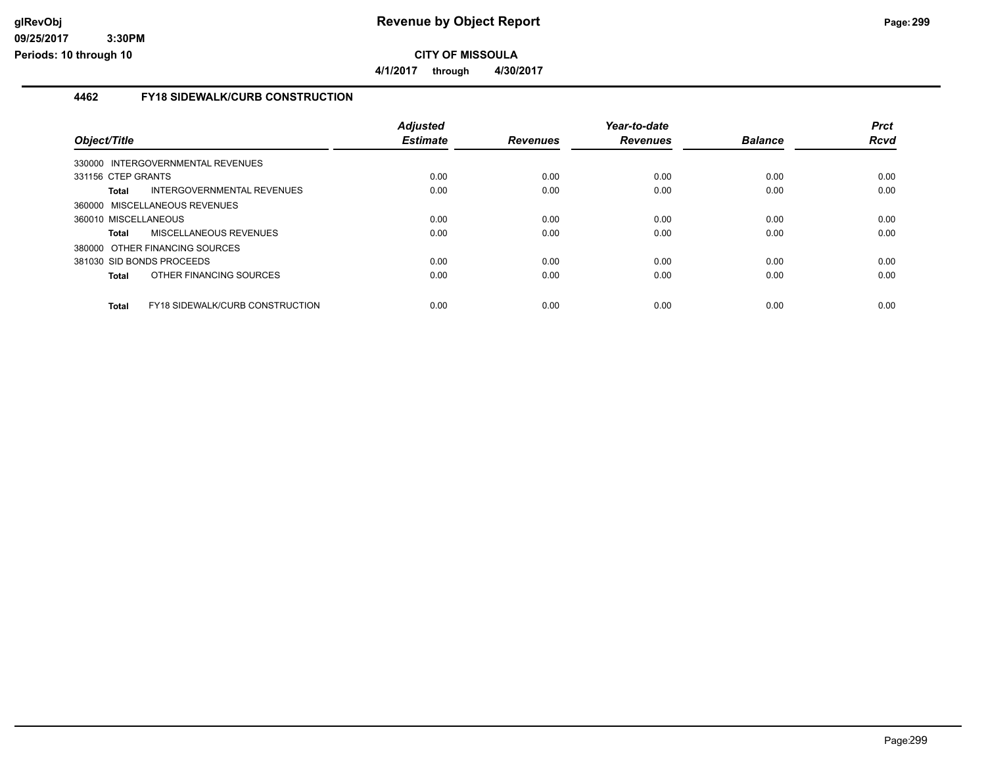**4/1/2017 through 4/30/2017**

# **4462 FY18 SIDEWALK/CURB CONSTRUCTION**

| Object/Title                                    | <b>Adjusted</b><br><b>Estimate</b> | <b>Revenues</b> | Year-to-date<br><b>Revenues</b> | <b>Balance</b> | <b>Prct</b><br><b>Rcvd</b> |
|-------------------------------------------------|------------------------------------|-----------------|---------------------------------|----------------|----------------------------|
| 330000 INTERGOVERNMENTAL REVENUES               |                                    |                 |                                 |                |                            |
| 331156 CTEP GRANTS                              | 0.00                               | 0.00            | 0.00                            | 0.00           | 0.00                       |
| INTERGOVERNMENTAL REVENUES<br>Total             | 0.00                               | 0.00            | 0.00                            | 0.00           | 0.00                       |
| 360000 MISCELLANEOUS REVENUES                   |                                    |                 |                                 |                |                            |
| 360010 MISCELLANEOUS                            | 0.00                               | 0.00            | 0.00                            | 0.00           | 0.00                       |
| MISCELLANEOUS REVENUES<br>Total                 | 0.00                               | 0.00            | 0.00                            | 0.00           | 0.00                       |
| 380000 OTHER FINANCING SOURCES                  |                                    |                 |                                 |                |                            |
| 381030 SID BONDS PROCEEDS                       | 0.00                               | 0.00            | 0.00                            | 0.00           | 0.00                       |
| OTHER FINANCING SOURCES<br><b>Total</b>         | 0.00                               | 0.00            | 0.00                            | 0.00           | 0.00                       |
| FY18 SIDEWALK/CURB CONSTRUCTION<br><b>Total</b> | 0.00                               | 0.00            | 0.00                            | 0.00           | 0.00                       |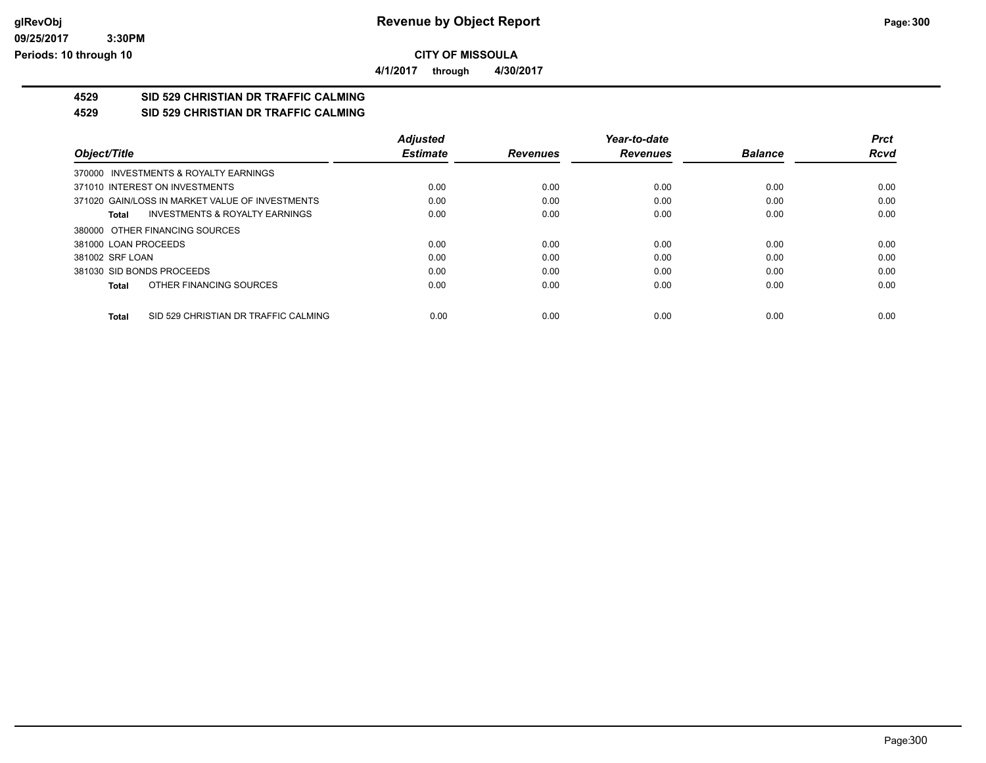**4/1/2017 through 4/30/2017**

# **4529 SID 529 CHRISTIAN DR TRAFFIC CALMING 4529 SID 529 CHRISTIAN DR TRAFFIC CALMING**

|                                |                                                 | <b>Adjusted</b> |                 | Year-to-date    |                | <b>Prct</b> |
|--------------------------------|-------------------------------------------------|-----------------|-----------------|-----------------|----------------|-------------|
| Obiect/Title                   |                                                 | <b>Estimate</b> | <b>Revenues</b> | <b>Revenues</b> | <b>Balance</b> | <b>Rcvd</b> |
|                                | 370000 INVESTMENTS & ROYALTY EARNINGS           |                 |                 |                 |                |             |
| 371010 INTEREST ON INVESTMENTS |                                                 | 0.00            | 0.00            | 0.00            | 0.00           | 0.00        |
|                                | 371020 GAIN/LOSS IN MARKET VALUE OF INVESTMENTS | 0.00            | 0.00            | 0.00            | 0.00           | 0.00        |
| Total                          | <b>INVESTMENTS &amp; ROYALTY EARNINGS</b>       | 0.00            | 0.00            | 0.00            | 0.00           | 0.00        |
| 380000 OTHER FINANCING SOURCES |                                                 |                 |                 |                 |                |             |
| 381000 LOAN PROCEEDS           |                                                 | 0.00            | 0.00            | 0.00            | 0.00           | 0.00        |
| 381002 SRF LOAN                |                                                 | 0.00            | 0.00            | 0.00            | 0.00           | 0.00        |
| 381030 SID BONDS PROCEEDS      |                                                 | 0.00            | 0.00            | 0.00            | 0.00           | 0.00        |
| <b>Total</b>                   | OTHER FINANCING SOURCES                         | 0.00            | 0.00            | 0.00            | 0.00           | 0.00        |
| <b>Total</b>                   | SID 529 CHRISTIAN DR TRAFFIC CALMING            | 0.00            | 0.00            | 0.00            | 0.00           | 0.00        |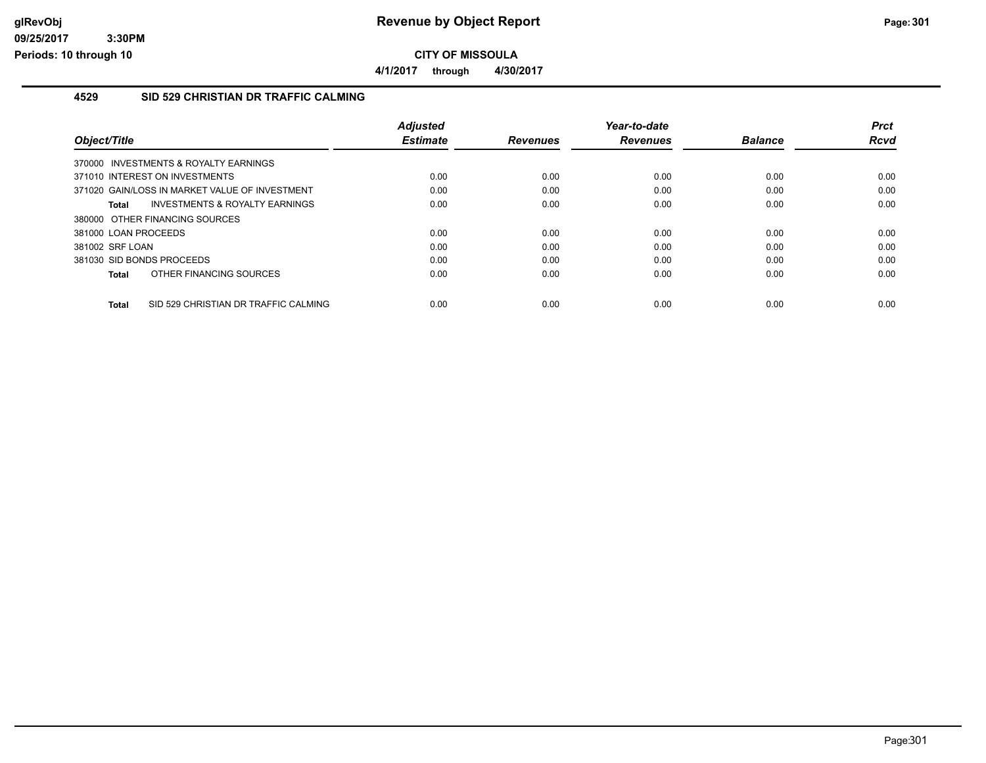**4/1/2017 through 4/30/2017**

# **4529 SID 529 CHRISTIAN DR TRAFFIC CALMING**

| Object/Title                                   | <b>Adjusted</b><br><b>Estimate</b> | <b>Revenues</b> | Year-to-date<br><b>Revenues</b> | <b>Balance</b> | <b>Prct</b><br>Rcvd |
|------------------------------------------------|------------------------------------|-----------------|---------------------------------|----------------|---------------------|
| 370000 INVESTMENTS & ROYALTY EARNINGS          |                                    |                 |                                 |                |                     |
| 371010 INTEREST ON INVESTMENTS                 | 0.00                               | 0.00            | 0.00                            | 0.00           | 0.00                |
| 371020 GAIN/LOSS IN MARKET VALUE OF INVESTMENT | 0.00                               | 0.00            | 0.00                            | 0.00           | 0.00                |
| INVESTMENTS & ROYALTY EARNINGS<br>Total        | 0.00                               | 0.00            | 0.00                            | 0.00           | 0.00                |
| 380000 OTHER FINANCING SOURCES                 |                                    |                 |                                 |                |                     |
| 381000 LOAN PROCEEDS                           | 0.00                               | 0.00            | 0.00                            | 0.00           | 0.00                |
| 381002 SRF LOAN                                | 0.00                               | 0.00            | 0.00                            | 0.00           | 0.00                |
| 381030 SID BONDS PROCEEDS                      | 0.00                               | 0.00            | 0.00                            | 0.00           | 0.00                |
| OTHER FINANCING SOURCES<br>Total               | 0.00                               | 0.00            | 0.00                            | 0.00           | 0.00                |
| SID 529 CHRISTIAN DR TRAFFIC CALMING<br>Total  | 0.00                               | 0.00            | 0.00                            | 0.00           | 0.00                |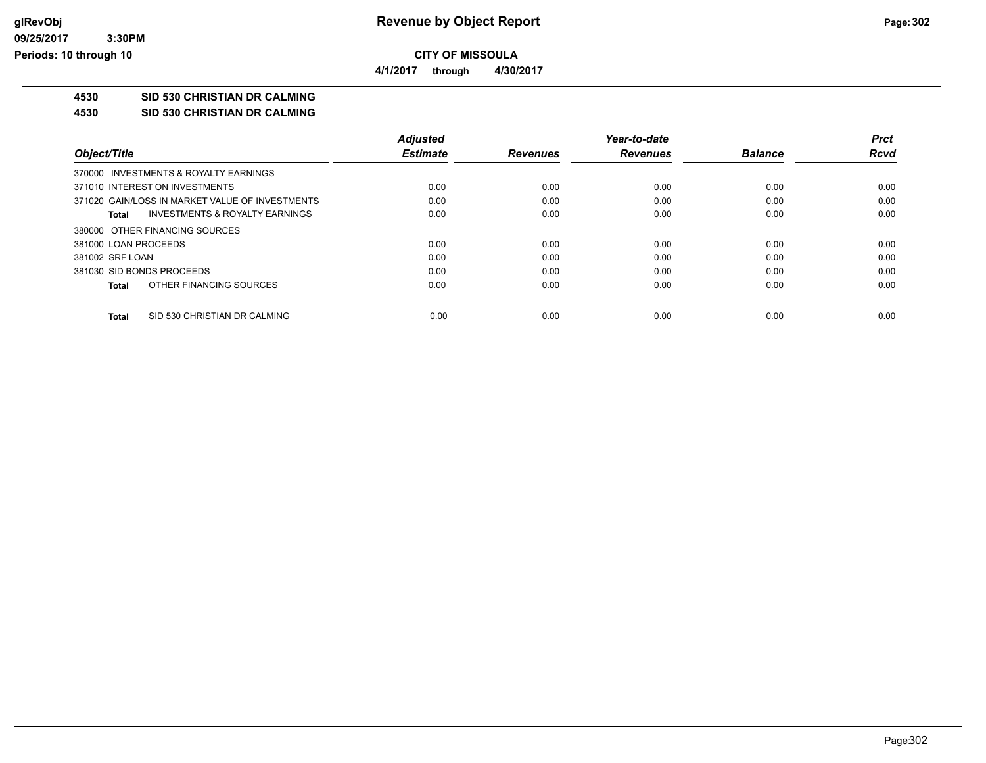**4/1/2017 through 4/30/2017**

# **4530 SID 530 CHRISTIAN DR CALMING**

**4530 SID 530 CHRISTIAN DR CALMING**

|                                                 | <b>Adjusted</b> |                 | Year-to-date    |                | Prct        |
|-------------------------------------------------|-----------------|-----------------|-----------------|----------------|-------------|
| Object/Title                                    | <b>Estimate</b> | <b>Revenues</b> | <b>Revenues</b> | <b>Balance</b> | <b>Rcvd</b> |
| 370000 INVESTMENTS & ROYALTY EARNINGS           |                 |                 |                 |                |             |
| 371010 INTEREST ON INVESTMENTS                  | 0.00            | 0.00            | 0.00            | 0.00           | 0.00        |
| 371020 GAIN/LOSS IN MARKET VALUE OF INVESTMENTS | 0.00            | 0.00            | 0.00            | 0.00           | 0.00        |
| INVESTMENTS & ROYALTY EARNINGS<br>Total         | 0.00            | 0.00            | 0.00            | 0.00           | 0.00        |
| 380000 OTHER FINANCING SOURCES                  |                 |                 |                 |                |             |
| 381000 LOAN PROCEEDS                            | 0.00            | 0.00            | 0.00            | 0.00           | 0.00        |
| 381002 SRF LOAN                                 | 0.00            | 0.00            | 0.00            | 0.00           | 0.00        |
| 381030 SID BONDS PROCEEDS                       | 0.00            | 0.00            | 0.00            | 0.00           | 0.00        |
| OTHER FINANCING SOURCES<br>Total                | 0.00            | 0.00            | 0.00            | 0.00           | 0.00        |
|                                                 |                 |                 |                 |                |             |
| SID 530 CHRISTIAN DR CALMING<br>Total           | 0.00            | 0.00            | 0.00            | 0.00           | 0.00        |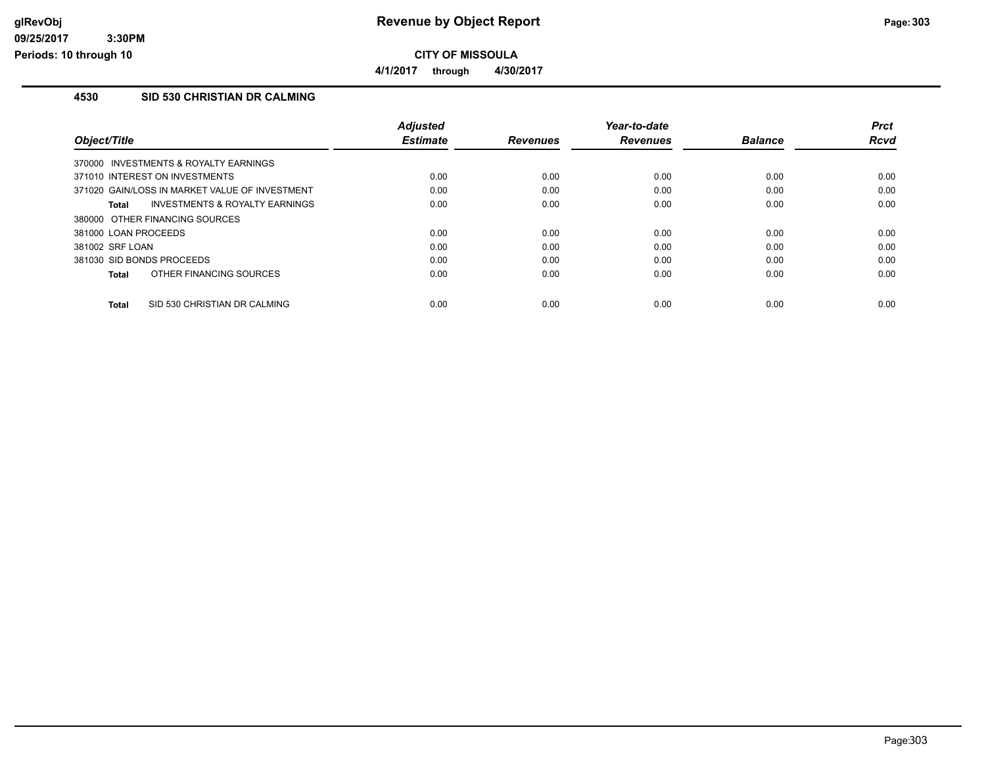**4/1/2017 through 4/30/2017**

# **4530 SID 530 CHRISTIAN DR CALMING**

| Object/Title                                   | <b>Adiusted</b><br><b>Estimate</b> | <b>Revenues</b> | Year-to-date<br><b>Revenues</b> | <b>Balance</b> | <b>Prct</b><br><b>Rcvd</b> |
|------------------------------------------------|------------------------------------|-----------------|---------------------------------|----------------|----------------------------|
| 370000 INVESTMENTS & ROYALTY EARNINGS          |                                    |                 |                                 |                |                            |
| 371010 INTEREST ON INVESTMENTS                 | 0.00                               | 0.00            | 0.00                            | 0.00           | 0.00                       |
| 371020 GAIN/LOSS IN MARKET VALUE OF INVESTMENT | 0.00                               | 0.00            | 0.00                            | 0.00           | 0.00                       |
| INVESTMENTS & ROYALTY EARNINGS<br>Total        | 0.00                               | 0.00            | 0.00                            | 0.00           | 0.00                       |
| 380000 OTHER FINANCING SOURCES                 |                                    |                 |                                 |                |                            |
| 381000 LOAN PROCEEDS                           | 0.00                               | 0.00            | 0.00                            | 0.00           | 0.00                       |
| 381002 SRF LOAN                                | 0.00                               | 0.00            | 0.00                            | 0.00           | 0.00                       |
| 381030 SID BONDS PROCEEDS                      | 0.00                               | 0.00            | 0.00                            | 0.00           | 0.00                       |
| OTHER FINANCING SOURCES<br>Total               | 0.00                               | 0.00            | 0.00                            | 0.00           | 0.00                       |
| SID 530 CHRISTIAN DR CALMING<br>Total          | 0.00                               | 0.00            | 0.00                            | 0.00           | 0.00                       |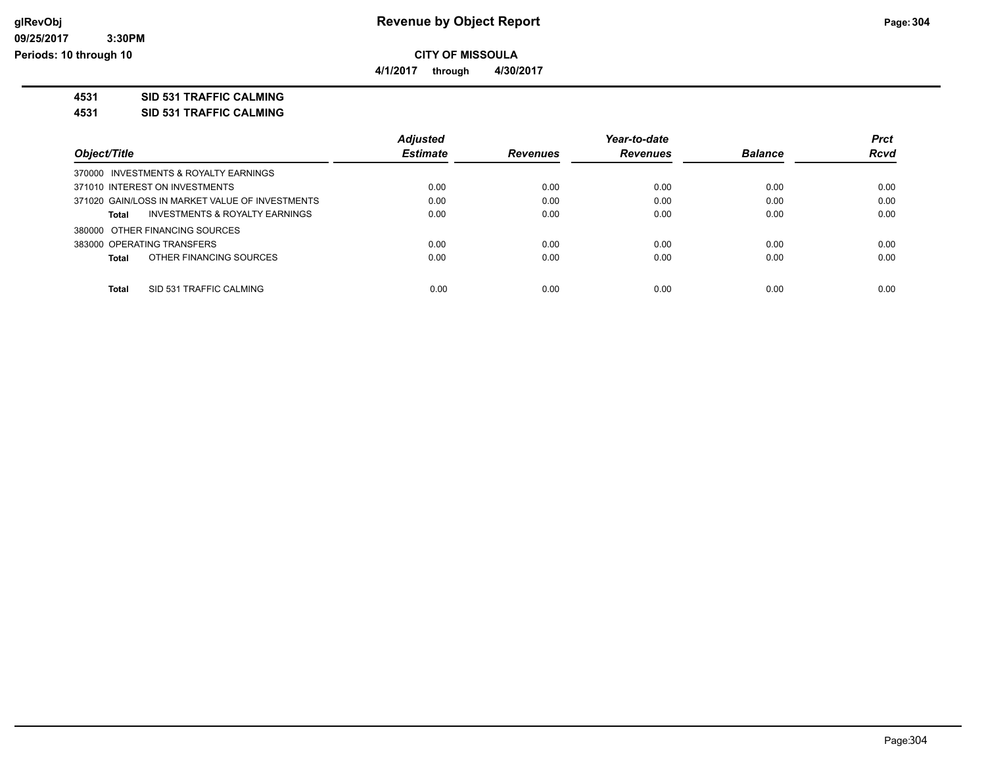**4/1/2017 through 4/30/2017**

### **4531 SID 531 TRAFFIC CALMING**

**4531 SID 531 TRAFFIC CALMING**

|                                                 | <b>Adjusted</b> |                 | Year-to-date    |                | <b>Prct</b> |
|-------------------------------------------------|-----------------|-----------------|-----------------|----------------|-------------|
| Object/Title                                    | <b>Estimate</b> | <b>Revenues</b> | <b>Revenues</b> | <b>Balance</b> | <b>Rcvd</b> |
| 370000 INVESTMENTS & ROYALTY EARNINGS           |                 |                 |                 |                |             |
| 371010 INTEREST ON INVESTMENTS                  | 0.00            | 0.00            | 0.00            | 0.00           | 0.00        |
| 371020 GAIN/LOSS IN MARKET VALUE OF INVESTMENTS | 0.00            | 0.00            | 0.00            | 0.00           | 0.00        |
| INVESTMENTS & ROYALTY EARNINGS<br>Total         | 0.00            | 0.00            | 0.00            | 0.00           | 0.00        |
| 380000 OTHER FINANCING SOURCES                  |                 |                 |                 |                |             |
| 383000 OPERATING TRANSFERS                      | 0.00            | 0.00            | 0.00            | 0.00           | 0.00        |
| OTHER FINANCING SOURCES<br><b>Total</b>         | 0.00            | 0.00            | 0.00            | 0.00           | 0.00        |
|                                                 |                 |                 |                 |                |             |
| <b>Total</b><br>SID 531 TRAFFIC CALMING         | 0.00            | 0.00            | 0.00            | 0.00           | 0.00        |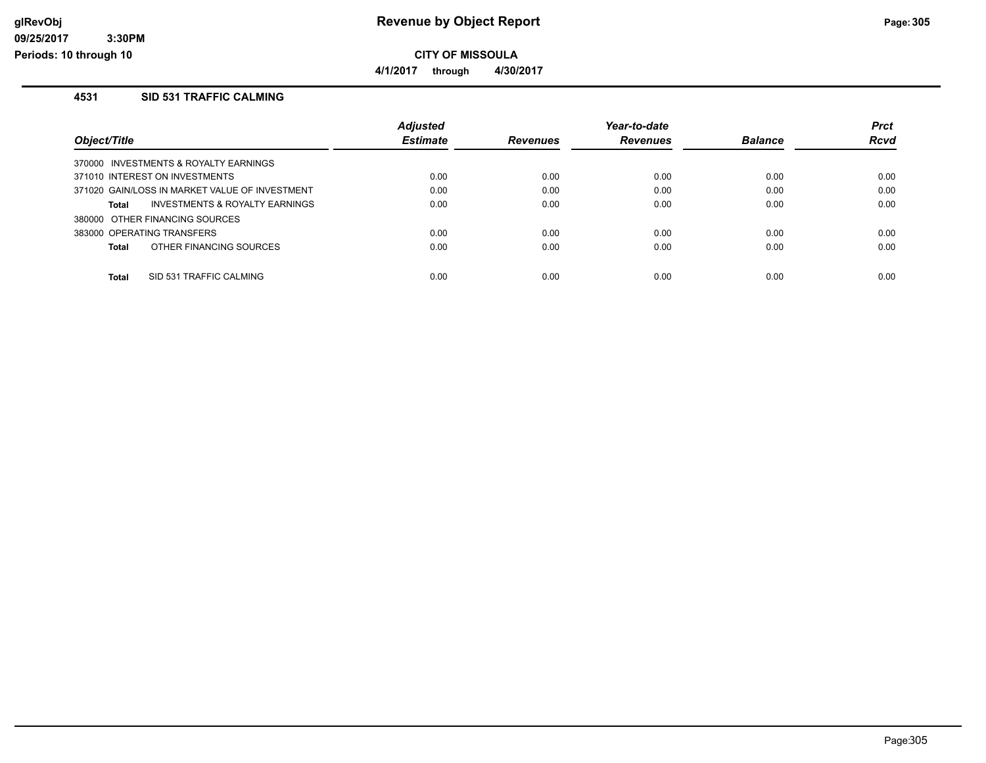**4/1/2017 through 4/30/2017**

# **4531 SID 531 TRAFFIC CALMING**

|                            |                                                | Adjusted        |                 | Year-to-date    |                | <b>Prct</b> |
|----------------------------|------------------------------------------------|-----------------|-----------------|-----------------|----------------|-------------|
| Object/Title               |                                                | <b>Estimate</b> | <b>Revenues</b> | <b>Revenues</b> | <b>Balance</b> | <b>Rcvd</b> |
|                            | 370000 INVESTMENTS & ROYALTY EARNINGS          |                 |                 |                 |                |             |
|                            | 371010 INTEREST ON INVESTMENTS                 | 0.00            | 0.00            | 0.00            | 0.00           | 0.00        |
|                            | 371020 GAIN/LOSS IN MARKET VALUE OF INVESTMENT | 0.00            | 0.00            | 0.00            | 0.00           | 0.00        |
| Total                      | INVESTMENTS & ROYALTY EARNINGS                 | 0.00            | 0.00            | 0.00            | 0.00           | 0.00        |
|                            | 380000 OTHER FINANCING SOURCES                 |                 |                 |                 |                |             |
| 383000 OPERATING TRANSFERS |                                                | 0.00            | 0.00            | 0.00            | 0.00           | 0.00        |
| Total                      | OTHER FINANCING SOURCES                        | 0.00            | 0.00            | 0.00            | 0.00           | 0.00        |
| <b>Total</b>               | SID 531 TRAFFIC CALMING                        | 0.00            | 0.00            | 0.00            | 0.00           | 0.00        |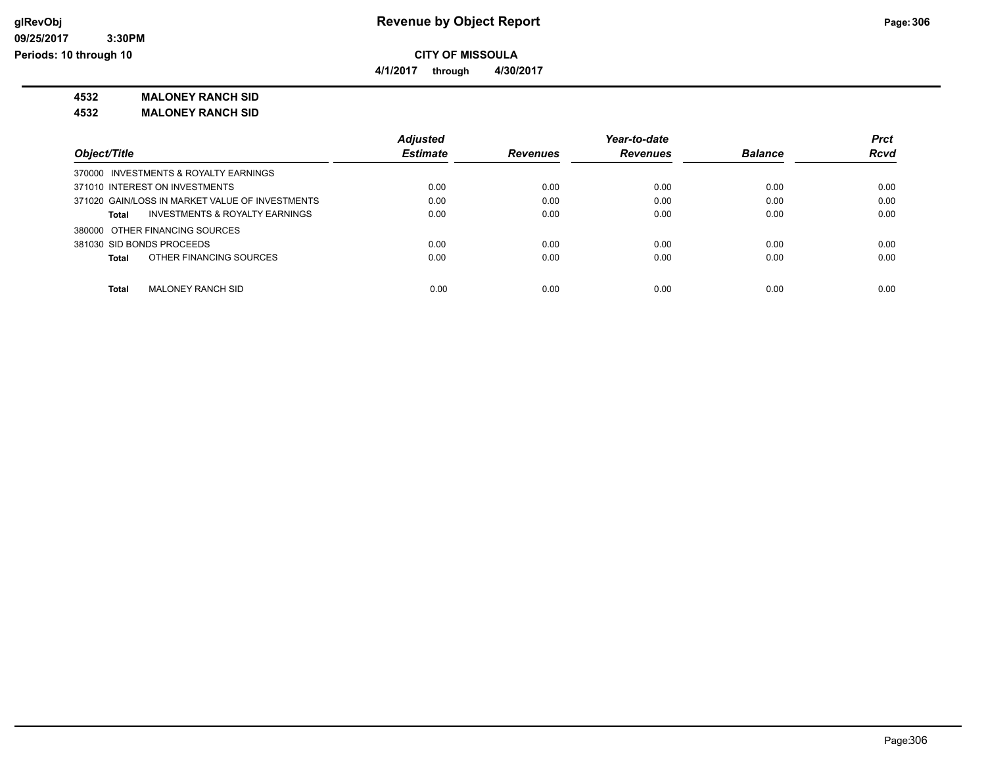**4/1/2017 through 4/30/2017**

### **4532 MALONEY RANCH SID**

**4532 MALONEY RANCH SID**

|                                                 | <b>Adjusted</b> |                 | Year-to-date    |                | <b>Prct</b> |
|-------------------------------------------------|-----------------|-----------------|-----------------|----------------|-------------|
| Object/Title                                    | <b>Estimate</b> | <b>Revenues</b> | <b>Revenues</b> | <b>Balance</b> | <b>Rcvd</b> |
| 370000 INVESTMENTS & ROYALTY EARNINGS           |                 |                 |                 |                |             |
| 371010 INTEREST ON INVESTMENTS                  | 0.00            | 0.00            | 0.00            | 0.00           | 0.00        |
| 371020 GAIN/LOSS IN MARKET VALUE OF INVESTMENTS | 0.00            | 0.00            | 0.00            | 0.00           | 0.00        |
| INVESTMENTS & ROYALTY EARNINGS<br>Total         | 0.00            | 0.00            | 0.00            | 0.00           | 0.00        |
| 380000 OTHER FINANCING SOURCES                  |                 |                 |                 |                |             |
| 381030 SID BONDS PROCEEDS                       | 0.00            | 0.00            | 0.00            | 0.00           | 0.00        |
| OTHER FINANCING SOURCES<br>Total                | 0.00            | 0.00            | 0.00            | 0.00           | 0.00        |
|                                                 |                 |                 |                 |                |             |
| <b>Total</b><br>MALONEY RANCH SID               | 0.00            | 0.00            | 0.00            | 0.00           | 0.00        |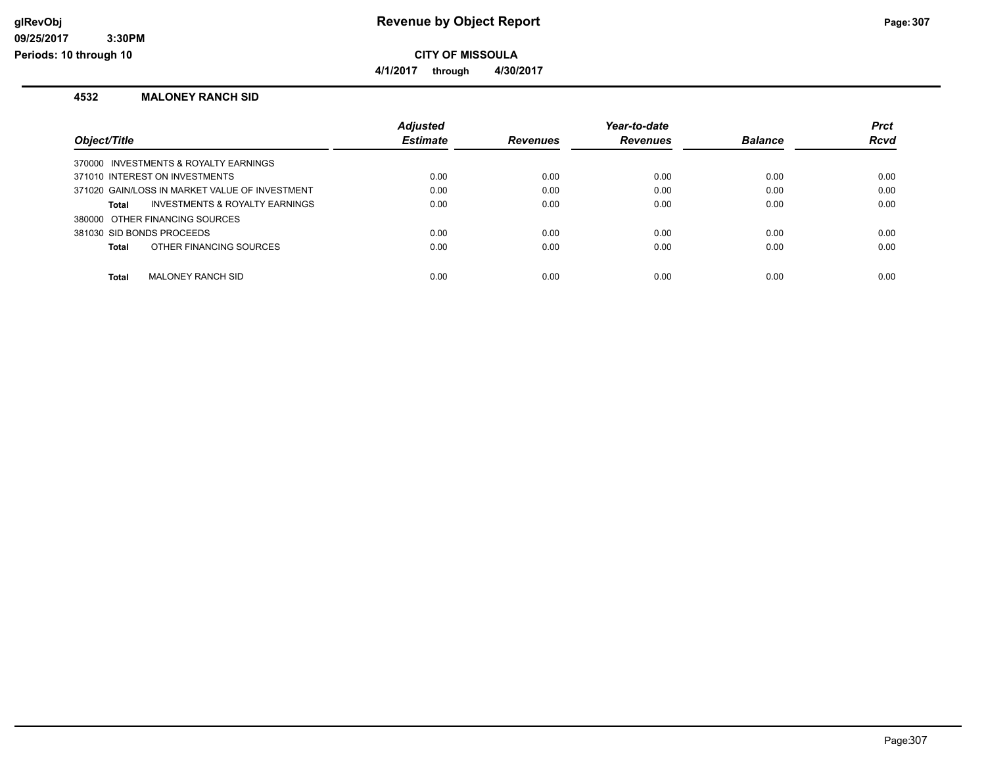**4/1/2017 through 4/30/2017**

### **4532 MALONEY RANCH SID**

|                                       |                                                | <b>Adjusted</b> |                 | Year-to-date    |                | <b>Prct</b> |
|---------------------------------------|------------------------------------------------|-----------------|-----------------|-----------------|----------------|-------------|
| Object/Title                          |                                                | <b>Estimate</b> | <b>Revenues</b> | <b>Revenues</b> | <b>Balance</b> | <b>Rcvd</b> |
| 370000 INVESTMENTS & ROYALTY EARNINGS |                                                |                 |                 |                 |                |             |
| 371010 INTEREST ON INVESTMENTS        |                                                | 0.00            | 0.00            | 0.00            | 0.00           | 0.00        |
|                                       | 371020 GAIN/LOSS IN MARKET VALUE OF INVESTMENT | 0.00            | 0.00            | 0.00            | 0.00           | 0.00        |
| Total                                 | INVESTMENTS & ROYALTY EARNINGS                 | 0.00            | 0.00            | 0.00            | 0.00           | 0.00        |
| 380000 OTHER FINANCING SOURCES        |                                                |                 |                 |                 |                |             |
| 381030 SID BONDS PROCEEDS             |                                                | 0.00            | 0.00            | 0.00            | 0.00           | 0.00        |
| Total                                 | OTHER FINANCING SOURCES                        | 0.00            | 0.00            | 0.00            | 0.00           | 0.00        |
| Total                                 | MALONEY RANCH SID                              | 0.00            | 0.00            | 0.00            | 0.00           | 0.00        |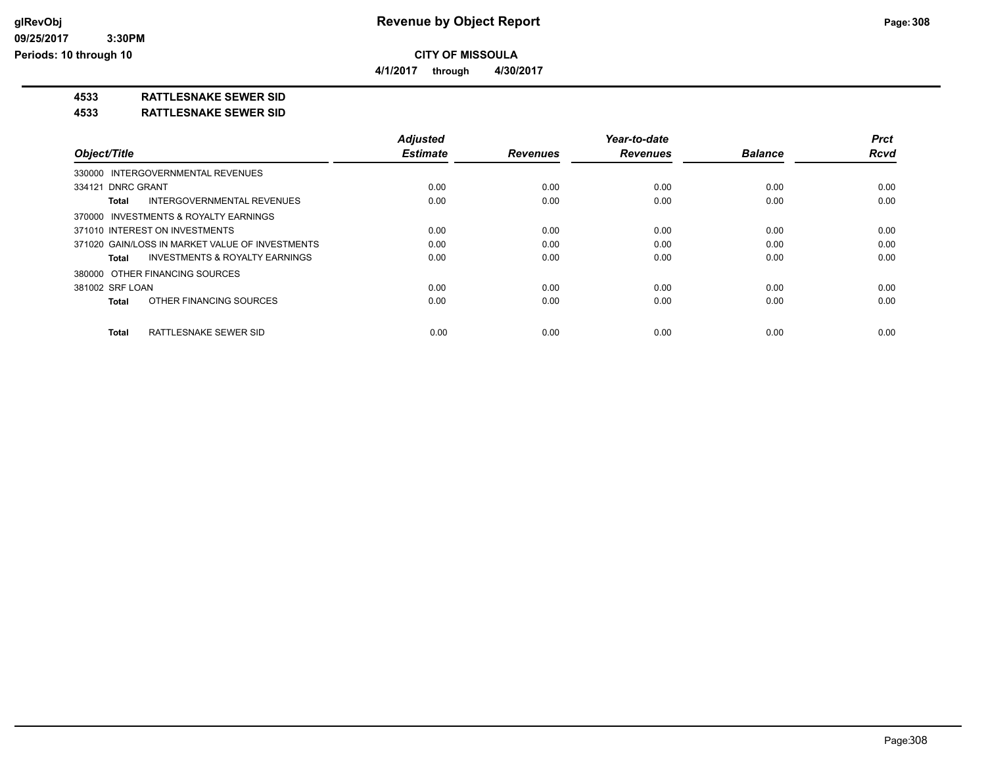**4/1/2017 through 4/30/2017**

# **4533 RATTLESNAKE SEWER SID**

**4533 RATTLESNAKE SEWER SID**

|                                                 | <b>Adjusted</b> |                 | Year-to-date    |                | <b>Prct</b> |
|-------------------------------------------------|-----------------|-----------------|-----------------|----------------|-------------|
| Object/Title                                    | <b>Estimate</b> | <b>Revenues</b> | <b>Revenues</b> | <b>Balance</b> | <b>Rcvd</b> |
| 330000 INTERGOVERNMENTAL REVENUES               |                 |                 |                 |                |             |
| 334121 DNRC GRANT                               | 0.00            | 0.00            | 0.00            | 0.00           | 0.00        |
| INTERGOVERNMENTAL REVENUES<br>Total             | 0.00            | 0.00            | 0.00            | 0.00           | 0.00        |
| 370000 INVESTMENTS & ROYALTY EARNINGS           |                 |                 |                 |                |             |
| 371010 INTEREST ON INVESTMENTS                  | 0.00            | 0.00            | 0.00            | 0.00           | 0.00        |
| 371020 GAIN/LOSS IN MARKET VALUE OF INVESTMENTS | 0.00            | 0.00            | 0.00            | 0.00           | 0.00        |
| INVESTMENTS & ROYALTY EARNINGS<br>Total         | 0.00            | 0.00            | 0.00            | 0.00           | 0.00        |
| 380000 OTHER FINANCING SOURCES                  |                 |                 |                 |                |             |
| 381002 SRF LOAN                                 | 0.00            | 0.00            | 0.00            | 0.00           | 0.00        |
| OTHER FINANCING SOURCES<br>Total                | 0.00            | 0.00            | 0.00            | 0.00           | 0.00        |
| RATTLESNAKE SEWER SID<br>Total                  | 0.00            | 0.00            | 0.00            | 0.00           | 0.00        |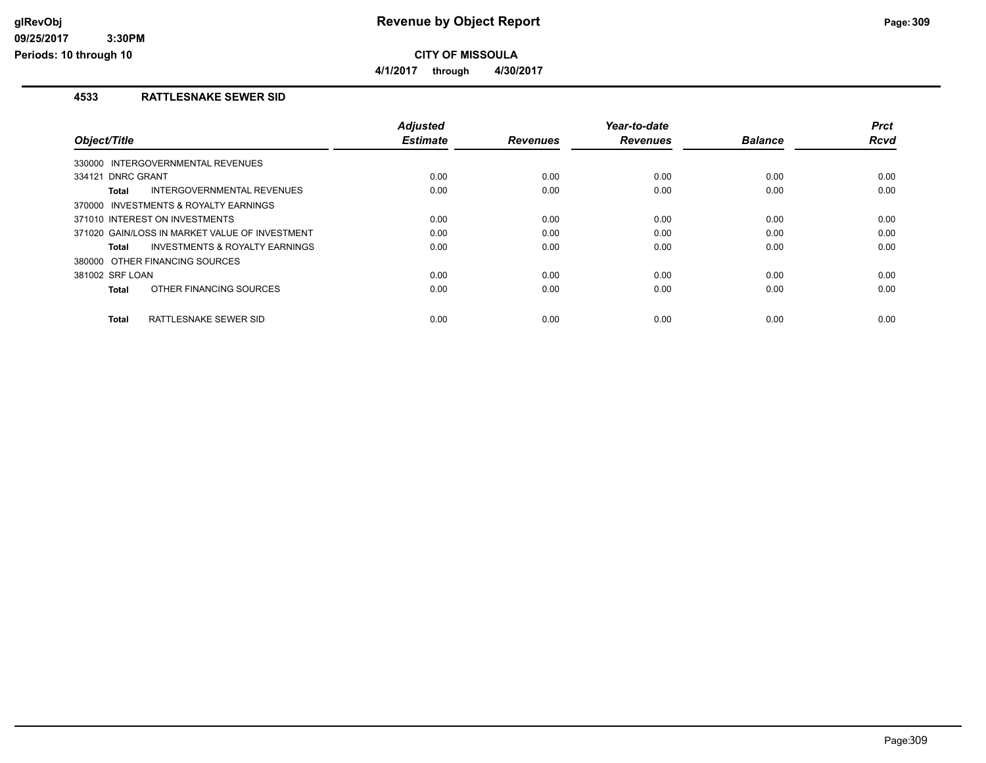**4/1/2017 through 4/30/2017**

# **4533 RATTLESNAKE SEWER SID**

|                                                    | <b>Adjusted</b> |                 | Year-to-date    |                | <b>Prct</b> |
|----------------------------------------------------|-----------------|-----------------|-----------------|----------------|-------------|
| Object/Title                                       | <b>Estimate</b> | <b>Revenues</b> | <b>Revenues</b> | <b>Balance</b> | <b>Rcvd</b> |
| 330000 INTERGOVERNMENTAL REVENUES                  |                 |                 |                 |                |             |
| 334121 DNRC GRANT                                  | 0.00            | 0.00            | 0.00            | 0.00           | 0.00        |
| INTERGOVERNMENTAL REVENUES<br>Total                | 0.00            | 0.00            | 0.00            | 0.00           | 0.00        |
| 370000 INVESTMENTS & ROYALTY EARNINGS              |                 |                 |                 |                |             |
| 371010 INTEREST ON INVESTMENTS                     | 0.00            | 0.00            | 0.00            | 0.00           | 0.00        |
| 371020 GAIN/LOSS IN MARKET VALUE OF INVESTMENT     | 0.00            | 0.00            | 0.00            | 0.00           | 0.00        |
| <b>INVESTMENTS &amp; ROYALTY EARNINGS</b><br>Total | 0.00            | 0.00            | 0.00            | 0.00           | 0.00        |
| 380000 OTHER FINANCING SOURCES                     |                 |                 |                 |                |             |
| 381002 SRF LOAN                                    | 0.00            | 0.00            | 0.00            | 0.00           | 0.00        |
| OTHER FINANCING SOURCES<br>Total                   | 0.00            | 0.00            | 0.00            | 0.00           | 0.00        |
| RATTLESNAKE SEWER SID<br><b>Total</b>              | 0.00            | 0.00            | 0.00            | 0.00           | 0.00        |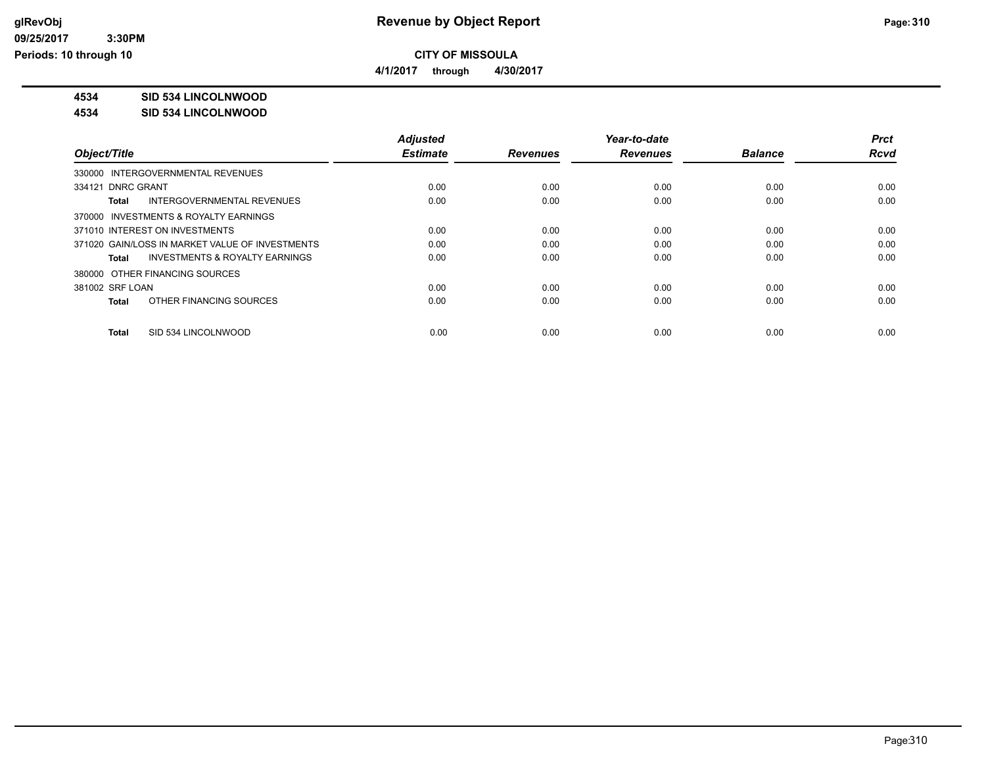**4/1/2017 through 4/30/2017**

# **4534 SID 534 LINCOLNWOOD**

#### **4534 SID 534 LINCOLNWOOD**

|                                                    | <b>Adjusted</b> |                 | Year-to-date    |                | <b>Prct</b> |
|----------------------------------------------------|-----------------|-----------------|-----------------|----------------|-------------|
| Object/Title                                       | <b>Estimate</b> | <b>Revenues</b> | <b>Revenues</b> | <b>Balance</b> | <b>Rcvd</b> |
| 330000 INTERGOVERNMENTAL REVENUES                  |                 |                 |                 |                |             |
| 334121 DNRC GRANT                                  | 0.00            | 0.00            | 0.00            | 0.00           | 0.00        |
| INTERGOVERNMENTAL REVENUES<br>Total                | 0.00            | 0.00            | 0.00            | 0.00           | 0.00        |
| 370000 INVESTMENTS & ROYALTY EARNINGS              |                 |                 |                 |                |             |
| 371010 INTEREST ON INVESTMENTS                     | 0.00            | 0.00            | 0.00            | 0.00           | 0.00        |
| 371020 GAIN/LOSS IN MARKET VALUE OF INVESTMENTS    | 0.00            | 0.00            | 0.00            | 0.00           | 0.00        |
| <b>INVESTMENTS &amp; ROYALTY EARNINGS</b><br>Total | 0.00            | 0.00            | 0.00            | 0.00           | 0.00        |
| 380000 OTHER FINANCING SOURCES                     |                 |                 |                 |                |             |
| 381002 SRF LOAN                                    | 0.00            | 0.00            | 0.00            | 0.00           | 0.00        |
| OTHER FINANCING SOURCES<br>Total                   | 0.00            | 0.00            | 0.00            | 0.00           | 0.00        |
| SID 534 LINCOLNWOOD<br>Total                       | 0.00            | 0.00            | 0.00            | 0.00           | 0.00        |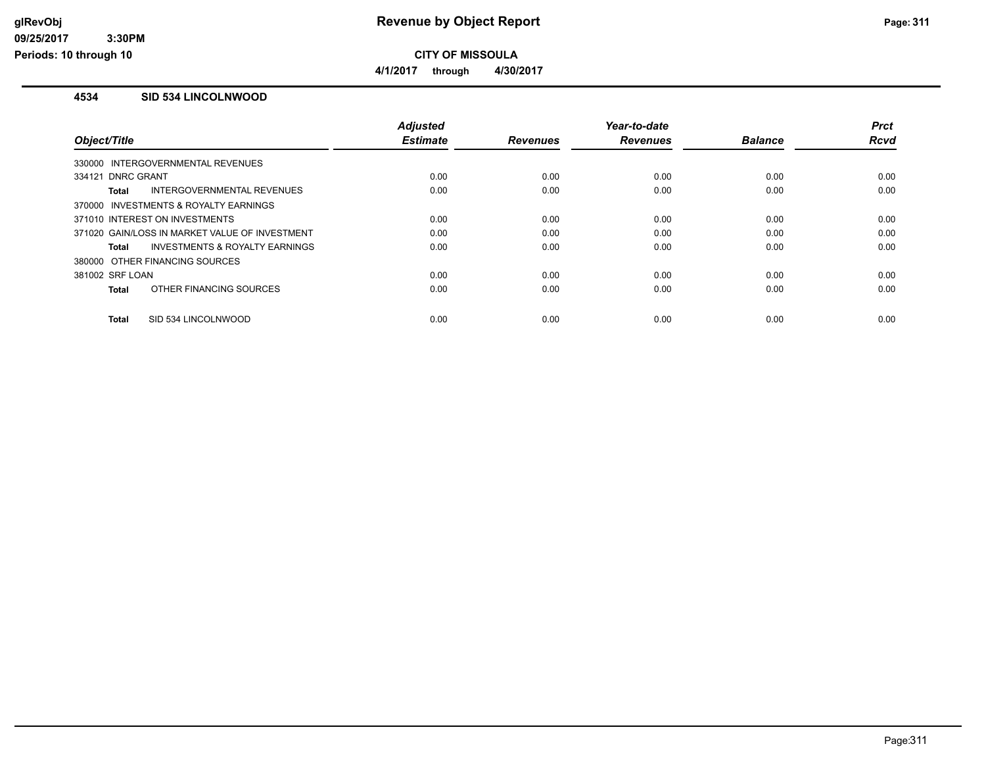**4/1/2017 through 4/30/2017**

# **4534 SID 534 LINCOLNWOOD**

|                                                    | <b>Adjusted</b> |                 | Year-to-date    |                | <b>Prct</b> |
|----------------------------------------------------|-----------------|-----------------|-----------------|----------------|-------------|
| Object/Title                                       | <b>Estimate</b> | <b>Revenues</b> | <b>Revenues</b> | <b>Balance</b> | <b>Rcvd</b> |
| 330000 INTERGOVERNMENTAL REVENUES                  |                 |                 |                 |                |             |
| 334121 DNRC GRANT                                  | 0.00            | 0.00            | 0.00            | 0.00           | 0.00        |
| INTERGOVERNMENTAL REVENUES<br>Total                | 0.00            | 0.00            | 0.00            | 0.00           | 0.00        |
| 370000 INVESTMENTS & ROYALTY EARNINGS              |                 |                 |                 |                |             |
| 371010 INTEREST ON INVESTMENTS                     | 0.00            | 0.00            | 0.00            | 0.00           | 0.00        |
| 371020 GAIN/LOSS IN MARKET VALUE OF INVESTMENT     | 0.00            | 0.00            | 0.00            | 0.00           | 0.00        |
| <b>INVESTMENTS &amp; ROYALTY EARNINGS</b><br>Total | 0.00            | 0.00            | 0.00            | 0.00           | 0.00        |
| 380000 OTHER FINANCING SOURCES                     |                 |                 |                 |                |             |
| 381002 SRF LOAN                                    | 0.00            | 0.00            | 0.00            | 0.00           | 0.00        |
| OTHER FINANCING SOURCES<br>Total                   | 0.00            | 0.00            | 0.00            | 0.00           | 0.00        |
| SID 534 LINCOLNWOOD<br>Total                       | 0.00            | 0.00            | 0.00            | 0.00           | 0.00        |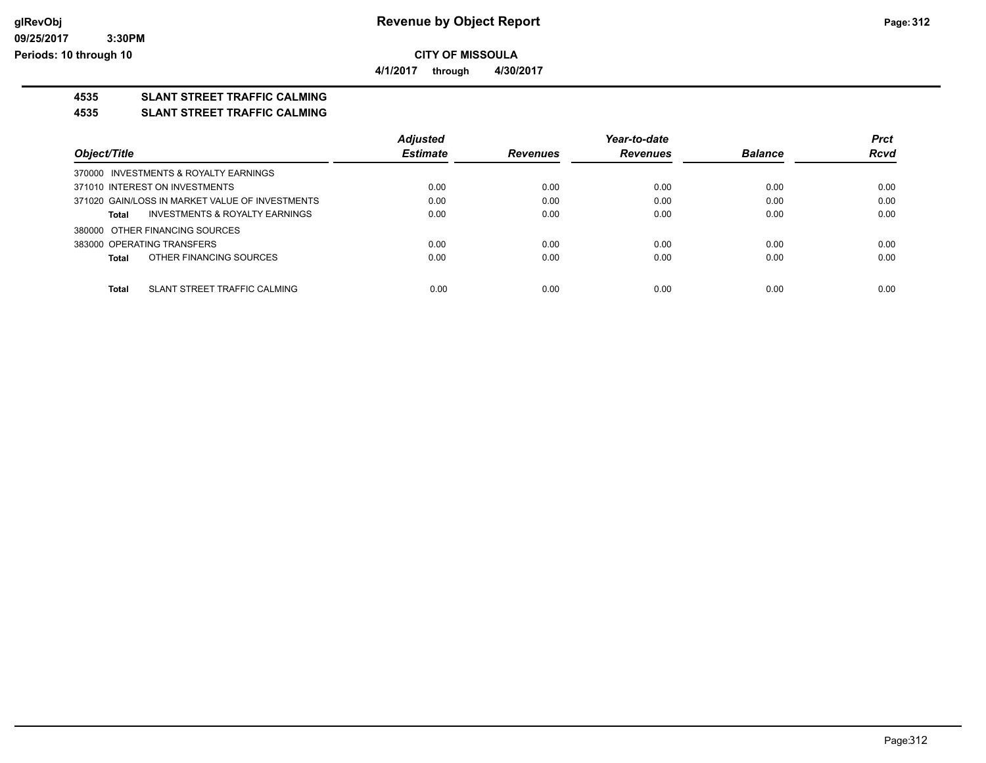**4/1/2017 through 4/30/2017**

# **4535 SLANT STREET TRAFFIC CALMING**

### **4535 SLANT STREET TRAFFIC CALMING**

| <b>Adjusted</b> |                 | Year-to-date    |                | <b>Prct</b> |
|-----------------|-----------------|-----------------|----------------|-------------|
| <b>Estimate</b> | <b>Revenues</b> | <b>Revenues</b> | <b>Balance</b> | <b>Rcvd</b> |
|                 |                 |                 |                |             |
| 0.00            | 0.00            | 0.00            | 0.00           | 0.00        |
| 0.00            | 0.00            | 0.00            | 0.00           | 0.00        |
| 0.00            | 0.00            | 0.00            | 0.00           | 0.00        |
|                 |                 |                 |                |             |
| 0.00            | 0.00            | 0.00            | 0.00           | 0.00        |
| 0.00            | 0.00            | 0.00            | 0.00           | 0.00        |
|                 |                 |                 |                | 0.00        |
|                 | 0.00            | 0.00            | 0.00           | 0.00        |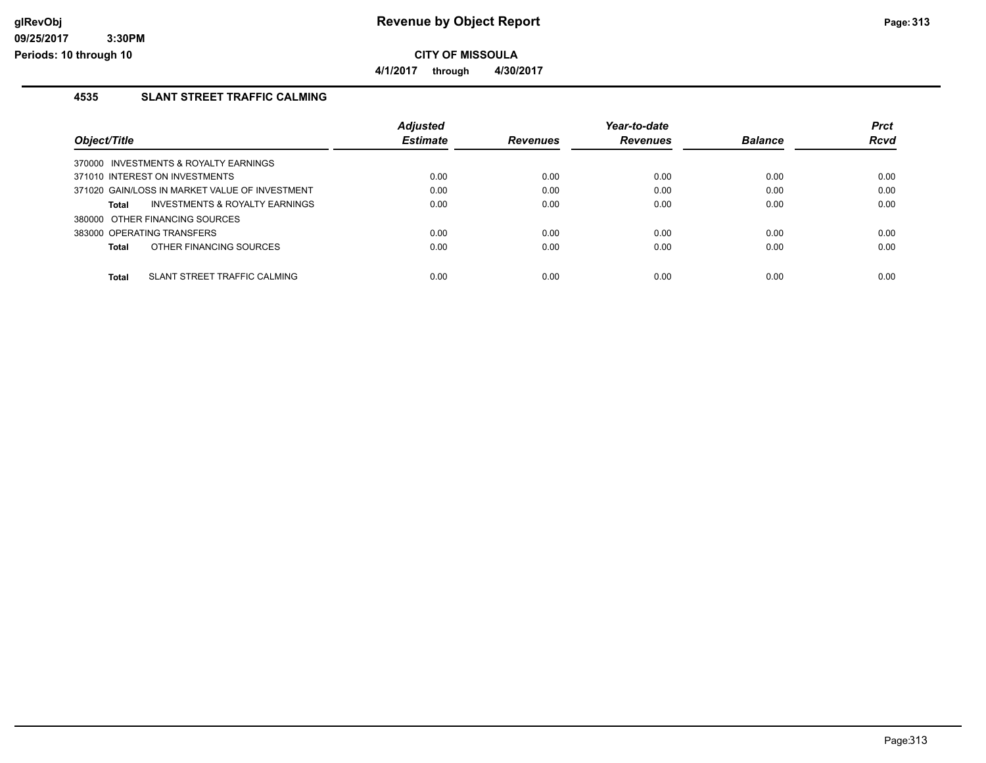**4/1/2017 through 4/30/2017**

# **4535 SLANT STREET TRAFFIC CALMING**

|                                                    | <b>Adjusted</b> |                 | Year-to-date    |                | <b>Prct</b> |
|----------------------------------------------------|-----------------|-----------------|-----------------|----------------|-------------|
| Object/Title                                       | <b>Estimate</b> | <b>Revenues</b> | <b>Revenues</b> | <b>Balance</b> | <b>Rcvd</b> |
| INVESTMENTS & ROYALTY EARNINGS<br>370000           |                 |                 |                 |                |             |
| 371010 INTEREST ON INVESTMENTS                     | 0.00            | 0.00            | 0.00            | 0.00           | 0.00        |
| 371020 GAIN/LOSS IN MARKET VALUE OF INVESTMENT     | 0.00            | 0.00            | 0.00            | 0.00           | 0.00        |
| <b>INVESTMENTS &amp; ROYALTY EARNINGS</b><br>Total | 0.00            | 0.00            | 0.00            | 0.00           | 0.00        |
| 380000 OTHER FINANCING SOURCES                     |                 |                 |                 |                |             |
| 383000 OPERATING TRANSFERS                         | 0.00            | 0.00            | 0.00            | 0.00           | 0.00        |
| OTHER FINANCING SOURCES<br>Total                   | 0.00            | 0.00            | 0.00            | 0.00           | 0.00        |
|                                                    |                 |                 |                 |                |             |
| Total<br>SLANT STREET TRAFFIC CALMING              | 0.00            | 0.00            | 0.00            | 0.00           | 0.00        |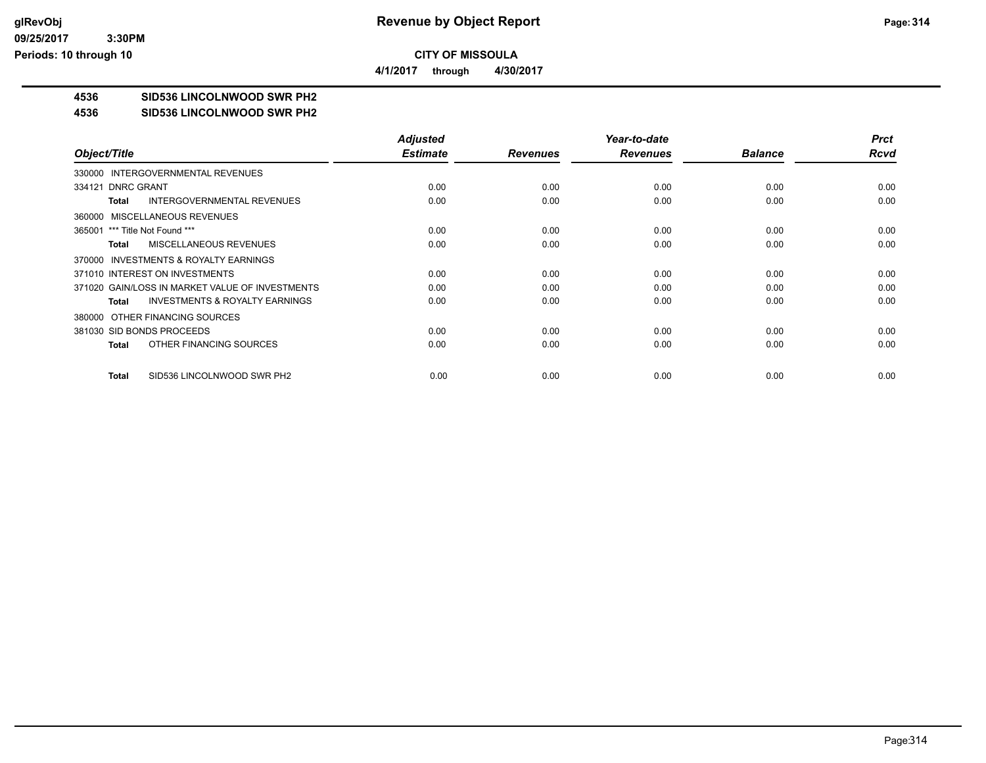**4/1/2017 through 4/30/2017**

# **4536 SID536 LINCOLNWOOD SWR PH2**

#### **4536 SID536 LINCOLNWOOD SWR PH2**

|                                                    | <b>Adjusted</b> |                 | Year-to-date    |                | <b>Prct</b> |
|----------------------------------------------------|-----------------|-----------------|-----------------|----------------|-------------|
| Object/Title                                       | <b>Estimate</b> | <b>Revenues</b> | <b>Revenues</b> | <b>Balance</b> | Rcvd        |
| 330000 INTERGOVERNMENTAL REVENUES                  |                 |                 |                 |                |             |
| 334121 DNRC GRANT                                  | 0.00            | 0.00            | 0.00            | 0.00           | 0.00        |
| <b>INTERGOVERNMENTAL REVENUES</b><br>Total         | 0.00            | 0.00            | 0.00            | 0.00           | 0.00        |
| 360000 MISCELLANEOUS REVENUES                      |                 |                 |                 |                |             |
| 365001 *** Title Not Found ***                     | 0.00            | 0.00            | 0.00            | 0.00           | 0.00        |
| <b>MISCELLANEOUS REVENUES</b><br>Total             | 0.00            | 0.00            | 0.00            | 0.00           | 0.00        |
| 370000 INVESTMENTS & ROYALTY EARNINGS              |                 |                 |                 |                |             |
| 371010 INTEREST ON INVESTMENTS                     | 0.00            | 0.00            | 0.00            | 0.00           | 0.00        |
| 371020 GAIN/LOSS IN MARKET VALUE OF INVESTMENTS    | 0.00            | 0.00            | 0.00            | 0.00           | 0.00        |
| <b>INVESTMENTS &amp; ROYALTY EARNINGS</b><br>Total | 0.00            | 0.00            | 0.00            | 0.00           | 0.00        |
| 380000 OTHER FINANCING SOURCES                     |                 |                 |                 |                |             |
| 381030 SID BONDS PROCEEDS                          | 0.00            | 0.00            | 0.00            | 0.00           | 0.00        |
| OTHER FINANCING SOURCES<br>Total                   | 0.00            | 0.00            | 0.00            | 0.00           | 0.00        |
|                                                    |                 |                 |                 |                |             |
| SID536 LINCOLNWOOD SWR PH2<br>Total                | 0.00            | 0.00            | 0.00            | 0.00           | 0.00        |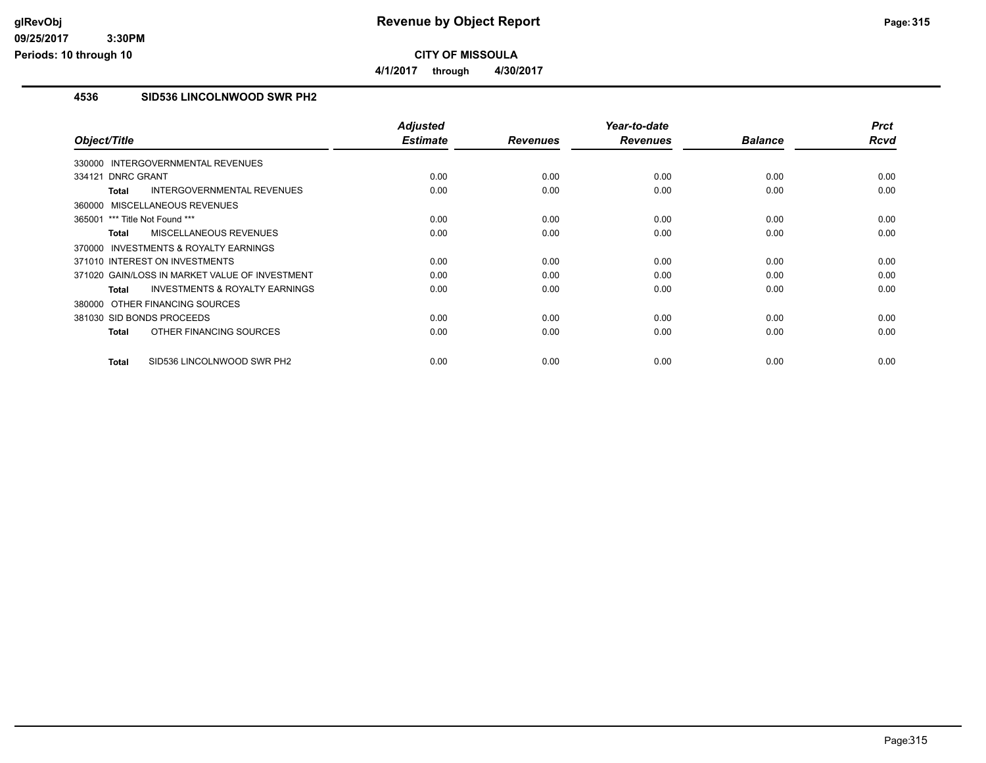**4/1/2017 through 4/30/2017**

# **4536 SID536 LINCOLNWOOD SWR PH2**

|                                                           | <b>Adjusted</b> |                 | Year-to-date    |                | <b>Prct</b> |
|-----------------------------------------------------------|-----------------|-----------------|-----------------|----------------|-------------|
| Object/Title                                              | <b>Estimate</b> | <b>Revenues</b> | <b>Revenues</b> | <b>Balance</b> | <b>Rcvd</b> |
| 330000 INTERGOVERNMENTAL REVENUES                         |                 |                 |                 |                |             |
| 334121 DNRC GRANT                                         | 0.00            | 0.00            | 0.00            | 0.00           | 0.00        |
| INTERGOVERNMENTAL REVENUES<br>Total                       | 0.00            | 0.00            | 0.00            | 0.00           | 0.00        |
| 360000 MISCELLANEOUS REVENUES                             |                 |                 |                 |                |             |
| 365001 *** Title Not Found ***                            | 0.00            | 0.00            | 0.00            | 0.00           | 0.00        |
| <b>MISCELLANEOUS REVENUES</b><br>Total                    | 0.00            | 0.00            | 0.00            | 0.00           | 0.00        |
| 370000 INVESTMENTS & ROYALTY EARNINGS                     |                 |                 |                 |                |             |
| 371010 INTEREST ON INVESTMENTS                            | 0.00            | 0.00            | 0.00            | 0.00           | 0.00        |
| 371020 GAIN/LOSS IN MARKET VALUE OF INVESTMENT            | 0.00            | 0.00            | 0.00            | 0.00           | 0.00        |
| <b>INVESTMENTS &amp; ROYALTY EARNINGS</b><br><b>Total</b> | 0.00            | 0.00            | 0.00            | 0.00           | 0.00        |
| 380000 OTHER FINANCING SOURCES                            |                 |                 |                 |                |             |
| 381030 SID BONDS PROCEEDS                                 | 0.00            | 0.00            | 0.00            | 0.00           | 0.00        |
| OTHER FINANCING SOURCES<br>Total                          | 0.00            | 0.00            | 0.00            | 0.00           | 0.00        |
| SID536 LINCOLNWOOD SWR PH2<br><b>Total</b>                | 0.00            | 0.00            | 0.00            | 0.00           | 0.00        |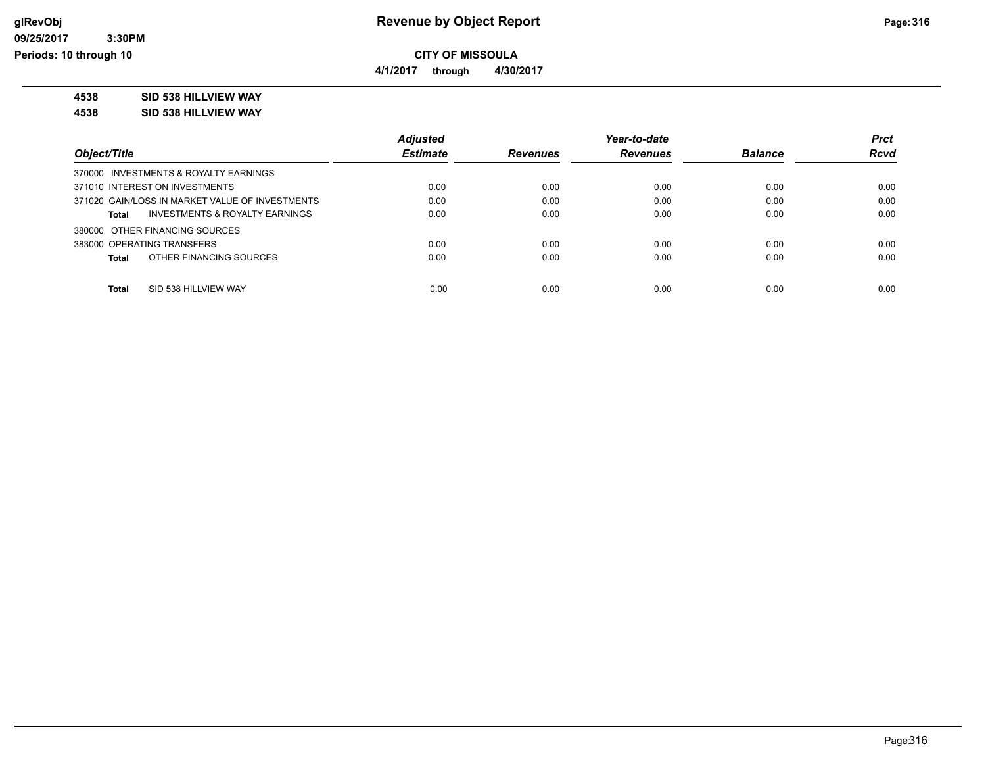**4/1/2017 through 4/30/2017**

# **4538 SID 538 HILLVIEW WAY**

**4538 SID 538 HILLVIEW WAY**

|                                                    | <b>Adjusted</b> |                 | Year-to-date    |                | <b>Prct</b> |
|----------------------------------------------------|-----------------|-----------------|-----------------|----------------|-------------|
| Object/Title                                       | <b>Estimate</b> | <b>Revenues</b> | <b>Revenues</b> | <b>Balance</b> | <b>Rcvd</b> |
| 370000 INVESTMENTS & ROYALTY EARNINGS              |                 |                 |                 |                |             |
| 371010 INTEREST ON INVESTMENTS                     | 0.00            | 0.00            | 0.00            | 0.00           | 0.00        |
| 371020 GAIN/LOSS IN MARKET VALUE OF INVESTMENTS    | 0.00            | 0.00            | 0.00            | 0.00           | 0.00        |
| <b>INVESTMENTS &amp; ROYALTY EARNINGS</b><br>Total | 0.00            | 0.00            | 0.00            | 0.00           | 0.00        |
| 380000 OTHER FINANCING SOURCES                     |                 |                 |                 |                |             |
| 383000 OPERATING TRANSFERS                         | 0.00            | 0.00            | 0.00            | 0.00           | 0.00        |
| OTHER FINANCING SOURCES<br>Total                   | 0.00            | 0.00            | 0.00            | 0.00           | 0.00        |
|                                                    |                 |                 |                 |                |             |
| Total<br>SID 538 HILLVIEW WAY                      | 0.00            | 0.00            | 0.00            | 0.00           | 0.00        |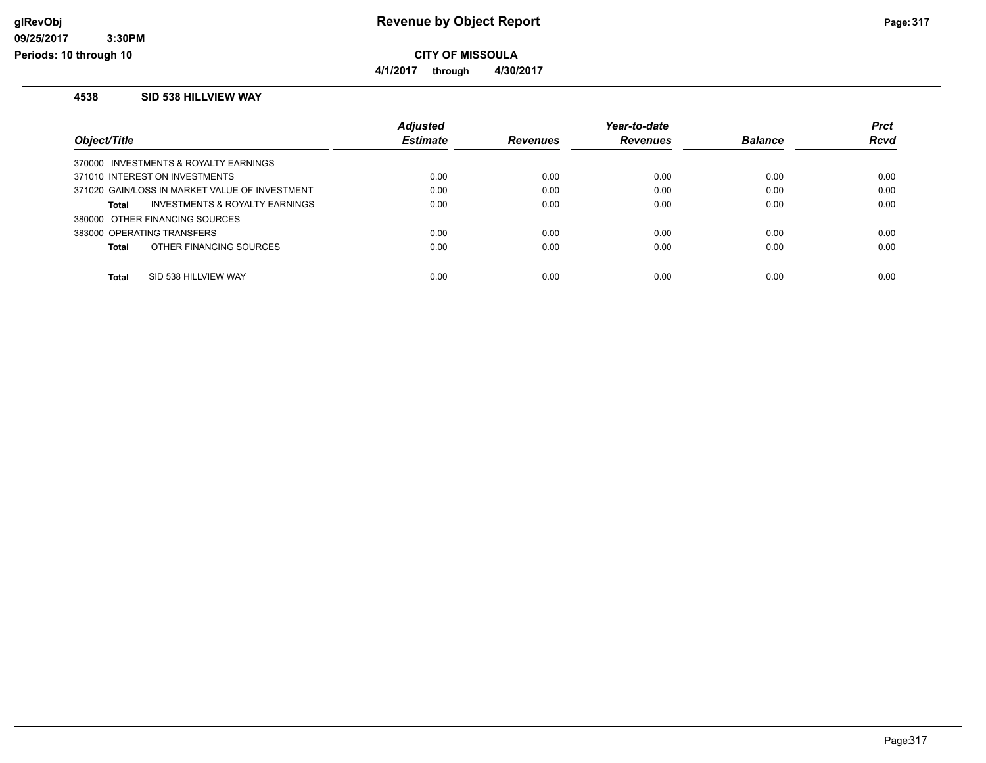**4/1/2017 through 4/30/2017**

#### **4538 SID 538 HILLVIEW WAY**

|                            |                                                | Adjusted        |                 | Year-to-date    |                | <b>Prct</b> |
|----------------------------|------------------------------------------------|-----------------|-----------------|-----------------|----------------|-------------|
| Object/Title               |                                                | <b>Estimate</b> | <b>Revenues</b> | <b>Revenues</b> | <b>Balance</b> | <b>Rcvd</b> |
|                            | 370000 INVESTMENTS & ROYALTY EARNINGS          |                 |                 |                 |                |             |
|                            | 371010 INTEREST ON INVESTMENTS                 | 0.00            | 0.00            | 0.00            | 0.00           | 0.00        |
|                            | 371020 GAIN/LOSS IN MARKET VALUE OF INVESTMENT | 0.00            | 0.00            | 0.00            | 0.00           | 0.00        |
| Total                      | INVESTMENTS & ROYALTY EARNINGS                 | 0.00            | 0.00            | 0.00            | 0.00           | 0.00        |
|                            | 380000 OTHER FINANCING SOURCES                 |                 |                 |                 |                |             |
| 383000 OPERATING TRANSFERS |                                                | 0.00            | 0.00            | 0.00            | 0.00           | 0.00        |
| Total                      | OTHER FINANCING SOURCES                        | 0.00            | 0.00            | 0.00            | 0.00           | 0.00        |
| <b>Total</b>               | SID 538 HILLVIEW WAY                           | 0.00            | 0.00            | 0.00            | 0.00           | 0.00        |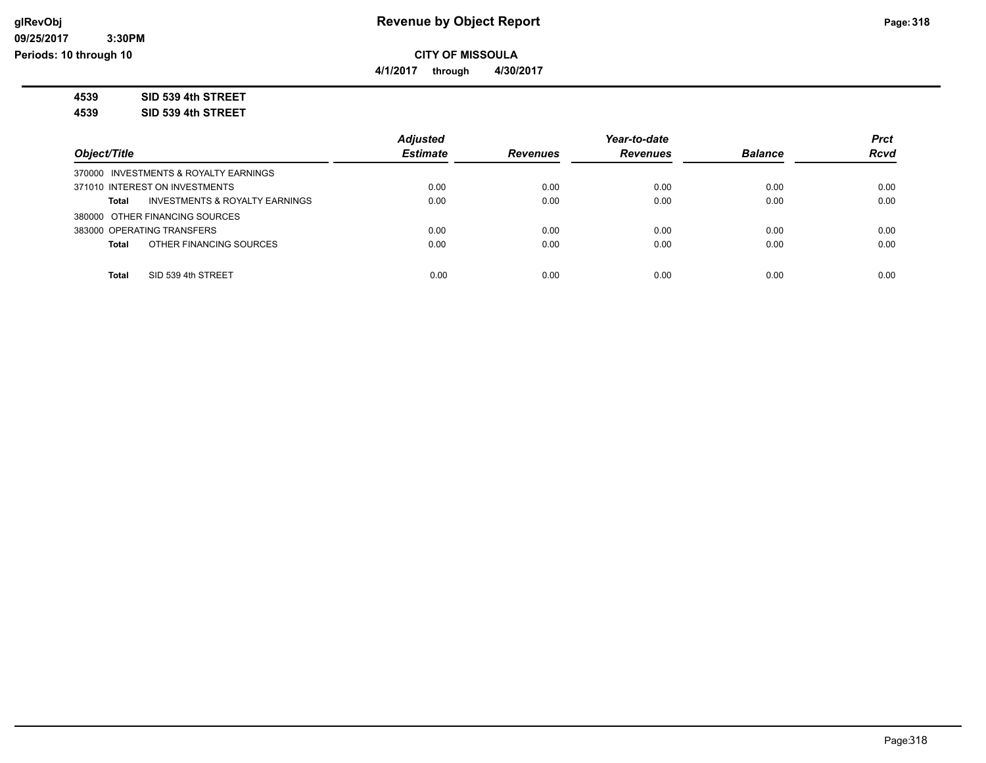**4/1/2017 through 4/30/2017**

**4539 SID 539 4th STREET**

**4539 SID 539 4th STREET**

|                                                           | <b>Adjusted</b> |                 | Year-to-date    |                | <b>Prct</b> |
|-----------------------------------------------------------|-----------------|-----------------|-----------------|----------------|-------------|
| Object/Title                                              | <b>Estimate</b> | <b>Revenues</b> | <b>Revenues</b> | <b>Balance</b> | <b>Rcvd</b> |
| 370000 INVESTMENTS & ROYALTY EARNINGS                     |                 |                 |                 |                |             |
| 371010 INTEREST ON INVESTMENTS                            | 0.00            | 0.00            | 0.00            | 0.00           | 0.00        |
| <b>INVESTMENTS &amp; ROYALTY EARNINGS</b><br><b>Total</b> | 0.00            | 0.00            | 0.00            | 0.00           | 0.00        |
| 380000 OTHER FINANCING SOURCES                            |                 |                 |                 |                |             |
| 383000 OPERATING TRANSFERS                                | 0.00            | 0.00            | 0.00            | 0.00           | 0.00        |
| OTHER FINANCING SOURCES<br><b>Total</b>                   | 0.00            | 0.00            | 0.00            | 0.00           | 0.00        |
|                                                           |                 |                 |                 |                |             |
| SID 539 4th STREET<br><b>Total</b>                        | 0.00            | 0.00            | 0.00            | 0.00           | 0.00        |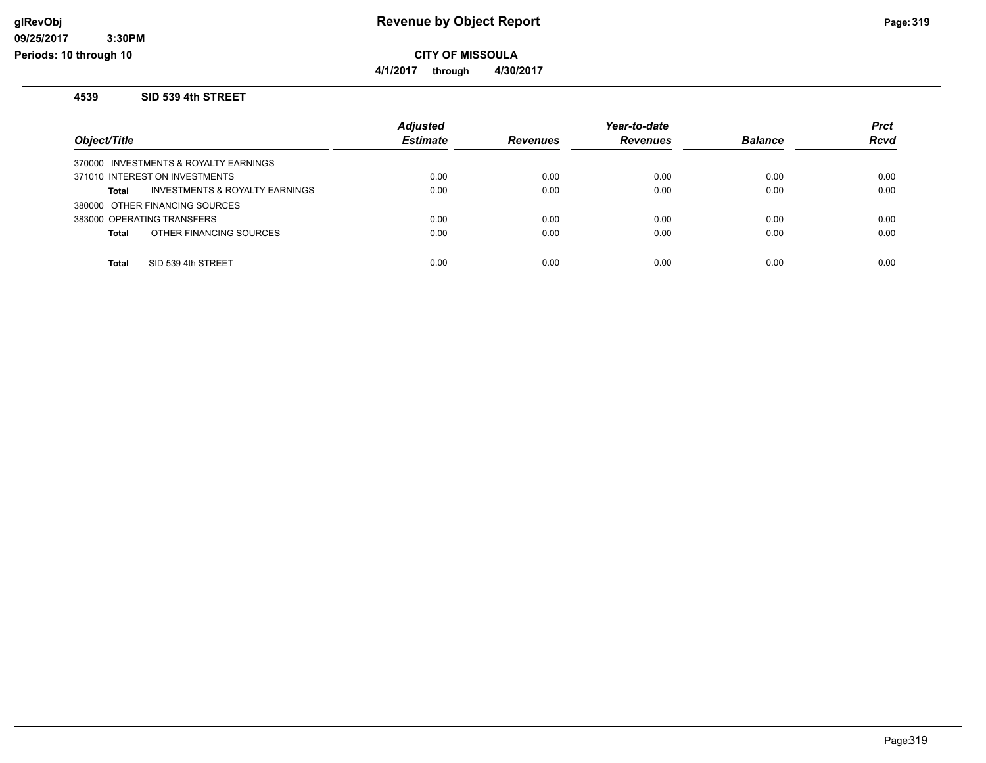**Periods: 10 through 10**

**CITY OF MISSOULA**

**4/1/2017 through 4/30/2017**

#### **4539 SID 539 4th STREET**

| Object/Title                            | <b>Adjusted</b><br><b>Estimate</b> | <b>Revenues</b> | Year-to-date<br><b>Revenues</b> | <b>Balance</b> | <b>Prct</b><br><b>Rcvd</b> |
|-----------------------------------------|------------------------------------|-----------------|---------------------------------|----------------|----------------------------|
| 370000 INVESTMENTS & ROYALTY EARNINGS   |                                    |                 |                                 |                |                            |
| 371010 INTEREST ON INVESTMENTS          | 0.00                               | 0.00            | 0.00                            | 0.00           | 0.00                       |
| INVESTMENTS & ROYALTY EARNINGS<br>Total | 0.00                               | 0.00            | 0.00                            | 0.00           | 0.00                       |
| 380000 OTHER FINANCING SOURCES          |                                    |                 |                                 |                |                            |
| 383000 OPERATING TRANSFERS              | 0.00                               | 0.00            | 0.00                            | 0.00           | 0.00                       |
| OTHER FINANCING SOURCES<br><b>Total</b> | 0.00                               | 0.00            | 0.00                            | 0.00           | 0.00                       |
|                                         |                                    |                 |                                 |                |                            |
| SID 539 4th STREET<br><b>Total</b>      | 0.00                               | 0.00            | 0.00                            | 0.00           | 0.00                       |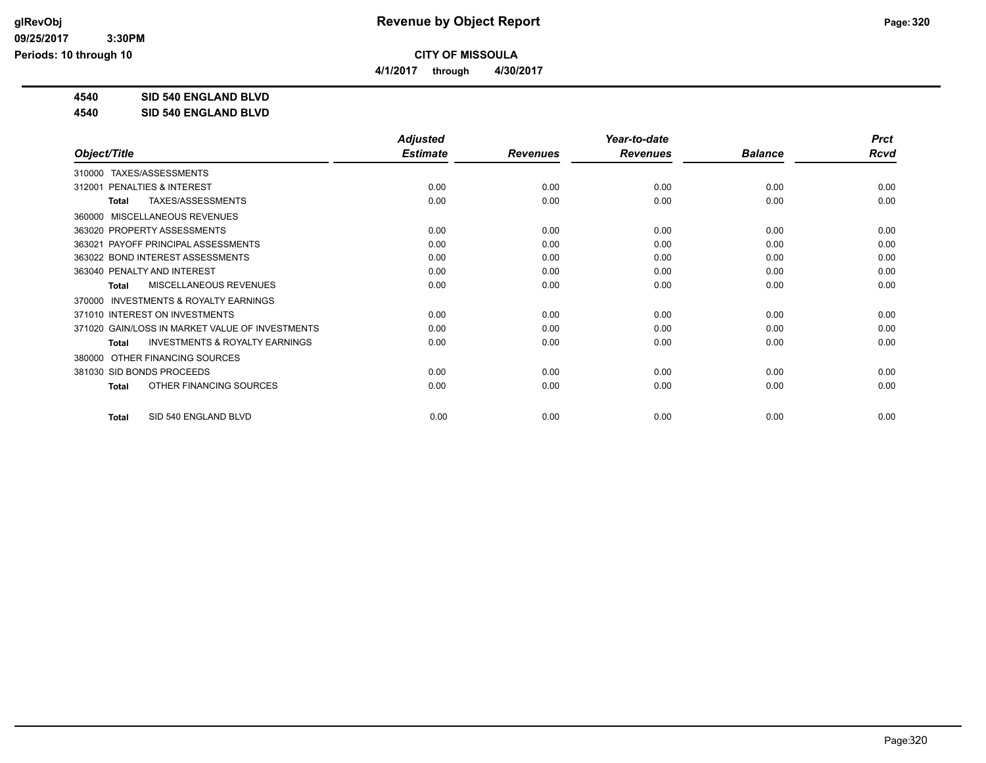**4/1/2017 through 4/30/2017**

**4540 SID 540 ENGLAND BLVD**

**4540 SID 540 ENGLAND BLVD**

|                                                     | <b>Adjusted</b> |                 | Year-to-date    |                | <b>Prct</b> |
|-----------------------------------------------------|-----------------|-----------------|-----------------|----------------|-------------|
| Object/Title                                        | <b>Estimate</b> | <b>Revenues</b> | <b>Revenues</b> | <b>Balance</b> | <b>Rcvd</b> |
| TAXES/ASSESSMENTS<br>310000                         |                 |                 |                 |                |             |
| PENALTIES & INTEREST<br>312001                      | 0.00            | 0.00            | 0.00            | 0.00           | 0.00        |
| TAXES/ASSESSMENTS<br>Total                          | 0.00            | 0.00            | 0.00            | 0.00           | 0.00        |
| MISCELLANEOUS REVENUES<br>360000                    |                 |                 |                 |                |             |
| 363020 PROPERTY ASSESSMENTS                         | 0.00            | 0.00            | 0.00            | 0.00           | 0.00        |
| 363021 PAYOFF PRINCIPAL ASSESSMENTS                 | 0.00            | 0.00            | 0.00            | 0.00           | 0.00        |
| 363022 BOND INTEREST ASSESSMENTS                    | 0.00            | 0.00            | 0.00            | 0.00           | 0.00        |
| 363040 PENALTY AND INTEREST                         | 0.00            | 0.00            | 0.00            | 0.00           | 0.00        |
| MISCELLANEOUS REVENUES<br><b>Total</b>              | 0.00            | 0.00            | 0.00            | 0.00           | 0.00        |
| <b>INVESTMENTS &amp; ROYALTY EARNINGS</b><br>370000 |                 |                 |                 |                |             |
| 371010 INTEREST ON INVESTMENTS                      | 0.00            | 0.00            | 0.00            | 0.00           | 0.00        |
| 371020 GAIN/LOSS IN MARKET VALUE OF INVESTMENTS     | 0.00            | 0.00            | 0.00            | 0.00           | 0.00        |
| <b>INVESTMENTS &amp; ROYALTY EARNINGS</b><br>Total  | 0.00            | 0.00            | 0.00            | 0.00           | 0.00        |
| OTHER FINANCING SOURCES<br>380000                   |                 |                 |                 |                |             |
| 381030 SID BONDS PROCEEDS                           | 0.00            | 0.00            | 0.00            | 0.00           | 0.00        |
| OTHER FINANCING SOURCES<br><b>Total</b>             | 0.00            | 0.00            | 0.00            | 0.00           | 0.00        |
| SID 540 ENGLAND BLVD<br><b>Total</b>                | 0.00            | 0.00            | 0.00            | 0.00           | 0.00        |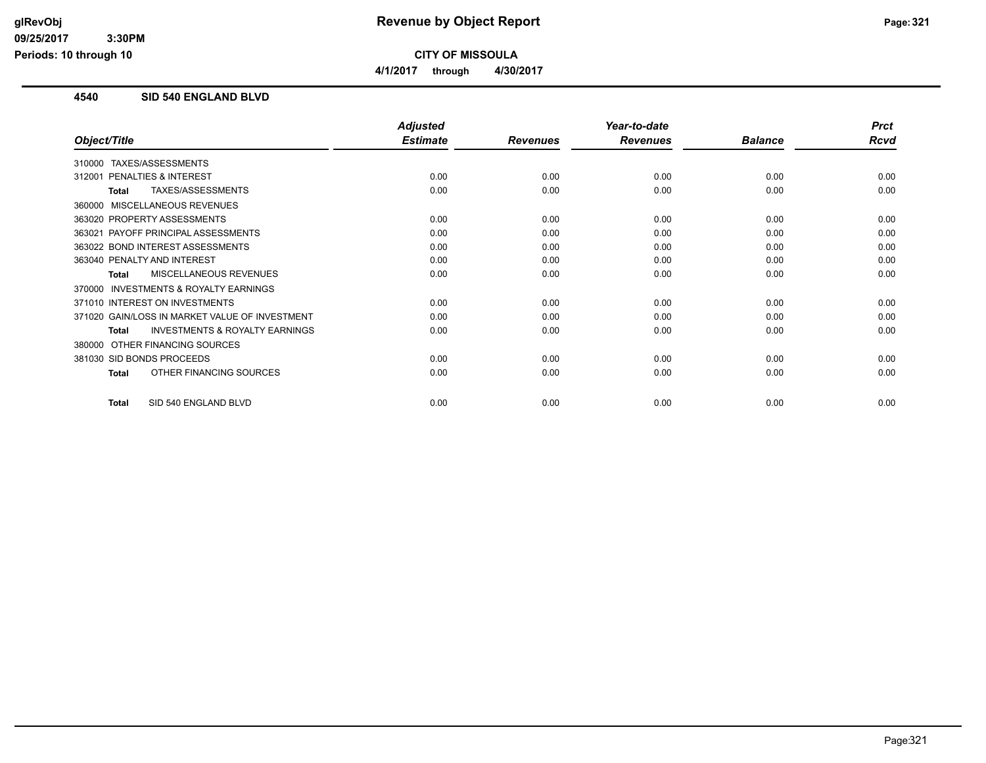**4/1/2017 through 4/30/2017**

# **4540 SID 540 ENGLAND BLVD**

|                                                           | <b>Adjusted</b> |                 | Year-to-date    |                | <b>Prct</b> |
|-----------------------------------------------------------|-----------------|-----------------|-----------------|----------------|-------------|
| Object/Title                                              | <b>Estimate</b> | <b>Revenues</b> | <b>Revenues</b> | <b>Balance</b> | <b>Rcvd</b> |
| TAXES/ASSESSMENTS<br>310000                               |                 |                 |                 |                |             |
| 312001 PENALTIES & INTEREST                               | 0.00            | 0.00            | 0.00            | 0.00           | 0.00        |
| TAXES/ASSESSMENTS<br><b>Total</b>                         | 0.00            | 0.00            | 0.00            | 0.00           | 0.00        |
| 360000 MISCELLANEOUS REVENUES                             |                 |                 |                 |                |             |
| 363020 PROPERTY ASSESSMENTS                               | 0.00            | 0.00            | 0.00            | 0.00           | 0.00        |
| 363021 PAYOFF PRINCIPAL ASSESSMENTS                       | 0.00            | 0.00            | 0.00            | 0.00           | 0.00        |
| 363022 BOND INTEREST ASSESSMENTS                          | 0.00            | 0.00            | 0.00            | 0.00           | 0.00        |
| 363040 PENALTY AND INTEREST                               | 0.00            | 0.00            | 0.00            | 0.00           | 0.00        |
| MISCELLANEOUS REVENUES<br>Total                           | 0.00            | 0.00            | 0.00            | 0.00           | 0.00        |
| 370000 INVESTMENTS & ROYALTY EARNINGS                     |                 |                 |                 |                |             |
| 371010 INTEREST ON INVESTMENTS                            | 0.00            | 0.00            | 0.00            | 0.00           | 0.00        |
| 371020 GAIN/LOSS IN MARKET VALUE OF INVESTMENT            | 0.00            | 0.00            | 0.00            | 0.00           | 0.00        |
| <b>INVESTMENTS &amp; ROYALTY EARNINGS</b><br><b>Total</b> | 0.00            | 0.00            | 0.00            | 0.00           | 0.00        |
| 380000 OTHER FINANCING SOURCES                            |                 |                 |                 |                |             |
| 381030 SID BONDS PROCEEDS                                 | 0.00            | 0.00            | 0.00            | 0.00           | 0.00        |
| OTHER FINANCING SOURCES<br>Total                          | 0.00            | 0.00            | 0.00            | 0.00           | 0.00        |
| SID 540 ENGLAND BLVD<br><b>Total</b>                      | 0.00            | 0.00            | 0.00            | 0.00           | 0.00        |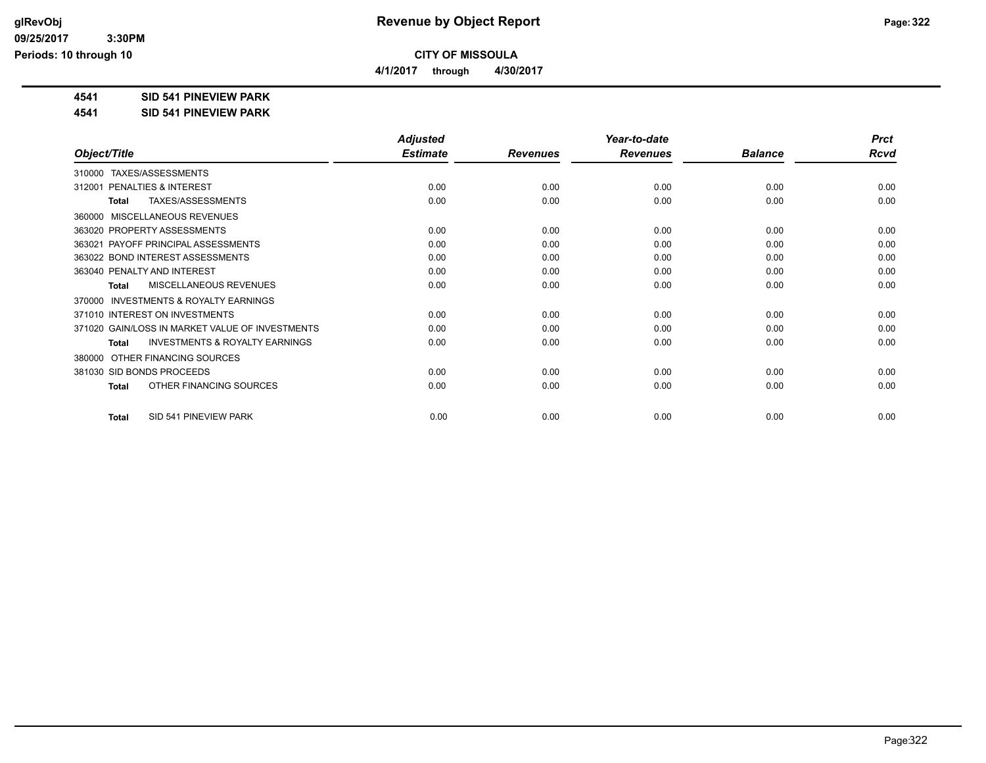**4/1/2017 through 4/30/2017**

**4541 SID 541 PINEVIEW PARK**

**4541 SID 541 PINEVIEW PARK**

|                                                     | <b>Adjusted</b> |                 | Year-to-date    |                | <b>Prct</b> |
|-----------------------------------------------------|-----------------|-----------------|-----------------|----------------|-------------|
| Object/Title                                        | <b>Estimate</b> | <b>Revenues</b> | <b>Revenues</b> | <b>Balance</b> | <b>Rcvd</b> |
| TAXES/ASSESSMENTS<br>310000                         |                 |                 |                 |                |             |
| PENALTIES & INTEREST<br>312001                      | 0.00            | 0.00            | 0.00            | 0.00           | 0.00        |
| <b>TAXES/ASSESSMENTS</b><br><b>Total</b>            | 0.00            | 0.00            | 0.00            | 0.00           | 0.00        |
| MISCELLANEOUS REVENUES<br>360000                    |                 |                 |                 |                |             |
| 363020 PROPERTY ASSESSMENTS                         | 0.00            | 0.00            | 0.00            | 0.00           | 0.00        |
| 363021 PAYOFF PRINCIPAL ASSESSMENTS                 | 0.00            | 0.00            | 0.00            | 0.00           | 0.00        |
| 363022 BOND INTEREST ASSESSMENTS                    | 0.00            | 0.00            | 0.00            | 0.00           | 0.00        |
| 363040 PENALTY AND INTEREST                         | 0.00            | 0.00            | 0.00            | 0.00           | 0.00        |
| <b>MISCELLANEOUS REVENUES</b><br><b>Total</b>       | 0.00            | 0.00            | 0.00            | 0.00           | 0.00        |
| <b>INVESTMENTS &amp; ROYALTY EARNINGS</b><br>370000 |                 |                 |                 |                |             |
| 371010 INTEREST ON INVESTMENTS                      | 0.00            | 0.00            | 0.00            | 0.00           | 0.00        |
| 371020 GAIN/LOSS IN MARKET VALUE OF INVESTMENTS     | 0.00            | 0.00            | 0.00            | 0.00           | 0.00        |
| <b>INVESTMENTS &amp; ROYALTY EARNINGS</b><br>Total  | 0.00            | 0.00            | 0.00            | 0.00           | 0.00        |
| OTHER FINANCING SOURCES<br>380000                   |                 |                 |                 |                |             |
| 381030 SID BONDS PROCEEDS                           | 0.00            | 0.00            | 0.00            | 0.00           | 0.00        |
| OTHER FINANCING SOURCES<br><b>Total</b>             | 0.00            | 0.00            | 0.00            | 0.00           | 0.00        |
| SID 541 PINEVIEW PARK<br><b>Total</b>               | 0.00            | 0.00            | 0.00            | 0.00           | 0.00        |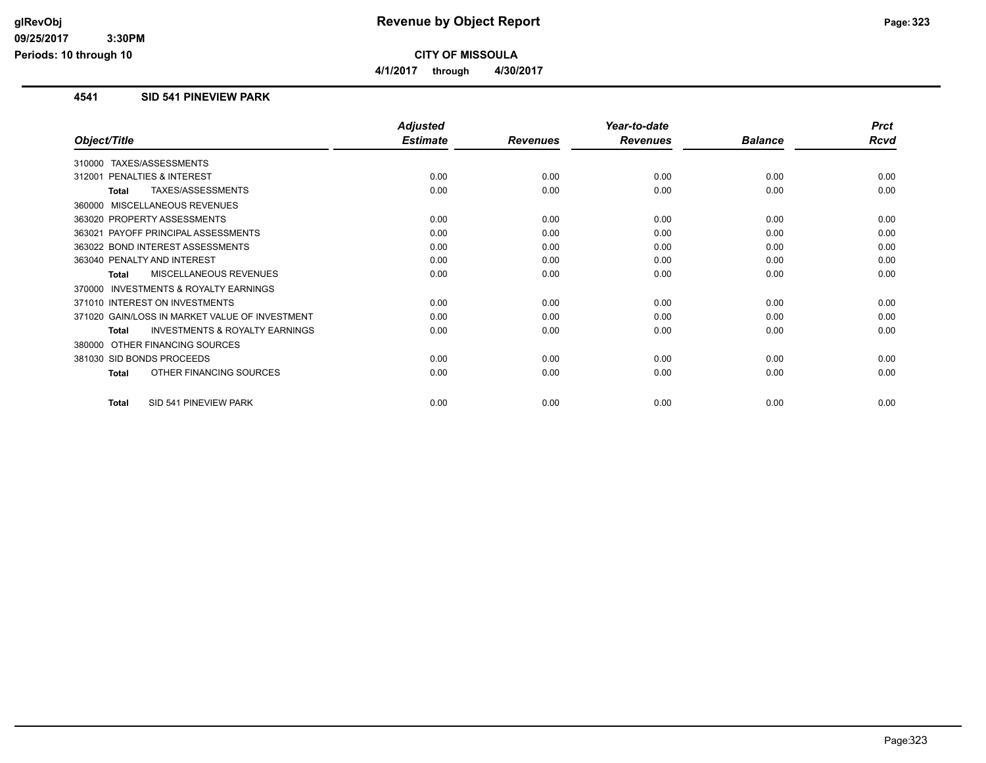**4/1/2017 through 4/30/2017**

# **4541 SID 541 PINEVIEW PARK**

|                                                           | <b>Adjusted</b> |                 | Year-to-date    |                | <b>Prct</b> |
|-----------------------------------------------------------|-----------------|-----------------|-----------------|----------------|-------------|
| Object/Title                                              | <b>Estimate</b> | <b>Revenues</b> | <b>Revenues</b> | <b>Balance</b> | <b>Rcvd</b> |
| TAXES/ASSESSMENTS<br>310000                               |                 |                 |                 |                |             |
| 312001 PENALTIES & INTEREST                               | 0.00            | 0.00            | 0.00            | 0.00           | 0.00        |
| TAXES/ASSESSMENTS<br><b>Total</b>                         | 0.00            | 0.00            | 0.00            | 0.00           | 0.00        |
| 360000 MISCELLANEOUS REVENUES                             |                 |                 |                 |                |             |
| 363020 PROPERTY ASSESSMENTS                               | 0.00            | 0.00            | 0.00            | 0.00           | 0.00        |
| 363021 PAYOFF PRINCIPAL ASSESSMENTS                       | 0.00            | 0.00            | 0.00            | 0.00           | 0.00        |
| 363022 BOND INTEREST ASSESSMENTS                          | 0.00            | 0.00            | 0.00            | 0.00           | 0.00        |
| 363040 PENALTY AND INTEREST                               | 0.00            | 0.00            | 0.00            | 0.00           | 0.00        |
| MISCELLANEOUS REVENUES<br>Total                           | 0.00            | 0.00            | 0.00            | 0.00           | 0.00        |
| 370000 INVESTMENTS & ROYALTY EARNINGS                     |                 |                 |                 |                |             |
| 371010 INTEREST ON INVESTMENTS                            | 0.00            | 0.00            | 0.00            | 0.00           | 0.00        |
| 371020 GAIN/LOSS IN MARKET VALUE OF INVESTMENT            | 0.00            | 0.00            | 0.00            | 0.00           | 0.00        |
| <b>INVESTMENTS &amp; ROYALTY EARNINGS</b><br><b>Total</b> | 0.00            | 0.00            | 0.00            | 0.00           | 0.00        |
| 380000 OTHER FINANCING SOURCES                            |                 |                 |                 |                |             |
| 381030 SID BONDS PROCEEDS                                 | 0.00            | 0.00            | 0.00            | 0.00           | 0.00        |
| OTHER FINANCING SOURCES<br>Total                          | 0.00            | 0.00            | 0.00            | 0.00           | 0.00        |
| SID 541 PINEVIEW PARK<br><b>Total</b>                     | 0.00            | 0.00            | 0.00            | 0.00           | 0.00        |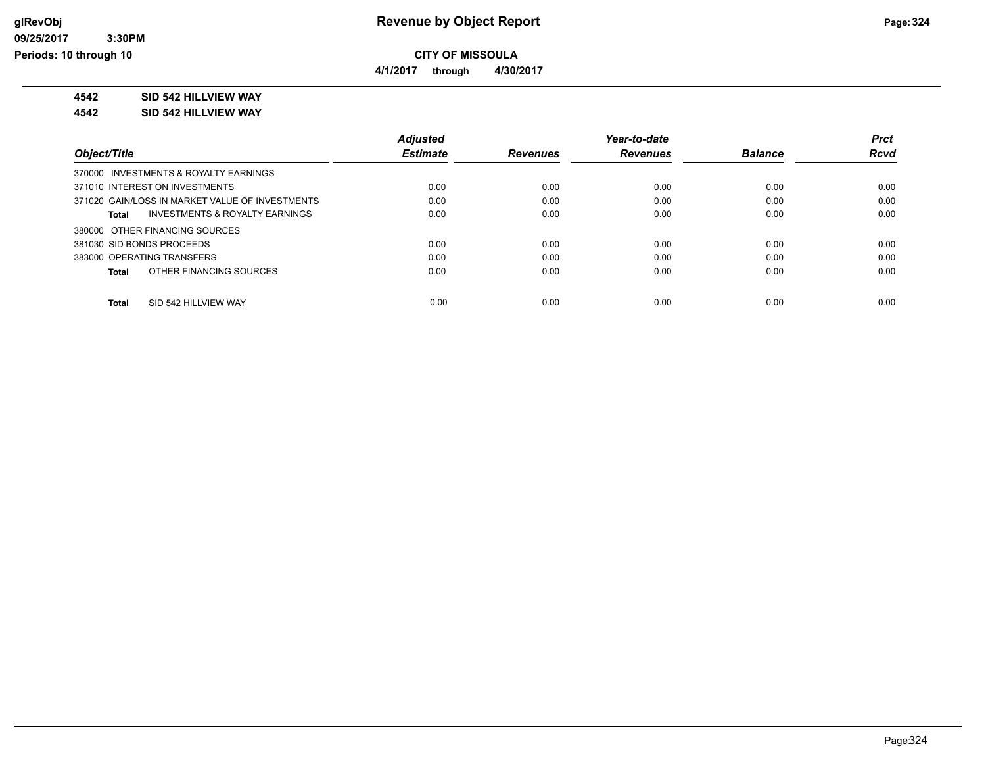**4/1/2017 through 4/30/2017**

# **4542 SID 542 HILLVIEW WAY**

**4542 SID 542 HILLVIEW WAY**

|                                                    | <b>Adjusted</b> |                 | Year-to-date    |                | <b>Prct</b> |
|----------------------------------------------------|-----------------|-----------------|-----------------|----------------|-------------|
| Object/Title                                       | <b>Estimate</b> | <b>Revenues</b> | <b>Revenues</b> | <b>Balance</b> | <b>Rcvd</b> |
| 370000 INVESTMENTS & ROYALTY EARNINGS              |                 |                 |                 |                |             |
| 371010 INTEREST ON INVESTMENTS                     | 0.00            | 0.00            | 0.00            | 0.00           | 0.00        |
| 371020 GAIN/LOSS IN MARKET VALUE OF INVESTMENTS    | 0.00            | 0.00            | 0.00            | 0.00           | 0.00        |
| <b>INVESTMENTS &amp; ROYALTY EARNINGS</b><br>Total | 0.00            | 0.00            | 0.00            | 0.00           | 0.00        |
| 380000 OTHER FINANCING SOURCES                     |                 |                 |                 |                |             |
| 381030 SID BONDS PROCEEDS                          | 0.00            | 0.00            | 0.00            | 0.00           | 0.00        |
| 383000 OPERATING TRANSFERS                         | 0.00            | 0.00            | 0.00            | 0.00           | 0.00        |
| OTHER FINANCING SOURCES<br>Total                   | 0.00            | 0.00            | 0.00            | 0.00           | 0.00        |
|                                                    |                 |                 |                 |                |             |
| SID 542 HILLVIEW WAY<br><b>Total</b>               | 0.00            | 0.00            | 0.00            | 0.00           | 0.00        |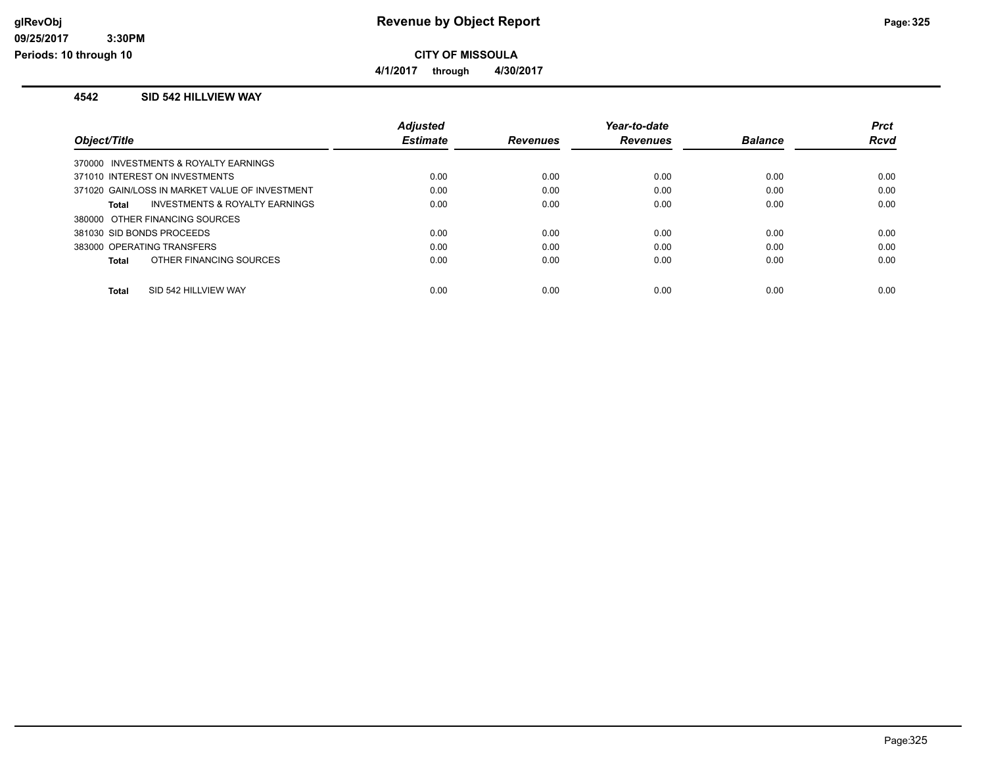**4/1/2017 through 4/30/2017**

#### **4542 SID 542 HILLVIEW WAY**

|                                                | <b>Adjusted</b> |                 | Year-to-date    |                | <b>Prct</b> |
|------------------------------------------------|-----------------|-----------------|-----------------|----------------|-------------|
| Object/Title                                   | <b>Estimate</b> | <b>Revenues</b> | <b>Revenues</b> | <b>Balance</b> | Rcvd        |
| 370000 INVESTMENTS & ROYALTY EARNINGS          |                 |                 |                 |                |             |
| 371010 INTEREST ON INVESTMENTS                 | 0.00            | 0.00            | 0.00            | 0.00           | 0.00        |
| 371020 GAIN/LOSS IN MARKET VALUE OF INVESTMENT | 0.00            | 0.00            | 0.00            | 0.00           | 0.00        |
| INVESTMENTS & ROYALTY EARNINGS<br>Total        | 0.00            | 0.00            | 0.00            | 0.00           | 0.00        |
| 380000 OTHER FINANCING SOURCES                 |                 |                 |                 |                |             |
| 381030 SID BONDS PROCEEDS                      | 0.00            | 0.00            | 0.00            | 0.00           | 0.00        |
| 383000 OPERATING TRANSFERS                     | 0.00            | 0.00            | 0.00            | 0.00           | 0.00        |
| OTHER FINANCING SOURCES<br>Total               | 0.00            | 0.00            | 0.00            | 0.00           | 0.00        |
| SID 542 HILLVIEW WAY<br>Total                  | 0.00            | 0.00            | 0.00            | 0.00           | 0.00        |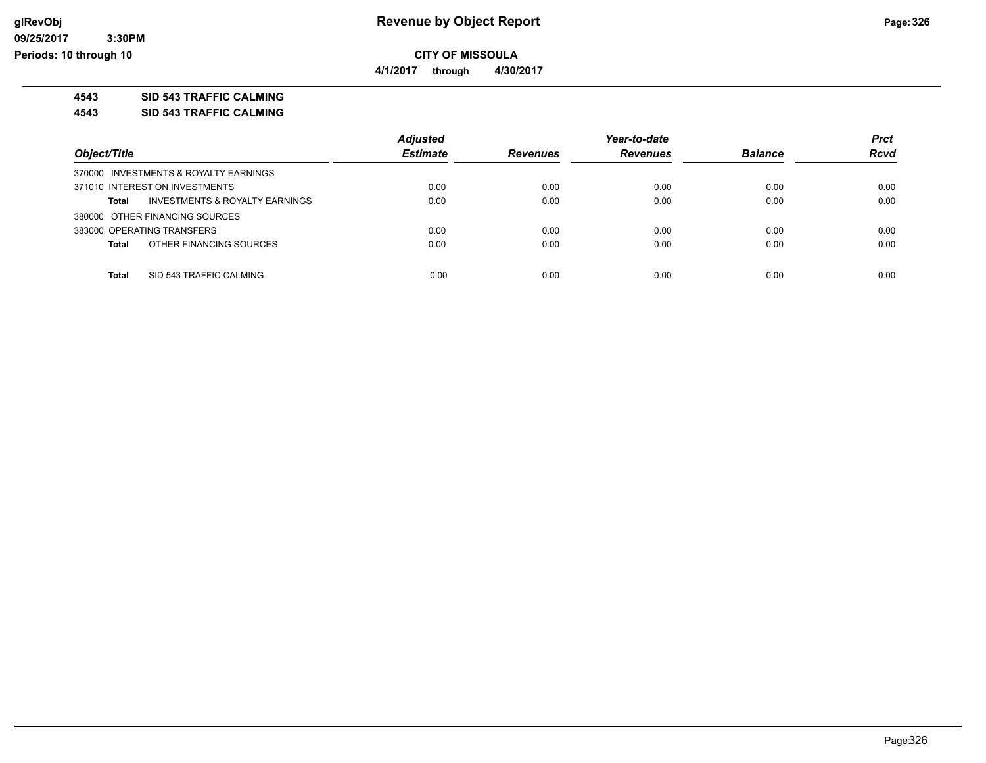**4/1/2017 through 4/30/2017**

#### **4543 SID 543 TRAFFIC CALMING**

#### **4543 SID 543 TRAFFIC CALMING**

|                                                | <b>Adjusted</b> |                 | Year-to-date    |                | <b>Prct</b> |
|------------------------------------------------|-----------------|-----------------|-----------------|----------------|-------------|
| Object/Title                                   | <b>Estimate</b> | <b>Revenues</b> | <b>Revenues</b> | <b>Balance</b> | <b>Rcvd</b> |
| 370000 INVESTMENTS & ROYALTY EARNINGS          |                 |                 |                 |                |             |
| 371010 INTEREST ON INVESTMENTS                 | 0.00            | 0.00            | 0.00            | 0.00           | 0.00        |
| INVESTMENTS & ROYALTY EARNINGS<br><b>Total</b> | 0.00            | 0.00            | 0.00            | 0.00           | 0.00        |
| 380000 OTHER FINANCING SOURCES                 |                 |                 |                 |                |             |
| 383000 OPERATING TRANSFERS                     | 0.00            | 0.00            | 0.00            | 0.00           | 0.00        |
| OTHER FINANCING SOURCES<br><b>Total</b>        | 0.00            | 0.00            | 0.00            | 0.00           | 0.00        |
|                                                |                 |                 |                 |                |             |
| SID 543 TRAFFIC CALMING<br><b>Total</b>        | 0.00            | 0.00            | 0.00            | 0.00           | 0.00        |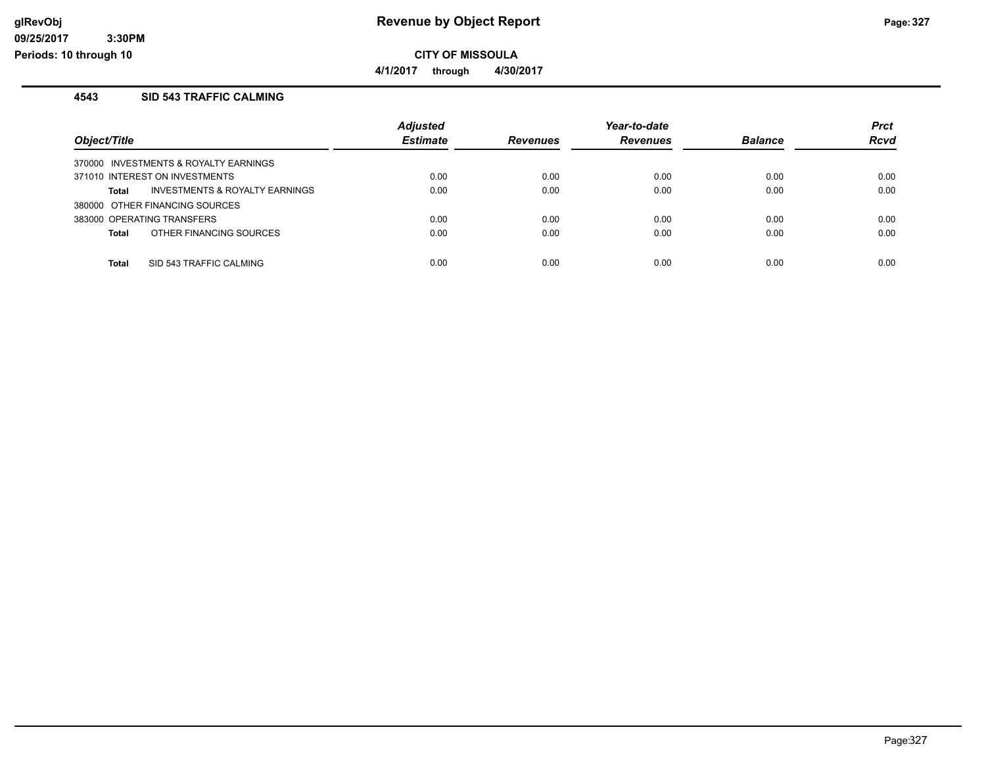**4/1/2017 through 4/30/2017**

#### **4543 SID 543 TRAFFIC CALMING**

| Object/Title                                       | <b>Adjusted</b><br><b>Estimate</b> | <b>Revenues</b> | Year-to-date<br><b>Revenues</b> | <b>Balance</b> | <b>Prct</b><br><b>Rcvd</b> |
|----------------------------------------------------|------------------------------------|-----------------|---------------------------------|----------------|----------------------------|
| INVESTMENTS & ROYALTY EARNINGS<br>370000           |                                    |                 |                                 |                |                            |
| 371010 INTEREST ON INVESTMENTS                     | 0.00                               | 0.00            | 0.00                            | 0.00           | 0.00                       |
| <b>INVESTMENTS &amp; ROYALTY EARNINGS</b><br>Total | 0.00                               | 0.00            | 0.00                            | 0.00           | 0.00                       |
| 380000 OTHER FINANCING SOURCES                     |                                    |                 |                                 |                |                            |
| 383000 OPERATING TRANSFERS                         | 0.00                               | 0.00            | 0.00                            | 0.00           | 0.00                       |
| OTHER FINANCING SOURCES<br><b>Total</b>            | 0.00                               | 0.00            | 0.00                            | 0.00           | 0.00                       |
|                                                    |                                    |                 |                                 |                |                            |
| SID 543 TRAFFIC CALMING<br>Total                   | 0.00                               | 0.00            | 0.00                            | 0.00           | 0.00                       |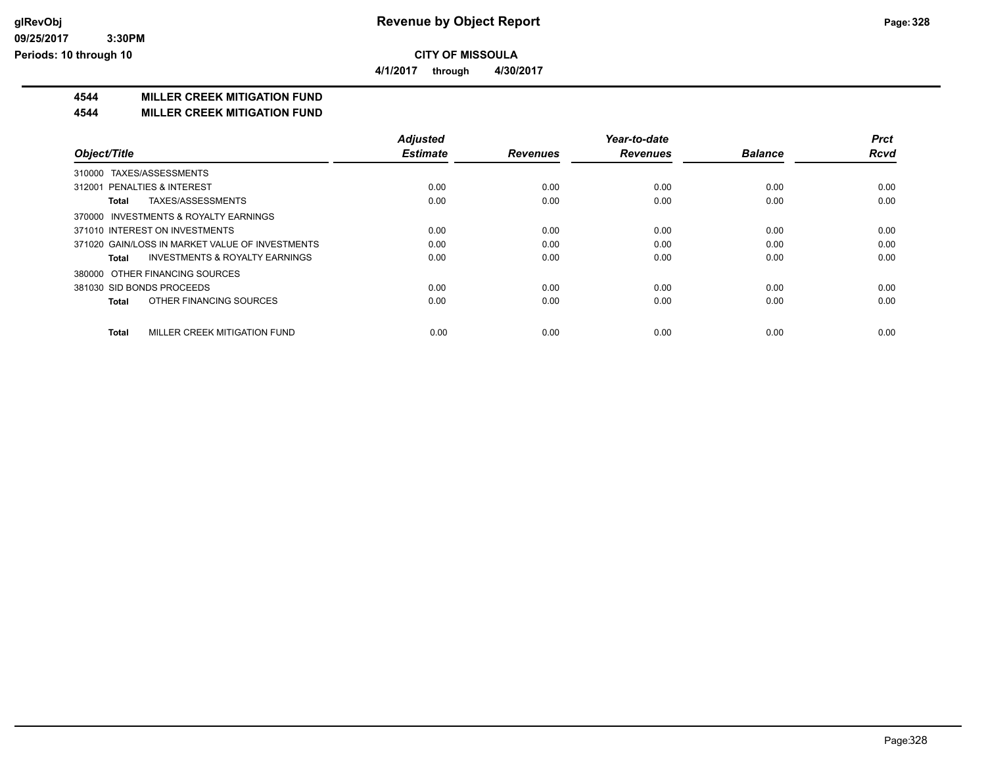**4/1/2017 through 4/30/2017**

## **4544 MILLER CREEK MITIGATION FUND**

#### **4544 MILLER CREEK MITIGATION FUND**

|                                                    | <b>Adjusted</b> |                 | Year-to-date    |                | <b>Prct</b> |
|----------------------------------------------------|-----------------|-----------------|-----------------|----------------|-------------|
| Object/Title                                       | <b>Estimate</b> | <b>Revenues</b> | <b>Revenues</b> | <b>Balance</b> | <b>Rcvd</b> |
| TAXES/ASSESSMENTS<br>310000                        |                 |                 |                 |                |             |
| <b>PENALTIES &amp; INTEREST</b><br>312001          | 0.00            | 0.00            | 0.00            | 0.00           | 0.00        |
| TAXES/ASSESSMENTS<br>Total                         | 0.00            | 0.00            | 0.00            | 0.00           | 0.00        |
| 370000 INVESTMENTS & ROYALTY EARNINGS              |                 |                 |                 |                |             |
| 371010 INTEREST ON INVESTMENTS                     | 0.00            | 0.00            | 0.00            | 0.00           | 0.00        |
| 371020 GAIN/LOSS IN MARKET VALUE OF INVESTMENTS    | 0.00            | 0.00            | 0.00            | 0.00           | 0.00        |
| <b>INVESTMENTS &amp; ROYALTY EARNINGS</b><br>Total | 0.00            | 0.00            | 0.00            | 0.00           | 0.00        |
| 380000 OTHER FINANCING SOURCES                     |                 |                 |                 |                |             |
| 381030 SID BONDS PROCEEDS                          | 0.00            | 0.00            | 0.00            | 0.00           | 0.00        |
| OTHER FINANCING SOURCES<br>Total                   | 0.00            | 0.00            | 0.00            | 0.00           | 0.00        |
| MILLER CREEK MITIGATION FUND<br><b>Total</b>       | 0.00            | 0.00            | 0.00            | 0.00           | 0.00        |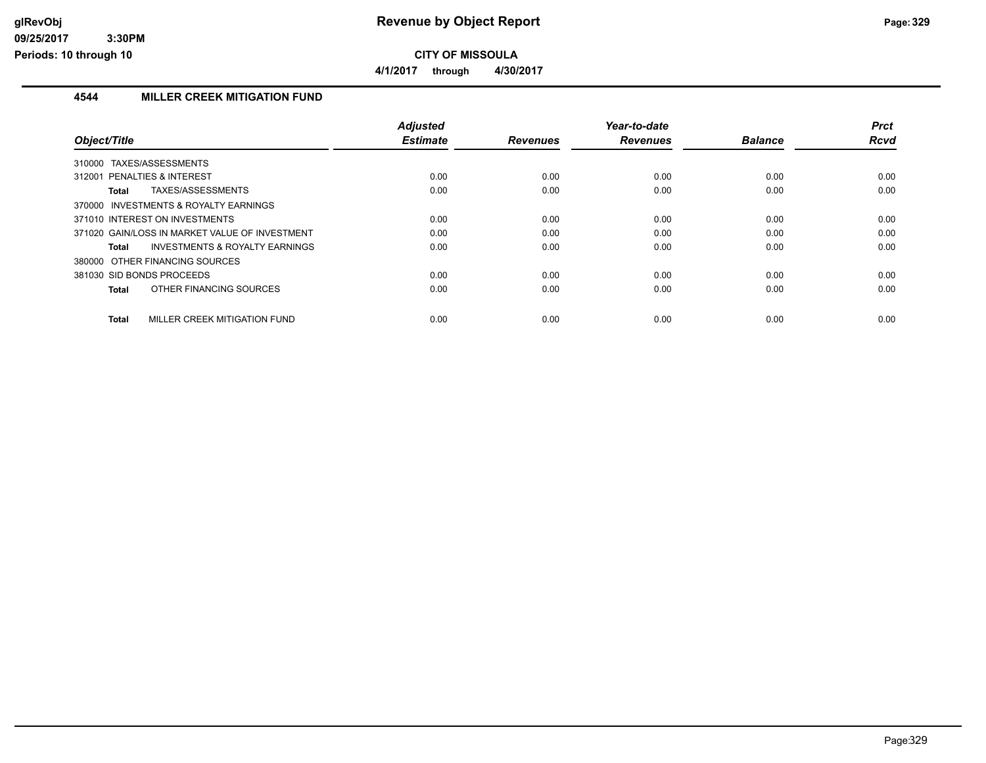**4/1/2017 through 4/30/2017**

#### **4544 MILLER CREEK MITIGATION FUND**

| Object/Title                                       | <b>Adjusted</b><br><b>Estimate</b> | <b>Revenues</b> | Year-to-date<br><b>Revenues</b> | <b>Balance</b> | <b>Prct</b><br><b>Rcvd</b> |
|----------------------------------------------------|------------------------------------|-----------------|---------------------------------|----------------|----------------------------|
| TAXES/ASSESSMENTS<br>310000                        |                                    |                 |                                 |                |                            |
| 312001 PENALTIES & INTEREST                        | 0.00                               | 0.00            | 0.00                            | 0.00           | 0.00                       |
| TAXES/ASSESSMENTS<br>Total                         | 0.00                               | 0.00            | 0.00                            | 0.00           | 0.00                       |
| 370000 INVESTMENTS & ROYALTY EARNINGS              |                                    |                 |                                 |                |                            |
| 371010 INTEREST ON INVESTMENTS                     | 0.00                               | 0.00            | 0.00                            | 0.00           | 0.00                       |
| 371020 GAIN/LOSS IN MARKET VALUE OF INVESTMENT     | 0.00                               | 0.00            | 0.00                            | 0.00           | 0.00                       |
| <b>INVESTMENTS &amp; ROYALTY EARNINGS</b><br>Total | 0.00                               | 0.00            | 0.00                            | 0.00           | 0.00                       |
| 380000 OTHER FINANCING SOURCES                     |                                    |                 |                                 |                |                            |
| 381030 SID BONDS PROCEEDS                          | 0.00                               | 0.00            | 0.00                            | 0.00           | 0.00                       |
| OTHER FINANCING SOURCES<br>Total                   | 0.00                               | 0.00            | 0.00                            | 0.00           | 0.00                       |
| MILLER CREEK MITIGATION FUND<br><b>Total</b>       | 0.00                               | 0.00            | 0.00                            | 0.00           | 0.00                       |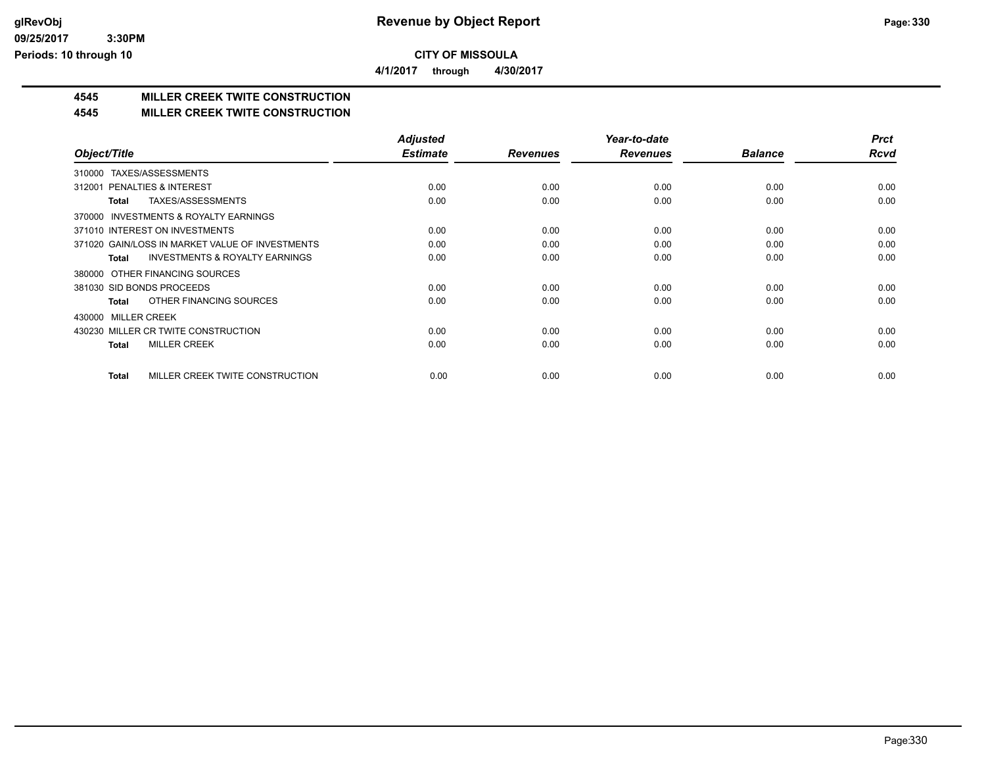**4/1/2017 through 4/30/2017**

# **4545 MILLER CREEK TWITE CONSTRUCTION**

#### **4545 MILLER CREEK TWITE CONSTRUCTION**

|                                                     | <b>Adjusted</b> |                 | Year-to-date    |                | <b>Prct</b> |
|-----------------------------------------------------|-----------------|-----------------|-----------------|----------------|-------------|
| Object/Title                                        | <b>Estimate</b> | <b>Revenues</b> | <b>Revenues</b> | <b>Balance</b> | <b>Rcvd</b> |
| TAXES/ASSESSMENTS<br>310000                         |                 |                 |                 |                |             |
| 312001 PENALTIES & INTEREST                         | 0.00            | 0.00            | 0.00            | 0.00           | 0.00        |
| <b>TAXES/ASSESSMENTS</b><br><b>Total</b>            | 0.00            | 0.00            | 0.00            | 0.00           | 0.00        |
| <b>INVESTMENTS &amp; ROYALTY EARNINGS</b><br>370000 |                 |                 |                 |                |             |
| 371010 INTEREST ON INVESTMENTS                      | 0.00            | 0.00            | 0.00            | 0.00           | 0.00        |
| 371020 GAIN/LOSS IN MARKET VALUE OF INVESTMENTS     | 0.00            | 0.00            | 0.00            | 0.00           | 0.00        |
| <b>INVESTMENTS &amp; ROYALTY EARNINGS</b><br>Total  | 0.00            | 0.00            | 0.00            | 0.00           | 0.00        |
| OTHER FINANCING SOURCES<br>380000                   |                 |                 |                 |                |             |
| 381030 SID BONDS PROCEEDS                           | 0.00            | 0.00            | 0.00            | 0.00           | 0.00        |
| OTHER FINANCING SOURCES<br>Total                    | 0.00            | 0.00            | 0.00            | 0.00           | 0.00        |
| <b>MILLER CREEK</b><br>430000                       |                 |                 |                 |                |             |
| 430230 MILLER CR TWITE CONSTRUCTION                 | 0.00            | 0.00            | 0.00            | 0.00           | 0.00        |
| <b>MILLER CREEK</b><br>Total                        | 0.00            | 0.00            | 0.00            | 0.00           | 0.00        |
|                                                     |                 |                 |                 |                |             |
| MILLER CREEK TWITE CONSTRUCTION<br><b>Total</b>     | 0.00            | 0.00            | 0.00            | 0.00           | 0.00        |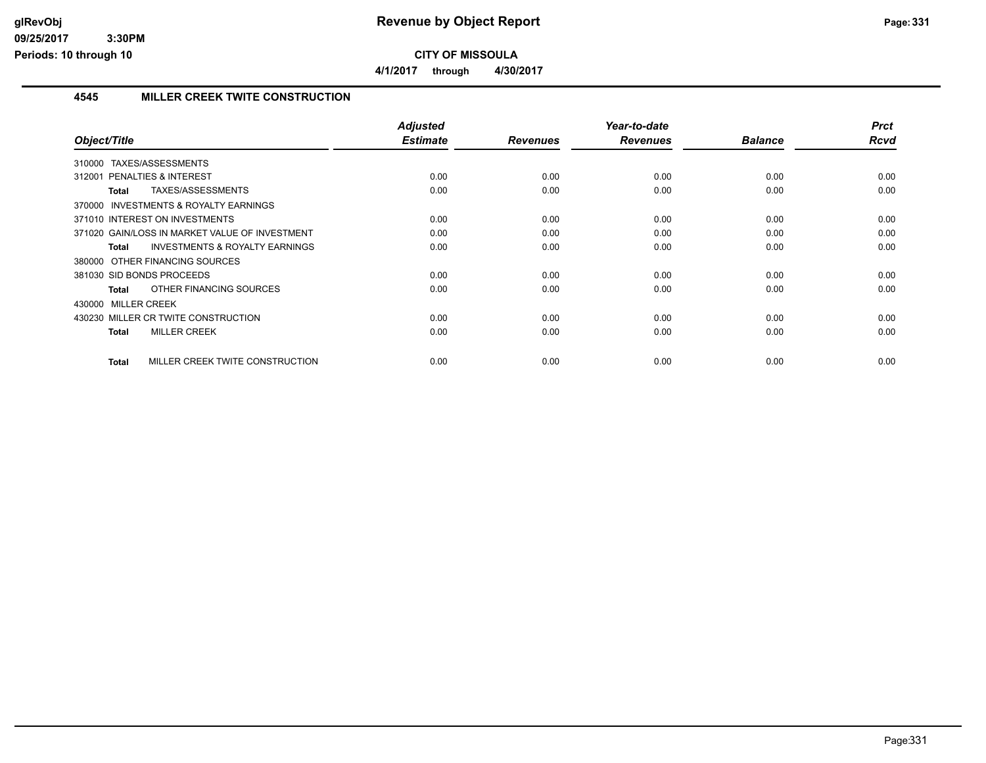**4/1/2017 through 4/30/2017**

#### **4545 MILLER CREEK TWITE CONSTRUCTION**

| Object/Title              |                                                | <b>Adjusted</b><br><b>Estimate</b> | <b>Revenues</b> | Year-to-date<br><b>Revenues</b> | <b>Balance</b> | <b>Prct</b><br><b>Rcvd</b> |
|---------------------------|------------------------------------------------|------------------------------------|-----------------|---------------------------------|----------------|----------------------------|
| 310000 TAXES/ASSESSMENTS  |                                                |                                    |                 |                                 |                |                            |
|                           | 312001 PENALTIES & INTEREST                    | 0.00                               | 0.00            | 0.00                            | 0.00           | 0.00                       |
| <b>Total</b>              | TAXES/ASSESSMENTS                              | 0.00                               | 0.00            | 0.00                            | 0.00           | 0.00                       |
|                           | 370000 INVESTMENTS & ROYALTY EARNINGS          |                                    |                 |                                 |                |                            |
|                           | 371010 INTEREST ON INVESTMENTS                 | 0.00                               | 0.00            | 0.00                            | 0.00           | 0.00                       |
|                           | 371020 GAIN/LOSS IN MARKET VALUE OF INVESTMENT | 0.00                               | 0.00            | 0.00                            | 0.00           | 0.00                       |
| <b>Total</b>              | <b>INVESTMENTS &amp; ROYALTY EARNINGS</b>      | 0.00                               | 0.00            | 0.00                            | 0.00           | 0.00                       |
|                           | 380000 OTHER FINANCING SOURCES                 |                                    |                 |                                 |                |                            |
| 381030 SID BONDS PROCEEDS |                                                | 0.00                               | 0.00            | 0.00                            | 0.00           | 0.00                       |
| <b>Total</b>              | OTHER FINANCING SOURCES                        | 0.00                               | 0.00            | 0.00                            | 0.00           | 0.00                       |
| 430000 MILLER CREEK       |                                                |                                    |                 |                                 |                |                            |
|                           | 430230 MILLER CR TWITE CONSTRUCTION            | 0.00                               | 0.00            | 0.00                            | 0.00           | 0.00                       |
| <b>Total</b>              | <b>MILLER CREEK</b>                            | 0.00                               | 0.00            | 0.00                            | 0.00           | 0.00                       |
| <b>Total</b>              | MILLER CREEK TWITE CONSTRUCTION                | 0.00                               | 0.00            | 0.00                            | 0.00           | 0.00                       |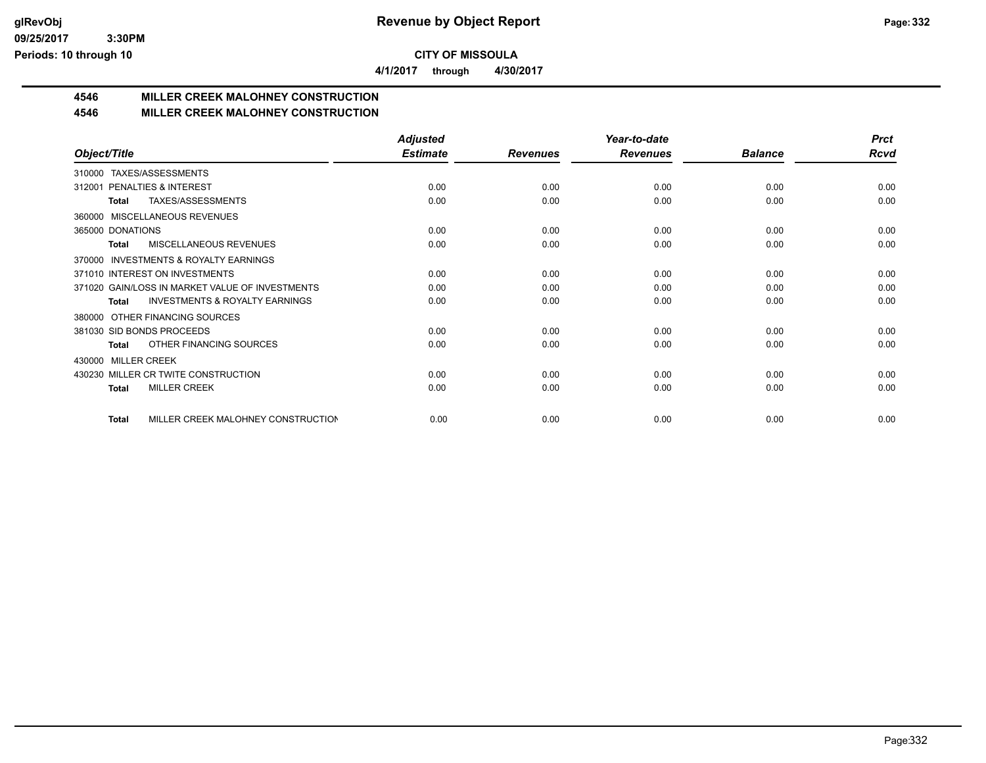**4/1/2017 through 4/30/2017**

# **4546 MILLER CREEK MALOHNEY CONSTRUCTION**

## **4546 MILLER CREEK MALOHNEY CONSTRUCTION**

|                                                           | <b>Adjusted</b> |                 | Year-to-date    |                | <b>Prct</b> |
|-----------------------------------------------------------|-----------------|-----------------|-----------------|----------------|-------------|
| Object/Title                                              | <b>Estimate</b> | <b>Revenues</b> | <b>Revenues</b> | <b>Balance</b> | <b>Rcvd</b> |
| TAXES/ASSESSMENTS<br>310000                               |                 |                 |                 |                |             |
| PENALTIES & INTEREST<br>312001                            | 0.00            | 0.00            | 0.00            | 0.00           | 0.00        |
| TAXES/ASSESSMENTS<br><b>Total</b>                         | 0.00            | 0.00            | 0.00            | 0.00           | 0.00        |
| 360000 MISCELLANEOUS REVENUES                             |                 |                 |                 |                |             |
| 365000 DONATIONS                                          | 0.00            | 0.00            | 0.00            | 0.00           | 0.00        |
| <b>MISCELLANEOUS REVENUES</b><br><b>Total</b>             | 0.00            | 0.00            | 0.00            | 0.00           | 0.00        |
| <b>INVESTMENTS &amp; ROYALTY EARNINGS</b><br>370000       |                 |                 |                 |                |             |
| 371010 INTEREST ON INVESTMENTS                            | 0.00            | 0.00            | 0.00            | 0.00           | 0.00        |
| 371020 GAIN/LOSS IN MARKET VALUE OF INVESTMENTS           | 0.00            | 0.00            | 0.00            | 0.00           | 0.00        |
| <b>INVESTMENTS &amp; ROYALTY EARNINGS</b><br><b>Total</b> | 0.00            | 0.00            | 0.00            | 0.00           | 0.00        |
| OTHER FINANCING SOURCES<br>380000                         |                 |                 |                 |                |             |
| 381030 SID BONDS PROCEEDS                                 | 0.00            | 0.00            | 0.00            | 0.00           | 0.00        |
| OTHER FINANCING SOURCES<br><b>Total</b>                   | 0.00            | 0.00            | 0.00            | 0.00           | 0.00        |
| 430000 MILLER CREEK                                       |                 |                 |                 |                |             |
| 430230 MILLER CR TWITE CONSTRUCTION                       | 0.00            | 0.00            | 0.00            | 0.00           | 0.00        |
| <b>MILLER CREEK</b><br>Total                              | 0.00            | 0.00            | 0.00            | 0.00           | 0.00        |
|                                                           |                 |                 |                 |                |             |
| MILLER CREEK MALOHNEY CONSTRUCTION<br><b>Total</b>        | 0.00            | 0.00            | 0.00            | 0.00           | 0.00        |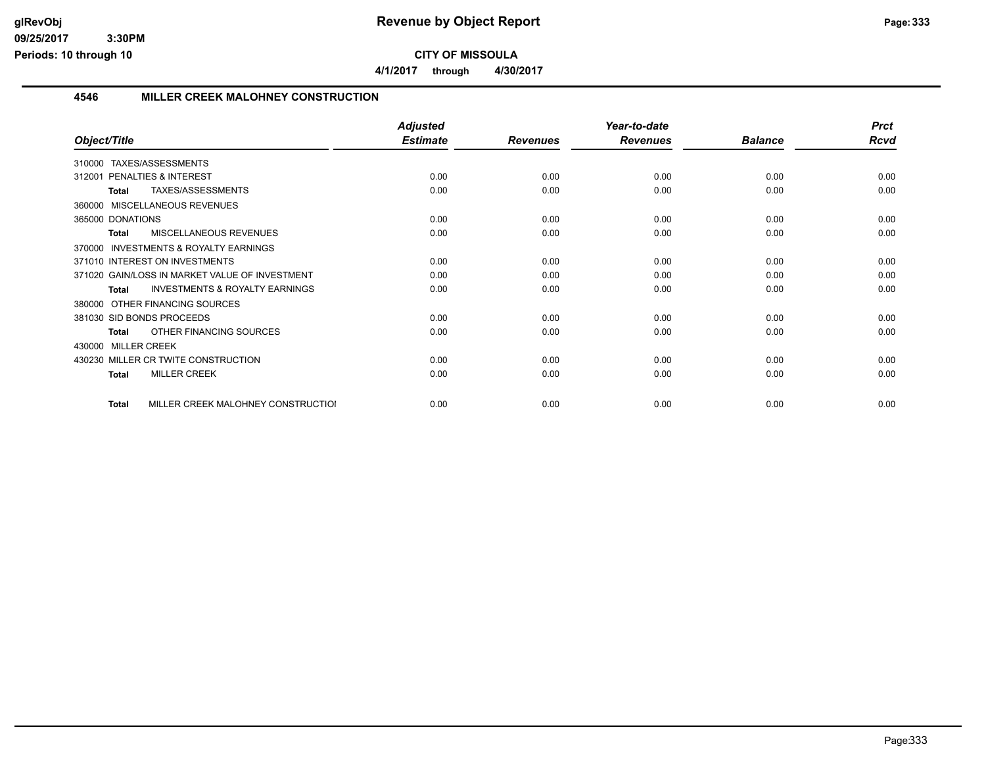**4/1/2017 through 4/30/2017**

#### **4546 MILLER CREEK MALOHNEY CONSTRUCTION**

|                                                    | <b>Adjusted</b> |                 | Year-to-date    |                | <b>Prct</b> |
|----------------------------------------------------|-----------------|-----------------|-----------------|----------------|-------------|
| Object/Title                                       | <b>Estimate</b> | <b>Revenues</b> | <b>Revenues</b> | <b>Balance</b> | <b>Rcvd</b> |
| TAXES/ASSESSMENTS<br>310000                        |                 |                 |                 |                |             |
| PENALTIES & INTEREST<br>312001                     | 0.00            | 0.00            | 0.00            | 0.00           | 0.00        |
| TAXES/ASSESSMENTS<br>Total                         | 0.00            | 0.00            | 0.00            | 0.00           | 0.00        |
| 360000 MISCELLANEOUS REVENUES                      |                 |                 |                 |                |             |
| 365000 DONATIONS                                   | 0.00            | 0.00            | 0.00            | 0.00           | 0.00        |
| MISCELLANEOUS REVENUES<br><b>Total</b>             | 0.00            | 0.00            | 0.00            | 0.00           | 0.00        |
| INVESTMENTS & ROYALTY EARNINGS<br>370000           |                 |                 |                 |                |             |
| 371010 INTEREST ON INVESTMENTS                     | 0.00            | 0.00            | 0.00            | 0.00           | 0.00        |
| 371020 GAIN/LOSS IN MARKET VALUE OF INVESTMENT     | 0.00            | 0.00            | 0.00            | 0.00           | 0.00        |
| <b>INVESTMENTS &amp; ROYALTY EARNINGS</b><br>Total | 0.00            | 0.00            | 0.00            | 0.00           | 0.00        |
| 380000 OTHER FINANCING SOURCES                     |                 |                 |                 |                |             |
| 381030 SID BONDS PROCEEDS                          | 0.00            | 0.00            | 0.00            | 0.00           | 0.00        |
| OTHER FINANCING SOURCES<br>Total                   | 0.00            | 0.00            | 0.00            | 0.00           | 0.00        |
| 430000 MILLER CREEK                                |                 |                 |                 |                |             |
| 430230 MILLER CR TWITE CONSTRUCTION                | 0.00            | 0.00            | 0.00            | 0.00           | 0.00        |
| <b>MILLER CREEK</b><br><b>Total</b>                | 0.00            | 0.00            | 0.00            | 0.00           | 0.00        |
| MILLER CREEK MALOHNEY CONSTRUCTIOI<br>Total        | 0.00            | 0.00            | 0.00            | 0.00           | 0.00        |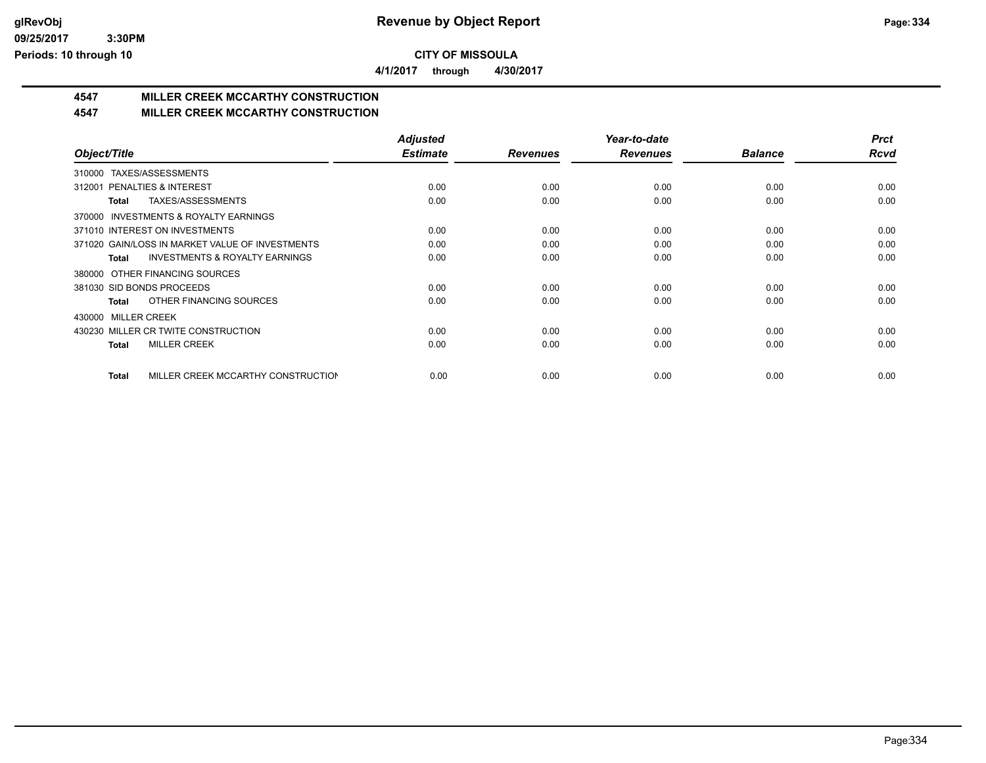**4/1/2017 through 4/30/2017**

# **4547 MILLER CREEK MCCARTHY CONSTRUCTION**

## **4547 MILLER CREEK MCCARTHY CONSTRUCTION**

|                                                     | <b>Adjusted</b> |                 | Year-to-date    |                | <b>Prct</b> |
|-----------------------------------------------------|-----------------|-----------------|-----------------|----------------|-------------|
| Object/Title                                        | <b>Estimate</b> | <b>Revenues</b> | <b>Revenues</b> | <b>Balance</b> | Rcvd        |
| TAXES/ASSESSMENTS<br>310000                         |                 |                 |                 |                |             |
| <b>PENALTIES &amp; INTEREST</b><br>312001           | 0.00            | 0.00            | 0.00            | 0.00           | 0.00        |
| <b>TAXES/ASSESSMENTS</b><br>Total                   | 0.00            | 0.00            | 0.00            | 0.00           | 0.00        |
| <b>INVESTMENTS &amp; ROYALTY EARNINGS</b><br>370000 |                 |                 |                 |                |             |
| 371010 INTEREST ON INVESTMENTS                      | 0.00            | 0.00            | 0.00            | 0.00           | 0.00        |
| 371020 GAIN/LOSS IN MARKET VALUE OF INVESTMENTS     | 0.00            | 0.00            | 0.00            | 0.00           | 0.00        |
| <b>INVESTMENTS &amp; ROYALTY EARNINGS</b><br>Total  | 0.00            | 0.00            | 0.00            | 0.00           | 0.00        |
| 380000 OTHER FINANCING SOURCES                      |                 |                 |                 |                |             |
| 381030 SID BONDS PROCEEDS                           | 0.00            | 0.00            | 0.00            | 0.00           | 0.00        |
| OTHER FINANCING SOURCES<br>Total                    | 0.00            | 0.00            | 0.00            | 0.00           | 0.00        |
| 430000 MILLER CREEK                                 |                 |                 |                 |                |             |
| 430230 MILLER CR TWITE CONSTRUCTION                 | 0.00            | 0.00            | 0.00            | 0.00           | 0.00        |
| <b>MILLER CREEK</b><br>Total                        | 0.00            | 0.00            | 0.00            | 0.00           | 0.00        |
|                                                     |                 |                 |                 |                |             |
| MILLER CREEK MCCARTHY CONSTRUCTION<br><b>Total</b>  | 0.00            | 0.00            | 0.00            | 0.00           | 0.00        |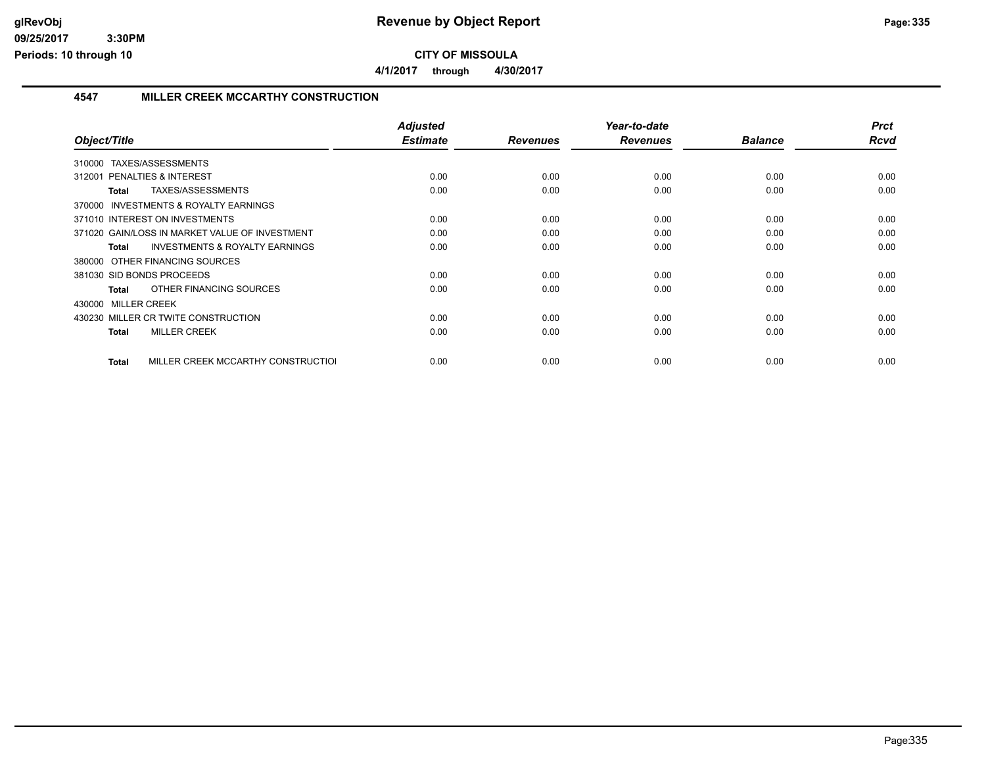**4/1/2017 through 4/30/2017**

#### **4547 MILLER CREEK MCCARTHY CONSTRUCTION**

| Object/Title                                              | <b>Adjusted</b><br><b>Estimate</b> | <b>Revenues</b> | Year-to-date<br><b>Revenues</b> | <b>Balance</b> | <b>Prct</b><br><b>Rcvd</b> |
|-----------------------------------------------------------|------------------------------------|-----------------|---------------------------------|----------------|----------------------------|
| 310000 TAXES/ASSESSMENTS                                  |                                    |                 |                                 |                |                            |
| <b>PENALTIES &amp; INTEREST</b><br>312001                 | 0.00                               | 0.00            | 0.00                            | 0.00           | 0.00                       |
| TAXES/ASSESSMENTS<br>Total                                | 0.00                               | 0.00            | 0.00                            | 0.00           | 0.00                       |
| 370000 INVESTMENTS & ROYALTY EARNINGS                     |                                    |                 |                                 |                |                            |
| 371010 INTEREST ON INVESTMENTS                            | 0.00                               | 0.00            | 0.00                            | 0.00           | 0.00                       |
| 371020 GAIN/LOSS IN MARKET VALUE OF INVESTMENT            | 0.00                               | 0.00            | 0.00                            | 0.00           | 0.00                       |
| <b>INVESTMENTS &amp; ROYALTY EARNINGS</b><br><b>Total</b> | 0.00                               | 0.00            | 0.00                            | 0.00           | 0.00                       |
| 380000 OTHER FINANCING SOURCES                            |                                    |                 |                                 |                |                            |
| 381030 SID BONDS PROCEEDS                                 | 0.00                               | 0.00            | 0.00                            | 0.00           | 0.00                       |
| OTHER FINANCING SOURCES<br>Total                          | 0.00                               | 0.00            | 0.00                            | 0.00           | 0.00                       |
| 430000 MILLER CREEK                                       |                                    |                 |                                 |                |                            |
| 430230 MILLER CR TWITE CONSTRUCTION                       | 0.00                               | 0.00            | 0.00                            | 0.00           | 0.00                       |
| <b>MILLER CREEK</b><br>Total                              | 0.00                               | 0.00            | 0.00                            | 0.00           | 0.00                       |
| MILLER CREEK MCCARTHY CONSTRUCTION<br><b>Total</b>        | 0.00                               | 0.00            | 0.00                            | 0.00           | 0.00                       |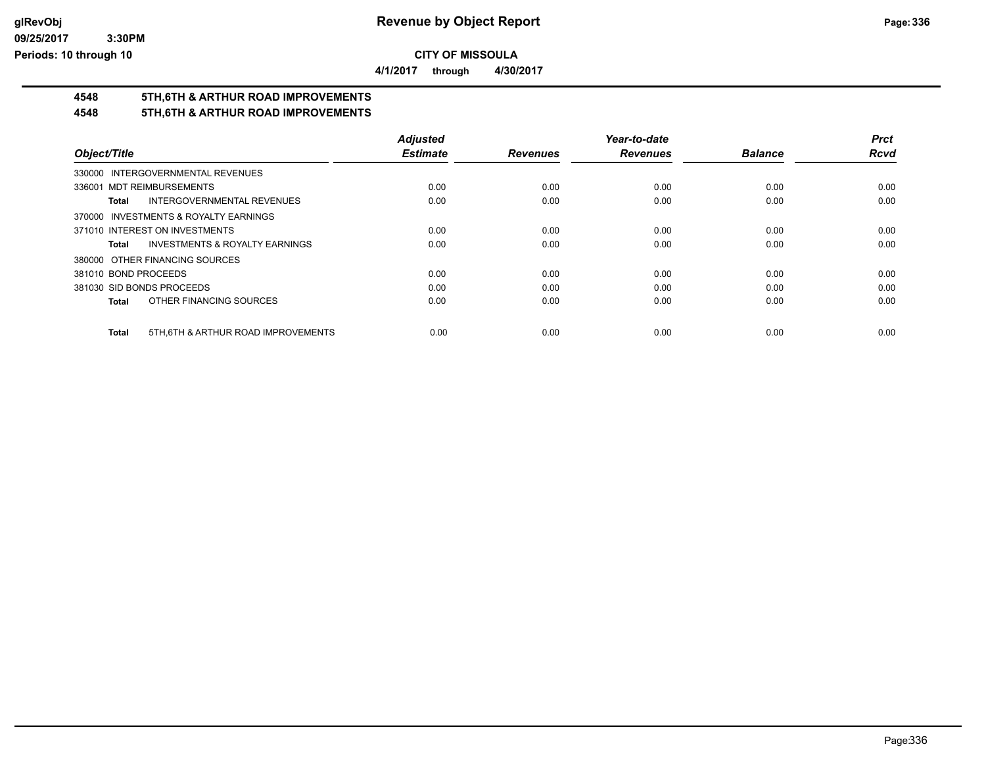**4/1/2017 through 4/30/2017**

# **4548 5TH,6TH & ARTHUR ROAD IMPROVEMENTS**

# **4548 5TH,6TH & ARTHUR ROAD IMPROVEMENTS**

|                                                    | <b>Adjusted</b> |                 | Year-to-date    |                | <b>Prct</b> |
|----------------------------------------------------|-----------------|-----------------|-----------------|----------------|-------------|
| Object/Title                                       | <b>Estimate</b> | <b>Revenues</b> | <b>Revenues</b> | <b>Balance</b> | <b>Rcvd</b> |
| 330000 INTERGOVERNMENTAL REVENUES                  |                 |                 |                 |                |             |
| <b>MDT REIMBURSEMENTS</b><br>336001                | 0.00            | 0.00            | 0.00            | 0.00           | 0.00        |
| INTERGOVERNMENTAL REVENUES<br>Total                | 0.00            | 0.00            | 0.00            | 0.00           | 0.00        |
| 370000 INVESTMENTS & ROYALTY EARNINGS              |                 |                 |                 |                |             |
| 371010 INTEREST ON INVESTMENTS                     | 0.00            | 0.00            | 0.00            | 0.00           | 0.00        |
| <b>INVESTMENTS &amp; ROYALTY EARNINGS</b><br>Total | 0.00            | 0.00            | 0.00            | 0.00           | 0.00        |
| 380000 OTHER FINANCING SOURCES                     |                 |                 |                 |                |             |
| 381010 BOND PROCEEDS                               | 0.00            | 0.00            | 0.00            | 0.00           | 0.00        |
| 381030 SID BONDS PROCEEDS                          | 0.00            | 0.00            | 0.00            | 0.00           | 0.00        |
| OTHER FINANCING SOURCES<br>Total                   | 0.00            | 0.00            | 0.00            | 0.00           | 0.00        |
| Total<br>5TH.6TH & ARTHUR ROAD IMPROVEMENTS        | 0.00            | 0.00            | 0.00            | 0.00           | 0.00        |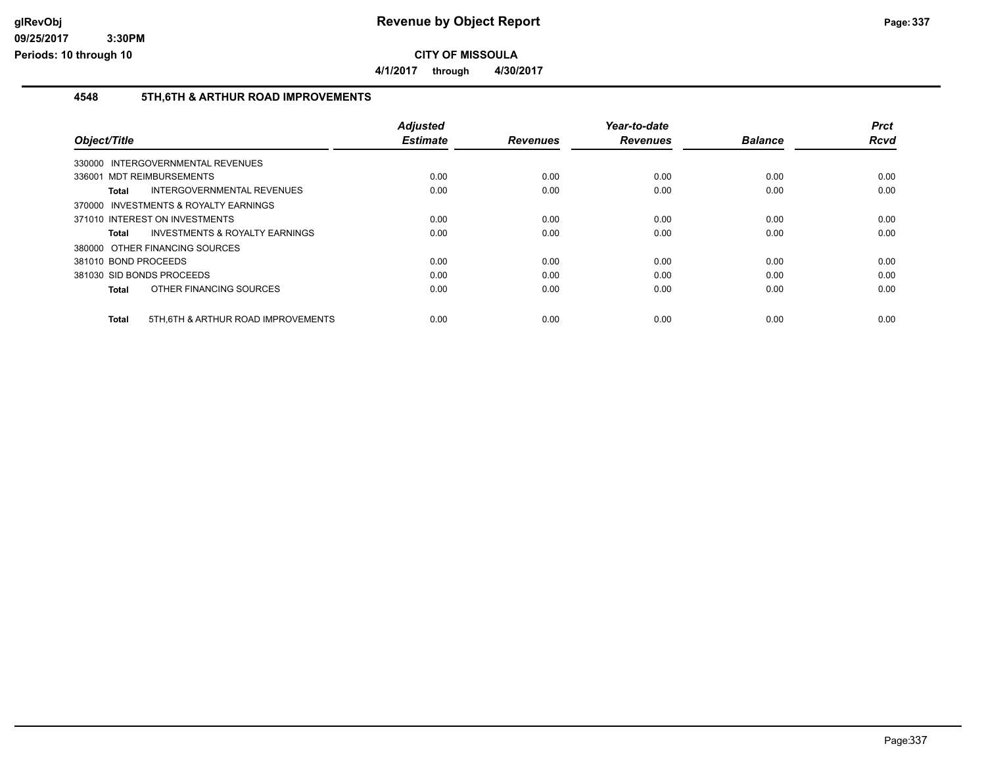**4/1/2017 through 4/30/2017**

#### **4548 5TH,6TH & ARTHUR ROAD IMPROVEMENTS**

|                                                     | <b>Adjusted</b> |                 | Year-to-date    |                | <b>Prct</b> |
|-----------------------------------------------------|-----------------|-----------------|-----------------|----------------|-------------|
| Object/Title                                        | <b>Estimate</b> | <b>Revenues</b> | <b>Revenues</b> | <b>Balance</b> | <b>Rcvd</b> |
| 330000 INTERGOVERNMENTAL REVENUES                   |                 |                 |                 |                |             |
| 336001 MDT REIMBURSEMENTS                           | 0.00            | 0.00            | 0.00            | 0.00           | 0.00        |
| INTERGOVERNMENTAL REVENUES<br><b>Total</b>          | 0.00            | 0.00            | 0.00            | 0.00           | 0.00        |
| 370000 INVESTMENTS & ROYALTY EARNINGS               |                 |                 |                 |                |             |
| 371010 INTEREST ON INVESTMENTS                      | 0.00            | 0.00            | 0.00            | 0.00           | 0.00        |
| INVESTMENTS & ROYALTY EARNINGS<br>Total             | 0.00            | 0.00            | 0.00            | 0.00           | 0.00        |
| 380000 OTHER FINANCING SOURCES                      |                 |                 |                 |                |             |
| 381010 BOND PROCEEDS                                | 0.00            | 0.00            | 0.00            | 0.00           | 0.00        |
| 381030 SID BONDS PROCEEDS                           | 0.00            | 0.00            | 0.00            | 0.00           | 0.00        |
| OTHER FINANCING SOURCES<br>Total                    | 0.00            | 0.00            | 0.00            | 0.00           | 0.00        |
| <b>Total</b><br>5TH, 6TH & ARTHUR ROAD IMPROVEMENTS | 0.00            | 0.00            | 0.00            | 0.00           | 0.00        |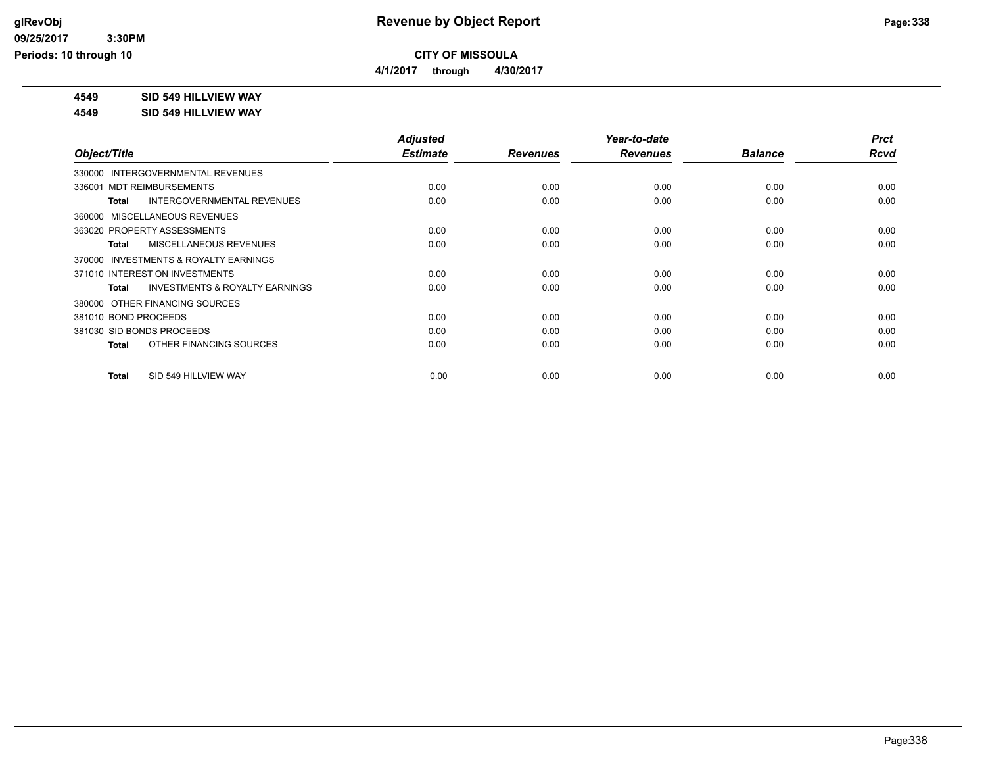**4/1/2017 through 4/30/2017**

#### **4549 SID 549 HILLVIEW WAY**

**4549 SID 549 HILLVIEW WAY**

|                                                    | <b>Adjusted</b> |                 | Year-to-date    |                | <b>Prct</b> |
|----------------------------------------------------|-----------------|-----------------|-----------------|----------------|-------------|
| Object/Title                                       | <b>Estimate</b> | <b>Revenues</b> | <b>Revenues</b> | <b>Balance</b> | <b>Rcvd</b> |
| <b>INTERGOVERNMENTAL REVENUES</b><br>330000        |                 |                 |                 |                |             |
| 336001 MDT REIMBURSEMENTS                          | 0.00            | 0.00            | 0.00            | 0.00           | 0.00        |
| <b>INTERGOVERNMENTAL REVENUES</b><br>Total         | 0.00            | 0.00            | 0.00            | 0.00           | 0.00        |
| 360000 MISCELLANEOUS REVENUES                      |                 |                 |                 |                |             |
| 363020 PROPERTY ASSESSMENTS                        | 0.00            | 0.00            | 0.00            | 0.00           | 0.00        |
| <b>MISCELLANEOUS REVENUES</b><br>Total             | 0.00            | 0.00            | 0.00            | 0.00           | 0.00        |
| INVESTMENTS & ROYALTY EARNINGS<br>370000           |                 |                 |                 |                |             |
| 371010 INTEREST ON INVESTMENTS                     | 0.00            | 0.00            | 0.00            | 0.00           | 0.00        |
| <b>INVESTMENTS &amp; ROYALTY EARNINGS</b><br>Total | 0.00            | 0.00            | 0.00            | 0.00           | 0.00        |
| 380000 OTHER FINANCING SOURCES                     |                 |                 |                 |                |             |
| 381010 BOND PROCEEDS                               | 0.00            | 0.00            | 0.00            | 0.00           | 0.00        |
| 381030 SID BONDS PROCEEDS                          | 0.00            | 0.00            | 0.00            | 0.00           | 0.00        |
| OTHER FINANCING SOURCES<br>Total                   | 0.00            | 0.00            | 0.00            | 0.00           | 0.00        |
| SID 549 HILLVIEW WAY<br><b>Total</b>               | 0.00            | 0.00            | 0.00            | 0.00           | 0.00        |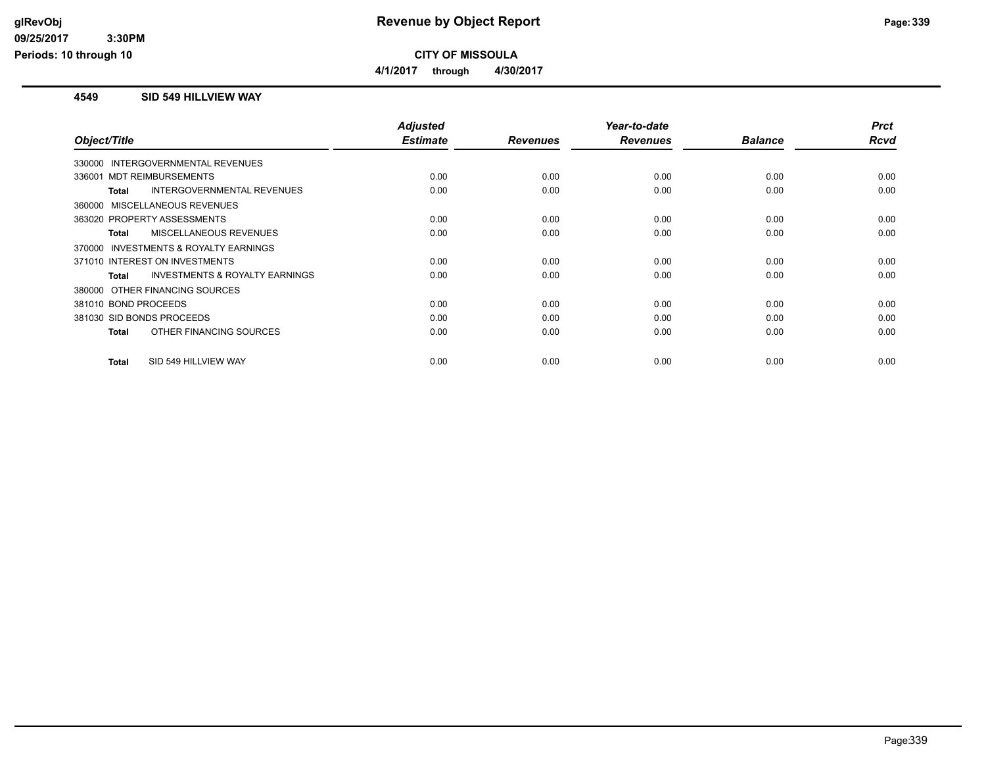**4/1/2017 through 4/30/2017**

#### **4549 SID 549 HILLVIEW WAY**

| Object/Title                                              | <b>Adjusted</b><br><b>Estimate</b> | <b>Revenues</b> | Year-to-date<br><b>Revenues</b> | <b>Balance</b> | <b>Prct</b><br><b>Rcvd</b> |
|-----------------------------------------------------------|------------------------------------|-----------------|---------------------------------|----------------|----------------------------|
|                                                           |                                    |                 |                                 |                |                            |
| 330000 INTERGOVERNMENTAL REVENUES                         |                                    |                 |                                 |                |                            |
| 336001 MDT REIMBURSEMENTS                                 | 0.00                               | 0.00            | 0.00                            | 0.00           | 0.00                       |
| INTERGOVERNMENTAL REVENUES<br><b>Total</b>                | 0.00                               | 0.00            | 0.00                            | 0.00           | 0.00                       |
| 360000 MISCELLANEOUS REVENUES                             |                                    |                 |                                 |                |                            |
| 363020 PROPERTY ASSESSMENTS                               | 0.00                               | 0.00            | 0.00                            | 0.00           | 0.00                       |
| MISCELLANEOUS REVENUES<br><b>Total</b>                    | 0.00                               | 0.00            | 0.00                            | 0.00           | 0.00                       |
| 370000 INVESTMENTS & ROYALTY EARNINGS                     |                                    |                 |                                 |                |                            |
| 371010 INTEREST ON INVESTMENTS                            | 0.00                               | 0.00            | 0.00                            | 0.00           | 0.00                       |
| <b>INVESTMENTS &amp; ROYALTY EARNINGS</b><br><b>Total</b> | 0.00                               | 0.00            | 0.00                            | 0.00           | 0.00                       |
| 380000 OTHER FINANCING SOURCES                            |                                    |                 |                                 |                |                            |
| 381010 BOND PROCEEDS                                      | 0.00                               | 0.00            | 0.00                            | 0.00           | 0.00                       |
| 381030 SID BONDS PROCEEDS                                 | 0.00                               | 0.00            | 0.00                            | 0.00           | 0.00                       |
| OTHER FINANCING SOURCES<br><b>Total</b>                   | 0.00                               | 0.00            | 0.00                            | 0.00           | 0.00                       |
| SID 549 HILLVIEW WAY<br><b>Total</b>                      | 0.00                               | 0.00            | 0.00                            | 0.00           | 0.00                       |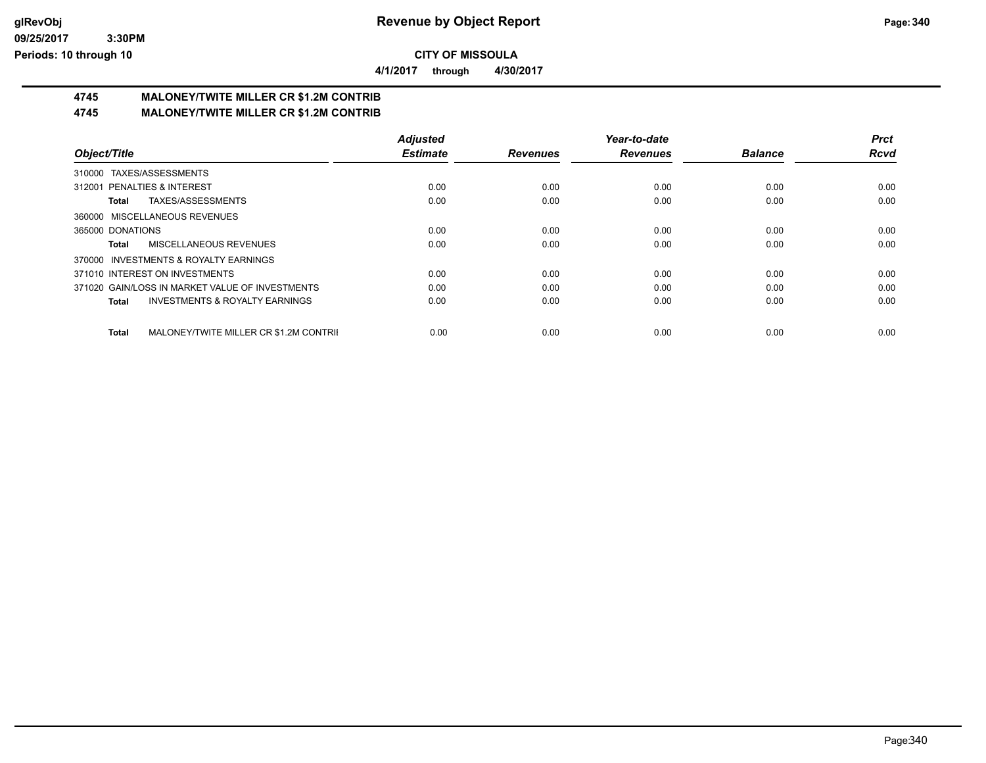**4/1/2017 through 4/30/2017**

# **4745 MALONEY/TWITE MILLER CR \$1.2M CONTRIB**

**4745 MALONEY/TWITE MILLER CR \$1.2M CONTRIB**

|                                                           | <b>Adjusted</b> |                 | Year-to-date    |                | <b>Prct</b> |
|-----------------------------------------------------------|-----------------|-----------------|-----------------|----------------|-------------|
| Object/Title                                              | <b>Estimate</b> | <b>Revenues</b> | <b>Revenues</b> | <b>Balance</b> | <b>Rcvd</b> |
| 310000 TAXES/ASSESSMENTS                                  |                 |                 |                 |                |             |
| 312001 PENALTIES & INTEREST                               | 0.00            | 0.00            | 0.00            | 0.00           | 0.00        |
| TAXES/ASSESSMENTS<br>Total                                | 0.00            | 0.00            | 0.00            | 0.00           | 0.00        |
| 360000 MISCELLANEOUS REVENUES                             |                 |                 |                 |                |             |
| 365000 DONATIONS                                          | 0.00            | 0.00            | 0.00            | 0.00           | 0.00        |
| <b>MISCELLANEOUS REVENUES</b><br>Total                    | 0.00            | 0.00            | 0.00            | 0.00           | 0.00        |
| 370000 INVESTMENTS & ROYALTY EARNINGS                     |                 |                 |                 |                |             |
| 371010 INTEREST ON INVESTMENTS                            | 0.00            | 0.00            | 0.00            | 0.00           | 0.00        |
| 371020 GAIN/LOSS IN MARKET VALUE OF INVESTMENTS           | 0.00            | 0.00            | 0.00            | 0.00           | 0.00        |
| <b>INVESTMENTS &amp; ROYALTY EARNINGS</b><br><b>Total</b> | 0.00            | 0.00            | 0.00            | 0.00           | 0.00        |
| MALONEY/TWITE MILLER CR \$1.2M CONTRII<br>Total           | 0.00            | 0.00            | 0.00            | 0.00           | 0.00        |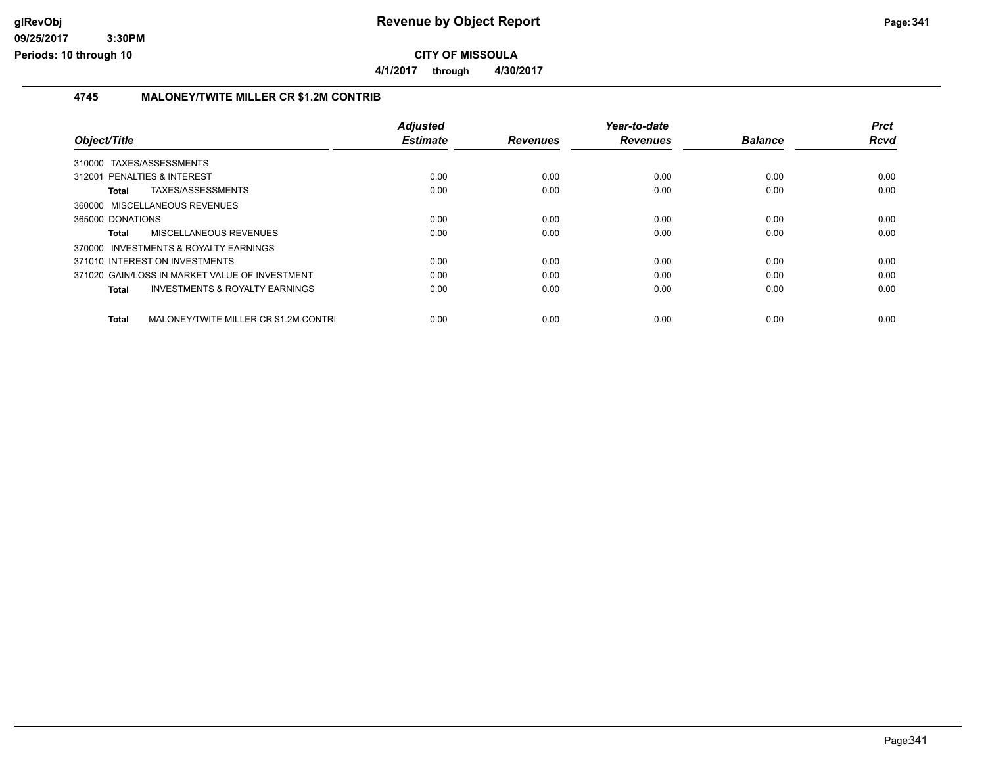**4/1/2017 through 4/30/2017**

#### **4745 MALONEY/TWITE MILLER CR \$1.2M CONTRIB**

| Object/Title                                          | <b>Adjusted</b><br><b>Estimate</b> | <b>Revenues</b> | Year-to-date<br><b>Revenues</b> | <b>Balance</b> | <b>Prct</b><br><b>Rcvd</b> |
|-------------------------------------------------------|------------------------------------|-----------------|---------------------------------|----------------|----------------------------|
|                                                       |                                    |                 |                                 |                |                            |
| 310000 TAXES/ASSESSMENTS                              |                                    |                 |                                 |                |                            |
| 312001 PENALTIES & INTEREST                           | 0.00                               | 0.00            | 0.00                            | 0.00           | 0.00                       |
| TAXES/ASSESSMENTS<br>Total                            | 0.00                               | 0.00            | 0.00                            | 0.00           | 0.00                       |
| 360000 MISCELLANEOUS REVENUES                         |                                    |                 |                                 |                |                            |
| 365000 DONATIONS                                      | 0.00                               | 0.00            | 0.00                            | 0.00           | 0.00                       |
| MISCELLANEOUS REVENUES<br>Total                       | 0.00                               | 0.00            | 0.00                            | 0.00           | 0.00                       |
| 370000 INVESTMENTS & ROYALTY EARNINGS                 |                                    |                 |                                 |                |                            |
| 371010 INTEREST ON INVESTMENTS                        | 0.00                               | 0.00            | 0.00                            | 0.00           | 0.00                       |
| 371020 GAIN/LOSS IN MARKET VALUE OF INVESTMENT        | 0.00                               | 0.00            | 0.00                            | 0.00           | 0.00                       |
| <b>INVESTMENTS &amp; ROYALTY EARNINGS</b><br>Total    | 0.00                               | 0.00            | 0.00                            | 0.00           | 0.00                       |
|                                                       |                                    |                 |                                 |                |                            |
| MALONEY/TWITE MILLER CR \$1.2M CONTRI<br><b>Total</b> | 0.00                               | 0.00            | 0.00                            | 0.00           | 0.00                       |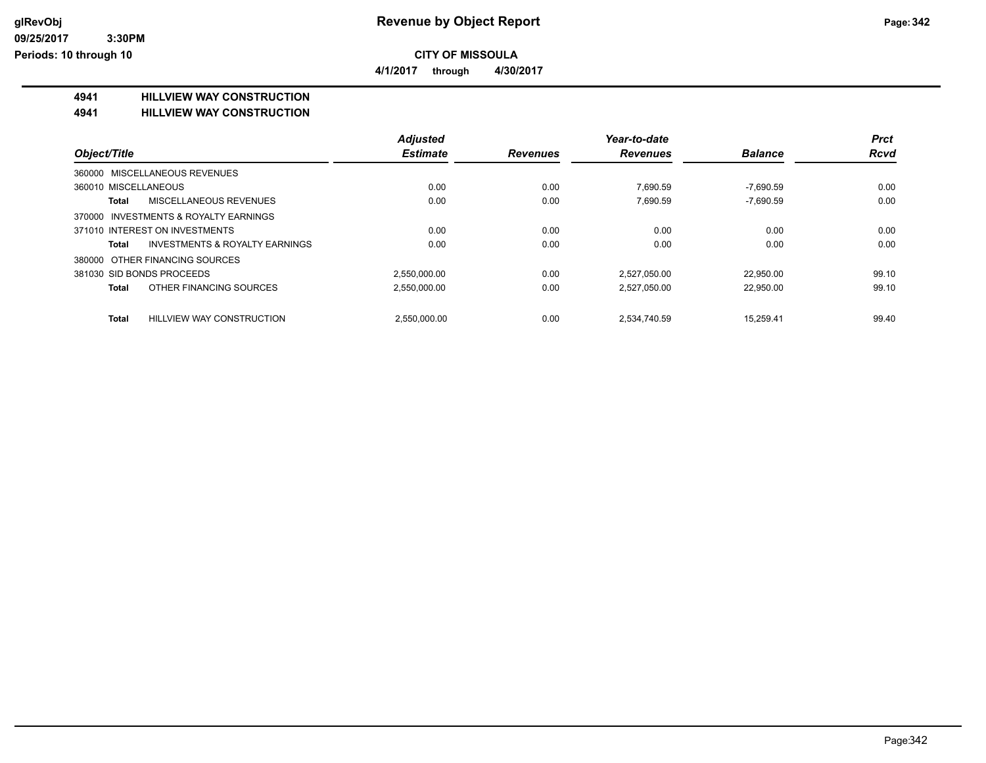**4/1/2017 through 4/30/2017**

#### **4941 HILLVIEW WAY CONSTRUCTION**

#### **4941 HILLVIEW WAY CONSTRUCTION**

|                                         | <b>Adjusted</b> |                 | Year-to-date    |                | <b>Prct</b> |
|-----------------------------------------|-----------------|-----------------|-----------------|----------------|-------------|
| Object/Title                            | <b>Estimate</b> | <b>Revenues</b> | <b>Revenues</b> | <b>Balance</b> | <b>Rcvd</b> |
| 360000 MISCELLANEOUS REVENUES           |                 |                 |                 |                |             |
| 360010 MISCELLANEOUS                    | 0.00            | 0.00            | 7.690.59        | -7.690.59      | 0.00        |
| MISCELLANEOUS REVENUES<br>Total         | 0.00            | 0.00            | 7,690.59        | $-7,690.59$    | 0.00        |
| 370000 INVESTMENTS & ROYALTY EARNINGS   |                 |                 |                 |                |             |
| 371010 INTEREST ON INVESTMENTS          | 0.00            | 0.00            | 0.00            | 0.00           | 0.00        |
| INVESTMENTS & ROYALTY EARNINGS<br>Total | 0.00            | 0.00            | 0.00            | 0.00           | 0.00        |
| 380000 OTHER FINANCING SOURCES          |                 |                 |                 |                |             |
| 381030 SID BONDS PROCEEDS               | 2.550.000.00    | 0.00            | 2.527.050.00    | 22.950.00      | 99.10       |
| OTHER FINANCING SOURCES<br>Total        | 2,550,000.00    | 0.00            | 2,527,050.00    | 22.950.00      | 99.10       |
| HILLVIEW WAY CONSTRUCTION<br>Total      | 2.550.000.00    | 0.00            | 2.534.740.59    | 15.259.41      | 99.40       |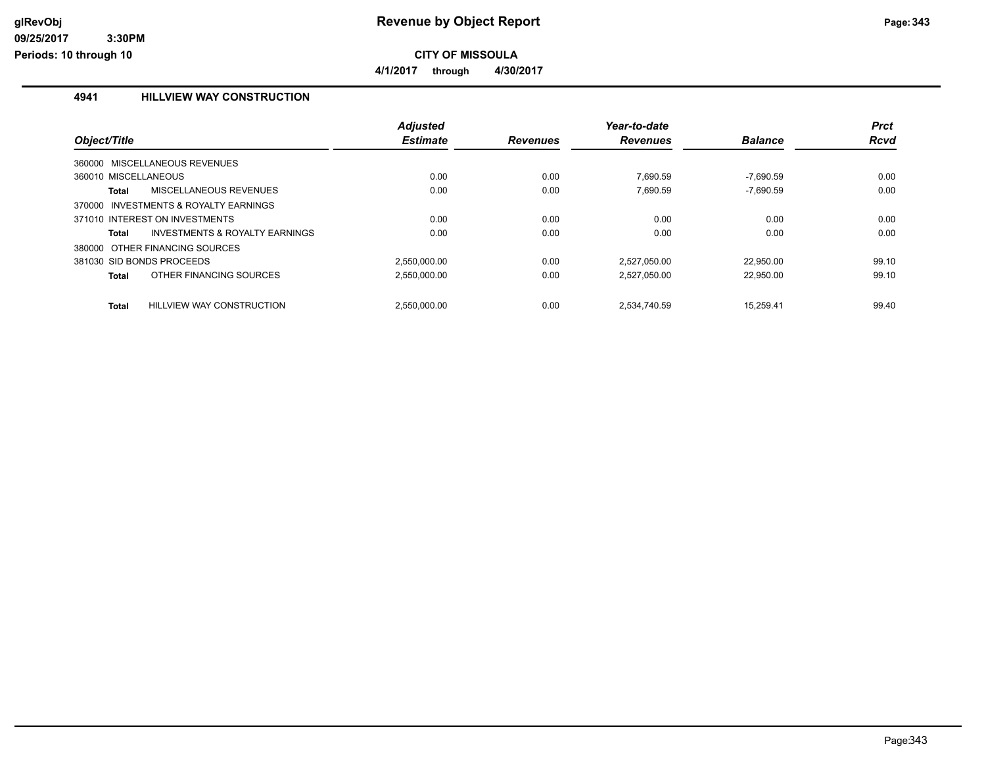**4/1/2017 through 4/30/2017**

#### **4941 HILLVIEW WAY CONSTRUCTION**

| Object/Title                                        | <b>Adjusted</b><br><b>Estimate</b> | <b>Revenues</b> | Year-to-date<br><b>Revenues</b> | <b>Balance</b> | <b>Prct</b><br><b>Rcvd</b> |
|-----------------------------------------------------|------------------------------------|-----------------|---------------------------------|----------------|----------------------------|
| 360000 MISCELLANEOUS REVENUES                       |                                    |                 |                                 |                |                            |
| 360010 MISCELLANEOUS                                | 0.00                               | 0.00            | 7.690.59                        | -7.690.59      | 0.00                       |
| MISCELLANEOUS REVENUES<br><b>Total</b>              | 0.00                               | 0.00            | 7.690.59                        | $-7.690.59$    | 0.00                       |
| <b>INVESTMENTS &amp; ROYALTY EARNINGS</b><br>370000 |                                    |                 |                                 |                |                            |
| 371010 INTEREST ON INVESTMENTS                      | 0.00                               | 0.00            | 0.00                            | 0.00           | 0.00                       |
| <b>INVESTMENTS &amp; ROYALTY EARNINGS</b><br>Total  | 0.00                               | 0.00            | 0.00                            | 0.00           | 0.00                       |
| OTHER FINANCING SOURCES<br>380000                   |                                    |                 |                                 |                |                            |
| 381030 SID BONDS PROCEEDS                           | 2,550,000.00                       | 0.00            | 2,527,050.00                    | 22,950.00      | 99.10                      |
| OTHER FINANCING SOURCES<br><b>Total</b>             | 2,550,000.00                       | 0.00            | 2,527,050.00                    | 22.950.00      | 99.10                      |
| HILLVIEW WAY CONSTRUCTION<br><b>Total</b>           | 2.550.000.00                       | 0.00            | 2.534.740.59                    | 15.259.41      | 99.40                      |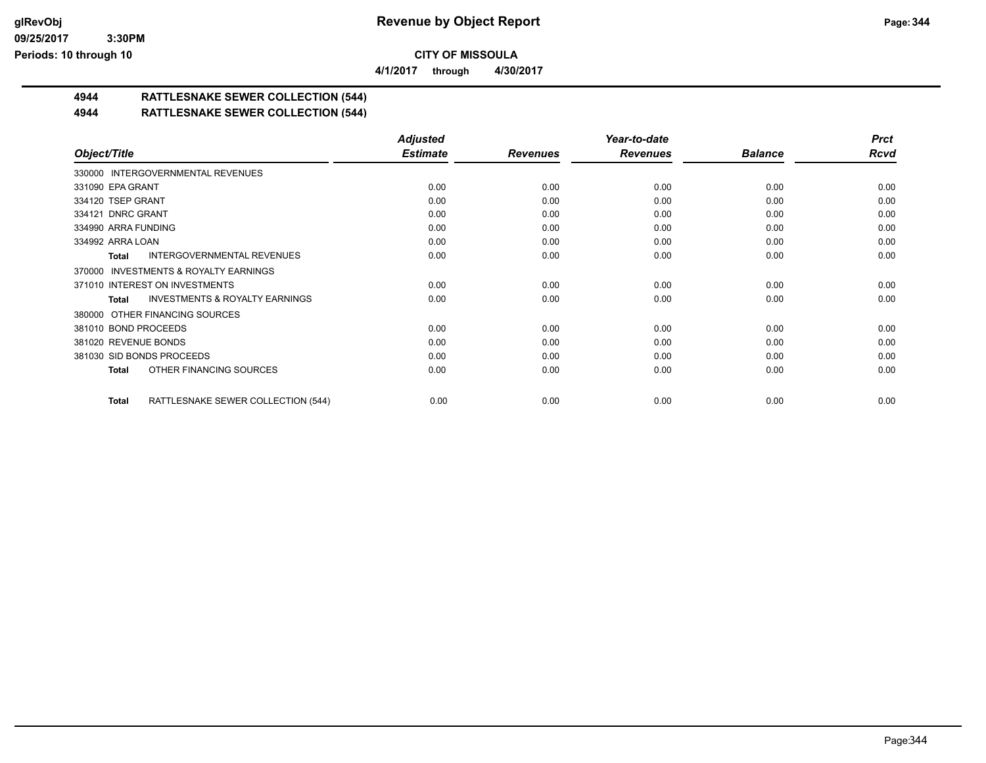**4/1/2017 through 4/30/2017**

# **4944 RATTLESNAKE SEWER COLLECTION (544)**

# **4944 RATTLESNAKE SEWER COLLECTION (544)**

|                                                     | <b>Adjusted</b> |                 | Year-to-date    |                | <b>Prct</b> |
|-----------------------------------------------------|-----------------|-----------------|-----------------|----------------|-------------|
| Object/Title                                        | <b>Estimate</b> | <b>Revenues</b> | <b>Revenues</b> | <b>Balance</b> | <b>Rcvd</b> |
| <b>INTERGOVERNMENTAL REVENUES</b><br>330000         |                 |                 |                 |                |             |
| 331090 EPA GRANT                                    | 0.00            | 0.00            | 0.00            | 0.00           | 0.00        |
| 334120 TSEP GRANT                                   | 0.00            | 0.00            | 0.00            | 0.00           | 0.00        |
| 334121 DNRC GRANT                                   | 0.00            | 0.00            | 0.00            | 0.00           | 0.00        |
| 334990 ARRA FUNDING                                 | 0.00            | 0.00            | 0.00            | 0.00           | 0.00        |
| 334992 ARRA LOAN                                    | 0.00            | 0.00            | 0.00            | 0.00           | 0.00        |
| <b>INTERGOVERNMENTAL REVENUES</b><br><b>Total</b>   | 0.00            | 0.00            | 0.00            | 0.00           | 0.00        |
| <b>INVESTMENTS &amp; ROYALTY EARNINGS</b><br>370000 |                 |                 |                 |                |             |
| 371010 INTEREST ON INVESTMENTS                      | 0.00            | 0.00            | 0.00            | 0.00           | 0.00        |
| <b>INVESTMENTS &amp; ROYALTY EARNINGS</b><br>Total  | 0.00            | 0.00            | 0.00            | 0.00           | 0.00        |
| 380000 OTHER FINANCING SOURCES                      |                 |                 |                 |                |             |
| 381010 BOND PROCEEDS                                | 0.00            | 0.00            | 0.00            | 0.00           | 0.00        |
| 381020 REVENUE BONDS                                | 0.00            | 0.00            | 0.00            | 0.00           | 0.00        |
| 381030 SID BONDS PROCEEDS                           | 0.00            | 0.00            | 0.00            | 0.00           | 0.00        |
| OTHER FINANCING SOURCES<br><b>Total</b>             | 0.00            | 0.00            | 0.00            | 0.00           | 0.00        |
| RATTLESNAKE SEWER COLLECTION (544)<br>Total         | 0.00            | 0.00            | 0.00            | 0.00           | 0.00        |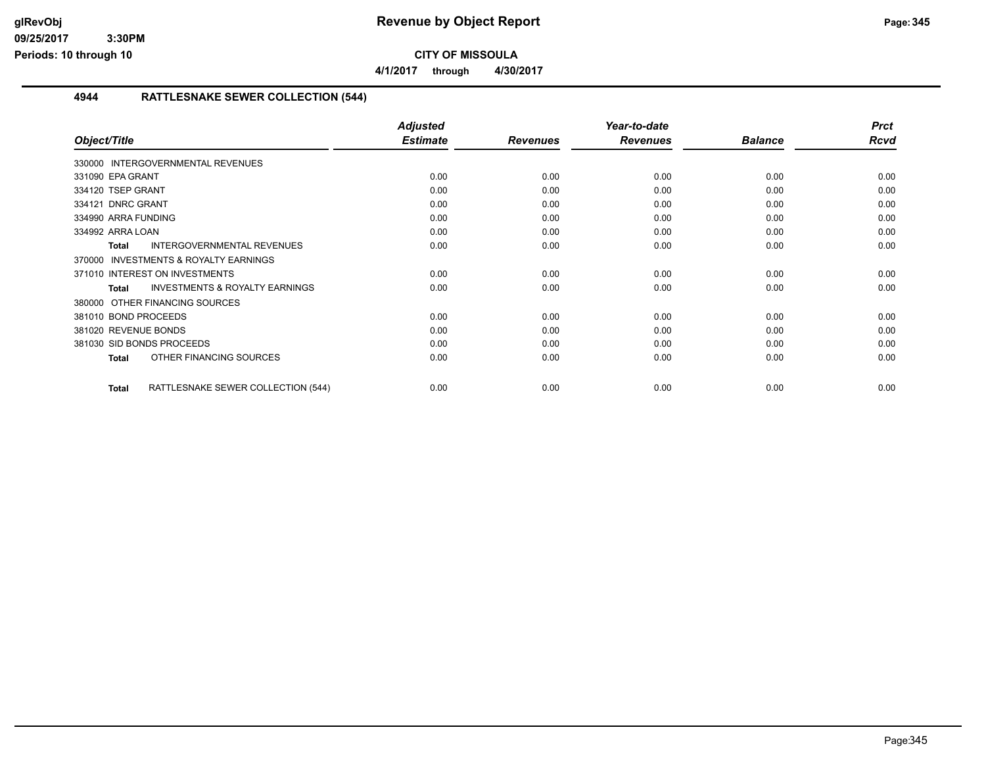**4/1/2017 through 4/30/2017**

#### **4944 RATTLESNAKE SEWER COLLECTION (544)**

|                                                     | <b>Adjusted</b> |                 | Year-to-date    |                | <b>Prct</b> |
|-----------------------------------------------------|-----------------|-----------------|-----------------|----------------|-------------|
| Object/Title                                        | <b>Estimate</b> | <b>Revenues</b> | <b>Revenues</b> | <b>Balance</b> | Rcvd        |
| 330000 INTERGOVERNMENTAL REVENUES                   |                 |                 |                 |                |             |
| 331090 EPA GRANT                                    | 0.00            | 0.00            | 0.00            | 0.00           | 0.00        |
| 334120 TSEP GRANT                                   | 0.00            | 0.00            | 0.00            | 0.00           | 0.00        |
| 334121 DNRC GRANT                                   | 0.00            | 0.00            | 0.00            | 0.00           | 0.00        |
| 334990 ARRA FUNDING                                 | 0.00            | 0.00            | 0.00            | 0.00           | 0.00        |
| 334992 ARRA LOAN                                    | 0.00            | 0.00            | 0.00            | 0.00           | 0.00        |
| <b>INTERGOVERNMENTAL REVENUES</b><br>Total          | 0.00            | 0.00            | 0.00            | 0.00           | 0.00        |
| <b>INVESTMENTS &amp; ROYALTY EARNINGS</b><br>370000 |                 |                 |                 |                |             |
| 371010 INTEREST ON INVESTMENTS                      | 0.00            | 0.00            | 0.00            | 0.00           | 0.00        |
| <b>INVESTMENTS &amp; ROYALTY EARNINGS</b><br>Total  | 0.00            | 0.00            | 0.00            | 0.00           | 0.00        |
| 380000 OTHER FINANCING SOURCES                      |                 |                 |                 |                |             |
| 381010 BOND PROCEEDS                                | 0.00            | 0.00            | 0.00            | 0.00           | 0.00        |
| 381020 REVENUE BONDS                                | 0.00            | 0.00            | 0.00            | 0.00           | 0.00        |
| 381030 SID BONDS PROCEEDS                           | 0.00            | 0.00            | 0.00            | 0.00           | 0.00        |
| OTHER FINANCING SOURCES<br><b>Total</b>             | 0.00            | 0.00            | 0.00            | 0.00           | 0.00        |
| RATTLESNAKE SEWER COLLECTION (544)<br><b>Total</b>  | 0.00            | 0.00            | 0.00            | 0.00           | 0.00        |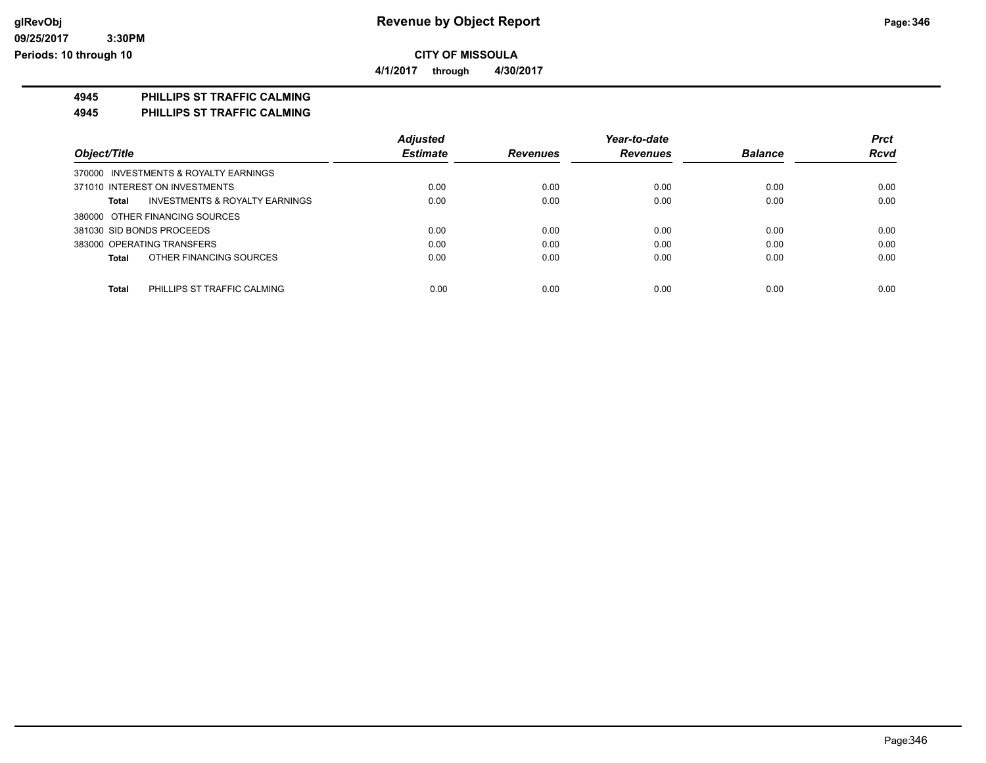**4/1/2017 through 4/30/2017**

## **4945 PHILLIPS ST TRAFFIC CALMING**

**4945 PHILLIPS ST TRAFFIC CALMING**

|                                                | <b>Adjusted</b> |                 | Year-to-date    |                | <b>Prct</b> |
|------------------------------------------------|-----------------|-----------------|-----------------|----------------|-------------|
| Object/Title                                   | <b>Estimate</b> | <b>Revenues</b> | <b>Revenues</b> | <b>Balance</b> | <b>Rcvd</b> |
| 370000 INVESTMENTS & ROYALTY EARNINGS          |                 |                 |                 |                |             |
| 371010 INTEREST ON INVESTMENTS                 | 0.00            | 0.00            | 0.00            | 0.00           | 0.00        |
| INVESTMENTS & ROYALTY EARNINGS<br><b>Total</b> | 0.00            | 0.00            | 0.00            | 0.00           | 0.00        |
| 380000 OTHER FINANCING SOURCES                 |                 |                 |                 |                |             |
| 381030 SID BONDS PROCEEDS                      | 0.00            | 0.00            | 0.00            | 0.00           | 0.00        |
| 383000 OPERATING TRANSFERS                     | 0.00            | 0.00            | 0.00            | 0.00           | 0.00        |
| OTHER FINANCING SOURCES<br><b>Total</b>        | 0.00            | 0.00            | 0.00            | 0.00           | 0.00        |
|                                                |                 |                 |                 |                |             |
| <b>Total</b><br>PHILLIPS ST TRAFFIC CALMING    | 0.00            | 0.00            | 0.00            | 0.00           | 0.00        |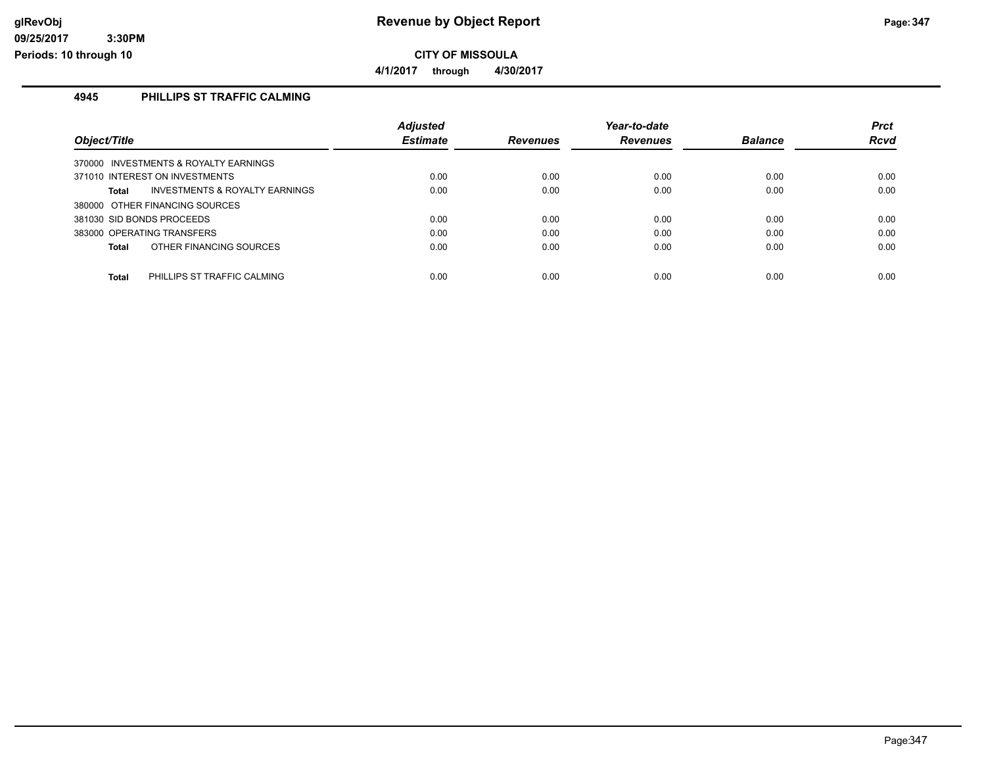**4/1/2017 through 4/30/2017**

#### **4945 PHILLIPS ST TRAFFIC CALMING**

|                                          | <b>Adjusted</b> |                 | Year-to-date    |                | <b>Prct</b> |
|------------------------------------------|-----------------|-----------------|-----------------|----------------|-------------|
| Object/Title                             | <b>Estimate</b> | <b>Revenues</b> | <b>Revenues</b> | <b>Balance</b> | <b>Rcvd</b> |
| INVESTMENTS & ROYALTY EARNINGS<br>370000 |                 |                 |                 |                |             |
| 371010 INTEREST ON INVESTMENTS           | 0.00            | 0.00            | 0.00            | 0.00           | 0.00        |
| INVESTMENTS & ROYALTY EARNINGS<br>Total  | 0.00            | 0.00            | 0.00            | 0.00           | 0.00        |
| 380000 OTHER FINANCING SOURCES           |                 |                 |                 |                |             |
| 381030 SID BONDS PROCEEDS                | 0.00            | 0.00            | 0.00            | 0.00           | 0.00        |
| 383000 OPERATING TRANSFERS               | 0.00            | 0.00            | 0.00            | 0.00           | 0.00        |
| OTHER FINANCING SOURCES<br>Total         | 0.00            | 0.00            | 0.00            | 0.00           | 0.00        |
|                                          |                 |                 |                 |                |             |
| Total<br>PHILLIPS ST TRAFFIC CALMING     | 0.00            | 0.00            | 0.00            | 0.00           | 0.00        |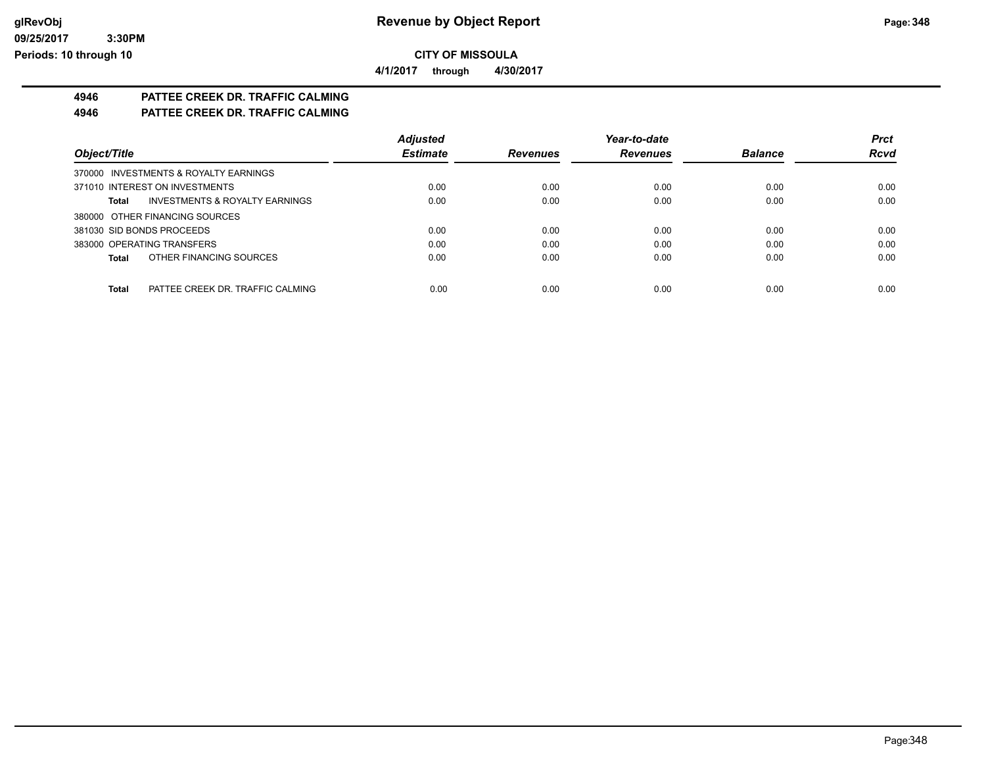**4/1/2017 through 4/30/2017**

# **4946 PATTEE CREEK DR. TRAFFIC CALMING**

# **4946 PATTEE CREEK DR. TRAFFIC CALMING**

|                                           | <b>Adjusted</b> |                 | Year-to-date    |                | <b>Prct</b> |
|-------------------------------------------|-----------------|-----------------|-----------------|----------------|-------------|
| Object/Title                              | <b>Estimate</b> | <b>Revenues</b> | <b>Revenues</b> | <b>Balance</b> | <b>Rcvd</b> |
| 370000 INVESTMENTS & ROYALTY EARNINGS     |                 |                 |                 |                |             |
| 371010 INTEREST ON INVESTMENTS            | 0.00            | 0.00            | 0.00            | 0.00           | 0.00        |
| INVESTMENTS & ROYALTY EARNINGS<br>Total   | 0.00            | 0.00            | 0.00            | 0.00           | 0.00        |
| 380000 OTHER FINANCING SOURCES            |                 |                 |                 |                |             |
| 381030 SID BONDS PROCEEDS                 | 0.00            | 0.00            | 0.00            | 0.00           | 0.00        |
| 383000 OPERATING TRANSFERS                | 0.00            | 0.00            | 0.00            | 0.00           | 0.00        |
| OTHER FINANCING SOURCES<br>Total          | 0.00            | 0.00            | 0.00            | 0.00           | 0.00        |
|                                           |                 |                 |                 |                |             |
| Total<br>PATTEE CREEK DR. TRAFFIC CALMING | 0.00            | 0.00            | 0.00            | 0.00           | 0.00        |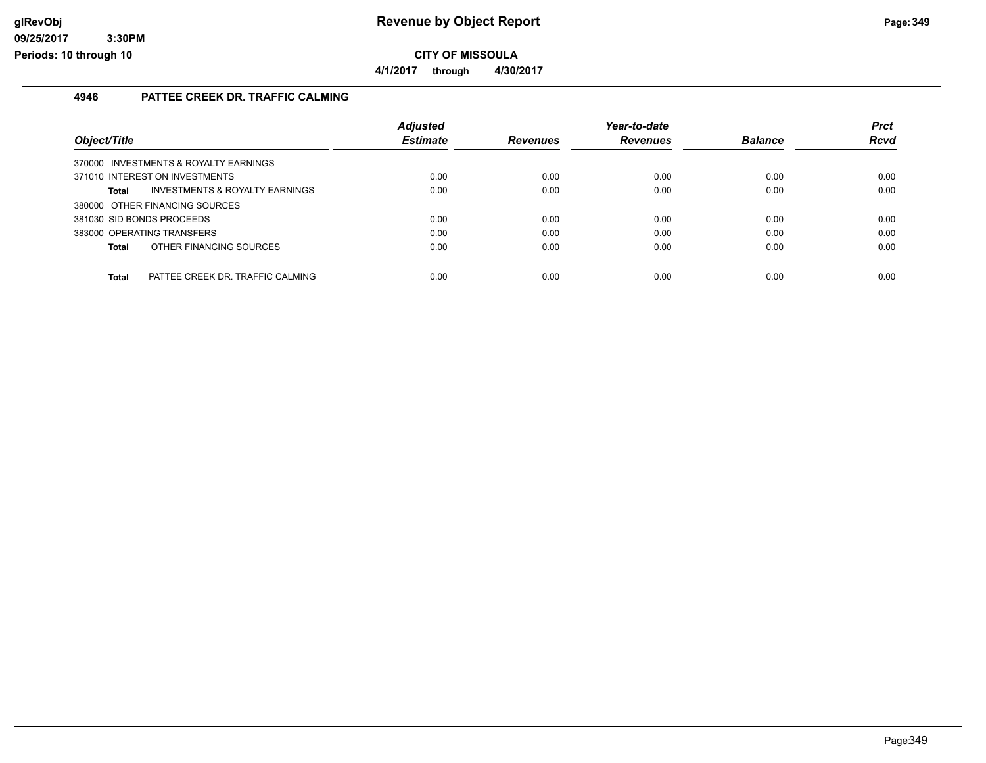**4/1/2017 through 4/30/2017**

#### **4946 PATTEE CREEK DR. TRAFFIC CALMING**

|                                                  | <b>Adjusted</b> |                 | Year-to-date    |                | <b>Prct</b> |
|--------------------------------------------------|-----------------|-----------------|-----------------|----------------|-------------|
| Object/Title                                     | <b>Estimate</b> | <b>Revenues</b> | <b>Revenues</b> | <b>Balance</b> | <b>Rcvd</b> |
| 370000 INVESTMENTS & ROYALTY EARNINGS            |                 |                 |                 |                |             |
| 371010 INTEREST ON INVESTMENTS                   | 0.00            | 0.00            | 0.00            | 0.00           | 0.00        |
| INVESTMENTS & ROYALTY EARNINGS<br><b>Total</b>   | 0.00            | 0.00            | 0.00            | 0.00           | 0.00        |
| 380000 OTHER FINANCING SOURCES                   |                 |                 |                 |                |             |
| 381030 SID BONDS PROCEEDS                        | 0.00            | 0.00            | 0.00            | 0.00           | 0.00        |
| 383000 OPERATING TRANSFERS                       | 0.00            | 0.00            | 0.00            | 0.00           | 0.00        |
| OTHER FINANCING SOURCES<br><b>Total</b>          | 0.00            | 0.00            | 0.00            | 0.00           | 0.00        |
|                                                  |                 |                 |                 |                |             |
| <b>Total</b><br>PATTEE CREEK DR. TRAFFIC CALMING | 0.00            | 0.00            | 0.00            | 0.00           | 0.00        |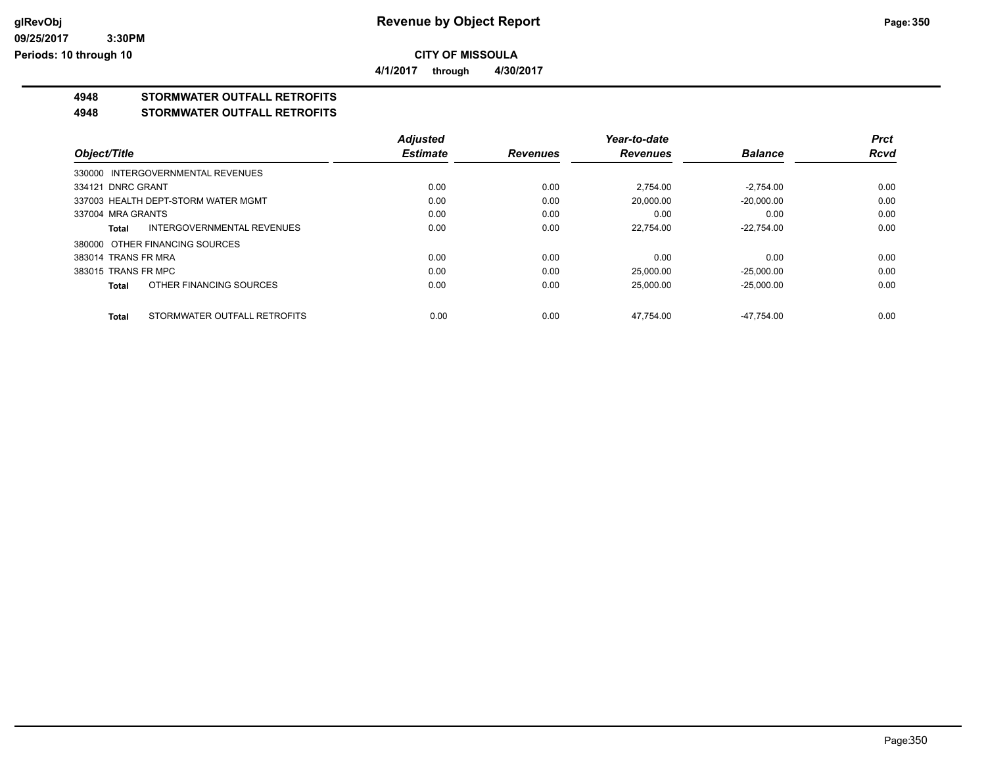**4/1/2017 through 4/30/2017**

# **4948 STORMWATER OUTFALL RETROFITS**

#### **4948 STORMWATER OUTFALL RETROFITS**

|                     |                                     | <b>Adjusted</b> |                 | Year-to-date    |                | <b>Prct</b> |
|---------------------|-------------------------------------|-----------------|-----------------|-----------------|----------------|-------------|
| Object/Title        |                                     | <b>Estimate</b> | <b>Revenues</b> | <b>Revenues</b> | <b>Balance</b> | Rcvd        |
|                     | 330000 INTERGOVERNMENTAL REVENUES   |                 |                 |                 |                |             |
| 334121 DNRC GRANT   |                                     | 0.00            | 0.00            | 2.754.00        | $-2.754.00$    | 0.00        |
|                     | 337003 HEALTH DEPT-STORM WATER MGMT | 0.00            | 0.00            | 20,000.00       | $-20.000.00$   | 0.00        |
| 337004 MRA GRANTS   |                                     | 0.00            | 0.00            | 0.00            | 0.00           | 0.00        |
| Total               | INTERGOVERNMENTAL REVENUES          | 0.00            | 0.00            | 22,754.00       | $-22,754.00$   | 0.00        |
|                     | 380000 OTHER FINANCING SOURCES      |                 |                 |                 |                |             |
| 383014 TRANS FR MRA |                                     | 0.00            | 0.00            | 0.00            | 0.00           | 0.00        |
| 383015 TRANS FR MPC |                                     | 0.00            | 0.00            | 25,000.00       | $-25.000.00$   | 0.00        |
| <b>Total</b>        | OTHER FINANCING SOURCES             | 0.00            | 0.00            | 25,000.00       | $-25.000.00$   | 0.00        |
| <b>Total</b>        | STORMWATER OUTFALL RETROFITS        | 0.00            | 0.00            | 47.754.00       | -47.754.00     | 0.00        |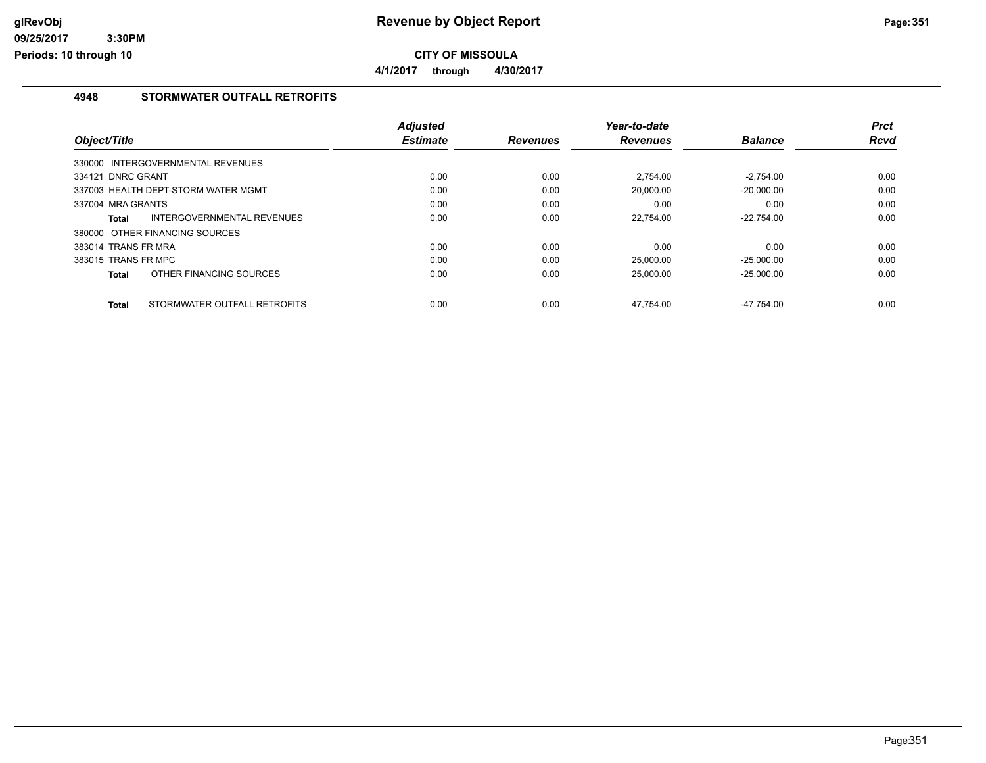**4/1/2017 through 4/30/2017**

#### **4948 STORMWATER OUTFALL RETROFITS**

| Object/Title                                 | <b>Adjusted</b><br><b>Estimate</b> | <b>Revenues</b> | Year-to-date<br><b>Revenues</b> | <b>Balance</b> | <b>Prct</b><br><b>Rcvd</b> |
|----------------------------------------------|------------------------------------|-----------------|---------------------------------|----------------|----------------------------|
| 330000 INTERGOVERNMENTAL REVENUES            |                                    |                 |                                 |                |                            |
|                                              |                                    |                 |                                 |                |                            |
| 334121 DNRC GRANT                            | 0.00                               | 0.00            | 2.754.00                        | $-2.754.00$    | 0.00                       |
| 337003 HEALTH DEPT-STORM WATER MGMT          | 0.00                               | 0.00            | 20.000.00                       | $-20.000.00$   | 0.00                       |
| 337004 MRA GRANTS                            | 0.00                               | 0.00            | 0.00                            | 0.00           | 0.00                       |
| INTERGOVERNMENTAL REVENUES<br><b>Total</b>   | 0.00                               | 0.00            | 22,754.00                       | $-22,754.00$   | 0.00                       |
| 380000 OTHER FINANCING SOURCES               |                                    |                 |                                 |                |                            |
| 383014 TRANS FR MRA                          | 0.00                               | 0.00            | 0.00                            | 0.00           | 0.00                       |
| 383015 TRANS FR MPC                          | 0.00                               | 0.00            | 25,000.00                       | $-25.000.00$   | 0.00                       |
| OTHER FINANCING SOURCES<br><b>Total</b>      | 0.00                               | 0.00            | 25,000.00                       | $-25,000.00$   | 0.00                       |
| STORMWATER OUTFALL RETROFITS<br><b>Total</b> | 0.00                               | 0.00            | 47.754.00                       | $-47.754.00$   | 0.00                       |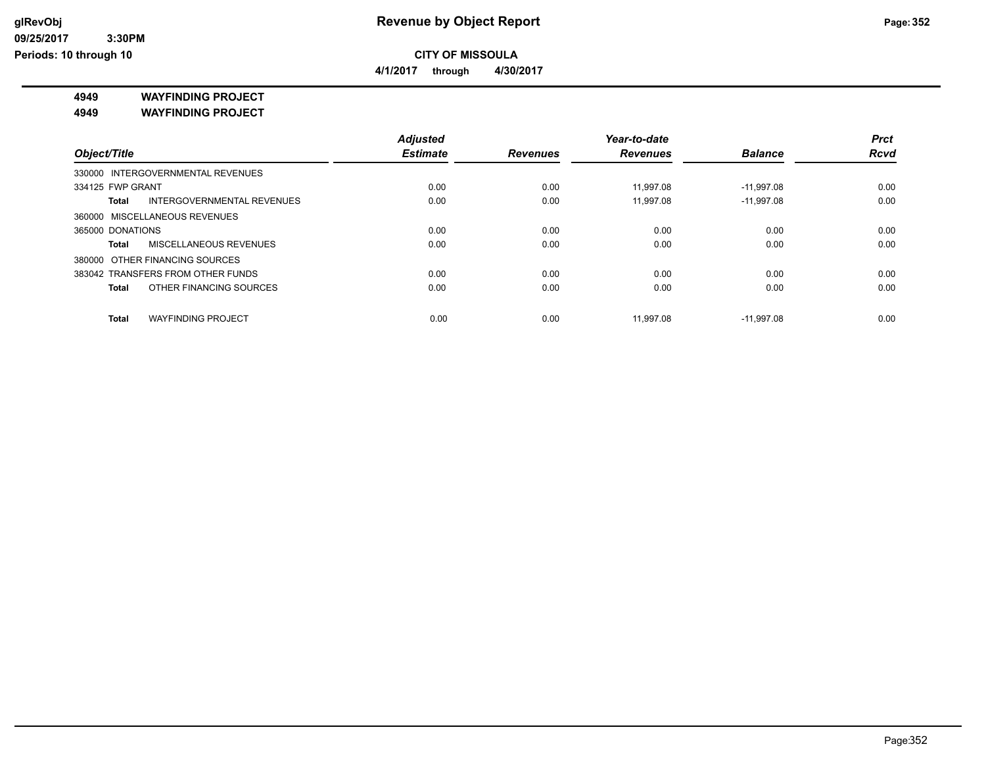**4/1/2017 through 4/30/2017**

**4949 WAYFINDING PROJECT**

**4949 WAYFINDING PROJECT**

|                                        | <b>Adjusted</b> |                 | Year-to-date    |                | <b>Prct</b> |
|----------------------------------------|-----------------|-----------------|-----------------|----------------|-------------|
| Object/Title                           | <b>Estimate</b> | <b>Revenues</b> | <b>Revenues</b> | <b>Balance</b> | <b>Rcvd</b> |
| 330000 INTERGOVERNMENTAL REVENUES      |                 |                 |                 |                |             |
| 334125 FWP GRANT                       | 0.00            | 0.00            | 11.997.08       | $-11.997.08$   | 0.00        |
| INTERGOVERNMENTAL REVENUES<br>Total    | 0.00            | 0.00            | 11,997.08       | $-11,997.08$   | 0.00        |
| 360000 MISCELLANEOUS REVENUES          |                 |                 |                 |                |             |
| 365000 DONATIONS                       | 0.00            | 0.00            | 0.00            | 0.00           | 0.00        |
| <b>MISCELLANEOUS REVENUES</b><br>Total | 0.00            | 0.00            | 0.00            | 0.00           | 0.00        |
| 380000 OTHER FINANCING SOURCES         |                 |                 |                 |                |             |
| 383042 TRANSFERS FROM OTHER FUNDS      | 0.00            | 0.00            | 0.00            | 0.00           | 0.00        |
| OTHER FINANCING SOURCES<br>Total       | 0.00            | 0.00            | 0.00            | 0.00           | 0.00        |
| <b>WAYFINDING PROJECT</b><br>Total     | 0.00            | 0.00            | 11.997.08       | $-11,997.08$   | 0.00        |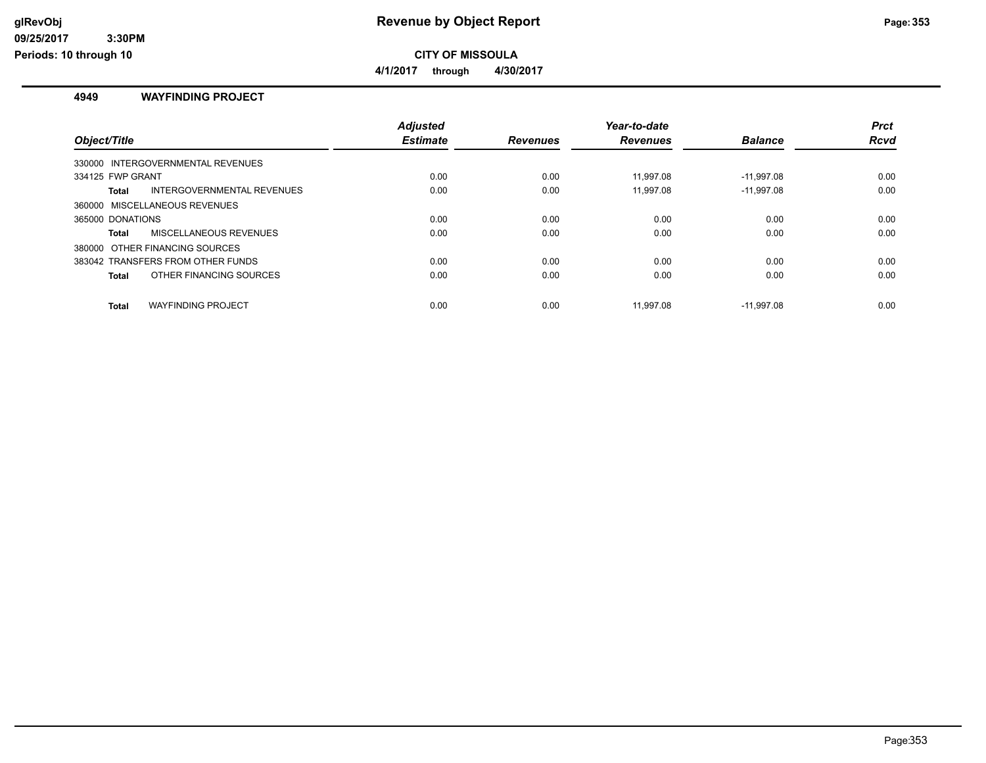**4/1/2017 through 4/30/2017**

#### **4949 WAYFINDING PROJECT**

|                                           | <b>Adjusted</b> |                 | Year-to-date    |                | <b>Prct</b> |
|-------------------------------------------|-----------------|-----------------|-----------------|----------------|-------------|
| Object/Title                              | <b>Estimate</b> | <b>Revenues</b> | <b>Revenues</b> | <b>Balance</b> | <b>Rcvd</b> |
| 330000 INTERGOVERNMENTAL REVENUES         |                 |                 |                 |                |             |
| 334125 FWP GRANT                          | 0.00            | 0.00            | 11.997.08       | $-11,997.08$   | 0.00        |
| INTERGOVERNMENTAL REVENUES<br>Total       | 0.00            | 0.00            | 11.997.08       | $-11,997.08$   | 0.00        |
| 360000 MISCELLANEOUS REVENUES             |                 |                 |                 |                |             |
| 365000 DONATIONS                          | 0.00            | 0.00            | 0.00            | 0.00           | 0.00        |
| MISCELLANEOUS REVENUES<br>Total           | 0.00            | 0.00            | 0.00            | 0.00           | 0.00        |
| 380000 OTHER FINANCING SOURCES            |                 |                 |                 |                |             |
| 383042 TRANSFERS FROM OTHER FUNDS         | 0.00            | 0.00            | 0.00            | 0.00           | 0.00        |
| OTHER FINANCING SOURCES<br><b>Total</b>   | 0.00            | 0.00            | 0.00            | 0.00           | 0.00        |
| <b>WAYFINDING PROJECT</b><br><b>Total</b> | 0.00            | 0.00            | 11.997.08       | $-11.997.08$   | 0.00        |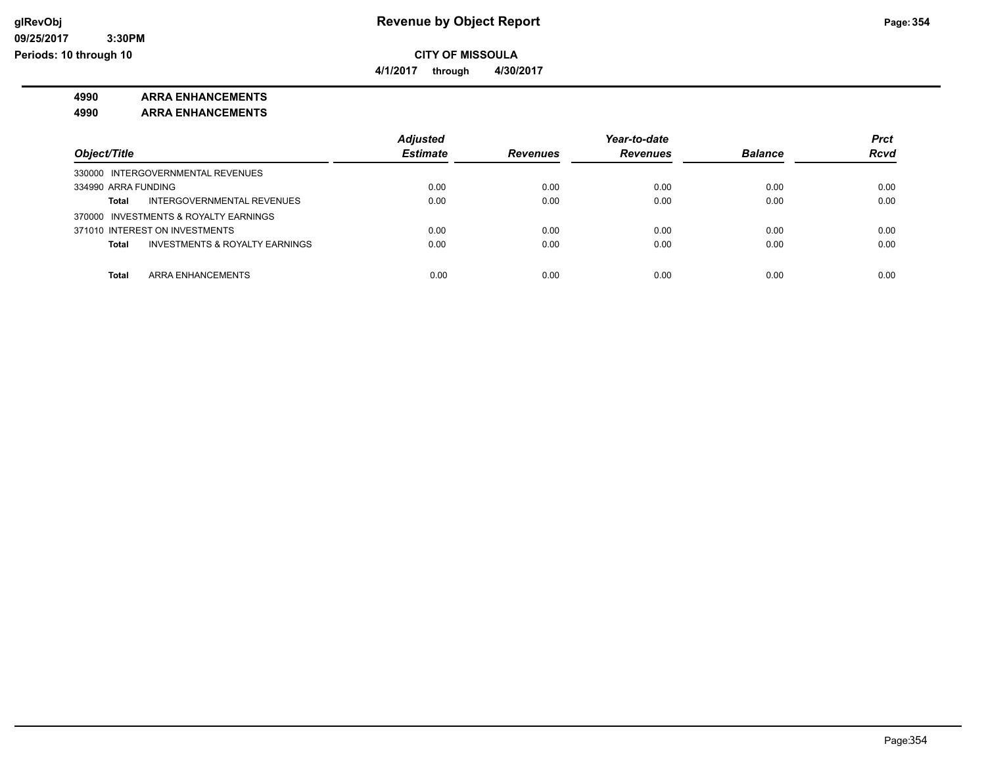**4/1/2017 through 4/30/2017**

#### **4990 ARRA ENHANCEMENTS**

**4990 ARRA ENHANCEMENTS**

|                                                    | <b>Adjusted</b> |                 | Year-to-date    |                | <b>Prct</b> |
|----------------------------------------------------|-----------------|-----------------|-----------------|----------------|-------------|
| Object/Title                                       | <b>Estimate</b> | <b>Revenues</b> | <b>Revenues</b> | <b>Balance</b> | <b>Rcvd</b> |
| 330000 INTERGOVERNMENTAL REVENUES                  |                 |                 |                 |                |             |
| 334990 ARRA FUNDING                                | 0.00            | 0.00            | 0.00            | 0.00           | 0.00        |
| INTERGOVERNMENTAL REVENUES<br><b>Total</b>         | 0.00            | 0.00            | 0.00            | 0.00           | 0.00        |
| 370000 INVESTMENTS & ROYALTY EARNINGS              |                 |                 |                 |                |             |
| 371010 INTEREST ON INVESTMENTS                     | 0.00            | 0.00            | 0.00            | 0.00           | 0.00        |
| <b>INVESTMENTS &amp; ROYALTY EARNINGS</b><br>Total | 0.00            | 0.00            | 0.00            | 0.00           | 0.00        |
|                                                    |                 |                 |                 |                |             |
| ARRA ENHANCEMENTS<br><b>Total</b>                  | 0.00            | 0.00            | 0.00            | 0.00           | 0.00        |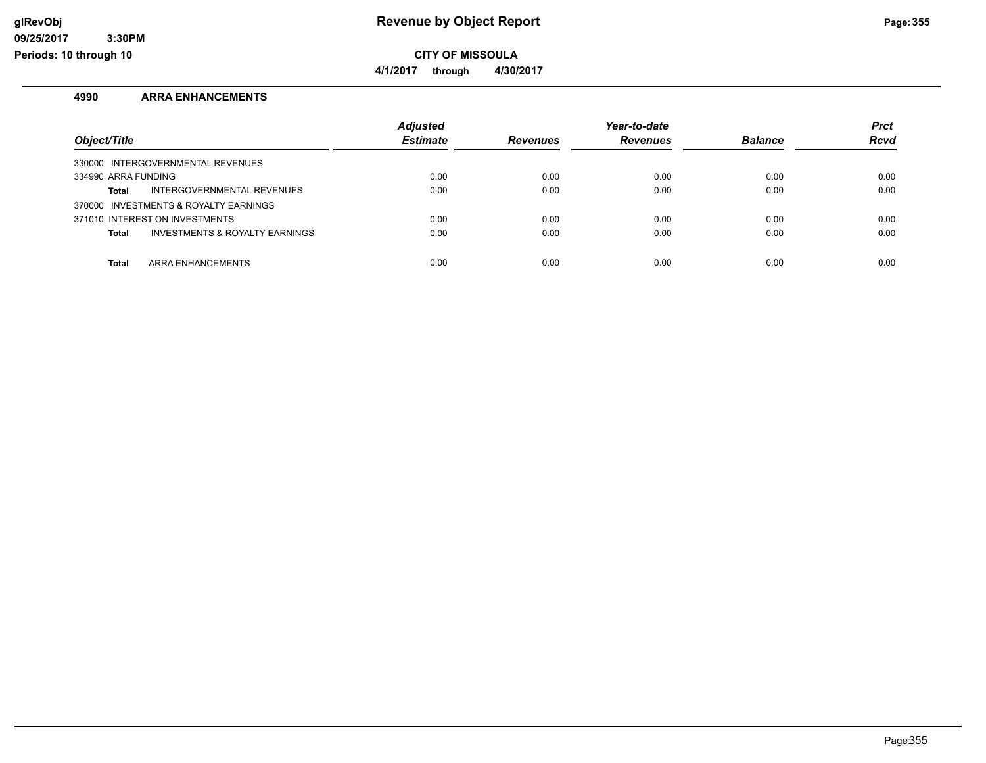**4/1/2017 through 4/30/2017**

#### **4990 ARRA ENHANCEMENTS**

| Object/Title                                              | Adjusted<br><b>Estimate</b> | <b>Revenues</b> | Year-to-date<br><b>Revenues</b> | <b>Balance</b> | <b>Prct</b><br><b>Rcvd</b> |
|-----------------------------------------------------------|-----------------------------|-----------------|---------------------------------|----------------|----------------------------|
| 330000 INTERGOVERNMENTAL REVENUES                         |                             |                 |                                 |                |                            |
| 334990 ARRA FUNDING                                       | 0.00                        | 0.00            | 0.00                            | 0.00           | 0.00                       |
| INTERGOVERNMENTAL REVENUES<br>Total                       | 0.00                        | 0.00            | 0.00                            | 0.00           | 0.00                       |
| 370000 INVESTMENTS & ROYALTY EARNINGS                     |                             |                 |                                 |                |                            |
| 371010 INTEREST ON INVESTMENTS                            | 0.00                        | 0.00            | 0.00                            | 0.00           | 0.00                       |
| <b>INVESTMENTS &amp; ROYALTY EARNINGS</b><br><b>Total</b> | 0.00                        | 0.00            | 0.00                            | 0.00           | 0.00                       |
|                                                           |                             |                 |                                 |                |                            |
| ARRA ENHANCEMENTS<br><b>Total</b>                         | 0.00                        | 0.00            | 0.00                            | 0.00           | 0.00                       |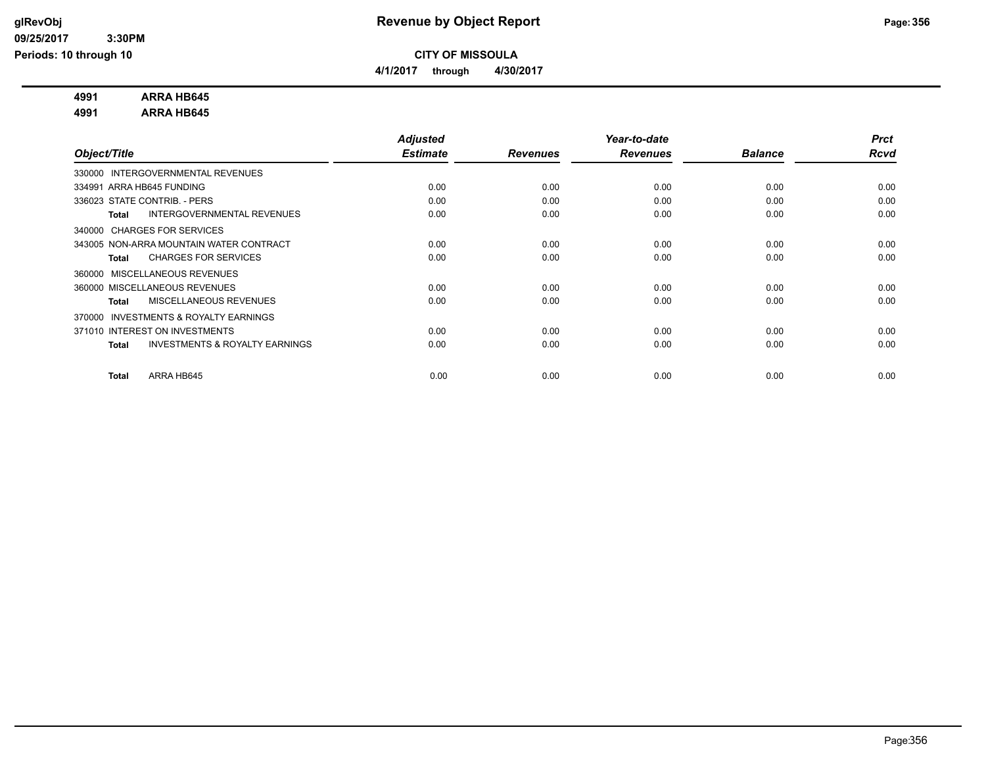**4/1/2017 through 4/30/2017**

#### **4991 ARRA HB645**

**4991 ARRA HB645**

|                                                    | <b>Adjusted</b> |                 | Year-to-date    |                | <b>Prct</b> |
|----------------------------------------------------|-----------------|-----------------|-----------------|----------------|-------------|
| Object/Title                                       | <b>Estimate</b> | <b>Revenues</b> | <b>Revenues</b> | <b>Balance</b> | <b>Rcvd</b> |
| 330000 INTERGOVERNMENTAL REVENUES                  |                 |                 |                 |                |             |
| 334991 ARRA HB645 FUNDING                          | 0.00            | 0.00            | 0.00            | 0.00           | 0.00        |
| 336023 STATE CONTRIB. - PERS                       | 0.00            | 0.00            | 0.00            | 0.00           | 0.00        |
| <b>INTERGOVERNMENTAL REVENUES</b><br>Total         | 0.00            | 0.00            | 0.00            | 0.00           | 0.00        |
| 340000 CHARGES FOR SERVICES                        |                 |                 |                 |                |             |
| 343005 NON-ARRA MOUNTAIN WATER CONTRACT            | 0.00            | 0.00            | 0.00            | 0.00           | 0.00        |
| <b>CHARGES FOR SERVICES</b><br>Total               | 0.00            | 0.00            | 0.00            | 0.00           | 0.00        |
| 360000 MISCELLANEOUS REVENUES                      |                 |                 |                 |                |             |
| 360000 MISCELLANEOUS REVENUES                      | 0.00            | 0.00            | 0.00            | 0.00           | 0.00        |
| MISCELLANEOUS REVENUES<br>Total                    | 0.00            | 0.00            | 0.00            | 0.00           | 0.00        |
| 370000 INVESTMENTS & ROYALTY EARNINGS              |                 |                 |                 |                |             |
| 371010 INTEREST ON INVESTMENTS                     | 0.00            | 0.00            | 0.00            | 0.00           | 0.00        |
| <b>INVESTMENTS &amp; ROYALTY EARNINGS</b><br>Total | 0.00            | 0.00            | 0.00            | 0.00           | 0.00        |
|                                                    |                 |                 |                 |                |             |
| ARRA HB645<br><b>Total</b>                         | 0.00            | 0.00            | 0.00            | 0.00           | 0.00        |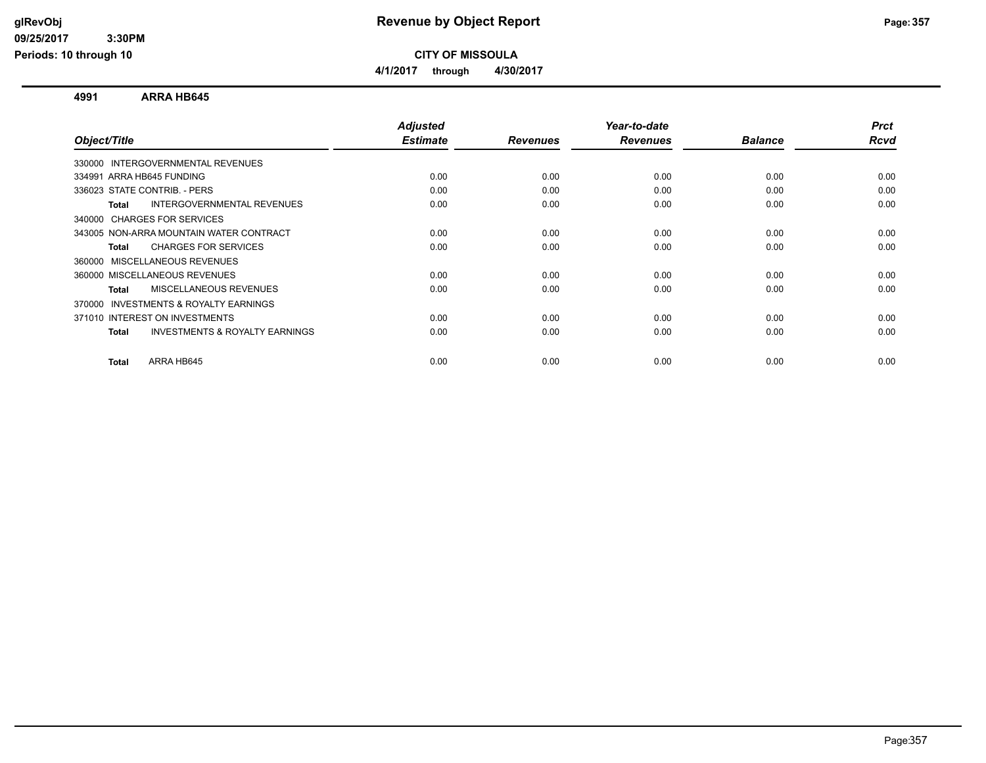**4/1/2017 through 4/30/2017**

**4991 ARRA HB645**

| Object/Title                                              | <b>Adjusted</b><br><b>Estimate</b> | <b>Revenues</b> | Year-to-date<br><b>Revenues</b> | <b>Balance</b> | <b>Prct</b><br><b>Rcvd</b> |
|-----------------------------------------------------------|------------------------------------|-----------------|---------------------------------|----------------|----------------------------|
| 330000 INTERGOVERNMENTAL REVENUES                         |                                    |                 |                                 |                |                            |
| 334991 ARRA HB645 FUNDING                                 | 0.00                               | 0.00            | 0.00                            | 0.00           | 0.00                       |
| 336023 STATE CONTRIB. - PERS                              | 0.00                               | 0.00            | 0.00                            | 0.00           | 0.00                       |
| INTERGOVERNMENTAL REVENUES<br><b>Total</b>                | 0.00                               | 0.00            | 0.00                            | 0.00           | 0.00                       |
| 340000 CHARGES FOR SERVICES                               |                                    |                 |                                 |                |                            |
| 343005 NON-ARRA MOUNTAIN WATER CONTRACT                   | 0.00                               | 0.00            | 0.00                            | 0.00           | 0.00                       |
| <b>CHARGES FOR SERVICES</b><br><b>Total</b>               | 0.00                               | 0.00            | 0.00                            | 0.00           | 0.00                       |
| 360000 MISCELLANEOUS REVENUES                             |                                    |                 |                                 |                |                            |
| 360000 MISCELLANEOUS REVENUES                             | 0.00                               | 0.00            | 0.00                            | 0.00           | 0.00                       |
| MISCELLANEOUS REVENUES<br>Total                           | 0.00                               | 0.00            | 0.00                            | 0.00           | 0.00                       |
| 370000 INVESTMENTS & ROYALTY EARNINGS                     |                                    |                 |                                 |                |                            |
| 371010 INTEREST ON INVESTMENTS                            | 0.00                               | 0.00            | 0.00                            | 0.00           | 0.00                       |
| <b>INVESTMENTS &amp; ROYALTY EARNINGS</b><br><b>Total</b> | 0.00                               | 0.00            | 0.00                            | 0.00           | 0.00                       |
|                                                           |                                    |                 |                                 |                |                            |
| ARRA HB645<br><b>Total</b>                                | 0.00                               | 0.00            | 0.00                            | 0.00           | 0.00                       |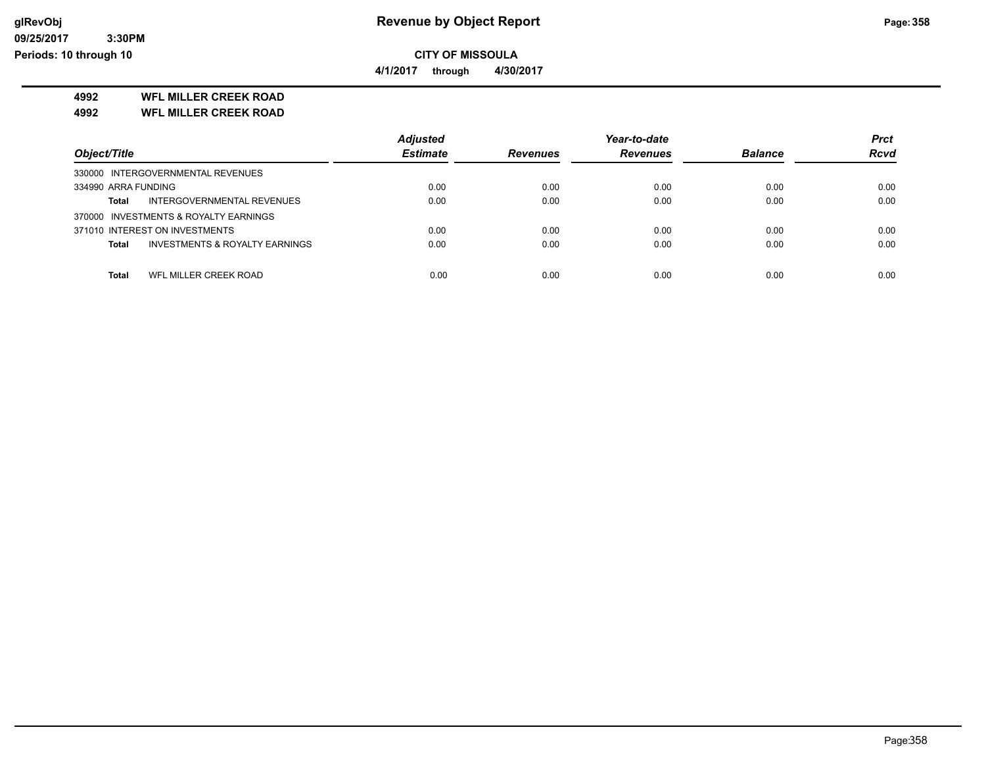**4/1/2017 through 4/30/2017**

#### **4992 WFL MILLER CREEK ROAD**

**4992 WFL MILLER CREEK ROAD**

|                                                    | <b>Adjusted</b> |                 | Year-to-date    |                | <b>Prct</b> |
|----------------------------------------------------|-----------------|-----------------|-----------------|----------------|-------------|
| Object/Title                                       | <b>Estimate</b> | <b>Revenues</b> | <b>Revenues</b> | <b>Balance</b> | <b>Rcvd</b> |
| 330000 INTERGOVERNMENTAL REVENUES                  |                 |                 |                 |                |             |
| 334990 ARRA FUNDING                                | 0.00            | 0.00            | 0.00            | 0.00           | 0.00        |
| INTERGOVERNMENTAL REVENUES<br><b>Total</b>         | 0.00            | 0.00            | 0.00            | 0.00           | 0.00        |
| 370000 INVESTMENTS & ROYALTY EARNINGS              |                 |                 |                 |                |             |
| 371010 INTEREST ON INVESTMENTS                     | 0.00            | 0.00            | 0.00            | 0.00           | 0.00        |
| <b>INVESTMENTS &amp; ROYALTY EARNINGS</b><br>Total | 0.00            | 0.00            | 0.00            | 0.00           | 0.00        |
|                                                    |                 |                 |                 |                |             |
| WFL MILLER CREEK ROAD<br><b>Total</b>              | 0.00            | 0.00            | 0.00            | 0.00           | 0.00        |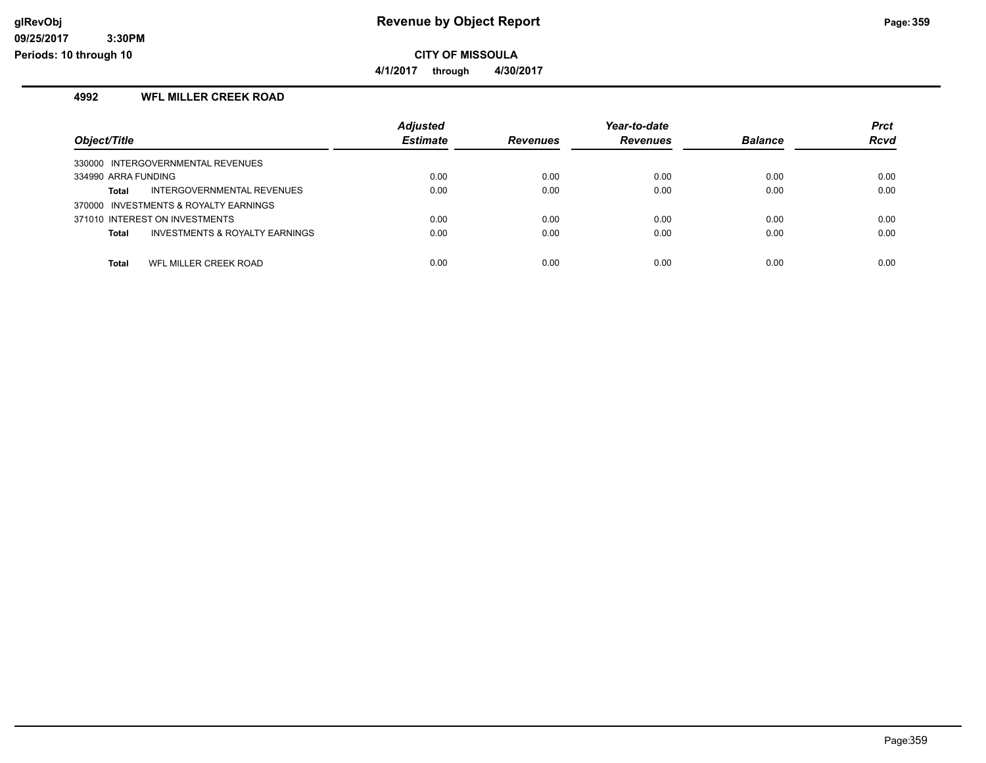**4/1/2017 through 4/30/2017**

#### **4992 WFL MILLER CREEK ROAD**

| Object/Title                                   | <b>Adjusted</b><br><b>Estimate</b> | <b>Revenues</b> | Year-to-date<br><b>Revenues</b> | <b>Balance</b> | <b>Prct</b><br><b>Rcvd</b> |
|------------------------------------------------|------------------------------------|-----------------|---------------------------------|----------------|----------------------------|
| 330000 INTERGOVERNMENTAL REVENUES              |                                    |                 |                                 |                |                            |
| 334990 ARRA FUNDING                            | 0.00                               | 0.00            | 0.00                            | 0.00           | 0.00                       |
| INTERGOVERNMENTAL REVENUES<br>Total            | 0.00                               | 0.00            | 0.00                            | 0.00           | 0.00                       |
| 370000 INVESTMENTS & ROYALTY EARNINGS          |                                    |                 |                                 |                |                            |
| 371010 INTEREST ON INVESTMENTS                 | 0.00                               | 0.00            | 0.00                            | 0.00           | 0.00                       |
| INVESTMENTS & ROYALTY EARNINGS<br><b>Total</b> | 0.00                               | 0.00            | 0.00                            | 0.00           | 0.00                       |
| WFL MILLER CREEK ROAD<br><b>Total</b>          | 0.00                               | 0.00            | 0.00                            | 0.00           | 0.00                       |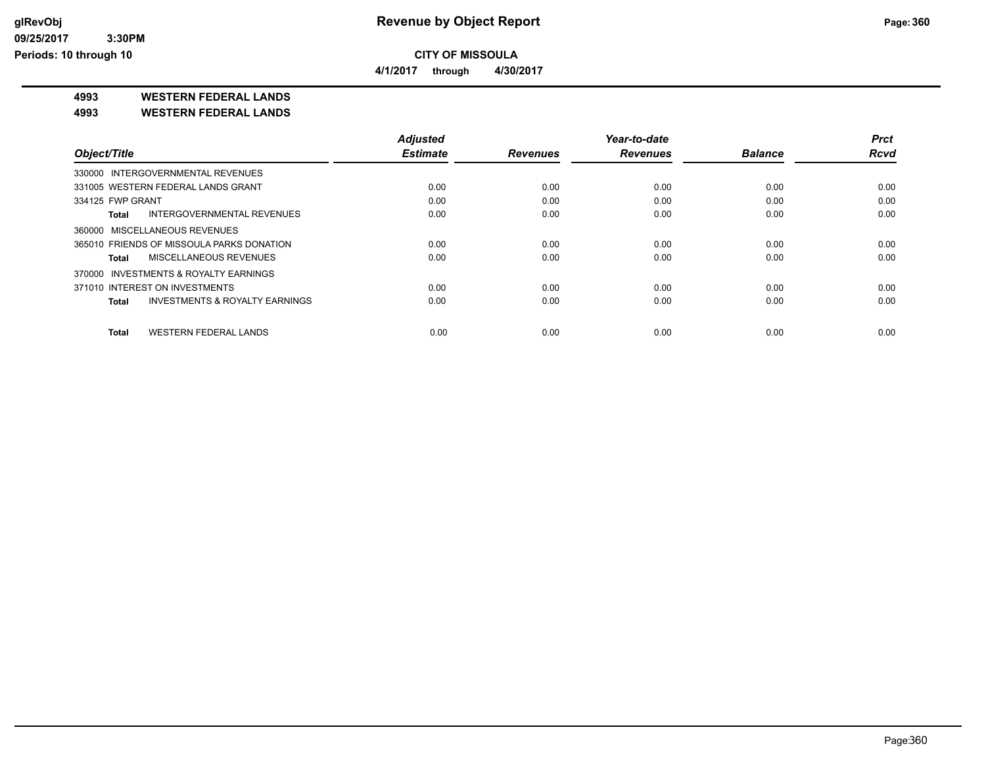**4/1/2017 through 4/30/2017**

**4993 WESTERN FEDERAL LANDS**

**4993 WESTERN FEDERAL LANDS**

|                                                           | <b>Adjusted</b> |                 | Year-to-date    |                | <b>Prct</b> |
|-----------------------------------------------------------|-----------------|-----------------|-----------------|----------------|-------------|
| Object/Title                                              | <b>Estimate</b> | <b>Revenues</b> | <b>Revenues</b> | <b>Balance</b> | <b>Rcvd</b> |
| 330000 INTERGOVERNMENTAL REVENUES                         |                 |                 |                 |                |             |
| 331005 WESTERN FEDERAL LANDS GRANT                        | 0.00            | 0.00            | 0.00            | 0.00           | 0.00        |
| 334125 FWP GRANT                                          | 0.00            | 0.00            | 0.00            | 0.00           | 0.00        |
| INTERGOVERNMENTAL REVENUES<br>Total                       | 0.00            | 0.00            | 0.00            | 0.00           | 0.00        |
| 360000 MISCELLANEOUS REVENUES                             |                 |                 |                 |                |             |
| 365010 FRIENDS OF MISSOULA PARKS DONATION                 | 0.00            | 0.00            | 0.00            | 0.00           | 0.00        |
| MISCELLANEOUS REVENUES<br>Total                           | 0.00            | 0.00            | 0.00            | 0.00           | 0.00        |
| 370000 INVESTMENTS & ROYALTY EARNINGS                     |                 |                 |                 |                |             |
| 371010 INTEREST ON INVESTMENTS                            | 0.00            | 0.00            | 0.00            | 0.00           | 0.00        |
| <b>INVESTMENTS &amp; ROYALTY EARNINGS</b><br><b>Total</b> | 0.00            | 0.00            | 0.00            | 0.00           | 0.00        |
| <b>WESTERN FEDERAL LANDS</b><br><b>Total</b>              | 0.00            | 0.00            | 0.00            | 0.00           | 0.00        |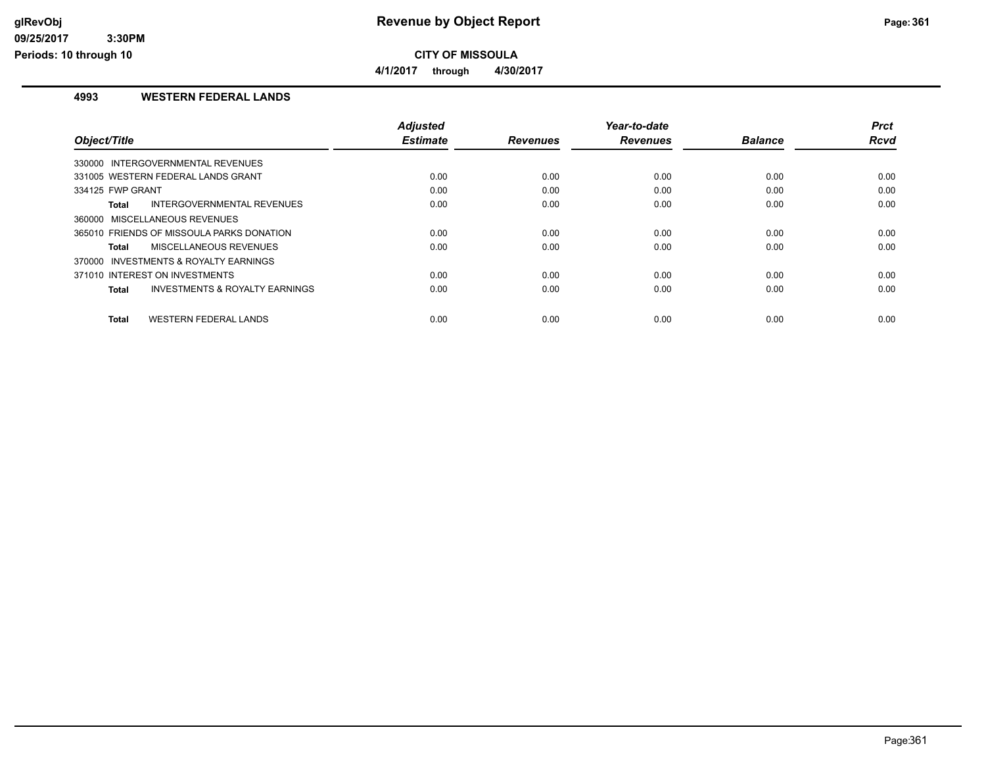**4/1/2017 through 4/30/2017**

## **4993 WESTERN FEDERAL LANDS**

|                                                | <b>Adjusted</b> |                 | Year-to-date    |                | <b>Prct</b> |
|------------------------------------------------|-----------------|-----------------|-----------------|----------------|-------------|
| Object/Title                                   | <b>Estimate</b> | <b>Revenues</b> | <b>Revenues</b> | <b>Balance</b> | <b>Rcvd</b> |
| 330000 INTERGOVERNMENTAL REVENUES              |                 |                 |                 |                |             |
| 331005 WESTERN FEDERAL LANDS GRANT             | 0.00            | 0.00            | 0.00            | 0.00           | 0.00        |
| 334125 FWP GRANT                               | 0.00            | 0.00            | 0.00            | 0.00           | 0.00        |
| INTERGOVERNMENTAL REVENUES<br><b>Total</b>     | 0.00            | 0.00            | 0.00            | 0.00           | 0.00        |
| 360000 MISCELLANEOUS REVENUES                  |                 |                 |                 |                |             |
| 365010 FRIENDS OF MISSOULA PARKS DONATION      | 0.00            | 0.00            | 0.00            | 0.00           | 0.00        |
| <b>MISCELLANEOUS REVENUES</b><br><b>Total</b>  | 0.00            | 0.00            | 0.00            | 0.00           | 0.00        |
| 370000 INVESTMENTS & ROYALTY EARNINGS          |                 |                 |                 |                |             |
| 371010 INTEREST ON INVESTMENTS                 | 0.00            | 0.00            | 0.00            | 0.00           | 0.00        |
| INVESTMENTS & ROYALTY EARNINGS<br><b>Total</b> | 0.00            | 0.00            | 0.00            | 0.00           | 0.00        |
|                                                |                 |                 |                 |                |             |
| <b>WESTERN FEDERAL LANDS</b><br><b>Total</b>   | 0.00            | 0.00            | 0.00            | 0.00           | 0.00        |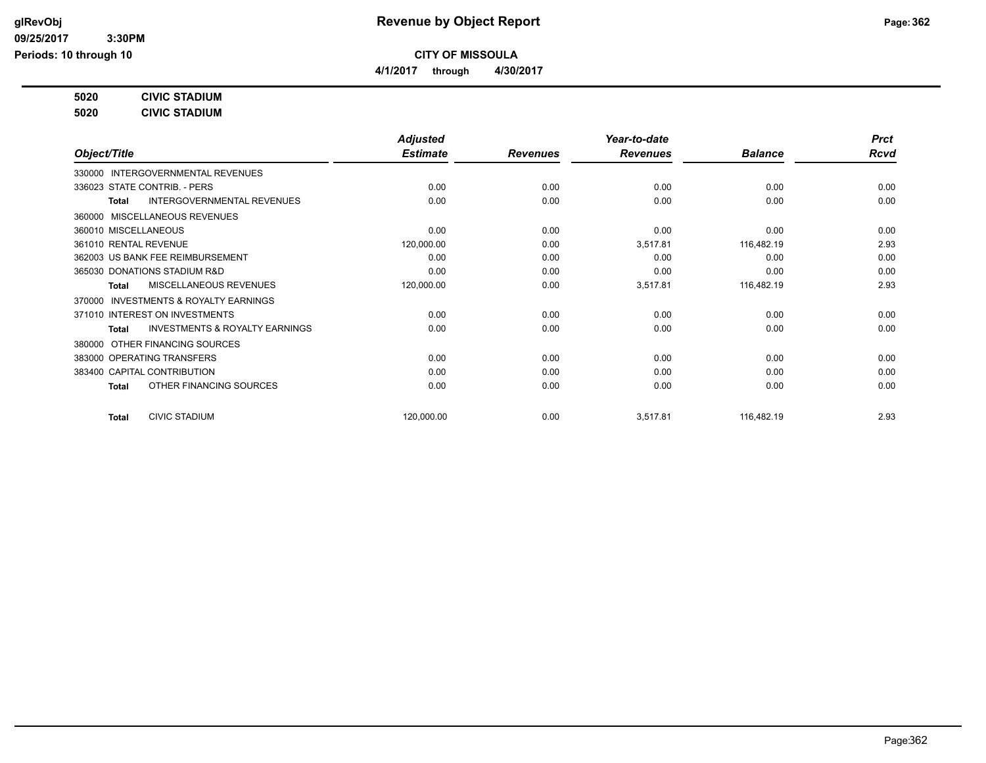**4/1/2017 through 4/30/2017**

## **5020 CIVIC STADIUM**

**5020 CIVIC STADIUM**

|                                                           | <b>Adjusted</b> |                 | Year-to-date    |                | <b>Prct</b> |
|-----------------------------------------------------------|-----------------|-----------------|-----------------|----------------|-------------|
| Object/Title                                              | <b>Estimate</b> | <b>Revenues</b> | <b>Revenues</b> | <b>Balance</b> | Rcvd        |
| 330000 INTERGOVERNMENTAL REVENUES                         |                 |                 |                 |                |             |
| 336023 STATE CONTRIB. - PERS                              | 0.00            | 0.00            | 0.00            | 0.00           | 0.00        |
| <b>INTERGOVERNMENTAL REVENUES</b><br><b>Total</b>         | 0.00            | 0.00            | 0.00            | 0.00           | 0.00        |
| 360000 MISCELLANEOUS REVENUES                             |                 |                 |                 |                |             |
| 360010 MISCELLANEOUS                                      | 0.00            | 0.00            | 0.00            | 0.00           | 0.00        |
| 361010 RENTAL REVENUE                                     | 120,000.00      | 0.00            | 3,517.81        | 116,482.19     | 2.93        |
| 362003 US BANK FEE REIMBURSEMENT                          | 0.00            | 0.00            | 0.00            | 0.00           | 0.00        |
| 365030 DONATIONS STADIUM R&D                              | 0.00            | 0.00            | 0.00            | 0.00           | 0.00        |
| <b>MISCELLANEOUS REVENUES</b><br><b>Total</b>             | 120,000.00      | 0.00            | 3,517.81        | 116,482.19     | 2.93        |
| 370000 INVESTMENTS & ROYALTY EARNINGS                     |                 |                 |                 |                |             |
| 371010 INTEREST ON INVESTMENTS                            | 0.00            | 0.00            | 0.00            | 0.00           | 0.00        |
| <b>INVESTMENTS &amp; ROYALTY EARNINGS</b><br><b>Total</b> | 0.00            | 0.00            | 0.00            | 0.00           | 0.00        |
| OTHER FINANCING SOURCES<br>380000                         |                 |                 |                 |                |             |
| 383000 OPERATING TRANSFERS                                | 0.00            | 0.00            | 0.00            | 0.00           | 0.00        |
| 383400 CAPITAL CONTRIBUTION                               | 0.00            | 0.00            | 0.00            | 0.00           | 0.00        |
| OTHER FINANCING SOURCES<br><b>Total</b>                   | 0.00            | 0.00            | 0.00            | 0.00           | 0.00        |
|                                                           |                 |                 |                 |                |             |
| <b>CIVIC STADIUM</b><br><b>Total</b>                      | 120,000.00      | 0.00            | 3,517.81        | 116,482.19     | 2.93        |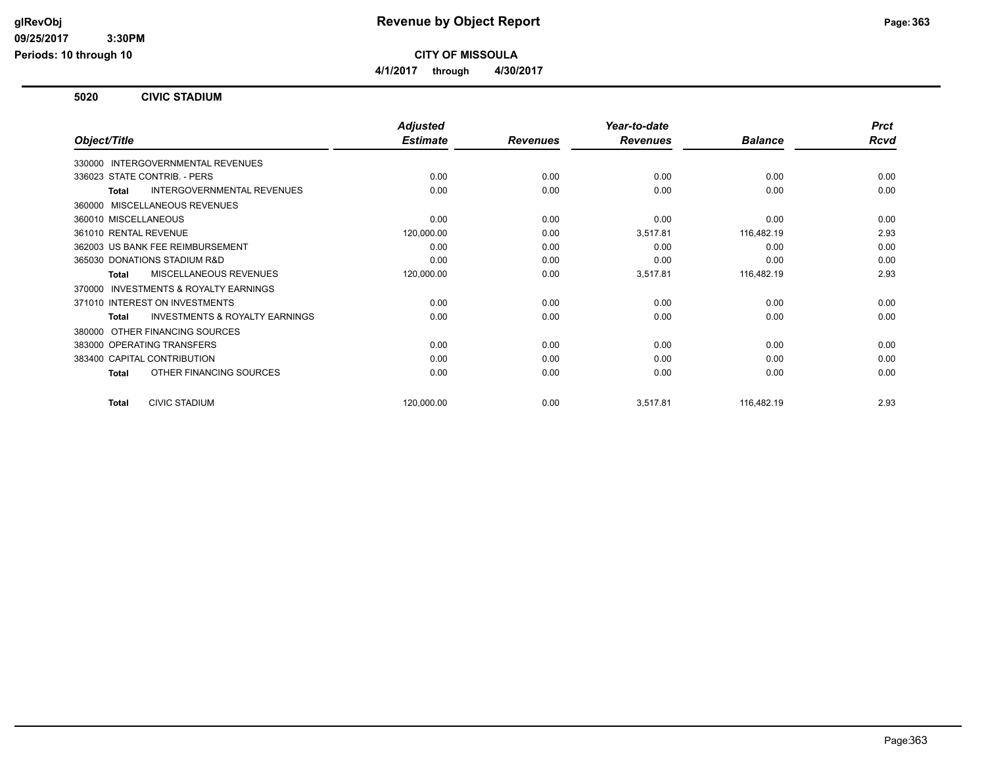**Periods: 10 through 10**

**CITY OF MISSOULA**

**4/1/2017 through 4/30/2017**

## **5020 CIVIC STADIUM**

 **3:30PM**

|                                                           | <b>Adjusted</b> |                 | Year-to-date    |                | <b>Prct</b> |
|-----------------------------------------------------------|-----------------|-----------------|-----------------|----------------|-------------|
| Object/Title                                              | <b>Estimate</b> | <b>Revenues</b> | <b>Revenues</b> | <b>Balance</b> | <b>Rcvd</b> |
| 330000 INTERGOVERNMENTAL REVENUES                         |                 |                 |                 |                |             |
| 336023 STATE CONTRIB. - PERS                              | 0.00            | 0.00            | 0.00            | 0.00           | 0.00        |
| <b>INTERGOVERNMENTAL REVENUES</b><br><b>Total</b>         | 0.00            | 0.00            | 0.00            | 0.00           | 0.00        |
| 360000 MISCELLANEOUS REVENUES                             |                 |                 |                 |                |             |
| 360010 MISCELLANEOUS                                      | 0.00            | 0.00            | 0.00            | 0.00           | 0.00        |
| 361010 RENTAL REVENUE                                     | 120,000.00      | 0.00            | 3,517.81        | 116,482.19     | 2.93        |
| 362003 US BANK FEE REIMBURSEMENT                          | 0.00            | 0.00            | 0.00            | 0.00           | 0.00        |
| 365030 DONATIONS STADIUM R&D                              | 0.00            | 0.00            | 0.00            | 0.00           | 0.00        |
| <b>MISCELLANEOUS REVENUES</b><br><b>Total</b>             | 120,000.00      | 0.00            | 3,517.81        | 116,482.19     | 2.93        |
| <b>INVESTMENTS &amp; ROYALTY EARNINGS</b><br>370000       |                 |                 |                 |                |             |
| 371010 INTEREST ON INVESTMENTS                            | 0.00            | 0.00            | 0.00            | 0.00           | 0.00        |
| <b>INVESTMENTS &amp; ROYALTY EARNINGS</b><br><b>Total</b> | 0.00            | 0.00            | 0.00            | 0.00           | 0.00        |
| OTHER FINANCING SOURCES<br>380000                         |                 |                 |                 |                |             |
| 383000 OPERATING TRANSFERS                                | 0.00            | 0.00            | 0.00            | 0.00           | 0.00        |
| 383400 CAPITAL CONTRIBUTION                               | 0.00            | 0.00            | 0.00            | 0.00           | 0.00        |
| OTHER FINANCING SOURCES<br><b>Total</b>                   | 0.00            | 0.00            | 0.00            | 0.00           | 0.00        |
| <b>CIVIC STADIUM</b><br><b>Total</b>                      | 120,000.00      | 0.00            | 3,517.81        | 116,482.19     | 2.93        |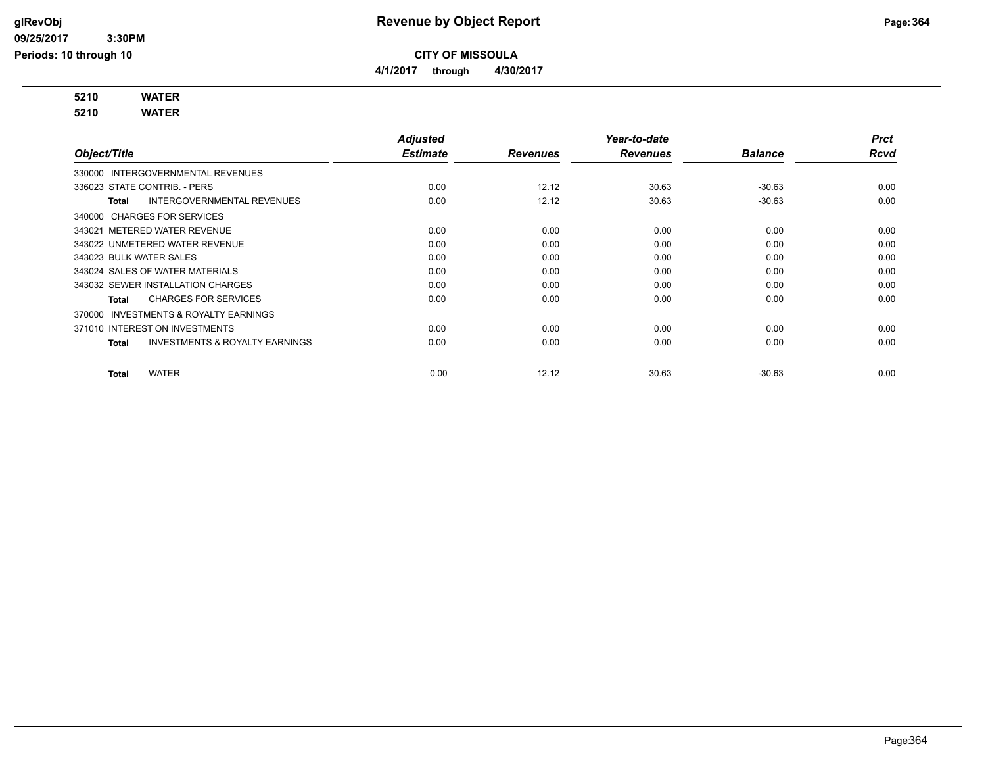**4/1/2017 through 4/30/2017**

## **5210 WATER**

**5210 WATER**

| Object/Title                                       | <b>Adjusted</b><br><b>Estimate</b> | <b>Revenues</b> | Year-to-date<br><b>Revenues</b> | <b>Balance</b> | <b>Prct</b><br><b>Rcvd</b> |
|----------------------------------------------------|------------------------------------|-----------------|---------------------------------|----------------|----------------------------|
|                                                    |                                    |                 |                                 |                |                            |
| 330000 INTERGOVERNMENTAL REVENUES                  |                                    |                 |                                 |                |                            |
| 336023 STATE CONTRIB. - PERS                       | 0.00                               | 12.12           | 30.63                           | $-30.63$       | 0.00                       |
| <b>INTERGOVERNMENTAL REVENUES</b><br>Total         | 0.00                               | 12.12           | 30.63                           | $-30.63$       | 0.00                       |
| 340000 CHARGES FOR SERVICES                        |                                    |                 |                                 |                |                            |
| 343021 METERED WATER REVENUE                       | 0.00                               | 0.00            | 0.00                            | 0.00           | 0.00                       |
| 343022 UNMETERED WATER REVENUE                     | 0.00                               | 0.00            | 0.00                            | 0.00           | 0.00                       |
| 343023 BULK WATER SALES                            | 0.00                               | 0.00            | 0.00                            | 0.00           | 0.00                       |
| 343024 SALES OF WATER MATERIALS                    | 0.00                               | 0.00            | 0.00                            | 0.00           | 0.00                       |
| 343032 SEWER INSTALLATION CHARGES                  | 0.00                               | 0.00            | 0.00                            | 0.00           | 0.00                       |
| <b>CHARGES FOR SERVICES</b><br>Total               | 0.00                               | 0.00            | 0.00                            | 0.00           | 0.00                       |
| 370000 INVESTMENTS & ROYALTY EARNINGS              |                                    |                 |                                 |                |                            |
| 371010 INTEREST ON INVESTMENTS                     | 0.00                               | 0.00            | 0.00                            | 0.00           | 0.00                       |
| <b>INVESTMENTS &amp; ROYALTY EARNINGS</b><br>Total | 0.00                               | 0.00            | 0.00                            | 0.00           | 0.00                       |
| <b>WATER</b><br>Total                              | 0.00                               | 12.12           | 30.63                           | $-30.63$       | 0.00                       |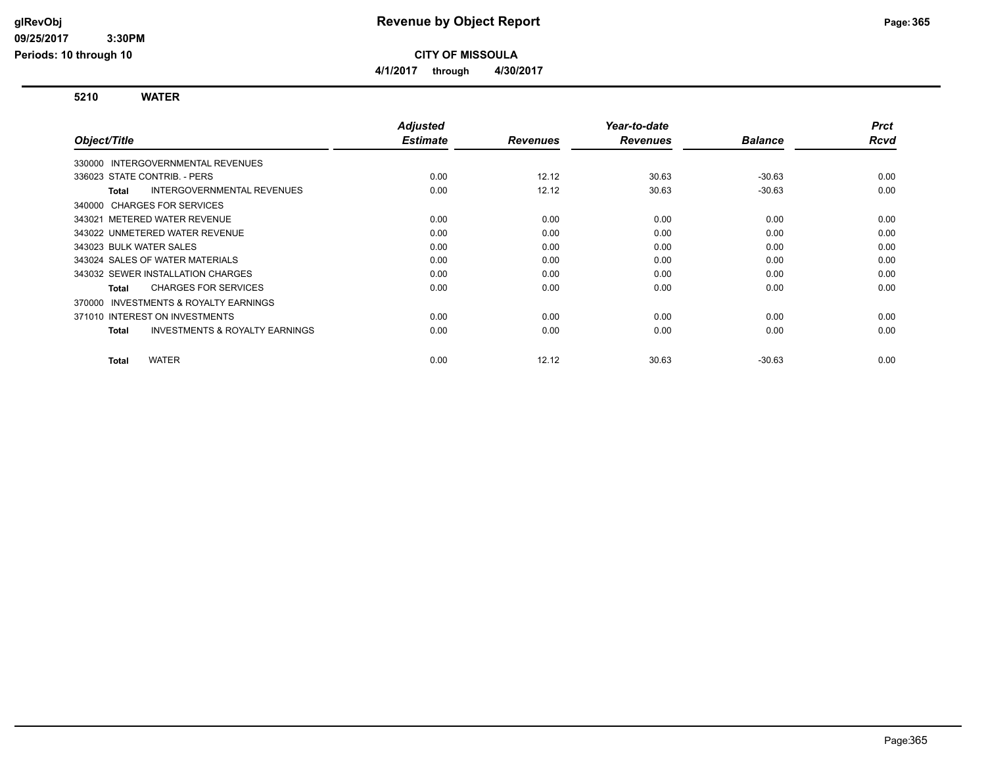**4/1/2017 through 4/30/2017**

**5210 WATER**

| Object/Title                                              | <b>Adjusted</b><br><b>Estimate</b> | <b>Revenues</b> | Year-to-date<br><b>Revenues</b> | <b>Balance</b> | <b>Prct</b><br><b>Rcvd</b> |
|-----------------------------------------------------------|------------------------------------|-----------------|---------------------------------|----------------|----------------------------|
| 330000 INTERGOVERNMENTAL REVENUES                         |                                    |                 |                                 |                |                            |
| 336023 STATE CONTRIB. - PERS                              | 0.00                               | 12.12           | 30.63                           | $-30.63$       | 0.00                       |
| <b>INTERGOVERNMENTAL REVENUES</b><br><b>Total</b>         | 0.00                               | 12.12           | 30.63                           | $-30.63$       | 0.00                       |
| 340000 CHARGES FOR SERVICES                               |                                    |                 |                                 |                |                            |
| 343021 METERED WATER REVENUE                              | 0.00                               | 0.00            | 0.00                            | 0.00           | 0.00                       |
| 343022 UNMETERED WATER REVENUE                            | 0.00                               | 0.00            | 0.00                            | 0.00           | 0.00                       |
| 343023 BULK WATER SALES                                   | 0.00                               | 0.00            | 0.00                            | 0.00           | 0.00                       |
| 343024 SALES OF WATER MATERIALS                           | 0.00                               | 0.00            | 0.00                            | 0.00           | 0.00                       |
| 343032 SEWER INSTALLATION CHARGES                         | 0.00                               | 0.00            | 0.00                            | 0.00           | 0.00                       |
| <b>CHARGES FOR SERVICES</b><br>Total                      | 0.00                               | 0.00            | 0.00                            | 0.00           | 0.00                       |
| <b>INVESTMENTS &amp; ROYALTY EARNINGS</b><br>370000       |                                    |                 |                                 |                |                            |
| 371010 INTEREST ON INVESTMENTS                            | 0.00                               | 0.00            | 0.00                            | 0.00           | 0.00                       |
| <b>INVESTMENTS &amp; ROYALTY EARNINGS</b><br><b>Total</b> | 0.00                               | 0.00            | 0.00                            | 0.00           | 0.00                       |
| <b>WATER</b><br><b>Total</b>                              | 0.00                               | 12.12           | 30.63                           | $-30.63$       | 0.00                       |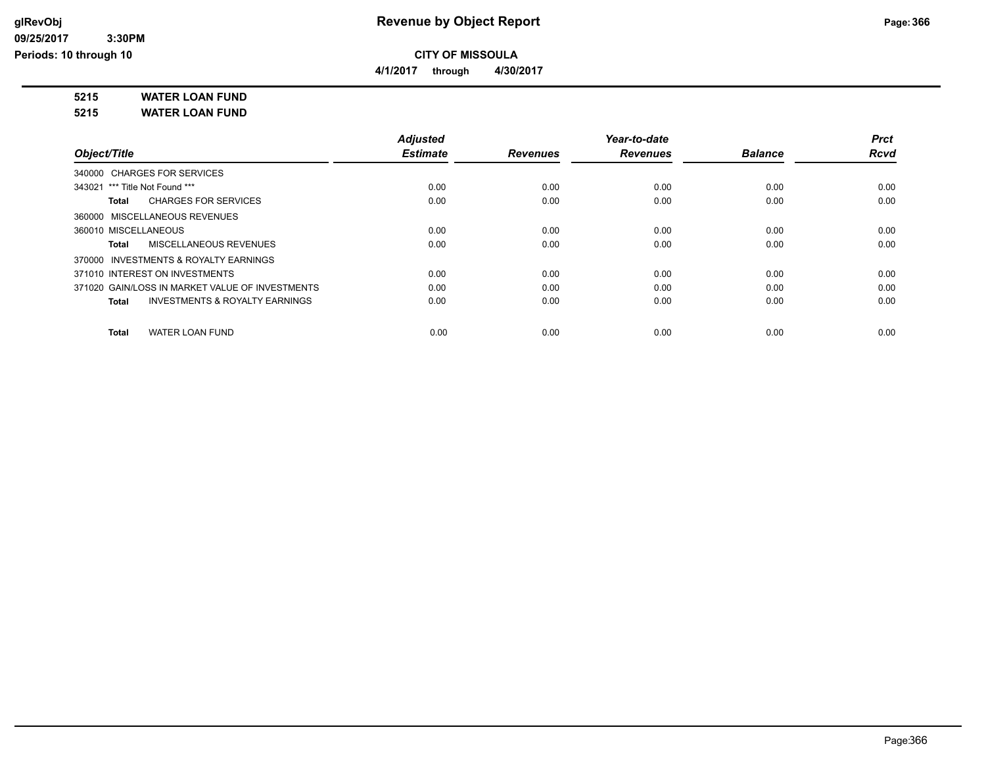**4/1/2017 through 4/30/2017**

**5215 WATER LOAN FUND**

**5215 WATER LOAN FUND**

|                                                    | <b>Adjusted</b> |                 | Year-to-date    |                | <b>Prct</b> |
|----------------------------------------------------|-----------------|-----------------|-----------------|----------------|-------------|
| Object/Title                                       | <b>Estimate</b> | <b>Revenues</b> | <b>Revenues</b> | <b>Balance</b> | Rcvd        |
| 340000 CHARGES FOR SERVICES                        |                 |                 |                 |                |             |
| 343021 *** Title Not Found ***                     | 0.00            | 0.00            | 0.00            | 0.00           | 0.00        |
| <b>CHARGES FOR SERVICES</b><br>Total               | 0.00            | 0.00            | 0.00            | 0.00           | 0.00        |
| 360000 MISCELLANEOUS REVENUES                      |                 |                 |                 |                |             |
| 360010 MISCELLANEOUS                               | 0.00            | 0.00            | 0.00            | 0.00           | 0.00        |
| MISCELLANEOUS REVENUES<br>Total                    | 0.00            | 0.00            | 0.00            | 0.00           | 0.00        |
| 370000 INVESTMENTS & ROYALTY EARNINGS              |                 |                 |                 |                |             |
| 371010 INTEREST ON INVESTMENTS                     | 0.00            | 0.00            | 0.00            | 0.00           | 0.00        |
| 371020 GAIN/LOSS IN MARKET VALUE OF INVESTMENTS    | 0.00            | 0.00            | 0.00            | 0.00           | 0.00        |
| <b>INVESTMENTS &amp; ROYALTY EARNINGS</b><br>Total | 0.00            | 0.00            | 0.00            | 0.00           | 0.00        |
| <b>WATER LOAN FUND</b><br>Total                    | 0.00            | 0.00            | 0.00            | 0.00           | 0.00        |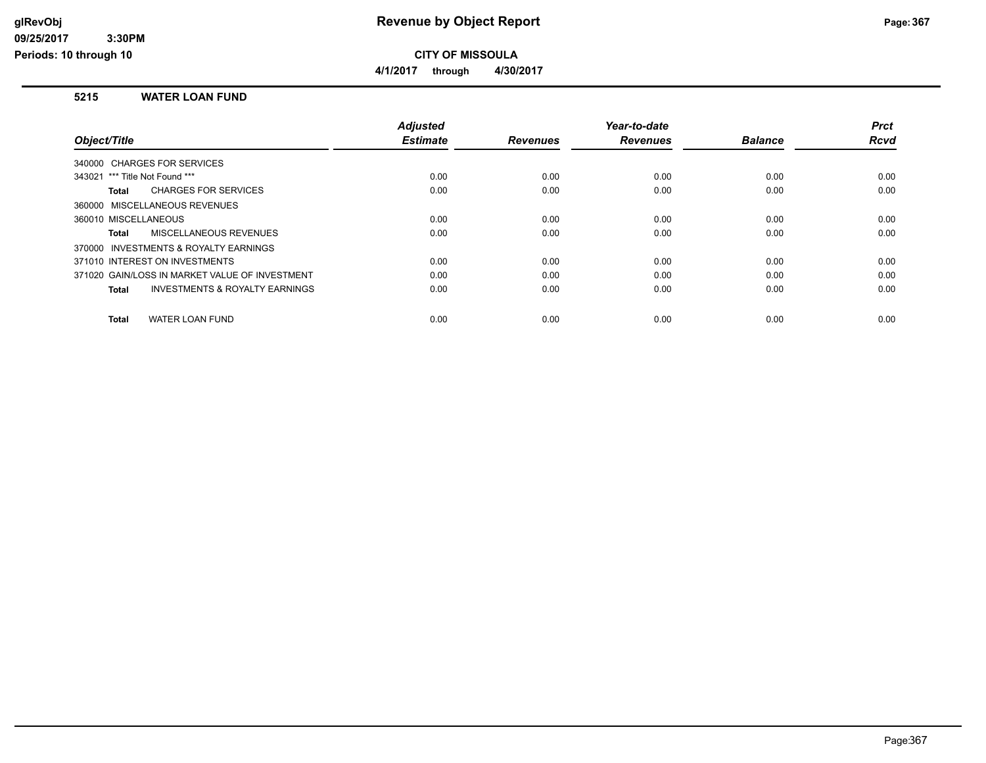**4/1/2017 through 4/30/2017**

### **5215 WATER LOAN FUND**

|                                                | <b>Adjusted</b> |                 | Year-to-date    |                | <b>Prct</b> |
|------------------------------------------------|-----------------|-----------------|-----------------|----------------|-------------|
| Object/Title                                   | <b>Estimate</b> | <b>Revenues</b> | <b>Revenues</b> | <b>Balance</b> | <b>Rcvd</b> |
| 340000 CHARGES FOR SERVICES                    |                 |                 |                 |                |             |
| 343021 *** Title Not Found ***                 | 0.00            | 0.00            | 0.00            | 0.00           | 0.00        |
| <b>CHARGES FOR SERVICES</b><br>Total           | 0.00            | 0.00            | 0.00            | 0.00           | 0.00        |
| 360000 MISCELLANEOUS REVENUES                  |                 |                 |                 |                |             |
| 360010 MISCELLANEOUS                           | 0.00            | 0.00            | 0.00            | 0.00           | 0.00        |
| MISCELLANEOUS REVENUES<br><b>Total</b>         | 0.00            | 0.00            | 0.00            | 0.00           | 0.00        |
| 370000 INVESTMENTS & ROYALTY EARNINGS          |                 |                 |                 |                |             |
| 371010 INTEREST ON INVESTMENTS                 | 0.00            | 0.00            | 0.00            | 0.00           | 0.00        |
| 371020 GAIN/LOSS IN MARKET VALUE OF INVESTMENT | 0.00            | 0.00            | 0.00            | 0.00           | 0.00        |
| INVESTMENTS & ROYALTY EARNINGS<br>Total        | 0.00            | 0.00            | 0.00            | 0.00           | 0.00        |
| <b>WATER LOAN FUND</b><br><b>Total</b>         | 0.00            | 0.00            | 0.00            | 0.00           | 0.00        |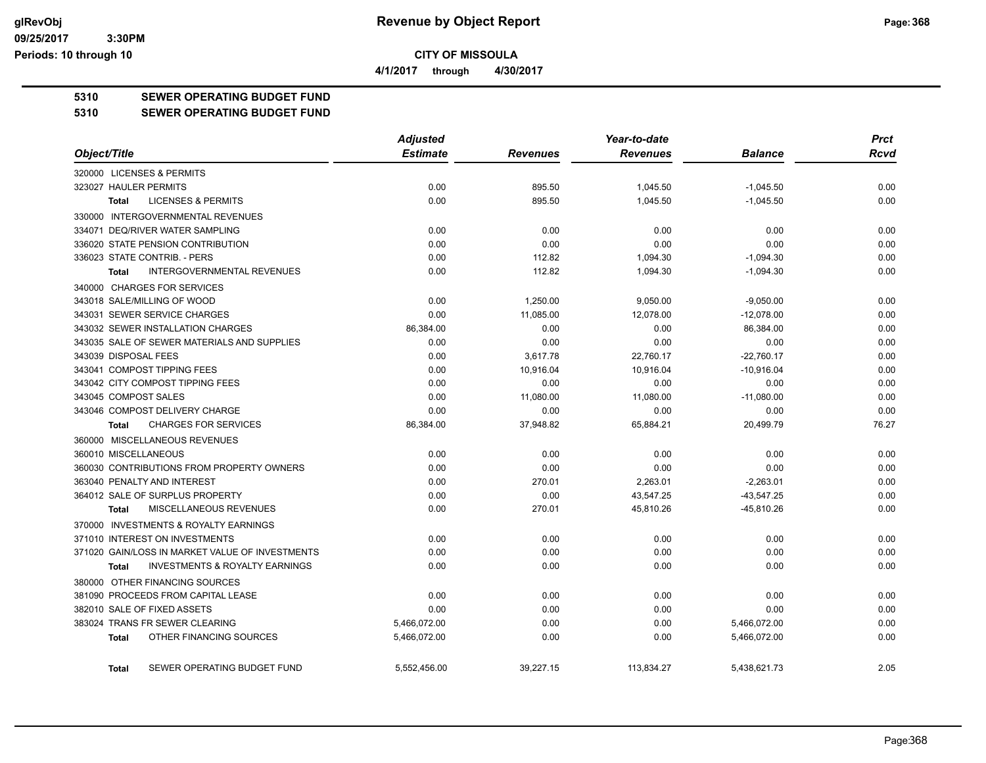**4/1/2017 through 4/30/2017**

## **5310 SEWER OPERATING BUDGET FUND**

## **5310 SEWER OPERATING BUDGET FUND**

|                                                    | <b>Adjusted</b> |                 | Year-to-date    | <b>Prct</b>    |             |
|----------------------------------------------------|-----------------|-----------------|-----------------|----------------|-------------|
| Object/Title                                       | <b>Estimate</b> | <b>Revenues</b> | <b>Revenues</b> | <b>Balance</b> | <b>Rcvd</b> |
| 320000 LICENSES & PERMITS                          |                 |                 |                 |                |             |
| 323027 HAULER PERMITS                              | 0.00            | 895.50          | 1,045.50        | $-1,045.50$    | 0.00        |
| <b>LICENSES &amp; PERMITS</b><br><b>Total</b>      | 0.00            | 895.50          | 1,045.50        | $-1,045.50$    | 0.00        |
| 330000 INTERGOVERNMENTAL REVENUES                  |                 |                 |                 |                |             |
| 334071 DEQ/RIVER WATER SAMPLING                    | 0.00            | 0.00            | 0.00            | 0.00           | 0.00        |
| 336020 STATE PENSION CONTRIBUTION                  | 0.00            | 0.00            | 0.00            | 0.00           | 0.00        |
| 336023 STATE CONTRIB. - PERS                       | 0.00            | 112.82          | 1,094.30        | $-1,094.30$    | 0.00        |
| <b>INTERGOVERNMENTAL REVENUES</b><br><b>Total</b>  | 0.00            | 112.82          | 1,094.30        | $-1,094.30$    | 0.00        |
| 340000 CHARGES FOR SERVICES                        |                 |                 |                 |                |             |
| 343018 SALE/MILLING OF WOOD                        | 0.00            | 1,250.00        | 9,050.00        | $-9,050.00$    | 0.00        |
| 343031 SEWER SERVICE CHARGES                       | 0.00            | 11,085.00       | 12,078.00       | $-12,078.00$   | 0.00        |
| 343032 SEWER INSTALLATION CHARGES                  | 86,384.00       | 0.00            | 0.00            | 86,384.00      | 0.00        |
| 343035 SALE OF SEWER MATERIALS AND SUPPLIES        | 0.00            | 0.00            | 0.00            | 0.00           | 0.00        |
| 343039 DISPOSAL FEES                               | 0.00            | 3,617.78        | 22,760.17       | $-22,760.17$   | 0.00        |
| 343041 COMPOST TIPPING FEES                        | 0.00            | 10,916.04       | 10,916.04       | $-10,916.04$   | 0.00        |
| 343042 CITY COMPOST TIPPING FEES                   | 0.00            | 0.00            | 0.00            | 0.00           | 0.00        |
| 343045 COMPOST SALES                               | 0.00            | 11,080.00       | 11,080.00       | $-11,080.00$   | 0.00        |
| 343046 COMPOST DELIVERY CHARGE                     | 0.00            | 0.00            | 0.00            | 0.00           | 0.00        |
| <b>CHARGES FOR SERVICES</b><br><b>Total</b>        | 86,384.00       | 37,948.82       | 65,884.21       | 20,499.79      | 76.27       |
| 360000 MISCELLANEOUS REVENUES                      |                 |                 |                 |                |             |
| 360010 MISCELLANEOUS                               | 0.00            | 0.00            | 0.00            | 0.00           | 0.00        |
| 360030 CONTRIBUTIONS FROM PROPERTY OWNERS          | 0.00            | 0.00            | 0.00            | 0.00           | 0.00        |
| 363040 PENALTY AND INTEREST                        | 0.00            | 270.01          | 2,263.01        | $-2,263.01$    | 0.00        |
| 364012 SALE OF SURPLUS PROPERTY                    | 0.00            | 0.00            | 43,547.25       | $-43,547.25$   | 0.00        |
| <b>MISCELLANEOUS REVENUES</b><br><b>Total</b>      | 0.00            | 270.01          | 45,810.26       | $-45,810.26$   | 0.00        |
| 370000 INVESTMENTS & ROYALTY EARNINGS              |                 |                 |                 |                |             |
| 371010 INTEREST ON INVESTMENTS                     | 0.00            | 0.00            | 0.00            | 0.00           | 0.00        |
| 371020 GAIN/LOSS IN MARKET VALUE OF INVESTMENTS    | 0.00            | 0.00            | 0.00            | 0.00           | 0.00        |
| <b>INVESTMENTS &amp; ROYALTY EARNINGS</b><br>Total | 0.00            | 0.00            | 0.00            | 0.00           | 0.00        |
| 380000 OTHER FINANCING SOURCES                     |                 |                 |                 |                |             |
| 381090 PROCEEDS FROM CAPITAL LEASE                 | 0.00            | 0.00            | 0.00            | 0.00           | 0.00        |
| 382010 SALE OF FIXED ASSETS                        | 0.00            | 0.00            | 0.00            | 0.00           | 0.00        |
| 383024 TRANS FR SEWER CLEARING                     | 5,466,072.00    | 0.00            | 0.00            | 5,466,072.00   | 0.00        |
| OTHER FINANCING SOURCES<br><b>Total</b>            | 5,466,072.00    | 0.00            | 0.00            | 5,466,072.00   | 0.00        |
| SEWER OPERATING BUDGET FUND<br><b>Total</b>        | 5,552,456.00    | 39,227.15       | 113,834.27      | 5,438,621.73   | 2.05        |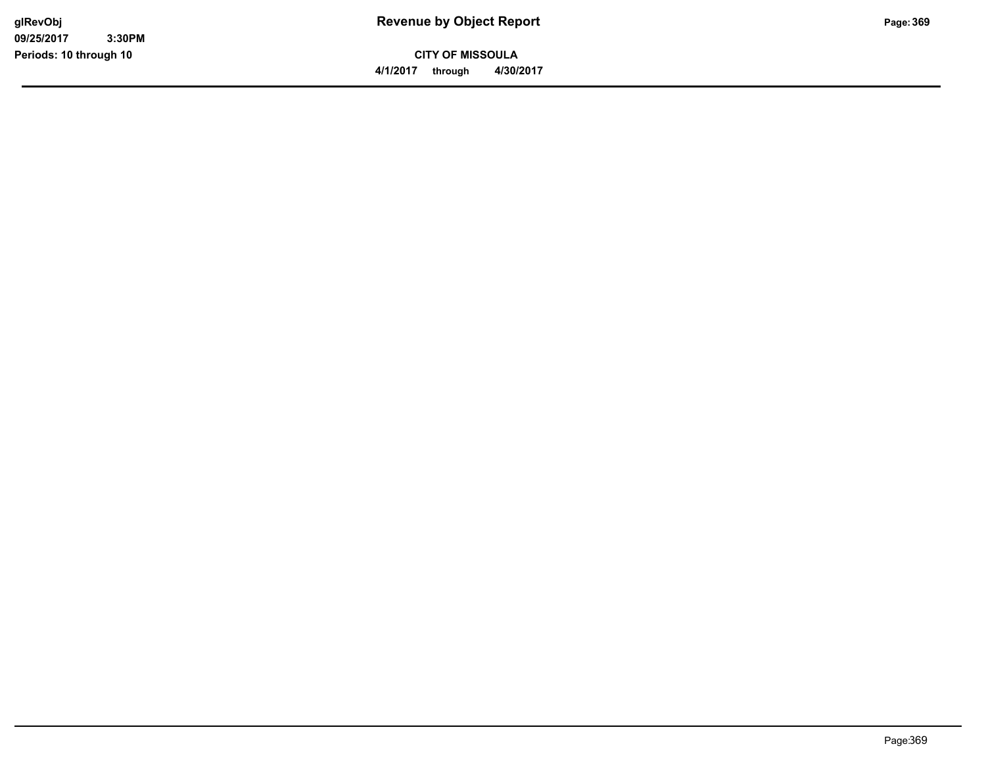**CITY OF MISSOULA 4/1/2017 through 4/30/2017**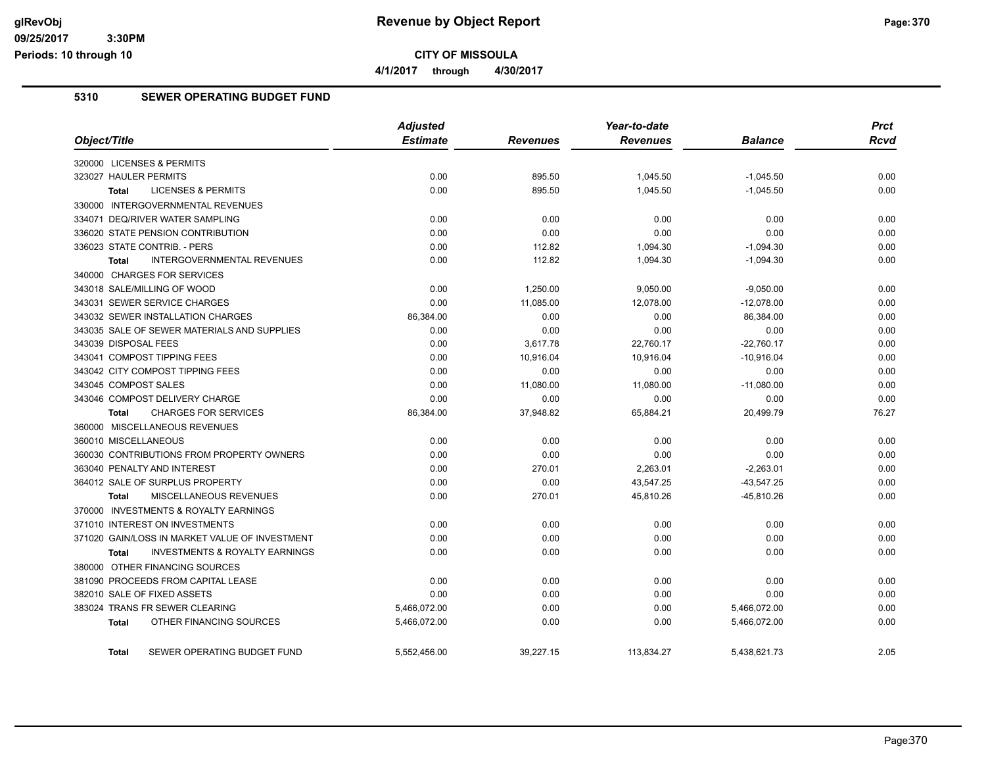**4/1/2017 through 4/30/2017**

## **5310 SEWER OPERATING BUDGET FUND**

|                                                    | <b>Adjusted</b> |                 | Year-to-date    |                |             |  |
|----------------------------------------------------|-----------------|-----------------|-----------------|----------------|-------------|--|
| Object/Title                                       | <b>Estimate</b> | <b>Revenues</b> | <b>Revenues</b> | <b>Balance</b> | <b>Rcvd</b> |  |
| 320000 LICENSES & PERMITS                          |                 |                 |                 |                |             |  |
| 323027 HAULER PERMITS                              | 0.00            | 895.50          | 1,045.50        | $-1,045.50$    | 0.00        |  |
| <b>LICENSES &amp; PERMITS</b><br>Total             | 0.00            | 895.50          | 1,045.50        | $-1,045.50$    | 0.00        |  |
| 330000 INTERGOVERNMENTAL REVENUES                  |                 |                 |                 |                |             |  |
| 334071 DEQ/RIVER WATER SAMPLING                    | 0.00            | 0.00            | 0.00            | 0.00           | 0.00        |  |
| 336020 STATE PENSION CONTRIBUTION                  | 0.00            | 0.00            | 0.00            | 0.00           | 0.00        |  |
| 336023 STATE CONTRIB. - PERS                       | 0.00            | 112.82          | 1,094.30        | $-1,094.30$    | 0.00        |  |
| <b>INTERGOVERNMENTAL REVENUES</b><br><b>Total</b>  | 0.00            | 112.82          | 1,094.30        | $-1,094.30$    | 0.00        |  |
| 340000 CHARGES FOR SERVICES                        |                 |                 |                 |                |             |  |
| 343018 SALE/MILLING OF WOOD                        | 0.00            | 1,250.00        | 9,050.00        | $-9,050.00$    | 0.00        |  |
| 343031 SEWER SERVICE CHARGES                       | 0.00            | 11,085.00       | 12,078.00       | $-12,078.00$   | 0.00        |  |
| 343032 SEWER INSTALLATION CHARGES                  | 86,384.00       | 0.00            | 0.00            | 86,384.00      | 0.00        |  |
| 343035 SALE OF SEWER MATERIALS AND SUPPLIES        | 0.00            | 0.00            | 0.00            | 0.00           | 0.00        |  |
| 343039 DISPOSAL FEES                               | 0.00            | 3,617.78        | 22,760.17       | $-22,760.17$   | 0.00        |  |
| 343041 COMPOST TIPPING FEES                        | 0.00            | 10,916.04       | 10,916.04       | $-10,916.04$   | 0.00        |  |
| 343042 CITY COMPOST TIPPING FEES                   | 0.00            | 0.00            | 0.00            | 0.00           | 0.00        |  |
| 343045 COMPOST SALES                               | 0.00            | 11,080.00       | 11,080.00       | $-11,080.00$   | 0.00        |  |
| 343046 COMPOST DELIVERY CHARGE                     | 0.00            | 0.00            | 0.00            | 0.00           | 0.00        |  |
| <b>CHARGES FOR SERVICES</b><br><b>Total</b>        | 86,384.00       | 37,948.82       | 65,884.21       | 20,499.79      | 76.27       |  |
| 360000 MISCELLANEOUS REVENUES                      |                 |                 |                 |                |             |  |
| 360010 MISCELLANEOUS                               | 0.00            | 0.00            | 0.00            | 0.00           | 0.00        |  |
| 360030 CONTRIBUTIONS FROM PROPERTY OWNERS          | 0.00            | 0.00            | 0.00            | 0.00           | 0.00        |  |
| 363040 PENALTY AND INTEREST                        | 0.00            | 270.01          | 2,263.01        | $-2,263.01$    | 0.00        |  |
| 364012 SALE OF SURPLUS PROPERTY                    | 0.00            | 0.00            | 43,547.25       | $-43,547.25$   | 0.00        |  |
| MISCELLANEOUS REVENUES<br><b>Total</b>             | 0.00            | 270.01          | 45,810.26       | -45,810.26     | 0.00        |  |
| 370000 INVESTMENTS & ROYALTY EARNINGS              |                 |                 |                 |                |             |  |
| 371010 INTEREST ON INVESTMENTS                     | 0.00            | 0.00            | 0.00            | 0.00           | 0.00        |  |
| 371020 GAIN/LOSS IN MARKET VALUE OF INVESTMENT     | 0.00            | 0.00            | 0.00            | 0.00           | 0.00        |  |
| <b>INVESTMENTS &amp; ROYALTY EARNINGS</b><br>Total | 0.00            | 0.00            | 0.00            | 0.00           | 0.00        |  |
| 380000 OTHER FINANCING SOURCES                     |                 |                 |                 |                |             |  |
| 381090 PROCEEDS FROM CAPITAL LEASE                 | 0.00            | 0.00            | 0.00            | 0.00           | 0.00        |  |
| 382010 SALE OF FIXED ASSETS                        | 0.00            | 0.00            | 0.00            | 0.00           | 0.00        |  |
| 383024 TRANS FR SEWER CLEARING                     | 5,466,072.00    | 0.00            | 0.00            | 5,466,072.00   | 0.00        |  |
| OTHER FINANCING SOURCES<br><b>Total</b>            | 5,466,072.00    | 0.00            | 0.00            | 5,466,072.00   | 0.00        |  |
| SEWER OPERATING BUDGET FUND<br><b>Total</b>        | 5,552,456.00    | 39,227.15       | 113,834.27      | 5,438,621.73   | 2.05        |  |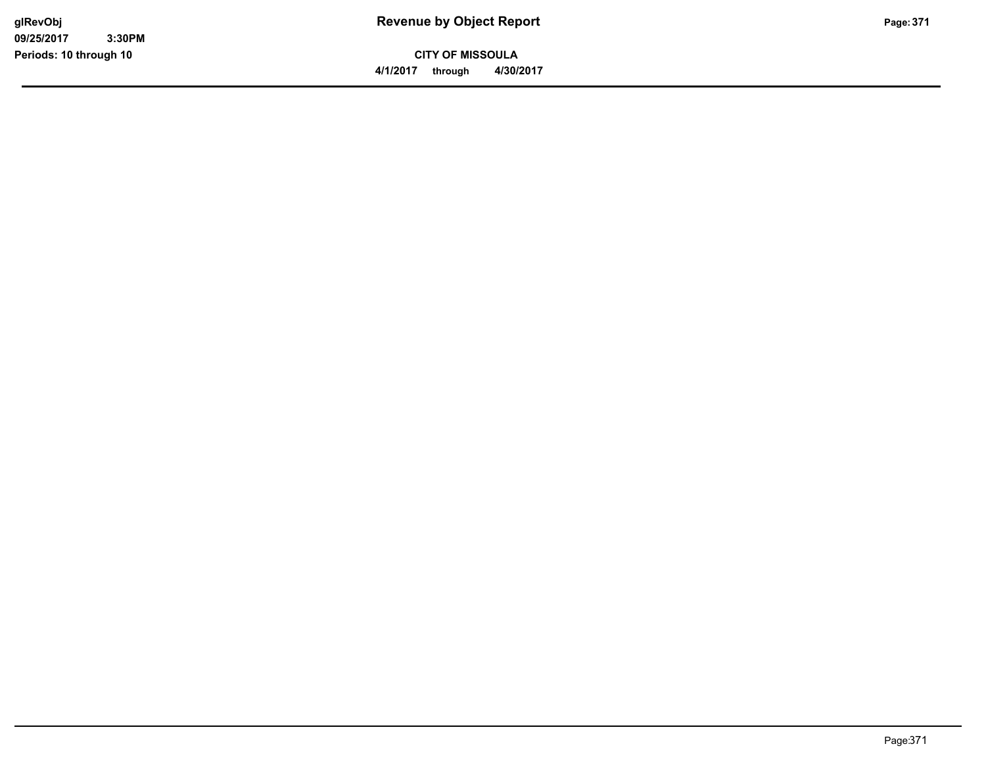**CITY OF MISSOULA 4/1/2017 through 4/30/2017**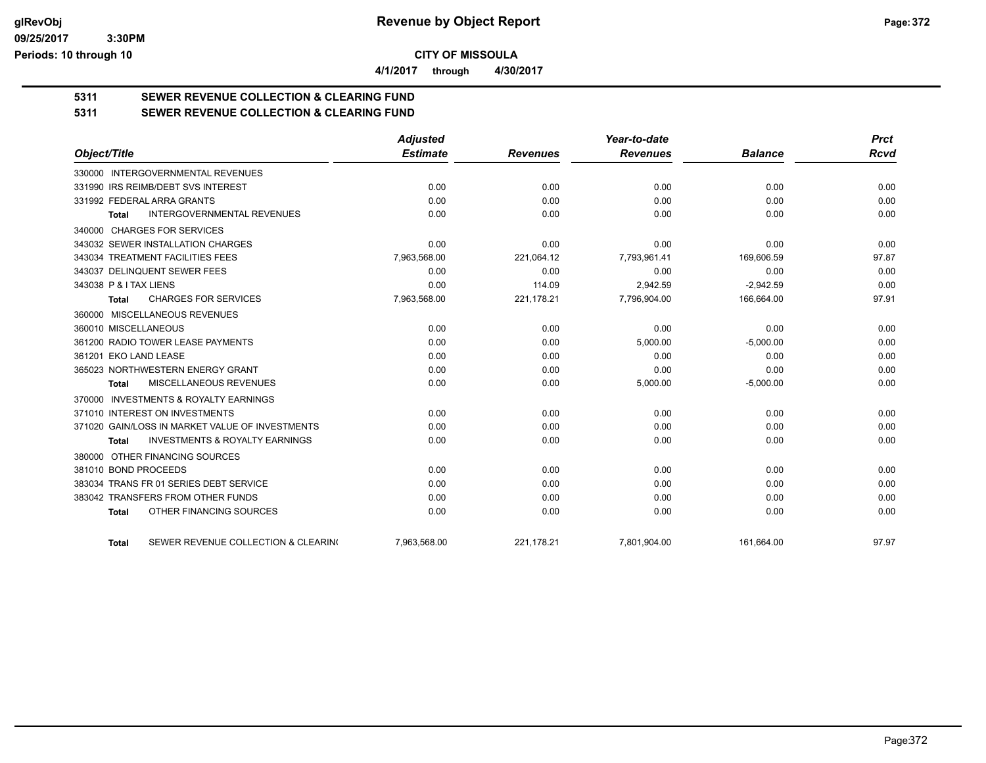**4/1/2017 through 4/30/2017**

# **5311 SEWER REVENUE COLLECTION & CLEARING FUND**

## **5311 SEWER REVENUE COLLECTION & CLEARING FUND**

|                                                           | <b>Adjusted</b> |                 | Year-to-date    |                | <b>Prct</b> |
|-----------------------------------------------------------|-----------------|-----------------|-----------------|----------------|-------------|
| Object/Title                                              | <b>Estimate</b> | <b>Revenues</b> | <b>Revenues</b> | <b>Balance</b> | <b>Rcvd</b> |
| 330000 INTERGOVERNMENTAL REVENUES                         |                 |                 |                 |                |             |
| 331990 IRS REIMB/DEBT SVS INTEREST                        | 0.00            | 0.00            | 0.00            | 0.00           | 0.00        |
| 331992 FEDERAL ARRA GRANTS                                | 0.00            | 0.00            | 0.00            | 0.00           | 0.00        |
| <b>INTERGOVERNMENTAL REVENUES</b><br><b>Total</b>         | 0.00            | 0.00            | 0.00            | 0.00           | 0.00        |
| 340000 CHARGES FOR SERVICES                               |                 |                 |                 |                |             |
| 343032 SEWER INSTALLATION CHARGES                         | 0.00            | 0.00            | 0.00            | 0.00           | 0.00        |
| 343034 TREATMENT FACILITIES FEES                          | 7.963.568.00    | 221,064.12      | 7,793,961.41    | 169,606.59     | 97.87       |
| 343037 DELINQUENT SEWER FEES                              | 0.00            | 0.00            | 0.00            | 0.00           | 0.00        |
| 343038 P & I TAX LIENS                                    | 0.00            | 114.09          | 2.942.59        | $-2.942.59$    | 0.00        |
| <b>CHARGES FOR SERVICES</b><br><b>Total</b>               | 7,963,568.00    | 221,178.21      | 7,796,904.00    | 166,664.00     | 97.91       |
| 360000 MISCELLANEOUS REVENUES                             |                 |                 |                 |                |             |
| 360010 MISCELLANEOUS                                      | 0.00            | 0.00            | 0.00            | 0.00           | 0.00        |
| 361200 RADIO TOWER LEASE PAYMENTS                         | 0.00            | 0.00            | 5,000.00        | $-5,000.00$    | 0.00        |
| 361201 EKO LAND LEASE                                     | 0.00            | 0.00            | 0.00            | 0.00           | 0.00        |
| 365023 NORTHWESTERN ENERGY GRANT                          | 0.00            | 0.00            | 0.00            | 0.00           | 0.00        |
| MISCELLANEOUS REVENUES<br><b>Total</b>                    | 0.00            | 0.00            | 5,000.00        | $-5,000.00$    | 0.00        |
| 370000 INVESTMENTS & ROYALTY EARNINGS                     |                 |                 |                 |                |             |
| 371010 INTEREST ON INVESTMENTS                            | 0.00            | 0.00            | 0.00            | 0.00           | 0.00        |
| 371020 GAIN/LOSS IN MARKET VALUE OF INVESTMENTS           | 0.00            | 0.00            | 0.00            | 0.00           | 0.00        |
| <b>INVESTMENTS &amp; ROYALTY EARNINGS</b><br><b>Total</b> | 0.00            | 0.00            | 0.00            | 0.00           | 0.00        |
| OTHER FINANCING SOURCES<br>380000                         |                 |                 |                 |                |             |
| 381010 BOND PROCEEDS                                      | 0.00            | 0.00            | 0.00            | 0.00           | 0.00        |
| 383034 TRANS FR 01 SERIES DEBT SERVICE                    | 0.00            | 0.00            | 0.00            | 0.00           | 0.00        |
| 383042 TRANSFERS FROM OTHER FUNDS                         | 0.00            | 0.00            | 0.00            | 0.00           | 0.00        |
| OTHER FINANCING SOURCES<br><b>Total</b>                   | 0.00            | 0.00            | 0.00            | 0.00           | 0.00        |
| SEWER REVENUE COLLECTION & CLEARING<br><b>Total</b>       | 7,963,568.00    | 221,178.21      | 7,801,904.00    | 161,664.00     | 97.97       |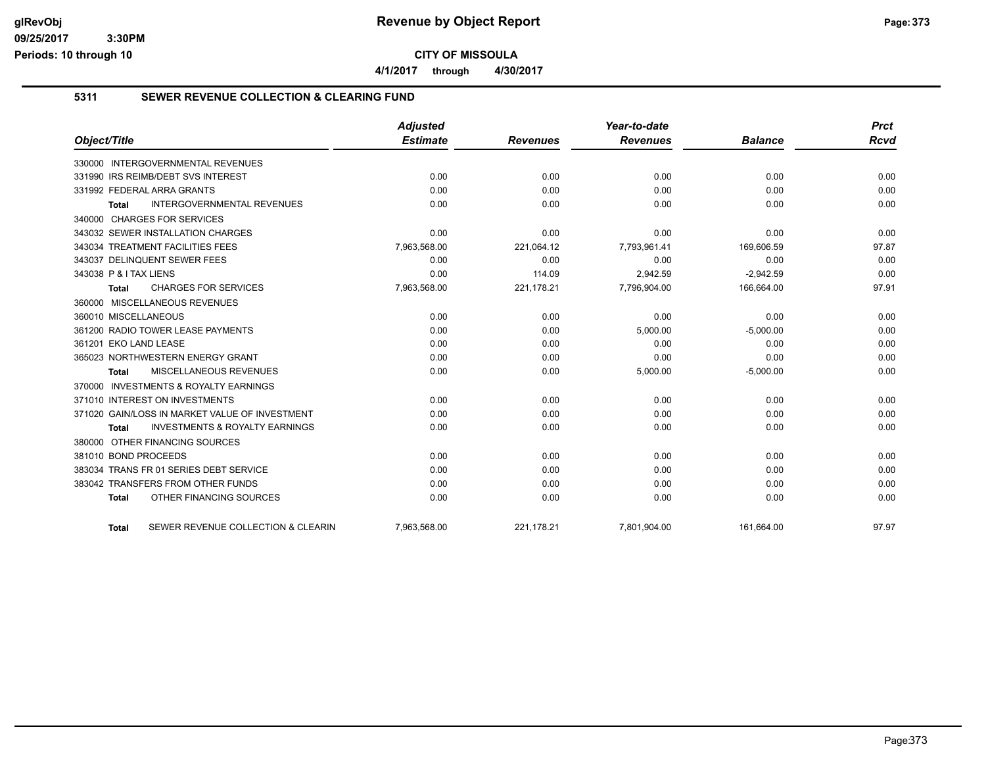**4/1/2017 through 4/30/2017**

## **5311 SEWER REVENUE COLLECTION & CLEARING FUND**

|                                                    | <b>Adjusted</b> |                 | Year-to-date    |                | <b>Prct</b> |
|----------------------------------------------------|-----------------|-----------------|-----------------|----------------|-------------|
| Object/Title                                       | <b>Estimate</b> | <b>Revenues</b> | <b>Revenues</b> | <b>Balance</b> | Rcvd        |
| 330000 INTERGOVERNMENTAL REVENUES                  |                 |                 |                 |                |             |
| 331990 IRS REIMB/DEBT SVS INTEREST                 | 0.00            | 0.00            | 0.00            | 0.00           | 0.00        |
| 331992 FEDERAL ARRA GRANTS                         | 0.00            | 0.00            | 0.00            | 0.00           | 0.00        |
| INTERGOVERNMENTAL REVENUES<br><b>Total</b>         | 0.00            | 0.00            | 0.00            | 0.00           | 0.00        |
| 340000 CHARGES FOR SERVICES                        |                 |                 |                 |                |             |
| 343032 SEWER INSTALLATION CHARGES                  | 0.00            | 0.00            | 0.00            | 0.00           | 0.00        |
| 343034 TREATMENT FACILITIES FEES                   | 7,963,568.00    | 221,064.12      | 7,793,961.41    | 169,606.59     | 97.87       |
| 343037 DELINQUENT SEWER FEES                       | 0.00            | 0.00            | 0.00            | 0.00           | 0.00        |
| 343038 P & I TAX LIENS                             | 0.00            | 114.09          | 2,942.59        | $-2,942.59$    | 0.00        |
| <b>CHARGES FOR SERVICES</b><br>Total               | 7,963,568.00    | 221,178.21      | 7,796,904.00    | 166,664.00     | 97.91       |
| 360000 MISCELLANEOUS REVENUES                      |                 |                 |                 |                |             |
| 360010 MISCELLANEOUS                               | 0.00            | 0.00            | 0.00            | 0.00           | 0.00        |
| 361200 RADIO TOWER LEASE PAYMENTS                  | 0.00            | 0.00            | 5,000.00        | $-5,000.00$    | 0.00        |
| 361201 EKO LAND LEASE                              | 0.00            | 0.00            | 0.00            | 0.00           | 0.00        |
| 365023 NORTHWESTERN ENERGY GRANT                   | 0.00            | 0.00            | 0.00            | 0.00           | 0.00        |
| MISCELLANEOUS REVENUES<br><b>Total</b>             | 0.00            | 0.00            | 5,000.00        | $-5,000.00$    | 0.00        |
| 370000 INVESTMENTS & ROYALTY EARNINGS              |                 |                 |                 |                |             |
| 371010 INTEREST ON INVESTMENTS                     | 0.00            | 0.00            | 0.00            | 0.00           | 0.00        |
| 371020 GAIN/LOSS IN MARKET VALUE OF INVESTMENT     | 0.00            | 0.00            | 0.00            | 0.00           | 0.00        |
| <b>INVESTMENTS &amp; ROYALTY EARNINGS</b><br>Total | 0.00            | 0.00            | 0.00            | 0.00           | 0.00        |
| OTHER FINANCING SOURCES<br>380000                  |                 |                 |                 |                |             |
| 381010 BOND PROCEEDS                               | 0.00            | 0.00            | 0.00            | 0.00           | 0.00        |
| 383034 TRANS FR 01 SERIES DEBT SERVICE             | 0.00            | 0.00            | 0.00            | 0.00           | 0.00        |
| 383042 TRANSFERS FROM OTHER FUNDS                  | 0.00            | 0.00            | 0.00            | 0.00           | 0.00        |
| OTHER FINANCING SOURCES<br><b>Total</b>            | 0.00            | 0.00            | 0.00            | 0.00           | 0.00        |
| SEWER REVENUE COLLECTION & CLEARIN<br>Total        | 7,963,568.00    | 221.178.21      | 7,801,904.00    | 161,664.00     | 97.97       |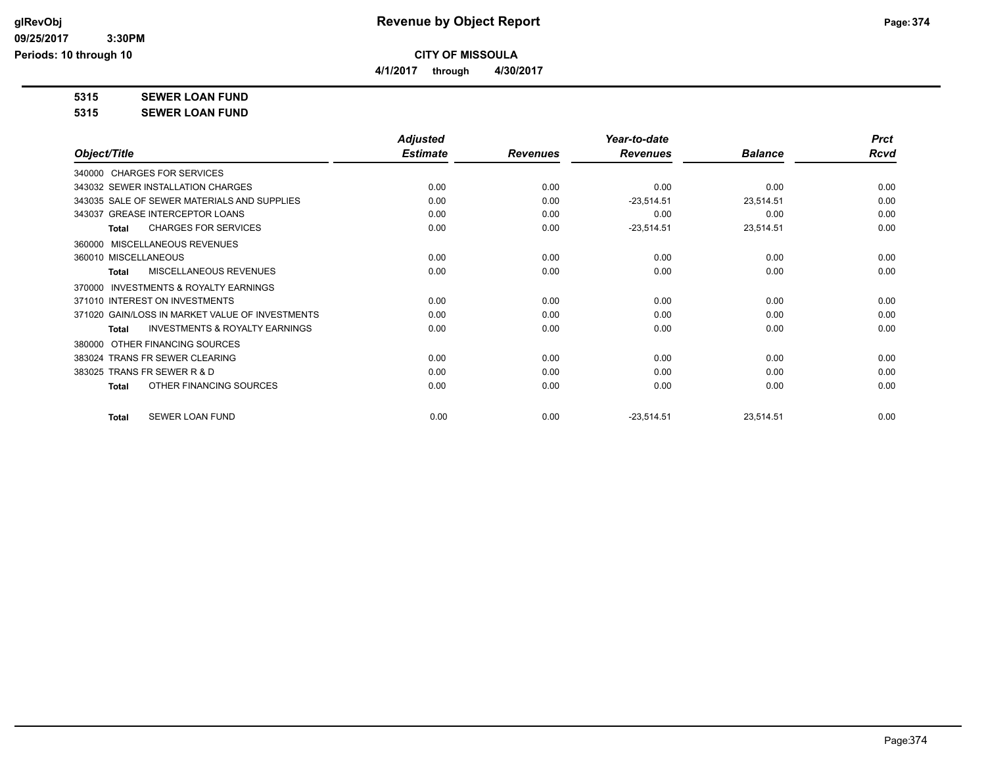**4/1/2017 through 4/30/2017**

**5315 SEWER LOAN FUND**

**5315 SEWER LOAN FUND**

|                                                           | <b>Adjusted</b> |                 | Year-to-date    |                | <b>Prct</b> |
|-----------------------------------------------------------|-----------------|-----------------|-----------------|----------------|-------------|
| Object/Title                                              | <b>Estimate</b> | <b>Revenues</b> | <b>Revenues</b> | <b>Balance</b> | <b>Rcvd</b> |
| 340000 CHARGES FOR SERVICES                               |                 |                 |                 |                |             |
| 343032 SEWER INSTALLATION CHARGES                         | 0.00            | 0.00            | 0.00            | 0.00           | 0.00        |
| 343035 SALE OF SEWER MATERIALS AND SUPPLIES               | 0.00            | 0.00            | $-23,514.51$    | 23,514.51      | 0.00        |
| 343037 GREASE INTERCEPTOR LOANS                           | 0.00            | 0.00            | 0.00            | 0.00           | 0.00        |
| <b>CHARGES FOR SERVICES</b><br>Total                      | 0.00            | 0.00            | $-23,514.51$    | 23,514.51      | 0.00        |
| MISCELLANEOUS REVENUES<br>360000                          |                 |                 |                 |                |             |
| 360010 MISCELLANEOUS                                      | 0.00            | 0.00            | 0.00            | 0.00           | 0.00        |
| MISCELLANEOUS REVENUES<br><b>Total</b>                    | 0.00            | 0.00            | 0.00            | 0.00           | 0.00        |
| <b>INVESTMENTS &amp; ROYALTY EARNINGS</b><br>370000       |                 |                 |                 |                |             |
| 371010 INTEREST ON INVESTMENTS                            | 0.00            | 0.00            | 0.00            | 0.00           | 0.00        |
| 371020 GAIN/LOSS IN MARKET VALUE OF INVESTMENTS           | 0.00            | 0.00            | 0.00            | 0.00           | 0.00        |
| <b>INVESTMENTS &amp; ROYALTY EARNINGS</b><br><b>Total</b> | 0.00            | 0.00            | 0.00            | 0.00           | 0.00        |
| OTHER FINANCING SOURCES<br>380000                         |                 |                 |                 |                |             |
| 383024 TRANS FR SEWER CLEARING                            | 0.00            | 0.00            | 0.00            | 0.00           | 0.00        |
| 383025 TRANS FR SEWER R & D                               | 0.00            | 0.00            | 0.00            | 0.00           | 0.00        |
| OTHER FINANCING SOURCES<br><b>Total</b>                   | 0.00            | 0.00            | 0.00            | 0.00           | 0.00        |
| <b>SEWER LOAN FUND</b><br><b>Total</b>                    | 0.00            | 0.00            | $-23,514.51$    | 23,514.51      | 0.00        |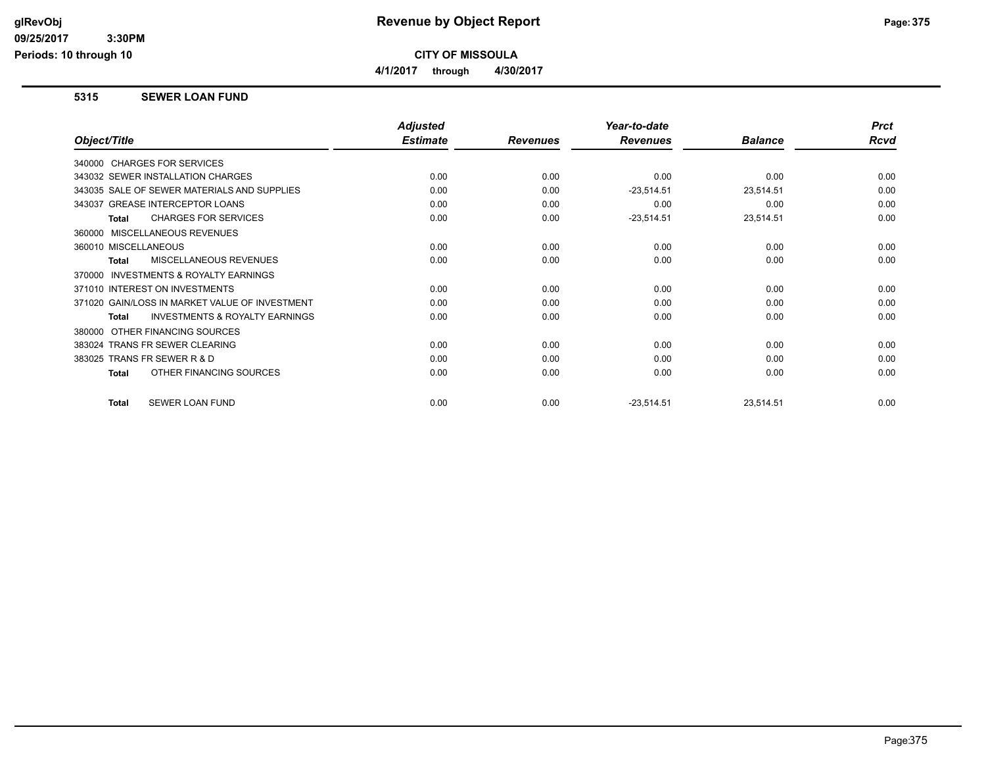**4/1/2017 through 4/30/2017**

## **5315 SEWER LOAN FUND**

|                                                           | <b>Adjusted</b> |                 | Year-to-date    |                | <b>Prct</b> |
|-----------------------------------------------------------|-----------------|-----------------|-----------------|----------------|-------------|
| Object/Title                                              | <b>Estimate</b> | <b>Revenues</b> | <b>Revenues</b> | <b>Balance</b> | <b>Rcvd</b> |
| 340000 CHARGES FOR SERVICES                               |                 |                 |                 |                |             |
| 343032 SEWER INSTALLATION CHARGES                         | 0.00            | 0.00            | 0.00            | 0.00           | 0.00        |
| 343035 SALE OF SEWER MATERIALS AND SUPPLIES               | 0.00            | 0.00            | $-23,514.51$    | 23,514.51      | 0.00        |
| 343037 GREASE INTERCEPTOR LOANS                           | 0.00            | 0.00            | 0.00            | 0.00           | 0.00        |
| <b>CHARGES FOR SERVICES</b><br><b>Total</b>               | 0.00            | 0.00            | $-23,514.51$    | 23,514.51      | 0.00        |
| 360000 MISCELLANEOUS REVENUES                             |                 |                 |                 |                |             |
| 360010 MISCELLANEOUS                                      | 0.00            | 0.00            | 0.00            | 0.00           | 0.00        |
| <b>MISCELLANEOUS REVENUES</b><br><b>Total</b>             | 0.00            | 0.00            | 0.00            | 0.00           | 0.00        |
| INVESTMENTS & ROYALTY EARNINGS<br>370000                  |                 |                 |                 |                |             |
| 371010 INTEREST ON INVESTMENTS                            | 0.00            | 0.00            | 0.00            | 0.00           | 0.00        |
| 371020 GAIN/LOSS IN MARKET VALUE OF INVESTMENT            | 0.00            | 0.00            | 0.00            | 0.00           | 0.00        |
| <b>INVESTMENTS &amp; ROYALTY EARNINGS</b><br><b>Total</b> | 0.00            | 0.00            | 0.00            | 0.00           | 0.00        |
| OTHER FINANCING SOURCES<br>380000                         |                 |                 |                 |                |             |
| 383024 TRANS FR SEWER CLEARING                            | 0.00            | 0.00            | 0.00            | 0.00           | 0.00        |
| 383025 TRANS FR SEWER R & D                               | 0.00            | 0.00            | 0.00            | 0.00           | 0.00        |
| OTHER FINANCING SOURCES<br><b>Total</b>                   | 0.00            | 0.00            | 0.00            | 0.00           | 0.00        |
| SEWER LOAN FUND<br><b>Total</b>                           | 0.00            | 0.00            | $-23,514.51$    | 23,514.51      | 0.00        |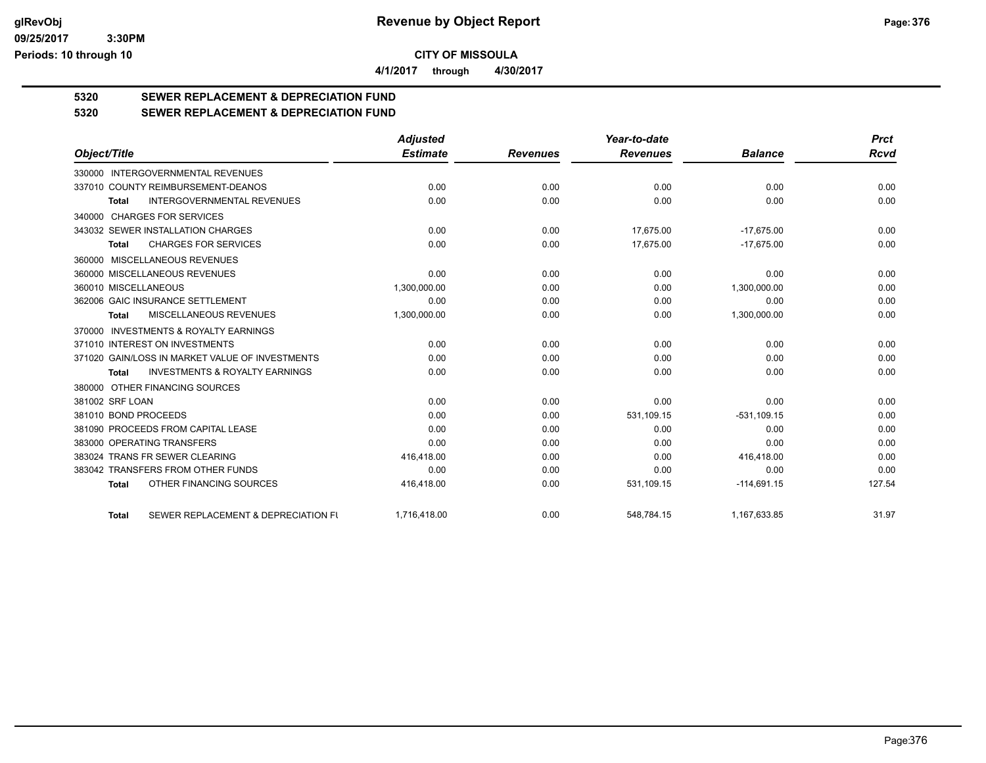**4/1/2017 through 4/30/2017**

# **5320 SEWER REPLACEMENT & DEPRECIATION FUND**

# **5320 SEWER REPLACEMENT & DEPRECIATION FUND**

|                                                           | <b>Adjusted</b> |                 | Year-to-date    |                | <b>Prct</b> |
|-----------------------------------------------------------|-----------------|-----------------|-----------------|----------------|-------------|
| Object/Title                                              | <b>Estimate</b> | <b>Revenues</b> | <b>Revenues</b> | <b>Balance</b> | <b>Rcvd</b> |
| 330000 INTERGOVERNMENTAL REVENUES                         |                 |                 |                 |                |             |
| 337010 COUNTY REIMBURSEMENT-DEANOS                        | 0.00            | 0.00            | 0.00            | 0.00           | 0.00        |
| <b>INTERGOVERNMENTAL REVENUES</b><br><b>Total</b>         | 0.00            | 0.00            | 0.00            | 0.00           | 0.00        |
| 340000 CHARGES FOR SERVICES                               |                 |                 |                 |                |             |
| 343032 SEWER INSTALLATION CHARGES                         | 0.00            | 0.00            | 17.675.00       | $-17,675.00$   | 0.00        |
| <b>CHARGES FOR SERVICES</b><br><b>Total</b>               | 0.00            | 0.00            | 17,675.00       | $-17,675.00$   | 0.00        |
| 360000 MISCELLANEOUS REVENUES                             |                 |                 |                 |                |             |
| 360000 MISCELLANEOUS REVENUES                             | 0.00            | 0.00            | 0.00            | 0.00           | 0.00        |
| 360010 MISCELLANEOUS                                      | 1,300,000.00    | 0.00            | 0.00            | 1,300,000.00   | 0.00        |
| 362006 GAIC INSURANCE SETTLEMENT                          | 0.00            | 0.00            | 0.00            | 0.00           | 0.00        |
| MISCELLANEOUS REVENUES<br><b>Total</b>                    | 1,300,000.00    | 0.00            | 0.00            | 1,300,000.00   | 0.00        |
| <b>INVESTMENTS &amp; ROYALTY EARNINGS</b><br>370000       |                 |                 |                 |                |             |
| 371010 INTEREST ON INVESTMENTS                            | 0.00            | 0.00            | 0.00            | 0.00           | 0.00        |
| 371020 GAIN/LOSS IN MARKET VALUE OF INVESTMENTS           | 0.00            | 0.00            | 0.00            | 0.00           | 0.00        |
| <b>INVESTMENTS &amp; ROYALTY EARNINGS</b><br><b>Total</b> | 0.00            | 0.00            | 0.00            | 0.00           | 0.00        |
| 380000 OTHER FINANCING SOURCES                            |                 |                 |                 |                |             |
| 381002 SRF LOAN                                           | 0.00            | 0.00            | 0.00            | 0.00           | 0.00        |
| 381010 BOND PROCEEDS                                      | 0.00            | 0.00            | 531,109.15      | $-531,109.15$  | 0.00        |
| 381090 PROCEEDS FROM CAPITAL LEASE                        | 0.00            | 0.00            | 0.00            | 0.00           | 0.00        |
| 383000 OPERATING TRANSFERS                                | 0.00            | 0.00            | 0.00            | 0.00           | 0.00        |
| 383024 TRANS FR SEWER CLEARING                            | 416,418.00      | 0.00            | 0.00            | 416,418.00     | 0.00        |
| 383042 TRANSFERS FROM OTHER FUNDS                         | 0.00            | 0.00            | 0.00            | 0.00           | 0.00        |
| OTHER FINANCING SOURCES<br><b>Total</b>                   | 416,418.00      | 0.00            | 531,109.15      | $-114,691.15$  | 127.54      |
| SEWER REPLACEMENT & DEPRECIATION FU<br><b>Total</b>       | 1,716,418.00    | 0.00            | 548,784.15      | 1,167,633.85   | 31.97       |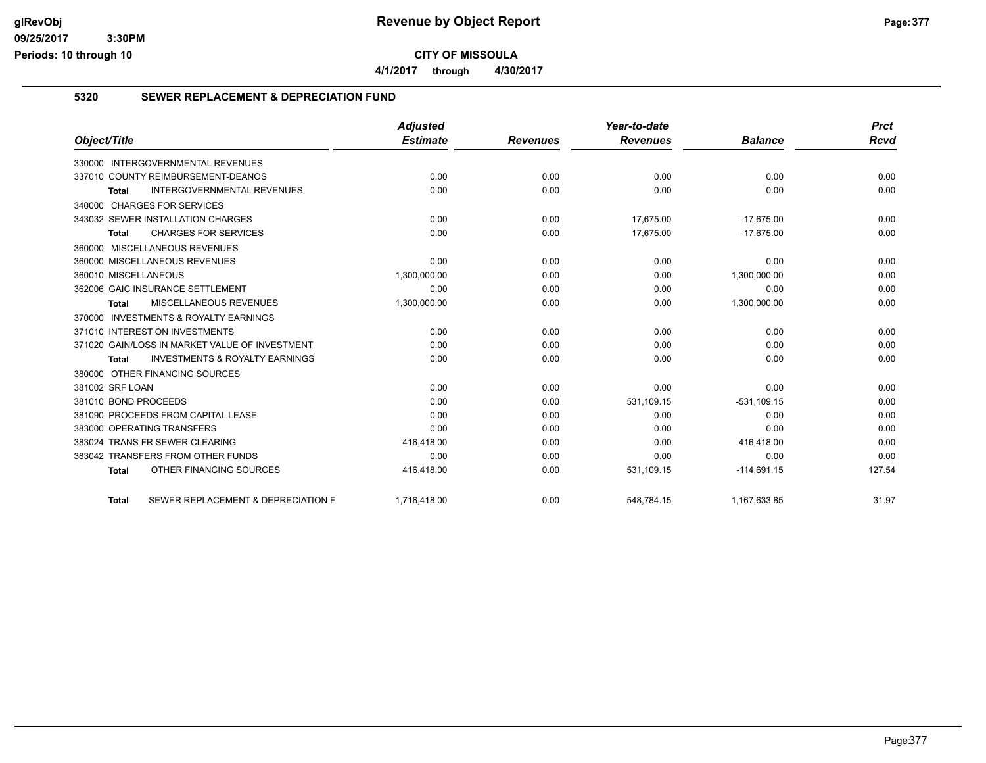**4/1/2017 through 4/30/2017**

## **5320 SEWER REPLACEMENT & DEPRECIATION FUND**

|                                                           | <b>Adjusted</b> |                 | Year-to-date    |                | <b>Prct</b> |
|-----------------------------------------------------------|-----------------|-----------------|-----------------|----------------|-------------|
| Object/Title                                              | <b>Estimate</b> | <b>Revenues</b> | <b>Revenues</b> | <b>Balance</b> | <b>Rcvd</b> |
| 330000 INTERGOVERNMENTAL REVENUES                         |                 |                 |                 |                |             |
| 337010 COUNTY REIMBURSEMENT-DEANOS                        | 0.00            | 0.00            | 0.00            | 0.00           | 0.00        |
| <b>INTERGOVERNMENTAL REVENUES</b><br><b>Total</b>         | 0.00            | 0.00            | 0.00            | 0.00           | 0.00        |
| 340000 CHARGES FOR SERVICES                               |                 |                 |                 |                |             |
| 343032 SEWER INSTALLATION CHARGES                         | 0.00            | 0.00            | 17,675.00       | $-17,675.00$   | 0.00        |
| <b>CHARGES FOR SERVICES</b><br><b>Total</b>               | 0.00            | 0.00            | 17,675.00       | $-17,675.00$   | 0.00        |
| 360000 MISCELLANEOUS REVENUES                             |                 |                 |                 |                |             |
| 360000 MISCELLANEOUS REVENUES                             | 0.00            | 0.00            | 0.00            | 0.00           | 0.00        |
| 360010 MISCELLANEOUS                                      | 1,300,000.00    | 0.00            | 0.00            | 1,300,000.00   | 0.00        |
| 362006 GAIC INSURANCE SETTLEMENT                          | 0.00            | 0.00            | 0.00            | 0.00           | 0.00        |
| MISCELLANEOUS REVENUES<br><b>Total</b>                    | 1,300,000.00    | 0.00            | 0.00            | 1,300,000.00   | 0.00        |
| 370000 INVESTMENTS & ROYALTY EARNINGS                     |                 |                 |                 |                |             |
| 371010 INTEREST ON INVESTMENTS                            | 0.00            | 0.00            | 0.00            | 0.00           | 0.00        |
| 371020 GAIN/LOSS IN MARKET VALUE OF INVESTMENT            | 0.00            | 0.00            | 0.00            | 0.00           | 0.00        |
| <b>INVESTMENTS &amp; ROYALTY EARNINGS</b><br><b>Total</b> | 0.00            | 0.00            | 0.00            | 0.00           | 0.00        |
| 380000 OTHER FINANCING SOURCES                            |                 |                 |                 |                |             |
| 381002 SRF LOAN                                           | 0.00            | 0.00            | 0.00            | 0.00           | 0.00        |
| 381010 BOND PROCEEDS                                      | 0.00            | 0.00            | 531,109.15      | $-531,109.15$  | 0.00        |
| 381090 PROCEEDS FROM CAPITAL LEASE                        | 0.00            | 0.00            | 0.00            | 0.00           | 0.00        |
| 383000 OPERATING TRANSFERS                                | 0.00            | 0.00            | 0.00            | 0.00           | 0.00        |
| 383024 TRANS FR SEWER CLEARING                            | 416,418.00      | 0.00            | 0.00            | 416,418.00     | 0.00        |
| 383042 TRANSFERS FROM OTHER FUNDS                         | 0.00            | 0.00            | 0.00            | 0.00           | 0.00        |
| OTHER FINANCING SOURCES<br><b>Total</b>                   | 416,418.00      | 0.00            | 531,109.15      | $-114,691.15$  | 127.54      |
| SEWER REPLACEMENT & DEPRECIATION F<br><b>Total</b>        | 1,716,418.00    | 0.00            | 548.784.15      | 1,167,633.85   | 31.97       |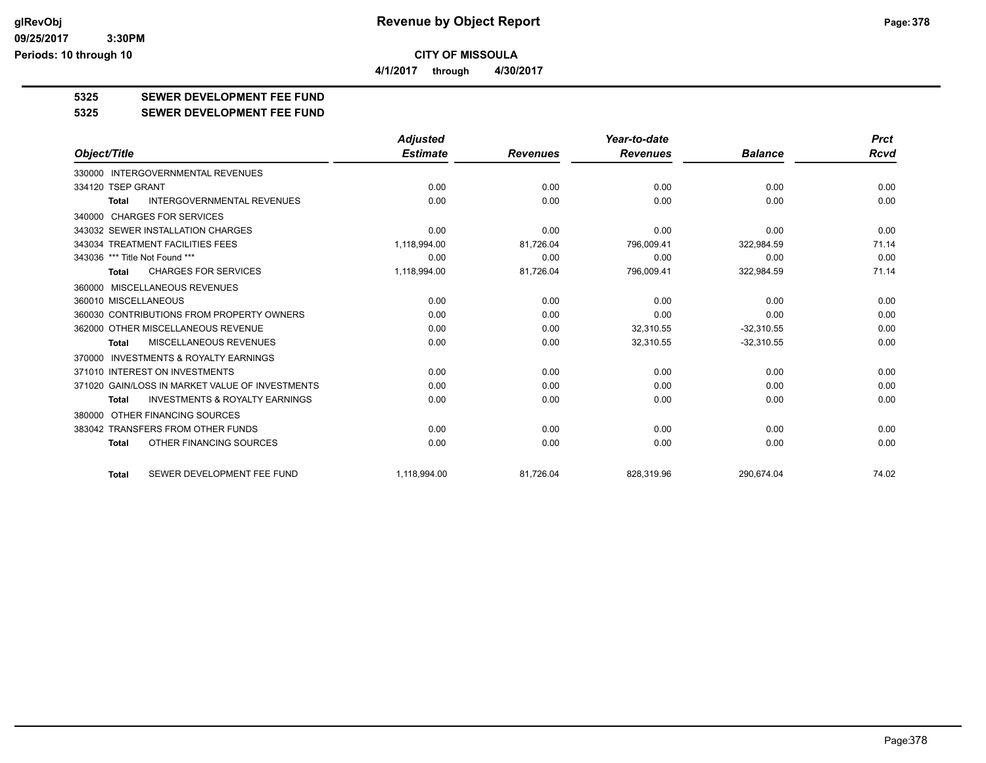**4/1/2017 through 4/30/2017**

**5325 SEWER DEVELOPMENT FEE FUND**

**5325 SEWER DEVELOPMENT FEE FUND**

|                                                           | <b>Adjusted</b> |                 | Year-to-date    |                | <b>Prct</b> |
|-----------------------------------------------------------|-----------------|-----------------|-----------------|----------------|-------------|
| Object/Title                                              | <b>Estimate</b> | <b>Revenues</b> | <b>Revenues</b> | <b>Balance</b> | Rcvd        |
| 330000 INTERGOVERNMENTAL REVENUES                         |                 |                 |                 |                |             |
| 334120 TSEP GRANT                                         | 0.00            | 0.00            | 0.00            | 0.00           | 0.00        |
| <b>INTERGOVERNMENTAL REVENUES</b><br><b>Total</b>         | 0.00            | 0.00            | 0.00            | 0.00           | 0.00        |
| 340000 CHARGES FOR SERVICES                               |                 |                 |                 |                |             |
| 343032 SEWER INSTALLATION CHARGES                         | 0.00            | 0.00            | 0.00            | 0.00           | 0.00        |
| 343034 TREATMENT FACILITIES FEES                          | 1,118,994.00    | 81,726.04       | 796,009.41      | 322,984.59     | 71.14       |
| 343036 *** Title Not Found ***                            | 0.00            | 0.00            | 0.00            | 0.00           | 0.00        |
| <b>CHARGES FOR SERVICES</b><br><b>Total</b>               | 1,118,994.00    | 81,726.04       | 796,009.41      | 322,984.59     | 71.14       |
| 360000 MISCELLANEOUS REVENUES                             |                 |                 |                 |                |             |
| 360010 MISCELLANEOUS                                      | 0.00            | 0.00            | 0.00            | 0.00           | 0.00        |
| 360030 CONTRIBUTIONS FROM PROPERTY OWNERS                 | 0.00            | 0.00            | 0.00            | 0.00           | 0.00        |
| 362000 OTHER MISCELLANEOUS REVENUE                        | 0.00            | 0.00            | 32,310.55       | $-32,310.55$   | 0.00        |
| MISCELLANEOUS REVENUES<br><b>Total</b>                    | 0.00            | 0.00            | 32,310.55       | $-32,310.55$   | 0.00        |
| <b>INVESTMENTS &amp; ROYALTY EARNINGS</b><br>370000       |                 |                 |                 |                |             |
| 371010 INTEREST ON INVESTMENTS                            | 0.00            | 0.00            | 0.00            | 0.00           | 0.00        |
| 371020 GAIN/LOSS IN MARKET VALUE OF INVESTMENTS           | 0.00            | 0.00            | 0.00            | 0.00           | 0.00        |
| <b>INVESTMENTS &amp; ROYALTY EARNINGS</b><br><b>Total</b> | 0.00            | 0.00            | 0.00            | 0.00           | 0.00        |
| 380000 OTHER FINANCING SOURCES                            |                 |                 |                 |                |             |
| 383042 TRANSFERS FROM OTHER FUNDS                         | 0.00            | 0.00            | 0.00            | 0.00           | 0.00        |
| OTHER FINANCING SOURCES<br>Total                          | 0.00            | 0.00            | 0.00            | 0.00           | 0.00        |
| SEWER DEVELOPMENT FEE FUND<br><b>Total</b>                | 1,118,994.00    | 81,726.04       | 828,319.96      | 290.674.04     | 74.02       |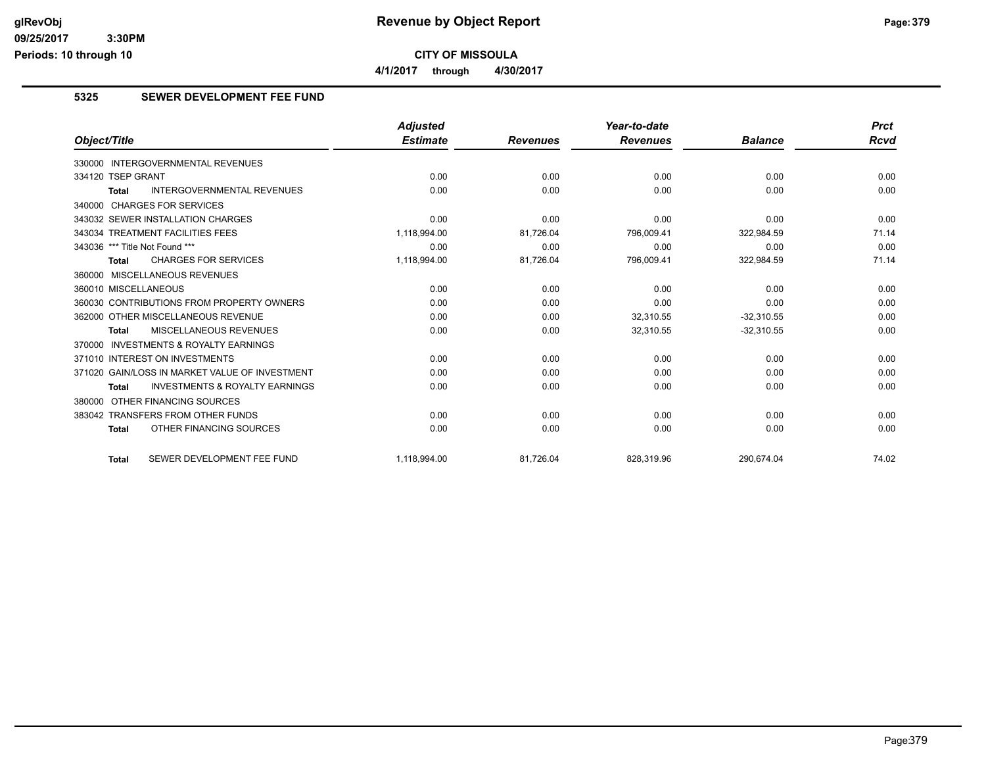**4/1/2017 through 4/30/2017**

## **5325 SEWER DEVELOPMENT FEE FUND**

|                                                    | <b>Adjusted</b> |                 | Year-to-date    | <b>Prct</b>    |             |
|----------------------------------------------------|-----------------|-----------------|-----------------|----------------|-------------|
| Object/Title                                       | <b>Estimate</b> | <b>Revenues</b> | <b>Revenues</b> | <b>Balance</b> | <b>Rcvd</b> |
| 330000 INTERGOVERNMENTAL REVENUES                  |                 |                 |                 |                |             |
| 334120 TSEP GRANT                                  | 0.00            | 0.00            | 0.00            | 0.00           | 0.00        |
| <b>INTERGOVERNMENTAL REVENUES</b><br>Total         | 0.00            | 0.00            | 0.00            | 0.00           | 0.00        |
| 340000 CHARGES FOR SERVICES                        |                 |                 |                 |                |             |
| 343032 SEWER INSTALLATION CHARGES                  | 0.00            | 0.00            | 0.00            | 0.00           | 0.00        |
| 343034 TREATMENT FACILITIES FEES                   | 1,118,994.00    | 81,726.04       | 796,009.41      | 322,984.59     | 71.14       |
| 343036 *** Title Not Found ***                     | 0.00            | 0.00            | 0.00            | 0.00           | 0.00        |
| <b>CHARGES FOR SERVICES</b><br><b>Total</b>        | 1,118,994.00    | 81,726.04       | 796,009.41      | 322,984.59     | 71.14       |
| 360000 MISCELLANEOUS REVENUES                      |                 |                 |                 |                |             |
| 360010 MISCELLANEOUS                               | 0.00            | 0.00            | 0.00            | 0.00           | 0.00        |
| 360030 CONTRIBUTIONS FROM PROPERTY OWNERS          | 0.00            | 0.00            | 0.00            | 0.00           | 0.00        |
| 362000 OTHER MISCELLANEOUS REVENUE                 | 0.00            | 0.00            | 32.310.55       | $-32,310.55$   | 0.00        |
| <b>MISCELLANEOUS REVENUES</b><br><b>Total</b>      | 0.00            | 0.00            | 32,310.55       | $-32,310.55$   | 0.00        |
| 370000 INVESTMENTS & ROYALTY EARNINGS              |                 |                 |                 |                |             |
| 371010 INTEREST ON INVESTMENTS                     | 0.00            | 0.00            | 0.00            | 0.00           | 0.00        |
| 371020 GAIN/LOSS IN MARKET VALUE OF INVESTMENT     | 0.00            | 0.00            | 0.00            | 0.00           | 0.00        |
| <b>INVESTMENTS &amp; ROYALTY EARNINGS</b><br>Total | 0.00            | 0.00            | 0.00            | 0.00           | 0.00        |
| 380000 OTHER FINANCING SOURCES                     |                 |                 |                 |                |             |
| 383042 TRANSFERS FROM OTHER FUNDS                  | 0.00            | 0.00            | 0.00            | 0.00           | 0.00        |
| OTHER FINANCING SOURCES<br><b>Total</b>            | 0.00            | 0.00            | 0.00            | 0.00           | 0.00        |
| SEWER DEVELOPMENT FEE FUND<br><b>Total</b>         | 1.118.994.00    | 81,726.04       | 828.319.96      | 290.674.04     | 74.02       |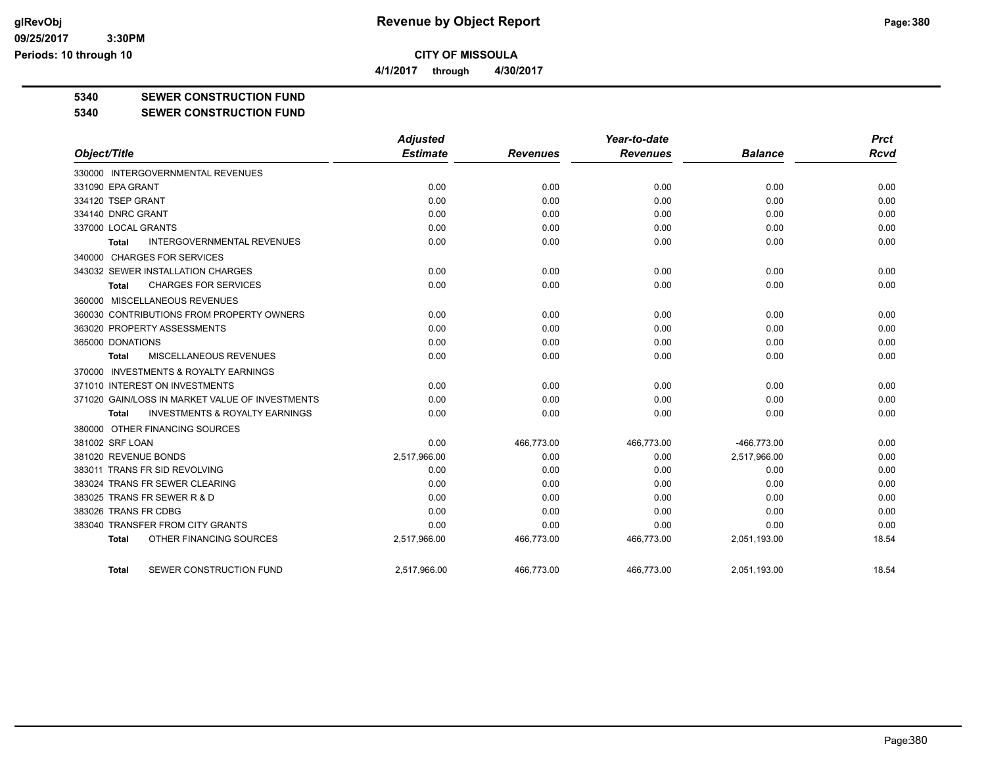**4/1/2017 through 4/30/2017**

**5340 SEWER CONSTRUCTION FUND**

**5340 SEWER CONSTRUCTION FUND**

|                                                     | <b>Adjusted</b> |                 | Year-to-date    |                | <b>Prct</b> |
|-----------------------------------------------------|-----------------|-----------------|-----------------|----------------|-------------|
| Object/Title                                        | <b>Estimate</b> | <b>Revenues</b> | <b>Revenues</b> | <b>Balance</b> | <b>Rcvd</b> |
| 330000 INTERGOVERNMENTAL REVENUES                   |                 |                 |                 |                |             |
| 331090 EPA GRANT                                    | 0.00            | 0.00            | 0.00            | 0.00           | 0.00        |
| 334120 TSEP GRANT                                   | 0.00            | 0.00            | 0.00            | 0.00           | 0.00        |
| 334140 DNRC GRANT                                   | 0.00            | 0.00            | 0.00            | 0.00           | 0.00        |
| 337000 LOCAL GRANTS                                 | 0.00            | 0.00            | 0.00            | 0.00           | 0.00        |
| <b>INTERGOVERNMENTAL REVENUES</b><br>Total          | 0.00            | 0.00            | 0.00            | 0.00           | 0.00        |
| 340000 CHARGES FOR SERVICES                         |                 |                 |                 |                |             |
| 343032 SEWER INSTALLATION CHARGES                   | 0.00            | 0.00            | 0.00            | 0.00           | 0.00        |
| <b>CHARGES FOR SERVICES</b><br>Total                | 0.00            | 0.00            | 0.00            | 0.00           | 0.00        |
| 360000 MISCELLANEOUS REVENUES                       |                 |                 |                 |                |             |
| 360030 CONTRIBUTIONS FROM PROPERTY OWNERS           | 0.00            | 0.00            | 0.00            | 0.00           | 0.00        |
| 363020 PROPERTY ASSESSMENTS                         | 0.00            | 0.00            | 0.00            | 0.00           | 0.00        |
| 365000 DONATIONS                                    | 0.00            | 0.00            | 0.00            | 0.00           | 0.00        |
| MISCELLANEOUS REVENUES<br><b>Total</b>              | 0.00            | 0.00            | 0.00            | 0.00           | 0.00        |
| <b>INVESTMENTS &amp; ROYALTY EARNINGS</b><br>370000 |                 |                 |                 |                |             |
| 371010 INTEREST ON INVESTMENTS                      | 0.00            | 0.00            | 0.00            | 0.00           | 0.00        |
| 371020 GAIN/LOSS IN MARKET VALUE OF INVESTMENTS     | 0.00            | 0.00            | 0.00            | 0.00           | 0.00        |
| <b>INVESTMENTS &amp; ROYALTY EARNINGS</b><br>Total  | 0.00            | 0.00            | 0.00            | 0.00           | 0.00        |
| 380000 OTHER FINANCING SOURCES                      |                 |                 |                 |                |             |
| 381002 SRF LOAN                                     | 0.00            | 466,773.00      | 466,773.00      | -466,773.00    | 0.00        |
| 381020 REVENUE BONDS                                | 2,517,966.00    | 0.00            | 0.00            | 2,517,966.00   | 0.00        |
| 383011 TRANS FR SID REVOLVING                       | 0.00            | 0.00            | 0.00            | 0.00           | 0.00        |
| 383024 TRANS FR SEWER CLEARING                      | 0.00            | 0.00            | 0.00            | 0.00           | 0.00        |
| 383025 TRANS FR SEWER R & D                         | 0.00            | 0.00            | 0.00            | 0.00           | 0.00        |
| 383026 TRANS FR CDBG                                | 0.00            | 0.00            | 0.00            | 0.00           | 0.00        |
| 383040 TRANSFER FROM CITY GRANTS                    | 0.00            | 0.00            | 0.00            | 0.00           | 0.00        |
| OTHER FINANCING SOURCES<br><b>Total</b>             | 2,517,966.00    | 466,773.00      | 466,773.00      | 2,051,193.00   | 18.54       |
| SEWER CONSTRUCTION FUND<br>Total                    | 2,517,966.00    | 466.773.00      | 466.773.00      | 2.051.193.00   | 18.54       |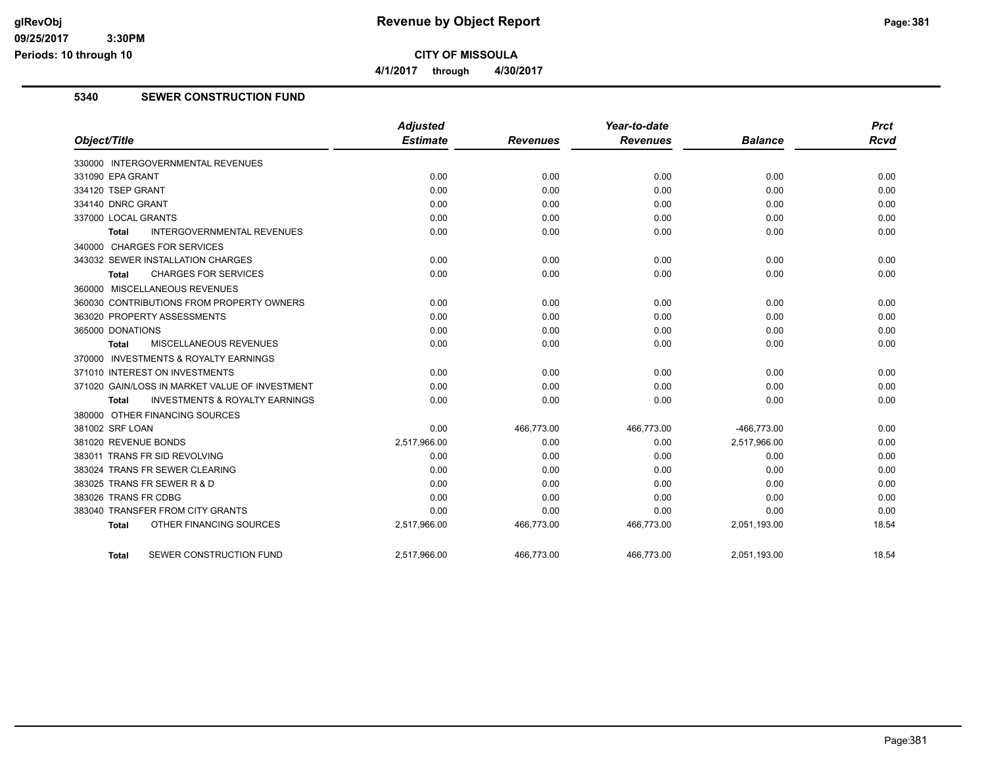**4/1/2017 through 4/30/2017**

## **5340 SEWER CONSTRUCTION FUND**

|                                                    | <b>Adjusted</b><br><b>Estimate</b> |                 | Year-to-date    |                | <b>Prct</b> |
|----------------------------------------------------|------------------------------------|-----------------|-----------------|----------------|-------------|
| Object/Title                                       |                                    | <b>Revenues</b> | <b>Revenues</b> | <b>Balance</b> | <b>Rcvd</b> |
| 330000 INTERGOVERNMENTAL REVENUES                  |                                    |                 |                 |                |             |
| 331090 EPA GRANT                                   | 0.00                               | 0.00            | 0.00            | 0.00           | 0.00        |
| 334120 TSEP GRANT                                  | 0.00                               | 0.00            | 0.00            | 0.00           | 0.00        |
| 334140 DNRC GRANT                                  | 0.00                               | 0.00            | 0.00            | 0.00           | 0.00        |
| 337000 LOCAL GRANTS                                | 0.00                               | 0.00            | 0.00            | 0.00           | 0.00        |
| <b>INTERGOVERNMENTAL REVENUES</b><br>Total         | 0.00                               | 0.00            | 0.00            | 0.00           | 0.00        |
| 340000 CHARGES FOR SERVICES                        |                                    |                 |                 |                |             |
| 343032 SEWER INSTALLATION CHARGES                  | 0.00                               | 0.00            | 0.00            | 0.00           | 0.00        |
| <b>CHARGES FOR SERVICES</b><br>Total               | 0.00                               | 0.00            | 0.00            | 0.00           | 0.00        |
| 360000 MISCELLANEOUS REVENUES                      |                                    |                 |                 |                |             |
| 360030 CONTRIBUTIONS FROM PROPERTY OWNERS          | 0.00                               | 0.00            | 0.00            | 0.00           | 0.00        |
| 363020 PROPERTY ASSESSMENTS                        | 0.00                               | 0.00            | 0.00            | 0.00           | 0.00        |
| 365000 DONATIONS                                   | 0.00                               | 0.00            | 0.00            | 0.00           | 0.00        |
| MISCELLANEOUS REVENUES<br>Total                    | 0.00                               | 0.00            | 0.00            | 0.00           | 0.00        |
| 370000 INVESTMENTS & ROYALTY EARNINGS              |                                    |                 |                 |                |             |
| 371010 INTEREST ON INVESTMENTS                     | 0.00                               | 0.00            | 0.00            | 0.00           | 0.00        |
| 371020 GAIN/LOSS IN MARKET VALUE OF INVESTMENT     | 0.00                               | 0.00            | 0.00            | 0.00           | 0.00        |
| <b>INVESTMENTS &amp; ROYALTY EARNINGS</b><br>Total | 0.00                               | 0.00            | 0.00            | 0.00           | 0.00        |
| 380000 OTHER FINANCING SOURCES                     |                                    |                 |                 |                |             |
| 381002 SRF LOAN                                    | 0.00                               | 466,773.00      | 466,773.00      | -466.773.00    | 0.00        |
| 381020 REVENUE BONDS                               | 2,517,966.00                       | 0.00            | 0.00            | 2,517,966.00   | 0.00        |
| 383011 TRANS FR SID REVOLVING                      | 0.00                               | 0.00            | 0.00            | 0.00           | 0.00        |
| 383024 TRANS FR SEWER CLEARING                     | 0.00                               | 0.00            | 0.00            | 0.00           | 0.00        |
| 383025 TRANS FR SEWER R & D                        | 0.00                               | 0.00            | 0.00            | 0.00           | 0.00        |
| 383026 TRANS FR CDBG                               | 0.00                               | 0.00            | 0.00            | 0.00           | 0.00        |
| 383040 TRANSFER FROM CITY GRANTS                   | 0.00                               | 0.00            | 0.00            | 0.00           | 0.00        |
| OTHER FINANCING SOURCES<br><b>Total</b>            | 2,517,966.00                       | 466,773.00      | 466,773.00      | 2,051,193.00   | 18.54       |
| SEWER CONSTRUCTION FUND<br><b>Total</b>            | 2.517.966.00                       | 466.773.00      | 466.773.00      | 2.051.193.00   | 18.54       |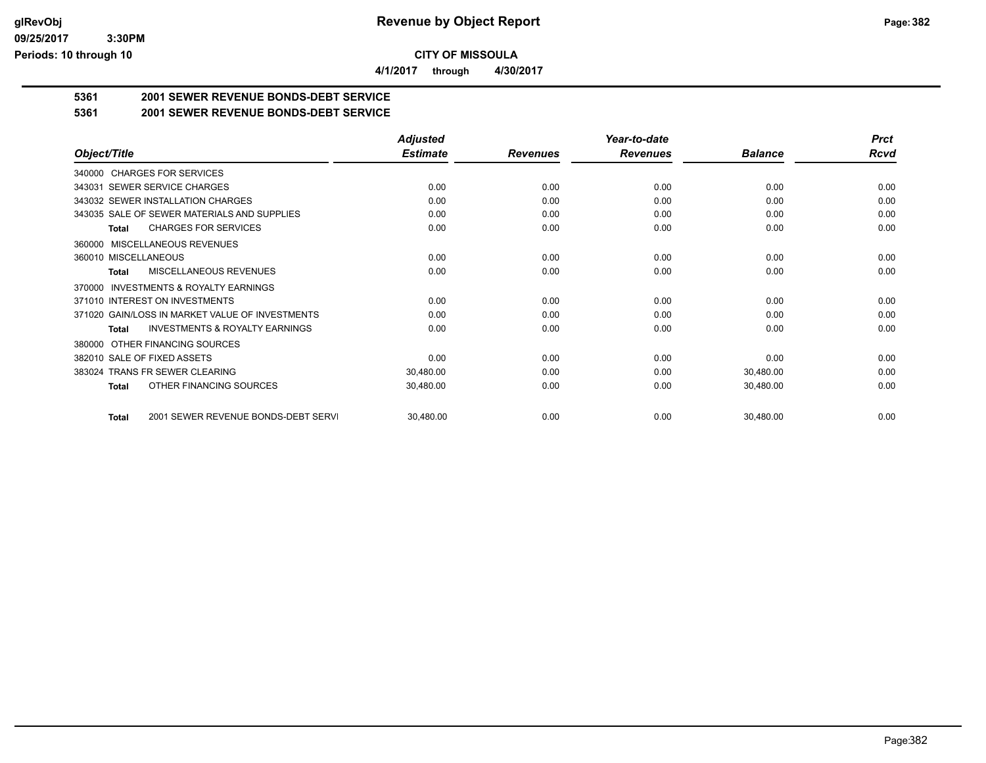**4/1/2017 through 4/30/2017**

# **5361 2001 SEWER REVENUE BONDS-DEBT SERVICE**

## **5361 2001 SEWER REVENUE BONDS-DEBT SERVICE**

|                                                           | <b>Adjusted</b> |                 | Year-to-date    |                | <b>Prct</b> |
|-----------------------------------------------------------|-----------------|-----------------|-----------------|----------------|-------------|
| Object/Title                                              | <b>Estimate</b> | <b>Revenues</b> | <b>Revenues</b> | <b>Balance</b> | Rcvd        |
| 340000 CHARGES FOR SERVICES                               |                 |                 |                 |                |             |
| 343031 SEWER SERVICE CHARGES                              | 0.00            | 0.00            | 0.00            | 0.00           | 0.00        |
| 343032 SEWER INSTALLATION CHARGES                         | 0.00            | 0.00            | 0.00            | 0.00           | 0.00        |
| 343035 SALE OF SEWER MATERIALS AND SUPPLIES               | 0.00            | 0.00            | 0.00            | 0.00           | 0.00        |
| <b>CHARGES FOR SERVICES</b><br><b>Total</b>               | 0.00            | 0.00            | 0.00            | 0.00           | 0.00        |
| MISCELLANEOUS REVENUES<br>360000                          |                 |                 |                 |                |             |
| 360010 MISCELLANEOUS                                      | 0.00            | 0.00            | 0.00            | 0.00           | 0.00        |
| MISCELLANEOUS REVENUES<br><b>Total</b>                    | 0.00            | 0.00            | 0.00            | 0.00           | 0.00        |
| INVESTMENTS & ROYALTY EARNINGS<br>370000                  |                 |                 |                 |                |             |
| 371010 INTEREST ON INVESTMENTS                            | 0.00            | 0.00            | 0.00            | 0.00           | 0.00        |
| 371020 GAIN/LOSS IN MARKET VALUE OF INVESTMENTS           | 0.00            | 0.00            | 0.00            | 0.00           | 0.00        |
| <b>INVESTMENTS &amp; ROYALTY EARNINGS</b><br><b>Total</b> | 0.00            | 0.00            | 0.00            | 0.00           | 0.00        |
| OTHER FINANCING SOURCES<br>380000                         |                 |                 |                 |                |             |
| 382010 SALE OF FIXED ASSETS                               | 0.00            | 0.00            | 0.00            | 0.00           | 0.00        |
| 383024 TRANS FR SEWER CLEARING                            | 30,480.00       | 0.00            | 0.00            | 30,480.00      | 0.00        |
| OTHER FINANCING SOURCES<br><b>Total</b>                   | 30,480.00       | 0.00            | 0.00            | 30,480.00      | 0.00        |
|                                                           |                 |                 |                 |                |             |
| 2001 SEWER REVENUE BONDS-DEBT SERVI<br><b>Total</b>       | 30,480.00       | 0.00            | 0.00            | 30,480.00      | 0.00        |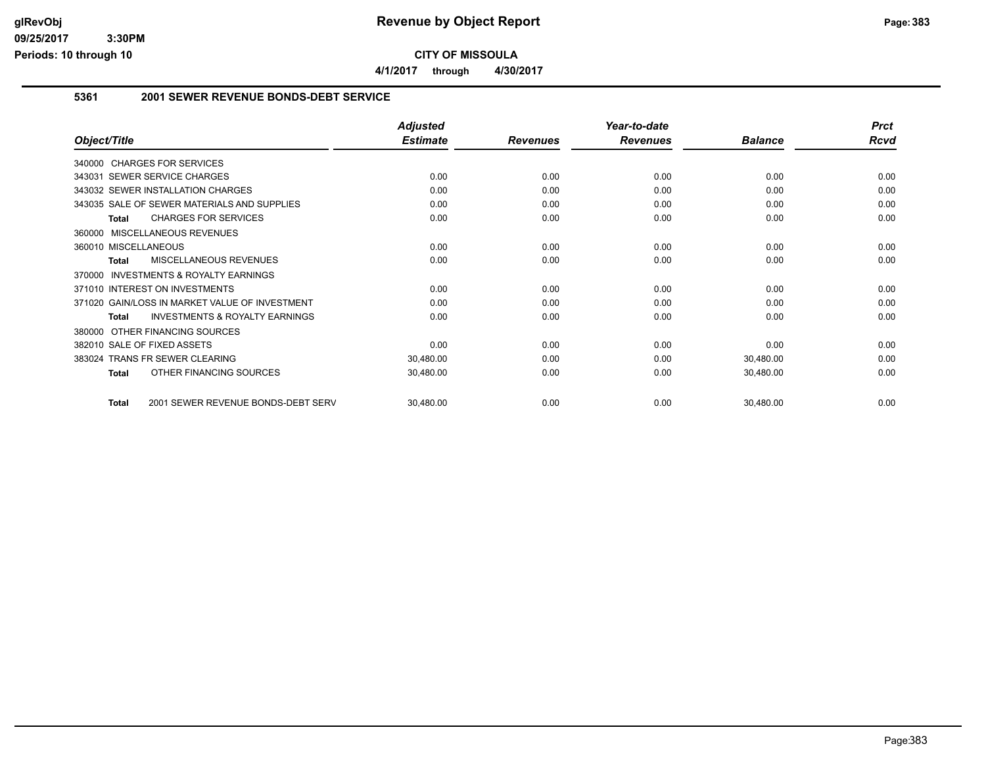**4/1/2017 through 4/30/2017**

## **5361 2001 SEWER REVENUE BONDS-DEBT SERVICE**

|                                                           | <b>Adjusted</b> |                 | Year-to-date    |                | <b>Prct</b> |
|-----------------------------------------------------------|-----------------|-----------------|-----------------|----------------|-------------|
| Object/Title                                              | <b>Estimate</b> | <b>Revenues</b> | <b>Revenues</b> | <b>Balance</b> | <b>Rcvd</b> |
| 340000 CHARGES FOR SERVICES                               |                 |                 |                 |                |             |
| 343031 SEWER SERVICE CHARGES                              | 0.00            | 0.00            | 0.00            | 0.00           | 0.00        |
| 343032 SEWER INSTALLATION CHARGES                         | 0.00            | 0.00            | 0.00            | 0.00           | 0.00        |
| 343035 SALE OF SEWER MATERIALS AND SUPPLIES               | 0.00            | 0.00            | 0.00            | 0.00           | 0.00        |
| <b>CHARGES FOR SERVICES</b><br><b>Total</b>               | 0.00            | 0.00            | 0.00            | 0.00           | 0.00        |
| 360000 MISCELLANEOUS REVENUES                             |                 |                 |                 |                |             |
| 360010 MISCELLANEOUS                                      | 0.00            | 0.00            | 0.00            | 0.00           | 0.00        |
| <b>MISCELLANEOUS REVENUES</b><br><b>Total</b>             | 0.00            | 0.00            | 0.00            | 0.00           | 0.00        |
| <b>INVESTMENTS &amp; ROYALTY EARNINGS</b><br>370000       |                 |                 |                 |                |             |
| 371010 INTEREST ON INVESTMENTS                            | 0.00            | 0.00            | 0.00            | 0.00           | 0.00        |
| 371020 GAIN/LOSS IN MARKET VALUE OF INVESTMENT            | 0.00            | 0.00            | 0.00            | 0.00           | 0.00        |
| <b>INVESTMENTS &amp; ROYALTY EARNINGS</b><br><b>Total</b> | 0.00            | 0.00            | 0.00            | 0.00           | 0.00        |
| OTHER FINANCING SOURCES<br>380000                         |                 |                 |                 |                |             |
| 382010 SALE OF FIXED ASSETS                               | 0.00            | 0.00            | 0.00            | 0.00           | 0.00        |
| <b>TRANS FR SEWER CLEARING</b><br>383024                  | 30,480.00       | 0.00            | 0.00            | 30,480.00      | 0.00        |
| OTHER FINANCING SOURCES<br><b>Total</b>                   | 30,480.00       | 0.00            | 0.00            | 30,480.00      | 0.00        |
| 2001 SEWER REVENUE BONDS-DEBT SERV<br><b>Total</b>        | 30,480.00       | 0.00            | 0.00            | 30,480.00      | 0.00        |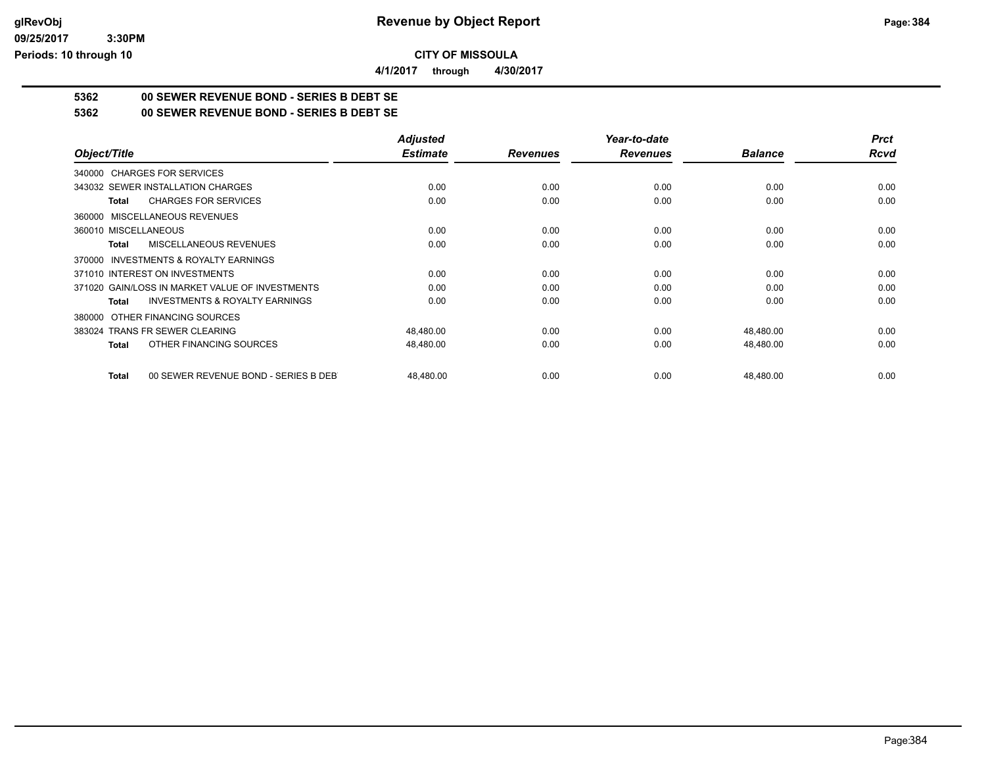**4/1/2017 through 4/30/2017**

# **5362 00 SEWER REVENUE BOND - SERIES B DEBT SE**

**5362 00 SEWER REVENUE BOND - SERIES B DEBT SE**

|                                                      | <b>Adjusted</b> |                 | Year-to-date    |                | <b>Prct</b> |
|------------------------------------------------------|-----------------|-----------------|-----------------|----------------|-------------|
| Object/Title                                         | <b>Estimate</b> | <b>Revenues</b> | <b>Revenues</b> | <b>Balance</b> | <b>Rcvd</b> |
| 340000 CHARGES FOR SERVICES                          |                 |                 |                 |                |             |
| 343032 SEWER INSTALLATION CHARGES                    | 0.00            | 0.00            | 0.00            | 0.00           | 0.00        |
| <b>CHARGES FOR SERVICES</b><br>Total                 | 0.00            | 0.00            | 0.00            | 0.00           | 0.00        |
| 360000 MISCELLANEOUS REVENUES                        |                 |                 |                 |                |             |
| 360010 MISCELLANEOUS                                 | 0.00            | 0.00            | 0.00            | 0.00           | 0.00        |
| <b>MISCELLANEOUS REVENUES</b><br>Total               | 0.00            | 0.00            | 0.00            | 0.00           | 0.00        |
| 370000 INVESTMENTS & ROYALTY EARNINGS                |                 |                 |                 |                |             |
| 371010 INTEREST ON INVESTMENTS                       | 0.00            | 0.00            | 0.00            | 0.00           | 0.00        |
| 371020 GAIN/LOSS IN MARKET VALUE OF INVESTMENTS      | 0.00            | 0.00            | 0.00            | 0.00           | 0.00        |
| <b>INVESTMENTS &amp; ROYALTY EARNINGS</b><br>Total   | 0.00            | 0.00            | 0.00            | 0.00           | 0.00        |
| OTHER FINANCING SOURCES<br>380000                    |                 |                 |                 |                |             |
| 383024 TRANS FR SEWER CLEARING                       | 48,480.00       | 0.00            | 0.00            | 48,480.00      | 0.00        |
| OTHER FINANCING SOURCES<br>Total                     | 48,480.00       | 0.00            | 0.00            | 48,480.00      | 0.00        |
|                                                      |                 |                 |                 |                |             |
| 00 SEWER REVENUE BOND - SERIES B DEB<br><b>Total</b> | 48,480.00       | 0.00            | 0.00            | 48,480.00      | 0.00        |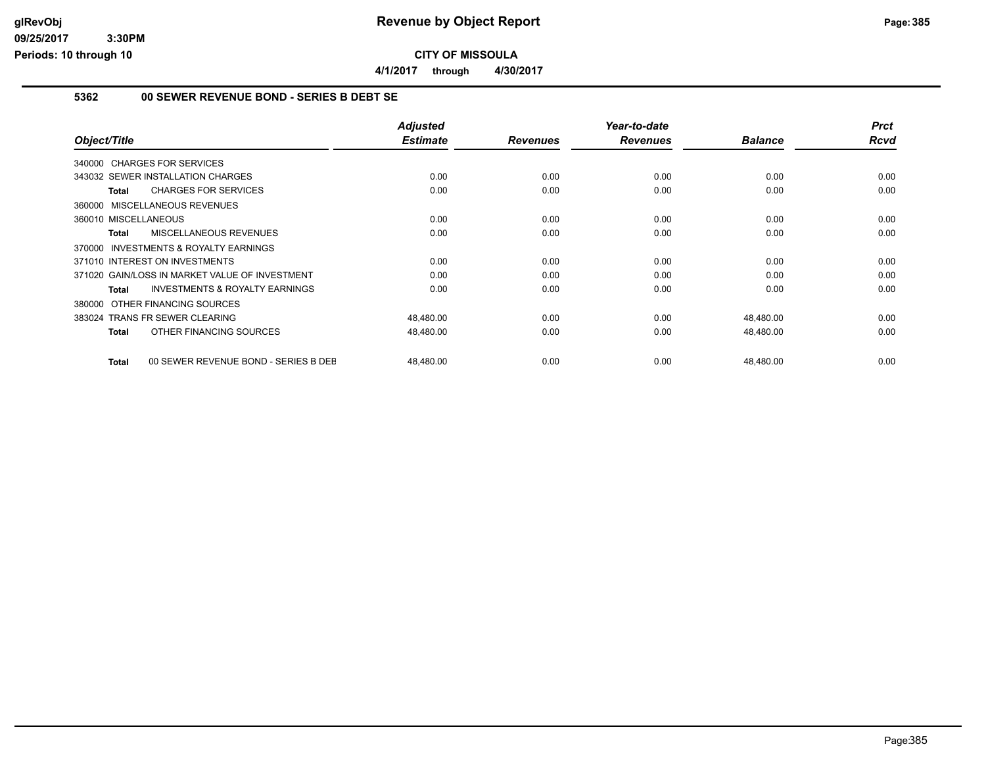**4/1/2017 through 4/30/2017**

## **5362 00 SEWER REVENUE BOND - SERIES B DEBT SE**

| Object/Title                                              | <b>Adjusted</b><br><b>Estimate</b> | <b>Revenues</b> | Year-to-date<br><b>Revenues</b> | <b>Balance</b> | <b>Prct</b><br><b>Rcvd</b> |
|-----------------------------------------------------------|------------------------------------|-----------------|---------------------------------|----------------|----------------------------|
| 340000 CHARGES FOR SERVICES                               |                                    |                 |                                 |                |                            |
| 343032 SEWER INSTALLATION CHARGES                         | 0.00                               | 0.00            | 0.00                            | 0.00           | 0.00                       |
|                                                           |                                    |                 |                                 |                |                            |
| <b>CHARGES FOR SERVICES</b><br><b>Total</b>               | 0.00                               | 0.00            | 0.00                            | 0.00           | 0.00                       |
| 360000 MISCELLANEOUS REVENUES                             |                                    |                 |                                 |                |                            |
| 360010 MISCELLANEOUS                                      | 0.00                               | 0.00            | 0.00                            | 0.00           | 0.00                       |
| <b>MISCELLANEOUS REVENUES</b><br><b>Total</b>             | 0.00                               | 0.00            | 0.00                            | 0.00           | 0.00                       |
| 370000 INVESTMENTS & ROYALTY EARNINGS                     |                                    |                 |                                 |                |                            |
| 371010 INTEREST ON INVESTMENTS                            | 0.00                               | 0.00            | 0.00                            | 0.00           | 0.00                       |
| 371020 GAIN/LOSS IN MARKET VALUE OF INVESTMENT            | 0.00                               | 0.00            | 0.00                            | 0.00           | 0.00                       |
| <b>INVESTMENTS &amp; ROYALTY EARNINGS</b><br><b>Total</b> | 0.00                               | 0.00            | 0.00                            | 0.00           | 0.00                       |
| 380000 OTHER FINANCING SOURCES                            |                                    |                 |                                 |                |                            |
| 383024 TRANS FR SEWER CLEARING                            | 48,480.00                          | 0.00            | 0.00                            | 48,480.00      | 0.00                       |
| OTHER FINANCING SOURCES<br><b>Total</b>                   | 48,480.00                          | 0.00            | 0.00                            | 48,480.00      | 0.00                       |
| 00 SEWER REVENUE BOND - SERIES B DEE<br><b>Total</b>      | 48,480.00                          | 0.00            | 0.00                            | 48,480.00      | 0.00                       |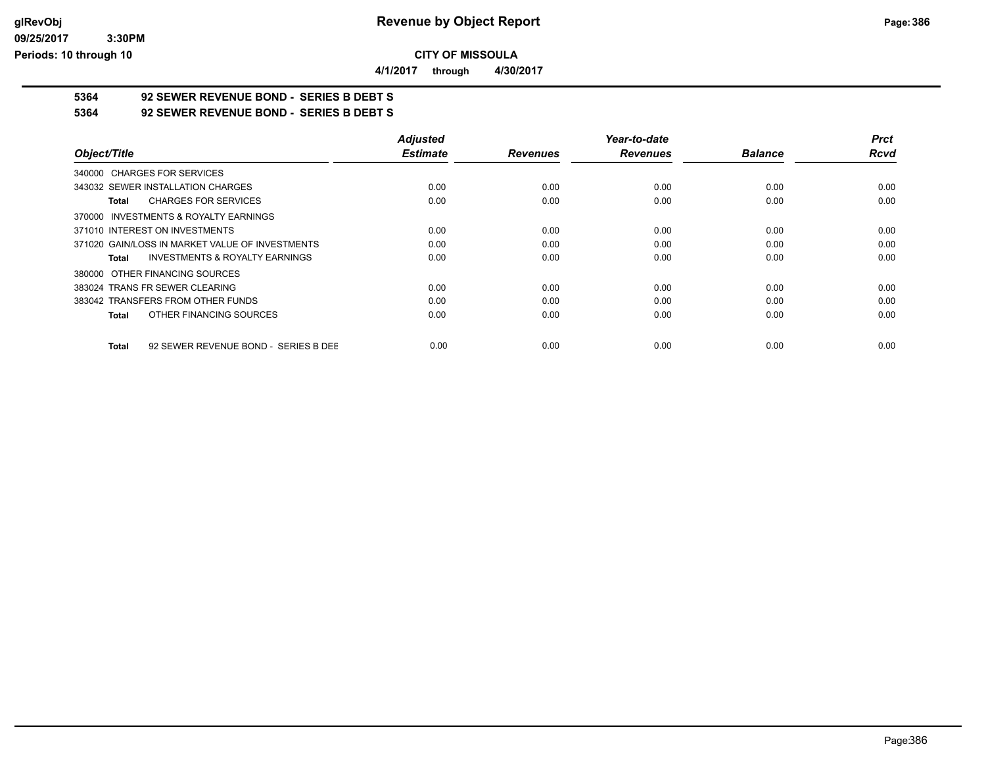**Periods: 10 through 10**

**CITY OF MISSOULA**

**4/1/2017 through 4/30/2017**

# **5364 92 SEWER REVENUE BOND - SERIES B DEBT S**

**5364 92 SEWER REVENUE BOND - SERIES B DEBT S**

|                                                 | <b>Adjusted</b> |                 | Year-to-date    |                | <b>Prct</b> |
|-------------------------------------------------|-----------------|-----------------|-----------------|----------------|-------------|
| Object/Title                                    | <b>Estimate</b> | <b>Revenues</b> | <b>Revenues</b> | <b>Balance</b> | Rcvd        |
| 340000 CHARGES FOR SERVICES                     |                 |                 |                 |                |             |
| 343032 SEWER INSTALLATION CHARGES               | 0.00            | 0.00            | 0.00            | 0.00           | 0.00        |
| <b>CHARGES FOR SERVICES</b><br>Total            | 0.00            | 0.00            | 0.00            | 0.00           | 0.00        |
| 370000 INVESTMENTS & ROYALTY EARNINGS           |                 |                 |                 |                |             |
| 371010 INTEREST ON INVESTMENTS                  | 0.00            | 0.00            | 0.00            | 0.00           | 0.00        |
| 371020 GAIN/LOSS IN MARKET VALUE OF INVESTMENTS | 0.00            | 0.00            | 0.00            | 0.00           | 0.00        |
| INVESTMENTS & ROYALTY EARNINGS<br>Total         | 0.00            | 0.00            | 0.00            | 0.00           | 0.00        |
| 380000 OTHER FINANCING SOURCES                  |                 |                 |                 |                |             |
| 383024 TRANS FR SEWER CLEARING                  | 0.00            | 0.00            | 0.00            | 0.00           | 0.00        |
| 383042 TRANSFERS FROM OTHER FUNDS               | 0.00            | 0.00            | 0.00            | 0.00           | 0.00        |
| OTHER FINANCING SOURCES<br>Total                | 0.00            | 0.00            | 0.00            | 0.00           | 0.00        |
| 92 SEWER REVENUE BOND - SERIES B DEE<br>Total   | 0.00            | 0.00            | 0.00            | 0.00           | 0.00        |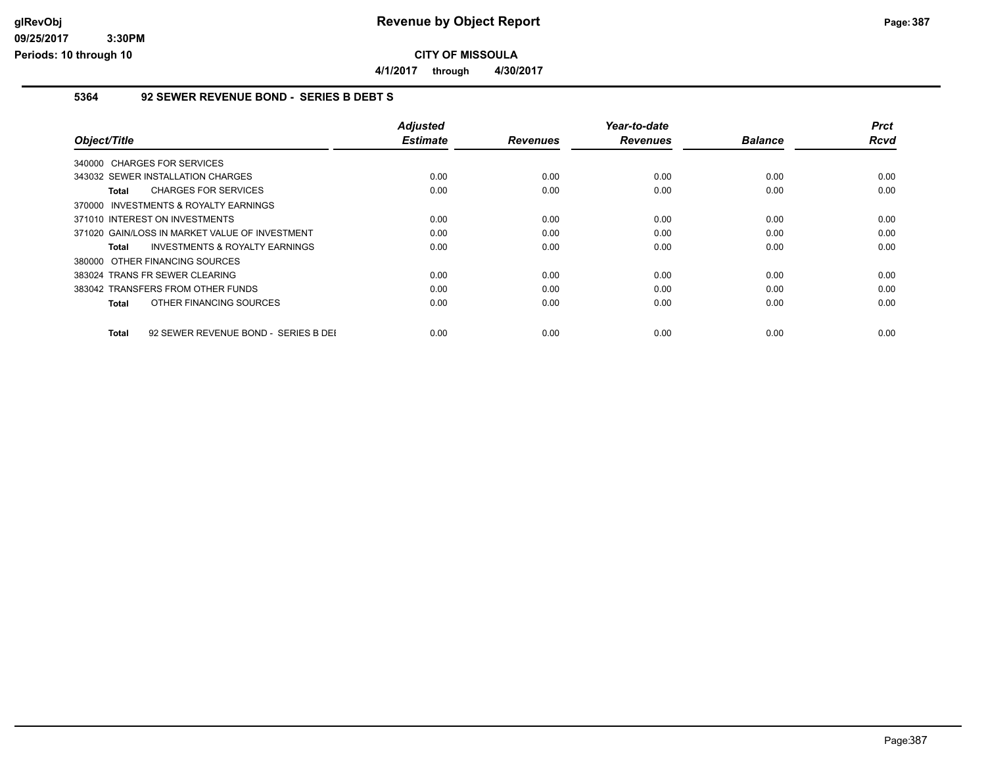**4/1/2017 through 4/30/2017**

## **5364 92 SEWER REVENUE BOND - SERIES B DEBT S**

| Object/Title                                         | <b>Adjusted</b><br><b>Estimate</b> | <b>Revenues</b> | Year-to-date<br><b>Revenues</b> | <b>Balance</b> | <b>Prct</b><br><b>Rcvd</b> |
|------------------------------------------------------|------------------------------------|-----------------|---------------------------------|----------------|----------------------------|
| 340000 CHARGES FOR SERVICES                          |                                    |                 |                                 |                |                            |
| 343032 SEWER INSTALLATION CHARGES                    | 0.00                               | 0.00            | 0.00                            | 0.00           | 0.00                       |
| <b>CHARGES FOR SERVICES</b><br>Total                 | 0.00                               | 0.00            | 0.00                            | 0.00           | 0.00                       |
| 370000 INVESTMENTS & ROYALTY EARNINGS                |                                    |                 |                                 |                |                            |
| 371010 INTEREST ON INVESTMENTS                       | 0.00                               | 0.00            | 0.00                            | 0.00           | 0.00                       |
| 371020 GAIN/LOSS IN MARKET VALUE OF INVESTMENT       | 0.00                               | 0.00            | 0.00                            | 0.00           | 0.00                       |
| <b>INVESTMENTS &amp; ROYALTY EARNINGS</b><br>Total   | 0.00                               | 0.00            | 0.00                            | 0.00           | 0.00                       |
| 380000 OTHER FINANCING SOURCES                       |                                    |                 |                                 |                |                            |
| 383024 TRANS FR SEWER CLEARING                       | 0.00                               | 0.00            | 0.00                            | 0.00           | 0.00                       |
| 383042 TRANSFERS FROM OTHER FUNDS                    | 0.00                               | 0.00            | 0.00                            | 0.00           | 0.00                       |
| OTHER FINANCING SOURCES<br><b>Total</b>              | 0.00                               | 0.00            | 0.00                            | 0.00           | 0.00                       |
| 92 SEWER REVENUE BOND - SERIES B DEI<br><b>Total</b> | 0.00                               | 0.00            | 0.00                            | 0.00           | 0.00                       |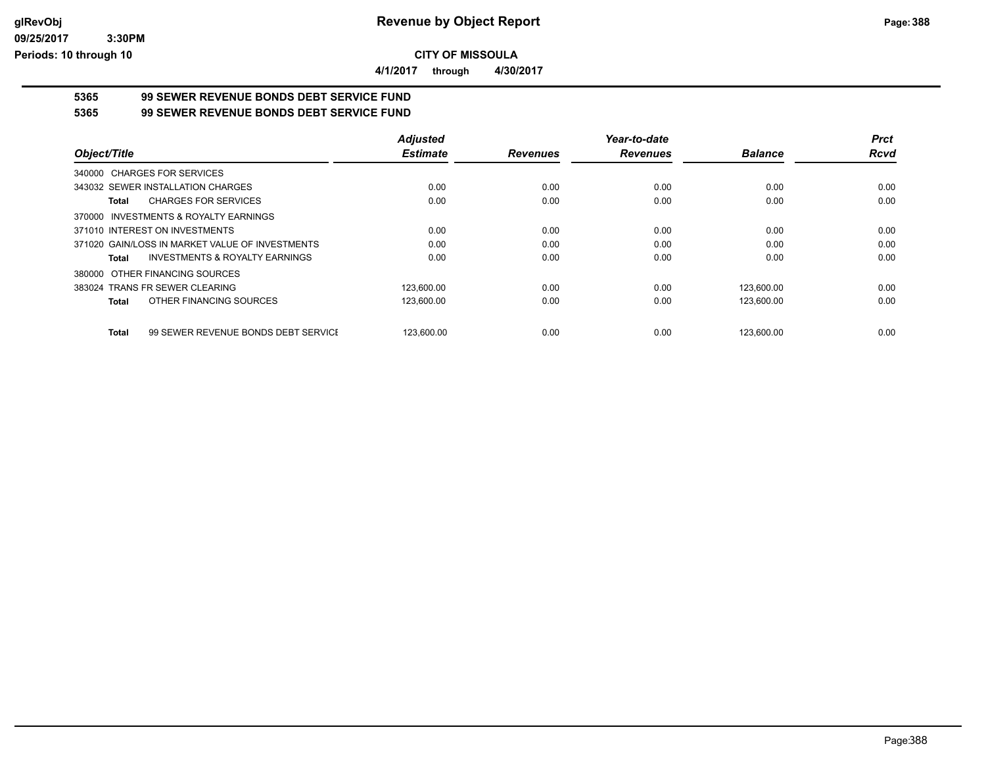**4/1/2017 through 4/30/2017**

# **5365 99 SEWER REVENUE BONDS DEBT SERVICE FUND**

# **5365 99 SEWER REVENUE BONDS DEBT SERVICE FUND**

| Object/Title                                        | <b>Adjusted</b><br><b>Estimate</b> | <b>Revenues</b> | Year-to-date<br><b>Revenues</b> | <b>Balance</b> | <b>Prct</b><br><b>Rcvd</b> |
|-----------------------------------------------------|------------------------------------|-----------------|---------------------------------|----------------|----------------------------|
| <b>CHARGES FOR SERVICES</b><br>340000               |                                    |                 |                                 |                |                            |
| 343032 SEWER INSTALLATION CHARGES                   | 0.00                               | 0.00            | 0.00                            | 0.00           | 0.00                       |
| <b>CHARGES FOR SERVICES</b><br>Total                | 0.00                               | 0.00            | 0.00                            | 0.00           | 0.00                       |
| 370000 INVESTMENTS & ROYALTY EARNINGS               |                                    |                 |                                 |                |                            |
| 371010 INTEREST ON INVESTMENTS                      | 0.00                               | 0.00            | 0.00                            | 0.00           | 0.00                       |
| 371020 GAIN/LOSS IN MARKET VALUE OF INVESTMENTS     | 0.00                               | 0.00            | 0.00                            | 0.00           | 0.00                       |
| <b>INVESTMENTS &amp; ROYALTY EARNINGS</b><br>Total  | 0.00                               | 0.00            | 0.00                            | 0.00           | 0.00                       |
| OTHER FINANCING SOURCES<br>380000                   |                                    |                 |                                 |                |                            |
| 383024 TRANS FR SEWER CLEARING                      | 123,600.00                         | 0.00            | 0.00                            | 123,600.00     | 0.00                       |
| OTHER FINANCING SOURCES<br><b>Total</b>             | 123,600.00                         | 0.00            | 0.00                            | 123,600.00     | 0.00                       |
| 99 SEWER REVENUE BONDS DEBT SERVICE<br><b>Total</b> | 123.600.00                         | 0.00            | 0.00                            | 123.600.00     | 0.00                       |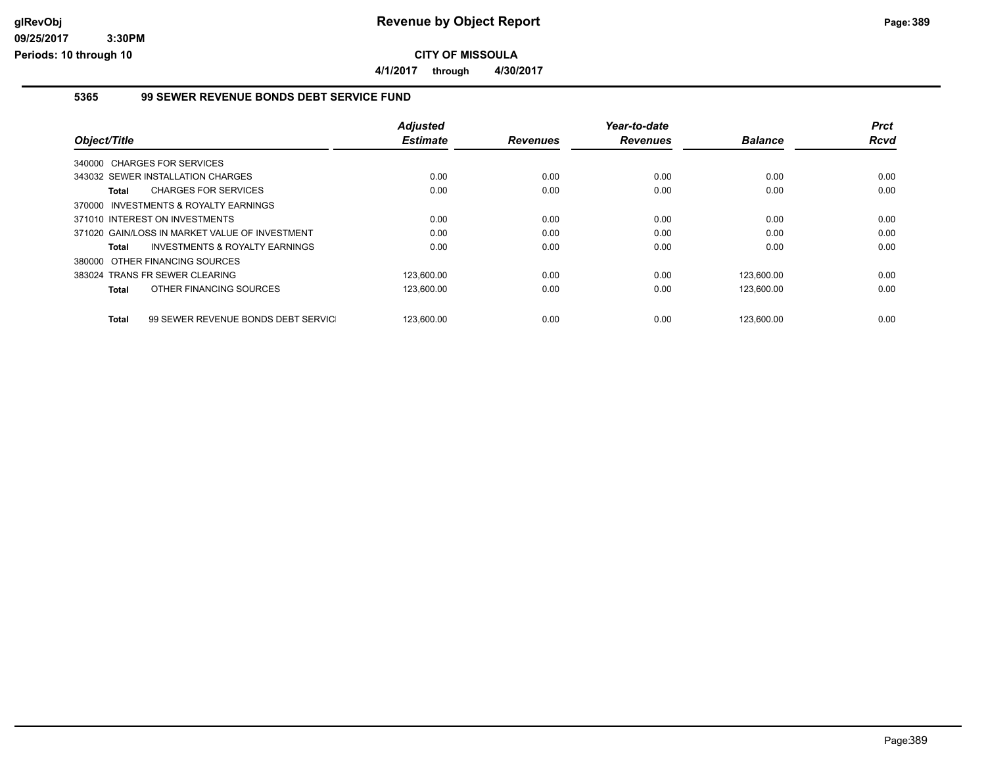**4/1/2017 through 4/30/2017**

## **5365 99 SEWER REVENUE BONDS DEBT SERVICE FUND**

|                                                    | <b>Adjusted</b> |                 | Year-to-date    |                | <b>Prct</b> |
|----------------------------------------------------|-----------------|-----------------|-----------------|----------------|-------------|
| Object/Title                                       | <b>Estimate</b> | <b>Revenues</b> | <b>Revenues</b> | <b>Balance</b> | Rcvd        |
| 340000 CHARGES FOR SERVICES                        |                 |                 |                 |                |             |
| 343032 SEWER INSTALLATION CHARGES                  | 0.00            | 0.00            | 0.00            | 0.00           | 0.00        |
| <b>CHARGES FOR SERVICES</b><br>Total               | 0.00            | 0.00            | 0.00            | 0.00           | 0.00        |
| 370000 INVESTMENTS & ROYALTY EARNINGS              |                 |                 |                 |                |             |
| 371010 INTEREST ON INVESTMENTS                     | 0.00            | 0.00            | 0.00            | 0.00           | 0.00        |
| 371020 GAIN/LOSS IN MARKET VALUE OF INVESTMENT     | 0.00            | 0.00            | 0.00            | 0.00           | 0.00        |
| <b>INVESTMENTS &amp; ROYALTY EARNINGS</b><br>Total | 0.00            | 0.00            | 0.00            | 0.00           | 0.00        |
| 380000 OTHER FINANCING SOURCES                     |                 |                 |                 |                |             |
| 383024 TRANS FR SEWER CLEARING                     | 123.600.00      | 0.00            | 0.00            | 123.600.00     | 0.00        |
| OTHER FINANCING SOURCES<br>Total                   | 123.600.00      | 0.00            | 0.00            | 123,600.00     | 0.00        |
| 99 SEWER REVENUE BONDS DEBT SERVIC<br>Total        | 123.600.00      | 0.00            | 0.00            | 123.600.00     | 0.00        |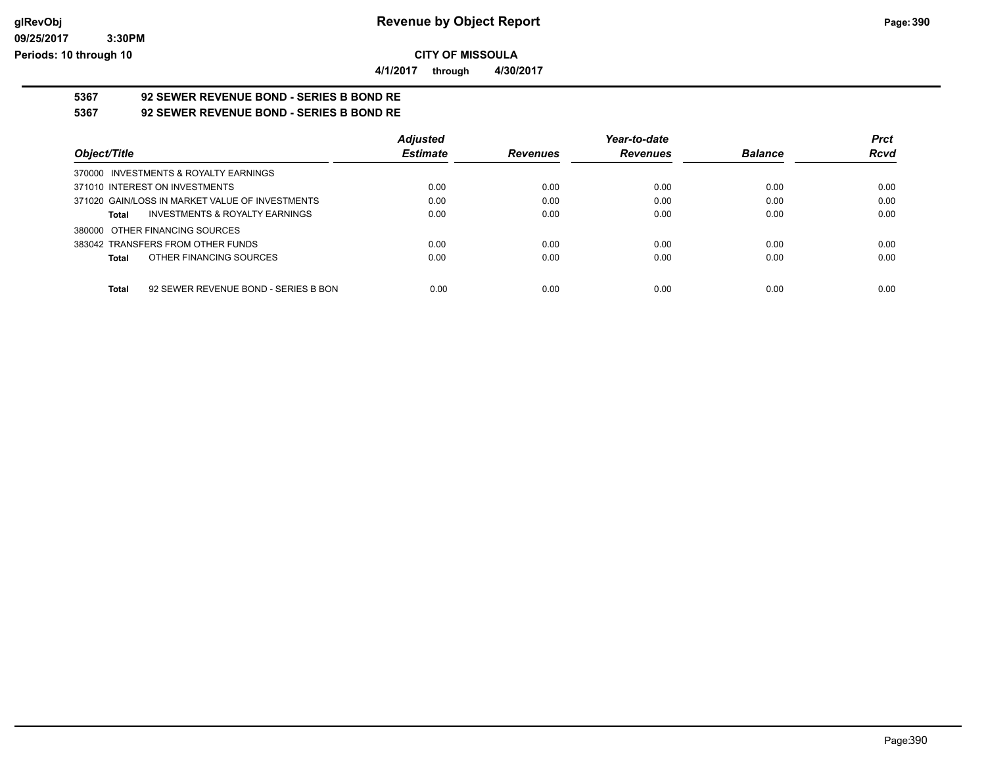**4/1/2017 through 4/30/2017**

# **5367 92 SEWER REVENUE BOND - SERIES B BOND RE**

**5367 92 SEWER REVENUE BOND - SERIES B BOND RE**

|                                                 | <b>Adjusted</b> |                 | Year-to-date    |                | <b>Prct</b> |
|-------------------------------------------------|-----------------|-----------------|-----------------|----------------|-------------|
| Object/Title                                    | <b>Estimate</b> | <b>Revenues</b> | <b>Revenues</b> | <b>Balance</b> | <b>Rcvd</b> |
| 370000 INVESTMENTS & ROYALTY EARNINGS           |                 |                 |                 |                |             |
| 371010 INTEREST ON INVESTMENTS                  | 0.00            | 0.00            | 0.00            | 0.00           | 0.00        |
| 371020 GAIN/LOSS IN MARKET VALUE OF INVESTMENTS | 0.00            | 0.00            | 0.00            | 0.00           | 0.00        |
| INVESTMENTS & ROYALTY EARNINGS<br>Total         | 0.00            | 0.00            | 0.00            | 0.00           | 0.00        |
| 380000 OTHER FINANCING SOURCES                  |                 |                 |                 |                |             |
| 383042 TRANSFERS FROM OTHER FUNDS               | 0.00            | 0.00            | 0.00            | 0.00           | 0.00        |
| OTHER FINANCING SOURCES<br>Total                | 0.00            | 0.00            | 0.00            | 0.00           | 0.00        |
|                                                 |                 |                 |                 |                |             |
| Total<br>92 SEWER REVENUE BOND - SERIES B BON   | 0.00            | 0.00            | 0.00            | 0.00           | 0.00        |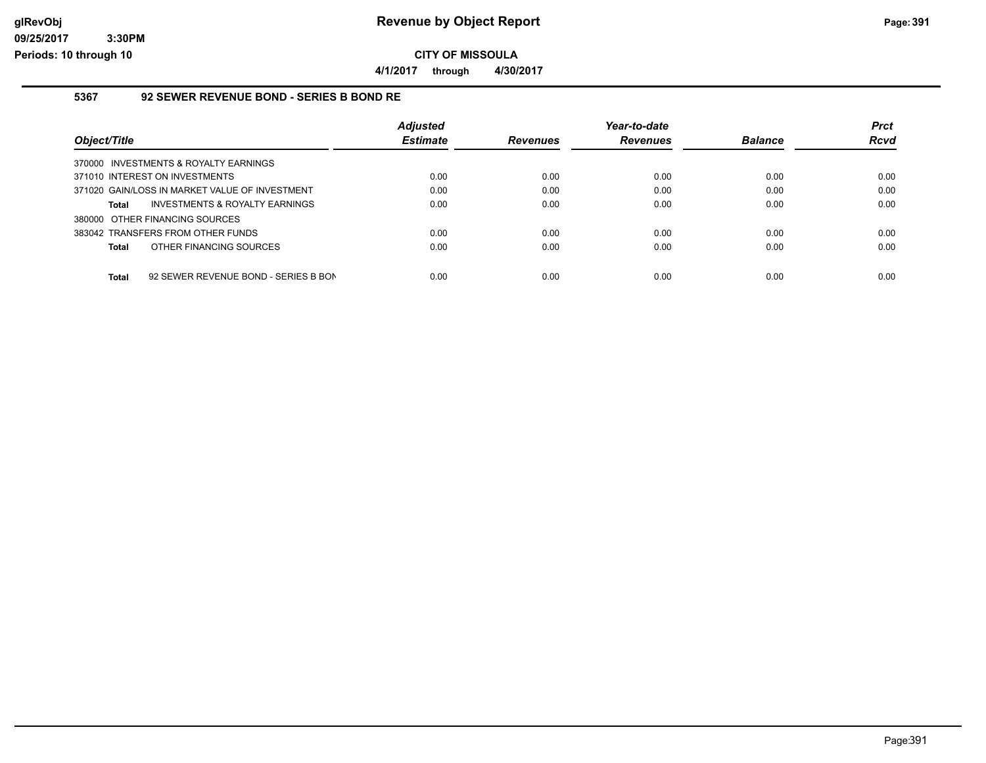**4/1/2017 through 4/30/2017**

## **5367 92 SEWER REVENUE BOND - SERIES B BOND RE**

| Object/Title                                   | <b>Adjusted</b><br><b>Estimate</b> | <b>Revenues</b> | Year-to-date<br><b>Revenues</b> | <b>Balance</b> | <b>Prct</b><br><b>Rcvd</b> |
|------------------------------------------------|------------------------------------|-----------------|---------------------------------|----------------|----------------------------|
|                                                |                                    |                 |                                 |                |                            |
| 370000 INVESTMENTS & ROYALTY EARNINGS          |                                    |                 |                                 |                |                            |
| 371010 INTEREST ON INVESTMENTS                 | 0.00                               | 0.00            | 0.00                            | 0.00           | 0.00                       |
| 371020 GAIN/LOSS IN MARKET VALUE OF INVESTMENT | 0.00                               | 0.00            | 0.00                            | 0.00           | 0.00                       |
| INVESTMENTS & ROYALTY EARNINGS<br>Total        | 0.00                               | 0.00            | 0.00                            | 0.00           | 0.00                       |
| 380000 OTHER FINANCING SOURCES                 |                                    |                 |                                 |                |                            |
| 383042 TRANSFERS FROM OTHER FUNDS              | 0.00                               | 0.00            | 0.00                            | 0.00           | 0.00                       |
| OTHER FINANCING SOURCES<br>Total               | 0.00                               | 0.00            | 0.00                            | 0.00           | 0.00                       |
|                                                |                                    |                 |                                 |                |                            |
| Total<br>92 SEWER REVENUE BOND - SERIES B BON  | 0.00                               | 0.00            | 0.00                            | 0.00           | 0.00                       |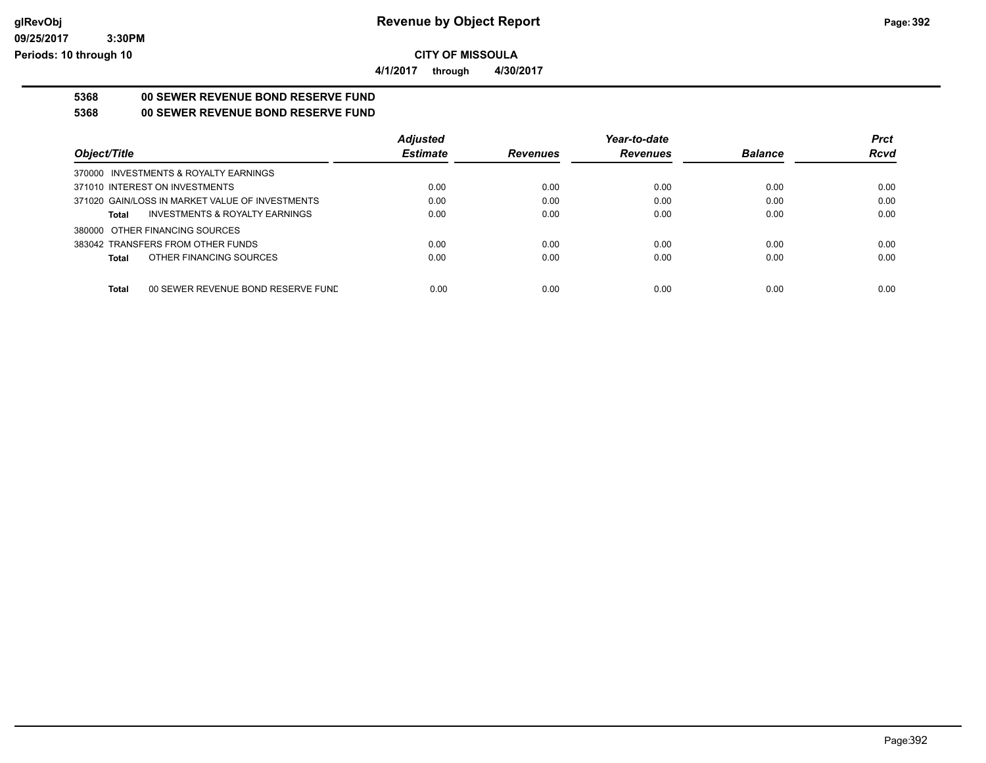**4/1/2017 through 4/30/2017**

# **5368 00 SEWER REVENUE BOND RESERVE FUND**

## **5368 00 SEWER REVENUE BOND RESERVE FUND**

|                                                 | <b>Adjusted</b> |                 | Year-to-date    |                | <b>Prct</b> |
|-------------------------------------------------|-----------------|-----------------|-----------------|----------------|-------------|
| Object/Title                                    | <b>Estimate</b> | <b>Revenues</b> | <b>Revenues</b> | <b>Balance</b> | <b>Rcvd</b> |
| 370000 INVESTMENTS & ROYALTY EARNINGS           |                 |                 |                 |                |             |
| 371010 INTEREST ON INVESTMENTS                  | 0.00            | 0.00            | 0.00            | 0.00           | 0.00        |
| 371020 GAIN/LOSS IN MARKET VALUE OF INVESTMENTS | 0.00            | 0.00            | 0.00            | 0.00           | 0.00        |
| INVESTMENTS & ROYALTY EARNINGS<br>Total         | 0.00            | 0.00            | 0.00            | 0.00           | 0.00        |
| 380000 OTHER FINANCING SOURCES                  |                 |                 |                 |                |             |
| 383042 TRANSFERS FROM OTHER FUNDS               | 0.00            | 0.00            | 0.00            | 0.00           | 0.00        |
| OTHER FINANCING SOURCES<br>Total                | 0.00            | 0.00            | 0.00            | 0.00           | 0.00        |
|                                                 |                 |                 |                 |                |             |
| 00 SEWER REVENUE BOND RESERVE FUND<br>Total     | 0.00            | 0.00            | 0.00            | 0.00           | 0.00        |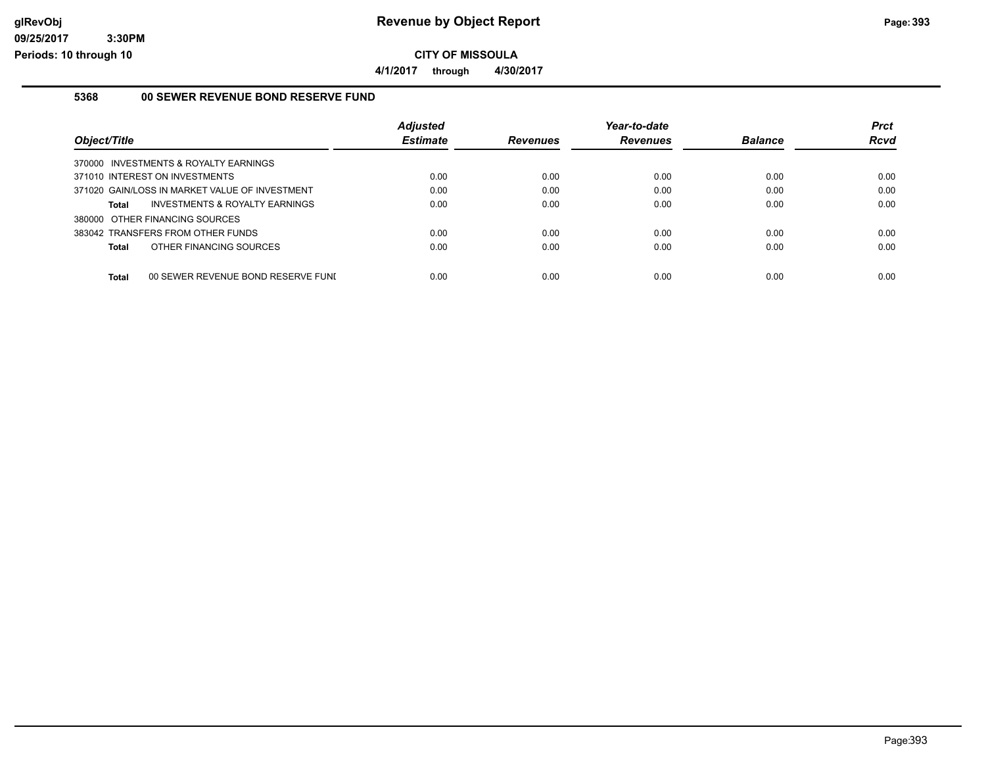**4/1/2017 through 4/30/2017**

## **5368 00 SEWER REVENUE BOND RESERVE FUND**

|                                                    | <b>Adjusted</b> |                 | Year-to-date    |                | <b>Prct</b> |
|----------------------------------------------------|-----------------|-----------------|-----------------|----------------|-------------|
| Object/Title                                       | <b>Estimate</b> | <b>Revenues</b> | <b>Revenues</b> | <b>Balance</b> | <b>Rcvd</b> |
| 370000 INVESTMENTS & ROYALTY EARNINGS              |                 |                 |                 |                |             |
| 371010 INTEREST ON INVESTMENTS                     | 0.00            | 0.00            | 0.00            | 0.00           | 0.00        |
| 371020 GAIN/LOSS IN MARKET VALUE OF INVESTMENT     | 0.00            | 0.00            | 0.00            | 0.00           | 0.00        |
| <b>INVESTMENTS &amp; ROYALTY EARNINGS</b><br>Total | 0.00            | 0.00            | 0.00            | 0.00           | 0.00        |
| 380000 OTHER FINANCING SOURCES                     |                 |                 |                 |                |             |
| 383042 TRANSFERS FROM OTHER FUNDS                  | 0.00            | 0.00            | 0.00            | 0.00           | 0.00        |
| OTHER FINANCING SOURCES<br>Total                   | 0.00            | 0.00            | 0.00            | 0.00           | 0.00        |
|                                                    |                 |                 |                 |                |             |
| 00 SEWER REVENUE BOND RESERVE FUNI<br>Total        | 0.00            | 0.00            | 0.00            | 0.00           | 0.00        |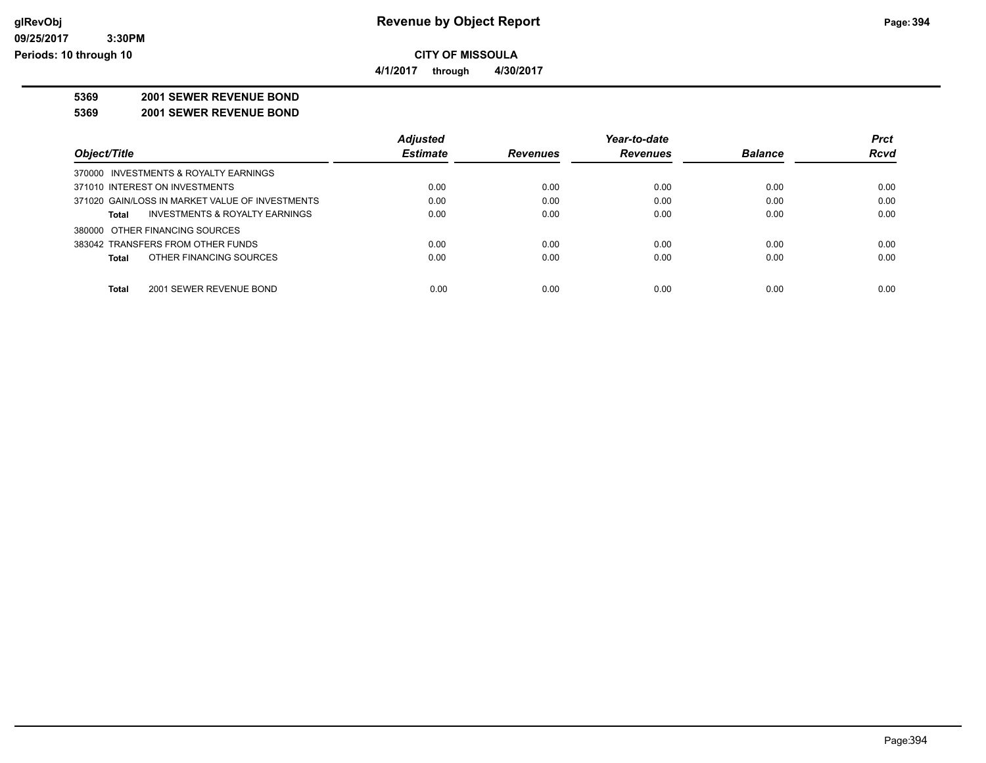**4/1/2017 through 4/30/2017**

### **5369 2001 SEWER REVENUE BOND**

**5369 2001 SEWER REVENUE BOND**

|                                                 | <b>Adjusted</b> |                 | Year-to-date    |                | <b>Prct</b> |
|-------------------------------------------------|-----------------|-----------------|-----------------|----------------|-------------|
| Object/Title                                    | <b>Estimate</b> | <b>Revenues</b> | <b>Revenues</b> | <b>Balance</b> | <b>Rcvd</b> |
| 370000 INVESTMENTS & ROYALTY EARNINGS           |                 |                 |                 |                |             |
| 371010 INTEREST ON INVESTMENTS                  | 0.00            | 0.00            | 0.00            | 0.00           | 0.00        |
| 371020 GAIN/LOSS IN MARKET VALUE OF INVESTMENTS | 0.00            | 0.00            | 0.00            | 0.00           | 0.00        |
| INVESTMENTS & ROYALTY EARNINGS<br>Total         | 0.00            | 0.00            | 0.00            | 0.00           | 0.00        |
| 380000 OTHER FINANCING SOURCES                  |                 |                 |                 |                |             |
| 383042 TRANSFERS FROM OTHER FUNDS               | 0.00            | 0.00            | 0.00            | 0.00           | 0.00        |
| OTHER FINANCING SOURCES<br><b>Total</b>         | 0.00            | 0.00            | 0.00            | 0.00           | 0.00        |
| <b>Total</b><br>2001 SEWER REVENUE BOND         | 0.00            | 0.00            | 0.00            | 0.00           | 0.00        |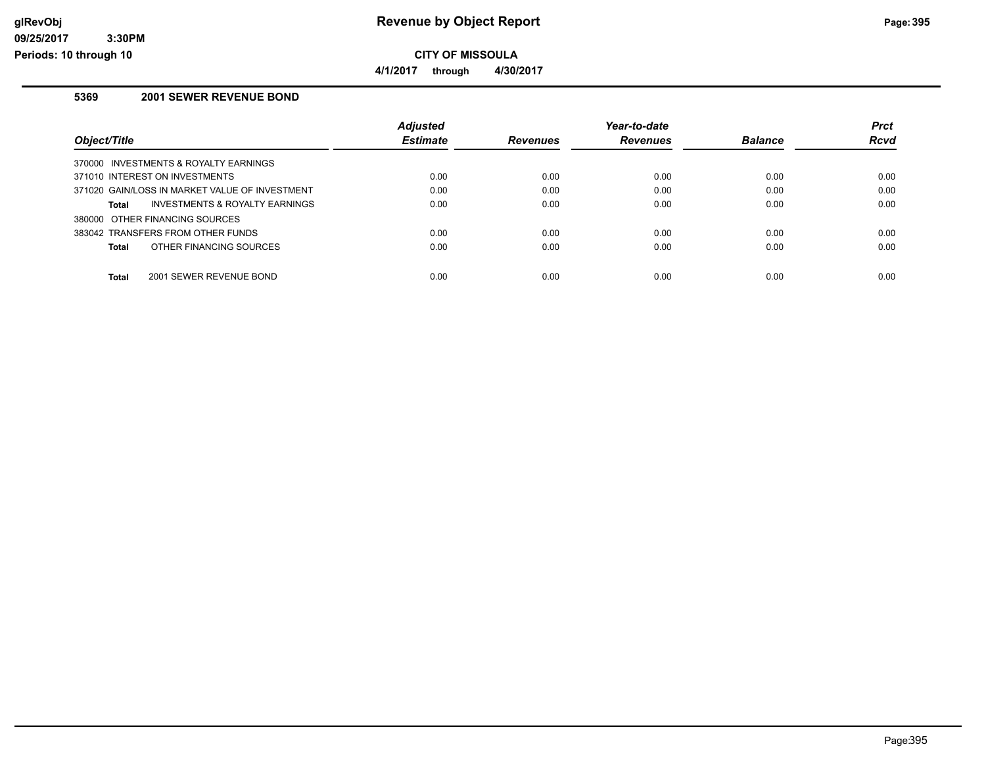**4/1/2017 through 4/30/2017**

## **5369 2001 SEWER REVENUE BOND**

|                                                    | <b>Adjusted</b> |                 | Year-to-date    |                | <b>Prct</b> |
|----------------------------------------------------|-----------------|-----------------|-----------------|----------------|-------------|
| Object/Title                                       | <b>Estimate</b> | <b>Revenues</b> | <b>Revenues</b> | <b>Balance</b> | <b>Rcvd</b> |
| 370000 INVESTMENTS & ROYALTY EARNINGS              |                 |                 |                 |                |             |
| 371010 INTEREST ON INVESTMENTS                     | 0.00            | 0.00            | 0.00            | 0.00           | 0.00        |
| 371020 GAIN/LOSS IN MARKET VALUE OF INVESTMENT     | 0.00            | 0.00            | 0.00            | 0.00           | 0.00        |
| <b>INVESTMENTS &amp; ROYALTY EARNINGS</b><br>Total | 0.00            | 0.00            | 0.00            | 0.00           | 0.00        |
| 380000 OTHER FINANCING SOURCES                     |                 |                 |                 |                |             |
| 383042 TRANSFERS FROM OTHER FUNDS                  | 0.00            | 0.00            | 0.00            | 0.00           | 0.00        |
| OTHER FINANCING SOURCES<br><b>Total</b>            | 0.00            | 0.00            | 0.00            | 0.00           | 0.00        |
| <b>Total</b><br>2001 SEWER REVENUE BOND            | 0.00            | 0.00            | 0.00            | 0.00           | 0.00        |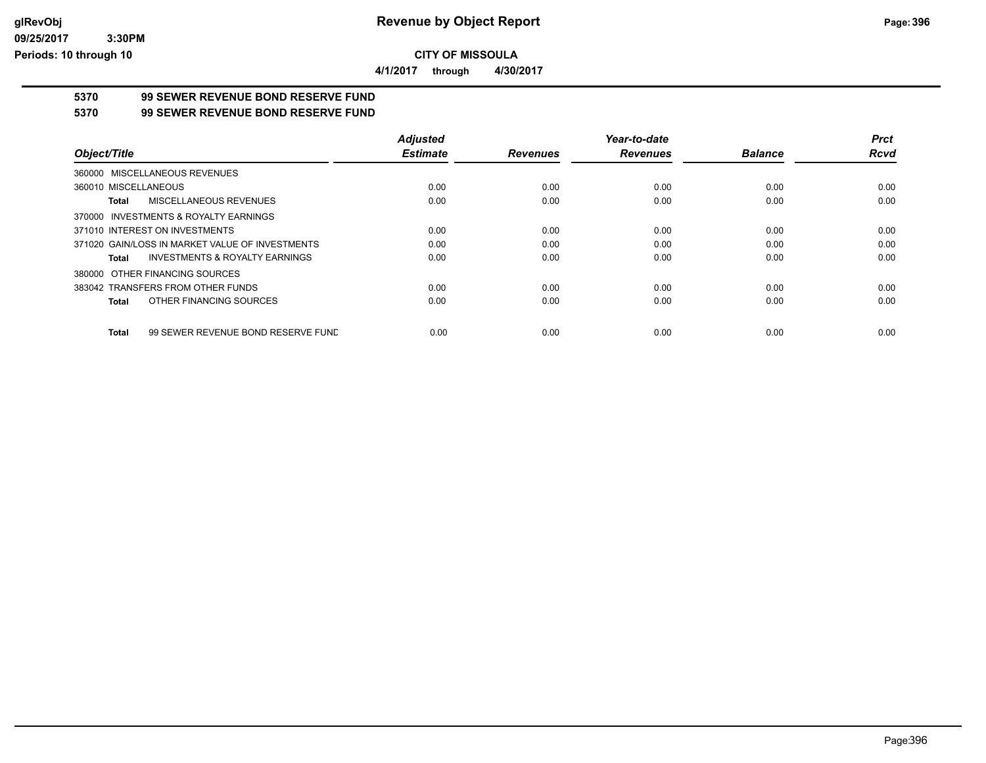**4/1/2017 through 4/30/2017**

## **5370 99 SEWER REVENUE BOND RESERVE FUND**

## **5370 99 SEWER REVENUE BOND RESERVE FUND**

|                                                    | <b>Adjusted</b> |                 | Year-to-date    |                | <b>Prct</b> |
|----------------------------------------------------|-----------------|-----------------|-----------------|----------------|-------------|
| Object/Title                                       | <b>Estimate</b> | <b>Revenues</b> | <b>Revenues</b> | <b>Balance</b> | <b>Rcvd</b> |
| 360000 MISCELLANEOUS REVENUES                      |                 |                 |                 |                |             |
| 360010 MISCELLANEOUS                               | 0.00            | 0.00            | 0.00            | 0.00           | 0.00        |
| MISCELLANEOUS REVENUES<br>Total                    | 0.00            | 0.00            | 0.00            | 0.00           | 0.00        |
| 370000 INVESTMENTS & ROYALTY EARNINGS              |                 |                 |                 |                |             |
| 371010 INTEREST ON INVESTMENTS                     | 0.00            | 0.00            | 0.00            | 0.00           | 0.00        |
| 371020 GAIN/LOSS IN MARKET VALUE OF INVESTMENTS    | 0.00            | 0.00            | 0.00            | 0.00           | 0.00        |
| <b>INVESTMENTS &amp; ROYALTY EARNINGS</b><br>Total | 0.00            | 0.00            | 0.00            | 0.00           | 0.00        |
| 380000 OTHER FINANCING SOURCES                     |                 |                 |                 |                |             |
| 383042 TRANSFERS FROM OTHER FUNDS                  | 0.00            | 0.00            | 0.00            | 0.00           | 0.00        |
| OTHER FINANCING SOURCES<br>Total                   | 0.00            | 0.00            | 0.00            | 0.00           | 0.00        |
| 99 SEWER REVENUE BOND RESERVE FUND<br><b>Total</b> | 0.00            | 0.00            | 0.00            | 0.00           | 0.00        |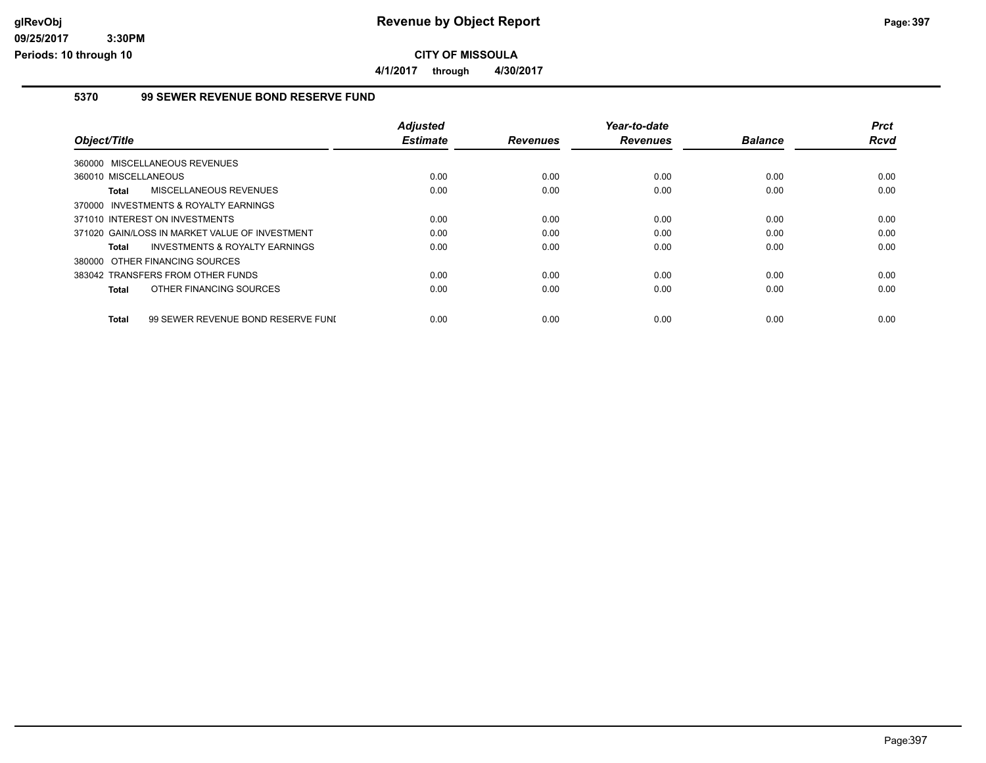**4/1/2017 through 4/30/2017**

# **5370 99 SEWER REVENUE BOND RESERVE FUND**

|                                                    | <b>Adjusted</b> |                 | Year-to-date    |                | <b>Prct</b> |
|----------------------------------------------------|-----------------|-----------------|-----------------|----------------|-------------|
| Object/Title                                       | <b>Estimate</b> | <b>Revenues</b> | <b>Revenues</b> | <b>Balance</b> | <b>Rcvd</b> |
| 360000 MISCELLANEOUS REVENUES                      |                 |                 |                 |                |             |
| 360010 MISCELLANEOUS                               | 0.00            | 0.00            | 0.00            | 0.00           | 0.00        |
| MISCELLANEOUS REVENUES<br><b>Total</b>             | 0.00            | 0.00            | 0.00            | 0.00           | 0.00        |
| 370000 INVESTMENTS & ROYALTY EARNINGS              |                 |                 |                 |                |             |
| 371010 INTEREST ON INVESTMENTS                     | 0.00            | 0.00            | 0.00            | 0.00           | 0.00        |
| 371020 GAIN/LOSS IN MARKET VALUE OF INVESTMENT     | 0.00            | 0.00            | 0.00            | 0.00           | 0.00        |
| <b>INVESTMENTS &amp; ROYALTY EARNINGS</b><br>Total | 0.00            | 0.00            | 0.00            | 0.00           | 0.00        |
| 380000 OTHER FINANCING SOURCES                     |                 |                 |                 |                |             |
| 383042 TRANSFERS FROM OTHER FUNDS                  | 0.00            | 0.00            | 0.00            | 0.00           | 0.00        |
| OTHER FINANCING SOURCES<br><b>Total</b>            | 0.00            | 0.00            | 0.00            | 0.00           | 0.00        |
| <b>Total</b><br>99 SEWER REVENUE BOND RESERVE FUNI | 0.00            | 0.00            | 0.00            | 0.00           | 0.00        |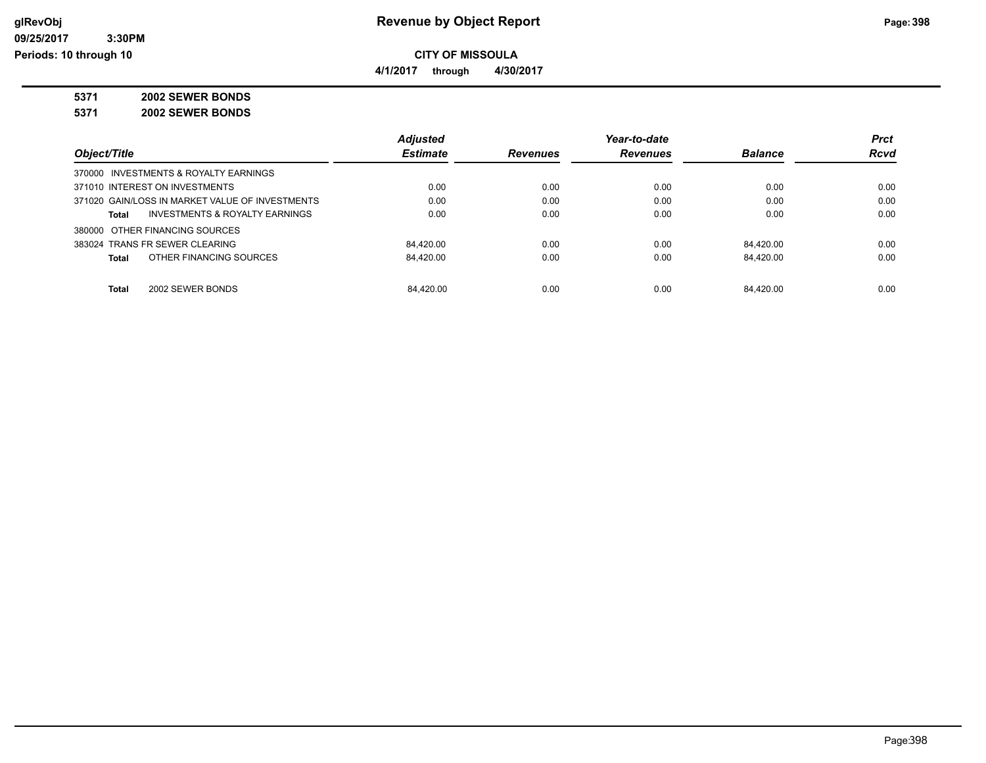**4/1/2017 through 4/30/2017**

**5371 2002 SEWER BONDS**

**5371 2002 SEWER BONDS**

|                                                 | <b>Adjusted</b> |                 | Year-to-date    |                | <b>Prct</b> |
|-------------------------------------------------|-----------------|-----------------|-----------------|----------------|-------------|
| Object/Title                                    | <b>Estimate</b> | <b>Revenues</b> | <b>Revenues</b> | <b>Balance</b> | <b>Rcvd</b> |
| 370000 INVESTMENTS & ROYALTY EARNINGS           |                 |                 |                 |                |             |
| 371010 INTEREST ON INVESTMENTS                  | 0.00            | 0.00            | 0.00            | 0.00           | 0.00        |
| 371020 GAIN/LOSS IN MARKET VALUE OF INVESTMENTS | 0.00            | 0.00            | 0.00            | 0.00           | 0.00        |
| INVESTMENTS & ROYALTY EARNINGS<br><b>Total</b>  | 0.00            | 0.00            | 0.00            | 0.00           | 0.00        |
| 380000 OTHER FINANCING SOURCES                  |                 |                 |                 |                |             |
| 383024 TRANS FR SEWER CLEARING                  | 84.420.00       | 0.00            | 0.00            | 84.420.00      | 0.00        |
| OTHER FINANCING SOURCES<br><b>Total</b>         | 84.420.00       | 0.00            | 0.00            | 84.420.00      | 0.00        |
|                                                 |                 |                 |                 |                |             |
| <b>Total</b><br>2002 SEWER BONDS                | 84.420.00       | 0.00            | 0.00            | 84.420.00      | 0.00        |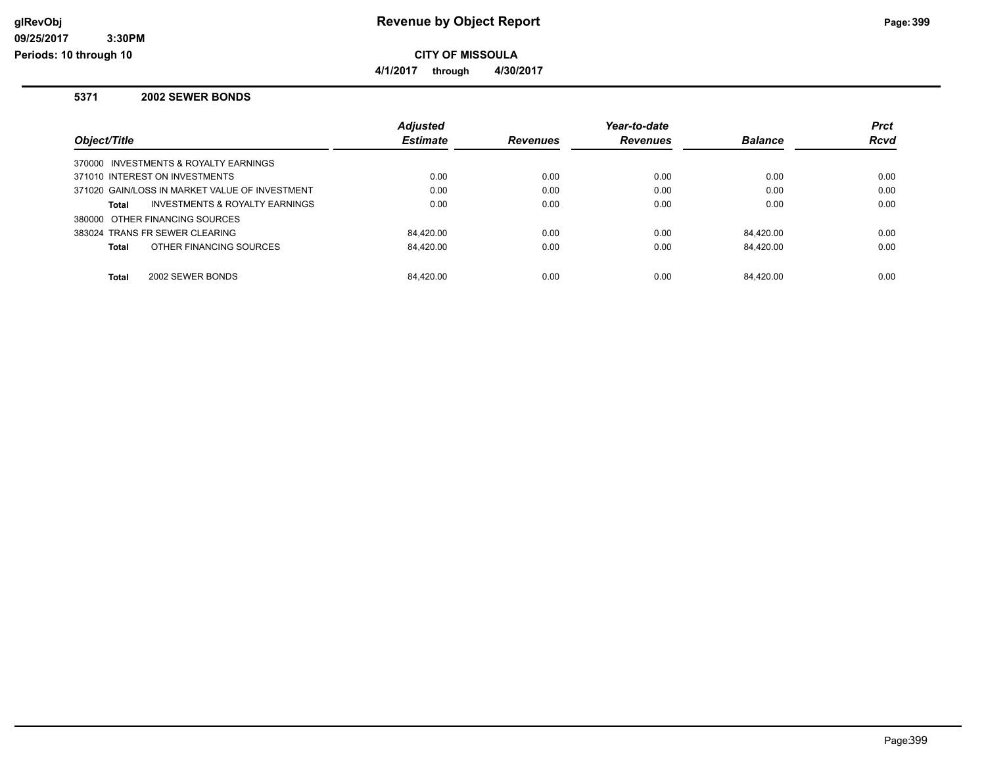**4/1/2017 through 4/30/2017**

### **5371 2002 SEWER BONDS**

|                                                    | <b>Adjusted</b> |                 | Year-to-date    |                | <b>Prct</b> |
|----------------------------------------------------|-----------------|-----------------|-----------------|----------------|-------------|
| Object/Title                                       | <b>Estimate</b> | <b>Revenues</b> | <b>Revenues</b> | <b>Balance</b> | <b>Rcvd</b> |
| 370000 INVESTMENTS & ROYALTY EARNINGS              |                 |                 |                 |                |             |
| 371010 INTEREST ON INVESTMENTS                     | 0.00            | 0.00            | 0.00            | 0.00           | 0.00        |
| 371020 GAIN/LOSS IN MARKET VALUE OF INVESTMENT     | 0.00            | 0.00            | 0.00            | 0.00           | 0.00        |
| <b>INVESTMENTS &amp; ROYALTY EARNINGS</b><br>Total | 0.00            | 0.00            | 0.00            | 0.00           | 0.00        |
| 380000 OTHER FINANCING SOURCES                     |                 |                 |                 |                |             |
| 383024 TRANS FR SEWER CLEARING                     | 84.420.00       | 0.00            | 0.00            | 84.420.00      | 0.00        |
| OTHER FINANCING SOURCES<br>Total                   | 84.420.00       | 0.00            | 0.00            | 84.420.00      | 0.00        |
|                                                    |                 |                 |                 |                |             |
| 2002 SEWER BONDS<br><b>Total</b>                   | 84.420.00       | 0.00            | 0.00            | 84.420.00      | 0.00        |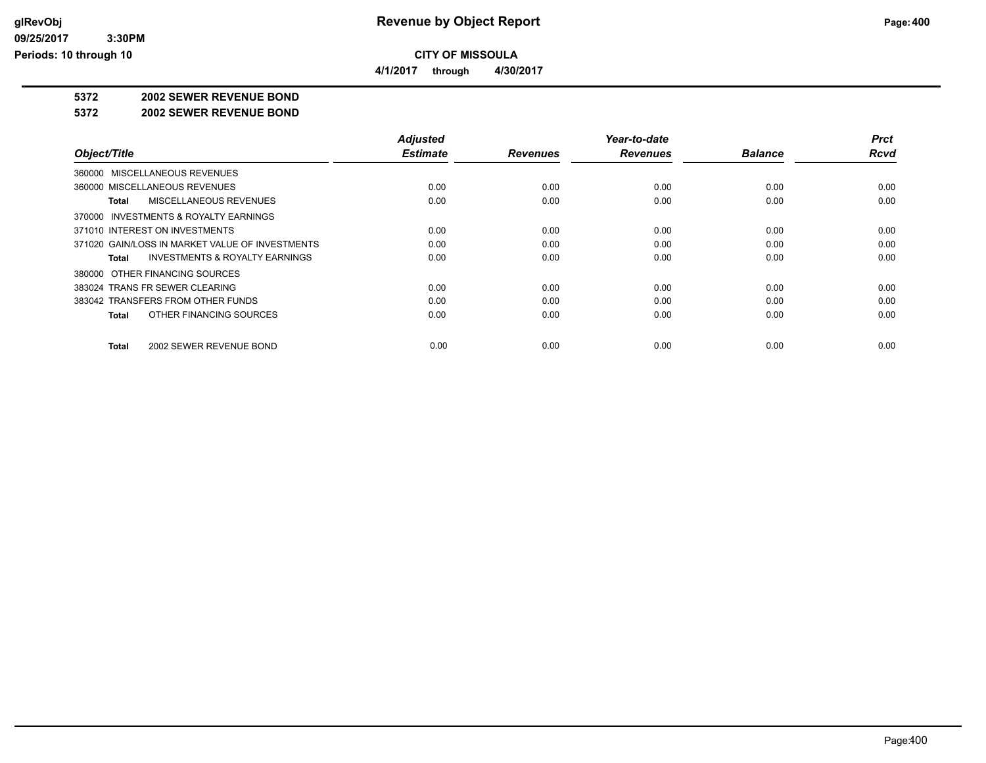**4/1/2017 through 4/30/2017**

### **5372 2002 SEWER REVENUE BOND**

# **5372 2002 SEWER REVENUE BOND**

|                                                    | <b>Adjusted</b> |                 | Year-to-date    |                | <b>Prct</b> |
|----------------------------------------------------|-----------------|-----------------|-----------------|----------------|-------------|
| Object/Title                                       | <b>Estimate</b> | <b>Revenues</b> | <b>Revenues</b> | <b>Balance</b> | <b>Rcvd</b> |
| 360000 MISCELLANEOUS REVENUES                      |                 |                 |                 |                |             |
| 360000 MISCELLANEOUS REVENUES                      | 0.00            | 0.00            | 0.00            | 0.00           | 0.00        |
| MISCELLANEOUS REVENUES<br>Total                    | 0.00            | 0.00            | 0.00            | 0.00           | 0.00        |
| 370000 INVESTMENTS & ROYALTY EARNINGS              |                 |                 |                 |                |             |
| 371010 INTEREST ON INVESTMENTS                     | 0.00            | 0.00            | 0.00            | 0.00           | 0.00        |
| 371020 GAIN/LOSS IN MARKET VALUE OF INVESTMENTS    | 0.00            | 0.00            | 0.00            | 0.00           | 0.00        |
| <b>INVESTMENTS &amp; ROYALTY EARNINGS</b><br>Total | 0.00            | 0.00            | 0.00            | 0.00           | 0.00        |
| 380000 OTHER FINANCING SOURCES                     |                 |                 |                 |                |             |
| 383024 TRANS FR SEWER CLEARING                     | 0.00            | 0.00            | 0.00            | 0.00           | 0.00        |
| 383042 TRANSFERS FROM OTHER FUNDS                  | 0.00            | 0.00            | 0.00            | 0.00           | 0.00        |
| OTHER FINANCING SOURCES<br>Total                   | 0.00            | 0.00            | 0.00            | 0.00           | 0.00        |
| 2002 SEWER REVENUE BOND<br>Total                   | 0.00            | 0.00            | 0.00            | 0.00           | 0.00        |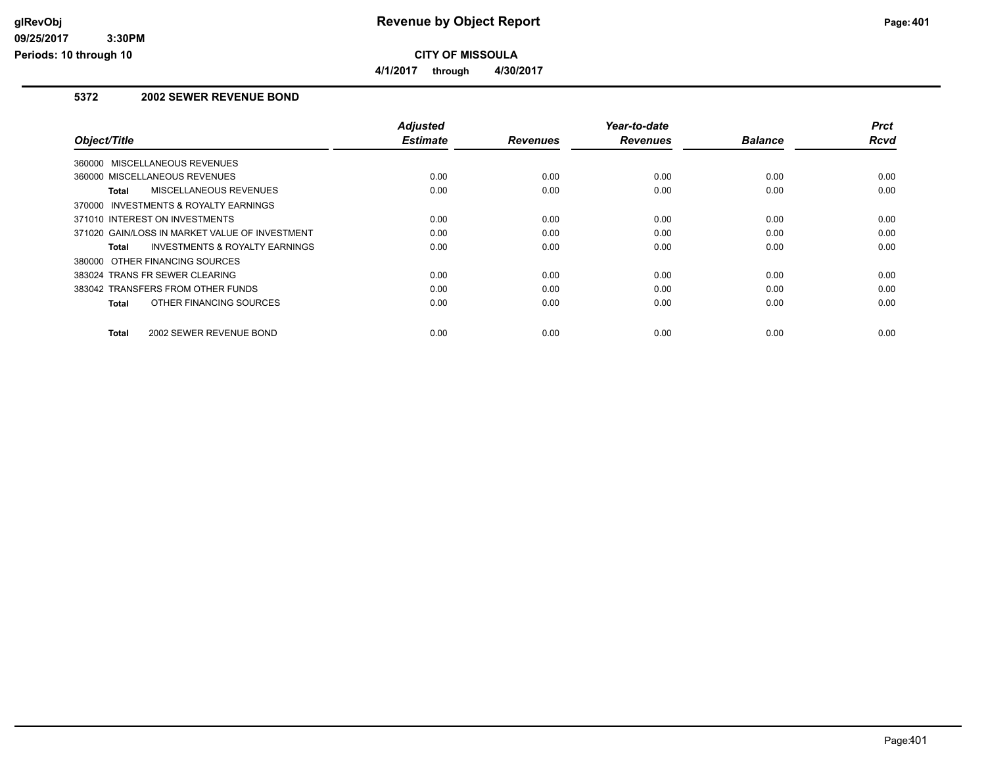**4/1/2017 through 4/30/2017**

# **5372 2002 SEWER REVENUE BOND**

| Object/Title                                       | <b>Adjusted</b><br><b>Estimate</b> | <b>Revenues</b> | Year-to-date<br><b>Revenues</b> | <b>Balance</b> | <b>Prct</b><br><b>Rcvd</b> |
|----------------------------------------------------|------------------------------------|-----------------|---------------------------------|----------------|----------------------------|
| 360000 MISCELLANEOUS REVENUES                      |                                    |                 |                                 |                |                            |
| 360000 MISCELLANEOUS REVENUES                      | 0.00                               | 0.00            | 0.00                            | 0.00           | 0.00                       |
| MISCELLANEOUS REVENUES<br><b>Total</b>             | 0.00                               | 0.00            | 0.00                            | 0.00           | 0.00                       |
| 370000 INVESTMENTS & ROYALTY EARNINGS              |                                    |                 |                                 |                |                            |
| 371010 INTEREST ON INVESTMENTS                     | 0.00                               | 0.00            | 0.00                            | 0.00           | 0.00                       |
| 371020 GAIN/LOSS IN MARKET VALUE OF INVESTMENT     | 0.00                               | 0.00            | 0.00                            | 0.00           | 0.00                       |
| <b>INVESTMENTS &amp; ROYALTY EARNINGS</b><br>Total | 0.00                               | 0.00            | 0.00                            | 0.00           | 0.00                       |
| 380000 OTHER FINANCING SOURCES                     |                                    |                 |                                 |                |                            |
| 383024 TRANS FR SEWER CLEARING                     | 0.00                               | 0.00            | 0.00                            | 0.00           | 0.00                       |
| 383042 TRANSFERS FROM OTHER FUNDS                  | 0.00                               | 0.00            | 0.00                            | 0.00           | 0.00                       |
| OTHER FINANCING SOURCES<br><b>Total</b>            | 0.00                               | 0.00            | 0.00                            | 0.00           | 0.00                       |
| 2002 SEWER REVENUE BOND<br><b>Total</b>            | 0.00                               | 0.00            | 0.00                            | 0.00           | 0.00                       |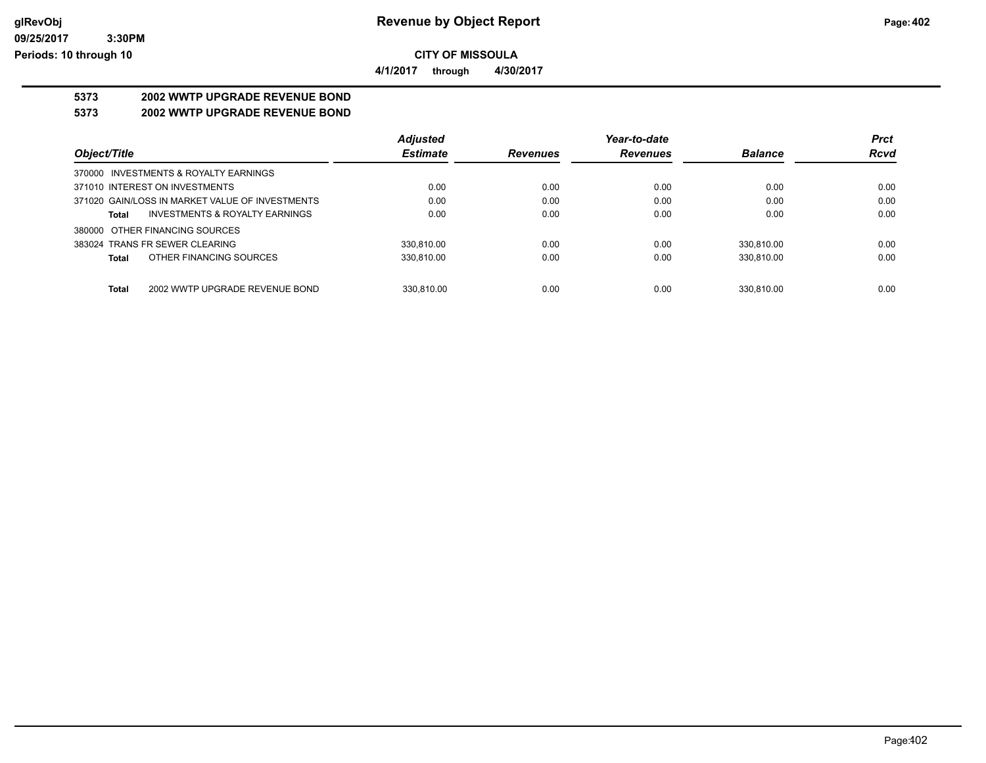**4/1/2017 through 4/30/2017**

# **5373 2002 WWTP UPGRADE REVENUE BOND**

# **5373 2002 WWTP UPGRADE REVENUE BOND**

|                                                    | <b>Adjusted</b> |                 | Year-to-date    |                | <b>Prct</b> |
|----------------------------------------------------|-----------------|-----------------|-----------------|----------------|-------------|
| Object/Title                                       | <b>Estimate</b> | <b>Revenues</b> | <b>Revenues</b> | <b>Balance</b> | <b>Rcvd</b> |
| 370000 INVESTMENTS & ROYALTY EARNINGS              |                 |                 |                 |                |             |
| 371010 INTEREST ON INVESTMENTS                     | 0.00            | 0.00            | 0.00            | 0.00           | 0.00        |
| 371020 GAIN/LOSS IN MARKET VALUE OF INVESTMENTS    | 0.00            | 0.00            | 0.00            | 0.00           | 0.00        |
| <b>INVESTMENTS &amp; ROYALTY EARNINGS</b><br>Total | 0.00            | 0.00            | 0.00            | 0.00           | 0.00        |
| 380000 OTHER FINANCING SOURCES                     |                 |                 |                 |                |             |
| 383024 TRANS FR SEWER CLEARING                     | 330.810.00      | 0.00            | 0.00            | 330.810.00     | 0.00        |
| OTHER FINANCING SOURCES<br>Total                   | 330.810.00      | 0.00            | 0.00            | 330.810.00     | 0.00        |
|                                                    |                 |                 |                 |                |             |
| 2002 WWTP UPGRADE REVENUE BOND<br>Total            | 330.810.00      | 0.00            | 0.00            | 330.810.00     | 0.00        |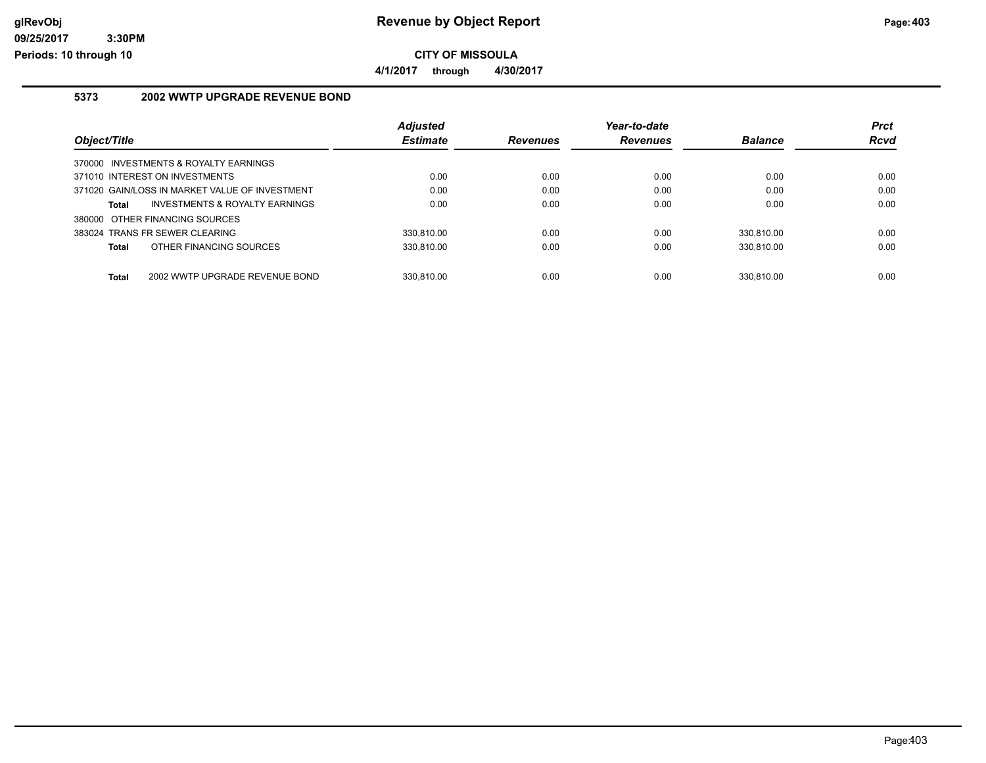**4/1/2017 through 4/30/2017**

# **5373 2002 WWTP UPGRADE REVENUE BOND**

|                                                    | <b>Adjusted</b> |                 | Year-to-date    |                | <b>Prct</b> |
|----------------------------------------------------|-----------------|-----------------|-----------------|----------------|-------------|
| Object/Title                                       | <b>Estimate</b> | <b>Revenues</b> | <b>Revenues</b> | <b>Balance</b> | <b>Rcvd</b> |
| 370000 INVESTMENTS & ROYALTY EARNINGS              |                 |                 |                 |                |             |
| 371010 INTEREST ON INVESTMENTS                     | 0.00            | 0.00            | 0.00            | 0.00           | 0.00        |
| 371020 GAIN/LOSS IN MARKET VALUE OF INVESTMENT     | 0.00            | 0.00            | 0.00            | 0.00           | 0.00        |
| <b>INVESTMENTS &amp; ROYALTY EARNINGS</b><br>Total | 0.00            | 0.00            | 0.00            | 0.00           | 0.00        |
| 380000 OTHER FINANCING SOURCES                     |                 |                 |                 |                |             |
| 383024 TRANS FR SEWER CLEARING                     | 330.810.00      | 0.00            | 0.00            | 330.810.00     | 0.00        |
| OTHER FINANCING SOURCES<br>Total                   | 330.810.00      | 0.00            | 0.00            | 330.810.00     | 0.00        |
|                                                    |                 |                 |                 |                |             |
| <b>Total</b><br>2002 WWTP UPGRADE REVENUE BOND     | 330.810.00      | 0.00            | 0.00            | 330.810.00     | 0.00        |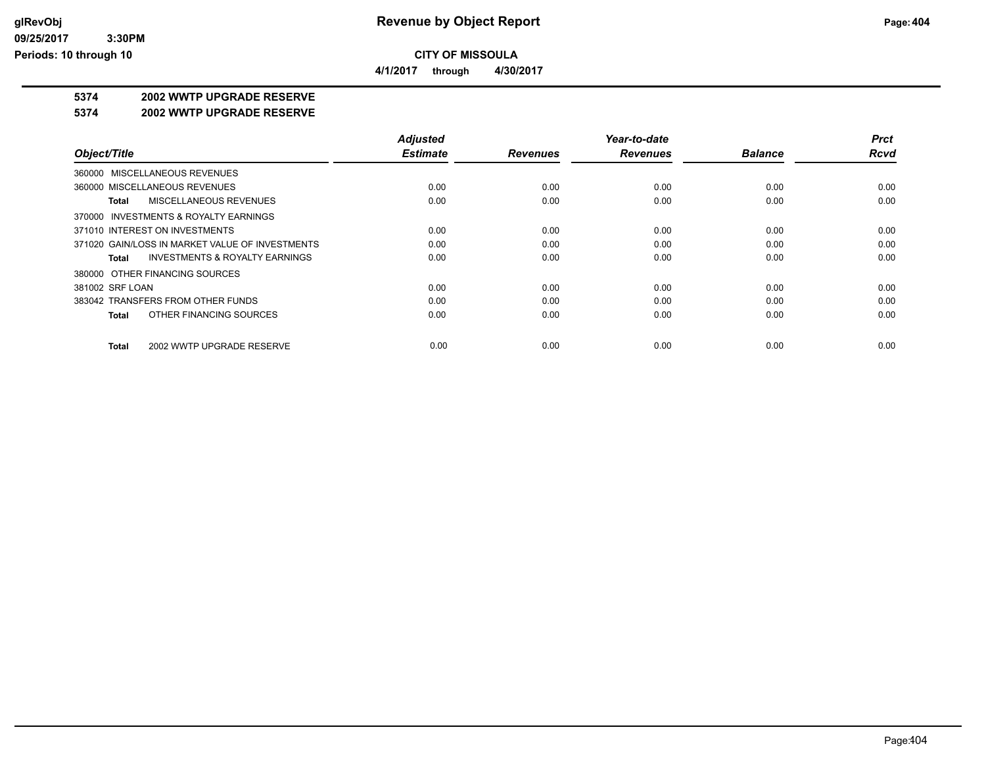**4/1/2017 through 4/30/2017**

## **5374 2002 WWTP UPGRADE RESERVE**

### **5374 2002 WWTP UPGRADE RESERVE**

|                                                    | <b>Adjusted</b> |                 | Year-to-date    |                | <b>Prct</b> |
|----------------------------------------------------|-----------------|-----------------|-----------------|----------------|-------------|
| Object/Title                                       | <b>Estimate</b> | <b>Revenues</b> | <b>Revenues</b> | <b>Balance</b> | <b>Rcvd</b> |
| 360000 MISCELLANEOUS REVENUES                      |                 |                 |                 |                |             |
| 360000 MISCELLANEOUS REVENUES                      | 0.00            | 0.00            | 0.00            | 0.00           | 0.00        |
| <b>MISCELLANEOUS REVENUES</b><br>Total             | 0.00            | 0.00            | 0.00            | 0.00           | 0.00        |
| 370000 INVESTMENTS & ROYALTY EARNINGS              |                 |                 |                 |                |             |
| 371010 INTEREST ON INVESTMENTS                     | 0.00            | 0.00            | 0.00            | 0.00           | 0.00        |
| 371020 GAIN/LOSS IN MARKET VALUE OF INVESTMENTS    | 0.00            | 0.00            | 0.00            | 0.00           | 0.00        |
| <b>INVESTMENTS &amp; ROYALTY EARNINGS</b><br>Total | 0.00            | 0.00            | 0.00            | 0.00           | 0.00        |
| 380000 OTHER FINANCING SOURCES                     |                 |                 |                 |                |             |
| 381002 SRF LOAN                                    | 0.00            | 0.00            | 0.00            | 0.00           | 0.00        |
| 383042 TRANSFERS FROM OTHER FUNDS                  | 0.00            | 0.00            | 0.00            | 0.00           | 0.00        |
| OTHER FINANCING SOURCES<br>Total                   | 0.00            | 0.00            | 0.00            | 0.00           | 0.00        |
| 2002 WWTP UPGRADE RESERVE<br>Total                 | 0.00            | 0.00            | 0.00            | 0.00           | 0.00        |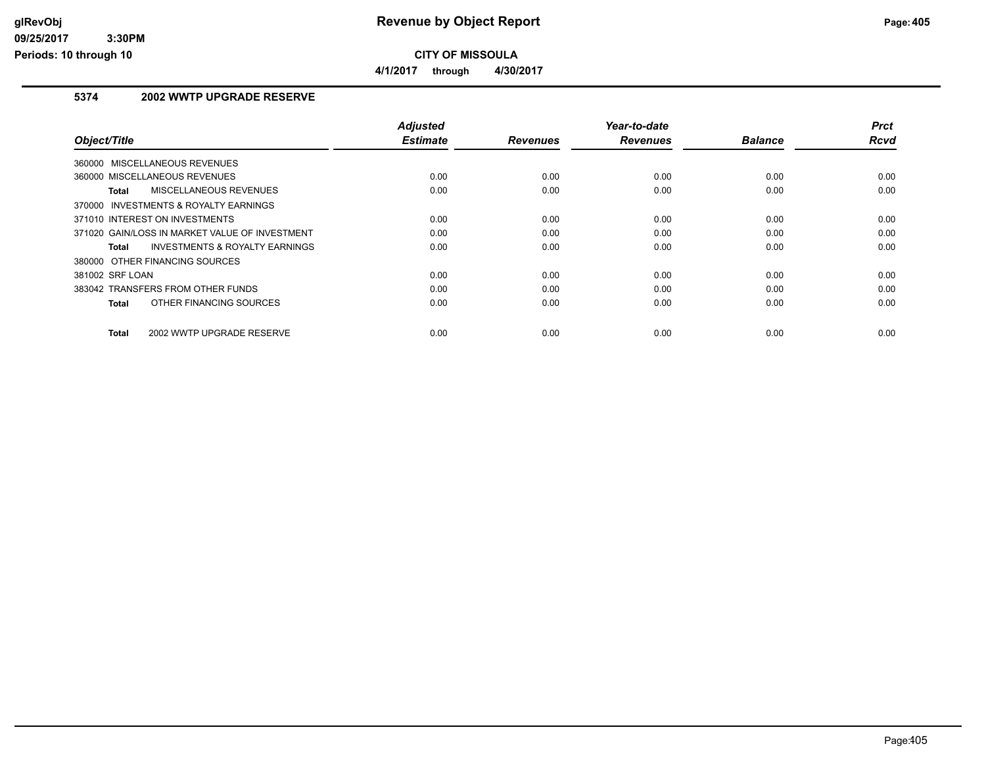**4/1/2017 through 4/30/2017**

# **5374 2002 WWTP UPGRADE RESERVE**

| Object/Title                                              | <b>Adjusted</b><br><b>Estimate</b> | <b>Revenues</b> | Year-to-date<br><b>Revenues</b> | <b>Balance</b> | <b>Prct</b><br>Rcvd |
|-----------------------------------------------------------|------------------------------------|-----------------|---------------------------------|----------------|---------------------|
| 360000 MISCELLANEOUS REVENUES                             |                                    |                 |                                 |                |                     |
| 360000 MISCELLANEOUS REVENUES                             | 0.00                               | 0.00            | 0.00                            | 0.00           | 0.00                |
| MISCELLANEOUS REVENUES<br><b>Total</b>                    | 0.00                               | 0.00            | 0.00                            | 0.00           | 0.00                |
| 370000 INVESTMENTS & ROYALTY EARNINGS                     |                                    |                 |                                 |                |                     |
| 371010 INTEREST ON INVESTMENTS                            | 0.00                               | 0.00            | 0.00                            | 0.00           | 0.00                |
| 371020 GAIN/LOSS IN MARKET VALUE OF INVESTMENT            | 0.00                               | 0.00            | 0.00                            | 0.00           | 0.00                |
| <b>INVESTMENTS &amp; ROYALTY EARNINGS</b><br><b>Total</b> | 0.00                               | 0.00            | 0.00                            | 0.00           | 0.00                |
| 380000 OTHER FINANCING SOURCES                            |                                    |                 |                                 |                |                     |
| 381002 SRF LOAN                                           | 0.00                               | 0.00            | 0.00                            | 0.00           | 0.00                |
| 383042 TRANSFERS FROM OTHER FUNDS                         | 0.00                               | 0.00            | 0.00                            | 0.00           | 0.00                |
| OTHER FINANCING SOURCES<br><b>Total</b>                   | 0.00                               | 0.00            | 0.00                            | 0.00           | 0.00                |
| 2002 WWTP UPGRADE RESERVE<br><b>Total</b>                 | 0.00                               | 0.00            | 0.00                            | 0.00           | 0.00                |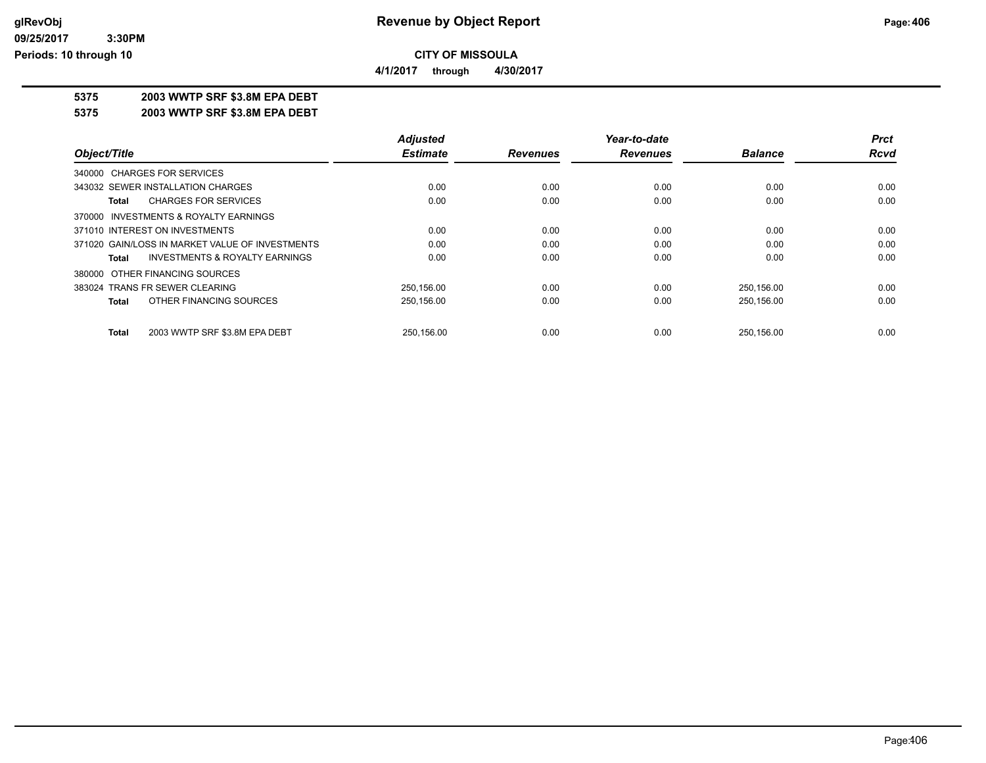**4/1/2017 through 4/30/2017**

**5375 2003 WWTP SRF \$3.8M EPA DEBT**

**5375 2003 WWTP SRF \$3.8M EPA DEBT**

|                                                    | <b>Adjusted</b> |                 | Year-to-date    |                | <b>Prct</b> |
|----------------------------------------------------|-----------------|-----------------|-----------------|----------------|-------------|
| Object/Title                                       | <b>Estimate</b> | <b>Revenues</b> | <b>Revenues</b> | <b>Balance</b> | <b>Rcvd</b> |
| 340000 CHARGES FOR SERVICES                        |                 |                 |                 |                |             |
| 343032 SEWER INSTALLATION CHARGES                  | 0.00            | 0.00            | 0.00            | 0.00           | 0.00        |
| <b>CHARGES FOR SERVICES</b><br>Total               | 0.00            | 0.00            | 0.00            | 0.00           | 0.00        |
| 370000 INVESTMENTS & ROYALTY EARNINGS              |                 |                 |                 |                |             |
| 371010 INTEREST ON INVESTMENTS                     | 0.00            | 0.00            | 0.00            | 0.00           | 0.00        |
| 371020 GAIN/LOSS IN MARKET VALUE OF INVESTMENTS    | 0.00            | 0.00            | 0.00            | 0.00           | 0.00        |
| <b>INVESTMENTS &amp; ROYALTY EARNINGS</b><br>Total | 0.00            | 0.00            | 0.00            | 0.00           | 0.00        |
| 380000 OTHER FINANCING SOURCES                     |                 |                 |                 |                |             |
| 383024 TRANS FR SEWER CLEARING                     | 250.156.00      | 0.00            | 0.00            | 250.156.00     | 0.00        |
| OTHER FINANCING SOURCES<br>Total                   | 250,156.00      | 0.00            | 0.00            | 250,156.00     | 0.00        |
| 2003 WWTP SRF \$3.8M EPA DEBT<br>Total             | 250.156.00      | 0.00            | 0.00            | 250.156.00     | 0.00        |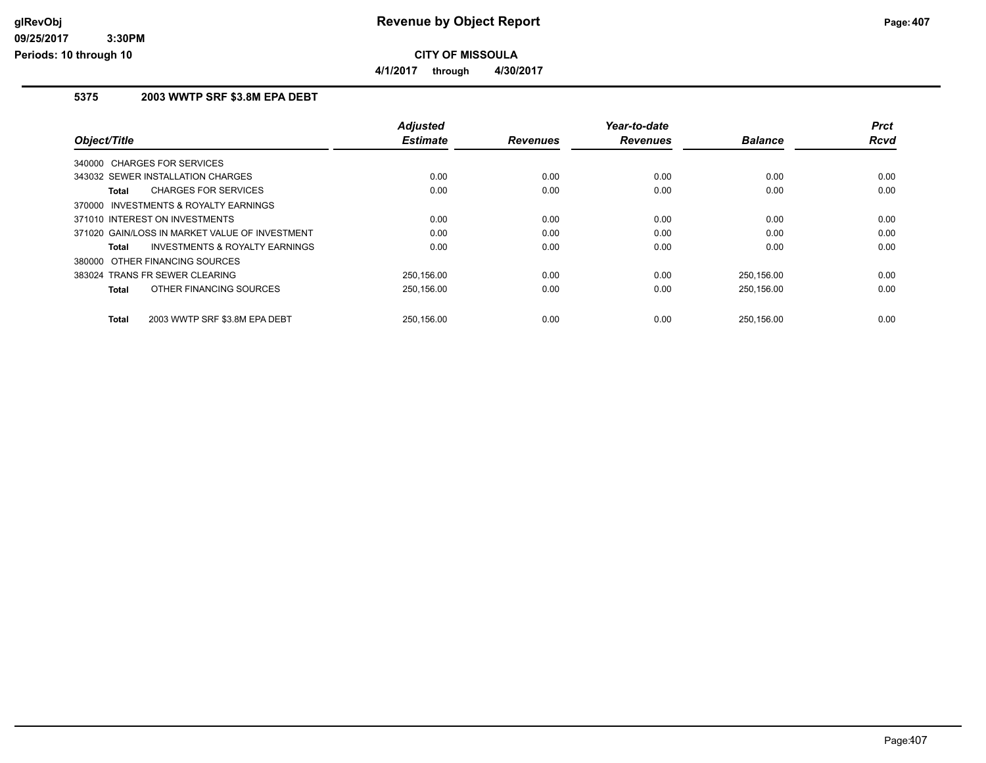**4/1/2017 through 4/30/2017**

# **5375 2003 WWTP SRF \$3.8M EPA DEBT**

| Object/Title                                       | <b>Adjusted</b><br><b>Estimate</b> | <b>Revenues</b> | Year-to-date<br><b>Revenues</b> | <b>Balance</b> | <b>Prct</b><br><b>Rcvd</b> |
|----------------------------------------------------|------------------------------------|-----------------|---------------------------------|----------------|----------------------------|
|                                                    |                                    |                 |                                 |                |                            |
| 340000 CHARGES FOR SERVICES                        |                                    |                 |                                 |                |                            |
| 343032 SEWER INSTALLATION CHARGES                  | 0.00                               | 0.00            | 0.00                            | 0.00           | 0.00                       |
| <b>CHARGES FOR SERVICES</b><br>Total               | 0.00                               | 0.00            | 0.00                            | 0.00           | 0.00                       |
| 370000 INVESTMENTS & ROYALTY EARNINGS              |                                    |                 |                                 |                |                            |
| 371010 INTEREST ON INVESTMENTS                     | 0.00                               | 0.00            | 0.00                            | 0.00           | 0.00                       |
| 371020 GAIN/LOSS IN MARKET VALUE OF INVESTMENT     | 0.00                               | 0.00            | 0.00                            | 0.00           | 0.00                       |
| <b>INVESTMENTS &amp; ROYALTY EARNINGS</b><br>Total | 0.00                               | 0.00            | 0.00                            | 0.00           | 0.00                       |
| OTHER FINANCING SOURCES<br>380000                  |                                    |                 |                                 |                |                            |
| 383024 TRANS FR SEWER CLEARING                     | 250.156.00                         | 0.00            | 0.00                            | 250.156.00     | 0.00                       |
| OTHER FINANCING SOURCES<br>Total                   | 250,156.00                         | 0.00            | 0.00                            | 250,156.00     | 0.00                       |
| 2003 WWTP SRF \$3.8M EPA DEBT<br><b>Total</b>      | 250.156.00                         | 0.00            | 0.00                            | 250.156.00     | 0.00                       |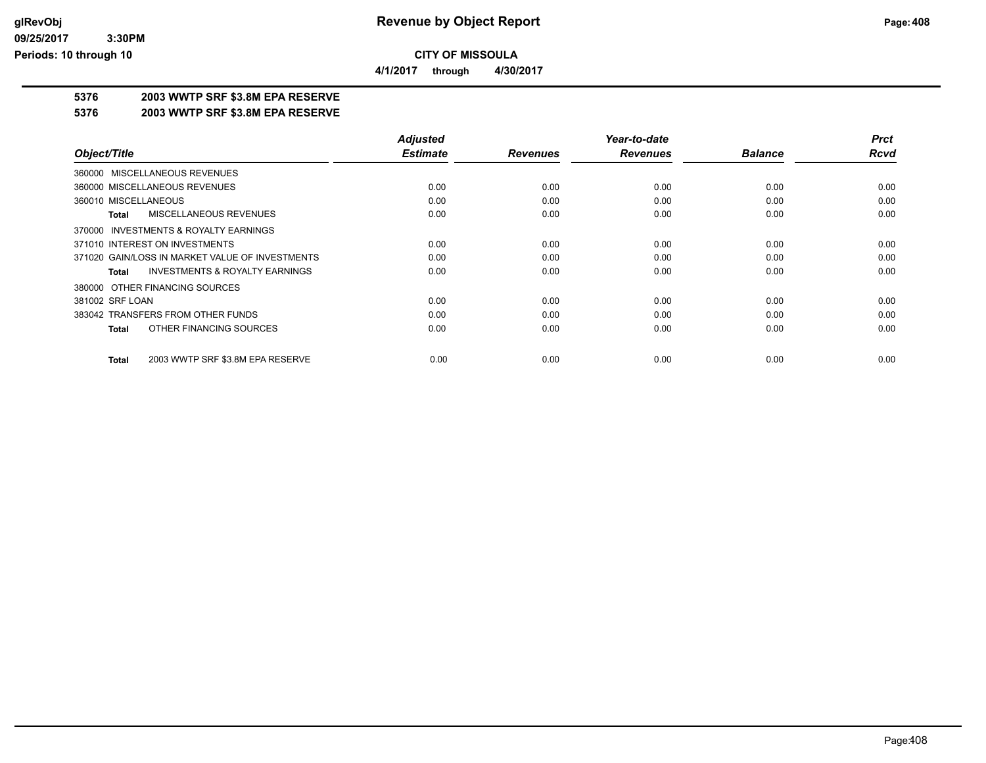**4/1/2017 through 4/30/2017**

# **5376 2003 WWTP SRF \$3.8M EPA RESERVE**

## **5376 2003 WWTP SRF \$3.8M EPA RESERVE**

|                                                    | <b>Adjusted</b> |                 | Year-to-date    |                | <b>Prct</b> |
|----------------------------------------------------|-----------------|-----------------|-----------------|----------------|-------------|
| Object/Title                                       | <b>Estimate</b> | <b>Revenues</b> | <b>Revenues</b> | <b>Balance</b> | <b>Rcvd</b> |
| 360000 MISCELLANEOUS REVENUES                      |                 |                 |                 |                |             |
| 360000 MISCELLANEOUS REVENUES                      | 0.00            | 0.00            | 0.00            | 0.00           | 0.00        |
| 360010 MISCELLANEOUS                               | 0.00            | 0.00            | 0.00            | 0.00           | 0.00        |
| MISCELLANEOUS REVENUES<br>Total                    | 0.00            | 0.00            | 0.00            | 0.00           | 0.00        |
| 370000 INVESTMENTS & ROYALTY EARNINGS              |                 |                 |                 |                |             |
| 371010 INTEREST ON INVESTMENTS                     | 0.00            | 0.00            | 0.00            | 0.00           | 0.00        |
| 371020 GAIN/LOSS IN MARKET VALUE OF INVESTMENTS    | 0.00            | 0.00            | 0.00            | 0.00           | 0.00        |
| <b>INVESTMENTS &amp; ROYALTY EARNINGS</b><br>Total | 0.00            | 0.00            | 0.00            | 0.00           | 0.00        |
| 380000 OTHER FINANCING SOURCES                     |                 |                 |                 |                |             |
| 381002 SRF LOAN                                    | 0.00            | 0.00            | 0.00            | 0.00           | 0.00        |
| 383042 TRANSFERS FROM OTHER FUNDS                  | 0.00            | 0.00            | 0.00            | 0.00           | 0.00        |
| OTHER FINANCING SOURCES<br>Total                   | 0.00            | 0.00            | 0.00            | 0.00           | 0.00        |
| 2003 WWTP SRF \$3.8M EPA RESERVE<br>Total          | 0.00            | 0.00            | 0.00            | 0.00           | 0.00        |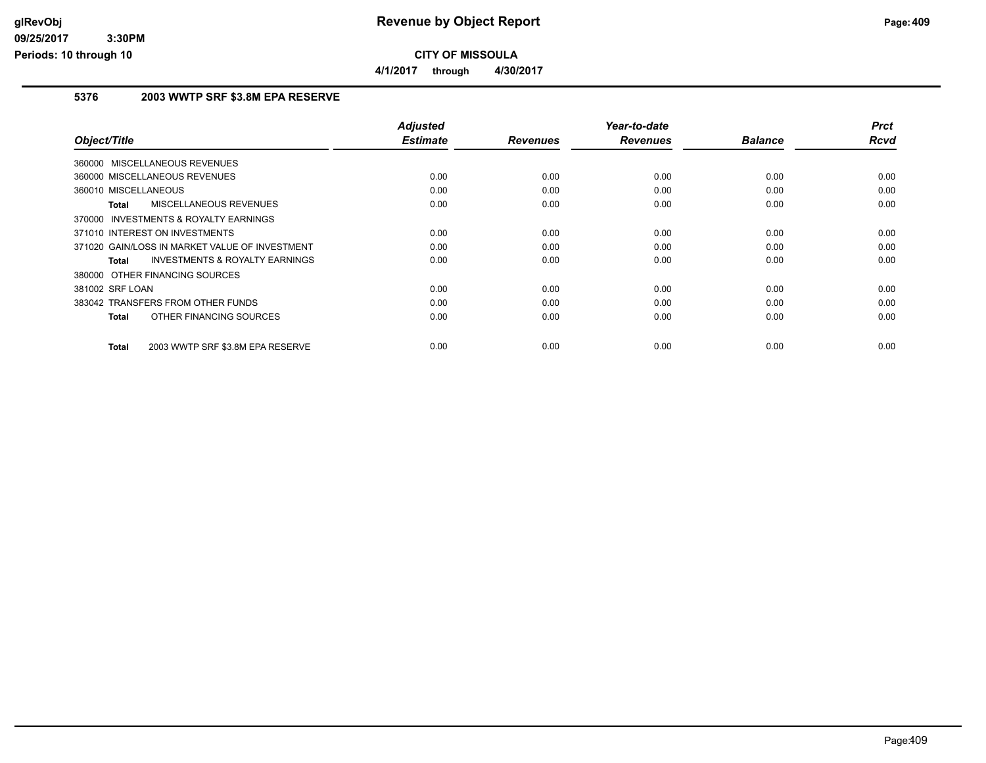**4/1/2017 through 4/30/2017**

# **5376 2003 WWTP SRF \$3.8M EPA RESERVE**

| <b>Adjusted</b><br><b>Estimate</b> | <b>Revenues</b> | Year-to-date<br><b>Revenues</b> | <b>Balance</b> | <b>Prct</b><br><b>Rcvd</b> |
|------------------------------------|-----------------|---------------------------------|----------------|----------------------------|
|                                    |                 |                                 |                |                            |
| 0.00                               | 0.00            | 0.00                            | 0.00           | 0.00                       |
| 0.00                               | 0.00            | 0.00                            | 0.00           | 0.00                       |
| 0.00                               | 0.00            | 0.00                            | 0.00           | 0.00                       |
|                                    |                 |                                 |                |                            |
| 0.00                               | 0.00            | 0.00                            | 0.00           | 0.00                       |
| 0.00                               | 0.00            | 0.00                            | 0.00           | 0.00                       |
| 0.00                               | 0.00            | 0.00                            | 0.00           | 0.00                       |
|                                    |                 |                                 |                |                            |
| 0.00                               | 0.00            | 0.00                            | 0.00           | 0.00                       |
| 0.00                               | 0.00            | 0.00                            | 0.00           | 0.00                       |
| 0.00                               | 0.00            | 0.00                            | 0.00           | 0.00                       |
|                                    |                 |                                 |                | 0.00                       |
|                                    | 0.00            | 0.00                            | 0.00           | 0.00                       |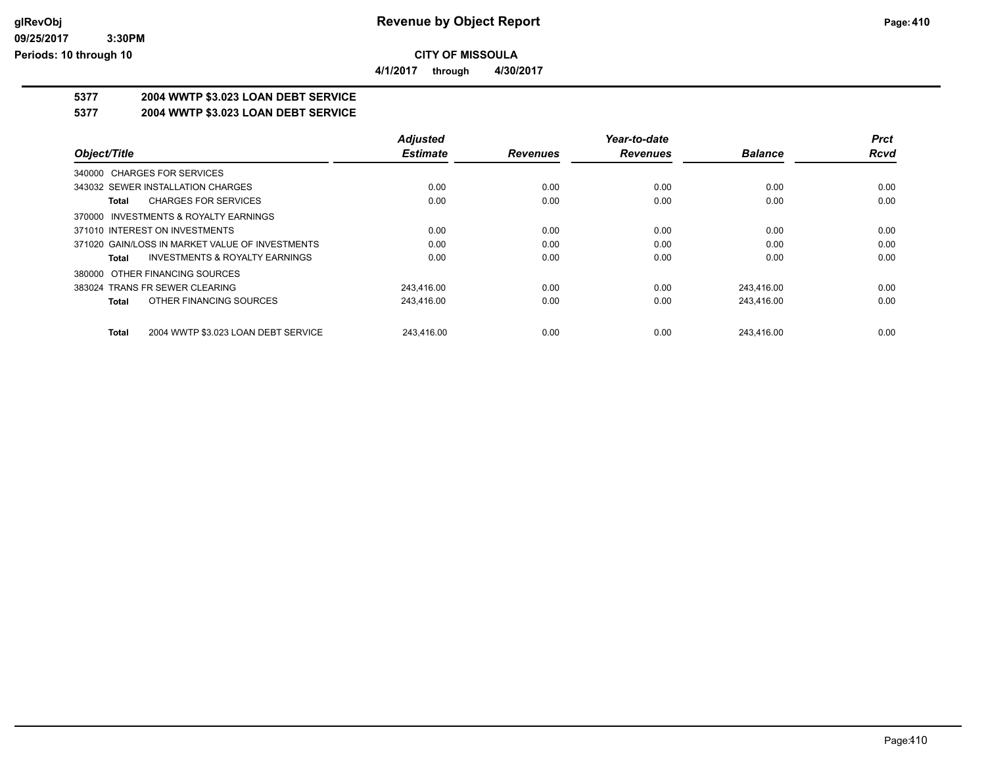**4/1/2017 through 4/30/2017**

# **5377 2004 WWTP \$3.023 LOAN DEBT SERVICE**

# **5377 2004 WWTP \$3.023 LOAN DEBT SERVICE**

|                                                    | <b>Adjusted</b> |                 | Year-to-date    |                | <b>Prct</b> |
|----------------------------------------------------|-----------------|-----------------|-----------------|----------------|-------------|
| Object/Title                                       | <b>Estimate</b> | <b>Revenues</b> | <b>Revenues</b> | <b>Balance</b> | <b>Rcvd</b> |
| 340000 CHARGES FOR SERVICES                        |                 |                 |                 |                |             |
| 343032 SEWER INSTALLATION CHARGES                  | 0.00            | 0.00            | 0.00            | 0.00           | 0.00        |
| <b>CHARGES FOR SERVICES</b><br>Total               | 0.00            | 0.00            | 0.00            | 0.00           | 0.00        |
| 370000 INVESTMENTS & ROYALTY EARNINGS              |                 |                 |                 |                |             |
| 371010 INTEREST ON INVESTMENTS                     | 0.00            | 0.00            | 0.00            | 0.00           | 0.00        |
| 371020 GAIN/LOSS IN MARKET VALUE OF INVESTMENTS    | 0.00            | 0.00            | 0.00            | 0.00           | 0.00        |
| <b>INVESTMENTS &amp; ROYALTY EARNINGS</b><br>Total | 0.00            | 0.00            | 0.00            | 0.00           | 0.00        |
| OTHER FINANCING SOURCES<br>380000                  |                 |                 |                 |                |             |
| 383024 TRANS FR SEWER CLEARING                     | 243.416.00      | 0.00            | 0.00            | 243.416.00     | 0.00        |
| OTHER FINANCING SOURCES<br>Total                   | 243.416.00      | 0.00            | 0.00            | 243.416.00     | 0.00        |
| 2004 WWTP \$3.023 LOAN DEBT SERVICE<br>Total       | 243.416.00      | 0.00            | 0.00            | 243.416.00     | 0.00        |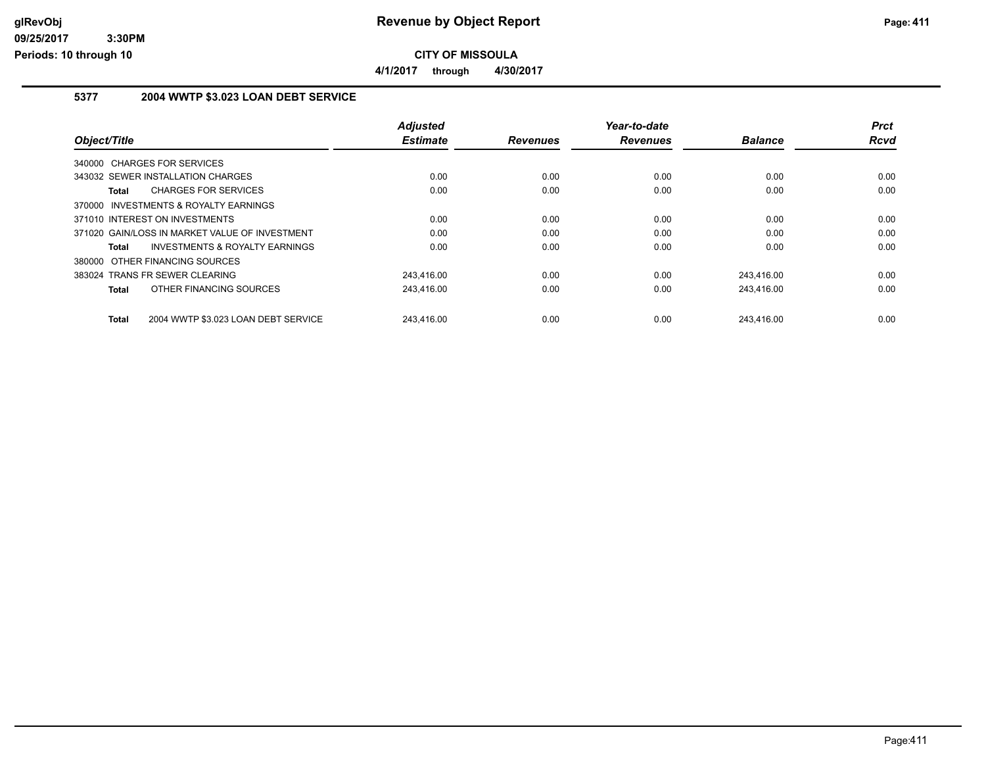**4/1/2017 through 4/30/2017**

# **5377 2004 WWTP \$3.023 LOAN DEBT SERVICE**

| Object/Title                                              | <b>Adjusted</b><br><b>Estimate</b> | <b>Revenues</b> | Year-to-date<br><b>Revenues</b> | <b>Balance</b> | <b>Prct</b><br><b>Rcvd</b> |
|-----------------------------------------------------------|------------------------------------|-----------------|---------------------------------|----------------|----------------------------|
| 340000 CHARGES FOR SERVICES                               |                                    |                 |                                 |                |                            |
| 343032 SEWER INSTALLATION CHARGES                         | 0.00                               | 0.00            | 0.00                            | 0.00           | 0.00                       |
| <b>CHARGES FOR SERVICES</b><br>Total                      | 0.00                               | 0.00            | 0.00                            | 0.00           | 0.00                       |
| 370000 INVESTMENTS & ROYALTY EARNINGS                     |                                    |                 |                                 |                |                            |
| 371010 INTEREST ON INVESTMENTS                            | 0.00                               | 0.00            | 0.00                            | 0.00           | 0.00                       |
| 371020 GAIN/LOSS IN MARKET VALUE OF INVESTMENT            | 0.00                               | 0.00            | 0.00                            | 0.00           | 0.00                       |
| <b>INVESTMENTS &amp; ROYALTY EARNINGS</b><br><b>Total</b> | 0.00                               | 0.00            | 0.00                            | 0.00           | 0.00                       |
| 380000 OTHER FINANCING SOURCES                            |                                    |                 |                                 |                |                            |
| 383024 TRANS FR SEWER CLEARING                            | 243.416.00                         | 0.00            | 0.00                            | 243.416.00     | 0.00                       |
| OTHER FINANCING SOURCES<br>Total                          | 243,416.00                         | 0.00            | 0.00                            | 243.416.00     | 0.00                       |
| <b>Total</b><br>2004 WWTP \$3.023 LOAN DEBT SERVICE       | 243.416.00                         | 0.00            | 0.00                            | 243.416.00     | 0.00                       |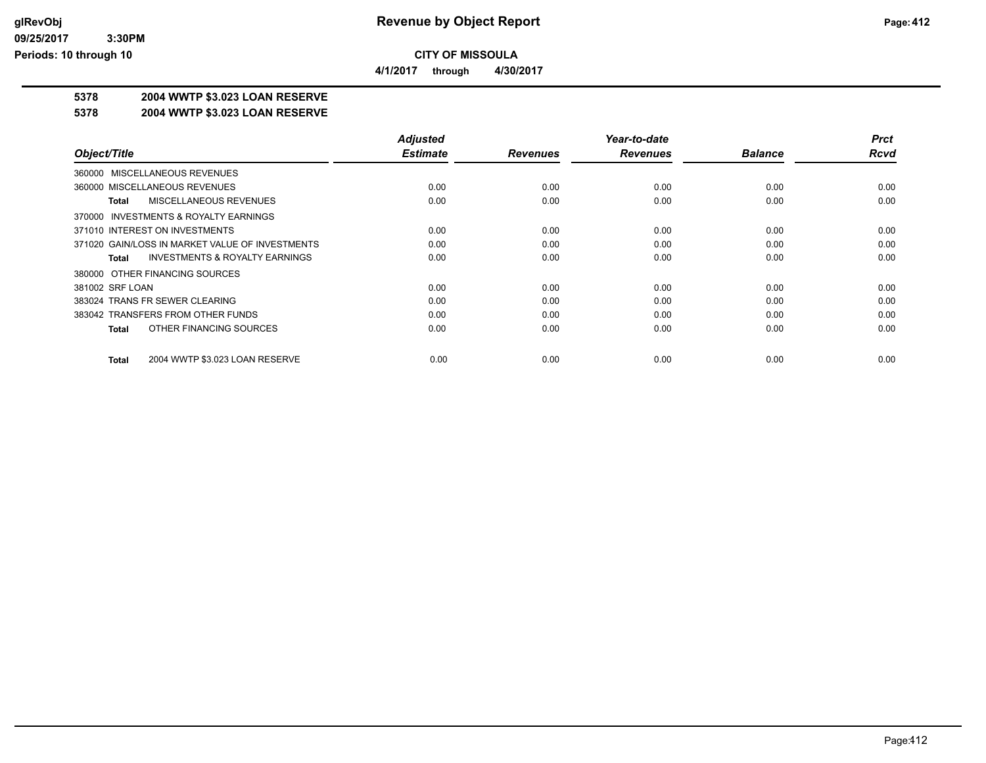**4/1/2017 through 4/30/2017**

# **5378 2004 WWTP \$3.023 LOAN RESERVE**

### **5378 2004 WWTP \$3.023 LOAN RESERVE**

|                                                    | <b>Adjusted</b> |                 | Year-to-date    |                | <b>Prct</b> |
|----------------------------------------------------|-----------------|-----------------|-----------------|----------------|-------------|
| Object/Title                                       | <b>Estimate</b> | <b>Revenues</b> | <b>Revenues</b> | <b>Balance</b> | <b>Rcvd</b> |
| 360000 MISCELLANEOUS REVENUES                      |                 |                 |                 |                |             |
| 360000 MISCELLANEOUS REVENUES                      | 0.00            | 0.00            | 0.00            | 0.00           | 0.00        |
| MISCELLANEOUS REVENUES<br>Total                    | 0.00            | 0.00            | 0.00            | 0.00           | 0.00        |
| 370000 INVESTMENTS & ROYALTY EARNINGS              |                 |                 |                 |                |             |
| 371010 INTEREST ON INVESTMENTS                     | 0.00            | 0.00            | 0.00            | 0.00           | 0.00        |
| 371020 GAIN/LOSS IN MARKET VALUE OF INVESTMENTS    | 0.00            | 0.00            | 0.00            | 0.00           | 0.00        |
| <b>INVESTMENTS &amp; ROYALTY EARNINGS</b><br>Total | 0.00            | 0.00            | 0.00            | 0.00           | 0.00        |
| 380000 OTHER FINANCING SOURCES                     |                 |                 |                 |                |             |
| 381002 SRF LOAN                                    | 0.00            | 0.00            | 0.00            | 0.00           | 0.00        |
| 383024 TRANS FR SEWER CLEARING                     | 0.00            | 0.00            | 0.00            | 0.00           | 0.00        |
| 383042 TRANSFERS FROM OTHER FUNDS                  | 0.00            | 0.00            | 0.00            | 0.00           | 0.00        |
| OTHER FINANCING SOURCES<br>Total                   | 0.00            | 0.00            | 0.00            | 0.00           | 0.00        |
| 2004 WWTP \$3.023 LOAN RESERVE<br>Total            | 0.00            | 0.00            | 0.00            | 0.00           | 0.00        |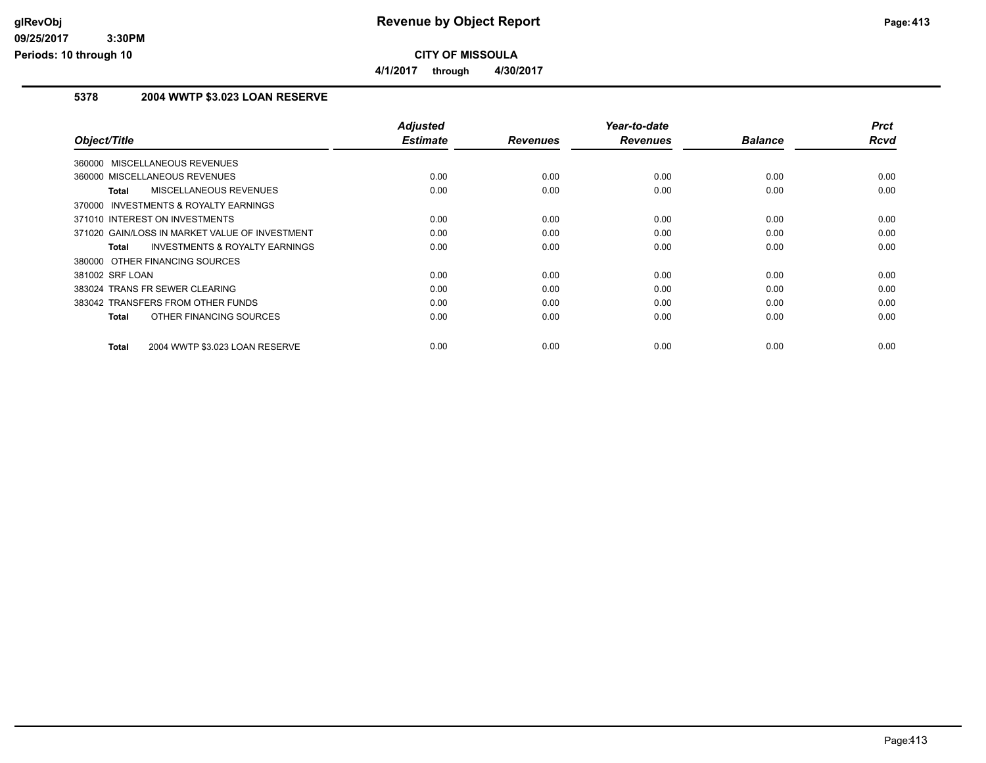**4/1/2017 through 4/30/2017**

# **5378 2004 WWTP \$3.023 LOAN RESERVE**

|                                                    | <b>Adjusted</b> |                 | Year-to-date    |                | <b>Prct</b> |
|----------------------------------------------------|-----------------|-----------------|-----------------|----------------|-------------|
| Object/Title                                       | <b>Estimate</b> | <b>Revenues</b> | <b>Revenues</b> | <b>Balance</b> | <b>Rcvd</b> |
| <b>MISCELLANEOUS REVENUES</b><br>360000            |                 |                 |                 |                |             |
| 360000 MISCELLANEOUS REVENUES                      | 0.00            | 0.00            | 0.00            | 0.00           | 0.00        |
| MISCELLANEOUS REVENUES<br><b>Total</b>             | 0.00            | 0.00            | 0.00            | 0.00           | 0.00        |
| INVESTMENTS & ROYALTY EARNINGS<br>370000           |                 |                 |                 |                |             |
| 371010 INTEREST ON INVESTMENTS                     | 0.00            | 0.00            | 0.00            | 0.00           | 0.00        |
| 371020 GAIN/LOSS IN MARKET VALUE OF INVESTMENT     | 0.00            | 0.00            | 0.00            | 0.00           | 0.00        |
| <b>INVESTMENTS &amp; ROYALTY EARNINGS</b><br>Total | 0.00            | 0.00            | 0.00            | 0.00           | 0.00        |
| 380000 OTHER FINANCING SOURCES                     |                 |                 |                 |                |             |
| 381002 SRF LOAN                                    | 0.00            | 0.00            | 0.00            | 0.00           | 0.00        |
| 383024 TRANS FR SEWER CLEARING                     | 0.00            | 0.00            | 0.00            | 0.00           | 0.00        |
| 383042 TRANSFERS FROM OTHER FUNDS                  | 0.00            | 0.00            | 0.00            | 0.00           | 0.00        |
| OTHER FINANCING SOURCES<br><b>Total</b>            | 0.00            | 0.00            | 0.00            | 0.00           | 0.00        |
| 2004 WWTP \$3.023 LOAN RESERVE<br><b>Total</b>     | 0.00            | 0.00            | 0.00            | 0.00           | 0.00        |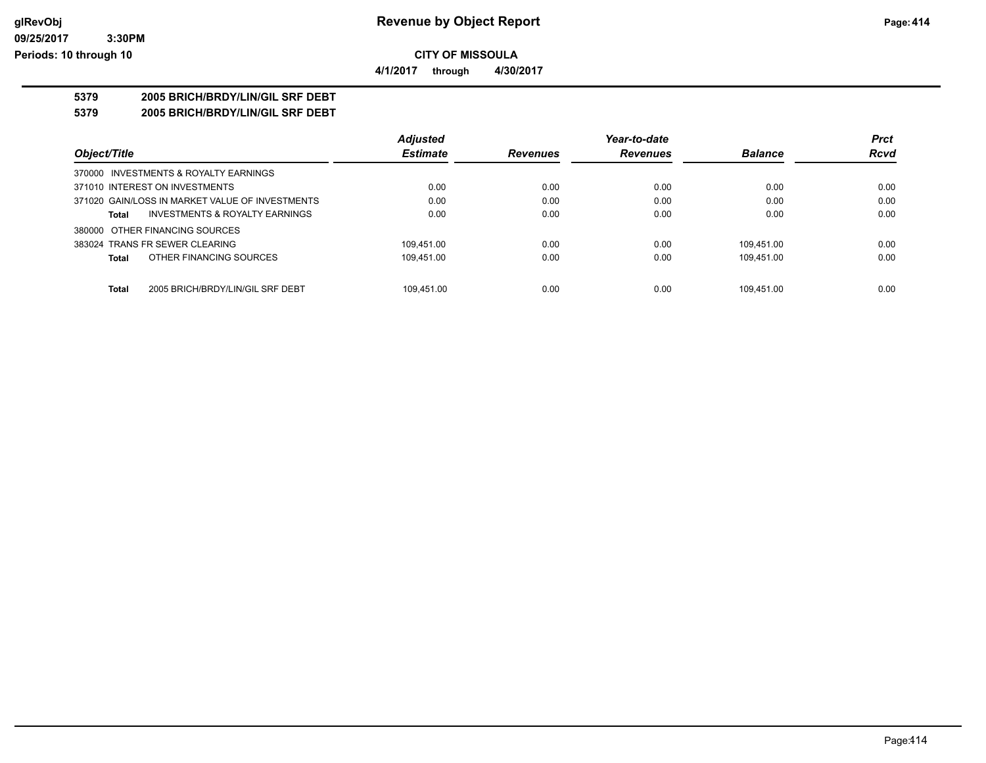**4/1/2017 through 4/30/2017**

# **5379 2005 BRICH/BRDY/LIN/GIL SRF DEBT**

## **5379 2005 BRICH/BRDY/LIN/GIL SRF DEBT**

|                                                           | <b>Adjusted</b> |                 | Year-to-date    |                | <b>Prct</b> |
|-----------------------------------------------------------|-----------------|-----------------|-----------------|----------------|-------------|
| Object/Title                                              | <b>Estimate</b> | <b>Revenues</b> | <b>Revenues</b> | <b>Balance</b> | <b>Rcvd</b> |
| 370000 INVESTMENTS & ROYALTY EARNINGS                     |                 |                 |                 |                |             |
| 371010 INTEREST ON INVESTMENTS                            | 0.00            | 0.00            | 0.00            | 0.00           | 0.00        |
| 371020 GAIN/LOSS IN MARKET VALUE OF INVESTMENTS           | 0.00            | 0.00            | 0.00            | 0.00           | 0.00        |
| <b>INVESTMENTS &amp; ROYALTY EARNINGS</b><br><b>Total</b> | 0.00            | 0.00            | 0.00            | 0.00           | 0.00        |
| 380000 OTHER FINANCING SOURCES                            |                 |                 |                 |                |             |
| 383024 TRANS FR SEWER CLEARING                            | 109.451.00      | 0.00            | 0.00            | 109.451.00     | 0.00        |
| OTHER FINANCING SOURCES<br><b>Total</b>                   | 109.451.00      | 0.00            | 0.00            | 109.451.00     | 0.00        |
| <b>Total</b><br>2005 BRICH/BRDY/LIN/GIL SRF DEBT          | 109.451.00      | 0.00            | 0.00            | 109.451.00     | 0.00        |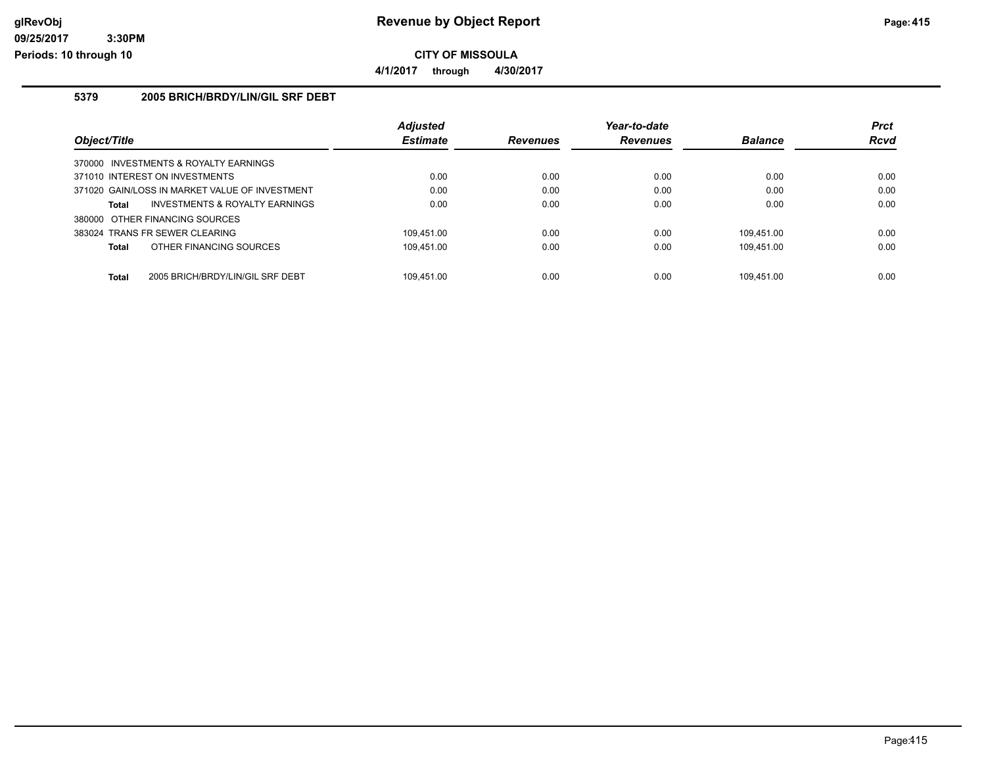**4/1/2017 through 4/30/2017**

# **5379 2005 BRICH/BRDY/LIN/GIL SRF DEBT**

|                                                    | <b>Adjusted</b> |                 | Year-to-date    |                | <b>Prct</b> |
|----------------------------------------------------|-----------------|-----------------|-----------------|----------------|-------------|
| Object/Title                                       | <b>Estimate</b> | <b>Revenues</b> | <b>Revenues</b> | <b>Balance</b> | <b>Rcvd</b> |
| 370000 INVESTMENTS & ROYALTY EARNINGS              |                 |                 |                 |                |             |
| 371010 INTEREST ON INVESTMENTS                     | 0.00            | 0.00            | 0.00            | 0.00           | 0.00        |
| 371020 GAIN/LOSS IN MARKET VALUE OF INVESTMENT     | 0.00            | 0.00            | 0.00            | 0.00           | 0.00        |
| <b>INVESTMENTS &amp; ROYALTY EARNINGS</b><br>Total | 0.00            | 0.00            | 0.00            | 0.00           | 0.00        |
| 380000 OTHER FINANCING SOURCES                     |                 |                 |                 |                |             |
| 383024 TRANS FR SEWER CLEARING                     | 109.451.00      | 0.00            | 0.00            | 109.451.00     | 0.00        |
| OTHER FINANCING SOURCES<br>Total                   | 109.451.00      | 0.00            | 0.00            | 109.451.00     | 0.00        |
|                                                    |                 |                 |                 |                |             |
| <b>Total</b><br>2005 BRICH/BRDY/LIN/GIL SRF DEBT   | 109.451.00      | 0.00            | 0.00            | 109.451.00     | 0.00        |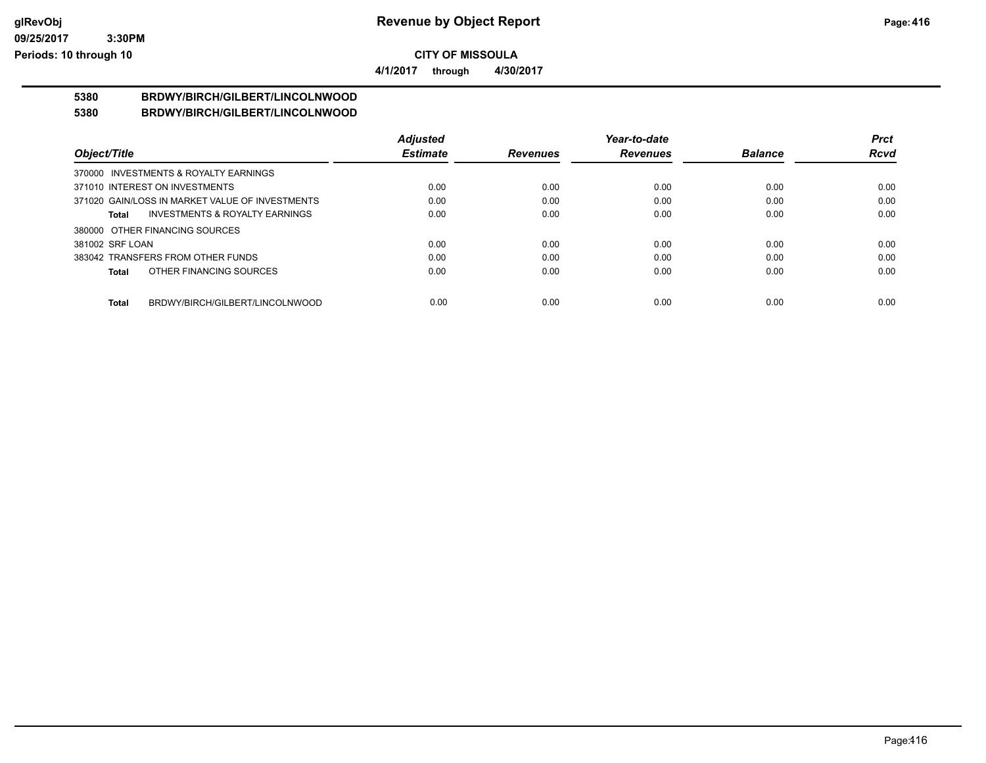**4/1/2017 through 4/30/2017**

## **5380 BRDWY/BIRCH/GILBERT/LINCOLNWOOD 5380 BRDWY/BIRCH/GILBERT/LINCOLNWOOD**

|                                                 | <b>Adjusted</b> |                 | Year-to-date    |                | <b>Prct</b> |
|-------------------------------------------------|-----------------|-----------------|-----------------|----------------|-------------|
| Object/Title                                    | <b>Estimate</b> | <b>Revenues</b> | <b>Revenues</b> | <b>Balance</b> | <b>Rcvd</b> |
| 370000 INVESTMENTS & ROYALTY EARNINGS           |                 |                 |                 |                |             |
| 371010 INTEREST ON INVESTMENTS                  | 0.00            | 0.00            | 0.00            | 0.00           | 0.00        |
| 371020 GAIN/LOSS IN MARKET VALUE OF INVESTMENTS | 0.00            | 0.00            | 0.00            | 0.00           | 0.00        |
| INVESTMENTS & ROYALTY EARNINGS<br>Total         | 0.00            | 0.00            | 0.00            | 0.00           | 0.00        |
| 380000 OTHER FINANCING SOURCES                  |                 |                 |                 |                |             |
| 381002 SRF LOAN                                 | 0.00            | 0.00            | 0.00            | 0.00           | 0.00        |
| 383042 TRANSFERS FROM OTHER FUNDS               | 0.00            | 0.00            | 0.00            | 0.00           | 0.00        |
| OTHER FINANCING SOURCES<br>Total                | 0.00            | 0.00            | 0.00            | 0.00           | 0.00        |
|                                                 |                 |                 |                 |                |             |
| BRDWY/BIRCH/GILBERT/LINCOLNWOOD<br><b>Total</b> | 0.00            | 0.00            | 0.00            | 0.00           | 0.00        |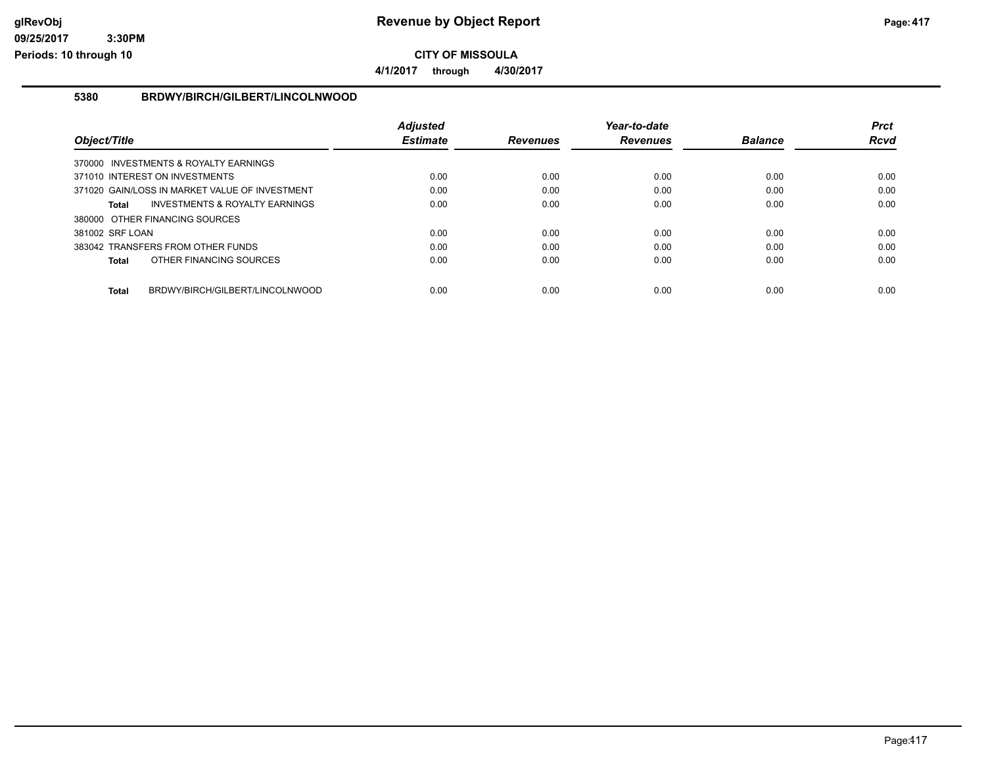**4/1/2017 through 4/30/2017**

# **5380 BRDWY/BIRCH/GILBERT/LINCOLNWOOD**

|                                                    | <b>Adjusted</b> |                 | Year-to-date    |                | <b>Prct</b> |
|----------------------------------------------------|-----------------|-----------------|-----------------|----------------|-------------|
| Object/Title                                       | <b>Estimate</b> | <b>Revenues</b> | <b>Revenues</b> | <b>Balance</b> | Rcvd        |
| 370000 INVESTMENTS & ROYALTY EARNINGS              |                 |                 |                 |                |             |
| 371010 INTEREST ON INVESTMENTS                     | 0.00            | 0.00            | 0.00            | 0.00           | 0.00        |
| 371020 GAIN/LOSS IN MARKET VALUE OF INVESTMENT     | 0.00            | 0.00            | 0.00            | 0.00           | 0.00        |
| <b>INVESTMENTS &amp; ROYALTY EARNINGS</b><br>Total | 0.00            | 0.00            | 0.00            | 0.00           | 0.00        |
| 380000 OTHER FINANCING SOURCES                     |                 |                 |                 |                |             |
| 381002 SRF LOAN                                    | 0.00            | 0.00            | 0.00            | 0.00           | 0.00        |
| 383042 TRANSFERS FROM OTHER FUNDS                  | 0.00            | 0.00            | 0.00            | 0.00           | 0.00        |
| OTHER FINANCING SOURCES<br>Total                   | 0.00            | 0.00            | 0.00            | 0.00           | 0.00        |
| BRDWY/BIRCH/GILBERT/LINCOLNWOOD<br><b>Total</b>    | 0.00            | 0.00            | 0.00            | 0.00           | 0.00        |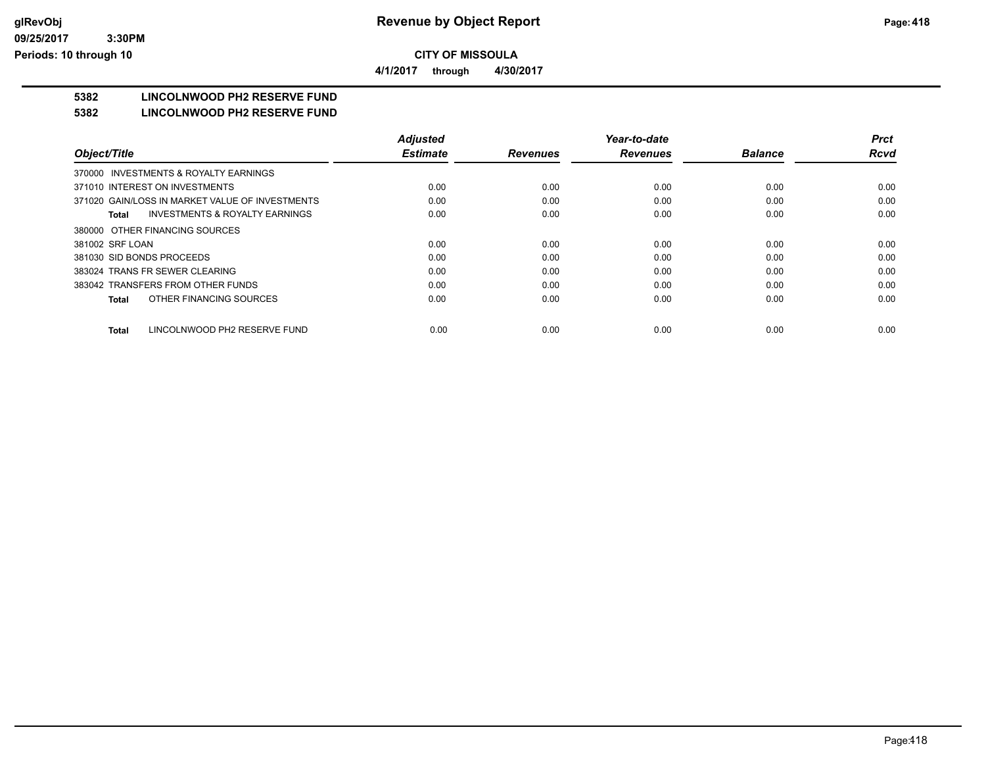**4/1/2017 through 4/30/2017**

# **5382 LINCOLNWOOD PH2 RESERVE FUND**

## **5382 LINCOLNWOOD PH2 RESERVE FUND**

|                                                    | <b>Adjusted</b> |                 | Year-to-date    |                | <b>Prct</b> |
|----------------------------------------------------|-----------------|-----------------|-----------------|----------------|-------------|
| Object/Title                                       | <b>Estimate</b> | <b>Revenues</b> | <b>Revenues</b> | <b>Balance</b> | <b>Rcvd</b> |
| 370000 INVESTMENTS & ROYALTY EARNINGS              |                 |                 |                 |                |             |
| 371010 INTEREST ON INVESTMENTS                     | 0.00            | 0.00            | 0.00            | 0.00           | 0.00        |
| 371020 GAIN/LOSS IN MARKET VALUE OF INVESTMENTS    | 0.00            | 0.00            | 0.00            | 0.00           | 0.00        |
| <b>INVESTMENTS &amp; ROYALTY EARNINGS</b><br>Total | 0.00            | 0.00            | 0.00            | 0.00           | 0.00        |
| 380000 OTHER FINANCING SOURCES                     |                 |                 |                 |                |             |
| 381002 SRF LOAN                                    | 0.00            | 0.00            | 0.00            | 0.00           | 0.00        |
| 381030 SID BONDS PROCEEDS                          | 0.00            | 0.00            | 0.00            | 0.00           | 0.00        |
| 383024 TRANS FR SEWER CLEARING                     | 0.00            | 0.00            | 0.00            | 0.00           | 0.00        |
| 383042 TRANSFERS FROM OTHER FUNDS                  | 0.00            | 0.00            | 0.00            | 0.00           | 0.00        |
| OTHER FINANCING SOURCES<br>Total                   | 0.00            | 0.00            | 0.00            | 0.00           | 0.00        |
| LINCOLNWOOD PH2 RESERVE FUND<br><b>Total</b>       | 0.00            | 0.00            | 0.00            | 0.00           | 0.00        |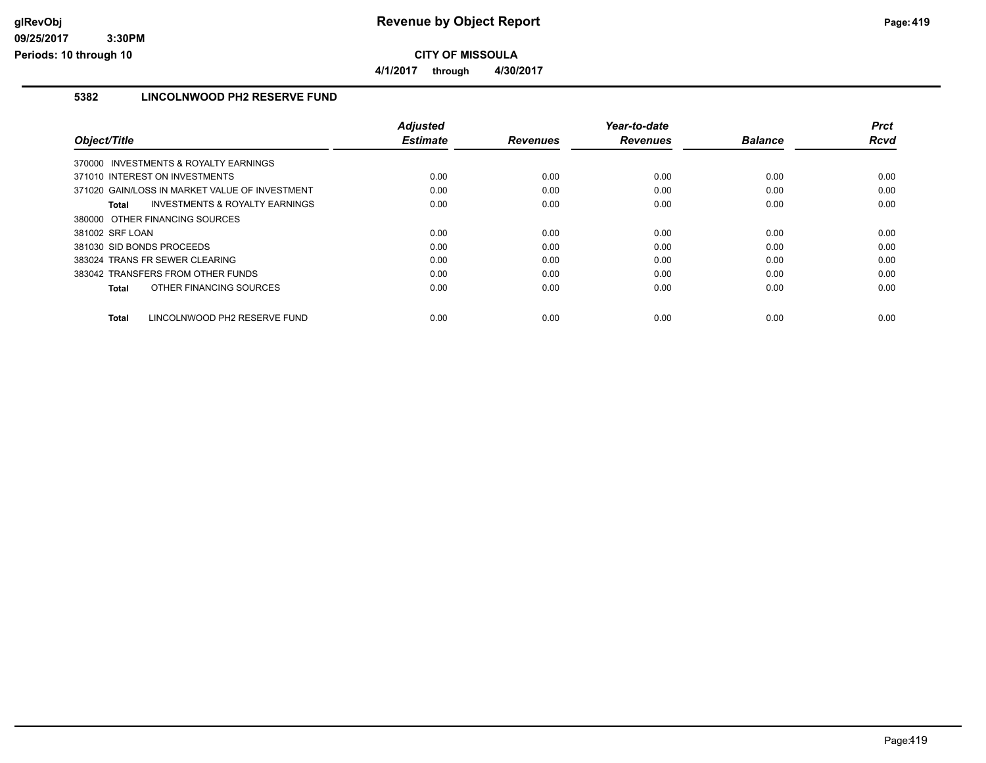**4/1/2017 through 4/30/2017**

# **5382 LINCOLNWOOD PH2 RESERVE FUND**

|                                                    | <b>Adjusted</b> |                 | Year-to-date    |                | <b>Prct</b> |
|----------------------------------------------------|-----------------|-----------------|-----------------|----------------|-------------|
| Object/Title                                       | <b>Estimate</b> | <b>Revenues</b> | <b>Revenues</b> | <b>Balance</b> | <b>Rcvd</b> |
| 370000 INVESTMENTS & ROYALTY EARNINGS              |                 |                 |                 |                |             |
| 371010 INTEREST ON INVESTMENTS                     | 0.00            | 0.00            | 0.00            | 0.00           | 0.00        |
| 371020 GAIN/LOSS IN MARKET VALUE OF INVESTMENT     | 0.00            | 0.00            | 0.00            | 0.00           | 0.00        |
| <b>INVESTMENTS &amp; ROYALTY EARNINGS</b><br>Total | 0.00            | 0.00            | 0.00            | 0.00           | 0.00        |
| 380000 OTHER FINANCING SOURCES                     |                 |                 |                 |                |             |
| 381002 SRF LOAN                                    | 0.00            | 0.00            | 0.00            | 0.00           | 0.00        |
| 381030 SID BONDS PROCEEDS                          | 0.00            | 0.00            | 0.00            | 0.00           | 0.00        |
| 383024 TRANS FR SEWER CLEARING                     | 0.00            | 0.00            | 0.00            | 0.00           | 0.00        |
| 383042 TRANSFERS FROM OTHER FUNDS                  | 0.00            | 0.00            | 0.00            | 0.00           | 0.00        |
| OTHER FINANCING SOURCES<br>Total                   | 0.00            | 0.00            | 0.00            | 0.00           | 0.00        |
| <b>Total</b><br>LINCOLNWOOD PH2 RESERVE FUND       | 0.00            | 0.00            | 0.00            | 0.00           | 0.00        |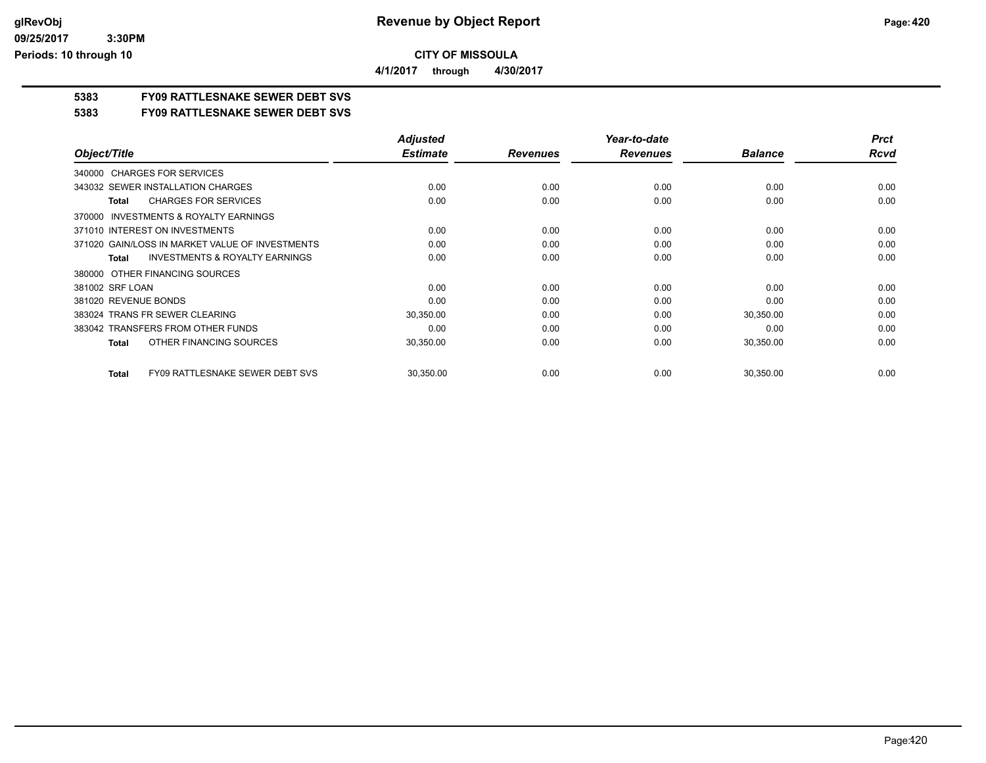**4/1/2017 through 4/30/2017**

# **5383 FY09 RATTLESNAKE SEWER DEBT SVS**

# **5383 FY09 RATTLESNAKE SEWER DEBT SVS**

|                                                     | <b>Adjusted</b> |                 | Year-to-date    |                | <b>Prct</b> |
|-----------------------------------------------------|-----------------|-----------------|-----------------|----------------|-------------|
| Object/Title                                        | <b>Estimate</b> | <b>Revenues</b> | <b>Revenues</b> | <b>Balance</b> | <b>Rcvd</b> |
| <b>CHARGES FOR SERVICES</b><br>340000               |                 |                 |                 |                |             |
| 343032 SEWER INSTALLATION CHARGES                   | 0.00            | 0.00            | 0.00            | 0.00           | 0.00        |
| <b>CHARGES FOR SERVICES</b><br><b>Total</b>         | 0.00            | 0.00            | 0.00            | 0.00           | 0.00        |
| <b>INVESTMENTS &amp; ROYALTY EARNINGS</b><br>370000 |                 |                 |                 |                |             |
| 371010 INTEREST ON INVESTMENTS                      | 0.00            | 0.00            | 0.00            | 0.00           | 0.00        |
| 371020 GAIN/LOSS IN MARKET VALUE OF INVESTMENTS     | 0.00            | 0.00            | 0.00            | 0.00           | 0.00        |
| <b>INVESTMENTS &amp; ROYALTY EARNINGS</b><br>Total  | 0.00            | 0.00            | 0.00            | 0.00           | 0.00        |
| 380000 OTHER FINANCING SOURCES                      |                 |                 |                 |                |             |
| 381002 SRF LOAN                                     | 0.00            | 0.00            | 0.00            | 0.00           | 0.00        |
| 381020 REVENUE BONDS                                | 0.00            | 0.00            | 0.00            | 0.00           | 0.00        |
| 383024 TRANS FR SEWER CLEARING                      | 30,350.00       | 0.00            | 0.00            | 30,350.00      | 0.00        |
| 383042 TRANSFERS FROM OTHER FUNDS                   | 0.00            | 0.00            | 0.00            | 0.00           | 0.00        |
| OTHER FINANCING SOURCES<br>Total                    | 30,350.00       | 0.00            | 0.00            | 30,350.00      | 0.00        |
| <b>FY09 RATTLESNAKE SEWER DEBT SVS</b><br>Total     | 30,350.00       | 0.00            | 0.00            | 30,350.00      | 0.00        |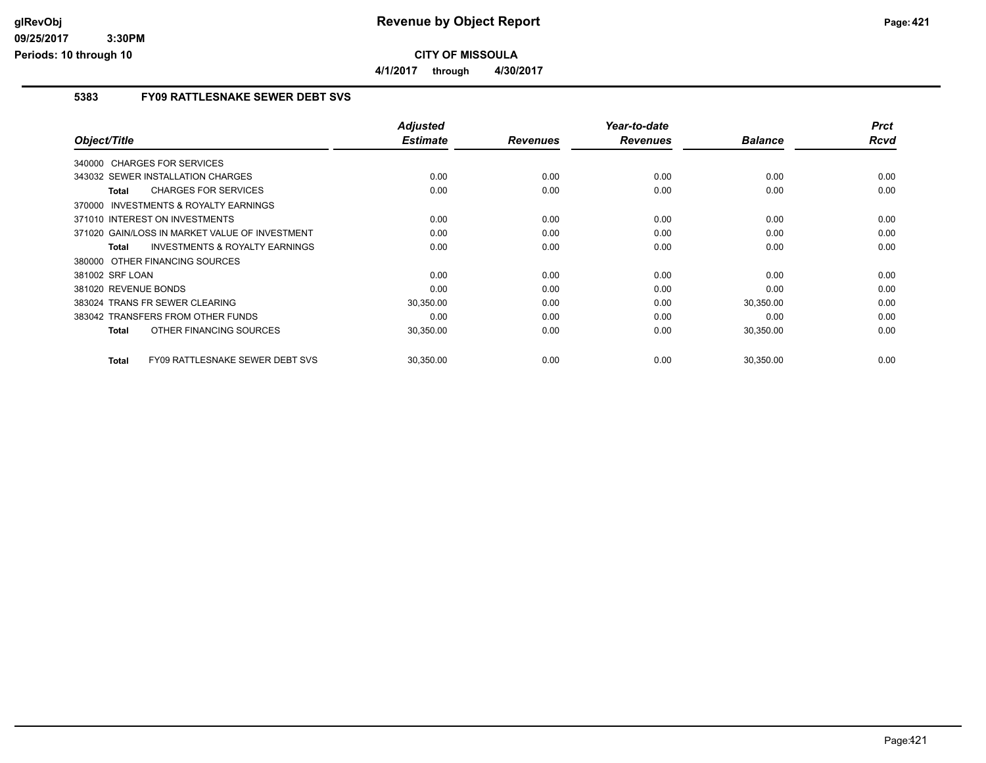**4/1/2017 through 4/30/2017**

# **5383 FY09 RATTLESNAKE SEWER DEBT SVS**

| Object/Title                                              | <b>Adjusted</b><br><b>Estimate</b> | <b>Revenues</b> | Year-to-date<br><b>Revenues</b> | <b>Balance</b> | <b>Prct</b><br><b>Rcvd</b> |
|-----------------------------------------------------------|------------------------------------|-----------------|---------------------------------|----------------|----------------------------|
| 340000 CHARGES FOR SERVICES                               |                                    |                 |                                 |                |                            |
| 343032 SEWER INSTALLATION CHARGES                         | 0.00                               | 0.00            | 0.00                            | 0.00           | 0.00                       |
| <b>CHARGES FOR SERVICES</b><br><b>Total</b>               | 0.00                               | 0.00            | 0.00                            | 0.00           | 0.00                       |
| 370000 INVESTMENTS & ROYALTY EARNINGS                     |                                    |                 |                                 |                |                            |
| 371010 INTEREST ON INVESTMENTS                            | 0.00                               | 0.00            | 0.00                            | 0.00           | 0.00                       |
| 371020 GAIN/LOSS IN MARKET VALUE OF INVESTMENT            | 0.00                               | 0.00            | 0.00                            | 0.00           | 0.00                       |
| <b>INVESTMENTS &amp; ROYALTY EARNINGS</b><br><b>Total</b> | 0.00                               | 0.00            | 0.00                            | 0.00           | 0.00                       |
| 380000 OTHER FINANCING SOURCES                            |                                    |                 |                                 |                |                            |
| 381002 SRF LOAN                                           | 0.00                               | 0.00            | 0.00                            | 0.00           | 0.00                       |
| 381020 REVENUE BONDS                                      | 0.00                               | 0.00            | 0.00                            | 0.00           | 0.00                       |
| 383024 TRANS FR SEWER CLEARING                            | 30,350.00                          | 0.00            | 0.00                            | 30,350.00      | 0.00                       |
| 383042 TRANSFERS FROM OTHER FUNDS                         | 0.00                               | 0.00            | 0.00                            | 0.00           | 0.00                       |
| OTHER FINANCING SOURCES<br><b>Total</b>                   | 30,350.00                          | 0.00            | 0.00                            | 30,350.00      | 0.00                       |
| <b>FY09 RATTLESNAKE SEWER DEBT SVS</b><br><b>Total</b>    | 30,350.00                          | 0.00            | 0.00                            | 30,350.00      | 0.00                       |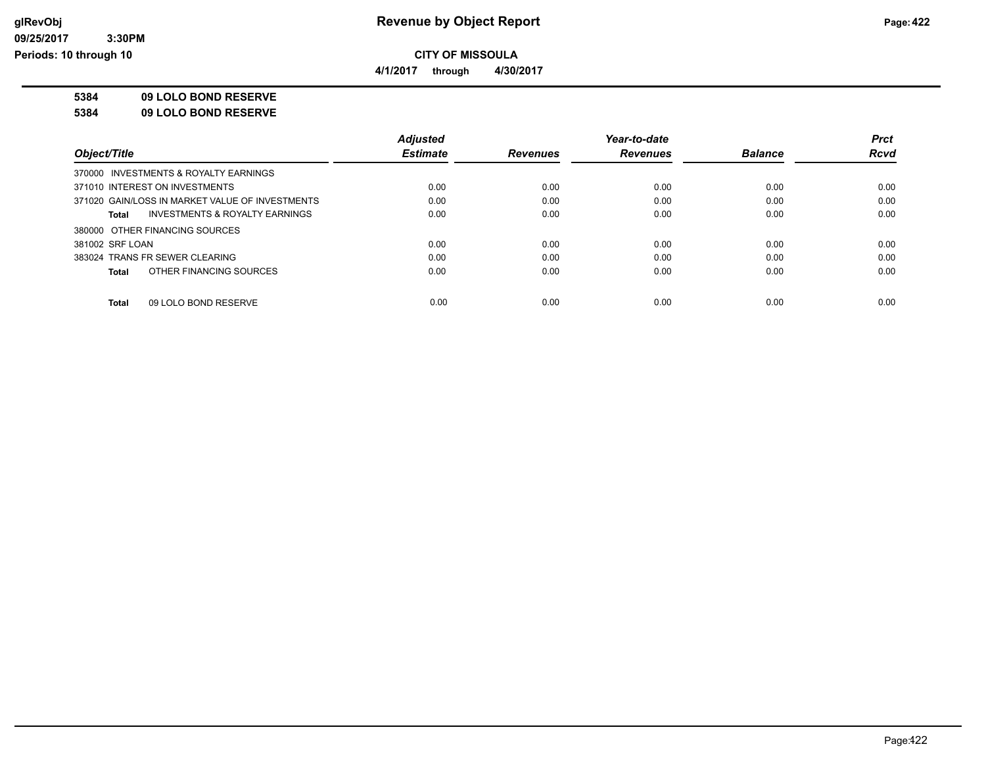**4/1/2017 through 4/30/2017**

## **5384 09 LOLO BOND RESERVE**

**5384 09 LOLO BOND RESERVE**

| <b>Adjusted</b> |                 | Year-to-date    |                | <b>Prct</b> |
|-----------------|-----------------|-----------------|----------------|-------------|
| <b>Estimate</b> | <b>Revenues</b> | <b>Revenues</b> | <b>Balance</b> | <b>Rcvd</b> |
|                 |                 |                 |                |             |
| 0.00            | 0.00            | 0.00            | 0.00           | 0.00        |
| 0.00            | 0.00            | 0.00            | 0.00           | 0.00        |
| 0.00            | 0.00            | 0.00            | 0.00           | 0.00        |
|                 |                 |                 |                |             |
| 0.00            | 0.00            | 0.00            | 0.00           | 0.00        |
| 0.00            | 0.00            | 0.00            | 0.00           | 0.00        |
| 0.00            | 0.00            | 0.00            | 0.00           | 0.00        |
|                 |                 |                 |                | 0.00        |
|                 | 0.00            | 0.00            | 0.00           | 0.00        |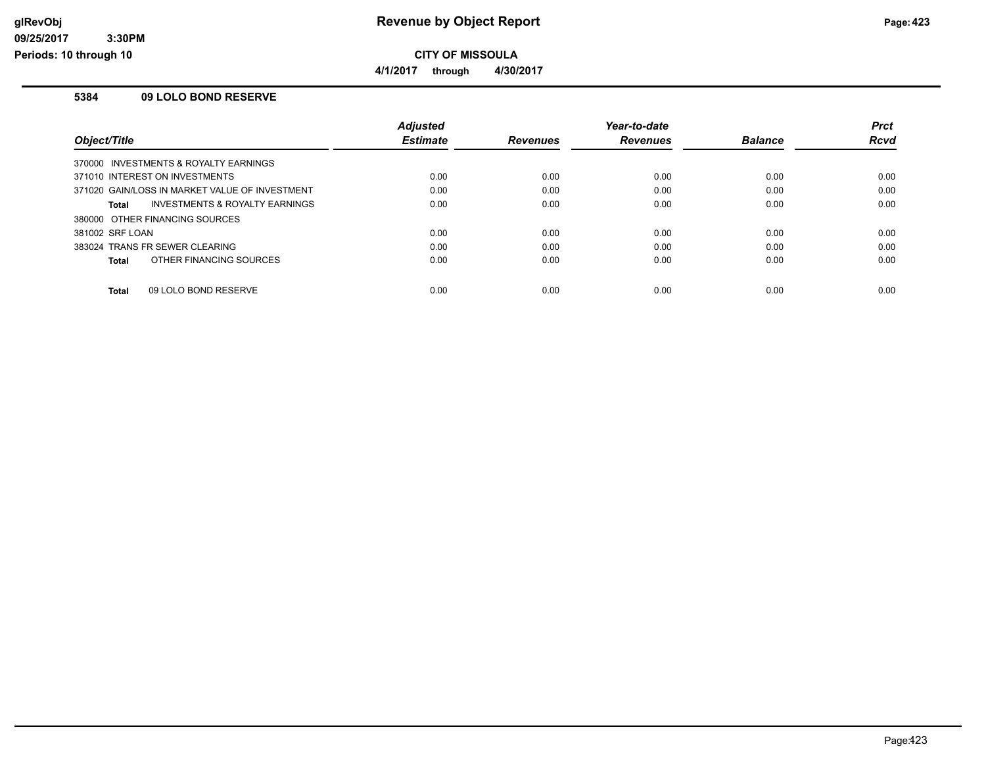**4/1/2017 through 4/30/2017**

## **5384 09 LOLO BOND RESERVE**

|                                                    | <b>Adjusted</b> |                 | Year-to-date    |                | <b>Prct</b> |
|----------------------------------------------------|-----------------|-----------------|-----------------|----------------|-------------|
| Object/Title                                       | <b>Estimate</b> | <b>Revenues</b> | <b>Revenues</b> | <b>Balance</b> | Rcvd        |
| 370000 INVESTMENTS & ROYALTY EARNINGS              |                 |                 |                 |                |             |
| 371010 INTEREST ON INVESTMENTS                     | 0.00            | 0.00            | 0.00            | 0.00           | 0.00        |
| 371020 GAIN/LOSS IN MARKET VALUE OF INVESTMENT     | 0.00            | 0.00            | 0.00            | 0.00           | 0.00        |
| <b>INVESTMENTS &amp; ROYALTY EARNINGS</b><br>Total | 0.00            | 0.00            | 0.00            | 0.00           | 0.00        |
| 380000 OTHER FINANCING SOURCES                     |                 |                 |                 |                |             |
| 381002 SRF LOAN                                    | 0.00            | 0.00            | 0.00            | 0.00           | 0.00        |
| 383024 TRANS FR SEWER CLEARING                     | 0.00            | 0.00            | 0.00            | 0.00           | 0.00        |
| OTHER FINANCING SOURCES<br><b>Total</b>            | 0.00            | 0.00            | 0.00            | 0.00           | 0.00        |
| 09 LOLO BOND RESERVE<br><b>Total</b>               | 0.00            | 0.00            | 0.00            | 0.00           | 0.00        |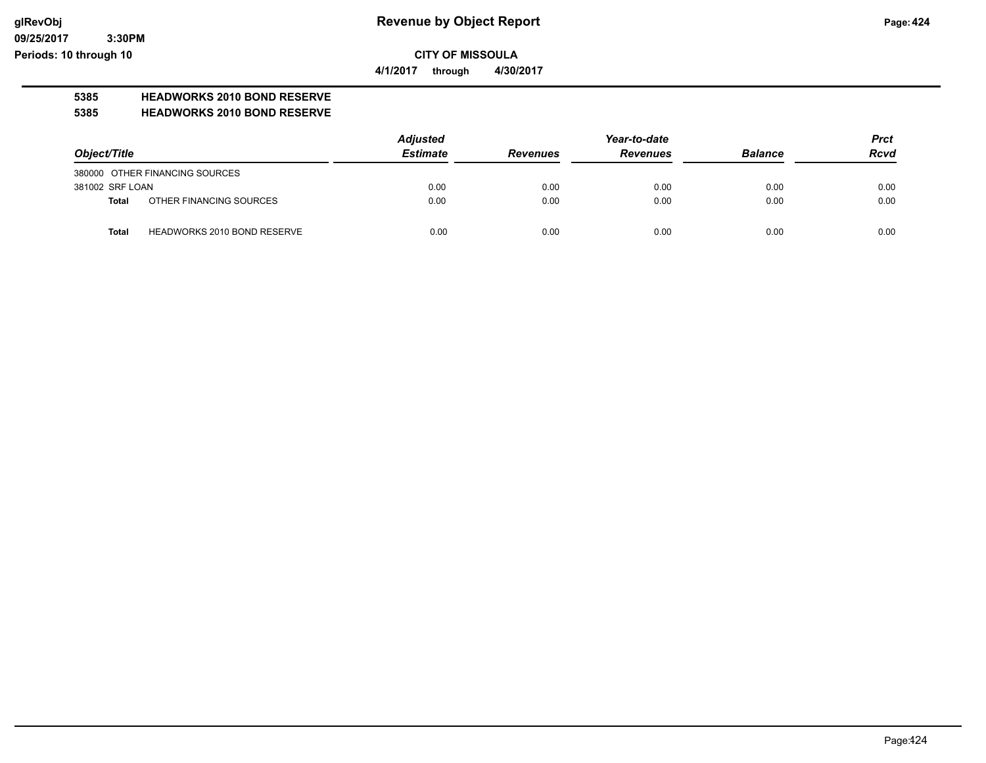**4/1/2017 through 4/30/2017**

# **5385 HEADWORKS 2010 BOND RESERVE**

# **5385 HEADWORKS 2010 BOND RESERVE**

|                 |                                    | <b>Adjusted</b> |                 | Year-to-date    |                | <b>Prct</b> |
|-----------------|------------------------------------|-----------------|-----------------|-----------------|----------------|-------------|
| Object/Title    |                                    | <b>Estimate</b> | <b>Revenues</b> | <b>Revenues</b> | <b>Balance</b> | <b>Rcvd</b> |
|                 | 380000 OTHER FINANCING SOURCES     |                 |                 |                 |                |             |
| 381002 SRF LOAN |                                    | 0.00            | 0.00            | 0.00            | 0.00           | 0.00        |
| <b>Total</b>    | OTHER FINANCING SOURCES            | 0.00            | 0.00            | 0.00            | 0.00           | 0.00        |
| <b>Total</b>    | <b>HEADWORKS 2010 BOND RESERVE</b> | 0.00            | 0.00            | 0.00            | 0.00           | 0.00        |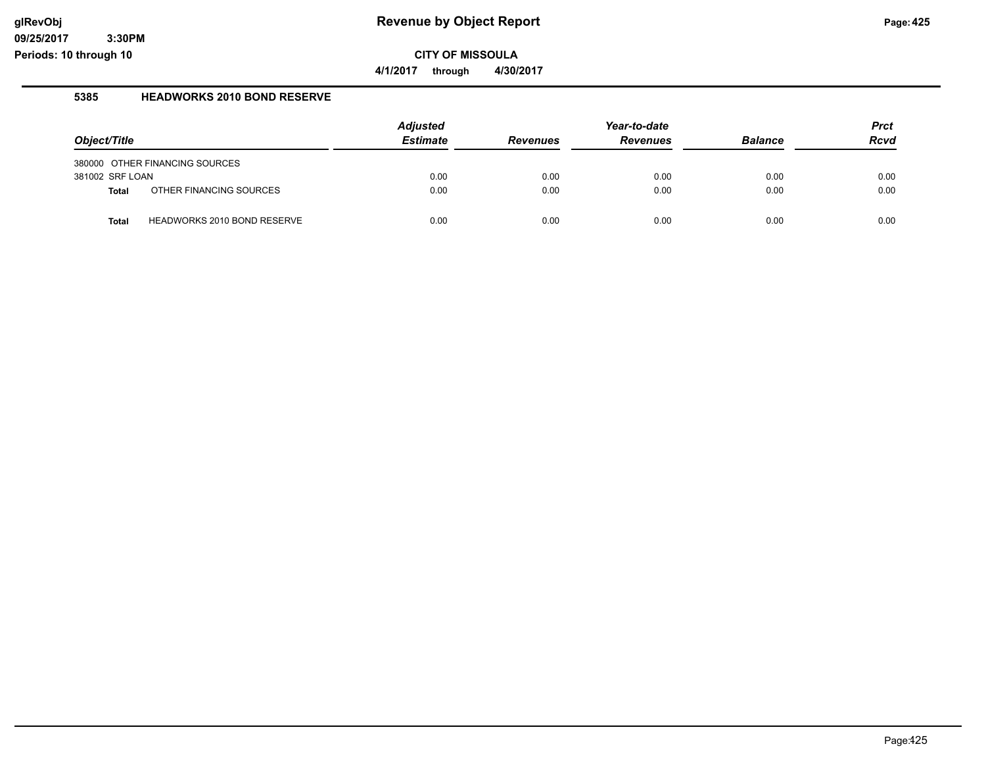**4/1/2017 through 4/30/2017**

## **5385 HEADWORKS 2010 BOND RESERVE**

| Object/Title    |                                    | <b>Adjusted</b><br><b>Estimate</b> | <b>Revenues</b> | Year-to-date<br><b>Revenues</b> | <b>Balance</b> | <b>Prct</b><br><b>Rcvd</b> |
|-----------------|------------------------------------|------------------------------------|-----------------|---------------------------------|----------------|----------------------------|
|                 | 380000 OTHER FINANCING SOURCES     |                                    |                 |                                 |                |                            |
| 381002 SRF LOAN |                                    | 0.00                               | 0.00            | 0.00                            | 0.00           | 0.00                       |
| <b>Total</b>    | OTHER FINANCING SOURCES            | 0.00                               | 0.00            | 0.00                            | 0.00           | 0.00                       |
|                 |                                    |                                    |                 |                                 |                |                            |
| <b>Total</b>    | <b>HEADWORKS 2010 BOND RESERVE</b> | 0.00                               | 0.00            | 0.00                            | 0.00           | 0.00                       |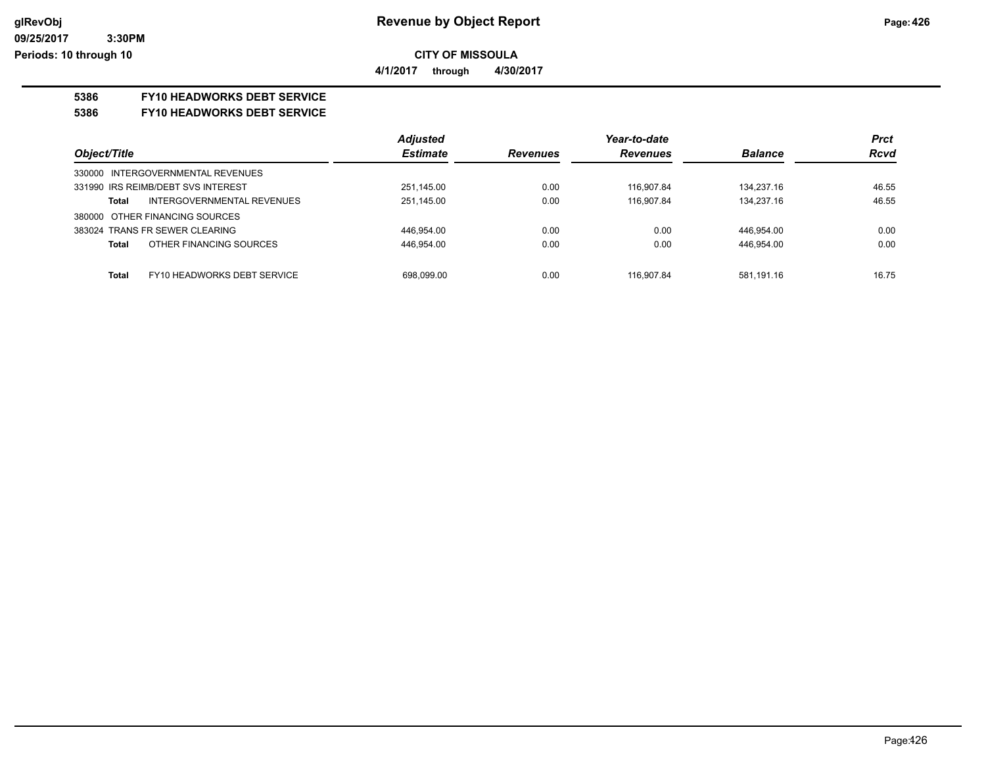**4/1/2017 through 4/30/2017**

# **5386 FY10 HEADWORKS DEBT SERVICE**

### **5386 FY10 HEADWORKS DEBT SERVICE**

|                                                    | <b>Adjusted</b> |                 | Year-to-date    |                | <b>Prct</b> |
|----------------------------------------------------|-----------------|-----------------|-----------------|----------------|-------------|
| Object/Title                                       | <b>Estimate</b> | <b>Revenues</b> | <b>Revenues</b> | <b>Balance</b> | <b>Rcvd</b> |
| 330000 INTERGOVERNMENTAL REVENUES                  |                 |                 |                 |                |             |
| 331990 IRS REIMB/DEBT SVS INTEREST                 | 251,145.00      | 0.00            | 116.907.84      | 134.237.16     | 46.55       |
| <b>INTERGOVERNMENTAL REVENUES</b><br><b>Total</b>  | 251,145.00      | 0.00            | 116.907.84      | 134.237.16     | 46.55       |
| 380000 OTHER FINANCING SOURCES                     |                 |                 |                 |                |             |
| 383024 TRANS FR SEWER CLEARING                     | 446.954.00      | 0.00            | 0.00            | 446.954.00     | 0.00        |
| OTHER FINANCING SOURCES<br><b>Total</b>            | 446.954.00      | 0.00            | 0.00            | 446.954.00     | 0.00        |
|                                                    |                 |                 |                 |                |             |
| <b>FY10 HEADWORKS DEBT SERVICE</b><br><b>Total</b> | 698.099.00      | 0.00            | 116.907.84      | 581.191.16     | 16.75       |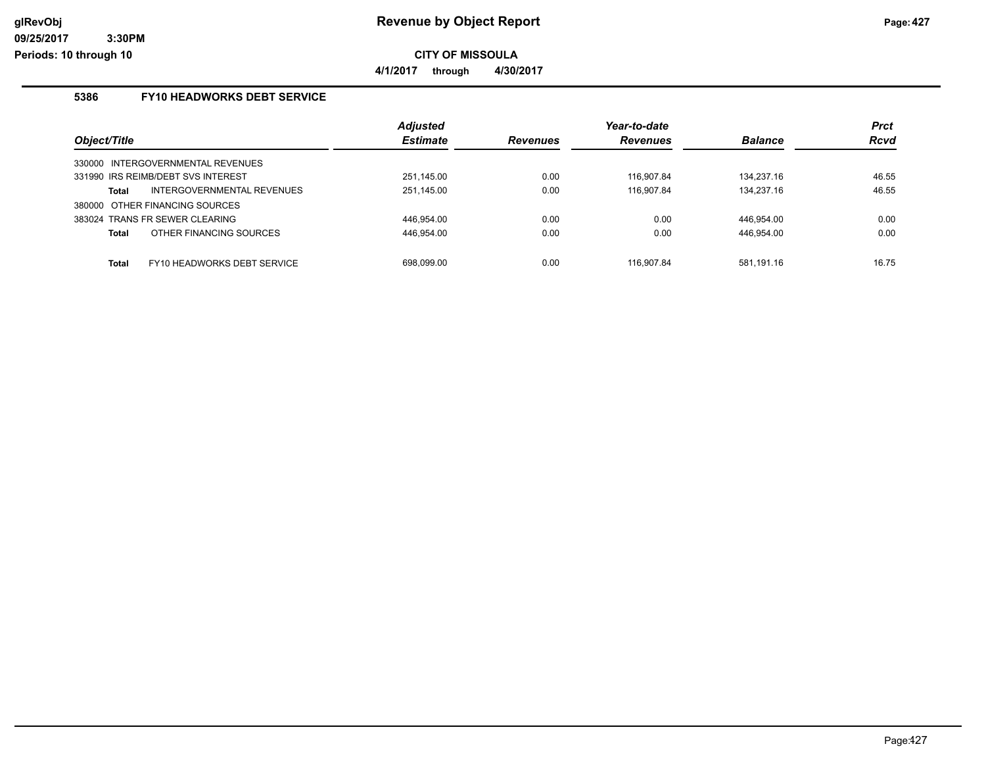**4/1/2017 through 4/30/2017**

# **5386 FY10 HEADWORKS DEBT SERVICE**

|                                             | <b>Adjusted</b> |                 | Year-to-date    |                | <b>Prct</b> |
|---------------------------------------------|-----------------|-----------------|-----------------|----------------|-------------|
| Object/Title                                | <b>Estimate</b> | <b>Revenues</b> | <b>Revenues</b> | <b>Balance</b> | <b>Rcvd</b> |
| 330000 INTERGOVERNMENTAL REVENUES           |                 |                 |                 |                |             |
| 331990 IRS REIMB/DEBT SVS INTEREST          | 251.145.00      | 0.00            | 116.907.84      | 134.237.16     | 46.55       |
| INTERGOVERNMENTAL REVENUES<br>Total         | 251,145.00      | 0.00            | 116.907.84      | 134,237.16     | 46.55       |
| 380000 OTHER FINANCING SOURCES              |                 |                 |                 |                |             |
| 383024 TRANS FR SEWER CLEARING              | 446,954.00      | 0.00            | 0.00            | 446,954.00     | 0.00        |
| OTHER FINANCING SOURCES<br><b>Total</b>     | 446,954.00      | 0.00            | 0.00            | 446,954.00     | 0.00        |
| <b>FY10 HEADWORKS DEBT SERVICE</b><br>Total | 698.099.00      | 0.00            | 116.907.84      | 581.191.16     | 16.75       |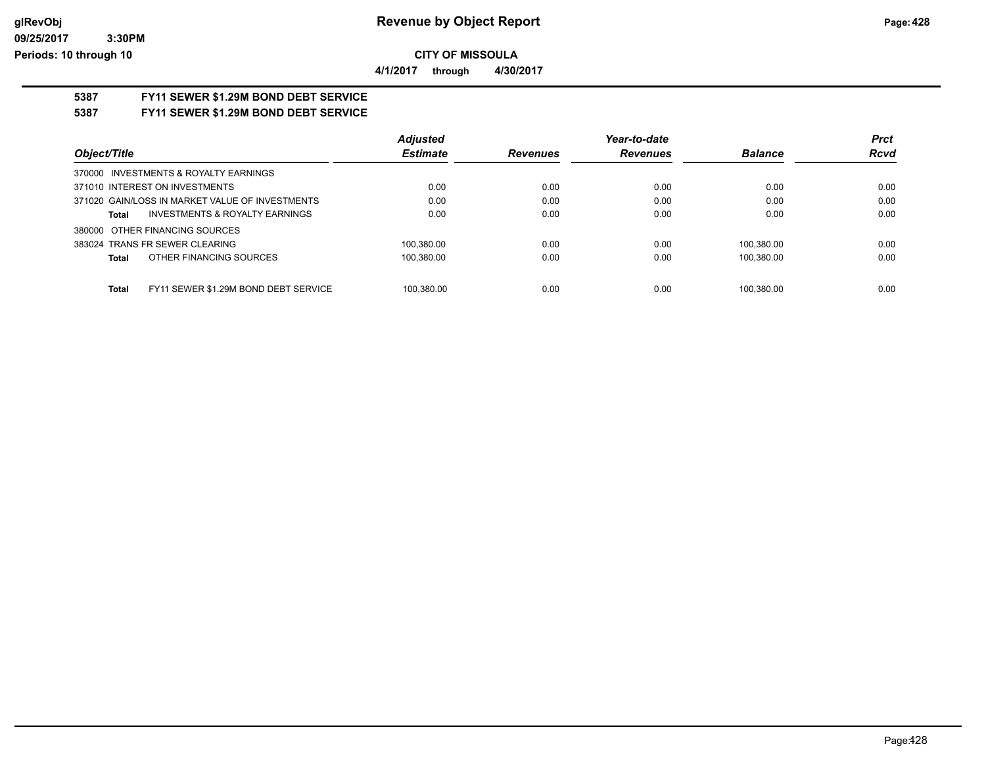**4/1/2017 through 4/30/2017**

# **5387 FY11 SEWER \$1.29M BOND DEBT SERVICE**

# **5387 FY11 SEWER \$1.29M BOND DEBT SERVICE**

|                                                 | <b>Adjusted</b> |                 | Year-to-date    |                | <b>Prct</b> |
|-------------------------------------------------|-----------------|-----------------|-----------------|----------------|-------------|
| Object/Title                                    | <b>Estimate</b> | <b>Revenues</b> | <b>Revenues</b> | <b>Balance</b> | <b>Rcvd</b> |
| 370000 INVESTMENTS & ROYALTY EARNINGS           |                 |                 |                 |                |             |
| 371010 INTEREST ON INVESTMENTS                  | 0.00            | 0.00            | 0.00            | 0.00           | 0.00        |
| 371020 GAIN/LOSS IN MARKET VALUE OF INVESTMENTS | 0.00            | 0.00            | 0.00            | 0.00           | 0.00        |
| INVESTMENTS & ROYALTY EARNINGS<br>Total         | 0.00            | 0.00            | 0.00            | 0.00           | 0.00        |
| 380000 OTHER FINANCING SOURCES                  |                 |                 |                 |                |             |
| 383024 TRANS FR SEWER CLEARING                  | 100.380.00      | 0.00            | 0.00            | 100.380.00     | 0.00        |
| OTHER FINANCING SOURCES<br>Total                | 100,380.00      | 0.00            | 0.00            | 100.380.00     | 0.00        |
|                                                 |                 |                 |                 |                |             |
| FY11 SEWER \$1.29M BOND DEBT SERVICE<br>Total   | 100.380.00      | 0.00            | 0.00            | 100.380.00     | 0.00        |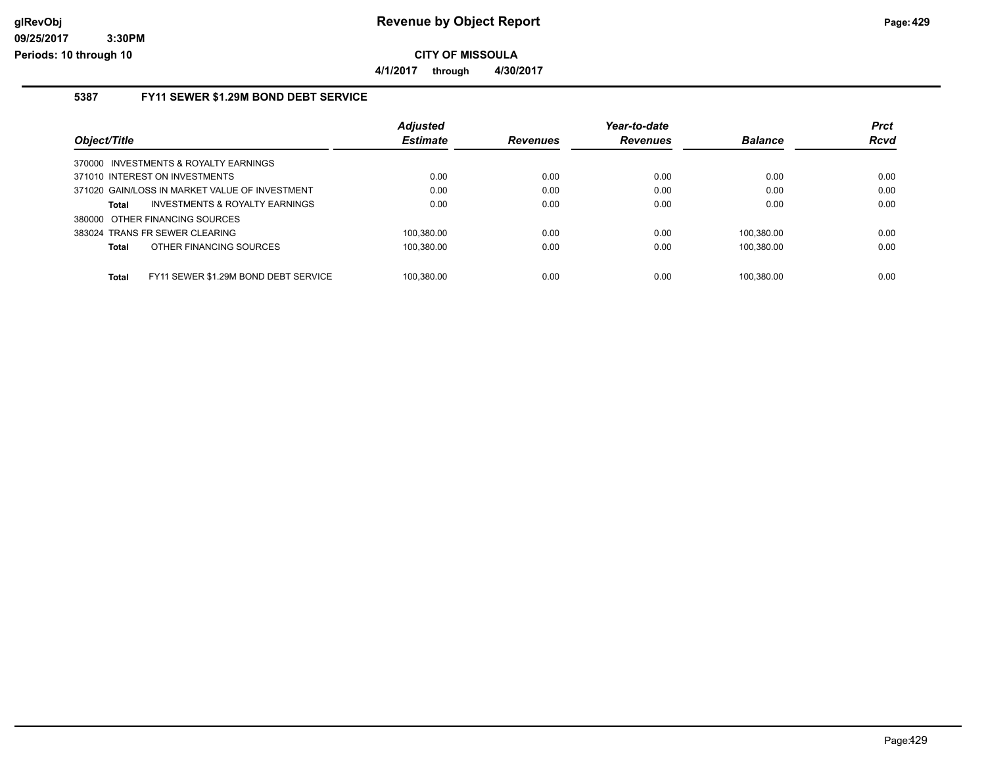**4/1/2017 through 4/30/2017**

## **5387 FY11 SEWER \$1.29M BOND DEBT SERVICE**

|                                                      | <b>Adjusted</b> |                 | Year-to-date    |                | <b>Prct</b> |
|------------------------------------------------------|-----------------|-----------------|-----------------|----------------|-------------|
| Object/Title                                         | <b>Estimate</b> | <b>Revenues</b> | <b>Revenues</b> | <b>Balance</b> | <b>Rcvd</b> |
| 370000 INVESTMENTS & ROYALTY EARNINGS                |                 |                 |                 |                |             |
| 371010 INTEREST ON INVESTMENTS                       | 0.00            | 0.00            | 0.00            | 0.00           | 0.00        |
| 371020 GAIN/LOSS IN MARKET VALUE OF INVESTMENT       | 0.00            | 0.00            | 0.00            | 0.00           | 0.00        |
| <b>INVESTMENTS &amp; ROYALTY EARNINGS</b><br>Total   | 0.00            | 0.00            | 0.00            | 0.00           | 0.00        |
| 380000 OTHER FINANCING SOURCES                       |                 |                 |                 |                |             |
| 383024 TRANS FR SEWER CLEARING                       | 100.380.00      | 0.00            | 0.00            | 100.380.00     | 0.00        |
| OTHER FINANCING SOURCES<br>Total                     | 100.380.00      | 0.00            | 0.00            | 100.380.00     | 0.00        |
|                                                      |                 |                 |                 |                |             |
| <b>Total</b><br>FY11 SEWER \$1.29M BOND DEBT SERVICE | 100.380.00      | 0.00            | 0.00            | 100.380.00     | 0.00        |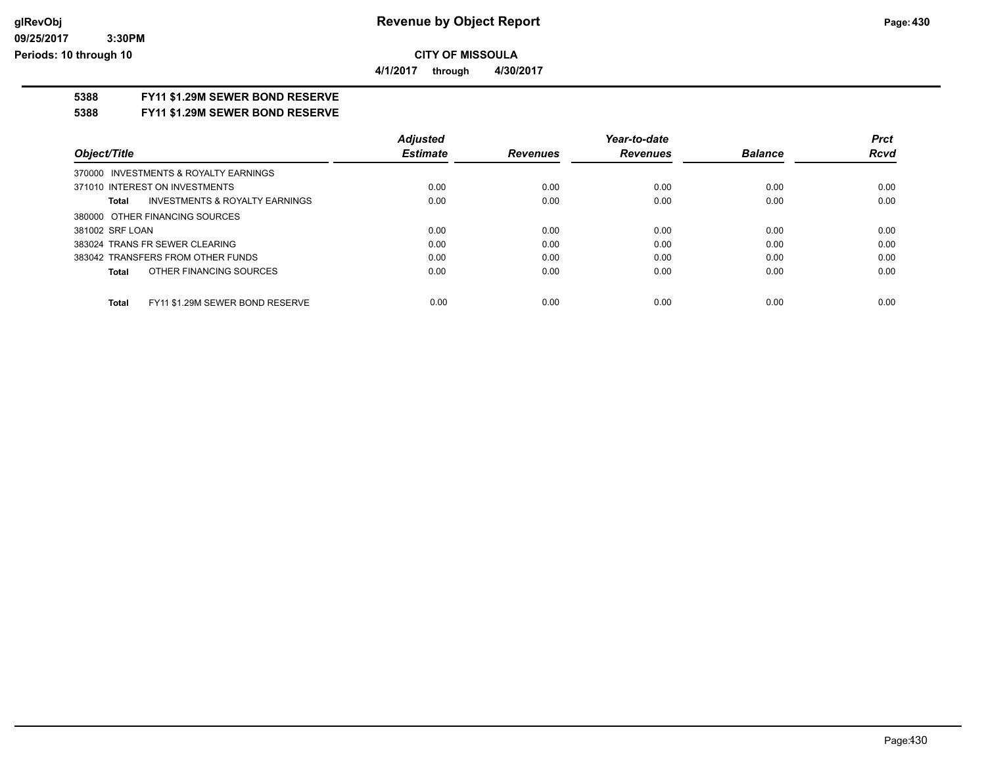**4/1/2017 through 4/30/2017**

# **5388 FY11 \$1.29M SEWER BOND RESERVE**

**5388 FY11 \$1.29M SEWER BOND RESERVE**

|                                          | <b>Adjusted</b> |                 | Year-to-date    |                | <b>Prct</b> |
|------------------------------------------|-----------------|-----------------|-----------------|----------------|-------------|
| Object/Title                             | <b>Estimate</b> | <b>Revenues</b> | <b>Revenues</b> | <b>Balance</b> | <b>Rcvd</b> |
| 370000 INVESTMENTS & ROYALTY EARNINGS    |                 |                 |                 |                |             |
| 371010 INTEREST ON INVESTMENTS           | 0.00            | 0.00            | 0.00            | 0.00           | 0.00        |
| INVESTMENTS & ROYALTY EARNINGS<br>Total  | 0.00            | 0.00            | 0.00            | 0.00           | 0.00        |
| 380000 OTHER FINANCING SOURCES           |                 |                 |                 |                |             |
| 381002 SRF LOAN                          | 0.00            | 0.00            | 0.00            | 0.00           | 0.00        |
| 383024 TRANS FR SEWER CLEARING           | 0.00            | 0.00            | 0.00            | 0.00           | 0.00        |
| 383042 TRANSFERS FROM OTHER FUNDS        | 0.00            | 0.00            | 0.00            | 0.00           | 0.00        |
| OTHER FINANCING SOURCES<br>Total         | 0.00            | 0.00            | 0.00            | 0.00           | 0.00        |
| FY11 \$1.29M SEWER BOND RESERVE<br>Total | 0.00            | 0.00            | 0.00            | 0.00           | 0.00        |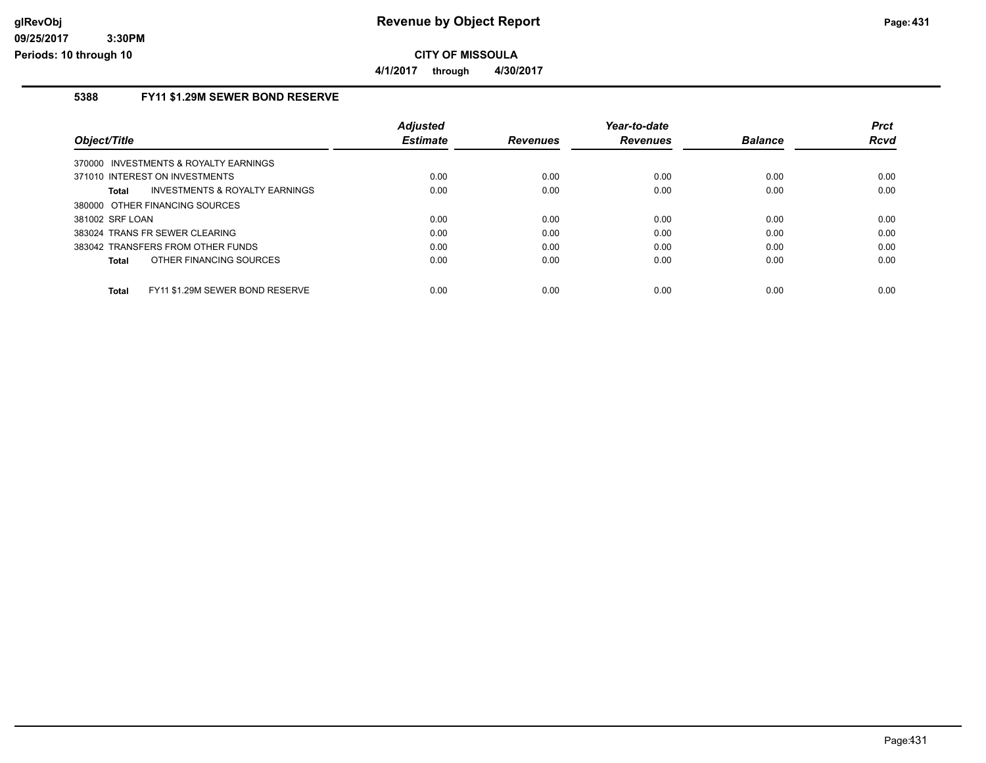**4/1/2017 through 4/30/2017**

## **5388 FY11 \$1.29M SEWER BOND RESERVE**

|                                                    | <b>Adiusted</b> |                 | Year-to-date    |                | <b>Prct</b> |
|----------------------------------------------------|-----------------|-----------------|-----------------|----------------|-------------|
| Object/Title                                       | <b>Estimate</b> | <b>Revenues</b> | <b>Revenues</b> | <b>Balance</b> | <b>Rcvd</b> |
| 370000 INVESTMENTS & ROYALTY EARNINGS              |                 |                 |                 |                |             |
| 371010 INTEREST ON INVESTMENTS                     | 0.00            | 0.00            | 0.00            | 0.00           | 0.00        |
| <b>INVESTMENTS &amp; ROYALTY EARNINGS</b><br>Total | 0.00            | 0.00            | 0.00            | 0.00           | 0.00        |
| 380000 OTHER FINANCING SOURCES                     |                 |                 |                 |                |             |
| 381002 SRF LOAN                                    | 0.00            | 0.00            | 0.00            | 0.00           | 0.00        |
| 383024 TRANS FR SEWER CLEARING                     | 0.00            | 0.00            | 0.00            | 0.00           | 0.00        |
| 383042 TRANSFERS FROM OTHER FUNDS                  | 0.00            | 0.00            | 0.00            | 0.00           | 0.00        |
| OTHER FINANCING SOURCES<br>Total                   | 0.00            | 0.00            | 0.00            | 0.00           | 0.00        |
| FY11 \$1.29M SEWER BOND RESERVE<br><b>Total</b>    | 0.00            | 0.00            | 0.00            | 0.00           | 0.00        |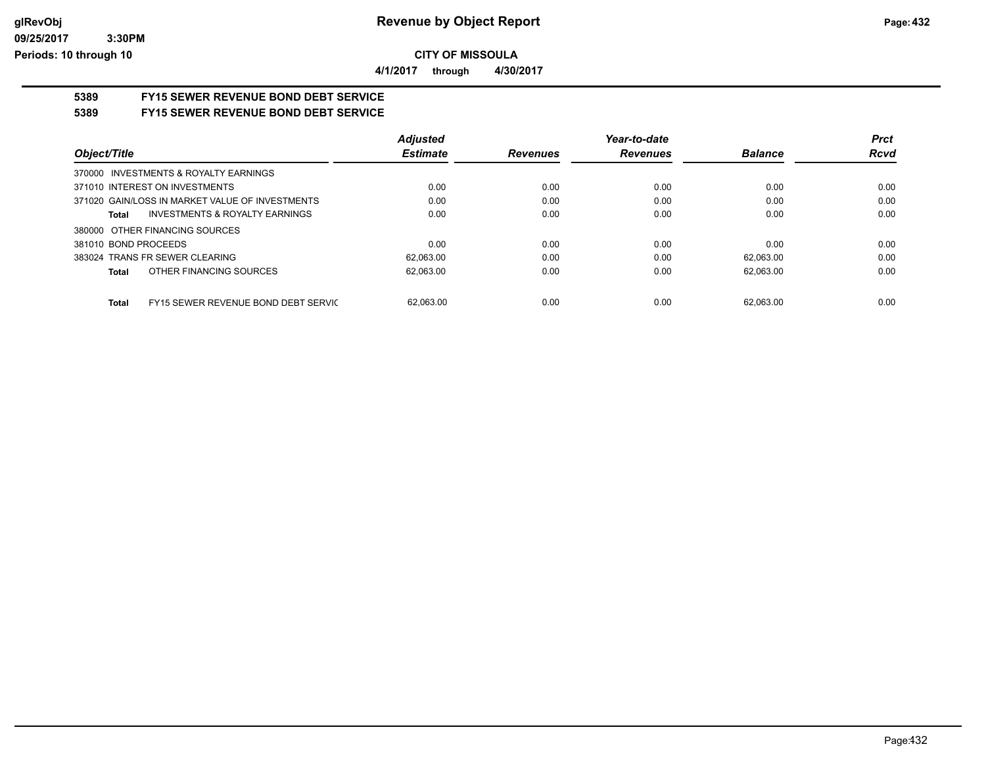**4/1/2017 through 4/30/2017**

# **5389 FY15 SEWER REVENUE BOND DEBT SERVICE**

# **5389 FY15 SEWER REVENUE BOND DEBT SERVICE**

|                                |                                                 | <b>Adjusted</b> |                 | Year-to-date    |                | <b>Prct</b> |
|--------------------------------|-------------------------------------------------|-----------------|-----------------|-----------------|----------------|-------------|
| Object/Title                   |                                                 | <b>Estimate</b> | <b>Revenues</b> | <b>Revenues</b> | <b>Balance</b> | <b>Rcvd</b> |
|                                | 370000 INVESTMENTS & ROYALTY EARNINGS           |                 |                 |                 |                |             |
| 371010 INTEREST ON INVESTMENTS |                                                 | 0.00            | 0.00            | 0.00            | 0.00           | 0.00        |
|                                | 371020 GAIN/LOSS IN MARKET VALUE OF INVESTMENTS | 0.00            | 0.00            | 0.00            | 0.00           | 0.00        |
| Total                          | <b>INVESTMENTS &amp; ROYALTY EARNINGS</b>       | 0.00            | 0.00            | 0.00            | 0.00           | 0.00        |
|                                | 380000 OTHER FINANCING SOURCES                  |                 |                 |                 |                |             |
| 381010 BOND PROCEEDS           |                                                 | 0.00            | 0.00            | 0.00            | 0.00           | 0.00        |
| 383024 TRANS FR SEWER CLEARING |                                                 | 62,063.00       | 0.00            | 0.00            | 62.063.00      | 0.00        |
| <b>Total</b>                   | OTHER FINANCING SOURCES                         | 62,063.00       | 0.00            | 0.00            | 62,063.00      | 0.00        |
| <b>Total</b>                   | FY15 SEWER REVENUE BOND DEBT SERVIC             | 62.063.00       | 0.00            | 0.00            | 62.063.00      | 0.00        |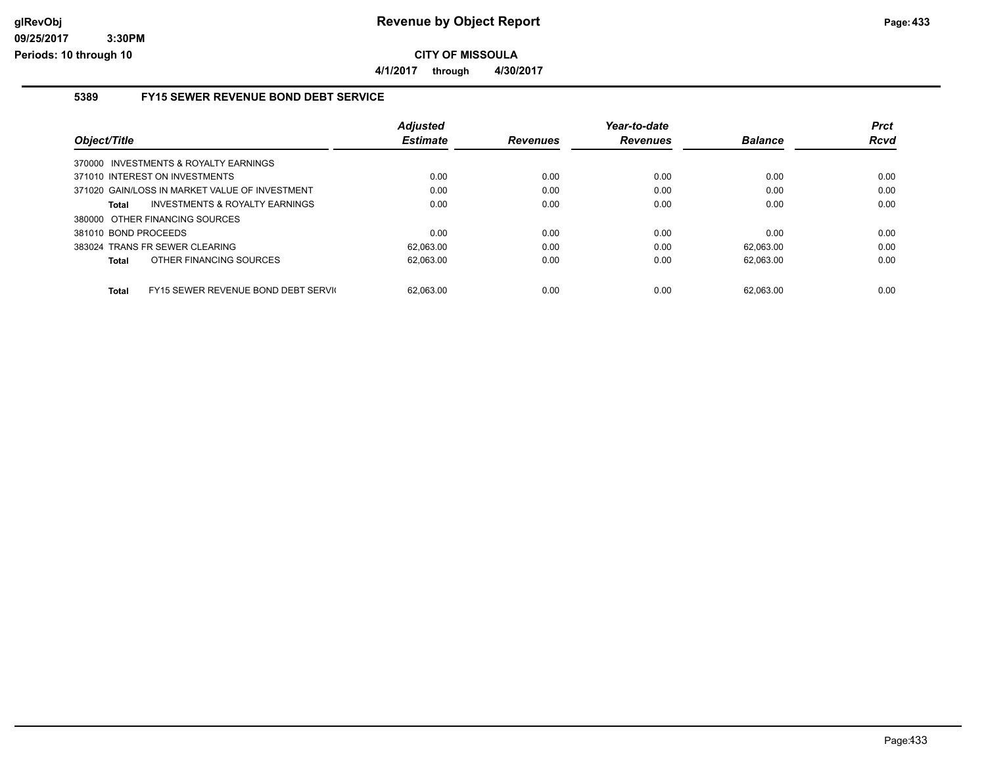**4/1/2017 through 4/30/2017**

#### **5389 FY15 SEWER REVENUE BOND DEBT SERVICE**

|                                       |                                                | <b>Adjusted</b> |                 | Year-to-date    |                | <b>Prct</b> |
|---------------------------------------|------------------------------------------------|-----------------|-----------------|-----------------|----------------|-------------|
| Object/Title                          |                                                | <b>Estimate</b> | <b>Revenues</b> | <b>Revenues</b> | <b>Balance</b> | <b>Rcvd</b> |
| 370000 INVESTMENTS & ROYALTY EARNINGS |                                                |                 |                 |                 |                |             |
| 371010 INTEREST ON INVESTMENTS        |                                                | 0.00            | 0.00            | 0.00            | 0.00           | 0.00        |
|                                       | 371020 GAIN/LOSS IN MARKET VALUE OF INVESTMENT | 0.00            | 0.00            | 0.00            | 0.00           | 0.00        |
| <b>Total</b>                          | INVESTMENTS & ROYALTY EARNINGS                 | 0.00            | 0.00            | 0.00            | 0.00           | 0.00        |
| 380000 OTHER FINANCING SOURCES        |                                                |                 |                 |                 |                |             |
| 381010 BOND PROCEEDS                  |                                                | 0.00            | 0.00            | 0.00            | 0.00           | 0.00        |
| 383024 TRANS FR SEWER CLEARING        |                                                | 62.063.00       | 0.00            | 0.00            | 62.063.00      | 0.00        |
| <b>Total</b>                          | OTHER FINANCING SOURCES                        | 62.063.00       | 0.00            | 0.00            | 62.063.00      | 0.00        |
| <b>Total</b>                          | <b>FY15 SEWER REVENUE BOND DEBT SERVICE</b>    | 62.063.00       | 0.00            | 0.00            | 62.063.00      | 0.00        |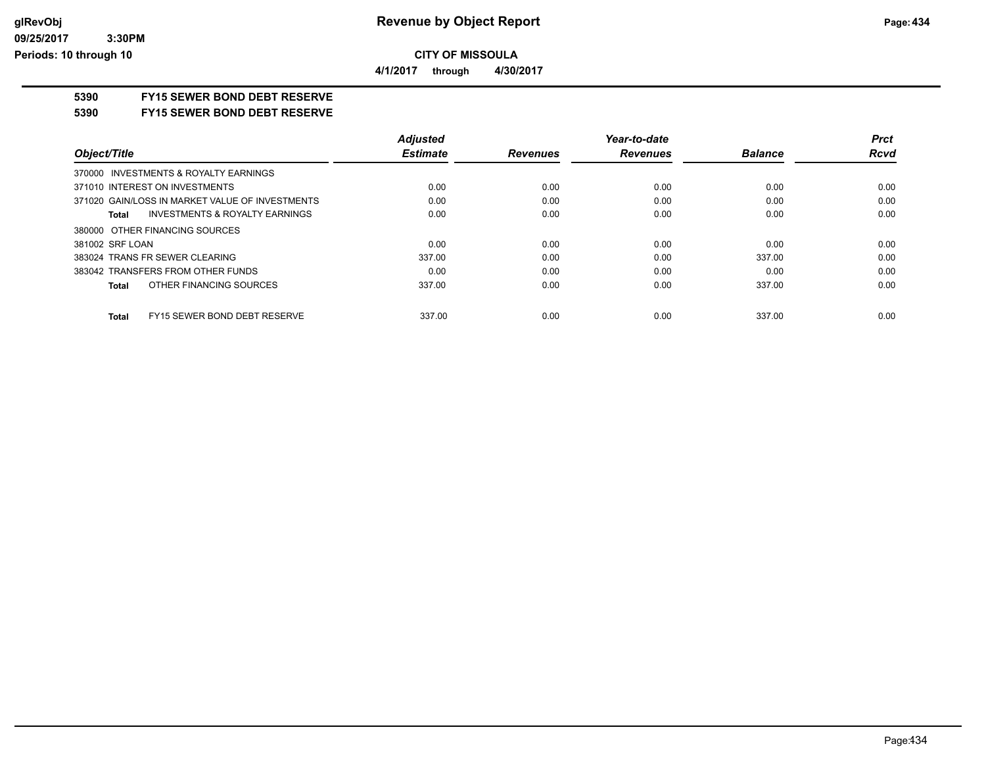**4/1/2017 through 4/30/2017**

### **5390 FY15 SEWER BOND DEBT RESERVE**

#### **5390 FY15 SEWER BOND DEBT RESERVE**

|                                                    | <b>Adjusted</b> |                 | Year-to-date    |                | <b>Prct</b> |
|----------------------------------------------------|-----------------|-----------------|-----------------|----------------|-------------|
| Object/Title                                       | <b>Estimate</b> | <b>Revenues</b> | <b>Revenues</b> | <b>Balance</b> | <b>Rcvd</b> |
| 370000 INVESTMENTS & ROYALTY EARNINGS              |                 |                 |                 |                |             |
| 371010 INTEREST ON INVESTMENTS                     | 0.00            | 0.00            | 0.00            | 0.00           | 0.00        |
| 371020 GAIN/LOSS IN MARKET VALUE OF INVESTMENTS    | 0.00            | 0.00            | 0.00            | 0.00           | 0.00        |
| <b>INVESTMENTS &amp; ROYALTY EARNINGS</b><br>Total | 0.00            | 0.00            | 0.00            | 0.00           | 0.00        |
| 380000 OTHER FINANCING SOURCES                     |                 |                 |                 |                |             |
| 381002 SRF LOAN                                    | 0.00            | 0.00            | 0.00            | 0.00           | 0.00        |
| 383024 TRANS FR SEWER CLEARING                     | 337.00          | 0.00            | 0.00            | 337.00         | 0.00        |
| 383042 TRANSFERS FROM OTHER FUNDS                  | 0.00            | 0.00            | 0.00            | 0.00           | 0.00        |
| OTHER FINANCING SOURCES<br>Total                   | 337.00          | 0.00            | 0.00            | 337.00         | 0.00        |
| FY15 SEWER BOND DEBT RESERVE<br>Total              | 337.00          | 0.00            | 0.00            | 337.00         | 0.00        |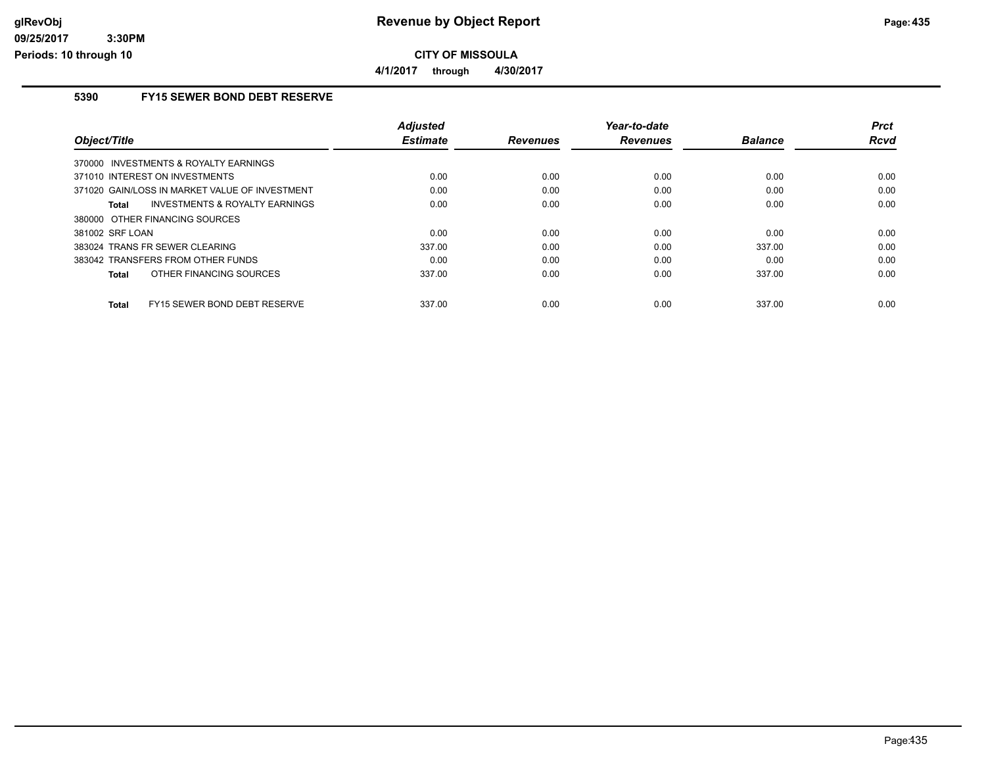**4/1/2017 through 4/30/2017**

#### **5390 FY15 SEWER BOND DEBT RESERVE**

| Object/Title                                       | <b>Adjusted</b><br><b>Estimate</b> | <b>Revenues</b> | Year-to-date<br><b>Revenues</b> | <b>Balance</b> | <b>Prct</b><br>Rcvd |
|----------------------------------------------------|------------------------------------|-----------------|---------------------------------|----------------|---------------------|
| INVESTMENTS & ROYALTY EARNINGS<br>370000           |                                    |                 |                                 |                |                     |
| 371010 INTEREST ON INVESTMENTS                     | 0.00                               | 0.00            | 0.00                            | 0.00           | 0.00                |
| 371020 GAIN/LOSS IN MARKET VALUE OF INVESTMENT     | 0.00                               | 0.00            | 0.00                            | 0.00           | 0.00                |
| <b>INVESTMENTS &amp; ROYALTY EARNINGS</b><br>Total | 0.00                               | 0.00            | 0.00                            | 0.00           | 0.00                |
| 380000 OTHER FINANCING SOURCES                     |                                    |                 |                                 |                |                     |
| 381002 SRF LOAN                                    | 0.00                               | 0.00            | 0.00                            | 0.00           | 0.00                |
| 383024 TRANS FR SEWER CLEARING                     | 337.00                             | 0.00            | 0.00                            | 337.00         | 0.00                |
| 383042 TRANSFERS FROM OTHER FUNDS                  | 0.00                               | 0.00            | 0.00                            | 0.00           | 0.00                |
| OTHER FINANCING SOURCES<br>Total                   | 337.00                             | 0.00            | 0.00                            | 337.00         | 0.00                |
| FY15 SEWER BOND DEBT RESERVE<br>Total              | 337.00                             | 0.00            | 0.00                            | 337.00         | 0.00                |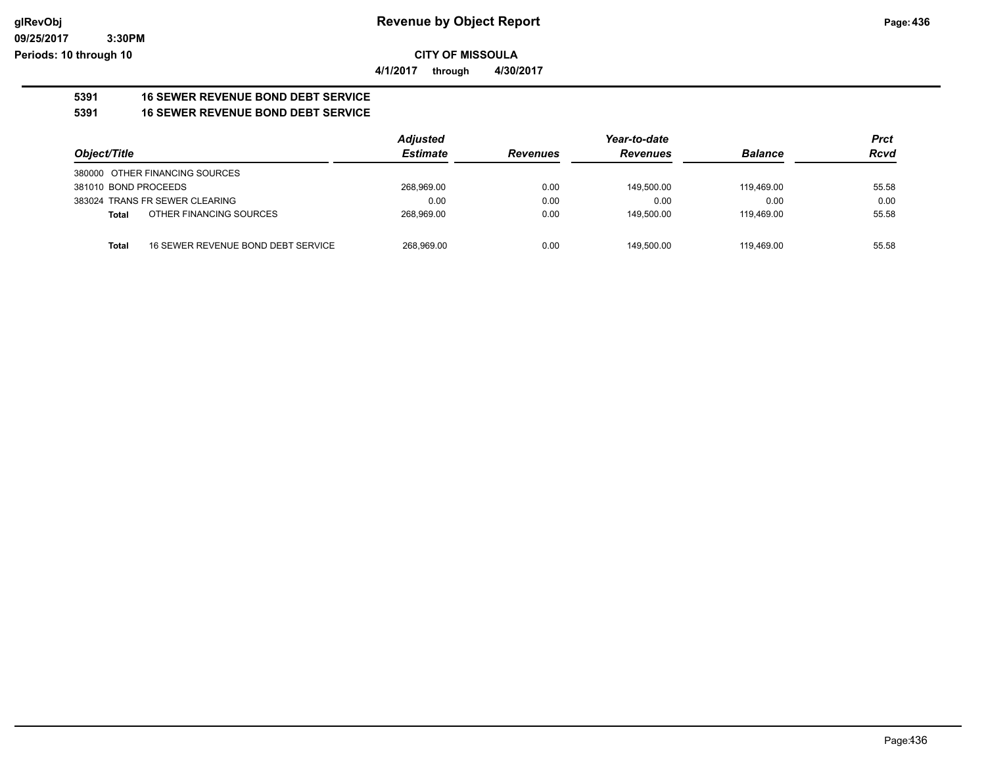**4/1/2017 through 4/30/2017**

#### **5391 16 SEWER REVENUE BOND DEBT SERVICE 5391 16 SEWER REVENUE BOND DEBT SERVICE**

|                                                    | <b>Adjusted</b> |                 | Year-to-date    |                | Prct        |
|----------------------------------------------------|-----------------|-----------------|-----------------|----------------|-------------|
| Object/Title                                       | <b>Estimate</b> | <b>Revenues</b> | <b>Revenues</b> | <b>Balance</b> | <b>Rcvd</b> |
| 380000 OTHER FINANCING SOURCES                     |                 |                 |                 |                |             |
| 381010 BOND PROCEEDS                               | 268,969.00      | 0.00            | 149.500.00      | 119.469.00     | 55.58       |
| 383024 TRANS FR SEWER CLEARING                     | 0.00            | 0.00            | 0.00            | 0.00           | 0.00        |
| OTHER FINANCING SOURCES<br>Total                   | 268.969.00      | 0.00            | 149.500.00      | 119.469.00     | 55.58       |
|                                                    |                 |                 |                 |                |             |
| 16 SEWER REVENUE BOND DEBT SERVICE<br><b>Total</b> | 268.969.00      | 0.00            | 149.500.00      | 119.469.00     | 55.58       |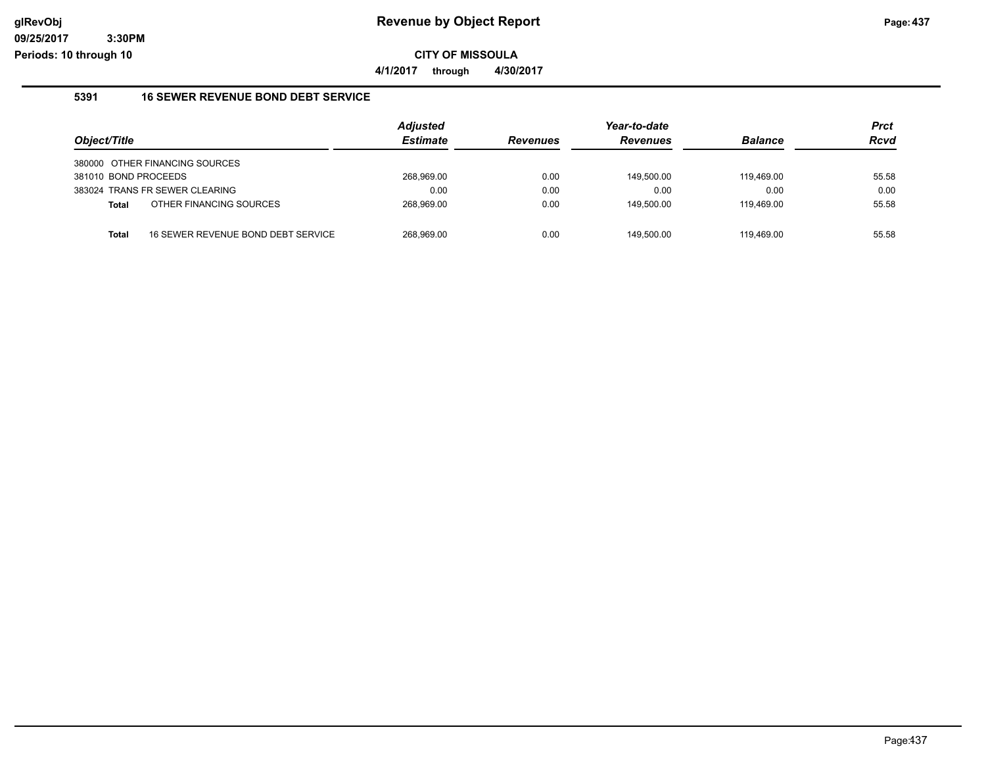**4/1/2017 through 4/30/2017**

#### **5391 16 SEWER REVENUE BOND DEBT SERVICE**

| Object/Title         |                                    | <b>Adjusted</b> |                 | Year-to-date    | <b>Balance</b> | <b>Prct</b> |
|----------------------|------------------------------------|-----------------|-----------------|-----------------|----------------|-------------|
|                      |                                    | <b>Estimate</b> | <b>Revenues</b> | <b>Revenues</b> |                | <b>Rcvd</b> |
|                      | 380000 OTHER FINANCING SOURCES     |                 |                 |                 |                |             |
| 381010 BOND PROCEEDS |                                    | 268.969.00      | 0.00            | 149.500.00      | 119.469.00     | 55.58       |
|                      | 383024 TRANS FR SEWER CLEARING     | 0.00            | 0.00            | 0.00            | 0.00           | 0.00        |
| Total                | OTHER FINANCING SOURCES            | 268,969.00      | 0.00            | 149.500.00      | 119.469.00     | 55.58       |
|                      |                                    |                 |                 |                 |                |             |
| <b>Total</b>         | 16 SEWER REVENUE BOND DEBT SERVICE | 268.969.00      | 0.00            | 149.500.00      | 119.469.00     | 55.58       |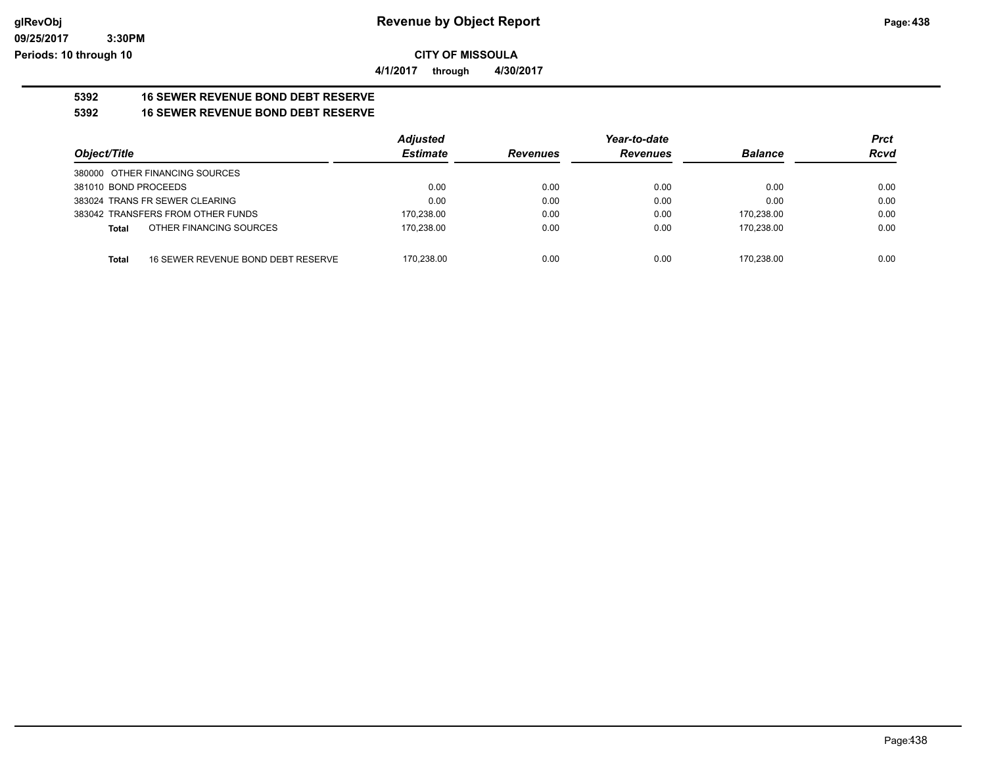**4/1/2017 through 4/30/2017**

# **5392 16 SEWER REVENUE BOND DEBT RESERVE**

## **5392 16 SEWER REVENUE BOND DEBT RESERVE**

|                                                    | <b>Adjusted</b> |                 | Year-to-date    |                | <b>Prct</b> |
|----------------------------------------------------|-----------------|-----------------|-----------------|----------------|-------------|
| Object/Title                                       | <b>Estimate</b> | <b>Revenues</b> | <b>Revenues</b> | <b>Balance</b> | Rcvd        |
| 380000 OTHER FINANCING SOURCES                     |                 |                 |                 |                |             |
| 381010 BOND PROCEEDS                               | 0.00            | 0.00            | 0.00            | 0.00           | 0.00        |
| 383024 TRANS FR SEWER CLEARING                     | 0.00            | 0.00            | 0.00            | 0.00           | 0.00        |
| 383042 TRANSFERS FROM OTHER FUNDS                  | 170.238.00      | 0.00            | 0.00            | 170.238.00     | 0.00        |
| OTHER FINANCING SOURCES<br>Total                   | 170.238.00      | 0.00            | 0.00            | 170.238.00     | 0.00        |
|                                                    |                 |                 |                 |                |             |
| 16 SEWER REVENUE BOND DEBT RESERVE<br><b>Total</b> | 170.238.00      | 0.00            | 0.00            | 170.238.00     | 0.00        |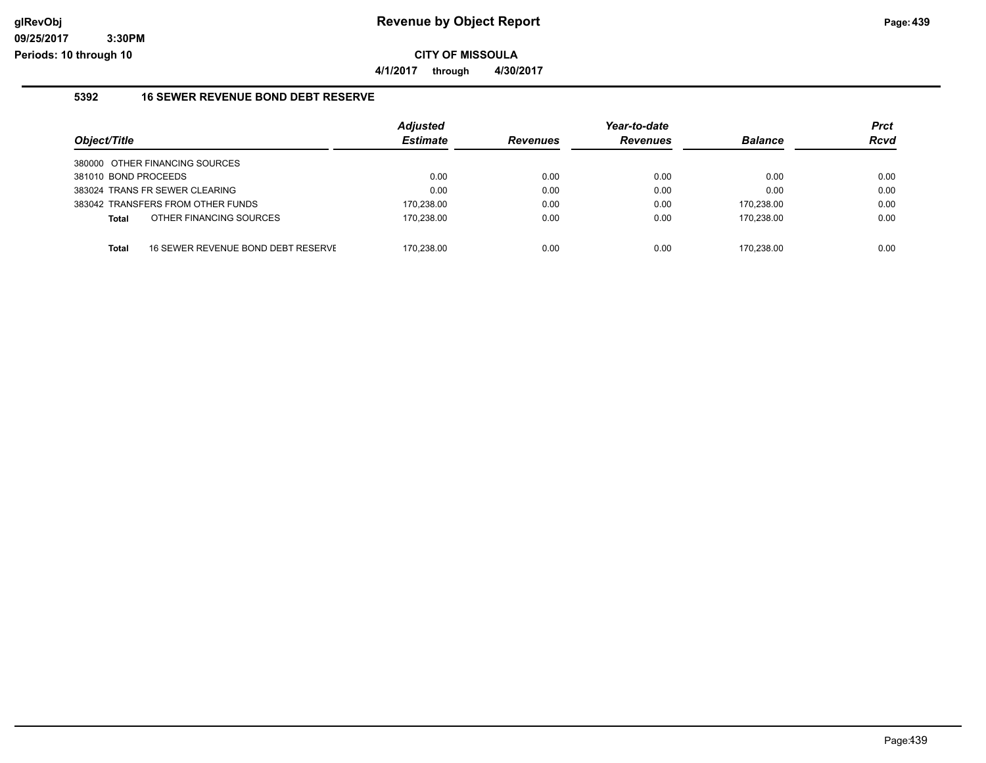**4/1/2017 through 4/30/2017**

#### **5392 16 SEWER REVENUE BOND DEBT RESERVE**

| Object/Title         |                                    | Adjusted<br><b>Estimate</b> | <b>Revenues</b> | Year-to-date<br><b>Revenues</b> | <b>Balance</b> | <b>Prct</b><br><b>Rcvd</b> |
|----------------------|------------------------------------|-----------------------------|-----------------|---------------------------------|----------------|----------------------------|
|                      | 380000 OTHER FINANCING SOURCES     |                             |                 |                                 |                |                            |
| 381010 BOND PROCEEDS |                                    | 0.00                        | 0.00            | 0.00                            | 0.00           | 0.00                       |
|                      | 383024 TRANS FR SEWER CLEARING     | 0.00                        | 0.00            | 0.00                            | 0.00           | 0.00                       |
|                      | 383042 TRANSFERS FROM OTHER FUNDS  | 170,238.00                  | 0.00            | 0.00                            | 170.238.00     | 0.00                       |
| <b>Total</b>         | OTHER FINANCING SOURCES            | 170,238.00                  | 0.00            | 0.00                            | 170.238.00     | 0.00                       |
| <b>Total</b>         | 16 SEWER REVENUE BOND DEBT RESERVE | 170.238.00                  | 0.00            | 0.00                            | 170.238.00     | 0.00                       |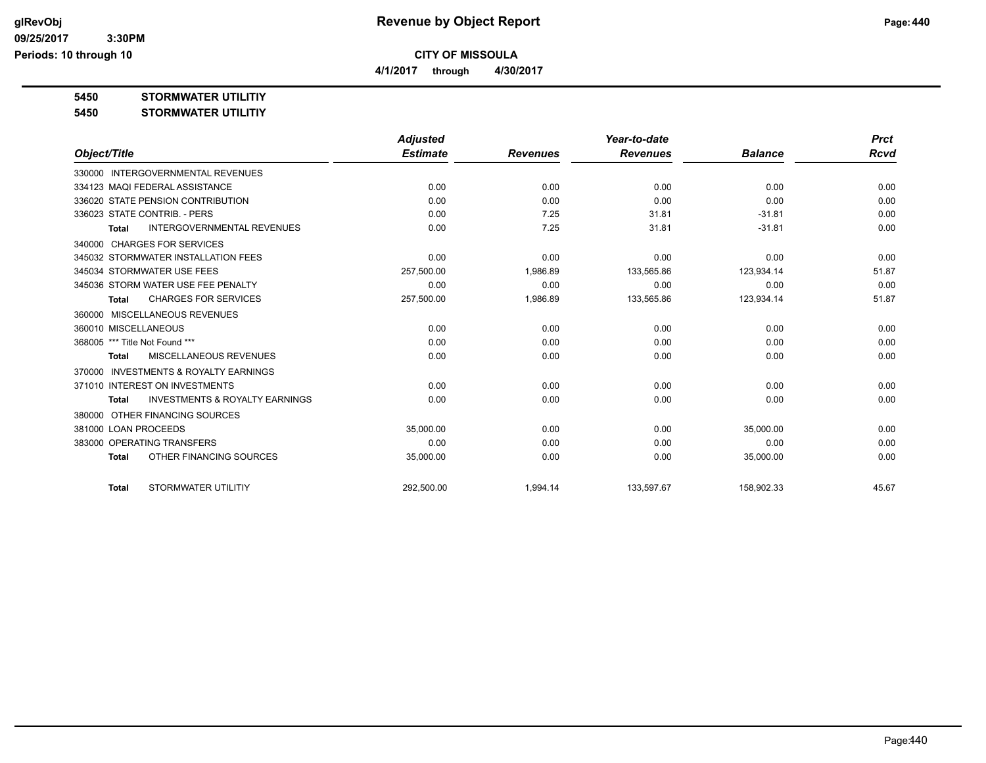**4/1/2017 through 4/30/2017**

**5450 STORMWATER UTILITIY**

**5450 STORMWATER UTILITIY**

|                                                           | <b>Adjusted</b> |                 | Year-to-date    |                | <b>Prct</b> |
|-----------------------------------------------------------|-----------------|-----------------|-----------------|----------------|-------------|
| Object/Title                                              | <b>Estimate</b> | <b>Revenues</b> | <b>Revenues</b> | <b>Balance</b> | <b>Rcvd</b> |
| 330000 INTERGOVERNMENTAL REVENUES                         |                 |                 |                 |                |             |
| 334123 MAQI FEDERAL ASSISTANCE                            | 0.00            | 0.00            | 0.00            | 0.00           | 0.00        |
| 336020 STATE PENSION CONTRIBUTION                         | 0.00            | 0.00            | 0.00            | 0.00           | 0.00        |
| 336023 STATE CONTRIB. - PERS                              | 0.00            | 7.25            | 31.81           | $-31.81$       | 0.00        |
| <b>INTERGOVERNMENTAL REVENUES</b><br><b>Total</b>         | 0.00            | 7.25            | 31.81           | $-31.81$       | 0.00        |
| 340000 CHARGES FOR SERVICES                               |                 |                 |                 |                |             |
| 345032 STORMWATER INSTALLATION FEES                       | 0.00            | 0.00            | 0.00            | 0.00           | 0.00        |
| 345034 STORMWATER USE FEES                                | 257,500.00      | 1,986.89        | 133,565.86      | 123,934.14     | 51.87       |
| 345036 STORM WATER USE FEE PENALTY                        | 0.00            | 0.00            | 0.00            | 0.00           | 0.00        |
| <b>CHARGES FOR SERVICES</b><br><b>Total</b>               | 257,500.00      | 1,986.89        | 133,565.86      | 123,934.14     | 51.87       |
| 360000 MISCELLANEOUS REVENUES                             |                 |                 |                 |                |             |
| 360010 MISCELLANEOUS                                      | 0.00            | 0.00            | 0.00            | 0.00           | 0.00        |
| 368005 *** Title Not Found ***                            | 0.00            | 0.00            | 0.00            | 0.00           | 0.00        |
| MISCELLANEOUS REVENUES<br><b>Total</b>                    | 0.00            | 0.00            | 0.00            | 0.00           | 0.00        |
| <b>INVESTMENTS &amp; ROYALTY EARNINGS</b><br>370000       |                 |                 |                 |                |             |
| 371010 INTEREST ON INVESTMENTS                            | 0.00            | 0.00            | 0.00            | 0.00           | 0.00        |
| <b>INVESTMENTS &amp; ROYALTY EARNINGS</b><br><b>Total</b> | 0.00            | 0.00            | 0.00            | 0.00           | 0.00        |
| 380000 OTHER FINANCING SOURCES                            |                 |                 |                 |                |             |
| 381000 LOAN PROCEEDS                                      | 35,000.00       | 0.00            | 0.00            | 35,000.00      | 0.00        |
| 383000 OPERATING TRANSFERS                                | 0.00            | 0.00            | 0.00            | 0.00           | 0.00        |
| OTHER FINANCING SOURCES<br><b>Total</b>                   | 35,000.00       | 0.00            | 0.00            | 35,000.00      | 0.00        |
| STORMWATER UTILITIY<br><b>Total</b>                       | 292.500.00      | 1,994.14        | 133.597.67      | 158.902.33     | 45.67       |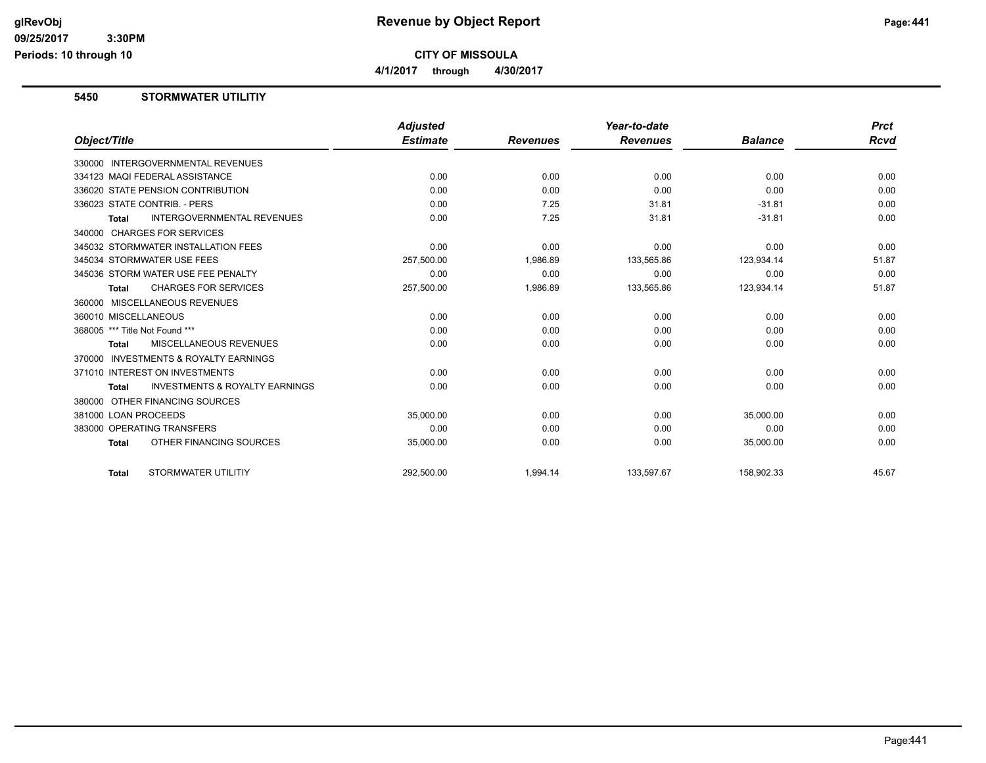**4/1/2017 through 4/30/2017**

#### **5450 STORMWATER UTILITIY**

|                                                           | <b>Adjusted</b> |                 | Year-to-date    |                | <b>Prct</b> |
|-----------------------------------------------------------|-----------------|-----------------|-----------------|----------------|-------------|
| Object/Title                                              | <b>Estimate</b> | <b>Revenues</b> | <b>Revenues</b> | <b>Balance</b> | <b>Rcvd</b> |
| 330000 INTERGOVERNMENTAL REVENUES                         |                 |                 |                 |                |             |
| 334123 MAQI FEDERAL ASSISTANCE                            | 0.00            | 0.00            | 0.00            | 0.00           | 0.00        |
| 336020 STATE PENSION CONTRIBUTION                         | 0.00            | 0.00            | 0.00            | 0.00           | 0.00        |
| 336023 STATE CONTRIB. - PERS                              | 0.00            | 7.25            | 31.81           | $-31.81$       | 0.00        |
| <b>INTERGOVERNMENTAL REVENUES</b><br><b>Total</b>         | 0.00            | 7.25            | 31.81           | $-31.81$       | 0.00        |
| 340000 CHARGES FOR SERVICES                               |                 |                 |                 |                |             |
| 345032 STORMWATER INSTALLATION FEES                       | 0.00            | 0.00            | 0.00            | 0.00           | 0.00        |
| 345034 STORMWATER USE FEES                                | 257,500.00      | 1,986.89        | 133,565.86      | 123,934.14     | 51.87       |
| 345036 STORM WATER USE FEE PENALTY                        | 0.00            | 0.00            | 0.00            | 0.00           | 0.00        |
| <b>CHARGES FOR SERVICES</b><br><b>Total</b>               | 257,500.00      | 1,986.89        | 133,565.86      | 123,934.14     | 51.87       |
| 360000 MISCELLANEOUS REVENUES                             |                 |                 |                 |                |             |
| 360010 MISCELLANEOUS                                      | 0.00            | 0.00            | 0.00            | 0.00           | 0.00        |
| 368005 *** Title Not Found ***                            | 0.00            | 0.00            | 0.00            | 0.00           | 0.00        |
| <b>MISCELLANEOUS REVENUES</b><br><b>Total</b>             | 0.00            | 0.00            | 0.00            | 0.00           | 0.00        |
| <b>INVESTMENTS &amp; ROYALTY EARNINGS</b><br>370000       |                 |                 |                 |                |             |
| 371010 INTEREST ON INVESTMENTS                            | 0.00            | 0.00            | 0.00            | 0.00           | 0.00        |
| <b>INVESTMENTS &amp; ROYALTY EARNINGS</b><br><b>Total</b> | 0.00            | 0.00            | 0.00            | 0.00           | 0.00        |
| 380000 OTHER FINANCING SOURCES                            |                 |                 |                 |                |             |
| 381000 LOAN PROCEEDS                                      | 35,000.00       | 0.00            | 0.00            | 35,000.00      | 0.00        |
| 383000 OPERATING TRANSFERS                                | 0.00            | 0.00            | 0.00            | 0.00           | 0.00        |
| OTHER FINANCING SOURCES<br><b>Total</b>                   | 35,000.00       | 0.00            | 0.00            | 35,000.00      | 0.00        |
| STORMWATER UTILITIY<br><b>Total</b>                       | 292.500.00      | 1.994.14        | 133.597.67      | 158.902.33     | 45.67       |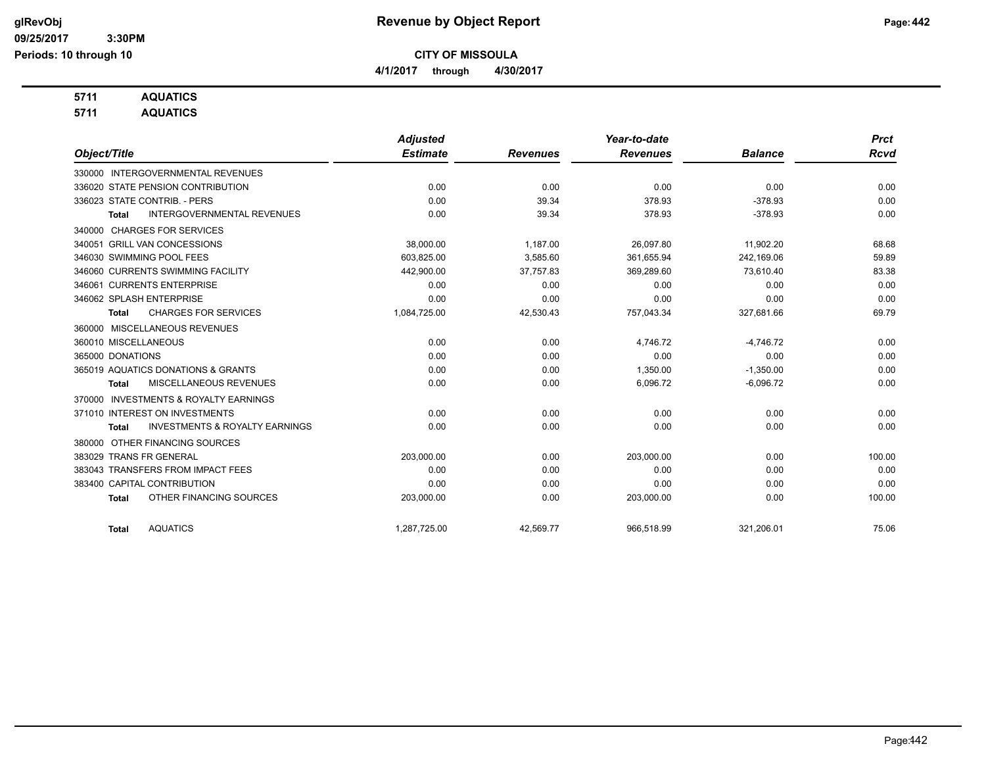**4/1/2017 through 4/30/2017**

# **5711 AQUATICS**

**5711 AQUATICS**

|                                                           | <b>Adjusted</b> |                 | Year-to-date    |                | <b>Prct</b> |
|-----------------------------------------------------------|-----------------|-----------------|-----------------|----------------|-------------|
| Object/Title                                              | <b>Estimate</b> | <b>Revenues</b> | <b>Revenues</b> | <b>Balance</b> | <b>Rcvd</b> |
| 330000 INTERGOVERNMENTAL REVENUES                         |                 |                 |                 |                |             |
| 336020 STATE PENSION CONTRIBUTION                         | 0.00            | 0.00            | 0.00            | 0.00           | 0.00        |
| 336023 STATE CONTRIB. - PERS                              | 0.00            | 39.34           | 378.93          | $-378.93$      | 0.00        |
| <b>INTERGOVERNMENTAL REVENUES</b><br><b>Total</b>         | 0.00            | 39.34           | 378.93          | $-378.93$      | 0.00        |
| <b>CHARGES FOR SERVICES</b><br>340000                     |                 |                 |                 |                |             |
| 340051 GRILL VAN CONCESSIONS                              | 38,000.00       | 1,187.00        | 26,097.80       | 11,902.20      | 68.68       |
| 346030 SWIMMING POOL FEES                                 | 603,825.00      | 3,585.60        | 361,655.94      | 242,169.06     | 59.89       |
| 346060 CURRENTS SWIMMING FACILITY                         | 442,900.00      | 37,757.83       | 369,289.60      | 73,610.40      | 83.38       |
| 346061 CURRENTS ENTERPRISE                                | 0.00            | 0.00            | 0.00            | 0.00           | 0.00        |
| 346062 SPLASH ENTERPRISE                                  | 0.00            | 0.00            | 0.00            | 0.00           | 0.00        |
| <b>CHARGES FOR SERVICES</b><br><b>Total</b>               | 1,084,725.00    | 42,530.43       | 757,043.34      | 327,681.66     | 69.79       |
| 360000 MISCELLANEOUS REVENUES                             |                 |                 |                 |                |             |
| 360010 MISCELLANEOUS                                      | 0.00            | 0.00            | 4,746.72        | $-4,746.72$    | 0.00        |
| 365000 DONATIONS                                          | 0.00            | 0.00            | 0.00            | 0.00           | 0.00        |
| 365019 AQUATICS DONATIONS & GRANTS                        | 0.00            | 0.00            | 1,350.00        | $-1,350.00$    | 0.00        |
| MISCELLANEOUS REVENUES<br><b>Total</b>                    | 0.00            | 0.00            | 6,096.72        | $-6,096.72$    | 0.00        |
| 370000 INVESTMENTS & ROYALTY EARNINGS                     |                 |                 |                 |                |             |
| 371010 INTEREST ON INVESTMENTS                            | 0.00            | 0.00            | 0.00            | 0.00           | 0.00        |
| <b>INVESTMENTS &amp; ROYALTY EARNINGS</b><br><b>Total</b> | 0.00            | 0.00            | 0.00            | 0.00           | 0.00        |
| 380000 OTHER FINANCING SOURCES                            |                 |                 |                 |                |             |
| 383029 TRANS FR GENERAL                                   | 203,000.00      | 0.00            | 203,000.00      | 0.00           | 100.00      |
| 383043 TRANSFERS FROM IMPACT FEES                         | 0.00            | 0.00            | 0.00            | 0.00           | 0.00        |
| 383400 CAPITAL CONTRIBUTION                               | 0.00            | 0.00            | 0.00            | 0.00           | 0.00        |
| OTHER FINANCING SOURCES<br><b>Total</b>                   | 203,000.00      | 0.00            | 203,000.00      | 0.00           | 100.00      |
| <b>AQUATICS</b><br><b>Total</b>                           | 1,287,725.00    | 42,569.77       | 966,518.99      | 321,206.01     | 75.06       |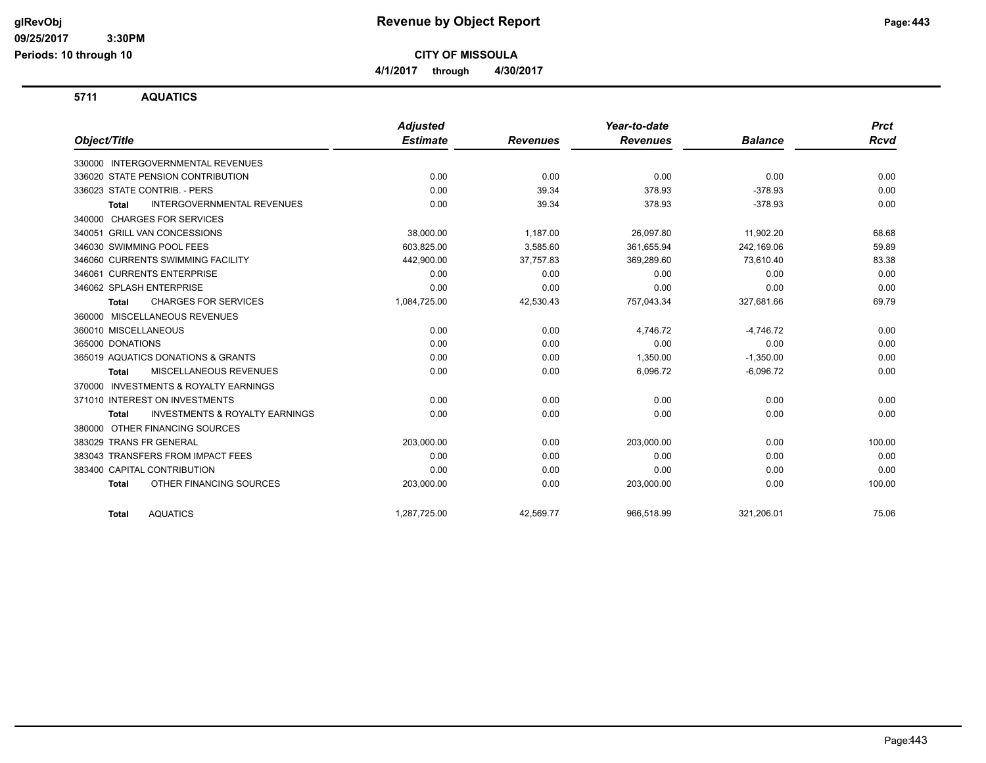**4/1/2017 through 4/30/2017**

**5711 AQUATICS**

|                                                           | <b>Adjusted</b> |                 | Year-to-date    |                | <b>Prct</b> |
|-----------------------------------------------------------|-----------------|-----------------|-----------------|----------------|-------------|
| Object/Title                                              | <b>Estimate</b> | <b>Revenues</b> | <b>Revenues</b> | <b>Balance</b> | Rcvd        |
| INTERGOVERNMENTAL REVENUES<br>330000                      |                 |                 |                 |                |             |
| 336020 STATE PENSION CONTRIBUTION                         | 0.00            | 0.00            | 0.00            | 0.00           | 0.00        |
| 336023 STATE CONTRIB. - PERS                              | 0.00            | 39.34           | 378.93          | $-378.93$      | 0.00        |
| <b>INTERGOVERNMENTAL REVENUES</b><br><b>Total</b>         | 0.00            | 39.34           | 378.93          | $-378.93$      | 0.00        |
| 340000 CHARGES FOR SERVICES                               |                 |                 |                 |                |             |
| 340051 GRILL VAN CONCESSIONS                              | 38,000.00       | 1.187.00        | 26,097.80       | 11,902.20      | 68.68       |
| 346030 SWIMMING POOL FEES                                 | 603,825.00      | 3,585.60        | 361,655.94      | 242,169.06     | 59.89       |
| 346060 CURRENTS SWIMMING FACILITY                         | 442,900.00      | 37,757.83       | 369,289.60      | 73.610.40      | 83.38       |
| 346061 CURRENTS ENTERPRISE                                | 0.00            | 0.00            | 0.00            | 0.00           | 0.00        |
| 346062 SPLASH ENTERPRISE                                  | 0.00            | 0.00            | 0.00            | 0.00           | 0.00        |
| <b>CHARGES FOR SERVICES</b><br><b>Total</b>               | 1,084,725.00    | 42,530.43       | 757,043.34      | 327,681.66     | 69.79       |
| 360000 MISCELLANEOUS REVENUES                             |                 |                 |                 |                |             |
| 360010 MISCELLANEOUS                                      | 0.00            | 0.00            | 4,746.72        | $-4,746.72$    | 0.00        |
| 365000 DONATIONS                                          | 0.00            | 0.00            | 0.00            | 0.00           | 0.00        |
| 365019 AQUATICS DONATIONS & GRANTS                        | 0.00            | 0.00            | 1,350.00        | $-1,350.00$    | 0.00        |
| MISCELLANEOUS REVENUES<br><b>Total</b>                    | 0.00            | 0.00            | 6,096.72        | $-6,096.72$    | 0.00        |
| <b>INVESTMENTS &amp; ROYALTY EARNINGS</b><br>370000       |                 |                 |                 |                |             |
| 371010 INTEREST ON INVESTMENTS                            | 0.00            | 0.00            | 0.00            | 0.00           | 0.00        |
| <b>INVESTMENTS &amp; ROYALTY EARNINGS</b><br><b>Total</b> | 0.00            | 0.00            | 0.00            | 0.00           | 0.00        |
| OTHER FINANCING SOURCES<br>380000                         |                 |                 |                 |                |             |
| 383029 TRANS FR GENERAL                                   | 203,000.00      | 0.00            | 203,000.00      | 0.00           | 100.00      |
| 383043 TRANSFERS FROM IMPACT FEES                         | 0.00            | 0.00            | 0.00            | 0.00           | 0.00        |
| 383400 CAPITAL CONTRIBUTION                               | 0.00            | 0.00            | 0.00            | 0.00           | 0.00        |
| OTHER FINANCING SOURCES<br><b>Total</b>                   | 203,000.00      | 0.00            | 203,000.00      | 0.00           | 100.00      |
| <b>AQUATICS</b><br><b>Total</b>                           | 1,287,725.00    | 42,569.77       | 966,518.99      | 321,206.01     | 75.06       |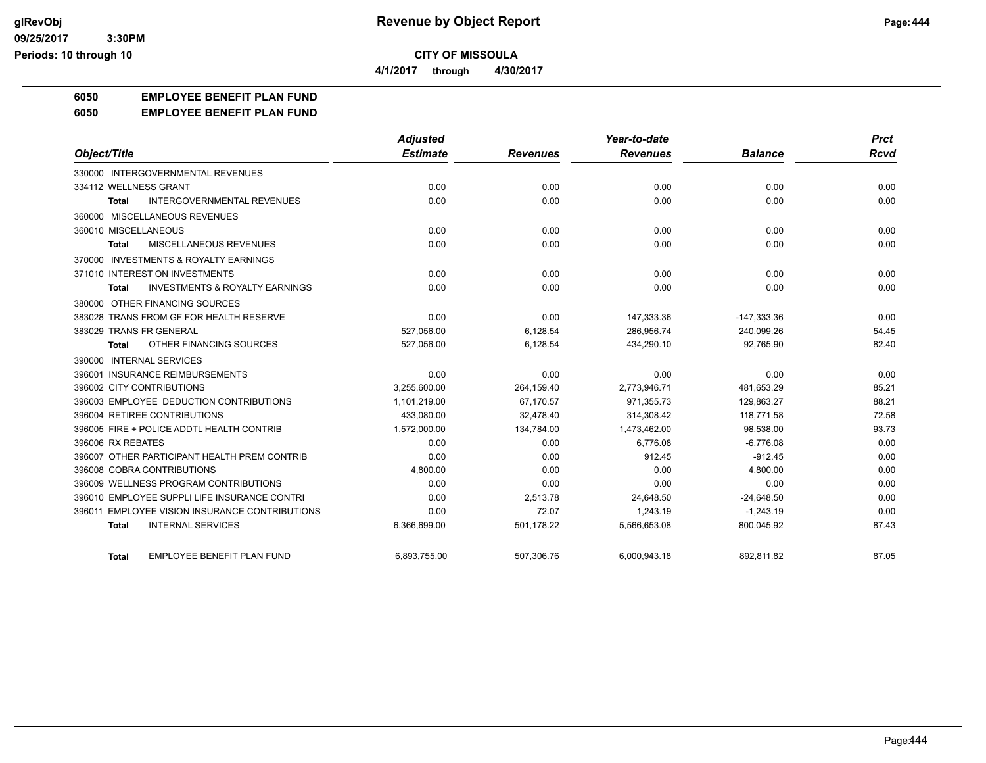**4/1/2017 through 4/30/2017**

#### **6050 EMPLOYEE BENEFIT PLAN FUND**

#### **6050 EMPLOYEE BENEFIT PLAN FUND**

|                                                           | <b>Adjusted</b> |                 | Year-to-date    |                | <b>Prct</b> |
|-----------------------------------------------------------|-----------------|-----------------|-----------------|----------------|-------------|
| Object/Title                                              | <b>Estimate</b> | <b>Revenues</b> | <b>Revenues</b> | <b>Balance</b> | <b>Rcvd</b> |
| 330000 INTERGOVERNMENTAL REVENUES                         |                 |                 |                 |                |             |
| 334112 WELLNESS GRANT                                     | 0.00            | 0.00            | 0.00            | 0.00           | 0.00        |
| <b>INTERGOVERNMENTAL REVENUES</b><br>Total                | 0.00            | 0.00            | 0.00            | 0.00           | 0.00        |
| 360000 MISCELLANEOUS REVENUES                             |                 |                 |                 |                |             |
| 360010 MISCELLANEOUS                                      | 0.00            | 0.00            | 0.00            | 0.00           | 0.00        |
| MISCELLANEOUS REVENUES<br><b>Total</b>                    | 0.00            | 0.00            | 0.00            | 0.00           | 0.00        |
| 370000 INVESTMENTS & ROYALTY EARNINGS                     |                 |                 |                 |                |             |
| 371010 INTEREST ON INVESTMENTS                            | 0.00            | 0.00            | 0.00            | 0.00           | 0.00        |
| <b>INVESTMENTS &amp; ROYALTY EARNINGS</b><br><b>Total</b> | 0.00            | 0.00            | 0.00            | 0.00           | 0.00        |
| 380000 OTHER FINANCING SOURCES                            |                 |                 |                 |                |             |
| 383028 TRANS FROM GF FOR HEALTH RESERVE                   | 0.00            | 0.00            | 147,333.36      | $-147,333.36$  | 0.00        |
| 383029 TRANS FR GENERAL                                   | 527.056.00      | 6,128.54        | 286.956.74      | 240.099.26     | 54.45       |
| OTHER FINANCING SOURCES<br>Total                          | 527,056.00      | 6,128.54        | 434,290.10      | 92,765.90      | 82.40       |
| 390000 INTERNAL SERVICES                                  |                 |                 |                 |                |             |
| 396001 INSURANCE REIMBURSEMENTS                           | 0.00            | 0.00            | 0.00            | 0.00           | 0.00        |
| 396002 CITY CONTRIBUTIONS                                 | 3.255.600.00    | 264,159.40      | 2,773,946.71    | 481,653.29     | 85.21       |
| 396003 EMPLOYEE DEDUCTION CONTRIBUTIONS                   | 1,101,219.00    | 67,170.57       | 971,355.73      | 129,863.27     | 88.21       |
| 396004 RETIREE CONTRIBUTIONS                              | 433,080.00      | 32,478.40       | 314,308.42      | 118.771.58     | 72.58       |
| 396005 FIRE + POLICE ADDTL HEALTH CONTRIB                 | 1.572.000.00    | 134,784.00      | 1.473.462.00    | 98.538.00      | 93.73       |
| 396006 RX REBATES                                         | 0.00            | 0.00            | 6,776.08        | $-6,776.08$    | 0.00        |
| 396007 OTHER PARTICIPANT HEALTH PREM CONTRIB              | 0.00            | 0.00            | 912.45          | $-912.45$      | 0.00        |
| 396008 COBRA CONTRIBUTIONS                                | 4,800.00        | 0.00            | 0.00            | 4,800.00       | 0.00        |
| 396009 WELLNESS PROGRAM CONTRIBUTIONS                     | 0.00            | 0.00            | 0.00            | 0.00           | 0.00        |
| 396010 EMPLOYEE SUPPLI LIFE INSURANCE CONTRI              | 0.00            | 2,513.78        | 24,648.50       | $-24,648.50$   | 0.00        |
| <b>EMPLOYEE VISION INSURANCE CONTRIBUTIONS</b><br>396011  | 0.00            | 72.07           | 1,243.19        | $-1,243.19$    | 0.00        |
| <b>INTERNAL SERVICES</b><br><b>Total</b>                  | 6,366,699.00    | 501,178.22      | 5,566,653.08    | 800,045.92     | 87.43       |
| <b>EMPLOYEE BENEFIT PLAN FUND</b><br><b>Total</b>         | 6,893,755.00    | 507,306.76      | 6,000,943.18    | 892,811.82     | 87.05       |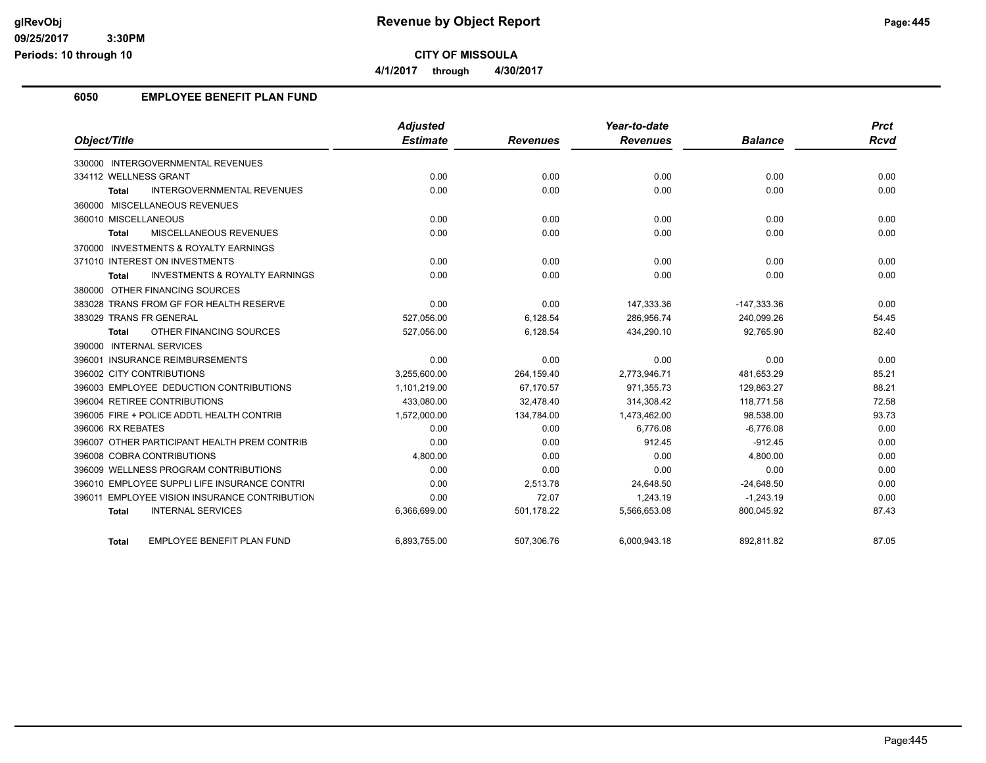**4/1/2017 through 4/30/2017**

#### **6050 EMPLOYEE BENEFIT PLAN FUND**

|                                                           | <b>Adjusted</b> |                 | Year-to-date    |                | <b>Prct</b> |
|-----------------------------------------------------------|-----------------|-----------------|-----------------|----------------|-------------|
| Object/Title                                              | <b>Estimate</b> | <b>Revenues</b> | <b>Revenues</b> | <b>Balance</b> | Rcvd        |
| 330000 INTERGOVERNMENTAL REVENUES                         |                 |                 |                 |                |             |
| 334112 WELLNESS GRANT                                     | 0.00            | 0.00            | 0.00            | 0.00           | 0.00        |
| <b>INTERGOVERNMENTAL REVENUES</b><br>Total                | 0.00            | 0.00            | 0.00            | 0.00           | 0.00        |
| 360000 MISCELLANEOUS REVENUES                             |                 |                 |                 |                |             |
| 360010 MISCELLANEOUS                                      | 0.00            | 0.00            | 0.00            | 0.00           | 0.00        |
| <b>MISCELLANEOUS REVENUES</b><br><b>Total</b>             | 0.00            | 0.00            | 0.00            | 0.00           | 0.00        |
| 370000 INVESTMENTS & ROYALTY EARNINGS                     |                 |                 |                 |                |             |
| 371010 INTEREST ON INVESTMENTS                            | 0.00            | 0.00            | 0.00            | 0.00           | 0.00        |
| <b>INVESTMENTS &amp; ROYALTY EARNINGS</b><br><b>Total</b> | 0.00            | 0.00            | 0.00            | 0.00           | 0.00        |
| 380000 OTHER FINANCING SOURCES                            |                 |                 |                 |                |             |
| 383028 TRANS FROM GF FOR HEALTH RESERVE                   | 0.00            | 0.00            | 147,333.36      | $-147,333.36$  | 0.00        |
| 383029 TRANS FR GENERAL                                   | 527.056.00      | 6,128.54        | 286,956.74      | 240,099.26     | 54.45       |
| OTHER FINANCING SOURCES<br>Total                          | 527,056.00      | 6,128.54        | 434,290.10      | 92,765.90      | 82.40       |
| 390000 INTERNAL SERVICES                                  |                 |                 |                 |                |             |
| 396001 INSURANCE REIMBURSEMENTS                           | 0.00            | 0.00            | 0.00            | 0.00           | 0.00        |
| 396002 CITY CONTRIBUTIONS                                 | 3,255,600.00    | 264,159.40      | 2,773,946.71    | 481,653.29     | 85.21       |
| 396003 EMPLOYEE DEDUCTION CONTRIBUTIONS                   | 1,101,219.00    | 67,170.57       | 971,355.73      | 129,863.27     | 88.21       |
| 396004 RETIREE CONTRIBUTIONS                              | 433,080.00      | 32,478.40       | 314,308.42      | 118,771.58     | 72.58       |
| 396005 FIRE + POLICE ADDTL HEALTH CONTRIB                 | 1,572,000.00    | 134,784.00      | 1,473,462.00    | 98,538.00      | 93.73       |
| 396006 RX REBATES                                         | 0.00            | 0.00            | 6,776.08        | $-6,776.08$    | 0.00        |
| 396007 OTHER PARTICIPANT HEALTH PREM CONTRIB              | 0.00            | 0.00            | 912.45          | $-912.45$      | 0.00        |
| 396008 COBRA CONTRIBUTIONS                                | 4,800.00        | 0.00            | 0.00            | 4.800.00       | 0.00        |
| 396009 WELLNESS PROGRAM CONTRIBUTIONS                     | 0.00            | 0.00            | 0.00            | 0.00           | 0.00        |
| 396010 EMPLOYEE SUPPLI LIFE INSURANCE CONTRI              | 0.00            | 2,513.78        | 24,648.50       | $-24,648.50$   | 0.00        |
| 396011 EMPLOYEE VISION INSURANCE CONTRIBUTION             | 0.00            | 72.07           | 1,243.19        | $-1,243.19$    | 0.00        |
| <b>INTERNAL SERVICES</b><br><b>Total</b>                  | 6,366,699.00    | 501,178.22      | 5,566,653.08    | 800,045.92     | 87.43       |
| <b>EMPLOYEE BENEFIT PLAN FUND</b><br><b>Total</b>         | 6,893,755.00    | 507,306.76      | 6,000,943.18    | 892,811.82     | 87.05       |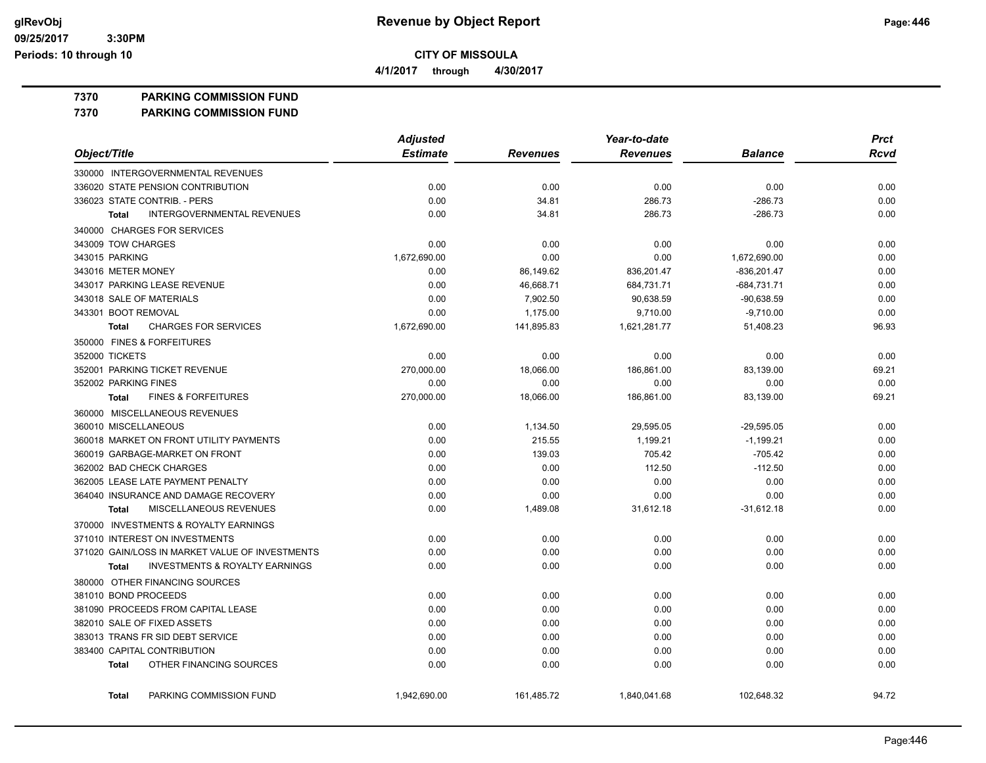**4/1/2017 through 4/30/2017**

**7370 PARKING COMMISSION FUND**

**7370 PARKING COMMISSION FUND**

|                                                    | <b>Adjusted</b> |                 | Year-to-date    |                | <b>Prct</b> |
|----------------------------------------------------|-----------------|-----------------|-----------------|----------------|-------------|
| Object/Title                                       | <b>Estimate</b> | <b>Revenues</b> | <b>Revenues</b> | <b>Balance</b> | Rcvd        |
| 330000 INTERGOVERNMENTAL REVENUES                  |                 |                 |                 |                |             |
| 336020 STATE PENSION CONTRIBUTION                  | 0.00            | 0.00            | 0.00            | 0.00           | 0.00        |
| 336023 STATE CONTRIB. - PERS                       | 0.00            | 34.81           | 286.73          | $-286.73$      | 0.00        |
| <b>INTERGOVERNMENTAL REVENUES</b><br><b>Total</b>  | 0.00            | 34.81           | 286.73          | $-286.73$      | 0.00        |
| 340000 CHARGES FOR SERVICES                        |                 |                 |                 |                |             |
| 343009 TOW CHARGES                                 | 0.00            | 0.00            | 0.00            | 0.00           | 0.00        |
| 343015 PARKING                                     | 1,672,690.00    | 0.00            | 0.00            | 1,672,690.00   | 0.00        |
| 343016 METER MONEY                                 | 0.00            | 86,149.62       | 836,201.47      | $-836,201.47$  | 0.00        |
| 343017 PARKING LEASE REVENUE                       | 0.00            | 46,668.71       | 684,731.71      | $-684,731.71$  | 0.00        |
| 343018 SALE OF MATERIALS                           | 0.00            | 7,902.50        | 90,638.59       | $-90,638.59$   | 0.00        |
| 343301 BOOT REMOVAL                                | 0.00            | 1,175.00        | 9,710.00        | $-9,710.00$    | 0.00        |
| <b>CHARGES FOR SERVICES</b><br><b>Total</b>        | 1,672,690.00    | 141,895.83      | 1,621,281.77    | 51,408.23      | 96.93       |
| 350000 FINES & FORFEITURES                         |                 |                 |                 |                |             |
| 352000 TICKETS                                     | 0.00            | 0.00            | 0.00            | 0.00           | 0.00        |
| 352001 PARKING TICKET REVENUE                      | 270,000.00      | 18,066.00       | 186,861.00      | 83,139.00      | 69.21       |
| 352002 PARKING FINES                               | 0.00            | 0.00            | 0.00            | 0.00           | 0.00        |
| <b>FINES &amp; FORFEITURES</b><br>Total            | 270,000.00      | 18,066.00       | 186,861.00      | 83,139.00      | 69.21       |
| 360000 MISCELLANEOUS REVENUES                      |                 |                 |                 |                |             |
| 360010 MISCELLANEOUS                               | 0.00            | 1,134.50        | 29,595.05       | $-29,595.05$   | 0.00        |
| 360018 MARKET ON FRONT UTILITY PAYMENTS            | 0.00            | 215.55          | 1,199.21        | $-1,199.21$    | 0.00        |
| 360019 GARBAGE-MARKET ON FRONT                     | 0.00            | 139.03          | 705.42          | $-705.42$      | 0.00        |
| 362002 BAD CHECK CHARGES                           | 0.00            | 0.00            | 112.50          | $-112.50$      | 0.00        |
| 362005 LEASE LATE PAYMENT PENALTY                  | 0.00            | 0.00            | 0.00            | 0.00           | 0.00        |
| 364040 INSURANCE AND DAMAGE RECOVERY               | 0.00            | 0.00            | 0.00            | 0.00           | 0.00        |
| MISCELLANEOUS REVENUES<br>Total                    | 0.00            | 1,489.08        | 31,612.18       | $-31,612.18$   | 0.00        |
| 370000 INVESTMENTS & ROYALTY EARNINGS              |                 |                 |                 |                |             |
| 371010 INTEREST ON INVESTMENTS                     | 0.00            | 0.00            | 0.00            | 0.00           | 0.00        |
| 371020 GAIN/LOSS IN MARKET VALUE OF INVESTMENTS    | 0.00            | 0.00            | 0.00            | 0.00           | 0.00        |
| <b>INVESTMENTS &amp; ROYALTY EARNINGS</b><br>Total | 0.00            | 0.00            | 0.00            | 0.00           | 0.00        |
| 380000 OTHER FINANCING SOURCES                     |                 |                 |                 |                |             |
| 381010 BOND PROCEEDS                               | 0.00            | 0.00            | 0.00            | 0.00           | 0.00        |
| 381090 PROCEEDS FROM CAPITAL LEASE                 | 0.00            | 0.00            | 0.00            | 0.00           | 0.00        |
| 382010 SALE OF FIXED ASSETS                        | 0.00            | 0.00            | 0.00            | 0.00           | 0.00        |
| 383013 TRANS FR SID DEBT SERVICE                   | 0.00            | 0.00            | 0.00            | 0.00           | 0.00        |
| 383400 CAPITAL CONTRIBUTION                        | 0.00            | 0.00            | 0.00            | 0.00           | 0.00        |
| OTHER FINANCING SOURCES<br><b>Total</b>            | 0.00            | 0.00            | 0.00            | 0.00           | 0.00        |
| PARKING COMMISSION FUND<br><b>Total</b>            | 1,942,690.00    | 161.485.72      | 1,840,041.68    | 102.648.32     | 94.72       |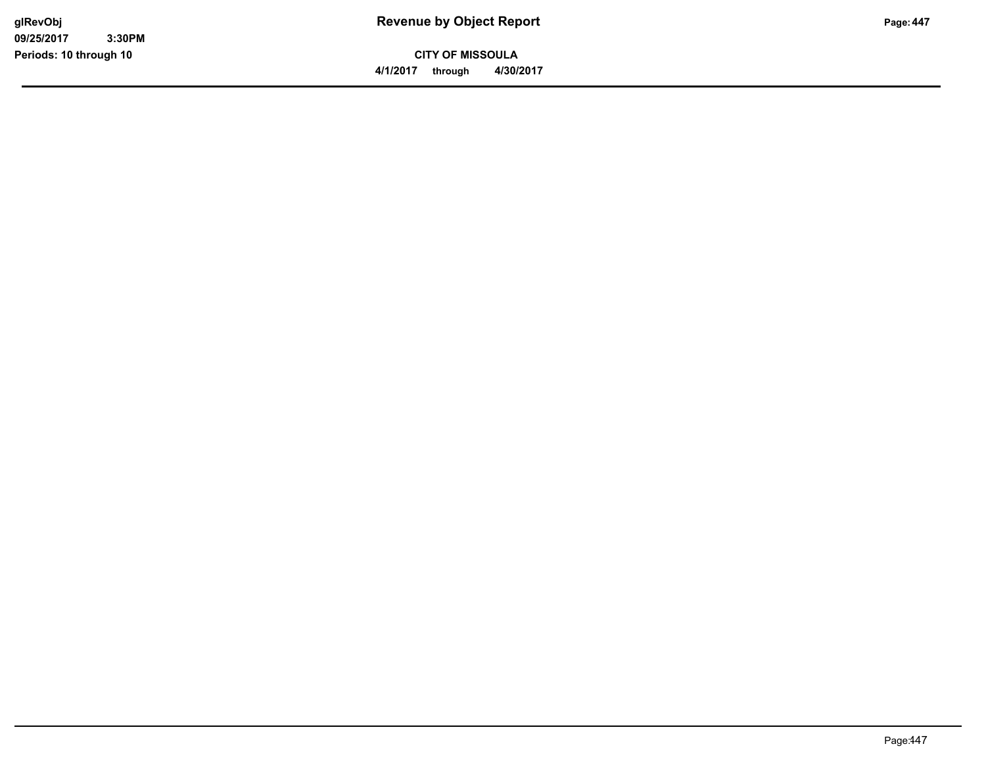**CITY OF MISSOULA 4/1/2017 through 4/30/2017**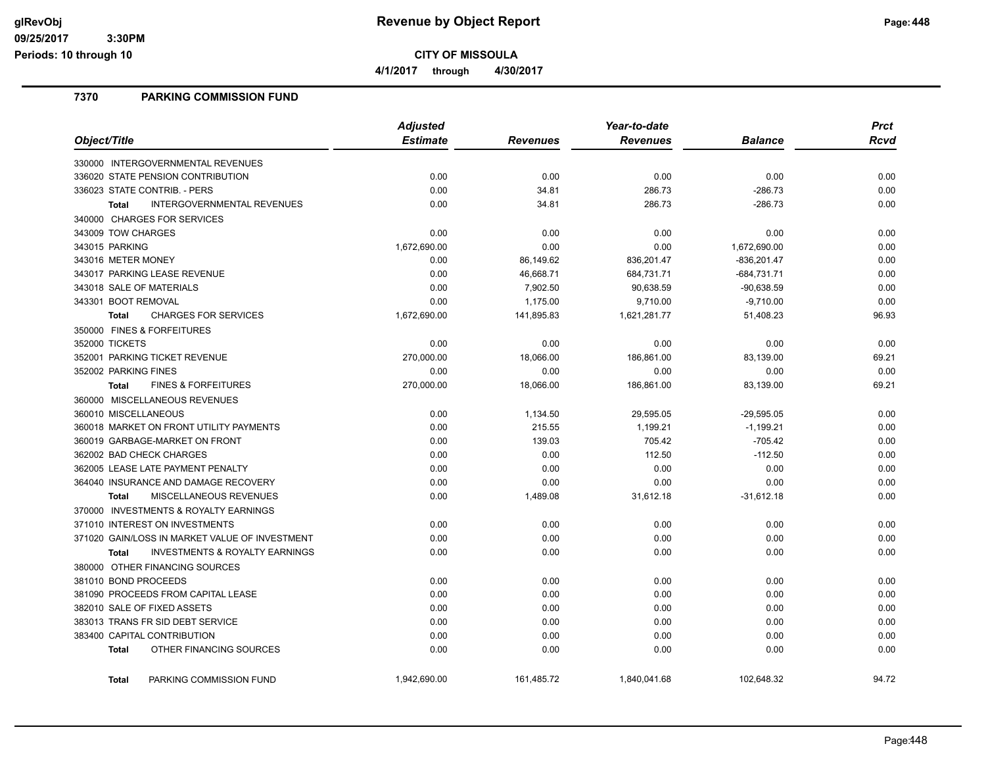**4/1/2017 through 4/30/2017**

#### **7370 PARKING COMMISSION FUND**

|                                                           | <b>Adjusted</b> |                 | Year-to-date    |                | <b>Prct</b> |
|-----------------------------------------------------------|-----------------|-----------------|-----------------|----------------|-------------|
| Object/Title                                              | <b>Estimate</b> | <b>Revenues</b> | <b>Revenues</b> | <b>Balance</b> | Rcvd        |
| 330000 INTERGOVERNMENTAL REVENUES                         |                 |                 |                 |                |             |
| 336020 STATE PENSION CONTRIBUTION                         | 0.00            | 0.00            | 0.00            | 0.00           | 0.00        |
| 336023 STATE CONTRIB. - PERS                              | 0.00            | 34.81           | 286.73          | $-286.73$      | 0.00        |
| <b>INTERGOVERNMENTAL REVENUES</b><br><b>Total</b>         | 0.00            | 34.81           | 286.73          | $-286.73$      | 0.00        |
| 340000 CHARGES FOR SERVICES                               |                 |                 |                 |                |             |
| 343009 TOW CHARGES                                        | 0.00            | 0.00            | 0.00            | 0.00           | 0.00        |
| 343015 PARKING                                            | 1,672,690.00    | 0.00            | 0.00            | 1,672,690.00   | 0.00        |
| 343016 METER MONEY                                        | 0.00            | 86,149.62       | 836,201.47      | $-836, 201.47$ | 0.00        |
| 343017 PARKING LEASE REVENUE                              | 0.00            | 46,668.71       | 684,731.71      | $-684,731.71$  | 0.00        |
| 343018 SALE OF MATERIALS                                  | 0.00            | 7,902.50        | 90,638.59       | $-90,638.59$   | 0.00        |
| 343301 BOOT REMOVAL                                       | 0.00            | 1,175.00        | 9,710.00        | $-9,710.00$    | 0.00        |
| <b>CHARGES FOR SERVICES</b><br><b>Total</b>               | 1,672,690.00    | 141,895.83      | 1,621,281.77    | 51,408.23      | 96.93       |
| 350000 FINES & FORFEITURES                                |                 |                 |                 |                |             |
| 352000 TICKETS                                            | 0.00            | 0.00            | 0.00            | 0.00           | 0.00        |
| 352001 PARKING TICKET REVENUE                             | 270,000.00      | 18,066.00       | 186,861.00      | 83,139.00      | 69.21       |
| 352002 PARKING FINES                                      | 0.00            | 0.00            | 0.00            | 0.00           | 0.00        |
| <b>FINES &amp; FORFEITURES</b><br><b>Total</b>            | 270,000.00      | 18,066.00       | 186,861.00      | 83,139.00      | 69.21       |
| 360000 MISCELLANEOUS REVENUES                             |                 |                 |                 |                |             |
| 360010 MISCELLANEOUS                                      | 0.00            | 1,134.50        | 29,595.05       | $-29,595.05$   | 0.00        |
| 360018 MARKET ON FRONT UTILITY PAYMENTS                   | 0.00            | 215.55          | 1,199.21        | $-1,199.21$    | 0.00        |
| 360019 GARBAGE-MARKET ON FRONT                            | 0.00            | 139.03          | 705.42          | $-705.42$      | 0.00        |
| 362002 BAD CHECK CHARGES                                  | 0.00            | 0.00            | 112.50          | $-112.50$      | 0.00        |
| 362005 LEASE LATE PAYMENT PENALTY                         | 0.00            | 0.00            | 0.00            | 0.00           | 0.00        |
| 364040 INSURANCE AND DAMAGE RECOVERY                      | 0.00            | 0.00            | 0.00            | 0.00           | 0.00        |
| MISCELLANEOUS REVENUES<br><b>Total</b>                    | 0.00            | 1,489.08        | 31,612.18       | $-31,612.18$   | 0.00        |
| 370000 INVESTMENTS & ROYALTY EARNINGS                     |                 |                 |                 |                |             |
| 371010 INTEREST ON INVESTMENTS                            | 0.00            | 0.00            | 0.00            | 0.00           | 0.00        |
| 371020 GAIN/LOSS IN MARKET VALUE OF INVESTMENT            | 0.00            | 0.00            | 0.00            | 0.00           | 0.00        |
| <b>INVESTMENTS &amp; ROYALTY EARNINGS</b><br><b>Total</b> | 0.00            | 0.00            | 0.00            | 0.00           | 0.00        |
| 380000 OTHER FINANCING SOURCES                            |                 |                 |                 |                |             |
| 381010 BOND PROCEEDS                                      | 0.00            | 0.00            | 0.00            | 0.00           | 0.00        |
| 381090 PROCEEDS FROM CAPITAL LEASE                        | 0.00            | 0.00            | 0.00            | 0.00           | 0.00        |
| 382010 SALE OF FIXED ASSETS                               | 0.00            | 0.00            | 0.00            | 0.00           | 0.00        |
| 383013 TRANS FR SID DEBT SERVICE                          | 0.00            | 0.00            | 0.00            | 0.00           | 0.00        |
| 383400 CAPITAL CONTRIBUTION                               | 0.00            | 0.00            | 0.00            | 0.00           | 0.00        |
| OTHER FINANCING SOURCES<br><b>Total</b>                   | 0.00            | 0.00            | 0.00            | 0.00           | 0.00        |
| PARKING COMMISSION FUND<br><b>Total</b>                   | 1,942,690.00    | 161,485.72      | 1,840,041.68    | 102.648.32     | 94.72       |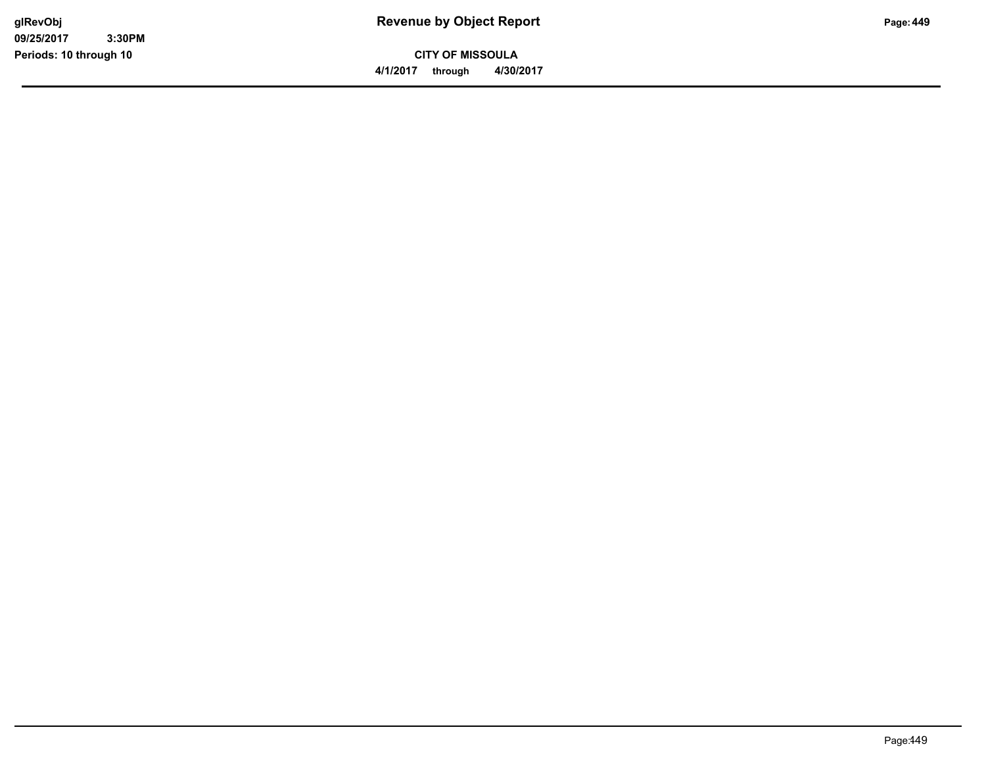**CITY OF MISSOULA 4/1/2017 through 4/30/2017**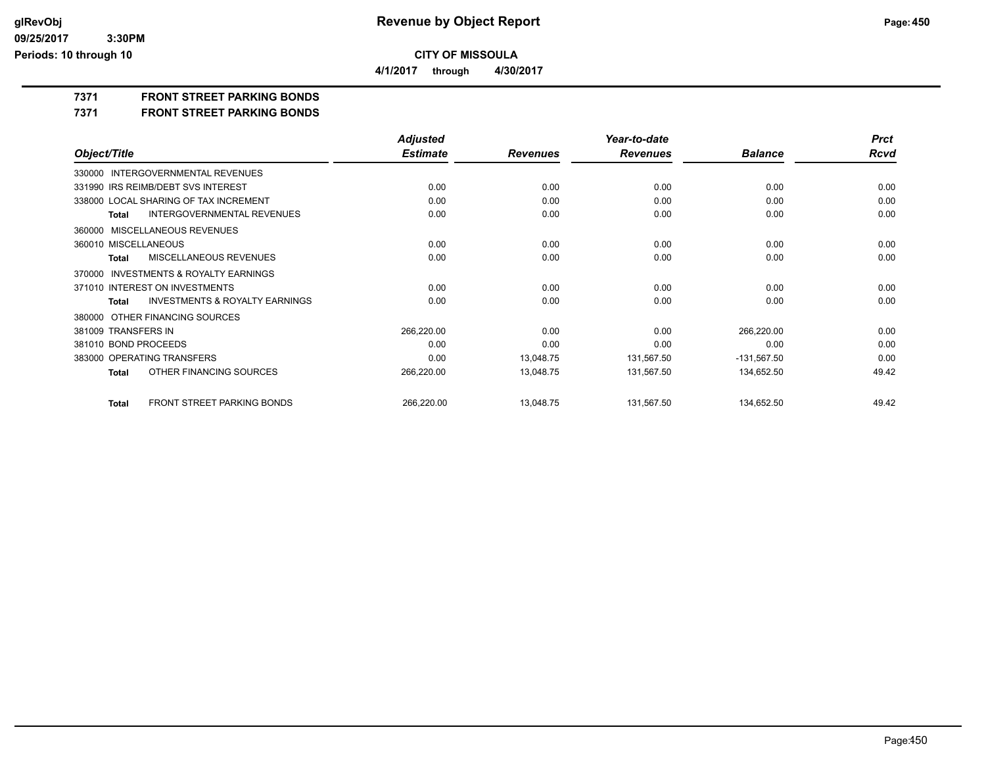**4/1/2017 through 4/30/2017**

**7371 FRONT STREET PARKING BONDS**

**7371 FRONT STREET PARKING BONDS**

|                                                     | <b>Adjusted</b> |                 | Year-to-date    |                | <b>Prct</b> |
|-----------------------------------------------------|-----------------|-----------------|-----------------|----------------|-------------|
| Object/Title                                        | <b>Estimate</b> | <b>Revenues</b> | <b>Revenues</b> | <b>Balance</b> | <b>Rcvd</b> |
| 330000 INTERGOVERNMENTAL REVENUES                   |                 |                 |                 |                |             |
| 331990 IRS REIMB/DEBT SVS INTEREST                  | 0.00            | 0.00            | 0.00            | 0.00           | 0.00        |
| 338000 LOCAL SHARING OF TAX INCREMENT               | 0.00            | 0.00            | 0.00            | 0.00           | 0.00        |
| <b>INTERGOVERNMENTAL REVENUES</b><br>Total          | 0.00            | 0.00            | 0.00            | 0.00           | 0.00        |
| 360000 MISCELLANEOUS REVENUES                       |                 |                 |                 |                |             |
| 360010 MISCELLANEOUS                                | 0.00            | 0.00            | 0.00            | 0.00           | 0.00        |
| MISCELLANEOUS REVENUES<br>Total                     | 0.00            | 0.00            | 0.00            | 0.00           | 0.00        |
| <b>INVESTMENTS &amp; ROYALTY EARNINGS</b><br>370000 |                 |                 |                 |                |             |
| 371010 INTEREST ON INVESTMENTS                      | 0.00            | 0.00            | 0.00            | 0.00           | 0.00        |
| <b>INVESTMENTS &amp; ROYALTY EARNINGS</b><br>Total  | 0.00            | 0.00            | 0.00            | 0.00           | 0.00        |
| 380000 OTHER FINANCING SOURCES                      |                 |                 |                 |                |             |
| 381009 TRANSFERS IN                                 | 266,220.00      | 0.00            | 0.00            | 266,220.00     | 0.00        |
| 381010 BOND PROCEEDS                                | 0.00            | 0.00            | 0.00            | 0.00           | 0.00        |
| 383000 OPERATING TRANSFERS                          | 0.00            | 13,048.75       | 131,567.50      | $-131,567.50$  | 0.00        |
| OTHER FINANCING SOURCES<br>Total                    | 266,220.00      | 13,048.75       | 131,567.50      | 134,652.50     | 49.42       |
| FRONT STREET PARKING BONDS<br>Total                 | 266,220.00      | 13,048.75       | 131,567.50      | 134,652.50     | 49.42       |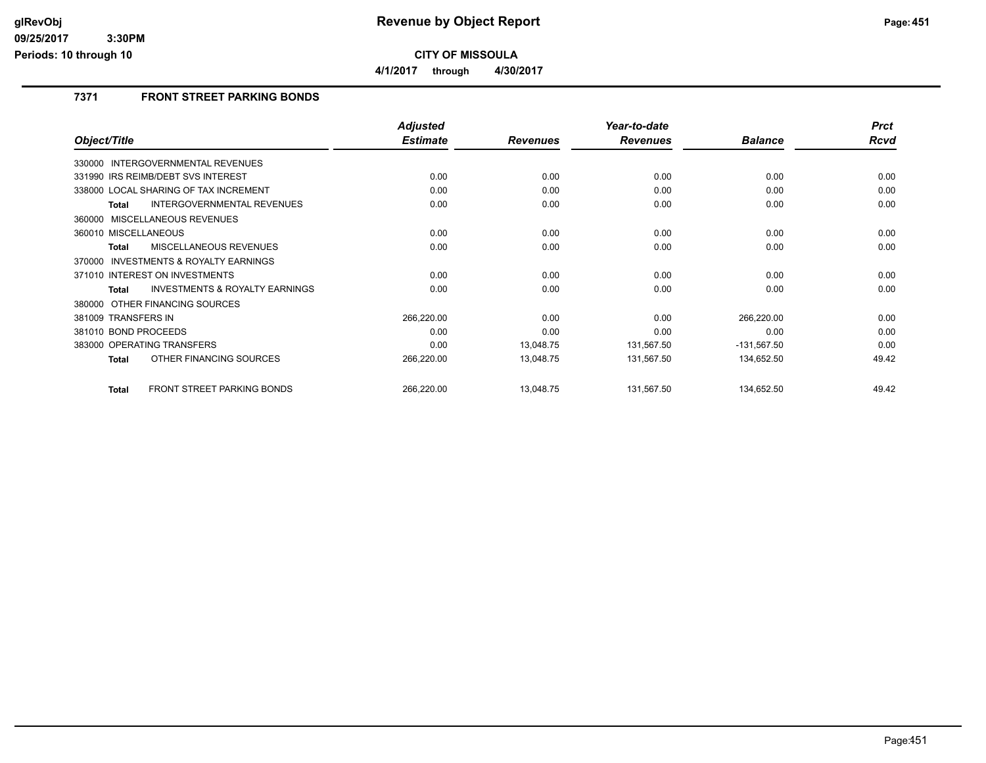**4/1/2017 through 4/30/2017**

#### **7371 FRONT STREET PARKING BONDS**

|                                                           | <b>Adjusted</b> |                 | Year-to-date    |                | <b>Prct</b> |
|-----------------------------------------------------------|-----------------|-----------------|-----------------|----------------|-------------|
| Object/Title                                              | <b>Estimate</b> | <b>Revenues</b> | <b>Revenues</b> | <b>Balance</b> | <b>Rcvd</b> |
| 330000 INTERGOVERNMENTAL REVENUES                         |                 |                 |                 |                |             |
| 331990 IRS REIMB/DEBT SVS INTEREST                        | 0.00            | 0.00            | 0.00            | 0.00           | 0.00        |
| 338000 LOCAL SHARING OF TAX INCREMENT                     | 0.00            | 0.00            | 0.00            | 0.00           | 0.00        |
| INTERGOVERNMENTAL REVENUES<br><b>Total</b>                | 0.00            | 0.00            | 0.00            | 0.00           | 0.00        |
| 360000 MISCELLANEOUS REVENUES                             |                 |                 |                 |                |             |
| 360010 MISCELLANEOUS                                      | 0.00            | 0.00            | 0.00            | 0.00           | 0.00        |
| <b>MISCELLANEOUS REVENUES</b><br><b>Total</b>             | 0.00            | 0.00            | 0.00            | 0.00           | 0.00        |
| <b>INVESTMENTS &amp; ROYALTY EARNINGS</b><br>370000       |                 |                 |                 |                |             |
| 371010 INTEREST ON INVESTMENTS                            | 0.00            | 0.00            | 0.00            | 0.00           | 0.00        |
| <b>INVESTMENTS &amp; ROYALTY EARNINGS</b><br><b>Total</b> | 0.00            | 0.00            | 0.00            | 0.00           | 0.00        |
| 380000 OTHER FINANCING SOURCES                            |                 |                 |                 |                |             |
| 381009 TRANSFERS IN                                       | 266,220.00      | 0.00            | 0.00            | 266,220.00     | 0.00        |
| 381010 BOND PROCEEDS                                      | 0.00            | 0.00            | 0.00            | 0.00           | 0.00        |
| 383000 OPERATING TRANSFERS                                | 0.00            | 13,048.75       | 131,567.50      | $-131,567.50$  | 0.00        |
| OTHER FINANCING SOURCES<br><b>Total</b>                   | 266,220.00      | 13,048.75       | 131,567.50      | 134,652.50     | 49.42       |
| FRONT STREET PARKING BONDS<br><b>Total</b>                | 266,220.00      | 13,048.75       | 131,567.50      | 134,652.50     | 49.42       |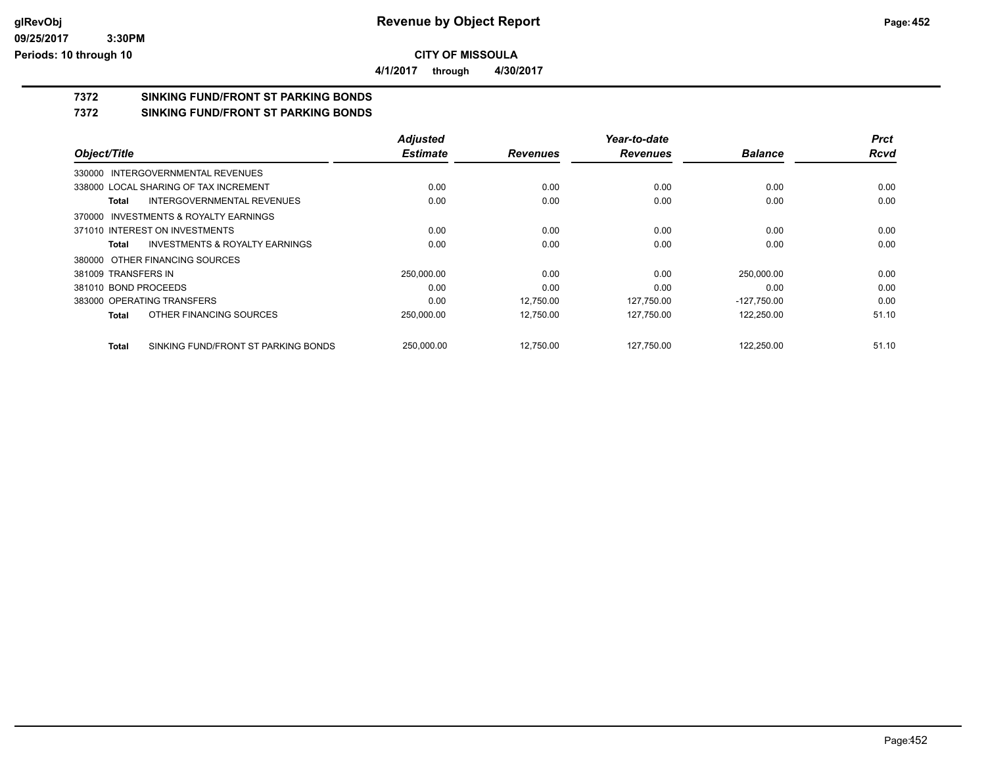**4/1/2017 through 4/30/2017**

# **7372 SINKING FUND/FRONT ST PARKING BONDS**

**7372 SINKING FUND/FRONT ST PARKING BONDS**

|                                                    | <b>Adjusted</b> |                 | Year-to-date    |                | <b>Prct</b> |
|----------------------------------------------------|-----------------|-----------------|-----------------|----------------|-------------|
| Object/Title                                       | <b>Estimate</b> | <b>Revenues</b> | <b>Revenues</b> | <b>Balance</b> | <b>Rcvd</b> |
| 330000 INTERGOVERNMENTAL REVENUES                  |                 |                 |                 |                |             |
| 338000 LOCAL SHARING OF TAX INCREMENT              | 0.00            | 0.00            | 0.00            | 0.00           | 0.00        |
| <b>INTERGOVERNMENTAL REVENUES</b><br>Total         | 0.00            | 0.00            | 0.00            | 0.00           | 0.00        |
| 370000 INVESTMENTS & ROYALTY EARNINGS              |                 |                 |                 |                |             |
| 371010 INTEREST ON INVESTMENTS                     | 0.00            | 0.00            | 0.00            | 0.00           | 0.00        |
| <b>INVESTMENTS &amp; ROYALTY EARNINGS</b><br>Total | 0.00            | 0.00            | 0.00            | 0.00           | 0.00        |
| 380000 OTHER FINANCING SOURCES                     |                 |                 |                 |                |             |
| 381009 TRANSFERS IN                                | 250,000.00      | 0.00            | 0.00            | 250,000.00     | 0.00        |
| 381010 BOND PROCEEDS                               | 0.00            | 0.00            | 0.00            | 0.00           | 0.00        |
| 383000 OPERATING TRANSFERS                         | 0.00            | 12.750.00       | 127.750.00      | $-127,750.00$  | 0.00        |
| OTHER FINANCING SOURCES<br>Total                   | 250,000.00      | 12,750.00       | 127,750.00      | 122,250.00     | 51.10       |
| SINKING FUND/FRONT ST PARKING BONDS<br>Total       | 250.000.00      | 12.750.00       | 127.750.00      | 122.250.00     | 51.10       |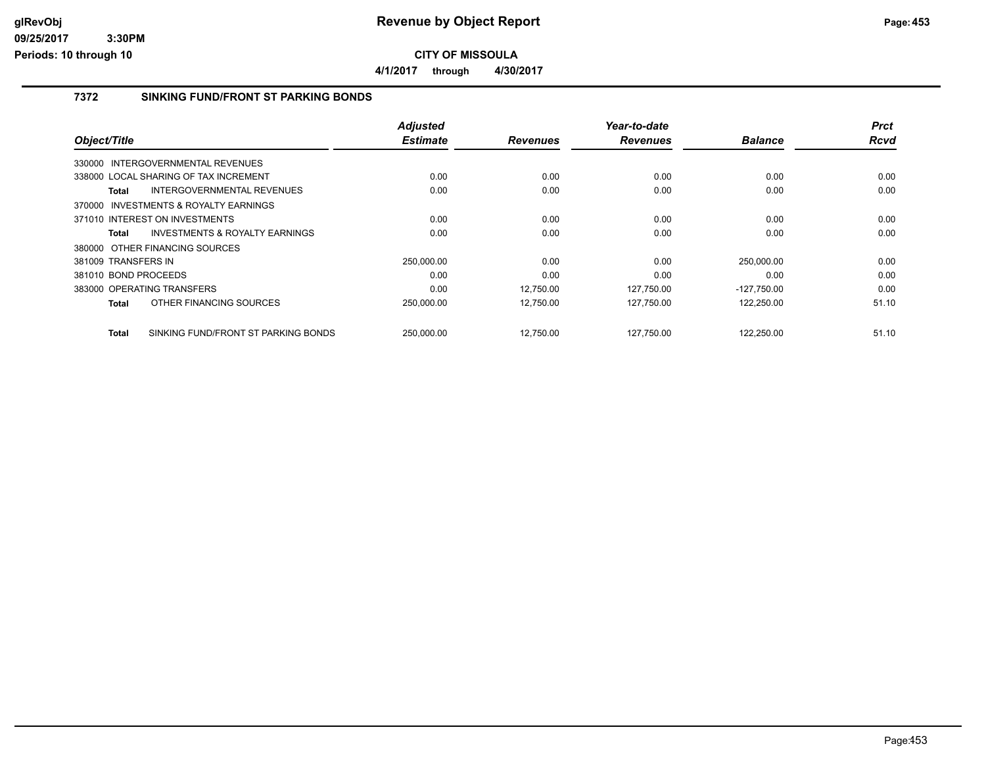**4/1/2017 through 4/30/2017**

#### **7372 SINKING FUND/FRONT ST PARKING BONDS**

| Object/Title                                        | <b>Adjusted</b><br><b>Estimate</b> | <b>Revenues</b> | Year-to-date<br><b>Revenues</b> | <b>Balance</b> | <b>Prct</b><br>Rcvd |
|-----------------------------------------------------|------------------------------------|-----------------|---------------------------------|----------------|---------------------|
|                                                     |                                    |                 |                                 |                |                     |
| 330000 INTERGOVERNMENTAL REVENUES                   |                                    |                 |                                 |                |                     |
| 338000 LOCAL SHARING OF TAX INCREMENT               | 0.00                               | 0.00            | 0.00                            | 0.00           | 0.00                |
| <b>INTERGOVERNMENTAL REVENUES</b><br><b>Total</b>   | 0.00                               | 0.00            | 0.00                            | 0.00           | 0.00                |
| <b>INVESTMENTS &amp; ROYALTY EARNINGS</b><br>370000 |                                    |                 |                                 |                |                     |
| 371010 INTEREST ON INVESTMENTS                      | 0.00                               | 0.00            | 0.00                            | 0.00           | 0.00                |
| <b>INVESTMENTS &amp; ROYALTY EARNINGS</b><br>Total  | 0.00                               | 0.00            | 0.00                            | 0.00           | 0.00                |
| 380000 OTHER FINANCING SOURCES                      |                                    |                 |                                 |                |                     |
| 381009 TRANSFERS IN                                 | 250,000.00                         | 0.00            | 0.00                            | 250,000.00     | 0.00                |
| 381010 BOND PROCEEDS                                | 0.00                               | 0.00            | 0.00                            | 0.00           | 0.00                |
| 383000 OPERATING TRANSFERS                          | 0.00                               | 12,750.00       | 127,750.00                      | $-127,750.00$  | 0.00                |
| OTHER FINANCING SOURCES<br><b>Total</b>             | 250,000.00                         | 12,750.00       | 127,750.00                      | 122,250.00     | 51.10               |
| SINKING FUND/FRONT ST PARKING BONDS<br><b>Total</b> | 250.000.00                         | 12.750.00       | 127.750.00                      | 122.250.00     | 51.10               |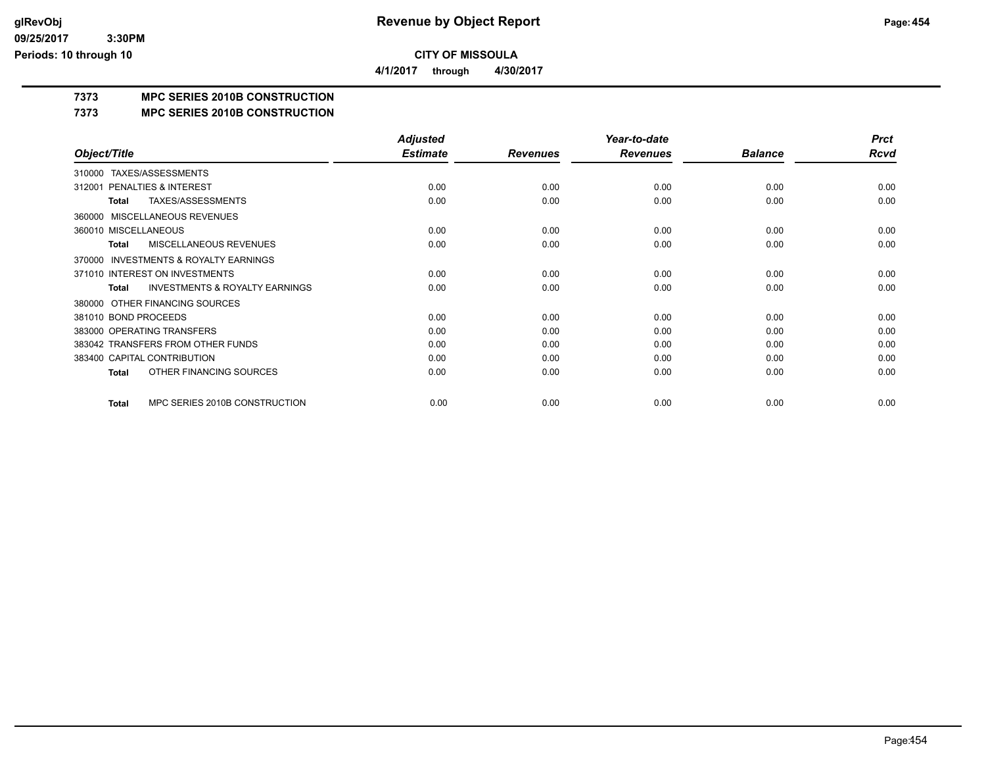**4/1/2017 through 4/30/2017**

#### **7373 MPC SERIES 2010B CONSTRUCTION**

#### **7373 MPC SERIES 2010B CONSTRUCTION**

|                                                           | <b>Adjusted</b> |                 | Year-to-date    |                | <b>Prct</b> |
|-----------------------------------------------------------|-----------------|-----------------|-----------------|----------------|-------------|
| Object/Title                                              | <b>Estimate</b> | <b>Revenues</b> | <b>Revenues</b> | <b>Balance</b> | <b>Rcvd</b> |
| 310000 TAXES/ASSESSMENTS                                  |                 |                 |                 |                |             |
| PENALTIES & INTEREST<br>312001                            | 0.00            | 0.00            | 0.00            | 0.00           | 0.00        |
| TAXES/ASSESSMENTS<br><b>Total</b>                         | 0.00            | 0.00            | 0.00            | 0.00           | 0.00        |
| 360000 MISCELLANEOUS REVENUES                             |                 |                 |                 |                |             |
| 360010 MISCELLANEOUS                                      | 0.00            | 0.00            | 0.00            | 0.00           | 0.00        |
| <b>MISCELLANEOUS REVENUES</b><br><b>Total</b>             | 0.00            | 0.00            | 0.00            | 0.00           | 0.00        |
| <b>INVESTMENTS &amp; ROYALTY EARNINGS</b><br>370000       |                 |                 |                 |                |             |
| 371010 INTEREST ON INVESTMENTS                            | 0.00            | 0.00            | 0.00            | 0.00           | 0.00        |
| <b>INVESTMENTS &amp; ROYALTY EARNINGS</b><br><b>Total</b> | 0.00            | 0.00            | 0.00            | 0.00           | 0.00        |
| OTHER FINANCING SOURCES<br>380000                         |                 |                 |                 |                |             |
| 381010 BOND PROCEEDS                                      | 0.00            | 0.00            | 0.00            | 0.00           | 0.00        |
| 383000 OPERATING TRANSFERS                                | 0.00            | 0.00            | 0.00            | 0.00           | 0.00        |
| 383042 TRANSFERS FROM OTHER FUNDS                         | 0.00            | 0.00            | 0.00            | 0.00           | 0.00        |
| 383400 CAPITAL CONTRIBUTION                               | 0.00            | 0.00            | 0.00            | 0.00           | 0.00        |
| OTHER FINANCING SOURCES<br><b>Total</b>                   | 0.00            | 0.00            | 0.00            | 0.00           | 0.00        |
| MPC SERIES 2010B CONSTRUCTION<br><b>Total</b>             | 0.00            | 0.00            | 0.00            | 0.00           | 0.00        |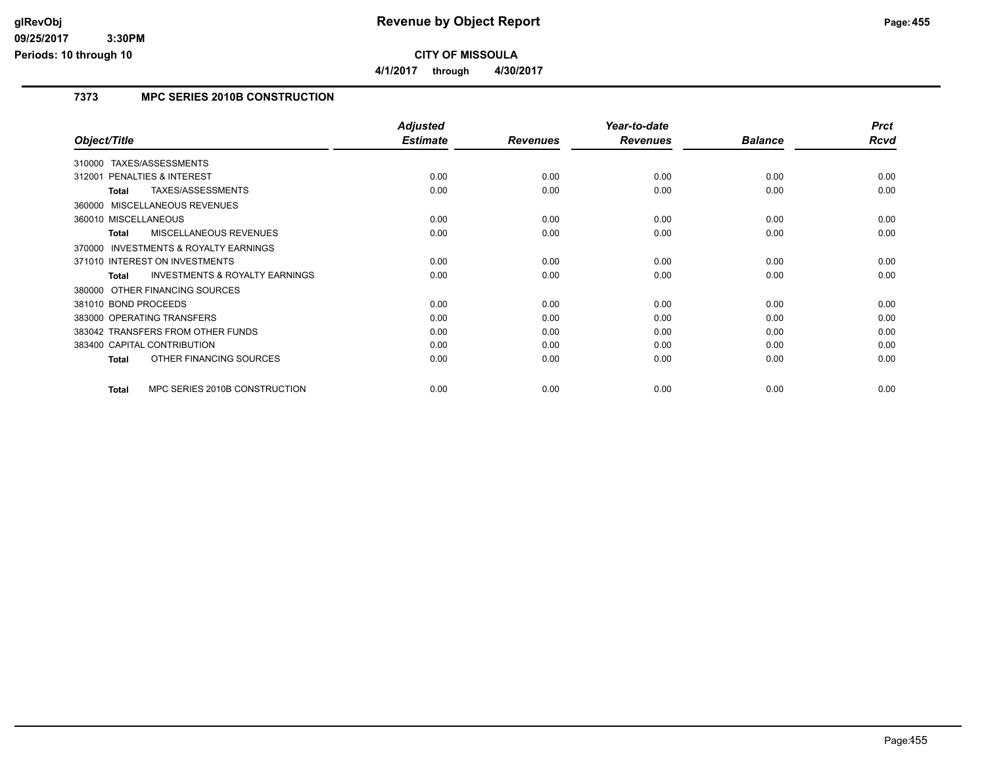**4/1/2017 through 4/30/2017**

#### **7373 MPC SERIES 2010B CONSTRUCTION**

|                                                           | <b>Adjusted</b> |                 | Year-to-date    |                | <b>Prct</b> |
|-----------------------------------------------------------|-----------------|-----------------|-----------------|----------------|-------------|
| Object/Title                                              | <b>Estimate</b> | <b>Revenues</b> | <b>Revenues</b> | <b>Balance</b> | <b>Rcvd</b> |
| 310000 TAXES/ASSESSMENTS                                  |                 |                 |                 |                |             |
| 312001 PENALTIES & INTEREST                               | 0.00            | 0.00            | 0.00            | 0.00           | 0.00        |
| TAXES/ASSESSMENTS<br><b>Total</b>                         | 0.00            | 0.00            | 0.00            | 0.00           | 0.00        |
| 360000 MISCELLANEOUS REVENUES                             |                 |                 |                 |                |             |
| 360010 MISCELLANEOUS                                      | 0.00            | 0.00            | 0.00            | 0.00           | 0.00        |
| <b>MISCELLANEOUS REVENUES</b><br><b>Total</b>             | 0.00            | 0.00            | 0.00            | 0.00           | 0.00        |
| INVESTMENTS & ROYALTY EARNINGS<br>370000                  |                 |                 |                 |                |             |
| 371010 INTEREST ON INVESTMENTS                            | 0.00            | 0.00            | 0.00            | 0.00           | 0.00        |
| <b>INVESTMENTS &amp; ROYALTY EARNINGS</b><br><b>Total</b> | 0.00            | 0.00            | 0.00            | 0.00           | 0.00        |
| 380000 OTHER FINANCING SOURCES                            |                 |                 |                 |                |             |
| 381010 BOND PROCEEDS                                      | 0.00            | 0.00            | 0.00            | 0.00           | 0.00        |
| 383000 OPERATING TRANSFERS                                | 0.00            | 0.00            | 0.00            | 0.00           | 0.00        |
| 383042 TRANSFERS FROM OTHER FUNDS                         | 0.00            | 0.00            | 0.00            | 0.00           | 0.00        |
| 383400 CAPITAL CONTRIBUTION                               | 0.00            | 0.00            | 0.00            | 0.00           | 0.00        |
| OTHER FINANCING SOURCES<br><b>Total</b>                   | 0.00            | 0.00            | 0.00            | 0.00           | 0.00        |
| MPC SERIES 2010B CONSTRUCTION<br><b>Total</b>             | 0.00            | 0.00            | 0.00            | 0.00           | 0.00        |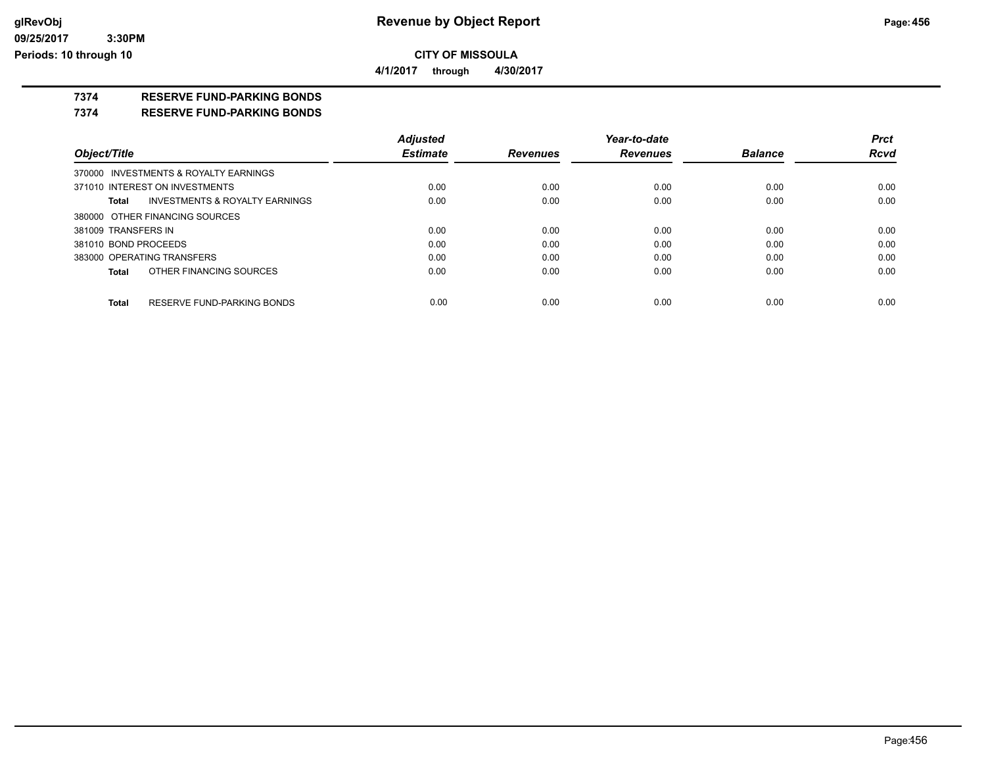**4/1/2017 through 4/30/2017**

#### **7374 RESERVE FUND-PARKING BONDS**

#### **7374 RESERVE FUND-PARKING BONDS**

|                      |                                       | <b>Adjusted</b> |                 | Year-to-date    |                | <b>Prct</b> |
|----------------------|---------------------------------------|-----------------|-----------------|-----------------|----------------|-------------|
| Object/Title         |                                       | <b>Estimate</b> | <b>Revenues</b> | <b>Revenues</b> | <b>Balance</b> | <b>Rcvd</b> |
|                      | 370000 INVESTMENTS & ROYALTY EARNINGS |                 |                 |                 |                |             |
|                      | 371010 INTEREST ON INVESTMENTS        | 0.00            | 0.00            | 0.00            | 0.00           | 0.00        |
| Total                | INVESTMENTS & ROYALTY EARNINGS        | 0.00            | 0.00            | 0.00            | 0.00           | 0.00        |
|                      | 380000 OTHER FINANCING SOURCES        |                 |                 |                 |                |             |
| 381009 TRANSFERS IN  |                                       | 0.00            | 0.00            | 0.00            | 0.00           | 0.00        |
| 381010 BOND PROCEEDS |                                       | 0.00            | 0.00            | 0.00            | 0.00           | 0.00        |
|                      | 383000 OPERATING TRANSFERS            | 0.00            | 0.00            | 0.00            | 0.00           | 0.00        |
| Total                | OTHER FINANCING SOURCES               | 0.00            | 0.00            | 0.00            | 0.00           | 0.00        |
|                      |                                       |                 |                 |                 |                |             |
| <b>Total</b>         | RESERVE FUND-PARKING BONDS            | 0.00            | 0.00            | 0.00            | 0.00           | 0.00        |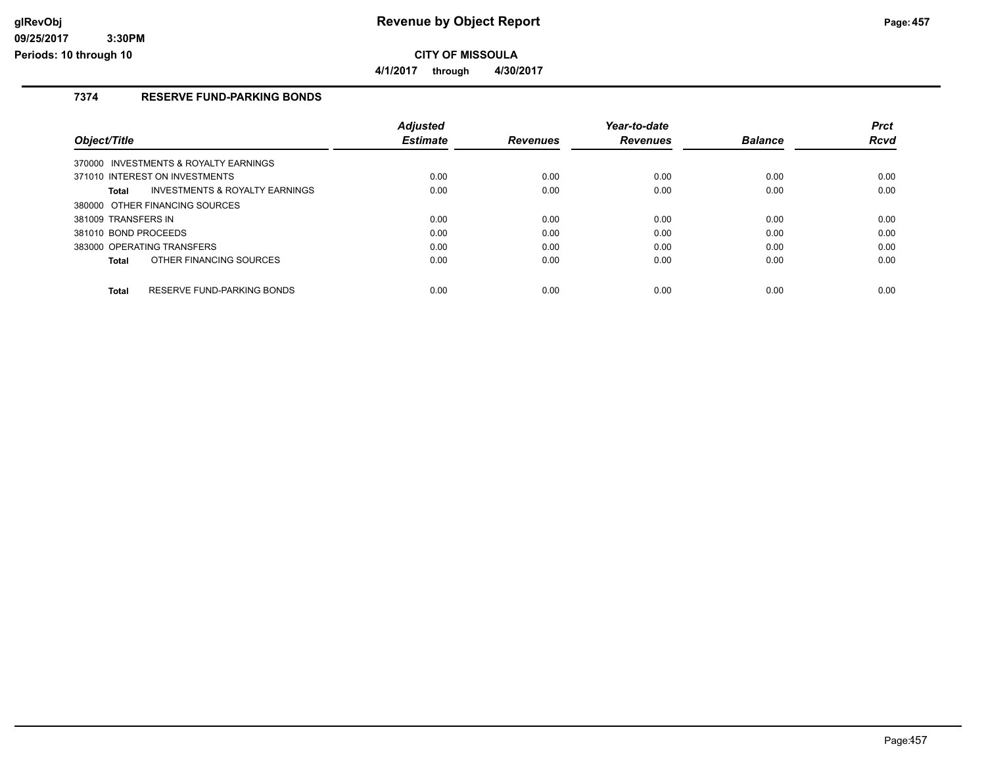**4/1/2017 through 4/30/2017**

#### **7374 RESERVE FUND-PARKING BONDS**

|                      |                                           | <b>Adjusted</b> |                 | Year-to-date    |                | <b>Prct</b> |
|----------------------|-------------------------------------------|-----------------|-----------------|-----------------|----------------|-------------|
| Object/Title         |                                           | <b>Estimate</b> | <b>Revenues</b> | <b>Revenues</b> | <b>Balance</b> | <b>Rcvd</b> |
|                      | 370000 INVESTMENTS & ROYALTY EARNINGS     |                 |                 |                 |                |             |
|                      | 371010 INTEREST ON INVESTMENTS            | 0.00            | 0.00            | 0.00            | 0.00           | 0.00        |
| Total                | <b>INVESTMENTS &amp; ROYALTY EARNINGS</b> | 0.00            | 0.00            | 0.00            | 0.00           | 0.00        |
|                      | 380000 OTHER FINANCING SOURCES            |                 |                 |                 |                |             |
| 381009 TRANSFERS IN  |                                           | 0.00            | 0.00            | 0.00            | 0.00           | 0.00        |
| 381010 BOND PROCEEDS |                                           | 0.00            | 0.00            | 0.00            | 0.00           | 0.00        |
|                      | 383000 OPERATING TRANSFERS                | 0.00            | 0.00            | 0.00            | 0.00           | 0.00        |
| Total                | OTHER FINANCING SOURCES                   | 0.00            | 0.00            | 0.00            | 0.00           | 0.00        |
| Total                | RESERVE FUND-PARKING BONDS                | 0.00            | 0.00            | 0.00            | 0.00           | 0.00        |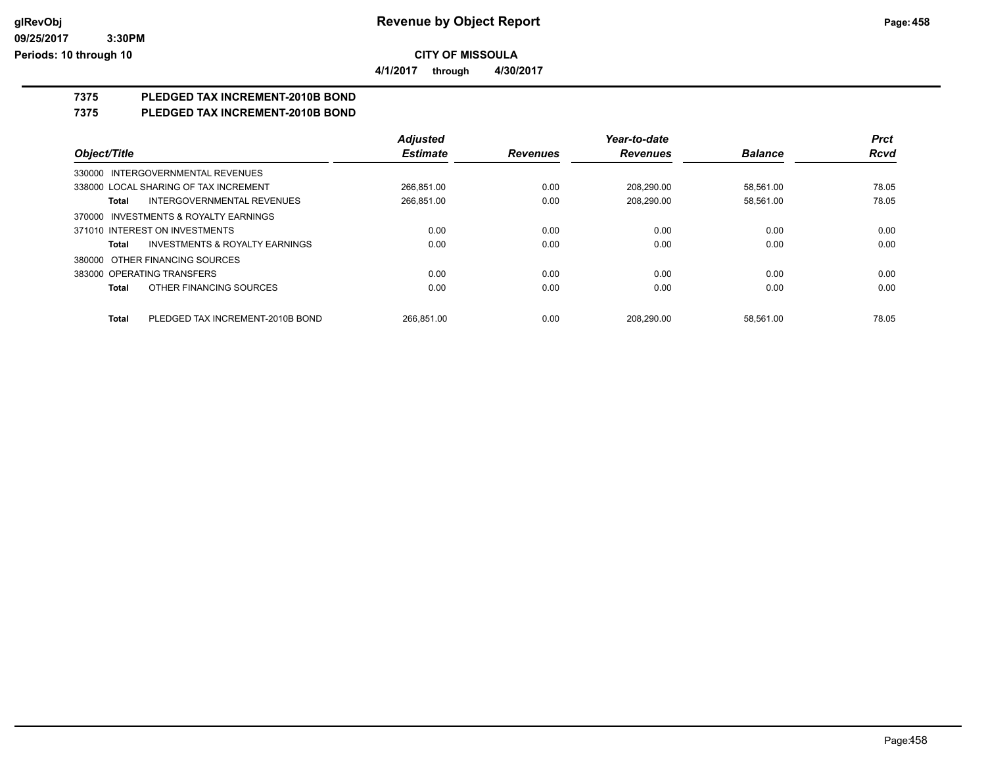**4/1/2017 through 4/30/2017**

# **7375 PLEDGED TAX INCREMENT-2010B BOND**

## **7375 PLEDGED TAX INCREMENT-2010B BOND**

|                                                    | <b>Adjusted</b> |                 | Year-to-date    |                | <b>Prct</b> |
|----------------------------------------------------|-----------------|-----------------|-----------------|----------------|-------------|
| Object/Title                                       | <b>Estimate</b> | <b>Revenues</b> | <b>Revenues</b> | <b>Balance</b> | <b>Rcvd</b> |
| 330000 INTERGOVERNMENTAL REVENUES                  |                 |                 |                 |                |             |
| 338000 LOCAL SHARING OF TAX INCREMENT              | 266,851.00      | 0.00            | 208,290.00      | 58,561.00      | 78.05       |
| <b>INTERGOVERNMENTAL REVENUES</b><br>Total         | 266,851.00      | 0.00            | 208,290.00      | 58,561.00      | 78.05       |
| 370000 INVESTMENTS & ROYALTY EARNINGS              |                 |                 |                 |                |             |
| 371010 INTEREST ON INVESTMENTS                     | 0.00            | 0.00            | 0.00            | 0.00           | 0.00        |
| <b>INVESTMENTS &amp; ROYALTY EARNINGS</b><br>Total | 0.00            | 0.00            | 0.00            | 0.00           | 0.00        |
| 380000 OTHER FINANCING SOURCES                     |                 |                 |                 |                |             |
| 383000 OPERATING TRANSFERS                         | 0.00            | 0.00            | 0.00            | 0.00           | 0.00        |
| OTHER FINANCING SOURCES<br>Total                   | 0.00            | 0.00            | 0.00            | 0.00           | 0.00        |
| PLEDGED TAX INCREMENT-2010B BOND<br>Total          | 266.851.00      | 0.00            | 208.290.00      | 58.561.00      | 78.05       |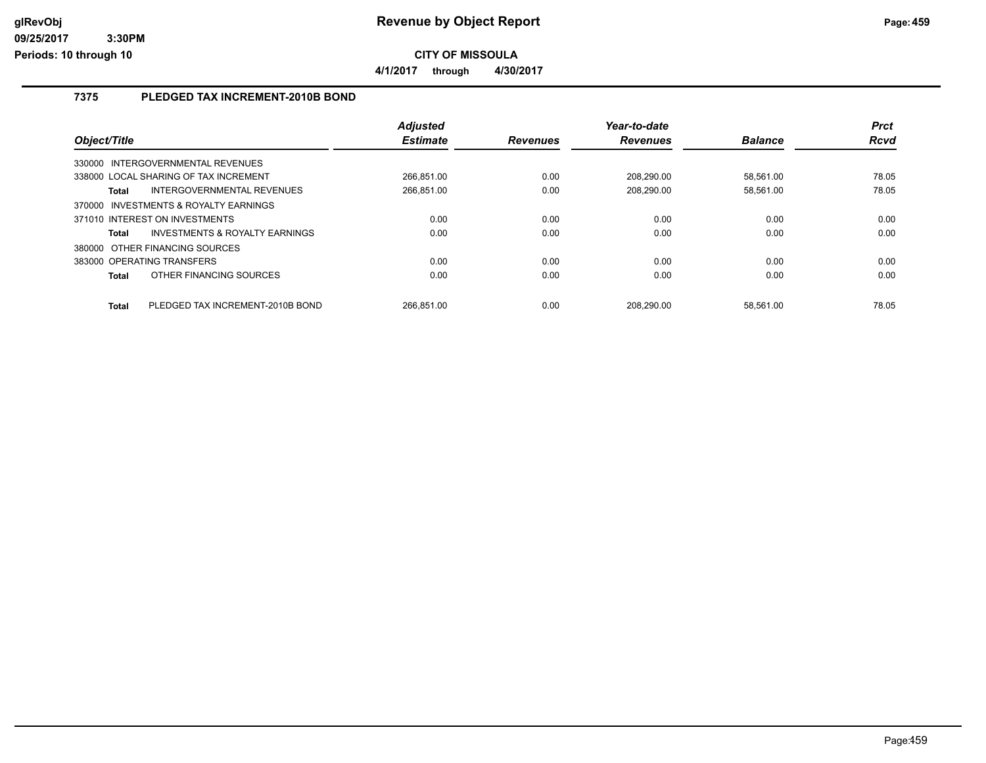**4/1/2017 through 4/30/2017**

#### **7375 PLEDGED TAX INCREMENT-2010B BOND**

| Object/Title |                                       | <b>Adjusted</b><br><b>Estimate</b> | <b>Revenues</b> | Year-to-date<br><b>Revenues</b> | <b>Balance</b> | <b>Prct</b><br><b>Rcvd</b> |
|--------------|---------------------------------------|------------------------------------|-----------------|---------------------------------|----------------|----------------------------|
|              | 330000 INTERGOVERNMENTAL REVENUES     |                                    |                 |                                 |                |                            |
|              | 338000 LOCAL SHARING OF TAX INCREMENT | 266.851.00                         | 0.00            | 208,290.00                      | 58.561.00      | 78.05                      |
| <b>Total</b> | INTERGOVERNMENTAL REVENUES            | 266,851.00                         | 0.00            | 208,290.00                      | 58.561.00      | 78.05                      |
|              | 370000 INVESTMENTS & ROYALTY EARNINGS |                                    |                 |                                 |                |                            |
|              | 371010 INTEREST ON INVESTMENTS        | 0.00                               | 0.00            | 0.00                            | 0.00           | 0.00                       |
| <b>Total</b> | INVESTMENTS & ROYALTY EARNINGS        | 0.00                               | 0.00            | 0.00                            | 0.00           | 0.00                       |
|              | 380000 OTHER FINANCING SOURCES        |                                    |                 |                                 |                |                            |
|              | 383000 OPERATING TRANSFERS            | 0.00                               | 0.00            | 0.00                            | 0.00           | 0.00                       |
| <b>Total</b> | OTHER FINANCING SOURCES               | 0.00                               | 0.00            | 0.00                            | 0.00           | 0.00                       |
| <b>Total</b> | PLEDGED TAX INCREMENT-2010B BOND      | 266.851.00                         | 0.00            | 208.290.00                      | 58.561.00      | 78.05                      |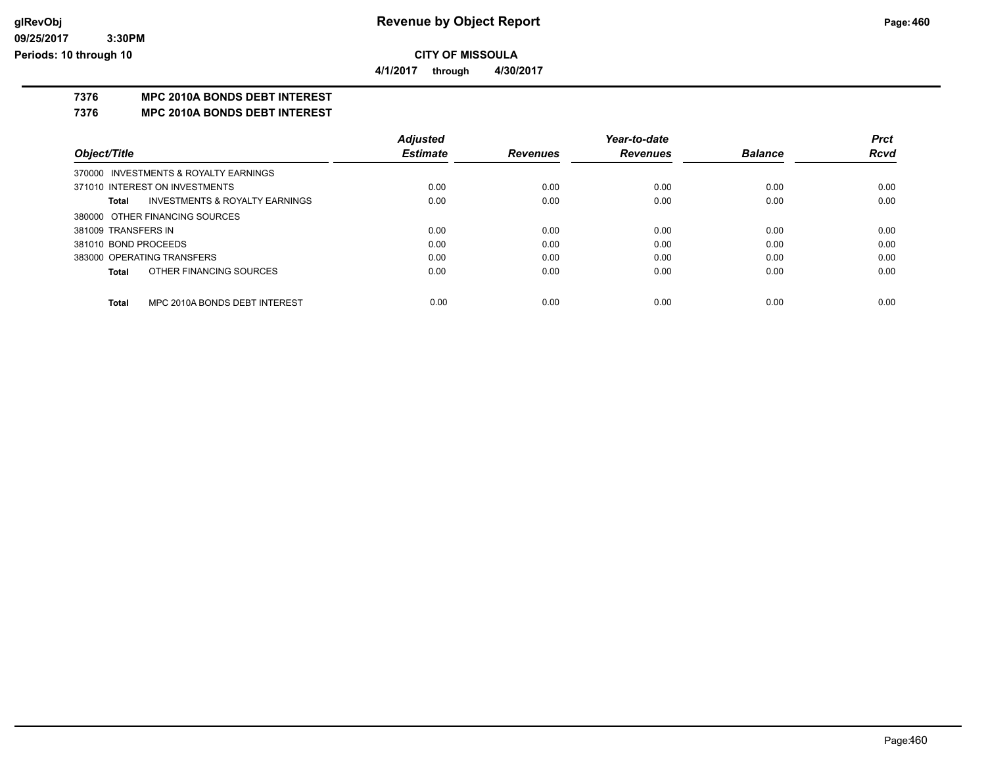**4/1/2017 through 4/30/2017**

#### **7376 MPC 2010A BONDS DEBT INTEREST**

#### **7376 MPC 2010A BONDS DEBT INTEREST**

|                                               | <b>Adjusted</b> |                 | Year-to-date    |                | <b>Prct</b> |
|-----------------------------------------------|-----------------|-----------------|-----------------|----------------|-------------|
| Object/Title                                  | <b>Estimate</b> | <b>Revenues</b> | <b>Revenues</b> | <b>Balance</b> | <b>Rcvd</b> |
| 370000 INVESTMENTS & ROYALTY EARNINGS         |                 |                 |                 |                |             |
| 371010 INTEREST ON INVESTMENTS                | 0.00            | 0.00            | 0.00            | 0.00           | 0.00        |
| INVESTMENTS & ROYALTY EARNINGS<br>Total       | 0.00            | 0.00            | 0.00            | 0.00           | 0.00        |
| 380000 OTHER FINANCING SOURCES                |                 |                 |                 |                |             |
| 381009 TRANSFERS IN                           | 0.00            | 0.00            | 0.00            | 0.00           | 0.00        |
| 381010 BOND PROCEEDS                          | 0.00            | 0.00            | 0.00            | 0.00           | 0.00        |
| 383000 OPERATING TRANSFERS                    | 0.00            | 0.00            | 0.00            | 0.00           | 0.00        |
| OTHER FINANCING SOURCES<br>Total              | 0.00            | 0.00            | 0.00            | 0.00           | 0.00        |
|                                               |                 |                 |                 |                |             |
| MPC 2010A BONDS DEBT INTEREST<br><b>Total</b> | 0.00            | 0.00            | 0.00            | 0.00           | 0.00        |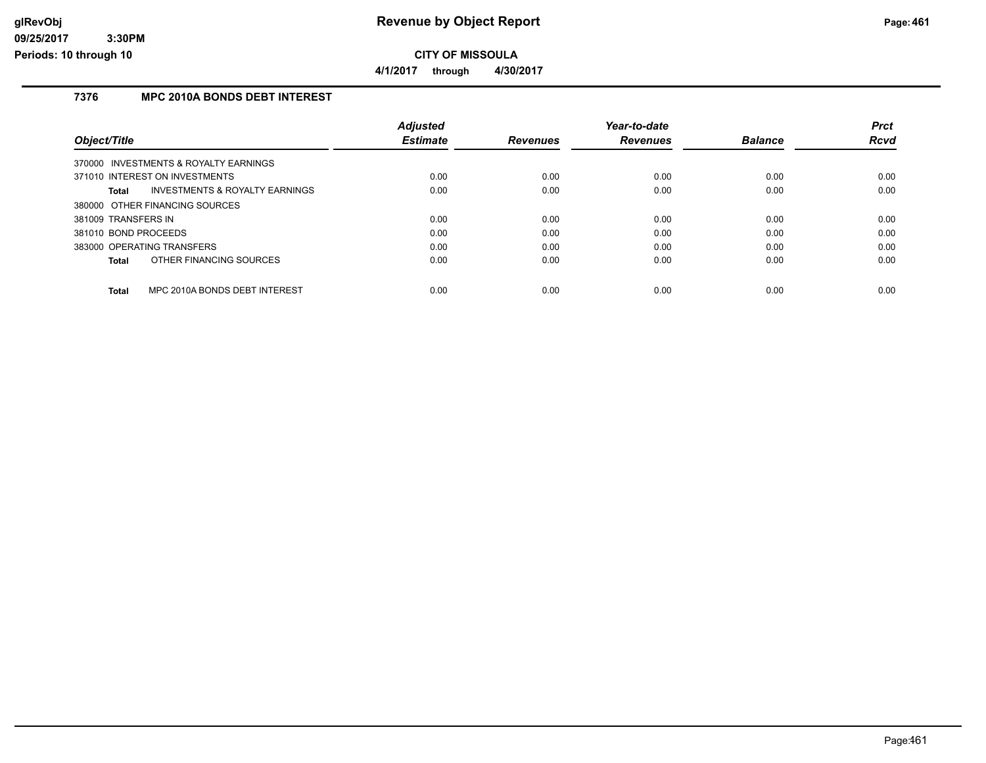**4/1/2017 through 4/30/2017**

#### **7376 MPC 2010A BONDS DEBT INTEREST**

|                                       |                                | <b>Adjusted</b> |                 | Year-to-date    |                | <b>Prct</b> |
|---------------------------------------|--------------------------------|-----------------|-----------------|-----------------|----------------|-------------|
| Object/Title                          |                                | <b>Estimate</b> | <b>Revenues</b> | <b>Revenues</b> | <b>Balance</b> | <b>Rcvd</b> |
| 370000 INVESTMENTS & ROYALTY EARNINGS |                                |                 |                 |                 |                |             |
| 371010 INTEREST ON INVESTMENTS        |                                | 0.00            | 0.00            | 0.00            | 0.00           | 0.00        |
| Total                                 | INVESTMENTS & ROYALTY EARNINGS | 0.00            | 0.00            | 0.00            | 0.00           | 0.00        |
| 380000 OTHER FINANCING SOURCES        |                                |                 |                 |                 |                |             |
| 381009 TRANSFERS IN                   |                                | 0.00            | 0.00            | 0.00            | 0.00           | 0.00        |
| 381010 BOND PROCEEDS                  |                                | 0.00            | 0.00            | 0.00            | 0.00           | 0.00        |
| 383000 OPERATING TRANSFERS            |                                | 0.00            | 0.00            | 0.00            | 0.00           | 0.00        |
| OTHER FINANCING SOURCES<br>Total      |                                | 0.00            | 0.00            | 0.00            | 0.00           | 0.00        |
| <b>Total</b>                          | MPC 2010A BONDS DEBT INTEREST  | 0.00            | 0.00            | 0.00            | 0.00           | 0.00        |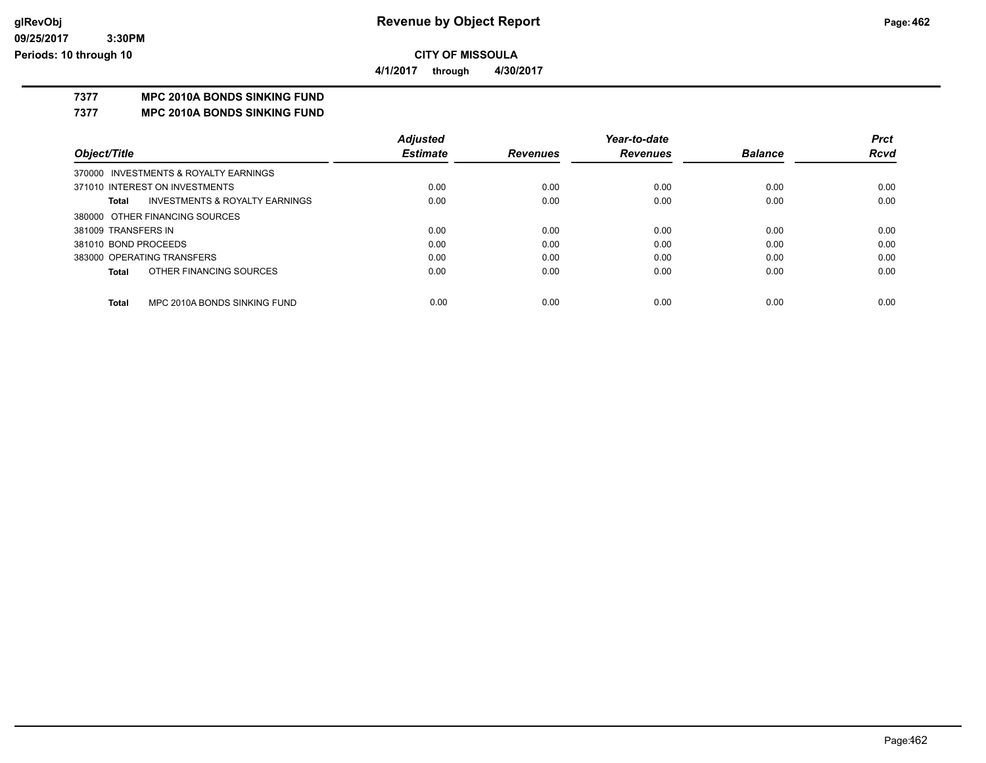**4/1/2017 through 4/30/2017**

#### **7377 MPC 2010A BONDS SINKING FUND**

**7377 MPC 2010A BONDS SINKING FUND**

| Object/Title         |                                           | <b>Adjusted</b> |                 |                 | <b>Prct</b>    |      |
|----------------------|-------------------------------------------|-----------------|-----------------|-----------------|----------------|------|
|                      |                                           | <b>Estimate</b> | <b>Revenues</b> | <b>Revenues</b> | <b>Balance</b> | Rcvd |
|                      | 370000 INVESTMENTS & ROYALTY EARNINGS     |                 |                 |                 |                |      |
|                      | 371010 INTEREST ON INVESTMENTS            | 0.00            | 0.00            | 0.00            | 0.00           | 0.00 |
| <b>Total</b>         | <b>INVESTMENTS &amp; ROYALTY EARNINGS</b> | 0.00            | 0.00            | 0.00            | 0.00           | 0.00 |
|                      | 380000 OTHER FINANCING SOURCES            |                 |                 |                 |                |      |
| 381009 TRANSFERS IN  |                                           | 0.00            | 0.00            | 0.00            | 0.00           | 0.00 |
| 381010 BOND PROCEEDS |                                           | 0.00            | 0.00            | 0.00            | 0.00           | 0.00 |
|                      | 383000 OPERATING TRANSFERS                | 0.00            | 0.00            | 0.00            | 0.00           | 0.00 |
| <b>Total</b>         | OTHER FINANCING SOURCES                   | 0.00            | 0.00            | 0.00            | 0.00           | 0.00 |
| <b>Total</b>         | MPC 2010A BONDS SINKING FUND              | 0.00            | 0.00            | 0.00            | 0.00           | 0.00 |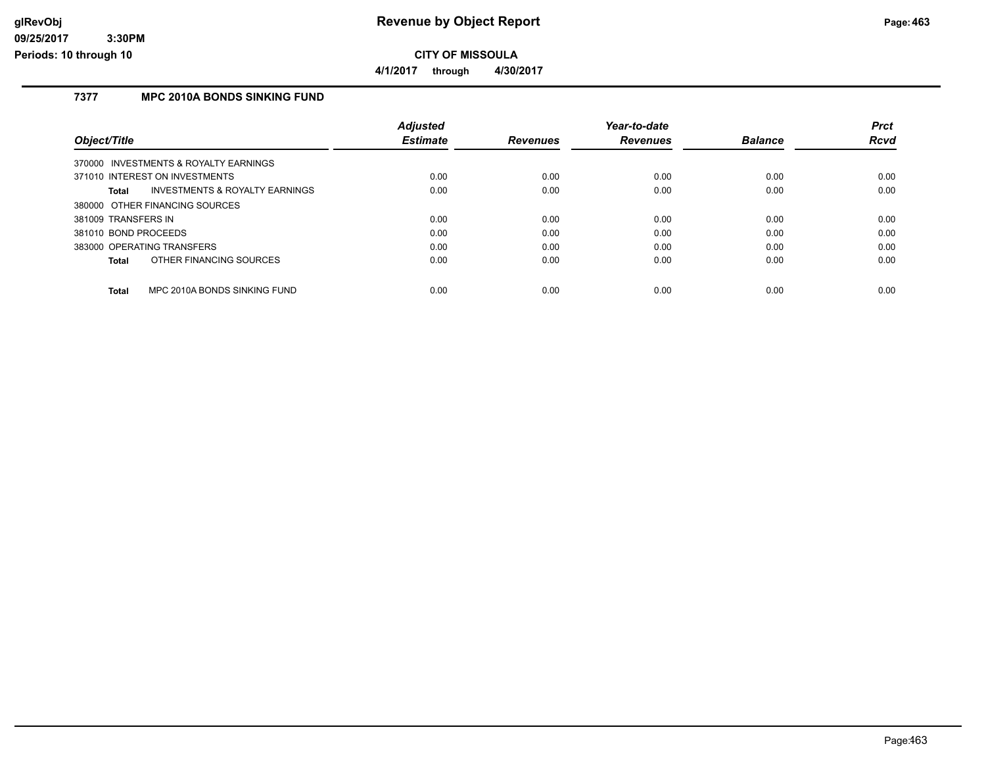**4/1/2017 through 4/30/2017**

#### **7377 MPC 2010A BONDS SINKING FUND**

|                      |                                           | <b>Adjusted</b> |                 | Year-to-date    |                | <b>Prct</b> |
|----------------------|-------------------------------------------|-----------------|-----------------|-----------------|----------------|-------------|
| Object/Title         |                                           | <b>Estimate</b> | <b>Revenues</b> | <b>Revenues</b> | <b>Balance</b> | <b>Rcvd</b> |
|                      | 370000 INVESTMENTS & ROYALTY EARNINGS     |                 |                 |                 |                |             |
|                      | 371010 INTEREST ON INVESTMENTS            | 0.00            | 0.00            | 0.00            | 0.00           | 0.00        |
| Total                | <b>INVESTMENTS &amp; ROYALTY EARNINGS</b> | 0.00            | 0.00            | 0.00            | 0.00           | 0.00        |
|                      | 380000 OTHER FINANCING SOURCES            |                 |                 |                 |                |             |
| 381009 TRANSFERS IN  |                                           | 0.00            | 0.00            | 0.00            | 0.00           | 0.00        |
| 381010 BOND PROCEEDS |                                           | 0.00            | 0.00            | 0.00            | 0.00           | 0.00        |
|                      | 383000 OPERATING TRANSFERS                | 0.00            | 0.00            | 0.00            | 0.00           | 0.00        |
| Total                | OTHER FINANCING SOURCES                   | 0.00            | 0.00            | 0.00            | 0.00           | 0.00        |
| Total                | MPC 2010A BONDS SINKING FUND              | 0.00            | 0.00            | 0.00            | 0.00           | 0.00        |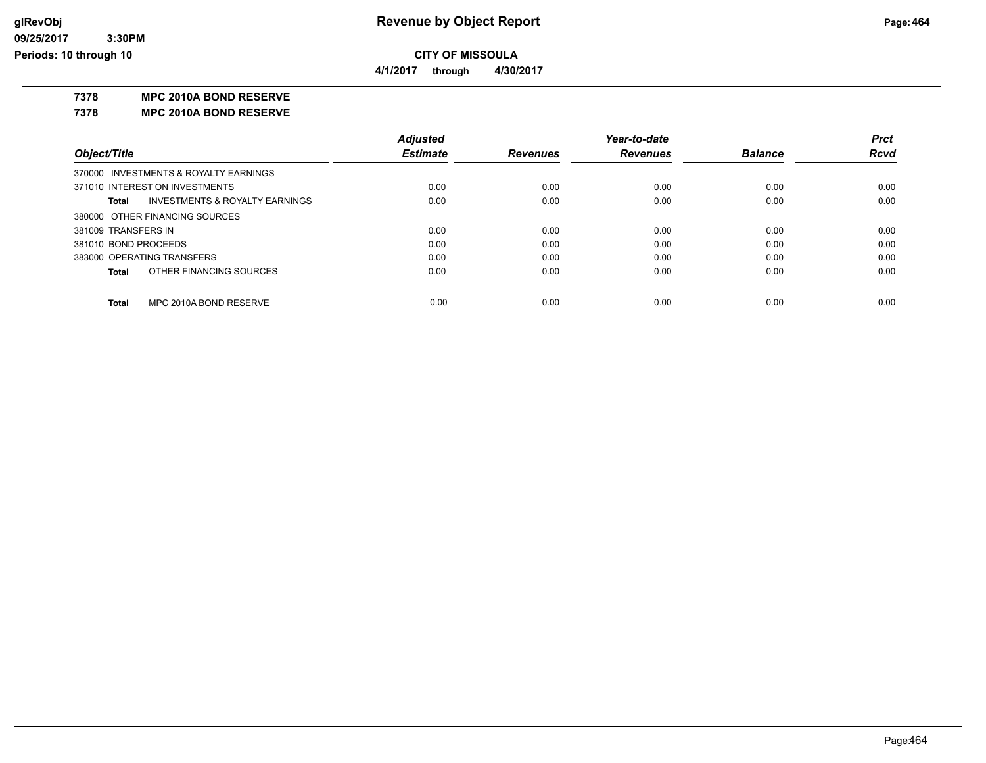**4/1/2017 through 4/30/2017**

**7378 MPC 2010A BOND RESERVE**

**7378 MPC 2010A BOND RESERVE**

|                      |                                       | <b>Adjusted</b> |                 | Year-to-date    |                | <b>Prct</b> |
|----------------------|---------------------------------------|-----------------|-----------------|-----------------|----------------|-------------|
| Object/Title         |                                       | <b>Estimate</b> | <b>Revenues</b> | <b>Revenues</b> | <b>Balance</b> | <b>Rcvd</b> |
|                      | 370000 INVESTMENTS & ROYALTY EARNINGS |                 |                 |                 |                |             |
|                      | 371010 INTEREST ON INVESTMENTS        | 0.00            | 0.00            | 0.00            | 0.00           | 0.00        |
| Total                | INVESTMENTS & ROYALTY EARNINGS        | 0.00            | 0.00            | 0.00            | 0.00           | 0.00        |
|                      | 380000 OTHER FINANCING SOURCES        |                 |                 |                 |                |             |
| 381009 TRANSFERS IN  |                                       | 0.00            | 0.00            | 0.00            | 0.00           | 0.00        |
| 381010 BOND PROCEEDS |                                       | 0.00            | 0.00            | 0.00            | 0.00           | 0.00        |
|                      | 383000 OPERATING TRANSFERS            | 0.00            | 0.00            | 0.00            | 0.00           | 0.00        |
| Total                | OTHER FINANCING SOURCES               | 0.00            | 0.00            | 0.00            | 0.00           | 0.00        |
| <b>Total</b>         | MPC 2010A BOND RESERVE                | 0.00            | 0.00            | 0.00            | 0.00           | 0.00        |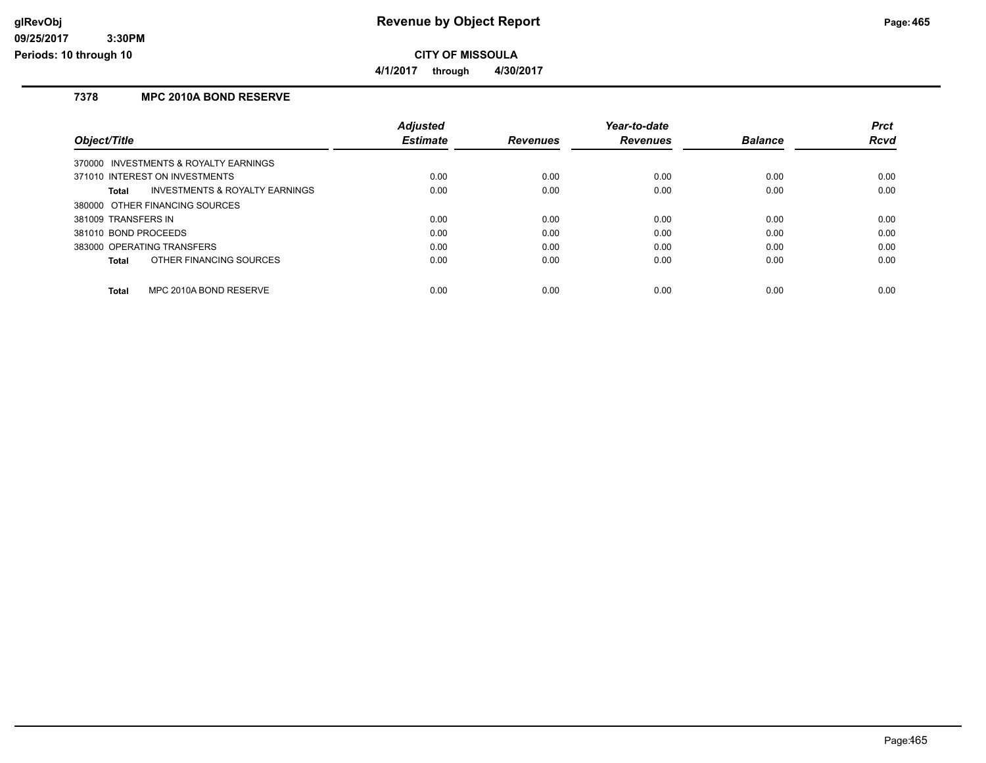**4/1/2017 through 4/30/2017**

#### **7378 MPC 2010A BOND RESERVE**

|                                                           | <b>Adjusted</b> |                 | Year-to-date    |                | <b>Prct</b> |
|-----------------------------------------------------------|-----------------|-----------------|-----------------|----------------|-------------|
| Object/Title                                              | <b>Estimate</b> | <b>Revenues</b> | <b>Revenues</b> | <b>Balance</b> | <b>Rcvd</b> |
| 370000 INVESTMENTS & ROYALTY EARNINGS                     |                 |                 |                 |                |             |
| 371010 INTEREST ON INVESTMENTS                            | 0.00            | 0.00            | 0.00            | 0.00           | 0.00        |
| <b>INVESTMENTS &amp; ROYALTY EARNINGS</b><br><b>Total</b> | 0.00            | 0.00            | 0.00            | 0.00           | 0.00        |
| 380000 OTHER FINANCING SOURCES                            |                 |                 |                 |                |             |
| 381009 TRANSFERS IN                                       | 0.00            | 0.00            | 0.00            | 0.00           | 0.00        |
| 381010 BOND PROCEEDS                                      | 0.00            | 0.00            | 0.00            | 0.00           | 0.00        |
| 383000 OPERATING TRANSFERS                                | 0.00            | 0.00            | 0.00            | 0.00           | 0.00        |
| OTHER FINANCING SOURCES<br>Total                          | 0.00            | 0.00            | 0.00            | 0.00           | 0.00        |
| MPC 2010A BOND RESERVE<br>Total                           | 0.00            | 0.00            | 0.00            | 0.00           | 0.00        |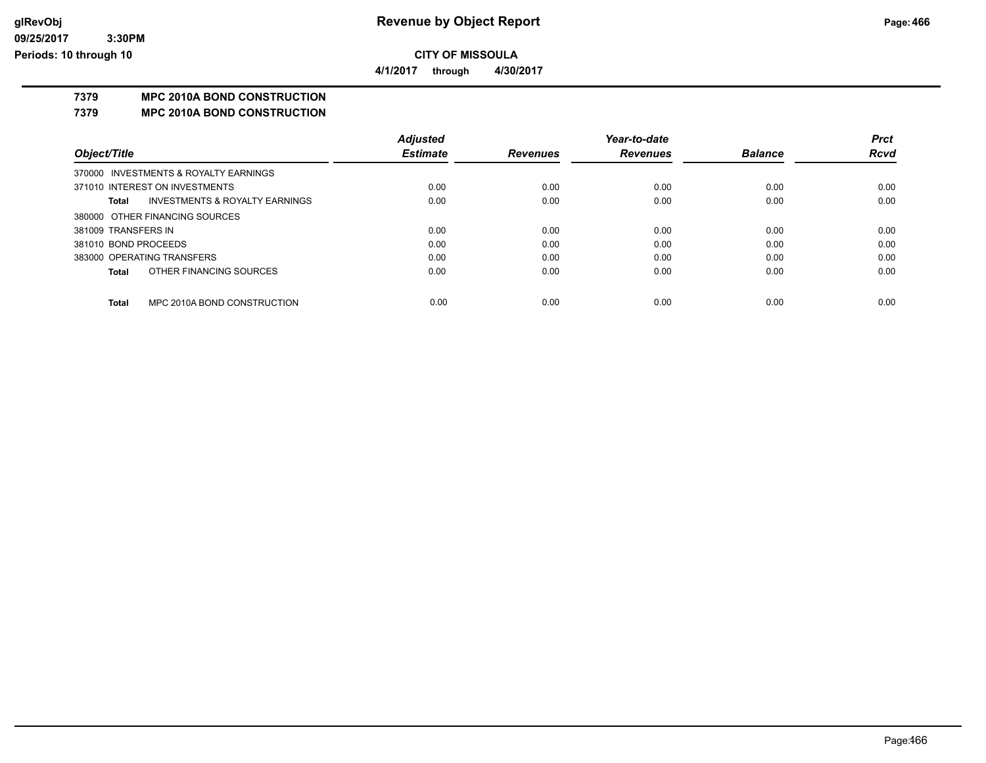**4/1/2017 through 4/30/2017**

### **7379 MPC 2010A BOND CONSTRUCTION**

#### **7379 MPC 2010A BOND CONSTRUCTION**

|                      |                                       | <b>Adjusted</b> |                 | Year-to-date    |                | <b>Prct</b> |
|----------------------|---------------------------------------|-----------------|-----------------|-----------------|----------------|-------------|
| Object/Title         |                                       | <b>Estimate</b> | <b>Revenues</b> | <b>Revenues</b> | <b>Balance</b> | <b>Rcvd</b> |
|                      | 370000 INVESTMENTS & ROYALTY EARNINGS |                 |                 |                 |                |             |
|                      | 371010 INTEREST ON INVESTMENTS        | 0.00            | 0.00            | 0.00            | 0.00           | 0.00        |
| Total                | INVESTMENTS & ROYALTY EARNINGS        | 0.00            | 0.00            | 0.00            | 0.00           | 0.00        |
|                      | 380000 OTHER FINANCING SOURCES        |                 |                 |                 |                |             |
| 381009 TRANSFERS IN  |                                       | 0.00            | 0.00            | 0.00            | 0.00           | 0.00        |
| 381010 BOND PROCEEDS |                                       | 0.00            | 0.00            | 0.00            | 0.00           | 0.00        |
|                      | 383000 OPERATING TRANSFERS            | 0.00            | 0.00            | 0.00            | 0.00           | 0.00        |
| Total                | OTHER FINANCING SOURCES               | 0.00            | 0.00            | 0.00            | 0.00           | 0.00        |
| Total                | MPC 2010A BOND CONSTRUCTION           | 0.00            | 0.00            | 0.00            | 0.00           | 0.00        |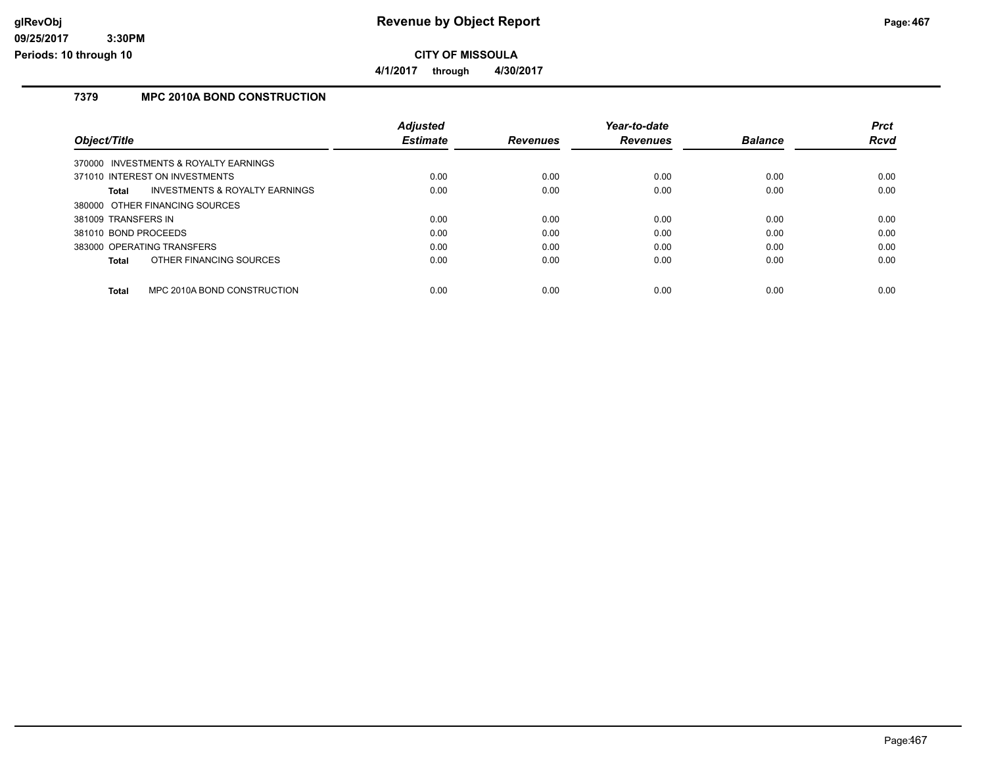**4/1/2017 through 4/30/2017**

#### **7379 MPC 2010A BOND CONSTRUCTION**

|                                                           | <b>Adjusted</b> |                 | Year-to-date    |                | <b>Prct</b> |
|-----------------------------------------------------------|-----------------|-----------------|-----------------|----------------|-------------|
| Object/Title                                              | <b>Estimate</b> | <b>Revenues</b> | <b>Revenues</b> | <b>Balance</b> | <b>Rcvd</b> |
| 370000 INVESTMENTS & ROYALTY EARNINGS                     |                 |                 |                 |                |             |
| 371010 INTEREST ON INVESTMENTS                            | 0.00            | 0.00            | 0.00            | 0.00           | 0.00        |
| <b>INVESTMENTS &amp; ROYALTY EARNINGS</b><br><b>Total</b> | 0.00            | 0.00            | 0.00            | 0.00           | 0.00        |
| 380000 OTHER FINANCING SOURCES                            |                 |                 |                 |                |             |
| 381009 TRANSFERS IN                                       | 0.00            | 0.00            | 0.00            | 0.00           | 0.00        |
| 381010 BOND PROCEEDS                                      | 0.00            | 0.00            | 0.00            | 0.00           | 0.00        |
| 383000 OPERATING TRANSFERS                                | 0.00            | 0.00            | 0.00            | 0.00           | 0.00        |
| OTHER FINANCING SOURCES<br><b>Total</b>                   | 0.00            | 0.00            | 0.00            | 0.00           | 0.00        |
|                                                           |                 |                 |                 |                |             |
| MPC 2010A BOND CONSTRUCTION<br><b>Total</b>               | 0.00            | 0.00            | 0.00            | 0.00           | 0.00        |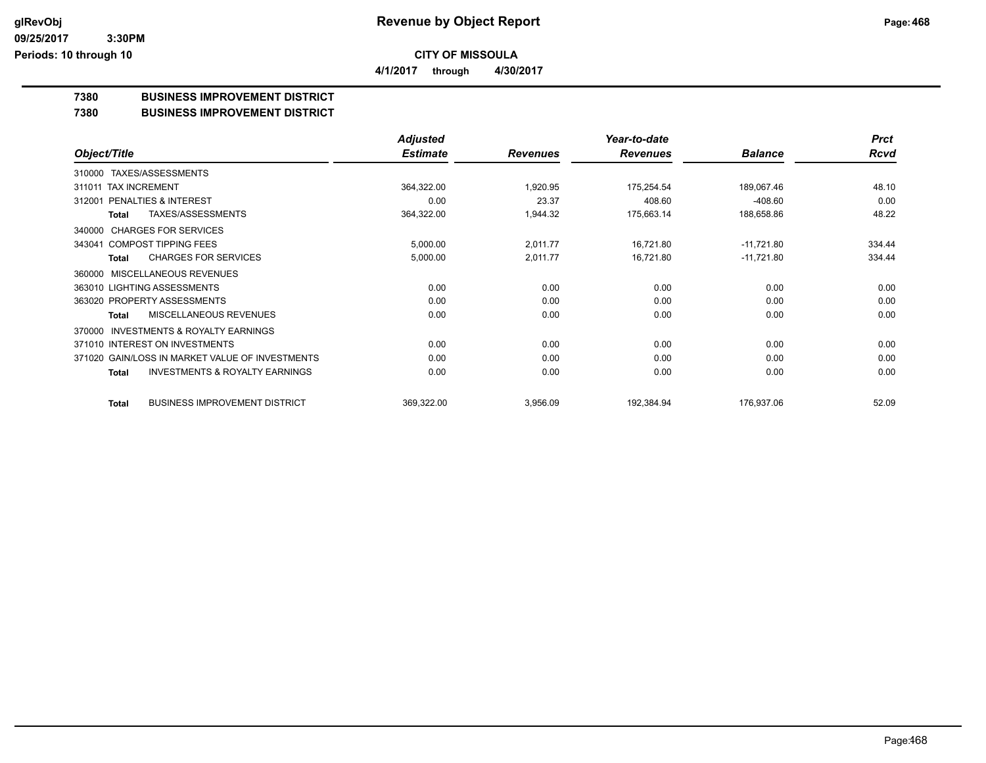**4/1/2017 through 4/30/2017**

#### **7380 BUSINESS IMPROVEMENT DISTRICT**

#### **7380 BUSINESS IMPROVEMENT DISTRICT**

|                                                           | <b>Adjusted</b> |                 | Year-to-date    |                | <b>Prct</b> |
|-----------------------------------------------------------|-----------------|-----------------|-----------------|----------------|-------------|
| Object/Title                                              | <b>Estimate</b> | <b>Revenues</b> | <b>Revenues</b> | <b>Balance</b> | Rcvd        |
| TAXES/ASSESSMENTS<br>310000                               |                 |                 |                 |                |             |
| <b>TAX INCREMENT</b><br>311011                            | 364,322.00      | 1,920.95        | 175,254.54      | 189,067.46     | 48.10       |
| <b>PENALTIES &amp; INTEREST</b><br>312001                 | 0.00            | 23.37           | 408.60          | $-408.60$      | 0.00        |
| TAXES/ASSESSMENTS<br><b>Total</b>                         | 364,322.00      | 1,944.32        | 175,663.14      | 188,658.86     | 48.22       |
| <b>CHARGES FOR SERVICES</b><br>340000                     |                 |                 |                 |                |             |
| 343041 COMPOST TIPPING FEES                               | 5,000.00        | 2,011.77        | 16,721.80       | $-11,721.80$   | 334.44      |
| <b>CHARGES FOR SERVICES</b><br><b>Total</b>               | 5,000.00        | 2,011.77        | 16,721.80       | $-11,721.80$   | 334.44      |
| MISCELLANEOUS REVENUES<br>360000                          |                 |                 |                 |                |             |
| 363010 LIGHTING ASSESSMENTS                               | 0.00            | 0.00            | 0.00            | 0.00           | 0.00        |
| 363020 PROPERTY ASSESSMENTS                               | 0.00            | 0.00            | 0.00            | 0.00           | 0.00        |
| <b>MISCELLANEOUS REVENUES</b><br>Total                    | 0.00            | 0.00            | 0.00            | 0.00           | 0.00        |
| <b>INVESTMENTS &amp; ROYALTY EARNINGS</b><br>370000       |                 |                 |                 |                |             |
| 371010 INTEREST ON INVESTMENTS                            | 0.00            | 0.00            | 0.00            | 0.00           | 0.00        |
| 371020 GAIN/LOSS IN MARKET VALUE OF INVESTMENTS           | 0.00            | 0.00            | 0.00            | 0.00           | 0.00        |
| <b>INVESTMENTS &amp; ROYALTY EARNINGS</b><br><b>Total</b> | 0.00            | 0.00            | 0.00            | 0.00           | 0.00        |
| <b>BUSINESS IMPROVEMENT DISTRICT</b><br><b>Total</b>      | 369,322.00      | 3,956.09        | 192,384.94      | 176,937.06     | 52.09       |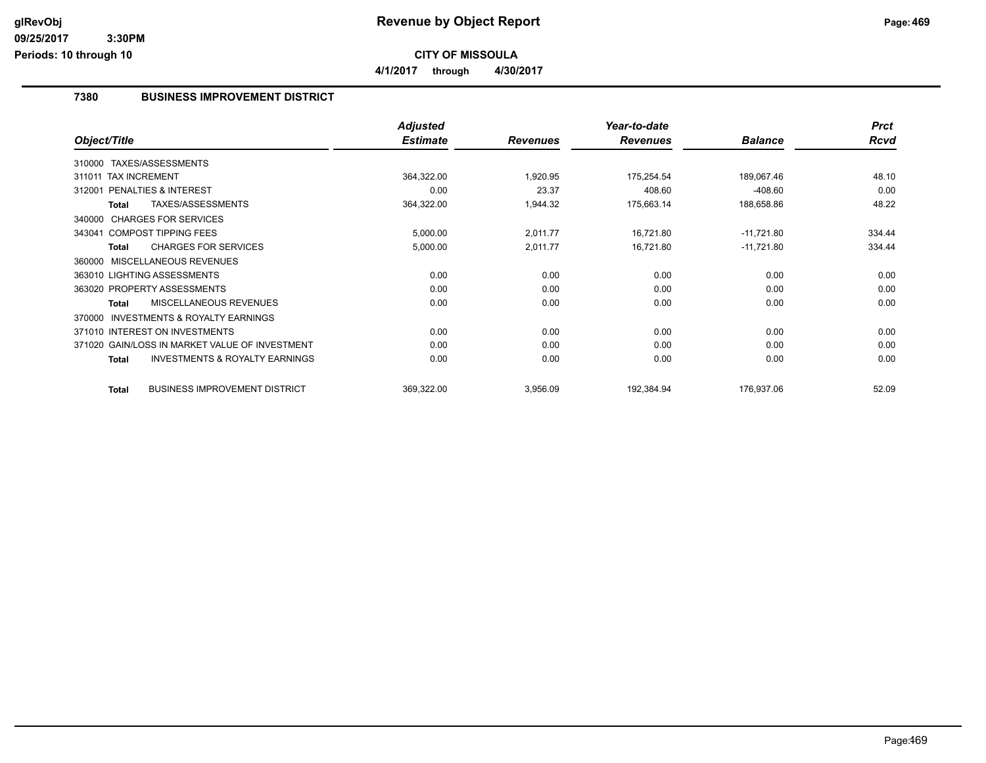**4/1/2017 through 4/30/2017**

# **7380 BUSINESS IMPROVEMENT DISTRICT**

|                                                           | <b>Adjusted</b> |                 | Year-to-date    |                | <b>Prct</b> |
|-----------------------------------------------------------|-----------------|-----------------|-----------------|----------------|-------------|
| Object/Title                                              | <b>Estimate</b> | <b>Revenues</b> | <b>Revenues</b> | <b>Balance</b> | <b>Rcvd</b> |
| TAXES/ASSESSMENTS<br>310000                               |                 |                 |                 |                |             |
| 311011 TAX INCREMENT                                      | 364,322.00      | 1,920.95        | 175,254.54      | 189,067.46     | 48.10       |
| PENALTIES & INTEREST<br>312001                            | 0.00            | 23.37           | 408.60          | $-408.60$      | 0.00        |
| TAXES/ASSESSMENTS<br>Total                                | 364,322.00      | 1,944.32        | 175,663.14      | 188,658.86     | 48.22       |
| 340000 CHARGES FOR SERVICES                               |                 |                 |                 |                |             |
| 343041 COMPOST TIPPING FEES                               | 5,000.00        | 2,011.77        | 16,721.80       | $-11,721.80$   | 334.44      |
| <b>CHARGES FOR SERVICES</b><br><b>Total</b>               | 5,000.00        | 2,011.77        | 16,721.80       | $-11,721.80$   | 334.44      |
| MISCELLANEOUS REVENUES<br>360000                          |                 |                 |                 |                |             |
| 363010 LIGHTING ASSESSMENTS                               | 0.00            | 0.00            | 0.00            | 0.00           | 0.00        |
| 363020 PROPERTY ASSESSMENTS                               | 0.00            | 0.00            | 0.00            | 0.00           | 0.00        |
| <b>MISCELLANEOUS REVENUES</b><br>Total                    | 0.00            | 0.00            | 0.00            | 0.00           | 0.00        |
| <b>INVESTMENTS &amp; ROYALTY EARNINGS</b><br>370000       |                 |                 |                 |                |             |
| 371010 INTEREST ON INVESTMENTS                            | 0.00            | 0.00            | 0.00            | 0.00           | 0.00        |
| 371020 GAIN/LOSS IN MARKET VALUE OF INVESTMENT            | 0.00            | 0.00            | 0.00            | 0.00           | 0.00        |
| <b>INVESTMENTS &amp; ROYALTY EARNINGS</b><br><b>Total</b> | 0.00            | 0.00            | 0.00            | 0.00           | 0.00        |
| <b>BUSINESS IMPROVEMENT DISTRICT</b><br><b>Total</b>      | 369,322.00      | 3,956.09        | 192,384.94      | 176,937.06     | 52.09       |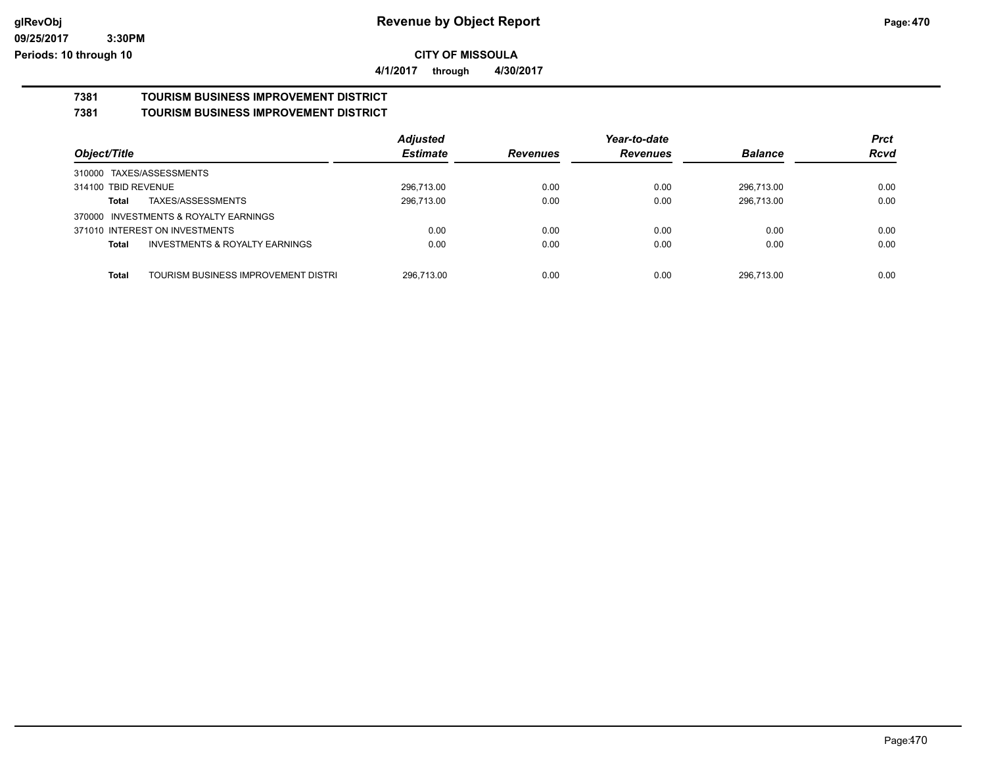**4/1/2017 through 4/30/2017**

# **7381 TOURISM BUSINESS IMPROVEMENT DISTRICT**

# **7381 TOURISM BUSINESS IMPROVEMENT DISTRICT**

|                                                           | <b>Adjusted</b> |                 | Year-to-date    |                | <b>Prct</b> |
|-----------------------------------------------------------|-----------------|-----------------|-----------------|----------------|-------------|
| Object/Title                                              | <b>Estimate</b> | <b>Revenues</b> | <b>Revenues</b> | <b>Balance</b> | <b>Rcvd</b> |
| 310000 TAXES/ASSESSMENTS                                  |                 |                 |                 |                |             |
| 314100 TBID REVENUE                                       | 296,713.00      | 0.00            | 0.00            | 296,713.00     | 0.00        |
| TAXES/ASSESSMENTS<br>Total                                | 296,713.00      | 0.00            | 0.00            | 296.713.00     | 0.00        |
| 370000 INVESTMENTS & ROYALTY EARNINGS                     |                 |                 |                 |                |             |
| 371010 INTEREST ON INVESTMENTS                            | 0.00            | 0.00            | 0.00            | 0.00           | 0.00        |
| <b>INVESTMENTS &amp; ROYALTY EARNINGS</b><br><b>Total</b> | 0.00            | 0.00            | 0.00            | 0.00           | 0.00        |
|                                                           |                 |                 |                 |                |             |
| TOURISM BUSINESS IMPROVEMENT DISTRI<br><b>Total</b>       | 296.713.00      | 0.00            | 0.00            | 296.713.00     | 0.00        |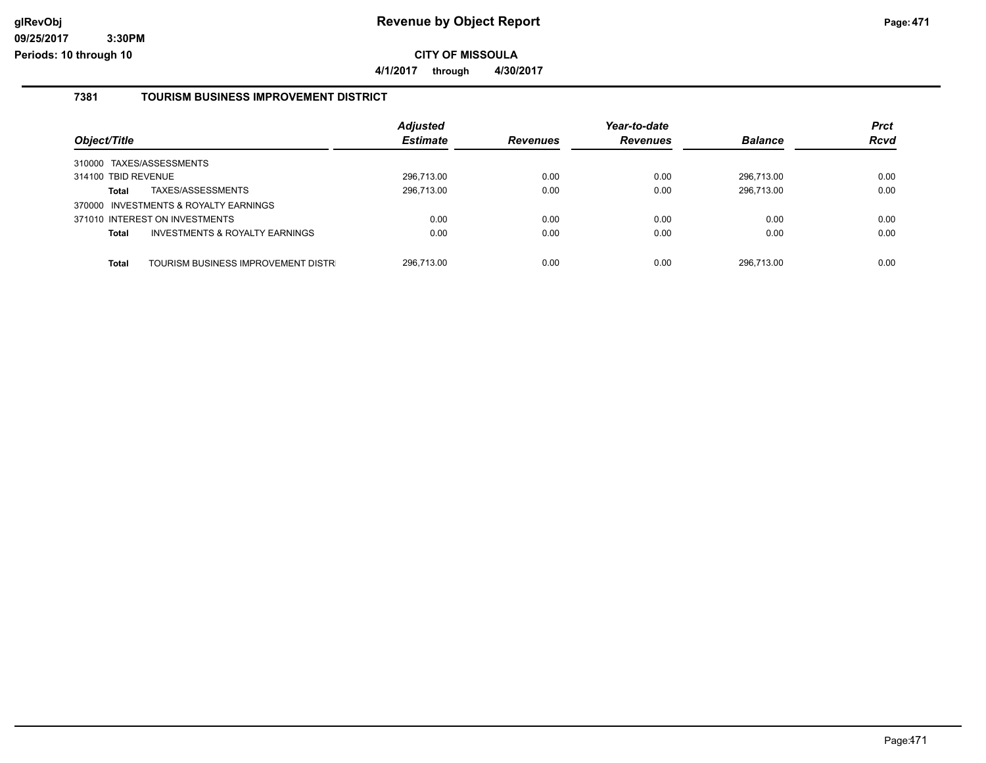**4/1/2017 through 4/30/2017**

# **7381 TOURISM BUSINESS IMPROVEMENT DISTRICT**

| Object/Title                                              | <b>Adjusted</b><br><b>Estimate</b> | <b>Revenues</b> | Year-to-date<br><b>Revenues</b> | <b>Balance</b> | <b>Prct</b><br><b>Rcvd</b> |
|-----------------------------------------------------------|------------------------------------|-----------------|---------------------------------|----------------|----------------------------|
| 310000 TAXES/ASSESSMENTS                                  |                                    |                 |                                 |                |                            |
| 314100 TBID REVENUE                                       | 296.713.00                         | 0.00            | 0.00                            | 296.713.00     | 0.00                       |
| TAXES/ASSESSMENTS<br><b>Total</b>                         | 296,713.00                         | 0.00            | 0.00                            | 296,713.00     | 0.00                       |
| 370000 INVESTMENTS & ROYALTY EARNINGS                     |                                    |                 |                                 |                |                            |
| 371010 INTEREST ON INVESTMENTS                            | 0.00                               | 0.00            | 0.00                            | 0.00           | 0.00                       |
| <b>INVESTMENTS &amp; ROYALTY EARNINGS</b><br><b>Total</b> | 0.00                               | 0.00            | 0.00                            | 0.00           | 0.00                       |
|                                                           |                                    |                 |                                 |                |                            |
| TOURISM BUSINESS IMPROVEMENT DISTR<br><b>Total</b>        | 296.713.00                         | 0.00            | 0.00                            | 296.713.00     | 0.00                       |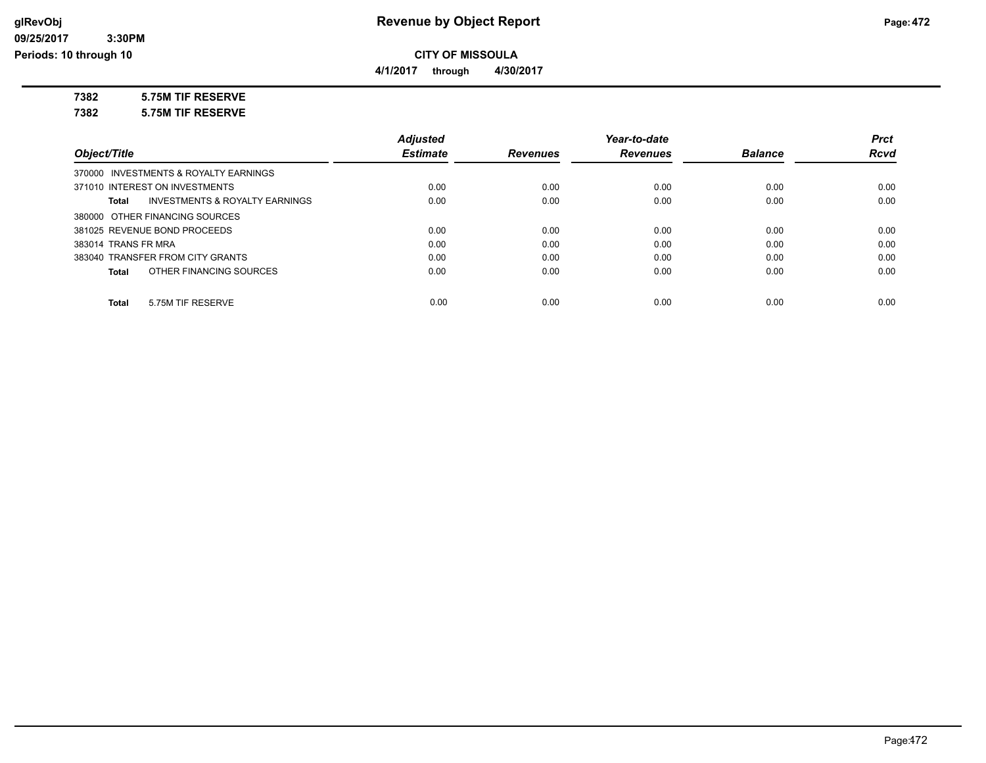**4/1/2017 through 4/30/2017**

**7382 5.75M TIF RESERVE**

**7382 5.75M TIF RESERVE**

|                                         | <b>Adjusted</b> |                 | Year-to-date    |                | <b>Prct</b> |
|-----------------------------------------|-----------------|-----------------|-----------------|----------------|-------------|
| Object/Title                            | <b>Estimate</b> | <b>Revenues</b> | <b>Revenues</b> | <b>Balance</b> | <b>Rcvd</b> |
| 370000 INVESTMENTS & ROYALTY EARNINGS   |                 |                 |                 |                |             |
| 371010 INTEREST ON INVESTMENTS          | 0.00            | 0.00            | 0.00            | 0.00           | 0.00        |
| INVESTMENTS & ROYALTY EARNINGS<br>Total | 0.00            | 0.00            | 0.00            | 0.00           | 0.00        |
| 380000 OTHER FINANCING SOURCES          |                 |                 |                 |                |             |
| 381025 REVENUE BOND PROCEEDS            | 0.00            | 0.00            | 0.00            | 0.00           | 0.00        |
| 383014 TRANS FR MRA                     | 0.00            | 0.00            | 0.00            | 0.00           | 0.00        |
| 383040 TRANSFER FROM CITY GRANTS        | 0.00            | 0.00            | 0.00            | 0.00           | 0.00        |
| OTHER FINANCING SOURCES<br>Total        | 0.00            | 0.00            | 0.00            | 0.00           | 0.00        |
|                                         |                 |                 |                 |                |             |
| 5.75M TIF RESERVE<br>Total              | 0.00            | 0.00            | 0.00            | 0.00           | 0.00        |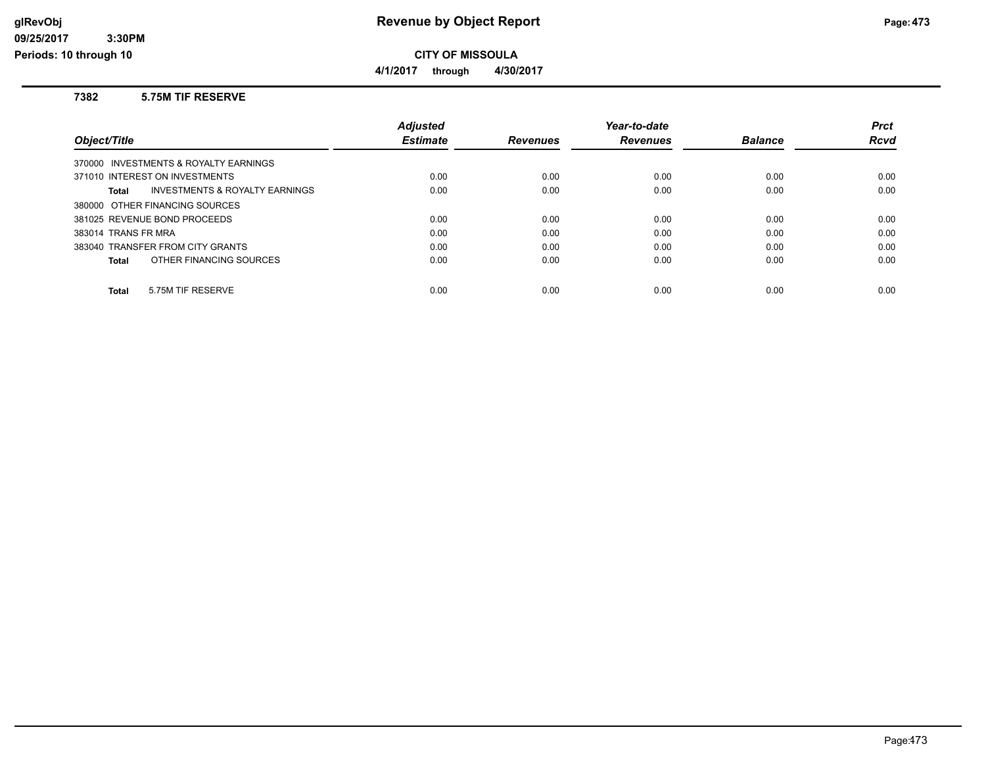**4/1/2017 through 4/30/2017**

### **7382 5.75M TIF RESERVE**

|                                                    | <b>Adiusted</b> |                 | Year-to-date    |                | <b>Prct</b> |
|----------------------------------------------------|-----------------|-----------------|-----------------|----------------|-------------|
| Object/Title                                       | <b>Estimate</b> | <b>Revenues</b> | <b>Revenues</b> | <b>Balance</b> | <b>Rcvd</b> |
| 370000 INVESTMENTS & ROYALTY EARNINGS              |                 |                 |                 |                |             |
| 371010 INTEREST ON INVESTMENTS                     | 0.00            | 0.00            | 0.00            | 0.00           | 0.00        |
| <b>INVESTMENTS &amp; ROYALTY EARNINGS</b><br>Total | 0.00            | 0.00            | 0.00            | 0.00           | 0.00        |
| 380000 OTHER FINANCING SOURCES                     |                 |                 |                 |                |             |
| 381025 REVENUE BOND PROCEEDS                       | 0.00            | 0.00            | 0.00            | 0.00           | 0.00        |
| 383014 TRANS FR MRA                                | 0.00            | 0.00            | 0.00            | 0.00           | 0.00        |
| 383040 TRANSFER FROM CITY GRANTS                   | 0.00            | 0.00            | 0.00            | 0.00           | 0.00        |
| OTHER FINANCING SOURCES<br>Total                   | 0.00            | 0.00            | 0.00            | 0.00           | 0.00        |
| 5.75M TIF RESERVE<br><b>Total</b>                  | 0.00            | 0.00            | 0.00            | 0.00           | 0.00        |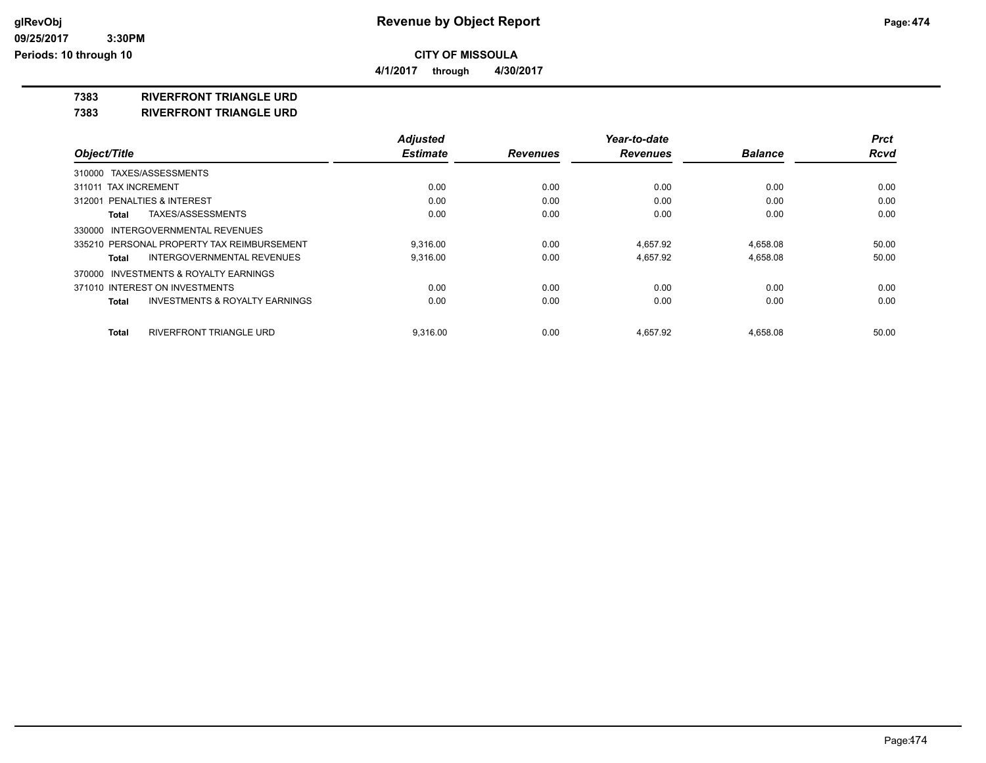**4/1/2017 through 4/30/2017**

**7383 RIVERFRONT TRIANGLE URD**

**7383 RIVERFRONT TRIANGLE URD**

|                                                    | <b>Adjusted</b> |                 | Year-to-date    |                | <b>Prct</b> |
|----------------------------------------------------|-----------------|-----------------|-----------------|----------------|-------------|
| Object/Title                                       | <b>Estimate</b> | <b>Revenues</b> | <b>Revenues</b> | <b>Balance</b> | <b>Rcvd</b> |
| 310000 TAXES/ASSESSMENTS                           |                 |                 |                 |                |             |
| 311011 TAX INCREMENT                               | 0.00            | 0.00            | 0.00            | 0.00           | 0.00        |
| 312001 PENALTIES & INTEREST                        | 0.00            | 0.00            | 0.00            | 0.00           | 0.00        |
| TAXES/ASSESSMENTS<br>Total                         | 0.00            | 0.00            | 0.00            | 0.00           | 0.00        |
| 330000 INTERGOVERNMENTAL REVENUES                  |                 |                 |                 |                |             |
| 335210 PERSONAL PROPERTY TAX REIMBURSEMENT         | 9,316.00        | 0.00            | 4,657.92        | 4,658.08       | 50.00       |
| <b>INTERGOVERNMENTAL REVENUES</b><br>Total         | 9.316.00        | 0.00            | 4,657.92        | 4,658.08       | 50.00       |
| 370000 INVESTMENTS & ROYALTY EARNINGS              |                 |                 |                 |                |             |
| 371010 INTEREST ON INVESTMENTS                     | 0.00            | 0.00            | 0.00            | 0.00           | 0.00        |
| <b>INVESTMENTS &amp; ROYALTY EARNINGS</b><br>Total | 0.00            | 0.00            | 0.00            | 0.00           | 0.00        |
| <b>RIVERFRONT TRIANGLE URD</b><br>Total            | 9.316.00        | 0.00            | 4.657.92        | 4.658.08       | 50.00       |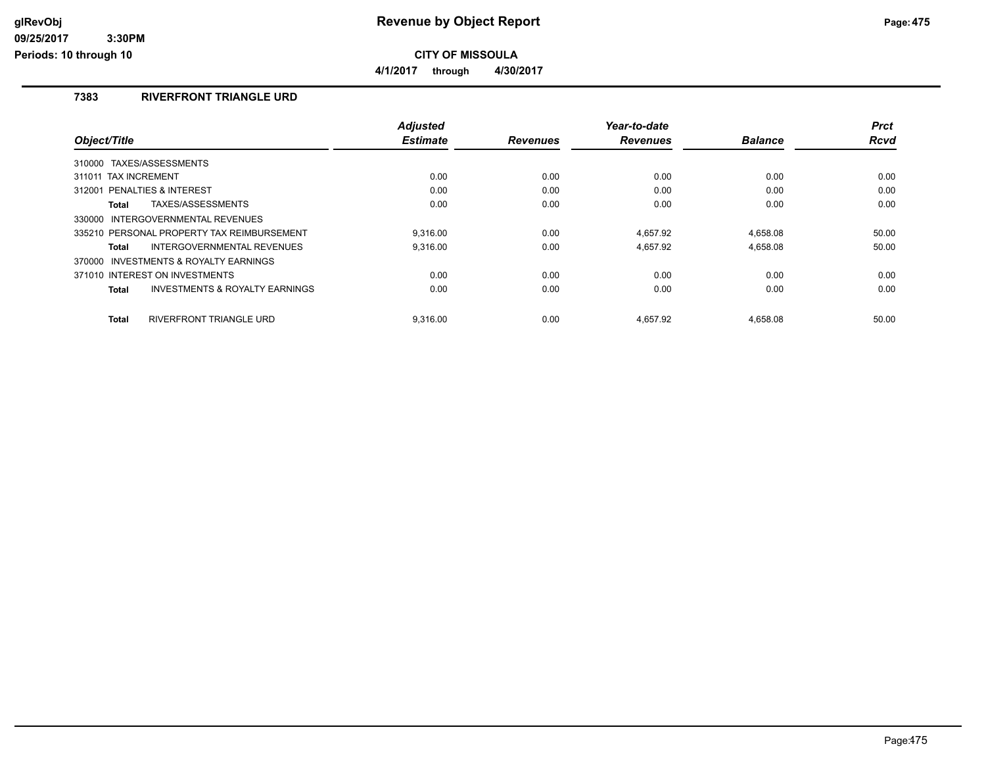**4/1/2017 through 4/30/2017**

# **7383 RIVERFRONT TRIANGLE URD**

| Object/Title                                       | <b>Adjusted</b><br><b>Estimate</b> | <b>Revenues</b> | Year-to-date<br><b>Revenues</b> | <b>Balance</b> | <b>Prct</b><br><b>Rcvd</b> |
|----------------------------------------------------|------------------------------------|-----------------|---------------------------------|----------------|----------------------------|
| TAXES/ASSESSMENTS<br>310000                        |                                    |                 |                                 |                |                            |
| 311011 TAX INCREMENT                               | 0.00                               | 0.00            | 0.00                            | 0.00           | 0.00                       |
| 312001 PENALTIES & INTEREST                        | 0.00                               | 0.00            | 0.00                            | 0.00           | 0.00                       |
| TAXES/ASSESSMENTS<br><b>Total</b>                  | 0.00                               | 0.00            | 0.00                            | 0.00           | 0.00                       |
| INTERGOVERNMENTAL REVENUES<br>330000               |                                    |                 |                                 |                |                            |
| 335210 PERSONAL PROPERTY TAX REIMBURSEMENT         | 9.316.00                           | 0.00            | 4.657.92                        | 4.658.08       | 50.00                      |
| INTERGOVERNMENTAL REVENUES<br>Total                | 9.316.00                           | 0.00            | 4.657.92                        | 4.658.08       | 50.00                      |
| INVESTMENTS & ROYALTY EARNINGS<br>370000           |                                    |                 |                                 |                |                            |
| 371010 INTEREST ON INVESTMENTS                     | 0.00                               | 0.00            | 0.00                            | 0.00           | 0.00                       |
| <b>INVESTMENTS &amp; ROYALTY EARNINGS</b><br>Total | 0.00                               | 0.00            | 0.00                            | 0.00           | 0.00                       |
| <b>RIVERFRONT TRIANGLE URD</b><br><b>Total</b>     | 9.316.00                           | 0.00            | 4.657.92                        | 4.658.08       | 50.00                      |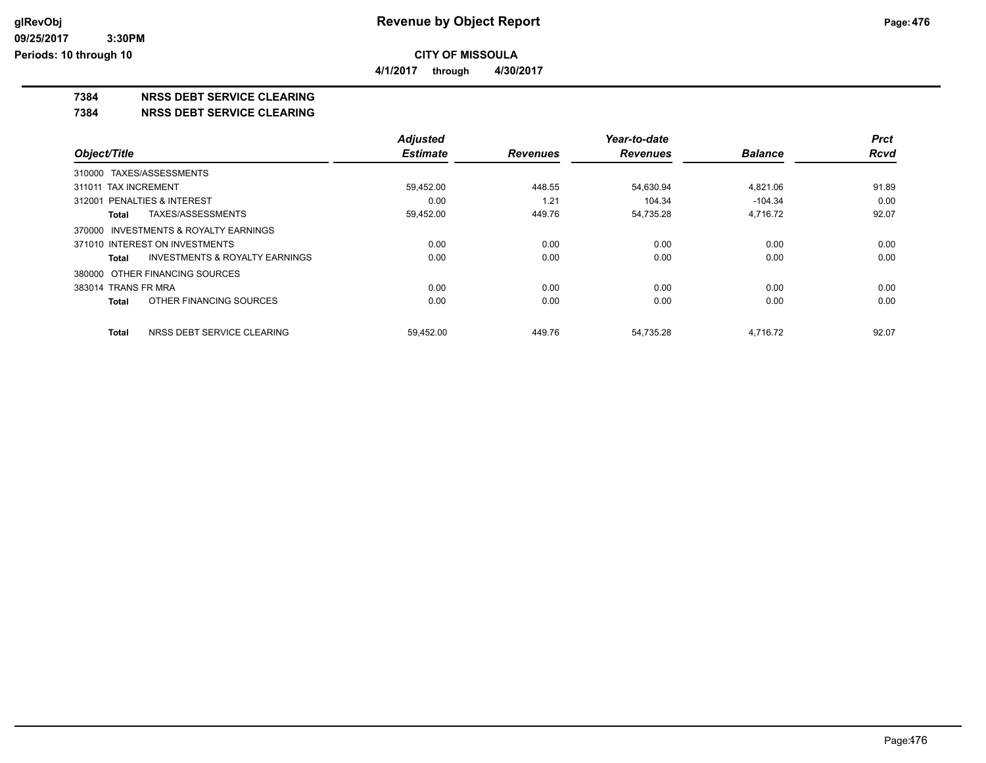**4/1/2017 through 4/30/2017**

# **7384 NRSS DEBT SERVICE CLEARING**

**7384 NRSS DEBT SERVICE CLEARING**

|                                                    | <b>Adjusted</b> |                 | Year-to-date    |                | <b>Prct</b> |
|----------------------------------------------------|-----------------|-----------------|-----------------|----------------|-------------|
| Object/Title                                       | <b>Estimate</b> | <b>Revenues</b> | <b>Revenues</b> | <b>Balance</b> | <b>Rcvd</b> |
| 310000 TAXES/ASSESSMENTS                           |                 |                 |                 |                |             |
| 311011 TAX INCREMENT                               | 59,452.00       | 448.55          | 54,630.94       | 4,821.06       | 91.89       |
| <b>PENALTIES &amp; INTEREST</b><br>312001          | 0.00            | 1.21            | 104.34          | $-104.34$      | 0.00        |
| TAXES/ASSESSMENTS<br>Total                         | 59,452.00       | 449.76          | 54,735.28       | 4,716.72       | 92.07       |
| 370000 INVESTMENTS & ROYALTY EARNINGS              |                 |                 |                 |                |             |
| 371010 INTEREST ON INVESTMENTS                     | 0.00            | 0.00            | 0.00            | 0.00           | 0.00        |
| <b>INVESTMENTS &amp; ROYALTY EARNINGS</b><br>Total | 0.00            | 0.00            | 0.00            | 0.00           | 0.00        |
| 380000 OTHER FINANCING SOURCES                     |                 |                 |                 |                |             |
| 383014 TRANS FR MRA                                | 0.00            | 0.00            | 0.00            | 0.00           | 0.00        |
| OTHER FINANCING SOURCES<br><b>Total</b>            | 0.00            | 0.00            | 0.00            | 0.00           | 0.00        |
| NRSS DEBT SERVICE CLEARING<br><b>Total</b>         | 59.452.00       | 449.76          | 54.735.28       | 4,716.72       | 92.07       |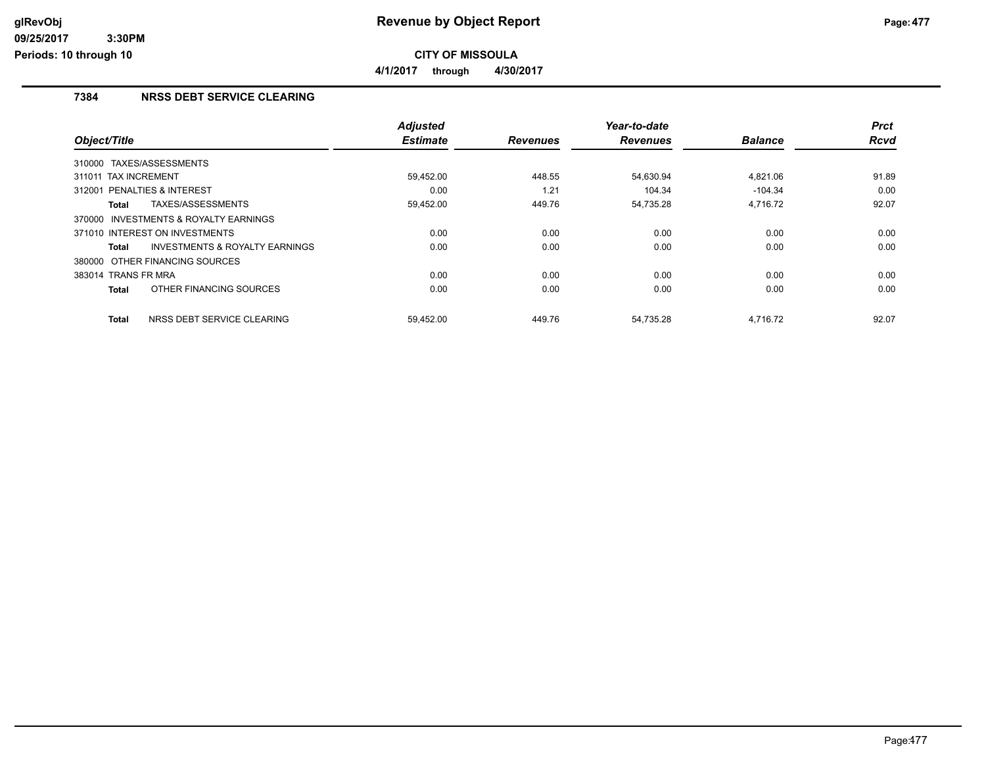**4/1/2017 through 4/30/2017**

# **7384 NRSS DEBT SERVICE CLEARING**

|                                                           | <b>Adjusted</b> |                 | Year-to-date    |                | <b>Prct</b> |
|-----------------------------------------------------------|-----------------|-----------------|-----------------|----------------|-------------|
| Object/Title                                              | <b>Estimate</b> | <b>Revenues</b> | <b>Revenues</b> | <b>Balance</b> | <b>Rcvd</b> |
| TAXES/ASSESSMENTS<br>310000                               |                 |                 |                 |                |             |
| 311011 TAX INCREMENT                                      | 59,452.00       | 448.55          | 54,630.94       | 4.821.06       | 91.89       |
| PENALTIES & INTEREST<br>312001                            | 0.00            | 1.21            | 104.34          | $-104.34$      | 0.00        |
| TAXES/ASSESSMENTS<br><b>Total</b>                         | 59,452.00       | 449.76          | 54,735.28       | 4,716.72       | 92.07       |
| 370000 INVESTMENTS & ROYALTY EARNINGS                     |                 |                 |                 |                |             |
| 371010 INTEREST ON INVESTMENTS                            | 0.00            | 0.00            | 0.00            | 0.00           | 0.00        |
| <b>INVESTMENTS &amp; ROYALTY EARNINGS</b><br><b>Total</b> | 0.00            | 0.00            | 0.00            | 0.00           | 0.00        |
| 380000 OTHER FINANCING SOURCES                            |                 |                 |                 |                |             |
| 383014 TRANS FR MRA                                       | 0.00            | 0.00            | 0.00            | 0.00           | 0.00        |
| OTHER FINANCING SOURCES<br><b>Total</b>                   | 0.00            | 0.00            | 0.00            | 0.00           | 0.00        |
| NRSS DEBT SERVICE CLEARING<br><b>Total</b>                | 59,452.00       | 449.76          | 54.735.28       | 4.716.72       | 92.07       |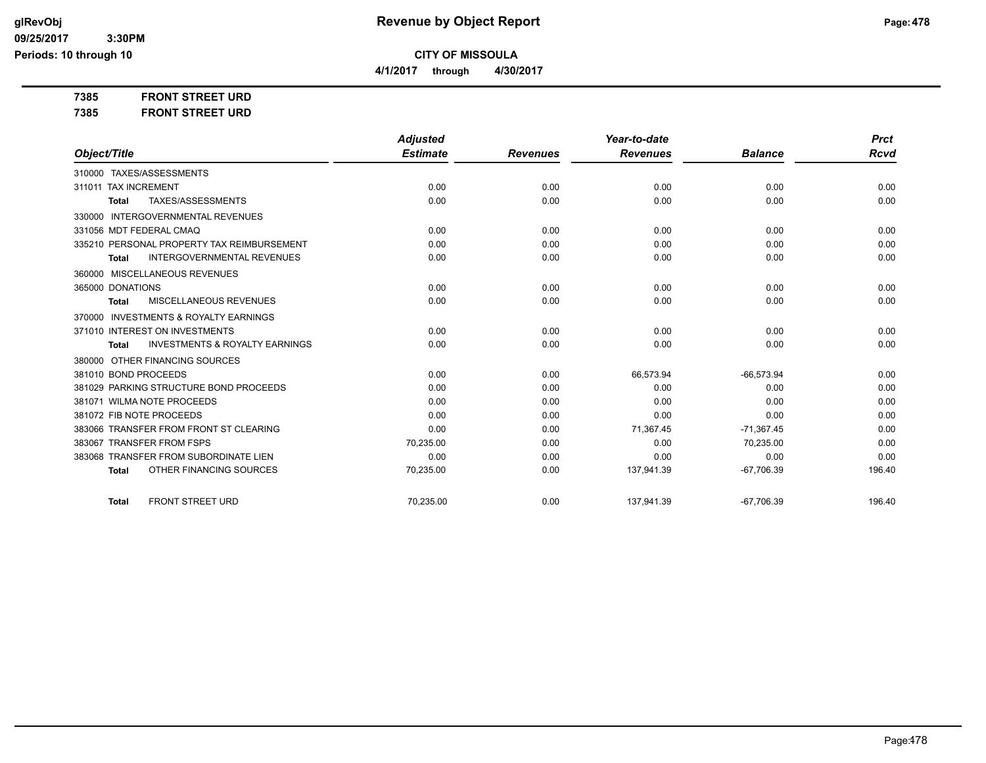**4/1/2017 through 4/30/2017**

**7385 FRONT STREET URD**

**7385 FRONT STREET URD**

|                                                    | <b>Adjusted</b> |                 | Year-to-date    |                | <b>Prct</b> |
|----------------------------------------------------|-----------------|-----------------|-----------------|----------------|-------------|
| Object/Title                                       | <b>Estimate</b> | <b>Revenues</b> | <b>Revenues</b> | <b>Balance</b> | <b>Rcvd</b> |
| 310000 TAXES/ASSESSMENTS                           |                 |                 |                 |                |             |
| 311011 TAX INCREMENT                               | 0.00            | 0.00            | 0.00            | 0.00           | 0.00        |
| TAXES/ASSESSMENTS<br><b>Total</b>                  | 0.00            | 0.00            | 0.00            | 0.00           | 0.00        |
| <b>INTERGOVERNMENTAL REVENUES</b><br>330000        |                 |                 |                 |                |             |
| 331056 MDT FEDERAL CMAQ                            | 0.00            | 0.00            | 0.00            | 0.00           | 0.00        |
| 335210 PERSONAL PROPERTY TAX REIMBURSEMENT         | 0.00            | 0.00            | 0.00            | 0.00           | 0.00        |
| <b>INTERGOVERNMENTAL REVENUES</b><br><b>Total</b>  | 0.00            | 0.00            | 0.00            | 0.00           | 0.00        |
| 360000 MISCELLANEOUS REVENUES                      |                 |                 |                 |                |             |
| 365000 DONATIONS                                   | 0.00            | 0.00            | 0.00            | 0.00           | 0.00        |
| MISCELLANEOUS REVENUES<br><b>Total</b>             | 0.00            | 0.00            | 0.00            | 0.00           | 0.00        |
| 370000 INVESTMENTS & ROYALTY EARNINGS              |                 |                 |                 |                |             |
| 371010 INTEREST ON INVESTMENTS                     | 0.00            | 0.00            | 0.00            | 0.00           | 0.00        |
| <b>INVESTMENTS &amp; ROYALTY EARNINGS</b><br>Total | 0.00            | 0.00            | 0.00            | 0.00           | 0.00        |
| 380000 OTHER FINANCING SOURCES                     |                 |                 |                 |                |             |
| 381010 BOND PROCEEDS                               | 0.00            | 0.00            | 66,573.94       | $-66,573.94$   | 0.00        |
| 381029 PARKING STRUCTURE BOND PROCEEDS             | 0.00            | 0.00            | 0.00            | 0.00           | 0.00        |
| 381071 WILMA NOTE PROCEEDS                         | 0.00            | 0.00            | 0.00            | 0.00           | 0.00        |
| 381072 FIB NOTE PROCEEDS                           | 0.00            | 0.00            | 0.00            | 0.00           | 0.00        |
| 383066 TRANSFER FROM FRONT ST CLEARING             | 0.00            | 0.00            | 71,367.45       | $-71,367.45$   | 0.00        |
| 383067 TRANSFER FROM FSPS                          | 70,235.00       | 0.00            | 0.00            | 70,235.00      | 0.00        |
| 383068 TRANSFER FROM SUBORDINATE LIEN              | 0.00            | 0.00            | 0.00            | 0.00           | 0.00        |
| OTHER FINANCING SOURCES<br><b>Total</b>            | 70,235.00       | 0.00            | 137,941.39      | $-67,706.39$   | 196.40      |
| <b>FRONT STREET URD</b><br><b>Total</b>            | 70,235.00       | 0.00            | 137,941.39      | $-67,706.39$   | 196.40      |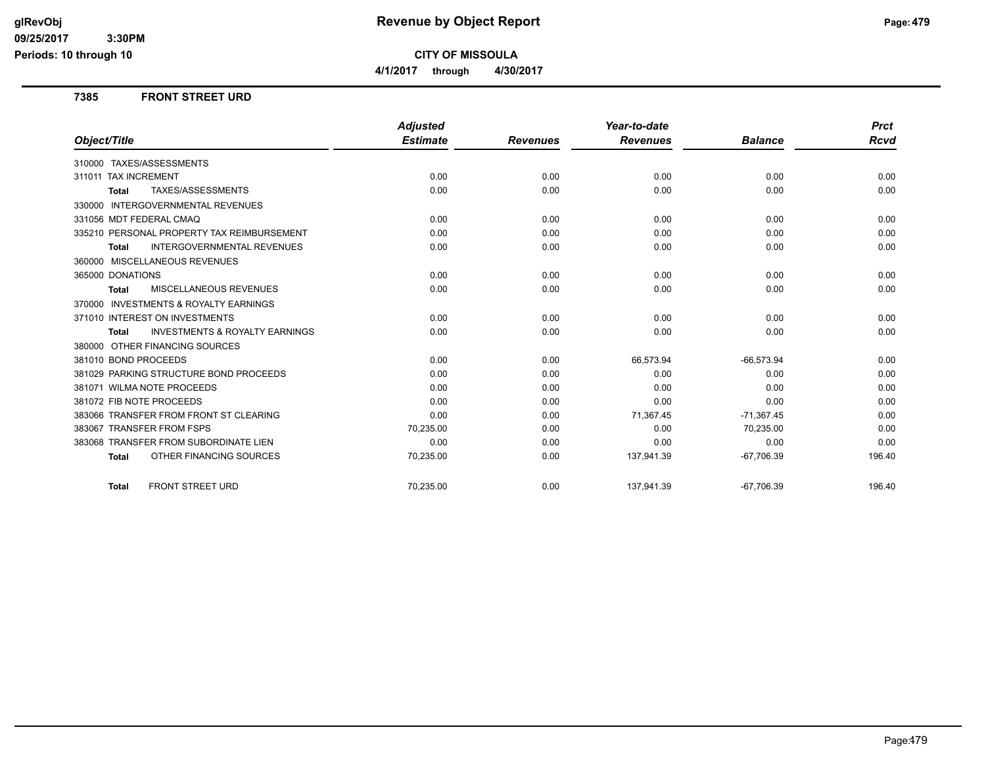**Periods: 10 through 10**

**CITY OF MISSOULA**

**4/1/2017 through 4/30/2017**

### **7385 FRONT STREET URD**

|                                                           | <b>Adjusted</b> |                 | Year-to-date    |                | <b>Prct</b> |
|-----------------------------------------------------------|-----------------|-----------------|-----------------|----------------|-------------|
| Object/Title                                              | <b>Estimate</b> | <b>Revenues</b> | <b>Revenues</b> | <b>Balance</b> | Rcvd        |
| 310000 TAXES/ASSESSMENTS                                  |                 |                 |                 |                |             |
| 311011 TAX INCREMENT                                      | 0.00            | 0.00            | 0.00            | 0.00           | 0.00        |
| TAXES/ASSESSMENTS<br><b>Total</b>                         | 0.00            | 0.00            | 0.00            | 0.00           | 0.00        |
| 330000 INTERGOVERNMENTAL REVENUES                         |                 |                 |                 |                |             |
| 331056 MDT FEDERAL CMAQ                                   | 0.00            | 0.00            | 0.00            | 0.00           | 0.00        |
| 335210 PERSONAL PROPERTY TAX REIMBURSEMENT                | 0.00            | 0.00            | 0.00            | 0.00           | 0.00        |
| <b>INTERGOVERNMENTAL REVENUES</b><br><b>Total</b>         | 0.00            | 0.00            | 0.00            | 0.00           | 0.00        |
| 360000 MISCELLANEOUS REVENUES                             |                 |                 |                 |                |             |
| 365000 DONATIONS                                          | 0.00            | 0.00            | 0.00            | 0.00           | 0.00        |
| <b>MISCELLANEOUS REVENUES</b><br><b>Total</b>             | 0.00            | 0.00            | 0.00            | 0.00           | 0.00        |
| 370000 INVESTMENTS & ROYALTY EARNINGS                     |                 |                 |                 |                |             |
| 371010 INTEREST ON INVESTMENTS                            | 0.00            | 0.00            | 0.00            | 0.00           | 0.00        |
| <b>INVESTMENTS &amp; ROYALTY EARNINGS</b><br><b>Total</b> | 0.00            | 0.00            | 0.00            | 0.00           | 0.00        |
| 380000 OTHER FINANCING SOURCES                            |                 |                 |                 |                |             |
| 381010 BOND PROCEEDS                                      | 0.00            | 0.00            | 66,573.94       | $-66,573.94$   | 0.00        |
| 381029 PARKING STRUCTURE BOND PROCEEDS                    | 0.00            | 0.00            | 0.00            | 0.00           | 0.00        |
| 381071 WILMA NOTE PROCEEDS                                | 0.00            | 0.00            | 0.00            | 0.00           | 0.00        |
| 381072 FIB NOTE PROCEEDS                                  | 0.00            | 0.00            | 0.00            | 0.00           | 0.00        |
| 383066 TRANSFER FROM FRONT ST CLEARING                    | 0.00            | 0.00            | 71,367.45       | $-71,367.45$   | 0.00        |
| 383067 TRANSFER FROM FSPS                                 | 70,235.00       | 0.00            | 0.00            | 70,235.00      | 0.00        |
| 383068 TRANSFER FROM SUBORDINATE LIEN                     | 0.00            | 0.00            | 0.00            | 0.00           | 0.00        |
| OTHER FINANCING SOURCES<br><b>Total</b>                   | 70,235.00       | 0.00            | 137,941.39      | $-67,706.39$   | 196.40      |
| <b>FRONT STREET URD</b><br><b>Total</b>                   | 70.235.00       | 0.00            | 137.941.39      | $-67.706.39$   | 196.40      |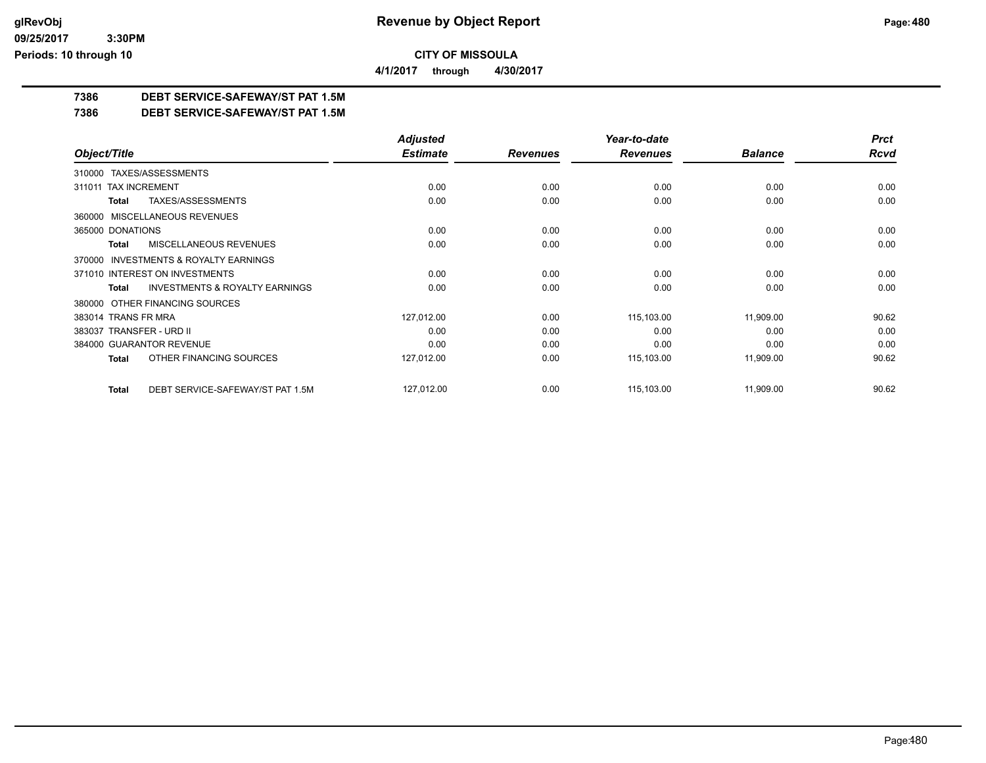**4/1/2017 through 4/30/2017**

# **7386 DEBT SERVICE-SAFEWAY/ST PAT 1.5M**

# **7386 DEBT SERVICE-SAFEWAY/ST PAT 1.5M**

|                                                           | <b>Adjusted</b> |                 | Year-to-date    |                | <b>Prct</b> |
|-----------------------------------------------------------|-----------------|-----------------|-----------------|----------------|-------------|
| Object/Title                                              | <b>Estimate</b> | <b>Revenues</b> | <b>Revenues</b> | <b>Balance</b> | <b>Rcvd</b> |
| 310000 TAXES/ASSESSMENTS                                  |                 |                 |                 |                |             |
| <b>TAX INCREMENT</b><br>311011                            | 0.00            | 0.00            | 0.00            | 0.00           | 0.00        |
| TAXES/ASSESSMENTS<br><b>Total</b>                         | 0.00            | 0.00            | 0.00            | 0.00           | 0.00        |
| 360000 MISCELLANEOUS REVENUES                             |                 |                 |                 |                |             |
| 365000 DONATIONS                                          | 0.00            | 0.00            | 0.00            | 0.00           | 0.00        |
| <b>MISCELLANEOUS REVENUES</b><br><b>Total</b>             | 0.00            | 0.00            | 0.00            | 0.00           | 0.00        |
| <b>INVESTMENTS &amp; ROYALTY EARNINGS</b><br>370000       |                 |                 |                 |                |             |
| 371010 INTEREST ON INVESTMENTS                            | 0.00            | 0.00            | 0.00            | 0.00           | 0.00        |
| <b>INVESTMENTS &amp; ROYALTY EARNINGS</b><br><b>Total</b> | 0.00            | 0.00            | 0.00            | 0.00           | 0.00        |
| 380000 OTHER FINANCING SOURCES                            |                 |                 |                 |                |             |
| 383014 TRANS FR MRA                                       | 127,012.00      | 0.00            | 115,103.00      | 11,909.00      | 90.62       |
| 383037 TRANSFER - URD II                                  | 0.00            | 0.00            | 0.00            | 0.00           | 0.00        |
| 384000 GUARANTOR REVENUE                                  | 0.00            | 0.00            | 0.00            | 0.00           | 0.00        |
| OTHER FINANCING SOURCES<br><b>Total</b>                   | 127,012.00      | 0.00            | 115,103.00      | 11,909.00      | 90.62       |
| DEBT SERVICE-SAFEWAY/ST PAT 1.5M<br><b>Total</b>          | 127,012.00      | 0.00            | 115,103.00      | 11,909.00      | 90.62       |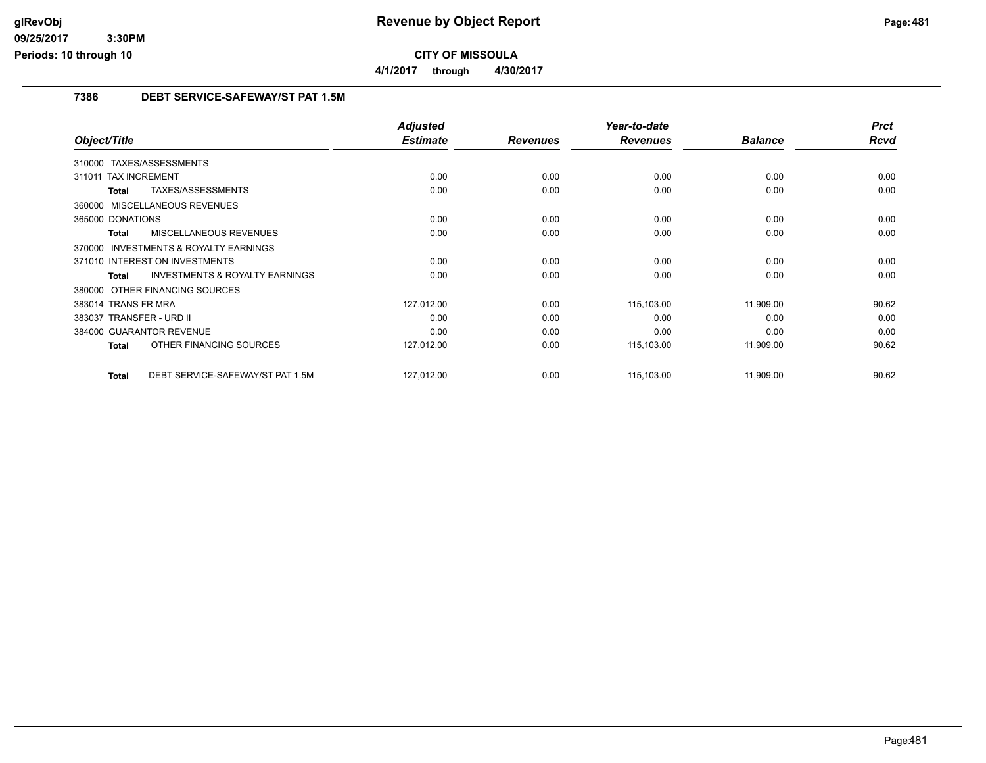**4/1/2017 through 4/30/2017**

# **7386 DEBT SERVICE-SAFEWAY/ST PAT 1.5M**

|                                                           | <b>Adjusted</b> |                 | Year-to-date    |                | <b>Prct</b> |
|-----------------------------------------------------------|-----------------|-----------------|-----------------|----------------|-------------|
| Object/Title                                              | <b>Estimate</b> | <b>Revenues</b> | <b>Revenues</b> | <b>Balance</b> | <b>Rcvd</b> |
| TAXES/ASSESSMENTS<br>310000                               |                 |                 |                 |                |             |
| <b>TAX INCREMENT</b><br>311011                            | 0.00            | 0.00            | 0.00            | 0.00           | 0.00        |
| TAXES/ASSESSMENTS<br>Total                                | 0.00            | 0.00            | 0.00            | 0.00           | 0.00        |
| 360000 MISCELLANEOUS REVENUES                             |                 |                 |                 |                |             |
| 365000 DONATIONS                                          | 0.00            | 0.00            | 0.00            | 0.00           | 0.00        |
| <b>MISCELLANEOUS REVENUES</b><br><b>Total</b>             | 0.00            | 0.00            | 0.00            | 0.00           | 0.00        |
| <b>INVESTMENTS &amp; ROYALTY EARNINGS</b><br>370000       |                 |                 |                 |                |             |
| 371010 INTEREST ON INVESTMENTS                            | 0.00            | 0.00            | 0.00            | 0.00           | 0.00        |
| <b>INVESTMENTS &amp; ROYALTY EARNINGS</b><br><b>Total</b> | 0.00            | 0.00            | 0.00            | 0.00           | 0.00        |
| 380000 OTHER FINANCING SOURCES                            |                 |                 |                 |                |             |
| 383014 TRANS FR MRA                                       | 127,012.00      | 0.00            | 115,103.00      | 11,909.00      | 90.62       |
| 383037 TRANSFER - URD II                                  | 0.00            | 0.00            | 0.00            | 0.00           | 0.00        |
| 384000 GUARANTOR REVENUE                                  | 0.00            | 0.00            | 0.00            | 0.00           | 0.00        |
| OTHER FINANCING SOURCES<br>Total                          | 127,012.00      | 0.00            | 115,103.00      | 11,909.00      | 90.62       |
| DEBT SERVICE-SAFEWAY/ST PAT 1.5M<br><b>Total</b>          | 127,012.00      | 0.00            | 115,103.00      | 11,909.00      | 90.62       |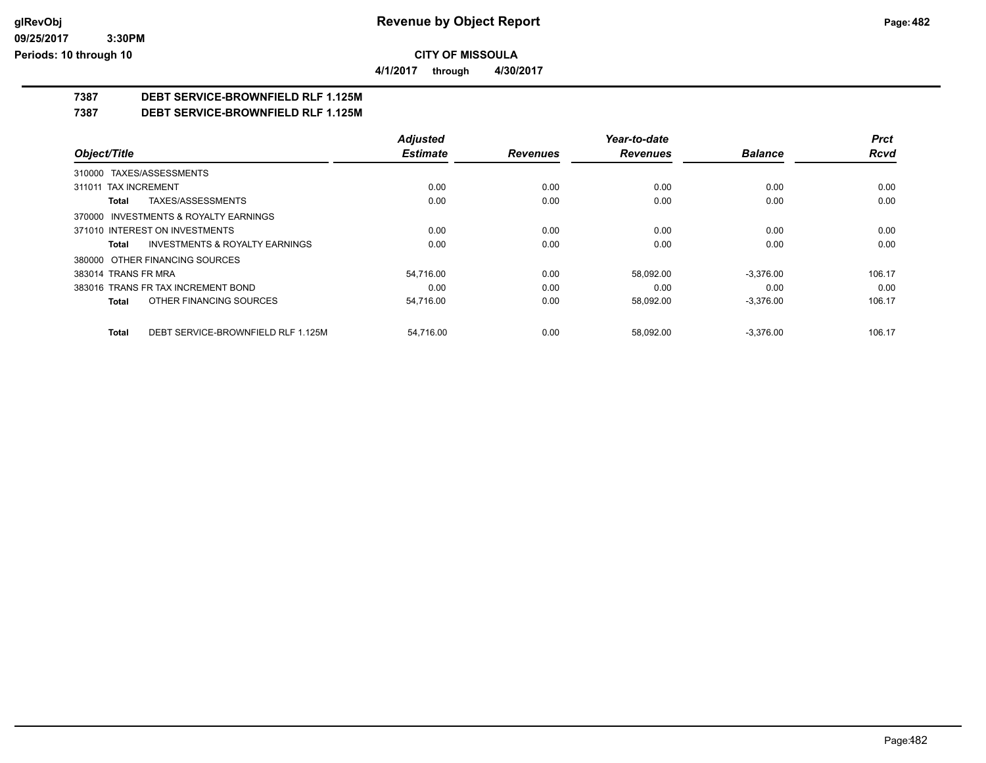**4/1/2017 through 4/30/2017**

# **7387 DEBT SERVICE-BROWNFIELD RLF 1.125M**

**7387 DEBT SERVICE-BROWNFIELD RLF 1.125M**

|                                                    | <b>Adjusted</b> |                 | Year-to-date    |                | <b>Prct</b> |
|----------------------------------------------------|-----------------|-----------------|-----------------|----------------|-------------|
| Object/Title                                       | <b>Estimate</b> | <b>Revenues</b> | <b>Revenues</b> | <b>Balance</b> | <b>Rcvd</b> |
| 310000 TAXES/ASSESSMENTS                           |                 |                 |                 |                |             |
| 311011 TAX INCREMENT                               | 0.00            | 0.00            | 0.00            | 0.00           | 0.00        |
| TAXES/ASSESSMENTS<br>Total                         | 0.00            | 0.00            | 0.00            | 0.00           | 0.00        |
| 370000 INVESTMENTS & ROYALTY EARNINGS              |                 |                 |                 |                |             |
| 371010 INTEREST ON INVESTMENTS                     | 0.00            | 0.00            | 0.00            | 0.00           | 0.00        |
| <b>INVESTMENTS &amp; ROYALTY EARNINGS</b><br>Total | 0.00            | 0.00            | 0.00            | 0.00           | 0.00        |
| 380000 OTHER FINANCING SOURCES                     |                 |                 |                 |                |             |
| 383014 TRANS FR MRA                                | 54,716.00       | 0.00            | 58,092.00       | $-3,376.00$    | 106.17      |
| 383016 TRANS FR TAX INCREMENT BOND                 | 0.00            | 0.00            | 0.00            | 0.00           | 0.00        |
| OTHER FINANCING SOURCES<br>Total                   | 54,716.00       | 0.00            | 58,092.00       | $-3,376.00$    | 106.17      |
| DEBT SERVICE-BROWNFIELD RLF 1.125M<br>Total        | 54.716.00       | 0.00            | 58.092.00       | $-3.376.00$    | 106.17      |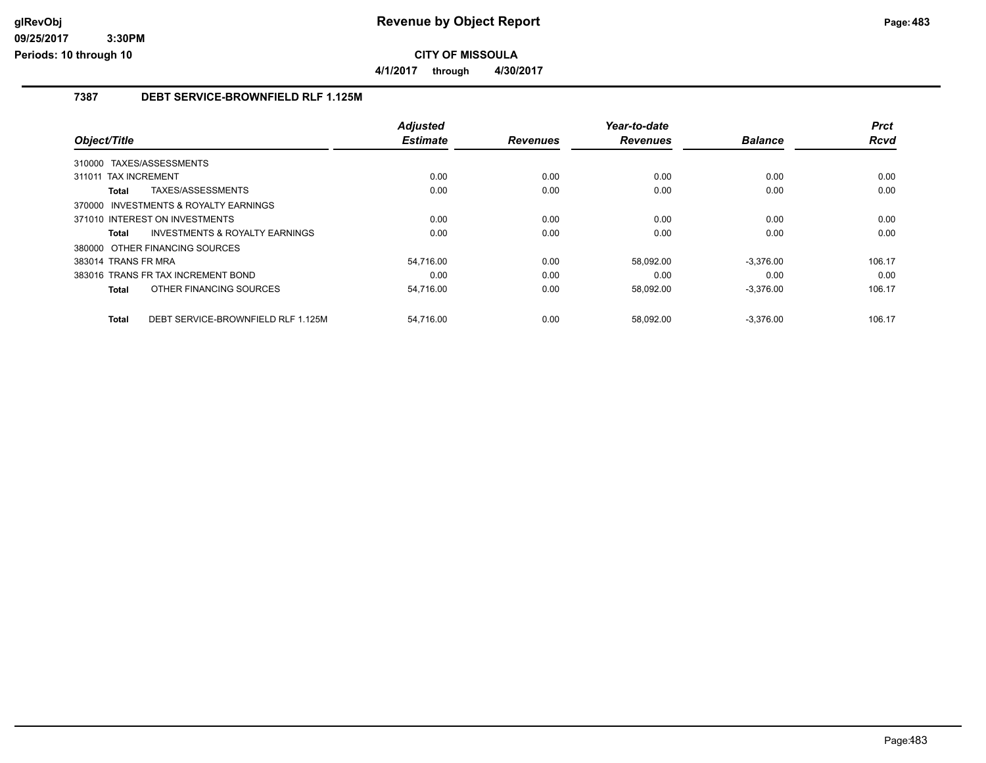**4/1/2017 through 4/30/2017**

# **7387 DEBT SERVICE-BROWNFIELD RLF 1.125M**

|                                                    | <b>Adjusted</b> |                 | Year-to-date    |                | <b>Prct</b> |
|----------------------------------------------------|-----------------|-----------------|-----------------|----------------|-------------|
| Object/Title                                       | <b>Estimate</b> | <b>Revenues</b> | <b>Revenues</b> | <b>Balance</b> | <b>Rcvd</b> |
| 310000 TAXES/ASSESSMENTS                           |                 |                 |                 |                |             |
| 311011 TAX INCREMENT                               | 0.00            | 0.00            | 0.00            | 0.00           | 0.00        |
| TAXES/ASSESSMENTS<br><b>Total</b>                  | 0.00            | 0.00            | 0.00            | 0.00           | 0.00        |
| 370000 INVESTMENTS & ROYALTY EARNINGS              |                 |                 |                 |                |             |
| 371010 INTEREST ON INVESTMENTS                     | 0.00            | 0.00            | 0.00            | 0.00           | 0.00        |
| INVESTMENTS & ROYALTY EARNINGS<br>Total            | 0.00            | 0.00            | 0.00            | 0.00           | 0.00        |
| 380000 OTHER FINANCING SOURCES                     |                 |                 |                 |                |             |
| 383014 TRANS FR MRA                                | 54.716.00       | 0.00            | 58.092.00       | $-3.376.00$    | 106.17      |
| 383016 TRANS FR TAX INCREMENT BOND                 | 0.00            | 0.00            | 0.00            | 0.00           | 0.00        |
| OTHER FINANCING SOURCES<br>Total                   | 54,716.00       | 0.00            | 58.092.00       | $-3.376.00$    | 106.17      |
| DEBT SERVICE-BROWNFIELD RLF 1.125M<br><b>Total</b> | 54,716.00       | 0.00            | 58.092.00       | $-3.376.00$    | 106.17      |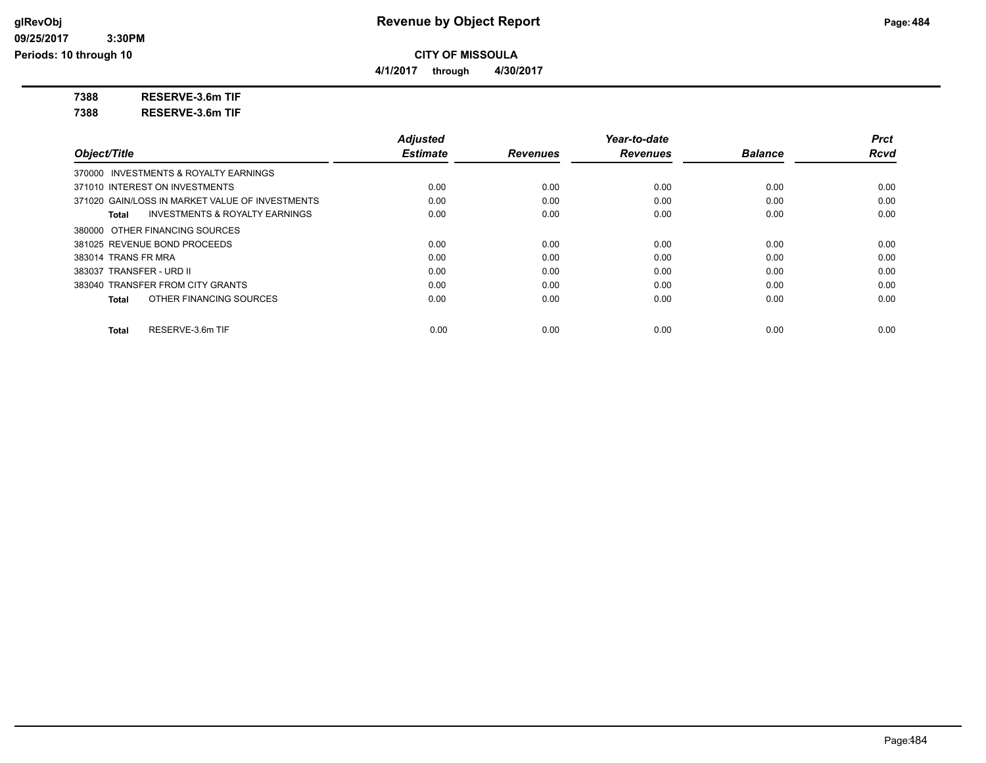**4/1/2017 through 4/30/2017**

**7388 RESERVE-3.6m TIF**

**7388 RESERVE-3.6m TIF**

|                                                    | <b>Adjusted</b> |                 | Year-to-date    |                | <b>Prct</b> |
|----------------------------------------------------|-----------------|-----------------|-----------------|----------------|-------------|
| Object/Title                                       | <b>Estimate</b> | <b>Revenues</b> | <b>Revenues</b> | <b>Balance</b> | <b>Rcvd</b> |
| 370000 INVESTMENTS & ROYALTY EARNINGS              |                 |                 |                 |                |             |
| 371010 INTEREST ON INVESTMENTS                     | 0.00            | 0.00            | 0.00            | 0.00           | 0.00        |
| 371020 GAIN/LOSS IN MARKET VALUE OF INVESTMENTS    | 0.00            | 0.00            | 0.00            | 0.00           | 0.00        |
| <b>INVESTMENTS &amp; ROYALTY EARNINGS</b><br>Total | 0.00            | 0.00            | 0.00            | 0.00           | 0.00        |
| 380000 OTHER FINANCING SOURCES                     |                 |                 |                 |                |             |
| 381025 REVENUE BOND PROCEEDS                       | 0.00            | 0.00            | 0.00            | 0.00           | 0.00        |
| 383014 TRANS FR MRA                                | 0.00            | 0.00            | 0.00            | 0.00           | 0.00        |
| 383037 TRANSFER - URD II                           | 0.00            | 0.00            | 0.00            | 0.00           | 0.00        |
| 383040 TRANSFER FROM CITY GRANTS                   | 0.00            | 0.00            | 0.00            | 0.00           | 0.00        |
| OTHER FINANCING SOURCES<br>Total                   | 0.00            | 0.00            | 0.00            | 0.00           | 0.00        |
|                                                    |                 |                 |                 |                |             |
| RESERVE-3.6m TIF<br>Total                          | 0.00            | 0.00            | 0.00            | 0.00           | 0.00        |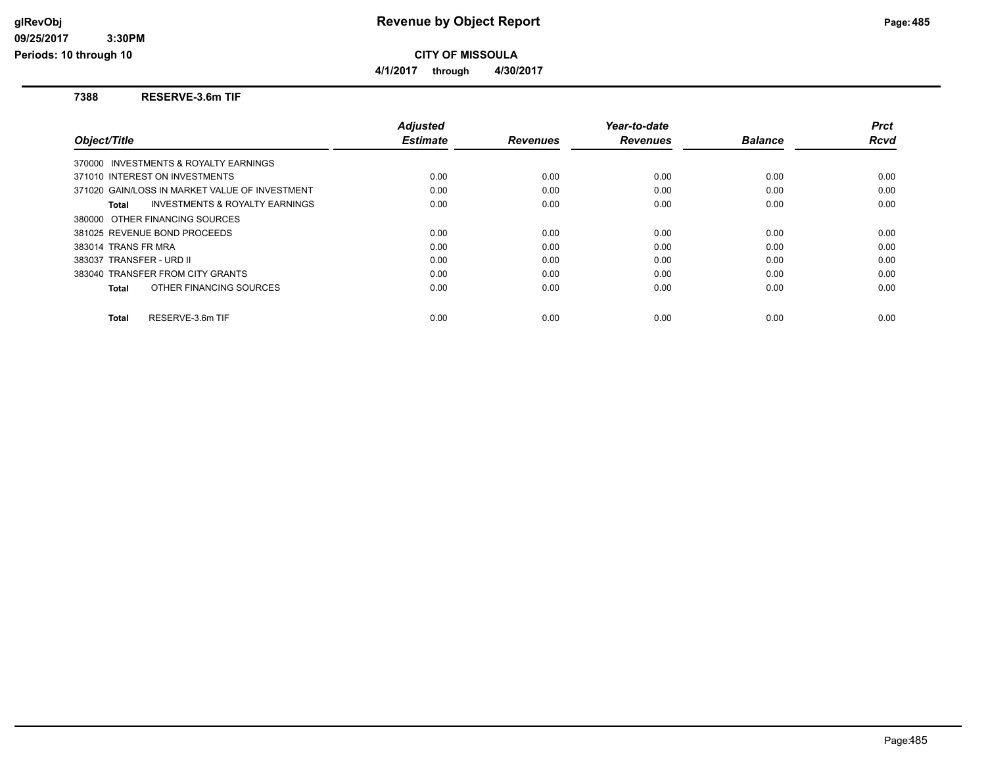**4/1/2017 through 4/30/2017**

### **7388 RESERVE-3.6m TIF**

|                                                    | <b>Adjusted</b> |                 | Year-to-date    |                | <b>Prct</b> |
|----------------------------------------------------|-----------------|-----------------|-----------------|----------------|-------------|
| Object/Title                                       | <b>Estimate</b> | <b>Revenues</b> | <b>Revenues</b> | <b>Balance</b> | Rcvd        |
| 370000 INVESTMENTS & ROYALTY EARNINGS              |                 |                 |                 |                |             |
| 371010 INTEREST ON INVESTMENTS                     | 0.00            | 0.00            | 0.00            | 0.00           | 0.00        |
| 371020 GAIN/LOSS IN MARKET VALUE OF INVESTMENT     | 0.00            | 0.00            | 0.00            | 0.00           | 0.00        |
| <b>INVESTMENTS &amp; ROYALTY EARNINGS</b><br>Total | 0.00            | 0.00            | 0.00            | 0.00           | 0.00        |
| 380000 OTHER FINANCING SOURCES                     |                 |                 |                 |                |             |
| 381025 REVENUE BOND PROCEEDS                       | 0.00            | 0.00            | 0.00            | 0.00           | 0.00        |
| 383014 TRANS FR MRA                                | 0.00            | 0.00            | 0.00            | 0.00           | 0.00        |
| 383037 TRANSFER - URD II                           | 0.00            | 0.00            | 0.00            | 0.00           | 0.00        |
| 383040 TRANSFER FROM CITY GRANTS                   | 0.00            | 0.00            | 0.00            | 0.00           | 0.00        |
| OTHER FINANCING SOURCES<br>Total                   | 0.00            | 0.00            | 0.00            | 0.00           | 0.00        |
|                                                    |                 |                 |                 |                |             |
| RESERVE-3.6m TIF<br><b>Total</b>                   | 0.00            | 0.00            | 0.00            | 0.00           | 0.00        |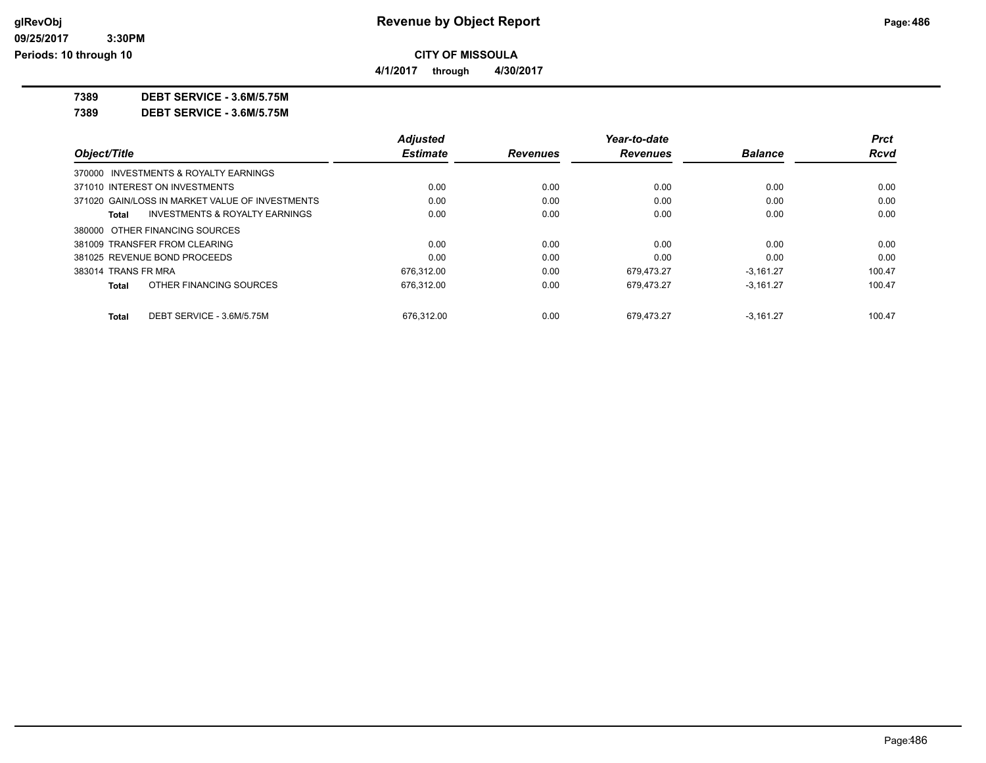**4/1/2017 through 4/30/2017**

**7389 DEBT SERVICE - 3.6M/5.75M**

**7389 DEBT SERVICE - 3.6M/5.75M**

|                     |                                                 | Adjusted        |                 | Year-to-date    |                | <b>Prct</b> |
|---------------------|-------------------------------------------------|-----------------|-----------------|-----------------|----------------|-------------|
| Object/Title        |                                                 | <b>Estimate</b> | <b>Revenues</b> | <b>Revenues</b> | <b>Balance</b> | Rcvd        |
|                     | 370000 INVESTMENTS & ROYALTY EARNINGS           |                 |                 |                 |                |             |
|                     | 371010 INTEREST ON INVESTMENTS                  | 0.00            | 0.00            | 0.00            | 0.00           | 0.00        |
|                     | 371020 GAIN/LOSS IN MARKET VALUE OF INVESTMENTS | 0.00            | 0.00            | 0.00            | 0.00           | 0.00        |
| Total               | <b>INVESTMENTS &amp; ROYALTY EARNINGS</b>       | 0.00            | 0.00            | 0.00            | 0.00           | 0.00        |
|                     | 380000 OTHER FINANCING SOURCES                  |                 |                 |                 |                |             |
|                     | 381009 TRANSFER FROM CLEARING                   | 0.00            | 0.00            | 0.00            | 0.00           | 0.00        |
|                     | 381025 REVENUE BOND PROCEEDS                    | 0.00            | 0.00            | 0.00            | 0.00           | 0.00        |
| 383014 TRANS FR MRA |                                                 | 676.312.00      | 0.00            | 679.473.27      | $-3.161.27$    | 100.47      |
| Total               | OTHER FINANCING SOURCES                         | 676.312.00      | 0.00            | 679.473.27      | $-3.161.27$    | 100.47      |
| Total               | DEBT SERVICE - 3.6M/5.75M                       | 676.312.00      | 0.00            | 679.473.27      | $-3.161.27$    | 100.47      |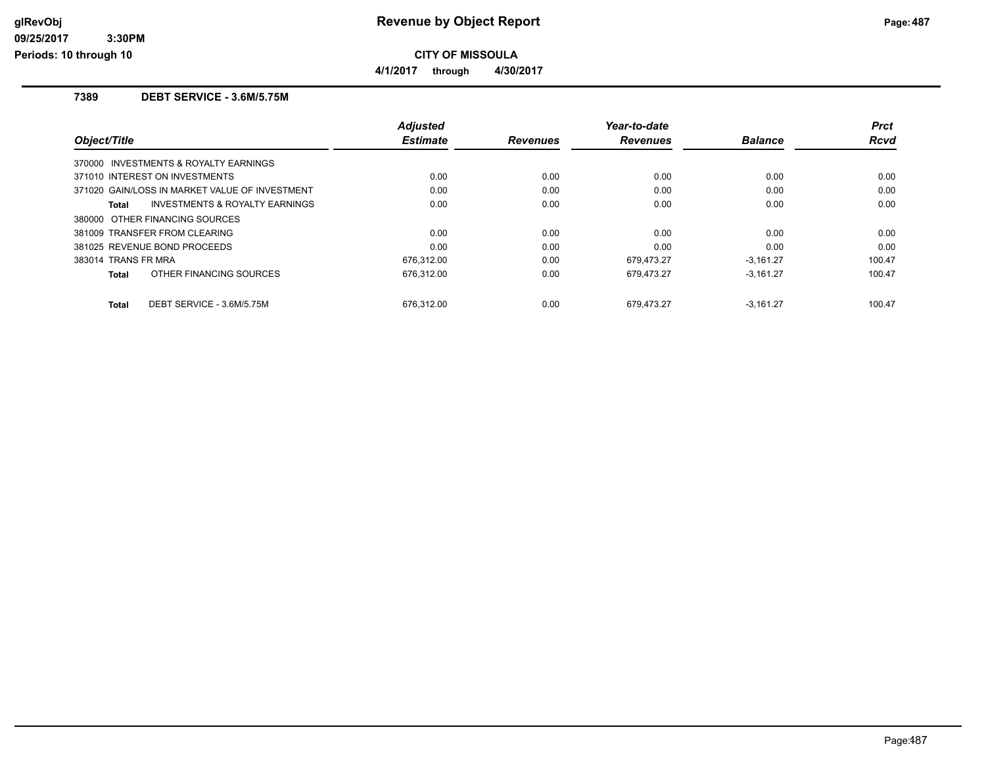**Periods: 10 through 10**

**CITY OF MISSOULA**

**4/1/2017 through 4/30/2017**

# **7389 DEBT SERVICE - 3.6M/5.75M**

 **3:30PM**

| Object/Title                                       | <b>Adjusted</b><br><b>Estimate</b> | <b>Revenues</b> | Year-to-date<br><b>Revenues</b> | <b>Balance</b> | <b>Prct</b><br><b>Rcvd</b> |
|----------------------------------------------------|------------------------------------|-----------------|---------------------------------|----------------|----------------------------|
| 370000 INVESTMENTS & ROYALTY EARNINGS              |                                    |                 |                                 |                |                            |
| 371010 INTEREST ON INVESTMENTS                     | 0.00                               | 0.00            | 0.00                            | 0.00           | 0.00                       |
| 371020 GAIN/LOSS IN MARKET VALUE OF INVESTMENT     | 0.00                               | 0.00            | 0.00                            | 0.00           | 0.00                       |
| <b>INVESTMENTS &amp; ROYALTY EARNINGS</b><br>Total | 0.00                               | 0.00            | 0.00                            | 0.00           | 0.00                       |
| 380000 OTHER FINANCING SOURCES                     |                                    |                 |                                 |                |                            |
| 381009 TRANSFER FROM CLEARING                      | 0.00                               | 0.00            | 0.00                            | 0.00           | 0.00                       |
| 381025 REVENUE BOND PROCEEDS                       | 0.00                               | 0.00            | 0.00                            | 0.00           | 0.00                       |
| 383014 TRANS FR MRA                                | 676.312.00                         | 0.00            | 679,473.27                      | $-3.161.27$    | 100.47                     |
| OTHER FINANCING SOURCES<br><b>Total</b>            | 676,312.00                         | 0.00            | 679,473.27                      | $-3.161.27$    | 100.47                     |
| DEBT SERVICE - 3.6M/5.75M<br><b>Total</b>          | 676.312.00                         | 0.00            | 679.473.27                      | $-3.161.27$    | 100.47                     |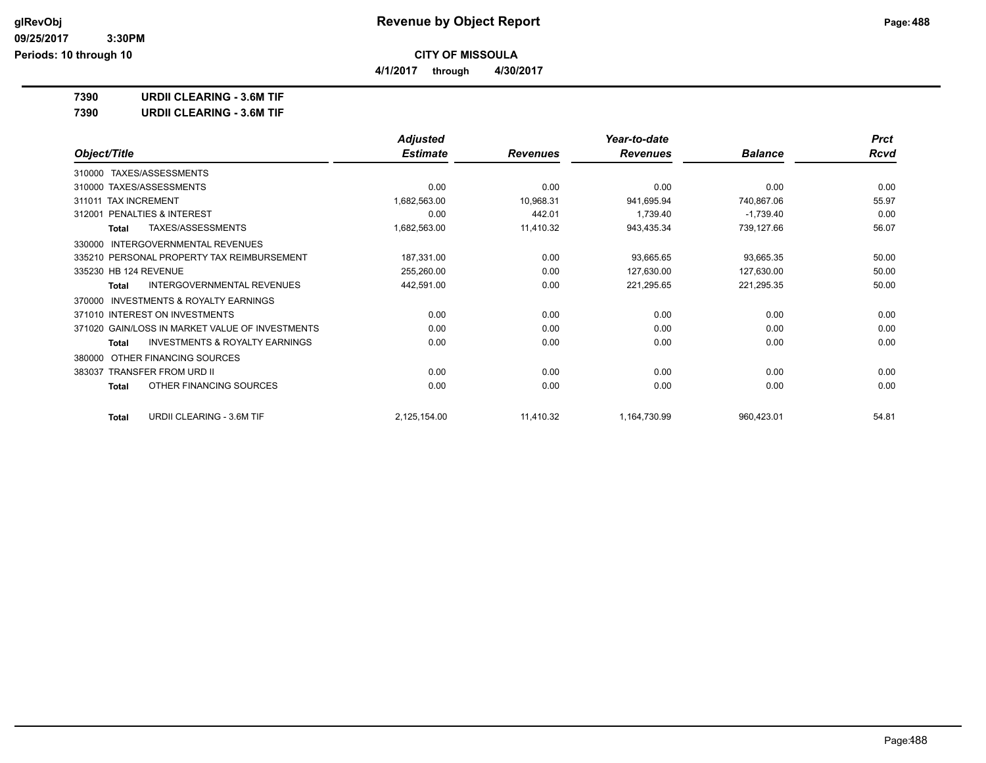**4/1/2017 through 4/30/2017**

**7390 URDII CLEARING - 3.6M TIF**

**7390 URDII CLEARING - 3.6M TIF**

|                                                     | <b>Adjusted</b> |                 | Year-to-date    |                | <b>Prct</b> |
|-----------------------------------------------------|-----------------|-----------------|-----------------|----------------|-------------|
| Object/Title                                        | <b>Estimate</b> | <b>Revenues</b> | <b>Revenues</b> | <b>Balance</b> | Rcvd        |
| TAXES/ASSESSMENTS<br>310000                         |                 |                 |                 |                |             |
| 310000 TAXES/ASSESSMENTS                            | 0.00            | 0.00            | 0.00            | 0.00           | 0.00        |
| 311011 TAX INCREMENT                                | 1,682,563.00    | 10,968.31       | 941,695.94      | 740,867.06     | 55.97       |
| PENALTIES & INTEREST<br>312001                      | 0.00            | 442.01          | 1,739.40        | $-1,739.40$    | 0.00        |
| TAXES/ASSESSMENTS<br><b>Total</b>                   | 1,682,563.00    | 11,410.32       | 943,435.34      | 739,127.66     | 56.07       |
| INTERGOVERNMENTAL REVENUES<br>330000                |                 |                 |                 |                |             |
| 335210 PERSONAL PROPERTY TAX REIMBURSEMENT          | 187,331.00      | 0.00            | 93,665.65       | 93,665.35      | 50.00       |
| 335230 HB 124 REVENUE                               | 255,260.00      | 0.00            | 127,630.00      | 127,630.00     | 50.00       |
| <b>INTERGOVERNMENTAL REVENUES</b><br><b>Total</b>   | 442,591.00      | 0.00            | 221,295.65      | 221,295.35     | 50.00       |
| <b>INVESTMENTS &amp; ROYALTY EARNINGS</b><br>370000 |                 |                 |                 |                |             |
| 371010 INTEREST ON INVESTMENTS                      | 0.00            | 0.00            | 0.00            | 0.00           | 0.00        |
| 371020 GAIN/LOSS IN MARKET VALUE OF INVESTMENTS     | 0.00            | 0.00            | 0.00            | 0.00           | 0.00        |
| <b>INVESTMENTS &amp; ROYALTY EARNINGS</b><br>Total  | 0.00            | 0.00            | 0.00            | 0.00           | 0.00        |
| OTHER FINANCING SOURCES<br>380000                   |                 |                 |                 |                |             |
| <b>TRANSFER FROM URD II</b><br>383037               | 0.00            | 0.00            | 0.00            | 0.00           | 0.00        |
| OTHER FINANCING SOURCES<br><b>Total</b>             | 0.00            | 0.00            | 0.00            | 0.00           | 0.00        |
| <b>URDII CLEARING - 3.6M TIF</b><br><b>Total</b>    | 2,125,154.00    | 11,410.32       | 1,164,730.99    | 960,423.01     | 54.81       |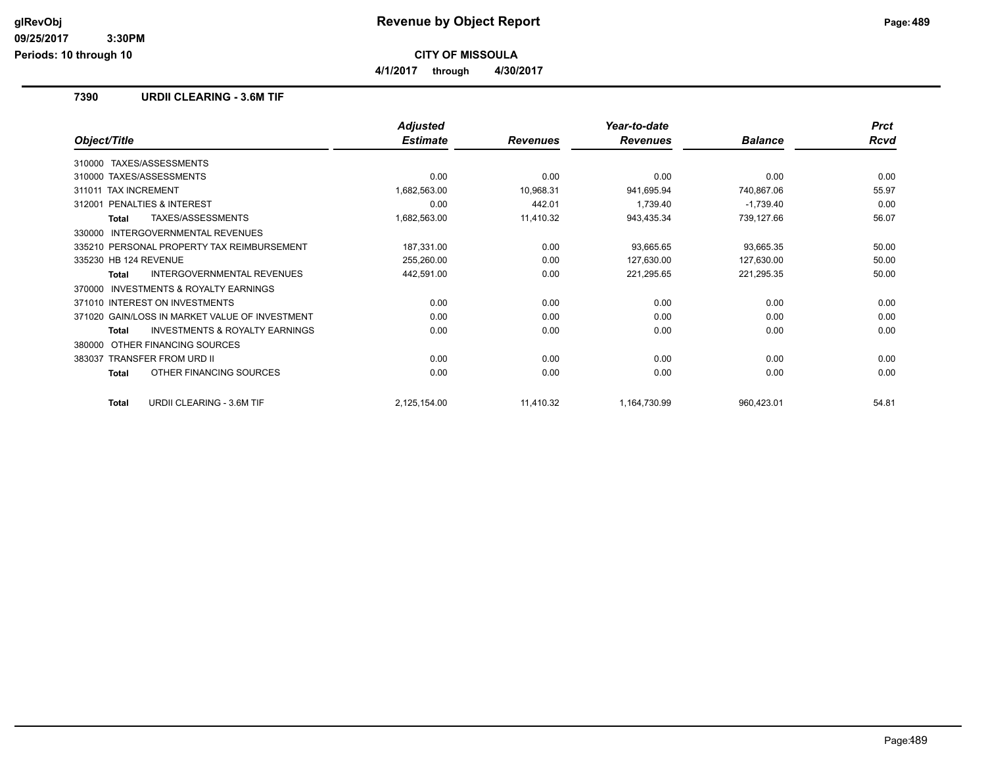**Periods: 10 through 10**

**CITY OF MISSOULA**

**4/1/2017 through 4/30/2017**

# **7390 URDII CLEARING - 3.6M TIF**

|                                                           | <b>Adjusted</b> |                 | Year-to-date    |                | <b>Prct</b> |
|-----------------------------------------------------------|-----------------|-----------------|-----------------|----------------|-------------|
| Object/Title                                              | <b>Estimate</b> | <b>Revenues</b> | <b>Revenues</b> | <b>Balance</b> | Rcvd        |
| TAXES/ASSESSMENTS<br>310000                               |                 |                 |                 |                |             |
| 310000 TAXES/ASSESSMENTS                                  | 0.00            | 0.00            | 0.00            | 0.00           | 0.00        |
| 311011 TAX INCREMENT                                      | 1,682,563.00    | 10,968.31       | 941,695.94      | 740,867.06     | 55.97       |
| 312001 PENALTIES & INTEREST                               | 0.00            | 442.01          | 1,739.40        | $-1,739.40$    | 0.00        |
| TAXES/ASSESSMENTS<br><b>Total</b>                         | 1,682,563.00    | 11,410.32       | 943,435.34      | 739,127.66     | 56.07       |
| INTERGOVERNMENTAL REVENUES<br>330000                      |                 |                 |                 |                |             |
| 335210 PERSONAL PROPERTY TAX REIMBURSEMENT                | 187,331.00      | 0.00            | 93,665.65       | 93,665.35      | 50.00       |
| 335230 HB 124 REVENUE                                     | 255,260.00      | 0.00            | 127,630.00      | 127,630.00     | 50.00       |
| <b>INTERGOVERNMENTAL REVENUES</b><br><b>Total</b>         | 442,591.00      | 0.00            | 221,295.65      | 221,295.35     | 50.00       |
| <b>INVESTMENTS &amp; ROYALTY EARNINGS</b><br>370000       |                 |                 |                 |                |             |
| 371010 INTEREST ON INVESTMENTS                            | 0.00            | 0.00            | 0.00            | 0.00           | 0.00        |
| 371020 GAIN/LOSS IN MARKET VALUE OF INVESTMENT            | 0.00            | 0.00            | 0.00            | 0.00           | 0.00        |
| <b>INVESTMENTS &amp; ROYALTY EARNINGS</b><br><b>Total</b> | 0.00            | 0.00            | 0.00            | 0.00           | 0.00        |
| OTHER FINANCING SOURCES<br>380000                         |                 |                 |                 |                |             |
| <b>TRANSFER FROM URD II</b><br>383037                     | 0.00            | 0.00            | 0.00            | 0.00           | 0.00        |
| OTHER FINANCING SOURCES<br><b>Total</b>                   | 0.00            | 0.00            | 0.00            | 0.00           | 0.00        |
| URDII CLEARING - 3.6M TIF<br>Total                        | 2,125,154.00    | 11,410.32       | 1,164,730.99    | 960,423.01     | 54.81       |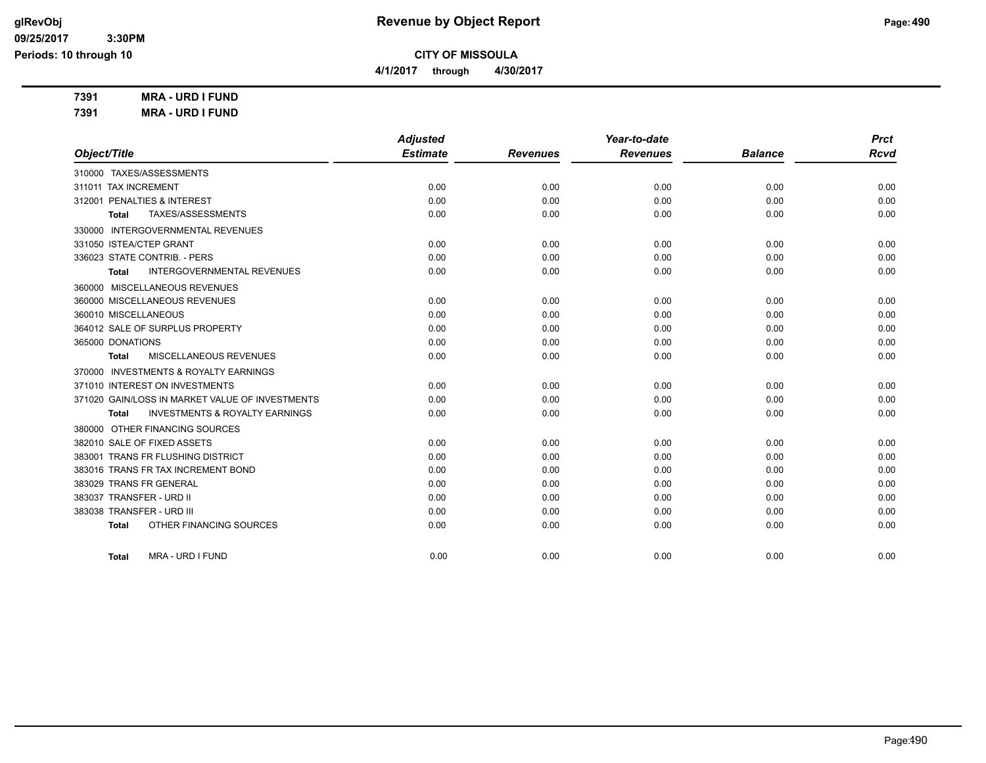**4/1/2017 through 4/30/2017**

**7391 MRA - URD I FUND**

**7391 MRA - URD I FUND**

|                                                    | <b>Adjusted</b> |                 | Year-to-date    |                | <b>Prct</b> |
|----------------------------------------------------|-----------------|-----------------|-----------------|----------------|-------------|
| Object/Title                                       | <b>Estimate</b> | <b>Revenues</b> | <b>Revenues</b> | <b>Balance</b> | <b>Rcvd</b> |
| 310000 TAXES/ASSESSMENTS                           |                 |                 |                 |                |             |
| 311011 TAX INCREMENT                               | 0.00            | 0.00            | 0.00            | 0.00           | 0.00        |
| 312001 PENALTIES & INTEREST                        | 0.00            | 0.00            | 0.00            | 0.00           | 0.00        |
| TAXES/ASSESSMENTS<br><b>Total</b>                  | 0.00            | 0.00            | 0.00            | 0.00           | 0.00        |
| 330000 INTERGOVERNMENTAL REVENUES                  |                 |                 |                 |                |             |
| 331050 ISTEA/CTEP GRANT                            | 0.00            | 0.00            | 0.00            | 0.00           | 0.00        |
| 336023 STATE CONTRIB. - PERS                       | 0.00            | 0.00            | 0.00            | 0.00           | 0.00        |
| <b>INTERGOVERNMENTAL REVENUES</b><br><b>Total</b>  | 0.00            | 0.00            | 0.00            | 0.00           | 0.00        |
| 360000 MISCELLANEOUS REVENUES                      |                 |                 |                 |                |             |
| 360000 MISCELLANEOUS REVENUES                      | 0.00            | 0.00            | 0.00            | 0.00           | 0.00        |
| 360010 MISCELLANEOUS                               | 0.00            | 0.00            | 0.00            | 0.00           | 0.00        |
| 364012 SALE OF SURPLUS PROPERTY                    | 0.00            | 0.00            | 0.00            | 0.00           | 0.00        |
| 365000 DONATIONS                                   | 0.00            | 0.00            | 0.00            | 0.00           | 0.00        |
| MISCELLANEOUS REVENUES<br>Total                    | 0.00            | 0.00            | 0.00            | 0.00           | 0.00        |
| 370000 INVESTMENTS & ROYALTY EARNINGS              |                 |                 |                 |                |             |
| 371010 INTEREST ON INVESTMENTS                     | 0.00            | 0.00            | 0.00            | 0.00           | 0.00        |
| 371020 GAIN/LOSS IN MARKET VALUE OF INVESTMENTS    | 0.00            | 0.00            | 0.00            | 0.00           | 0.00        |
| <b>INVESTMENTS &amp; ROYALTY EARNINGS</b><br>Total | 0.00            | 0.00            | 0.00            | 0.00           | 0.00        |
| 380000 OTHER FINANCING SOURCES                     |                 |                 |                 |                |             |
| 382010 SALE OF FIXED ASSETS                        | 0.00            | 0.00            | 0.00            | 0.00           | 0.00        |
| 383001 TRANS FR FLUSHING DISTRICT                  | 0.00            | 0.00            | 0.00            | 0.00           | 0.00        |
| 383016 TRANS FR TAX INCREMENT BOND                 | 0.00            | 0.00            | 0.00            | 0.00           | 0.00        |
| 383029 TRANS FR GENERAL                            | 0.00            | 0.00            | 0.00            | 0.00           | 0.00        |
| 383037 TRANSFER - URD II                           | 0.00            | 0.00            | 0.00            | 0.00           | 0.00        |
| 383038 TRANSFER - URD III                          | 0.00            | 0.00            | 0.00            | 0.00           | 0.00        |
| OTHER FINANCING SOURCES<br><b>Total</b>            | 0.00            | 0.00            | 0.00            | 0.00           | 0.00        |
| MRA - URD I FUND<br>Total                          | 0.00            | 0.00            | 0.00            | 0.00           | 0.00        |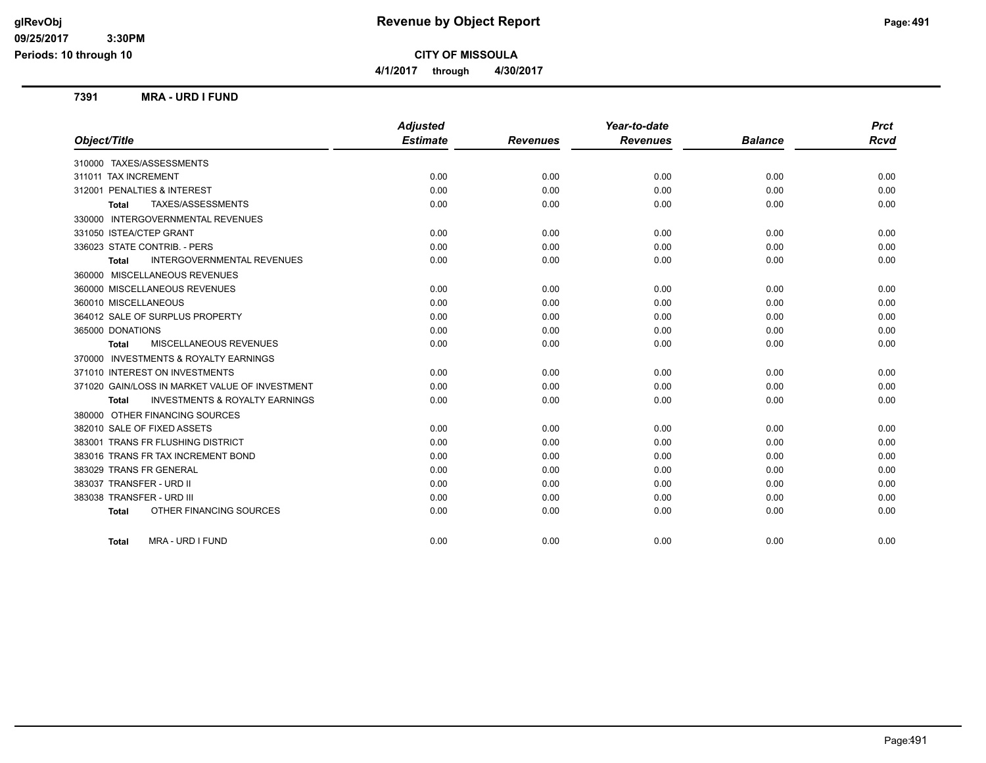**4/1/2017 through 4/30/2017**

**Periods: 10 through 10**

 **3:30PM**

# **7391 MRA - URD I FUND**

|                                                           | <b>Adjusted</b> |                 | Year-to-date    |                | <b>Prct</b> |
|-----------------------------------------------------------|-----------------|-----------------|-----------------|----------------|-------------|
| Object/Title                                              | <b>Estimate</b> | <b>Revenues</b> | <b>Revenues</b> | <b>Balance</b> | <b>Rcvd</b> |
| 310000 TAXES/ASSESSMENTS                                  |                 |                 |                 |                |             |
| 311011 TAX INCREMENT                                      | 0.00            | 0.00            | 0.00            | 0.00           | 0.00        |
| 312001 PENALTIES & INTEREST                               | 0.00            | 0.00            | 0.00            | 0.00           | 0.00        |
| TAXES/ASSESSMENTS<br><b>Total</b>                         | 0.00            | 0.00            | 0.00            | 0.00           | 0.00        |
| 330000 INTERGOVERNMENTAL REVENUES                         |                 |                 |                 |                |             |
| 331050 ISTEA/CTEP GRANT                                   | 0.00            | 0.00            | 0.00            | 0.00           | 0.00        |
| 336023 STATE CONTRIB. - PERS                              | 0.00            | 0.00            | 0.00            | 0.00           | 0.00        |
| <b>INTERGOVERNMENTAL REVENUES</b><br><b>Total</b>         | 0.00            | 0.00            | 0.00            | 0.00           | 0.00        |
| 360000 MISCELLANEOUS REVENUES                             |                 |                 |                 |                |             |
| 360000 MISCELLANEOUS REVENUES                             | 0.00            | 0.00            | 0.00            | 0.00           | 0.00        |
| 360010 MISCELLANEOUS                                      | 0.00            | 0.00            | 0.00            | 0.00           | 0.00        |
| 364012 SALE OF SURPLUS PROPERTY                           | 0.00            | 0.00            | 0.00            | 0.00           | 0.00        |
| 365000 DONATIONS                                          | 0.00            | 0.00            | 0.00            | 0.00           | 0.00        |
| MISCELLANEOUS REVENUES<br><b>Total</b>                    | 0.00            | 0.00            | 0.00            | 0.00           | 0.00        |
| 370000 INVESTMENTS & ROYALTY EARNINGS                     |                 |                 |                 |                |             |
| 371010 INTEREST ON INVESTMENTS                            | 0.00            | 0.00            | 0.00            | 0.00           | 0.00        |
| 371020 GAIN/LOSS IN MARKET VALUE OF INVESTMENT            | 0.00            | 0.00            | 0.00            | 0.00           | 0.00        |
| <b>INVESTMENTS &amp; ROYALTY EARNINGS</b><br><b>Total</b> | 0.00            | 0.00            | 0.00            | 0.00           | 0.00        |
| 380000 OTHER FINANCING SOURCES                            |                 |                 |                 |                |             |
| 382010 SALE OF FIXED ASSETS                               | 0.00            | 0.00            | 0.00            | 0.00           | 0.00        |
| 383001 TRANS FR FLUSHING DISTRICT                         | 0.00            | 0.00            | 0.00            | 0.00           | 0.00        |
| 383016 TRANS FR TAX INCREMENT BOND                        | 0.00            | 0.00            | 0.00            | 0.00           | 0.00        |
| 383029 TRANS FR GENERAL                                   | 0.00            | 0.00            | 0.00            | 0.00           | 0.00        |
| 383037 TRANSFER - URD II                                  | 0.00            | 0.00            | 0.00            | 0.00           | 0.00        |
| 383038 TRANSFER - URD III                                 | 0.00            | 0.00            | 0.00            | 0.00           | 0.00        |
| OTHER FINANCING SOURCES<br><b>Total</b>                   | 0.00            | 0.00            | 0.00            | 0.00           | 0.00        |
| MRA - URD I FUND<br><b>Total</b>                          | 0.00            | 0.00            | 0.00            | 0.00           | 0.00        |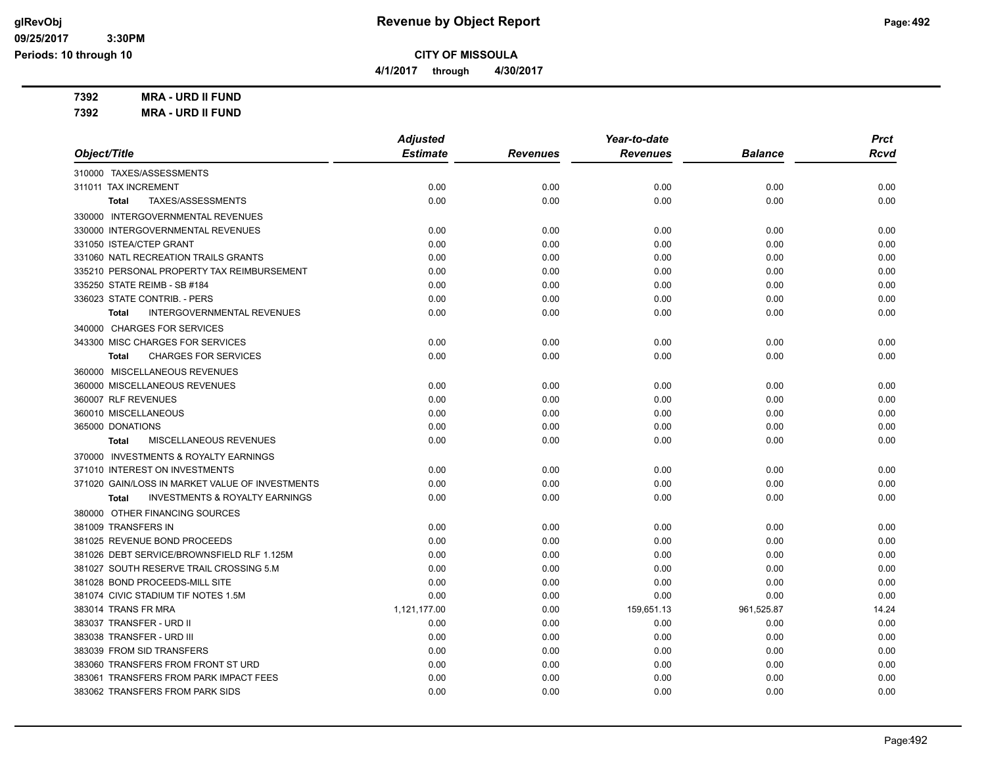**4/1/2017 through 4/30/2017**

**7392 MRA - URD II FUND**

**7392 MRA - URD II FUND**

| Object/Title                                              | <b>Adjusted</b> |                 | Year-to-date    |                | <b>Prct</b> |
|-----------------------------------------------------------|-----------------|-----------------|-----------------|----------------|-------------|
|                                                           | <b>Estimate</b> | <b>Revenues</b> | <b>Revenues</b> | <b>Balance</b> | Rcvd        |
| 310000 TAXES/ASSESSMENTS                                  |                 |                 |                 |                |             |
| 311011 TAX INCREMENT                                      | 0.00            | 0.00            | 0.00            | 0.00           | 0.00        |
| TAXES/ASSESSMENTS<br><b>Total</b>                         | 0.00            | 0.00            | 0.00            | 0.00           | 0.00        |
| 330000 INTERGOVERNMENTAL REVENUES                         |                 |                 |                 |                |             |
| 330000 INTERGOVERNMENTAL REVENUES                         | 0.00            | 0.00            | 0.00            | 0.00           | 0.00        |
| 331050 ISTEA/CTEP GRANT                                   | 0.00            | 0.00            | 0.00            | 0.00           | 0.00        |
| 331060 NATL RECREATION TRAILS GRANTS                      | 0.00            | 0.00            | 0.00            | 0.00           | 0.00        |
| 335210 PERSONAL PROPERTY TAX REIMBURSEMENT                | 0.00            | 0.00            | 0.00            | 0.00           | 0.00        |
| 335250 STATE REIMB - SB #184                              | 0.00            | 0.00            | 0.00            | 0.00           | 0.00        |
| 336023 STATE CONTRIB. - PERS                              | 0.00            | 0.00            | 0.00            | 0.00           | 0.00        |
| <b>INTERGOVERNMENTAL REVENUES</b><br><b>Total</b>         | 0.00            | 0.00            | 0.00            | 0.00           | 0.00        |
| 340000 CHARGES FOR SERVICES                               |                 |                 |                 |                |             |
| 343300 MISC CHARGES FOR SERVICES                          | 0.00            | 0.00            | 0.00            | 0.00           | 0.00        |
| <b>CHARGES FOR SERVICES</b><br>Total                      | 0.00            | 0.00            | 0.00            | 0.00           | 0.00        |
| 360000 MISCELLANEOUS REVENUES                             |                 |                 |                 |                |             |
| 360000 MISCELLANEOUS REVENUES                             | 0.00            | 0.00            | 0.00            | 0.00           | 0.00        |
| 360007 RLF REVENUES                                       | 0.00            | 0.00            | 0.00            | 0.00           | 0.00        |
| 360010 MISCELLANEOUS                                      | 0.00            | 0.00            | 0.00            | 0.00           | 0.00        |
| 365000 DONATIONS                                          | 0.00            | 0.00            | 0.00            | 0.00           | 0.00        |
| MISCELLANEOUS REVENUES<br><b>Total</b>                    | 0.00            | 0.00            | 0.00            | 0.00           | 0.00        |
| 370000 INVESTMENTS & ROYALTY EARNINGS                     |                 |                 |                 |                |             |
| 371010 INTEREST ON INVESTMENTS                            | 0.00            | 0.00            | 0.00            | 0.00           | 0.00        |
| 371020 GAIN/LOSS IN MARKET VALUE OF INVESTMENTS           | 0.00            | 0.00            | 0.00            | 0.00           | 0.00        |
| <b>INVESTMENTS &amp; ROYALTY EARNINGS</b><br><b>Total</b> | 0.00            | 0.00            | 0.00            | 0.00           | 0.00        |
| 380000 OTHER FINANCING SOURCES                            |                 |                 |                 |                |             |
| 381009 TRANSFERS IN                                       | 0.00            | 0.00            | 0.00            | 0.00           | 0.00        |
| 381025 REVENUE BOND PROCEEDS                              | 0.00            | 0.00            | 0.00            | 0.00           | 0.00        |
| 381026 DEBT SERVICE/BROWNSFIELD RLF 1.125M                | 0.00            | 0.00            | 0.00            | 0.00           | 0.00        |
| 381027 SOUTH RESERVE TRAIL CROSSING 5.M                   | 0.00            | 0.00            | 0.00            | 0.00           | 0.00        |
| 381028 BOND PROCEEDS-MILL SITE                            | 0.00            | 0.00            | 0.00            | 0.00           | 0.00        |
| 381074 CIVIC STADIUM TIF NOTES 1.5M                       | 0.00            | 0.00            | 0.00            | 0.00           | 0.00        |
| 383014 TRANS FR MRA                                       | 1,121,177.00    | 0.00            | 159,651.13      | 961,525.87     | 14.24       |
| 383037 TRANSFER - URD II                                  | 0.00            | 0.00            | 0.00            | 0.00           | 0.00        |
| 383038 TRANSFER - URD III                                 | 0.00            | 0.00            | 0.00            | 0.00           | 0.00        |
| 383039 FROM SID TRANSFERS                                 | 0.00            | 0.00            | 0.00            | 0.00           | 0.00        |
| 383060 TRANSFERS FROM FRONT ST URD                        | 0.00            | 0.00            | 0.00            | 0.00           | 0.00        |
| 383061 TRANSFERS FROM PARK IMPACT FEES                    | 0.00            | 0.00            | 0.00            | 0.00           | 0.00        |
| 383062 TRANSFERS FROM PARK SIDS                           | 0.00            | 0.00            | 0.00            | 0.00           | 0.00        |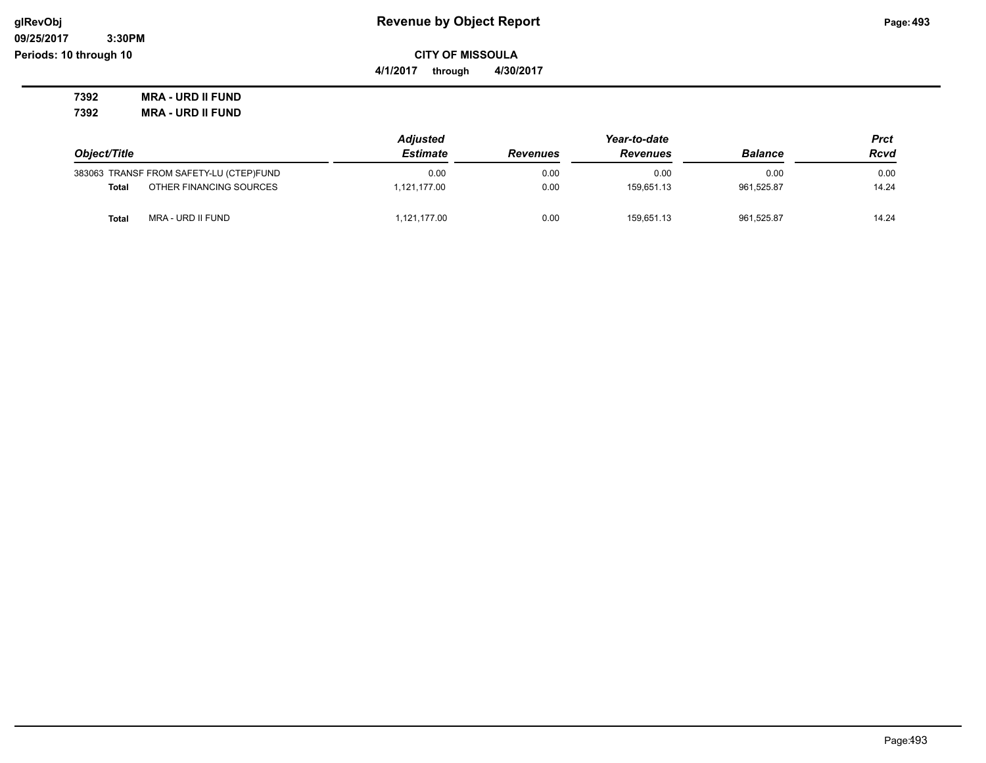**09/25/2017 3:30PM Periods: 10 through 10**

# **CITY OF MISSOULA**

**4/1/2017 through 4/30/2017**

**7392 MRA - URD II FUND 7392 MRA - URD II FUND**

|                                         | <b>Adjusted</b> | Year-to-date    |                 |                | <b>Prct</b> |
|-----------------------------------------|-----------------|-----------------|-----------------|----------------|-------------|
| Object/Title                            | <b>Estimate</b> | <b>Revenues</b> | <b>Revenues</b> | <b>Balance</b> | <b>Rcvd</b> |
| 383063 TRANSF FROM SAFETY-LU (CTEP)FUND | 0.00            | 0.00            | 0.00            | 0.00           | 0.00        |
| OTHER FINANCING SOURCES<br><b>Total</b> | 1,121,177.00    | 0.00            | 159.651.13      | 961.525.87     | 14.24       |
| MRA - URD II FUND<br>Total              | 1,121,177.00    | 0.00            | 159,651.13      | 961,525.87     | 14.24       |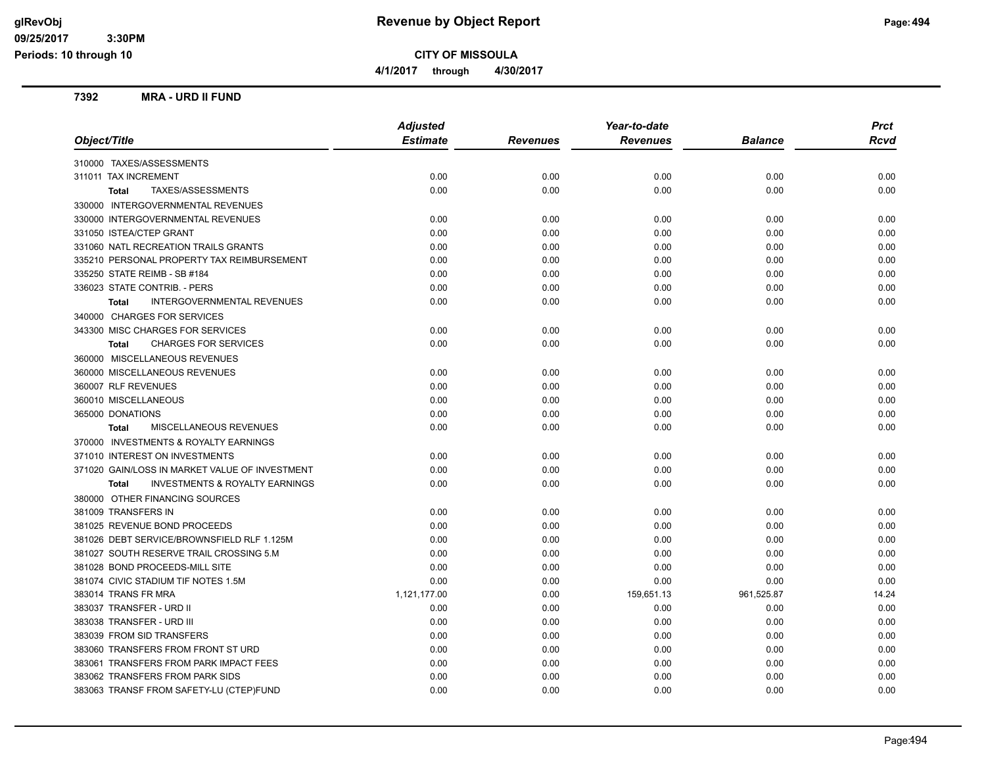**4/1/2017 through 4/30/2017**

### **7392 MRA - URD II FUND**

|                                                           | <b>Adjusted</b> |                 | Year-to-date    |                | <b>Prct</b> |
|-----------------------------------------------------------|-----------------|-----------------|-----------------|----------------|-------------|
| Object/Title                                              | <b>Estimate</b> | <b>Revenues</b> | <b>Revenues</b> | <b>Balance</b> | Rcvd        |
| 310000 TAXES/ASSESSMENTS                                  |                 |                 |                 |                |             |
| 311011 TAX INCREMENT                                      | 0.00            | 0.00            | 0.00            | 0.00           | 0.00        |
| TAXES/ASSESSMENTS<br><b>Total</b>                         | 0.00            | 0.00            | 0.00            | 0.00           | 0.00        |
| 330000 INTERGOVERNMENTAL REVENUES                         |                 |                 |                 |                |             |
| 330000 INTERGOVERNMENTAL REVENUES                         | 0.00            | 0.00            | 0.00            | 0.00           | 0.00        |
| 331050 ISTEA/CTEP GRANT                                   | 0.00            | 0.00            | 0.00            | 0.00           | 0.00        |
| 331060 NATL RECREATION TRAILS GRANTS                      | 0.00            | 0.00            | 0.00            | 0.00           | 0.00        |
| 335210 PERSONAL PROPERTY TAX REIMBURSEMENT                | 0.00            | 0.00            | 0.00            | 0.00           | 0.00        |
| 335250 STATE REIMB - SB #184                              | 0.00            | 0.00            | 0.00            | 0.00           | 0.00        |
| 336023 STATE CONTRIB. - PERS                              | 0.00            | 0.00            | 0.00            | 0.00           | 0.00        |
| INTERGOVERNMENTAL REVENUES<br>Total                       | 0.00            | 0.00            | 0.00            | 0.00           | 0.00        |
| 340000 CHARGES FOR SERVICES                               |                 |                 |                 |                |             |
| 343300 MISC CHARGES FOR SERVICES                          | 0.00            | 0.00            | 0.00            | 0.00           | 0.00        |
| <b>CHARGES FOR SERVICES</b><br><b>Total</b>               | 0.00            | 0.00            | 0.00            | 0.00           | 0.00        |
| 360000 MISCELLANEOUS REVENUES                             |                 |                 |                 |                |             |
| 360000 MISCELLANEOUS REVENUES                             | 0.00            | 0.00            | 0.00            | 0.00           | 0.00        |
| 360007 RLF REVENUES                                       | 0.00            | 0.00            | 0.00            | 0.00           | 0.00        |
| 360010 MISCELLANEOUS                                      | 0.00            | 0.00            | 0.00            | 0.00           | 0.00        |
| 365000 DONATIONS                                          | 0.00            | 0.00            | 0.00            | 0.00           | 0.00        |
| MISCELLANEOUS REVENUES<br><b>Total</b>                    | 0.00            | 0.00            | 0.00            | 0.00           | 0.00        |
| 370000 INVESTMENTS & ROYALTY EARNINGS                     |                 |                 |                 |                |             |
| 371010 INTEREST ON INVESTMENTS                            | 0.00            | 0.00            | 0.00            | 0.00           | 0.00        |
| 371020 GAIN/LOSS IN MARKET VALUE OF INVESTMENT            | 0.00            | 0.00            | 0.00            | 0.00           | 0.00        |
| <b>INVESTMENTS &amp; ROYALTY EARNINGS</b><br><b>Total</b> | 0.00            | 0.00            | 0.00            | 0.00           | 0.00        |
| 380000 OTHER FINANCING SOURCES                            |                 |                 |                 |                |             |
| 381009 TRANSFERS IN                                       | 0.00            | 0.00            | 0.00            | 0.00           | 0.00        |
| 381025 REVENUE BOND PROCEEDS                              | 0.00            | 0.00            | 0.00            | 0.00           | 0.00        |
| 381026 DEBT SERVICE/BROWNSFIELD RLF 1.125M                | 0.00            | 0.00            | 0.00            | 0.00           | 0.00        |
| 381027 SOUTH RESERVE TRAIL CROSSING 5.M                   | 0.00            | 0.00            | 0.00            | 0.00           | 0.00        |
| 381028 BOND PROCEEDS-MILL SITE                            | 0.00            | 0.00            | 0.00            | 0.00           | 0.00        |
| 381074 CIVIC STADIUM TIF NOTES 1.5M                       | 0.00            | 0.00            | 0.00            | 0.00           | 0.00        |
| 383014 TRANS FR MRA                                       | 1,121,177.00    | 0.00            | 159,651.13      | 961,525.87     | 14.24       |
| 383037 TRANSFER - URD II                                  | 0.00            | 0.00            | 0.00            | 0.00           | 0.00        |
| 383038 TRANSFER - URD III                                 | 0.00            | 0.00            | 0.00            | 0.00           | 0.00        |
| 383039 FROM SID TRANSFERS                                 | 0.00            | 0.00            | 0.00            | 0.00           | 0.00        |
| 383060 TRANSFERS FROM FRONT ST URD                        | 0.00            | 0.00            | 0.00            | 0.00           | 0.00        |
| 383061 TRANSFERS FROM PARK IMPACT FEES                    | 0.00            | 0.00            | 0.00            | 0.00           | 0.00        |
| 383062 TRANSFERS FROM PARK SIDS                           | 0.00            | 0.00            | 0.00            | 0.00           | 0.00        |
| 383063 TRANSF FROM SAFETY-LU (CTEP)FUND                   | 0.00            | 0.00            | 0.00            | 0.00           | 0.00        |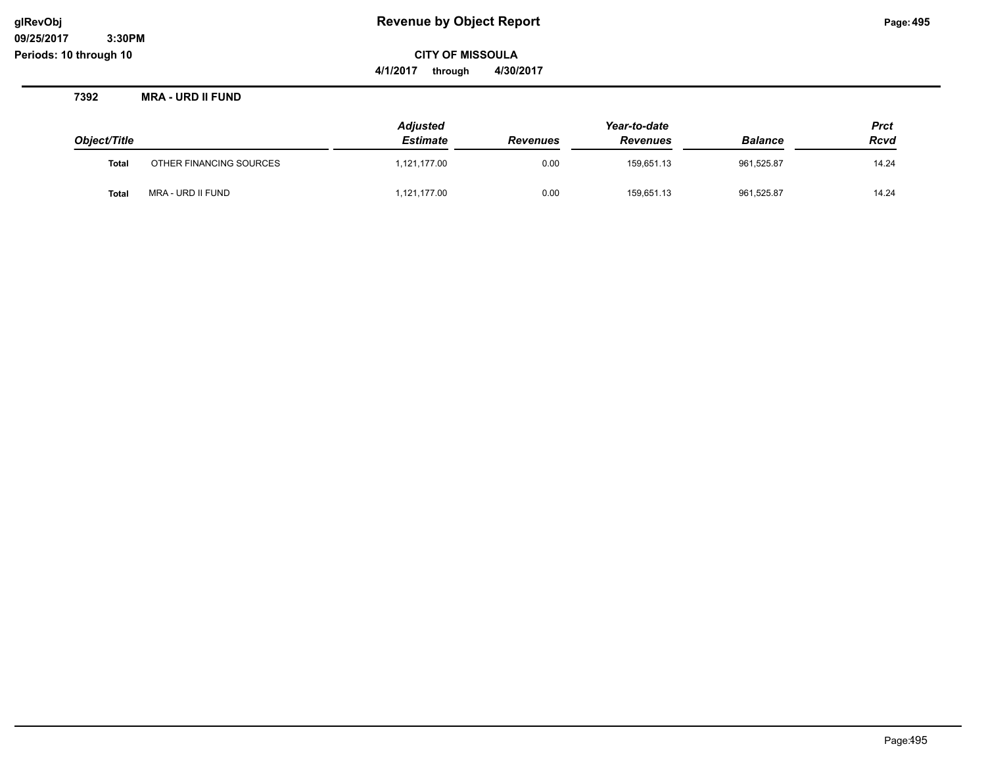**09/25/2017 3:30PM Periods: 10 through 10**

**CITY OF MISSOULA**

**4/1/2017 through 4/30/2017**

**7392 MRA - URD II FUND**

|              |                         | <b>Adjusted</b> | Year-to-date    |                 |                | <b>Prct</b> |
|--------------|-------------------------|-----------------|-----------------|-----------------|----------------|-------------|
| Object/Title |                         | <b>Estimate</b> | <b>Revenues</b> | <b>Revenues</b> | <b>Balance</b> | Rcvd        |
| <b>Total</b> | OTHER FINANCING SOURCES | 1,121,177.00    | 0.00            | 159.651.13      | 961.525.87     | 14.24       |
| <b>Total</b> | MRA - URD II FUND       | 1,121,177.00    | 0.00            | 159.651.13      | 961.525.87     | 14.24       |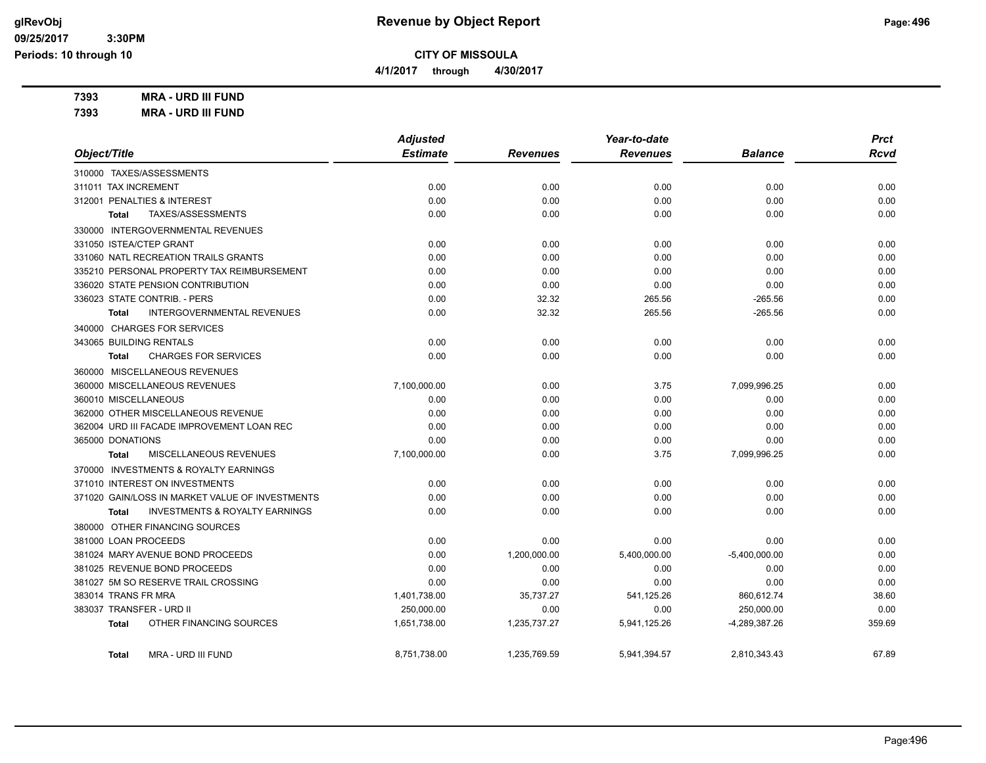**4/1/2017 through 4/30/2017**

**7393 MRA - URD III FUND**

**7393 MRA - URD III FUND**

|                                                           | <b>Adjusted</b> |                 | Year-to-date    |                 | <b>Prct</b> |
|-----------------------------------------------------------|-----------------|-----------------|-----------------|-----------------|-------------|
| Object/Title                                              | <b>Estimate</b> | <b>Revenues</b> | <b>Revenues</b> | <b>Balance</b>  | <b>Rcvd</b> |
| 310000 TAXES/ASSESSMENTS                                  |                 |                 |                 |                 |             |
| 311011 TAX INCREMENT                                      | 0.00            | 0.00            | 0.00            | 0.00            | 0.00        |
| 312001 PENALTIES & INTEREST                               | 0.00            | 0.00            | 0.00            | 0.00            | 0.00        |
| TAXES/ASSESSMENTS<br>Total                                | 0.00            | 0.00            | 0.00            | 0.00            | 0.00        |
| 330000 INTERGOVERNMENTAL REVENUES                         |                 |                 |                 |                 |             |
| 331050 ISTEA/CTEP GRANT                                   | 0.00            | 0.00            | 0.00            | 0.00            | 0.00        |
| 331060 NATL RECREATION TRAILS GRANTS                      | 0.00            | 0.00            | 0.00            | 0.00            | 0.00        |
| 335210 PERSONAL PROPERTY TAX REIMBURSEMENT                | 0.00            | 0.00            | 0.00            | 0.00            | 0.00        |
| 336020 STATE PENSION CONTRIBUTION                         | 0.00            | 0.00            | 0.00            | 0.00            | 0.00        |
| 336023 STATE CONTRIB. - PERS                              | 0.00            | 32.32           | 265.56          | $-265.56$       | 0.00        |
| <b>INTERGOVERNMENTAL REVENUES</b><br><b>Total</b>         | 0.00            | 32.32           | 265.56          | $-265.56$       | 0.00        |
| 340000 CHARGES FOR SERVICES                               |                 |                 |                 |                 |             |
| 343065 BUILDING RENTALS                                   | 0.00            | 0.00            | 0.00            | 0.00            | 0.00        |
| <b>CHARGES FOR SERVICES</b><br><b>Total</b>               | 0.00            | 0.00            | 0.00            | 0.00            | 0.00        |
| 360000 MISCELLANEOUS REVENUES                             |                 |                 |                 |                 |             |
| 360000 MISCELLANEOUS REVENUES                             | 7,100,000.00    | 0.00            | 3.75            | 7,099,996.25    | 0.00        |
| 360010 MISCELLANEOUS                                      | 0.00            | 0.00            | 0.00            | 0.00            | 0.00        |
| 362000 OTHER MISCELLANEOUS REVENUE                        | 0.00            | 0.00            | 0.00            | 0.00            | 0.00        |
| 362004 URD III FACADE IMPROVEMENT LOAN REC                | 0.00            | 0.00            | 0.00            | 0.00            | 0.00        |
| 365000 DONATIONS                                          | 0.00            | 0.00            | 0.00            | 0.00            | 0.00        |
| <b>MISCELLANEOUS REVENUES</b><br><b>Total</b>             | 7,100,000.00    | 0.00            | 3.75            | 7,099,996.25    | 0.00        |
| 370000 INVESTMENTS & ROYALTY EARNINGS                     |                 |                 |                 |                 |             |
| 371010 INTEREST ON INVESTMENTS                            | 0.00            | 0.00            | 0.00            | 0.00            | 0.00        |
| 371020 GAIN/LOSS IN MARKET VALUE OF INVESTMENTS           | 0.00            | 0.00            | 0.00            | 0.00            | 0.00        |
| <b>INVESTMENTS &amp; ROYALTY EARNINGS</b><br><b>Total</b> | 0.00            | 0.00            | 0.00            | 0.00            | 0.00        |
| 380000 OTHER FINANCING SOURCES                            |                 |                 |                 |                 |             |
| 381000 LOAN PROCEEDS                                      | 0.00            | 0.00            | 0.00            | 0.00            | 0.00        |
| 381024 MARY AVENUE BOND PROCEEDS                          | 0.00            | 1,200,000.00    | 5,400,000.00    | $-5,400,000.00$ | 0.00        |
| 381025 REVENUE BOND PROCEEDS                              | 0.00            | 0.00            | 0.00            | 0.00            | 0.00        |
| 381027 5M SO RESERVE TRAIL CROSSING                       | 0.00            | 0.00            | 0.00            | 0.00            | 0.00        |
| 383014 TRANS FR MRA                                       | 1,401,738.00    | 35.737.27       | 541,125.26      | 860,612.74      | 38.60       |
| 383037 TRANSFER - URD II                                  | 250,000.00      | 0.00            | 0.00            | 250,000.00      | 0.00        |
| OTHER FINANCING SOURCES<br><b>Total</b>                   | 1,651,738.00    | 1,235,737.27    | 5,941,125.26    | $-4,289,387.26$ | 359.69      |
| MRA - URD III FUND<br>Total                               | 8,751,738.00    | 1,235,769.59    | 5,941,394.57    | 2,810,343.43    | 67.89       |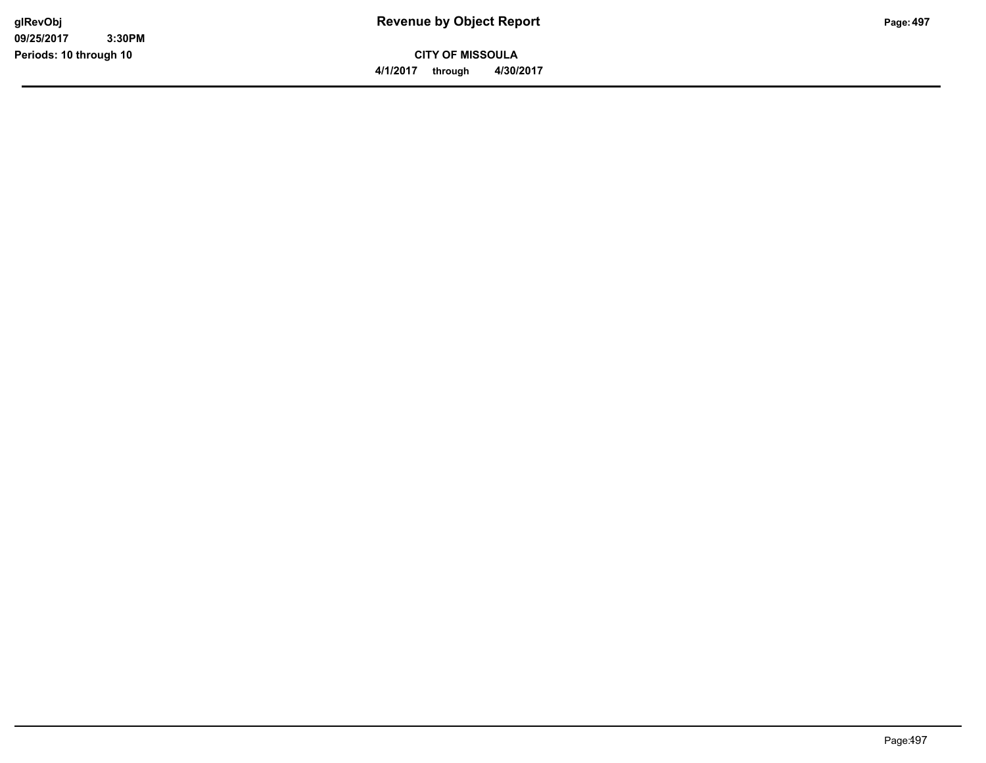**CITY OF MISSOULA 4/1/2017 through 4/30/2017**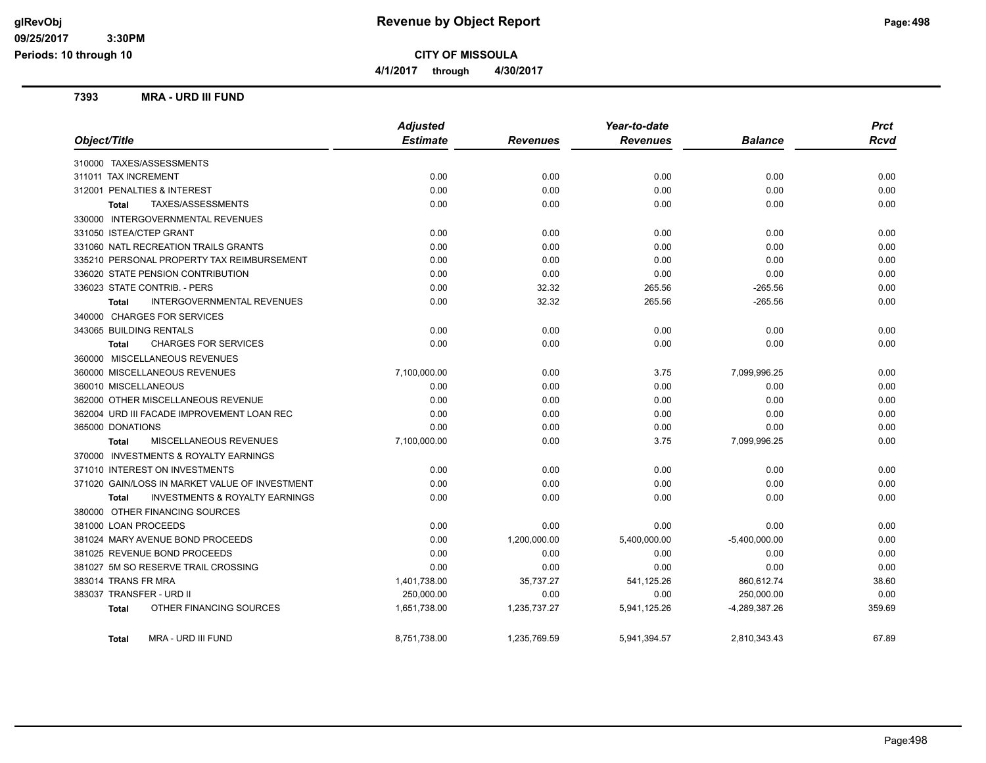**Periods: 10 through 10**

**CITY OF MISSOULA**

**4/1/2017 through 4/30/2017**

 **3:30PM**

**7393 MRA - URD III FUND**

|                                                           | <b>Adjusted</b> |                 | Year-to-date    |                 | <b>Prct</b> |
|-----------------------------------------------------------|-----------------|-----------------|-----------------|-----------------|-------------|
| Object/Title                                              | <b>Estimate</b> | <b>Revenues</b> | <b>Revenues</b> | <b>Balance</b>  | <b>Rcvd</b> |
| 310000 TAXES/ASSESSMENTS                                  |                 |                 |                 |                 |             |
| 311011 TAX INCREMENT                                      | 0.00            | 0.00            | 0.00            | 0.00            | 0.00        |
| 312001 PENALTIES & INTEREST                               | 0.00            | 0.00            | 0.00            | 0.00            | 0.00        |
| TAXES/ASSESSMENTS<br>Total                                | 0.00            | 0.00            | 0.00            | 0.00            | 0.00        |
| 330000 INTERGOVERNMENTAL REVENUES                         |                 |                 |                 |                 |             |
| 331050 ISTEA/CTEP GRANT                                   | 0.00            | 0.00            | 0.00            | 0.00            | 0.00        |
| 331060 NATL RECREATION TRAILS GRANTS                      | 0.00            | 0.00            | 0.00            | 0.00            | 0.00        |
| 335210 PERSONAL PROPERTY TAX REIMBURSEMENT                | 0.00            | 0.00            | 0.00            | 0.00            | 0.00        |
| 336020 STATE PENSION CONTRIBUTION                         | 0.00            | 0.00            | 0.00            | 0.00            | 0.00        |
| 336023 STATE CONTRIB. - PERS                              | 0.00            | 32.32           | 265.56          | $-265.56$       | 0.00        |
| <b>INTERGOVERNMENTAL REVENUES</b><br><b>Total</b>         | 0.00            | 32.32           | 265.56          | $-265.56$       | 0.00        |
| 340000 CHARGES FOR SERVICES                               |                 |                 |                 |                 |             |
| 343065 BUILDING RENTALS                                   | 0.00            | 0.00            | 0.00            | 0.00            | 0.00        |
| <b>CHARGES FOR SERVICES</b><br>Total                      | 0.00            | 0.00            | 0.00            | 0.00            | 0.00        |
| 360000 MISCELLANEOUS REVENUES                             |                 |                 |                 |                 |             |
| 360000 MISCELLANEOUS REVENUES                             | 7,100,000.00    | 0.00            | 3.75            | 7,099,996.25    | 0.00        |
| 360010 MISCELLANEOUS                                      | 0.00            | 0.00            | 0.00            | 0.00            | 0.00        |
| 362000 OTHER MISCELLANEOUS REVENUE                        | 0.00            | 0.00            | 0.00            | 0.00            | 0.00        |
| 362004 URD III FACADE IMPROVEMENT LOAN REC                | 0.00            | 0.00            | 0.00            | 0.00            | 0.00        |
| 365000 DONATIONS                                          | 0.00            | 0.00            | 0.00            | 0.00            | 0.00        |
| MISCELLANEOUS REVENUES<br><b>Total</b>                    | 7,100,000.00    | 0.00            | 3.75            | 7,099,996.25    | 0.00        |
| 370000 INVESTMENTS & ROYALTY EARNINGS                     |                 |                 |                 |                 |             |
| 371010 INTEREST ON INVESTMENTS                            | 0.00            | 0.00            | 0.00            | 0.00            | 0.00        |
| 371020 GAIN/LOSS IN MARKET VALUE OF INVESTMENT            | 0.00            | 0.00            | 0.00            | 0.00            | 0.00        |
| <b>INVESTMENTS &amp; ROYALTY EARNINGS</b><br><b>Total</b> | 0.00            | 0.00            | 0.00            | 0.00            | 0.00        |
| 380000 OTHER FINANCING SOURCES                            |                 |                 |                 |                 |             |
| 381000 LOAN PROCEEDS                                      | 0.00            | 0.00            | 0.00            | 0.00            | 0.00        |
| 381024 MARY AVENUE BOND PROCEEDS                          | 0.00            | 1,200,000.00    | 5,400,000.00    | $-5,400,000.00$ | 0.00        |
| 381025 REVENUE BOND PROCEEDS                              | 0.00            | 0.00            | 0.00            | 0.00            | 0.00        |
| 381027 5M SO RESERVE TRAIL CROSSING                       | 0.00            | 0.00            | 0.00            | 0.00            | 0.00        |
| 383014 TRANS FR MRA                                       | 1,401,738.00    | 35,737.27       | 541,125.26      | 860,612.74      | 38.60       |
| 383037 TRANSFER - URD II                                  | 250,000.00      | 0.00            | 0.00            | 250,000.00      | 0.00        |
| OTHER FINANCING SOURCES<br>Total                          | 1,651,738.00    | 1,235,737.27    | 5,941,125.26    | -4,289,387.26   | 359.69      |
|                                                           |                 |                 |                 |                 |             |
| MRA - URD III FUND<br><b>Total</b>                        | 8,751,738.00    | 1,235,769.59    | 5,941,394.57    | 2,810,343.43    | 67.89       |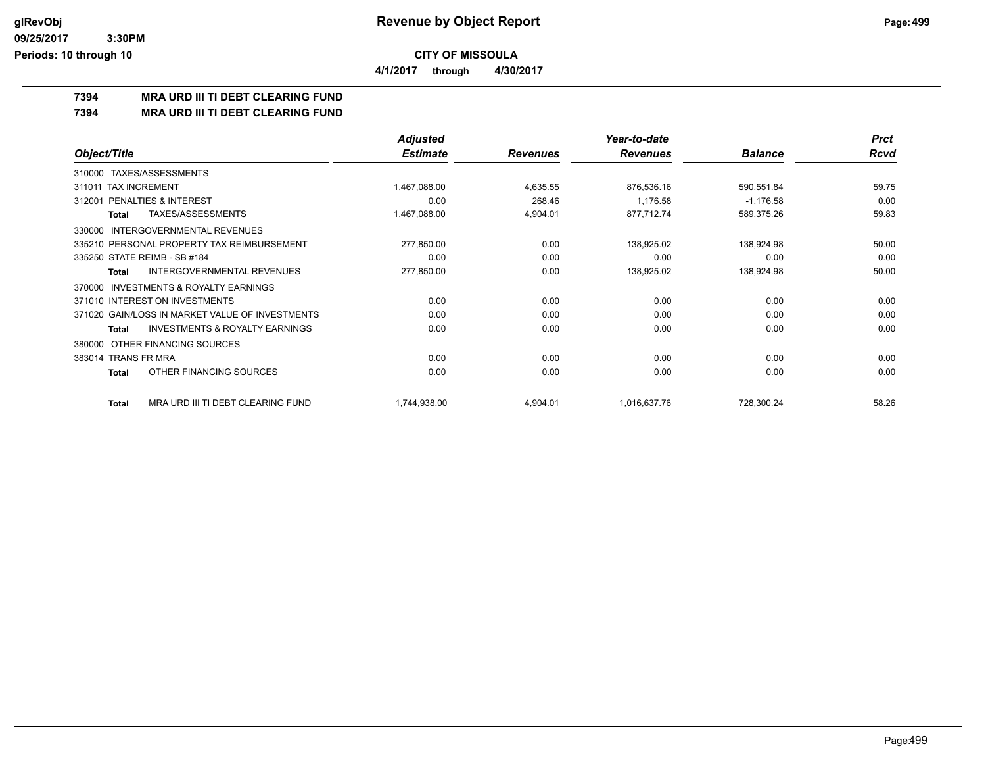**4/1/2017 through 4/30/2017**

# **7394 MRA URD III TI DEBT CLEARING FUND**

**7394 MRA URD III TI DEBT CLEARING FUND**

|                                                           | <b>Adjusted</b> |                 | Year-to-date    |                | <b>Prct</b> |
|-----------------------------------------------------------|-----------------|-----------------|-----------------|----------------|-------------|
| Object/Title                                              | <b>Estimate</b> | <b>Revenues</b> | <b>Revenues</b> | <b>Balance</b> | <b>Rcvd</b> |
| TAXES/ASSESSMENTS<br>310000                               |                 |                 |                 |                |             |
| <b>TAX INCREMENT</b><br>311011                            | 1,467,088.00    | 4,635.55        | 876,536.16      | 590,551.84     | 59.75       |
| PENALTIES & INTEREST<br>312001                            | 0.00            | 268.46          | 1.176.58        | $-1,176.58$    | 0.00        |
| TAXES/ASSESSMENTS<br><b>Total</b>                         | 1,467,088.00    | 4,904.01        | 877,712.74      | 589,375.26     | 59.83       |
| INTERGOVERNMENTAL REVENUES<br>330000                      |                 |                 |                 |                |             |
| 335210 PERSONAL PROPERTY TAX REIMBURSEMENT                | 277,850.00      | 0.00            | 138,925.02      | 138,924.98     | 50.00       |
| 335250 STATE REIMB - SB #184                              | 0.00            | 0.00            | 0.00            | 0.00           | 0.00        |
| INTERGOVERNMENTAL REVENUES<br><b>Total</b>                | 277,850.00      | 0.00            | 138,925.02      | 138,924.98     | 50.00       |
| <b>INVESTMENTS &amp; ROYALTY EARNINGS</b><br>370000       |                 |                 |                 |                |             |
| 371010 INTEREST ON INVESTMENTS                            | 0.00            | 0.00            | 0.00            | 0.00           | 0.00        |
| 371020 GAIN/LOSS IN MARKET VALUE OF INVESTMENTS           | 0.00            | 0.00            | 0.00            | 0.00           | 0.00        |
| <b>INVESTMENTS &amp; ROYALTY EARNINGS</b><br><b>Total</b> | 0.00            | 0.00            | 0.00            | 0.00           | 0.00        |
| OTHER FINANCING SOURCES<br>380000                         |                 |                 |                 |                |             |
| 383014 TRANS FR MRA                                       | 0.00            | 0.00            | 0.00            | 0.00           | 0.00        |
| OTHER FINANCING SOURCES<br><b>Total</b>                   | 0.00            | 0.00            | 0.00            | 0.00           | 0.00        |
| MRA URD III TI DEBT CLEARING FUND<br><b>Total</b>         | 1,744,938.00    | 4,904.01        | 1,016,637.76    | 728,300.24     | 58.26       |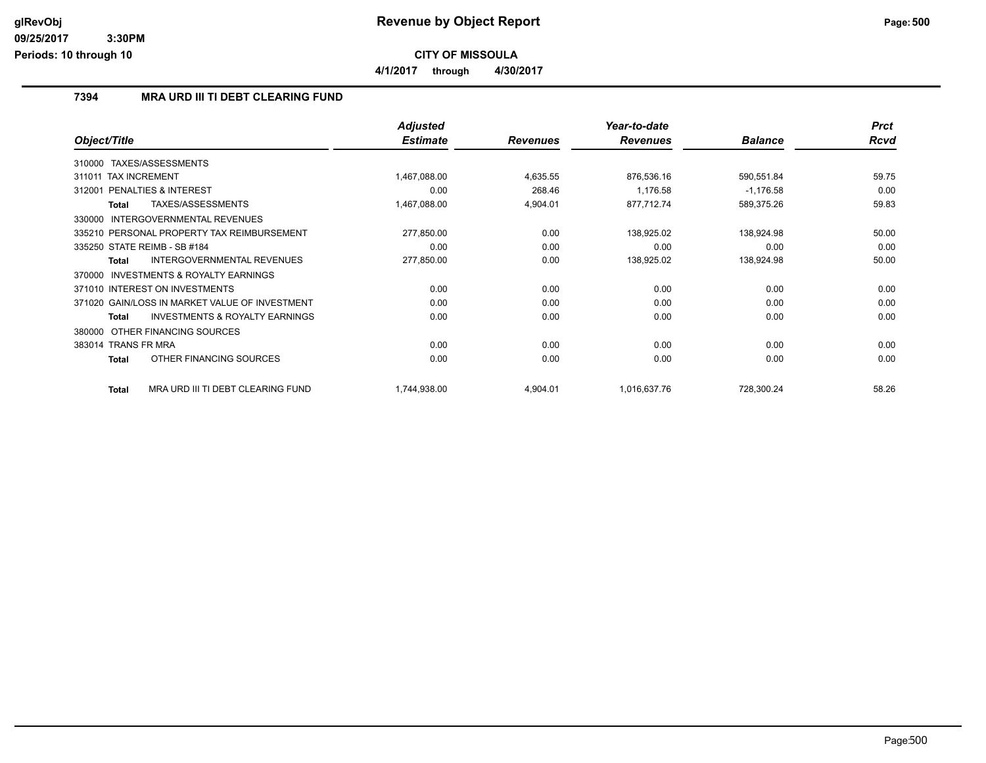**4/1/2017 through 4/30/2017**

# **7394 MRA URD III TI DEBT CLEARING FUND**

|                                                     | <b>Adjusted</b> |                 | Year-to-date    |                | <b>Prct</b> |
|-----------------------------------------------------|-----------------|-----------------|-----------------|----------------|-------------|
| Object/Title                                        | <b>Estimate</b> | <b>Revenues</b> | <b>Revenues</b> | <b>Balance</b> | <b>Rcvd</b> |
| 310000 TAXES/ASSESSMENTS                            |                 |                 |                 |                |             |
| 311011 TAX INCREMENT                                | 1,467,088.00    | 4,635.55        | 876,536.16      | 590,551.84     | 59.75       |
| 312001 PENALTIES & INTEREST                         | 0.00            | 268.46          | 1,176.58        | $-1,176.58$    | 0.00        |
| TAXES/ASSESSMENTS<br><b>Total</b>                   | 1,467,088.00    | 4,904.01        | 877,712.74      | 589,375.26     | 59.83       |
| INTERGOVERNMENTAL REVENUES<br>330000                |                 |                 |                 |                |             |
| 335210 PERSONAL PROPERTY TAX REIMBURSEMENT          | 277,850.00      | 0.00            | 138,925.02      | 138,924.98     | 50.00       |
| 335250 STATE REIMB - SB #184                        | 0.00            | 0.00            | 0.00            | 0.00           | 0.00        |
| <b>INTERGOVERNMENTAL REVENUES</b><br>Total          | 277,850.00      | 0.00            | 138,925.02      | 138,924.98     | 50.00       |
| <b>INVESTMENTS &amp; ROYALTY EARNINGS</b><br>370000 |                 |                 |                 |                |             |
| 371010 INTEREST ON INVESTMENTS                      | 0.00            | 0.00            | 0.00            | 0.00           | 0.00        |
| 371020 GAIN/LOSS IN MARKET VALUE OF INVESTMENT      | 0.00            | 0.00            | 0.00            | 0.00           | 0.00        |
| <b>INVESTMENTS &amp; ROYALTY EARNINGS</b><br>Total  | 0.00            | 0.00            | 0.00            | 0.00           | 0.00        |
| 380000 OTHER FINANCING SOURCES                      |                 |                 |                 |                |             |
| 383014 TRANS FR MRA                                 | 0.00            | 0.00            | 0.00            | 0.00           | 0.00        |
| OTHER FINANCING SOURCES<br><b>Total</b>             | 0.00            | 0.00            | 0.00            | 0.00           | 0.00        |
| MRA URD III TI DEBT CLEARING FUND<br>Total          | 1,744,938.00    | 4,904.01        | 1,016,637.76    | 728,300.24     | 58.26       |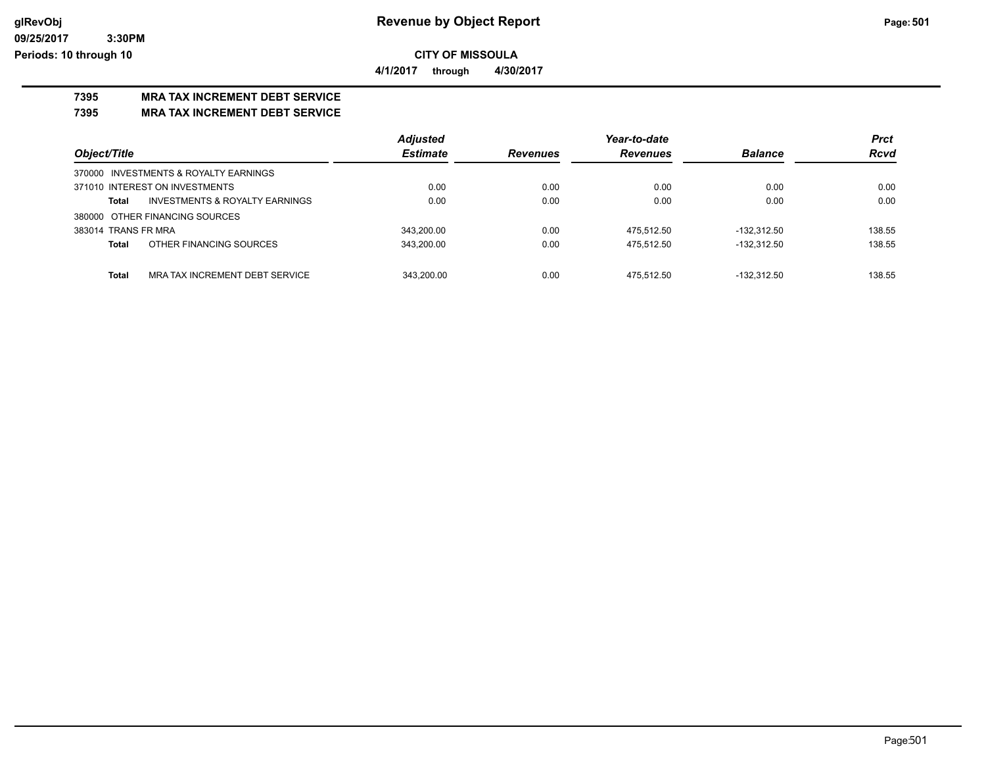**4/1/2017 through 4/30/2017**

# **7395 MRA TAX INCREMENT DEBT SERVICE**

# **7395 MRA TAX INCREMENT DEBT SERVICE**

|                                                    | <b>Adjusted</b> |                 | Year-to-date    |                | <b>Prct</b> |
|----------------------------------------------------|-----------------|-----------------|-----------------|----------------|-------------|
| Object/Title                                       | <b>Estimate</b> | <b>Revenues</b> | <b>Revenues</b> | <b>Balance</b> | <b>Rcvd</b> |
| 370000 INVESTMENTS & ROYALTY EARNINGS              |                 |                 |                 |                |             |
| 371010 INTEREST ON INVESTMENTS                     | 0.00            | 0.00            | 0.00            | 0.00           | 0.00        |
| <b>INVESTMENTS &amp; ROYALTY EARNINGS</b><br>Total | 0.00            | 0.00            | 0.00            | 0.00           | 0.00        |
| 380000 OTHER FINANCING SOURCES                     |                 |                 |                 |                |             |
| 383014 TRANS FR MRA                                | 343.200.00      | 0.00            | 475.512.50      | -132.312.50    | 138.55      |
| OTHER FINANCING SOURCES<br>Total                   | 343,200.00      | 0.00            | 475.512.50      | $-132.312.50$  | 138.55      |
|                                                    |                 |                 |                 |                |             |
| MRA TAX INCREMENT DEBT SERVICE<br><b>Total</b>     | 343.200.00      | 0.00            | 475.512.50      | $-132.312.50$  | 138.55      |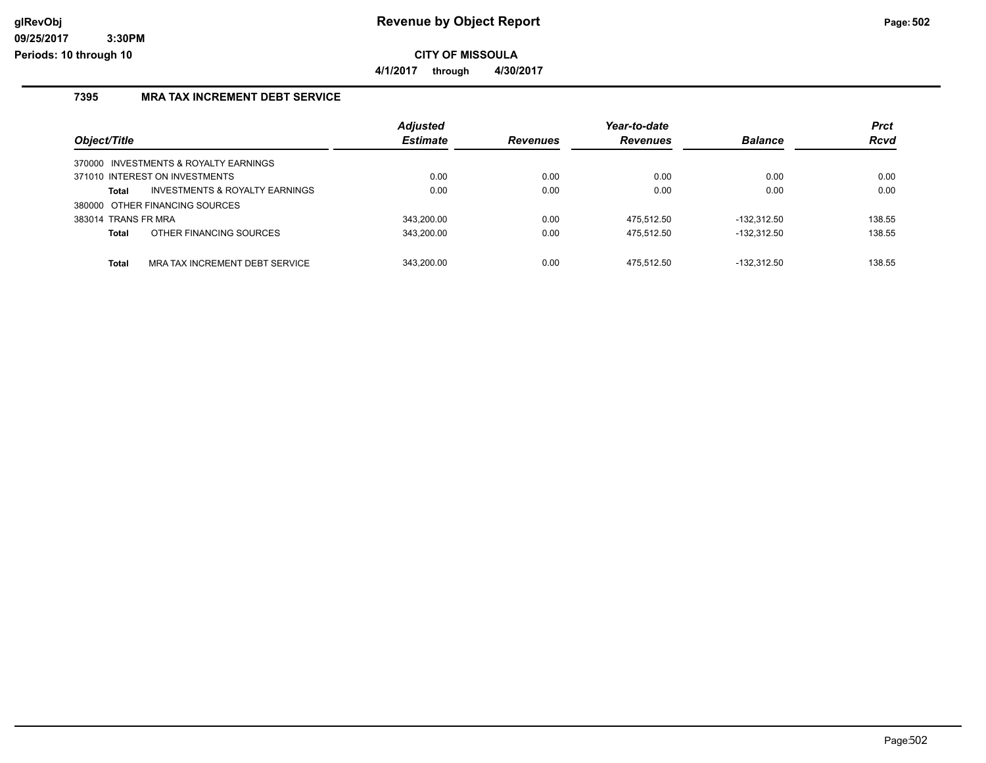**4/1/2017 through 4/30/2017**

# **7395 MRA TAX INCREMENT DEBT SERVICE**

|                     |                                           | <b>Adjusted</b> |                 | Year-to-date    |                | <b>Prct</b> |
|---------------------|-------------------------------------------|-----------------|-----------------|-----------------|----------------|-------------|
| Object/Title        |                                           | <b>Estimate</b> | <b>Revenues</b> | <b>Revenues</b> | <b>Balance</b> | <b>Rcvd</b> |
|                     | 370000 INVESTMENTS & ROYALTY EARNINGS     |                 |                 |                 |                |             |
|                     | 371010 INTEREST ON INVESTMENTS            | 0.00            | 0.00            | 0.00            | 0.00           | 0.00        |
| <b>Total</b>        | <b>INVESTMENTS &amp; ROYALTY EARNINGS</b> | 0.00            | 0.00            | 0.00            | 0.00           | 0.00        |
|                     | 380000 OTHER FINANCING SOURCES            |                 |                 |                 |                |             |
| 383014 TRANS FR MRA |                                           | 343.200.00      | 0.00            | 475.512.50      | $-132.312.50$  | 138.55      |
| <b>Total</b>        | OTHER FINANCING SOURCES                   | 343,200.00      | 0.00            | 475.512.50      | $-132.312.50$  | 138.55      |
| <b>Total</b>        | MRA TAX INCREMENT DEBT SERVICE            | 343.200.00      | 0.00            | 475.512.50      | $-132.312.50$  | 138.55      |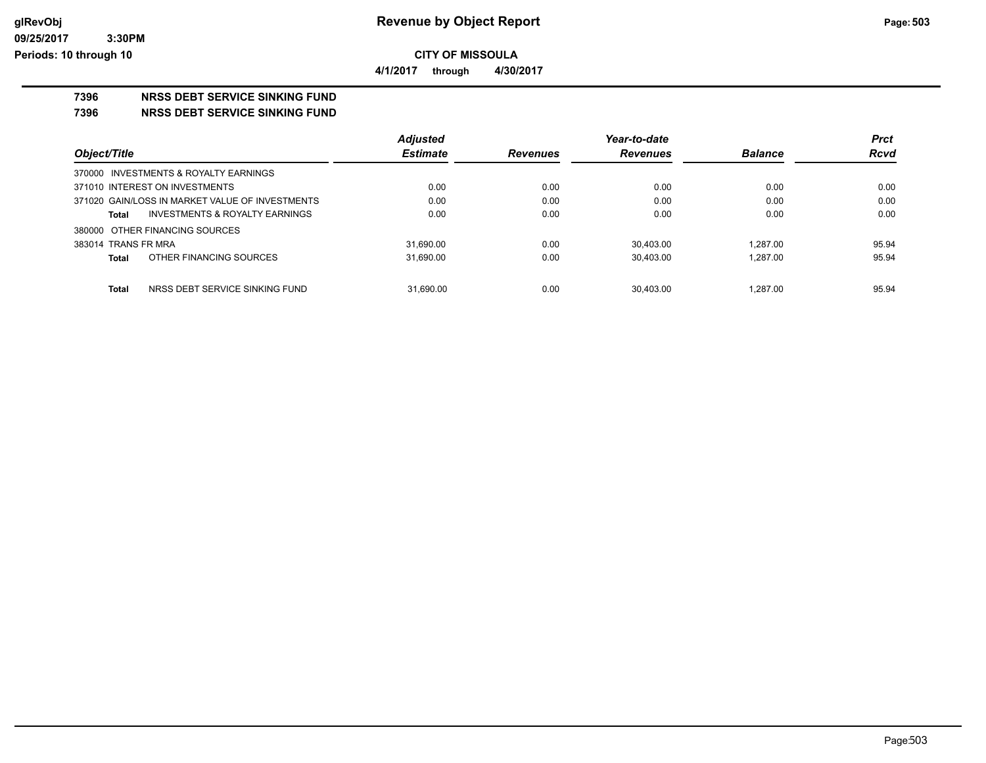**4/1/2017 through 4/30/2017**

# **7396 NRSS DEBT SERVICE SINKING FUND**

**7396 NRSS DEBT SERVICE SINKING FUND**

|                                                           | <b>Adjusted</b> |                 | Year-to-date    |                | <b>Prct</b> |
|-----------------------------------------------------------|-----------------|-----------------|-----------------|----------------|-------------|
| Object/Title                                              | <b>Estimate</b> | <b>Revenues</b> | <b>Revenues</b> | <b>Balance</b> | <b>Rcvd</b> |
| 370000 INVESTMENTS & ROYALTY EARNINGS                     |                 |                 |                 |                |             |
| 371010 INTEREST ON INVESTMENTS                            | 0.00            | 0.00            | 0.00            | 0.00           | 0.00        |
| 371020 GAIN/LOSS IN MARKET VALUE OF INVESTMENTS           | 0.00            | 0.00            | 0.00            | 0.00           | 0.00        |
| <b>INVESTMENTS &amp; ROYALTY EARNINGS</b><br><b>Total</b> | 0.00            | 0.00            | 0.00            | 0.00           | 0.00        |
| 380000 OTHER FINANCING SOURCES                            |                 |                 |                 |                |             |
| 383014 TRANS FR MRA                                       | 31.690.00       | 0.00            | 30.403.00       | 1.287.00       | 95.94       |
| OTHER FINANCING SOURCES<br><b>Total</b>                   | 31.690.00       | 0.00            | 30.403.00       | 1.287.00       | 95.94       |
|                                                           |                 |                 |                 |                |             |
| <b>Total</b><br>NRSS DEBT SERVICE SINKING FUND            | 31.690.00       | 0.00            | 30.403.00       | 1.287.00       | 95.94       |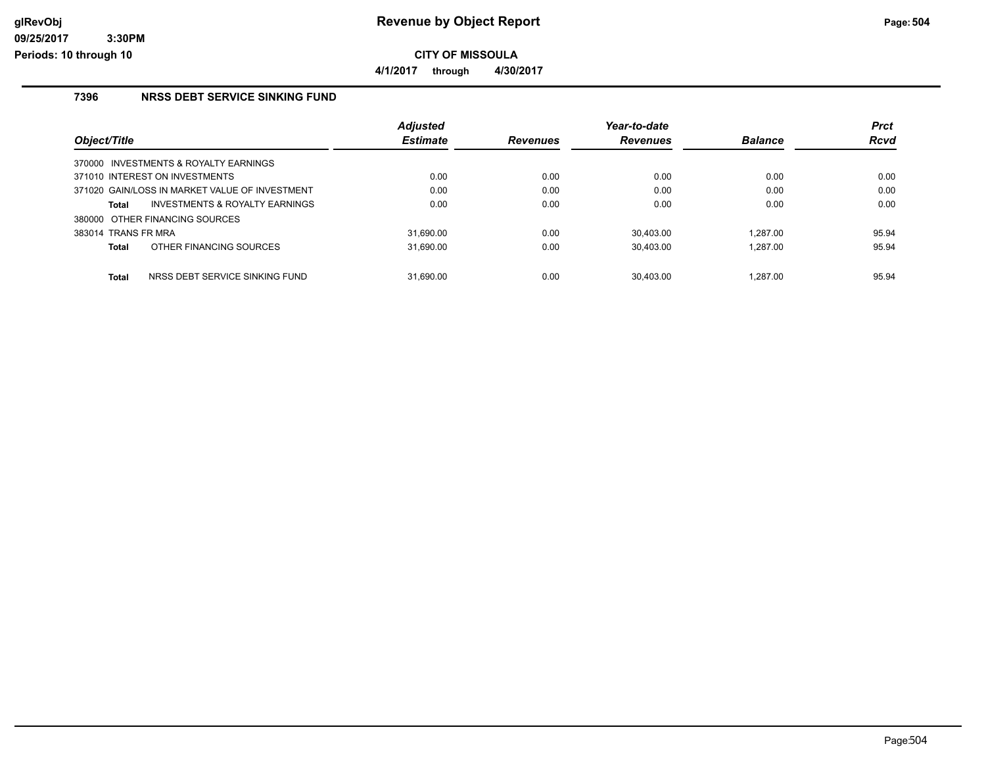**4/1/2017 through 4/30/2017**

# **7396 NRSS DEBT SERVICE SINKING FUND**

|                                |                                                | <b>Adjusted</b> |                 | Year-to-date    |                | <b>Prct</b> |
|--------------------------------|------------------------------------------------|-----------------|-----------------|-----------------|----------------|-------------|
| Object/Title                   |                                                | <b>Estimate</b> | <b>Revenues</b> | <b>Revenues</b> | <b>Balance</b> | <b>Rcvd</b> |
|                                | 370000 INVESTMENTS & ROYALTY EARNINGS          |                 |                 |                 |                |             |
| 371010 INTEREST ON INVESTMENTS |                                                | 0.00            | 0.00            | 0.00            | 0.00           | 0.00        |
|                                | 371020 GAIN/LOSS IN MARKET VALUE OF INVESTMENT | 0.00            | 0.00            | 0.00            | 0.00           | 0.00        |
| Total                          | <b>INVESTMENTS &amp; ROYALTY EARNINGS</b>      | 0.00            | 0.00            | 0.00            | 0.00           | 0.00        |
| 380000 OTHER FINANCING SOURCES |                                                |                 |                 |                 |                |             |
| 383014 TRANS FR MRA            |                                                | 31.690.00       | 0.00            | 30.403.00       | 1.287.00       | 95.94       |
| Total                          | OTHER FINANCING SOURCES                        | 31.690.00       | 0.00            | 30.403.00       | 1.287.00       | 95.94       |
|                                |                                                |                 |                 |                 |                |             |
| Total                          | NRSS DEBT SERVICE SINKING FUND                 | 31.690.00       | 0.00            | 30.403.00       | 1.287.00       | 95.94       |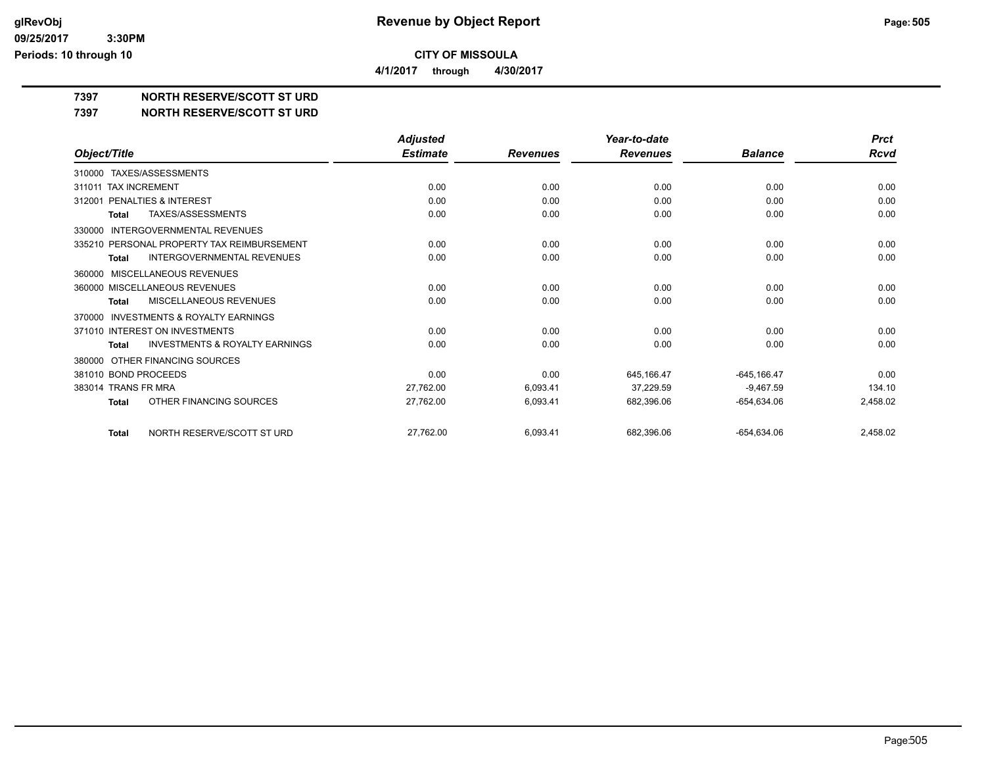**4/1/2017 through 4/30/2017**

**7397 NORTH RESERVE/SCOTT ST URD**

**7397 NORTH RESERVE/SCOTT ST URD**

|                                                           | <b>Adjusted</b> |                 | Year-to-date    |                | <b>Prct</b> |
|-----------------------------------------------------------|-----------------|-----------------|-----------------|----------------|-------------|
| Object/Title                                              | <b>Estimate</b> | <b>Revenues</b> | <b>Revenues</b> | <b>Balance</b> | <b>Rcvd</b> |
| TAXES/ASSESSMENTS<br>310000                               |                 |                 |                 |                |             |
| <b>TAX INCREMENT</b><br>311011                            | 0.00            | 0.00            | 0.00            | 0.00           | 0.00        |
| PENALTIES & INTEREST<br>312001                            | 0.00            | 0.00            | 0.00            | 0.00           | 0.00        |
| <b>TAXES/ASSESSMENTS</b><br><b>Total</b>                  | 0.00            | 0.00            | 0.00            | 0.00           | 0.00        |
| INTERGOVERNMENTAL REVENUES<br>330000                      |                 |                 |                 |                |             |
| 335210 PERSONAL PROPERTY TAX REIMBURSEMENT                | 0.00            | 0.00            | 0.00            | 0.00           | 0.00        |
| <b>INTERGOVERNMENTAL REVENUES</b><br><b>Total</b>         | 0.00            | 0.00            | 0.00            | 0.00           | 0.00        |
| MISCELLANEOUS REVENUES<br>360000                          |                 |                 |                 |                |             |
| 360000 MISCELLANEOUS REVENUES                             | 0.00            | 0.00            | 0.00            | 0.00           | 0.00        |
| MISCELLANEOUS REVENUES<br><b>Total</b>                    | 0.00            | 0.00            | 0.00            | 0.00           | 0.00        |
| <b>INVESTMENTS &amp; ROYALTY EARNINGS</b><br>370000       |                 |                 |                 |                |             |
| 371010 INTEREST ON INVESTMENTS                            | 0.00            | 0.00            | 0.00            | 0.00           | 0.00        |
| <b>INVESTMENTS &amp; ROYALTY EARNINGS</b><br><b>Total</b> | 0.00            | 0.00            | 0.00            | 0.00           | 0.00        |
| OTHER FINANCING SOURCES<br>380000                         |                 |                 |                 |                |             |
| 381010 BOND PROCEEDS                                      | 0.00            | 0.00            | 645,166.47      | $-645, 166.47$ | 0.00        |
| 383014 TRANS FR MRA                                       | 27,762.00       | 6,093.41        | 37,229.59       | $-9,467.59$    | 134.10      |
| OTHER FINANCING SOURCES<br><b>Total</b>                   | 27,762.00       | 6,093.41        | 682,396.06      | $-654,634.06$  | 2,458.02    |
| NORTH RESERVE/SCOTT ST URD<br><b>Total</b>                | 27,762.00       | 6,093.41        | 682,396.06      | $-654,634.06$  | 2,458.02    |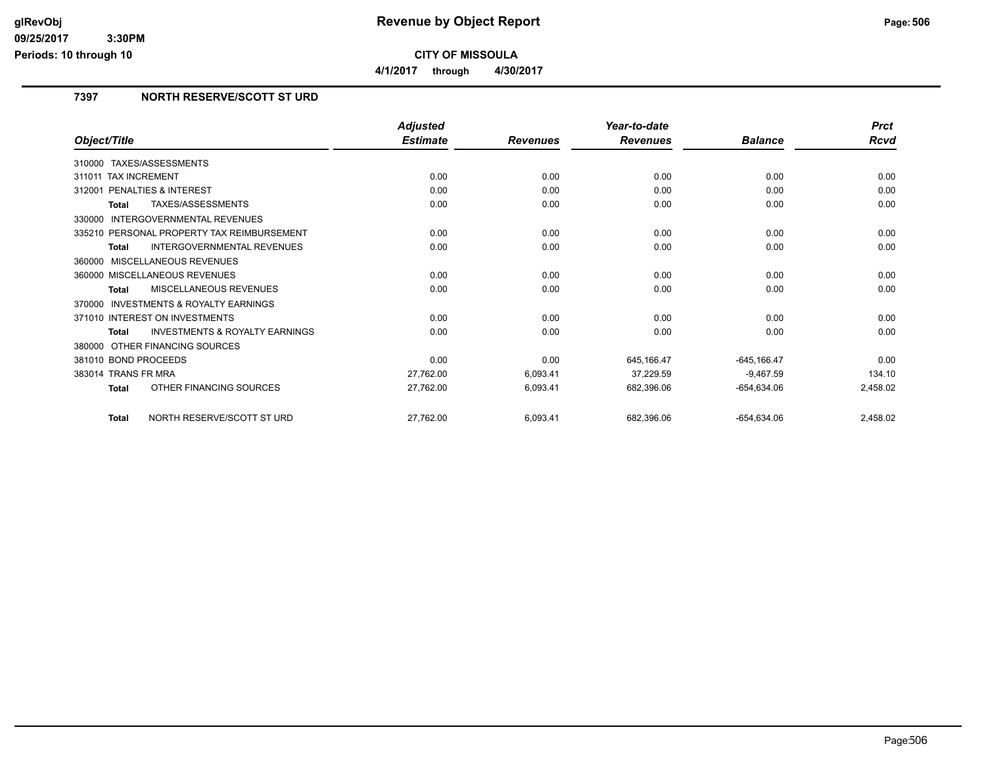**4/1/2017 through 4/30/2017**

# **7397 NORTH RESERVE/SCOTT ST URD**

|                                                           | <b>Adjusted</b> |                 | Year-to-date    |                | <b>Prct</b> |
|-----------------------------------------------------------|-----------------|-----------------|-----------------|----------------|-------------|
| Object/Title                                              | <b>Estimate</b> | <b>Revenues</b> | <b>Revenues</b> | <b>Balance</b> | Rcvd        |
| 310000 TAXES/ASSESSMENTS                                  |                 |                 |                 |                |             |
| 311011 TAX INCREMENT                                      | 0.00            | 0.00            | 0.00            | 0.00           | 0.00        |
| 312001 PENALTIES & INTEREST                               | 0.00            | 0.00            | 0.00            | 0.00           | 0.00        |
| <b>TAXES/ASSESSMENTS</b><br><b>Total</b>                  | 0.00            | 0.00            | 0.00            | 0.00           | 0.00        |
| <b>INTERGOVERNMENTAL REVENUES</b><br>330000               |                 |                 |                 |                |             |
| 335210 PERSONAL PROPERTY TAX REIMBURSEMENT                | 0.00            | 0.00            | 0.00            | 0.00           | 0.00        |
| <b>INTERGOVERNMENTAL REVENUES</b><br><b>Total</b>         | 0.00            | 0.00            | 0.00            | 0.00           | 0.00        |
| MISCELLANEOUS REVENUES<br>360000                          |                 |                 |                 |                |             |
| 360000 MISCELLANEOUS REVENUES                             | 0.00            | 0.00            | 0.00            | 0.00           | 0.00        |
| MISCELLANEOUS REVENUES<br>Total                           | 0.00            | 0.00            | 0.00            | 0.00           | 0.00        |
| <b>INVESTMENTS &amp; ROYALTY EARNINGS</b><br>370000       |                 |                 |                 |                |             |
| 371010 INTEREST ON INVESTMENTS                            | 0.00            | 0.00            | 0.00            | 0.00           | 0.00        |
| <b>INVESTMENTS &amp; ROYALTY EARNINGS</b><br><b>Total</b> | 0.00            | 0.00            | 0.00            | 0.00           | 0.00        |
| OTHER FINANCING SOURCES<br>380000                         |                 |                 |                 |                |             |
| 381010 BOND PROCEEDS                                      | 0.00            | 0.00            | 645,166.47      | $-645, 166.47$ | 0.00        |
| 383014 TRANS FR MRA                                       | 27,762.00       | 6,093.41        | 37,229.59       | $-9,467.59$    | 134.10      |
| OTHER FINANCING SOURCES<br><b>Total</b>                   | 27,762.00       | 6,093.41        | 682,396.06      | $-654,634.06$  | 2,458.02    |
| NORTH RESERVE/SCOTT ST URD<br><b>Total</b>                | 27,762.00       | 6,093.41        | 682,396.06      | $-654,634.06$  | 2,458.02    |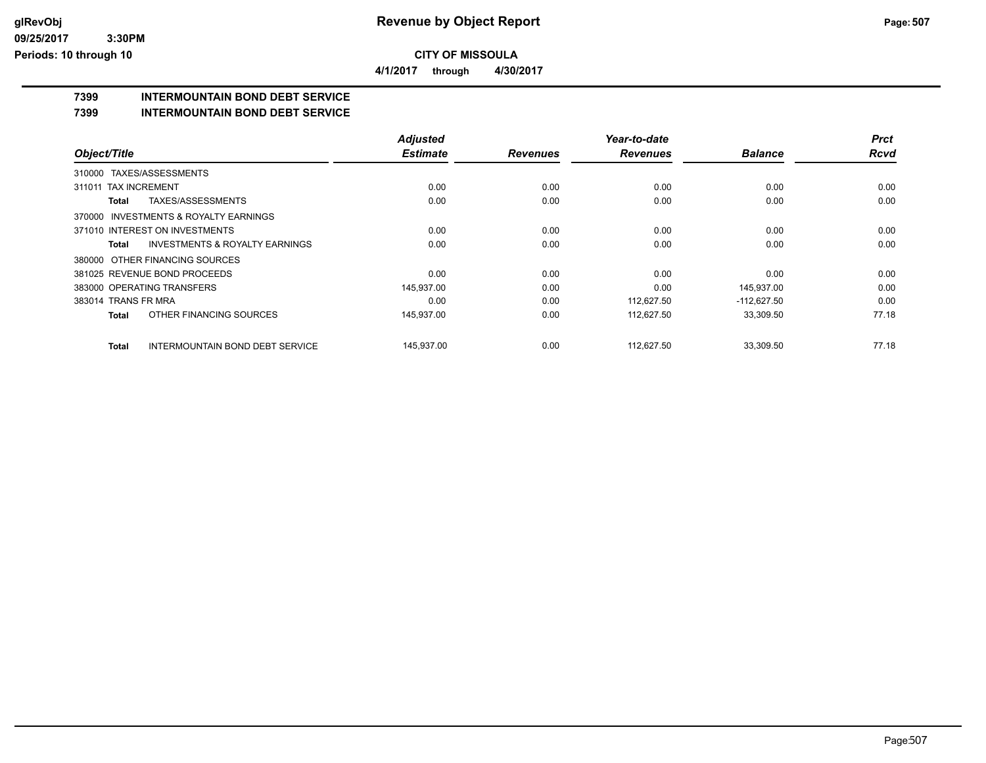**4/1/2017 through 4/30/2017**

# **7399 INTERMOUNTAIN BOND DEBT SERVICE**

# **7399 INTERMOUNTAIN BOND DEBT SERVICE**

|                                                           | <b>Adjusted</b> |                 | Year-to-date    |                | <b>Prct</b> |
|-----------------------------------------------------------|-----------------|-----------------|-----------------|----------------|-------------|
| Object/Title                                              | <b>Estimate</b> | <b>Revenues</b> | <b>Revenues</b> | <b>Balance</b> | Rcvd        |
| 310000 TAXES/ASSESSMENTS                                  |                 |                 |                 |                |             |
| <b>TAX INCREMENT</b><br>311011                            | 0.00            | 0.00            | 0.00            | 0.00           | 0.00        |
| TAXES/ASSESSMENTS<br>Total                                | 0.00            | 0.00            | 0.00            | 0.00           | 0.00        |
| 370000 INVESTMENTS & ROYALTY EARNINGS                     |                 |                 |                 |                |             |
| 371010 INTEREST ON INVESTMENTS                            | 0.00            | 0.00            | 0.00            | 0.00           | 0.00        |
| <b>INVESTMENTS &amp; ROYALTY EARNINGS</b><br><b>Total</b> | 0.00            | 0.00            | 0.00            | 0.00           | 0.00        |
| 380000 OTHER FINANCING SOURCES                            |                 |                 |                 |                |             |
| 381025 REVENUE BOND PROCEEDS                              | 0.00            | 0.00            | 0.00            | 0.00           | 0.00        |
| 383000 OPERATING TRANSFERS                                | 145,937.00      | 0.00            | 0.00            | 145,937.00     | 0.00        |
| 383014 TRANS FR MRA                                       | 0.00            | 0.00            | 112,627.50      | $-112,627.50$  | 0.00        |
| OTHER FINANCING SOURCES<br><b>Total</b>                   | 145,937.00      | 0.00            | 112,627.50      | 33,309.50      | 77.18       |
| <b>INTERMOUNTAIN BOND DEBT SERVICE</b><br>Total           | 145.937.00      | 0.00            | 112.627.50      | 33.309.50      | 77.18       |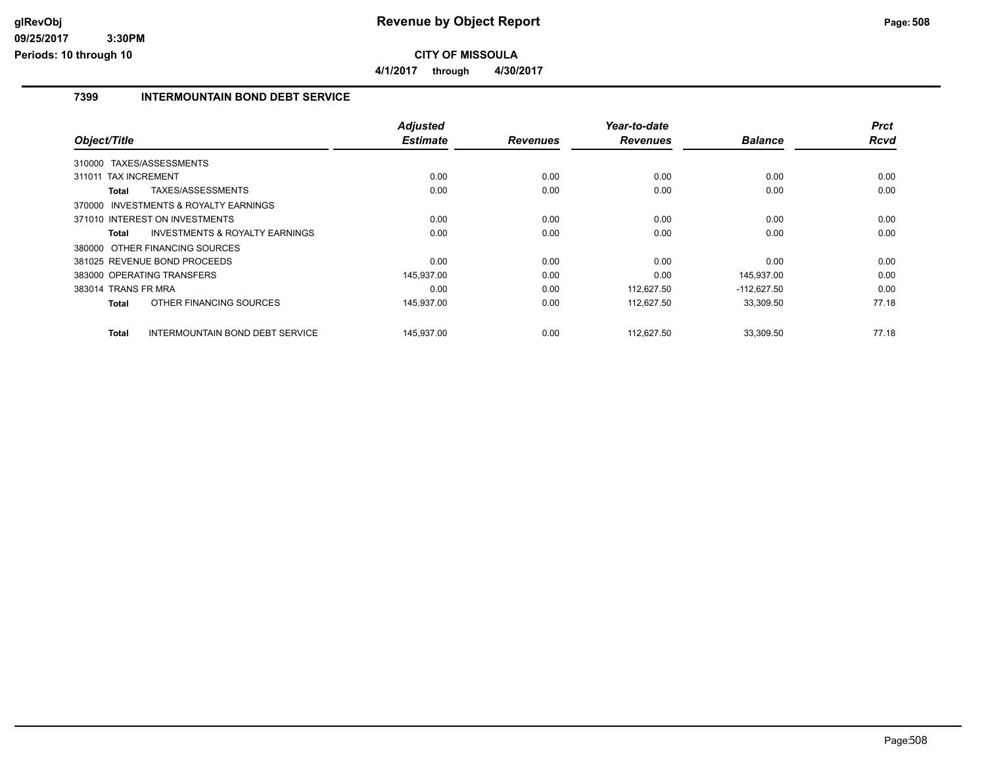**4/1/2017 through 4/30/2017**

## **7399 INTERMOUNTAIN BOND DEBT SERVICE**

|                                                        | <b>Adjusted</b> |                 | Year-to-date    |                | <b>Prct</b> |
|--------------------------------------------------------|-----------------|-----------------|-----------------|----------------|-------------|
| Object/Title                                           | <b>Estimate</b> | <b>Revenues</b> | <b>Revenues</b> | <b>Balance</b> | Rcvd        |
| 310000 TAXES/ASSESSMENTS                               |                 |                 |                 |                |             |
| 311011 TAX INCREMENT                                   | 0.00            | 0.00            | 0.00            | 0.00           | 0.00        |
| TAXES/ASSESSMENTS<br>Total                             | 0.00            | 0.00            | 0.00            | 0.00           | 0.00        |
| 370000 INVESTMENTS & ROYALTY EARNINGS                  |                 |                 |                 |                |             |
| 371010 INTEREST ON INVESTMENTS                         | 0.00            | 0.00            | 0.00            | 0.00           | 0.00        |
| <b>INVESTMENTS &amp; ROYALTY EARNINGS</b><br>Total     | 0.00            | 0.00            | 0.00            | 0.00           | 0.00        |
| 380000 OTHER FINANCING SOURCES                         |                 |                 |                 |                |             |
| 381025 REVENUE BOND PROCEEDS                           | 0.00            | 0.00            | 0.00            | 0.00           | 0.00        |
| 383000 OPERATING TRANSFERS                             | 145,937.00      | 0.00            | 0.00            | 145,937.00     | 0.00        |
| 383014 TRANS FR MRA                                    | 0.00            | 0.00            | 112,627.50      | $-112,627.50$  | 0.00        |
| OTHER FINANCING SOURCES<br><b>Total</b>                | 145,937.00      | 0.00            | 112,627.50      | 33,309.50      | 77.18       |
| <b>INTERMOUNTAIN BOND DEBT SERVICE</b><br><b>Total</b> | 145,937.00      | 0.00            | 112.627.50      | 33,309.50      | 77.18       |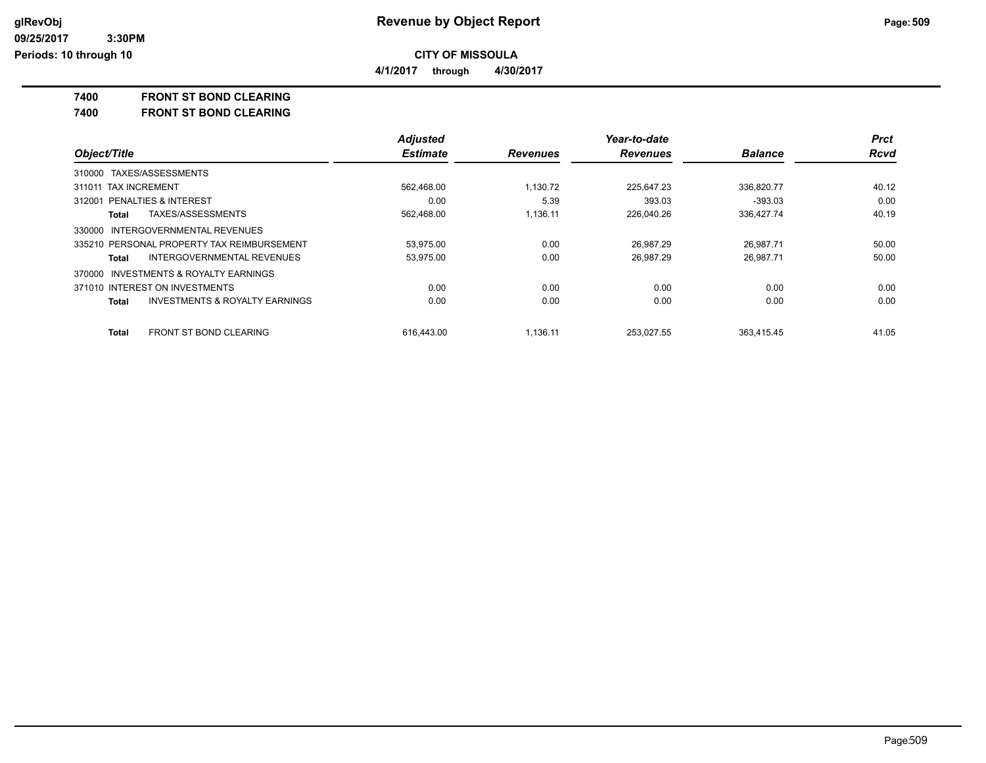**4/1/2017 through 4/30/2017**

#### **7400 FRONT ST BOND CLEARING**

**7400 FRONT ST BOND CLEARING**

|                                                    | <b>Adjusted</b> |                 | Year-to-date    |                | <b>Prct</b> |
|----------------------------------------------------|-----------------|-----------------|-----------------|----------------|-------------|
| Object/Title                                       | <b>Estimate</b> | <b>Revenues</b> | <b>Revenues</b> | <b>Balance</b> | <b>Rcvd</b> |
| TAXES/ASSESSMENTS<br>310000                        |                 |                 |                 |                |             |
| 311011 TAX INCREMENT                               | 562,468.00      | 1.130.72        | 225.647.23      | 336,820.77     | 40.12       |
| 312001 PENALTIES & INTEREST                        | 0.00            | 5.39            | 393.03          | $-393.03$      | 0.00        |
| TAXES/ASSESSMENTS<br>Total                         | 562,468.00      | 1,136.11        | 226.040.26      | 336,427.74     | 40.19       |
| 330000 INTERGOVERNMENTAL REVENUES                  |                 |                 |                 |                |             |
| 335210 PERSONAL PROPERTY TAX REIMBURSEMENT         | 53,975.00       | 0.00            | 26,987.29       | 26,987.71      | 50.00       |
| INTERGOVERNMENTAL REVENUES<br>Total                | 53,975.00       | 0.00            | 26,987.29       | 26.987.71      | 50.00       |
| INVESTMENTS & ROYALTY EARNINGS<br>370000           |                 |                 |                 |                |             |
| 371010 INTEREST ON INVESTMENTS                     | 0.00            | 0.00            | 0.00            | 0.00           | 0.00        |
| <b>INVESTMENTS &amp; ROYALTY EARNINGS</b><br>Total | 0.00            | 0.00            | 0.00            | 0.00           | 0.00        |
| <b>FRONT ST BOND CLEARING</b><br><b>Total</b>      | 616.443.00      | 1.136.11        | 253.027.55      | 363.415.45     | 41.05       |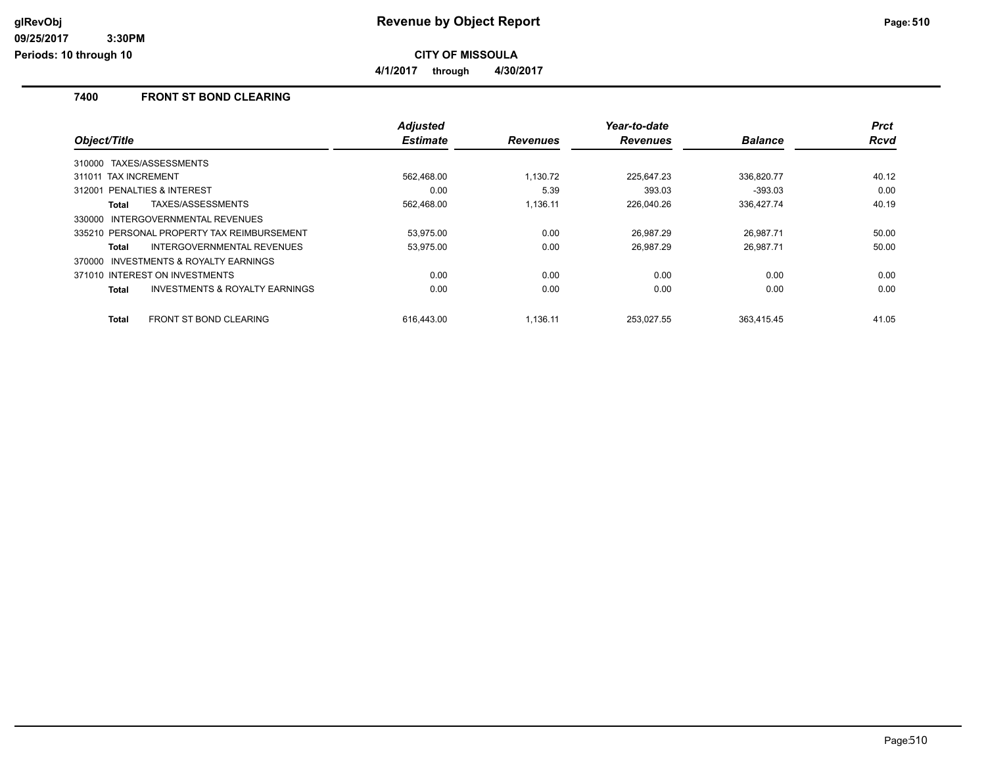**4/1/2017 through 4/30/2017**

## **7400 FRONT ST BOND CLEARING**

|                                                           | <b>Adjusted</b> |                 | Year-to-date    |                | <b>Prct</b> |
|-----------------------------------------------------------|-----------------|-----------------|-----------------|----------------|-------------|
| Object/Title                                              | <b>Estimate</b> | <b>Revenues</b> | <b>Revenues</b> | <b>Balance</b> | <b>Rcvd</b> |
| TAXES/ASSESSMENTS<br>310000                               |                 |                 |                 |                |             |
| 311011 TAX INCREMENT                                      | 562.468.00      | 1.130.72        | 225.647.23      | 336.820.77     | 40.12       |
| 312001 PENALTIES & INTEREST                               | 0.00            | 5.39            | 393.03          | $-393.03$      | 0.00        |
| TAXES/ASSESSMENTS<br>Total                                | 562,468.00      | 1.136.11        | 226,040.26      | 336.427.74     | 40.19       |
| INTERGOVERNMENTAL REVENUES<br>330000                      |                 |                 |                 |                |             |
| 335210 PERSONAL PROPERTY TAX REIMBURSEMENT                | 53.975.00       | 0.00            | 26.987.29       | 26.987.71      | 50.00       |
| <b>INTERGOVERNMENTAL REVENUES</b><br>Total                | 53,975.00       | 0.00            | 26,987.29       | 26,987.71      | 50.00       |
| INVESTMENTS & ROYALTY EARNINGS<br>370000                  |                 |                 |                 |                |             |
| 371010 INTEREST ON INVESTMENTS                            | 0.00            | 0.00            | 0.00            | 0.00           | 0.00        |
| <b>INVESTMENTS &amp; ROYALTY EARNINGS</b><br><b>Total</b> | 0.00            | 0.00            | 0.00            | 0.00           | 0.00        |
| <b>FRONT ST BOND CLEARING</b><br><b>Total</b>             | 616.443.00      | 1.136.11        | 253.027.55      | 363.415.45     | 41.05       |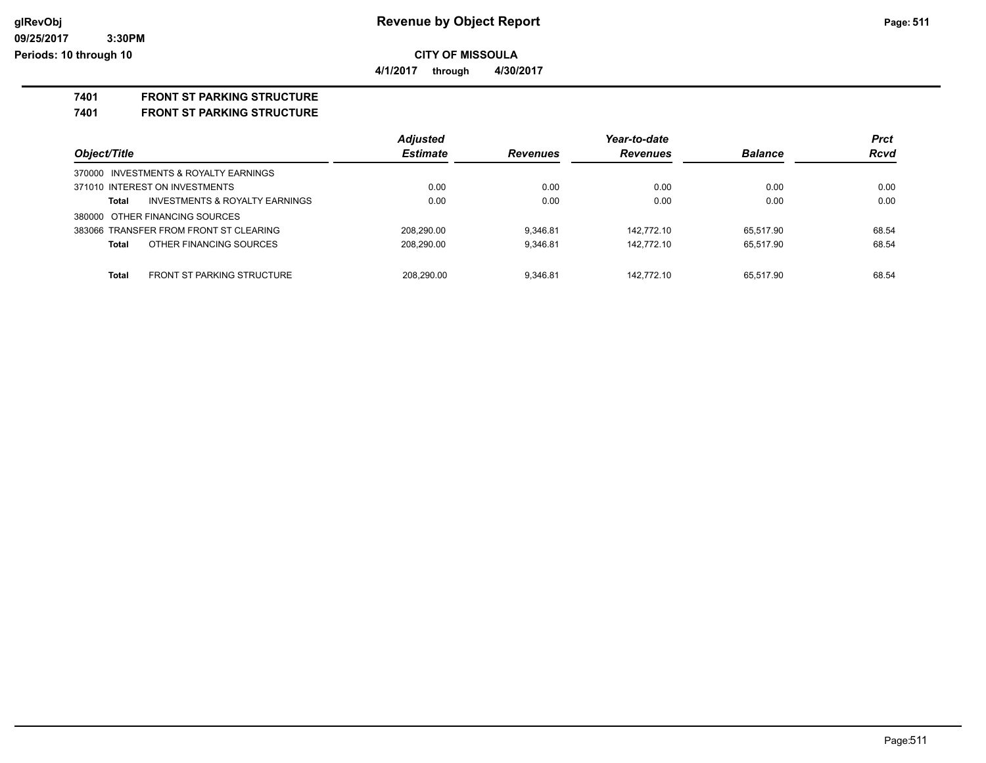**4/1/2017 through 4/30/2017**

# **7401 FRONT ST PARKING STRUCTURE**

**7401 FRONT ST PARKING STRUCTURE**

|                                                   | <b>Adjusted</b> |                 | Year-to-date    |                | <b>Prct</b> |
|---------------------------------------------------|-----------------|-----------------|-----------------|----------------|-------------|
| Object/Title                                      | <b>Estimate</b> | <b>Revenues</b> | <b>Revenues</b> | <b>Balance</b> | <b>Rcvd</b> |
| 370000 INVESTMENTS & ROYALTY EARNINGS             |                 |                 |                 |                |             |
| 371010 INTEREST ON INVESTMENTS                    | 0.00            | 0.00            | 0.00            | 0.00           | 0.00        |
| INVESTMENTS & ROYALTY EARNINGS<br><b>Total</b>    | 0.00            | 0.00            | 0.00            | 0.00           | 0.00        |
| 380000 OTHER FINANCING SOURCES                    |                 |                 |                 |                |             |
| 383066 TRANSFER FROM FRONT ST CLEARING            | 208.290.00      | 9.346.81        | 142.772.10      | 65.517.90      | 68.54       |
| OTHER FINANCING SOURCES<br><b>Total</b>           | 208.290.00      | 9.346.81        | 142.772.10      | 65.517.90      | 68.54       |
|                                                   |                 |                 |                 |                |             |
| <b>FRONT ST PARKING STRUCTURE</b><br><b>Total</b> | 208.290.00      | 9.346.81        | 142.772.10      | 65.517.90      | 68.54       |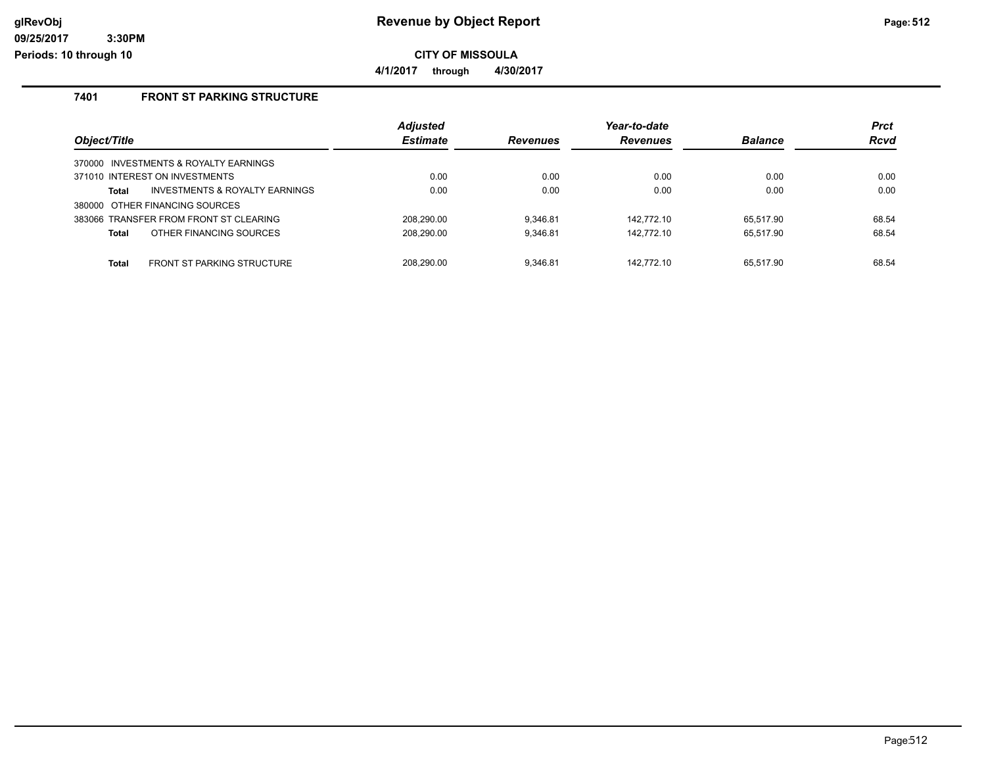**4/1/2017 through 4/30/2017**

# **7401 FRONT ST PARKING STRUCTURE**

| Object/Title                                       | <b>Adjusted</b><br><b>Estimate</b> | <b>Revenues</b> | Year-to-date<br><b>Revenues</b> | <b>Balance</b> | <b>Prct</b><br><b>Rcvd</b> |
|----------------------------------------------------|------------------------------------|-----------------|---------------------------------|----------------|----------------------------|
| 370000 INVESTMENTS & ROYALTY EARNINGS              |                                    |                 |                                 |                |                            |
| 371010 INTEREST ON INVESTMENTS                     | 0.00                               | 0.00            | 0.00                            | 0.00           | 0.00                       |
| <b>INVESTMENTS &amp; ROYALTY EARNINGS</b><br>Total | 0.00                               | 0.00            | 0.00                            | 0.00           | 0.00                       |
| 380000 OTHER FINANCING SOURCES                     |                                    |                 |                                 |                |                            |
| 383066 TRANSFER FROM FRONT ST CLEARING             | 208.290.00                         | 9.346.81        | 142.772.10                      | 65.517.90      | 68.54                      |
| OTHER FINANCING SOURCES<br>Total                   | 208.290.00                         | 9.346.81        | 142.772.10                      | 65.517.90      | 68.54                      |
|                                                    |                                    |                 |                                 |                |                            |
| <b>FRONT ST PARKING STRUCTURE</b><br><b>Total</b>  | 208.290.00                         | 9.346.81        | 142.772.10                      | 65.517.90      | 68.54                      |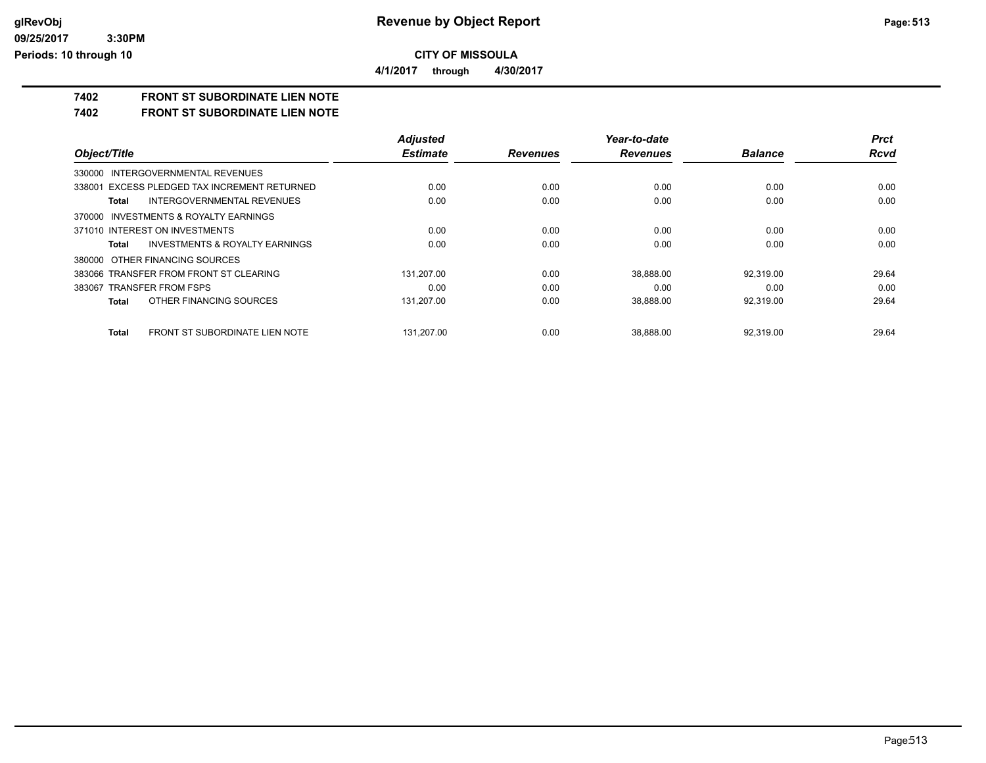**4/1/2017 through 4/30/2017**

# **7402 FRONT ST SUBORDINATE LIEN NOTE**

**7402 FRONT ST SUBORDINATE LIEN NOTE**

|                                                    | <b>Adjusted</b> |                 | Year-to-date    |                | <b>Prct</b> |
|----------------------------------------------------|-----------------|-----------------|-----------------|----------------|-------------|
| Object/Title                                       | <b>Estimate</b> | <b>Revenues</b> | <b>Revenues</b> | <b>Balance</b> | Rcvd        |
| 330000 INTERGOVERNMENTAL REVENUES                  |                 |                 |                 |                |             |
| 338001 EXCESS PLEDGED TAX INCREMENT RETURNED       | 0.00            | 0.00            | 0.00            | 0.00           | 0.00        |
| <b>INTERGOVERNMENTAL REVENUES</b><br>Total         | 0.00            | 0.00            | 0.00            | 0.00           | 0.00        |
| 370000 INVESTMENTS & ROYALTY EARNINGS              |                 |                 |                 |                |             |
| 371010 INTEREST ON INVESTMENTS                     | 0.00            | 0.00            | 0.00            | 0.00           | 0.00        |
| <b>INVESTMENTS &amp; ROYALTY EARNINGS</b><br>Total | 0.00            | 0.00            | 0.00            | 0.00           | 0.00        |
| 380000 OTHER FINANCING SOURCES                     |                 |                 |                 |                |             |
| 383066 TRANSFER FROM FRONT ST CLEARING             | 131.207.00      | 0.00            | 38,888.00       | 92.319.00      | 29.64       |
| 383067 TRANSFER FROM FSPS                          | 0.00            | 0.00            | 0.00            | 0.00           | 0.00        |
| OTHER FINANCING SOURCES<br>Total                   | 131,207.00      | 0.00            | 38,888.00       | 92.319.00      | 29.64       |
| FRONT ST SUBORDINATE LIEN NOTE<br><b>Total</b>     | 131.207.00      | 0.00            | 38.888.00       | 92.319.00      | 29.64       |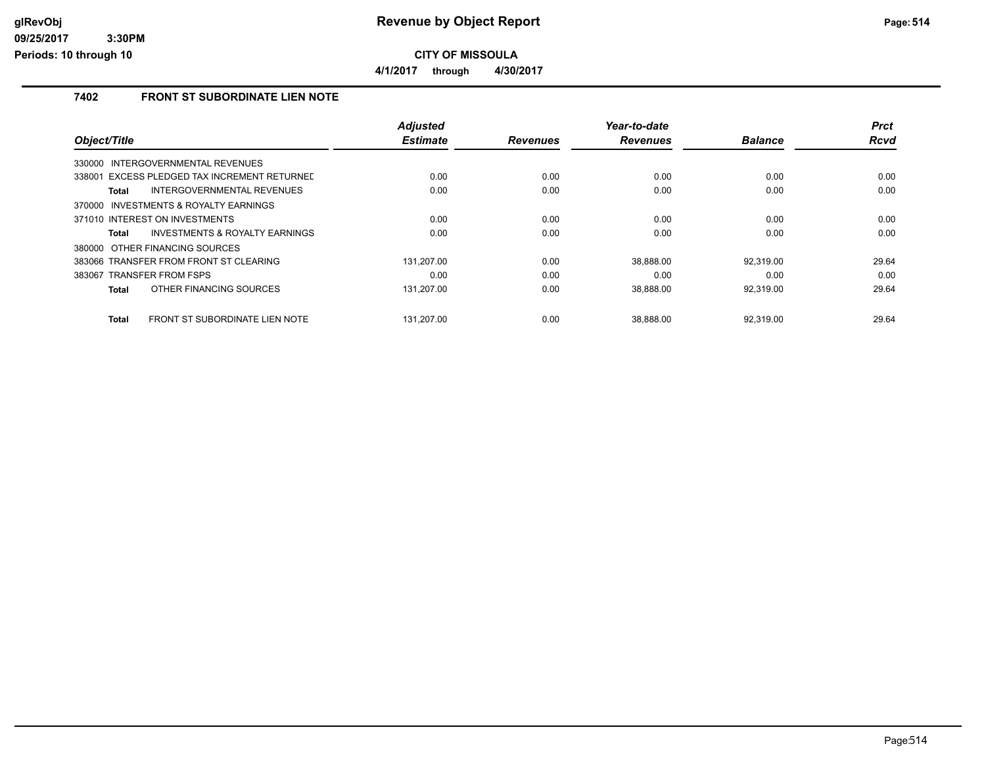**4/1/2017 through 4/30/2017**

# **7402 FRONT ST SUBORDINATE LIEN NOTE**

|                                                    | <b>Adjusted</b> |                 | Year-to-date    |                | <b>Prct</b> |
|----------------------------------------------------|-----------------|-----------------|-----------------|----------------|-------------|
| Object/Title                                       | <b>Estimate</b> | <b>Revenues</b> | <b>Revenues</b> | <b>Balance</b> | <b>Rcvd</b> |
| INTERGOVERNMENTAL REVENUES<br>330000               |                 |                 |                 |                |             |
| EXCESS PLEDGED TAX INCREMENT RETURNED<br>338001    | 0.00            | 0.00            | 0.00            | 0.00           | 0.00        |
| <b>INTERGOVERNMENTAL REVENUES</b><br>Total         | 0.00            | 0.00            | 0.00            | 0.00           | 0.00        |
| 370000 INVESTMENTS & ROYALTY EARNINGS              |                 |                 |                 |                |             |
| 371010 INTEREST ON INVESTMENTS                     | 0.00            | 0.00            | 0.00            | 0.00           | 0.00        |
| <b>INVESTMENTS &amp; ROYALTY EARNINGS</b><br>Total | 0.00            | 0.00            | 0.00            | 0.00           | 0.00        |
| 380000 OTHER FINANCING SOURCES                     |                 |                 |                 |                |             |
| 383066 TRANSFER FROM FRONT ST CLEARING             | 131.207.00      | 0.00            | 38,888.00       | 92.319.00      | 29.64       |
| 383067 TRANSFER FROM FSPS                          | 0.00            | 0.00            | 0.00            | 0.00           | 0.00        |
| OTHER FINANCING SOURCES<br>Total                   | 131,207.00      | 0.00            | 38,888.00       | 92.319.00      | 29.64       |
| FRONT ST SUBORDINATE LIEN NOTE<br>Total            | 131.207.00      | 0.00            | 38.888.00       | 92.319.00      | 29.64       |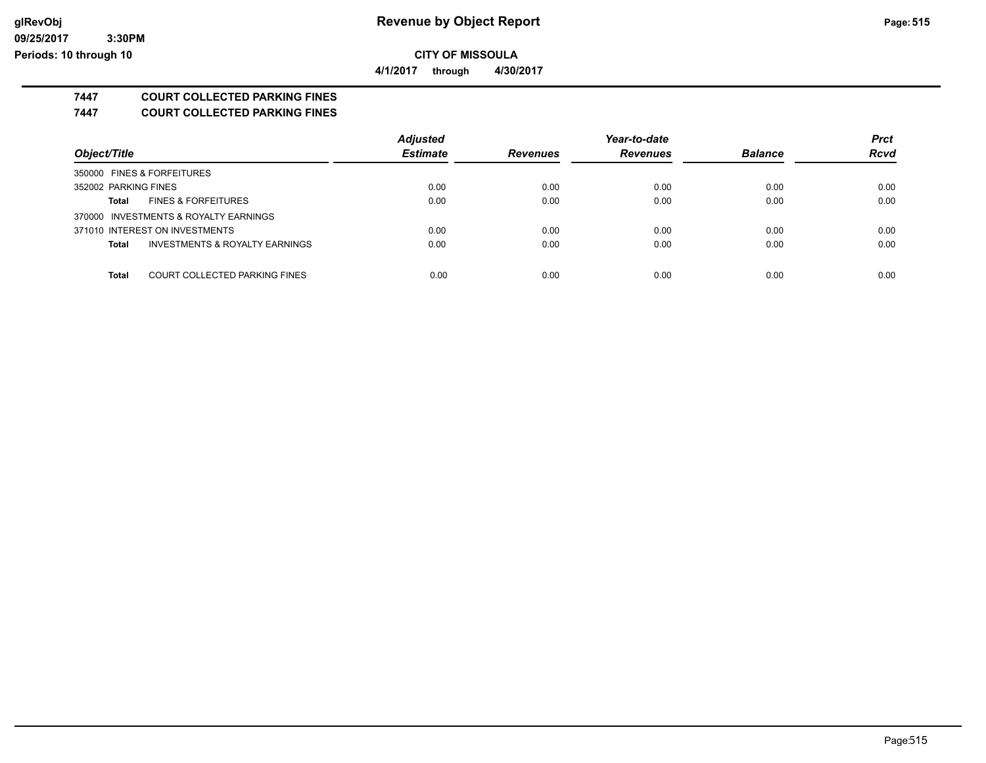**4/1/2017 through 4/30/2017**

# **7447 COURT COLLECTED PARKING FINES**

**7447 COURT COLLECTED PARKING FINES**

|                                                | <b>Adjusted</b> |                 | Year-to-date    |                | <b>Prct</b> |
|------------------------------------------------|-----------------|-----------------|-----------------|----------------|-------------|
| Object/Title                                   | <b>Estimate</b> | <b>Revenues</b> | <b>Revenues</b> | <b>Balance</b> | <b>Rcvd</b> |
| 350000 FINES & FORFEITURES                     |                 |                 |                 |                |             |
| 352002 PARKING FINES                           | 0.00            | 0.00            | 0.00            | 0.00           | 0.00        |
| <b>FINES &amp; FORFEITURES</b><br><b>Total</b> | 0.00            | 0.00            | 0.00            | 0.00           | 0.00        |
| 370000 INVESTMENTS & ROYALTY EARNINGS          |                 |                 |                 |                |             |
| 371010 INTEREST ON INVESTMENTS                 | 0.00            | 0.00            | 0.00            | 0.00           | 0.00        |
| INVESTMENTS & ROYALTY EARNINGS<br><b>Total</b> | 0.00            | 0.00            | 0.00            | 0.00           | 0.00        |
|                                                |                 |                 |                 |                |             |
| COURT COLLECTED PARKING FINES<br><b>Total</b>  | 0.00            | 0.00            | 0.00            | 0.00           | 0.00        |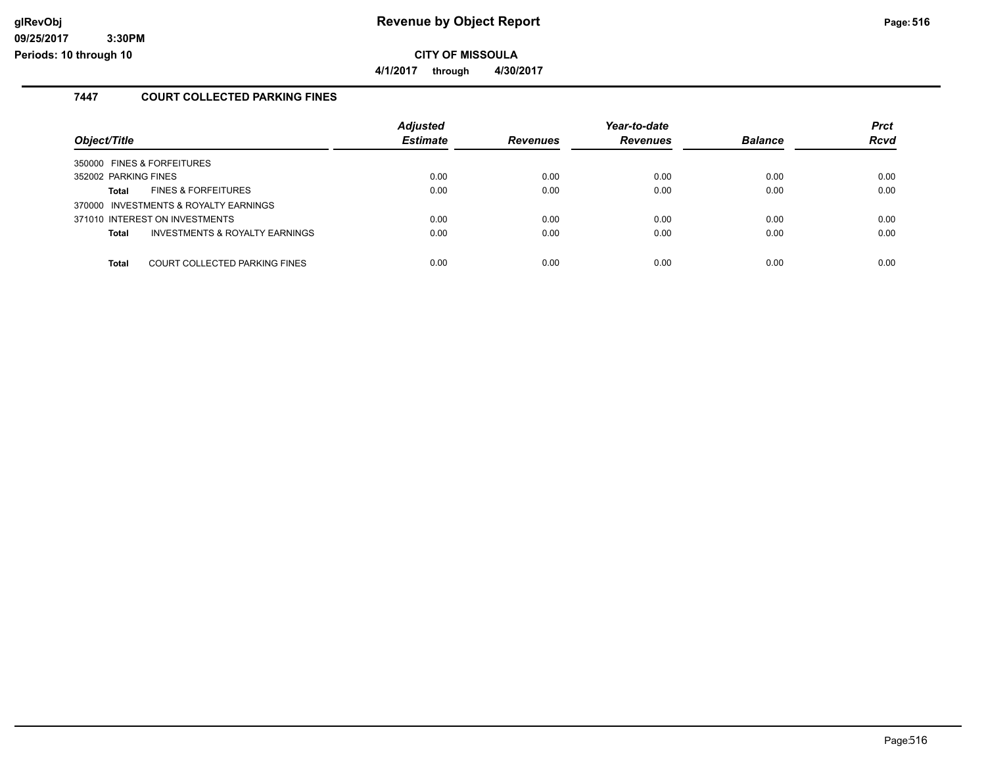**4/1/2017 through 4/30/2017**

## **7447 COURT COLLECTED PARKING FINES**

| Object/Title                                              | <b>Adjusted</b><br><b>Estimate</b> | <b>Revenues</b> | Year-to-date<br><b>Revenues</b> | <b>Balance</b> | <b>Prct</b><br><b>Rcvd</b> |
|-----------------------------------------------------------|------------------------------------|-----------------|---------------------------------|----------------|----------------------------|
| 350000 FINES & FORFEITURES                                |                                    |                 |                                 |                |                            |
| 352002 PARKING FINES                                      | 0.00                               | 0.00            | 0.00                            | 0.00           | 0.00                       |
| <b>FINES &amp; FORFEITURES</b><br>Total                   | 0.00                               | 0.00            | 0.00                            | 0.00           | 0.00                       |
| 370000 INVESTMENTS & ROYALTY EARNINGS                     |                                    |                 |                                 |                |                            |
| 371010 INTEREST ON INVESTMENTS                            | 0.00                               | 0.00            | 0.00                            | 0.00           | 0.00                       |
| <b>INVESTMENTS &amp; ROYALTY EARNINGS</b><br><b>Total</b> | 0.00                               | 0.00            | 0.00                            | 0.00           | 0.00                       |
|                                                           |                                    |                 |                                 |                |                            |
| COURT COLLECTED PARKING FINES<br><b>Total</b>             | 0.00                               | 0.00            | 0.00                            | 0.00           | 0.00                       |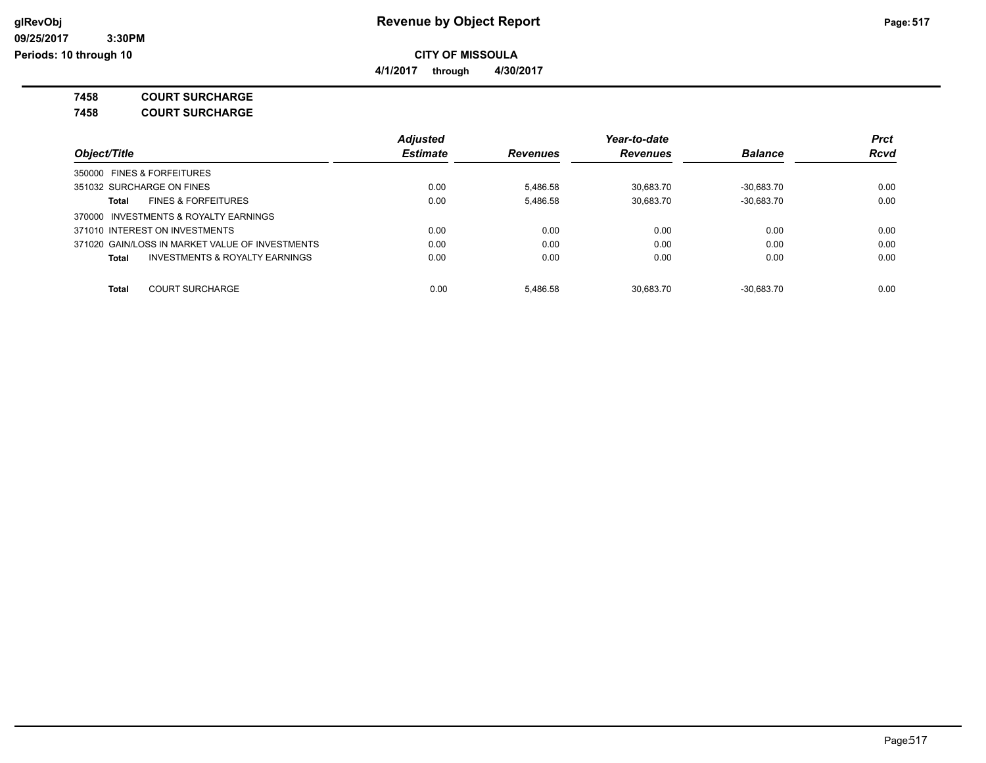**4/1/2017 through 4/30/2017**

**7458 COURT SURCHARGE**

**7458 COURT SURCHARGE**

|                                                 | <b>Adjusted</b> |                 | Year-to-date    |                | <b>Prct</b> |
|-------------------------------------------------|-----------------|-----------------|-----------------|----------------|-------------|
| Object/Title                                    | <b>Estimate</b> | <b>Revenues</b> | <b>Revenues</b> | <b>Balance</b> | <b>Rcvd</b> |
| 350000 FINES & FORFEITURES                      |                 |                 |                 |                |             |
| 351032 SURCHARGE ON FINES                       | 0.00            | 5.486.58        | 30.683.70       | $-30.683.70$   | 0.00        |
| <b>FINES &amp; FORFEITURES</b><br>Total         | 0.00            | 5.486.58        | 30.683.70       | $-30.683.70$   | 0.00        |
| 370000 INVESTMENTS & ROYALTY EARNINGS           |                 |                 |                 |                |             |
| 371010 INTEREST ON INVESTMENTS                  | 0.00            | 0.00            | 0.00            | 0.00           | 0.00        |
| 371020 GAIN/LOSS IN MARKET VALUE OF INVESTMENTS | 0.00            | 0.00            | 0.00            | 0.00           | 0.00        |
| INVESTMENTS & ROYALTY EARNINGS<br>Total         | 0.00            | 0.00            | 0.00            | 0.00           | 0.00        |
|                                                 |                 |                 |                 |                |             |
| <b>COURT SURCHARGE</b><br>Total                 | 0.00            | 5.486.58        | 30.683.70       | $-30.683.70$   | 0.00        |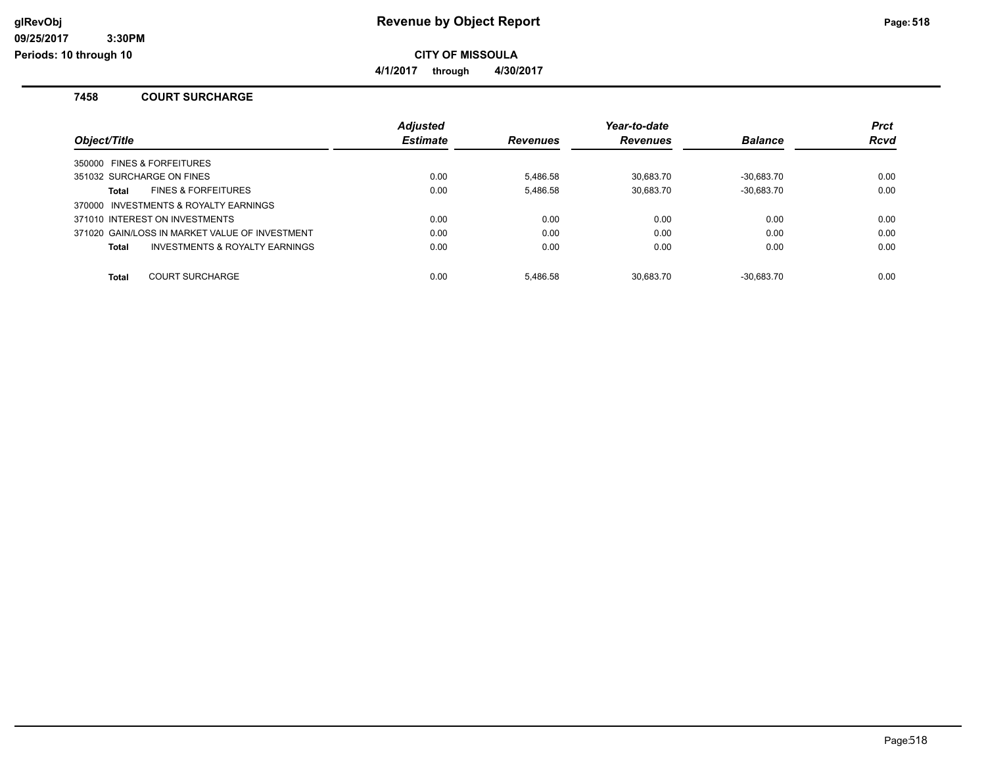**Periods: 10 through 10**

**CITY OF MISSOULA**

**4/1/2017 through 4/30/2017**

#### **7458 COURT SURCHARGE**

|                                                | <b>Adjusted</b> |                 | Year-to-date    |                | <b>Prct</b> |
|------------------------------------------------|-----------------|-----------------|-----------------|----------------|-------------|
| Object/Title                                   | <b>Estimate</b> | <b>Revenues</b> | <b>Revenues</b> | <b>Balance</b> | <b>Rcvd</b> |
| 350000 FINES & FORFEITURES                     |                 |                 |                 |                |             |
| 351032 SURCHARGE ON FINES                      | 0.00            | 5.486.58        | 30.683.70       | $-30.683.70$   | 0.00        |
| <b>FINES &amp; FORFEITURES</b><br>Total        | 0.00            | 5.486.58        | 30.683.70       | $-30.683.70$   | 0.00        |
| 370000 INVESTMENTS & ROYALTY EARNINGS          |                 |                 |                 |                |             |
| 371010 INTEREST ON INVESTMENTS                 | 0.00            | 0.00            | 0.00            | 0.00           | 0.00        |
| 371020 GAIN/LOSS IN MARKET VALUE OF INVESTMENT | 0.00            | 0.00            | 0.00            | 0.00           | 0.00        |
| INVESTMENTS & ROYALTY EARNINGS<br>Total        | 0.00            | 0.00            | 0.00            | 0.00           | 0.00        |
|                                                |                 |                 |                 |                |             |
| <b>Total</b><br><b>COURT SURCHARGE</b>         | 0.00            | 5.486.58        | 30.683.70       | $-30.683.70$   | 0.00        |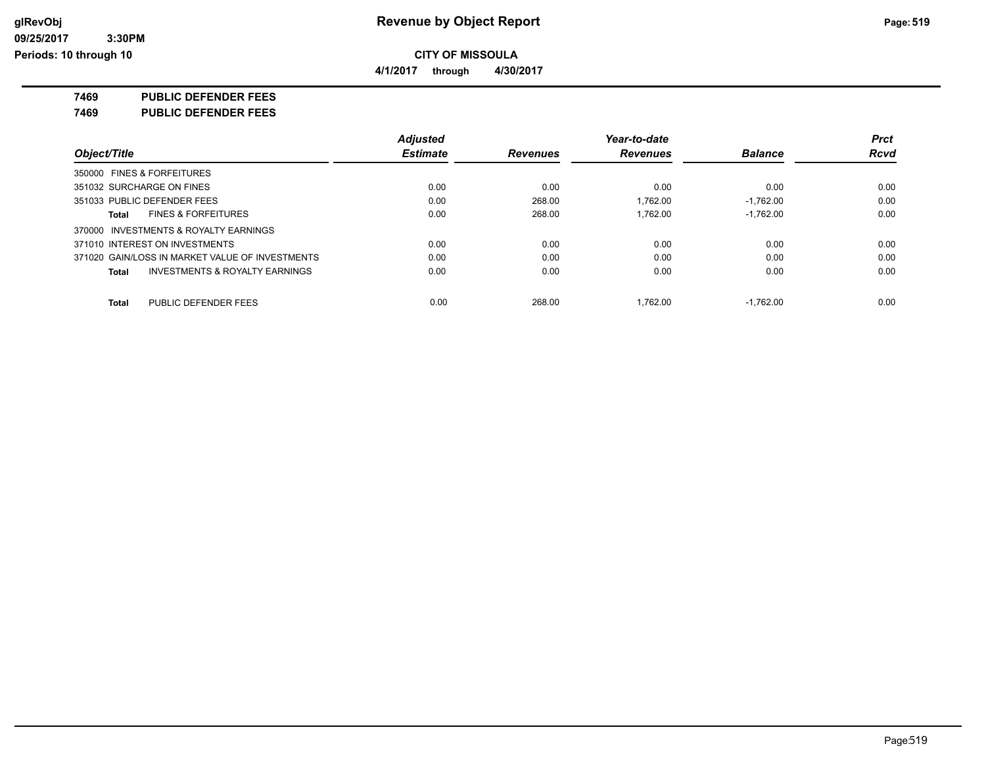**4/1/2017 through 4/30/2017**

**7469 PUBLIC DEFENDER FEES**

**7469 PUBLIC DEFENDER FEES**

|                                                 | <b>Adjusted</b> |                 | Year-to-date    |                | <b>Prct</b> |
|-------------------------------------------------|-----------------|-----------------|-----------------|----------------|-------------|
| Object/Title                                    | <b>Estimate</b> | <b>Revenues</b> | <b>Revenues</b> | <b>Balance</b> | Rcvd        |
| 350000 FINES & FORFEITURES                      |                 |                 |                 |                |             |
| 351032 SURCHARGE ON FINES                       | 0.00            | 0.00            | 0.00            | 0.00           | 0.00        |
| 351033 PUBLIC DEFENDER FEES                     | 0.00            | 268.00          | 1.762.00        | $-1.762.00$    | 0.00        |
| <b>FINES &amp; FORFEITURES</b><br>Total         | 0.00            | 268.00          | 1.762.00        | $-1.762.00$    | 0.00        |
| 370000 INVESTMENTS & ROYALTY EARNINGS           |                 |                 |                 |                |             |
| 371010 INTEREST ON INVESTMENTS                  | 0.00            | 0.00            | 0.00            | 0.00           | 0.00        |
| 371020 GAIN/LOSS IN MARKET VALUE OF INVESTMENTS | 0.00            | 0.00            | 0.00            | 0.00           | 0.00        |
| INVESTMENTS & ROYALTY EARNINGS<br>Total         | 0.00            | 0.00            | 0.00            | 0.00           | 0.00        |
| PUBLIC DEFENDER FEES<br><b>Total</b>            | 0.00            | 268.00          | 1.762.00        | $-1.762.00$    | 0.00        |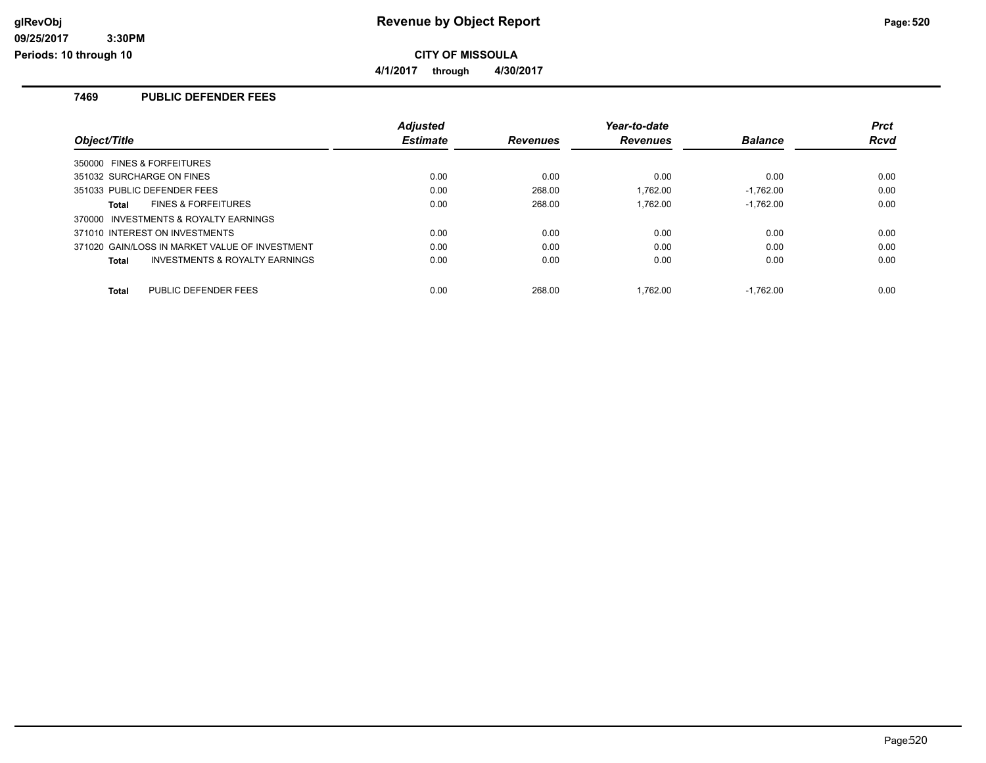**4/1/2017 through 4/30/2017**

## **7469 PUBLIC DEFENDER FEES**

|                                                | <b>Adjusted</b> |                 | Year-to-date    |                | <b>Prct</b> |
|------------------------------------------------|-----------------|-----------------|-----------------|----------------|-------------|
| Object/Title                                   | <b>Estimate</b> | <b>Revenues</b> | <b>Revenues</b> | <b>Balance</b> | <b>Rcvd</b> |
| 350000 FINES & FORFEITURES                     |                 |                 |                 |                |             |
| 351032 SURCHARGE ON FINES                      | 0.00            | 0.00            | 0.00            | 0.00           | 0.00        |
| 351033 PUBLIC DEFENDER FEES                    | 0.00            | 268.00          | 1.762.00        | $-1.762.00$    | 0.00        |
| <b>FINES &amp; FORFEITURES</b><br><b>Total</b> | 0.00            | 268.00          | 1.762.00        | $-1.762.00$    | 0.00        |
| 370000 INVESTMENTS & ROYALTY EARNINGS          |                 |                 |                 |                |             |
| 371010 INTEREST ON INVESTMENTS                 | 0.00            | 0.00            | 0.00            | 0.00           | 0.00        |
| 371020 GAIN/LOSS IN MARKET VALUE OF INVESTMENT | 0.00            | 0.00            | 0.00            | 0.00           | 0.00        |
| INVESTMENTS & ROYALTY EARNINGS<br><b>Total</b> | 0.00            | 0.00            | 0.00            | 0.00           | 0.00        |
| PUBLIC DEFENDER FEES<br><b>Total</b>           | 0.00            | 268.00          | 1.762.00        | $-1.762.00$    | 0.00        |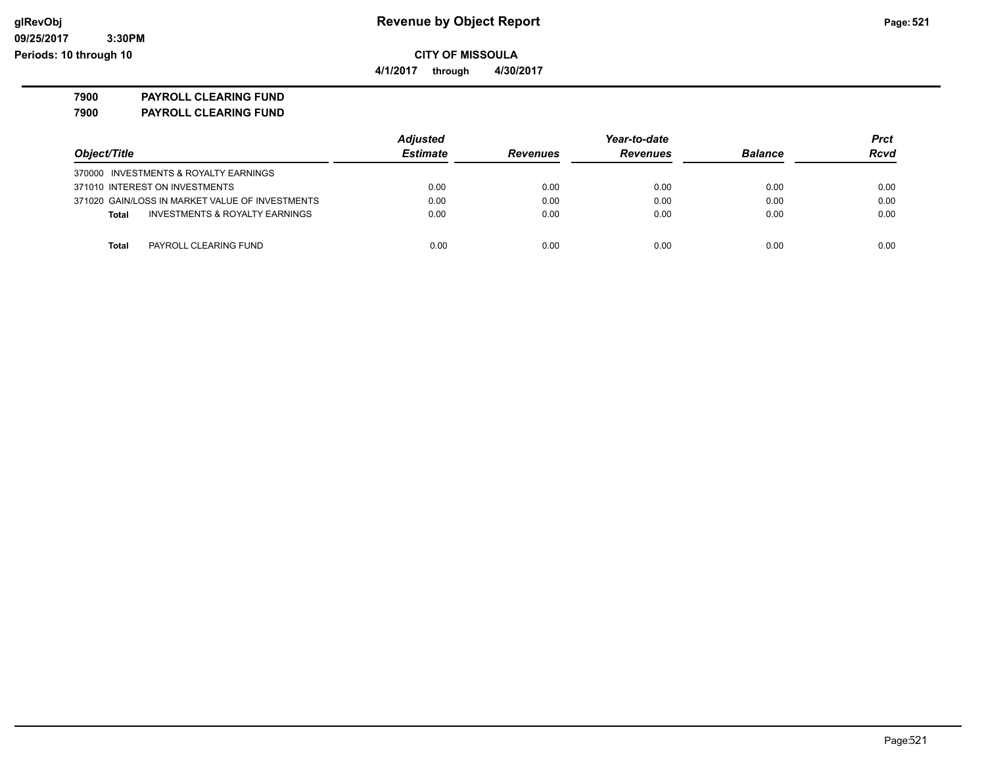**4/1/2017 through 4/30/2017**

**7900 PAYROLL CLEARING FUND**

**7900 PAYROLL CLEARING FUND**

|                                                           | <b>Adjusted</b> |                 | Year-to-date    |                |      |
|-----------------------------------------------------------|-----------------|-----------------|-----------------|----------------|------|
| Object/Title                                              | <b>Estimate</b> | <b>Revenues</b> | <b>Revenues</b> | <b>Balance</b> | Rcvd |
| 370000 INVESTMENTS & ROYALTY EARNINGS                     |                 |                 |                 |                |      |
| 371010 INTEREST ON INVESTMENTS                            | 0.00            | 0.00            | 0.00            | 0.00           | 0.00 |
| 371020 GAIN/LOSS IN MARKET VALUE OF INVESTMENTS           | 0.00            | 0.00            | 0.00            | 0.00           | 0.00 |
| <b>INVESTMENTS &amp; ROYALTY EARNINGS</b><br><b>Total</b> | 0.00            | 0.00            | 0.00            | 0.00           | 0.00 |
|                                                           |                 |                 |                 |                |      |
| <b>Total</b><br>PAYROLL CLEARING FUND                     | 0.00            | 0.00            | 0.00            | 0.00           | 0.00 |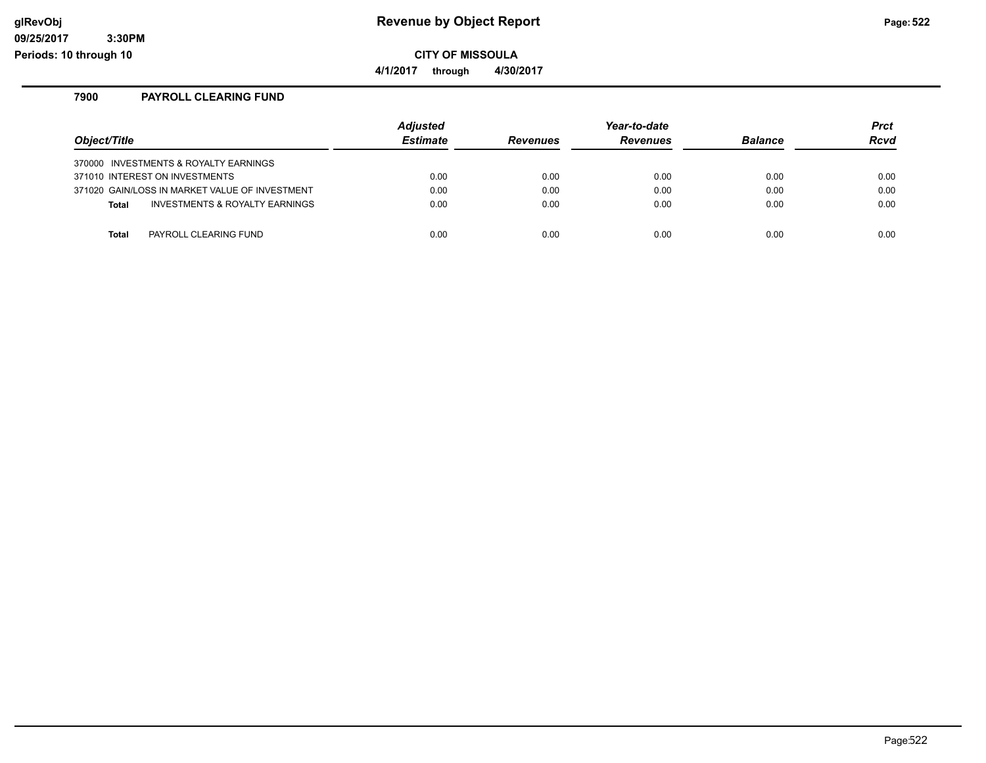**Periods: 10 through 10**

**CITY OF MISSOULA**

**4/1/2017 through 4/30/2017**

#### **7900 PAYROLL CLEARING FUND**

| Object/Title                          |                                                | <b>Adjusted</b><br><b>Estimate</b> | <b>Revenues</b> | Year-to-date<br><b>Revenues</b> | <b>Balance</b> | <b>Prct</b><br><b>Rcvd</b> |
|---------------------------------------|------------------------------------------------|------------------------------------|-----------------|---------------------------------|----------------|----------------------------|
| 370000 INVESTMENTS & ROYALTY EARNINGS |                                                |                                    |                 |                                 |                |                            |
| 371010 INTEREST ON INVESTMENTS        |                                                | 0.00                               | 0.00            | 0.00                            | 0.00           | 0.00                       |
|                                       | 371020 GAIN/LOSS IN MARKET VALUE OF INVESTMENT | 0.00                               | 0.00            | 0.00                            | 0.00           | 0.00                       |
| <b>Total</b>                          | <b>INVESTMENTS &amp; ROYALTY EARNINGS</b>      | 0.00                               | 0.00            | 0.00                            | 0.00           | 0.00                       |
|                                       |                                                |                                    |                 |                                 |                |                            |
| Total                                 | PAYROLL CLEARING FUND                          | 0.00                               | 0.00            | 0.00                            | 0.00           | 0.00                       |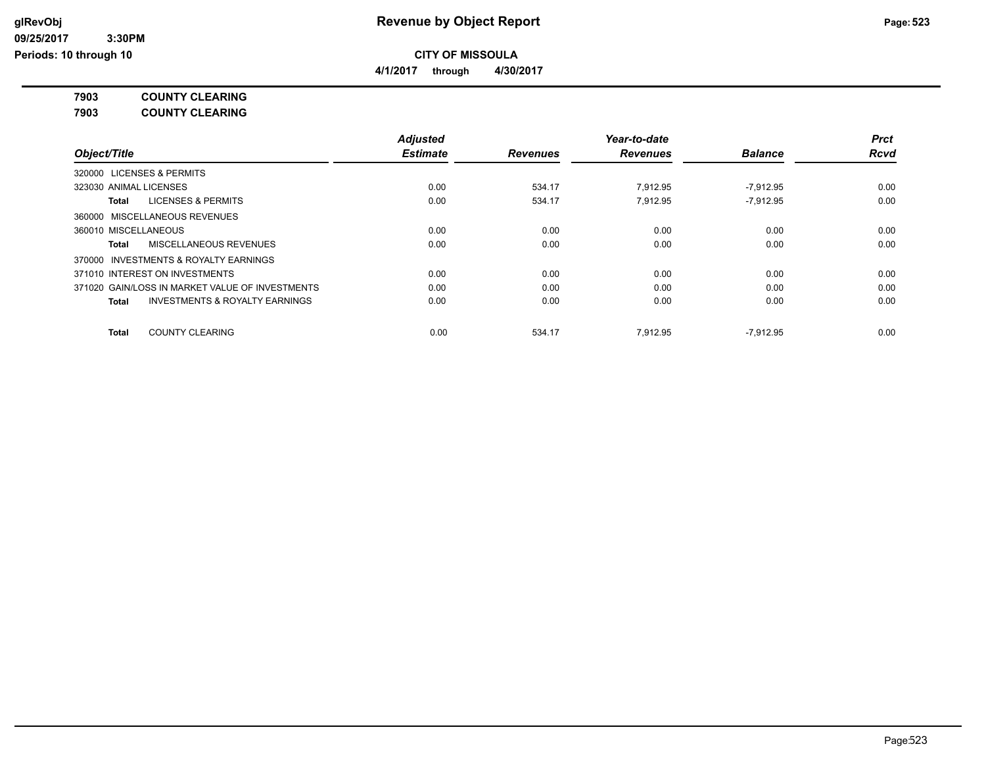**4/1/2017 through 4/30/2017**

**7903 COUNTY CLEARING**

**7903 COUNTY CLEARING**

|                                                    | <b>Adjusted</b> |                 | Year-to-date    |                | <b>Prct</b> |
|----------------------------------------------------|-----------------|-----------------|-----------------|----------------|-------------|
| Object/Title                                       | <b>Estimate</b> | <b>Revenues</b> | <b>Revenues</b> | <b>Balance</b> | <b>Rcvd</b> |
| 320000 LICENSES & PERMITS                          |                 |                 |                 |                |             |
| 323030 ANIMAL LICENSES                             | 0.00            | 534.17          | 7.912.95        | $-7.912.95$    | 0.00        |
| <b>LICENSES &amp; PERMITS</b><br>Total             | 0.00            | 534.17          | 7,912.95        | $-7,912.95$    | 0.00        |
| 360000 MISCELLANEOUS REVENUES                      |                 |                 |                 |                |             |
| 360010 MISCELLANEOUS                               | 0.00            | 0.00            | 0.00            | 0.00           | 0.00        |
| MISCELLANEOUS REVENUES<br>Total                    | 0.00            | 0.00            | 0.00            | 0.00           | 0.00        |
| 370000 INVESTMENTS & ROYALTY EARNINGS              |                 |                 |                 |                |             |
| 371010 INTEREST ON INVESTMENTS                     | 0.00            | 0.00            | 0.00            | 0.00           | 0.00        |
| 371020 GAIN/LOSS IN MARKET VALUE OF INVESTMENTS    | 0.00            | 0.00            | 0.00            | 0.00           | 0.00        |
| <b>INVESTMENTS &amp; ROYALTY EARNINGS</b><br>Total | 0.00            | 0.00            | 0.00            | 0.00           | 0.00        |
| <b>COUNTY CLEARING</b><br><b>Total</b>             | 0.00            | 534.17          | 7.912.95        | $-7.912.95$    | 0.00        |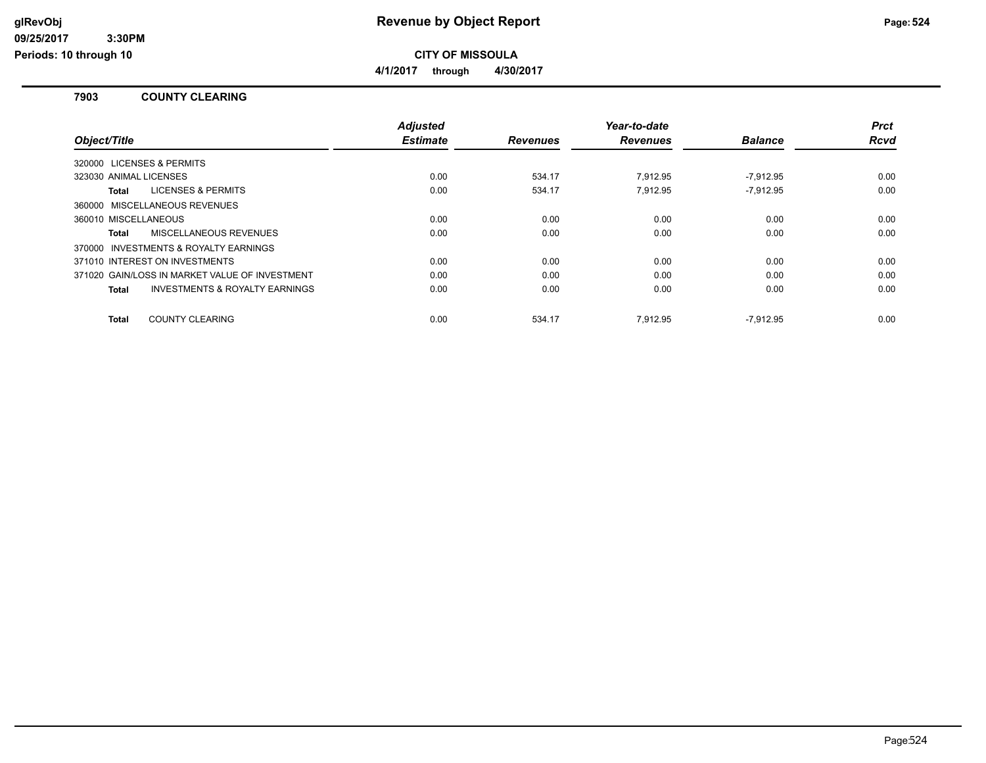**4/1/2017 through 4/30/2017**

#### **7903 COUNTY CLEARING**

| Object/Title                                              | <b>Adjusted</b><br><b>Estimate</b> | <b>Revenues</b> | Year-to-date<br><b>Revenues</b> | <b>Balance</b> | <b>Prct</b><br>Rcvd |
|-----------------------------------------------------------|------------------------------------|-----------------|---------------------------------|----------------|---------------------|
|                                                           |                                    |                 |                                 |                |                     |
| 320000 LICENSES & PERMITS                                 |                                    |                 |                                 |                |                     |
| 323030 ANIMAL LICENSES                                    | 0.00                               | 534.17          | 7.912.95                        | $-7,912.95$    | 0.00                |
| <b>LICENSES &amp; PERMITS</b><br>Total                    | 0.00                               | 534.17          | 7.912.95                        | $-7.912.95$    | 0.00                |
| 360000 MISCELLANEOUS REVENUES                             |                                    |                 |                                 |                |                     |
| 360010 MISCELLANEOUS                                      | 0.00                               | 0.00            | 0.00                            | 0.00           | 0.00                |
| MISCELLANEOUS REVENUES<br>Total                           | 0.00                               | 0.00            | 0.00                            | 0.00           | 0.00                |
| 370000 INVESTMENTS & ROYALTY EARNINGS                     |                                    |                 |                                 |                |                     |
| 371010 INTEREST ON INVESTMENTS                            | 0.00                               | 0.00            | 0.00                            | 0.00           | 0.00                |
| 371020 GAIN/LOSS IN MARKET VALUE OF INVESTMENT            | 0.00                               | 0.00            | 0.00                            | 0.00           | 0.00                |
| <b>INVESTMENTS &amp; ROYALTY EARNINGS</b><br><b>Total</b> | 0.00                               | 0.00            | 0.00                            | 0.00           | 0.00                |
| <b>COUNTY CLEARING</b><br><b>Total</b>                    | 0.00                               | 534.17          | 7.912.95                        | $-7.912.95$    | 0.00                |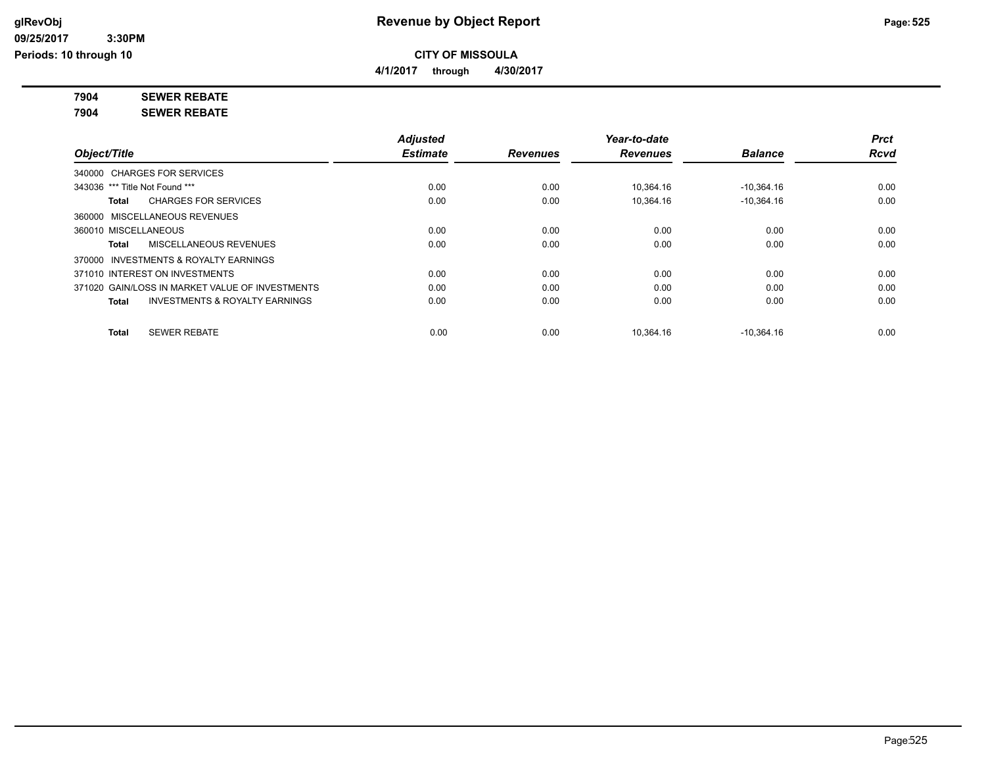**4/1/2017 through 4/30/2017**

**7904 SEWER REBATE**

**7904 SEWER REBATE**

|                                                    | <b>Adjusted</b> |                 | Year-to-date    |                | <b>Prct</b> |
|----------------------------------------------------|-----------------|-----------------|-----------------|----------------|-------------|
| Object/Title                                       | <b>Estimate</b> | <b>Revenues</b> | <b>Revenues</b> | <b>Balance</b> | <b>Rcvd</b> |
| 340000 CHARGES FOR SERVICES                        |                 |                 |                 |                |             |
| 343036 *** Title Not Found ***                     | 0.00            | 0.00            | 10,364.16       | $-10,364.16$   | 0.00        |
| <b>CHARGES FOR SERVICES</b><br>Total               | 0.00            | 0.00            | 10.364.16       | $-10.364.16$   | 0.00        |
| 360000 MISCELLANEOUS REVENUES                      |                 |                 |                 |                |             |
| 360010 MISCELLANEOUS                               | 0.00            | 0.00            | 0.00            | 0.00           | 0.00        |
| MISCELLANEOUS REVENUES<br>Total                    | 0.00            | 0.00            | 0.00            | 0.00           | 0.00        |
| 370000 INVESTMENTS & ROYALTY EARNINGS              |                 |                 |                 |                |             |
| 371010 INTEREST ON INVESTMENTS                     | 0.00            | 0.00            | 0.00            | 0.00           | 0.00        |
| 371020 GAIN/LOSS IN MARKET VALUE OF INVESTMENTS    | 0.00            | 0.00            | 0.00            | 0.00           | 0.00        |
| <b>INVESTMENTS &amp; ROYALTY EARNINGS</b><br>Total | 0.00            | 0.00            | 0.00            | 0.00           | 0.00        |
| <b>SEWER REBATE</b><br><b>Total</b>                | 0.00            | 0.00            | 10.364.16       | $-10.364.16$   | 0.00        |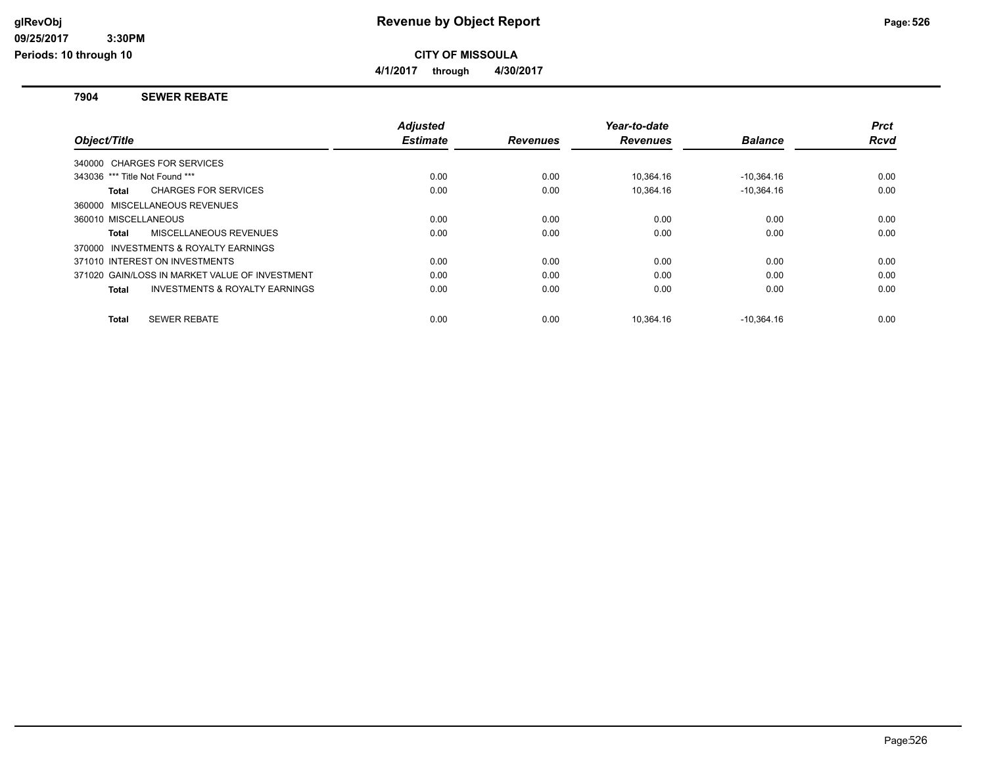**Periods: 10 through 10**

**CITY OF MISSOULA**

**4/1/2017 through 4/30/2017**

#### **7904 SEWER REBATE**

|                                                    | <b>Adjusted</b> |                 | Year-to-date    |                | <b>Prct</b> |
|----------------------------------------------------|-----------------|-----------------|-----------------|----------------|-------------|
| Object/Title                                       | <b>Estimate</b> | <b>Revenues</b> | <b>Revenues</b> | <b>Balance</b> | <b>Rcvd</b> |
| 340000 CHARGES FOR SERVICES                        |                 |                 |                 |                |             |
| 343036 *** Title Not Found ***                     | 0.00            | 0.00            | 10,364.16       | $-10,364.16$   | 0.00        |
| <b>CHARGES FOR SERVICES</b><br>Total               | 0.00            | 0.00            | 10,364.16       | $-10,364.16$   | 0.00        |
| 360000 MISCELLANEOUS REVENUES                      |                 |                 |                 |                |             |
| 360010 MISCELLANEOUS                               | 0.00            | 0.00            | 0.00            | 0.00           | 0.00        |
| MISCELLANEOUS REVENUES<br><b>Total</b>             | 0.00            | 0.00            | 0.00            | 0.00           | 0.00        |
| 370000 INVESTMENTS & ROYALTY EARNINGS              |                 |                 |                 |                |             |
| 371010 INTEREST ON INVESTMENTS                     | 0.00            | 0.00            | 0.00            | 0.00           | 0.00        |
| 371020 GAIN/LOSS IN MARKET VALUE OF INVESTMENT     | 0.00            | 0.00            | 0.00            | 0.00           | 0.00        |
| <b>INVESTMENTS &amp; ROYALTY EARNINGS</b><br>Total | 0.00            | 0.00            | 0.00            | 0.00           | 0.00        |
| <b>SEWER REBATE</b><br><b>Total</b>                | 0.00            | 0.00            | 10.364.16       | $-10.364.16$   | 0.00        |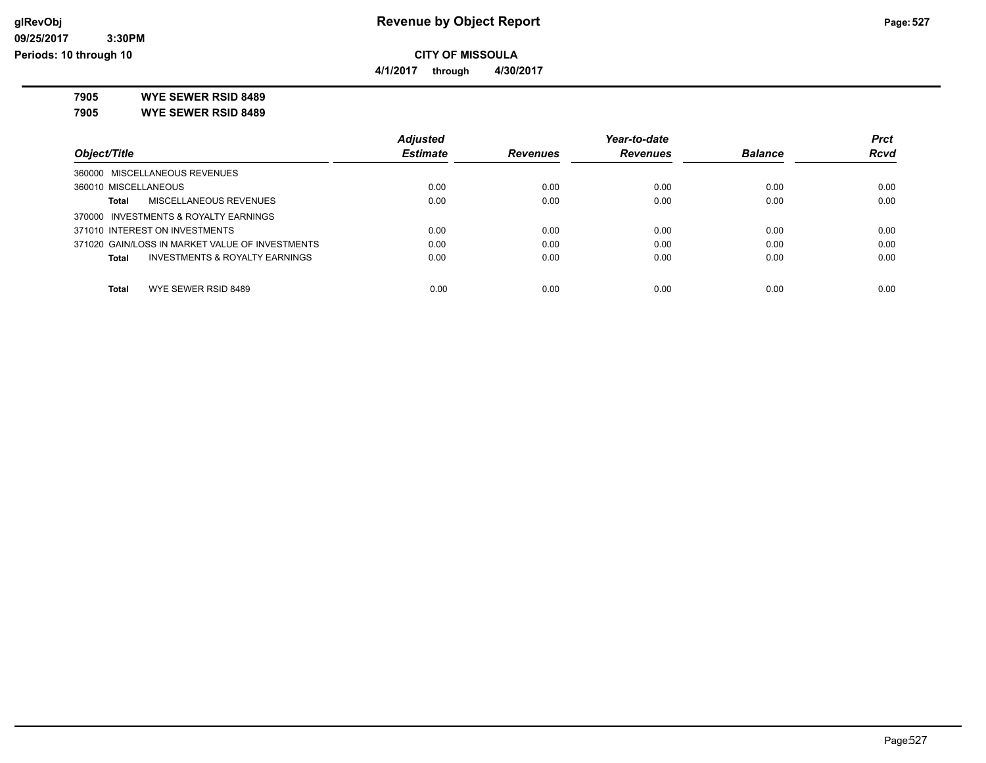**4/1/2017 through 4/30/2017**

**7905 WYE SEWER RSID 8489**

**7905 WYE SEWER RSID 8489**

|                                                 | <b>Adjusted</b> |                 | Year-to-date    |                | Prct        |
|-------------------------------------------------|-----------------|-----------------|-----------------|----------------|-------------|
| Object/Title                                    | <b>Estimate</b> | <b>Revenues</b> | <b>Revenues</b> | <b>Balance</b> | <b>Rcvd</b> |
| 360000 MISCELLANEOUS REVENUES                   |                 |                 |                 |                |             |
| 360010 MISCELLANEOUS                            | 0.00            | 0.00            | 0.00            | 0.00           | 0.00        |
| <b>MISCELLANEOUS REVENUES</b><br>Total          | 0.00            | 0.00            | 0.00            | 0.00           | 0.00        |
| 370000 INVESTMENTS & ROYALTY EARNINGS           |                 |                 |                 |                |             |
| 371010 INTEREST ON INVESTMENTS                  | 0.00            | 0.00            | 0.00            | 0.00           | 0.00        |
| 371020 GAIN/LOSS IN MARKET VALUE OF INVESTMENTS | 0.00            | 0.00            | 0.00            | 0.00           | 0.00        |
| INVESTMENTS & ROYALTY EARNINGS<br><b>Total</b>  | 0.00            | 0.00            | 0.00            | 0.00           | 0.00        |
|                                                 |                 |                 |                 |                |             |
| WYE SEWER RSID 8489<br><b>Total</b>             | 0.00            | 0.00            | 0.00            | 0.00           | 0.00        |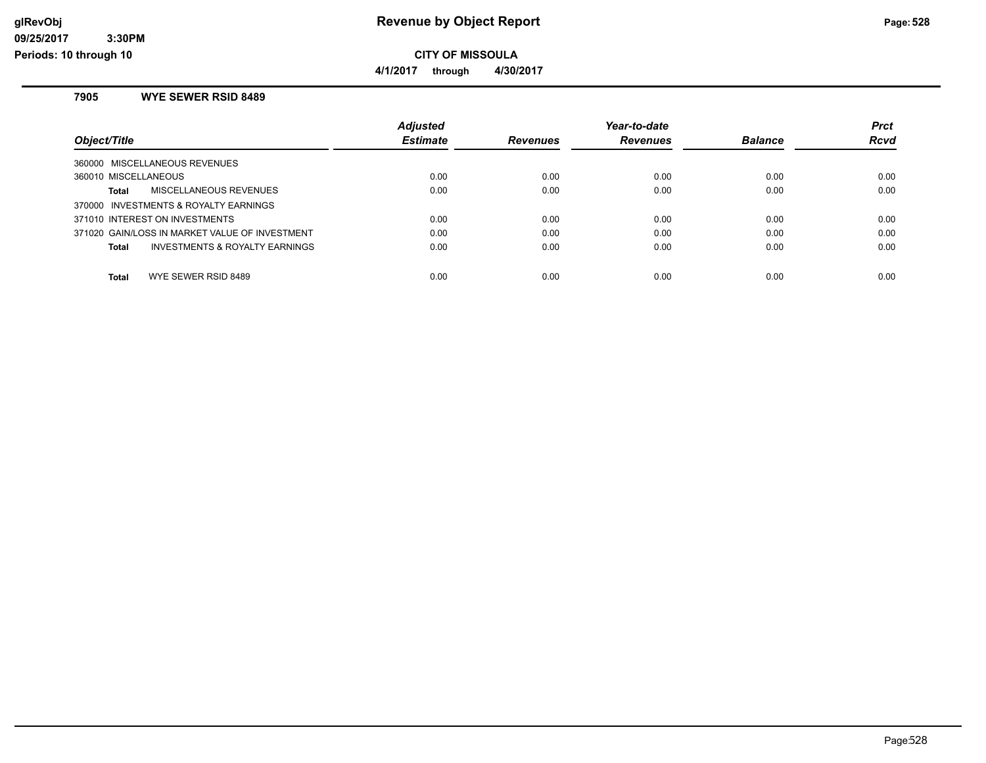**4/1/2017 through 4/30/2017**

#### **7905 WYE SEWER RSID 8489**

|                                                    | <b>Adjusted</b> |                 | Year-to-date    |                | <b>Prct</b> |
|----------------------------------------------------|-----------------|-----------------|-----------------|----------------|-------------|
| Object/Title                                       | <b>Estimate</b> | <b>Revenues</b> | <b>Revenues</b> | <b>Balance</b> | <b>Rcvd</b> |
| 360000 MISCELLANEOUS REVENUES                      |                 |                 |                 |                |             |
| 360010 MISCELLANEOUS                               | 0.00            | 0.00            | 0.00            | 0.00           | 0.00        |
| MISCELLANEOUS REVENUES<br>Total                    | 0.00            | 0.00            | 0.00            | 0.00           | 0.00        |
| 370000 INVESTMENTS & ROYALTY EARNINGS              |                 |                 |                 |                |             |
| 371010 INTEREST ON INVESTMENTS                     | 0.00            | 0.00            | 0.00            | 0.00           | 0.00        |
| 371020 GAIN/LOSS IN MARKET VALUE OF INVESTMENT     | 0.00            | 0.00            | 0.00            | 0.00           | 0.00        |
| <b>INVESTMENTS &amp; ROYALTY EARNINGS</b><br>Total | 0.00            | 0.00            | 0.00            | 0.00           | 0.00        |
| <b>Total</b><br>WYE SEWER RSID 8489                | 0.00            | 0.00            | 0.00            | 0.00           | 0.00        |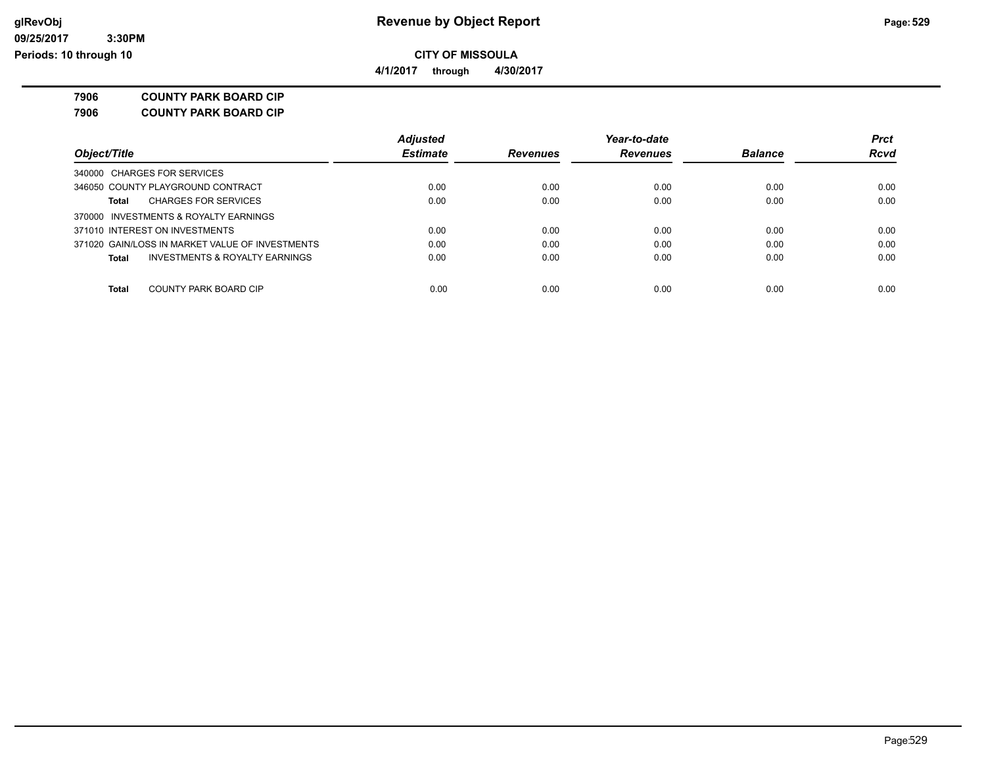**4/1/2017 through 4/30/2017**

**7906 COUNTY PARK BOARD CIP**

**7906 COUNTY PARK BOARD CIP**

|                                                 | <b>Adjusted</b> |                 | Year-to-date    |                | Prct        |
|-------------------------------------------------|-----------------|-----------------|-----------------|----------------|-------------|
| Object/Title                                    | <b>Estimate</b> | <b>Revenues</b> | <b>Revenues</b> | <b>Balance</b> | <b>Rcvd</b> |
| 340000 CHARGES FOR SERVICES                     |                 |                 |                 |                |             |
| 346050 COUNTY PLAYGROUND CONTRACT               | 0.00            | 0.00            | 0.00            | 0.00           | 0.00        |
| <b>CHARGES FOR SERVICES</b><br>Total            | 0.00            | 0.00            | 0.00            | 0.00           | 0.00        |
| 370000 INVESTMENTS & ROYALTY EARNINGS           |                 |                 |                 |                |             |
| 371010 INTEREST ON INVESTMENTS                  | 0.00            | 0.00            | 0.00            | 0.00           | 0.00        |
| 371020 GAIN/LOSS IN MARKET VALUE OF INVESTMENTS | 0.00            | 0.00            | 0.00            | 0.00           | 0.00        |
| INVESTMENTS & ROYALTY EARNINGS<br>Total         | 0.00            | 0.00            | 0.00            | 0.00           | 0.00        |
|                                                 |                 |                 |                 |                |             |
| COUNTY PARK BOARD CIP<br>Total                  | 0.00            | 0.00            | 0.00            | 0.00           | 0.00        |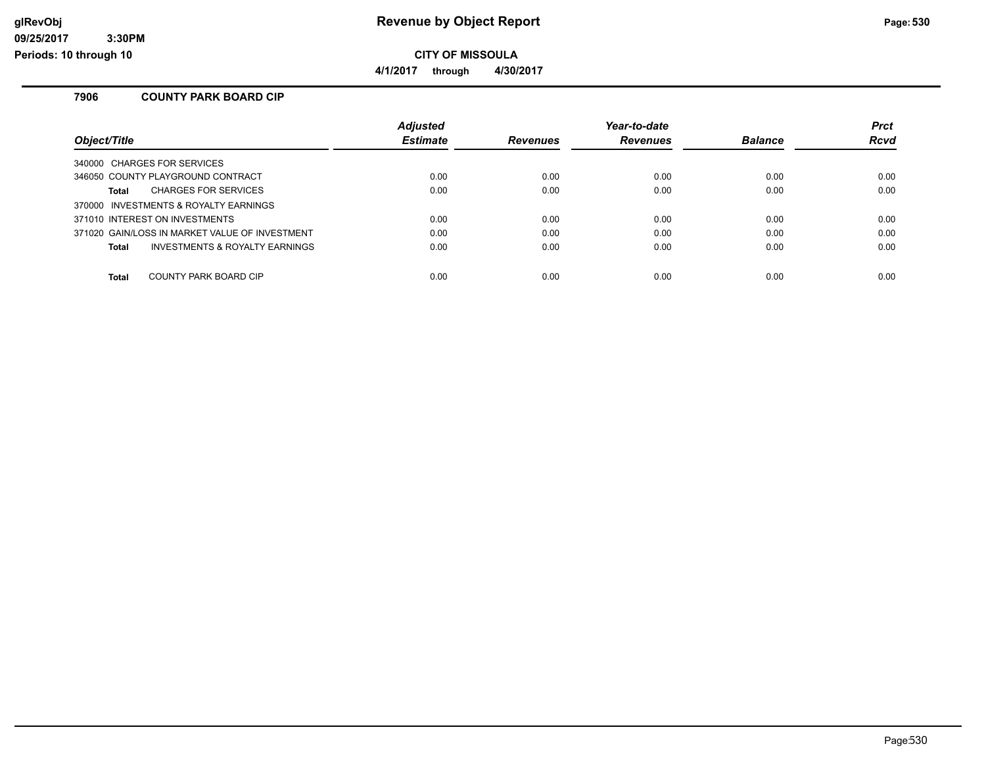**4/1/2017 through 4/30/2017**

# **7906 COUNTY PARK BOARD CIP**

|                                                | Adjusted        |                 | Year-to-date    |                | <b>Prct</b> |
|------------------------------------------------|-----------------|-----------------|-----------------|----------------|-------------|
| Object/Title                                   | <b>Estimate</b> | <b>Revenues</b> | <b>Revenues</b> | <b>Balance</b> | <b>Rcvd</b> |
| 340000 CHARGES FOR SERVICES                    |                 |                 |                 |                |             |
| 346050 COUNTY PLAYGROUND CONTRACT              | 0.00            | 0.00            | 0.00            | 0.00           | 0.00        |
| <b>CHARGES FOR SERVICES</b><br>Total           | 0.00            | 0.00            | 0.00            | 0.00           | 0.00        |
| 370000 INVESTMENTS & ROYALTY EARNINGS          |                 |                 |                 |                |             |
| 371010 INTEREST ON INVESTMENTS                 | 0.00            | 0.00            | 0.00            | 0.00           | 0.00        |
| 371020 GAIN/LOSS IN MARKET VALUE OF INVESTMENT | 0.00            | 0.00            | 0.00            | 0.00           | 0.00        |
| INVESTMENTS & ROYALTY EARNINGS<br>Total        | 0.00            | 0.00            | 0.00            | 0.00           | 0.00        |
| Total<br>COUNTY PARK BOARD CIP                 | 0.00            | 0.00            | 0.00            | 0.00           | 0.00        |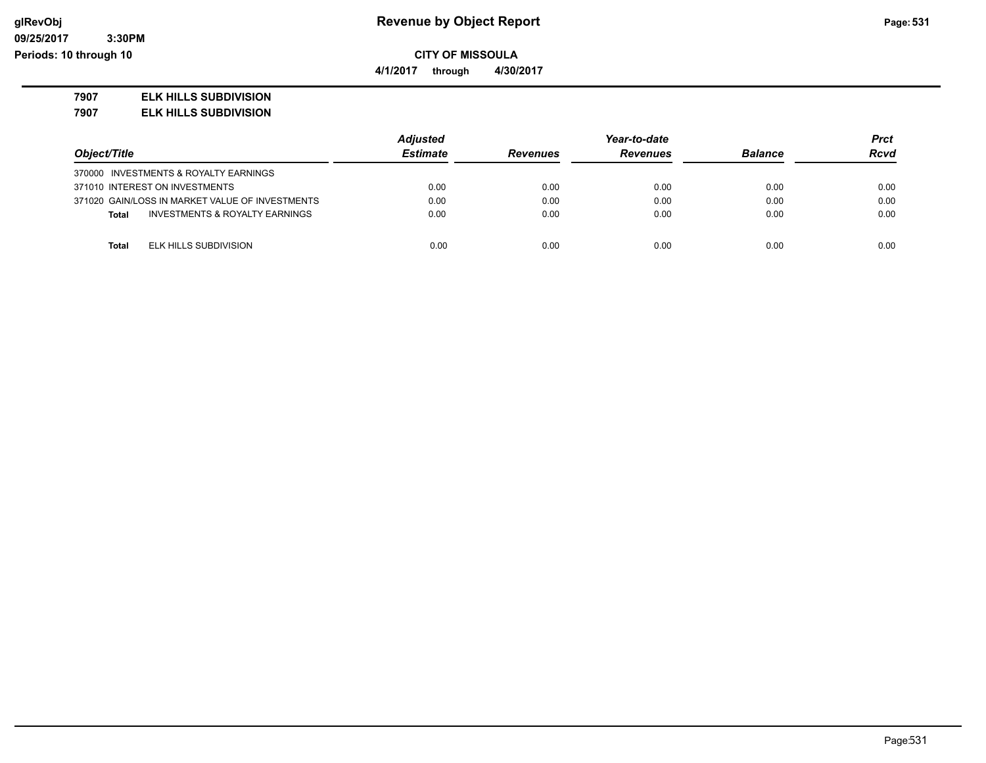**4/1/2017 through 4/30/2017**

## **7907 ELK HILLS SUBDIVISION**

**7907 ELK HILLS SUBDIVISION**

|                                                           | <b>Adjusted</b> |                 | Year-to-date    |                | <b>Prct</b> |
|-----------------------------------------------------------|-----------------|-----------------|-----------------|----------------|-------------|
| Object/Title                                              | <b>Estimate</b> | <b>Revenues</b> | <b>Revenues</b> | <b>Balance</b> | <b>Rcvd</b> |
| 370000 INVESTMENTS & ROYALTY EARNINGS                     |                 |                 |                 |                |             |
| 371010 INTEREST ON INVESTMENTS                            | 0.00            | 0.00            | 0.00            | 0.00           | 0.00        |
| 371020 GAIN/LOSS IN MARKET VALUE OF INVESTMENTS           | 0.00            | 0.00            | 0.00            | 0.00           | 0.00        |
| <b>INVESTMENTS &amp; ROYALTY EARNINGS</b><br><b>Total</b> | 0.00            | 0.00            | 0.00            | 0.00           | 0.00        |
|                                                           |                 |                 |                 |                |             |
| Total<br>ELK HILLS SUBDIVISION                            | 0.00            | 0.00            | 0.00            | 0.00           | 0.00        |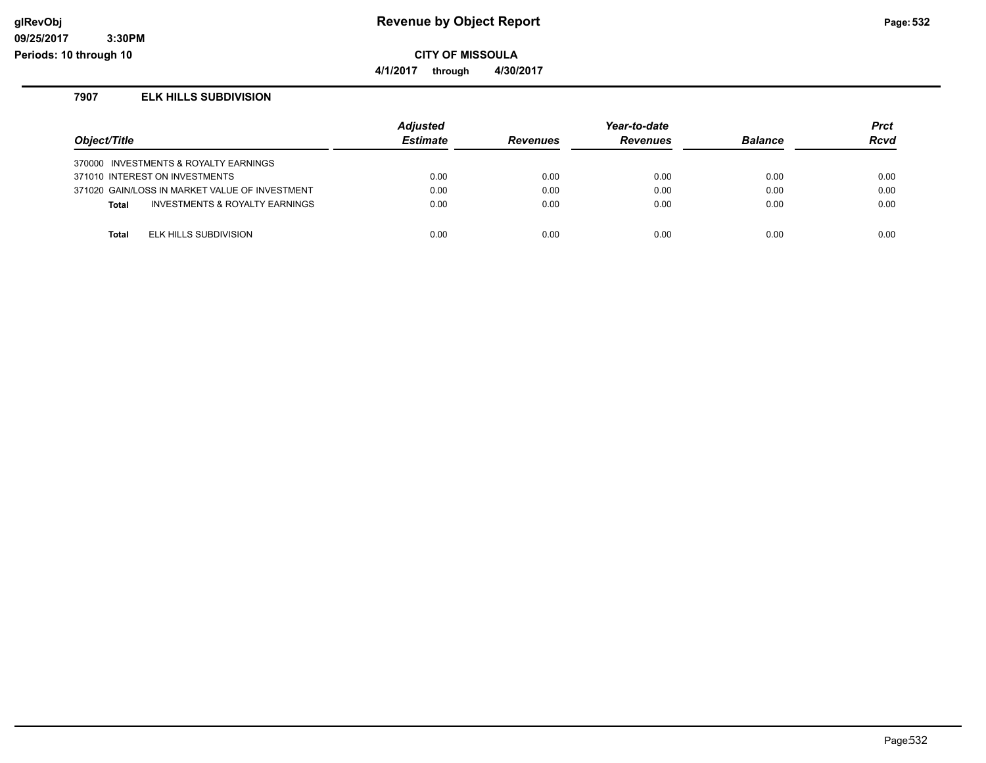**4/1/2017 through 4/30/2017**

#### **7907 ELK HILLS SUBDIVISION**

| Object/Title |                                                | <b>Adjusted</b><br><b>Estimate</b> | <b>Revenues</b> | Year-to-date<br><b>Revenues</b> | <b>Balance</b> | <b>Prct</b><br><b>Rcvd</b> |
|--------------|------------------------------------------------|------------------------------------|-----------------|---------------------------------|----------------|----------------------------|
|              | 370000 INVESTMENTS & ROYALTY EARNINGS          |                                    |                 |                                 |                |                            |
|              | 371010 INTEREST ON INVESTMENTS                 | 0.00                               | 0.00            | 0.00                            | 0.00           | 0.00                       |
|              | 371020 GAIN/LOSS IN MARKET VALUE OF INVESTMENT | 0.00                               | 0.00            | 0.00                            | 0.00           | 0.00                       |
| <b>Total</b> | INVESTMENTS & ROYALTY EARNINGS                 | 0.00                               | 0.00            | 0.00                            | 0.00           | 0.00                       |
|              |                                                |                                    |                 |                                 |                |                            |
| Total        | ELK HILLS SUBDIVISION                          | 0.00                               | 0.00            | 0.00                            | 0.00           | 0.00                       |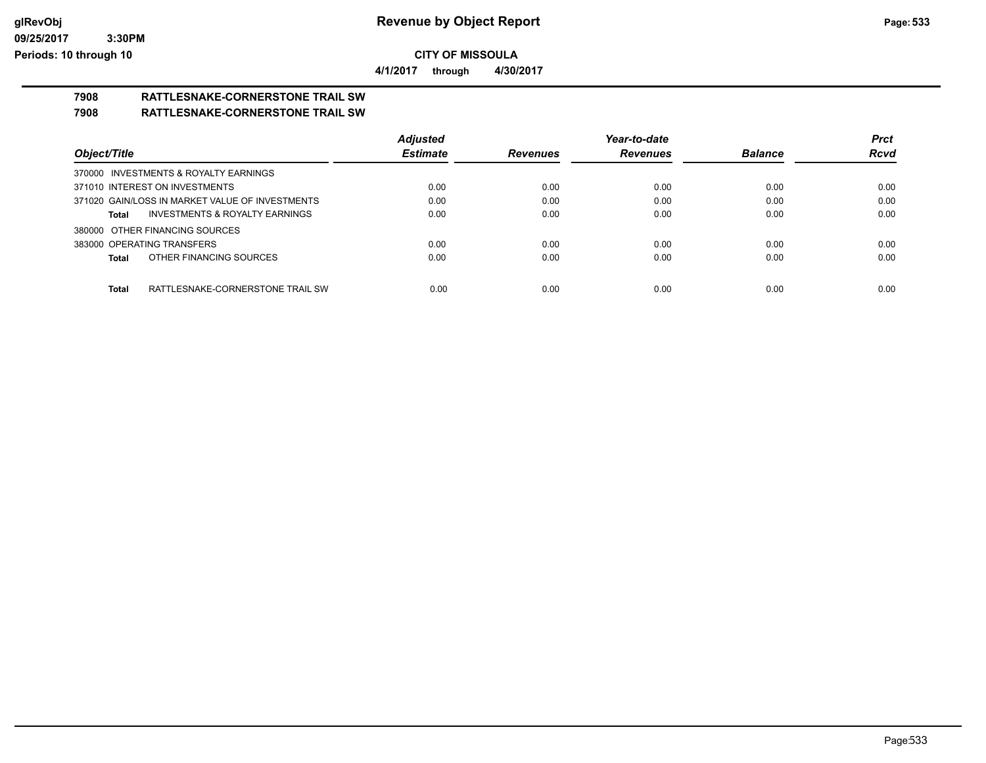**4/1/2017 through 4/30/2017**

# **7908 RATTLESNAKE-CORNERSTONE TRAIL SW**

# **7908 RATTLESNAKE-CORNERSTONE TRAIL SW**

|                                                  | <b>Adjusted</b> |                 | Year-to-date    |                | <b>Prct</b> |
|--------------------------------------------------|-----------------|-----------------|-----------------|----------------|-------------|
| Object/Title                                     | <b>Estimate</b> | <b>Revenues</b> | <b>Revenues</b> | <b>Balance</b> | <b>Rcvd</b> |
| 370000 INVESTMENTS & ROYALTY EARNINGS            |                 |                 |                 |                |             |
| 371010 INTEREST ON INVESTMENTS                   | 0.00            | 0.00            | 0.00            | 0.00           | 0.00        |
| 371020 GAIN/LOSS IN MARKET VALUE OF INVESTMENTS  | 0.00            | 0.00            | 0.00            | 0.00           | 0.00        |
| INVESTMENTS & ROYALTY EARNINGS<br>Total          | 0.00            | 0.00            | 0.00            | 0.00           | 0.00        |
| 380000 OTHER FINANCING SOURCES                   |                 |                 |                 |                |             |
| 383000 OPERATING TRANSFERS                       | 0.00            | 0.00            | 0.00            | 0.00           | 0.00        |
| OTHER FINANCING SOURCES<br>Total                 | 0.00            | 0.00            | 0.00            | 0.00           | 0.00        |
|                                                  |                 |                 |                 |                |             |
| <b>Total</b><br>RATTLESNAKE-CORNERSTONE TRAIL SW | 0.00            | 0.00            | 0.00            | 0.00           | 0.00        |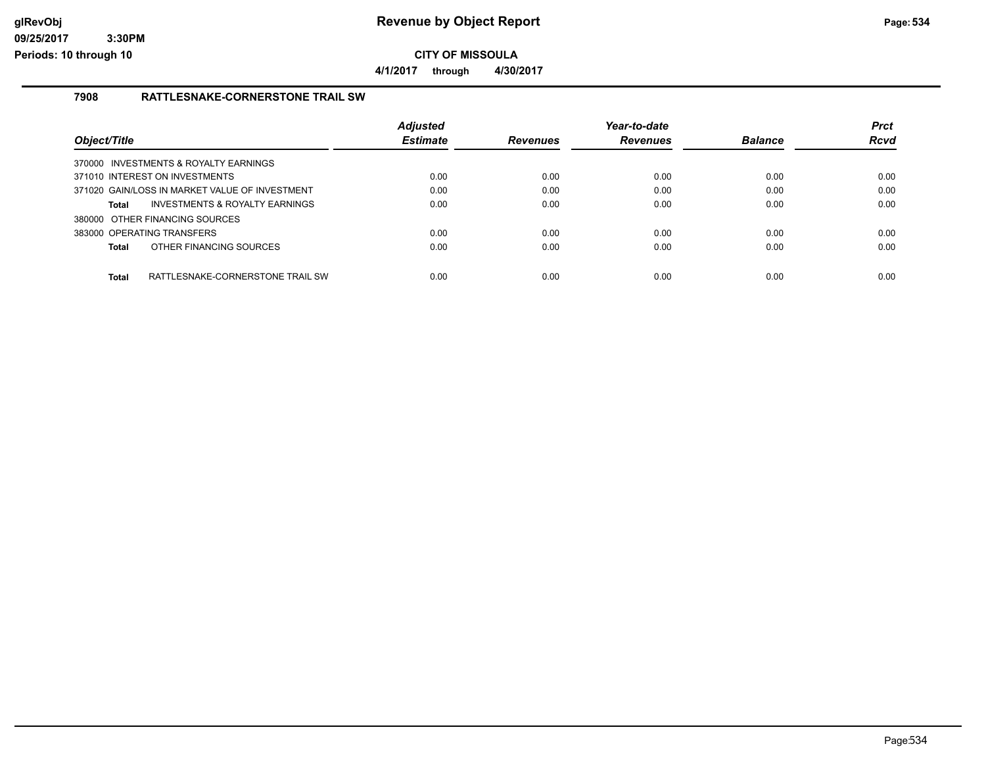**4/1/2017 through 4/30/2017**

# **7908 RATTLESNAKE-CORNERSTONE TRAIL SW**

|                                                  | <b>Adjusted</b> |                 | Year-to-date    |                | <b>Prct</b> |
|--------------------------------------------------|-----------------|-----------------|-----------------|----------------|-------------|
| Object/Title                                     | <b>Estimate</b> | <b>Revenues</b> | <b>Revenues</b> | <b>Balance</b> | <b>Rcvd</b> |
| 370000 INVESTMENTS & ROYALTY EARNINGS            |                 |                 |                 |                |             |
| 371010 INTEREST ON INVESTMENTS                   | 0.00            | 0.00            | 0.00            | 0.00           | 0.00        |
| 371020 GAIN/LOSS IN MARKET VALUE OF INVESTMENT   | 0.00            | 0.00            | 0.00            | 0.00           | 0.00        |
| INVESTMENTS & ROYALTY EARNINGS<br>Total          | 0.00            | 0.00            | 0.00            | 0.00           | 0.00        |
| 380000 OTHER FINANCING SOURCES                   |                 |                 |                 |                |             |
| 383000 OPERATING TRANSFERS                       | 0.00            | 0.00            | 0.00            | 0.00           | 0.00        |
| OTHER FINANCING SOURCES<br>Total                 | 0.00            | 0.00            | 0.00            | 0.00           | 0.00        |
|                                                  |                 |                 |                 |                |             |
| <b>Total</b><br>RATTLESNAKE-CORNERSTONE TRAIL SW | 0.00            | 0.00            | 0.00            | 0.00           | 0.00        |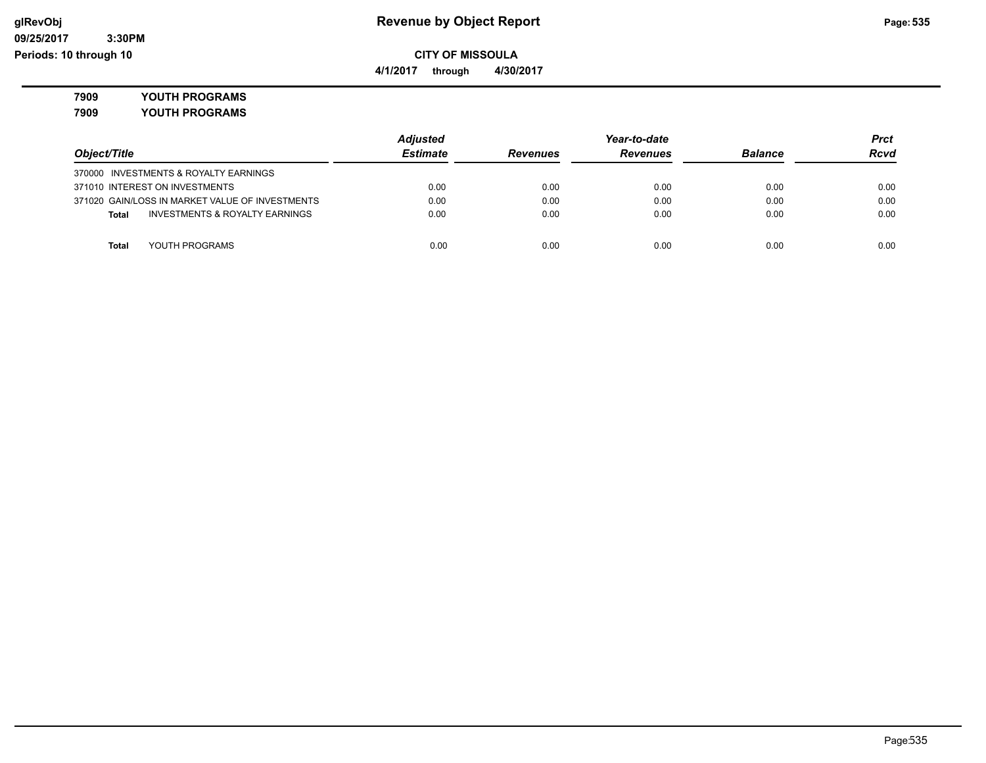**4/1/2017 through 4/30/2017**

# **7909 YOUTH PROGRAMS**

**7909 YOUTH PROGRAMS**

|                                                    | <b>Adjusted</b> |                 | Year-to-date    |                |             |
|----------------------------------------------------|-----------------|-----------------|-----------------|----------------|-------------|
| Object/Title                                       | <b>Estimate</b> | <b>Revenues</b> | <b>Revenues</b> | <b>Balance</b> | <b>Rcvd</b> |
| 370000 INVESTMENTS & ROYALTY EARNINGS              |                 |                 |                 |                |             |
| 371010 INTEREST ON INVESTMENTS                     | 0.00            | 0.00            | 0.00            | 0.00           | 0.00        |
| 371020 GAIN/LOSS IN MARKET VALUE OF INVESTMENTS    | 0.00            | 0.00            | 0.00            | 0.00           | 0.00        |
| <b>INVESTMENTS &amp; ROYALTY EARNINGS</b><br>Total | 0.00            | 0.00            | 0.00            | 0.00           | 0.00        |
|                                                    |                 |                 |                 |                |             |
| YOUTH PROGRAMS<br><b>Total</b>                     | 0.00            | 0.00            | 0.00            | 0.00           | 0.00        |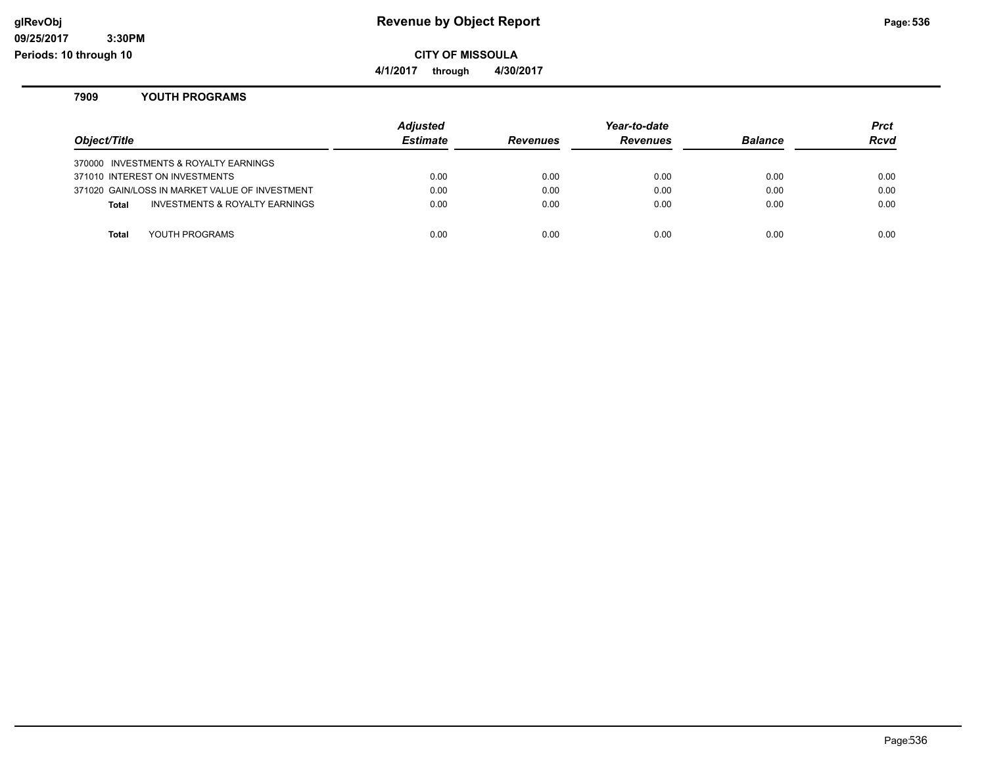**4/1/2017 through 4/30/2017**

#### **7909 YOUTH PROGRAMS**

| Object/Title                                   | <b>Adjusted</b><br><b>Estimate</b> | <b>Revenues</b> | Year-to-date<br><b>Revenues</b> | <b>Balance</b> | <b>Prct</b><br><b>Rcvd</b> |
|------------------------------------------------|------------------------------------|-----------------|---------------------------------|----------------|----------------------------|
| 370000 INVESTMENTS & ROYALTY EARNINGS          |                                    |                 |                                 |                |                            |
| 371010 INTEREST ON INVESTMENTS                 | 0.00                               | 0.00            | 0.00                            | 0.00           | 0.00                       |
| 371020 GAIN/LOSS IN MARKET VALUE OF INVESTMENT | 0.00                               | 0.00            | 0.00                            | 0.00           | 0.00                       |
| INVESTMENTS & ROYALTY EARNINGS<br><b>Total</b> | 0.00                               | 0.00            | 0.00                            | 0.00           | 0.00                       |
|                                                |                                    |                 |                                 |                |                            |
| YOUTH PROGRAMS<br>Total                        | 0.00                               | 0.00            | 0.00                            | 0.00           | 0.00                       |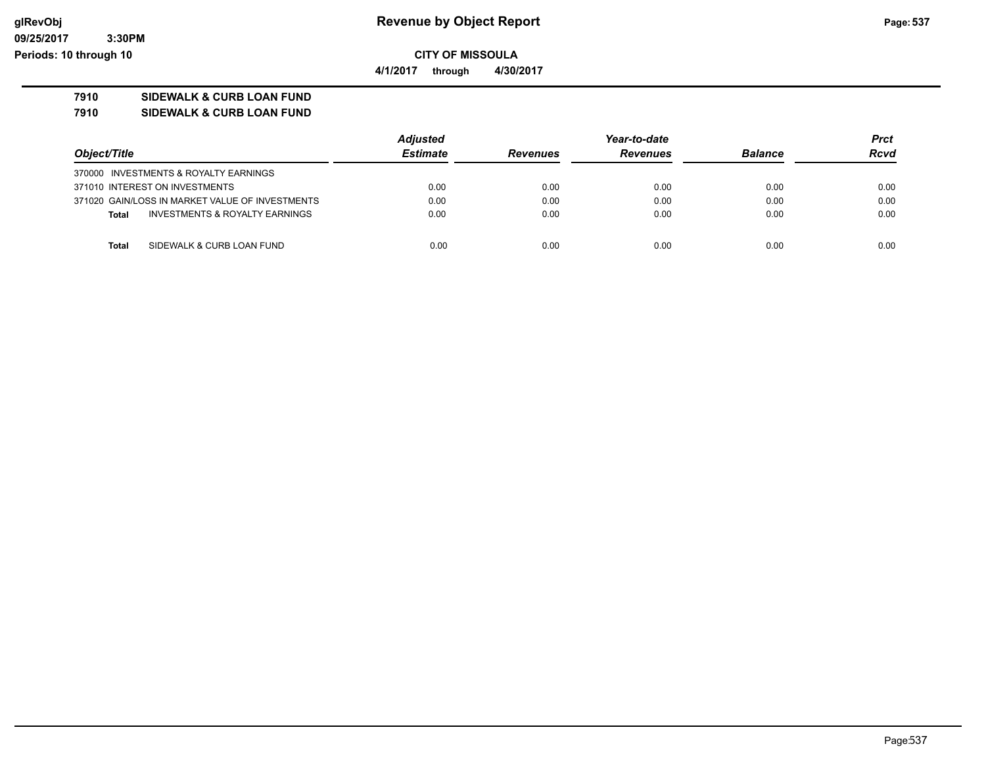**4/1/2017 through 4/30/2017**

# **7910 SIDEWALK & CURB LOAN FUND**

**7910 SIDEWALK & CURB LOAN FUND**

|                                                 | <b>Adjusted</b> | Year-to-date                       |      |                | Prct        |
|-------------------------------------------------|-----------------|------------------------------------|------|----------------|-------------|
| Object/Title                                    | <b>Estimate</b> | <b>Revenues</b><br><b>Revenues</b> |      | <b>Balance</b> | <b>Rcvd</b> |
| 370000 INVESTMENTS & ROYALTY EARNINGS           |                 |                                    |      |                |             |
| 371010 INTEREST ON INVESTMENTS                  | 0.00            | 0.00                               | 0.00 | 0.00           | 0.00        |
| 371020 GAIN/LOSS IN MARKET VALUE OF INVESTMENTS | 0.00            | 0.00                               | 0.00 | 0.00           | 0.00        |
| INVESTMENTS & ROYALTY EARNINGS<br><b>Total</b>  | 0.00            | 0.00                               | 0.00 | 0.00           | 0.00        |
| SIDEWALK & CURB LOAN FUND<br><b>Total</b>       | 0.00            | 0.00                               | 0.00 | 0.00           | 0.00        |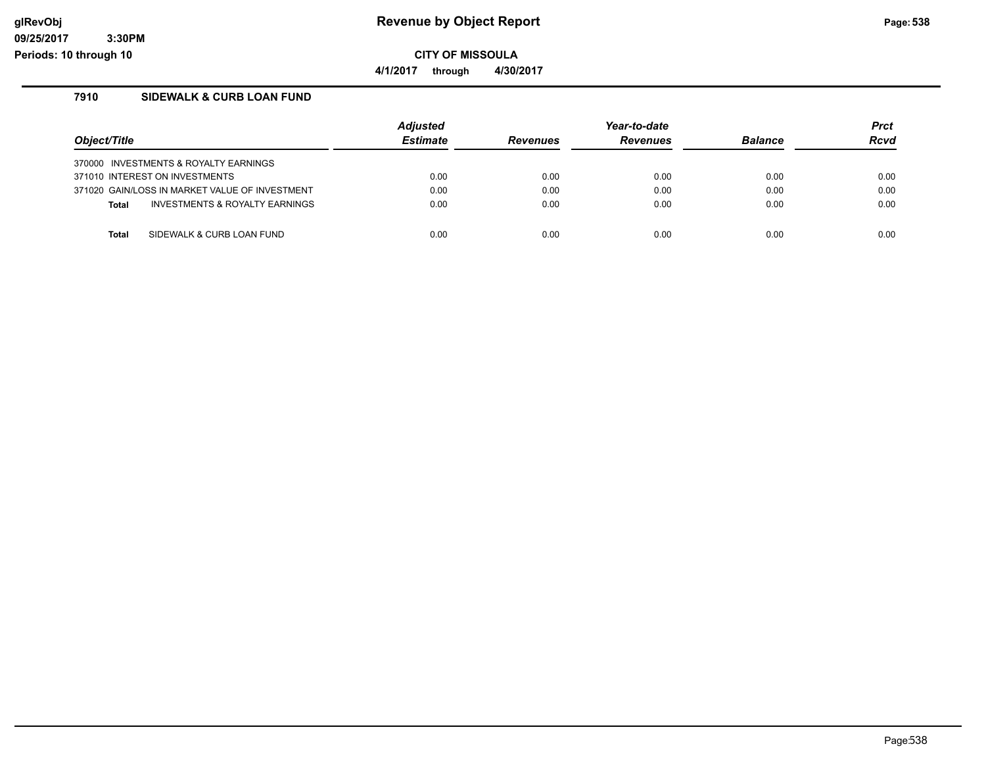**4/1/2017 through 4/30/2017**

# **7910 SIDEWALK & CURB LOAN FUND**

| Object/Title                                       | <b>Adjusted</b><br><b>Estimate</b> | <b>Revenues</b> | Year-to-date<br><b>Revenues</b> | <b>Balance</b> | <b>Prct</b><br><b>Rcvd</b> |
|----------------------------------------------------|------------------------------------|-----------------|---------------------------------|----------------|----------------------------|
| 370000 INVESTMENTS & ROYALTY EARNINGS              |                                    |                 |                                 |                |                            |
| 371010 INTEREST ON INVESTMENTS                     | 0.00                               | 0.00            | 0.00                            | 0.00           | 0.00                       |
| 371020 GAIN/LOSS IN MARKET VALUE OF INVESTMENT     | 0.00                               | 0.00            | 0.00                            | 0.00           | 0.00                       |
| <b>INVESTMENTS &amp; ROYALTY EARNINGS</b><br>Total | 0.00                               | 0.00            | 0.00                            | 0.00           | 0.00                       |
|                                                    |                                    |                 |                                 |                |                            |
| SIDEWALK & CURB LOAN FUND<br><b>Total</b>          | 0.00                               | 0.00            | 0.00                            | 0.00           | 0.00                       |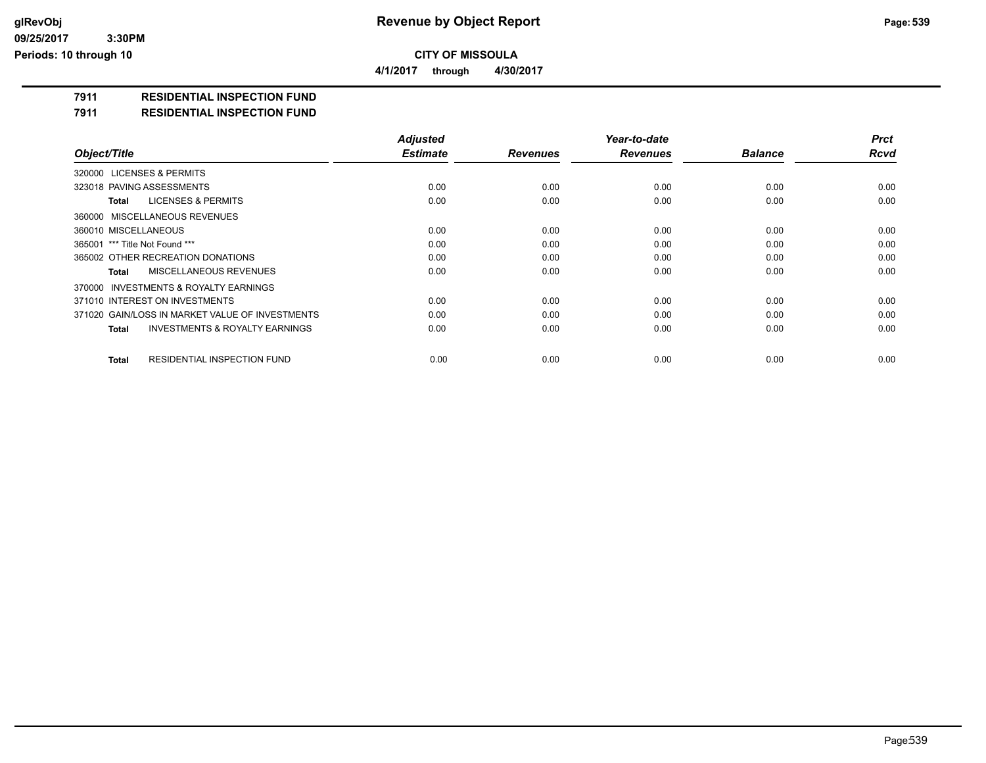**4/1/2017 through 4/30/2017**

**7911 RESIDENTIAL INSPECTION FUND**

**7911 RESIDENTIAL INSPECTION FUND**

|                                                    | <b>Adjusted</b> |                 | Year-to-date    |                | <b>Prct</b> |
|----------------------------------------------------|-----------------|-----------------|-----------------|----------------|-------------|
| Object/Title                                       | <b>Estimate</b> | <b>Revenues</b> | <b>Revenues</b> | <b>Balance</b> | <b>Rcvd</b> |
| 320000 LICENSES & PERMITS                          |                 |                 |                 |                |             |
| 323018 PAVING ASSESSMENTS                          | 0.00            | 0.00            | 0.00            | 0.00           | 0.00        |
| <b>LICENSES &amp; PERMITS</b><br>Total             | 0.00            | 0.00            | 0.00            | 0.00           | 0.00        |
| 360000 MISCELLANEOUS REVENUES                      |                 |                 |                 |                |             |
| 360010 MISCELLANEOUS                               | 0.00            | 0.00            | 0.00            | 0.00           | 0.00        |
| 365001 *** Title Not Found ***                     | 0.00            | 0.00            | 0.00            | 0.00           | 0.00        |
| 365002 OTHER RECREATION DONATIONS                  | 0.00            | 0.00            | 0.00            | 0.00           | 0.00        |
| MISCELLANEOUS REVENUES<br>Total                    | 0.00            | 0.00            | 0.00            | 0.00           | 0.00        |
| 370000 INVESTMENTS & ROYALTY EARNINGS              |                 |                 |                 |                |             |
| 371010 INTEREST ON INVESTMENTS                     | 0.00            | 0.00            | 0.00            | 0.00           | 0.00        |
| 371020 GAIN/LOSS IN MARKET VALUE OF INVESTMENTS    | 0.00            | 0.00            | 0.00            | 0.00           | 0.00        |
| <b>INVESTMENTS &amp; ROYALTY EARNINGS</b><br>Total | 0.00            | 0.00            | 0.00            | 0.00           | 0.00        |
|                                                    |                 |                 |                 |                |             |
| <b>RESIDENTIAL INSPECTION FUND</b><br><b>Total</b> | 0.00            | 0.00            | 0.00            | 0.00           | 0.00        |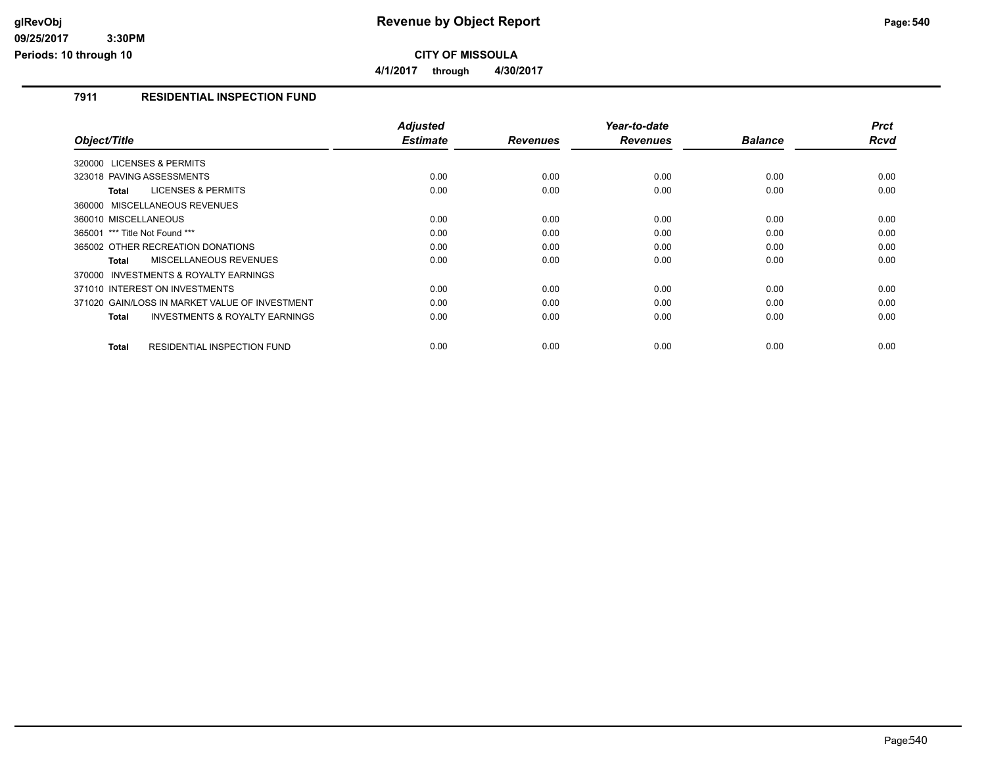**4/1/2017 through 4/30/2017**

# **7911 RESIDENTIAL INSPECTION FUND**

| Object/Title                                              | <b>Adjusted</b><br><b>Estimate</b> | <b>Revenues</b> | Year-to-date<br><b>Revenues</b> | <b>Balance</b> | <b>Prct</b><br>Rcvd |
|-----------------------------------------------------------|------------------------------------|-----------------|---------------------------------|----------------|---------------------|
| <b>LICENSES &amp; PERMITS</b><br>320000                   |                                    |                 |                                 |                |                     |
|                                                           |                                    |                 |                                 |                |                     |
| 323018 PAVING ASSESSMENTS                                 | 0.00                               | 0.00            | 0.00                            | 0.00           | 0.00                |
| <b>LICENSES &amp; PERMITS</b><br><b>Total</b>             | 0.00                               | 0.00            | 0.00                            | 0.00           | 0.00                |
| 360000 MISCELLANEOUS REVENUES                             |                                    |                 |                                 |                |                     |
| 360010 MISCELLANEOUS                                      | 0.00                               | 0.00            | 0.00                            | 0.00           | 0.00                |
| 365001 *** Title Not Found ***                            | 0.00                               | 0.00            | 0.00                            | 0.00           | 0.00                |
| 365002 OTHER RECREATION DONATIONS                         | 0.00                               | 0.00            | 0.00                            | 0.00           | 0.00                |
| <b>MISCELLANEOUS REVENUES</b><br><b>Total</b>             | 0.00                               | 0.00            | 0.00                            | 0.00           | 0.00                |
| 370000 INVESTMENTS & ROYALTY EARNINGS                     |                                    |                 |                                 |                |                     |
| 371010 INTEREST ON INVESTMENTS                            | 0.00                               | 0.00            | 0.00                            | 0.00           | 0.00                |
| 371020 GAIN/LOSS IN MARKET VALUE OF INVESTMENT            | 0.00                               | 0.00            | 0.00                            | 0.00           | 0.00                |
| <b>INVESTMENTS &amp; ROYALTY EARNINGS</b><br><b>Total</b> | 0.00                               | 0.00            | 0.00                            | 0.00           | 0.00                |
| <b>RESIDENTIAL INSPECTION FUND</b><br><b>Total</b>        | 0.00                               | 0.00            | 0.00                            | 0.00           | 0.00                |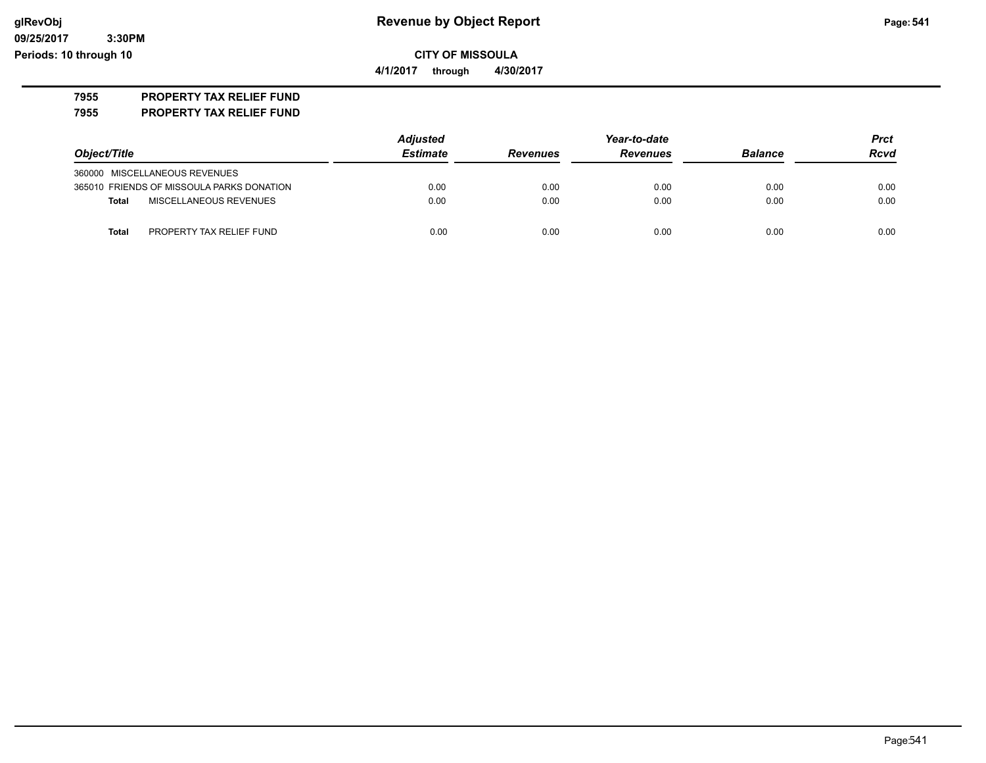**09/25/2017 3:30PM Periods: 10 through 10**

**CITY OF MISSOULA**

**4/1/2017 through 4/30/2017**

# **7955 PROPERTY TAX RELIEF FUND**

**7955 PROPERTY TAX RELIEF FUND**

|                                           | <b>Adjusted</b> |                 | Year-to-date    |                | <b>Prct</b> |
|-------------------------------------------|-----------------|-----------------|-----------------|----------------|-------------|
| Object/Title                              | <b>Estimate</b> | <b>Revenues</b> | <b>Revenues</b> | <b>Balance</b> | <b>Rcvd</b> |
| 360000 MISCELLANEOUS REVENUES             |                 |                 |                 |                |             |
| 365010 FRIENDS OF MISSOULA PARKS DONATION | 0.00            | 0.00            | 0.00            | 0.00           | 0.00        |
| MISCELLANEOUS REVENUES<br>Total           | 0.00            | 0.00            | 0.00            | 0.00           | 0.00        |
| PROPERTY TAX RELIEF FUND<br><b>Total</b>  | 0.00            | 0.00            | 0.00            | 0.00           | 0.00        |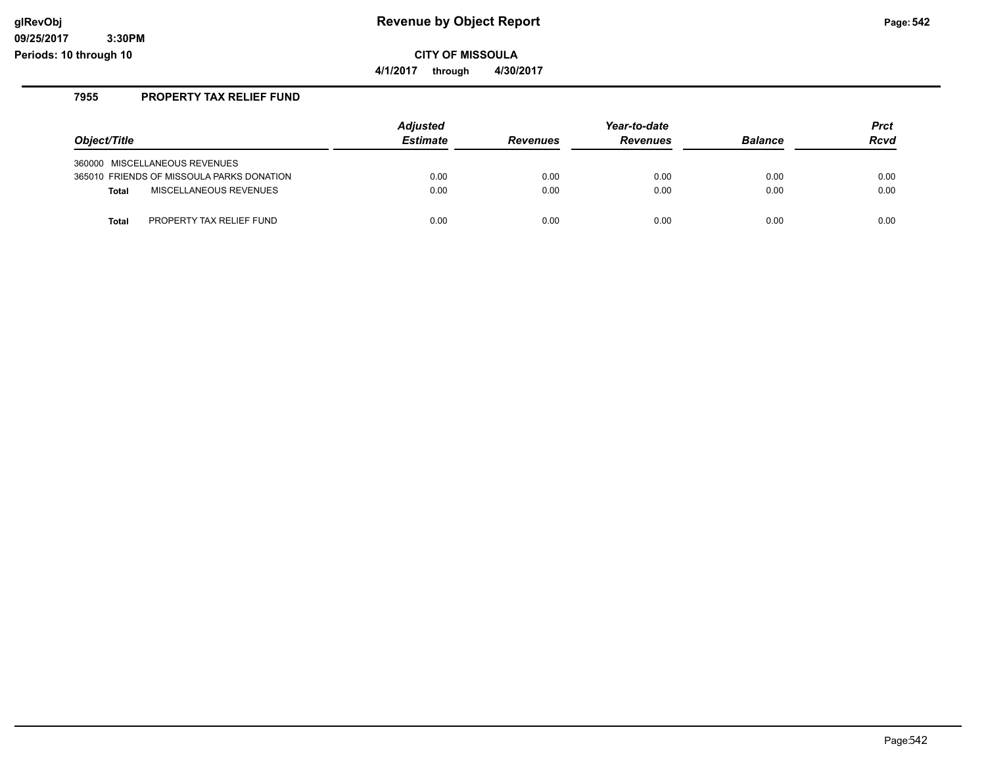**Periods: 10 through 10**

**CITY OF MISSOULA**

**4/1/2017 through 4/30/2017**

#### **7955 PROPERTY TAX RELIEF FUND**

| Object/Title |                                           | Adjusted<br><b>Estimate</b> | <b>Revenues</b> | Year-to-date<br><b>Revenues</b> | <b>Balance</b> | <b>Prct</b><br><b>Rcvd</b> |
|--------------|-------------------------------------------|-----------------------------|-----------------|---------------------------------|----------------|----------------------------|
|              | 360000 MISCELLANEOUS REVENUES             |                             |                 |                                 |                |                            |
|              | 365010 FRIENDS OF MISSOULA PARKS DONATION | 0.00                        | 0.00            | 0.00                            | 0.00           | 0.00                       |
| <b>Total</b> | MISCELLANEOUS REVENUES                    | 0.00                        | 0.00            | 0.00                            | 0.00           | 0.00                       |
| Total        | PROPERTY TAX RELIEF FUND                  | 0.00                        | 0.00            | 0.00                            | 0.00           | 0.00                       |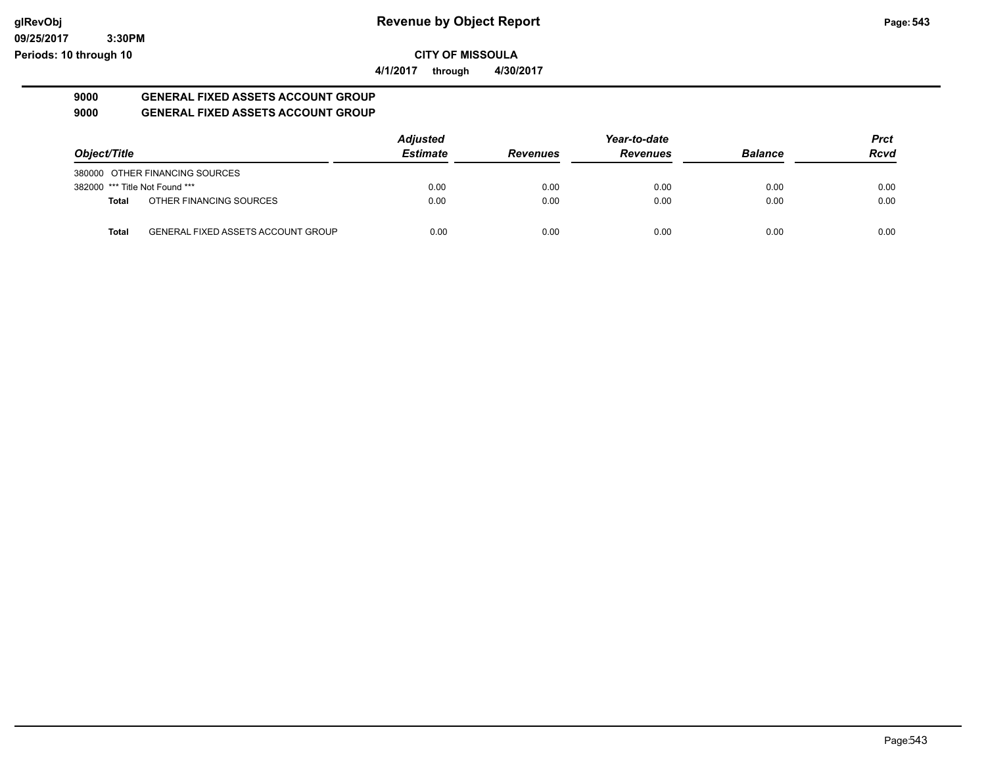#### **09/25/2017 3:30PM Periods: 10 through 10**

#### **CITY OF MISSOULA**

**4/1/2017 through 4/30/2017**

#### **9000 GENERAL FIXED ASSETS ACCOUNT GROUP 9000 GENERAL FIXED ASSETS ACCOUNT GROUP**

|                                |                                           | <b>Adjusted</b> |                 | Year-to-date    |                | <b>Prct</b> |
|--------------------------------|-------------------------------------------|-----------------|-----------------|-----------------|----------------|-------------|
| Object/Title                   |                                           | <b>Estimate</b> | <b>Revenues</b> | <b>Revenues</b> | <b>Balance</b> | <b>Rcvd</b> |
|                                | 380000 OTHER FINANCING SOURCES            |                 |                 |                 |                |             |
| 382000 *** Title Not Found *** |                                           | 0.00            | 0.00            | 0.00            | 0.00           | 0.00        |
| Total                          | OTHER FINANCING SOURCES                   | 0.00            | 0.00            | 0.00            | 0.00           | 0.00        |
| Total                          | <b>GENERAL FIXED ASSETS ACCOUNT GROUP</b> | 0.00            | 0.00            | 0.00            | 0.00           | 0.00        |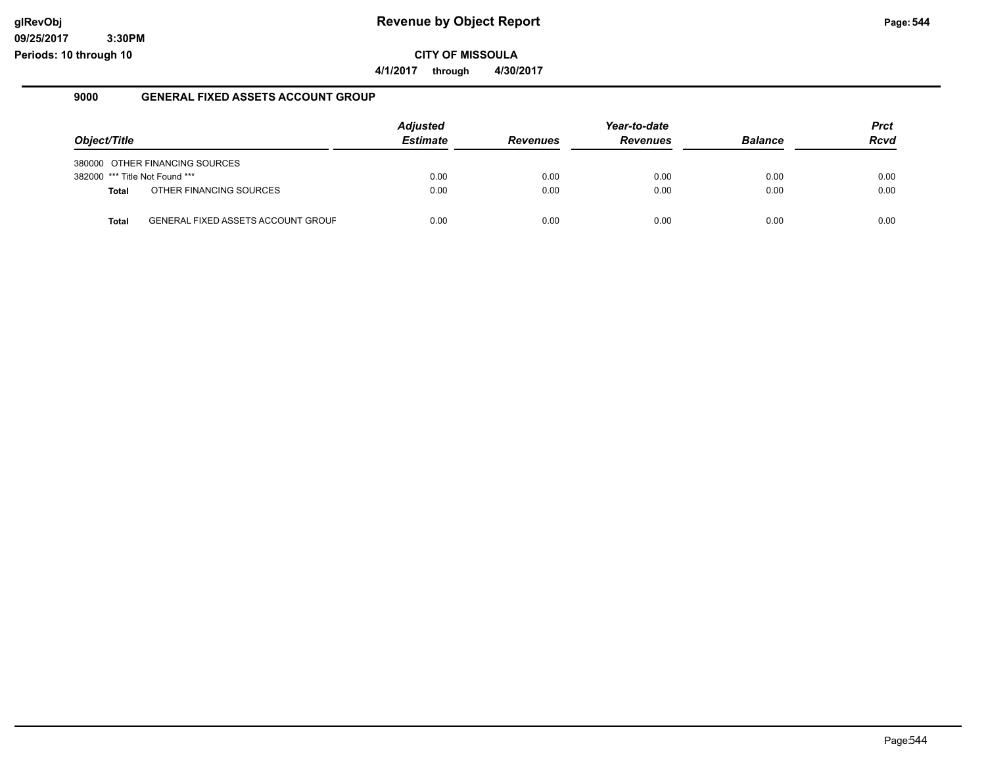**4/1/2017 through 4/30/2017**

#### **9000 GENERAL FIXED ASSETS ACCOUNT GROUP**

| Object/Title                   |                                           | <b>Adjusted</b><br><b>Estimate</b> | <b>Revenues</b> | Year-to-date<br><b>Revenues</b> | <b>Balance</b> | <b>Prct</b><br><b>Rcvd</b> |
|--------------------------------|-------------------------------------------|------------------------------------|-----------------|---------------------------------|----------------|----------------------------|
|                                | 380000 OTHER FINANCING SOURCES            |                                    |                 |                                 |                |                            |
| 382000 *** Title Not Found *** |                                           | 0.00                               | 0.00            | 0.00                            | 0.00           | 0.00                       |
| <b>Total</b>                   | OTHER FINANCING SOURCES                   | 0.00                               | 0.00            | 0.00                            | 0.00           | 0.00                       |
| <b>Total</b>                   | <b>GENERAL FIXED ASSETS ACCOUNT GROUF</b> | 0.00                               | 0.00            | 0.00                            | 0.00           | 0.00                       |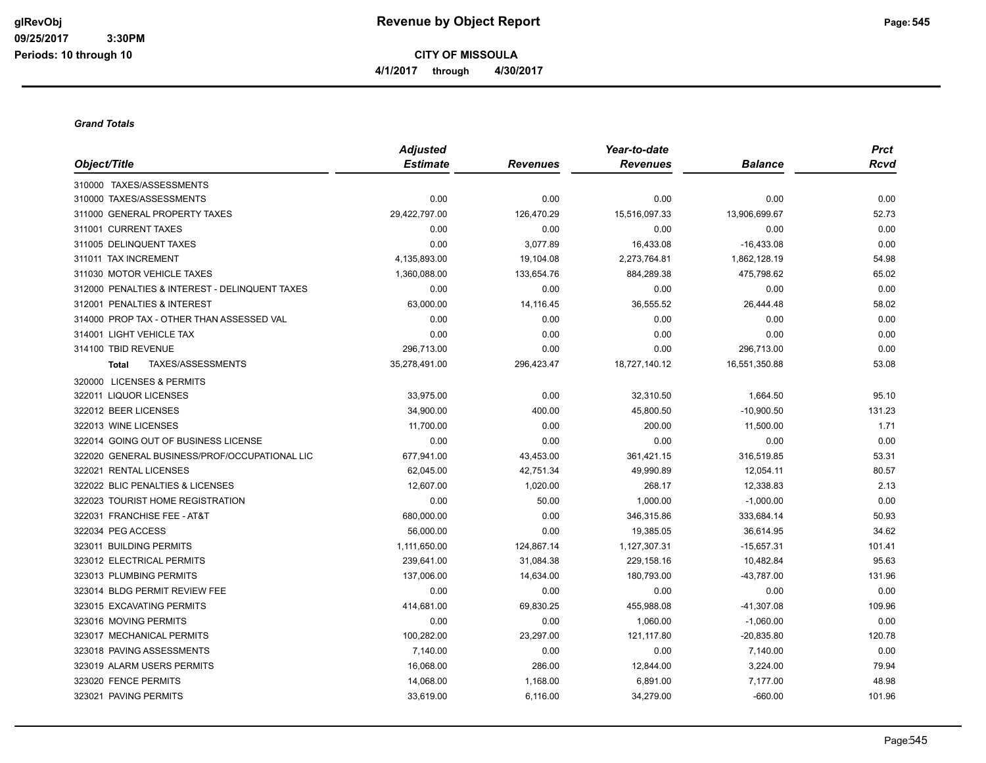**CITY OF MISSOULA 4/1/2017 through 4/30/2017**

#### *Grand Totals*

|                                                | <b>Adjusted</b> |                 | Year-to-date    |                | <b>Prct</b> |
|------------------------------------------------|-----------------|-----------------|-----------------|----------------|-------------|
| Object/Title                                   | <b>Estimate</b> | <b>Revenues</b> | <b>Revenues</b> | <b>Balance</b> | <b>Rcvd</b> |
| 310000 TAXES/ASSESSMENTS                       |                 |                 |                 |                |             |
| 310000 TAXES/ASSESSMENTS                       | 0.00            | 0.00            | 0.00            | 0.00           | 0.00        |
| 311000 GENERAL PROPERTY TAXES                  | 29,422,797.00   | 126,470.29      | 15,516,097.33   | 13,906,699.67  | 52.73       |
| 311001 CURRENT TAXES                           | 0.00            | 0.00            | 0.00            | 0.00           | 0.00        |
| 311005 DELINQUENT TAXES                        | 0.00            | 3,077.89        | 16,433.08       | $-16,433.08$   | 0.00        |
| 311011 TAX INCREMENT                           | 4,135,893.00    | 19,104.08       | 2,273,764.81    | 1,862,128.19   | 54.98       |
| 311030 MOTOR VEHICLE TAXES                     | 1,360,088.00    | 133,654.76      | 884,289.38      | 475,798.62     | 65.02       |
| 312000 PENALTIES & INTEREST - DELINQUENT TAXES | 0.00            | 0.00            | 0.00            | 0.00           | 0.00        |
| 312001 PENALTIES & INTEREST                    | 63,000.00       | 14,116.45       | 36,555.52       | 26,444.48      | 58.02       |
| 314000 PROP TAX - OTHER THAN ASSESSED VAL      | 0.00            | 0.00            | 0.00            | 0.00           | 0.00        |
| 314001 LIGHT VEHICLE TAX                       | 0.00            | 0.00            | 0.00            | 0.00           | 0.00        |
| 314100 TBID REVENUE                            | 296,713.00      | 0.00            | 0.00            | 296,713.00     | 0.00        |
| TAXES/ASSESSMENTS<br><b>Total</b>              | 35,278,491.00   | 296,423.47      | 18,727,140.12   | 16,551,350.88  | 53.08       |
| 320000 LICENSES & PERMITS                      |                 |                 |                 |                |             |
| 322011 LIQUOR LICENSES                         | 33,975.00       | 0.00            | 32,310.50       | 1,664.50       | 95.10       |
| 322012 BEER LICENSES                           | 34,900.00       | 400.00          | 45,800.50       | $-10,900.50$   | 131.23      |
| 322013 WINE LICENSES                           | 11,700.00       | 0.00            | 200.00          | 11,500.00      | 1.71        |
| 322014 GOING OUT OF BUSINESS LICENSE           | 0.00            | 0.00            | 0.00            | 0.00           | 0.00        |
| 322020 GENERAL BUSINESS/PROF/OCCUPATIONAL LIC  | 677,941.00      | 43,453.00       | 361,421.15      | 316,519.85     | 53.31       |
| 322021 RENTAL LICENSES                         | 62,045.00       | 42,751.34       | 49,990.89       | 12,054.11      | 80.57       |
| 322022 BLIC PENALTIES & LICENSES               | 12,607.00       | 1,020.00        | 268.17          | 12,338.83      | 2.13        |
| 322023 TOURIST HOME REGISTRATION               | 0.00            | 50.00           | 1,000.00        | $-1,000.00$    | 0.00        |
| 322031 FRANCHISE FEE - AT&T                    | 680,000.00      | 0.00            | 346,315.86      | 333,684.14     | 50.93       |
| 322034 PEG ACCESS                              | 56,000.00       | 0.00            | 19,385.05       | 36,614.95      | 34.62       |
| 323011 BUILDING PERMITS                        | 1,111,650.00    | 124,867.14      | 1,127,307.31    | $-15,657.31$   | 101.41      |
| 323012 ELECTRICAL PERMITS                      | 239,641.00      | 31,084.38       | 229,158.16      | 10,482.84      | 95.63       |
| 323013 PLUMBING PERMITS                        | 137,006.00      | 14,634.00       | 180,793.00      | -43,787.00     | 131.96      |
| 323014 BLDG PERMIT REVIEW FEE                  | 0.00            | 0.00            | 0.00            | 0.00           | 0.00        |
| 323015 EXCAVATING PERMITS                      | 414,681.00      | 69,830.25       | 455,988.08      | -41,307.08     | 109.96      |
| 323016 MOVING PERMITS                          | 0.00            | 0.00            | 1,060.00        | $-1,060.00$    | 0.00        |
| 323017 MECHANICAL PERMITS                      | 100,282.00      | 23,297.00       | 121,117.80      | $-20,835.80$   | 120.78      |
| 323018 PAVING ASSESSMENTS                      | 7,140.00        | 0.00            | 0.00            | 7,140.00       | 0.00        |
| 323019 ALARM USERS PERMITS                     | 16,068.00       | 286.00          | 12,844.00       | 3,224.00       | 79.94       |
| 323020 FENCE PERMITS                           | 14,068.00       | 1,168.00        | 6,891.00        | 7,177.00       | 48.98       |
| 323021 PAVING PERMITS                          | 33,619.00       | 6,116.00        | 34,279.00       | $-660.00$      | 101.96      |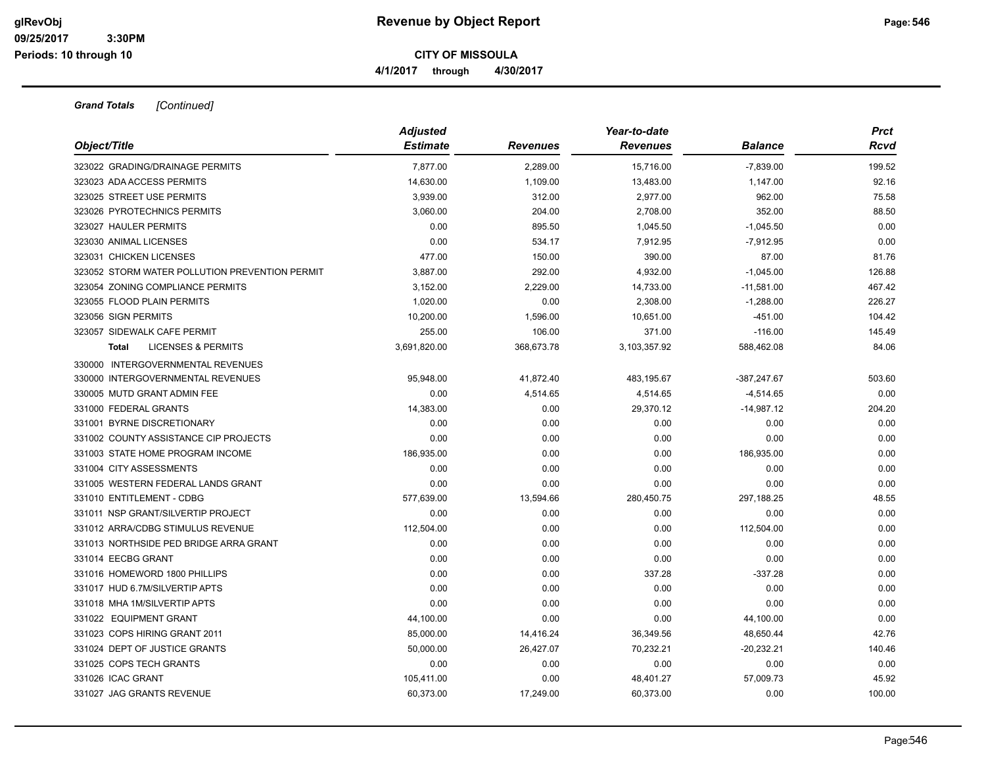**4/1/2017 through 4/30/2017**

| Object/Title                                   | <b>Adjusted</b><br><b>Estimate</b> | <b>Revenues</b> | Year-to-date<br><b>Revenues</b> | <b>Balance</b> | <b>Prct</b><br>Rcvd |
|------------------------------------------------|------------------------------------|-----------------|---------------------------------|----------------|---------------------|
|                                                |                                    |                 |                                 |                |                     |
| 323022 GRADING/DRAINAGE PERMITS                | 7,877.00                           | 2,289.00        | 15,716.00                       | $-7,839.00$    | 199.52              |
| 323023 ADA ACCESS PERMITS                      | 14,630.00                          | 1,109.00        | 13,483.00                       | 1,147.00       | 92.16               |
| 323025 STREET USE PERMITS                      | 3,939.00                           | 312.00          | 2,977.00                        | 962.00         | 75.58               |
| 323026 PYROTECHNICS PERMITS                    | 3,060.00                           | 204.00          | 2,708.00                        | 352.00         | 88.50               |
| 323027 HAULER PERMITS                          | 0.00                               | 895.50          | 1,045.50                        | $-1,045.50$    | 0.00                |
| 323030 ANIMAL LICENSES                         | 0.00                               | 534.17          | 7,912.95                        | $-7,912.95$    | 0.00                |
| 323031 CHICKEN LICENSES                        | 477.00                             | 150.00          | 390.00                          | 87.00          | 81.76               |
| 323052 STORM WATER POLLUTION PREVENTION PERMIT | 3,887.00                           | 292.00          | 4,932.00                        | $-1,045.00$    | 126.88              |
| 323054 ZONING COMPLIANCE PERMITS               | 3,152.00                           | 2,229.00        | 14,733.00                       | $-11,581.00$   | 467.42              |
| 323055 FLOOD PLAIN PERMITS                     | 1,020.00                           | 0.00            | 2,308.00                        | $-1,288.00$    | 226.27              |
| 323056 SIGN PERMITS                            | 10,200.00                          | 1,596.00        | 10,651.00                       | $-451.00$      | 104.42              |
| 323057 SIDEWALK CAFE PERMIT                    | 255.00                             | 106.00          | 371.00                          | $-116.00$      | 145.49              |
| <b>LICENSES &amp; PERMITS</b><br><b>Total</b>  | 3,691,820.00                       | 368,673.78      | 3,103,357.92                    | 588,462.08     | 84.06               |
| 330000 INTERGOVERNMENTAL REVENUES              |                                    |                 |                                 |                |                     |
| 330000 INTERGOVERNMENTAL REVENUES              | 95,948.00                          | 41,872.40       | 483,195.67                      | $-387,247.67$  | 503.60              |
| 330005 MUTD GRANT ADMIN FEE                    | 0.00                               | 4,514.65        | 4,514.65                        | $-4,514.65$    | 0.00                |
| 331000 FEDERAL GRANTS                          | 14,383.00                          | 0.00            | 29,370.12                       | $-14,987.12$   | 204.20              |
| 331001 BYRNE DISCRETIONARY                     | 0.00                               | 0.00            | 0.00                            | 0.00           | 0.00                |
| 331002 COUNTY ASSISTANCE CIP PROJECTS          | 0.00                               | 0.00            | 0.00                            | 0.00           | 0.00                |
| 331003 STATE HOME PROGRAM INCOME               | 186,935.00                         | 0.00            | 0.00                            | 186,935.00     | 0.00                |
| 331004 CITY ASSESSMENTS                        | 0.00                               | 0.00            | 0.00                            | 0.00           | 0.00                |
| 331005 WESTERN FEDERAL LANDS GRANT             | 0.00                               | 0.00            | 0.00                            | 0.00           | 0.00                |
| 331010 ENTITLEMENT - CDBG                      | 577,639.00                         | 13,594.66       | 280,450.75                      | 297,188.25     | 48.55               |
| 331011 NSP GRANT/SILVERTIP PROJECT             | 0.00                               | 0.00            | 0.00                            | 0.00           | 0.00                |
| 331012 ARRA/CDBG STIMULUS REVENUE              | 112,504.00                         | 0.00            | 0.00                            | 112,504.00     | 0.00                |
| 331013 NORTHSIDE PED BRIDGE ARRA GRANT         | 0.00                               | 0.00            | 0.00                            | 0.00           | 0.00                |
| 331014 EECBG GRANT                             | 0.00                               | 0.00            | 0.00                            | 0.00           | 0.00                |
| 331016 HOMEWORD 1800 PHILLIPS                  | 0.00                               | 0.00            | 337.28                          | $-337.28$      | 0.00                |
| 331017 HUD 6.7M/SILVERTIP APTS                 | 0.00                               | 0.00            | 0.00                            | 0.00           | 0.00                |
| 331018 MHA 1M/SILVERTIP APTS                   | 0.00                               | 0.00            | 0.00                            | 0.00           | 0.00                |
| 331022 EQUIPMENT GRANT                         | 44,100.00                          | 0.00            | 0.00                            | 44,100.00      | 0.00                |
| 331023 COPS HIRING GRANT 2011                  | 85,000.00                          | 14,416.24       | 36,349.56                       | 48,650.44      | 42.76               |
| 331024 DEPT OF JUSTICE GRANTS                  | 50,000.00                          | 26,427.07       | 70,232.21                       | $-20,232.21$   | 140.46              |
| 331025 COPS TECH GRANTS                        | 0.00                               | 0.00            | 0.00                            | 0.00           | 0.00                |
| 331026 ICAC GRANT                              | 105,411.00                         | 0.00            | 48,401.27                       | 57,009.73      | 45.92               |
| 331027 JAG GRANTS REVENUE                      | 60,373.00                          | 17.249.00       | 60,373.00                       | 0.00           | 100.00              |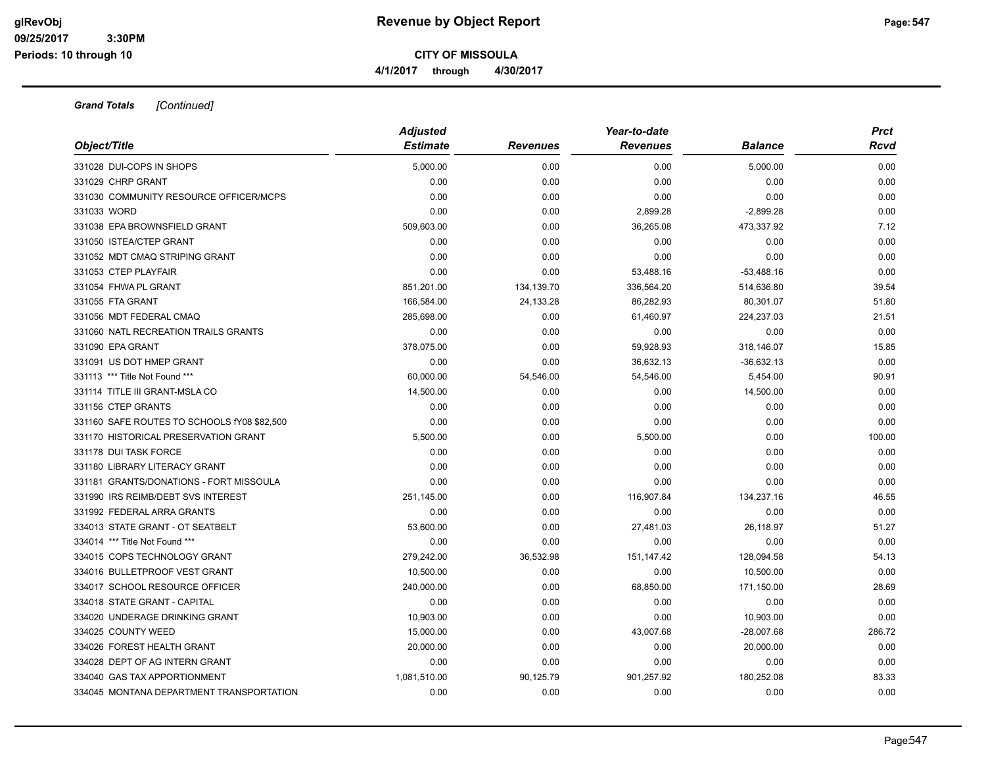**4/1/2017 through 4/30/2017**

|                                             | <b>Adjusted</b> |                 | Year-to-date    |                | <b>Prct</b> |
|---------------------------------------------|-----------------|-----------------|-----------------|----------------|-------------|
| Object/Title                                | <b>Estimate</b> | <b>Revenues</b> | <b>Revenues</b> | <b>Balance</b> | Rcvd        |
| 331028 DUI-COPS IN SHOPS                    | 5,000.00        | 0.00            | 0.00            | 5,000.00       | 0.00        |
| 331029 CHRP GRANT                           | 0.00            | 0.00            | 0.00            | 0.00           | 0.00        |
| 331030 COMMUNITY RESOURCE OFFICER/MCPS      | 0.00            | 0.00            | 0.00            | 0.00           | 0.00        |
| 331033 WORD                                 | 0.00            | 0.00            | 2,899.28        | $-2,899.28$    | 0.00        |
| 331038 EPA BROWNSFIELD GRANT                | 509,603.00      | 0.00            | 36,265.08       | 473,337.92     | 7.12        |
| 331050 ISTEA/CTEP GRANT                     | 0.00            | 0.00            | 0.00            | 0.00           | 0.00        |
| 331052 MDT CMAQ STRIPING GRANT              | 0.00            | 0.00            | 0.00            | 0.00           | 0.00        |
| 331053 CTEP PLAYFAIR                        | 0.00            | 0.00            | 53,488.16       | $-53,488.16$   | 0.00        |
| 331054 FHWA PL GRANT                        | 851,201.00      | 134,139.70      | 336,564.20      | 514,636.80     | 39.54       |
| 331055 FTA GRANT                            | 166,584.00      | 24,133.28       | 86,282.93       | 80,301.07      | 51.80       |
| 331056 MDT FEDERAL CMAQ                     | 285,698.00      | 0.00            | 61,460.97       | 224,237.03     | 21.51       |
| 331060 NATL RECREATION TRAILS GRANTS        | 0.00            | 0.00            | 0.00            | 0.00           | 0.00        |
| 331090 EPA GRANT                            | 378,075.00      | 0.00            | 59,928.93       | 318,146.07     | 15.85       |
| 331091 US DOT HMEP GRANT                    | 0.00            | 0.00            | 36,632.13       | $-36,632.13$   | 0.00        |
| 331113 *** Title Not Found ***              | 60,000.00       | 54,546.00       | 54,546.00       | 5,454.00       | 90.91       |
| 331114 TITLE III GRANT-MSLA CO              | 14,500.00       | 0.00            | 0.00            | 14,500.00      | 0.00        |
| 331156 CTEP GRANTS                          | 0.00            | 0.00            | 0.00            | 0.00           | 0.00        |
| 331160 SAFE ROUTES TO SCHOOLS fY08 \$82,500 | 0.00            | 0.00            | 0.00            | 0.00           | 0.00        |
| 331170 HISTORICAL PRESERVATION GRANT        | 5,500.00        | 0.00            | 5,500.00        | 0.00           | 100.00      |
| 331178 DUI TASK FORCE                       | 0.00            | 0.00            | 0.00            | 0.00           | 0.00        |
| 331180 LIBRARY LITERACY GRANT               | 0.00            | 0.00            | 0.00            | 0.00           | 0.00        |
| 331181 GRANTS/DONATIONS - FORT MISSOULA     | 0.00            | 0.00            | 0.00            | 0.00           | 0.00        |
| 331990 IRS REIMB/DEBT SVS INTEREST          | 251,145.00      | 0.00            | 116,907.84      | 134,237.16     | 46.55       |
| 331992 FEDERAL ARRA GRANTS                  | 0.00            | 0.00            | 0.00            | 0.00           | 0.00        |
| 334013 STATE GRANT - OT SEATBELT            | 53,600.00       | 0.00            | 27,481.03       | 26,118.97      | 51.27       |
| 334014 *** Title Not Found ***              | 0.00            | 0.00            | 0.00            | 0.00           | 0.00        |
| 334015 COPS TECHNOLOGY GRANT                | 279,242.00      | 36,532.98       | 151,147.42      | 128,094.58     | 54.13       |
| 334016 BULLETPROOF VEST GRANT               | 10,500.00       | 0.00            | 0.00            | 10,500.00      | 0.00        |
| 334017 SCHOOL RESOURCE OFFICER              | 240,000.00      | 0.00            | 68,850.00       | 171,150.00     | 28.69       |
| 334018 STATE GRANT - CAPITAL                | 0.00            | 0.00            | 0.00            | 0.00           | 0.00        |
| 334020 UNDERAGE DRINKING GRANT              | 10,903.00       | 0.00            | 0.00            | 10,903.00      | 0.00        |
| 334025 COUNTY WEED                          | 15,000.00       | 0.00            | 43,007.68       | $-28,007.68$   | 286.72      |
| 334026 FOREST HEALTH GRANT                  | 20,000.00       | 0.00            | 0.00            | 20,000.00      | 0.00        |
| 334028 DEPT OF AG INTERN GRANT              | 0.00            | 0.00            | 0.00            | 0.00           | 0.00        |
| 334040 GAS TAX APPORTIONMENT                | 1,081,510.00    | 90,125.79       | 901,257.92      | 180,252.08     | 83.33       |
| 334045 MONTANA DEPARTMENT TRANSPORTATION    | 0.00            | 0.00            | 0.00            | 0.00           | 0.00        |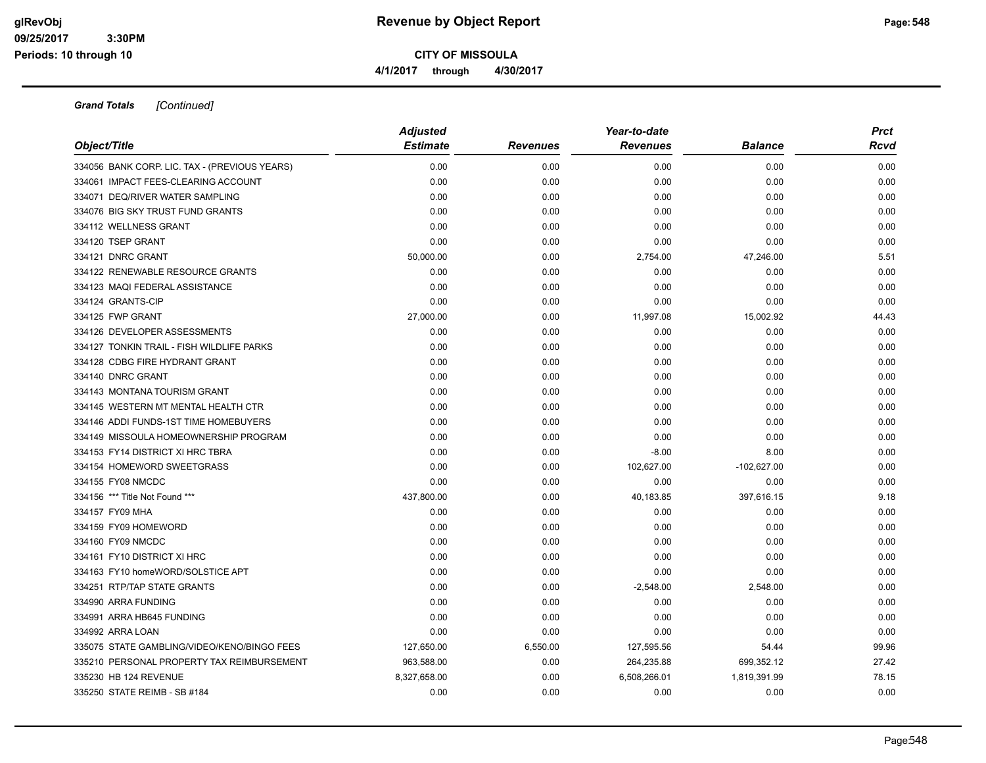**4/1/2017 through 4/30/2017**

| Object/Title                                  | <b>Adjusted</b><br><b>Estimate</b> | <b>Revenues</b> | Year-to-date<br><b>Revenues</b> | <b>Balance</b> | <b>Prct</b><br>Rcvd |
|-----------------------------------------------|------------------------------------|-----------------|---------------------------------|----------------|---------------------|
|                                               |                                    |                 |                                 |                |                     |
| 334056 BANK CORP. LIC. TAX - (PREVIOUS YEARS) | 0.00                               | 0.00            | 0.00                            | 0.00           | 0.00                |
| 334061 IMPACT FEES-CLEARING ACCOUNT           | 0.00                               | 0.00            | 0.00                            | 0.00           | 0.00                |
| 334071 DEQ/RIVER WATER SAMPLING               | 0.00                               | 0.00            | 0.00                            | 0.00           | 0.00                |
| 334076 BIG SKY TRUST FUND GRANTS              | 0.00                               | 0.00            | 0.00                            | 0.00           | 0.00                |
| 334112 WELLNESS GRANT                         | 0.00                               | 0.00            | 0.00                            | 0.00           | 0.00                |
| 334120 TSEP GRANT                             | 0.00                               | 0.00            | 0.00                            | 0.00           | 0.00                |
| 334121 DNRC GRANT                             | 50,000.00                          | 0.00            | 2,754.00                        | 47,246.00      | 5.51                |
| 334122 RENEWABLE RESOURCE GRANTS              | 0.00                               | 0.00            | 0.00                            | 0.00           | 0.00                |
| 334123 MAQI FEDERAL ASSISTANCE                | 0.00                               | 0.00            | 0.00                            | 0.00           | 0.00                |
| 334124 GRANTS-CIP                             | 0.00                               | 0.00            | 0.00                            | 0.00           | 0.00                |
| 334125 FWP GRANT                              | 27,000.00                          | 0.00            | 11,997.08                       | 15,002.92      | 44.43               |
| 334126 DEVELOPER ASSESSMENTS                  | 0.00                               | 0.00            | 0.00                            | 0.00           | 0.00                |
| 334127 TONKIN TRAIL - FISH WILDLIFE PARKS     | 0.00                               | 0.00            | 0.00                            | 0.00           | 0.00                |
| 334128 CDBG FIRE HYDRANT GRANT                | 0.00                               | 0.00            | 0.00                            | 0.00           | 0.00                |
| 334140 DNRC GRANT                             | 0.00                               | 0.00            | 0.00                            | 0.00           | 0.00                |
| 334143 MONTANA TOURISM GRANT                  | 0.00                               | 0.00            | 0.00                            | 0.00           | 0.00                |
| 334145 WESTERN MT MENTAL HEALTH CTR           | 0.00                               | 0.00            | 0.00                            | 0.00           | 0.00                |
| 334146 ADDI FUNDS-1ST TIME HOMEBUYERS         | 0.00                               | 0.00            | 0.00                            | 0.00           | 0.00                |
| 334149 MISSOULA HOMEOWNERSHIP PROGRAM         | 0.00                               | 0.00            | 0.00                            | 0.00           | 0.00                |
| 334153 FY14 DISTRICT XI HRC TBRA              | 0.00                               | 0.00            | $-8.00$                         | 8.00           | 0.00                |
| 334154 HOMEWORD SWEETGRASS                    | 0.00                               | 0.00            | 102,627.00                      | $-102,627.00$  | 0.00                |
| 334155 FY08 NMCDC                             | 0.00                               | 0.00            | 0.00                            | 0.00           | 0.00                |
| 334156 *** Title Not Found ***                | 437,800.00                         | 0.00            | 40,183.85                       | 397.616.15     | 9.18                |
| 334157 FY09 MHA                               | 0.00                               | 0.00            | 0.00                            | 0.00           | 0.00                |
| 334159 FY09 HOMEWORD                          | 0.00                               | 0.00            | 0.00                            | 0.00           | 0.00                |
| 334160 FY09 NMCDC                             | 0.00                               | 0.00            | 0.00                            | 0.00           | 0.00                |
| 334161 FY10 DISTRICT XI HRC                   | 0.00                               | 0.00            | 0.00                            | 0.00           | 0.00                |
| 334163 FY10 homeWORD/SOLSTICE APT             | 0.00                               | 0.00            | 0.00                            | 0.00           | 0.00                |
| 334251 RTP/TAP STATE GRANTS                   | 0.00                               | 0.00            | $-2,548.00$                     | 2,548.00       | 0.00                |
| 334990 ARRA FUNDING                           | 0.00                               | 0.00            | 0.00                            | 0.00           | 0.00                |
| 334991 ARRA HB645 FUNDING                     | 0.00                               | 0.00            | 0.00                            | 0.00           | 0.00                |
| 334992 ARRA LOAN                              | 0.00                               | 0.00            | 0.00                            | 0.00           | 0.00                |
| 335075 STATE GAMBLING/VIDEO/KENO/BINGO FEES   | 127,650.00                         | 6,550.00        | 127,595.56                      | 54.44          | 99.96               |
| 335210 PERSONAL PROPERTY TAX REIMBURSEMENT    | 963,588.00                         | 0.00            | 264,235.88                      | 699,352.12     | 27.42               |
| 335230 HB 124 REVENUE                         | 8,327,658.00                       | 0.00            | 6,508,266.01                    | 1,819,391.99   | 78.15               |
| 335250 STATE REIMB - SB #184                  | 0.00                               | 0.00            | 0.00                            | 0.00           | 0.00                |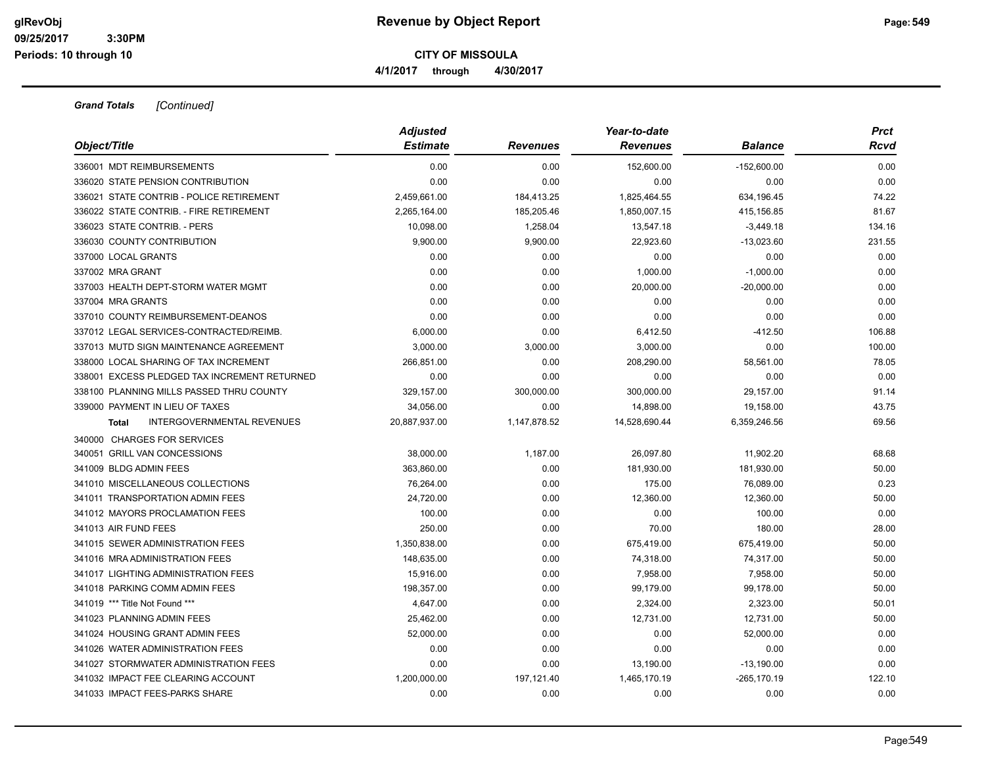**4/1/2017 through 4/30/2017**

|                                                   | <b>Adjusted</b> |                 | Year-to-date    |                | <b>Prct</b> |
|---------------------------------------------------|-----------------|-----------------|-----------------|----------------|-------------|
| Object/Title                                      | <b>Estimate</b> | <b>Revenues</b> | <b>Revenues</b> | <b>Balance</b> | <b>Rcvd</b> |
| 336001 MDT REIMBURSEMENTS                         | 0.00            | 0.00            | 152,600.00      | $-152,600.00$  | 0.00        |
| 336020 STATE PENSION CONTRIBUTION                 | 0.00            | 0.00            | 0.00            | 0.00           | 0.00        |
| 336021 STATE CONTRIB - POLICE RETIREMENT          | 2,459,661.00    | 184,413.25      | 1,825,464.55    | 634,196.45     | 74.22       |
| 336022 STATE CONTRIB. - FIRE RETIREMENT           | 2.265.164.00    | 185.205.46      | 1,850,007.15    | 415,156.85     | 81.67       |
| 336023 STATE CONTRIB. - PERS                      | 10.098.00       | 1,258.04        | 13,547.18       | $-3,449.18$    | 134.16      |
| 336030 COUNTY CONTRIBUTION                        | 9,900.00        | 9,900.00        | 22.923.60       | $-13,023.60$   | 231.55      |
| 337000 LOCAL GRANTS                               | 0.00            | 0.00            | 0.00            | 0.00           | 0.00        |
| 337002 MRA GRANT                                  | 0.00            | 0.00            | 1,000.00        | $-1,000.00$    | 0.00        |
| 337003 HEALTH DEPT-STORM WATER MGMT               | 0.00            | 0.00            | 20,000.00       | $-20,000.00$   | 0.00        |
| 337004 MRA GRANTS                                 | 0.00            | 0.00            | 0.00            | 0.00           | 0.00        |
| 337010 COUNTY REIMBURSEMENT-DEANOS                | 0.00            | 0.00            | 0.00            | 0.00           | 0.00        |
| 337012 LEGAL SERVICES-CONTRACTED/REIMB.           | 6,000.00        | 0.00            | 6,412.50        | $-412.50$      | 106.88      |
| 337013 MUTD SIGN MAINTENANCE AGREEMENT            | 3,000.00        | 3,000.00        | 3,000.00        | 0.00           | 100.00      |
| 338000 LOCAL SHARING OF TAX INCREMENT             | 266,851.00      | 0.00            | 208,290.00      | 58,561.00      | 78.05       |
| 338001 EXCESS PLEDGED TAX INCREMENT RETURNED      | 0.00            | 0.00            | 0.00            | 0.00           | 0.00        |
| 338100 PLANNING MILLS PASSED THRU COUNTY          | 329,157.00      | 300,000.00      | 300,000.00      | 29,157.00      | 91.14       |
| 339000 PAYMENT IN LIEU OF TAXES                   | 34,056.00       | 0.00            | 14,898.00       | 19,158.00      | 43.75       |
| <b>INTERGOVERNMENTAL REVENUES</b><br><b>Total</b> | 20,887,937.00   | 1,147,878.52    | 14,528,690.44   | 6,359,246.56   | 69.56       |
| 340000 CHARGES FOR SERVICES                       |                 |                 |                 |                |             |
| 340051 GRILL VAN CONCESSIONS                      | 38,000.00       | 1,187.00        | 26,097.80       | 11,902.20      | 68.68       |
| 341009 BLDG ADMIN FEES                            | 363,860.00      | 0.00            | 181,930.00      | 181,930.00     | 50.00       |
| 341010 MISCELLANEOUS COLLECTIONS                  | 76,264.00       | 0.00            | 175.00          | 76,089.00      | 0.23        |
| 341011 TRANSPORTATION ADMIN FEES                  | 24,720.00       | 0.00            | 12,360.00       | 12,360.00      | 50.00       |
| 341012 MAYORS PROCLAMATION FEES                   | 100.00          | 0.00            | 0.00            | 100.00         | 0.00        |
| 341013 AIR FUND FEES                              | 250.00          | 0.00            | 70.00           | 180.00         | 28.00       |
| 341015 SEWER ADMINISTRATION FEES                  | 1,350,838.00    | 0.00            | 675,419.00      | 675,419.00     | 50.00       |
| 341016 MRA ADMINISTRATION FEES                    | 148,635.00      | 0.00            | 74,318.00       | 74,317.00      | 50.00       |
| 341017 LIGHTING ADMINISTRATION FEES               | 15,916.00       | 0.00            | 7,958.00        | 7,958.00       | 50.00       |
| 341018 PARKING COMM ADMIN FEES                    | 198,357.00      | 0.00            | 99,179.00       | 99,178.00      | 50.00       |
| 341019 *** Title Not Found ***                    | 4,647.00        | 0.00            | 2,324.00        | 2,323.00       | 50.01       |
| 341023 PLANNING ADMIN FEES                        | 25,462.00       | 0.00            | 12,731.00       | 12,731.00      | 50.00       |
| 341024 HOUSING GRANT ADMIN FEES                   | 52,000.00       | 0.00            | 0.00            | 52,000.00      | 0.00        |
| 341026 WATER ADMINISTRATION FEES                  | 0.00            | 0.00            | 0.00            | 0.00           | 0.00        |
| 341027 STORMWATER ADMINISTRATION FEES             | 0.00            | 0.00            | 13,190.00       | $-13,190.00$   | 0.00        |
| 341032 IMPACT FEE CLEARING ACCOUNT                | 1,200,000.00    | 197,121.40      | 1,465,170.19    | $-265, 170.19$ | 122.10      |
| 341033 IMPACT FEES-PARKS SHARE                    | 0.00            | 0.00            | 0.00            | 0.00           | 0.00        |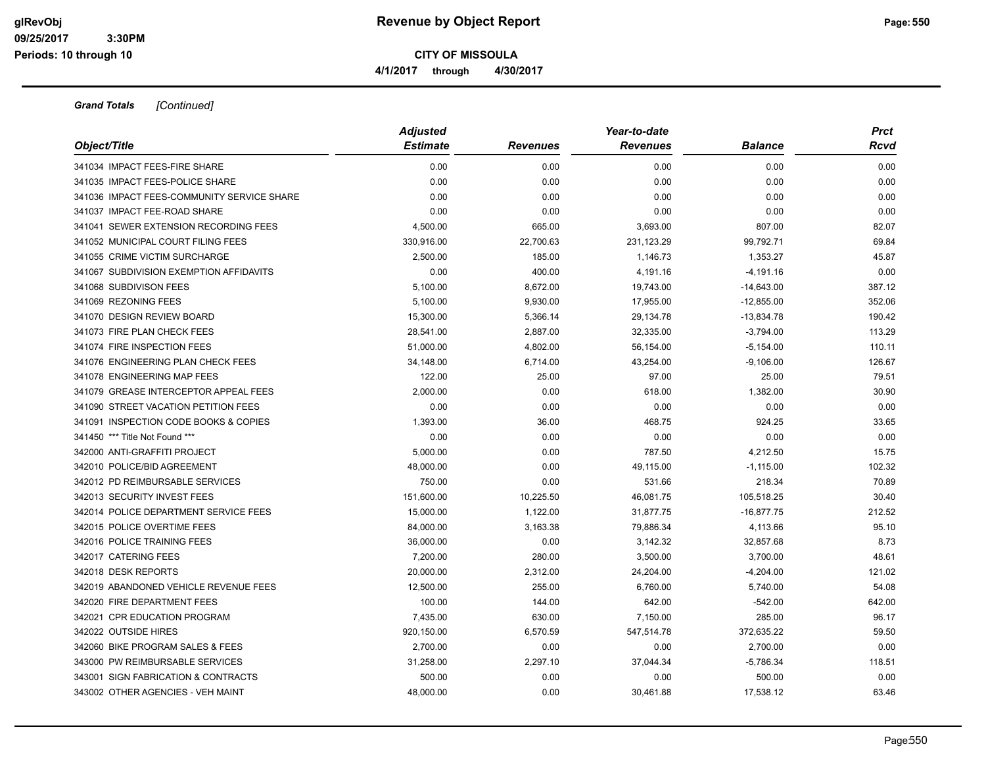**4/1/2017 through 4/30/2017**

|                                            | <b>Adjusted</b> |                 | Year-to-date    | <b>Prct</b>    |        |
|--------------------------------------------|-----------------|-----------------|-----------------|----------------|--------|
| Object/Title                               | <b>Estimate</b> | <b>Revenues</b> | <b>Revenues</b> | <b>Balance</b> | Rcvd   |
| 341034 IMPACT FEES-FIRE SHARE              | 0.00            | 0.00            | 0.00            | 0.00           | 0.00   |
| 341035 IMPACT FEES-POLICE SHARE            | 0.00            | 0.00            | 0.00            | 0.00           | 0.00   |
| 341036 IMPACT FEES-COMMUNITY SERVICE SHARE | 0.00            | 0.00            | 0.00            | 0.00           | 0.00   |
| 341037 IMPACT FEE-ROAD SHARE               | 0.00            | 0.00            | 0.00            | 0.00           | 0.00   |
| 341041 SEWER EXTENSION RECORDING FEES      | 4,500.00        | 665.00          | 3,693.00        | 807.00         | 82.07  |
| 341052 MUNICIPAL COURT FILING FEES         | 330,916.00      | 22,700.63       | 231,123.29      | 99,792.71      | 69.84  |
| 341055 CRIME VICTIM SURCHARGE              | 2,500.00        | 185.00          | 1,146.73        | 1,353.27       | 45.87  |
| 341067 SUBDIVISION EXEMPTION AFFIDAVITS    | 0.00            | 400.00          | 4,191.16        | $-4,191.16$    | 0.00   |
| 341068 SUBDIVISON FEES                     | 5,100.00        | 8,672.00        | 19,743.00       | $-14,643.00$   | 387.12 |
| 341069 REZONING FEES                       | 5,100.00        | 9,930.00        | 17,955.00       | $-12,855.00$   | 352.06 |
| 341070 DESIGN REVIEW BOARD                 | 15,300.00       | 5,366.14        | 29,134.78       | $-13,834.78$   | 190.42 |
| 341073 FIRE PLAN CHECK FEES                | 28,541.00       | 2,887.00        | 32,335.00       | $-3,794.00$    | 113.29 |
| 341074 FIRE INSPECTION FEES                | 51,000.00       | 4,802.00        | 56,154.00       | $-5,154.00$    | 110.11 |
| 341076 ENGINEERING PLAN CHECK FEES         | 34,148.00       | 6,714.00        | 43,254.00       | $-9,106.00$    | 126.67 |
| 341078 ENGINEERING MAP FEES                | 122.00          | 25.00           | 97.00           | 25.00          | 79.51  |
| 341079 GREASE INTERCEPTOR APPEAL FEES      | 2,000.00        | 0.00            | 618.00          | 1,382.00       | 30.90  |
| 341090 STREET VACATION PETITION FEES       | 0.00            | 0.00            | 0.00            | 0.00           | 0.00   |
| 341091 INSPECTION CODE BOOKS & COPIES      | 1,393.00        | 36.00           | 468.75          | 924.25         | 33.65  |
| 341450 *** Title Not Found ***             | 0.00            | 0.00            | 0.00            | 0.00           | 0.00   |
| 342000 ANTI-GRAFFITI PROJECT               | 5,000.00        | 0.00            | 787.50          | 4,212.50       | 15.75  |
| 342010 POLICE/BID AGREEMENT                | 48,000.00       | 0.00            | 49,115.00       | $-1,115.00$    | 102.32 |
| 342012 PD REIMBURSABLE SERVICES            | 750.00          | 0.00            | 531.66          | 218.34         | 70.89  |
| 342013 SECURITY INVEST FEES                | 151,600.00      | 10,225.50       | 46,081.75       | 105,518.25     | 30.40  |
| 342014 POLICE DEPARTMENT SERVICE FEES      | 15,000.00       | 1,122.00        | 31,877.75       | $-16,877.75$   | 212.52 |
| 342015 POLICE OVERTIME FEES                | 84,000.00       | 3,163.38        | 79,886.34       | 4,113.66       | 95.10  |
| 342016 POLICE TRAINING FEES                | 36,000.00       | 0.00            | 3,142.32        | 32,857.68      | 8.73   |
| 342017 CATERING FEES                       | 7,200.00        | 280.00          | 3,500.00        | 3,700.00       | 48.61  |
| 342018 DESK REPORTS                        | 20,000.00       | 2,312.00        | 24,204.00       | $-4,204.00$    | 121.02 |
| 342019 ABANDONED VEHICLE REVENUE FEES      | 12,500.00       | 255.00          | 6,760.00        | 5,740.00       | 54.08  |
| 342020 FIRE DEPARTMENT FEES                | 100.00          | 144.00          | 642.00          | $-542.00$      | 642.00 |
| 342021 CPR EDUCATION PROGRAM               | 7,435.00        | 630.00          | 7,150.00        | 285.00         | 96.17  |
| 342022 OUTSIDE HIRES                       | 920,150.00      | 6,570.59        | 547,514.78      | 372,635.22     | 59.50  |
| 342060 BIKE PROGRAM SALES & FEES           | 2,700.00        | 0.00            | 0.00            | 2,700.00       | 0.00   |
| 343000 PW REIMBURSABLE SERVICES            | 31,258.00       | 2,297.10        | 37,044.34       | $-5,786.34$    | 118.51 |
| 343001 SIGN FABRICATION & CONTRACTS        | 500.00          | 0.00            | 0.00            | 500.00         | 0.00   |
| 343002 OTHER AGENCIES - VEH MAINT          | 48.000.00       | 0.00            | 30.461.88       | 17.538.12      | 63.46  |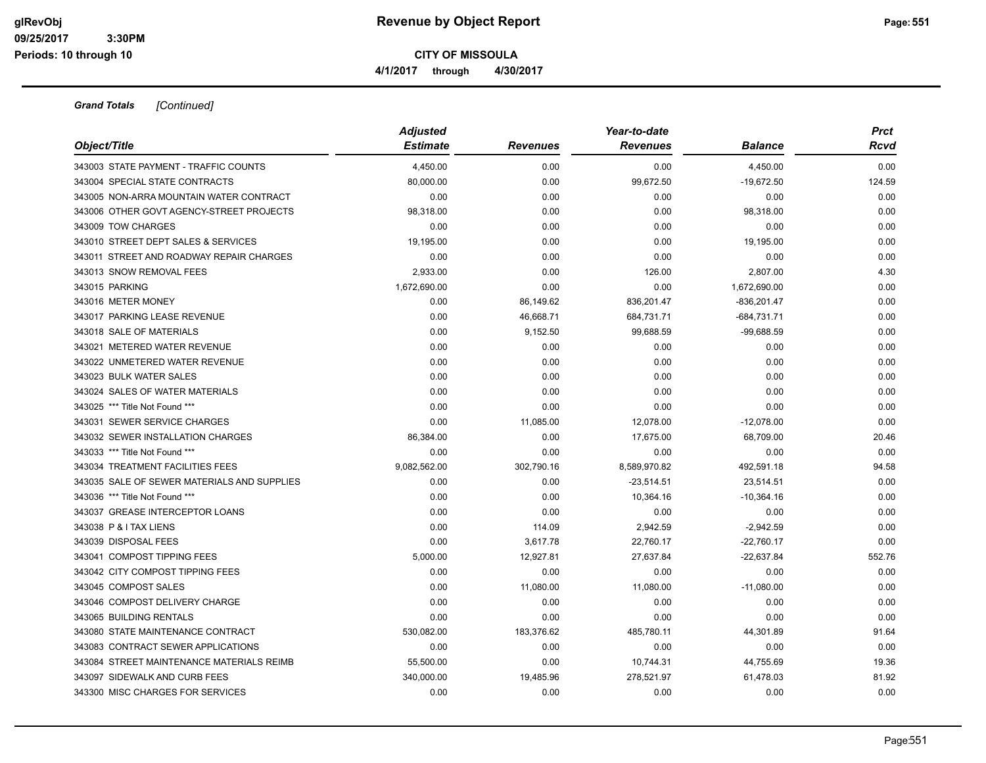**4/1/2017 through 4/30/2017**

|                                             | <b>Adjusted</b> |                 | Year-to-date    |                | <b>Prct</b> |  |
|---------------------------------------------|-----------------|-----------------|-----------------|----------------|-------------|--|
| Object/Title                                | <b>Estimate</b> | <b>Revenues</b> | <b>Revenues</b> | <b>Balance</b> | Rcvd        |  |
| 343003 STATE PAYMENT - TRAFFIC COUNTS       | 4,450.00        | 0.00            | 0.00            | 4,450.00       | 0.00        |  |
| 343004 SPECIAL STATE CONTRACTS              | 80,000.00       | 0.00            | 99,672.50       | $-19,672.50$   | 124.59      |  |
| 343005 NON-ARRA MOUNTAIN WATER CONTRACT     | 0.00            | 0.00            | 0.00            | 0.00           | 0.00        |  |
| 343006 OTHER GOVT AGENCY-STREET PROJECTS    | 98,318.00       | 0.00            | 0.00            | 98,318.00      | 0.00        |  |
| 343009 TOW CHARGES                          | 0.00            | 0.00            | 0.00            | 0.00           | 0.00        |  |
| 343010 STREET DEPT SALES & SERVICES         | 19,195.00       | 0.00            | 0.00            | 19,195.00      | 0.00        |  |
| 343011 STREET AND ROADWAY REPAIR CHARGES    | 0.00            | 0.00            | 0.00            | 0.00           | 0.00        |  |
| 343013 SNOW REMOVAL FEES                    | 2.933.00        | 0.00            | 126.00          | 2.807.00       | 4.30        |  |
| 343015 PARKING                              | 1,672,690.00    | 0.00            | 0.00            | 1,672,690.00   | 0.00        |  |
| 343016 METER MONEY                          | 0.00            | 86,149.62       | 836,201.47      | $-836,201.47$  | 0.00        |  |
| 343017 PARKING LEASE REVENUE                | 0.00            | 46,668.71       | 684,731.71      | $-684,731.71$  | 0.00        |  |
| 343018 SALE OF MATERIALS                    | 0.00            | 9,152.50        | 99,688.59       | $-99,688.59$   | 0.00        |  |
| 343021 METERED WATER REVENUE                | 0.00            | 0.00            | 0.00            | 0.00           | 0.00        |  |
| 343022 UNMETERED WATER REVENUE              | 0.00            | 0.00            | 0.00            | 0.00           | 0.00        |  |
| 343023 BULK WATER SALES                     | 0.00            | 0.00            | 0.00            | 0.00           | 0.00        |  |
| 343024 SALES OF WATER MATERIALS             | 0.00            | 0.00            | 0.00            | 0.00           | 0.00        |  |
| 343025 *** Title Not Found ***              | 0.00            | 0.00            | 0.00            | 0.00           | 0.00        |  |
| 343031 SEWER SERVICE CHARGES                | 0.00            | 11,085.00       | 12,078.00       | $-12,078.00$   | 0.00        |  |
| 343032 SEWER INSTALLATION CHARGES           | 86,384.00       | 0.00            | 17,675.00       | 68,709.00      | 20.46       |  |
| 343033 *** Title Not Found ***              | 0.00            | 0.00            | 0.00            | 0.00           | 0.00        |  |
| 343034 TREATMENT FACILITIES FEES            | 9,082,562.00    | 302,790.16      | 8,589,970.82    | 492,591.18     | 94.58       |  |
| 343035 SALE OF SEWER MATERIALS AND SUPPLIES | 0.00            | 0.00            | $-23,514.51$    | 23,514.51      | 0.00        |  |
| 343036 *** Title Not Found ***              | 0.00            | 0.00            | 10,364.16       | $-10,364.16$   | 0.00        |  |
| 343037 GREASE INTERCEPTOR LOANS             | 0.00            | 0.00            | 0.00            | 0.00           | 0.00        |  |
| 343038 P & I TAX LIENS                      | 0.00            | 114.09          | 2.942.59        | $-2.942.59$    | 0.00        |  |
| 343039 DISPOSAL FEES                        | 0.00            | 3,617.78        | 22,760.17       | $-22,760.17$   | 0.00        |  |
| 343041 COMPOST TIPPING FEES                 | 5,000.00        | 12,927.81       | 27,637.84       | $-22,637.84$   | 552.76      |  |
| 343042 CITY COMPOST TIPPING FEES            | 0.00            | 0.00            | 0.00            | 0.00           | 0.00        |  |
| 343045 COMPOST SALES                        | 0.00            | 11,080.00       | 11,080.00       | $-11,080.00$   | 0.00        |  |
| 343046 COMPOST DELIVERY CHARGE              | 0.00            | 0.00            | 0.00            | 0.00           | 0.00        |  |
| 343065 BUILDING RENTALS                     | 0.00            | 0.00            | 0.00            | 0.00           | 0.00        |  |
| 343080 STATE MAINTENANCE CONTRACT           | 530,082.00      | 183,376.62      | 485,780.11      | 44,301.89      | 91.64       |  |
| 343083 CONTRACT SEWER APPLICATIONS          | 0.00            | 0.00            | 0.00            | 0.00           | 0.00        |  |
| 343084 STREET MAINTENANCE MATERIALS REIMB   | 55,500.00       | 0.00            | 10,744.31       | 44,755.69      | 19.36       |  |
| 343097 SIDEWALK AND CURB FEES               | 340,000.00      | 19,485.96       | 278,521.97      | 61,478.03      | 81.92       |  |
| 343300 MISC CHARGES FOR SERVICES            | 0.00            | 0.00            | 0.00            | 0.00           | 0.00        |  |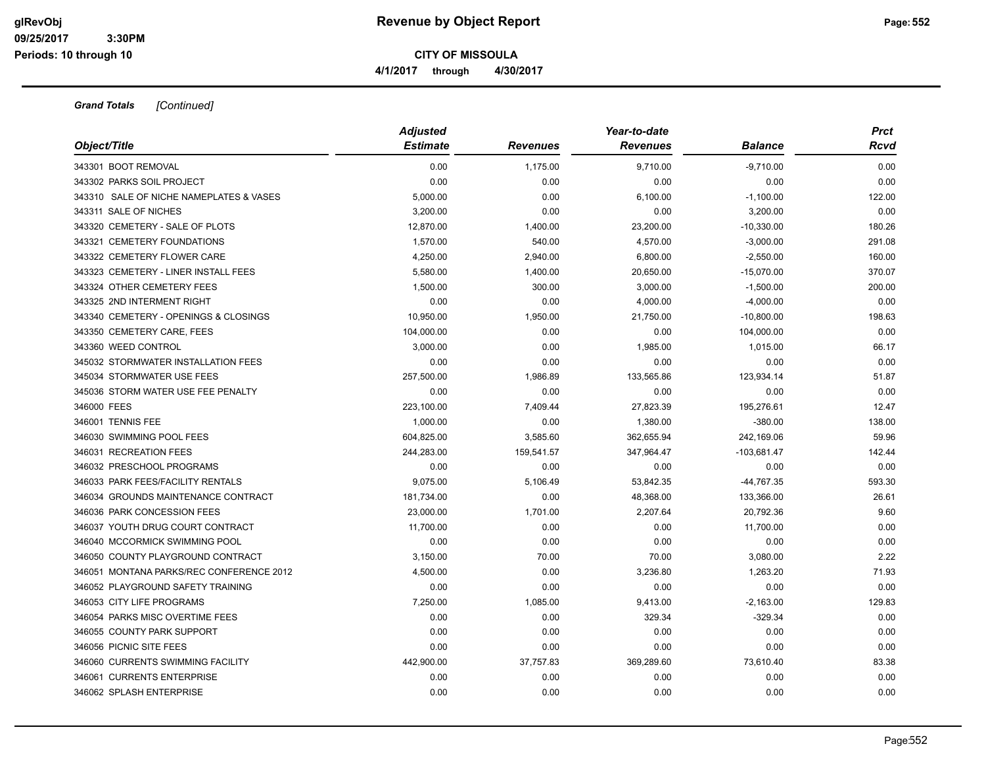**4/1/2017 through 4/30/2017**

|                                          | <b>Adjusted</b> |                 | Year-to-date    |                | <b>Prct</b> |  |
|------------------------------------------|-----------------|-----------------|-----------------|----------------|-------------|--|
| Object/Title                             | <b>Estimate</b> | <b>Revenues</b> | <b>Revenues</b> | <b>Balance</b> | Rcvd        |  |
| 343301 BOOT REMOVAL                      | 0.00            | 1,175.00        | 9,710.00        | $-9,710.00$    | 0.00        |  |
| 343302 PARKS SOIL PROJECT                | 0.00            | 0.00            | 0.00            | 0.00           | 0.00        |  |
| 343310 SALE OF NICHE NAMEPLATES & VASES  | 5,000.00        | 0.00            | 6,100.00        | $-1,100.00$    | 122.00      |  |
| 343311 SALE OF NICHES                    | 3,200.00        | 0.00            | 0.00            | 3,200.00       | 0.00        |  |
| 343320 CEMETERY - SALE OF PLOTS          | 12,870.00       | 1,400.00        | 23,200.00       | $-10,330.00$   | 180.26      |  |
| 343321 CEMETERY FOUNDATIONS              | 1,570.00        | 540.00          | 4,570.00        | $-3,000.00$    | 291.08      |  |
| 343322 CEMETERY FLOWER CARE              | 4,250.00        | 2,940.00        | 6,800.00        | $-2,550.00$    | 160.00      |  |
| 343323 CEMETERY - LINER INSTALL FEES     | 5,580.00        | 1,400.00        | 20,650.00       | $-15,070.00$   | 370.07      |  |
| 343324 OTHER CEMETERY FEES               | 1,500.00        | 300.00          | 3,000.00        | $-1,500.00$    | 200.00      |  |
| 343325 2ND INTERMENT RIGHT               | 0.00            | 0.00            | 4,000.00        | $-4,000.00$    | 0.00        |  |
| 343340 CEMETERY - OPENINGS & CLOSINGS    | 10,950.00       | 1,950.00        | 21,750.00       | $-10,800.00$   | 198.63      |  |
| 343350 CEMETERY CARE, FEES               | 104,000.00      | 0.00            | 0.00            | 104,000.00     | 0.00        |  |
| 343360 WEED CONTROL                      | 3,000.00        | 0.00            | 1,985.00        | 1,015.00       | 66.17       |  |
| 345032 STORMWATER INSTALLATION FEES      | 0.00            | 0.00            | 0.00            | 0.00           | 0.00        |  |
| 345034 STORMWATER USE FEES               | 257,500.00      | 1,986.89        | 133,565.86      | 123,934.14     | 51.87       |  |
| 345036 STORM WATER USE FEE PENALTY       | 0.00            | 0.00            | 0.00            | 0.00           | 0.00        |  |
| 346000 FEES                              | 223,100.00      | 7,409.44        | 27,823.39       | 195,276.61     | 12.47       |  |
| 346001 TENNIS FEE                        | 1,000.00        | 0.00            | 1,380.00        | $-380.00$      | 138.00      |  |
| 346030 SWIMMING POOL FEES                | 604,825.00      | 3,585.60        | 362,655.94      | 242,169.06     | 59.96       |  |
| 346031 RECREATION FEES                   | 244,283.00      | 159,541.57      | 347,964.47      | $-103,681.47$  | 142.44      |  |
| 346032 PRESCHOOL PROGRAMS                | 0.00            | 0.00            | 0.00            | 0.00           | 0.00        |  |
| 346033 PARK FEES/FACILITY RENTALS        | 9,075.00        | 5,106.49        | 53,842.35       | $-44,767.35$   | 593.30      |  |
| 346034 GROUNDS MAINTENANCE CONTRACT      | 181,734.00      | 0.00            | 48,368.00       | 133,366.00     | 26.61       |  |
| 346036 PARK CONCESSION FEES              | 23,000.00       | 1,701.00        | 2,207.64        | 20,792.36      | 9.60        |  |
| 346037 YOUTH DRUG COURT CONTRACT         | 11,700.00       | 0.00            | 0.00            | 11,700.00      | 0.00        |  |
| 346040 MCCORMICK SWIMMING POOL           | 0.00            | 0.00            | 0.00            | 0.00           | 0.00        |  |
| 346050 COUNTY PLAYGROUND CONTRACT        | 3,150.00        | 70.00           | 70.00           | 3,080.00       | 2.22        |  |
| 346051 MONTANA PARKS/REC CONFERENCE 2012 | 4,500.00        | 0.00            | 3,236.80        | 1,263.20       | 71.93       |  |
| 346052 PLAYGROUND SAFETY TRAINING        | 0.00            | 0.00            | 0.00            | 0.00           | 0.00        |  |
| 346053 CITY LIFE PROGRAMS                | 7,250.00        | 1,085.00        | 9,413.00        | $-2,163.00$    | 129.83      |  |
| 346054 PARKS MISC OVERTIME FEES          | 0.00            | 0.00            | 329.34          | $-329.34$      | 0.00        |  |
| 346055 COUNTY PARK SUPPORT               | 0.00            | 0.00            | 0.00            | 0.00           | 0.00        |  |
| 346056 PICNIC SITE FEES                  | 0.00            | 0.00            | 0.00            | 0.00           | 0.00        |  |
| 346060 CURRENTS SWIMMING FACILITY        | 442,900.00      | 37,757.83       | 369,289.60      | 73,610.40      | 83.38       |  |
| 346061 CURRENTS ENTERPRISE               | 0.00            | 0.00            | 0.00            | 0.00           | 0.00        |  |
| 346062 SPLASH ENTERPRISE                 | 0.00            | 0.00            | 0.00            | 0.00           | 0.00        |  |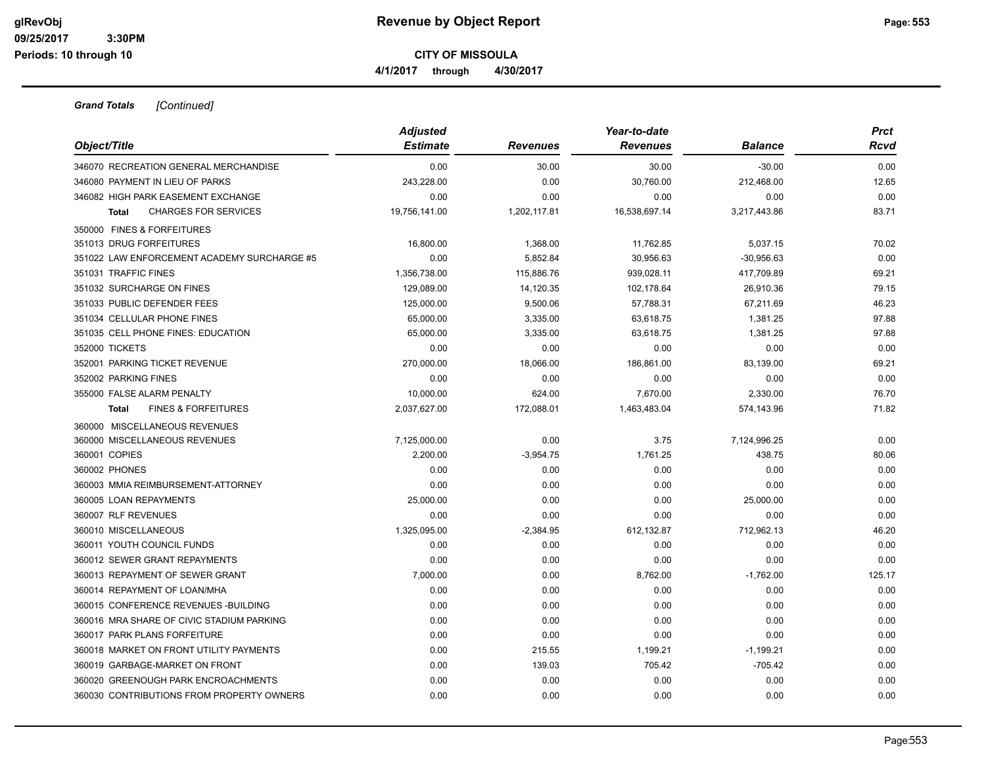**4/1/2017 through 4/30/2017**

| Object/Title                                | <b>Adjusted</b> |                 | Year-to-date    |                | <b>Prct</b> |
|---------------------------------------------|-----------------|-----------------|-----------------|----------------|-------------|
|                                             | <b>Estimate</b> | <b>Revenues</b> | <b>Revenues</b> | <b>Balance</b> | Rcvd        |
| 346070 RECREATION GENERAL MERCHANDISE       | 0.00            | 30.00           | 30.00           | $-30.00$       | 0.00        |
| 346080 PAYMENT IN LIEU OF PARKS             | 243,228.00      | 0.00            | 30,760.00       | 212,468.00     | 12.65       |
| 346082 HIGH PARK EASEMENT EXCHANGE          | 0.00            | 0.00            | 0.00            | 0.00           | 0.00        |
| <b>CHARGES FOR SERVICES</b><br><b>Total</b> | 19,756,141.00   | 1,202,117.81    | 16,538,697.14   | 3,217,443.86   | 83.71       |
| 350000 FINES & FORFEITURES                  |                 |                 |                 |                |             |
| 351013 DRUG FORFEITURES                     | 16,800.00       | 1,368.00        | 11,762.85       | 5,037.15       | 70.02       |
| 351022 LAW ENFORCEMENT ACADEMY SURCHARGE #5 | 0.00            | 5,852.84        | 30,956.63       | $-30,956.63$   | 0.00        |
| 351031 TRAFFIC FINES                        | 1,356,738.00    | 115,886.76      | 939,028.11      | 417,709.89     | 69.21       |
| 351032 SURCHARGE ON FINES                   | 129,089.00      | 14,120.35       | 102,178.64      | 26,910.36      | 79.15       |
| 351033 PUBLIC DEFENDER FEES                 | 125,000.00      | 9,500.06        | 57,788.31       | 67,211.69      | 46.23       |
| 351034 CELLULAR PHONE FINES                 | 65,000.00       | 3,335.00        | 63,618.75       | 1,381.25       | 97.88       |
| 351035 CELL PHONE FINES: EDUCATION          | 65,000.00       | 3,335.00        | 63,618.75       | 1,381.25       | 97.88       |
| 352000 TICKETS                              | 0.00            | 0.00            | 0.00            | 0.00           | 0.00        |
| 352001 PARKING TICKET REVENUE               | 270,000.00      | 18,066.00       | 186,861.00      | 83,139.00      | 69.21       |
| 352002 PARKING FINES                        | 0.00            | 0.00            | 0.00            | 0.00           | 0.00        |
| 355000 FALSE ALARM PENALTY                  | 10,000.00       | 624.00          | 7,670.00        | 2,330.00       | 76.70       |
| <b>FINES &amp; FORFEITURES</b><br>Total     | 2,037,627.00    | 172,088.01      | 1,463,483.04    | 574,143.96     | 71.82       |
| 360000 MISCELLANEOUS REVENUES               |                 |                 |                 |                |             |
| 360000 MISCELLANEOUS REVENUES               | 7,125,000.00    | 0.00            | 3.75            | 7,124,996.25   | 0.00        |
| 360001 COPIES                               | 2,200.00        | $-3,954.75$     | 1,761.25        | 438.75         | 80.06       |
| 360002 PHONES                               | 0.00            | 0.00            | 0.00            | 0.00           | 0.00        |
| 360003 MMIA REIMBURSEMENT-ATTORNEY          | 0.00            | 0.00            | 0.00            | 0.00           | 0.00        |
| 360005 LOAN REPAYMENTS                      | 25,000.00       | 0.00            | 0.00            | 25,000.00      | 0.00        |
| 360007 RLF REVENUES                         | 0.00            | 0.00            | 0.00            | 0.00           | 0.00        |
| 360010 MISCELLANEOUS                        | 1,325,095.00    | $-2,384.95$     | 612,132.87      | 712,962.13     | 46.20       |
| 360011 YOUTH COUNCIL FUNDS                  | 0.00            | 0.00            | 0.00            | 0.00           | 0.00        |
| 360012 SEWER GRANT REPAYMENTS               | 0.00            | 0.00            | 0.00            | 0.00           | 0.00        |
| 360013 REPAYMENT OF SEWER GRANT             | 7,000.00        | 0.00            | 8,762.00        | $-1,762.00$    | 125.17      |
| 360014 REPAYMENT OF LOAN/MHA                | 0.00            | 0.00            | 0.00            | 0.00           | 0.00        |
| 360015 CONFERENCE REVENUES - BUILDING       | 0.00            | 0.00            | 0.00            | 0.00           | 0.00        |
| 360016 MRA SHARE OF CIVIC STADIUM PARKING   | 0.00            | 0.00            | 0.00            | 0.00           | 0.00        |
| 360017 PARK PLANS FORFEITURE                | 0.00            | 0.00            | 0.00            | 0.00           | 0.00        |
| 360018 MARKET ON FRONT UTILITY PAYMENTS     | 0.00            | 215.55          | 1,199.21        | $-1,199.21$    | 0.00        |
| 360019 GARBAGE-MARKET ON FRONT              | 0.00            | 139.03          | 705.42          | $-705.42$      | 0.00        |
| 360020 GREENOUGH PARK ENCROACHMENTS         | 0.00            | 0.00            | 0.00            | 0.00           | 0.00        |
| 360030 CONTRIBUTIONS FROM PROPERTY OWNERS   | 0.00            | 0.00            | 0.00            | 0.00           | 0.00        |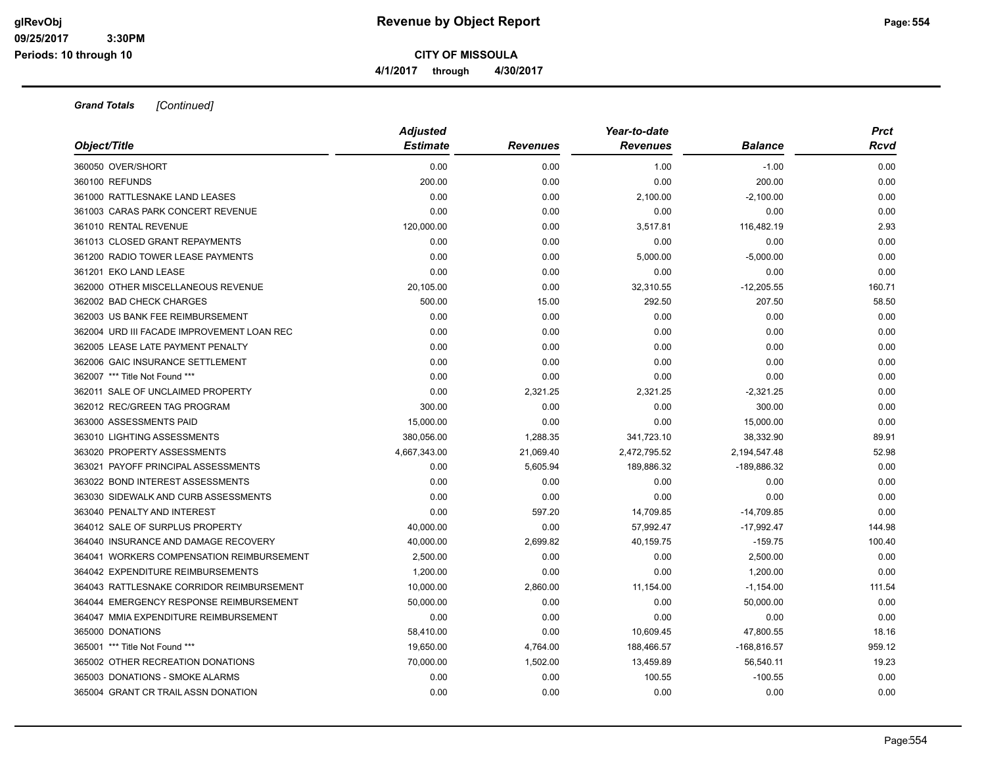**4/1/2017 through 4/30/2017**

| Object/Title                               | <b>Adjusted</b><br><b>Estimate</b> | <b>Revenues</b> | Year-to-date<br><b>Revenues</b> | <b>Balance</b>      | <b>Prct</b><br>Rcvd |
|--------------------------------------------|------------------------------------|-----------------|---------------------------------|---------------------|---------------------|
| 360050 OVER/SHORT                          | 0.00                               |                 | 1.00                            | $-1.00$             | 0.00                |
| 360100 REFUNDS                             | 200.00                             | 0.00            | 0.00                            | 200.00              | 0.00                |
| 361000 RATTLESNAKE LAND LEASES             | 0.00                               | 0.00<br>0.00    |                                 |                     | 0.00                |
| 361003 CARAS PARK CONCERT REVENUE          | 0.00                               | 0.00            | 2,100.00<br>0.00                | $-2,100.00$<br>0.00 | 0.00                |
| 361010 RENTAL REVENUE                      | 120,000.00                         |                 | 3,517.81                        |                     | 2.93                |
|                                            |                                    | 0.00            |                                 | 116,482.19          |                     |
| 361013 CLOSED GRANT REPAYMENTS             | 0.00                               | 0.00            | 0.00                            | 0.00                | 0.00                |
| 361200 RADIO TOWER LEASE PAYMENTS          | 0.00                               | 0.00            | 5,000.00                        | $-5,000.00$         | 0.00                |
| 361201 EKO LAND LEASE                      | 0.00                               | 0.00            | 0.00                            | 0.00                | 0.00                |
| 362000 OTHER MISCELLANEOUS REVENUE         | 20,105.00                          | 0.00            | 32,310.55                       | $-12,205.55$        | 160.71              |
| 362002 BAD CHECK CHARGES                   | 500.00                             | 15.00           | 292.50                          | 207.50              | 58.50               |
| 362003 US BANK FEE REIMBURSEMENT           | 0.00                               | 0.00            | 0.00                            | 0.00                | 0.00                |
| 362004 URD III FACADE IMPROVEMENT LOAN REC | 0.00                               | 0.00            | 0.00                            | 0.00                | 0.00                |
| 362005 LEASE LATE PAYMENT PENALTY          | 0.00                               | 0.00            | 0.00                            | 0.00                | 0.00                |
| 362006 GAIC INSURANCE SETTLEMENT           | 0.00                               | 0.00            | 0.00                            | 0.00                | 0.00                |
| 362007 *** Title Not Found ***             | 0.00                               | 0.00            | 0.00                            | 0.00                | 0.00                |
| 362011 SALE OF UNCLAIMED PROPERTY          | 0.00                               | 2,321.25        | 2,321.25                        | $-2,321.25$         | 0.00                |
| 362012 REC/GREEN TAG PROGRAM               | 300.00                             | 0.00            | 0.00                            | 300.00              | 0.00                |
| 363000 ASSESSMENTS PAID                    | 15,000.00                          | 0.00            | 0.00                            | 15,000.00           | 0.00                |
| 363010 LIGHTING ASSESSMENTS                | 380,056.00                         | 1,288.35        | 341,723.10                      | 38,332.90           | 89.91               |
| 363020 PROPERTY ASSESSMENTS                | 4,667,343.00                       | 21,069.40       | 2,472,795.52                    | 2,194,547.48        | 52.98               |
| 363021 PAYOFF PRINCIPAL ASSESSMENTS        | 0.00                               | 5,605.94        | 189,886.32                      | -189,886.32         | 0.00                |
| 363022 BOND INTEREST ASSESSMENTS           | 0.00                               | 0.00            | 0.00                            | 0.00                | 0.00                |
| 363030 SIDEWALK AND CURB ASSESSMENTS       | 0.00                               | 0.00            | 0.00                            | 0.00                | 0.00                |
| 363040 PENALTY AND INTEREST                | 0.00                               | 597.20          | 14,709.85                       | $-14,709.85$        | 0.00                |
| 364012 SALE OF SURPLUS PROPERTY            | 40,000.00                          | 0.00            | 57,992.47                       | $-17,992.47$        | 144.98              |
| 364040 INSURANCE AND DAMAGE RECOVERY       | 40.000.00                          | 2,699.82        | 40,159.75                       | $-159.75$           | 100.40              |
| 364041 WORKERS COMPENSATION REIMBURSEMENT  | 2.500.00                           | 0.00            | 0.00                            | 2,500.00            | 0.00                |
| 364042 EXPENDITURE REIMBURSEMENTS          | 1,200.00                           | 0.00            | 0.00                            | 1,200.00            | 0.00                |
| 364043 RATTLESNAKE CORRIDOR REIMBURSEMENT  | 10,000.00                          | 2,860.00        | 11,154.00                       | $-1,154.00$         | 111.54              |
| 364044 EMERGENCY RESPONSE REIMBURSEMENT    | 50,000.00                          | 0.00            | 0.00                            | 50,000.00           | 0.00                |
| 364047 MMIA EXPENDITURE REIMBURSEMENT      | 0.00                               | 0.00            | 0.00                            | 0.00                | 0.00                |
| 365000 DONATIONS                           | 58,410.00                          | 0.00            | 10,609.45                       | 47,800.55           | 18.16               |
| 365001 *** Title Not Found ***             | 19,650.00                          | 4,764.00        | 188,466.57                      | $-168,816.57$       | 959.12              |
| 365002 OTHER RECREATION DONATIONS          | 70,000.00                          | 1,502.00        | 13,459.89                       | 56,540.11           | 19.23               |
| 365003 DONATIONS - SMOKE ALARMS            | 0.00                               | 0.00            | 100.55                          | $-100.55$           | 0.00                |
| 365004 GRANT CR TRAIL ASSN DONATION        | 0.00                               | 0.00            | 0.00                            | 0.00                | 0.00                |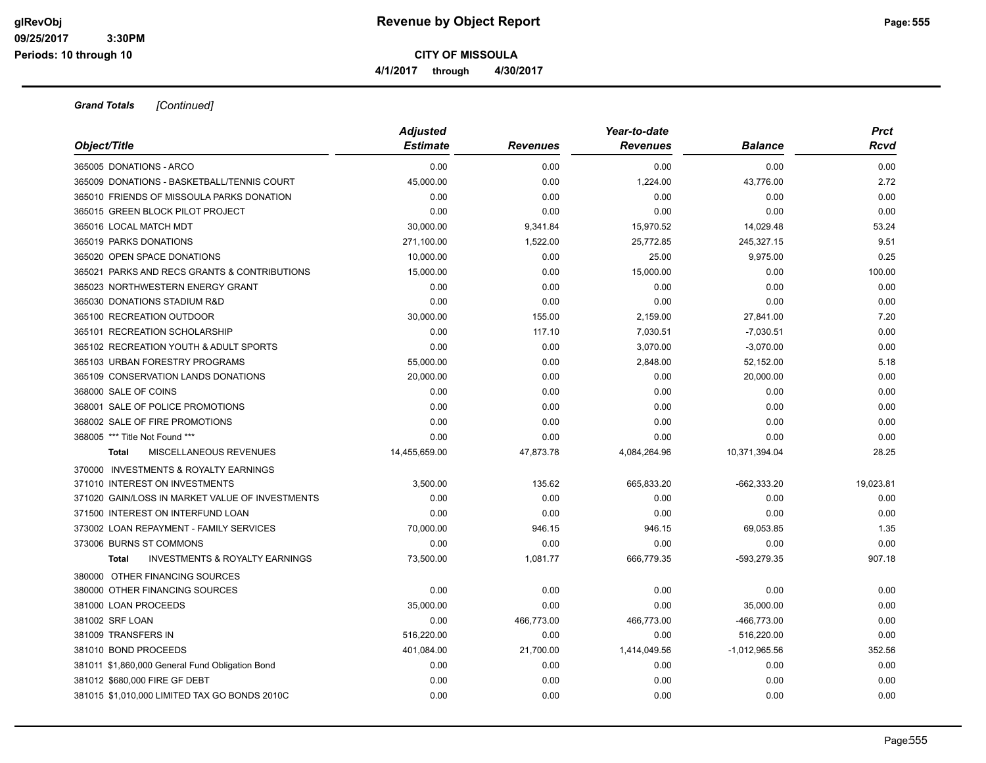**4/1/2017 through 4/30/2017**

| Object/Title                                              | <b>Adjusted</b><br><b>Estimate</b> | <b>Revenues</b> | Year-to-date<br><b>Revenues</b> | <b>Balance</b>  | <b>Prct</b><br>Rcvd |
|-----------------------------------------------------------|------------------------------------|-----------------|---------------------------------|-----------------|---------------------|
|                                                           |                                    |                 |                                 |                 |                     |
| 365005 DONATIONS - ARCO                                   | 0.00                               | 0.00            | 0.00                            | 0.00            | 0.00                |
| 365009 DONATIONS - BASKETBALL/TENNIS COURT                | 45,000.00                          | 0.00            | 1,224.00                        | 43,776.00       | 2.72                |
| 365010 FRIENDS OF MISSOULA PARKS DONATION                 | 0.00                               | 0.00            | 0.00                            | 0.00            | 0.00                |
| 365015 GREEN BLOCK PILOT PROJECT                          | 0.00                               | 0.00            | 0.00                            | 0.00            | 0.00                |
| 365016 LOCAL MATCH MDT                                    | 30,000.00                          | 9,341.84        | 15,970.52                       | 14,029.48       | 53.24               |
| 365019 PARKS DONATIONS                                    | 271,100.00                         | 1,522.00        | 25,772.85                       | 245,327.15      | 9.51                |
| 365020 OPEN SPACE DONATIONS                               | 10,000.00                          | 0.00            | 25.00                           | 9,975.00        | 0.25                |
| 365021 PARKS AND RECS GRANTS & CONTRIBUTIONS              | 15,000.00                          | 0.00            | 15,000.00                       | 0.00            | 100.00              |
| 365023 NORTHWESTERN ENERGY GRANT                          | 0.00                               | 0.00            | 0.00                            | 0.00            | 0.00                |
| 365030 DONATIONS STADIUM R&D                              | 0.00                               | 0.00            | 0.00                            | 0.00            | 0.00                |
| 365100 RECREATION OUTDOOR                                 | 30,000.00                          | 155.00          | 2,159.00                        | 27,841.00       | 7.20                |
| 365101 RECREATION SCHOLARSHIP                             | 0.00                               | 117.10          | 7,030.51                        | $-7,030.51$     | 0.00                |
| 365102 RECREATION YOUTH & ADULT SPORTS                    | 0.00                               | 0.00            | 3,070.00                        | $-3,070.00$     | 0.00                |
| 365103 URBAN FORESTRY PROGRAMS                            | 55,000.00                          | 0.00            | 2,848.00                        | 52,152.00       | 5.18                |
| 365109 CONSERVATION LANDS DONATIONS                       | 20,000.00                          | 0.00            | 0.00                            | 20,000.00       | 0.00                |
| 368000 SALE OF COINS                                      | 0.00                               | 0.00            | 0.00                            | 0.00            | 0.00                |
| 368001 SALE OF POLICE PROMOTIONS                          | 0.00                               | 0.00            | 0.00                            | 0.00            | 0.00                |
| 368002 SALE OF FIRE PROMOTIONS                            | 0.00                               | 0.00            | 0.00                            | 0.00            | 0.00                |
| 368005 *** Title Not Found ***                            | 0.00                               | 0.00            | 0.00                            | 0.00            | 0.00                |
| MISCELLANEOUS REVENUES<br><b>Total</b>                    | 14,455,659.00                      | 47,873.78       | 4,084,264.96                    | 10,371,394.04   | 28.25               |
| 370000 INVESTMENTS & ROYALTY EARNINGS                     |                                    |                 |                                 |                 |                     |
| 371010 INTEREST ON INVESTMENTS                            | 3,500.00                           | 135.62          | 665,833.20                      | -662,333.20     | 19,023.81           |
| 371020 GAIN/LOSS IN MARKET VALUE OF INVESTMENTS           | 0.00                               | 0.00            | 0.00                            | 0.00            | 0.00                |
| 371500 INTEREST ON INTERFUND LOAN                         | 0.00                               | 0.00            | 0.00                            | 0.00            | 0.00                |
| 373002 LOAN REPAYMENT - FAMILY SERVICES                   | 70,000.00                          | 946.15          | 946.15                          | 69,053.85       | 1.35                |
| 373006 BURNS ST COMMONS                                   | 0.00                               | 0.00            | 0.00                            | 0.00            | 0.00                |
| <b>INVESTMENTS &amp; ROYALTY EARNINGS</b><br><b>Total</b> | 73,500.00                          | 1,081.77        | 666,779.35                      | -593,279.35     | 907.18              |
| 380000 OTHER FINANCING SOURCES                            |                                    |                 |                                 |                 |                     |
| 380000 OTHER FINANCING SOURCES                            | 0.00                               | 0.00            | 0.00                            | 0.00            | 0.00                |
| 381000 LOAN PROCEEDS                                      | 35,000.00                          | 0.00            | 0.00                            | 35,000.00       | 0.00                |
| 381002 SRF LOAN                                           | 0.00                               | 466,773.00      | 466,773.00                      | -466,773.00     | 0.00                |
| 381009 TRANSFERS IN                                       | 516,220.00                         | 0.00            | 0.00                            | 516,220.00      | 0.00                |
| 381010 BOND PROCEEDS                                      | 401,084.00                         | 21,700.00       | 1,414,049.56                    | $-1,012,965.56$ | 352.56              |
| 381011 \$1,860,000 General Fund Obligation Bond           | 0.00                               | 0.00            | 0.00                            | 0.00            | 0.00                |
| 381012 \$680,000 FIRE GF DEBT                             | 0.00                               | 0.00            | 0.00                            | 0.00            | 0.00                |
| 381015 \$1.010.000 LIMITED TAX GO BONDS 2010C             | 0.00                               | 0.00            | 0.00                            | 0.00            | 0.00                |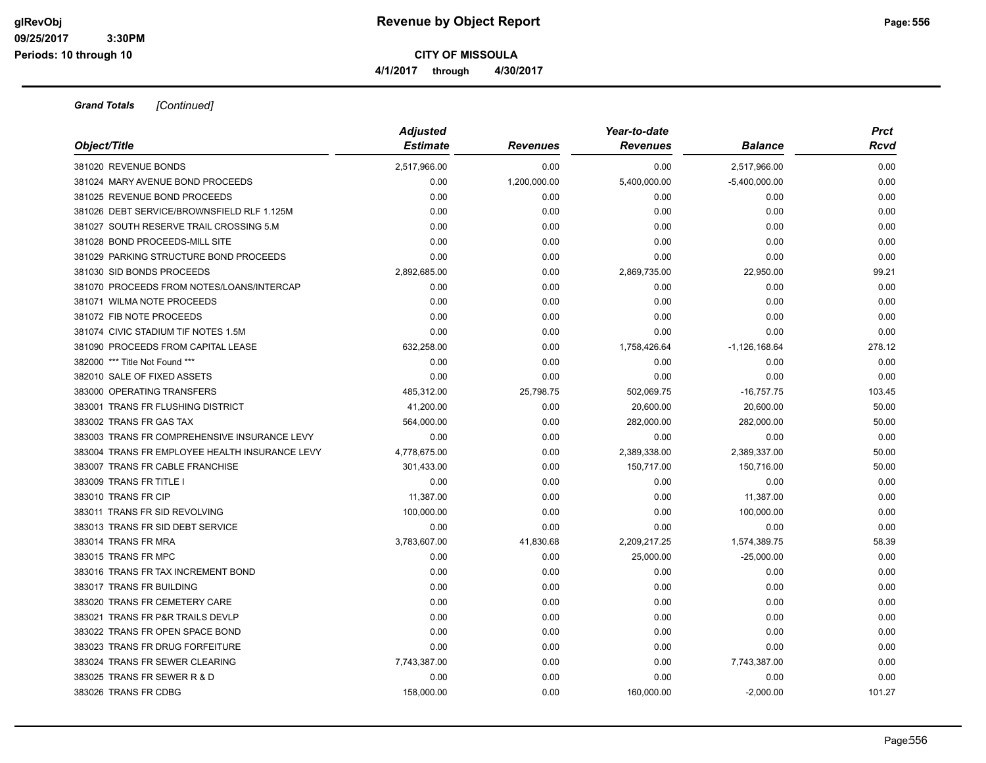**4/1/2017 through 4/30/2017**

| Object/Title                                   | <b>Adjusted</b><br><b>Estimate</b> | <b>Revenues</b> | Year-to-date<br><b>Revenues</b> | <b>Balance</b>    | <b>Prct</b><br>Rcvd |
|------------------------------------------------|------------------------------------|-----------------|---------------------------------|-------------------|---------------------|
| 381020 REVENUE BONDS                           | 2,517,966.00                       | 0.00            | 0.00                            | 2,517,966.00      | 0.00                |
| 381024 MARY AVENUE BOND PROCEEDS               | 0.00                               | 1,200,000.00    | 5,400,000.00                    | $-5,400,000.00$   | 0.00                |
| 381025 REVENUE BOND PROCEEDS                   | 0.00                               | 0.00            | 0.00                            | 0.00              | 0.00                |
| 381026 DEBT SERVICE/BROWNSFIELD RLF 1.125M     | 0.00                               | 0.00            | 0.00                            | 0.00              | 0.00                |
| 381027 SOUTH RESERVE TRAIL CROSSING 5.M        | 0.00                               | 0.00            | 0.00                            | 0.00              | 0.00                |
| 381028 BOND PROCEEDS-MILL SITE                 | 0.00                               | 0.00            | 0.00                            | 0.00              | 0.00                |
| 381029 PARKING STRUCTURE BOND PROCEEDS         | 0.00                               | 0.00            | 0.00                            | 0.00              | 0.00                |
| 381030 SID BONDS PROCEEDS                      | 2,892,685.00                       | 0.00            | 2,869,735.00                    | 22,950.00         | 99.21               |
| 381070 PROCEEDS FROM NOTES/LOANS/INTERCAP      | 0.00                               | 0.00            | 0.00                            | 0.00              | 0.00                |
| 381071 WILMA NOTE PROCEEDS                     | 0.00                               | 0.00            | 0.00                            | 0.00              | 0.00                |
| 381072 FIB NOTE PROCEEDS                       | 0.00                               | 0.00            | 0.00                            | 0.00              | 0.00                |
| 381074 CIVIC STADIUM TIF NOTES 1.5M            | 0.00                               | 0.00            | 0.00                            | 0.00              | 0.00                |
| 381090 PROCEEDS FROM CAPITAL LEASE             | 632,258.00                         | 0.00            | 1,758,426.64                    | $-1, 126, 168.64$ | 278.12              |
| 382000 *** Title Not Found ***                 | 0.00                               | 0.00            | 0.00                            | 0.00              | 0.00                |
| 382010 SALE OF FIXED ASSETS                    | 0.00                               | 0.00            | 0.00                            | 0.00              | 0.00                |
| 383000 OPERATING TRANSFERS                     | 485,312.00                         | 25,798.75       | 502,069.75                      | $-16,757.75$      | 103.45              |
| 383001 TRANS FR FLUSHING DISTRICT              | 41.200.00                          | 0.00            | 20,600.00                       | 20,600.00         | 50.00               |
| 383002 TRANS FR GAS TAX                        | 564,000.00                         | 0.00            | 282,000.00                      | 282,000.00        | 50.00               |
| 383003 TRANS FR COMPREHENSIVE INSURANCE LEVY   | 0.00                               | 0.00            | 0.00                            | 0.00              | 0.00                |
| 383004 TRANS FR EMPLOYEE HEALTH INSURANCE LEVY | 4,778,675.00                       | 0.00            | 2,389,338.00                    | 2,389,337.00      | 50.00               |
| 383007 TRANS FR CABLE FRANCHISE                | 301,433.00                         | 0.00            | 150,717.00                      | 150,716.00        | 50.00               |
| 383009 TRANS FR TITLE I                        | 0.00                               | 0.00            | 0.00                            | 0.00              | 0.00                |
| 383010 TRANS FR CIP                            | 11,387.00                          | 0.00            | 0.00                            | 11,387.00         | 0.00                |
| 383011 TRANS FR SID REVOLVING                  | 100,000.00                         | 0.00            | 0.00                            | 100,000.00        | 0.00                |
| 383013 TRANS FR SID DEBT SERVICE               | 0.00                               | 0.00            | 0.00                            | 0.00              | 0.00                |
| 383014 TRANS FR MRA                            | 3,783,607.00                       | 41,830.68       | 2,209,217.25                    | 1,574,389.75      | 58.39               |
| 383015 TRANS FR MPC                            | 0.00                               | 0.00            | 25,000.00                       | $-25,000.00$      | 0.00                |
| 383016 TRANS FR TAX INCREMENT BOND             | 0.00                               | 0.00            | 0.00                            | 0.00              | 0.00                |
| 383017 TRANS FR BUILDING                       | 0.00                               | 0.00            | 0.00                            | 0.00              | 0.00                |
| 383020 TRANS FR CEMETERY CARE                  | 0.00                               | 0.00            | 0.00                            | 0.00              | 0.00                |
| 383021 TRANS FR P&R TRAILS DEVLP               | 0.00                               | 0.00            | 0.00                            | 0.00              | 0.00                |
| 383022 TRANS FR OPEN SPACE BOND                | 0.00                               | 0.00            | 0.00                            | 0.00              | 0.00                |
| 383023 TRANS FR DRUG FORFEITURE                | 0.00                               | 0.00            | 0.00                            | 0.00              | 0.00                |
| 383024 TRANS FR SEWER CLEARING                 | 7,743,387.00                       | 0.00            | 0.00                            | 7,743,387.00      | 0.00                |
| 383025 TRANS FR SEWER R & D                    | 0.00                               | 0.00            | 0.00                            | 0.00              | 0.00                |
| 383026 TRANS FR CDBG                           | 158.000.00                         | 0.00            | 160,000.00                      | $-2,000.00$       | 101.27              |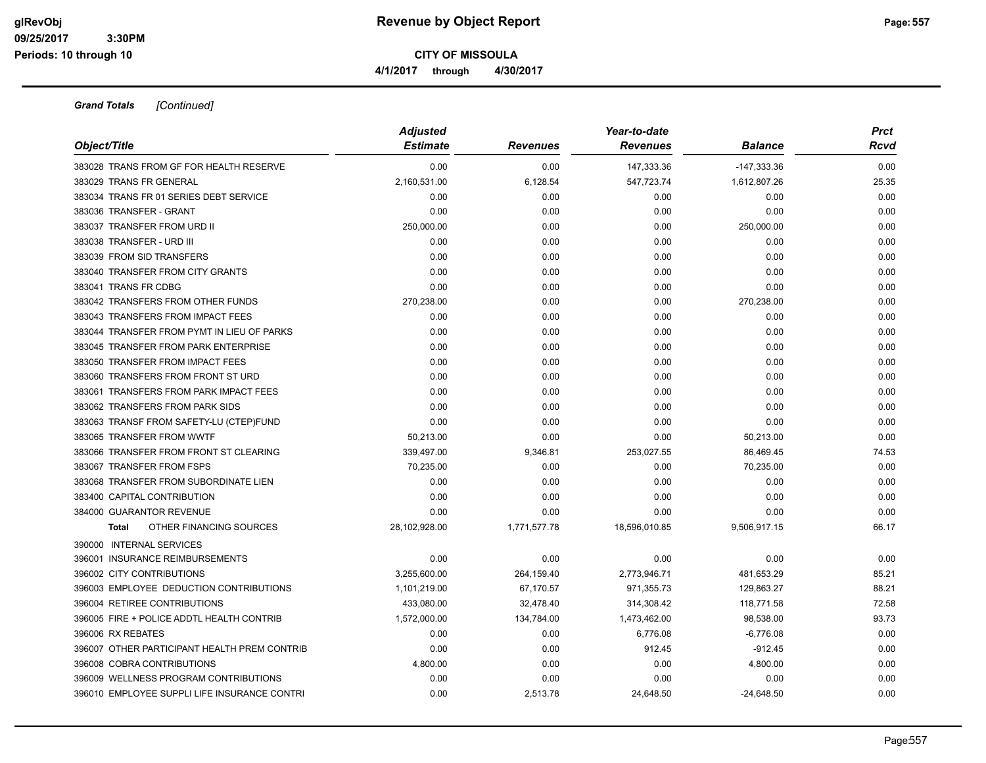**4/1/2017 through 4/30/2017**

| Object/Title                                 | <b>Adjusted</b><br><b>Estimate</b> | <b>Revenues</b> | Year-to-date<br><b>Revenues</b> | <b>Balance</b> | <b>Prct</b><br>Rcvd |
|----------------------------------------------|------------------------------------|-----------------|---------------------------------|----------------|---------------------|
| 383028 TRANS FROM GF FOR HEALTH RESERVE      | 0.00                               | 0.00            | 147,333.36                      | $-147,333.36$  | 0.00                |
| 383029 TRANS FR GENERAL                      | 2,160,531.00                       | 6,128.54        | 547,723.74                      | 1,612,807.26   | 25.35               |
| 383034 TRANS FR 01 SERIES DEBT SERVICE       | 0.00                               | 0.00            | 0.00                            | 0.00           | 0.00                |
| 383036 TRANSFER - GRANT                      | 0.00                               | 0.00            | 0.00                            | 0.00           | 0.00                |
| 383037 TRANSFER FROM URD II                  | 250,000.00                         | 0.00            | 0.00                            | 250,000.00     | 0.00                |
| 383038 TRANSFER - URD III                    | 0.00                               | 0.00            | 0.00                            | 0.00           | 0.00                |
| 383039 FROM SID TRANSFERS                    | 0.00                               | 0.00            | 0.00                            | 0.00           | 0.00                |
| 383040 TRANSFER FROM CITY GRANTS             | 0.00                               | 0.00            | 0.00                            | 0.00           | 0.00                |
| 383041 TRANS FR CDBG                         | 0.00                               | 0.00            | 0.00                            | 0.00           | 0.00                |
| 383042 TRANSFERS FROM OTHER FUNDS            | 270,238.00                         | 0.00            | 0.00                            | 270,238.00     | 0.00                |
| 383043 TRANSFERS FROM IMPACT FEES            | 0.00                               | 0.00            | 0.00                            | 0.00           | 0.00                |
| 383044 TRANSFER FROM PYMT IN LIEU OF PARKS   | 0.00                               | 0.00            | 0.00                            | 0.00           | 0.00                |
| 383045 TRANSFER FROM PARK ENTERPRISE         | 0.00                               | 0.00            | 0.00                            | 0.00           | 0.00                |
| 383050 TRANSFER FROM IMPACT FEES             | 0.00                               | 0.00            | 0.00                            | 0.00           | 0.00                |
| 383060 TRANSFERS FROM FRONT ST URD           | 0.00                               | 0.00            | 0.00                            | 0.00           | 0.00                |
| 383061 TRANSFERS FROM PARK IMPACT FEES       | 0.00                               | 0.00            | 0.00                            | 0.00           | 0.00                |
| 383062 TRANSFERS FROM PARK SIDS              | 0.00                               | 0.00            | 0.00                            | 0.00           | 0.00                |
| 383063 TRANSF FROM SAFETY-LU (CTEP)FUND      | 0.00                               | 0.00            | 0.00                            | 0.00           | 0.00                |
| 383065 TRANSFER FROM WWTF                    | 50,213.00                          | 0.00            | 0.00                            | 50,213.00      | 0.00                |
| 383066 TRANSFER FROM FRONT ST CLEARING       | 339,497.00                         | 9,346.81        | 253,027.55                      | 86,469.45      | 74.53               |
| 383067 TRANSFER FROM FSPS                    | 70,235.00                          | 0.00            | 0.00                            | 70,235.00      | 0.00                |
| 383068 TRANSFER FROM SUBORDINATE LIEN        | 0.00                               | 0.00            | 0.00                            | 0.00           | 0.00                |
| 383400 CAPITAL CONTRIBUTION                  | 0.00                               | 0.00            | 0.00                            | 0.00           | 0.00                |
| 384000 GUARANTOR REVENUE                     | 0.00                               | 0.00            | 0.00                            | 0.00           | 0.00                |
| OTHER FINANCING SOURCES<br>Total             | 28,102,928.00                      | 1,771,577.78    | 18,596,010.85                   | 9,506,917.15   | 66.17               |
| 390000 INTERNAL SERVICES                     |                                    |                 |                                 |                |                     |
| 396001 INSURANCE REIMBURSEMENTS              | 0.00                               | 0.00            | 0.00                            | 0.00           | 0.00                |
| 396002 CITY CONTRIBUTIONS                    | 3,255,600.00                       | 264,159.40      | 2,773,946.71                    | 481,653.29     | 85.21               |
| 396003 EMPLOYEE DEDUCTION CONTRIBUTIONS      | 1,101,219.00                       | 67,170.57       | 971,355.73                      | 129,863.27     | 88.21               |
| 396004 RETIREE CONTRIBUTIONS                 | 433,080.00                         | 32,478.40       | 314,308.42                      | 118,771.58     | 72.58               |
| 396005 FIRE + POLICE ADDTL HEALTH CONTRIB    | 1,572,000.00                       | 134,784.00      | 1,473,462.00                    | 98,538.00      | 93.73               |
| 396006 RX REBATES                            | 0.00                               | 0.00            | 6,776.08                        | $-6,776.08$    | 0.00                |
| 396007 OTHER PARTICIPANT HEALTH PREM CONTRIB | 0.00                               | 0.00            | 912.45                          | $-912.45$      | 0.00                |
| 396008 COBRA CONTRIBUTIONS                   | 4,800.00                           | 0.00            | 0.00                            | 4,800.00       | 0.00                |
| 396009 WELLNESS PROGRAM CONTRIBUTIONS        | 0.00                               | 0.00            | 0.00                            | 0.00           | 0.00                |
| 396010 EMPLOYEE SUPPLI LIFE INSURANCE CONTRI | 0.00                               | 2,513.78        | 24,648.50                       | $-24,648.50$   | 0.00                |